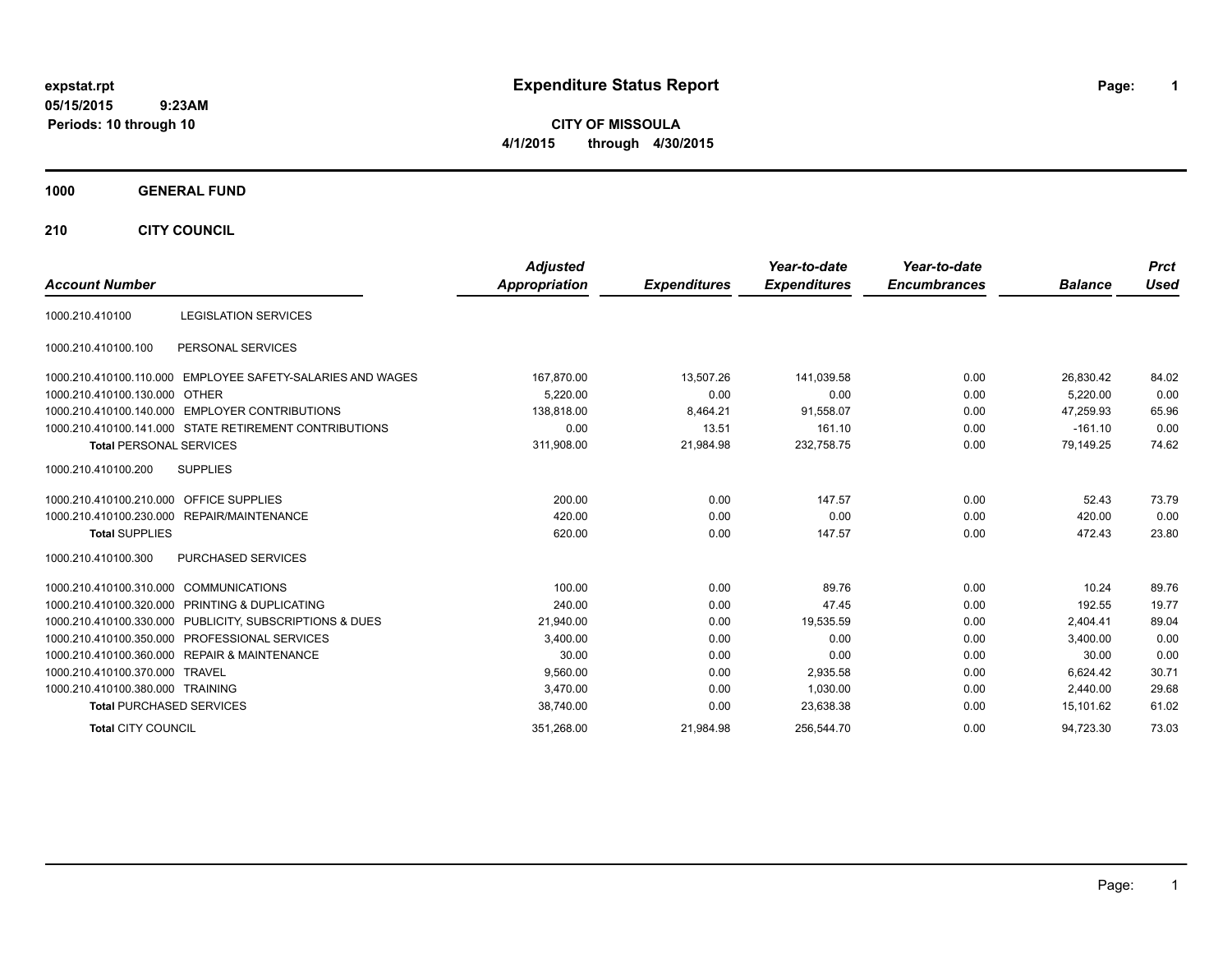# **expstat.rpt Expenditure Status Report Page:**

**1**

**CITY OF MISSOULA 4/1/2015 through 4/30/2015**

### **1000 GENERAL FUND**

**210 CITY COUNCIL**

|                                                            | <b>Adjusted</b>      |                     | Year-to-date        | Year-to-date        |                | <b>Prct</b> |
|------------------------------------------------------------|----------------------|---------------------|---------------------|---------------------|----------------|-------------|
| <b>Account Number</b>                                      | <b>Appropriation</b> | <b>Expenditures</b> | <b>Expenditures</b> | <b>Encumbrances</b> | <b>Balance</b> | <b>Used</b> |
| <b>LEGISLATION SERVICES</b><br>1000.210.410100             |                      |                     |                     |                     |                |             |
| PERSONAL SERVICES<br>1000.210.410100.100                   |                      |                     |                     |                     |                |             |
| 1000.210.410100.110.000 EMPLOYEE SAFETY-SALARIES AND WAGES | 167,870.00           | 13,507.26           | 141,039.58          | 0.00                | 26,830.42      | 84.02       |
| 1000.210.410100.130.000 OTHER                              | 5.220.00             | 0.00                | 0.00                | 0.00                | 5,220.00       | 0.00        |
| 1000.210.410100.140.000 EMPLOYER CONTRIBUTIONS             | 138.818.00           | 8,464.21            | 91,558.07           | 0.00                | 47.259.93      | 65.96       |
| 1000.210.410100.141.000 STATE RETIREMENT CONTRIBUTIONS     | 0.00                 | 13.51               | 161.10              | 0.00                | $-161.10$      | 0.00        |
| <b>Total PERSONAL SERVICES</b>                             | 311,908.00           | 21,984.98           | 232,758.75          | 0.00                | 79,149.25      | 74.62       |
| <b>SUPPLIES</b><br>1000.210.410100.200                     |                      |                     |                     |                     |                |             |
| 1000.210.410100.210.000 OFFICE SUPPLIES                    | 200.00               | 0.00                | 147.57              | 0.00                | 52.43          | 73.79       |
| 1000.210.410100.230.000 REPAIR/MAINTENANCE                 | 420.00               | 0.00                | 0.00                | 0.00                | 420.00         | 0.00        |
| <b>Total SUPPLIES</b>                                      | 620.00               | 0.00                | 147.57              | 0.00                | 472.43         | 23.80       |
| <b>PURCHASED SERVICES</b><br>1000.210.410100.300           |                      |                     |                     |                     |                |             |
| 1000.210.410100.310.000 COMMUNICATIONS                     | 100.00               | 0.00                | 89.76               | 0.00                | 10.24          | 89.76       |
| 1000.210.410100.320.000 PRINTING & DUPLICATING             | 240.00               | 0.00                | 47.45               | 0.00                | 192.55         | 19.77       |
| 1000.210.410100.330.000 PUBLICITY, SUBSCRIPTIONS & DUES    | 21,940.00            | 0.00                | 19,535.59           | 0.00                | 2,404.41       | 89.04       |
| 1000.210.410100.350.000 PROFESSIONAL SERVICES              | 3,400.00             | 0.00                | 0.00                | 0.00                | 3.400.00       | 0.00        |
| 1000.210.410100.360.000 REPAIR & MAINTENANCE               | 30.00                | 0.00                | 0.00                | 0.00                | 30.00          | 0.00        |
| 1000.210.410100.370.000 TRAVEL                             | 9,560.00             | 0.00                | 2,935.58            | 0.00                | 6.624.42       | 30.71       |
| 1000.210.410100.380.000 TRAINING                           | 3.470.00             | 0.00                | 1,030.00            | 0.00                | 2.440.00       | 29.68       |
| <b>Total PURCHASED SERVICES</b>                            | 38,740.00            | 0.00                | 23,638.38           | 0.00                | 15,101.62      | 61.02       |
| <b>Total CITY COUNCIL</b>                                  | 351,268.00           | 21,984.98           | 256,544.70          | 0.00                | 94,723.30      | 73.03       |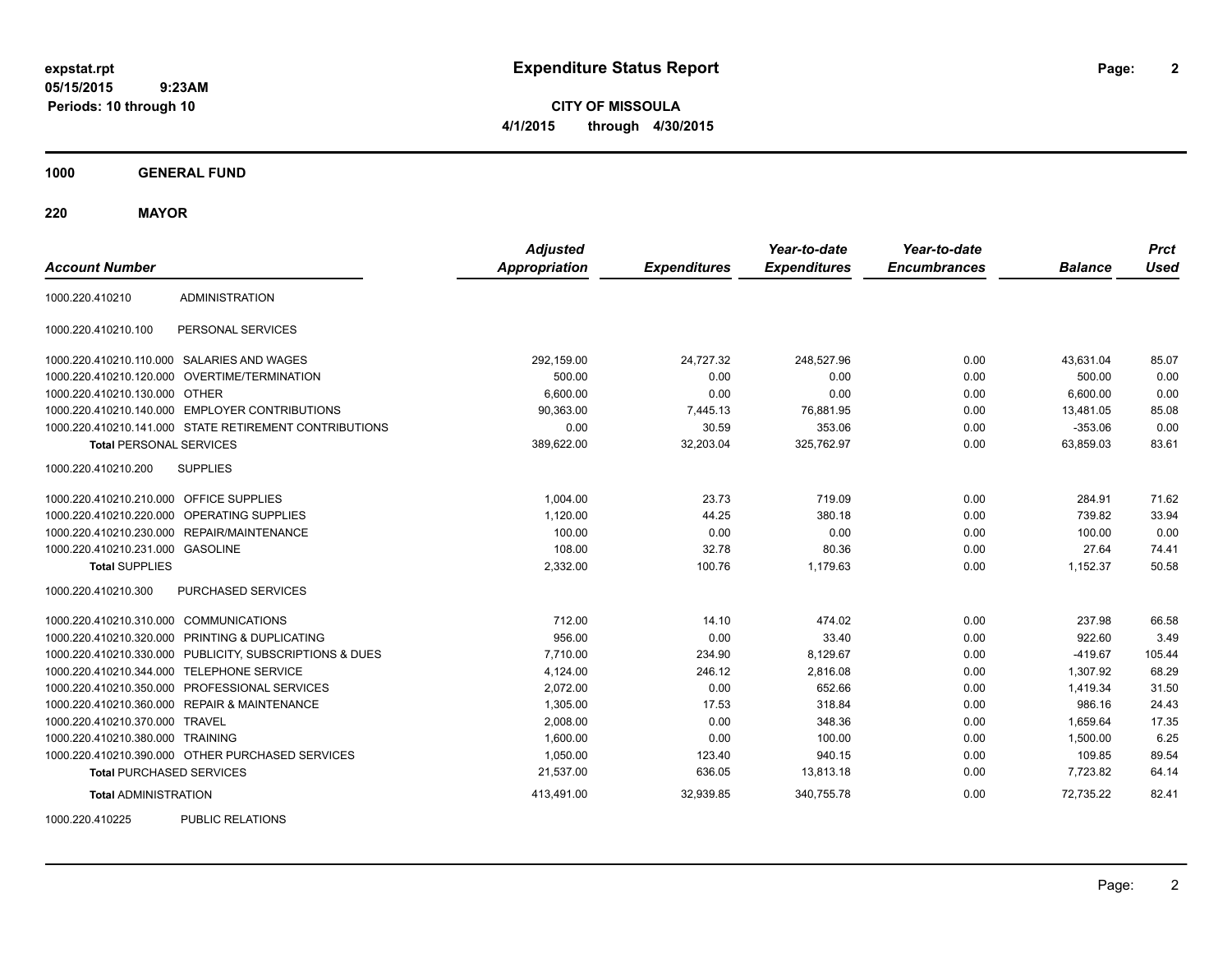**CITY OF MISSOULA 4/1/2015 through 4/30/2015**

**1000 GENERAL FUND**

**220 MAYOR**

| <b>Account Number</b>                   |                                                         | <b>Adjusted</b><br><b>Appropriation</b> | <b>Expenditures</b> | Year-to-date<br><b>Expenditures</b> | Year-to-date<br><b>Encumbrances</b> | <b>Balance</b> | <b>Prct</b><br><b>Used</b> |
|-----------------------------------------|---------------------------------------------------------|-----------------------------------------|---------------------|-------------------------------------|-------------------------------------|----------------|----------------------------|
| 1000.220.410210                         | <b>ADMINISTRATION</b>                                   |                                         |                     |                                     |                                     |                |                            |
| 1000.220.410210.100                     | PERSONAL SERVICES                                       |                                         |                     |                                     |                                     |                |                            |
|                                         | 1000.220.410210.110.000 SALARIES AND WAGES              | 292,159.00                              | 24,727.32           | 248,527.96                          | 0.00                                | 43,631.04      | 85.07                      |
|                                         | 1000.220.410210.120.000 OVERTIME/TERMINATION            | 500.00                                  | 0.00                | 0.00                                | 0.00                                | 500.00         | 0.00                       |
| 1000.220.410210.130.000 OTHER           |                                                         | 6,600.00                                | 0.00                | 0.00                                | 0.00                                | 6,600.00       | 0.00                       |
|                                         | 1000.220.410210.140.000 EMPLOYER CONTRIBUTIONS          | 90,363.00                               | 7,445.13            | 76,881.95                           | 0.00                                | 13,481.05      | 85.08                      |
|                                         | 1000.220.410210.141.000 STATE RETIREMENT CONTRIBUTIONS  | 0.00                                    | 30.59               | 353.06                              | 0.00                                | $-353.06$      | 0.00                       |
| <b>Total PERSONAL SERVICES</b>          |                                                         | 389,622.00                              | 32,203.04           | 325,762.97                          | 0.00                                | 63,859.03      | 83.61                      |
| 1000.220.410210.200                     | <b>SUPPLIES</b>                                         |                                         |                     |                                     |                                     |                |                            |
| 1000.220.410210.210.000 OFFICE SUPPLIES |                                                         | 1,004.00                                | 23.73               | 719.09                              | 0.00                                | 284.91         | 71.62                      |
|                                         | 1000.220.410210.220.000 OPERATING SUPPLIES              | 1,120.00                                | 44.25               | 380.18                              | 0.00                                | 739.82         | 33.94                      |
|                                         | 1000.220.410210.230.000 REPAIR/MAINTENANCE              | 100.00                                  | 0.00                | 0.00                                | 0.00                                | 100.00         | 0.00                       |
| 1000.220.410210.231.000 GASOLINE        |                                                         | 108.00                                  | 32.78               | 80.36                               | 0.00                                | 27.64          | 74.41                      |
| <b>Total SUPPLIES</b>                   |                                                         | 2,332.00                                | 100.76              | 1,179.63                            | 0.00                                | 1,152.37       | 50.58                      |
| 1000.220.410210.300                     | PURCHASED SERVICES                                      |                                         |                     |                                     |                                     |                |                            |
| 1000.220.410210.310.000 COMMUNICATIONS  |                                                         | 712.00                                  | 14.10               | 474.02                              | 0.00                                | 237.98         | 66.58                      |
|                                         | 1000.220.410210.320.000 PRINTING & DUPLICATING          | 956.00                                  | 0.00                | 33.40                               | 0.00                                | 922.60         | 3.49                       |
|                                         | 1000.220.410210.330.000 PUBLICITY, SUBSCRIPTIONS & DUES | 7,710.00                                | 234.90              | 8,129.67                            | 0.00                                | $-419.67$      | 105.44                     |
|                                         | 1000.220.410210.344.000 TELEPHONE SERVICE               | 4,124.00                                | 246.12              | 2,816.08                            | 0.00                                | 1,307.92       | 68.29                      |
|                                         | 1000.220.410210.350.000 PROFESSIONAL SERVICES           | 2,072.00                                | 0.00                | 652.66                              | 0.00                                | 1,419.34       | 31.50                      |
|                                         | 1000.220.410210.360.000 REPAIR & MAINTENANCE            | 1,305.00                                | 17.53               | 318.84                              | 0.00                                | 986.16         | 24.43                      |
| 1000.220.410210.370.000 TRAVEL          |                                                         | 2,008.00                                | 0.00                | 348.36                              | 0.00                                | 1,659.64       | 17.35                      |
| 1000.220.410210.380.000 TRAINING        |                                                         | 1,600.00                                | 0.00                | 100.00                              | 0.00                                | 1,500.00       | 6.25                       |
|                                         | 1000.220.410210.390.000 OTHER PURCHASED SERVICES        | 1,050.00                                | 123.40              | 940.15                              | 0.00                                | 109.85         | 89.54                      |
| <b>Total PURCHASED SERVICES</b>         |                                                         | 21,537.00                               | 636.05              | 13,813.18                           | 0.00                                | 7,723.82       | 64.14                      |
| <b>Total ADMINISTRATION</b>             |                                                         | 413,491.00                              | 32,939.85           | 340,755.78                          | 0.00                                | 72,735.22      | 82.41                      |
| 1000000110005                           | <b>DUDLIO DEL ATIONO</b>                                |                                         |                     |                                     |                                     |                |                            |

1000.220.410225 PUBLIC RELATIONS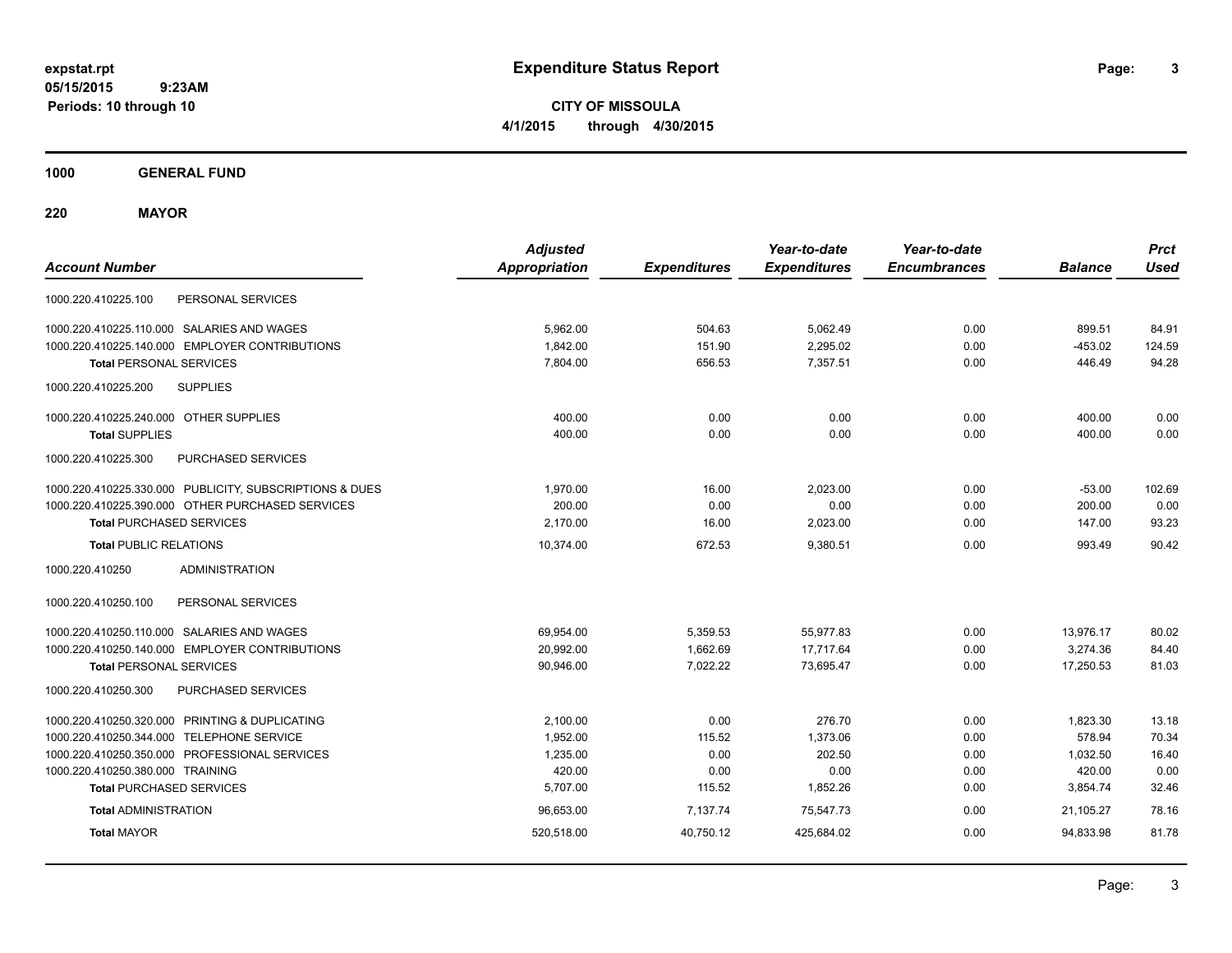**CITY OF MISSOULA 4/1/2015 through 4/30/2015**

**1000 GENERAL FUND**

**220 MAYOR**

| <b>Account Number</b>                                   | <b>Adjusted</b><br><b>Appropriation</b> | <b>Expenditures</b> | Year-to-date<br><b>Expenditures</b> | Year-to-date<br><b>Encumbrances</b> | <b>Balance</b> | <b>Prct</b><br><b>Used</b> |
|---------------------------------------------------------|-----------------------------------------|---------------------|-------------------------------------|-------------------------------------|----------------|----------------------------|
| PERSONAL SERVICES<br>1000.220.410225.100                |                                         |                     |                                     |                                     |                |                            |
| 1000.220.410225.110.000 SALARIES AND WAGES              | 5,962.00                                | 504.63              | 5,062.49                            | 0.00                                | 899.51         | 84.91                      |
| 1000.220.410225.140.000 EMPLOYER CONTRIBUTIONS          | 1,842.00                                | 151.90              | 2,295.02                            | 0.00                                | $-453.02$      | 124.59                     |
| <b>Total PERSONAL SERVICES</b>                          | 7.804.00                                | 656.53              | 7,357.51                            | 0.00                                | 446.49         | 94.28                      |
| <b>SUPPLIES</b><br>1000.220.410225.200                  |                                         |                     |                                     |                                     |                |                            |
| 1000.220.410225.240.000 OTHER SUPPLIES                  | 400.00                                  | 0.00                | 0.00                                | 0.00                                | 400.00         | 0.00                       |
| <b>Total SUPPLIES</b>                                   | 400.00                                  | 0.00                | 0.00                                | 0.00                                | 400.00         | 0.00                       |
| 1000.220.410225.300<br>PURCHASED SERVICES               |                                         |                     |                                     |                                     |                |                            |
| 1000.220.410225.330.000 PUBLICITY, SUBSCRIPTIONS & DUES | 1,970.00                                | 16.00               | 2,023.00                            | 0.00                                | $-53.00$       | 102.69                     |
| 1000.220.410225.390.000 OTHER PURCHASED SERVICES        | 200.00                                  | 0.00                | 0.00                                | 0.00                                | 200.00         | 0.00                       |
| <b>Total PURCHASED SERVICES</b>                         | 2,170.00                                | 16.00               | 2,023.00                            | 0.00                                | 147.00         | 93.23                      |
| <b>Total PUBLIC RELATIONS</b>                           | 10.374.00                               | 672.53              | 9,380.51                            | 0.00                                | 993.49         | 90.42                      |
| 1000.220.410250<br><b>ADMINISTRATION</b>                |                                         |                     |                                     |                                     |                |                            |
| 1000.220.410250.100<br>PERSONAL SERVICES                |                                         |                     |                                     |                                     |                |                            |
| 1000.220.410250.110.000 SALARIES AND WAGES              | 69,954.00                               | 5,359.53            | 55,977.83                           | 0.00                                | 13,976.17      | 80.02                      |
| 1000.220.410250.140.000 EMPLOYER CONTRIBUTIONS          | 20,992.00                               | 1,662.69            | 17,717.64                           | 0.00                                | 3,274.36       | 84.40                      |
| <b>Total PERSONAL SERVICES</b>                          | 90,946.00                               | 7,022.22            | 73,695.47                           | 0.00                                | 17,250.53      | 81.03                      |
| 1000.220.410250.300<br>PURCHASED SERVICES               |                                         |                     |                                     |                                     |                |                            |
| 1000.220.410250.320.000 PRINTING & DUPLICATING          | 2,100.00                                | 0.00                | 276.70                              | 0.00                                | 1,823.30       | 13.18                      |
| 1000.220.410250.344.000 TELEPHONE SERVICE               | 1,952.00                                | 115.52              | 1,373.06                            | 0.00                                | 578.94         | 70.34                      |
| 1000.220.410250.350.000 PROFESSIONAL SERVICES           | 1,235.00                                | 0.00                | 202.50                              | 0.00                                | 1,032.50       | 16.40                      |
| 1000.220.410250.380.000 TRAINING                        | 420.00                                  | 0.00                | 0.00                                | 0.00                                | 420.00         | 0.00                       |
| <b>Total PURCHASED SERVICES</b>                         | 5,707.00                                | 115.52              | 1,852.26                            | 0.00                                | 3,854.74       | 32.46                      |
| <b>Total ADMINISTRATION</b>                             | 96,653.00                               | 7,137.74            | 75,547.73                           | 0.00                                | 21.105.27      | 78.16                      |
| <b>Total MAYOR</b>                                      | 520,518.00                              | 40,750.12           | 425,684.02                          | 0.00                                | 94,833.98      | 81.78                      |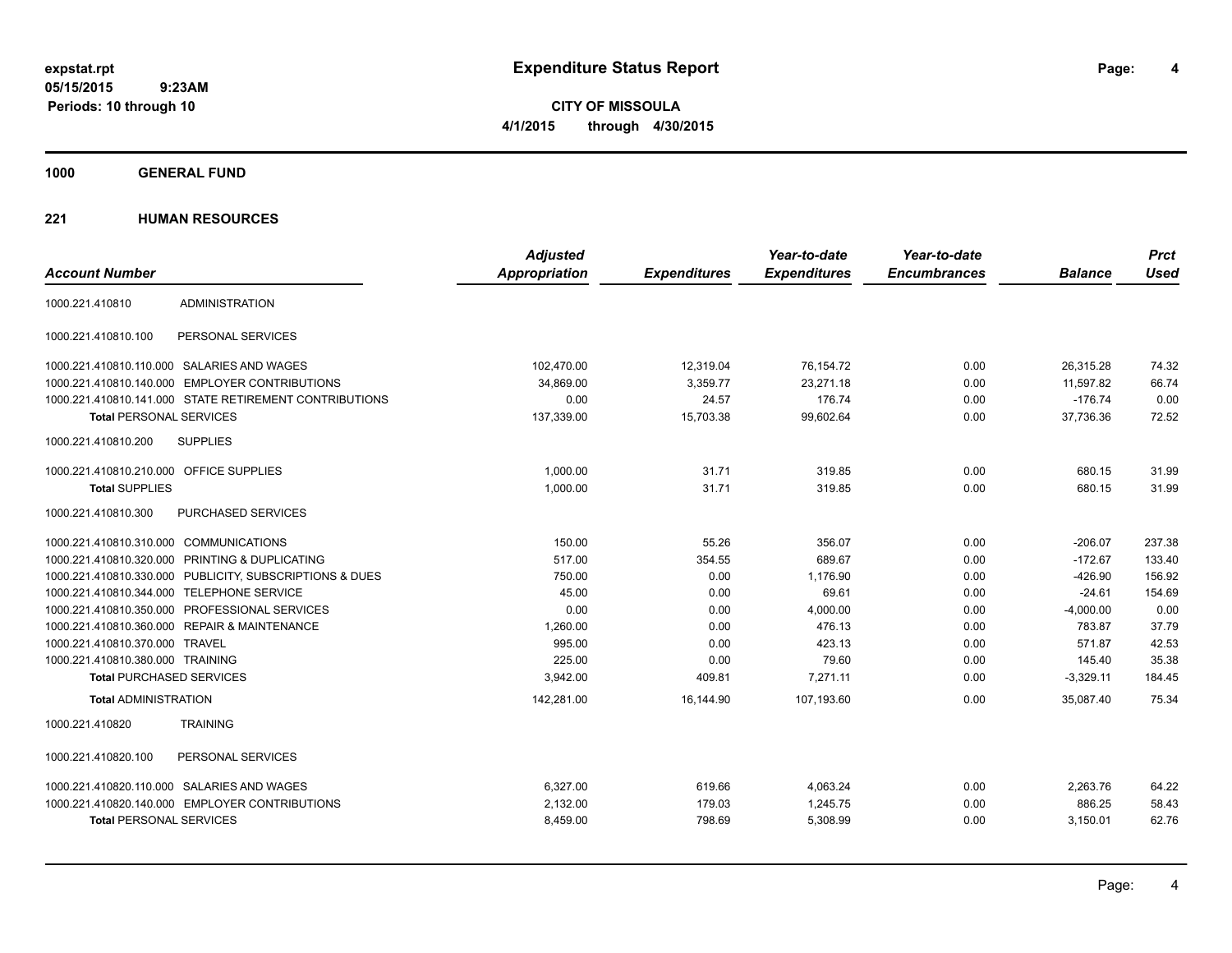**CITY OF MISSOULA 4/1/2015 through 4/30/2015**

**1000 GENERAL FUND**

|                                                         | <b>Adjusted</b>      |                     | Year-to-date        | Year-to-date        |                | <b>Prct</b> |
|---------------------------------------------------------|----------------------|---------------------|---------------------|---------------------|----------------|-------------|
| <b>Account Number</b>                                   | <b>Appropriation</b> | <b>Expenditures</b> | <b>Expenditures</b> | <b>Encumbrances</b> | <b>Balance</b> | <b>Used</b> |
| <b>ADMINISTRATION</b><br>1000.221.410810                |                      |                     |                     |                     |                |             |
| 1000.221.410810.100<br>PERSONAL SERVICES                |                      |                     |                     |                     |                |             |
| 1000.221.410810.110.000 SALARIES AND WAGES              | 102,470.00           | 12,319.04           | 76,154.72           | 0.00                | 26,315.28      | 74.32       |
| 1000.221.410810.140.000 EMPLOYER CONTRIBUTIONS          | 34,869.00            | 3,359.77            | 23,271.18           | 0.00                | 11,597.82      | 66.74       |
| 1000.221.410810.141.000 STATE RETIREMENT CONTRIBUTIONS  | 0.00                 | 24.57               | 176.74              | 0.00                | $-176.74$      | 0.00        |
| <b>Total PERSONAL SERVICES</b>                          | 137,339.00           | 15,703.38           | 99,602.64           | 0.00                | 37,736.36      | 72.52       |
| 1000.221.410810.200<br><b>SUPPLIES</b>                  |                      |                     |                     |                     |                |             |
| 1000.221.410810.210.000 OFFICE SUPPLIES                 | 1,000.00             | 31.71               | 319.85              | 0.00                | 680.15         | 31.99       |
| <b>Total SUPPLIES</b>                                   | 1,000.00             | 31.71               | 319.85              | 0.00                | 680.15         | 31.99       |
| 1000.221.410810.300<br><b>PURCHASED SERVICES</b>        |                      |                     |                     |                     |                |             |
| 1000.221.410810.310.000 COMMUNICATIONS                  | 150.00               | 55.26               | 356.07              | 0.00                | $-206.07$      | 237.38      |
| 1000.221.410810.320.000 PRINTING & DUPLICATING          | 517.00               | 354.55              | 689.67              | 0.00                | $-172.67$      | 133.40      |
| 1000.221.410810.330.000 PUBLICITY, SUBSCRIPTIONS & DUES | 750.00               | 0.00                | 1,176.90            | 0.00                | $-426.90$      | 156.92      |
| 1000.221.410810.344.000 TELEPHONE SERVICE               | 45.00                | 0.00                | 69.61               | 0.00                | $-24.61$       | 154.69      |
| 1000.221.410810.350.000 PROFESSIONAL SERVICES           | 0.00                 | 0.00                | 4,000.00            | 0.00                | $-4,000.00$    | 0.00        |
| 1000.221.410810.360.000 REPAIR & MAINTENANCE            | 1,260.00             | 0.00                | 476.13              | 0.00                | 783.87         | 37.79       |
| 1000.221.410810.370.000 TRAVEL                          | 995.00               | 0.00                | 423.13              | 0.00                | 571.87         | 42.53       |
| 1000.221.410810.380.000 TRAINING                        | 225.00               | 0.00                | 79.60               | 0.00                | 145.40         | 35.38       |
| <b>Total PURCHASED SERVICES</b>                         | 3,942.00             | 409.81              | 7,271.11            | 0.00                | $-3,329.11$    | 184.45      |
| <b>Total ADMINISTRATION</b>                             | 142,281.00           | 16,144.90           | 107.193.60          | 0.00                | 35.087.40      | 75.34       |
| <b>TRAINING</b><br>1000.221.410820                      |                      |                     |                     |                     |                |             |
| 1000.221.410820.100<br>PERSONAL SERVICES                |                      |                     |                     |                     |                |             |
| 1000.221.410820.110.000 SALARIES AND WAGES              | 6,327.00             | 619.66              | 4,063.24            | 0.00                | 2,263.76       | 64.22       |
| 1000.221.410820.140.000 EMPLOYER CONTRIBUTIONS          | 2,132.00             | 179.03              | 1,245.75            | 0.00                | 886.25         | 58.43       |
| <b>Total PERSONAL SERVICES</b>                          | 8,459.00             | 798.69              | 5,308.99            | 0.00                | 3,150.01       | 62.76       |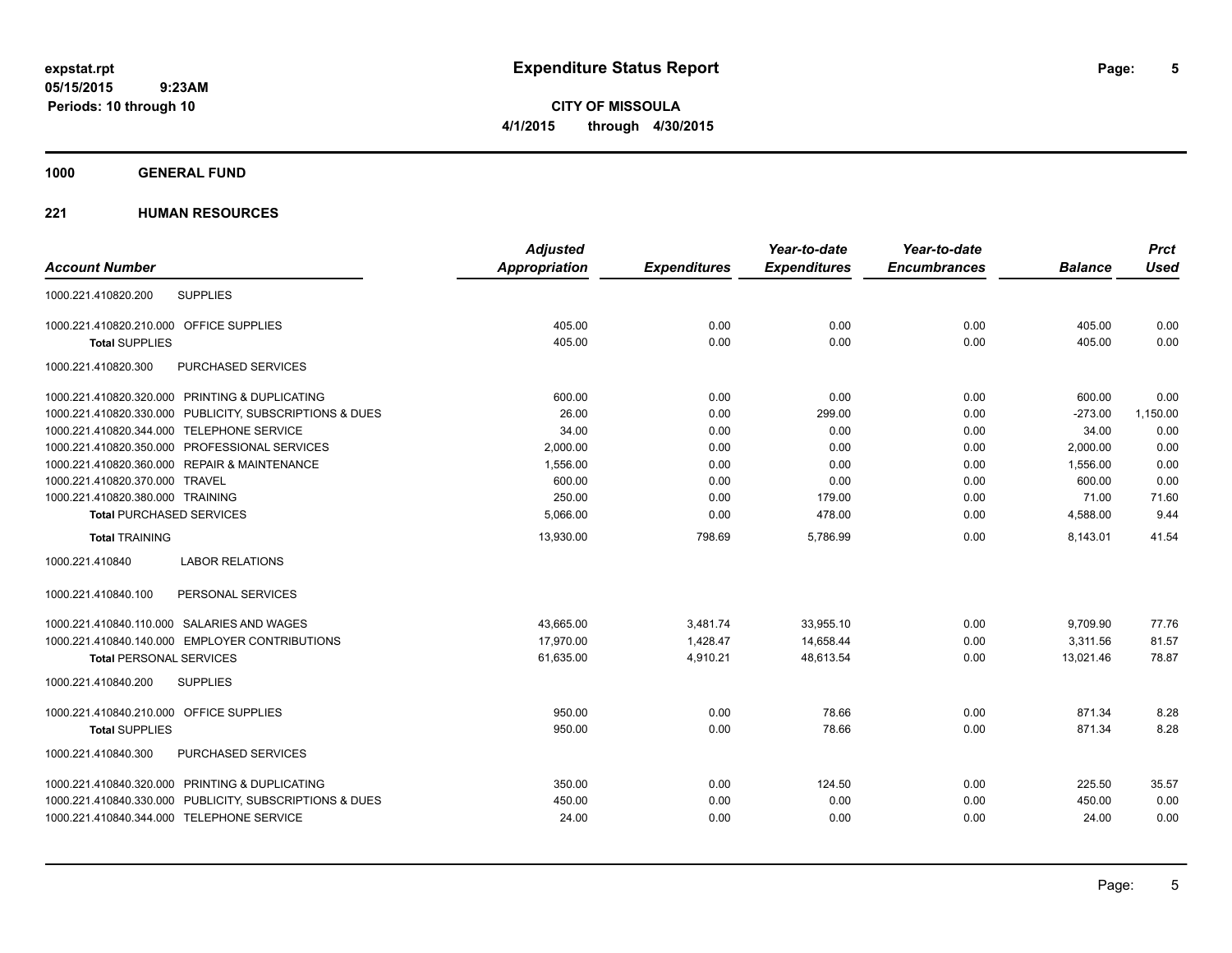**CITY OF MISSOULA 4/1/2015 through 4/30/2015**

### **1000 GENERAL FUND**

| <b>Adjusted</b>      |                     | Year-to-date        | Year-to-date        |                | <b>Prct</b> |
|----------------------|---------------------|---------------------|---------------------|----------------|-------------|
| <b>Appropriation</b> | <b>Expenditures</b> | <b>Expenditures</b> | <b>Encumbrances</b> | <b>Balance</b> | <b>Used</b> |
|                      |                     |                     |                     |                |             |
| 405.00               | 0.00                | 0.00                | 0.00                | 405.00         | 0.00        |
| 405.00               | 0.00                | 0.00                | 0.00                | 405.00         | 0.00        |
|                      |                     |                     |                     |                |             |
| 600.00               | 0.00                | 0.00                | 0.00                | 600.00         | 0.00        |
| 26.00                | 0.00                | 299.00              | 0.00                | $-273.00$      | 1,150.00    |
| 34.00                | 0.00                | 0.00                | 0.00                | 34.00          | 0.00        |
| 2,000.00             | 0.00                | 0.00                | 0.00                | 2,000.00       | 0.00        |
| 1,556.00             | 0.00                | 0.00                | 0.00                | 1,556.00       | 0.00        |
| 600.00               | 0.00                | 0.00                | 0.00                | 600.00         | 0.00        |
| 250.00               | 0.00                | 179.00              | 0.00                | 71.00          | 71.60       |
| 5.066.00             | 0.00                | 478.00              | 0.00                | 4,588.00       | 9.44        |
| 13,930.00            | 798.69              | 5.786.99            | 0.00                | 8,143.01       | 41.54       |
|                      |                     |                     |                     |                |             |
|                      |                     |                     |                     |                |             |
| 43,665.00            | 3,481.74            | 33,955.10           | 0.00                | 9,709.90       | 77.76       |
| 17.970.00            | 1.428.47            | 14.658.44           | 0.00                | 3.311.56       | 81.57       |
| 61,635.00            | 4,910.21            | 48,613.54           | 0.00                | 13,021.46      | 78.87       |
|                      |                     |                     |                     |                |             |
| 950.00               | 0.00                | 78.66               | 0.00                | 871.34         | 8.28        |
| 950.00               | 0.00                | 78.66               | 0.00                | 871.34         | 8.28        |
|                      |                     |                     |                     |                |             |
| 350.00               | 0.00                | 124.50              | 0.00                | 225.50         | 35.57       |
| 450.00               | 0.00                | 0.00                | 0.00                | 450.00         | 0.00        |
| 24.00                | 0.00                | 0.00                | 0.00                | 24.00          | 0.00        |
|                      |                     |                     |                     |                |             |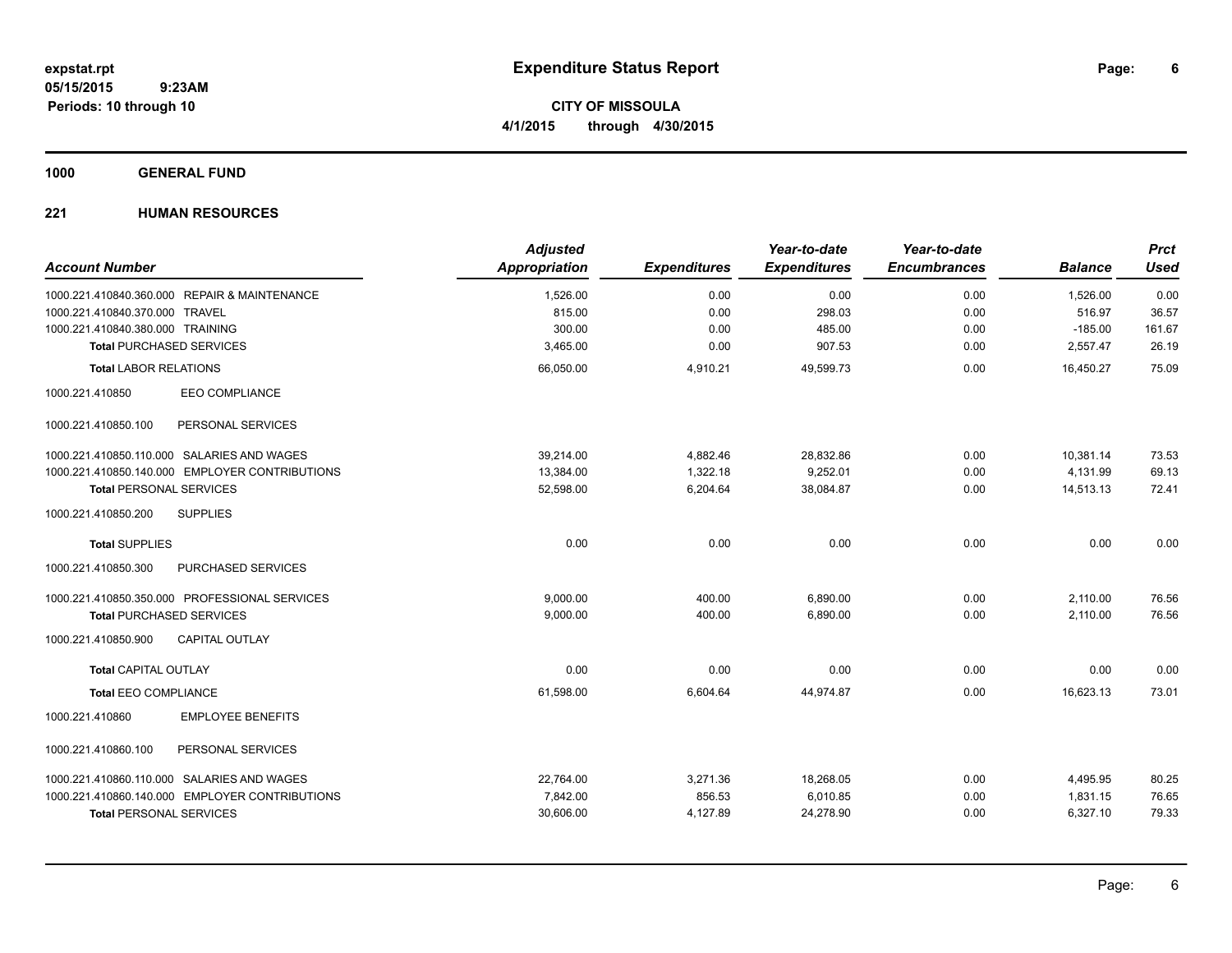**CITY OF MISSOULA 4/1/2015 through 4/30/2015**

### **1000 GENERAL FUND**

| <b>Account Number</b>                          | <b>Adjusted</b><br><b>Appropriation</b> | <b>Expenditures</b> | Year-to-date<br><b>Expenditures</b> | Year-to-date<br><b>Encumbrances</b> | <b>Balance</b> | <b>Prct</b><br><b>Used</b> |
|------------------------------------------------|-----------------------------------------|---------------------|-------------------------------------|-------------------------------------|----------------|----------------------------|
| 1000.221.410840.360.000 REPAIR & MAINTENANCE   | 1,526.00                                | 0.00                | 0.00                                | 0.00                                | 1,526.00       | 0.00                       |
| 1000.221.410840.370.000 TRAVEL                 | 815.00                                  | 0.00                | 298.03                              | 0.00                                | 516.97         | 36.57                      |
| 1000.221.410840.380.000 TRAINING               | 300.00                                  | 0.00                | 485.00                              | 0.00                                | $-185.00$      | 161.67                     |
| <b>Total PURCHASED SERVICES</b>                | 3,465.00                                | 0.00                | 907.53                              | 0.00                                | 2,557.47       | 26.19                      |
| <b>Total LABOR RELATIONS</b>                   | 66,050.00                               | 4,910.21            | 49,599.73                           | 0.00                                | 16,450.27      | 75.09                      |
| <b>EEO COMPLIANCE</b><br>1000.221.410850       |                                         |                     |                                     |                                     |                |                            |
| PERSONAL SERVICES<br>1000.221.410850.100       |                                         |                     |                                     |                                     |                |                            |
| 1000.221.410850.110.000 SALARIES AND WAGES     | 39,214.00                               | 4,882.46            | 28,832.86                           | 0.00                                | 10,381.14      | 73.53                      |
| 1000.221.410850.140.000 EMPLOYER CONTRIBUTIONS | 13,384.00                               | 1,322.18            | 9,252.01                            | 0.00                                | 4,131.99       | 69.13                      |
| <b>Total PERSONAL SERVICES</b>                 | 52,598.00                               | 6,204.64            | 38,084.87                           | 0.00                                | 14,513.13      | 72.41                      |
| 1000.221.410850.200<br><b>SUPPLIES</b>         |                                         |                     |                                     |                                     |                |                            |
| <b>Total SUPPLIES</b>                          | 0.00                                    | 0.00                | 0.00                                | 0.00                                | 0.00           | 0.00                       |
| PURCHASED SERVICES<br>1000.221.410850.300      |                                         |                     |                                     |                                     |                |                            |
| 1000.221.410850.350.000 PROFESSIONAL SERVICES  | 9.000.00                                | 400.00              | 6,890.00                            | 0.00                                | 2,110.00       | 76.56                      |
| <b>Total PURCHASED SERVICES</b>                | 9,000.00                                | 400.00              | 6,890.00                            | 0.00                                | 2,110.00       | 76.56                      |
| <b>CAPITAL OUTLAY</b><br>1000.221.410850.900   |                                         |                     |                                     |                                     |                |                            |
| <b>Total CAPITAL OUTLAY</b>                    | 0.00                                    | 0.00                | 0.00                                | 0.00                                | 0.00           | 0.00                       |
| <b>Total EEO COMPLIANCE</b>                    | 61,598.00                               | 6,604.64            | 44,974.87                           | 0.00                                | 16,623.13      | 73.01                      |
| <b>EMPLOYEE BENEFITS</b><br>1000.221.410860    |                                         |                     |                                     |                                     |                |                            |
| PERSONAL SERVICES<br>1000.221.410860.100       |                                         |                     |                                     |                                     |                |                            |
| 1000.221.410860.110.000 SALARIES AND WAGES     | 22,764.00                               | 3,271.36            | 18,268.05                           | 0.00                                | 4,495.95       | 80.25                      |
| 1000.221.410860.140.000 EMPLOYER CONTRIBUTIONS | 7,842.00                                | 856.53              | 6,010.85                            | 0.00                                | 1,831.15       | 76.65                      |
| <b>Total PERSONAL SERVICES</b>                 | 30,606.00                               | 4,127.89            | 24,278.90                           | 0.00                                | 6,327.10       | 79.33                      |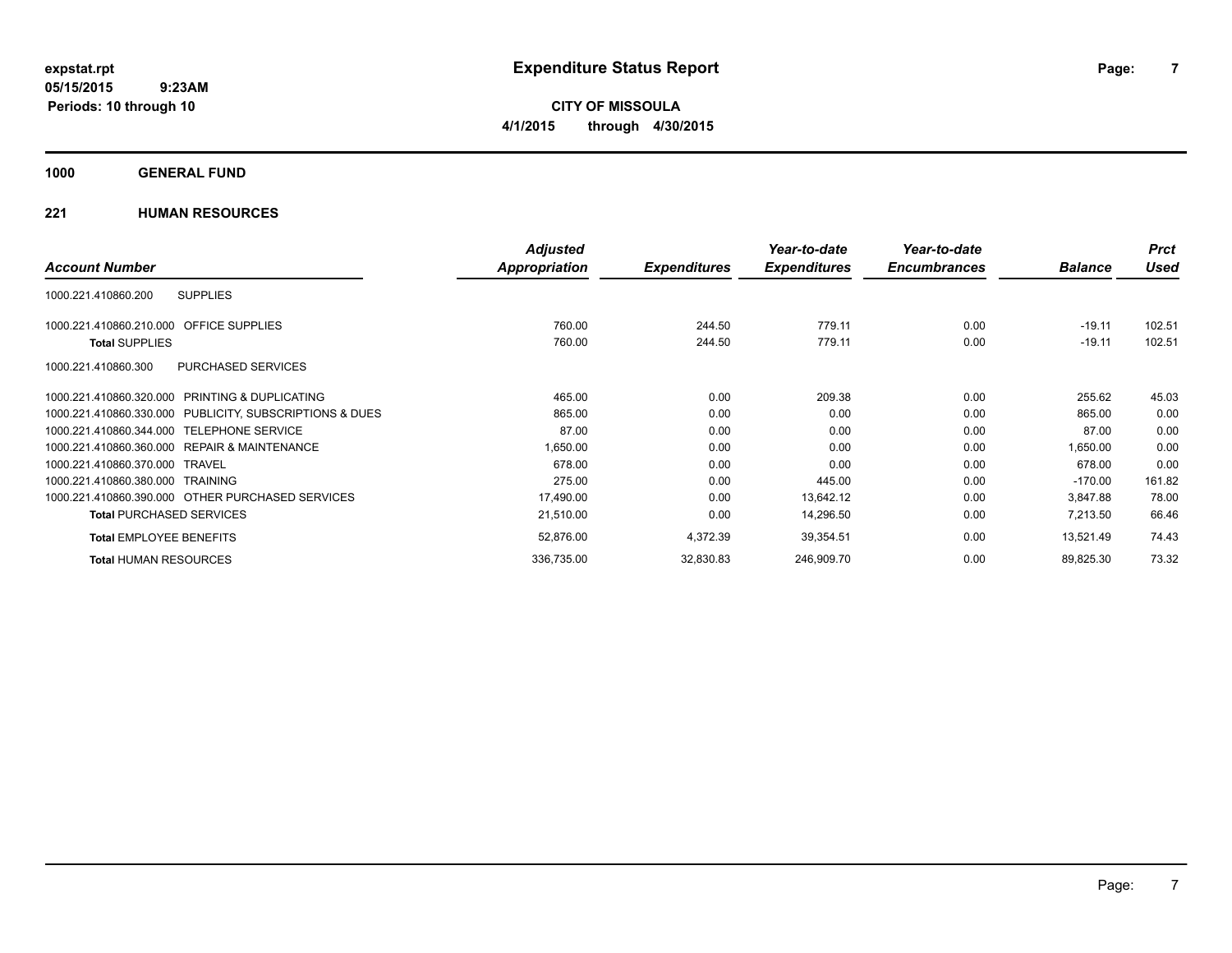**CITY OF MISSOULA 4/1/2015 through 4/30/2015**

### **1000 GENERAL FUND**

|                                                         | <b>Adjusted</b> |                     | Year-to-date        | Year-to-date        |                | <b>Prct</b> |
|---------------------------------------------------------|-----------------|---------------------|---------------------|---------------------|----------------|-------------|
| <b>Account Number</b>                                   | Appropriation   | <b>Expenditures</b> | <b>Expenditures</b> | <b>Encumbrances</b> | <b>Balance</b> | Used        |
| 1000.221.410860.200<br><b>SUPPLIES</b>                  |                 |                     |                     |                     |                |             |
| 1000.221.410860.210.000 OFFICE SUPPLIES                 | 760.00          | 244.50              | 779.11              | 0.00                | $-19.11$       | 102.51      |
| <b>Total SUPPLIES</b>                                   | 760.00          | 244.50              | 779.11              | 0.00                | $-19.11$       | 102.51      |
| 1000.221.410860.300<br><b>PURCHASED SERVICES</b>        |                 |                     |                     |                     |                |             |
| 1000.221.410860.320.000 PRINTING & DUPLICATING          | 465.00          | 0.00                | 209.38              | 0.00                | 255.62         | 45.03       |
| 1000.221.410860.330.000 PUBLICITY, SUBSCRIPTIONS & DUES | 865.00          | 0.00                | 0.00                | 0.00                | 865.00         | 0.00        |
| 1000.221.410860.344.000 TELEPHONE SERVICE               | 87.00           | 0.00                | 0.00                | 0.00                | 87.00          | 0.00        |
| 1000.221.410860.360.000 REPAIR & MAINTENANCE            | 1,650.00        | 0.00                | 0.00                | 0.00                | 1,650.00       | 0.00        |
| 1000.221.410860.370.000 TRAVEL                          | 678.00          | 0.00                | 0.00                | 0.00                | 678.00         | 0.00        |
| 1000.221.410860.380.000 TRAINING                        | 275.00          | 0.00                | 445.00              | 0.00                | $-170.00$      | 161.82      |
| 1000.221.410860.390.000 OTHER PURCHASED SERVICES        | 17,490.00       | 0.00                | 13,642.12           | 0.00                | 3,847.88       | 78.00       |
| <b>Total PURCHASED SERVICES</b>                         | 21,510.00       | 0.00                | 14,296.50           | 0.00                | 7,213.50       | 66.46       |
| <b>Total EMPLOYEE BENEFITS</b>                          | 52,876.00       | 4,372.39            | 39,354.51           | 0.00                | 13,521.49      | 74.43       |
| <b>Total HUMAN RESOURCES</b>                            | 336,735.00      | 32,830.83           | 246,909.70          | 0.00                | 89,825.30      | 73.32       |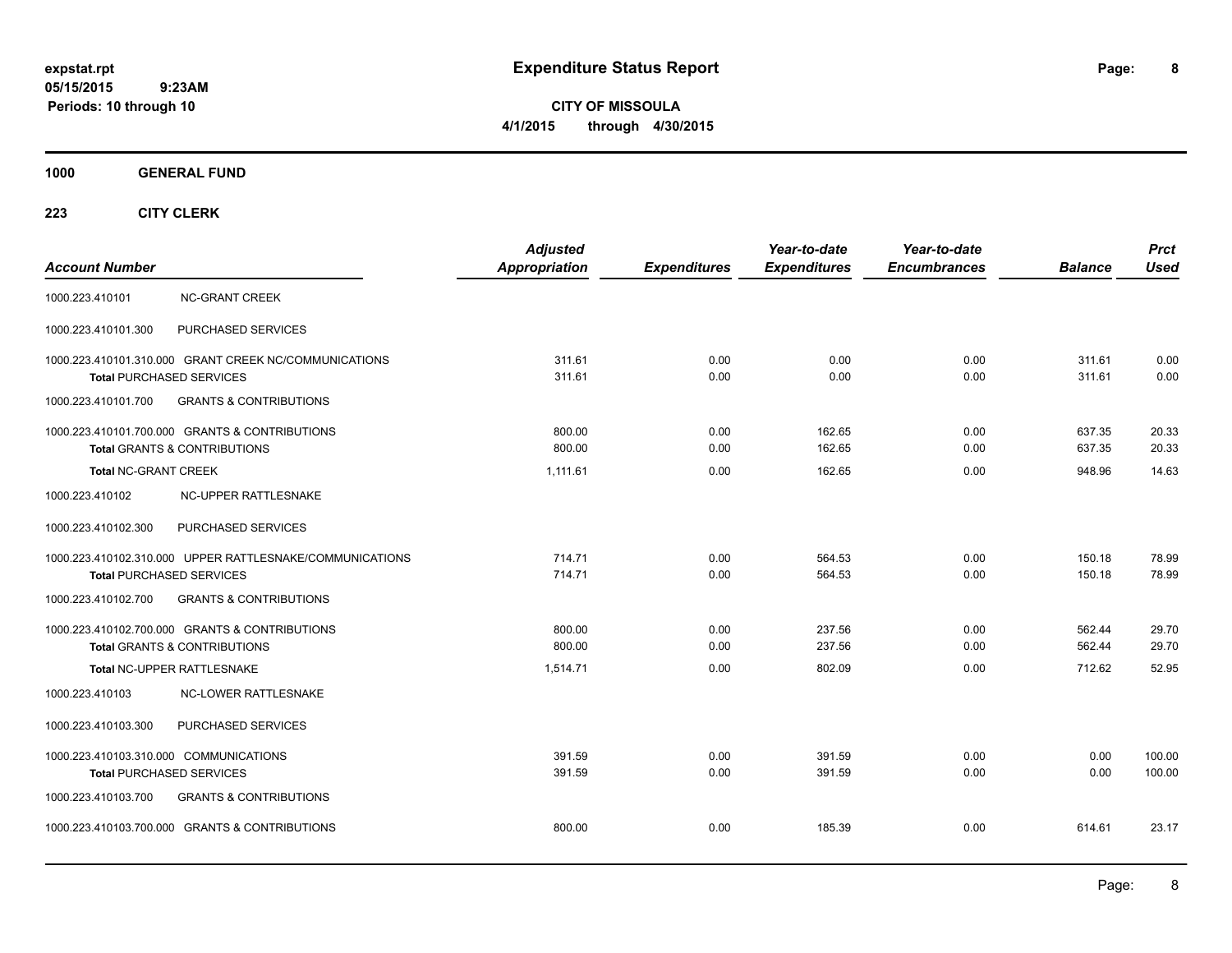**CITY OF MISSOULA 4/1/2015 through 4/30/2015**

**1000 GENERAL FUND**

| <b>Account Number</b>                                                                       | <b>Adjusted</b><br><b>Appropriation</b> | <b>Expenditures</b> | Year-to-date<br><b>Expenditures</b> | Year-to-date<br><b>Encumbrances</b> | <b>Balance</b>   | <b>Prct</b><br><b>Used</b> |
|---------------------------------------------------------------------------------------------|-----------------------------------------|---------------------|-------------------------------------|-------------------------------------|------------------|----------------------------|
| 1000.223.410101<br><b>NC-GRANT CREEK</b>                                                    |                                         |                     |                                     |                                     |                  |                            |
| 1000.223.410101.300<br>PURCHASED SERVICES                                                   |                                         |                     |                                     |                                     |                  |                            |
| 1000.223.410101.310.000 GRANT CREEK NC/COMMUNICATIONS<br><b>Total PURCHASED SERVICES</b>    | 311.61<br>311.61                        | 0.00<br>0.00        | 0.00<br>0.00                        | 0.00<br>0.00                        | 311.61<br>311.61 | 0.00<br>0.00               |
| <b>GRANTS &amp; CONTRIBUTIONS</b><br>1000.223.410101.700                                    |                                         |                     |                                     |                                     |                  |                            |
| 1000.223.410101.700.000 GRANTS & CONTRIBUTIONS<br><b>Total GRANTS &amp; CONTRIBUTIONS</b>   | 800.00<br>800.00                        | 0.00<br>0.00        | 162.65<br>162.65                    | 0.00<br>0.00                        | 637.35<br>637.35 | 20.33<br>20.33             |
| <b>Total NC-GRANT CREEK</b>                                                                 | 1,111.61                                | 0.00                | 162.65                              | 0.00                                | 948.96           | 14.63                      |
| 1000.223.410102<br>NC-UPPER RATTLESNAKE                                                     |                                         |                     |                                     |                                     |                  |                            |
| 1000.223.410102.300<br>PURCHASED SERVICES                                                   |                                         |                     |                                     |                                     |                  |                            |
| 1000.223.410102.310.000 UPPER RATTLESNAKE/COMMUNICATIONS<br><b>Total PURCHASED SERVICES</b> | 714.71<br>714.71                        | 0.00<br>0.00        | 564.53<br>564.53                    | 0.00<br>0.00                        | 150.18<br>150.18 | 78.99<br>78.99             |
| 1000.223.410102.700<br><b>GRANTS &amp; CONTRIBUTIONS</b>                                    |                                         |                     |                                     |                                     |                  |                            |
| 1000.223.410102.700.000 GRANTS & CONTRIBUTIONS<br><b>Total GRANTS &amp; CONTRIBUTIONS</b>   | 800.00<br>800.00                        | 0.00<br>0.00        | 237.56<br>237.56                    | 0.00<br>0.00                        | 562.44<br>562.44 | 29.70<br>29.70             |
| Total NC-UPPER RATTLESNAKE                                                                  | 1,514.71                                | 0.00                | 802.09                              | 0.00                                | 712.62           | 52.95                      |
| NC-LOWER RATTLESNAKE<br>1000.223.410103                                                     |                                         |                     |                                     |                                     |                  |                            |
| PURCHASED SERVICES<br>1000.223.410103.300                                                   |                                         |                     |                                     |                                     |                  |                            |
| 1000.223.410103.310.000 COMMUNICATIONS<br><b>Total PURCHASED SERVICES</b>                   | 391.59<br>391.59                        | 0.00<br>0.00        | 391.59<br>391.59                    | 0.00<br>0.00                        | 0.00<br>0.00     | 100.00<br>100.00           |
| 1000.223.410103.700<br><b>GRANTS &amp; CONTRIBUTIONS</b>                                    |                                         |                     |                                     |                                     |                  |                            |
| 1000.223.410103.700.000 GRANTS & CONTRIBUTIONS                                              | 800.00                                  | 0.00                | 185.39                              | 0.00                                | 614.61           | 23.17                      |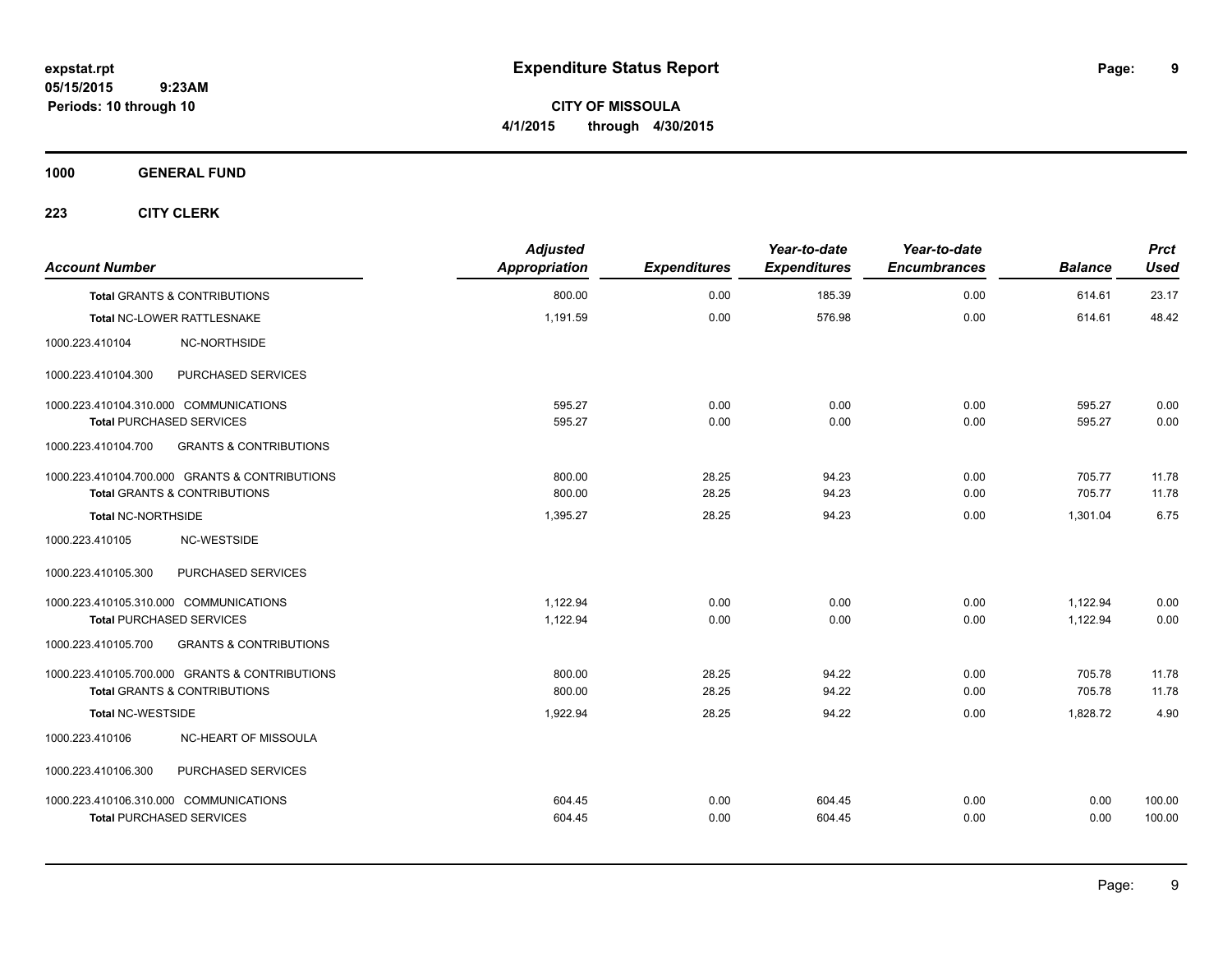**CITY OF MISSOULA 4/1/2015 through 4/30/2015**

**1000 GENERAL FUND**

| <b>Account Number</b>                   |                                                | <b>Adjusted</b><br>Appropriation | <b>Expenditures</b> | Year-to-date<br><b>Expenditures</b> | Year-to-date<br><b>Encumbrances</b> | <b>Balance</b> | <b>Prct</b><br>Used |
|-----------------------------------------|------------------------------------------------|----------------------------------|---------------------|-------------------------------------|-------------------------------------|----------------|---------------------|
| <b>Total GRANTS &amp; CONTRIBUTIONS</b> |                                                | 800.00                           | 0.00                | 185.39                              | 0.00                                | 614.61         | 23.17               |
| Total NC-LOWER RATTLESNAKE              |                                                | 1,191.59                         | 0.00                | 576.98                              | 0.00                                | 614.61         | 48.42               |
| 1000.223.410104                         | NC-NORTHSIDE                                   |                                  |                     |                                     |                                     |                |                     |
| 1000.223.410104.300                     | PURCHASED SERVICES                             |                                  |                     |                                     |                                     |                |                     |
| 1000.223.410104.310.000 COMMUNICATIONS  |                                                | 595.27                           | 0.00                | 0.00                                | 0.00                                | 595.27         | 0.00                |
| <b>Total PURCHASED SERVICES</b>         |                                                | 595.27                           | 0.00                | 0.00                                | 0.00                                | 595.27         | 0.00                |
| 1000.223.410104.700                     | <b>GRANTS &amp; CONTRIBUTIONS</b>              |                                  |                     |                                     |                                     |                |                     |
|                                         | 1000.223.410104.700.000 GRANTS & CONTRIBUTIONS | 800.00                           | 28.25               | 94.23                               | 0.00                                | 705.77         | 11.78               |
| Total GRANTS & CONTRIBUTIONS            |                                                | 800.00                           | 28.25               | 94.23                               | 0.00                                | 705.77         | 11.78               |
| <b>Total NC-NORTHSIDE</b>               |                                                | 1,395.27                         | 28.25               | 94.23                               | 0.00                                | 1,301.04       | 6.75                |
| 1000.223.410105                         | <b>NC-WESTSIDE</b>                             |                                  |                     |                                     |                                     |                |                     |
| 1000.223.410105.300                     | PURCHASED SERVICES                             |                                  |                     |                                     |                                     |                |                     |
| 1000.223.410105.310.000 COMMUNICATIONS  |                                                | 1.122.94                         | 0.00                | 0.00                                | 0.00                                | 1,122.94       | 0.00                |
| <b>Total PURCHASED SERVICES</b>         |                                                | 1,122.94                         | 0.00                | 0.00                                | 0.00                                | 1,122.94       | 0.00                |
| 1000.223.410105.700                     | <b>GRANTS &amp; CONTRIBUTIONS</b>              |                                  |                     |                                     |                                     |                |                     |
|                                         | 1000.223.410105.700.000 GRANTS & CONTRIBUTIONS | 800.00                           | 28.25               | 94.22                               | 0.00                                | 705.78         | 11.78               |
| <b>Total GRANTS &amp; CONTRIBUTIONS</b> |                                                | 800.00                           | 28.25               | 94.22                               | 0.00                                | 705.78         | 11.78               |
| <b>Total NC-WESTSIDE</b>                |                                                | 1,922.94                         | 28.25               | 94.22                               | 0.00                                | 1,828.72       | 4.90                |
| 1000.223.410106                         | NC-HEART OF MISSOULA                           |                                  |                     |                                     |                                     |                |                     |
| 1000.223.410106.300                     | PURCHASED SERVICES                             |                                  |                     |                                     |                                     |                |                     |
| 1000.223.410106.310.000 COMMUNICATIONS  |                                                | 604.45                           | 0.00                | 604.45                              | 0.00                                | 0.00           | 100.00              |
| <b>Total PURCHASED SERVICES</b>         |                                                | 604.45                           | 0.00                | 604.45                              | 0.00                                | 0.00           | 100.00              |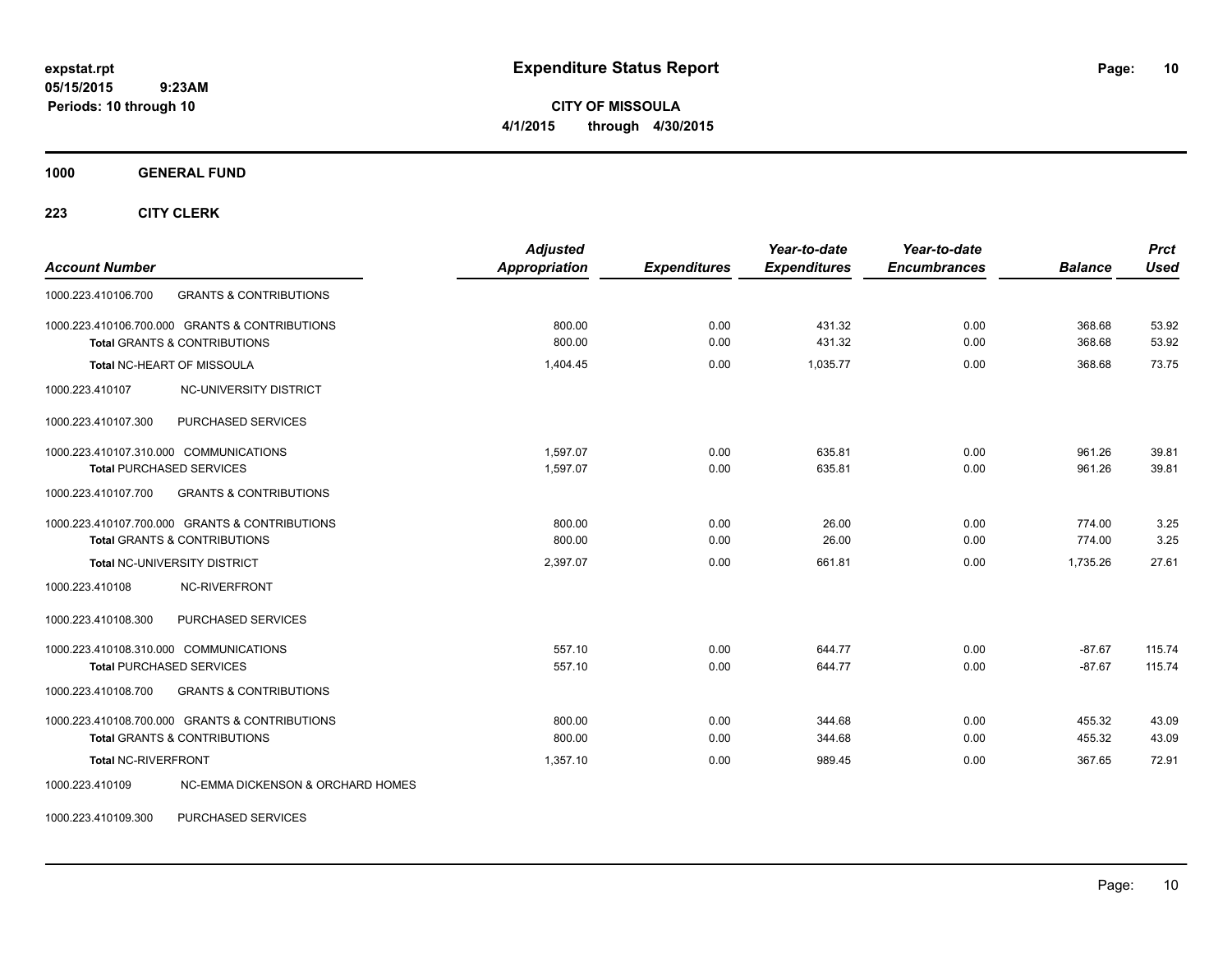**CITY OF MISSOULA 4/1/2015 through 4/30/2015**

**1000 GENERAL FUND**

**223 CITY CLERK**

| <b>Account Number</b>                                                                     | <b>Adjusted</b><br><b>Appropriation</b> | <b>Expenditures</b> | Year-to-date<br><b>Expenditures</b> | Year-to-date<br><b>Encumbrances</b> | <b>Balance</b>       | <b>Prct</b><br><b>Used</b> |
|-------------------------------------------------------------------------------------------|-----------------------------------------|---------------------|-------------------------------------|-------------------------------------|----------------------|----------------------------|
| 1000.223.410106.700<br><b>GRANTS &amp; CONTRIBUTIONS</b>                                  |                                         |                     |                                     |                                     |                      |                            |
| 1000.223.410106.700.000 GRANTS & CONTRIBUTIONS<br><b>Total GRANTS &amp; CONTRIBUTIONS</b> | 800.00<br>800.00                        | 0.00<br>0.00        | 431.32<br>431.32                    | 0.00<br>0.00                        | 368.68<br>368.68     | 53.92<br>53.92             |
| Total NC-HEART OF MISSOULA                                                                | 1.404.45                                | 0.00                | 1.035.77                            | 0.00                                | 368.68               | 73.75                      |
| NC-UNIVERSITY DISTRICT<br>1000.223.410107                                                 |                                         |                     |                                     |                                     |                      |                            |
| PURCHASED SERVICES<br>1000.223.410107.300                                                 |                                         |                     |                                     |                                     |                      |                            |
| 1000.223.410107.310.000 COMMUNICATIONS<br><b>Total PURCHASED SERVICES</b>                 | 1,597.07<br>1,597.07                    | 0.00<br>0.00        | 635.81<br>635.81                    | 0.00<br>0.00                        | 961.26<br>961.26     | 39.81<br>39.81             |
| <b>GRANTS &amp; CONTRIBUTIONS</b><br>1000.223.410107.700                                  |                                         |                     |                                     |                                     |                      |                            |
| 1000.223.410107.700.000 GRANTS & CONTRIBUTIONS<br><b>Total GRANTS &amp; CONTRIBUTIONS</b> | 800.00<br>800.00                        | 0.00<br>0.00        | 26.00<br>26.00                      | 0.00<br>0.00                        | 774.00<br>774.00     | 3.25<br>3.25               |
| Total NC-UNIVERSITY DISTRICT                                                              | 2,397.07                                | 0.00                | 661.81                              | 0.00                                | 1.735.26             | 27.61                      |
| 1000.223.410108<br>NC-RIVERFRONT                                                          |                                         |                     |                                     |                                     |                      |                            |
| PURCHASED SERVICES<br>1000.223.410108.300                                                 |                                         |                     |                                     |                                     |                      |                            |
| 1000.223.410108.310.000 COMMUNICATIONS<br><b>Total PURCHASED SERVICES</b>                 | 557.10<br>557.10                        | 0.00<br>0.00        | 644.77<br>644.77                    | 0.00<br>0.00                        | $-87.67$<br>$-87.67$ | 115.74<br>115.74           |
| <b>GRANTS &amp; CONTRIBUTIONS</b><br>1000.223.410108.700                                  |                                         |                     |                                     |                                     |                      |                            |
| 1000.223.410108.700.000 GRANTS & CONTRIBUTIONS<br><b>Total GRANTS &amp; CONTRIBUTIONS</b> | 800.00<br>800.00                        | 0.00<br>0.00        | 344.68<br>344.68                    | 0.00<br>0.00                        | 455.32<br>455.32     | 43.09<br>43.09             |
| <b>Total NC-RIVERFRONT</b>                                                                | 1,357.10                                | 0.00                | 989.45                              | 0.00                                | 367.65               | 72.91                      |
| 1000.223.410109<br>NC-EMMA DICKENSON & ORCHARD HOMES                                      |                                         |                     |                                     |                                     |                      |                            |

1000.223.410109.300 PURCHASED SERVICES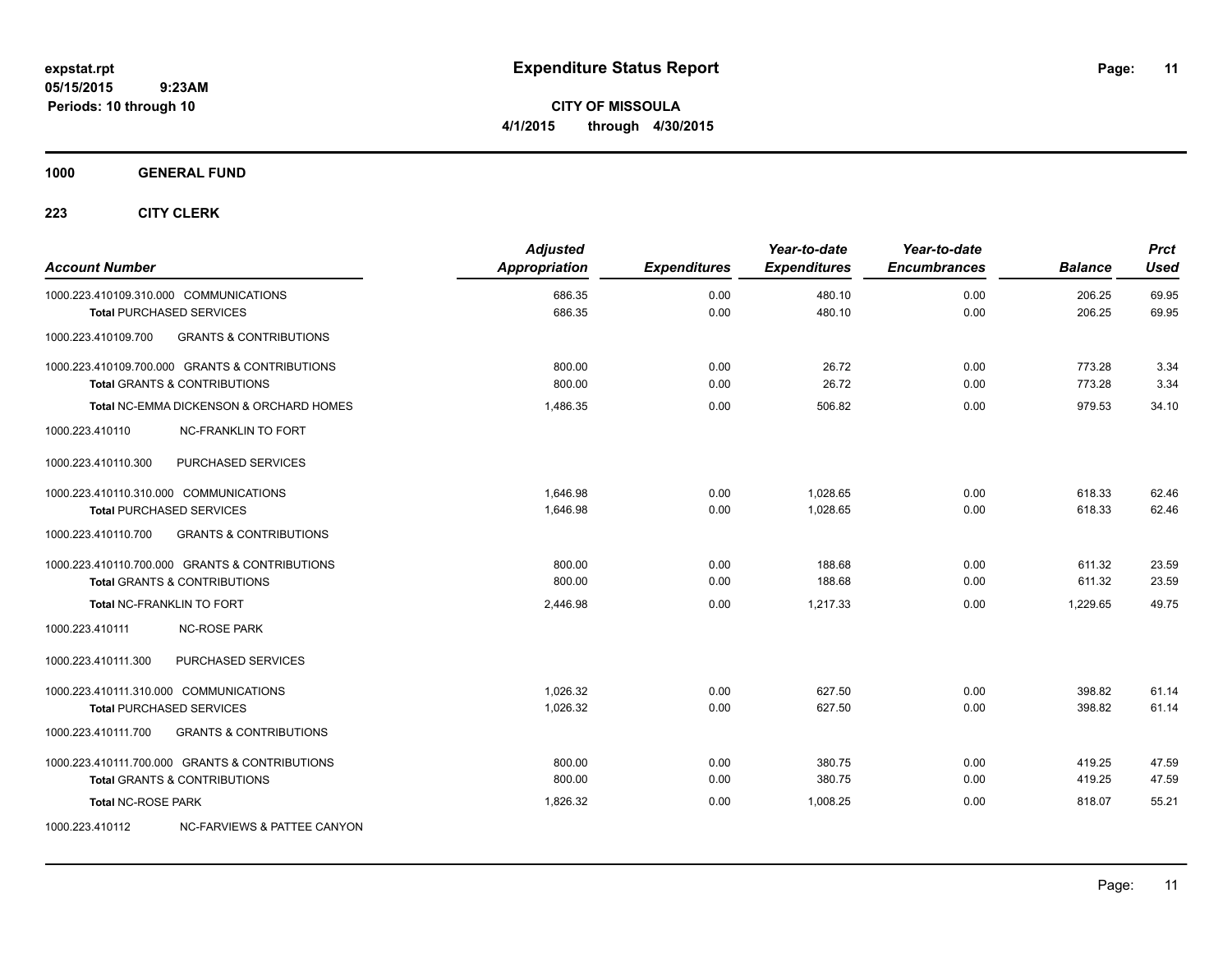**CITY OF MISSOULA 4/1/2015 through 4/30/2015**

**1000 GENERAL FUND**

| <b>Account Number</b>                  |                                                                                           | <b>Adjusted</b><br><b>Appropriation</b> | <b>Expenditures</b> | Year-to-date<br><b>Expenditures</b> | Year-to-date<br><b>Encumbrances</b> | <b>Balance</b>   | <b>Prct</b><br>Used |
|----------------------------------------|-------------------------------------------------------------------------------------------|-----------------------------------------|---------------------|-------------------------------------|-------------------------------------|------------------|---------------------|
| 1000.223.410109.310.000 COMMUNICATIONS | <b>Total PURCHASED SERVICES</b>                                                           | 686.35<br>686.35                        | 0.00<br>0.00        | 480.10<br>480.10                    | 0.00<br>0.00                        | 206.25<br>206.25 | 69.95<br>69.95      |
| 1000.223.410109.700                    | <b>GRANTS &amp; CONTRIBUTIONS</b>                                                         |                                         |                     |                                     |                                     |                  |                     |
|                                        | 1000.223.410109.700.000 GRANTS & CONTRIBUTIONS<br><b>Total GRANTS &amp; CONTRIBUTIONS</b> | 800.00<br>800.00                        | 0.00<br>0.00        | 26.72<br>26.72                      | 0.00<br>0.00                        | 773.28<br>773.28 | 3.34<br>3.34        |
|                                        | Total NC-EMMA DICKENSON & ORCHARD HOMES                                                   | 1.486.35                                | 0.00                | 506.82                              | 0.00                                | 979.53           | 34.10               |
| 1000.223.410110                        | <b>NC-FRANKLIN TO FORT</b>                                                                |                                         |                     |                                     |                                     |                  |                     |
| 1000.223.410110.300                    | PURCHASED SERVICES                                                                        |                                         |                     |                                     |                                     |                  |                     |
| 1000.223.410110.310.000 COMMUNICATIONS | <b>Total PURCHASED SERVICES</b>                                                           | 1.646.98<br>1,646.98                    | 0.00<br>0.00        | 1,028.65<br>1,028.65                | 0.00<br>0.00                        | 618.33<br>618.33 | 62.46<br>62.46      |
| 1000.223.410110.700                    | <b>GRANTS &amp; CONTRIBUTIONS</b>                                                         |                                         |                     |                                     |                                     |                  |                     |
|                                        | 1000.223.410110.700.000 GRANTS & CONTRIBUTIONS<br><b>Total GRANTS &amp; CONTRIBUTIONS</b> | 800.00<br>800.00                        | 0.00<br>0.00        | 188.68<br>188.68                    | 0.00<br>0.00                        | 611.32<br>611.32 | 23.59<br>23.59      |
| <b>Total NC-FRANKLIN TO FORT</b>       |                                                                                           | 2,446.98                                | 0.00                | 1.217.33                            | 0.00                                | 1.229.65         | 49.75               |
| 1000.223.410111                        | <b>NC-ROSE PARK</b>                                                                       |                                         |                     |                                     |                                     |                  |                     |
| 1000.223.410111.300                    | PURCHASED SERVICES                                                                        |                                         |                     |                                     |                                     |                  |                     |
| 1000.223.410111.310.000 COMMUNICATIONS | <b>Total PURCHASED SERVICES</b>                                                           | 1.026.32<br>1,026.32                    | 0.00<br>0.00        | 627.50<br>627.50                    | 0.00<br>0.00                        | 398.82<br>398.82 | 61.14<br>61.14      |
| 1000.223.410111.700                    | <b>GRANTS &amp; CONTRIBUTIONS</b>                                                         |                                         |                     |                                     |                                     |                  |                     |
|                                        | 1000.223.410111.700.000 GRANTS & CONTRIBUTIONS<br><b>Total GRANTS &amp; CONTRIBUTIONS</b> | 800.00<br>800.00                        | 0.00<br>0.00        | 380.75<br>380.75                    | 0.00<br>0.00                        | 419.25<br>419.25 | 47.59<br>47.59      |
| <b>Total NC-ROSE PARK</b>              |                                                                                           | 1,826.32                                | 0.00                | 1,008.25                            | 0.00                                | 818.07           | 55.21               |
| 1000.223.410112                        | NC-FARVIEWS & PATTEE CANYON                                                               |                                         |                     |                                     |                                     |                  |                     |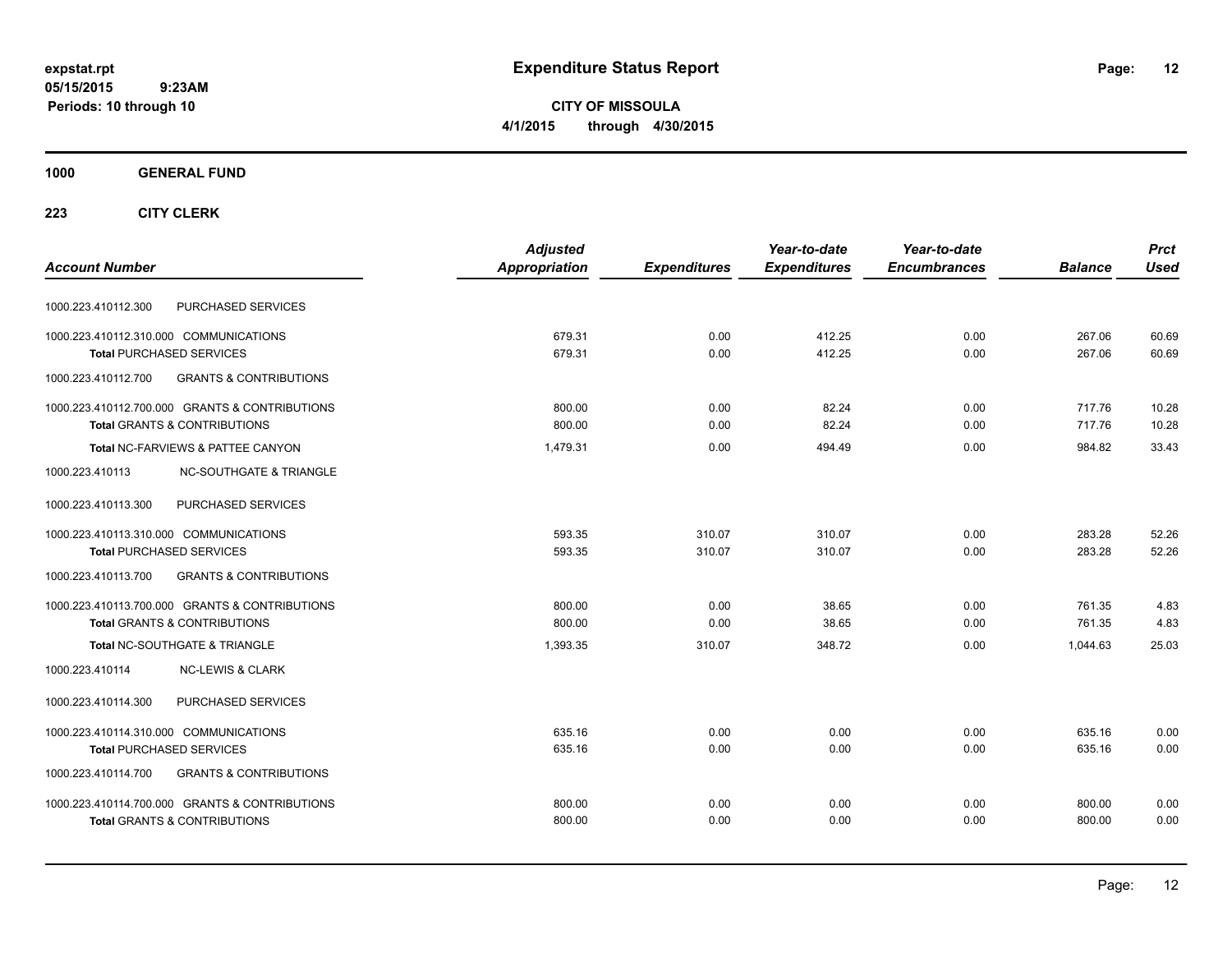**CITY OF MISSOULA 4/1/2015 through 4/30/2015**

### **1000 GENERAL FUND**

|                                                          | <b>Adjusted</b> |                     | Year-to-date        | Year-to-date        |                | <b>Prct</b> |
|----------------------------------------------------------|-----------------|---------------------|---------------------|---------------------|----------------|-------------|
| <b>Account Number</b>                                    | Appropriation   | <b>Expenditures</b> | <b>Expenditures</b> | <b>Encumbrances</b> | <b>Balance</b> | <b>Used</b> |
| PURCHASED SERVICES<br>1000.223.410112.300                |                 |                     |                     |                     |                |             |
| 1000.223.410112.310.000 COMMUNICATIONS                   | 679.31          | 0.00                | 412.25              | 0.00                | 267.06         | 60.69       |
| <b>Total PURCHASED SERVICES</b>                          | 679.31          | 0.00                | 412.25              | 0.00                | 267.06         | 60.69       |
| 1000.223.410112.700<br><b>GRANTS &amp; CONTRIBUTIONS</b> |                 |                     |                     |                     |                |             |
| 1000.223.410112.700.000 GRANTS & CONTRIBUTIONS           | 800.00          | 0.00                | 82.24               | 0.00                | 717.76         | 10.28       |
| <b>Total GRANTS &amp; CONTRIBUTIONS</b>                  | 800.00          | 0.00                | 82.24               | 0.00                | 717.76         | 10.28       |
| Total NC-FARVIEWS & PATTEE CANYON                        | 1,479.31        | 0.00                | 494.49              | 0.00                | 984.82         | 33.43       |
| 1000.223.410113<br><b>NC-SOUTHGATE &amp; TRIANGLE</b>    |                 |                     |                     |                     |                |             |
| 1000.223.410113.300<br>PURCHASED SERVICES                |                 |                     |                     |                     |                |             |
| 1000.223.410113.310.000 COMMUNICATIONS                   | 593.35          | 310.07              | 310.07              | 0.00                | 283.28         | 52.26       |
| <b>Total PURCHASED SERVICES</b>                          | 593.35          | 310.07              | 310.07              | 0.00                | 283.28         | 52.26       |
| <b>GRANTS &amp; CONTRIBUTIONS</b><br>1000.223.410113.700 |                 |                     |                     |                     |                |             |
| 1000.223.410113.700.000 GRANTS & CONTRIBUTIONS           | 800.00          | 0.00                | 38.65               | 0.00                | 761.35         | 4.83        |
| <b>Total GRANTS &amp; CONTRIBUTIONS</b>                  | 800.00          | 0.00                | 38.65               | 0.00                | 761.35         | 4.83        |
| Total NC-SOUTHGATE & TRIANGLE                            | 1,393.35        | 310.07              | 348.72              | 0.00                | 1,044.63       | 25.03       |
| <b>NC-LEWIS &amp; CLARK</b><br>1000.223.410114           |                 |                     |                     |                     |                |             |
| PURCHASED SERVICES<br>1000.223.410114.300                |                 |                     |                     |                     |                |             |
| 1000.223.410114.310.000 COMMUNICATIONS                   | 635.16          | 0.00                | 0.00                | 0.00                | 635.16         | 0.00        |
| <b>Total PURCHASED SERVICES</b>                          | 635.16          | 0.00                | 0.00                | 0.00                | 635.16         | 0.00        |
| 1000.223.410114.700<br><b>GRANTS &amp; CONTRIBUTIONS</b> |                 |                     |                     |                     |                |             |
| 1000.223.410114.700.000 GRANTS & CONTRIBUTIONS           | 800.00          | 0.00                | 0.00                | 0.00                | 800.00         | 0.00        |
| <b>Total GRANTS &amp; CONTRIBUTIONS</b>                  | 800.00          | 0.00                | 0.00                | 0.00                | 800.00         | 0.00        |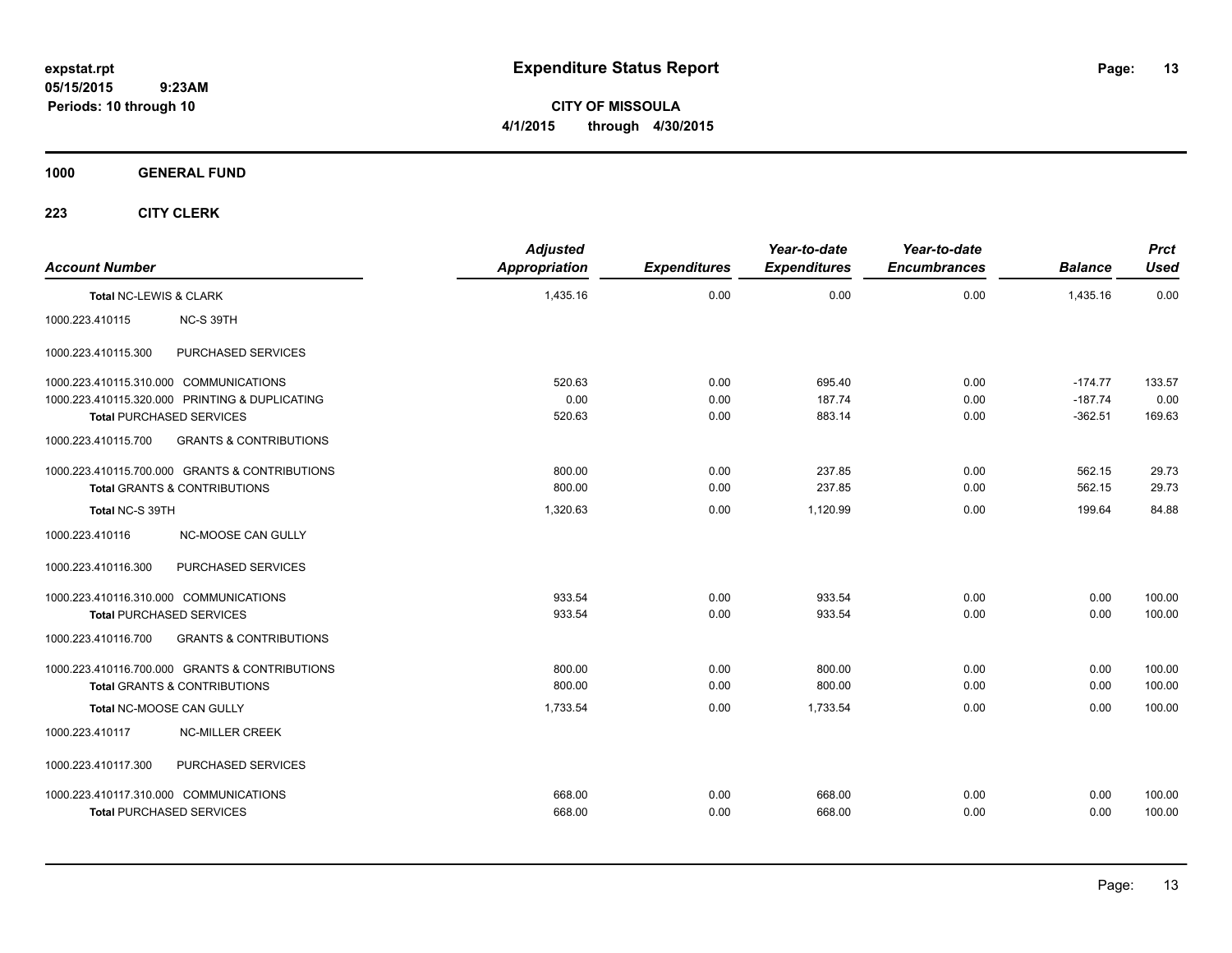**CITY OF MISSOULA 4/1/2015 through 4/30/2015**

### **1000 GENERAL FUND**

| <b>Account Number</b>                                    | <b>Adjusted</b><br><b>Appropriation</b> | <b>Expenditures</b> | Year-to-date<br><b>Expenditures</b> | Year-to-date<br><b>Encumbrances</b> | <b>Balance</b> | <b>Prct</b><br><b>Used</b> |
|----------------------------------------------------------|-----------------------------------------|---------------------|-------------------------------------|-------------------------------------|----------------|----------------------------|
| Total NC-LEWIS & CLARK                                   | 1,435.16                                | 0.00                | 0.00                                | 0.00                                | 1,435.16       | 0.00                       |
| 1000.223.410115<br>NC-S 39TH                             |                                         |                     |                                     |                                     |                |                            |
| PURCHASED SERVICES<br>1000.223.410115.300                |                                         |                     |                                     |                                     |                |                            |
| 1000.223.410115.310.000 COMMUNICATIONS                   | 520.63                                  | 0.00                | 695.40                              | 0.00                                | $-174.77$      | 133.57                     |
| 1000.223.410115.320.000 PRINTING & DUPLICATING           | 0.00                                    | 0.00                | 187.74                              | 0.00                                | $-187.74$      | 0.00                       |
| <b>Total PURCHASED SERVICES</b>                          | 520.63                                  | 0.00                | 883.14                              | 0.00                                | $-362.51$      | 169.63                     |
| 1000.223.410115.700<br><b>GRANTS &amp; CONTRIBUTIONS</b> |                                         |                     |                                     |                                     |                |                            |
| 1000.223.410115.700.000 GRANTS & CONTRIBUTIONS           | 800.00                                  | 0.00                | 237.85                              | 0.00                                | 562.15         | 29.73                      |
| Total GRANTS & CONTRIBUTIONS                             | 800.00                                  | 0.00                | 237.85                              | 0.00                                | 562.15         | 29.73                      |
| Total NC-S 39TH                                          | 1,320.63                                | 0.00                | 1,120.99                            | 0.00                                | 199.64         | 84.88                      |
| 1000.223.410116<br>NC-MOOSE CAN GULLY                    |                                         |                     |                                     |                                     |                |                            |
| PURCHASED SERVICES<br>1000.223.410116.300                |                                         |                     |                                     |                                     |                |                            |
| 1000.223.410116.310.000 COMMUNICATIONS                   | 933.54                                  | 0.00                | 933.54                              | 0.00                                | 0.00           | 100.00                     |
| <b>Total PURCHASED SERVICES</b>                          | 933.54                                  | 0.00                | 933.54                              | 0.00                                | 0.00           | 100.00                     |
| 1000.223.410116.700<br><b>GRANTS &amp; CONTRIBUTIONS</b> |                                         |                     |                                     |                                     |                |                            |
| 1000.223.410116.700.000 GRANTS & CONTRIBUTIONS           | 800.00                                  | 0.00                | 800.00                              | 0.00                                | 0.00           | 100.00                     |
| <b>Total GRANTS &amp; CONTRIBUTIONS</b>                  | 800.00                                  | 0.00                | 800.00                              | 0.00                                | 0.00           | 100.00                     |
| Total NC-MOOSE CAN GULLY                                 | 1,733.54                                | 0.00                | 1,733.54                            | 0.00                                | 0.00           | 100.00                     |
| 1000.223.410117<br><b>NC-MILLER CREEK</b>                |                                         |                     |                                     |                                     |                |                            |
| PURCHASED SERVICES<br>1000.223.410117.300                |                                         |                     |                                     |                                     |                |                            |
| 1000.223.410117.310.000 COMMUNICATIONS                   | 668.00                                  | 0.00                | 668.00                              | 0.00                                | 0.00           | 100.00                     |
| <b>Total PURCHASED SERVICES</b>                          | 668.00                                  | 0.00                | 668.00                              | 0.00                                | 0.00           | 100.00                     |
|                                                          |                                         |                     |                                     |                                     |                |                            |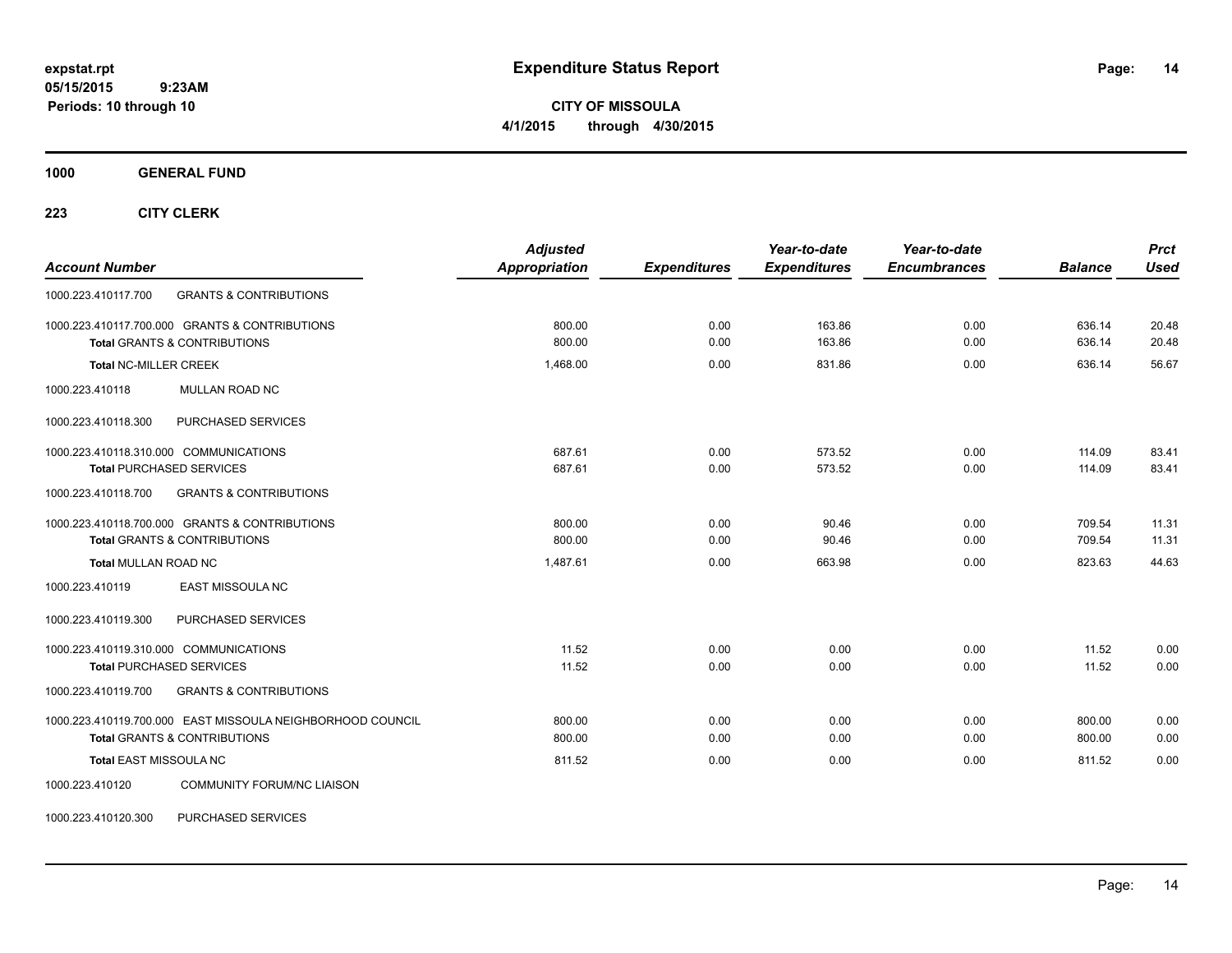**CITY OF MISSOULA 4/1/2015 through 4/30/2015**

**1000 GENERAL FUND**

**223 CITY CLERK**

| <b>Account Number</b>                                      | <b>Adjusted</b><br><b>Appropriation</b> | <b>Expenditures</b> | Year-to-date<br><b>Expenditures</b> | Year-to-date<br><b>Encumbrances</b> | <b>Balance</b> | <b>Prct</b><br><b>Used</b> |
|------------------------------------------------------------|-----------------------------------------|---------------------|-------------------------------------|-------------------------------------|----------------|----------------------------|
| <b>GRANTS &amp; CONTRIBUTIONS</b><br>1000.223.410117.700   |                                         |                     |                                     |                                     |                |                            |
| 1000.223.410117.700.000 GRANTS & CONTRIBUTIONS             | 800.00                                  | 0.00                | 163.86                              | 0.00                                | 636.14         | 20.48                      |
| <b>Total GRANTS &amp; CONTRIBUTIONS</b>                    | 800.00                                  | 0.00                | 163.86                              | 0.00                                | 636.14         | 20.48                      |
| <b>Total NC-MILLER CREEK</b>                               | 1,468.00                                | 0.00                | 831.86                              | 0.00                                | 636.14         | 56.67                      |
| MULLAN ROAD NC<br>1000.223.410118                          |                                         |                     |                                     |                                     |                |                            |
| PURCHASED SERVICES<br>1000.223.410118.300                  |                                         |                     |                                     |                                     |                |                            |
| 1000.223.410118.310.000 COMMUNICATIONS                     | 687.61                                  | 0.00                | 573.52                              | 0.00                                | 114.09         | 83.41                      |
| <b>Total PURCHASED SERVICES</b>                            | 687.61                                  | 0.00                | 573.52                              | 0.00                                | 114.09         | 83.41                      |
| 1000.223.410118.700<br><b>GRANTS &amp; CONTRIBUTIONS</b>   |                                         |                     |                                     |                                     |                |                            |
| 1000.223.410118.700.000 GRANTS & CONTRIBUTIONS             | 800.00                                  | 0.00                | 90.46                               | 0.00                                | 709.54         | 11.31                      |
| <b>Total GRANTS &amp; CONTRIBUTIONS</b>                    | 800.00                                  | 0.00                | 90.46                               | 0.00                                | 709.54         | 11.31                      |
| <b>Total MULLAN ROAD NC</b>                                | 1,487.61                                | 0.00                | 663.98                              | 0.00                                | 823.63         | 44.63                      |
| <b>EAST MISSOULA NC</b><br>1000.223.410119                 |                                         |                     |                                     |                                     |                |                            |
| PURCHASED SERVICES<br>1000.223.410119.300                  |                                         |                     |                                     |                                     |                |                            |
| 1000.223.410119.310.000 COMMUNICATIONS                     | 11.52                                   | 0.00                | 0.00                                | 0.00                                | 11.52          | 0.00                       |
| <b>Total PURCHASED SERVICES</b>                            | 11.52                                   | 0.00                | 0.00                                | 0.00                                | 11.52          | 0.00                       |
| <b>GRANTS &amp; CONTRIBUTIONS</b><br>1000.223.410119.700   |                                         |                     |                                     |                                     |                |                            |
| 1000.223.410119.700.000 EAST MISSOULA NEIGHBORHOOD COUNCIL | 800.00                                  | 0.00                | 0.00                                | 0.00                                | 800.00         | 0.00                       |
| <b>Total GRANTS &amp; CONTRIBUTIONS</b>                    | 800.00                                  | 0.00                | 0.00                                | 0.00                                | 800.00         | 0.00                       |
| Total EAST MISSOULA NC                                     | 811.52                                  | 0.00                | 0.00                                | 0.00                                | 811.52         | 0.00                       |
| <b>COMMUNITY FORUM/NC LIAISON</b><br>1000.223.410120       |                                         |                     |                                     |                                     |                |                            |

1000.223.410120.300 PURCHASED SERVICES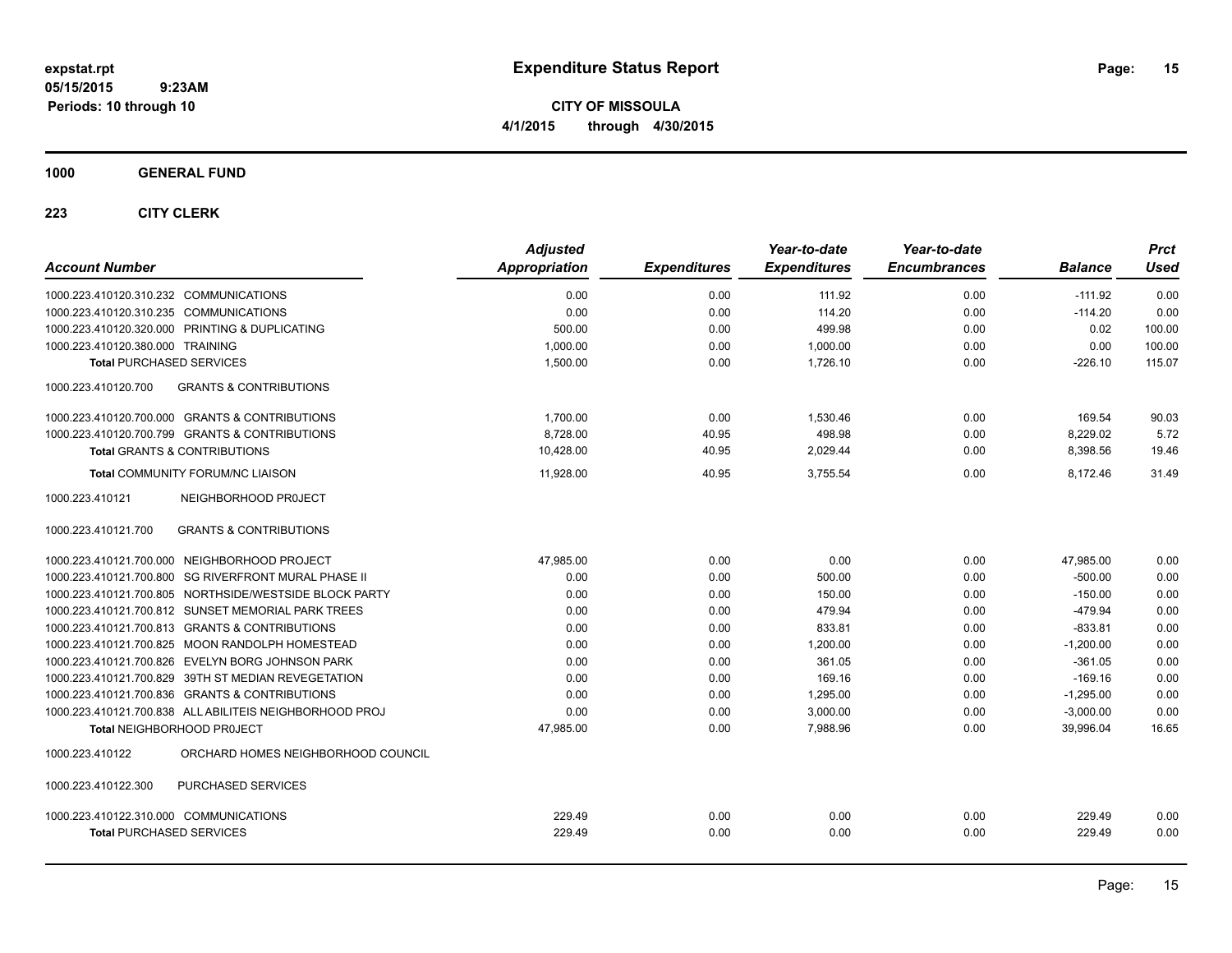**CITY OF MISSOULA 4/1/2015 through 4/30/2015**

**1000 GENERAL FUND**

| <b>Account Number</b>                                    | <b>Adjusted</b><br><b>Appropriation</b> | <b>Expenditures</b> | Year-to-date<br><b>Expenditures</b> | Year-to-date<br><b>Encumbrances</b> | <b>Balance</b> | <b>Prct</b><br>Used |
|----------------------------------------------------------|-----------------------------------------|---------------------|-------------------------------------|-------------------------------------|----------------|---------------------|
| 1000.223.410120.310.232 COMMUNICATIONS                   | 0.00                                    | 0.00                | 111.92                              | 0.00                                | $-111.92$      | 0.00                |
| 1000.223.410120.310.235 COMMUNICATIONS                   | 0.00                                    | 0.00                | 114.20                              | 0.00                                | $-114.20$      | 0.00                |
| 1000.223.410120.320.000 PRINTING & DUPLICATING           | 500.00                                  | 0.00                | 499.98                              | 0.00                                | 0.02           | 100.00              |
| 1000.223.410120.380.000 TRAINING                         | 1,000.00                                | 0.00                | 1,000.00                            | 0.00                                | 0.00           | 100.00              |
| <b>Total PURCHASED SERVICES</b>                          | 1,500.00                                | 0.00                | 1,726.10                            | 0.00                                | $-226.10$      | 115.07              |
| <b>GRANTS &amp; CONTRIBUTIONS</b><br>1000.223.410120.700 |                                         |                     |                                     |                                     |                |                     |
| 1000.223.410120.700.000 GRANTS & CONTRIBUTIONS           | 1,700.00                                | 0.00                | 1,530.46                            | 0.00                                | 169.54         | 90.03               |
| 1000.223.410120.700.799 GRANTS & CONTRIBUTIONS           | 8,728.00                                | 40.95               | 498.98                              | 0.00                                | 8,229.02       | 5.72                |
| <b>Total GRANTS &amp; CONTRIBUTIONS</b>                  | 10,428.00                               | 40.95               | 2,029.44                            | 0.00                                | 8,398.56       | 19.46               |
| <b>Total COMMUNITY FORUM/NC LIAISON</b>                  | 11,928.00                               | 40.95               | 3.755.54                            | 0.00                                | 8,172.46       | 31.49               |
| 1000.223.410121<br>NEIGHBORHOOD PROJECT                  |                                         |                     |                                     |                                     |                |                     |
| <b>GRANTS &amp; CONTRIBUTIONS</b><br>1000.223.410121.700 |                                         |                     |                                     |                                     |                |                     |
| 1000.223.410121.700.000 NEIGHBORHOOD PROJECT             | 47,985.00                               | 0.00                | 0.00                                | 0.00                                | 47,985.00      | 0.00                |
| 1000.223.410121.700.800 SG RIVERFRONT MURAL PHASE II     | 0.00                                    | 0.00                | 500.00                              | 0.00                                | $-500.00$      | 0.00                |
| 1000.223.410121.700.805 NORTHSIDE/WESTSIDE BLOCK PARTY   | 0.00                                    | 0.00                | 150.00                              | 0.00                                | $-150.00$      | 0.00                |
| 1000.223.410121.700.812 SUNSET MEMORIAL PARK TREES       | 0.00                                    | 0.00                | 479.94                              | 0.00                                | $-479.94$      | 0.00                |
| 1000.223.410121.700.813 GRANTS & CONTRIBUTIONS           | 0.00                                    | 0.00                | 833.81                              | 0.00                                | $-833.81$      | 0.00                |
| 1000.223.410121.700.825 MOON RANDOLPH HOMESTEAD          | 0.00                                    | 0.00                | 1,200.00                            | 0.00                                | $-1,200.00$    | 0.00                |
| 1000.223.410121.700.826 EVELYN BORG JOHNSON PARK         | 0.00                                    | 0.00                | 361.05                              | 0.00                                | $-361.05$      | 0.00                |
| 1000.223.410121.700.829 39TH ST MEDIAN REVEGETATION      | 0.00                                    | 0.00                | 169.16                              | 0.00                                | $-169.16$      | 0.00                |
| 1000.223.410121.700.836 GRANTS & CONTRIBUTIONS           | 0.00                                    | 0.00                | 1.295.00                            | 0.00                                | $-1.295.00$    | 0.00                |
| 1000.223.410121.700.838 ALL ABILITEIS NEIGHBORHOOD PROJ  | 0.00                                    | 0.00                | 3,000.00                            | 0.00                                | $-3,000.00$    | 0.00                |
| Total NEIGHBORHOOD PROJECT                               | 47,985.00                               | 0.00                | 7,988.96                            | 0.00                                | 39,996.04      | 16.65               |
| ORCHARD HOMES NEIGHBORHOOD COUNCIL<br>1000.223.410122    |                                         |                     |                                     |                                     |                |                     |
| PURCHASED SERVICES<br>1000.223.410122.300                |                                         |                     |                                     |                                     |                |                     |
| 1000.223.410122.310.000 COMMUNICATIONS                   | 229.49                                  | 0.00                | 0.00                                | 0.00                                | 229.49         | 0.00                |
| <b>Total PURCHASED SERVICES</b>                          | 229.49                                  | 0.00                | 0.00                                | 0.00                                | 229.49         | 0.00                |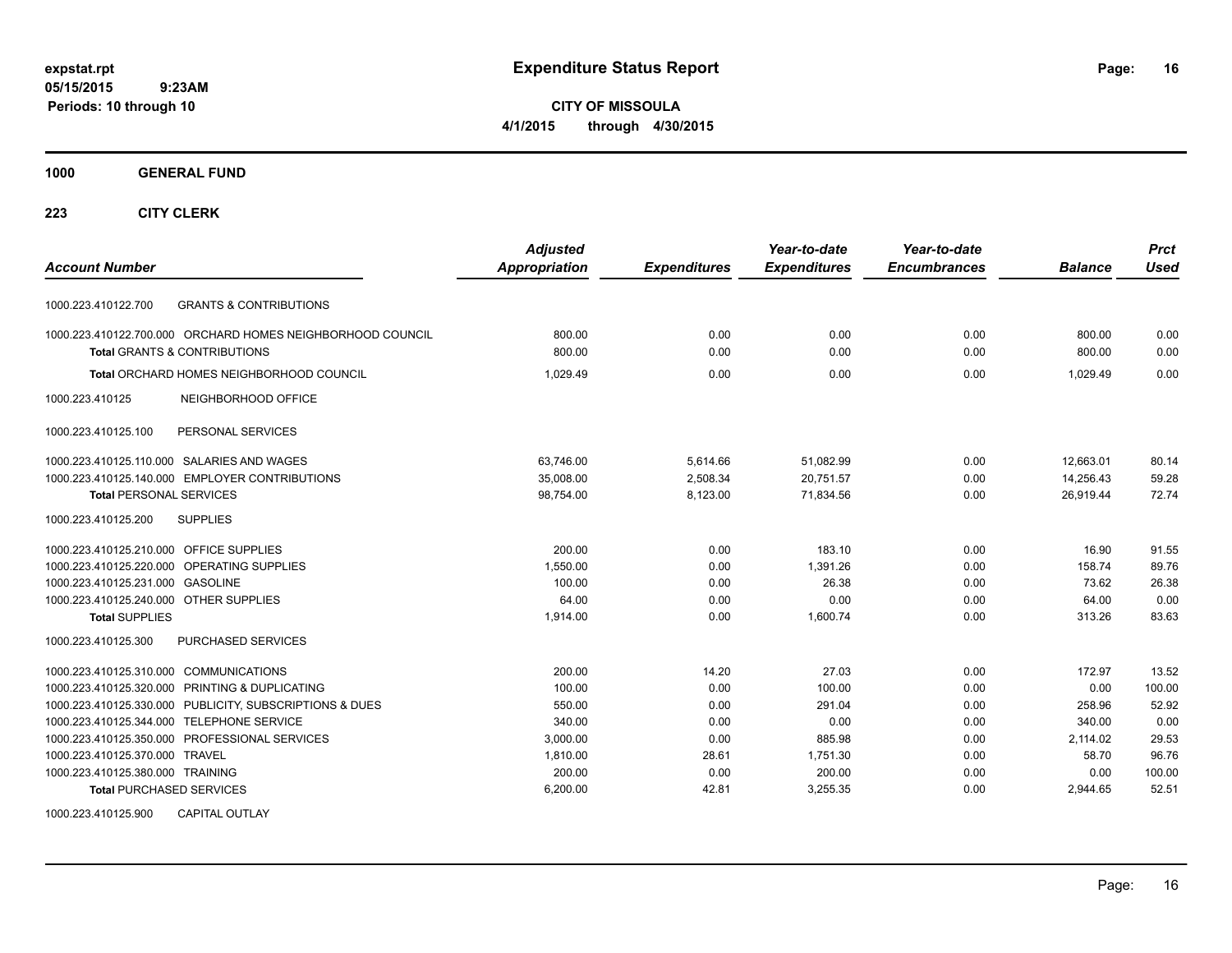**CITY OF MISSOULA 4/1/2015 through 4/30/2015**

#### **1000 GENERAL FUND**

### **223 CITY CLERK**

| <b>Account Number</b>                                      | <b>Adjusted</b><br><b>Appropriation</b> | <b>Expenditures</b> | Year-to-date<br><b>Expenditures</b> | Year-to-date<br><b>Encumbrances</b> | <b>Balance</b> | <b>Prct</b><br><b>Used</b> |
|------------------------------------------------------------|-----------------------------------------|---------------------|-------------------------------------|-------------------------------------|----------------|----------------------------|
|                                                            |                                         |                     |                                     |                                     |                |                            |
| <b>GRANTS &amp; CONTRIBUTIONS</b><br>1000.223.410122.700   |                                         |                     |                                     |                                     |                |                            |
| 1000.223.410122.700.000 ORCHARD HOMES NEIGHBORHOOD COUNCIL | 800.00                                  | 0.00                | 0.00                                | 0.00                                | 800.00         | 0.00                       |
| <b>Total GRANTS &amp; CONTRIBUTIONS</b>                    | 800.00                                  | 0.00                | 0.00                                | 0.00                                | 800.00         | 0.00                       |
| Total ORCHARD HOMES NEIGHBORHOOD COUNCIL                   | 1.029.49                                | 0.00                | 0.00                                | 0.00                                | 1.029.49       | 0.00                       |
| NEIGHBORHOOD OFFICE<br>1000.223.410125                     |                                         |                     |                                     |                                     |                |                            |
| PERSONAL SERVICES<br>1000.223.410125.100                   |                                         |                     |                                     |                                     |                |                            |
| 1000.223.410125.110.000 SALARIES AND WAGES                 | 63.746.00                               | 5,614.66            | 51,082.99                           | 0.00                                | 12,663.01      | 80.14                      |
| 1000.223.410125.140.000 EMPLOYER CONTRIBUTIONS             | 35,008.00                               | 2,508.34            | 20,751.57                           | 0.00                                | 14,256.43      | 59.28                      |
| <b>Total PERSONAL SERVICES</b>                             | 98,754.00                               | 8,123.00            | 71,834.56                           | 0.00                                | 26,919.44      | 72.74                      |
| 1000.223.410125.200<br><b>SUPPLIES</b>                     |                                         |                     |                                     |                                     |                |                            |
| 1000.223.410125.210.000<br><b>OFFICE SUPPLIES</b>          | 200.00                                  | 0.00                | 183.10                              | 0.00                                | 16.90          | 91.55                      |
| 1000.223.410125.220.000 OPERATING SUPPLIES                 | 1.550.00                                | 0.00                | 1.391.26                            | 0.00                                | 158.74         | 89.76                      |
| 1000.223.410125.231.000<br><b>GASOLINE</b>                 | 100.00                                  | 0.00                | 26.38                               | 0.00                                | 73.62          | 26.38                      |
| 1000.223.410125.240.000 OTHER SUPPLIES                     | 64.00                                   | 0.00                | 0.00                                | 0.00                                | 64.00          | 0.00                       |
| <b>Total SUPPLIES</b>                                      | 1,914.00                                | 0.00                | 1,600.74                            | 0.00                                | 313.26         | 83.63                      |
| PURCHASED SERVICES<br>1000.223.410125.300                  |                                         |                     |                                     |                                     |                |                            |
| <b>COMMUNICATIONS</b><br>1000.223.410125.310.000           | 200.00                                  | 14.20               | 27.03                               | 0.00                                | 172.97         | 13.52                      |
| 1000.223.410125.320.000 PRINTING & DUPLICATING             | 100.00                                  | 0.00                | 100.00                              | 0.00                                | 0.00           | 100.00                     |
| 1000.223.410125.330.000 PUBLICITY, SUBSCRIPTIONS & DUES    | 550.00                                  | 0.00                | 291.04                              | 0.00                                | 258.96         | 52.92                      |
| 1000.223.410125.344.000 TELEPHONE SERVICE                  | 340.00                                  | 0.00                | 0.00                                | 0.00                                | 340.00         | 0.00                       |
| 1000.223.410125.350.000 PROFESSIONAL SERVICES              | 3,000.00                                | 0.00                | 885.98                              | 0.00                                | 2,114.02       | 29.53                      |
| 1000.223.410125.370.000 TRAVEL                             | 1,810.00                                | 28.61               | 1,751.30                            | 0.00                                | 58.70          | 96.76                      |
| 1000.223.410125.380.000 TRAINING                           | 200.00                                  | 0.00                | 200.00                              | 0.00                                | 0.00           | 100.00                     |
| <b>Total PURCHASED SERVICES</b>                            | 6,200.00                                | 42.81               | 3,255.35                            | 0.00                                | 2,944.65       | 52.51                      |

1000.223.410125.900 CAPITAL OUTLAY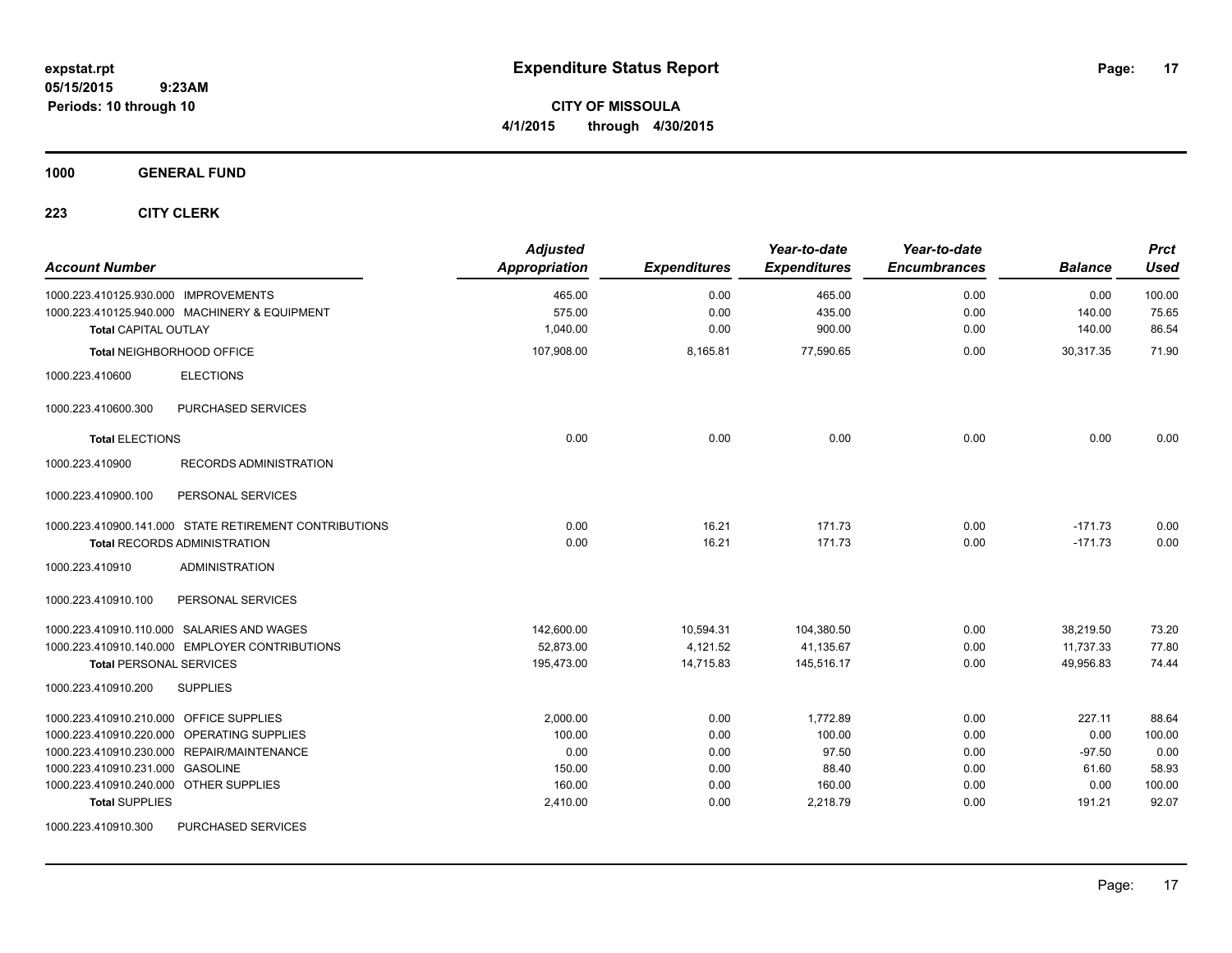**CITY OF MISSOULA 4/1/2015 through 4/30/2015**

**1000 GENERAL FUND**

| <b>Account Number</b>                                                                 | <b>Adjusted</b><br>Appropriation | <b>Expenditures</b> | Year-to-date<br><b>Expenditures</b> | Year-to-date<br><b>Encumbrances</b> | <b>Balance</b> | <b>Prct</b><br>Used |
|---------------------------------------------------------------------------------------|----------------------------------|---------------------|-------------------------------------|-------------------------------------|----------------|---------------------|
| 1000.223.410125.930.000 IMPROVEMENTS<br>1000.223.410125.940.000 MACHINERY & EQUIPMENT | 465.00<br>575.00                 | 0.00<br>0.00        | 465.00<br>435.00                    | 0.00<br>0.00                        | 0.00<br>140.00 | 100.00<br>75.65     |
| <b>Total CAPITAL OUTLAY</b>                                                           | 1,040.00                         | 0.00                | 900.00                              | 0.00                                | 140.00         | 86.54               |
| Total NEIGHBORHOOD OFFICE                                                             | 107,908.00                       | 8,165.81            | 77,590.65                           | 0.00                                | 30,317.35      | 71.90               |
| <b>ELECTIONS</b><br>1000.223.410600                                                   |                                  |                     |                                     |                                     |                |                     |
| 1000.223.410600.300<br>PURCHASED SERVICES                                             |                                  |                     |                                     |                                     |                |                     |
| <b>Total ELECTIONS</b>                                                                | 0.00                             | 0.00                | 0.00                                | 0.00                                | 0.00           | 0.00                |
| 1000.223.410900<br>RECORDS ADMINISTRATION                                             |                                  |                     |                                     |                                     |                |                     |
| 1000.223.410900.100<br>PERSONAL SERVICES                                              |                                  |                     |                                     |                                     |                |                     |
| 1000.223.410900.141.000 STATE RETIREMENT CONTRIBUTIONS                                | 0.00                             | 16.21               | 171.73                              | 0.00                                | $-171.73$      | 0.00                |
| <b>Total RECORDS ADMINISTRATION</b>                                                   | 0.00                             | 16.21               | 171.73                              | 0.00                                | $-171.73$      | 0.00                |
| 1000.223.410910<br><b>ADMINISTRATION</b>                                              |                                  |                     |                                     |                                     |                |                     |
| PERSONAL SERVICES<br>1000.223.410910.100                                              |                                  |                     |                                     |                                     |                |                     |
| 1000.223.410910.110.000 SALARIES AND WAGES                                            | 142,600.00                       | 10,594.31           | 104,380.50                          | 0.00                                | 38,219.50      | 73.20               |
| 1000.223.410910.140.000 EMPLOYER CONTRIBUTIONS                                        | 52,873.00                        | 4,121.52            | 41,135.67                           | 0.00                                | 11,737.33      | 77.80               |
| <b>Total PERSONAL SERVICES</b>                                                        | 195,473.00                       | 14,715.83           | 145,516.17                          | 0.00                                | 49,956.83      | 74.44               |
| 1000.223.410910.200<br><b>SUPPLIES</b>                                                |                                  |                     |                                     |                                     |                |                     |
| 1000.223.410910.210.000 OFFICE SUPPLIES                                               | 2,000.00                         | 0.00                | 1,772.89                            | 0.00                                | 227.11         | 88.64               |
| 1000.223.410910.220.000 OPERATING SUPPLIES                                            | 100.00                           | 0.00                | 100.00                              | 0.00                                | 0.00           | 100.00              |
| 1000.223.410910.230.000 REPAIR/MAINTENANCE                                            | 0.00                             | 0.00                | 97.50                               | 0.00                                | $-97.50$       | 0.00                |
| 1000.223.410910.231.000 GASOLINE                                                      | 150.00                           | 0.00                | 88.40                               | 0.00                                | 61.60          | 58.93               |
| 1000.223.410910.240.000 OTHER SUPPLIES                                                | 160.00                           | 0.00                | 160.00                              | 0.00                                | 0.00           | 100.00              |
| <b>Total SUPPLIES</b>                                                                 | 2,410.00                         | 0.00                | 2,218.79                            | 0.00                                | 191.21         | 92.07               |
| 1000.223.410910.300<br>PURCHASED SERVICES                                             |                                  |                     |                                     |                                     |                |                     |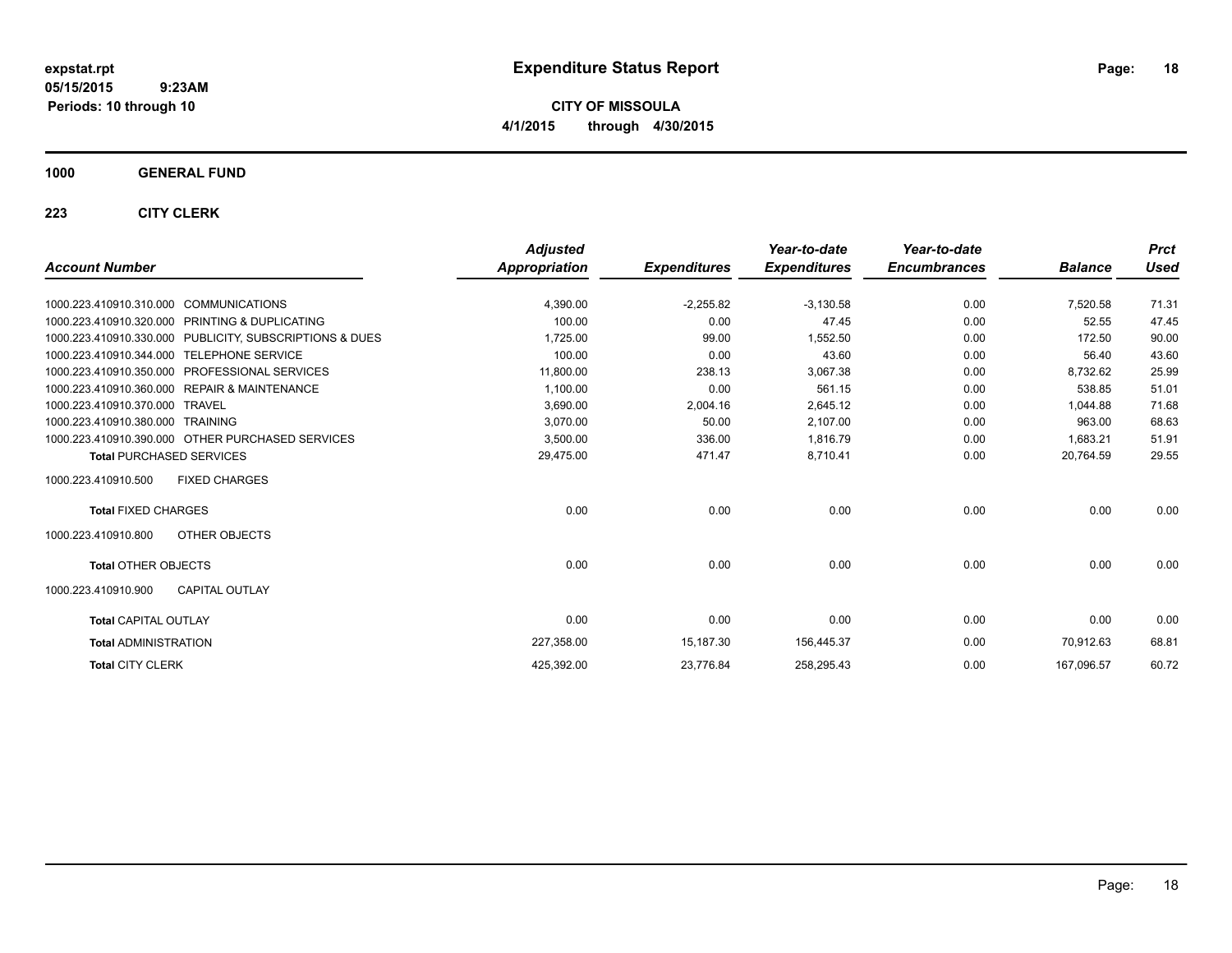**CITY OF MISSOULA 4/1/2015 through 4/30/2015**

### **1000 GENERAL FUND**

|                                                         | <b>Adjusted</b> |                     | Year-to-date        | Year-to-date        |                | <b>Prct</b> |
|---------------------------------------------------------|-----------------|---------------------|---------------------|---------------------|----------------|-------------|
| <b>Account Number</b>                                   | Appropriation   | <b>Expenditures</b> | <b>Expenditures</b> | <b>Encumbrances</b> | <b>Balance</b> | <b>Used</b> |
| 1000.223.410910.310.000 COMMUNICATIONS                  | 4,390.00        | $-2,255.82$         | $-3,130.58$         | 0.00                | 7,520.58       | 71.31       |
| 1000.223.410910.320.000 PRINTING & DUPLICATING          | 100.00          | 0.00                | 47.45               | 0.00                | 52.55          | 47.45       |
| 1000.223.410910.330.000 PUBLICITY, SUBSCRIPTIONS & DUES | 1,725.00        | 99.00               | 1,552.50            | 0.00                | 172.50         | 90.00       |
| 1000.223.410910.344.000<br><b>TELEPHONE SERVICE</b>     | 100.00          | 0.00                | 43.60               | 0.00                | 56.40          | 43.60       |
| 1000.223.410910.350.000 PROFESSIONAL SERVICES           | 11,800.00       | 238.13              | 3,067.38            | 0.00                | 8,732.62       | 25.99       |
| 1000.223.410910.360.000 REPAIR & MAINTENANCE            | 1,100.00        | 0.00                | 561.15              | 0.00                | 538.85         | 51.01       |
| 1000.223.410910.370.000 TRAVEL                          | 3,690.00        | 2,004.16            | 2,645.12            | 0.00                | 1.044.88       | 71.68       |
| 1000.223.410910.380.000 TRAINING                        | 3,070.00        | 50.00               | 2,107.00            | 0.00                | 963.00         | 68.63       |
| 1000.223.410910.390.000 OTHER PURCHASED SERVICES        | 3,500.00        | 336.00              | 1,816.79            | 0.00                | 1,683.21       | 51.91       |
| <b>Total PURCHASED SERVICES</b>                         | 29,475.00       | 471.47              | 8,710.41            | 0.00                | 20,764.59      | 29.55       |
| 1000.223.410910.500<br><b>FIXED CHARGES</b>             |                 |                     |                     |                     |                |             |
| <b>Total FIXED CHARGES</b>                              | 0.00            | 0.00                | 0.00                | 0.00                | 0.00           | 0.00        |
| OTHER OBJECTS<br>1000.223.410910.800                    |                 |                     |                     |                     |                |             |
| <b>Total OTHER OBJECTS</b>                              | 0.00            | 0.00                | 0.00                | 0.00                | 0.00           | 0.00        |
| 1000.223.410910.900<br><b>CAPITAL OUTLAY</b>            |                 |                     |                     |                     |                |             |
| <b>Total CAPITAL OUTLAY</b>                             | 0.00            | 0.00                | 0.00                | 0.00                | 0.00           | 0.00        |
| <b>Total ADMINISTRATION</b>                             | 227,358.00      | 15,187.30           | 156,445.37          | 0.00                | 70,912.63      | 68.81       |
| <b>Total CITY CLERK</b>                                 | 425,392.00      | 23,776.84           | 258,295.43          | 0.00                | 167,096.57     | 60.72       |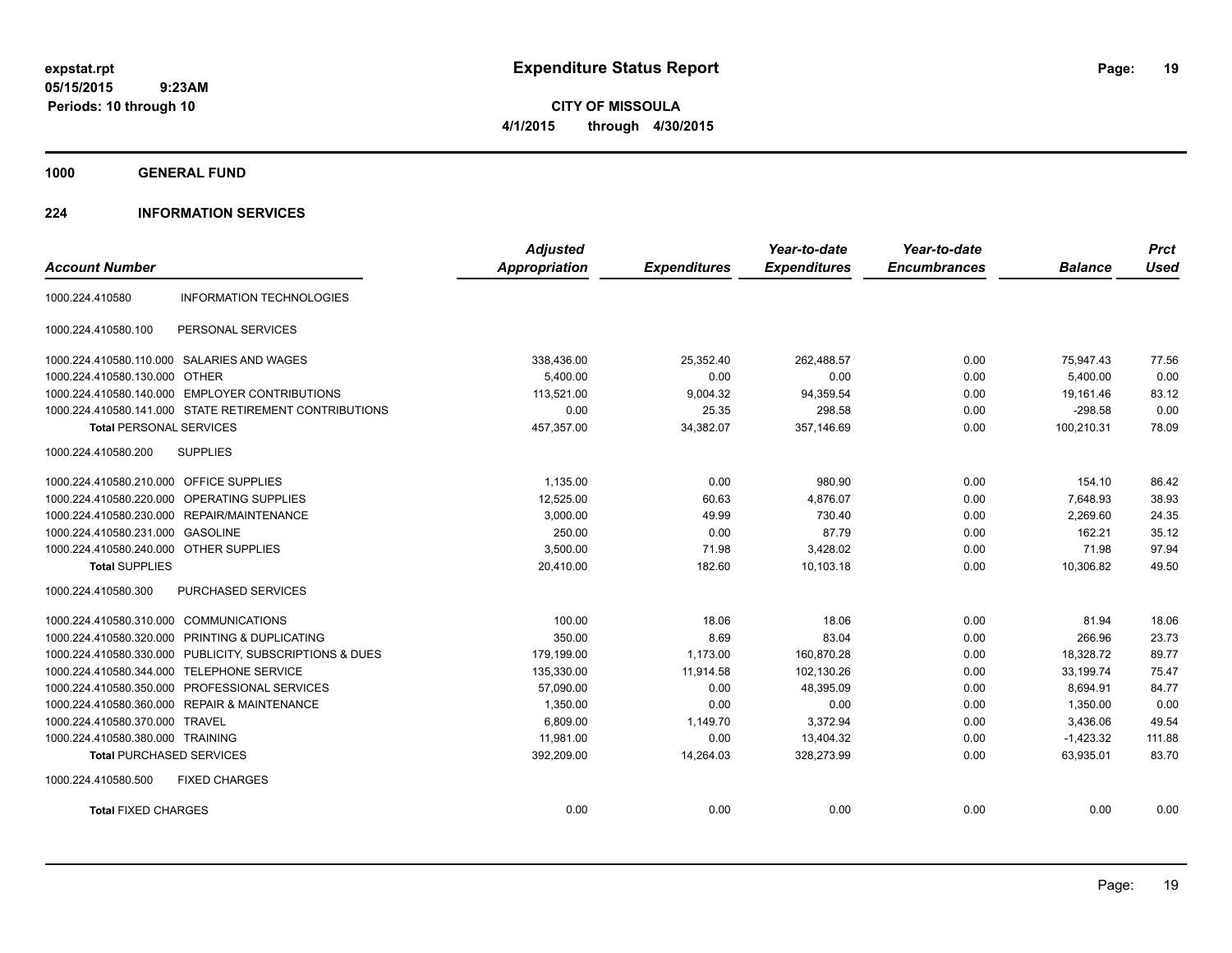**CITY OF MISSOULA 4/1/2015 through 4/30/2015**

**1000 GENERAL FUND**

### **224 INFORMATION SERVICES**

| <b>Account Number</b>                   |                                                        | <b>Adjusted</b><br>Appropriation | <b>Expenditures</b> | Year-to-date<br><b>Expenditures</b> | Year-to-date<br><b>Encumbrances</b> | <b>Balance</b> | <b>Prct</b><br><b>Used</b> |
|-----------------------------------------|--------------------------------------------------------|----------------------------------|---------------------|-------------------------------------|-------------------------------------|----------------|----------------------------|
|                                         |                                                        |                                  |                     |                                     |                                     |                |                            |
| 1000.224.410580                         | <b>INFORMATION TECHNOLOGIES</b>                        |                                  |                     |                                     |                                     |                |                            |
| 1000.224.410580.100                     | PERSONAL SERVICES                                      |                                  |                     |                                     |                                     |                |                            |
|                                         | 1000.224.410580.110.000 SALARIES AND WAGES             | 338,436.00                       | 25,352.40           | 262,488.57                          | 0.00                                | 75,947.43      | 77.56                      |
| 1000.224.410580.130.000 OTHER           |                                                        | 5.400.00                         | 0.00                | 0.00                                | 0.00                                | 5.400.00       | 0.00                       |
|                                         | 1000.224.410580.140.000 EMPLOYER CONTRIBUTIONS         | 113,521.00                       | 9,004.32            | 94,359.54                           | 0.00                                | 19,161.46      | 83.12                      |
|                                         | 1000.224.410580.141.000 STATE RETIREMENT CONTRIBUTIONS | 0.00                             | 25.35               | 298.58                              | 0.00                                | $-298.58$      | 0.00                       |
| <b>Total PERSONAL SERVICES</b>          |                                                        | 457,357.00                       | 34,382.07           | 357,146.69                          | 0.00                                | 100,210.31     | 78.09                      |
| 1000.224.410580.200                     | <b>SUPPLIES</b>                                        |                                  |                     |                                     |                                     |                |                            |
| 1000.224.410580.210.000 OFFICE SUPPLIES |                                                        | 1,135.00                         | 0.00                | 980.90                              | 0.00                                | 154.10         | 86.42                      |
| 1000.224.410580.220.000                 | OPERATING SUPPLIES                                     | 12,525.00                        | 60.63               | 4,876.07                            | 0.00                                | 7,648.93       | 38.93                      |
|                                         | 1000.224.410580.230.000 REPAIR/MAINTENANCE             | 3,000.00                         | 49.99               | 730.40                              | 0.00                                | 2,269.60       | 24.35                      |
| 1000.224.410580.231.000 GASOLINE        |                                                        | 250.00                           | 0.00                | 87.79                               | 0.00                                | 162.21         | 35.12                      |
| 1000.224.410580.240.000 OTHER SUPPLIES  |                                                        | 3,500.00                         | 71.98               | 3,428.02                            | 0.00                                | 71.98          | 97.94                      |
| <b>Total SUPPLIES</b>                   |                                                        | 20,410.00                        | 182.60              | 10.103.18                           | 0.00                                | 10,306.82      | 49.50                      |
| 1000.224.410580.300                     | <b>PURCHASED SERVICES</b>                              |                                  |                     |                                     |                                     |                |                            |
| 1000.224.410580.310.000 COMMUNICATIONS  |                                                        | 100.00                           | 18.06               | 18.06                               | 0.00                                | 81.94          | 18.06                      |
| 1000.224.410580.320.000                 | PRINTING & DUPLICATING                                 | 350.00                           | 8.69                | 83.04                               | 0.00                                | 266.96         | 23.73                      |
| 1000.224.410580.330.000                 | PUBLICITY, SUBSCRIPTIONS & DUES                        | 179,199.00                       | 1,173.00            | 160,870.28                          | 0.00                                | 18,328.72      | 89.77                      |
| 1000.224.410580.344.000                 | <b>TELEPHONE SERVICE</b>                               | 135,330.00                       | 11,914.58           | 102,130.26                          | 0.00                                | 33,199.74      | 75.47                      |
| 1000.224.410580.350.000                 | PROFESSIONAL SERVICES                                  | 57,090.00                        | 0.00                | 48,395.09                           | 0.00                                | 8,694.91       | 84.77                      |
|                                         | 1000.224.410580.360.000 REPAIR & MAINTENANCE           | 1,350.00                         | 0.00                | 0.00                                | 0.00                                | 1,350.00       | 0.00                       |
| 1000.224.410580.370.000 TRAVEL          |                                                        | 6,809.00                         | 1,149.70            | 3,372.94                            | 0.00                                | 3,436.06       | 49.54                      |
| 1000.224.410580.380.000 TRAINING        |                                                        | 11,981.00                        | 0.00                | 13,404.32                           | 0.00                                | $-1,423.32$    | 111.88                     |
| <b>Total PURCHASED SERVICES</b>         |                                                        | 392,209.00                       | 14,264.03           | 328,273.99                          | 0.00                                | 63,935.01      | 83.70                      |
| 1000.224.410580.500                     | <b>FIXED CHARGES</b>                                   |                                  |                     |                                     |                                     |                |                            |
| <b>Total FIXED CHARGES</b>              |                                                        | 0.00                             | 0.00                | 0.00                                | 0.00                                | 0.00           | 0.00                       |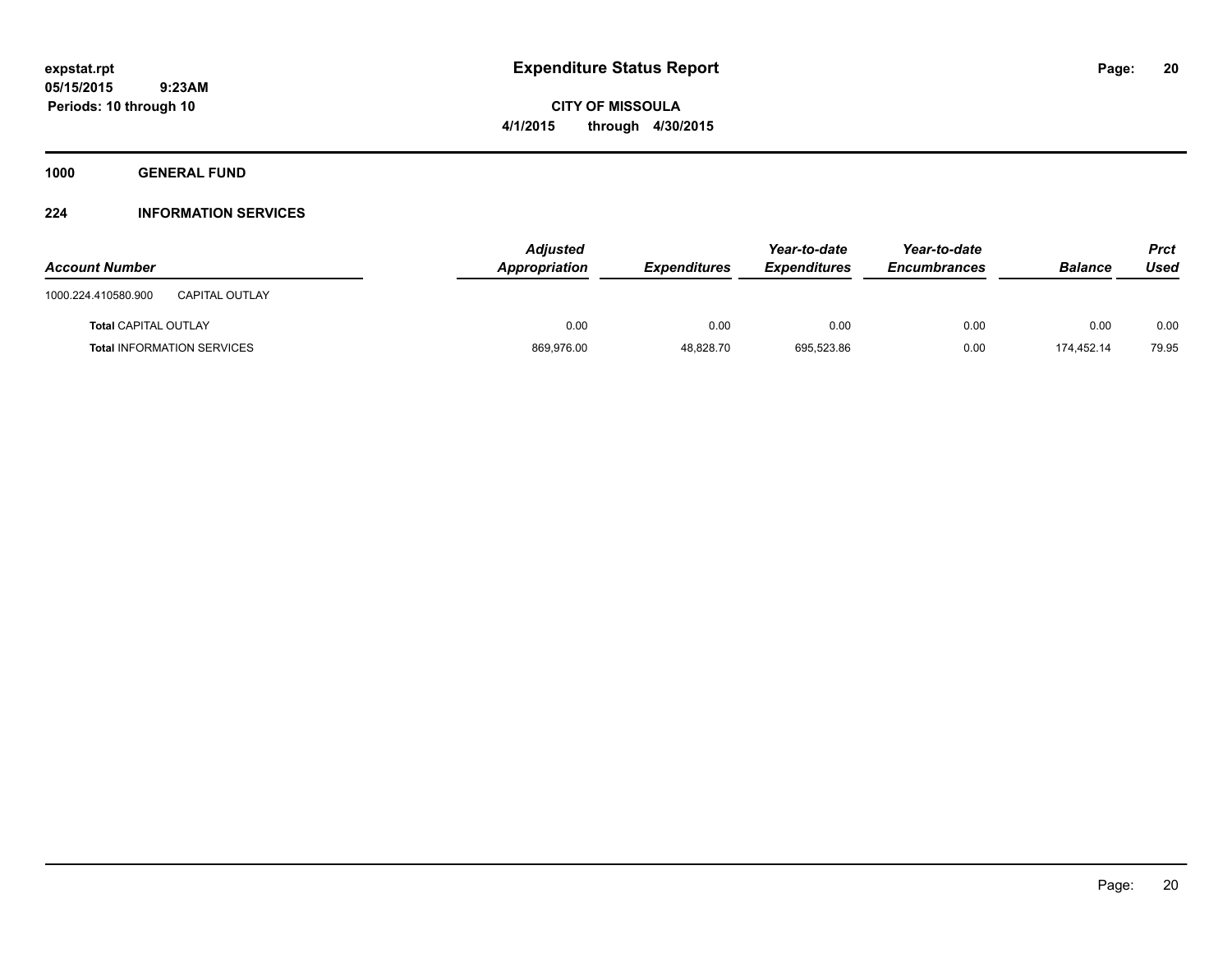**CITY OF MISSOULA 4/1/2015 through 4/30/2015**

**1000 GENERAL FUND**

### **224 INFORMATION SERVICES**

| <b>Account Number</b>                        | <b>Adjusted</b><br>Appropriation | <b>Expenditures</b> | Year-to-date<br><b>Expenditures</b> | Year-to-date<br>Encumbrances | <b>Balance</b> | <b>Prct</b><br>Used |
|----------------------------------------------|----------------------------------|---------------------|-------------------------------------|------------------------------|----------------|---------------------|
| <b>CAPITAL OUTLAY</b><br>1000.224.410580.900 |                                  |                     |                                     |                              |                |                     |
| <b>Total CAPITAL OUTLAY</b>                  | 0.00                             | 0.00                | 0.00                                | 0.00                         | 0.00           | 0.00                |
| <b>Total INFORMATION SERVICES</b>            | 869,976.00                       | 48,828.70           | 695,523.86                          | 0.00                         | 174.452.14     | 79.95               |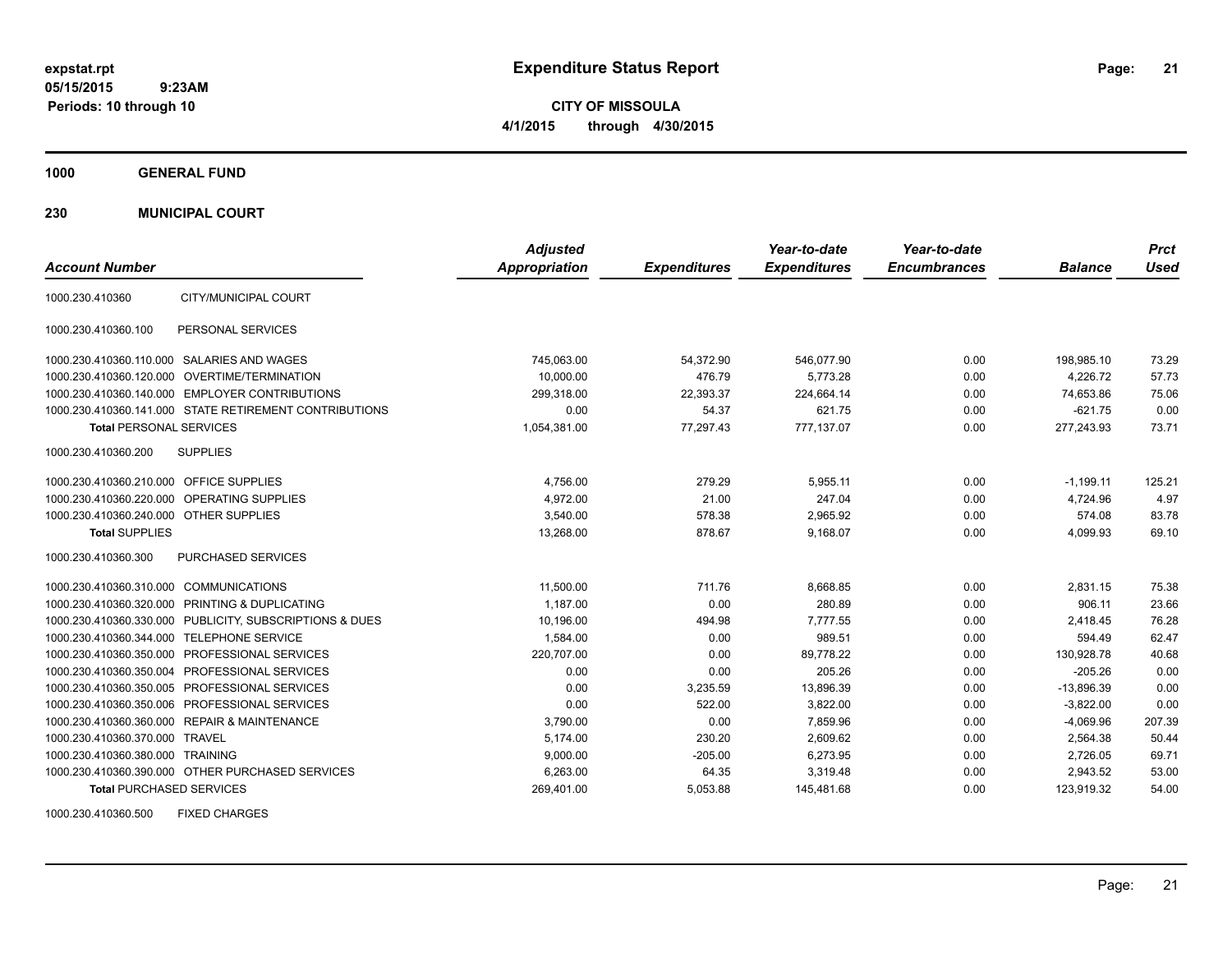**CITY OF MISSOULA 4/1/2015 through 4/30/2015**

**1000 GENERAL FUND**

**230 MUNICIPAL COURT**

| <b>Account Number</b>                                   | <b>Adjusted</b><br>Appropriation | <b>Expenditures</b> | Year-to-date<br><b>Expenditures</b> | Year-to-date<br><b>Encumbrances</b> | <b>Balance</b> | <b>Prct</b><br><b>Used</b> |
|---------------------------------------------------------|----------------------------------|---------------------|-------------------------------------|-------------------------------------|----------------|----------------------------|
|                                                         |                                  |                     |                                     |                                     |                |                            |
| CITY/MUNICIPAL COURT<br>1000.230.410360                 |                                  |                     |                                     |                                     |                |                            |
| 1000.230.410360.100<br>PERSONAL SERVICES                |                                  |                     |                                     |                                     |                |                            |
| 1000.230.410360.110.000 SALARIES AND WAGES              | 745,063.00                       | 54,372.90           | 546,077.90                          | 0.00                                | 198,985.10     | 73.29                      |
| 1000.230.410360.120.000 OVERTIME/TERMINATION            | 10.000.00                        | 476.79              | 5.773.28                            | 0.00                                | 4.226.72       | 57.73                      |
| 1000.230.410360.140.000 EMPLOYER CONTRIBUTIONS          | 299.318.00                       | 22.393.37           | 224.664.14                          | 0.00                                | 74.653.86      | 75.06                      |
| 1000.230.410360.141.000 STATE RETIREMENT CONTRIBUTIONS  | 0.00                             | 54.37               | 621.75                              | 0.00                                | $-621.75$      | 0.00                       |
| <b>Total PERSONAL SERVICES</b>                          | 1,054,381.00                     | 77.297.43           | 777.137.07                          | 0.00                                | 277,243.93     | 73.71                      |
| 1000.230.410360.200<br><b>SUPPLIES</b>                  |                                  |                     |                                     |                                     |                |                            |
| 1000.230.410360.210.000 OFFICE SUPPLIES                 | 4,756.00                         | 279.29              | 5,955.11                            | 0.00                                | $-1,199.11$    | 125.21                     |
| 1000.230.410360.220.000 OPERATING SUPPLIES              | 4.972.00                         | 21.00               | 247.04                              | 0.00                                | 4.724.96       | 4.97                       |
| 1000.230.410360.240.000 OTHER SUPPLIES                  | 3.540.00                         | 578.38              | 2.965.92                            | 0.00                                | 574.08         | 83.78                      |
| <b>Total SUPPLIES</b>                                   | 13,268.00                        | 878.67              | 9.168.07                            | 0.00                                | 4.099.93       | 69.10                      |
| 1000.230.410360.300<br><b>PURCHASED SERVICES</b>        |                                  |                     |                                     |                                     |                |                            |
| 1000.230.410360.310.000 COMMUNICATIONS                  | 11,500.00                        | 711.76              | 8,668.85                            | 0.00                                | 2,831.15       | 75.38                      |
| 1000.230.410360.320.000 PRINTING & DUPLICATING          | 1.187.00                         | 0.00                | 280.89                              | 0.00                                | 906.11         | 23.66                      |
| 1000.230.410360.330.000 PUBLICITY, SUBSCRIPTIONS & DUES | 10.196.00                        | 494.98              | 7.777.55                            | 0.00                                | 2.418.45       | 76.28                      |
| 1000.230.410360.344.000 TELEPHONE SERVICE               | 1,584.00                         | 0.00                | 989.51                              | 0.00                                | 594.49         | 62.47                      |
| 1000.230.410360.350.000 PROFESSIONAL SERVICES           | 220,707.00                       | 0.00                | 89,778.22                           | 0.00                                | 130,928.78     | 40.68                      |
| 1000.230.410360.350.004 PROFESSIONAL SERVICES           | 0.00                             | 0.00                | 205.26                              | 0.00                                | $-205.26$      | 0.00                       |
| 1000.230.410360.350.005 PROFESSIONAL SERVICES           | 0.00                             | 3,235.59            | 13,896.39                           | 0.00                                | $-13,896.39$   | 0.00                       |
| 1000.230.410360.350.006 PROFESSIONAL SERVICES           | 0.00                             | 522.00              | 3,822.00                            | 0.00                                | $-3,822.00$    | 0.00                       |
| 1000.230.410360.360.000 REPAIR & MAINTENANCE            | 3,790.00                         | 0.00                | 7,859.96                            | 0.00                                | $-4,069.96$    | 207.39                     |
| 1000.230.410360.370.000 TRAVEL                          | 5.174.00                         | 230.20              | 2.609.62                            | 0.00                                | 2,564.38       | 50.44                      |
| 1000.230.410360.380.000 TRAINING                        | 9,000.00                         | $-205.00$           | 6,273.95                            | 0.00                                | 2,726.05       | 69.71                      |
| 1000.230.410360.390.000 OTHER PURCHASED SERVICES        | 6,263.00                         | 64.35               | 3,319.48                            | 0.00                                | 2,943.52       | 53.00                      |
| <b>Total PURCHASED SERVICES</b>                         | 269,401.00                       | 5,053.88            | 145,481.68                          | 0.00                                | 123,919.32     | 54.00                      |

1000.230.410360.500 FIXED CHARGES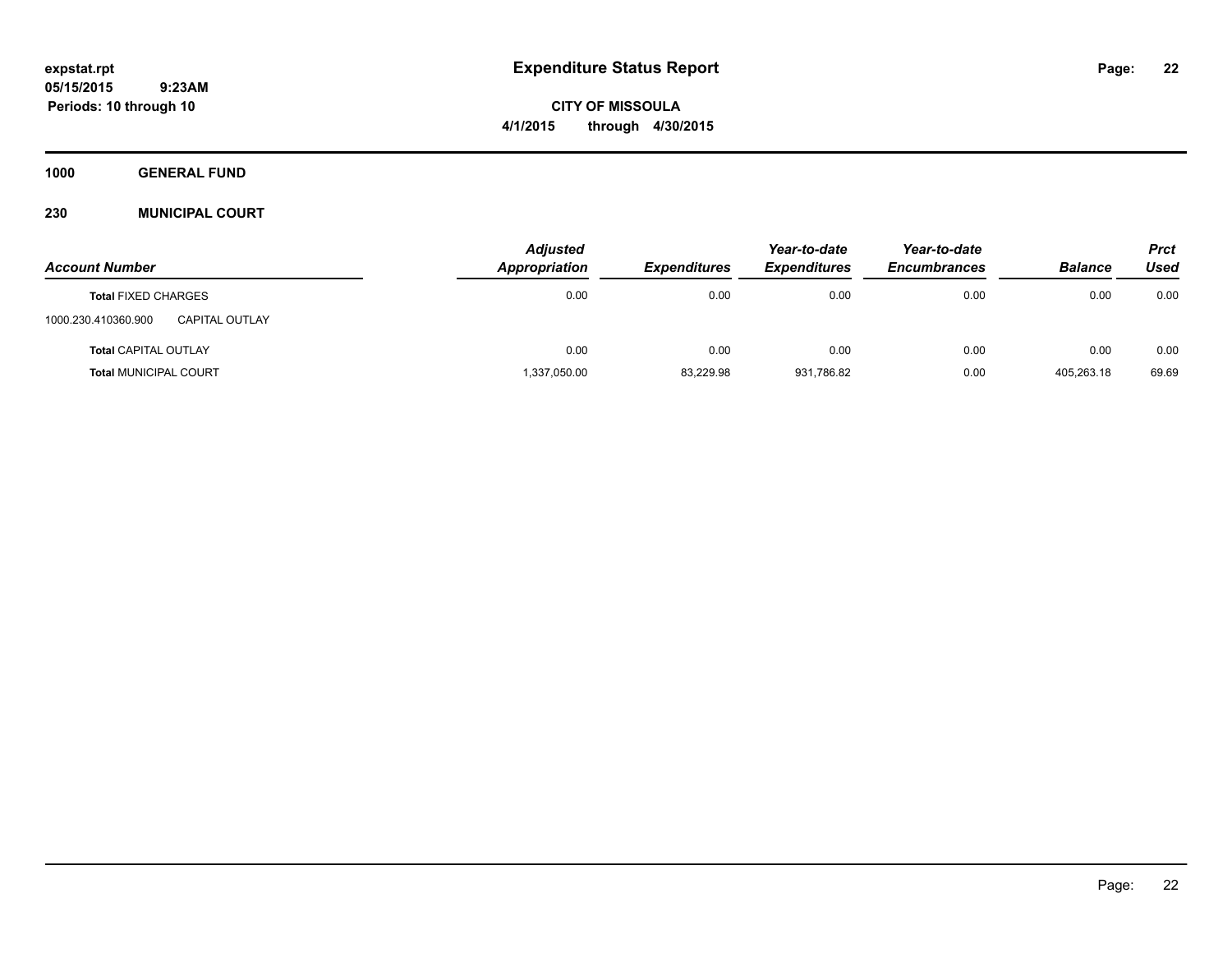**CITY OF MISSOULA 4/1/2015 through 4/30/2015**

**1000 GENERAL FUND**

### **230 MUNICIPAL COURT**

| <b>Account Number</b>                 | <b>Adjusted</b><br>Appropriation | <b>Expenditures</b> | Year-to-date<br><b>Expenditures</b> | Year-to-date<br><b>Encumbrances</b> | <b>Balance</b> | <b>Prct</b><br>Used |
|---------------------------------------|----------------------------------|---------------------|-------------------------------------|-------------------------------------|----------------|---------------------|
| <b>Total FIXED CHARGES</b>            | 0.00                             | 0.00                | 0.00                                | 0.00                                | 0.00           | 0.00                |
| 1000.230.410360.900<br>CAPITAL OUTLAY |                                  |                     |                                     |                                     |                |                     |
| <b>Total CAPITAL OUTLAY</b>           | 0.00                             | 0.00                | 0.00                                | 0.00                                | 0.00           | 0.00                |
| <b>Total MUNICIPAL COURT</b>          | 1,337,050.00                     | 83,229.98           | 931,786.82                          | 0.00                                | 405.263.18     | 69.69               |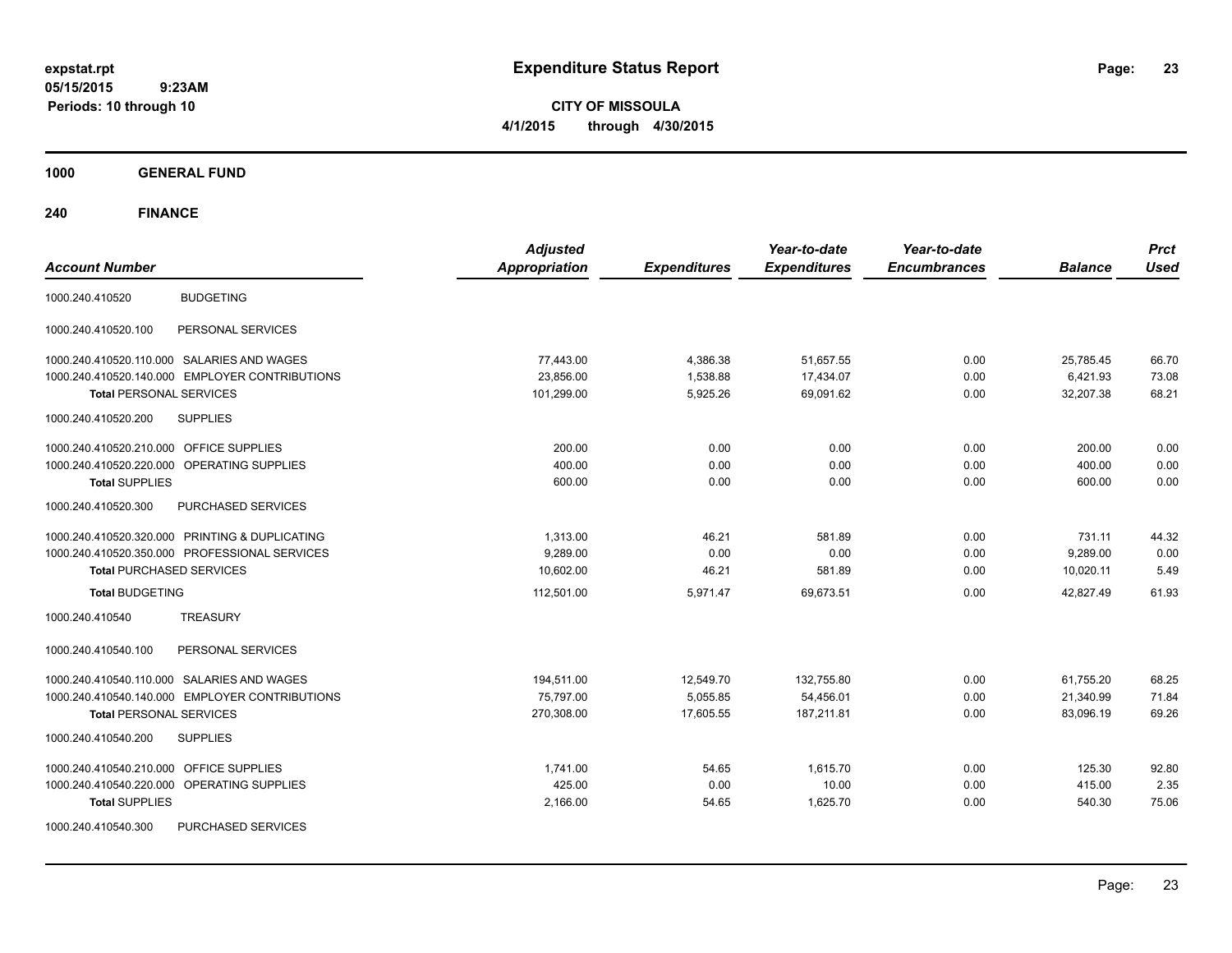**CITY OF MISSOULA 4/1/2015 through 4/30/2015**

**1000 GENERAL FUND**

| <b>Account Number</b>                                                                                                                                                    | <b>Adjusted</b><br><b>Appropriation</b> | <b>Expenditures</b>                | Year-to-date<br><b>Expenditures</b>   | Year-to-date<br><b>Encumbrances</b> | <b>Balance</b>                      | <b>Prct</b><br><b>Used</b> |
|--------------------------------------------------------------------------------------------------------------------------------------------------------------------------|-----------------------------------------|------------------------------------|---------------------------------------|-------------------------------------|-------------------------------------|----------------------------|
| <b>BUDGETING</b><br>1000.240.410520                                                                                                                                      |                                         |                                    |                                       |                                     |                                     |                            |
| 1000.240.410520.100<br>PERSONAL SERVICES                                                                                                                                 |                                         |                                    |                                       |                                     |                                     |                            |
| 1000.240.410520.110.000 SALARIES AND WAGES<br>1000.240.410520.140.000 EMPLOYER CONTRIBUTIONS<br><b>Total PERSONAL SERVICES</b>                                           | 77,443.00<br>23,856.00<br>101,299.00    | 4,386.38<br>1,538.88<br>5,925.26   | 51,657.55<br>17,434.07<br>69,091.62   | 0.00<br>0.00<br>0.00                | 25,785.45<br>6,421.93<br>32,207.38  | 66.70<br>73.08<br>68.21    |
| 1000.240.410520.200<br><b>SUPPLIES</b>                                                                                                                                   |                                         |                                    |                                       |                                     |                                     |                            |
| OFFICE SUPPLIES<br>1000.240.410520.210.000<br>1000.240.410520.220.000 OPERATING SUPPLIES<br><b>Total SUPPLIES</b>                                                        | 200.00<br>400.00<br>600.00              | 0.00<br>0.00<br>0.00               | 0.00<br>0.00<br>0.00                  | 0.00<br>0.00<br>0.00                | 200.00<br>400.00<br>600.00          | 0.00<br>0.00<br>0.00       |
| 1000.240.410520.300<br>PURCHASED SERVICES                                                                                                                                |                                         |                                    |                                       |                                     |                                     |                            |
| 1000.240.410520.320.000 PRINTING & DUPLICATING<br>1000.240.410520.350.000 PROFESSIONAL SERVICES<br><b>Total PURCHASED SERVICES</b>                                       | 1,313.00<br>9,289.00<br>10,602.00       | 46.21<br>0.00<br>46.21             | 581.89<br>0.00<br>581.89              | 0.00<br>0.00<br>0.00                | 731.11<br>9,289.00<br>10,020.11     | 44.32<br>0.00<br>5.49      |
| <b>Total BUDGETING</b>                                                                                                                                                   | 112,501.00                              | 5,971.47                           | 69,673.51                             | 0.00                                | 42,827.49                           | 61.93                      |
| <b>TREASURY</b><br>1000.240.410540                                                                                                                                       |                                         |                                    |                                       |                                     |                                     |                            |
| 1000.240.410540.100<br>PERSONAL SERVICES                                                                                                                                 |                                         |                                    |                                       |                                     |                                     |                            |
| 1000.240.410540.110.000 SALARIES AND WAGES<br>1000.240.410540.140.000 EMPLOYER CONTRIBUTIONS<br><b>Total PERSONAL SERVICES</b><br><b>SUPPLIES</b><br>1000.240.410540.200 | 194,511.00<br>75,797.00<br>270,308.00   | 12,549.70<br>5,055.85<br>17,605.55 | 132,755.80<br>54,456.01<br>187,211.81 | 0.00<br>0.00<br>0.00                | 61,755.20<br>21,340.99<br>83,096.19 | 68.25<br>71.84<br>69.26    |
|                                                                                                                                                                          |                                         |                                    |                                       |                                     |                                     |                            |
| <b>OFFICE SUPPLIES</b><br>1000.240.410540.210.000<br>OPERATING SUPPLIES<br>1000.240.410540.220.000<br><b>Total SUPPLIES</b>                                              | 1,741.00<br>425.00<br>2,166.00          | 54.65<br>0.00<br>54.65             | 1,615.70<br>10.00<br>1,625.70         | 0.00<br>0.00<br>0.00                | 125.30<br>415.00<br>540.30          | 92.80<br>2.35<br>75.06     |
| PURCHASED SERVICES<br>1000.240.410540.300                                                                                                                                |                                         |                                    |                                       |                                     |                                     |                            |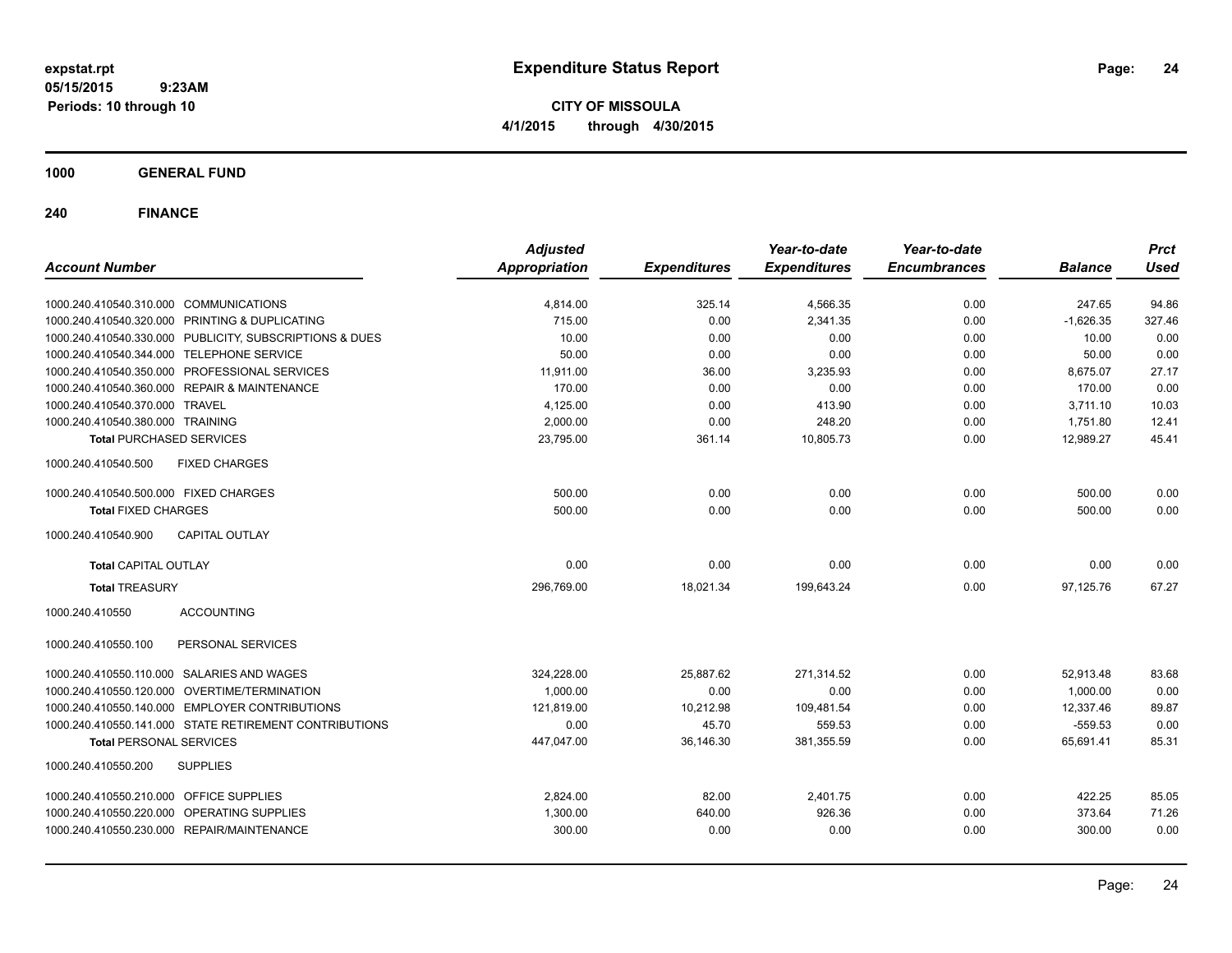**CITY OF MISSOULA 4/1/2015 through 4/30/2015**

**1000 GENERAL FUND**

| <b>Account Number</b>                                   | <b>Adjusted</b><br><b>Appropriation</b> | <b>Expenditures</b> | Year-to-date<br><b>Expenditures</b> | Year-to-date<br><b>Encumbrances</b> | <b>Balance</b> | <b>Prct</b><br><b>Used</b> |
|---------------------------------------------------------|-----------------------------------------|---------------------|-------------------------------------|-------------------------------------|----------------|----------------------------|
|                                                         |                                         |                     |                                     |                                     |                |                            |
| 1000.240.410540.310.000 COMMUNICATIONS                  | 4,814.00                                | 325.14              | 4,566.35                            | 0.00                                | 247.65         | 94.86                      |
| 1000.240.410540.320.000 PRINTING & DUPLICATING          | 715.00                                  | 0.00                | 2,341.35                            | 0.00                                | $-1,626.35$    | 327.46                     |
| 1000.240.410540.330.000 PUBLICITY, SUBSCRIPTIONS & DUES | 10.00                                   | 0.00                | 0.00                                | 0.00                                | 10.00          | 0.00                       |
| 1000.240.410540.344.000 TELEPHONE SERVICE               | 50.00                                   | 0.00                | 0.00                                | 0.00                                | 50.00          | 0.00                       |
| 1000.240.410540.350.000 PROFESSIONAL SERVICES           | 11,911.00                               | 36.00               | 3,235.93                            | 0.00                                | 8,675.07       | 27.17                      |
| 1000.240.410540.360.000 REPAIR & MAINTENANCE            | 170.00                                  | 0.00                | 0.00                                | 0.00                                | 170.00         | 0.00                       |
| 1000.240.410540.370.000 TRAVEL                          | 4,125.00                                | 0.00                | 413.90                              | 0.00                                | 3,711.10       | 10.03                      |
| 1000.240.410540.380.000 TRAINING                        | 2,000.00                                | 0.00                | 248.20                              | 0.00                                | 1,751.80       | 12.41                      |
| <b>Total PURCHASED SERVICES</b>                         | 23,795.00                               | 361.14              | 10,805.73                           | 0.00                                | 12,989.27      | 45.41                      |
| 1000.240.410540.500<br><b>FIXED CHARGES</b>             |                                         |                     |                                     |                                     |                |                            |
| 1000.240.410540.500.000 FIXED CHARGES                   | 500.00                                  | 0.00                | 0.00                                | 0.00                                | 500.00         | 0.00                       |
| <b>Total FIXED CHARGES</b>                              | 500.00                                  | 0.00                | 0.00                                | 0.00                                | 500.00         | 0.00                       |
| 1000.240.410540.900<br><b>CAPITAL OUTLAY</b>            |                                         |                     |                                     |                                     |                |                            |
| <b>Total CAPITAL OUTLAY</b>                             | 0.00                                    | 0.00                | 0.00                                | 0.00                                | 0.00           | 0.00                       |
| <b>Total TREASURY</b>                                   | 296,769.00                              | 18,021.34           | 199,643.24                          | 0.00                                | 97,125.76      | 67.27                      |
| 1000.240.410550<br><b>ACCOUNTING</b>                    |                                         |                     |                                     |                                     |                |                            |
| PERSONAL SERVICES<br>1000.240.410550.100                |                                         |                     |                                     |                                     |                |                            |
| 1000.240.410550.110.000 SALARIES AND WAGES              | 324,228.00                              | 25,887.62           | 271,314.52                          | 0.00                                | 52,913.48      | 83.68                      |
| 1000.240.410550.120.000 OVERTIME/TERMINATION            | 1,000.00                                | 0.00                | 0.00                                | 0.00                                | 1,000.00       | 0.00                       |
| 1000.240.410550.140.000 EMPLOYER CONTRIBUTIONS          | 121,819.00                              | 10,212.98           | 109,481.54                          | 0.00                                | 12,337.46      | 89.87                      |
| 1000.240.410550.141.000 STATE RETIREMENT CONTRIBUTIONS  | 0.00                                    | 45.70               | 559.53                              | 0.00                                | $-559.53$      | 0.00                       |
| <b>Total PERSONAL SERVICES</b>                          | 447,047.00                              | 36,146.30           | 381,355.59                          | 0.00                                | 65,691.41      | 85.31                      |
| 1000.240.410550.200<br><b>SUPPLIES</b>                  |                                         |                     |                                     |                                     |                |                            |
| 1000.240.410550.210.000 OFFICE SUPPLIES                 | 2,824.00                                | 82.00               | 2,401.75                            | 0.00                                | 422.25         | 85.05                      |
| 1000.240.410550.220.000 OPERATING SUPPLIES              | 1,300.00                                | 640.00              | 926.36                              | 0.00                                | 373.64         | 71.26                      |
| 1000.240.410550.230.000 REPAIR/MAINTENANCE              | 300.00                                  | 0.00                | 0.00                                | 0.00                                | 300.00         | 0.00                       |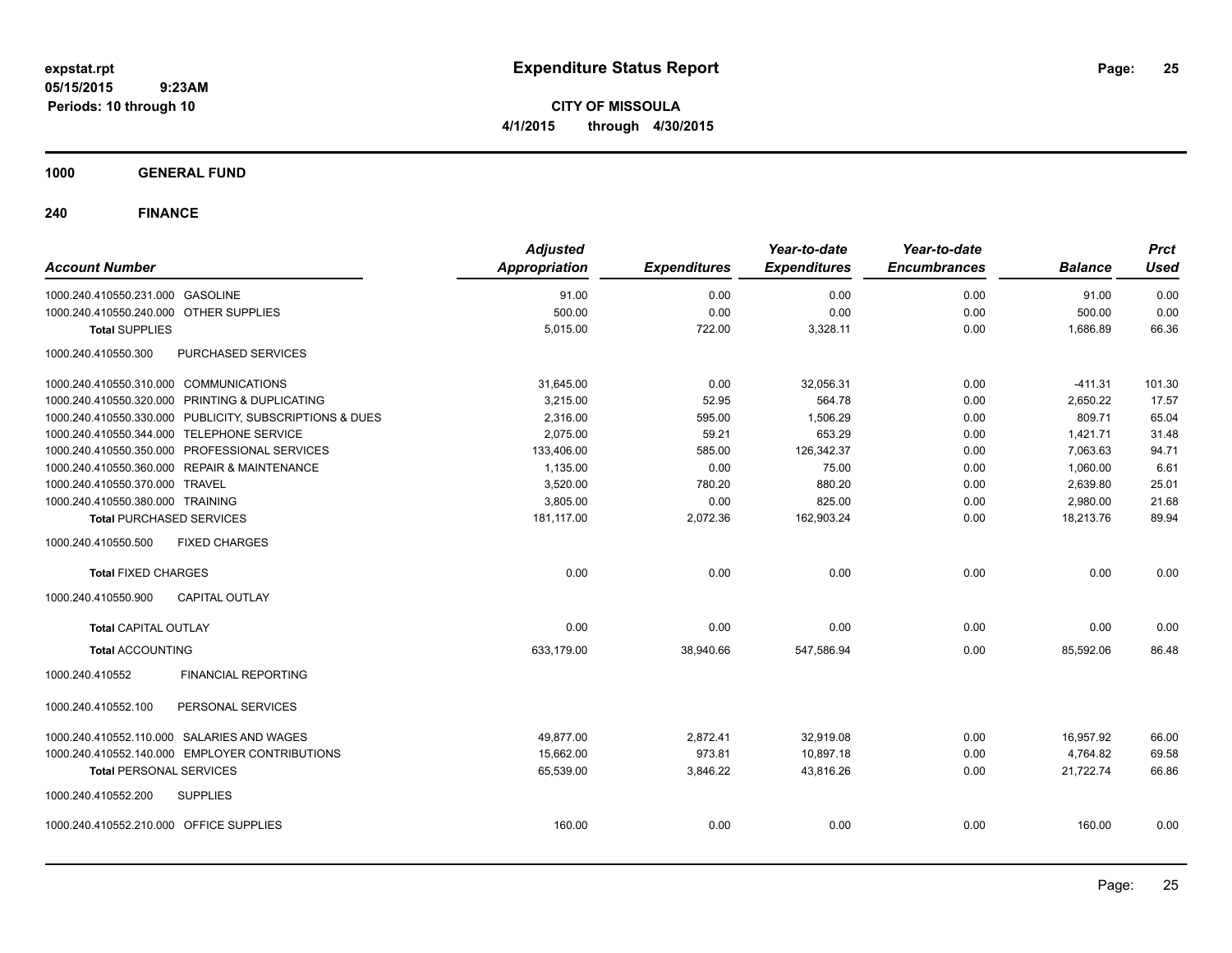**CITY OF MISSOULA 4/1/2015 through 4/30/2015**

**1000 GENERAL FUND**

| <b>Account Number</b>                                   | <b>Adjusted</b><br><b>Appropriation</b> | <b>Expenditures</b> | Year-to-date<br><b>Expenditures</b> | Year-to-date<br><b>Encumbrances</b> | <b>Balance</b> | <b>Prct</b><br><b>Used</b> |
|---------------------------------------------------------|-----------------------------------------|---------------------|-------------------------------------|-------------------------------------|----------------|----------------------------|
| 1000.240.410550.231.000 GASOLINE                        | 91.00                                   | 0.00                | 0.00                                | 0.00                                | 91.00          | 0.00                       |
| 1000.240.410550.240.000 OTHER SUPPLIES                  | 500.00                                  | 0.00                | 0.00                                | 0.00                                | 500.00         | 0.00                       |
| <b>Total SUPPLIES</b>                                   | 5,015.00                                | 722.00              | 3,328.11                            | 0.00                                | 1,686.89       | 66.36                      |
| 1000.240.410550.300<br>PURCHASED SERVICES               |                                         |                     |                                     |                                     |                |                            |
| 1000.240.410550.310.000 COMMUNICATIONS                  | 31,645.00                               | 0.00                | 32,056.31                           | 0.00                                | $-411.31$      | 101.30                     |
| 1000.240.410550.320.000 PRINTING & DUPLICATING          | 3,215.00                                | 52.95               | 564.78                              | 0.00                                | 2,650.22       | 17.57                      |
| 1000.240.410550.330.000 PUBLICITY, SUBSCRIPTIONS & DUES | 2,316.00                                | 595.00              | 1,506.29                            | 0.00                                | 809.71         | 65.04                      |
| 1000.240.410550.344.000 TELEPHONE SERVICE               | 2,075.00                                | 59.21               | 653.29                              | 0.00                                | 1,421.71       | 31.48                      |
| 1000.240.410550.350.000 PROFESSIONAL SERVICES           | 133,406.00                              | 585.00              | 126,342.37                          | 0.00                                | 7,063.63       | 94.71                      |
| 1000.240.410550.360.000 REPAIR & MAINTENANCE            | 1,135.00                                | 0.00                | 75.00                               | 0.00                                | 1,060.00       | 6.61                       |
| 1000.240.410550.370.000 TRAVEL                          | 3,520.00                                | 780.20              | 880.20                              | 0.00                                | 2,639.80       | 25.01                      |
| 1000.240.410550.380.000 TRAINING                        | 3,805.00                                | 0.00                | 825.00                              | 0.00                                | 2,980.00       | 21.68                      |
| <b>Total PURCHASED SERVICES</b>                         | 181,117.00                              | 2,072.36            | 162,903.24                          | 0.00                                | 18,213.76      | 89.94                      |
| 1000.240.410550.500<br><b>FIXED CHARGES</b>             |                                         |                     |                                     |                                     |                |                            |
| <b>Total FIXED CHARGES</b>                              | 0.00                                    | 0.00                | 0.00                                | 0.00                                | 0.00           | 0.00                       |
| <b>CAPITAL OUTLAY</b><br>1000.240.410550.900            |                                         |                     |                                     |                                     |                |                            |
| <b>Total CAPITAL OUTLAY</b>                             | 0.00                                    | 0.00                | 0.00                                | 0.00                                | 0.00           | 0.00                       |
| <b>Total ACCOUNTING</b>                                 | 633,179.00                              | 38,940.66           | 547,586.94                          | 0.00                                | 85,592.06      | 86.48                      |
| 1000.240.410552<br><b>FINANCIAL REPORTING</b>           |                                         |                     |                                     |                                     |                |                            |
| PERSONAL SERVICES<br>1000.240.410552.100                |                                         |                     |                                     |                                     |                |                            |
| 1000.240.410552.110.000 SALARIES AND WAGES              | 49,877.00                               | 2,872.41            | 32,919.08                           | 0.00                                | 16,957.92      | 66.00                      |
| 1000.240.410552.140.000 EMPLOYER CONTRIBUTIONS          | 15,662.00                               | 973.81              | 10,897.18                           | 0.00                                | 4,764.82       | 69.58                      |
| <b>Total PERSONAL SERVICES</b>                          | 65,539.00                               | 3,846.22            | 43,816.26                           | 0.00                                | 21,722.74      | 66.86                      |
| 1000.240.410552.200<br><b>SUPPLIES</b>                  |                                         |                     |                                     |                                     |                |                            |
| 1000.240.410552.210.000 OFFICE SUPPLIES                 | 160.00                                  | 0.00                | 0.00                                | 0.00                                | 160.00         | 0.00                       |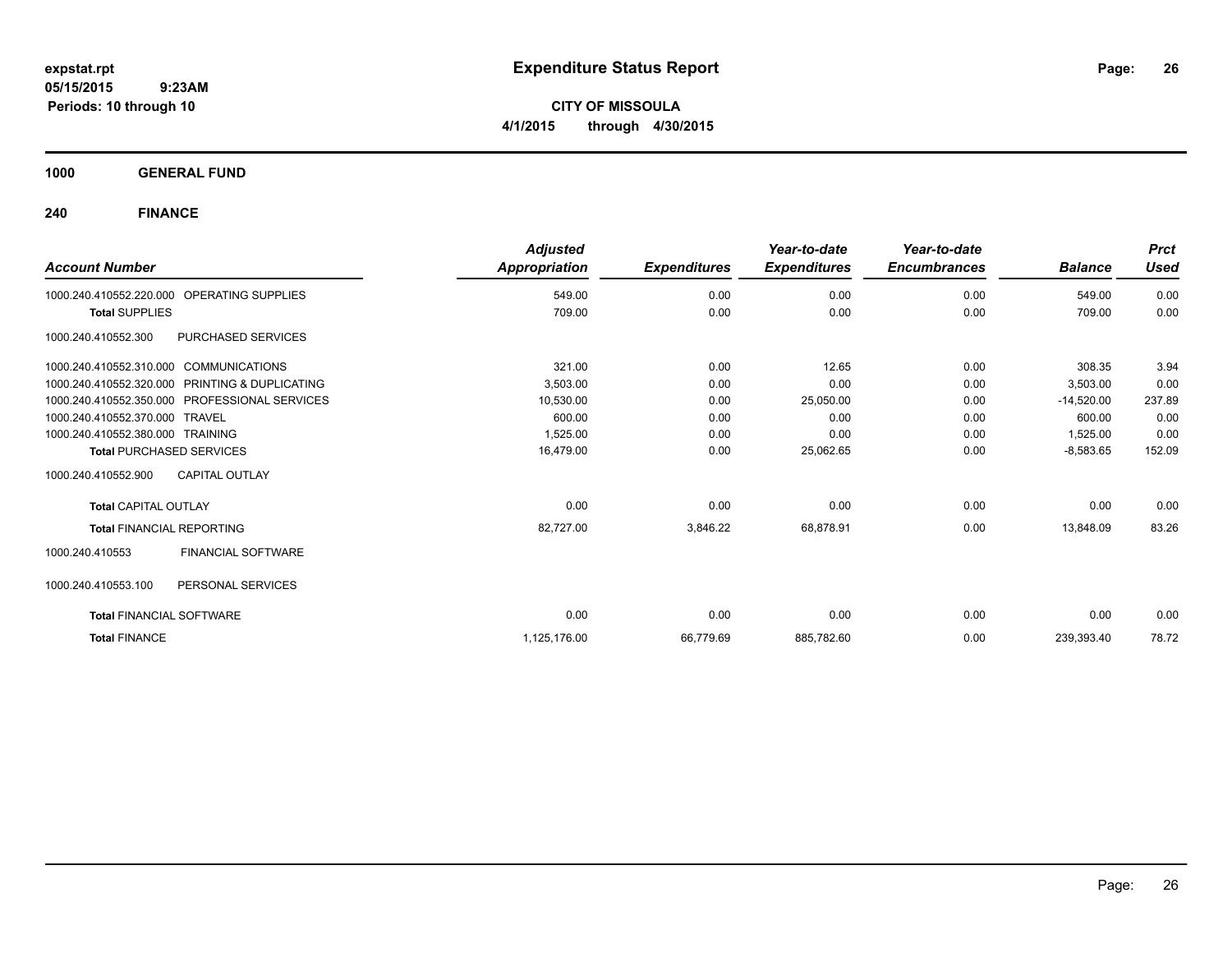**CITY OF MISSOULA 4/1/2015 through 4/30/2015**

**1000 GENERAL FUND**

| <b>Account Number</b>                  |                                               | <b>Adjusted</b><br>Appropriation | <b>Expenditures</b> | Year-to-date<br><b>Expenditures</b> | Year-to-date<br><b>Encumbrances</b> | <b>Balance</b> | <b>Prct</b><br><b>Used</b> |
|----------------------------------------|-----------------------------------------------|----------------------------------|---------------------|-------------------------------------|-------------------------------------|----------------|----------------------------|
|                                        |                                               |                                  |                     |                                     |                                     |                |                            |
| 1000.240.410552.220.000                | <b>OPERATING SUPPLIES</b>                     | 549.00                           | 0.00                | 0.00                                | 0.00                                | 549.00         | 0.00                       |
| <b>Total SUPPLIES</b>                  |                                               | 709.00                           | 0.00                | 0.00                                | 0.00                                | 709.00         | 0.00                       |
| 1000.240.410552.300                    | PURCHASED SERVICES                            |                                  |                     |                                     |                                     |                |                            |
| 1000.240.410552.310.000 COMMUNICATIONS |                                               | 321.00                           | 0.00                | 12.65                               | 0.00                                | 308.35         | 3.94                       |
| 1000.240.410552.320.000                | PRINTING & DUPLICATING                        | 3,503.00                         | 0.00                | 0.00                                | 0.00                                | 3,503.00       | 0.00                       |
|                                        | 1000.240.410552.350.000 PROFESSIONAL SERVICES | 10,530.00                        | 0.00                | 25,050.00                           | 0.00                                | $-14,520.00$   | 237.89                     |
| 1000.240.410552.370.000 TRAVEL         |                                               | 600.00                           | 0.00                | 0.00                                | 0.00                                | 600.00         | 0.00                       |
| 1000.240.410552.380.000 TRAINING       |                                               | 1,525.00                         | 0.00                | 0.00                                | 0.00                                | 1,525.00       | 0.00                       |
|                                        | <b>Total PURCHASED SERVICES</b>               | 16.479.00                        | 0.00                | 25,062.65                           | 0.00                                | $-8,583.65$    | 152.09                     |
| 1000.240.410552.900                    | <b>CAPITAL OUTLAY</b>                         |                                  |                     |                                     |                                     |                |                            |
| <b>Total CAPITAL OUTLAY</b>            |                                               | 0.00                             | 0.00                | 0.00                                | 0.00                                | 0.00           | 0.00                       |
| <b>Total FINANCIAL REPORTING</b>       |                                               | 82,727.00                        | 3,846.22            | 68,878.91                           | 0.00                                | 13,848.09      | 83.26                      |
| 1000.240.410553                        | FINANCIAL SOFTWARE                            |                                  |                     |                                     |                                     |                |                            |
| 1000.240.410553.100                    | PERSONAL SERVICES                             |                                  |                     |                                     |                                     |                |                            |
| <b>Total FINANCIAL SOFTWARE</b>        |                                               | 0.00                             | 0.00                | 0.00                                | 0.00                                | 0.00           | 0.00                       |
| <b>Total FINANCE</b>                   |                                               | 1,125,176.00                     | 66,779.69           | 885,782.60                          | 0.00                                | 239,393.40     | 78.72                      |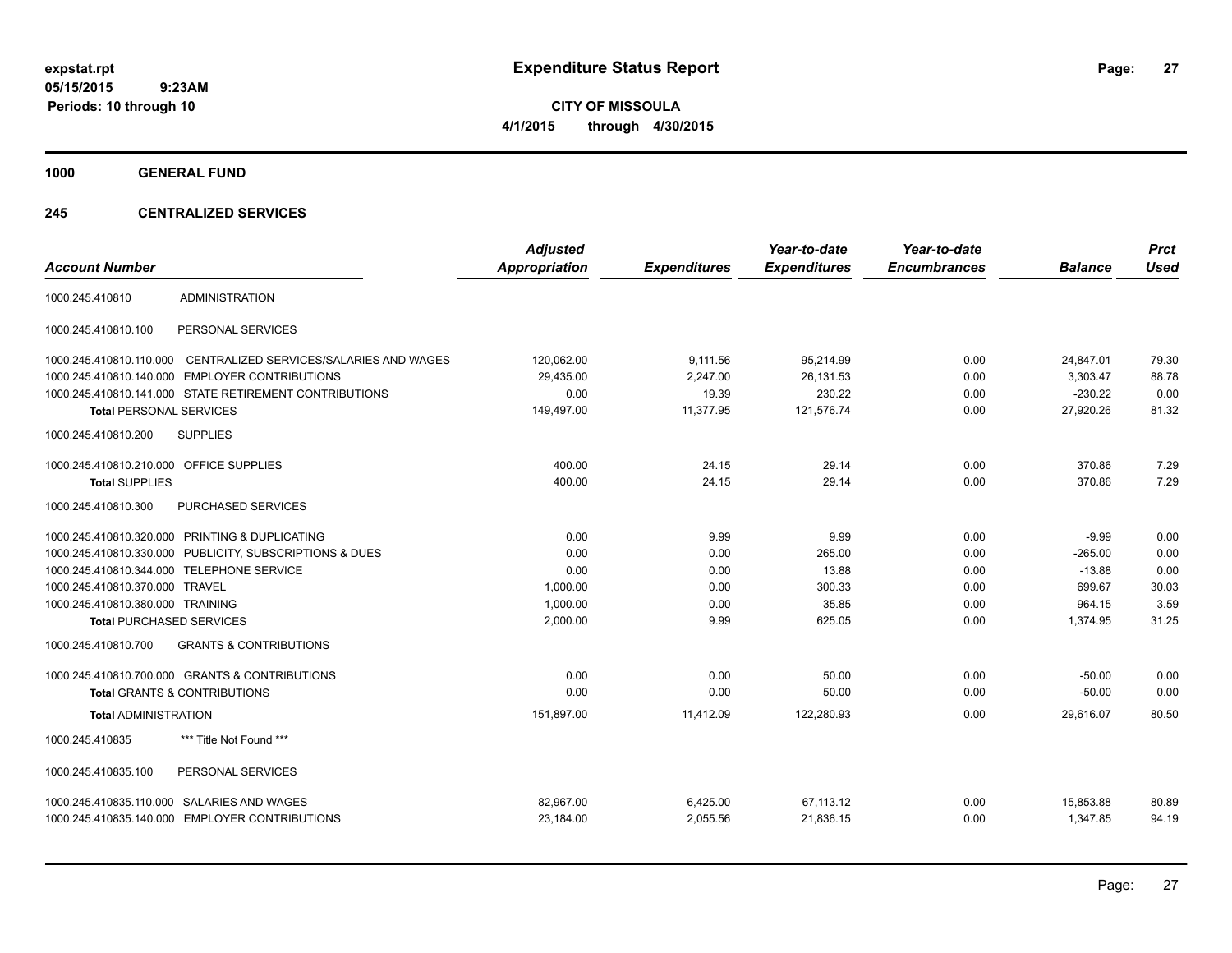**CITY OF MISSOULA 4/1/2015 through 4/30/2015**

**1000 GENERAL FUND**

### **245 CENTRALIZED SERVICES**

| <b>Account Number</b>                   |                                                         | <b>Adjusted</b><br><b>Appropriation</b> | <b>Expenditures</b> | Year-to-date<br><b>Expenditures</b> | Year-to-date<br><b>Encumbrances</b> | <b>Balance</b> | <b>Prct</b><br><b>Used</b> |
|-----------------------------------------|---------------------------------------------------------|-----------------------------------------|---------------------|-------------------------------------|-------------------------------------|----------------|----------------------------|
| 1000.245.410810                         | <b>ADMINISTRATION</b>                                   |                                         |                     |                                     |                                     |                |                            |
| 1000.245.410810.100                     | PERSONAL SERVICES                                       |                                         |                     |                                     |                                     |                |                            |
| 1000.245.410810.110.000                 | CENTRALIZED SERVICES/SALARIES AND WAGES                 | 120,062.00                              | 9,111.56            | 95,214.99                           | 0.00                                | 24,847.01      | 79.30                      |
| 1000.245.410810.140.000                 | <b>EMPLOYER CONTRIBUTIONS</b>                           | 29,435.00                               | 2,247.00            | 26,131.53                           | 0.00                                | 3,303.47       | 88.78                      |
|                                         | 1000.245.410810.141.000 STATE RETIREMENT CONTRIBUTIONS  | 0.00                                    | 19.39               | 230.22                              | 0.00                                | $-230.22$      | 0.00                       |
| <b>Total PERSONAL SERVICES</b>          |                                                         | 149,497.00                              | 11,377.95           | 121,576.74                          | 0.00                                | 27,920.26      | 81.32                      |
| 1000.245.410810.200                     | <b>SUPPLIES</b>                                         |                                         |                     |                                     |                                     |                |                            |
| 1000.245.410810.210.000 OFFICE SUPPLIES |                                                         | 400.00                                  | 24.15               | 29.14                               | 0.00                                | 370.86         | 7.29                       |
| <b>Total SUPPLIES</b>                   |                                                         | 400.00                                  | 24.15               | 29.14                               | 0.00                                | 370.86         | 7.29                       |
| 1000.245.410810.300                     | PURCHASED SERVICES                                      |                                         |                     |                                     |                                     |                |                            |
|                                         | 1000.245.410810.320.000 PRINTING & DUPLICATING          | 0.00                                    | 9.99                | 9.99                                | 0.00                                | $-9.99$        | 0.00                       |
|                                         | 1000.245.410810.330.000 PUBLICITY, SUBSCRIPTIONS & DUES | 0.00                                    | 0.00                | 265.00                              | 0.00                                | $-265.00$      | 0.00                       |
|                                         | 1000.245.410810.344.000 TELEPHONE SERVICE               | 0.00                                    | 0.00                | 13.88                               | 0.00                                | $-13.88$       | 0.00                       |
| 1000.245.410810.370.000 TRAVEL          |                                                         | 1,000.00                                | 0.00                | 300.33                              | 0.00                                | 699.67         | 30.03                      |
| 1000.245.410810.380.000 TRAINING        |                                                         | 1,000.00                                | 0.00                | 35.85                               | 0.00                                | 964.15         | 3.59                       |
| <b>Total PURCHASED SERVICES</b>         |                                                         | 2,000.00                                | 9.99                | 625.05                              | 0.00                                | 1,374.95       | 31.25                      |
| 1000.245.410810.700                     | <b>GRANTS &amp; CONTRIBUTIONS</b>                       |                                         |                     |                                     |                                     |                |                            |
|                                         | 1000.245.410810.700.000 GRANTS & CONTRIBUTIONS          | 0.00                                    | 0.00                | 50.00                               | 0.00                                | $-50.00$       | 0.00                       |
|                                         | <b>Total GRANTS &amp; CONTRIBUTIONS</b>                 | 0.00                                    | 0.00                | 50.00                               | 0.00                                | $-50.00$       | 0.00                       |
| <b>Total ADMINISTRATION</b>             |                                                         | 151,897.00                              | 11,412.09           | 122,280.93                          | 0.00                                | 29,616.07      | 80.50                      |
| 1000.245.410835                         | *** Title Not Found ***                                 |                                         |                     |                                     |                                     |                |                            |
| 1000.245.410835.100                     | PERSONAL SERVICES                                       |                                         |                     |                                     |                                     |                |                            |
|                                         | 1000.245.410835.110.000 SALARIES AND WAGES              | 82,967.00                               | 6,425.00            | 67,113.12                           | 0.00                                | 15,853.88      | 80.89                      |
|                                         | 1000.245.410835.140.000 EMPLOYER CONTRIBUTIONS          | 23,184.00                               | 2,055.56            | 21,836.15                           | 0.00                                | 1,347.85       | 94.19                      |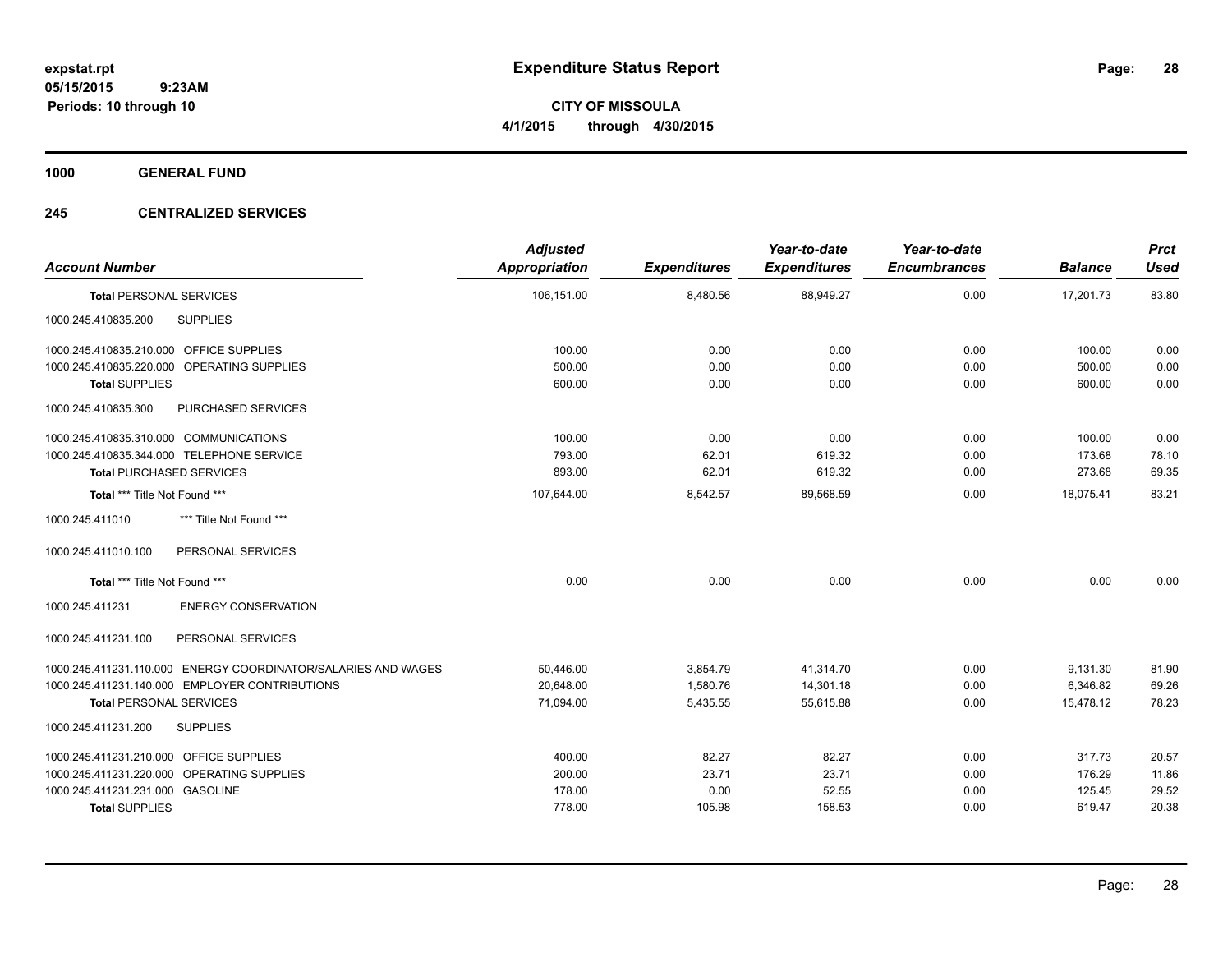**CITY OF MISSOULA 4/1/2015 through 4/30/2015**

**1000 GENERAL FUND**

### **245 CENTRALIZED SERVICES**

| <b>Account Number</b>                                         | <b>Adjusted</b><br><b>Appropriation</b> | <b>Expenditures</b> | Year-to-date<br><b>Expenditures</b> | Year-to-date<br><b>Encumbrances</b> | <b>Balance</b> | <b>Prct</b><br><b>Used</b> |
|---------------------------------------------------------------|-----------------------------------------|---------------------|-------------------------------------|-------------------------------------|----------------|----------------------------|
| <b>Total PERSONAL SERVICES</b>                                | 106,151.00                              | 8,480.56            | 88,949.27                           | 0.00                                | 17,201.73      | 83.80                      |
| <b>SUPPLIES</b><br>1000.245.410835.200                        |                                         |                     |                                     |                                     |                |                            |
| 1000.245.410835.210.000 OFFICE SUPPLIES                       | 100.00                                  | 0.00                | 0.00                                | 0.00                                | 100.00         | 0.00                       |
| 1000.245.410835.220.000 OPERATING SUPPLIES                    | 500.00                                  | 0.00                | 0.00                                | 0.00                                | 500.00         | 0.00                       |
| <b>Total SUPPLIES</b>                                         | 600.00                                  | 0.00                | 0.00                                | 0.00                                | 600.00         | 0.00                       |
| <b>PURCHASED SERVICES</b><br>1000.245.410835.300              |                                         |                     |                                     |                                     |                |                            |
| 1000.245.410835.310.000 COMMUNICATIONS                        | 100.00                                  | 0.00                | 0.00                                | 0.00                                | 100.00         | 0.00                       |
| 1000.245.410835.344.000 TELEPHONE SERVICE                     | 793.00                                  | 62.01               | 619.32                              | 0.00                                | 173.68         | 78.10                      |
| <b>Total PURCHASED SERVICES</b>                               | 893.00                                  | 62.01               | 619.32                              | 0.00                                | 273.68         | 69.35                      |
| Total *** Title Not Found ***                                 | 107,644.00                              | 8,542.57            | 89,568.59                           | 0.00                                | 18,075.41      | 83.21                      |
| 1000.245.411010<br>*** Title Not Found ***                    |                                         |                     |                                     |                                     |                |                            |
| PERSONAL SERVICES<br>1000.245.411010.100                      |                                         |                     |                                     |                                     |                |                            |
| Total *** Title Not Found ***                                 | 0.00                                    | 0.00                | 0.00                                | 0.00                                | 0.00           | 0.00                       |
| <b>ENERGY CONSERVATION</b><br>1000.245.411231                 |                                         |                     |                                     |                                     |                |                            |
| PERSONAL SERVICES<br>1000.245.411231.100                      |                                         |                     |                                     |                                     |                |                            |
| 1000.245.411231.110.000 ENERGY COORDINATOR/SALARIES AND WAGES | 50,446.00                               | 3,854.79            | 41,314.70                           | 0.00                                | 9,131.30       | 81.90                      |
| 1000.245.411231.140.000 EMPLOYER CONTRIBUTIONS                | 20,648.00                               | 1,580.76            | 14,301.18                           | 0.00                                | 6,346.82       | 69.26                      |
| <b>Total PERSONAL SERVICES</b>                                | 71,094.00                               | 5,435.55            | 55,615.88                           | 0.00                                | 15,478.12      | 78.23                      |
| 1000.245.411231.200<br><b>SUPPLIES</b>                        |                                         |                     |                                     |                                     |                |                            |
| 1000.245.411231.210.000 OFFICE SUPPLIES                       | 400.00                                  | 82.27               | 82.27                               | 0.00                                | 317.73         | 20.57                      |
| 1000.245.411231.220.000 OPERATING SUPPLIES                    | 200.00                                  | 23.71               | 23.71                               | 0.00                                | 176.29         | 11.86                      |
| 1000.245.411231.231.000 GASOLINE                              | 178.00                                  | 0.00                | 52.55                               | 0.00                                | 125.45         | 29.52                      |
| <b>Total SUPPLIES</b>                                         | 778.00                                  | 105.98              | 158.53                              | 0.00                                | 619.47         | 20.38                      |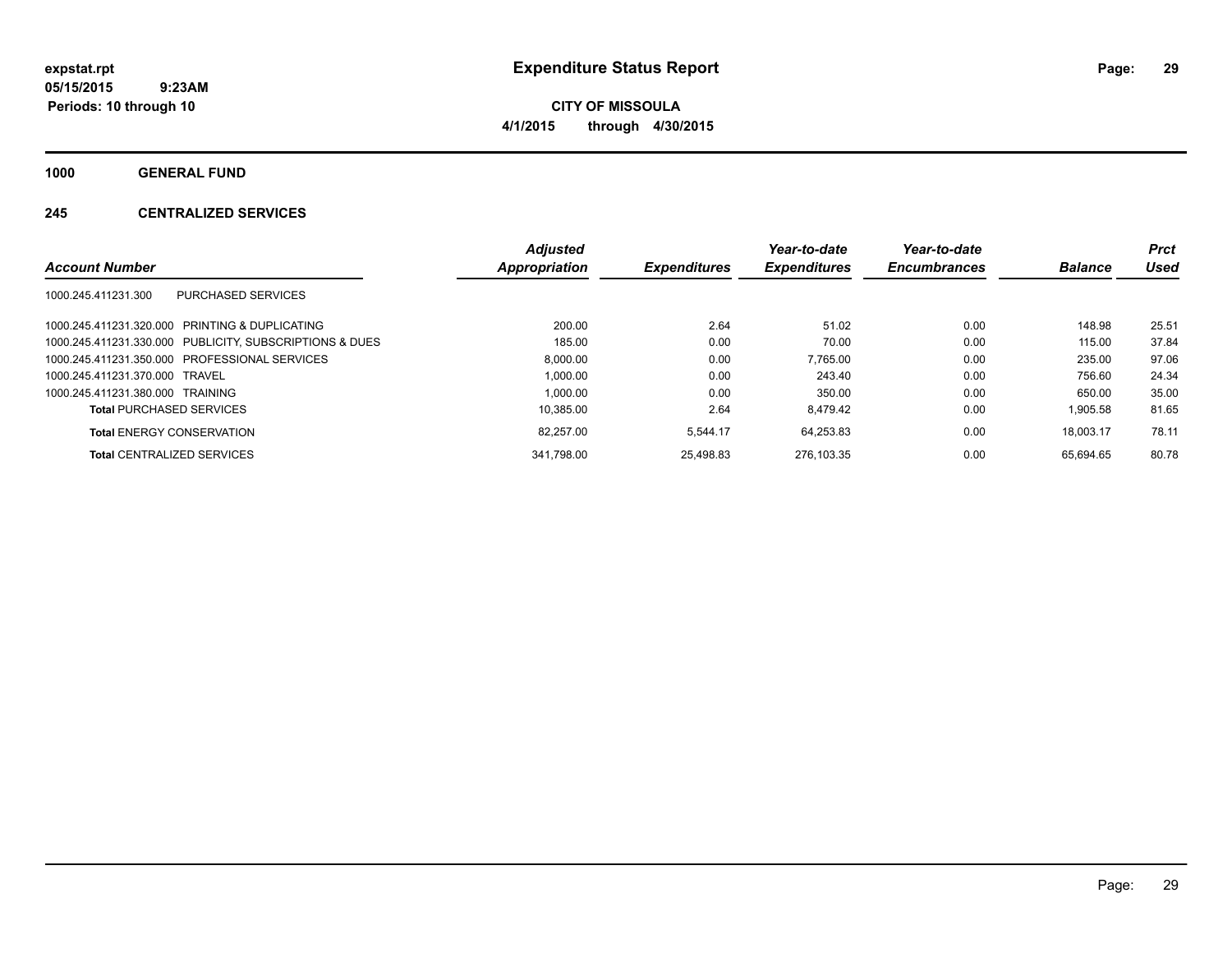**CITY OF MISSOULA 4/1/2015 through 4/30/2015**

**1000 GENERAL FUND**

### **245 CENTRALIZED SERVICES**

|                                                         | <b>Adjusted</b> |                     | Year-to-date        | Year-to-date        |                | <b>Prct</b> |
|---------------------------------------------------------|-----------------|---------------------|---------------------|---------------------|----------------|-------------|
| <b>Account Number</b>                                   | Appropriation   | <b>Expenditures</b> | <b>Expenditures</b> | <b>Encumbrances</b> | <b>Balance</b> | Used        |
| 1000.245.411231.300<br><b>PURCHASED SERVICES</b>        |                 |                     |                     |                     |                |             |
| 1000.245.411231.320.000 PRINTING & DUPLICATING          | 200.00          | 2.64                | 51.02               | 0.00                | 148.98         | 25.51       |
| 1000.245.411231.330.000 PUBLICITY, SUBSCRIPTIONS & DUES | 185.00          | 0.00                | 70.00               | 0.00                | 115.00         | 37.84       |
| 1000.245.411231.350.000 PROFESSIONAL SERVICES           | 8.000.00        | 0.00                | 7.765.00            | 0.00                | 235.00         | 97.06       |
| 1000.245.411231.370.000 TRAVEL                          | 1.000.00        | 0.00                | 243.40              | 0.00                | 756.60         | 24.34       |
| 1000.245.411231.380.000 TRAINING                        | 1.000.00        | 0.00                | 350.00              | 0.00                | 650.00         | 35.00       |
| <b>Total PURCHASED SERVICES</b>                         | 10.385.00       | 2.64                | 8.479.42            | 0.00                | 1.905.58       | 81.65       |
| <b>Total ENERGY CONSERVATION</b>                        | 82.257.00       | 5.544.17            | 64.253.83           | 0.00                | 18.003.17      | 78.11       |
| <b>Total CENTRALIZED SERVICES</b>                       | 341.798.00      | 25.498.83           | 276.103.35          | 0.00                | 65.694.65      | 80.78       |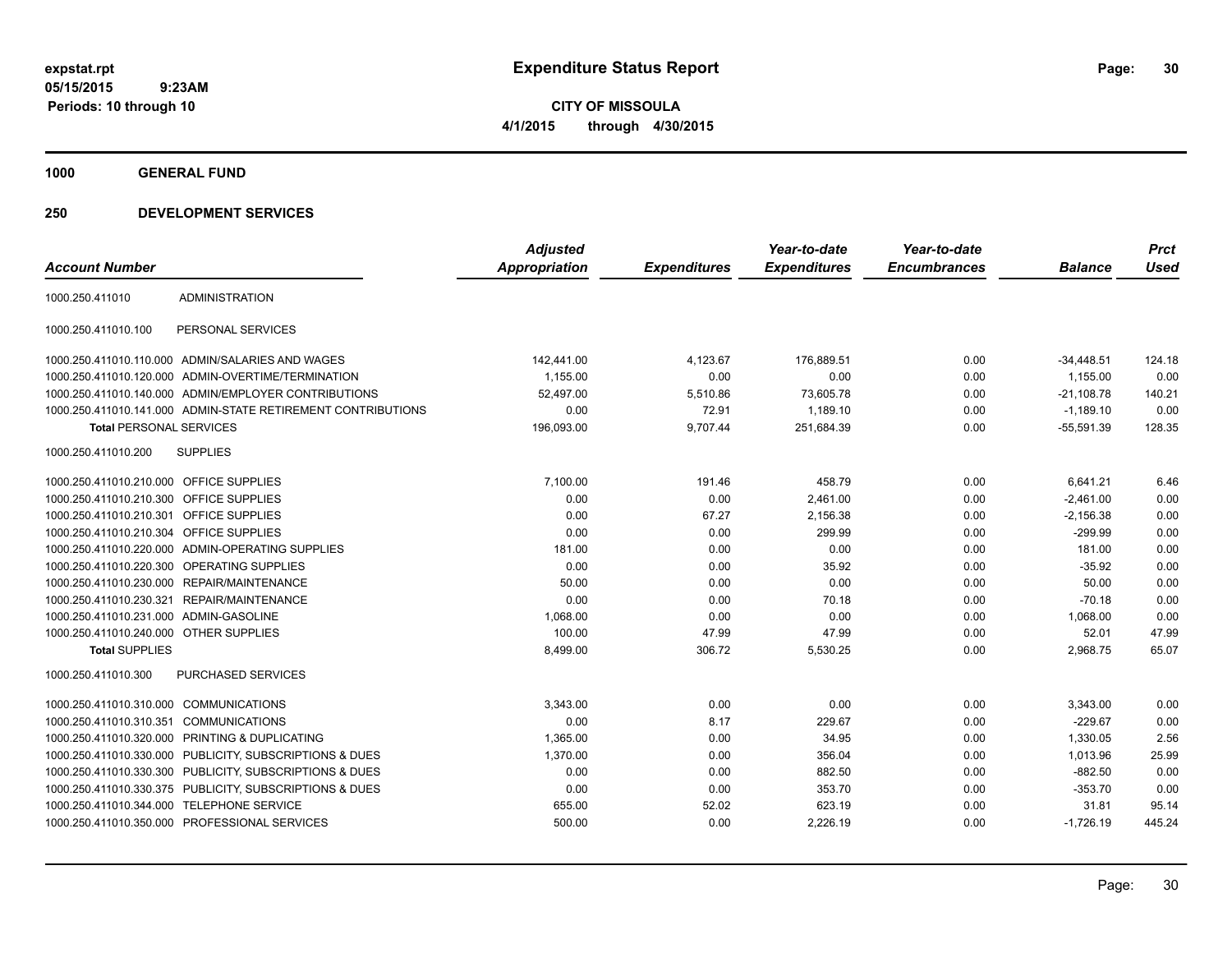**CITY OF MISSOULA 4/1/2015 through 4/30/2015**

**1000 GENERAL FUND**

|                                         |                                                              | <b>Adjusted</b>      |                     | Year-to-date        | Year-to-date        |                | <b>Prct</b> |
|-----------------------------------------|--------------------------------------------------------------|----------------------|---------------------|---------------------|---------------------|----------------|-------------|
| <b>Account Number</b>                   |                                                              | <b>Appropriation</b> | <b>Expenditures</b> | <b>Expenditures</b> | <b>Encumbrances</b> | <b>Balance</b> | <b>Used</b> |
| 1000.250.411010                         | <b>ADMINISTRATION</b>                                        |                      |                     |                     |                     |                |             |
| 1000.250.411010.100                     | PERSONAL SERVICES                                            |                      |                     |                     |                     |                |             |
|                                         | 1000.250.411010.110.000 ADMIN/SALARIES AND WAGES             | 142,441.00           | 4,123.67            | 176,889.51          | 0.00                | $-34,448.51$   | 124.18      |
|                                         | 1000.250.411010.120.000 ADMIN-OVERTIME/TERMINATION           | 1,155.00             | 0.00                | 0.00                | 0.00                | 1,155.00       | 0.00        |
|                                         | 1000.250.411010.140.000 ADMIN/EMPLOYER CONTRIBUTIONS         | 52.497.00            | 5,510.86            | 73,605.78           | 0.00                | $-21,108.78$   | 140.21      |
|                                         | 1000.250.411010.141.000 ADMIN-STATE RETIREMENT CONTRIBUTIONS | 0.00                 | 72.91               | 1,189.10            | 0.00                | $-1,189.10$    | 0.00        |
| <b>Total PERSONAL SERVICES</b>          |                                                              | 196,093.00           | 9,707.44            | 251,684.39          | 0.00                | $-55,591.39$   | 128.35      |
| 1000.250.411010.200                     | <b>SUPPLIES</b>                                              |                      |                     |                     |                     |                |             |
| 1000.250.411010.210.000 OFFICE SUPPLIES |                                                              | 7,100.00             | 191.46              | 458.79              | 0.00                | 6,641.21       | 6.46        |
| 1000.250.411010.210.300 OFFICE SUPPLIES |                                                              | 0.00                 | 0.00                | 2,461.00            | 0.00                | $-2,461.00$    | 0.00        |
| 1000.250.411010.210.301 OFFICE SUPPLIES |                                                              | 0.00                 | 67.27               | 2,156.38            | 0.00                | $-2,156.38$    | 0.00        |
| 1000.250.411010.210.304 OFFICE SUPPLIES |                                                              | 0.00                 | 0.00                | 299.99              | 0.00                | $-299.99$      | 0.00        |
|                                         | 1000.250.411010.220.000 ADMIN-OPERATING SUPPLIES             | 181.00               | 0.00                | 0.00                | 0.00                | 181.00         | 0.00        |
|                                         | 1000.250.411010.220.300 OPERATING SUPPLIES                   | 0.00                 | 0.00                | 35.92               | 0.00                | $-35.92$       | 0.00        |
|                                         | 1000.250.411010.230.000 REPAIR/MAINTENANCE                   | 50.00                | 0.00                | 0.00                | 0.00                | 50.00          | 0.00        |
|                                         | 1000.250.411010.230.321 REPAIR/MAINTENANCE                   | 0.00                 | 0.00                | 70.18               | 0.00                | $-70.18$       | 0.00        |
| 1000.250.411010.231.000 ADMIN-GASOLINE  |                                                              | 1,068.00             | 0.00                | 0.00                | 0.00                | 1,068.00       | 0.00        |
| 1000.250.411010.240.000 OTHER SUPPLIES  |                                                              | 100.00               | 47.99               | 47.99               | 0.00                | 52.01          | 47.99       |
| <b>Total SUPPLIES</b>                   |                                                              | 8,499.00             | 306.72              | 5,530.25            | 0.00                | 2,968.75       | 65.07       |
| 1000.250.411010.300                     | <b>PURCHASED SERVICES</b>                                    |                      |                     |                     |                     |                |             |
| 1000.250.411010.310.000 COMMUNICATIONS  |                                                              | 3,343.00             | 0.00                | 0.00                | 0.00                | 3,343.00       | 0.00        |
| 1000.250.411010.310.351                 | <b>COMMUNICATIONS</b>                                        | 0.00                 | 8.17                | 229.67              | 0.00                | $-229.67$      | 0.00        |
| 1000.250.411010.320.000                 | PRINTING & DUPLICATING                                       | 1,365.00             | 0.00                | 34.95               | 0.00                | 1,330.05       | 2.56        |
|                                         | 1000.250.411010.330.000 PUBLICITY, SUBSCRIPTIONS & DUES      | 1,370.00             | 0.00                | 356.04              | 0.00                | 1,013.96       | 25.99       |
|                                         | 1000.250.411010.330.300 PUBLICITY, SUBSCRIPTIONS & DUES      | 0.00                 | 0.00                | 882.50              | 0.00                | $-882.50$      | 0.00        |
|                                         | 1000.250.411010.330.375 PUBLICITY, SUBSCRIPTIONS & DUES      | 0.00                 | 0.00                | 353.70              | 0.00                | $-353.70$      | 0.00        |
|                                         | 1000.250.411010.344.000 TELEPHONE SERVICE                    | 655.00               | 52.02               | 623.19              | 0.00                | 31.81          | 95.14       |
|                                         | 1000.250.411010.350.000 PROFESSIONAL SERVICES                | 500.00               | 0.00                | 2,226.19            | 0.00                | $-1,726.19$    | 445.24      |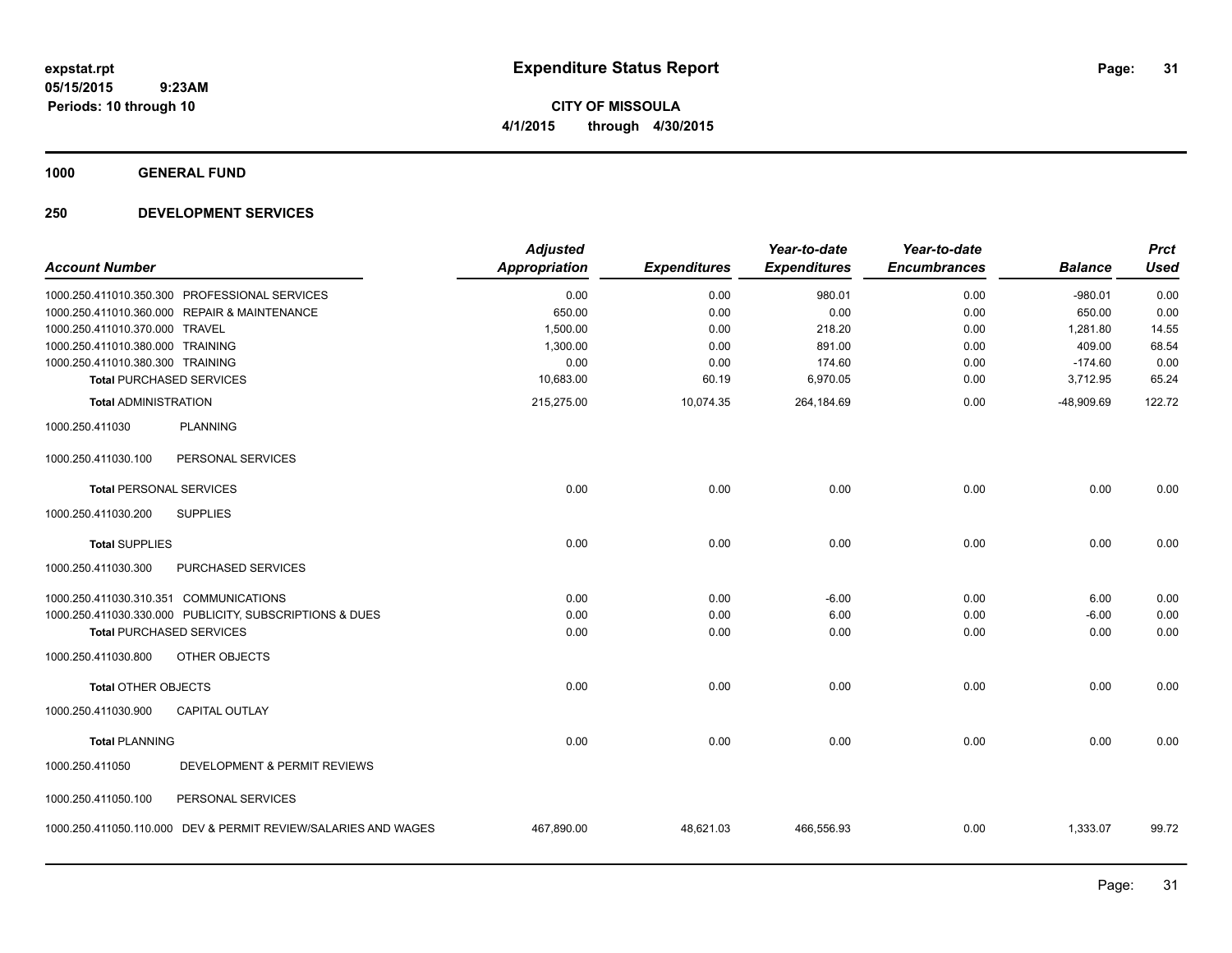**CITY OF MISSOULA 4/1/2015 through 4/30/2015**

**1000 GENERAL FUND**

| <b>Account Number</b>                                          | <b>Adjusted</b><br><b>Appropriation</b> | <b>Expenditures</b> | Year-to-date<br><b>Expenditures</b> | Year-to-date<br><b>Encumbrances</b> | <b>Balance</b> | <b>Prct</b><br><b>Used</b> |
|----------------------------------------------------------------|-----------------------------------------|---------------------|-------------------------------------|-------------------------------------|----------------|----------------------------|
| 1000.250.411010.350.300 PROFESSIONAL SERVICES                  | 0.00                                    | 0.00                | 980.01                              | 0.00                                | $-980.01$      | 0.00                       |
| 1000.250.411010.360.000 REPAIR & MAINTENANCE                   | 650.00                                  | 0.00                | 0.00                                | 0.00                                | 650.00         | 0.00                       |
| 1000.250.411010.370.000 TRAVEL                                 | 1,500.00                                | 0.00                | 218.20                              | 0.00                                | 1,281.80       | 14.55                      |
| 1000.250.411010.380.000 TRAINING                               | 1,300.00                                | 0.00                | 891.00                              | 0.00                                | 409.00         | 68.54                      |
| 1000.250.411010.380.300 TRAINING                               | 0.00                                    | 0.00                | 174.60                              | 0.00                                | $-174.60$      | 0.00                       |
| <b>Total PURCHASED SERVICES</b>                                | 10,683.00                               | 60.19               | 6,970.05                            | 0.00                                | 3,712.95       | 65.24                      |
| <b>Total ADMINISTRATION</b>                                    | 215,275.00                              | 10,074.35           | 264,184.69                          | 0.00                                | -48,909.69     | 122.72                     |
| 1000.250.411030<br><b>PLANNING</b>                             |                                         |                     |                                     |                                     |                |                            |
| 1000.250.411030.100<br>PERSONAL SERVICES                       |                                         |                     |                                     |                                     |                |                            |
| <b>Total PERSONAL SERVICES</b>                                 | 0.00                                    | 0.00                | 0.00                                | 0.00                                | 0.00           | 0.00                       |
| <b>SUPPLIES</b><br>1000.250.411030.200                         |                                         |                     |                                     |                                     |                |                            |
| <b>Total SUPPLIES</b>                                          | 0.00                                    | 0.00                | 0.00                                | 0.00                                | 0.00           | 0.00                       |
| 1000.250.411030.300<br>PURCHASED SERVICES                      |                                         |                     |                                     |                                     |                |                            |
| 1000.250.411030.310.351 COMMUNICATIONS                         | 0.00                                    | 0.00                | $-6.00$                             | 0.00                                | 6.00           | 0.00                       |
| 1000.250.411030.330.000 PUBLICITY, SUBSCRIPTIONS & DUES        | 0.00                                    | 0.00                | 6.00                                | 0.00                                | $-6.00$        | 0.00                       |
| <b>Total PURCHASED SERVICES</b>                                | 0.00                                    | 0.00                | 0.00                                | 0.00                                | 0.00           | 0.00                       |
| 1000.250.411030.800<br>OTHER OBJECTS                           |                                         |                     |                                     |                                     |                |                            |
| <b>Total OTHER OBJECTS</b>                                     | 0.00                                    | 0.00                | 0.00                                | 0.00                                | 0.00           | 0.00                       |
| CAPITAL OUTLAY<br>1000.250.411030.900                          |                                         |                     |                                     |                                     |                |                            |
| <b>Total PLANNING</b>                                          | 0.00                                    | 0.00                | 0.00                                | 0.00                                | 0.00           | 0.00                       |
| DEVELOPMENT & PERMIT REVIEWS<br>1000.250.411050                |                                         |                     |                                     |                                     |                |                            |
| PERSONAL SERVICES<br>1000.250.411050.100                       |                                         |                     |                                     |                                     |                |                            |
| 1000.250.411050.110.000 DEV & PERMIT REVIEW/SALARIES AND WAGES | 467,890.00                              | 48,621.03           | 466,556.93                          | 0.00                                | 1,333.07       | 99.72                      |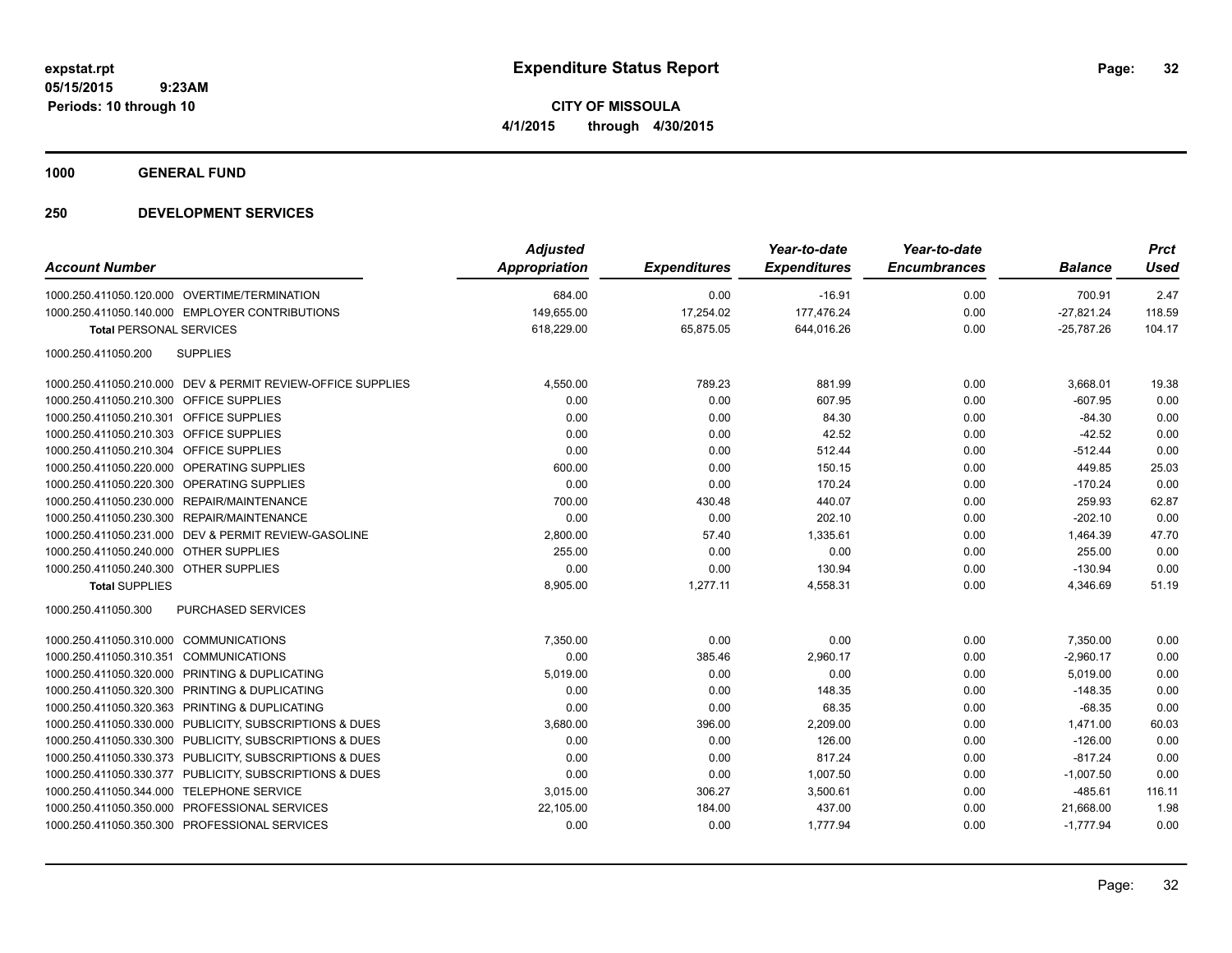**Periods: 10 through 10**

**CITY OF MISSOULA 4/1/2015 through 4/30/2015**

**1000 GENERAL FUND**

| <b>Account Number</b>                                       | <b>Adjusted</b><br>Appropriation | <b>Expenditures</b> | Year-to-date<br><b>Expenditures</b> | Year-to-date<br><b>Encumbrances</b> | <b>Balance</b> | <b>Prct</b><br><b>Used</b> |
|-------------------------------------------------------------|----------------------------------|---------------------|-------------------------------------|-------------------------------------|----------------|----------------------------|
| 1000.250.411050.120.000 OVERTIME/TERMINATION                | 684.00                           | 0.00                | $-16.91$                            | 0.00                                | 700.91         | 2.47                       |
| 1000.250.411050.140.000 EMPLOYER CONTRIBUTIONS              | 149,655.00                       | 17,254.02           | 177,476.24                          | 0.00                                | $-27,821.24$   | 118.59                     |
| <b>Total PERSONAL SERVICES</b>                              | 618,229.00                       | 65,875.05           | 644,016.26                          | 0.00                                | $-25,787.26$   | 104.17                     |
| <b>SUPPLIES</b><br>1000.250.411050.200                      |                                  |                     |                                     |                                     |                |                            |
| 1000.250.411050.210.000 DEV & PERMIT REVIEW-OFFICE SUPPLIES | 4,550.00                         | 789.23              | 881.99                              | 0.00                                | 3,668.01       | 19.38                      |
| 1000.250.411050.210.300 OFFICE SUPPLIES                     | 0.00                             | 0.00                | 607.95                              | 0.00                                | $-607.95$      | 0.00                       |
| 1000.250.411050.210.301 OFFICE SUPPLIES                     | 0.00                             | 0.00                | 84.30                               | 0.00                                | $-84.30$       | 0.00                       |
| 1000.250.411050.210.303 OFFICE SUPPLIES                     | 0.00                             | 0.00                | 42.52                               | 0.00                                | $-42.52$       | 0.00                       |
| 1000.250.411050.210.304 OFFICE SUPPLIES                     | 0.00                             | 0.00                | 512.44                              | 0.00                                | $-512.44$      | 0.00                       |
| 1000.250.411050.220.000 OPERATING SUPPLIES                  | 600.00                           | 0.00                | 150.15                              | 0.00                                | 449.85         | 25.03                      |
| 1000.250.411050.220.300 OPERATING SUPPLIES                  | 0.00                             | 0.00                | 170.24                              | 0.00                                | $-170.24$      | 0.00                       |
| 1000.250.411050.230.000 REPAIR/MAINTENANCE                  | 700.00                           | 430.48              | 440.07                              | 0.00                                | 259.93         | 62.87                      |
| 1000.250.411050.230.300 REPAIR/MAINTENANCE                  | 0.00                             | 0.00                | 202.10                              | 0.00                                | $-202.10$      | 0.00                       |
| 1000.250.411050.231.000 DEV & PERMIT REVIEW-GASOLINE        | 2,800.00                         | 57.40               | 1,335.61                            | 0.00                                | 1,464.39       | 47.70                      |
| 1000.250.411050.240.000 OTHER SUPPLIES                      | 255.00                           | 0.00                | 0.00                                | 0.00                                | 255.00         | 0.00                       |
| 1000.250.411050.240.300 OTHER SUPPLIES                      | 0.00                             | 0.00                | 130.94                              | 0.00                                | $-130.94$      | 0.00                       |
| <b>Total SUPPLIES</b>                                       | 8,905.00                         | 1,277.11            | 4,558.31                            | 0.00                                | 4,346.69       | 51.19                      |
| PURCHASED SERVICES<br>1000.250.411050.300                   |                                  |                     |                                     |                                     |                |                            |
| 1000.250.411050.310.000 COMMUNICATIONS                      | 7,350.00                         | 0.00                | 0.00                                | 0.00                                | 7,350.00       | 0.00                       |
| 1000.250.411050.310.351 COMMUNICATIONS                      | 0.00                             | 385.46              | 2,960.17                            | 0.00                                | $-2,960.17$    | 0.00                       |
| 1000.250.411050.320.000 PRINTING & DUPLICATING              | 5,019.00                         | 0.00                | 0.00                                | 0.00                                | 5,019.00       | 0.00                       |
| 1000.250.411050.320.300 PRINTING & DUPLICATING              | 0.00                             | 0.00                | 148.35                              | 0.00                                | $-148.35$      | 0.00                       |
| 1000.250.411050.320.363 PRINTING & DUPLICATING              | 0.00                             | 0.00                | 68.35                               | 0.00                                | $-68.35$       | 0.00                       |
| 1000.250.411050.330.000 PUBLICITY, SUBSCRIPTIONS & DUES     | 3,680.00                         | 396.00              | 2,209.00                            | 0.00                                | 1,471.00       | 60.03                      |
| 1000.250.411050.330.300 PUBLICITY, SUBSCRIPTIONS & DUES     | 0.00                             | 0.00                | 126.00                              | 0.00                                | $-126.00$      | 0.00                       |
| 1000.250.411050.330.373 PUBLICITY, SUBSCRIPTIONS & DUES     | 0.00                             | 0.00                | 817.24                              | 0.00                                | $-817.24$      | 0.00                       |
| 1000.250.411050.330.377 PUBLICITY, SUBSCRIPTIONS & DUES     | 0.00                             | 0.00                | 1,007.50                            | 0.00                                | $-1,007.50$    | 0.00                       |
| 1000.250.411050.344.000 TELEPHONE SERVICE                   | 3,015.00                         | 306.27              | 3,500.61                            | 0.00                                | $-485.61$      | 116.11                     |
| 1000.250.411050.350.000 PROFESSIONAL SERVICES               | 22,105.00                        | 184.00              | 437.00                              | 0.00                                | 21,668.00      | 1.98                       |
| 1000.250.411050.350.300 PROFESSIONAL SERVICES               | 0.00                             | 0.00                | 1,777.94                            | 0.00                                | $-1,777.94$    | 0.00                       |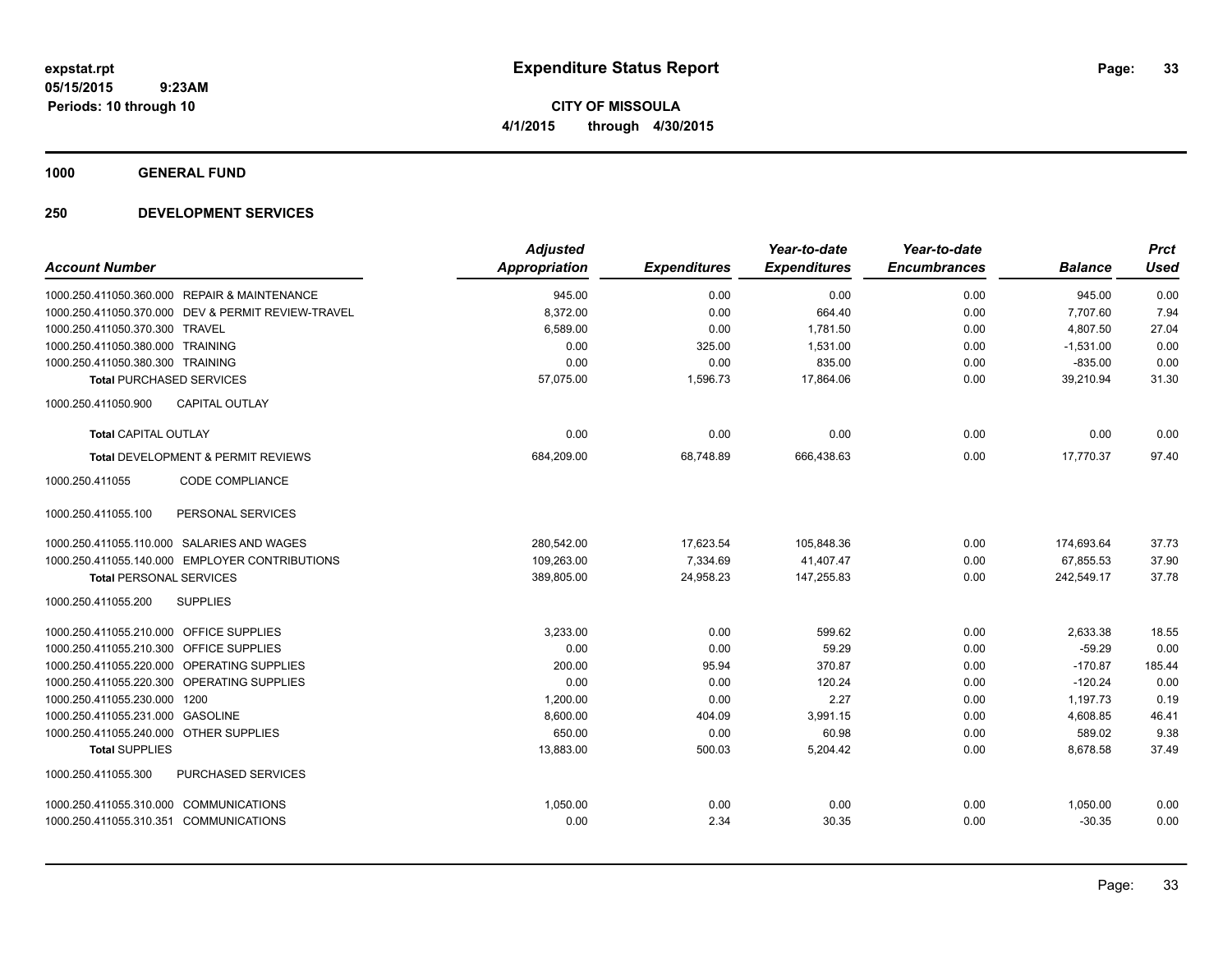**CITY OF MISSOULA 4/1/2015 through 4/30/2015**

**1000 GENERAL FUND**

|                                              |                                                | <b>Adjusted</b>      |                     | Year-to-date        | Year-to-date        |                | <b>Prct</b> |
|----------------------------------------------|------------------------------------------------|----------------------|---------------------|---------------------|---------------------|----------------|-------------|
| <b>Account Number</b>                        |                                                | <b>Appropriation</b> | <b>Expenditures</b> | <b>Expenditures</b> | <b>Encumbrances</b> | <b>Balance</b> | <b>Used</b> |
| 1000.250.411050.360.000 REPAIR & MAINTENANCE |                                                | 945.00               | 0.00                | 0.00                | 0.00                | 945.00         | 0.00        |
| 1000.250.411050.370.000                      | DEV & PERMIT REVIEW-TRAVEL                     | 8,372.00             | 0.00                | 664.40              | 0.00                | 7,707.60       | 7.94        |
| 1000.250.411050.370.300 TRAVEL               |                                                | 6,589.00             | 0.00                | 1,781.50            | 0.00                | 4,807.50       | 27.04       |
| 1000.250.411050.380.000 TRAINING             |                                                | 0.00                 | 325.00              | 1,531.00            | 0.00                | $-1,531.00$    | 0.00        |
| 1000.250.411050.380.300 TRAINING             |                                                | 0.00                 | 0.00                | 835.00              | 0.00                | $-835.00$      | 0.00        |
| <b>Total PURCHASED SERVICES</b>              |                                                | 57.075.00            | 1,596.73            | 17,864.06           | 0.00                | 39,210.94      | 31.30       |
| 1000.250.411050.900                          | <b>CAPITAL OUTLAY</b>                          |                      |                     |                     |                     |                |             |
| <b>Total CAPITAL OUTLAY</b>                  |                                                | 0.00                 | 0.00                | 0.00                | 0.00                | 0.00           | 0.00        |
|                                              | Total DEVELOPMENT & PERMIT REVIEWS             | 684,209.00           | 68,748.89           | 666,438.63          | 0.00                | 17,770.37      | 97.40       |
| 1000.250.411055                              | <b>CODE COMPLIANCE</b>                         |                      |                     |                     |                     |                |             |
| 1000.250.411055.100                          | PERSONAL SERVICES                              |                      |                     |                     |                     |                |             |
| 1000.250.411055.110.000 SALARIES AND WAGES   |                                                | 280,542.00           | 17,623.54           | 105,848.36          | 0.00                | 174,693.64     | 37.73       |
|                                              | 1000.250.411055.140.000 EMPLOYER CONTRIBUTIONS | 109,263.00           | 7,334.69            | 41,407.47           | 0.00                | 67,855.53      | 37.90       |
| <b>Total PERSONAL SERVICES</b>               |                                                | 389,805.00           | 24,958.23           | 147,255.83          | 0.00                | 242,549.17     | 37.78       |
| 1000.250.411055.200                          | <b>SUPPLIES</b>                                |                      |                     |                     |                     |                |             |
| 1000.250.411055.210.000 OFFICE SUPPLIES      |                                                | 3,233.00             | 0.00                | 599.62              | 0.00                | 2,633.38       | 18.55       |
| 1000.250.411055.210.300 OFFICE SUPPLIES      |                                                | 0.00                 | 0.00                | 59.29               | 0.00                | $-59.29$       | 0.00        |
| 1000.250.411055.220.000 OPERATING SUPPLIES   |                                                | 200.00               | 95.94               | 370.87              | 0.00                | $-170.87$      | 185.44      |
| 1000.250.411055.220.300 OPERATING SUPPLIES   |                                                | 0.00                 | 0.00                | 120.24              | 0.00                | $-120.24$      | 0.00        |
| 1000.250.411055.230.000 1200                 |                                                | 1,200.00             | 0.00                | 2.27                | 0.00                | 1,197.73       | 0.19        |
| 1000.250.411055.231.000 GASOLINE             |                                                | 8,600.00             | 404.09              | 3,991.15            | 0.00                | 4,608.85       | 46.41       |
| 1000.250.411055.240.000 OTHER SUPPLIES       |                                                | 650.00               | 0.00                | 60.98               | 0.00                | 589.02         | 9.38        |
| <b>Total SUPPLIES</b>                        |                                                | 13,883.00            | 500.03              | 5,204.42            | 0.00                | 8,678.58       | 37.49       |
| 1000.250.411055.300                          | PURCHASED SERVICES                             |                      |                     |                     |                     |                |             |
| 1000.250.411055.310.000 COMMUNICATIONS       |                                                | 1,050.00             | 0.00                | 0.00                | 0.00                | 1,050.00       | 0.00        |
| 1000.250.411055.310.351 COMMUNICATIONS       |                                                | 0.00                 | 2.34                | 30.35               | 0.00                | $-30.35$       | 0.00        |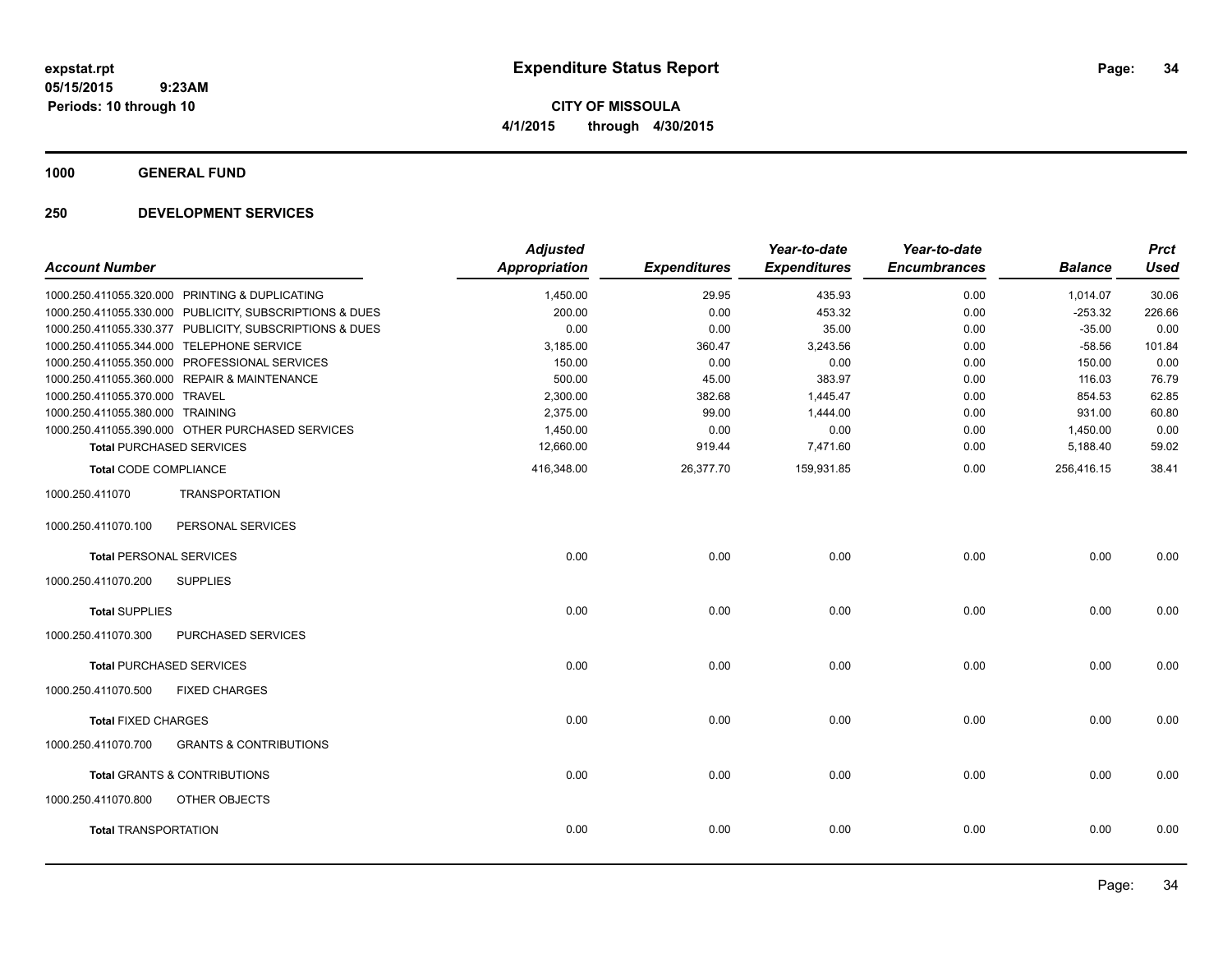**CITY OF MISSOULA 4/1/2015 through 4/30/2015**

**1000 GENERAL FUND**

| <b>Account Number</b>            |                                                         | <b>Adjusted</b><br><b>Appropriation</b> | <b>Expenditures</b> | Year-to-date<br><b>Expenditures</b> | Year-to-date<br><b>Encumbrances</b> | <b>Balance</b> | <b>Prct</b><br><b>Used</b> |
|----------------------------------|---------------------------------------------------------|-----------------------------------------|---------------------|-------------------------------------|-------------------------------------|----------------|----------------------------|
|                                  | 1000.250.411055.320.000 PRINTING & DUPLICATING          | 1,450.00                                | 29.95               | 435.93                              | 0.00                                | 1,014.07       | 30.06                      |
|                                  | 1000.250.411055.330.000 PUBLICITY, SUBSCRIPTIONS & DUES | 200.00                                  | 0.00                | 453.32                              | 0.00                                | $-253.32$      | 226.66                     |
|                                  | 1000.250.411055.330.377 PUBLICITY, SUBSCRIPTIONS & DUES | 0.00                                    | 0.00                | 35.00                               | 0.00                                | $-35.00$       | 0.00                       |
|                                  | 1000.250.411055.344.000 TELEPHONE SERVICE               | 3,185.00                                | 360.47              | 3,243.56                            | 0.00                                | $-58.56$       | 101.84                     |
|                                  | 1000.250.411055.350.000 PROFESSIONAL SERVICES           | 150.00                                  | 0.00                | 0.00                                | 0.00                                | 150.00         | 0.00                       |
|                                  | 1000.250.411055.360.000 REPAIR & MAINTENANCE            | 500.00                                  | 45.00               | 383.97                              | 0.00                                | 116.03         | 76.79                      |
| 1000.250.411055.370.000 TRAVEL   |                                                         | 2,300.00                                | 382.68              | 1,445.47                            | 0.00                                | 854.53         | 62.85                      |
| 1000.250.411055.380.000 TRAINING |                                                         | 2,375.00                                | 99.00               | 1,444.00                            | 0.00                                | 931.00         | 60.80                      |
|                                  | 1000.250.411055.390.000 OTHER PURCHASED SERVICES        | 1,450.00                                | 0.00                | 0.00                                | 0.00                                | 1,450.00       | 0.00                       |
|                                  | <b>Total PURCHASED SERVICES</b>                         | 12,660.00                               | 919.44              | 7,471.60                            | 0.00                                | 5,188.40       | 59.02                      |
| <b>Total CODE COMPLIANCE</b>     |                                                         | 416,348.00                              | 26,377.70           | 159,931.85                          | 0.00                                | 256,416.15     | 38.41                      |
| 1000.250.411070                  | <b>TRANSPORTATION</b>                                   |                                         |                     |                                     |                                     |                |                            |
| 1000.250.411070.100              | PERSONAL SERVICES                                       |                                         |                     |                                     |                                     |                |                            |
| <b>Total PERSONAL SERVICES</b>   |                                                         | 0.00                                    | 0.00                | 0.00                                | 0.00                                | 0.00           | 0.00                       |
| 1000.250.411070.200              | <b>SUPPLIES</b>                                         |                                         |                     |                                     |                                     |                |                            |
| <b>Total SUPPLIES</b>            |                                                         | 0.00                                    | 0.00                | 0.00                                | 0.00                                | 0.00           | 0.00                       |
| 1000.250.411070.300              | <b>PURCHASED SERVICES</b>                               |                                         |                     |                                     |                                     |                |                            |
|                                  | <b>Total PURCHASED SERVICES</b>                         | 0.00                                    | 0.00                | 0.00                                | 0.00                                | 0.00           | 0.00                       |
| 1000.250.411070.500              | <b>FIXED CHARGES</b>                                    |                                         |                     |                                     |                                     |                |                            |
| <b>Total FIXED CHARGES</b>       |                                                         | 0.00                                    | 0.00                | 0.00                                | 0.00                                | 0.00           | 0.00                       |
| 1000.250.411070.700              | <b>GRANTS &amp; CONTRIBUTIONS</b>                       |                                         |                     |                                     |                                     |                |                            |
|                                  | <b>Total GRANTS &amp; CONTRIBUTIONS</b>                 | 0.00                                    | 0.00                | 0.00                                | 0.00                                | 0.00           | 0.00                       |
| 1000.250.411070.800              | <b>OTHER OBJECTS</b>                                    |                                         |                     |                                     |                                     |                |                            |
| <b>Total TRANSPORTATION</b>      |                                                         | 0.00                                    | 0.00                | 0.00                                | 0.00                                | 0.00           | 0.00                       |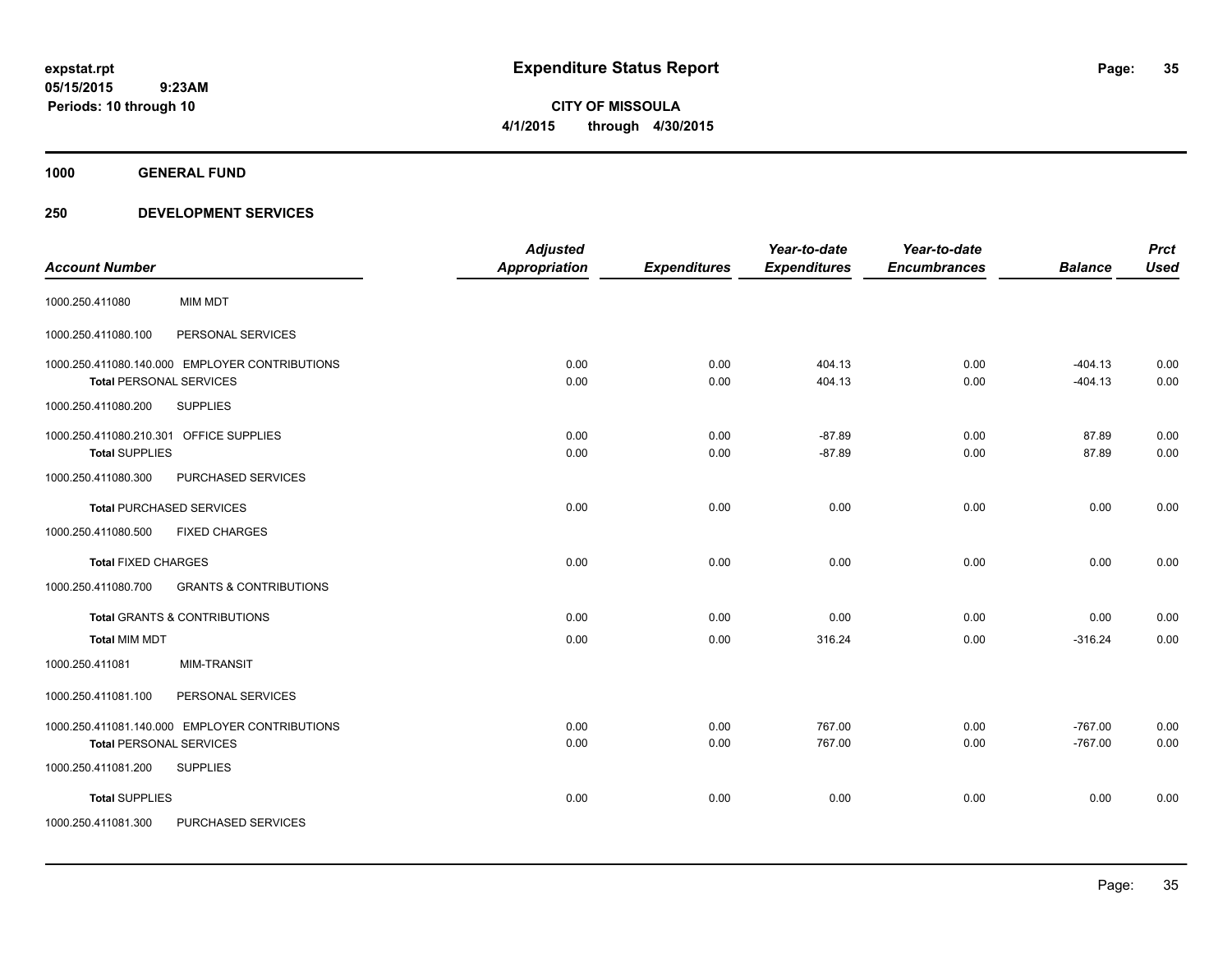**CITY OF MISSOULA 4/1/2015 through 4/30/2015**

**1000 GENERAL FUND**

|                                                                  |                                                | <b>Adjusted</b>      |                     | Year-to-date         | Year-to-date        |                        | <b>Prct</b>  |
|------------------------------------------------------------------|------------------------------------------------|----------------------|---------------------|----------------------|---------------------|------------------------|--------------|
| <b>Account Number</b>                                            |                                                | <b>Appropriation</b> | <b>Expenditures</b> | <b>Expenditures</b>  | <b>Encumbrances</b> | <b>Balance</b>         | <b>Used</b>  |
| 1000.250.411080                                                  | <b>MIM MDT</b>                                 |                      |                     |                      |                     |                        |              |
| 1000.250.411080.100                                              | PERSONAL SERVICES                              |                      |                     |                      |                     |                        |              |
| <b>Total PERSONAL SERVICES</b>                                   | 1000.250.411080.140.000 EMPLOYER CONTRIBUTIONS | 0.00<br>0.00         | 0.00<br>0.00        | 404.13<br>404.13     | 0.00<br>0.00        | $-404.13$<br>$-404.13$ | 0.00<br>0.00 |
| 1000.250.411080.200                                              | <b>SUPPLIES</b>                                |                      |                     |                      |                     |                        |              |
| 1000.250.411080.210.301 OFFICE SUPPLIES<br><b>Total SUPPLIES</b> |                                                | 0.00<br>0.00         | 0.00<br>0.00        | $-87.89$<br>$-87.89$ | 0.00<br>0.00        | 87.89<br>87.89         | 0.00<br>0.00 |
| 1000.250.411080.300                                              | PURCHASED SERVICES                             |                      |                     |                      |                     |                        |              |
|                                                                  | <b>Total PURCHASED SERVICES</b>                | 0.00                 | 0.00                | 0.00                 | 0.00                | 0.00                   | 0.00         |
| 1000.250.411080.500                                              | <b>FIXED CHARGES</b>                           |                      |                     |                      |                     |                        |              |
| <b>Total FIXED CHARGES</b>                                       |                                                | 0.00                 | 0.00                | 0.00                 | 0.00                | 0.00                   | 0.00         |
| 1000.250.411080.700                                              | <b>GRANTS &amp; CONTRIBUTIONS</b>              |                      |                     |                      |                     |                        |              |
|                                                                  | <b>Total GRANTS &amp; CONTRIBUTIONS</b>        | 0.00                 | 0.00                | 0.00                 | 0.00                | 0.00                   | 0.00         |
| <b>Total MIM MDT</b>                                             |                                                | 0.00                 | 0.00                | 316.24               | 0.00                | $-316.24$              | 0.00         |
| 1000.250.411081                                                  | <b>MIM-TRANSIT</b>                             |                      |                     |                      |                     |                        |              |
| 1000.250.411081.100                                              | PERSONAL SERVICES                              |                      |                     |                      |                     |                        |              |
| <b>Total PERSONAL SERVICES</b>                                   | 1000.250.411081.140.000 EMPLOYER CONTRIBUTIONS | 0.00<br>0.00         | 0.00<br>0.00        | 767.00<br>767.00     | 0.00<br>0.00        | $-767.00$<br>$-767.00$ | 0.00<br>0.00 |
| 1000.250.411081.200                                              | <b>SUPPLIES</b>                                |                      |                     |                      |                     |                        |              |
| <b>Total SUPPLIES</b>                                            |                                                | 0.00                 | 0.00                | 0.00                 | 0.00                | 0.00                   | 0.00         |
| 1000.250.411081.300                                              | PURCHASED SERVICES                             |                      |                     |                      |                     |                        |              |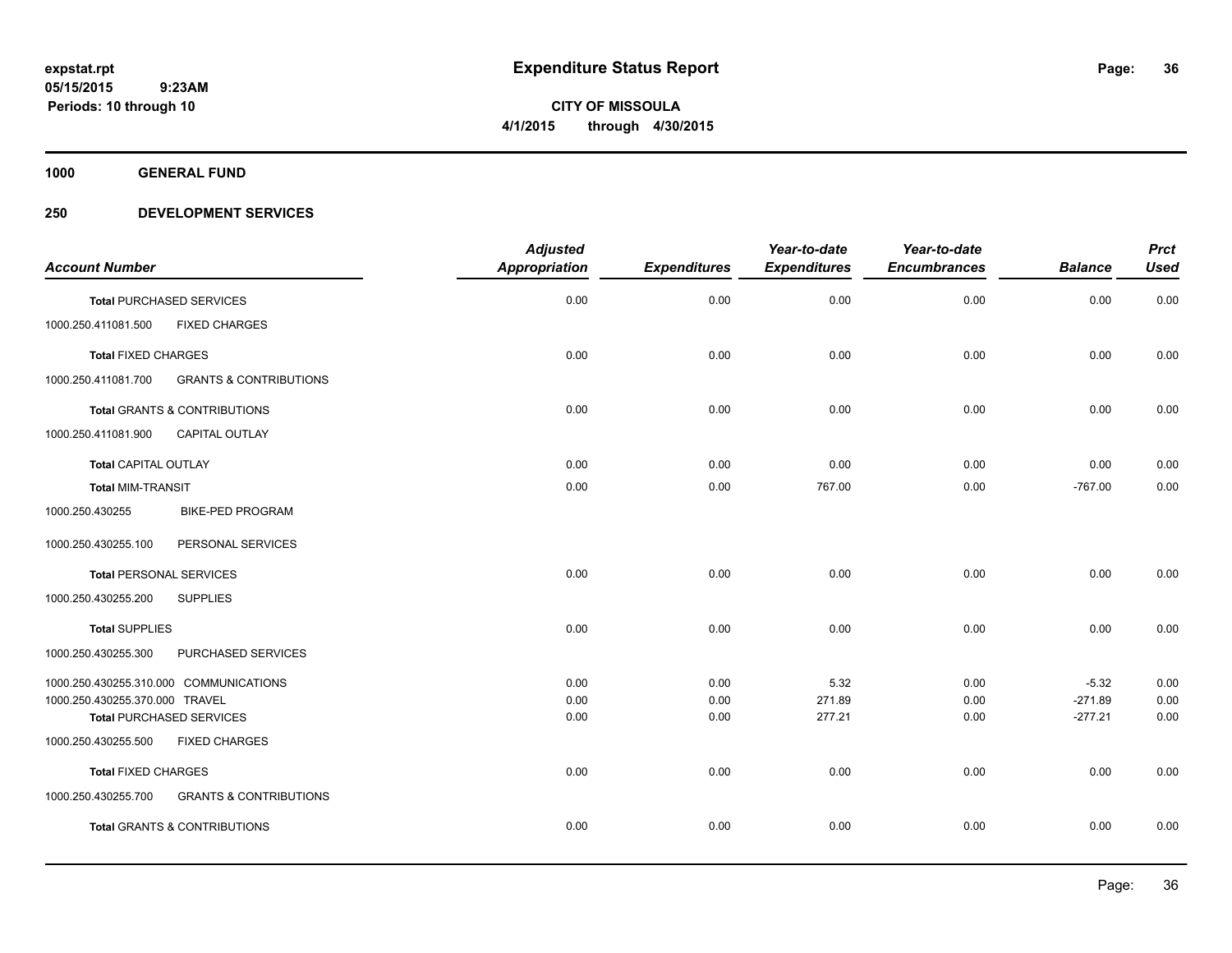**CITY OF MISSOULA 4/1/2015 through 4/30/2015**

**1000 GENERAL FUND**

| <b>Account Number</b>          |                                         | <b>Adjusted</b><br><b>Appropriation</b> | <b>Expenditures</b> | Year-to-date<br><b>Expenditures</b> | Year-to-date<br><b>Encumbrances</b> | <b>Balance</b> | <b>Prct</b><br><b>Used</b> |
|--------------------------------|-----------------------------------------|-----------------------------------------|---------------------|-------------------------------------|-------------------------------------|----------------|----------------------------|
|                                | <b>Total PURCHASED SERVICES</b>         | 0.00                                    | 0.00                | 0.00                                | 0.00                                | 0.00           | 0.00                       |
| 1000.250.411081.500            | <b>FIXED CHARGES</b>                    |                                         |                     |                                     |                                     |                |                            |
| <b>Total FIXED CHARGES</b>     |                                         | 0.00                                    | 0.00                | 0.00                                | 0.00                                | 0.00           | 0.00                       |
| 1000.250.411081.700            | <b>GRANTS &amp; CONTRIBUTIONS</b>       |                                         |                     |                                     |                                     |                |                            |
|                                | <b>Total GRANTS &amp; CONTRIBUTIONS</b> | 0.00                                    | 0.00                | 0.00                                | 0.00                                | 0.00           | 0.00                       |
| 1000.250.411081.900            | CAPITAL OUTLAY                          |                                         |                     |                                     |                                     |                |                            |
| <b>Total CAPITAL OUTLAY</b>    |                                         | 0.00                                    | 0.00                | 0.00                                | 0.00                                | 0.00           | 0.00                       |
| <b>Total MIM-TRANSIT</b>       |                                         | 0.00                                    | 0.00                | 767.00                              | 0.00                                | $-767.00$      | 0.00                       |
| 1000.250.430255                | <b>BIKE-PED PROGRAM</b>                 |                                         |                     |                                     |                                     |                |                            |
| 1000.250.430255.100            | PERSONAL SERVICES                       |                                         |                     |                                     |                                     |                |                            |
| <b>Total PERSONAL SERVICES</b> |                                         | 0.00                                    | 0.00                | 0.00                                | 0.00                                | 0.00           | 0.00                       |
| 1000.250.430255.200            | <b>SUPPLIES</b>                         |                                         |                     |                                     |                                     |                |                            |
| <b>Total SUPPLIES</b>          |                                         | 0.00                                    | 0.00                | 0.00                                | 0.00                                | 0.00           | 0.00                       |
| 1000.250.430255.300            | PURCHASED SERVICES                      |                                         |                     |                                     |                                     |                |                            |
|                                | 1000.250.430255.310.000 COMMUNICATIONS  | 0.00                                    | 0.00                | 5.32                                | 0.00                                | $-5.32$        | 0.00                       |
| 1000.250.430255.370.000 TRAVEL |                                         | 0.00                                    | 0.00                | 271.89                              | 0.00                                | $-271.89$      | 0.00                       |
|                                | <b>Total PURCHASED SERVICES</b>         | 0.00                                    | 0.00                | 277.21                              | 0.00                                | $-277.21$      | 0.00                       |
| 1000.250.430255.500            | <b>FIXED CHARGES</b>                    |                                         |                     |                                     |                                     |                |                            |
| <b>Total FIXED CHARGES</b>     |                                         | 0.00                                    | 0.00                | 0.00                                | 0.00                                | 0.00           | 0.00                       |
| 1000.250.430255.700            | <b>GRANTS &amp; CONTRIBUTIONS</b>       |                                         |                     |                                     |                                     |                |                            |
|                                | <b>Total GRANTS &amp; CONTRIBUTIONS</b> | 0.00                                    | 0.00                | 0.00                                | 0.00                                | 0.00           | 0.00                       |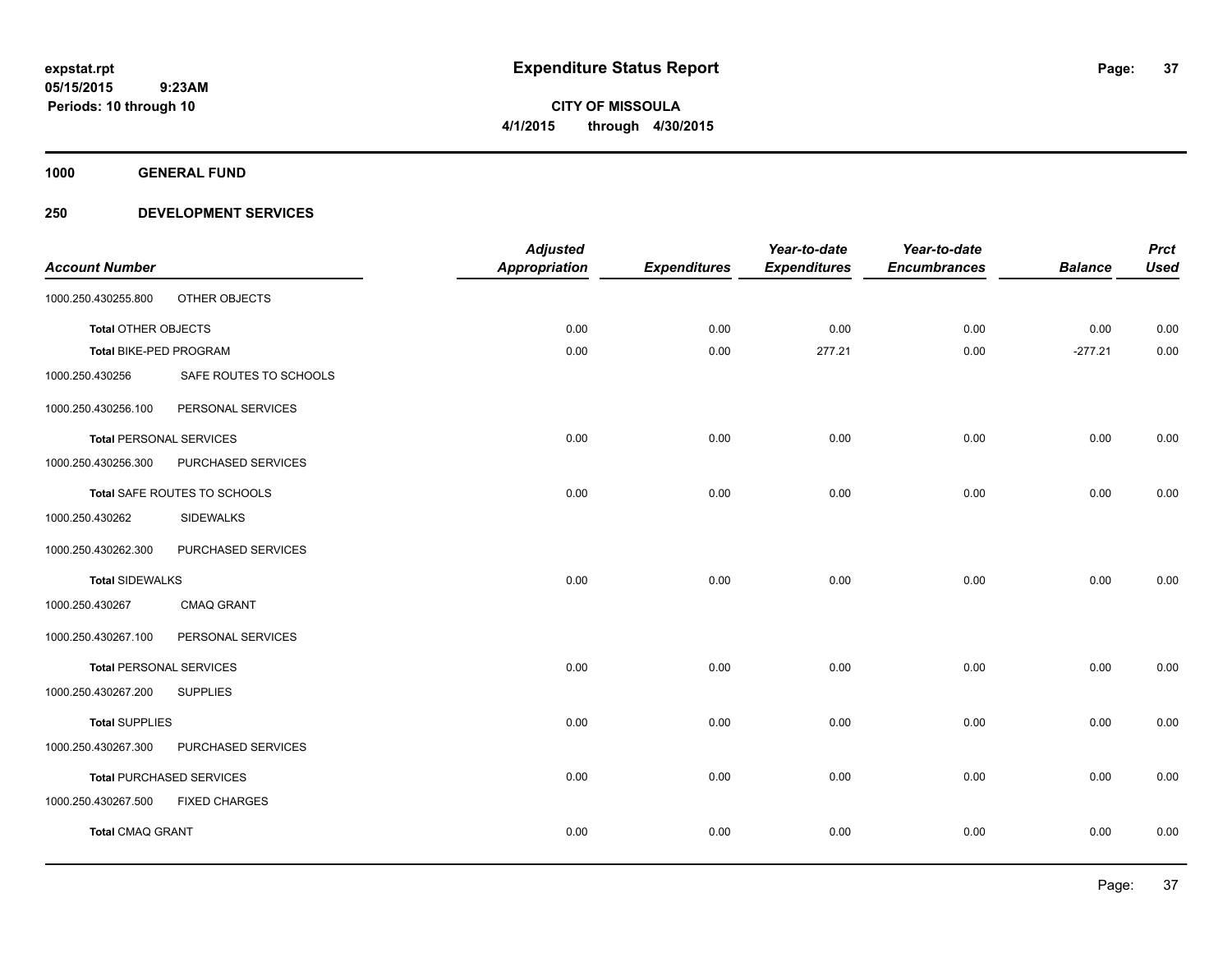**1000 GENERAL FUND**

## **250 DEVELOPMENT SERVICES**

| <b>Account Number</b>          |                                 | <b>Adjusted</b><br><b>Appropriation</b> | <b>Expenditures</b> | Year-to-date<br><b>Expenditures</b> | Year-to-date<br><b>Encumbrances</b> | <b>Balance</b> | <b>Prct</b><br><b>Used</b> |
|--------------------------------|---------------------------------|-----------------------------------------|---------------------|-------------------------------------|-------------------------------------|----------------|----------------------------|
|                                |                                 |                                         |                     |                                     |                                     |                |                            |
| 1000.250.430255.800            | OTHER OBJECTS                   |                                         |                     |                                     |                                     |                |                            |
| <b>Total OTHER OBJECTS</b>     |                                 | 0.00                                    | 0.00                | 0.00                                | 0.00                                | 0.00           | 0.00                       |
| Total BIKE-PED PROGRAM         |                                 | 0.00                                    | 0.00                | 277.21                              | 0.00                                | $-277.21$      | 0.00                       |
| 1000.250.430256                | SAFE ROUTES TO SCHOOLS          |                                         |                     |                                     |                                     |                |                            |
| 1000.250.430256.100            | PERSONAL SERVICES               |                                         |                     |                                     |                                     |                |                            |
| <b>Total PERSONAL SERVICES</b> |                                 | 0.00                                    | 0.00                | 0.00                                | 0.00                                | 0.00           | 0.00                       |
| 1000.250.430256.300            | PURCHASED SERVICES              |                                         |                     |                                     |                                     |                |                            |
|                                | Total SAFE ROUTES TO SCHOOLS    | 0.00                                    | 0.00                | 0.00                                | 0.00                                | 0.00           | 0.00                       |
| 1000.250.430262                | <b>SIDEWALKS</b>                |                                         |                     |                                     |                                     |                |                            |
| 1000.250.430262.300            | PURCHASED SERVICES              |                                         |                     |                                     |                                     |                |                            |
| <b>Total SIDEWALKS</b>         |                                 | 0.00                                    | 0.00                | 0.00                                | 0.00                                | 0.00           | 0.00                       |
| 1000.250.430267                | <b>CMAQ GRANT</b>               |                                         |                     |                                     |                                     |                |                            |
| 1000.250.430267.100            | PERSONAL SERVICES               |                                         |                     |                                     |                                     |                |                            |
| <b>Total PERSONAL SERVICES</b> |                                 | 0.00                                    | 0.00                | 0.00                                | 0.00                                | 0.00           | 0.00                       |
| 1000.250.430267.200            | <b>SUPPLIES</b>                 |                                         |                     |                                     |                                     |                |                            |
| <b>Total SUPPLIES</b>          |                                 | 0.00                                    | 0.00                | 0.00                                | 0.00                                | 0.00           | 0.00                       |
| 1000.250.430267.300            | PURCHASED SERVICES              |                                         |                     |                                     |                                     |                |                            |
|                                | <b>Total PURCHASED SERVICES</b> | 0.00                                    | 0.00                | 0.00                                | 0.00                                | 0.00           | 0.00                       |
| 1000.250.430267.500            | <b>FIXED CHARGES</b>            |                                         |                     |                                     |                                     |                |                            |
| <b>Total CMAQ GRANT</b>        |                                 | 0.00                                    | 0.00                | 0.00                                | 0.00                                | 0.00           | 0.00                       |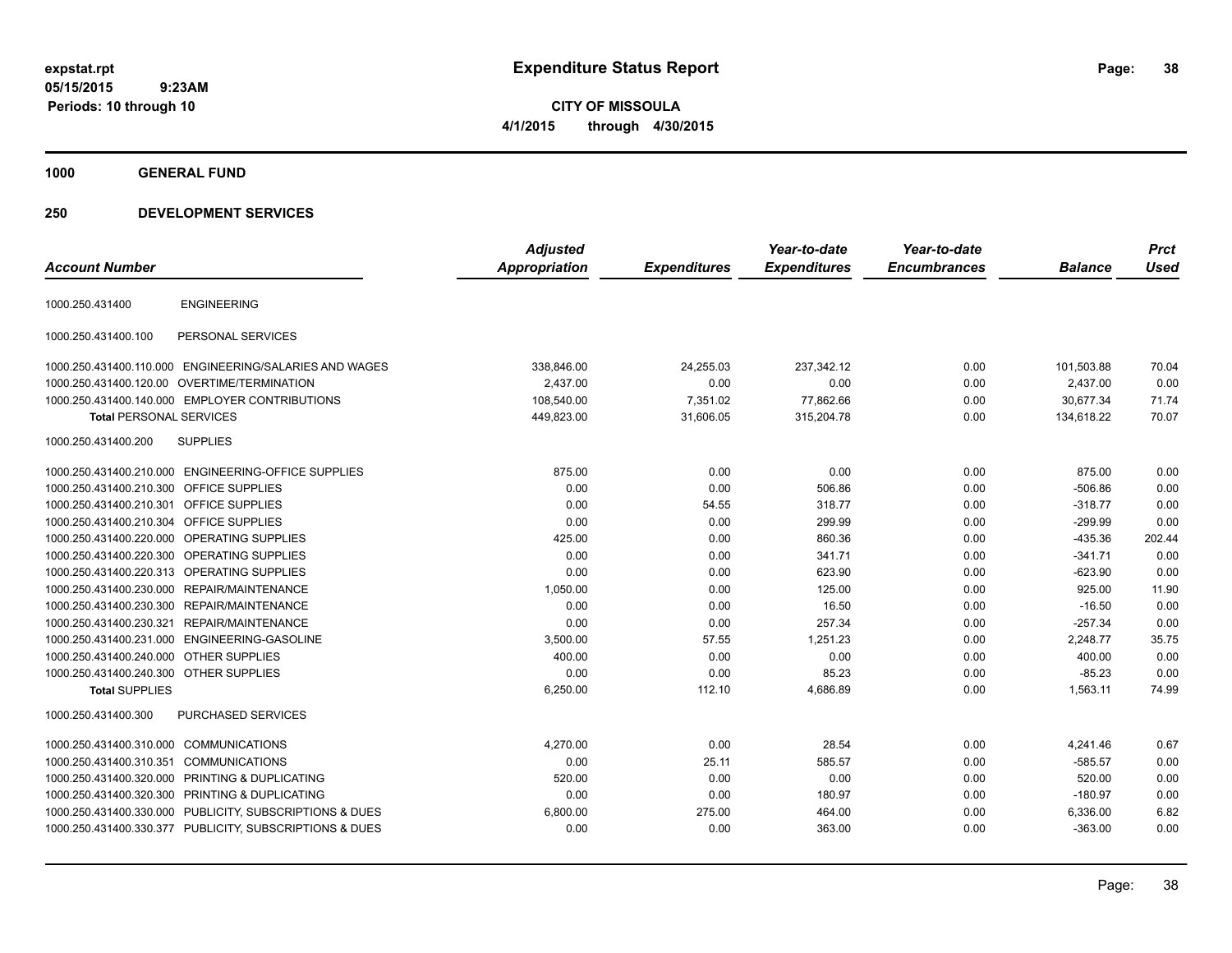**CITY OF MISSOULA 4/1/2015 through 4/30/2015**

**1000 GENERAL FUND**

## **250 DEVELOPMENT SERVICES**

| <b>Account Number</b>                  |                                                         | <b>Adjusted</b><br>Appropriation | <b>Expenditures</b> | Year-to-date<br><b>Expenditures</b> | Year-to-date<br><b>Encumbrances</b> | <b>Balance</b> | <b>Prct</b><br><b>Used</b> |
|----------------------------------------|---------------------------------------------------------|----------------------------------|---------------------|-------------------------------------|-------------------------------------|----------------|----------------------------|
|                                        |                                                         |                                  |                     |                                     |                                     |                |                            |
| 1000.250.431400                        | <b>ENGINEERING</b>                                      |                                  |                     |                                     |                                     |                |                            |
| 1000.250.431400.100                    | PERSONAL SERVICES                                       |                                  |                     |                                     |                                     |                |                            |
|                                        | 1000.250.431400.110.000 ENGINEERING/SALARIES AND WAGES  | 338,846.00                       | 24,255.03           | 237,342.12                          | 0.00                                | 101,503.88     | 70.04                      |
|                                        | 1000.250.431400.120.00 OVERTIME/TERMINATION             | 2,437.00                         | 0.00                | 0.00                                | 0.00                                | 2,437.00       | 0.00                       |
|                                        | 1000.250.431400.140.000 EMPLOYER CONTRIBUTIONS          | 108,540.00                       | 7,351.02            | 77,862.66                           | 0.00                                | 30,677.34      | 71.74                      |
| <b>Total PERSONAL SERVICES</b>         |                                                         | 449,823.00                       | 31,606.05           | 315,204.78                          | 0.00                                | 134,618.22     | 70.07                      |
| 1000.250.431400.200                    | <b>SUPPLIES</b>                                         |                                  |                     |                                     |                                     |                |                            |
|                                        | 1000.250.431400.210.000 ENGINEERING-OFFICE SUPPLIES     | 875.00                           | 0.00                | 0.00                                | 0.00                                | 875.00         | 0.00                       |
| 1000.250.431400.210.300                | <b>OFFICE SUPPLIES</b>                                  | 0.00                             | 0.00                | 506.86                              | 0.00                                | $-506.86$      | 0.00                       |
| 1000.250.431400.210.301                | <b>OFFICE SUPPLIES</b>                                  | 0.00                             | 54.55               | 318.77                              | 0.00                                | $-318.77$      | 0.00                       |
| 1000.250.431400.210.304                | <b>OFFICE SUPPLIES</b>                                  | 0.00                             | 0.00                | 299.99                              | 0.00                                | $-299.99$      | 0.00                       |
| 1000.250.431400.220.000                | OPERATING SUPPLIES                                      | 425.00                           | 0.00                | 860.36                              | 0.00                                | $-435.36$      | 202.44                     |
| 1000.250.431400.220.300                | <b>OPERATING SUPPLIES</b>                               | 0.00                             | 0.00                | 341.71                              | 0.00                                | $-341.71$      | 0.00                       |
|                                        | 1000.250.431400.220.313 OPERATING SUPPLIES              | 0.00                             | 0.00                | 623.90                              | 0.00                                | $-623.90$      | 0.00                       |
|                                        | 1000.250.431400.230.000 REPAIR/MAINTENANCE              | 1,050.00                         | 0.00                | 125.00                              | 0.00                                | 925.00         | 11.90                      |
|                                        | 1000.250.431400.230.300 REPAIR/MAINTENANCE              | 0.00                             | 0.00                | 16.50                               | 0.00                                | $-16.50$       | 0.00                       |
| 1000.250.431400.230.321                | REPAIR/MAINTENANCE                                      | 0.00                             | 0.00                | 257.34                              | 0.00                                | $-257.34$      | 0.00                       |
|                                        | 1000.250.431400.231.000 ENGINEERING-GASOLINE            | 3,500.00                         | 57.55               | 1,251.23                            | 0.00                                | 2,248.77       | 35.75                      |
| 1000.250.431400.240.000 OTHER SUPPLIES |                                                         | 400.00                           | 0.00                | 0.00                                | 0.00                                | 400.00         | 0.00                       |
| 1000.250.431400.240.300 OTHER SUPPLIES |                                                         | 0.00                             | 0.00                | 85.23                               | 0.00                                | $-85.23$       | 0.00                       |
| <b>Total SUPPLIES</b>                  |                                                         | 6,250.00                         | 112.10              | 4,686.89                            | 0.00                                | 1,563.11       | 74.99                      |
| 1000.250.431400.300                    | <b>PURCHASED SERVICES</b>                               |                                  |                     |                                     |                                     |                |                            |
| 1000.250.431400.310.000                | COMMUNICATIONS                                          | 4,270.00                         | 0.00                | 28.54                               | 0.00                                | 4,241.46       | 0.67                       |
| 1000.250.431400.310.351                | <b>COMMUNICATIONS</b>                                   | 0.00                             | 25.11               | 585.57                              | 0.00                                | $-585.57$      | 0.00                       |
| 1000.250.431400.320.000                | <b>PRINTING &amp; DUPLICATING</b>                       | 520.00                           | 0.00                | 0.00                                | 0.00                                | 520.00         | 0.00                       |
|                                        | 1000.250.431400.320.300 PRINTING & DUPLICATING          | 0.00                             | 0.00                | 180.97                              | 0.00                                | $-180.97$      | 0.00                       |
|                                        | 1000.250.431400.330.000 PUBLICITY, SUBSCRIPTIONS & DUES | 6,800.00                         | 275.00              | 464.00                              | 0.00                                | 6,336.00       | 6.82                       |
|                                        | 1000.250.431400.330.377 PUBLICITY, SUBSCRIPTIONS & DUES | 0.00                             | 0.00                | 363.00                              | 0.00                                | $-363.00$      | 0.00                       |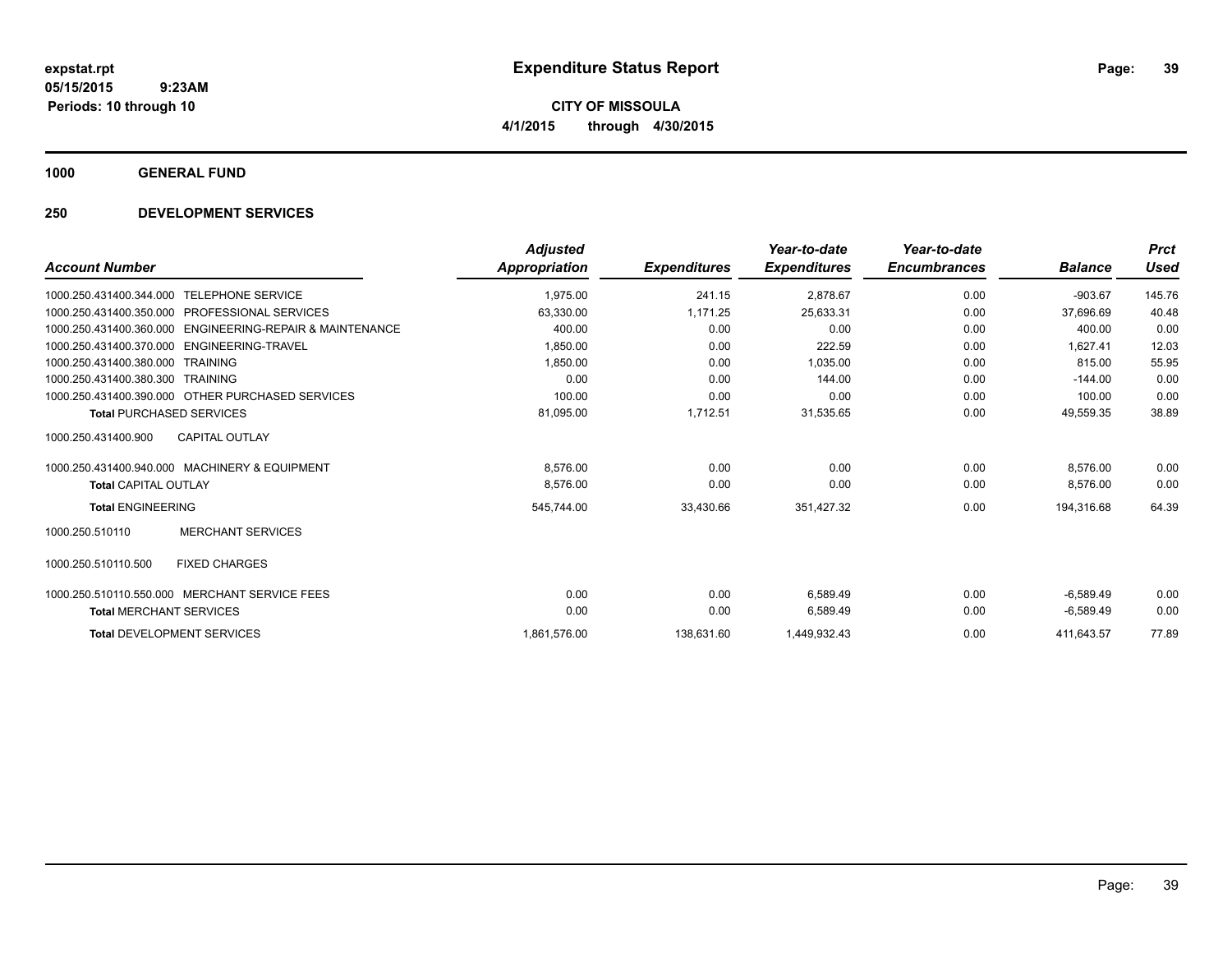**1000 GENERAL FUND**

## **250 DEVELOPMENT SERVICES**

|                                                             | <b>Adjusted</b>      |                     | Year-to-date        | Year-to-date        |                | <b>Prct</b> |
|-------------------------------------------------------------|----------------------|---------------------|---------------------|---------------------|----------------|-------------|
| <b>Account Number</b>                                       | <b>Appropriation</b> | <b>Expenditures</b> | <b>Expenditures</b> | <b>Encumbrances</b> | <b>Balance</b> | Used        |
| <b>TELEPHONE SERVICE</b><br>1000.250.431400.344.000         | 1,975.00             | 241.15              | 2,878.67            | 0.00                | $-903.67$      | 145.76      |
| 1000.250.431400.350.000 PROFESSIONAL SERVICES               | 63,330.00            | 1,171.25            | 25,633.31           | 0.00                | 37,696.69      | 40.48       |
| ENGINEERING-REPAIR & MAINTENANCE<br>1000.250.431400.360.000 | 400.00               | 0.00                | 0.00                | 0.00                | 400.00         | 0.00        |
| ENGINEERING-TRAVEL<br>1000.250.431400.370.000               | 1,850.00             | 0.00                | 222.59              | 0.00                | 1.627.41       | 12.03       |
| 1000.250.431400.380.000<br><b>TRAINING</b>                  | 1,850.00             | 0.00                | 1.035.00            | 0.00                | 815.00         | 55.95       |
| 1000.250.431400.380.300<br><b>TRAINING</b>                  | 0.00                 | 0.00                | 144.00              | 0.00                | $-144.00$      | 0.00        |
| 1000.250.431400.390.000 OTHER PURCHASED SERVICES            | 100.00               | 0.00                | 0.00                | 0.00                | 100.00         | 0.00        |
| <b>Total PURCHASED SERVICES</b>                             | 81,095.00            | 1,712.51            | 31,535.65           | 0.00                | 49,559.35      | 38.89       |
| <b>CAPITAL OUTLAY</b><br>1000.250.431400.900                |                      |                     |                     |                     |                |             |
| 1000.250.431400.940.000 MACHINERY & EQUIPMENT               | 8,576.00             | 0.00                | 0.00                | 0.00                | 8.576.00       | 0.00        |
| <b>Total CAPITAL OUTLAY</b>                                 | 8,576.00             | 0.00                | 0.00                | 0.00                | 8,576.00       | 0.00        |
| <b>Total ENGINEERING</b>                                    | 545,744.00           | 33,430.66           | 351,427.32          | 0.00                | 194,316.68     | 64.39       |
| <b>MERCHANT SERVICES</b><br>1000.250.510110                 |                      |                     |                     |                     |                |             |
| 1000.250.510110.500<br><b>FIXED CHARGES</b>                 |                      |                     |                     |                     |                |             |
| 1000.250.510110.550.000<br><b>MERCHANT SERVICE FEES</b>     | 0.00                 | 0.00                | 6.589.49            | 0.00                | $-6.589.49$    | 0.00        |
| <b>Total MERCHANT SERVICES</b>                              | 0.00                 | 0.00                | 6,589.49            | 0.00                | $-6,589.49$    | 0.00        |
| <b>Total DEVELOPMENT SERVICES</b>                           | 1,861,576.00         | 138,631.60          | 1,449,932.43        | 0.00                | 411.643.57     | 77.89       |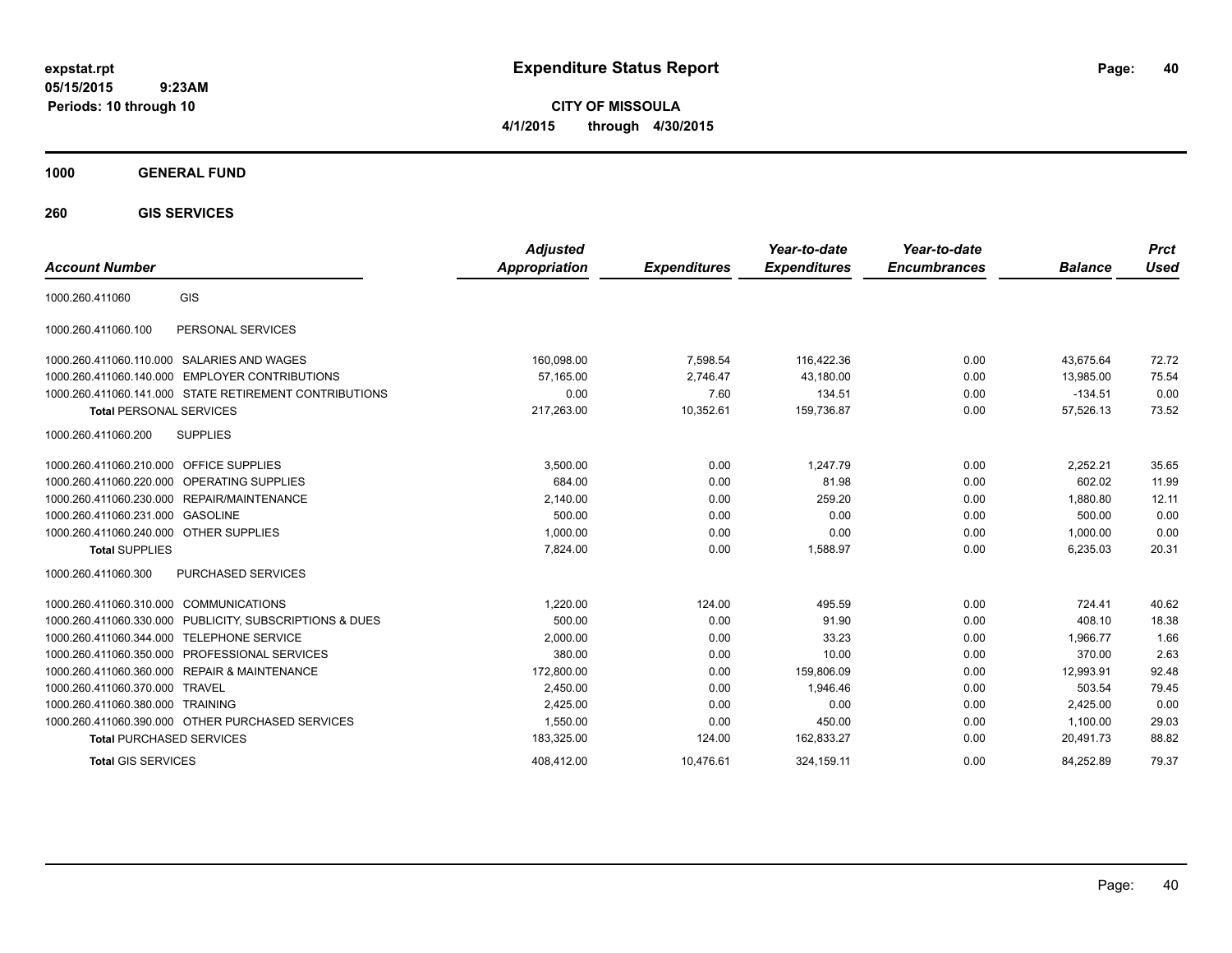**CITY OF MISSOULA 4/1/2015 through 4/30/2015**

**1000 GENERAL FUND**

**260 GIS SERVICES**

| <b>Account Number</b>                                      | <b>Adjusted</b><br><b>Appropriation</b> | <b>Expenditures</b> | Year-to-date<br><b>Expenditures</b> | Year-to-date<br><b>Encumbrances</b> | <b>Balance</b> | <b>Prct</b><br><b>Used</b> |
|------------------------------------------------------------|-----------------------------------------|---------------------|-------------------------------------|-------------------------------------|----------------|----------------------------|
| GIS<br>1000.260.411060                                     |                                         |                     |                                     |                                     |                |                            |
| PERSONAL SERVICES<br>1000.260.411060.100                   |                                         |                     |                                     |                                     |                |                            |
| 1000.260.411060.110.000 SALARIES AND WAGES                 | 160,098.00                              | 7,598.54            | 116,422.36                          | 0.00                                | 43.675.64      | 72.72                      |
| <b>EMPLOYER CONTRIBUTIONS</b><br>1000.260.411060.140.000   | 57,165.00                               | 2,746.47            | 43,180.00                           | 0.00                                | 13,985.00      | 75.54                      |
| 1000.260.411060.141.000 STATE RETIREMENT CONTRIBUTIONS     | 0.00                                    | 7.60                | 134.51                              | 0.00                                | $-134.51$      | 0.00                       |
| <b>Total PERSONAL SERVICES</b>                             | 217,263.00                              | 10,352.61           | 159,736.87                          | 0.00                                | 57,526.13      | 73.52                      |
| <b>SUPPLIES</b><br>1000.260.411060.200                     |                                         |                     |                                     |                                     |                |                            |
| 1000.260.411060.210.000 OFFICE SUPPLIES                    | 3,500.00                                | 0.00                | 1,247.79                            | 0.00                                | 2,252.21       | 35.65                      |
| 1000.260.411060.220.000 OPERATING SUPPLIES                 | 684.00                                  | 0.00                | 81.98                               | 0.00                                | 602.02         | 11.99                      |
| 1000.260.411060.230.000<br><b>REPAIR/MAINTENANCE</b>       | 2,140.00                                | 0.00                | 259.20                              | 0.00                                | 1,880.80       | 12.11                      |
| 1000.260.411060.231.000 GASOLINE                           | 500.00                                  | 0.00                | 0.00                                | 0.00                                | 500.00         | 0.00                       |
| 1000.260.411060.240.000 OTHER SUPPLIES                     | 1,000.00                                | 0.00                | 0.00                                | 0.00                                | 1,000.00       | 0.00                       |
| <b>Total SUPPLIES</b>                                      | 7,824.00                                | 0.00                | 1,588.97                            | 0.00                                | 6,235.03       | 20.31                      |
| PURCHASED SERVICES<br>1000.260.411060.300                  |                                         |                     |                                     |                                     |                |                            |
| 1000.260.411060.310.000 COMMUNICATIONS                     | 1.220.00                                | 124.00              | 495.59                              | 0.00                                | 724.41         | 40.62                      |
| 1000.260.411060.330.000<br>PUBLICITY, SUBSCRIPTIONS & DUES | 500.00                                  | 0.00                | 91.90                               | 0.00                                | 408.10         | 18.38                      |
| 1000.260.411060.344.000<br><b>TELEPHONE SERVICE</b>        | 2,000.00                                | 0.00                | 33.23                               | 0.00                                | 1,966.77       | 1.66                       |
| PROFESSIONAL SERVICES<br>1000.260.411060.350.000           | 380.00                                  | 0.00                | 10.00                               | 0.00                                | 370.00         | 2.63                       |
| 1000.260.411060.360.000<br><b>REPAIR &amp; MAINTENANCE</b> | 172,800.00                              | 0.00                | 159,806.09                          | 0.00                                | 12,993.91      | 92.48                      |
| 1000.260.411060.370.000<br>TRAVEL                          | 2,450.00                                | 0.00                | 1,946.46                            | 0.00                                | 503.54         | 79.45                      |
| 1000.260.411060.380.000<br><b>TRAINING</b>                 | 2,425.00                                | 0.00                | 0.00                                | 0.00                                | 2,425.00       | 0.00                       |
| 1000.260.411060.390.000 OTHER PURCHASED SERVICES           | 1,550.00                                | 0.00                | 450.00                              | 0.00                                | 1,100.00       | 29.03                      |
| <b>Total PURCHASED SERVICES</b>                            | 183,325.00                              | 124.00              | 162,833.27                          | 0.00                                | 20,491.73      | 88.82                      |
| <b>Total GIS SERVICES</b>                                  | 408.412.00                              | 10.476.61           | 324.159.11                          | 0.00                                | 84.252.89      | 79.37                      |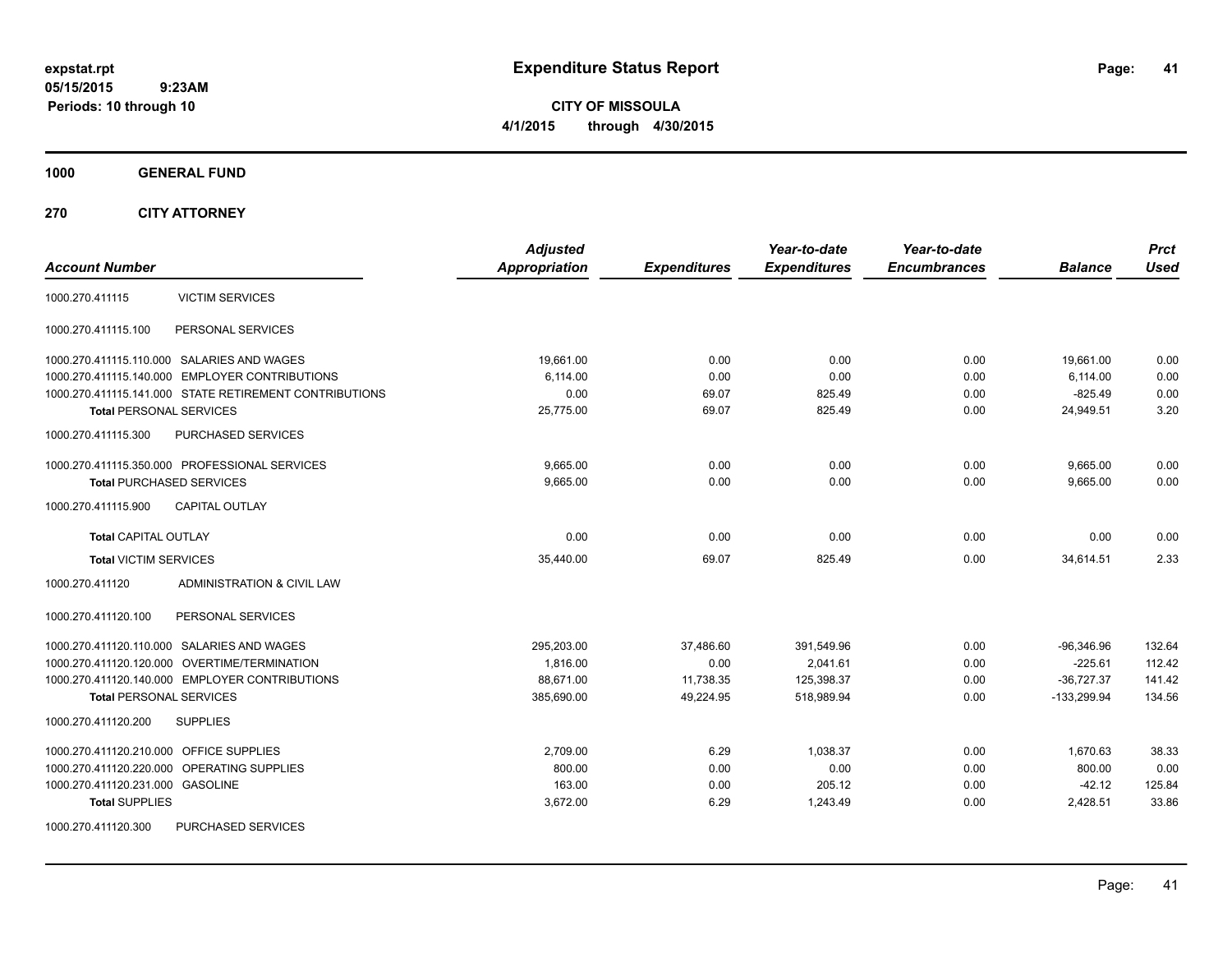**CITY OF MISSOULA 4/1/2015 through 4/30/2015**

**1000 GENERAL FUND**

**270 CITY ATTORNEY**

| <b>VICTIM SERVICES</b><br>1000.270.411115<br>PERSONAL SERVICES<br>1000.270.411115.100<br>1000.270.411115.110.000 SALARIES AND WAGES<br>19,661.00<br>0.00<br>0.00<br>0.00<br>19,661.00<br>0.00<br>1000.270.411115.140.000 EMPLOYER CONTRIBUTIONS<br>6,114.00<br>0.00<br>0.00<br>6,114.00<br>1000.270.411115.141.000 STATE RETIREMENT CONTRIBUTIONS<br>0.00<br>69.07<br>825.49<br>0.00<br>$-825.49$<br><b>Total PERSONAL SERVICES</b><br>25,775.00<br>69.07<br>825.49<br>0.00<br>24,949.51<br>PURCHASED SERVICES<br>1000.270.411115.300<br>1000.270.411115.350.000 PROFESSIONAL SERVICES<br>9,665.00<br>0.00<br>0.00<br>0.00<br>9,665.00<br>0.00<br>9,665.00<br>0.00<br>0.00<br>9,665.00<br><b>Total PURCHASED SERVICES</b><br><b>CAPITAL OUTLAY</b><br>1000.270.411115.900<br>0.00<br>0.00<br>0.00<br><b>Total CAPITAL OUTLAY</b><br>0.00<br>0.00<br>825.49<br><b>Total VICTIM SERVICES</b><br>35,440.00<br>69.07<br>0.00<br>34,614.51<br>1000.270.411120<br><b>ADMINISTRATION &amp; CIVIL LAW</b><br>1000.270.411120.100<br>PERSONAL SERVICES<br>1000.270.411120.110.000 SALARIES AND WAGES<br>295,203.00<br>$-96,346.96$<br>37,486.60<br>391,549.96<br>0.00<br>1000.270.411120.120.000 OVERTIME/TERMINATION<br>1,816.00<br>0.00<br>2,041.61<br>0.00<br>$-225.61$<br>1000.270.411120.140.000 EMPLOYER CONTRIBUTIONS<br>88,671.00<br>$-36,727.37$<br>11,738.35<br>125,398.37<br>0.00<br>385,690.00<br>49,224.95<br>518,989.94<br>0.00<br>$-133,299.94$<br><b>Total PERSONAL SERVICES</b><br>1000.270.411120.200<br><b>SUPPLIES</b><br>OFFICE SUPPLIES<br>1000.270.411120.210.000<br>2,709.00<br>6.29<br>1,038.37<br>0.00<br>1,670.63<br>1000.270.411120.220.000 OPERATING SUPPLIES<br>800.00<br>0.00<br>0.00<br>0.00<br>800.00<br>1000.270.411120.231.000 GASOLINE<br>163.00<br>205.12<br>$-42.12$<br>0.00<br>0.00 | <b>Account Number</b> | <b>Adjusted</b><br><b>Appropriation</b> | <b>Expenditures</b> | Year-to-date<br><b>Expenditures</b> | Year-to-date<br><b>Encumbrances</b> | <b>Balance</b> | <b>Prct</b><br><b>Used</b>           |
|-------------------------------------------------------------------------------------------------------------------------------------------------------------------------------------------------------------------------------------------------------------------------------------------------------------------------------------------------------------------------------------------------------------------------------------------------------------------------------------------------------------------------------------------------------------------------------------------------------------------------------------------------------------------------------------------------------------------------------------------------------------------------------------------------------------------------------------------------------------------------------------------------------------------------------------------------------------------------------------------------------------------------------------------------------------------------------------------------------------------------------------------------------------------------------------------------------------------------------------------------------------------------------------------------------------------------------------------------------------------------------------------------------------------------------------------------------------------------------------------------------------------------------------------------------------------------------------------------------------------------------------------------------------------------------------------------------------------------------------------------------------------------------------------------------------------|-----------------------|-----------------------------------------|---------------------|-------------------------------------|-------------------------------------|----------------|--------------------------------------|
|                                                                                                                                                                                                                                                                                                                                                                                                                                                                                                                                                                                                                                                                                                                                                                                                                                                                                                                                                                                                                                                                                                                                                                                                                                                                                                                                                                                                                                                                                                                                                                                                                                                                                                                                                                                                                   |                       |                                         |                     |                                     |                                     |                |                                      |
|                                                                                                                                                                                                                                                                                                                                                                                                                                                                                                                                                                                                                                                                                                                                                                                                                                                                                                                                                                                                                                                                                                                                                                                                                                                                                                                                                                                                                                                                                                                                                                                                                                                                                                                                                                                                                   |                       |                                         |                     |                                     |                                     |                |                                      |
|                                                                                                                                                                                                                                                                                                                                                                                                                                                                                                                                                                                                                                                                                                                                                                                                                                                                                                                                                                                                                                                                                                                                                                                                                                                                                                                                                                                                                                                                                                                                                                                                                                                                                                                                                                                                                   |                       |                                         |                     |                                     |                                     |                | 0.00<br>0.00<br>0.00<br>3.20         |
|                                                                                                                                                                                                                                                                                                                                                                                                                                                                                                                                                                                                                                                                                                                                                                                                                                                                                                                                                                                                                                                                                                                                                                                                                                                                                                                                                                                                                                                                                                                                                                                                                                                                                                                                                                                                                   |                       |                                         |                     |                                     |                                     |                |                                      |
|                                                                                                                                                                                                                                                                                                                                                                                                                                                                                                                                                                                                                                                                                                                                                                                                                                                                                                                                                                                                                                                                                                                                                                                                                                                                                                                                                                                                                                                                                                                                                                                                                                                                                                                                                                                                                   |                       |                                         |                     |                                     |                                     |                | 0.00<br>0.00                         |
|                                                                                                                                                                                                                                                                                                                                                                                                                                                                                                                                                                                                                                                                                                                                                                                                                                                                                                                                                                                                                                                                                                                                                                                                                                                                                                                                                                                                                                                                                                                                                                                                                                                                                                                                                                                                                   |                       |                                         |                     |                                     |                                     |                |                                      |
|                                                                                                                                                                                                                                                                                                                                                                                                                                                                                                                                                                                                                                                                                                                                                                                                                                                                                                                                                                                                                                                                                                                                                                                                                                                                                                                                                                                                                                                                                                                                                                                                                                                                                                                                                                                                                   |                       |                                         |                     |                                     |                                     |                | 0.00<br>2.33                         |
|                                                                                                                                                                                                                                                                                                                                                                                                                                                                                                                                                                                                                                                                                                                                                                                                                                                                                                                                                                                                                                                                                                                                                                                                                                                                                                                                                                                                                                                                                                                                                                                                                                                                                                                                                                                                                   |                       |                                         |                     |                                     |                                     |                |                                      |
|                                                                                                                                                                                                                                                                                                                                                                                                                                                                                                                                                                                                                                                                                                                                                                                                                                                                                                                                                                                                                                                                                                                                                                                                                                                                                                                                                                                                                                                                                                                                                                                                                                                                                                                                                                                                                   |                       |                                         |                     |                                     |                                     |                |                                      |
|                                                                                                                                                                                                                                                                                                                                                                                                                                                                                                                                                                                                                                                                                                                                                                                                                                                                                                                                                                                                                                                                                                                                                                                                                                                                                                                                                                                                                                                                                                                                                                                                                                                                                                                                                                                                                   |                       |                                         |                     |                                     |                                     |                | 132.64<br>112.42<br>141.42<br>134.56 |
|                                                                                                                                                                                                                                                                                                                                                                                                                                                                                                                                                                                                                                                                                                                                                                                                                                                                                                                                                                                                                                                                                                                                                                                                                                                                                                                                                                                                                                                                                                                                                                                                                                                                                                                                                                                                                   |                       |                                         |                     |                                     |                                     |                |                                      |
| 1000.270.411120.300<br><b>PURCHASED SERVICES</b>                                                                                                                                                                                                                                                                                                                                                                                                                                                                                                                                                                                                                                                                                                                                                                                                                                                                                                                                                                                                                                                                                                                                                                                                                                                                                                                                                                                                                                                                                                                                                                                                                                                                                                                                                                  | <b>Total SUPPLIES</b> | 3,672.00                                | 6.29                | 1,243.49                            | 0.00                                | 2,428.51       | 38.33<br>0.00<br>125.84<br>33.86     |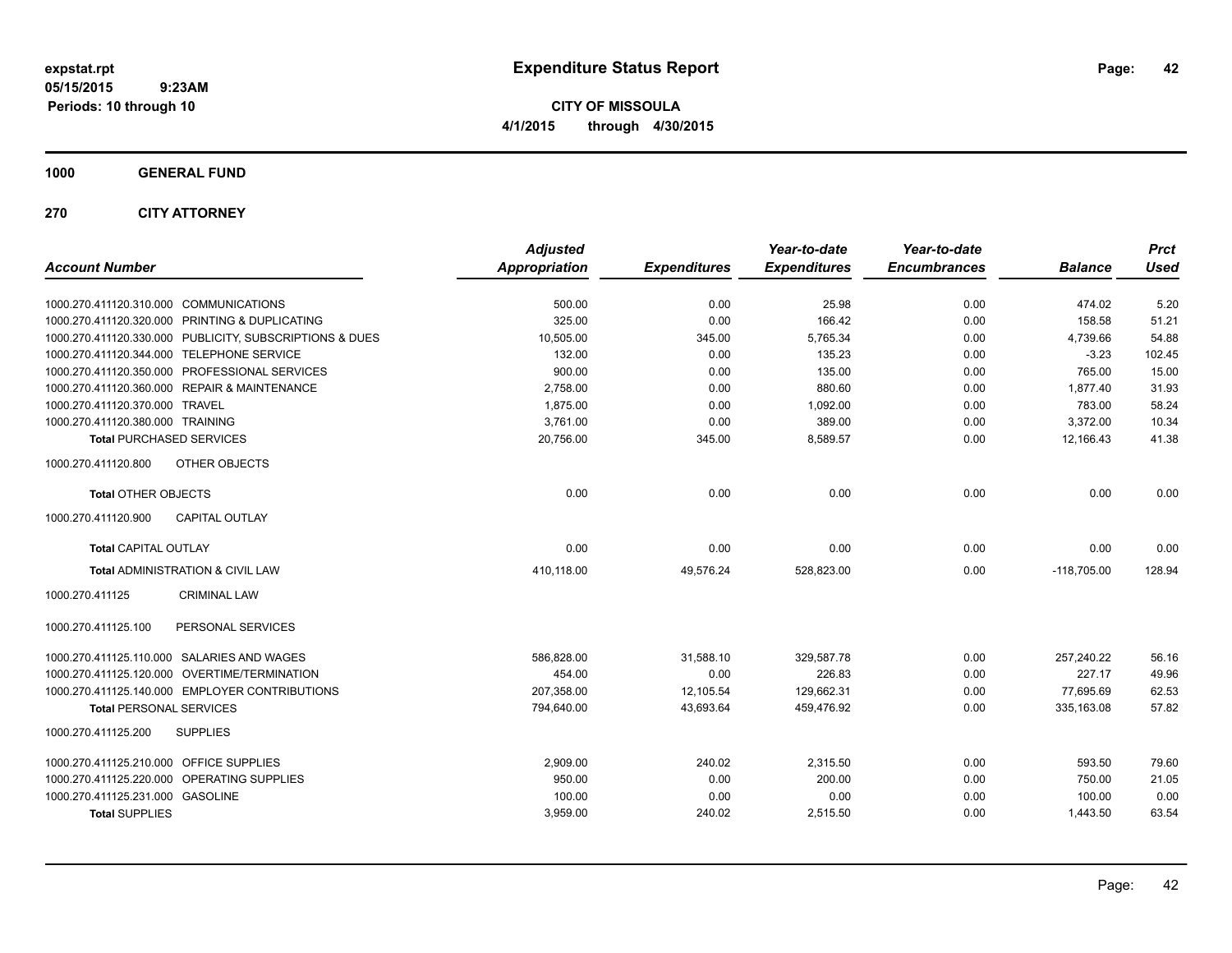**CITY OF MISSOULA 4/1/2015 through 4/30/2015**

## **1000 GENERAL FUND**

## **270 CITY ATTORNEY**

|                                                         | <b>Adjusted</b>      |                     | Year-to-date        | Year-to-date        |                | <b>Prct</b> |
|---------------------------------------------------------|----------------------|---------------------|---------------------|---------------------|----------------|-------------|
| <b>Account Number</b>                                   | <b>Appropriation</b> | <b>Expenditures</b> | <b>Expenditures</b> | <b>Encumbrances</b> | <b>Balance</b> | <b>Used</b> |
| 1000.270.411120.310.000 COMMUNICATIONS                  | 500.00               | 0.00                | 25.98               | 0.00                | 474.02         | 5.20        |
| 1000.270.411120.320.000 PRINTING & DUPLICATING          | 325.00               | 0.00                | 166.42              | 0.00                | 158.58         | 51.21       |
| 1000.270.411120.330.000 PUBLICITY, SUBSCRIPTIONS & DUES | 10,505.00            | 345.00              | 5.765.34            | 0.00                | 4,739.66       | 54.88       |
| 1000.270.411120.344.000 TELEPHONE SERVICE               | 132.00               | 0.00                | 135.23              | 0.00                | $-3.23$        | 102.45      |
| 1000.270.411120.350.000 PROFESSIONAL SERVICES           | 900.00               | 0.00                | 135.00              | 0.00                | 765.00         | 15.00       |
| 1000.270.411120.360.000 REPAIR & MAINTENANCE            | 2,758.00             | 0.00                | 880.60              | 0.00                | 1,877.40       | 31.93       |
| 1000.270.411120.370.000 TRAVEL                          | 1,875.00             | 0.00                | 1,092.00            | 0.00                | 783.00         | 58.24       |
| 1000.270.411120.380.000 TRAINING                        | 3,761.00             | 0.00                | 389.00              | 0.00                | 3,372.00       | 10.34       |
| <b>Total PURCHASED SERVICES</b>                         | 20,756.00            | 345.00              | 8,589.57            | 0.00                | 12,166.43      | 41.38       |
| 1000.270.411120.800<br>OTHER OBJECTS                    |                      |                     |                     |                     |                |             |
| <b>Total OTHER OBJECTS</b>                              | 0.00                 | 0.00                | 0.00                | 0.00                | 0.00           | 0.00        |
| 1000.270.411120.900<br><b>CAPITAL OUTLAY</b>            |                      |                     |                     |                     |                |             |
| <b>Total CAPITAL OUTLAY</b>                             | 0.00                 | 0.00                | 0.00                | 0.00                | 0.00           | 0.00        |
| Total ADMINISTRATION & CIVIL LAW                        | 410,118.00           | 49,576.24           | 528,823.00          | 0.00                | $-118,705.00$  | 128.94      |
| 1000.270.411125<br><b>CRIMINAL LAW</b>                  |                      |                     |                     |                     |                |             |
| PERSONAL SERVICES<br>1000.270.411125.100                |                      |                     |                     |                     |                |             |
| 1000.270.411125.110.000 SALARIES AND WAGES              | 586,828.00           | 31,588.10           | 329,587.78          | 0.00                | 257,240.22     | 56.16       |
| 1000.270.411125.120.000 OVERTIME/TERMINATION            | 454.00               | 0.00                | 226.83              | 0.00                | 227.17         | 49.96       |
| 1000.270.411125.140.000 EMPLOYER CONTRIBUTIONS          | 207,358.00           | 12,105.54           | 129,662.31          | 0.00                | 77,695.69      | 62.53       |
| <b>Total PERSONAL SERVICES</b>                          | 794,640.00           | 43.693.64           | 459.476.92          | 0.00                | 335.163.08     | 57.82       |
| <b>SUPPLIES</b><br>1000.270.411125.200                  |                      |                     |                     |                     |                |             |
| 1000.270.411125.210.000 OFFICE SUPPLIES                 | 2,909.00             | 240.02              | 2,315.50            | 0.00                | 593.50         | 79.60       |
| 1000.270.411125.220.000 OPERATING SUPPLIES              | 950.00               | 0.00                | 200.00              | 0.00                | 750.00         | 21.05       |
| 1000.270.411125.231.000 GASOLINE                        | 100.00               | 0.00                | 0.00                | 0.00                | 100.00         | 0.00        |
| <b>Total SUPPLIES</b>                                   | 3,959.00             | 240.02              | 2,515.50            | 0.00                | 1,443.50       | 63.54       |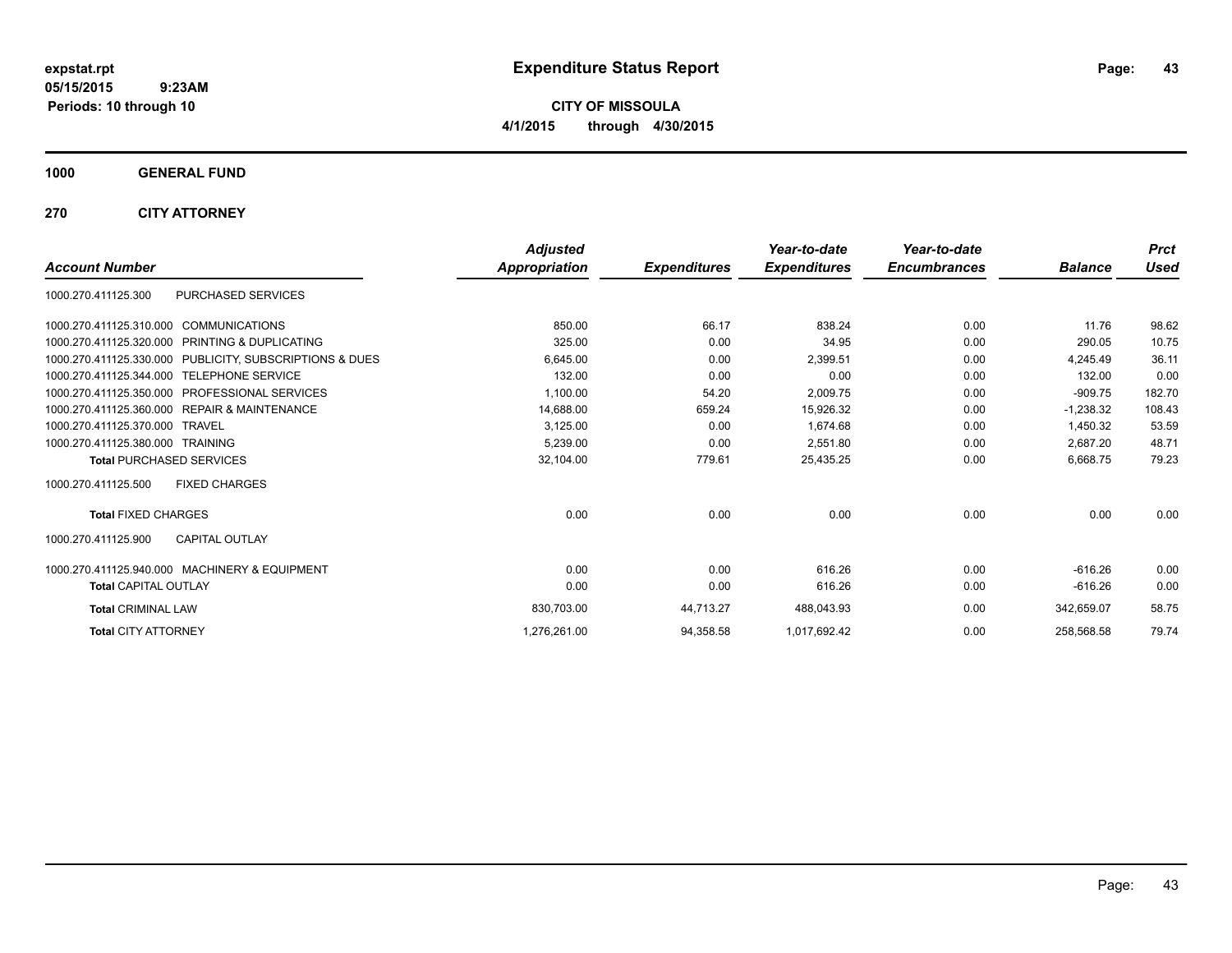**CITY OF MISSOULA 4/1/2015 through 4/30/2015**

**1000 GENERAL FUND**

**270 CITY ATTORNEY**

|                                                            | <b>Adjusted</b>      |                     | Year-to-date        | Year-to-date        |                | <b>Prct</b> |
|------------------------------------------------------------|----------------------|---------------------|---------------------|---------------------|----------------|-------------|
| <b>Account Number</b>                                      | <b>Appropriation</b> | <b>Expenditures</b> | <b>Expenditures</b> | <b>Encumbrances</b> | <b>Balance</b> | <b>Used</b> |
| PURCHASED SERVICES<br>1000.270.411125.300                  |                      |                     |                     |                     |                |             |
| 1000.270.411125.310.000 COMMUNICATIONS                     | 850.00               | 66.17               | 838.24              | 0.00                | 11.76          | 98.62       |
| PRINTING & DUPLICATING<br>1000.270.411125.320.000          | 325.00               | 0.00                | 34.95               | 0.00                | 290.05         | 10.75       |
| 1000.270.411125.330.000 PUBLICITY, SUBSCRIPTIONS & DUES    | 6,645.00             | 0.00                | 2,399.51            | 0.00                | 4.245.49       | 36.11       |
| 1000.270.411125.344.000 TELEPHONE SERVICE                  | 132.00               | 0.00                | 0.00                | 0.00                | 132.00         | 0.00        |
| <b>PROFESSIONAL SERVICES</b><br>1000.270.411125.350.000    | 1,100.00             | 54.20               | 2,009.75            | 0.00                | $-909.75$      | 182.70      |
| <b>REPAIR &amp; MAINTENANCE</b><br>1000.270.411125.360.000 | 14,688.00            | 659.24              | 15,926.32           | 0.00                | $-1.238.32$    | 108.43      |
| 1000.270.411125.370.000<br><b>TRAVEL</b>                   | 3,125.00             | 0.00                | 1,674.68            | 0.00                | 1,450.32       | 53.59       |
| 1000.270.411125.380.000 TRAINING                           | 5,239.00             | 0.00                | 2.551.80            | 0.00                | 2.687.20       | 48.71       |
| <b>Total PURCHASED SERVICES</b>                            | 32,104.00            | 779.61              | 25,435.25           | 0.00                | 6,668.75       | 79.23       |
| <b>FIXED CHARGES</b><br>1000.270.411125.500                |                      |                     |                     |                     |                |             |
| <b>Total FIXED CHARGES</b>                                 | 0.00                 | 0.00                | 0.00                | 0.00                | 0.00           | 0.00        |
| <b>CAPITAL OUTLAY</b><br>1000.270.411125.900               |                      |                     |                     |                     |                |             |
| 1000.270.411125.940.000 MACHINERY & EQUIPMENT              | 0.00                 | 0.00                | 616.26              | 0.00                | $-616.26$      | 0.00        |
| <b>Total CAPITAL OUTLAY</b>                                | 0.00                 | 0.00                | 616.26              | 0.00                | $-616.26$      | 0.00        |
| <b>Total CRIMINAL LAW</b>                                  | 830,703.00           | 44,713.27           | 488,043.93          | 0.00                | 342,659.07     | 58.75       |
| <b>Total CITY ATTORNEY</b>                                 | 1,276,261.00         | 94,358.58           | 1,017,692.42        | 0.00                | 258.568.58     | 79.74       |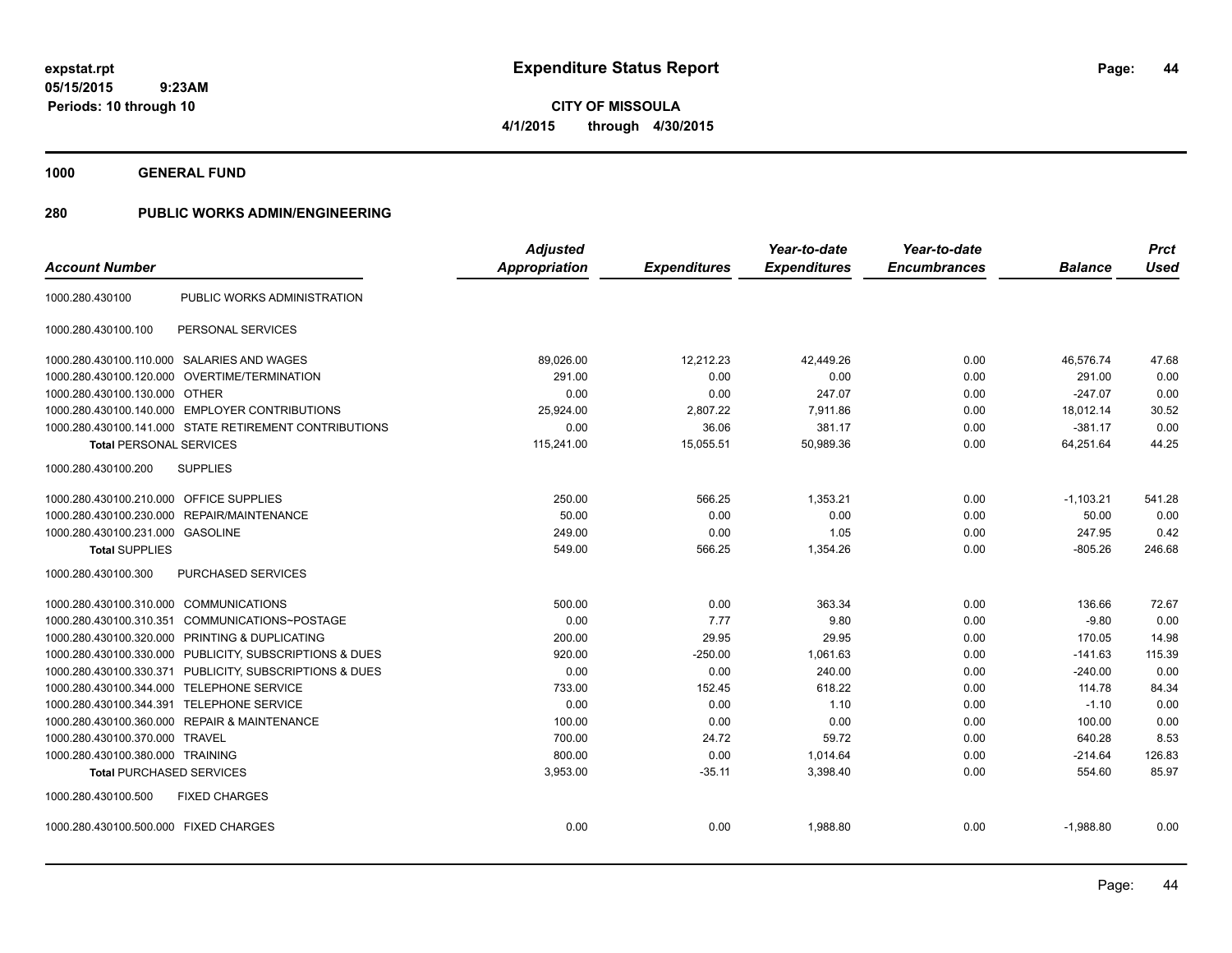**1000 GENERAL FUND**

| <b>Account Number</b>                      |                                                        | <b>Adjusted</b><br>Appropriation | <b>Expenditures</b> | Year-to-date<br><b>Expenditures</b> | Year-to-date<br><b>Encumbrances</b> | <b>Balance</b> | <b>Prct</b><br><b>Used</b> |
|--------------------------------------------|--------------------------------------------------------|----------------------------------|---------------------|-------------------------------------|-------------------------------------|----------------|----------------------------|
| 1000.280.430100                            | PUBLIC WORKS ADMINISTRATION                            |                                  |                     |                                     |                                     |                |                            |
| 1000.280.430100.100                        | PERSONAL SERVICES                                      |                                  |                     |                                     |                                     |                |                            |
| 1000.280.430100.110.000 SALARIES AND WAGES |                                                        | 89,026.00                        | 12,212.23           | 42,449.26                           | 0.00                                | 46.576.74      | 47.68                      |
| 1000.280.430100.120.000                    | OVERTIME/TERMINATION                                   | 291.00                           | 0.00                | 0.00                                | 0.00                                | 291.00         | 0.00                       |
| 1000.280.430100.130.000 OTHER              |                                                        | 0.00                             | 0.00                | 247.07                              | 0.00                                | $-247.07$      | 0.00                       |
|                                            | 1000.280.430100.140.000 EMPLOYER CONTRIBUTIONS         | 25,924.00                        | 2,807.22            | 7,911.86                            | 0.00                                | 18,012.14      | 30.52                      |
|                                            | 1000.280.430100.141.000 STATE RETIREMENT CONTRIBUTIONS | 0.00                             | 36.06               | 381.17                              | 0.00                                | $-381.17$      | 0.00                       |
| <b>Total PERSONAL SERVICES</b>             |                                                        | 115,241.00                       | 15,055.51           | 50,989.36                           | 0.00                                | 64,251.64      | 44.25                      |
| 1000.280.430100.200                        | <b>SUPPLIES</b>                                        |                                  |                     |                                     |                                     |                |                            |
| 1000.280.430100.210.000 OFFICE SUPPLIES    |                                                        | 250.00                           | 566.25              | 1,353.21                            | 0.00                                | $-1,103.21$    | 541.28                     |
| 1000.280.430100.230.000                    | REPAIR/MAINTENANCE                                     | 50.00                            | 0.00                | 0.00                                | 0.00                                | 50.00          | 0.00                       |
| 1000.280.430100.231.000 GASOLINE           |                                                        | 249.00                           | 0.00                | 1.05                                | 0.00                                | 247.95         | 0.42                       |
| <b>Total SUPPLIES</b>                      |                                                        | 549.00                           | 566.25              | 1,354.26                            | 0.00                                | $-805.26$      | 246.68                     |
| 1000.280.430100.300                        | PURCHASED SERVICES                                     |                                  |                     |                                     |                                     |                |                            |
| 1000.280.430100.310.000 COMMUNICATIONS     |                                                        | 500.00                           | 0.00                | 363.34                              | 0.00                                | 136.66         | 72.67                      |
| 1000.280.430100.310.351                    | COMMUNICATIONS~POSTAGE                                 | 0.00                             | 7.77                | 9.80                                | 0.00                                | $-9.80$        | 0.00                       |
| 1000.280.430100.320.000                    | PRINTING & DUPLICATING                                 | 200.00                           | 29.95               | 29.95                               | 0.00                                | 170.05         | 14.98                      |
| 1000.280.430100.330.000                    | PUBLICITY, SUBSCRIPTIONS & DUES                        | 920.00                           | $-250.00$           | 1,061.63                            | 0.00                                | $-141.63$      | 115.39                     |
| 1000.280.430100.330.371                    | PUBLICITY, SUBSCRIPTIONS & DUES                        | 0.00                             | 0.00                | 240.00                              | 0.00                                | $-240.00$      | 0.00                       |
| 1000.280.430100.344.000                    | <b>TELEPHONE SERVICE</b>                               | 733.00                           | 152.45              | 618.22                              | 0.00                                | 114.78         | 84.34                      |
| 1000.280.430100.344.391                    | <b>TELEPHONE SERVICE</b>                               | 0.00                             | 0.00                | 1.10                                | 0.00                                | $-1.10$        | 0.00                       |
| 1000.280.430100.360.000                    | <b>REPAIR &amp; MAINTENANCE</b>                        | 100.00                           | 0.00                | 0.00                                | 0.00                                | 100.00         | 0.00                       |
| 1000.280.430100.370.000                    | <b>TRAVEL</b>                                          | 700.00                           | 24.72               | 59.72                               | 0.00                                | 640.28         | 8.53                       |
| 1000.280.430100.380.000 TRAINING           |                                                        | 800.00                           | 0.00                | 1,014.64                            | 0.00                                | $-214.64$      | 126.83                     |
| <b>Total PURCHASED SERVICES</b>            |                                                        | 3,953.00                         | $-35.11$            | 3,398.40                            | 0.00                                | 554.60         | 85.97                      |
| 1000.280.430100.500                        | <b>FIXED CHARGES</b>                                   |                                  |                     |                                     |                                     |                |                            |
| 1000.280.430100.500.000 FIXED CHARGES      |                                                        | 0.00                             | 0.00                | 1.988.80                            | 0.00                                | $-1,988.80$    | 0.00                       |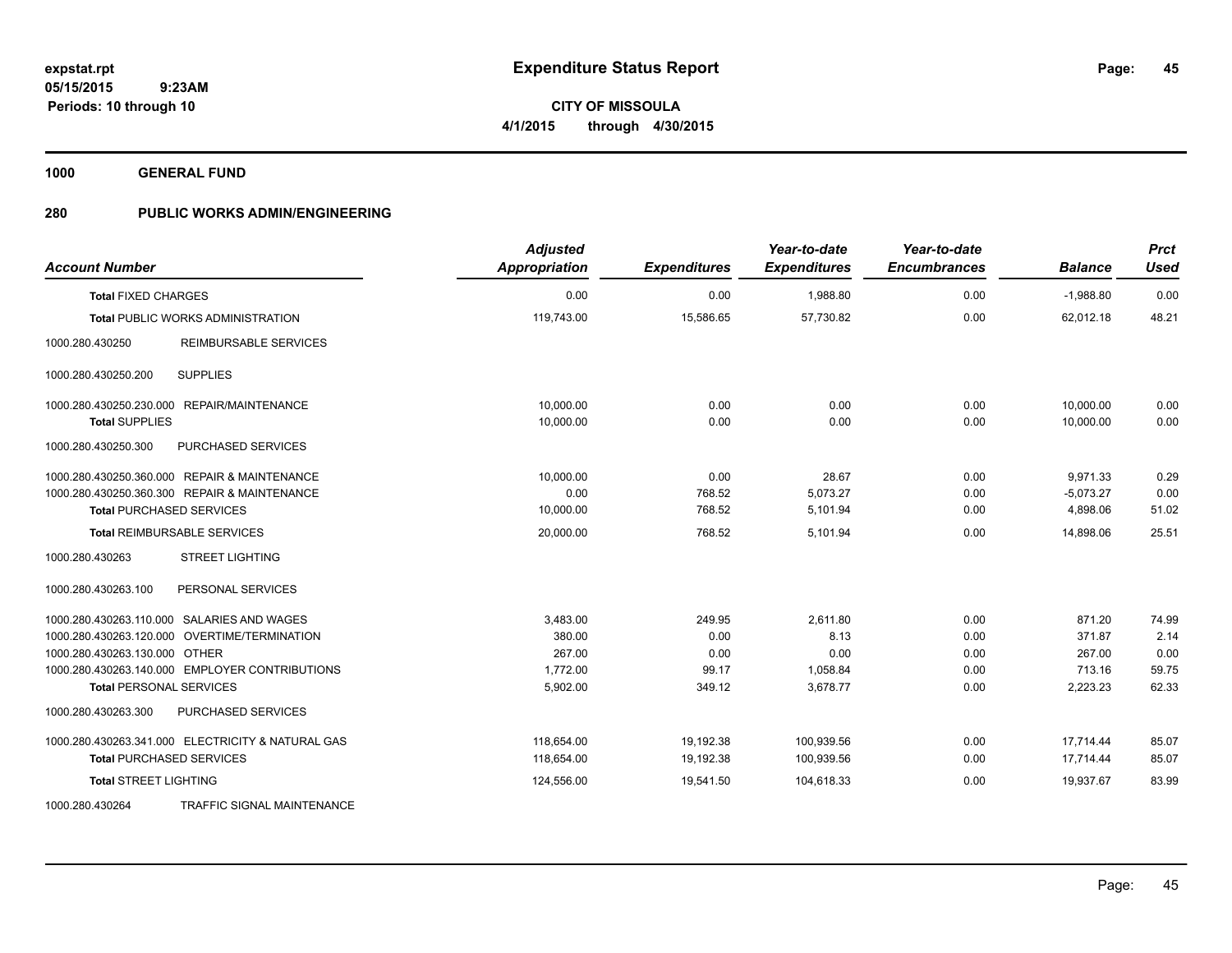**45**

**05/15/2015 9:23AM Periods: 10 through 10**

**CITY OF MISSOULA 4/1/2015 through 4/30/2015**

**1000 GENERAL FUND**

| <b>Account Number</b>                             | <b>Adjusted</b><br>Appropriation | <b>Expenditures</b> | Year-to-date<br><b>Expenditures</b> | Year-to-date<br><b>Encumbrances</b> | <b>Balance</b> | <b>Prct</b><br><b>Used</b> |
|---------------------------------------------------|----------------------------------|---------------------|-------------------------------------|-------------------------------------|----------------|----------------------------|
| <b>Total FIXED CHARGES</b>                        | 0.00                             | 0.00                | 1,988.80                            | 0.00                                | $-1,988.80$    | 0.00                       |
| <b>Total PUBLIC WORKS ADMINISTRATION</b>          | 119,743.00                       | 15,586.65           | 57,730.82                           | 0.00                                | 62,012.18      | 48.21                      |
| <b>REIMBURSABLE SERVICES</b><br>1000.280.430250   |                                  |                     |                                     |                                     |                |                            |
| <b>SUPPLIES</b><br>1000.280.430250.200            |                                  |                     |                                     |                                     |                |                            |
| 1000.280.430250.230.000 REPAIR/MAINTENANCE        | 10.000.00                        | 0.00                | 0.00                                | 0.00                                | 10,000.00      | 0.00                       |
| <b>Total SUPPLIES</b>                             | 10,000.00                        | 0.00                | 0.00                                | 0.00                                | 10,000.00      | 0.00                       |
| 1000.280.430250.300<br>PURCHASED SERVICES         |                                  |                     |                                     |                                     |                |                            |
| 1000.280.430250.360.000 REPAIR & MAINTENANCE      | 10,000.00                        | 0.00                | 28.67                               | 0.00                                | 9,971.33       | 0.29                       |
| 1000.280.430250.360.300 REPAIR & MAINTENANCE      | 0.00                             | 768.52              | 5,073.27                            | 0.00                                | $-5,073.27$    | 0.00                       |
| <b>Total PURCHASED SERVICES</b>                   | 10,000.00                        | 768.52              | 5,101.94                            | 0.00                                | 4,898.06       | 51.02                      |
| <b>Total REIMBURSABLE SERVICES</b>                | 20,000.00                        | 768.52              | 5.101.94                            | 0.00                                | 14,898.06      | 25.51                      |
| 1000.280.430263<br><b>STREET LIGHTING</b>         |                                  |                     |                                     |                                     |                |                            |
| PERSONAL SERVICES<br>1000.280.430263.100          |                                  |                     |                                     |                                     |                |                            |
| 1000.280.430263.110.000 SALARIES AND WAGES        | 3,483.00                         | 249.95              | 2,611.80                            | 0.00                                | 871.20         | 74.99                      |
| 1000.280.430263.120.000 OVERTIME/TERMINATION      | 380.00                           | 0.00                | 8.13                                | 0.00                                | 371.87         | 2.14                       |
| 1000.280.430263.130.000 OTHER                     | 267.00                           | 0.00                | 0.00                                | 0.00                                | 267.00         | 0.00                       |
| 1000.280.430263.140.000 EMPLOYER CONTRIBUTIONS    | 1,772.00                         | 99.17               | 1,058.84                            | 0.00                                | 713.16         | 59.75                      |
| <b>Total PERSONAL SERVICES</b>                    | 5,902.00                         | 349.12              | 3,678.77                            | 0.00                                | 2,223.23       | 62.33                      |
| 1000.280.430263.300<br>PURCHASED SERVICES         |                                  |                     |                                     |                                     |                |                            |
| 1000.280.430263.341.000 ELECTRICITY & NATURAL GAS | 118,654.00                       | 19,192.38           | 100,939.56                          | 0.00                                | 17,714.44      | 85.07                      |
| <b>Total PURCHASED SERVICES</b>                   | 118,654.00                       | 19,192.38           | 100,939.56                          | 0.00                                | 17,714.44      | 85.07                      |
| <b>Total STREET LIGHTING</b>                      | 124,556.00                       | 19,541.50           | 104,618.33                          | 0.00                                | 19,937.67      | 83.99                      |
| 1000.280.430264<br>TRAFFIC SIGNAL MAINTENANCE     |                                  |                     |                                     |                                     |                |                            |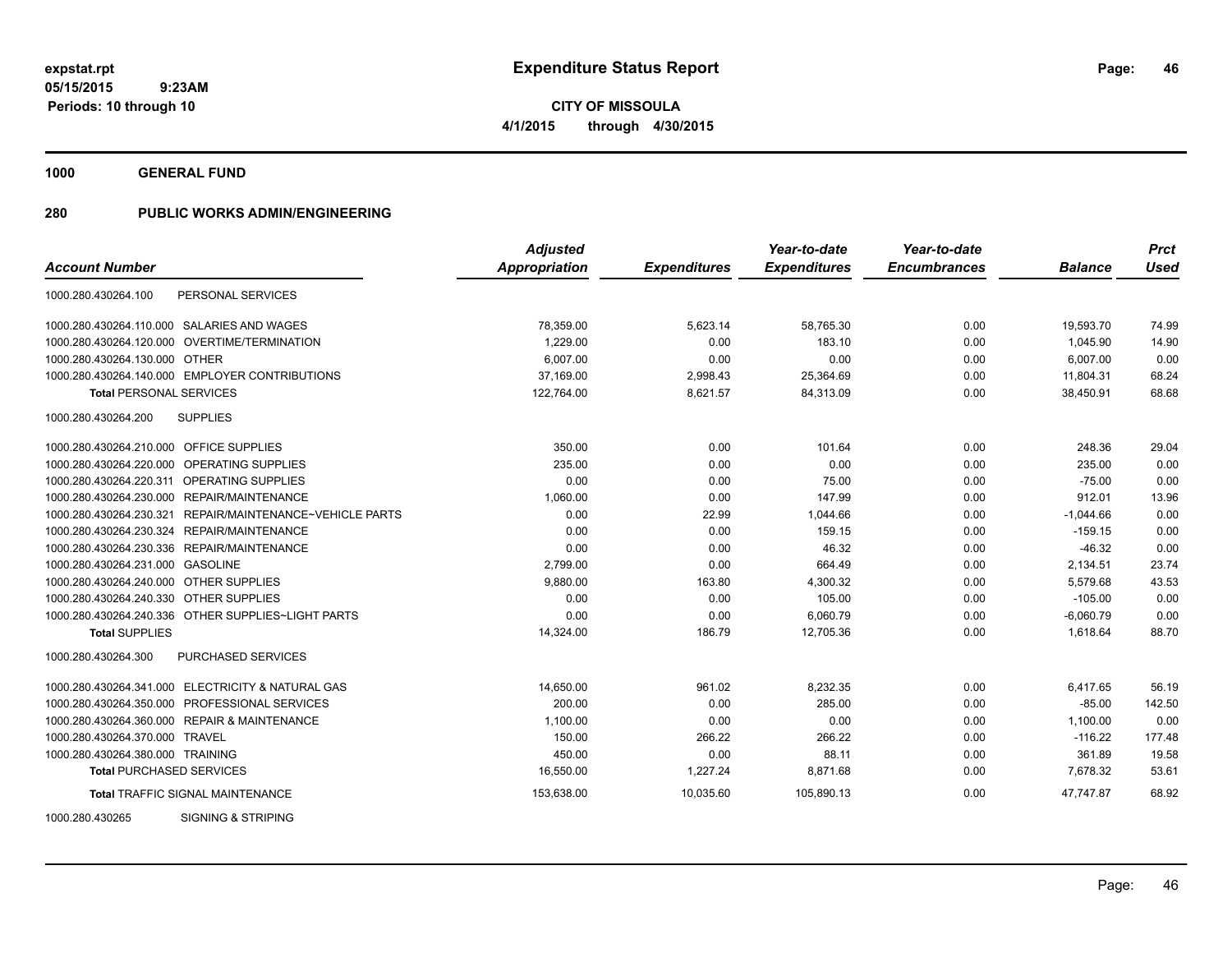**1000 GENERAL FUND**

|                                                             | <b>Adjusted</b> |                     | Year-to-date        | Year-to-date        |                | <b>Prct</b> |
|-------------------------------------------------------------|-----------------|---------------------|---------------------|---------------------|----------------|-------------|
| <b>Account Number</b>                                       | Appropriation   | <b>Expenditures</b> | <b>Expenditures</b> | <b>Encumbrances</b> | <b>Balance</b> | <b>Used</b> |
| 1000.280.430264.100<br>PERSONAL SERVICES                    |                 |                     |                     |                     |                |             |
| 1000.280.430264.110.000 SALARIES AND WAGES                  | 78,359.00       | 5,623.14            | 58,765.30           | 0.00                | 19,593.70      | 74.99       |
| 1000.280.430264.120.000 OVERTIME/TERMINATION                | 1.229.00        | 0.00                | 183.10              | 0.00                | 1,045.90       | 14.90       |
| 1000.280.430264.130.000 OTHER                               | 6,007.00        | 0.00                | 0.00                | 0.00                | 6,007.00       | 0.00        |
| 1000.280.430264.140.000 EMPLOYER CONTRIBUTIONS              | 37,169.00       | 2,998.43            | 25,364.69           | 0.00                | 11,804.31      | 68.24       |
| <b>Total PERSONAL SERVICES</b>                              | 122,764.00      | 8,621.57            | 84,313.09           | 0.00                | 38,450.91      | 68.68       |
| 1000.280.430264.200<br><b>SUPPLIES</b>                      |                 |                     |                     |                     |                |             |
| 1000.280.430264.210.000 OFFICE SUPPLIES                     | 350.00          | 0.00                | 101.64              | 0.00                | 248.36         | 29.04       |
| 1000.280.430264.220.000 OPERATING SUPPLIES                  | 235.00          | 0.00                | 0.00                | 0.00                | 235.00         | 0.00        |
| 1000.280.430264.220.311 OPERATING SUPPLIES                  | 0.00            | 0.00                | 75.00               | 0.00                | $-75.00$       | 0.00        |
| 1000.280.430264.230.000 REPAIR/MAINTENANCE                  | 1,060.00        | 0.00                | 147.99              | 0.00                | 912.01         | 13.96       |
| REPAIR/MAINTENANCE~VEHICLE PARTS<br>1000.280.430264.230.321 | 0.00            | 22.99               | 1,044.66            | 0.00                | $-1,044.66$    | 0.00        |
| 1000.280.430264.230.324 REPAIR/MAINTENANCE                  | 0.00            | 0.00                | 159.15              | 0.00                | $-159.15$      | 0.00        |
| 1000.280.430264.230.336 REPAIR/MAINTENANCE                  | 0.00            | 0.00                | 46.32               | 0.00                | $-46.32$       | 0.00        |
| 1000.280.430264.231.000 GASOLINE                            | 2.799.00        | 0.00                | 664.49              | 0.00                | 2,134.51       | 23.74       |
| 1000.280.430264.240.000 OTHER SUPPLIES                      | 9,880.00        | 163.80              | 4,300.32            | 0.00                | 5,579.68       | 43.53       |
| 1000.280.430264.240.330 OTHER SUPPLIES                      | 0.00            | 0.00                | 105.00              | 0.00                | $-105.00$      | 0.00        |
| 1000.280.430264.240.336 OTHER SUPPLIES~LIGHT PARTS          | 0.00            | 0.00                | 6,060.79            | 0.00                | $-6,060.79$    | 0.00        |
| <b>Total SUPPLIES</b>                                       | 14,324.00       | 186.79              | 12,705.36           | 0.00                | 1,618.64       | 88.70       |
| 1000.280.430264.300<br><b>PURCHASED SERVICES</b>            |                 |                     |                     |                     |                |             |
| 1000.280.430264.341.000 ELECTRICITY & NATURAL GAS           | 14,650.00       | 961.02              | 8,232.35            | 0.00                | 6,417.65       | 56.19       |
| 1000.280.430264.350.000 PROFESSIONAL SERVICES               | 200.00          | 0.00                | 285.00              | 0.00                | $-85.00$       | 142.50      |
| 1000.280.430264.360.000 REPAIR & MAINTENANCE                | 1,100.00        | 0.00                | 0.00                | 0.00                | 1,100.00       | 0.00        |
| 1000.280.430264.370.000 TRAVEL                              | 150.00          | 266.22              | 266.22              | 0.00                | $-116.22$      | 177.48      |
| 1000.280.430264.380.000 TRAINING                            | 450.00          | 0.00                | 88.11               | 0.00                | 361.89         | 19.58       |
| <b>Total PURCHASED SERVICES</b>                             | 16,550.00       | 1,227.24            | 8,871.68            | 0.00                | 7,678.32       | 53.61       |
| <b>Total TRAFFIC SIGNAL MAINTENANCE</b>                     | 153,638.00      | 10,035.60           | 105,890.13          | 0.00                | 47,747.87      | 68.92       |
| 1000.280.430265<br>SIGNING & STRIPING                       |                 |                     |                     |                     |                |             |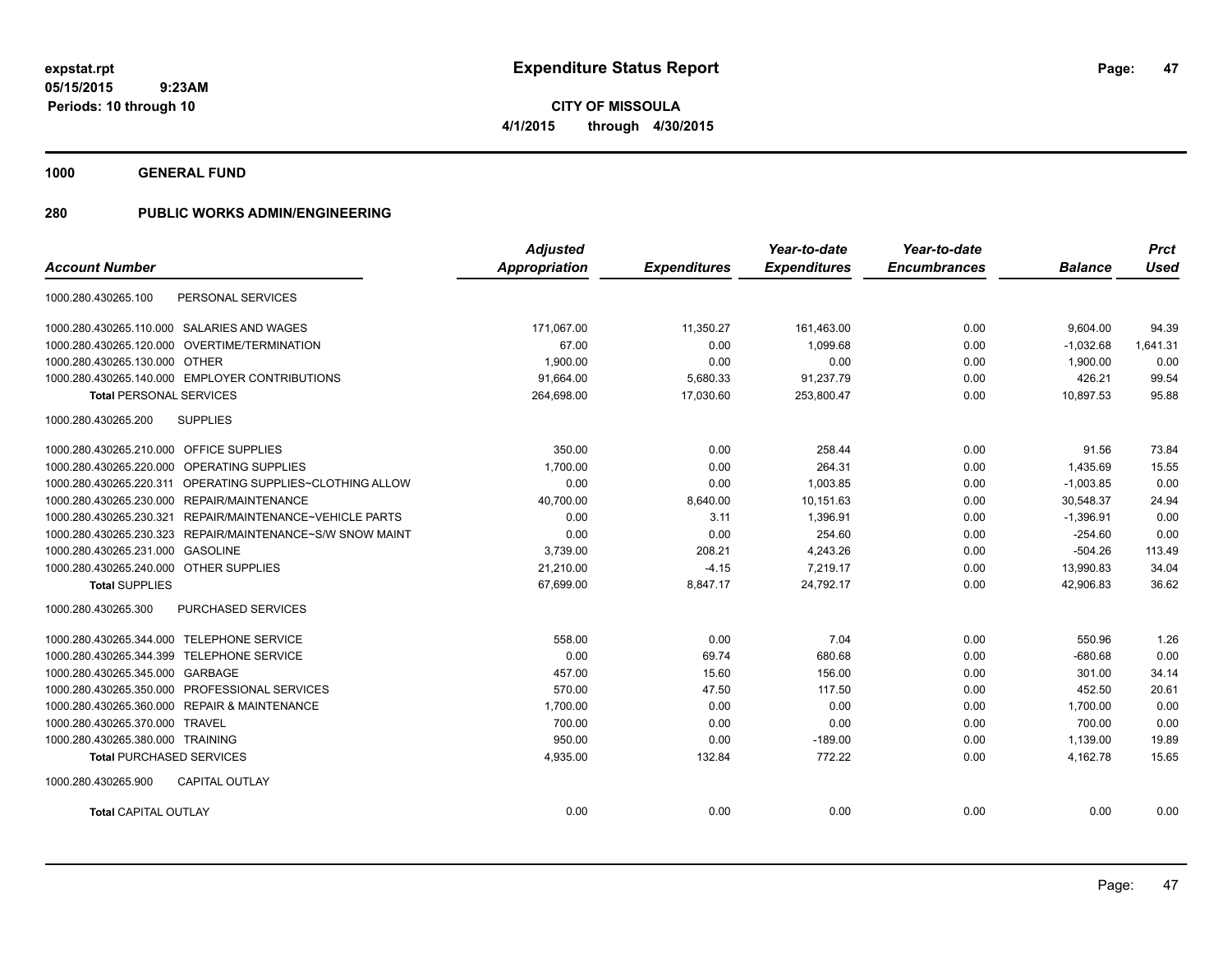**1000 GENERAL FUND**

|                                                           | <b>Adjusted</b>      |                     | Year-to-date        | Year-to-date        |                | <b>Prct</b> |
|-----------------------------------------------------------|----------------------|---------------------|---------------------|---------------------|----------------|-------------|
| <b>Account Number</b>                                     | <b>Appropriation</b> | <b>Expenditures</b> | <b>Expenditures</b> | <b>Encumbrances</b> | <b>Balance</b> | <b>Used</b> |
| 1000.280.430265.100<br>PERSONAL SERVICES                  |                      |                     |                     |                     |                |             |
| 1000.280.430265.110.000 SALARIES AND WAGES                | 171,067.00           | 11,350.27           | 161,463.00          | 0.00                | 9,604.00       | 94.39       |
| 1000.280.430265.120.000 OVERTIME/TERMINATION              | 67.00                | 0.00                | 1,099.68            | 0.00                | $-1,032.68$    | 1,641.31    |
| 1000.280.430265.130.000 OTHER                             | 1,900.00             | 0.00                | 0.00                | 0.00                | 1,900.00       | 0.00        |
| 1000.280.430265.140.000 EMPLOYER CONTRIBUTIONS            | 91.664.00            | 5,680.33            | 91,237.79           | 0.00                | 426.21         | 99.54       |
| <b>Total PERSONAL SERVICES</b>                            | 264,698.00           | 17,030.60           | 253,800.47          | 0.00                | 10,897.53      | 95.88       |
| 1000.280.430265.200<br><b>SUPPLIES</b>                    |                      |                     |                     |                     |                |             |
| 1000.280.430265.210.000 OFFICE SUPPLIES                   | 350.00               | 0.00                | 258.44              | 0.00                | 91.56          | 73.84       |
| 1000.280.430265.220.000 OPERATING SUPPLIES                | 1,700.00             | 0.00                | 264.31              | 0.00                | 1,435.69       | 15.55       |
| 1000.280.430265.220.311 OPERATING SUPPLIES~CLOTHING ALLOW | 0.00                 | 0.00                | 1,003.85            | 0.00                | $-1,003.85$    | 0.00        |
| 1000.280.430265.230.000 REPAIR/MAINTENANCE                | 40,700.00            | 8,640.00            | 10,151.63           | 0.00                | 30,548.37      | 24.94       |
| 1000.280.430265.230.321 REPAIR/MAINTENANCE~VEHICLE PARTS  | 0.00                 | 3.11                | 1,396.91            | 0.00                | $-1,396.91$    | 0.00        |
| 1000.280.430265.230.323 REPAIR/MAINTENANCE~S/W SNOW MAINT | 0.00                 | 0.00                | 254.60              | 0.00                | $-254.60$      | 0.00        |
| 1000.280.430265.231.000 GASOLINE                          | 3,739.00             | 208.21              | 4,243.26            | 0.00                | $-504.26$      | 113.49      |
| 1000.280.430265.240.000 OTHER SUPPLIES                    | 21,210.00            | $-4.15$             | 7,219.17            | 0.00                | 13,990.83      | 34.04       |
| <b>Total SUPPLIES</b>                                     | 67,699.00            | 8,847.17            | 24.792.17           | 0.00                | 42.906.83      | 36.62       |
| <b>PURCHASED SERVICES</b><br>1000.280.430265.300          |                      |                     |                     |                     |                |             |
| 1000.280.430265.344.000 TELEPHONE SERVICE                 | 558.00               | 0.00                | 7.04                | 0.00                | 550.96         | 1.26        |
| 1000.280.430265.344.399 TELEPHONE SERVICE                 | 0.00                 | 69.74               | 680.68              | 0.00                | $-680.68$      | 0.00        |
| 1000.280.430265.345.000 GARBAGE                           | 457.00               | 15.60               | 156.00              | 0.00                | 301.00         | 34.14       |
| 1000.280.430265.350.000 PROFESSIONAL SERVICES             | 570.00               | 47.50               | 117.50              | 0.00                | 452.50         | 20.61       |
| 1000.280.430265.360.000 REPAIR & MAINTENANCE              | 1,700.00             | 0.00                | 0.00                | 0.00                | 1,700.00       | 0.00        |
| 1000.280.430265.370.000 TRAVEL                            | 700.00               | 0.00                | 0.00                | 0.00                | 700.00         | 0.00        |
| 1000.280.430265.380.000 TRAINING                          | 950.00               | 0.00                | $-189.00$           | 0.00                | 1,139.00       | 19.89       |
| <b>Total PURCHASED SERVICES</b>                           | 4,935.00             | 132.84              | 772.22              | 0.00                | 4,162.78       | 15.65       |
| 1000.280.430265.900<br><b>CAPITAL OUTLAY</b>              |                      |                     |                     |                     |                |             |
| <b>Total CAPITAL OUTLAY</b>                               | 0.00                 | 0.00                | 0.00                | 0.00                | 0.00           | 0.00        |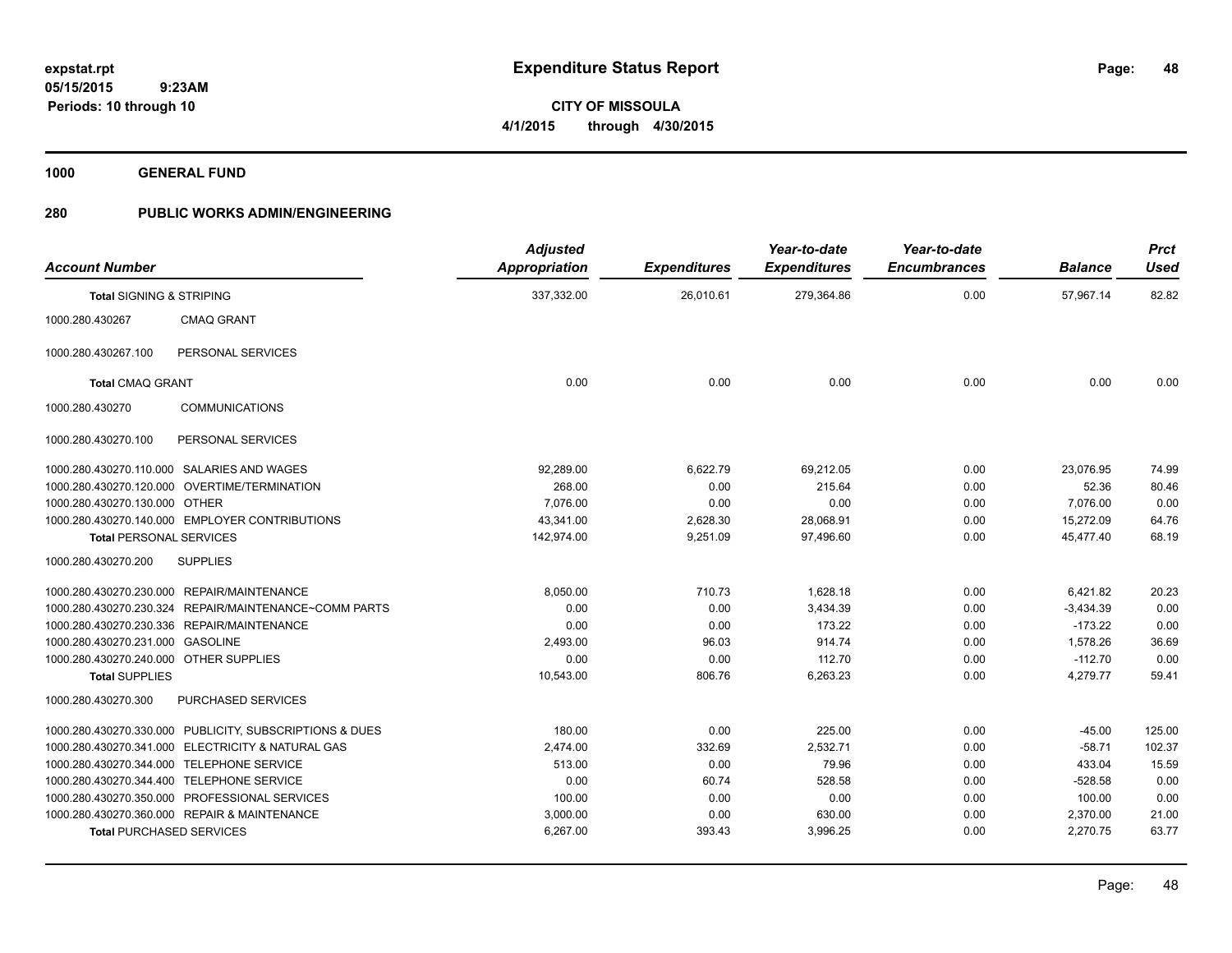**CITY OF MISSOULA 4/1/2015 through 4/30/2015**

**1000 GENERAL FUND**

| <b>Account Number</b>                  |                                                         | <b>Adjusted</b><br>Appropriation | <b>Expenditures</b> | Year-to-date<br><b>Expenditures</b> | Year-to-date<br><b>Encumbrances</b> | <b>Balance</b> | <b>Prct</b><br><b>Used</b> |
|----------------------------------------|---------------------------------------------------------|----------------------------------|---------------------|-------------------------------------|-------------------------------------|----------------|----------------------------|
| <b>Total SIGNING &amp; STRIPING</b>    |                                                         | 337,332.00                       | 26,010.61           | 279,364.86                          | 0.00                                | 57,967.14      | 82.82                      |
| 1000.280.430267                        | <b>CMAQ GRANT</b>                                       |                                  |                     |                                     |                                     |                |                            |
| 1000.280.430267.100                    | PERSONAL SERVICES                                       |                                  |                     |                                     |                                     |                |                            |
| <b>Total CMAQ GRANT</b>                |                                                         | 0.00                             | 0.00                | 0.00                                | 0.00                                | 0.00           | 0.00                       |
| 1000.280.430270                        | <b>COMMUNICATIONS</b>                                   |                                  |                     |                                     |                                     |                |                            |
| 1000.280.430270.100                    | PERSONAL SERVICES                                       |                                  |                     |                                     |                                     |                |                            |
|                                        | 1000.280.430270.110.000 SALARIES AND WAGES              | 92,289.00                        | 6,622.79            | 69,212.05                           | 0.00                                | 23,076.95      | 74.99                      |
|                                        | 1000.280.430270.120.000 OVERTIME/TERMINATION            | 268.00                           | 0.00                | 215.64                              | 0.00                                | 52.36          | 80.46                      |
| 1000.280.430270.130.000 OTHER          |                                                         | 7.076.00                         | 0.00                | 0.00                                | 0.00                                | 7,076.00       | 0.00                       |
|                                        | 1000.280.430270.140.000 EMPLOYER CONTRIBUTIONS          | 43.341.00                        | 2,628.30            | 28,068.91                           | 0.00                                | 15.272.09      | 64.76                      |
| <b>Total PERSONAL SERVICES</b>         |                                                         | 142,974.00                       | 9,251.09            | 97,496.60                           | 0.00                                | 45,477.40      | 68.19                      |
| 1000.280.430270.200                    | <b>SUPPLIES</b>                                         |                                  |                     |                                     |                                     |                |                            |
|                                        | 1000.280.430270.230.000 REPAIR/MAINTENANCE              | 8,050.00                         | 710.73              | 1,628.18                            | 0.00                                | 6,421.82       | 20.23                      |
|                                        | 1000.280.430270.230.324 REPAIR/MAINTENANCE~COMM PARTS   | 0.00                             | 0.00                | 3,434.39                            | 0.00                                | $-3,434.39$    | 0.00                       |
|                                        | 1000.280.430270.230.336 REPAIR/MAINTENANCE              | 0.00                             | 0.00                | 173.22                              | 0.00                                | $-173.22$      | 0.00                       |
| 1000.280.430270.231.000 GASOLINE       |                                                         | 2.493.00                         | 96.03               | 914.74                              | 0.00                                | 1.578.26       | 36.69                      |
| 1000.280.430270.240.000 OTHER SUPPLIES |                                                         | 0.00                             | 0.00                | 112.70                              | 0.00                                | $-112.70$      | 0.00                       |
| <b>Total SUPPLIES</b>                  |                                                         | 10,543.00                        | 806.76              | 6,263.23                            | 0.00                                | 4,279.77       | 59.41                      |
| 1000.280.430270.300                    | PURCHASED SERVICES                                      |                                  |                     |                                     |                                     |                |                            |
|                                        | 1000.280.430270.330.000 PUBLICITY, SUBSCRIPTIONS & DUES | 180.00                           | 0.00                | 225.00                              | 0.00                                | $-45.00$       | 125.00                     |
|                                        | 1000.280.430270.341.000 ELECTRICITY & NATURAL GAS       | 2,474.00                         | 332.69              | 2,532.71                            | 0.00                                | $-58.71$       | 102.37                     |
|                                        | 1000.280.430270.344.000 TELEPHONE SERVICE               | 513.00                           | 0.00                | 79.96                               | 0.00                                | 433.04         | 15.59                      |
|                                        | 1000.280.430270.344.400 TELEPHONE SERVICE               | 0.00                             | 60.74               | 528.58                              | 0.00                                | $-528.58$      | 0.00                       |
|                                        | 1000.280.430270.350.000 PROFESSIONAL SERVICES           | 100.00                           | 0.00                | 0.00                                | 0.00                                | 100.00         | 0.00                       |
|                                        | 1000.280.430270.360.000 REPAIR & MAINTENANCE            | 3,000.00                         | 0.00                | 630.00                              | 0.00                                | 2,370.00       | 21.00                      |
| <b>Total PURCHASED SERVICES</b>        |                                                         | 6,267.00                         | 393.43              | 3,996.25                            | 0.00                                | 2,270.75       | 63.77                      |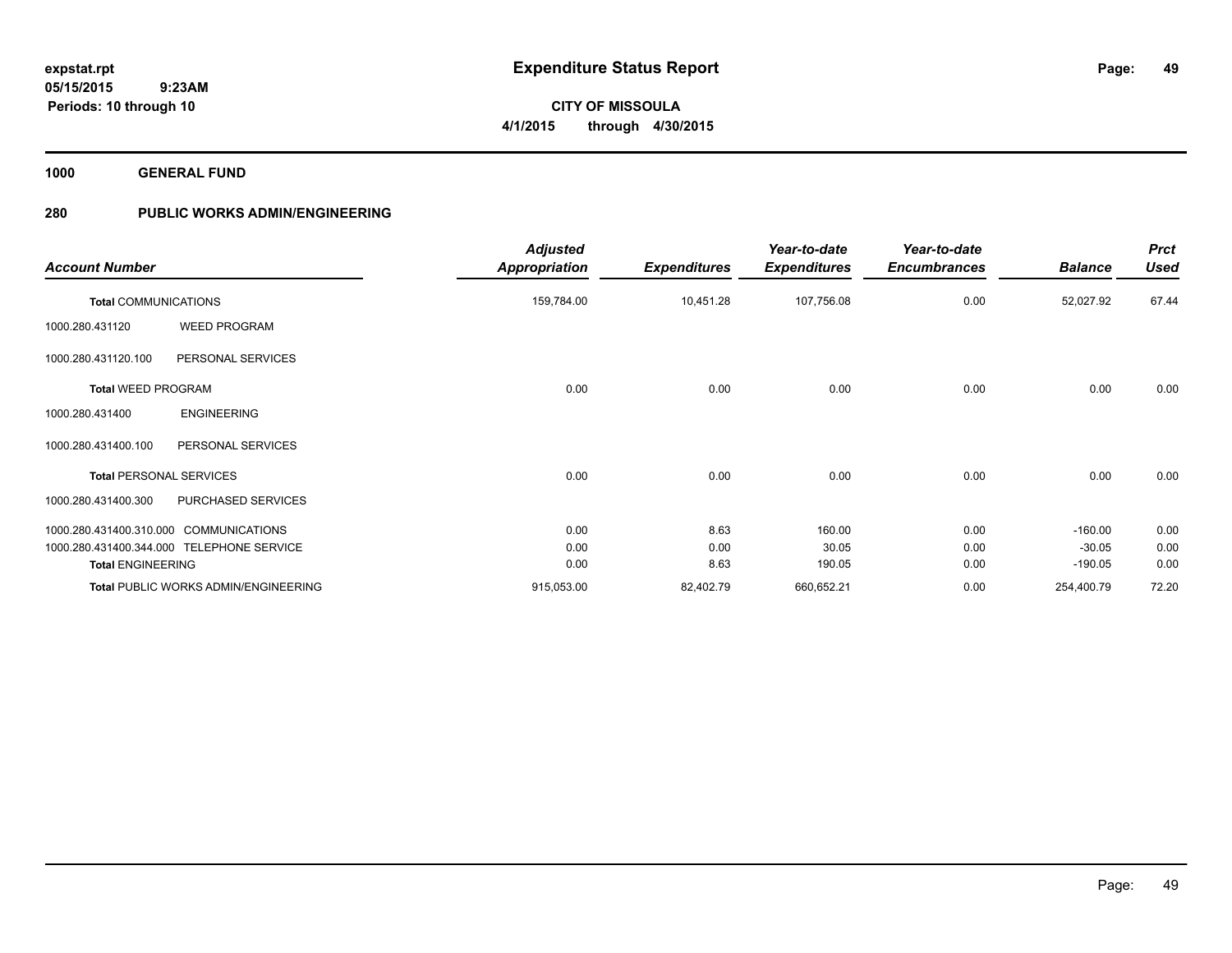**49**

**CITY OF MISSOULA 4/1/2015 through 4/30/2015**

**1000 GENERAL FUND**

**Periods: 10 through 10**

 **9:23AM**

|                                        |                                             | <b>Adjusted</b>      |                     | Year-to-date        | Year-to-date        |                | <b>Prct</b> |
|----------------------------------------|---------------------------------------------|----------------------|---------------------|---------------------|---------------------|----------------|-------------|
| <b>Account Number</b>                  |                                             | <b>Appropriation</b> | <b>Expenditures</b> | <b>Expenditures</b> | <b>Encumbrances</b> | <b>Balance</b> | <b>Used</b> |
| <b>Total COMMUNICATIONS</b>            |                                             | 159,784.00           | 10,451.28           | 107,756.08          | 0.00                | 52,027.92      | 67.44       |
| 1000.280.431120                        | <b>WEED PROGRAM</b>                         |                      |                     |                     |                     |                |             |
| 1000.280.431120.100                    | PERSONAL SERVICES                           |                      |                     |                     |                     |                |             |
| <b>Total WEED PROGRAM</b>              |                                             | 0.00                 | 0.00                | 0.00                | 0.00                | 0.00           | 0.00        |
| 1000.280.431400                        | <b>ENGINEERING</b>                          |                      |                     |                     |                     |                |             |
| 1000.280.431400.100                    | PERSONAL SERVICES                           |                      |                     |                     |                     |                |             |
| <b>Total PERSONAL SERVICES</b>         |                                             | 0.00                 | 0.00                | 0.00                | 0.00                | 0.00           | 0.00        |
| 1000.280.431400.300                    | PURCHASED SERVICES                          |                      |                     |                     |                     |                |             |
| 1000.280.431400.310.000 COMMUNICATIONS |                                             | 0.00                 | 8.63                | 160.00              | 0.00                | $-160.00$      | 0.00        |
|                                        | 1000.280.431400.344.000 TELEPHONE SERVICE   | 0.00                 | 0.00                | 30.05               | 0.00                | $-30.05$       | 0.00        |
| <b>Total ENGINEERING</b>               |                                             | 0.00                 | 8.63                | 190.05              | 0.00                | $-190.05$      | 0.00        |
|                                        | <b>Total PUBLIC WORKS ADMIN/ENGINEERING</b> | 915,053.00           | 82,402.79           | 660,652.21          | 0.00                | 254,400.79     | 72.20       |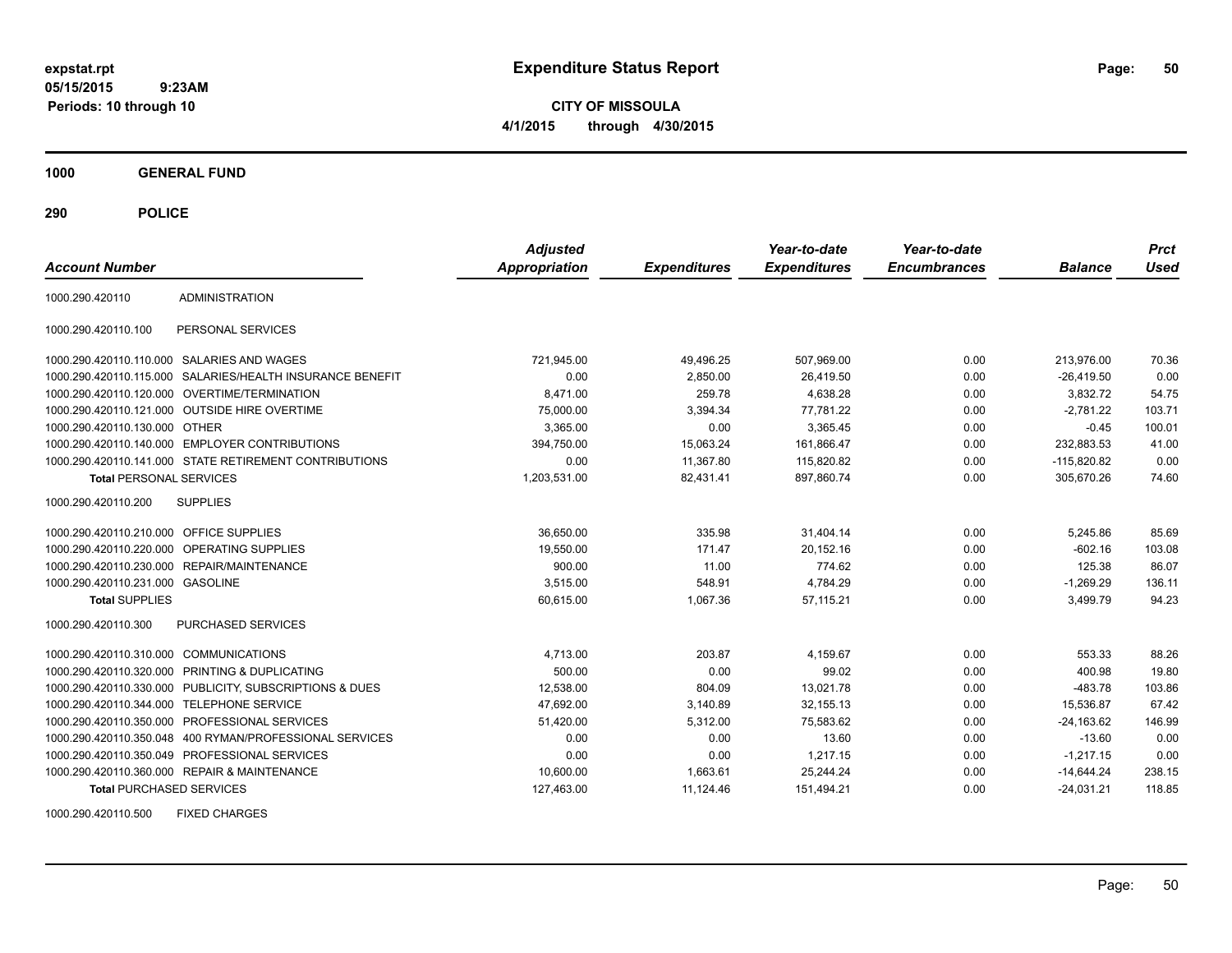**CITY OF MISSOULA 4/1/2015 through 4/30/2015**

**1000 GENERAL FUND**

**290 POLICE**

| <b>Account Number</b>            |                                                        | <b>Adjusted</b><br><b>Appropriation</b> | <b>Expenditures</b> | Year-to-date<br><b>Expenditures</b> | Year-to-date<br><b>Encumbrances</b> | <b>Balance</b> | <b>Prct</b><br><b>Used</b> |
|----------------------------------|--------------------------------------------------------|-----------------------------------------|---------------------|-------------------------------------|-------------------------------------|----------------|----------------------------|
| 1000.290.420110                  | <b>ADMINISTRATION</b>                                  |                                         |                     |                                     |                                     |                |                            |
| 1000.290.420110.100              | PERSONAL SERVICES                                      |                                         |                     |                                     |                                     |                |                            |
| 1000.290.420110.110.000          | SALARIES AND WAGES                                     | 721,945.00                              | 49.496.25           | 507,969.00                          | 0.00                                | 213.976.00     | 70.36                      |
| 1000.290.420110.115.000          | SALARIES/HEALTH INSURANCE BENEFIT                      | 0.00                                    | 2,850.00            | 26,419.50                           | 0.00                                | $-26,419.50$   | 0.00                       |
| 1000.290.420110.120.000          | OVERTIME/TERMINATION                                   | 8.471.00                                | 259.78              | 4.638.28                            | 0.00                                | 3,832.72       | 54.75                      |
| 1000.290.420110.121.000          | <b>OUTSIDE HIRE OVERTIME</b>                           | 75,000.00                               | 3,394.34            | 77,781.22                           | 0.00                                | $-2,781.22$    | 103.71                     |
| 1000.290.420110.130.000 OTHER    |                                                        | 3,365.00                                | 0.00                | 3,365.45                            | 0.00                                | $-0.45$        | 100.01                     |
| 1000.290.420110.140.000          | <b>EMPLOYER CONTRIBUTIONS</b>                          | 394,750.00                              | 15,063.24           | 161,866.47                          | 0.00                                | 232.883.53     | 41.00                      |
|                                  | 1000.290.420110.141.000 STATE RETIREMENT CONTRIBUTIONS | 0.00                                    | 11,367.80           | 115,820.82                          | 0.00                                | $-115,820.82$  | 0.00                       |
| <b>Total PERSONAL SERVICES</b>   |                                                        | 1,203,531.00                            | 82,431.41           | 897,860.74                          | 0.00                                | 305,670.26     | 74.60                      |
| 1000.290.420110.200              | <b>SUPPLIES</b>                                        |                                         |                     |                                     |                                     |                |                            |
| 1000.290.420110.210.000          | <b>OFFICE SUPPLIES</b>                                 | 36,650.00                               | 335.98              | 31,404.14                           | 0.00                                | 5,245.86       | 85.69                      |
| 1000.290.420110.220.000          | <b>OPERATING SUPPLIES</b>                              | 19,550.00                               | 171.47              | 20,152.16                           | 0.00                                | $-602.16$      | 103.08                     |
| 1000.290.420110.230.000          | <b>REPAIR/MAINTENANCE</b>                              | 900.00                                  | 11.00               | 774.62                              | 0.00                                | 125.38         | 86.07                      |
| 1000.290.420110.231.000 GASOLINE |                                                        | 3,515.00                                | 548.91              | 4,784.29                            | 0.00                                | $-1,269.29$    | 136.11                     |
| <b>Total SUPPLIES</b>            |                                                        | 60,615.00                               | 1,067.36            | 57.115.21                           | 0.00                                | 3,499.79       | 94.23                      |
| 1000.290.420110.300              | PURCHASED SERVICES                                     |                                         |                     |                                     |                                     |                |                            |
| 1000.290.420110.310.000          | <b>COMMUNICATIONS</b>                                  | 4,713.00                                | 203.87              | 4,159.67                            | 0.00                                | 553.33         | 88.26                      |
| 1000.290.420110.320.000          | PRINTING & DUPLICATING                                 | 500.00                                  | 0.00                | 99.02                               | 0.00                                | 400.98         | 19.80                      |
| 1000.290.420110.330.000          | PUBLICITY, SUBSCRIPTIONS & DUES                        | 12,538.00                               | 804.09              | 13,021.78                           | 0.00                                | $-483.78$      | 103.86                     |
| 1000.290.420110.344.000          | <b>TELEPHONE SERVICE</b>                               | 47,692.00                               | 3,140.89            | 32, 155. 13                         | 0.00                                | 15,536.87      | 67.42                      |
| 1000.290.420110.350.000          | PROFESSIONAL SERVICES                                  | 51,420.00                               | 5.312.00            | 75,583.62                           | 0.00                                | $-24.163.62$   | 146.99                     |
| 1000.290.420110.350.048          | 400 RYMAN/PROFESSIONAL SERVICES                        | 0.00                                    | 0.00                | 13.60                               | 0.00                                | $-13.60$       | 0.00                       |
| 1000.290.420110.350.049          | PROFESSIONAL SERVICES                                  | 0.00                                    | 0.00                | 1,217.15                            | 0.00                                | $-1,217.15$    | 0.00                       |
|                                  | 1000.290.420110.360.000 REPAIR & MAINTENANCE           | 10,600.00                               | 1,663.61            | 25,244.24                           | 0.00                                | $-14,644.24$   | 238.15                     |
| <b>Total PURCHASED SERVICES</b>  |                                                        | 127,463.00                              | 11,124.46           | 151,494.21                          | 0.00                                | $-24,031.21$   | 118.85                     |

1000.290.420110.500 FIXED CHARGES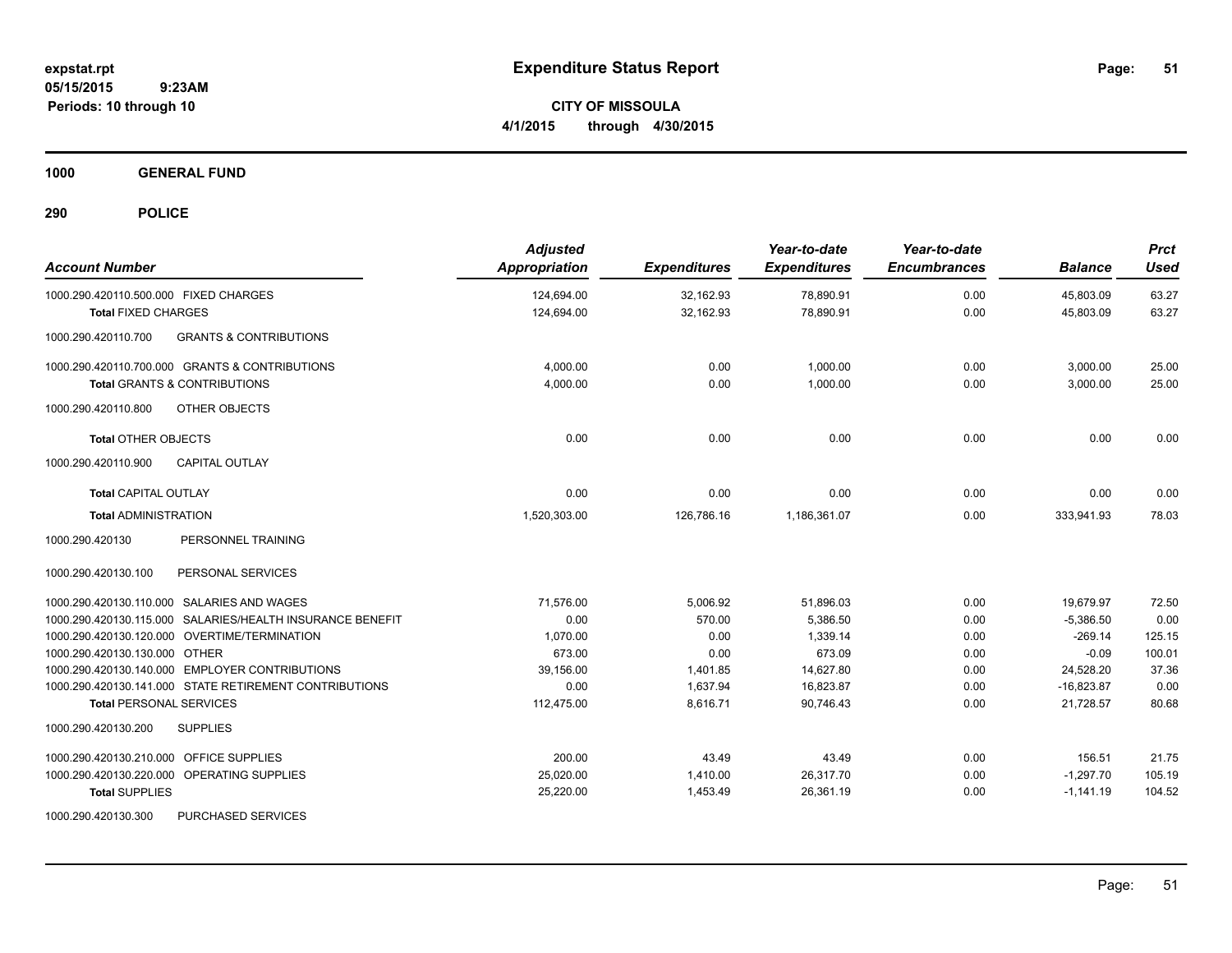**CITY OF MISSOULA 4/1/2015 through 4/30/2015**

**1000 GENERAL FUND**

| <b>Account Number</b>                                     | <b>Adjusted</b><br>Appropriation | <b>Expenditures</b> | Year-to-date<br><b>Expenditures</b> | Year-to-date<br><b>Encumbrances</b> | <b>Balance</b> | <b>Prct</b><br><b>Used</b> |
|-----------------------------------------------------------|----------------------------------|---------------------|-------------------------------------|-------------------------------------|----------------|----------------------------|
| 1000.290.420110.500.000 FIXED CHARGES                     | 124,694.00                       | 32,162.93           | 78,890.91                           | 0.00                                | 45,803.09      | 63.27                      |
| <b>Total FIXED CHARGES</b>                                | 124,694.00                       | 32,162.93           | 78,890.91                           | 0.00                                | 45,803.09      | 63.27                      |
| 1000.290.420110.700<br><b>GRANTS &amp; CONTRIBUTIONS</b>  |                                  |                     |                                     |                                     |                |                            |
| 1000.290.420110.700.000 GRANTS & CONTRIBUTIONS            | 4,000.00                         | 0.00                | 1,000.00                            | 0.00                                | 3,000.00       | 25.00                      |
| <b>Total GRANTS &amp; CONTRIBUTIONS</b>                   | 4,000.00                         | 0.00                | 1.000.00                            | 0.00                                | 3,000.00       | 25.00                      |
| 1000.290.420110.800<br>OTHER OBJECTS                      |                                  |                     |                                     |                                     |                |                            |
| <b>Total OTHER OBJECTS</b>                                | 0.00                             | 0.00                | 0.00                                | 0.00                                | 0.00           | 0.00                       |
| <b>CAPITAL OUTLAY</b><br>1000.290.420110.900              |                                  |                     |                                     |                                     |                |                            |
| <b>Total CAPITAL OUTLAY</b>                               | 0.00                             | 0.00                | 0.00                                | 0.00                                | 0.00           | 0.00                       |
| <b>Total ADMINISTRATION</b>                               | 1,520,303.00                     | 126,786.16          | 1,186,361.07                        | 0.00                                | 333,941.93     | 78.03                      |
| 1000.290.420130<br>PERSONNEL TRAINING                     |                                  |                     |                                     |                                     |                |                            |
| PERSONAL SERVICES<br>1000.290.420130.100                  |                                  |                     |                                     |                                     |                |                            |
| 1000.290.420130.110.000 SALARIES AND WAGES                | 71.576.00                        | 5,006.92            | 51,896.03                           | 0.00                                | 19,679.97      | 72.50                      |
| 1000.290.420130.115.000 SALARIES/HEALTH INSURANCE BENEFIT | 0.00                             | 570.00              | 5,386.50                            | 0.00                                | $-5,386.50$    | 0.00                       |
| 1000.290.420130.120.000 OVERTIME/TERMINATION              | 1,070.00                         | 0.00                | 1,339.14                            | 0.00                                | $-269.14$      | 125.15                     |
| 1000.290.420130.130.000 OTHER                             | 673.00                           | 0.00                | 673.09                              | 0.00                                | $-0.09$        | 100.01                     |
| 1000.290.420130.140.000 EMPLOYER CONTRIBUTIONS            | 39,156.00                        | 1,401.85            | 14,627.80                           | 0.00                                | 24,528.20      | 37.36                      |
| 1000.290.420130.141.000 STATE RETIREMENT CONTRIBUTIONS    | 0.00                             | 1,637.94            | 16,823.87                           | 0.00                                | $-16,823.87$   | 0.00                       |
| <b>Total PERSONAL SERVICES</b>                            | 112,475.00                       | 8,616.71            | 90,746.43                           | 0.00                                | 21,728.57      | 80.68                      |
| 1000.290.420130.200<br><b>SUPPLIES</b>                    |                                  |                     |                                     |                                     |                |                            |
| 1000.290.420130.210.000 OFFICE SUPPLIES                   | 200.00                           | 43.49               | 43.49                               | 0.00                                | 156.51         | 21.75                      |
| 1000.290.420130.220.000 OPERATING SUPPLIES                | 25,020.00                        | 1,410.00            | 26,317.70                           | 0.00                                | $-1,297.70$    | 105.19                     |
| <b>Total SUPPLIES</b>                                     | 25,220.00                        | 1,453.49            | 26,361.19                           | 0.00                                | $-1,141.19$    | 104.52                     |
| 1000.290.420130.300<br>PURCHASED SERVICES                 |                                  |                     |                                     |                                     |                |                            |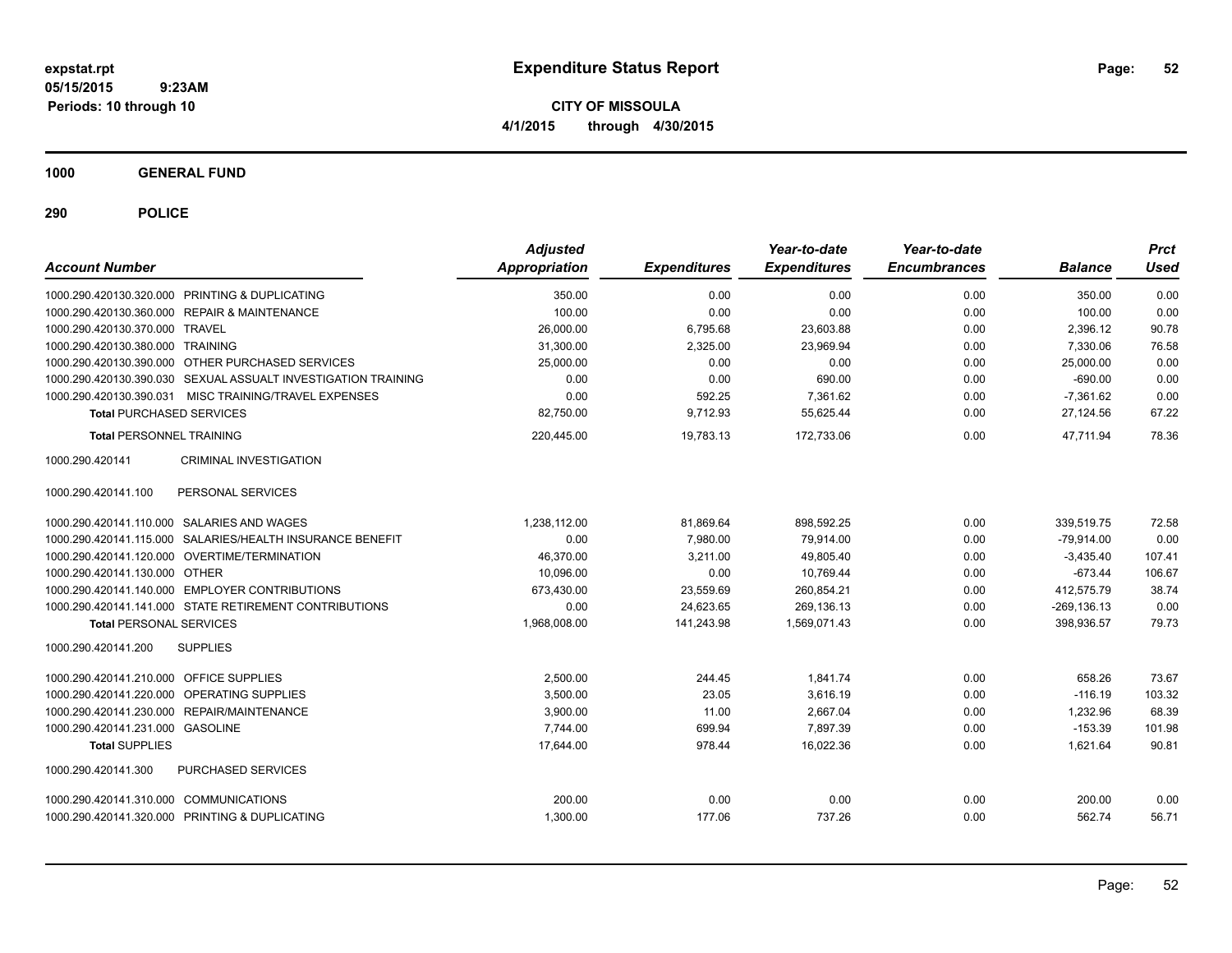**CITY OF MISSOULA 4/1/2015 through 4/30/2015**

**1000 GENERAL FUND**

| <b>Account Number</b>                                         | <b>Adjusted</b><br><b>Appropriation</b> | <b>Expenditures</b> | Year-to-date<br><b>Expenditures</b> | Year-to-date<br><b>Encumbrances</b> | <b>Balance</b> | <b>Prct</b><br><b>Used</b> |
|---------------------------------------------------------------|-----------------------------------------|---------------------|-------------------------------------|-------------------------------------|----------------|----------------------------|
| 1000.290.420130.320.000 PRINTING & DUPLICATING                | 350.00                                  | 0.00                | 0.00                                | 0.00                                | 350.00         | 0.00                       |
| 1000.290.420130.360.000 REPAIR & MAINTENANCE                  | 100.00                                  | 0.00                | 0.00                                | 0.00                                | 100.00         | 0.00                       |
| 1000.290.420130.370.000 TRAVEL                                | 26.000.00                               | 6,795.68            | 23.603.88                           | 0.00                                | 2.396.12       | 90.78                      |
| 1000.290.420130.380.000 TRAINING                              | 31,300.00                               | 2,325.00            | 23,969.94                           | 0.00                                | 7,330.06       | 76.58                      |
| 1000.290.420130.390.000 OTHER PURCHASED SERVICES              | 25,000.00                               | 0.00                | 0.00                                | 0.00                                | 25,000.00      | 0.00                       |
| 1000.290.420130.390.030 SEXUAL ASSUALT INVESTIGATION TRAINING | 0.00                                    | 0.00                | 690.00                              | 0.00                                | $-690.00$      | 0.00                       |
| 1000.290.420130.390.031 MISC TRAINING/TRAVEL EXPENSES         | 0.00                                    | 592.25              | 7,361.62                            | 0.00                                | $-7,361.62$    | 0.00                       |
| <b>Total PURCHASED SERVICES</b>                               | 82,750.00                               | 9,712.93            | 55,625.44                           | 0.00                                | 27,124.56      | 67.22                      |
| <b>Total PERSONNEL TRAINING</b>                               | 220,445.00                              | 19,783.13           | 172,733.06                          | 0.00                                | 47.711.94      | 78.36                      |
| 1000.290.420141<br><b>CRIMINAL INVESTIGATION</b>              |                                         |                     |                                     |                                     |                |                            |
| PERSONAL SERVICES<br>1000.290.420141.100                      |                                         |                     |                                     |                                     |                |                            |
| 1000.290.420141.110.000 SALARIES AND WAGES                    | 1,238,112.00                            | 81,869.64           | 898,592.25                          | 0.00                                | 339,519.75     | 72.58                      |
| 1000.290.420141.115.000 SALARIES/HEALTH INSURANCE BENEFIT     | 0.00                                    | 7,980.00            | 79,914.00                           | 0.00                                | $-79,914.00$   | 0.00                       |
| 1000.290.420141.120.000 OVERTIME/TERMINATION                  | 46,370.00                               | 3,211.00            | 49,805.40                           | 0.00                                | $-3,435.40$    | 107.41                     |
| 1000.290.420141.130.000 OTHER                                 | 10,096.00                               | 0.00                | 10.769.44                           | 0.00                                | $-673.44$      | 106.67                     |
| 1000.290.420141.140.000 EMPLOYER CONTRIBUTIONS                | 673,430.00                              | 23,559.69           | 260.854.21                          | 0.00                                | 412.575.79     | 38.74                      |
| 1000.290.420141.141.000 STATE RETIREMENT CONTRIBUTIONS        | 0.00                                    | 24.623.65           | 269.136.13                          | 0.00                                | $-269.136.13$  | 0.00                       |
| <b>Total PERSONAL SERVICES</b>                                | 1,968,008.00                            | 141,243.98          | 1,569,071.43                        | 0.00                                | 398,936.57     | 79.73                      |
| 1000.290.420141.200<br><b>SUPPLIES</b>                        |                                         |                     |                                     |                                     |                |                            |
| 1000.290.420141.210.000 OFFICE SUPPLIES                       | 2,500.00                                | 244.45              | 1,841.74                            | 0.00                                | 658.26         | 73.67                      |
| OPERATING SUPPLIES<br>1000.290.420141.220.000                 | 3,500.00                                | 23.05               | 3,616.19                            | 0.00                                | $-116.19$      | 103.32                     |
| <b>REPAIR/MAINTENANCE</b><br>1000.290.420141.230.000          | 3.900.00                                | 11.00               | 2,667.04                            | 0.00                                | 1.232.96       | 68.39                      |
| 1000.290.420141.231.000 GASOLINE                              | 7,744.00                                | 699.94              | 7.897.39                            | 0.00                                | $-153.39$      | 101.98                     |
| <b>Total SUPPLIES</b>                                         | 17,644.00                               | 978.44              | 16,022.36                           | 0.00                                | 1,621.64       | 90.81                      |
| 1000.290.420141.300<br>PURCHASED SERVICES                     |                                         |                     |                                     |                                     |                |                            |
| 1000.290.420141.310.000 COMMUNICATIONS                        | 200.00                                  | 0.00                | 0.00                                | 0.00                                | 200.00         | 0.00                       |
| 1000.290.420141.320.000 PRINTING & DUPLICATING                | 1,300.00                                | 177.06              | 737.26                              | 0.00                                | 562.74         | 56.71                      |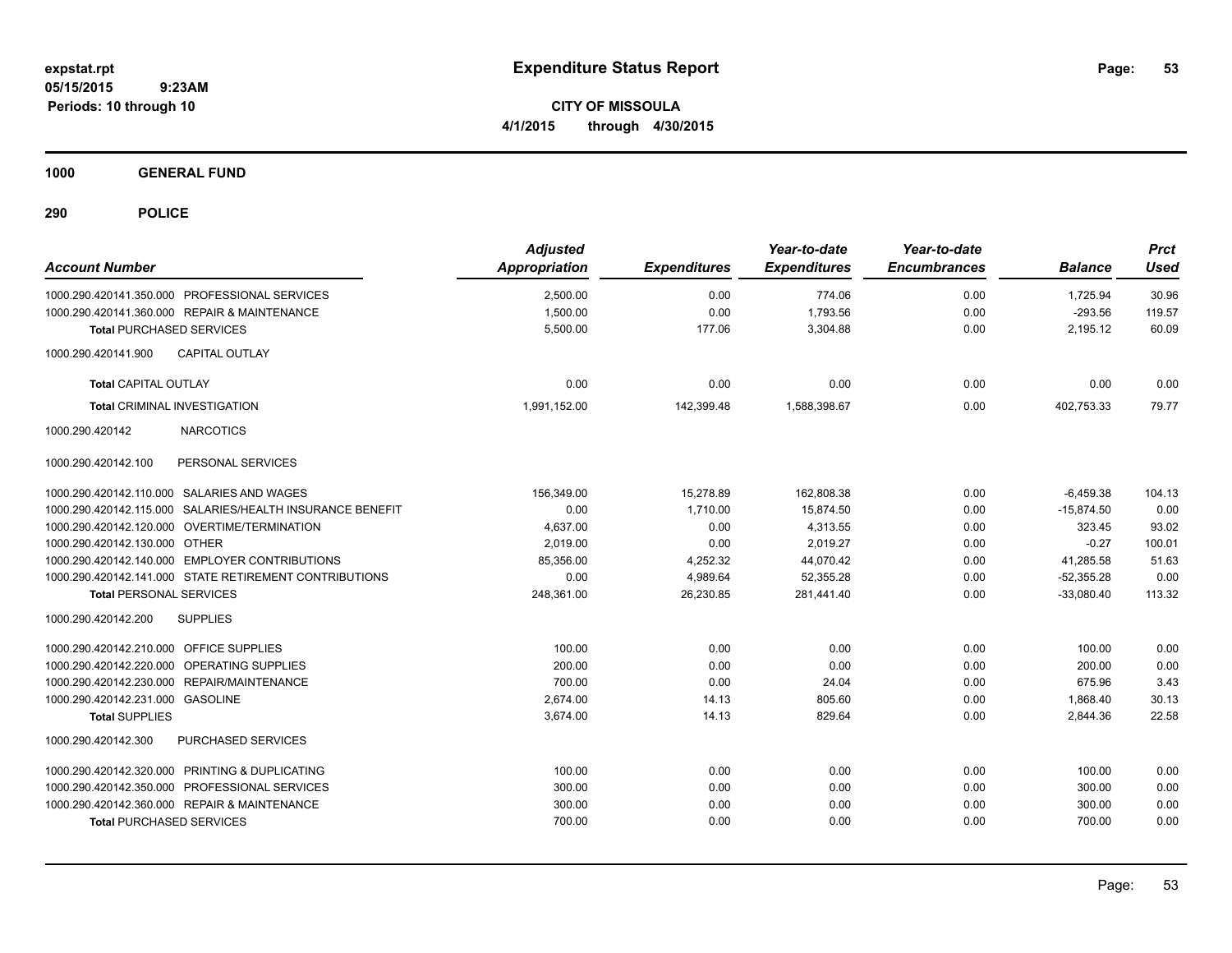**CITY OF MISSOULA 4/1/2015 through 4/30/2015**

**1000 GENERAL FUND**

| <b>Account Number</b>                                     | <b>Adjusted</b><br><b>Appropriation</b> | <b>Expenditures</b> | Year-to-date<br><b>Expenditures</b> | Year-to-date<br><b>Encumbrances</b> | <b>Balance</b> | <b>Prct</b><br><b>Used</b> |
|-----------------------------------------------------------|-----------------------------------------|---------------------|-------------------------------------|-------------------------------------|----------------|----------------------------|
| 1000.290.420141.350.000 PROFESSIONAL SERVICES             | 2,500.00                                | 0.00                | 774.06                              | 0.00                                | 1,725.94       | 30.96                      |
| 1000.290.420141.360.000 REPAIR & MAINTENANCE              | 1,500.00                                | 0.00                | 1,793.56                            | 0.00                                | $-293.56$      | 119.57                     |
| <b>Total PURCHASED SERVICES</b>                           | 5,500.00                                | 177.06              | 3,304.88                            | 0.00                                | 2,195.12       | 60.09                      |
| <b>CAPITAL OUTLAY</b><br>1000.290.420141.900              |                                         |                     |                                     |                                     |                |                            |
| <b>Total CAPITAL OUTLAY</b>                               | 0.00                                    | 0.00                | 0.00                                | 0.00                                | 0.00           | 0.00                       |
| <b>Total CRIMINAL INVESTIGATION</b>                       | 1,991,152.00                            | 142,399.48          | 1,588,398.67                        | 0.00                                | 402,753.33     | 79.77                      |
| 1000.290.420142<br><b>NARCOTICS</b>                       |                                         |                     |                                     |                                     |                |                            |
| PERSONAL SERVICES<br>1000.290.420142.100                  |                                         |                     |                                     |                                     |                |                            |
| 1000.290.420142.110.000 SALARIES AND WAGES                | 156,349.00                              | 15,278.89           | 162,808.38                          | 0.00                                | $-6,459.38$    | 104.13                     |
| 1000.290.420142.115.000 SALARIES/HEALTH INSURANCE BENEFIT | 0.00                                    | 1,710.00            | 15,874.50                           | 0.00                                | $-15,874.50$   | 0.00                       |
| 1000.290.420142.120.000 OVERTIME/TERMINATION              | 4,637.00                                | 0.00                | 4,313.55                            | 0.00                                | 323.45         | 93.02                      |
| 1000.290.420142.130.000 OTHER                             | 2,019.00                                | 0.00                | 2,019.27                            | 0.00                                | $-0.27$        | 100.01                     |
| 1000.290.420142.140.000 EMPLOYER CONTRIBUTIONS            | 85.356.00                               | 4,252.32            | 44,070.42                           | 0.00                                | 41.285.58      | 51.63                      |
| 1000.290.420142.141.000 STATE RETIREMENT CONTRIBUTIONS    | 0.00                                    | 4,989.64            | 52,355.28                           | 0.00                                | $-52,355.28$   | 0.00                       |
| <b>Total PERSONAL SERVICES</b>                            | 248,361.00                              | 26,230.85           | 281,441.40                          | 0.00                                | $-33,080.40$   | 113.32                     |
| <b>SUPPLIES</b><br>1000.290.420142.200                    |                                         |                     |                                     |                                     |                |                            |
| 1000.290.420142.210.000 OFFICE SUPPLIES                   | 100.00                                  | 0.00                | 0.00                                | 0.00                                | 100.00         | 0.00                       |
| 1000.290.420142.220.000 OPERATING SUPPLIES                | 200.00                                  | 0.00                | 0.00                                | 0.00                                | 200.00         | 0.00                       |
| 1000.290.420142.230.000 REPAIR/MAINTENANCE                | 700.00                                  | 0.00                | 24.04                               | 0.00                                | 675.96         | 3.43                       |
| 1000.290.420142.231.000 GASOLINE                          | 2,674.00                                | 14.13               | 805.60                              | 0.00                                | 1,868.40       | 30.13                      |
| <b>Total SUPPLIES</b>                                     | 3,674.00                                | 14.13               | 829.64                              | 0.00                                | 2,844.36       | 22.58                      |
| PURCHASED SERVICES<br>1000.290.420142.300                 |                                         |                     |                                     |                                     |                |                            |
| 1000.290.420142.320.000 PRINTING & DUPLICATING            | 100.00                                  | 0.00                | 0.00                                | 0.00                                | 100.00         | 0.00                       |
| 1000.290.420142.350.000 PROFESSIONAL SERVICES             | 300.00                                  | 0.00                | 0.00                                | 0.00                                | 300.00         | 0.00                       |
| 1000.290.420142.360.000 REPAIR & MAINTENANCE              | 300.00                                  | 0.00                | 0.00                                | 0.00                                | 300.00         | 0.00                       |
| <b>Total PURCHASED SERVICES</b>                           | 700.00                                  | 0.00                | 0.00                                | 0.00                                | 700.00         | 0.00                       |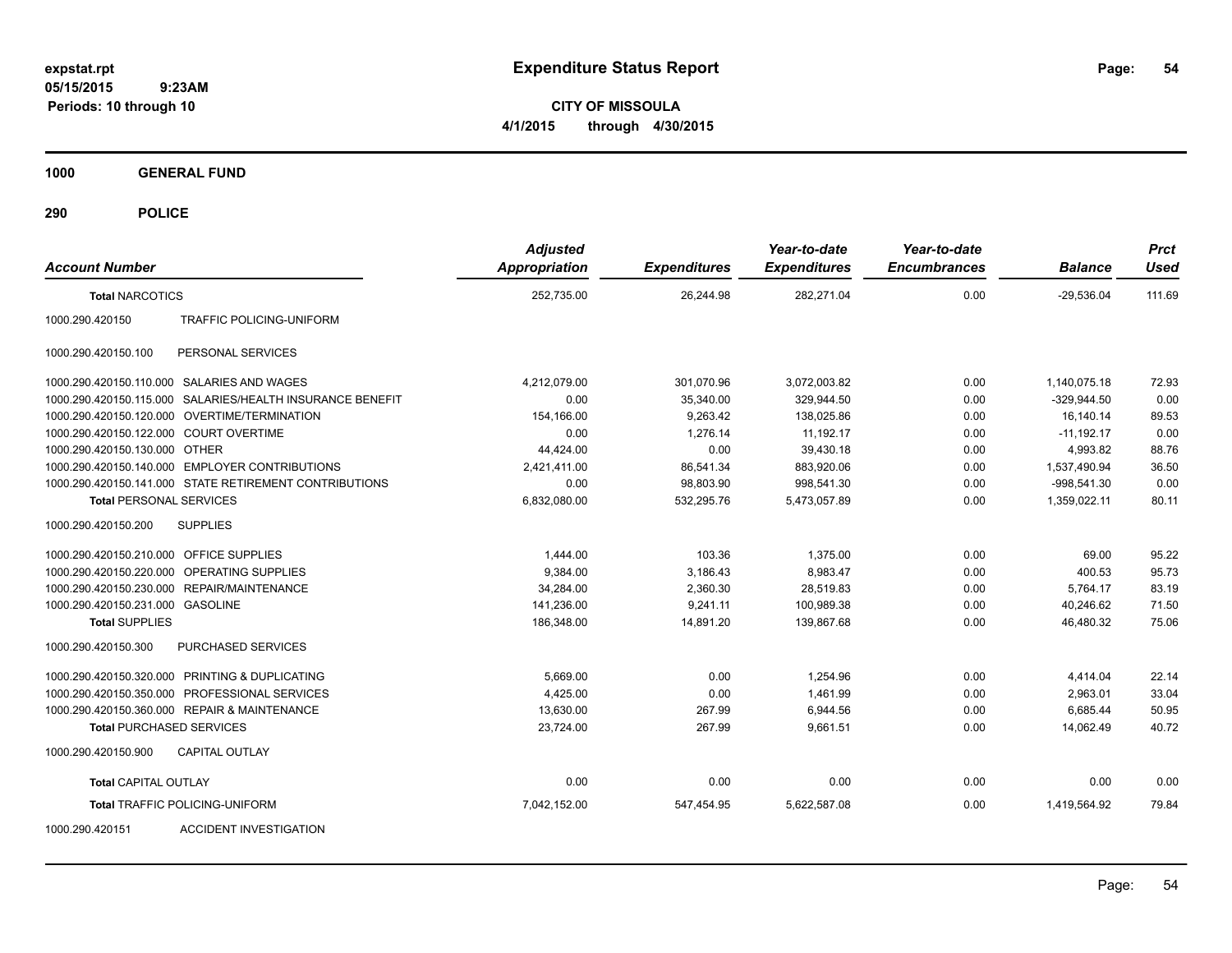**CITY OF MISSOULA 4/1/2015 through 4/30/2015**

**1000 GENERAL FUND**

| <b>Account Number</b>                   |                                                           | <b>Adjusted</b><br><b>Appropriation</b> | <b>Expenditures</b> | Year-to-date<br><b>Expenditures</b> | Year-to-date<br><b>Encumbrances</b> | <b>Balance</b> | <b>Prct</b><br><b>Used</b> |
|-----------------------------------------|-----------------------------------------------------------|-----------------------------------------|---------------------|-------------------------------------|-------------------------------------|----------------|----------------------------|
| <b>Total NARCOTICS</b>                  |                                                           | 252,735.00                              | 26.244.98           | 282,271.04                          | 0.00                                | $-29.536.04$   | 111.69                     |
| 1000.290.420150                         | <b>TRAFFIC POLICING-UNIFORM</b>                           |                                         |                     |                                     |                                     |                |                            |
| 1000.290.420150.100                     | PERSONAL SERVICES                                         |                                         |                     |                                     |                                     |                |                            |
|                                         | 1000.290.420150.110.000 SALARIES AND WAGES                | 4,212,079.00                            | 301,070.96          | 3,072,003.82                        | 0.00                                | 1,140,075.18   | 72.93                      |
|                                         | 1000.290.420150.115.000 SALARIES/HEALTH INSURANCE BENEFIT | 0.00                                    | 35,340.00           | 329,944.50                          | 0.00                                | $-329,944.50$  | 0.00                       |
|                                         | 1000.290.420150.120.000 OVERTIME/TERMINATION              | 154,166.00                              | 9,263.42            | 138,025.86                          | 0.00                                | 16,140.14      | 89.53                      |
| 1000.290.420150.122.000 COURT OVERTIME  |                                                           | 0.00                                    | 1.276.14            | 11,192.17                           | 0.00                                | $-11,192.17$   | 0.00                       |
| 1000.290.420150.130.000 OTHER           |                                                           | 44,424.00                               | 0.00                | 39,430.18                           | 0.00                                | 4,993.82       | 88.76                      |
|                                         | 1000.290.420150.140.000 EMPLOYER CONTRIBUTIONS            | 2,421,411.00                            | 86,541.34           | 883.920.06                          | 0.00                                | 1,537,490.94   | 36.50                      |
|                                         | 1000.290.420150.141.000 STATE RETIREMENT CONTRIBUTIONS    | 0.00                                    | 98.803.90           | 998.541.30                          | 0.00                                | $-998.541.30$  | 0.00                       |
| <b>Total PERSONAL SERVICES</b>          |                                                           | 6,832,080.00                            | 532,295.76          | 5,473,057.89                        | 0.00                                | 1,359,022.11   | 80.11                      |
| 1000.290.420150.200                     | <b>SUPPLIES</b>                                           |                                         |                     |                                     |                                     |                |                            |
| 1000.290.420150.210.000 OFFICE SUPPLIES |                                                           | 1,444.00                                | 103.36              | 1,375.00                            | 0.00                                | 69.00          | 95.22                      |
|                                         | 1000.290.420150.220.000 OPERATING SUPPLIES                | 9.384.00                                | 3.186.43            | 8.983.47                            | 0.00                                | 400.53         | 95.73                      |
| 1000.290.420150.230.000                 | <b>REPAIR/MAINTENANCE</b>                                 | 34,284.00                               | 2,360.30            | 28,519.83                           | 0.00                                | 5,764.17       | 83.19                      |
| 1000.290.420150.231.000 GASOLINE        |                                                           | 141,236.00                              | 9,241.11            | 100,989.38                          | 0.00                                | 40,246.62      | 71.50                      |
| <b>Total SUPPLIES</b>                   |                                                           | 186.348.00                              | 14.891.20           | 139.867.68                          | 0.00                                | 46.480.32      | 75.06                      |
| 1000.290.420150.300                     | PURCHASED SERVICES                                        |                                         |                     |                                     |                                     |                |                            |
|                                         | 1000.290.420150.320.000 PRINTING & DUPLICATING            | 5.669.00                                | 0.00                | 1.254.96                            | 0.00                                | 4,414.04       | 22.14                      |
| 1000.290.420150.350.000                 | PROFESSIONAL SERVICES                                     | 4,425.00                                | 0.00                | 1,461.99                            | 0.00                                | 2,963.01       | 33.04                      |
|                                         | 1000.290.420150.360.000 REPAIR & MAINTENANCE              | 13,630.00                               | 267.99              | 6.944.56                            | 0.00                                | 6.685.44       | 50.95                      |
| <b>Total PURCHASED SERVICES</b>         |                                                           | 23,724.00                               | 267.99              | 9,661.51                            | 0.00                                | 14,062.49      | 40.72                      |
| 1000.290.420150.900                     | <b>CAPITAL OUTLAY</b>                                     |                                         |                     |                                     |                                     |                |                            |
| <b>Total CAPITAL OUTLAY</b>             |                                                           | 0.00                                    | 0.00                | 0.00                                | 0.00                                | 0.00           | 0.00                       |
|                                         | Total TRAFFIC POLICING-UNIFORM                            | 7,042,152.00                            | 547,454.95          | 5,622,587.08                        | 0.00                                | 1,419,564.92   | 79.84                      |
| 1000.290.420151                         | <b>ACCIDENT INVESTIGATION</b>                             |                                         |                     |                                     |                                     |                |                            |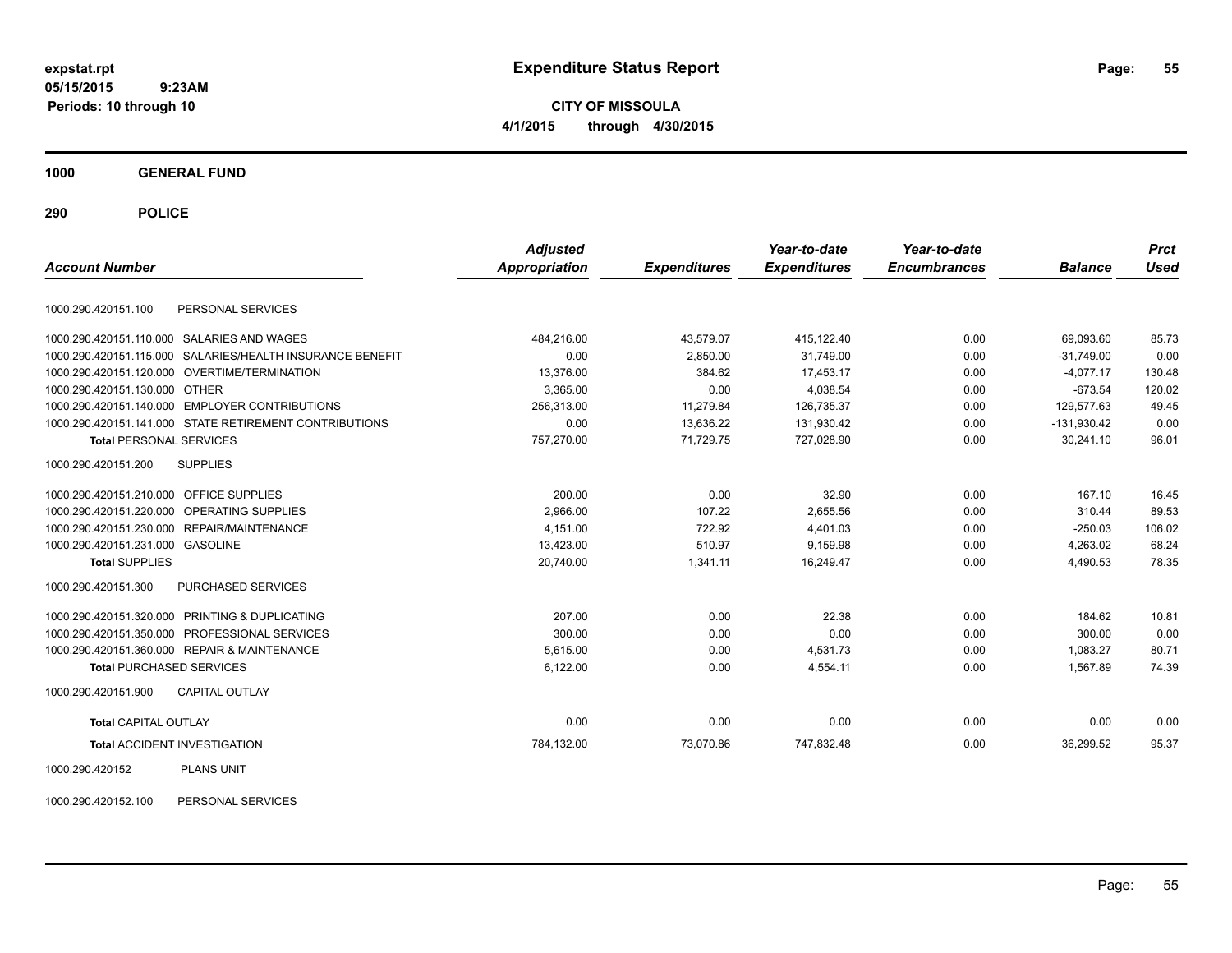**CITY OF MISSOULA 4/1/2015 through 4/30/2015**

**1000 GENERAL FUND**

**290 POLICE**

|                                                              | <b>Adjusted</b> |                     | Year-to-date        | Year-to-date        |                | <b>Prct</b> |
|--------------------------------------------------------------|-----------------|---------------------|---------------------|---------------------|----------------|-------------|
| <b>Account Number</b>                                        | Appropriation   | <b>Expenditures</b> | <b>Expenditures</b> | <b>Encumbrances</b> | <b>Balance</b> | <b>Used</b> |
| PERSONAL SERVICES<br>1000.290.420151.100                     |                 |                     |                     |                     |                |             |
| 1000.290.420151.110.000 SALARIES AND WAGES                   | 484,216.00      | 43,579.07           | 415,122.40          | 0.00                | 69,093.60      | 85.73       |
| SALARIES/HEALTH INSURANCE BENEFIT<br>1000.290.420151.115.000 | 0.00            | 2,850.00            | 31,749.00           | 0.00                | $-31.749.00$   | 0.00        |
| 1000.290.420151.120.000 OVERTIME/TERMINATION                 | 13,376.00       | 384.62              | 17,453.17           | 0.00                | $-4,077.17$    | 130.48      |
| 1000.290.420151.130.000 OTHER                                | 3,365.00        | 0.00                | 4,038.54            | 0.00                | $-673.54$      | 120.02      |
| 1000.290.420151.140.000 EMPLOYER CONTRIBUTIONS               | 256.313.00      | 11.279.84           | 126,735.37          | 0.00                | 129.577.63     | 49.45       |
| 1000.290.420151.141.000 STATE RETIREMENT CONTRIBUTIONS       | 0.00            | 13,636.22           | 131,930.42          | 0.00                | $-131,930.42$  | 0.00        |
| <b>Total PERSONAL SERVICES</b>                               | 757,270.00      | 71,729.75           | 727,028.90          | 0.00                | 30,241.10      | 96.01       |
| 1000.290.420151.200<br><b>SUPPLIES</b>                       |                 |                     |                     |                     |                |             |
| 1000.290.420151.210.000 OFFICE SUPPLIES                      | 200.00          | 0.00                | 32.90               | 0.00                | 167.10         | 16.45       |
| OPERATING SUPPLIES<br>1000.290.420151.220.000                | 2,966.00        | 107.22              | 2,655.56            | 0.00                | 310.44         | 89.53       |
| REPAIR/MAINTENANCE<br>1000.290.420151.230.000                | 4,151.00        | 722.92              | 4,401.03            | 0.00                | $-250.03$      | 106.02      |
| 1000.290.420151.231.000 GASOLINE                             | 13,423.00       | 510.97              | 9,159.98            | 0.00                | 4,263.02       | 68.24       |
| <b>Total SUPPLIES</b>                                        | 20,740.00       | 1,341.11            | 16,249.47           | 0.00                | 4,490.53       | 78.35       |
| 1000.290.420151.300<br>PURCHASED SERVICES                    |                 |                     |                     |                     |                |             |
| 1000.290.420151.320.000 PRINTING & DUPLICATING               | 207.00          | 0.00                | 22.38               | 0.00                | 184.62         | 10.81       |
| PROFESSIONAL SERVICES<br>1000.290.420151.350.000             | 300.00          | 0.00                | 0.00                | 0.00                | 300.00         | 0.00        |
| 1000.290.420151.360.000 REPAIR & MAINTENANCE                 | 5,615.00        | 0.00                | 4,531.73            | 0.00                | 1,083.27       | 80.71       |
| <b>Total PURCHASED SERVICES</b>                              | 6,122.00        | 0.00                | 4,554.11            | 0.00                | 1,567.89       | 74.39       |
| 1000.290.420151.900<br><b>CAPITAL OUTLAY</b>                 |                 |                     |                     |                     |                |             |
| <b>Total CAPITAL OUTLAY</b>                                  | 0.00            | 0.00                | 0.00                | 0.00                | 0.00           | 0.00        |
| <b>Total ACCIDENT INVESTIGATION</b>                          | 784,132.00      | 73,070.86           | 747,832.48          | 0.00                | 36,299.52      | 95.37       |
| 1000.290.420152<br><b>PLANS UNIT</b>                         |                 |                     |                     |                     |                |             |

1000.290.420152.100 PERSONAL SERVICES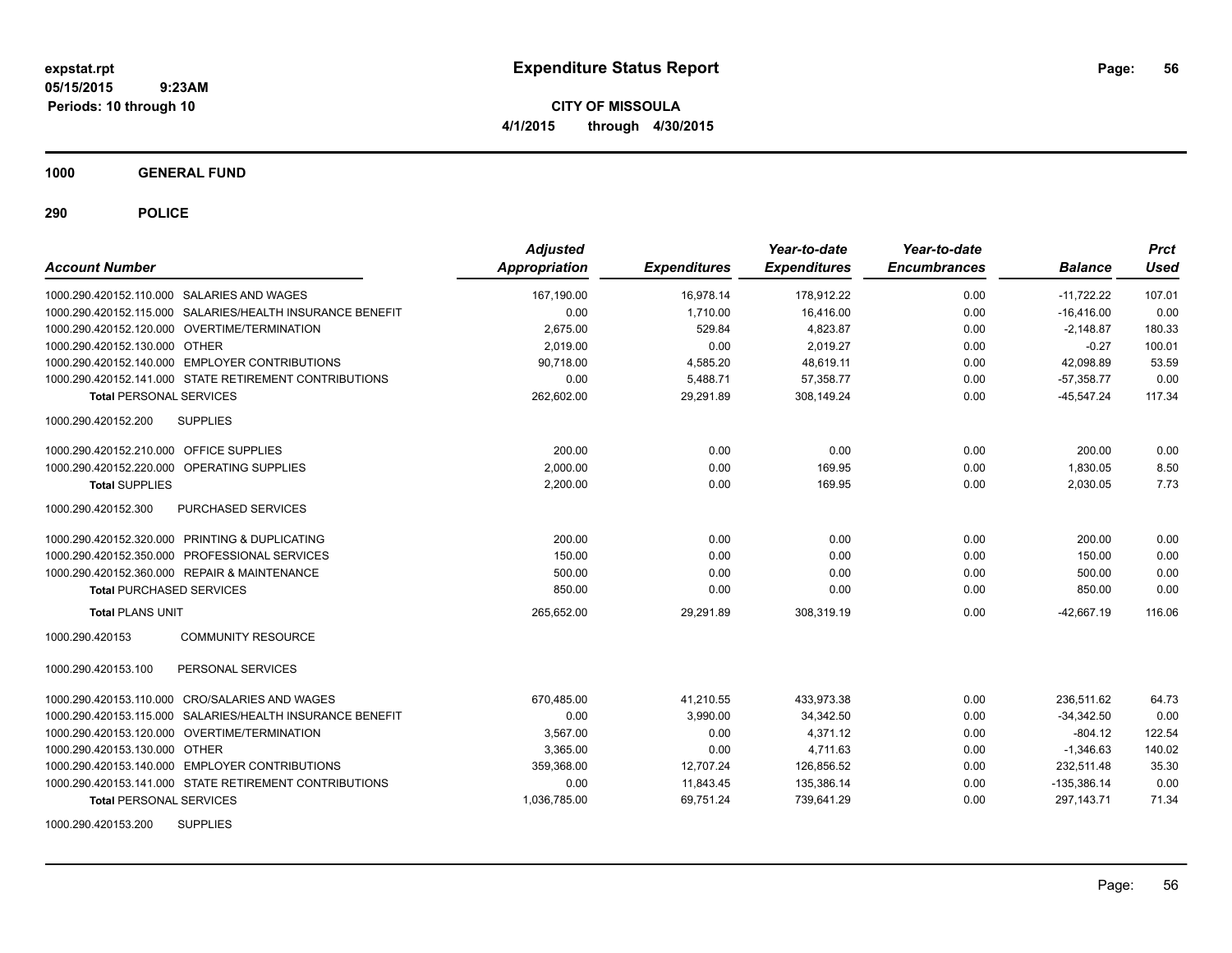**CITY OF MISSOULA 4/1/2015 through 4/30/2015**

**1000 GENERAL FUND**

| <b>Account Number</b>                                     | <b>Adjusted</b><br>Appropriation | <b>Expenditures</b> | Year-to-date<br><b>Expenditures</b> | Year-to-date<br><b>Encumbrances</b> | <b>Balance</b> | <b>Prct</b><br><b>Used</b> |
|-----------------------------------------------------------|----------------------------------|---------------------|-------------------------------------|-------------------------------------|----------------|----------------------------|
| 1000.290.420152.110.000 SALARIES AND WAGES                | 167.190.00                       | 16.978.14           | 178.912.22                          | 0.00                                | $-11,722.22$   | 107.01                     |
| 1000.290.420152.115.000 SALARIES/HEALTH INSURANCE BENEFIT | 0.00                             | 1.710.00            | 16,416.00                           | 0.00                                | $-16,416.00$   | 0.00                       |
| 1000.290.420152.120.000 OVERTIME/TERMINATION              | 2.675.00                         | 529.84              | 4,823.87                            | 0.00                                | $-2,148.87$    | 180.33                     |
| 1000.290.420152.130.000 OTHER                             | 2,019.00                         | 0.00                | 2,019.27                            | 0.00                                | $-0.27$        | 100.01                     |
| 1000.290.420152.140.000 EMPLOYER CONTRIBUTIONS            | 90.718.00                        | 4,585.20            | 48.619.11                           | 0.00                                | 42.098.89      | 53.59                      |
| 1000.290.420152.141.000 STATE RETIREMENT CONTRIBUTIONS    | 0.00                             | 5,488.71            | 57,358.77                           | 0.00                                | $-57,358.77$   | 0.00                       |
| <b>Total PERSONAL SERVICES</b>                            | 262,602.00                       | 29,291.89           | 308,149.24                          | 0.00                                | $-45,547.24$   | 117.34                     |
| <b>SUPPLIES</b><br>1000.290.420152.200                    |                                  |                     |                                     |                                     |                |                            |
| 1000.290.420152.210.000 OFFICE SUPPLIES                   | 200.00                           | 0.00                | 0.00                                | 0.00                                | 200.00         | 0.00                       |
| 1000.290.420152.220.000 OPERATING SUPPLIES                | 2,000.00                         | 0.00                | 169.95                              | 0.00                                | 1,830.05       | 8.50                       |
| <b>Total SUPPLIES</b>                                     | 2,200.00                         | 0.00                | 169.95                              | 0.00                                | 2,030.05       | 7.73                       |
| <b>PURCHASED SERVICES</b><br>1000.290.420152.300          |                                  |                     |                                     |                                     |                |                            |
| 1000.290.420152.320.000 PRINTING & DUPLICATING            | 200.00                           | 0.00                | 0.00                                | 0.00                                | 200.00         | 0.00                       |
| 1000.290.420152.350.000 PROFESSIONAL SERVICES             | 150.00                           | 0.00                | 0.00                                | 0.00                                | 150.00         | 0.00                       |
| 1000.290.420152.360.000 REPAIR & MAINTENANCE              | 500.00                           | 0.00                | 0.00                                | 0.00                                | 500.00         | 0.00                       |
| <b>Total PURCHASED SERVICES</b>                           | 850.00                           | 0.00                | 0.00                                | 0.00                                | 850.00         | 0.00                       |
| <b>Total PLANS UNIT</b>                                   | 265.652.00                       | 29,291.89           | 308.319.19                          | 0.00                                | $-42.667.19$   | 116.06                     |
| <b>COMMUNITY RESOURCE</b><br>1000.290.420153              |                                  |                     |                                     |                                     |                |                            |
| 1000.290.420153.100<br>PERSONAL SERVICES                  |                                  |                     |                                     |                                     |                |                            |
| 1000.290.420153.110.000 CRO/SALARIES AND WAGES            | 670.485.00                       | 41.210.55           | 433.973.38                          | 0.00                                | 236.511.62     | 64.73                      |
| 1000.290.420153.115.000 SALARIES/HEALTH INSURANCE BENEFIT | 0.00                             | 3.990.00            | 34.342.50                           | 0.00                                | $-34,342.50$   | 0.00                       |
| 1000.290.420153.120.000 OVERTIME/TERMINATION              | 3.567.00                         | 0.00                | 4.371.12                            | 0.00                                | $-804.12$      | 122.54                     |
| 1000.290.420153.130.000 OTHER                             | 3,365.00                         | 0.00                | 4,711.63                            | 0.00                                | $-1,346.63$    | 140.02                     |
| 1000.290.420153.140.000 EMPLOYER CONTRIBUTIONS            | 359,368.00                       | 12,707.24           | 126,856.52                          | 0.00                                | 232,511.48     | 35.30                      |
| 1000.290.420153.141.000 STATE RETIREMENT CONTRIBUTIONS    | 0.00                             | 11,843.45           | 135,386.14                          | 0.00                                | $-135,386.14$  | 0.00                       |
| <b>Total PERSONAL SERVICES</b>                            | 1,036,785.00                     | 69,751.24           | 739,641.29                          | 0.00                                | 297, 143. 71   | 71.34                      |
| <b>SUPPLIES</b><br>1000.290.420153.200                    |                                  |                     |                                     |                                     |                |                            |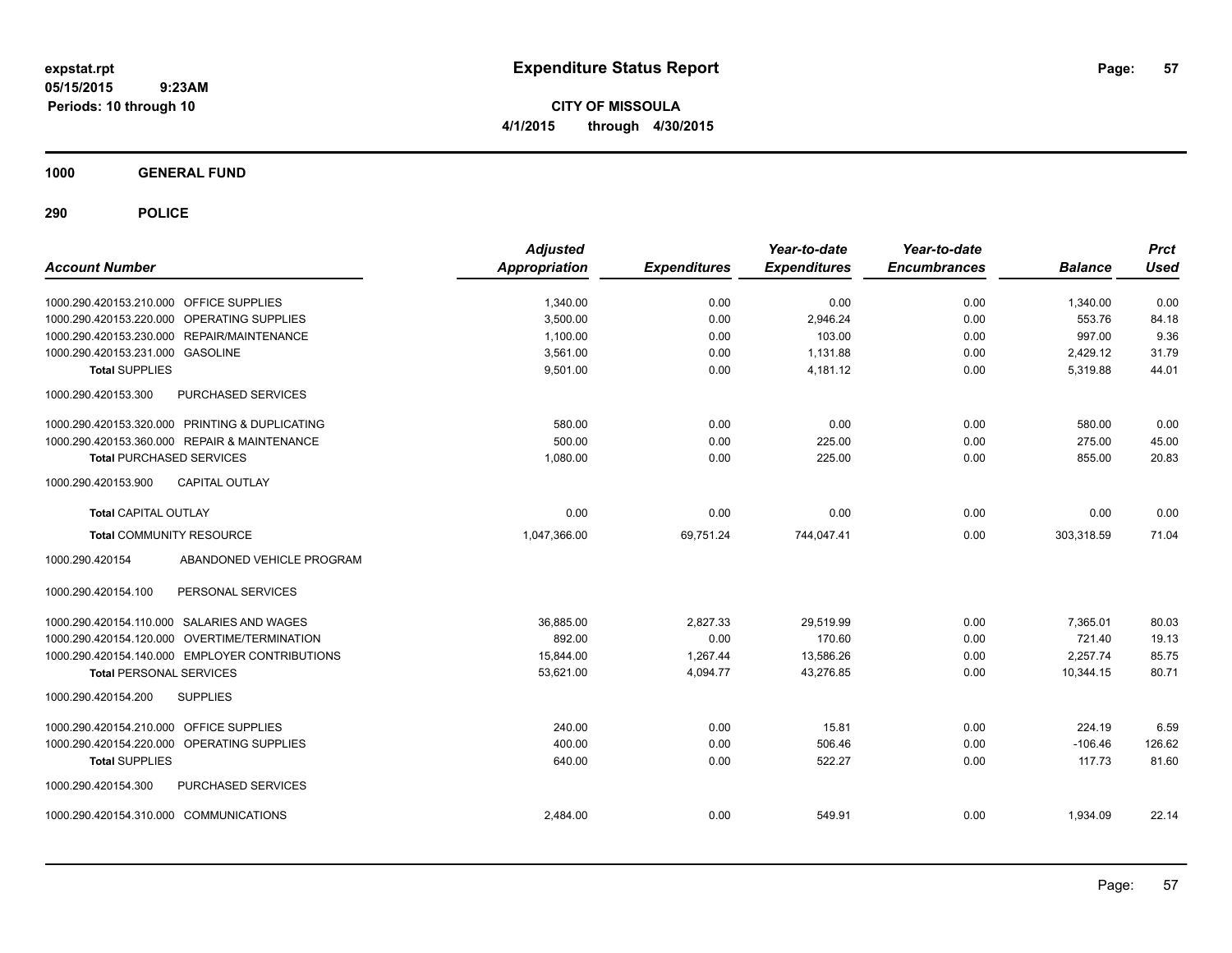**CITY OF MISSOULA 4/1/2015 through 4/30/2015**

**1000 GENERAL FUND**

| <b>Account Number</b>                   |                                                | <b>Adjusted</b><br><b>Appropriation</b> | <b>Expenditures</b> | Year-to-date<br><b>Expenditures</b> | Year-to-date<br><b>Encumbrances</b> | <b>Balance</b> | <b>Prct</b><br><b>Used</b> |
|-----------------------------------------|------------------------------------------------|-----------------------------------------|---------------------|-------------------------------------|-------------------------------------|----------------|----------------------------|
| 1000.290.420153.210.000 OFFICE SUPPLIES |                                                | 1,340.00                                | 0.00                | 0.00                                | 0.00                                | 1,340.00       | 0.00                       |
|                                         | 1000.290.420153.220.000 OPERATING SUPPLIES     | 3,500.00                                | 0.00                | 2,946.24                            | 0.00                                | 553.76         | 84.18                      |
|                                         | 1000.290.420153.230.000 REPAIR/MAINTENANCE     | 1,100.00                                | 0.00                | 103.00                              | 0.00                                | 997.00         | 9.36                       |
| 1000.290.420153.231.000 GASOLINE        |                                                | 3.561.00                                | 0.00                | 1.131.88                            | 0.00                                | 2,429.12       | 31.79                      |
| <b>Total SUPPLIES</b>                   |                                                | 9,501.00                                | 0.00                | 4,181.12                            | 0.00                                | 5,319.88       | 44.01                      |
| 1000.290.420153.300                     | PURCHASED SERVICES                             |                                         |                     |                                     |                                     |                |                            |
|                                         | 1000.290.420153.320.000 PRINTING & DUPLICATING | 580.00                                  | 0.00                | 0.00                                | 0.00                                | 580.00         | 0.00                       |
|                                         | 1000.290.420153.360.000 REPAIR & MAINTENANCE   | 500.00                                  | 0.00                | 225.00                              | 0.00                                | 275.00         | 45.00                      |
| <b>Total PURCHASED SERVICES</b>         |                                                | 1,080.00                                | 0.00                | 225.00                              | 0.00                                | 855.00         | 20.83                      |
| 1000.290.420153.900                     | <b>CAPITAL OUTLAY</b>                          |                                         |                     |                                     |                                     |                |                            |
| <b>Total CAPITAL OUTLAY</b>             |                                                | 0.00                                    | 0.00                | 0.00                                | 0.00                                | 0.00           | 0.00                       |
| <b>Total COMMUNITY RESOURCE</b>         |                                                | 1,047,366.00                            | 69,751.24           | 744,047.41                          | 0.00                                | 303,318.59     | 71.04                      |
| 1000.290.420154                         | ABANDONED VEHICLE PROGRAM                      |                                         |                     |                                     |                                     |                |                            |
| 1000.290.420154.100                     | PERSONAL SERVICES                              |                                         |                     |                                     |                                     |                |                            |
|                                         | 1000.290.420154.110.000 SALARIES AND WAGES     | 36,885.00                               | 2,827.33            | 29,519.99                           | 0.00                                | 7.365.01       | 80.03                      |
|                                         | 1000.290.420154.120.000 OVERTIME/TERMINATION   | 892.00                                  | 0.00                | 170.60                              | 0.00                                | 721.40         | 19.13                      |
|                                         | 1000.290.420154.140.000 EMPLOYER CONTRIBUTIONS | 15,844.00                               | 1.267.44            | 13,586.26                           | 0.00                                | 2,257.74       | 85.75                      |
| <b>Total PERSONAL SERVICES</b>          |                                                | 53,621.00                               | 4,094.77            | 43,276.85                           | 0.00                                | 10,344.15      | 80.71                      |
| 1000.290.420154.200                     | <b>SUPPLIES</b>                                |                                         |                     |                                     |                                     |                |                            |
| 1000.290.420154.210.000                 | OFFICE SUPPLIES                                | 240.00                                  | 0.00                | 15.81                               | 0.00                                | 224.19         | 6.59                       |
|                                         | 1000.290.420154.220.000 OPERATING SUPPLIES     | 400.00                                  | 0.00                | 506.46                              | 0.00                                | $-106.46$      | 126.62                     |
| <b>Total SUPPLIES</b>                   |                                                | 640.00                                  | 0.00                | 522.27                              | 0.00                                | 117.73         | 81.60                      |
| 1000.290.420154.300                     | <b>PURCHASED SERVICES</b>                      |                                         |                     |                                     |                                     |                |                            |
| 1000.290.420154.310.000 COMMUNICATIONS  |                                                | 2,484.00                                | 0.00                | 549.91                              | 0.00                                | 1,934.09       | 22.14                      |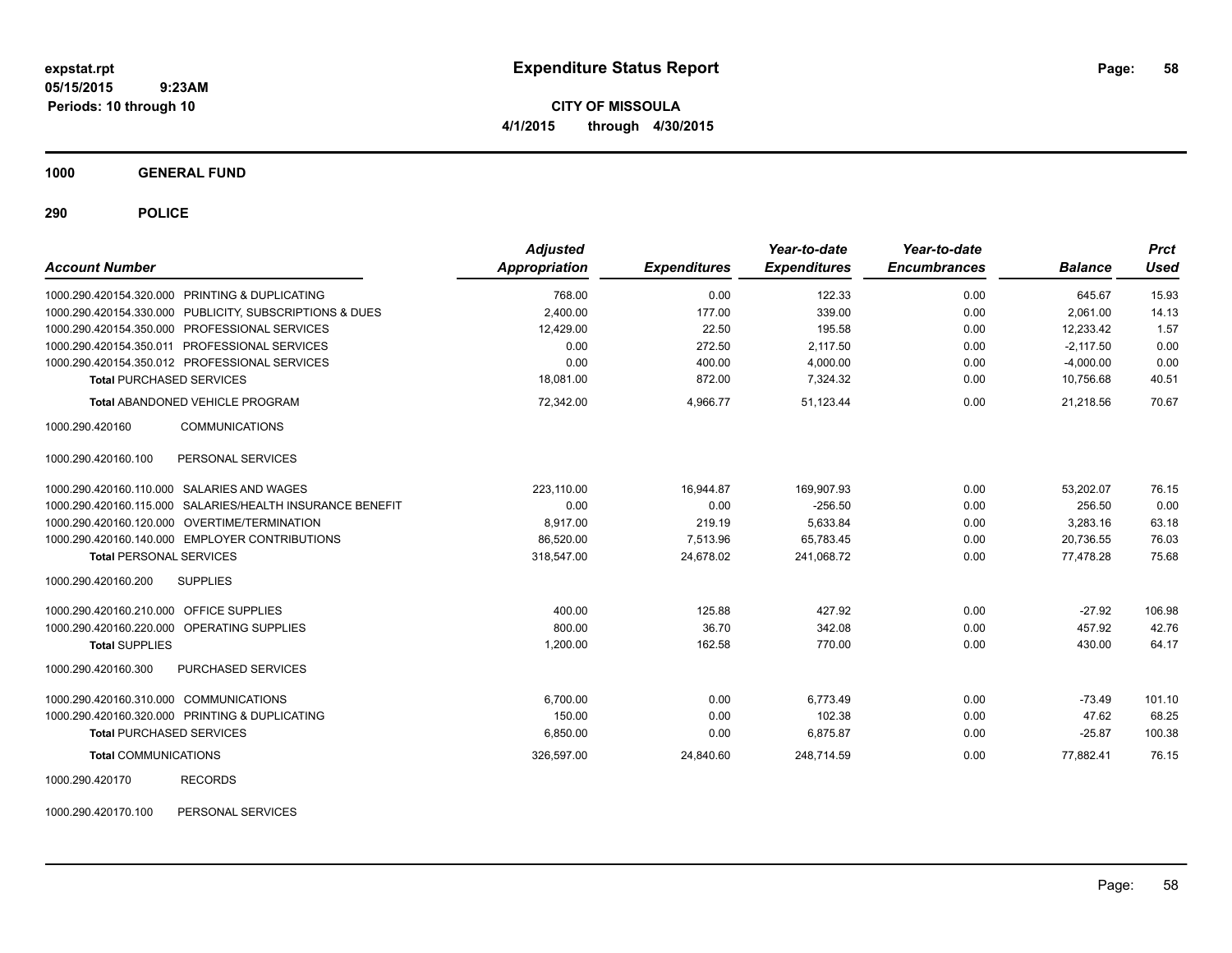**CITY OF MISSOULA 4/1/2015 through 4/30/2015**

**1000 GENERAL FUND**

**290 POLICE**

| <b>Account Number</b>                      |                                                           | <b>Adjusted</b><br>Appropriation | <b>Expenditures</b> | Year-to-date<br><b>Expenditures</b> | Year-to-date<br><b>Encumbrances</b> | <b>Balance</b> | <b>Prct</b><br>Used |
|--------------------------------------------|-----------------------------------------------------------|----------------------------------|---------------------|-------------------------------------|-------------------------------------|----------------|---------------------|
|                                            | 1000.290.420154.320.000 PRINTING & DUPLICATING            | 768.00                           | 0.00                | 122.33                              | 0.00                                | 645.67         | 15.93               |
|                                            | 1000.290.420154.330.000 PUBLICITY, SUBSCRIPTIONS & DUES   | 2,400.00                         | 177.00              | 339.00                              | 0.00                                | 2,061.00       | 14.13               |
|                                            | 1000.290.420154.350.000 PROFESSIONAL SERVICES             | 12,429.00                        | 22.50               | 195.58                              | 0.00                                | 12,233.42      | 1.57                |
|                                            | 1000.290.420154.350.011 PROFESSIONAL SERVICES             | 0.00                             | 272.50              | 2,117.50                            | 0.00                                | $-2,117.50$    | 0.00                |
|                                            | 1000.290.420154.350.012 PROFESSIONAL SERVICES             | 0.00                             | 400.00              | 4,000.00                            | 0.00                                | $-4,000.00$    | 0.00                |
| <b>Total PURCHASED SERVICES</b>            |                                                           | 18.081.00                        | 872.00              | 7,324.32                            | 0.00                                | 10,756.68      | 40.51               |
|                                            | <b>Total ABANDONED VEHICLE PROGRAM</b>                    | 72,342.00                        | 4,966.77            | 51,123.44                           | 0.00                                | 21,218.56      | 70.67               |
| 1000.290.420160                            | <b>COMMUNICATIONS</b>                                     |                                  |                     |                                     |                                     |                |                     |
| 1000.290.420160.100                        | PERSONAL SERVICES                                         |                                  |                     |                                     |                                     |                |                     |
|                                            | 1000.290.420160.110.000 SALARIES AND WAGES                | 223.110.00                       | 16.944.87           | 169.907.93                          | 0.00                                | 53.202.07      | 76.15               |
|                                            | 1000.290.420160.115.000 SALARIES/HEALTH INSURANCE BENEFIT | 0.00                             | 0.00                | $-256.50$                           | 0.00                                | 256.50         | 0.00                |
|                                            | 1000.290.420160.120.000 OVERTIME/TERMINATION              | 8,917.00                         | 219.19              | 5,633.84                            | 0.00                                | 3,283.16       | 63.18               |
|                                            | 1000.290.420160.140.000 EMPLOYER CONTRIBUTIONS            | 86,520.00                        | 7,513.96            | 65,783.45                           | 0.00                                | 20,736.55      | 76.03               |
| <b>Total PERSONAL SERVICES</b>             |                                                           | 318,547.00                       | 24,678.02           | 241.068.72                          | 0.00                                | 77,478.28      | 75.68               |
| 1000.290.420160.200                        | <b>SUPPLIES</b>                                           |                                  |                     |                                     |                                     |                |                     |
| 1000.290.420160.210.000 OFFICE SUPPLIES    |                                                           | 400.00                           | 125.88              | 427.92                              | 0.00                                | $-27.92$       | 106.98              |
| 1000.290.420160.220.000 OPERATING SUPPLIES |                                                           | 800.00                           | 36.70               | 342.08                              | 0.00                                | 457.92         | 42.76               |
| <b>Total SUPPLIES</b>                      |                                                           | 1,200.00                         | 162.58              | 770.00                              | 0.00                                | 430.00         | 64.17               |
| 1000.290.420160.300                        | PURCHASED SERVICES                                        |                                  |                     |                                     |                                     |                |                     |
| 1000.290.420160.310.000 COMMUNICATIONS     |                                                           | 6.700.00                         | 0.00                | 6.773.49                            | 0.00                                | $-73.49$       | 101.10              |
|                                            | 1000.290.420160.320.000 PRINTING & DUPLICATING            | 150.00                           | 0.00                | 102.38                              | 0.00                                | 47.62          | 68.25               |
| <b>Total PURCHASED SERVICES</b>            |                                                           | 6,850.00                         | 0.00                | 6,875.87                            | 0.00                                | $-25.87$       | 100.38              |
| <b>Total COMMUNICATIONS</b>                |                                                           | 326,597.00                       | 24,840.60           | 248,714.59                          | 0.00                                | 77,882.41      | 76.15               |
| 1000.290.420170                            | <b>RECORDS</b>                                            |                                  |                     |                                     |                                     |                |                     |

1000.290.420170.100 PERSONAL SERVICES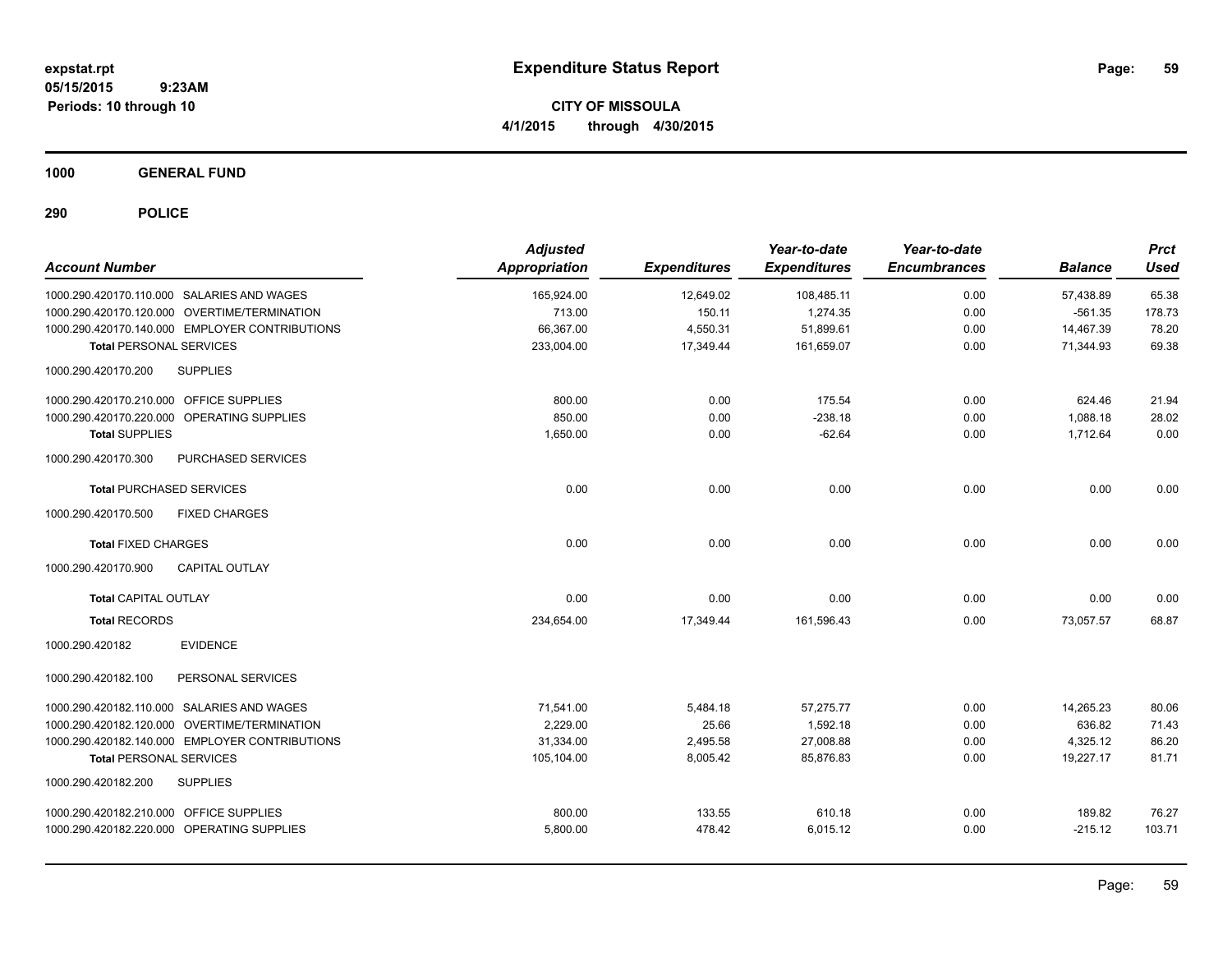**CITY OF MISSOULA 4/1/2015 through 4/30/2015**

**1000 GENERAL FUND**

| <b>Account Number</b>                            | <b>Adjusted</b><br><b>Appropriation</b> | <b>Expenditures</b> | Year-to-date<br><b>Expenditures</b> | Year-to-date<br><b>Encumbrances</b> | <b>Balance</b> | <b>Prct</b><br><b>Used</b> |
|--------------------------------------------------|-----------------------------------------|---------------------|-------------------------------------|-------------------------------------|----------------|----------------------------|
| 1000.290.420170.110.000 SALARIES AND WAGES       | 165,924.00                              | 12,649.02           | 108,485.11                          | 0.00                                | 57,438.89      | 65.38                      |
| 1000.290.420170.120.000 OVERTIME/TERMINATION     | 713.00                                  | 150.11              | 1,274.35                            | 0.00                                | $-561.35$      | 178.73                     |
| 1000.290.420170.140.000 EMPLOYER CONTRIBUTIONS   | 66,367.00                               | 4,550.31            | 51,899.61                           | 0.00                                | 14,467.39      | 78.20                      |
| <b>Total PERSONAL SERVICES</b>                   | 233,004.00                              | 17,349.44           | 161,659.07                          | 0.00                                | 71,344.93      | 69.38                      |
| 1000.290.420170.200<br><b>SUPPLIES</b>           |                                         |                     |                                     |                                     |                |                            |
| 1000.290.420170.210.000 OFFICE SUPPLIES          | 800.00                                  | 0.00                | 175.54                              | 0.00                                | 624.46         | 21.94                      |
| 1000.290.420170.220.000 OPERATING SUPPLIES       | 850.00                                  | 0.00                | $-238.18$                           | 0.00                                | 1,088.18       | 28.02                      |
| <b>Total SUPPLIES</b>                            | 1,650.00                                | 0.00                | $-62.64$                            | 0.00                                | 1,712.64       | 0.00                       |
| <b>PURCHASED SERVICES</b><br>1000.290.420170.300 |                                         |                     |                                     |                                     |                |                            |
| <b>Total PURCHASED SERVICES</b>                  | 0.00                                    | 0.00                | 0.00                                | 0.00                                | 0.00           | 0.00                       |
| <b>FIXED CHARGES</b><br>1000.290.420170.500      |                                         |                     |                                     |                                     |                |                            |
| <b>Total FIXED CHARGES</b>                       | 0.00                                    | 0.00                | 0.00                                | 0.00                                | 0.00           | 0.00                       |
| 1000.290.420170.900<br><b>CAPITAL OUTLAY</b>     |                                         |                     |                                     |                                     |                |                            |
| <b>Total CAPITAL OUTLAY</b>                      | 0.00                                    | 0.00                | 0.00                                | 0.00                                | 0.00           | 0.00                       |
| <b>Total RECORDS</b>                             | 234,654.00                              | 17,349.44           | 161,596.43                          | 0.00                                | 73,057.57      | 68.87                      |
| <b>EVIDENCE</b><br>1000.290.420182               |                                         |                     |                                     |                                     |                |                            |
| 1000.290.420182.100<br>PERSONAL SERVICES         |                                         |                     |                                     |                                     |                |                            |
| 1000.290.420182.110.000 SALARIES AND WAGES       | 71.541.00                               | 5,484.18            | 57,275.77                           | 0.00                                | 14,265.23      | 80.06                      |
| 1000.290.420182.120.000 OVERTIME/TERMINATION     | 2.229.00                                | 25.66               | 1.592.18                            | 0.00                                | 636.82         | 71.43                      |
| 1000.290.420182.140.000 EMPLOYER CONTRIBUTIONS   | 31,334.00                               | 2,495.58            | 27,008.88                           | 0.00                                | 4,325.12       | 86.20                      |
| <b>Total PERSONAL SERVICES</b>                   | 105,104.00                              | 8,005.42            | 85,876.83                           | 0.00                                | 19,227.17      | 81.71                      |
| <b>SUPPLIES</b><br>1000.290.420182.200           |                                         |                     |                                     |                                     |                |                            |
| 1000.290.420182.210.000 OFFICE SUPPLIES          | 800.00                                  | 133.55              | 610.18                              | 0.00                                | 189.82         | 76.27                      |
| 1000.290.420182.220.000 OPERATING SUPPLIES       | 5,800.00                                | 478.42              | 6,015.12                            | 0.00                                | $-215.12$      | 103.71                     |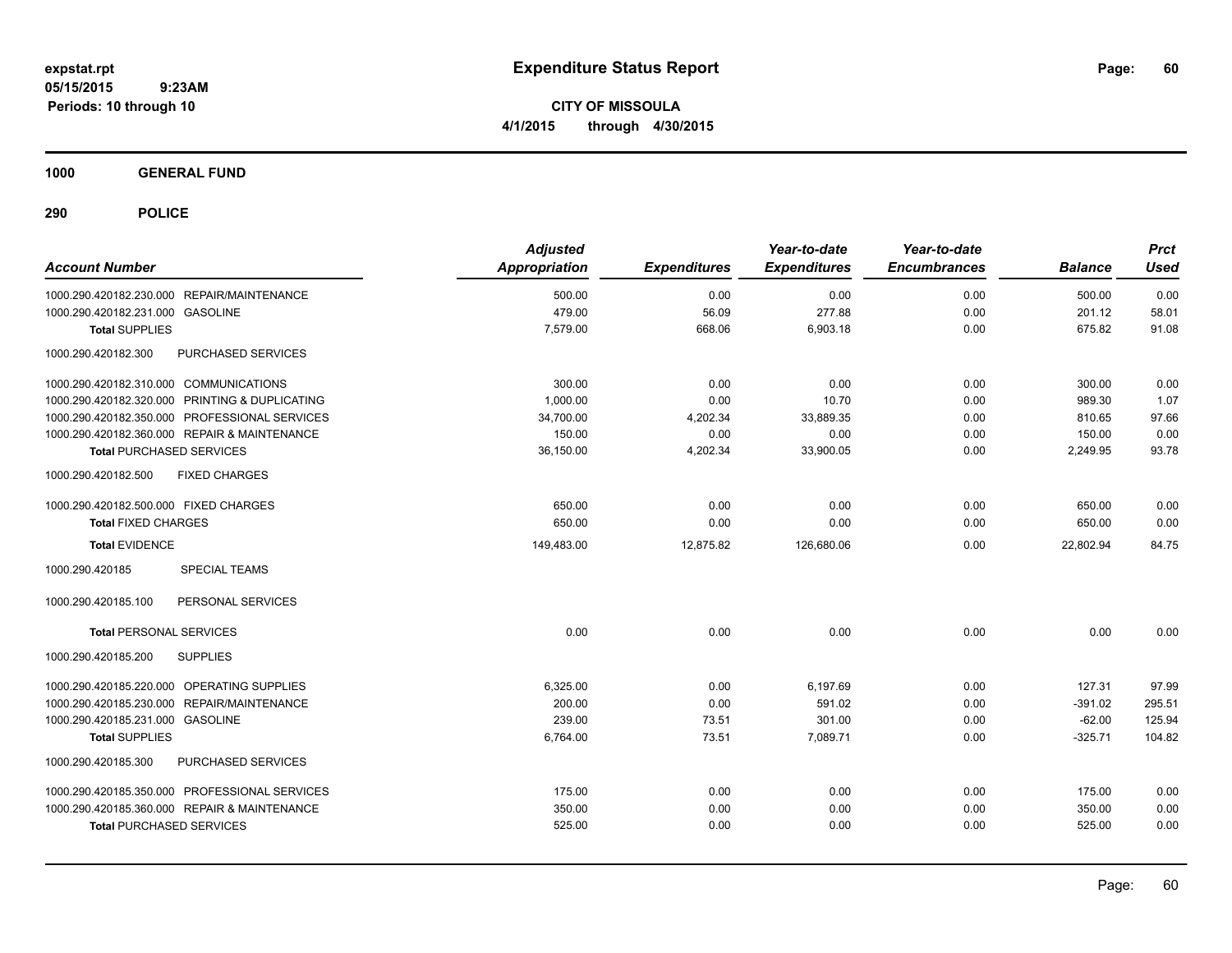**CITY OF MISSOULA 4/1/2015 through 4/30/2015**

**1000 GENERAL FUND**

| <b>Account Number</b>                            | <b>Adjusted</b><br><b>Appropriation</b> | <b>Expenditures</b> | Year-to-date<br><b>Expenditures</b> | Year-to-date<br><b>Encumbrances</b> | <b>Balance</b> | <b>Prct</b><br><b>Used</b> |
|--------------------------------------------------|-----------------------------------------|---------------------|-------------------------------------|-------------------------------------|----------------|----------------------------|
| 1000.290.420182.230.000 REPAIR/MAINTENANCE       | 500.00                                  | 0.00                | 0.00                                | 0.00                                | 500.00         | 0.00                       |
| 1000.290.420182.231.000 GASOLINE                 | 479.00                                  | 56.09               | 277.88                              | 0.00                                | 201.12         | 58.01                      |
| <b>Total SUPPLIES</b>                            | 7,579.00                                | 668.06              | 6,903.18                            | 0.00                                | 675.82         | 91.08                      |
| 1000.290.420182.300<br><b>PURCHASED SERVICES</b> |                                         |                     |                                     |                                     |                |                            |
| 1000.290.420182.310.000 COMMUNICATIONS           | 300.00                                  | 0.00                | 0.00                                | 0.00                                | 300.00         | 0.00                       |
| 1000.290.420182.320.000 PRINTING & DUPLICATING   | 1.000.00                                | 0.00                | 10.70                               | 0.00                                | 989.30         | 1.07                       |
| 1000.290.420182.350.000 PROFESSIONAL SERVICES    | 34,700.00                               | 4,202.34            | 33,889.35                           | 0.00                                | 810.65         | 97.66                      |
| 1000.290.420182.360.000 REPAIR & MAINTENANCE     | 150.00                                  | 0.00                | 0.00                                | 0.00                                | 150.00         | 0.00                       |
| <b>Total PURCHASED SERVICES</b>                  | 36,150.00                               | 4,202.34            | 33,900.05                           | 0.00                                | 2,249.95       | 93.78                      |
| 1000.290.420182.500<br><b>FIXED CHARGES</b>      |                                         |                     |                                     |                                     |                |                            |
| 1000.290.420182.500.000 FIXED CHARGES            | 650.00                                  | 0.00                | 0.00                                | 0.00                                | 650.00         | 0.00                       |
| <b>Total FIXED CHARGES</b>                       | 650.00                                  | 0.00                | 0.00                                | 0.00                                | 650.00         | 0.00                       |
| <b>Total EVIDENCE</b>                            | 149,483.00                              | 12.875.82           | 126,680.06                          | 0.00                                | 22.802.94      | 84.75                      |
| 1000.290.420185<br><b>SPECIAL TEAMS</b>          |                                         |                     |                                     |                                     |                |                            |
| 1000.290.420185.100<br>PERSONAL SERVICES         |                                         |                     |                                     |                                     |                |                            |
| <b>Total PERSONAL SERVICES</b>                   | 0.00                                    | 0.00                | 0.00                                | 0.00                                | 0.00           | 0.00                       |
| <b>SUPPLIES</b><br>1000.290.420185.200           |                                         |                     |                                     |                                     |                |                            |
| 1000.290.420185.220.000 OPERATING SUPPLIES       | 6,325.00                                | 0.00                | 6,197.69                            | 0.00                                | 127.31         | 97.99                      |
| 1000.290.420185.230.000 REPAIR/MAINTENANCE       | 200.00                                  | 0.00                | 591.02                              | 0.00                                | $-391.02$      | 295.51                     |
| 1000.290.420185.231.000 GASOLINE                 | 239.00                                  | 73.51               | 301.00                              | 0.00                                | $-62.00$       | 125.94                     |
| <b>Total SUPPLIES</b>                            | 6,764.00                                | 73.51               | 7,089.71                            | 0.00                                | $-325.71$      | 104.82                     |
| 1000.290.420185.300<br>PURCHASED SERVICES        |                                         |                     |                                     |                                     |                |                            |
| 1000.290.420185.350.000 PROFESSIONAL SERVICES    | 175.00                                  | 0.00                | 0.00                                | 0.00                                | 175.00         | 0.00                       |
| 1000.290.420185.360.000 REPAIR & MAINTENANCE     | 350.00                                  | 0.00                | 0.00                                | 0.00                                | 350.00         | 0.00                       |
| <b>Total PURCHASED SERVICES</b>                  | 525.00                                  | 0.00                | 0.00                                | 0.00                                | 525.00         | 0.00                       |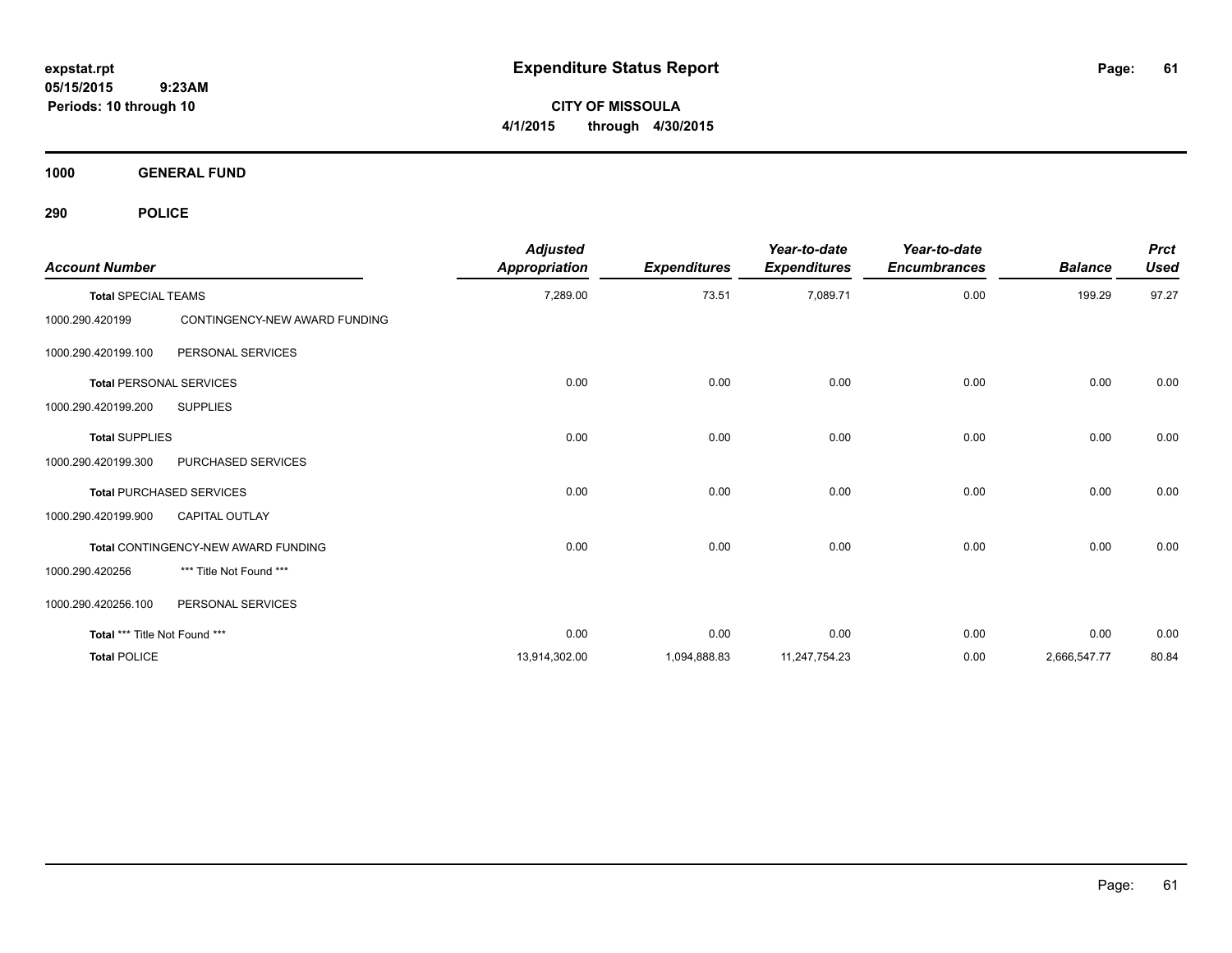**CITY OF MISSOULA 4/1/2015 through 4/30/2015**

**1000 GENERAL FUND**

| <b>Account Number</b>         |                                            | <b>Adjusted</b><br><b>Appropriation</b> | <b>Expenditures</b> | Year-to-date<br><b>Expenditures</b> | Year-to-date<br><b>Encumbrances</b> | <b>Balance</b> | <b>Prct</b><br><b>Used</b> |
|-------------------------------|--------------------------------------------|-----------------------------------------|---------------------|-------------------------------------|-------------------------------------|----------------|----------------------------|
| <b>Total SPECIAL TEAMS</b>    |                                            | 7,289.00                                | 73.51               | 7,089.71                            | 0.00                                | 199.29         | 97.27                      |
| 1000.290.420199               | CONTINGENCY-NEW AWARD FUNDING              |                                         |                     |                                     |                                     |                |                            |
| 1000.290.420199.100           | PERSONAL SERVICES                          |                                         |                     |                                     |                                     |                |                            |
|                               | <b>Total PERSONAL SERVICES</b>             | 0.00                                    | 0.00                | 0.00                                | 0.00                                | 0.00           | 0.00                       |
| 1000.290.420199.200           | <b>SUPPLIES</b>                            |                                         |                     |                                     |                                     |                |                            |
| <b>Total SUPPLIES</b>         |                                            | 0.00                                    | 0.00                | 0.00                                | 0.00                                | 0.00           | 0.00                       |
| 1000.290.420199.300           | PURCHASED SERVICES                         |                                         |                     |                                     |                                     |                |                            |
|                               | <b>Total PURCHASED SERVICES</b>            | 0.00                                    | 0.00                | 0.00                                | 0.00                                | 0.00           | 0.00                       |
| 1000.290.420199.900           | <b>CAPITAL OUTLAY</b>                      |                                         |                     |                                     |                                     |                |                            |
|                               | <b>Total CONTINGENCY-NEW AWARD FUNDING</b> | 0.00                                    | 0.00                | 0.00                                | 0.00                                | 0.00           | 0.00                       |
| 1000.290.420256               | *** Title Not Found ***                    |                                         |                     |                                     |                                     |                |                            |
| 1000.290.420256.100           | PERSONAL SERVICES                          |                                         |                     |                                     |                                     |                |                            |
| Total *** Title Not Found *** |                                            | 0.00                                    | 0.00                | 0.00                                | 0.00                                | 0.00           | 0.00                       |
| <b>Total POLICE</b>           |                                            | 13,914,302.00                           | 1,094,888.83        | 11,247,754.23                       | 0.00                                | 2,666,547.77   | 80.84                      |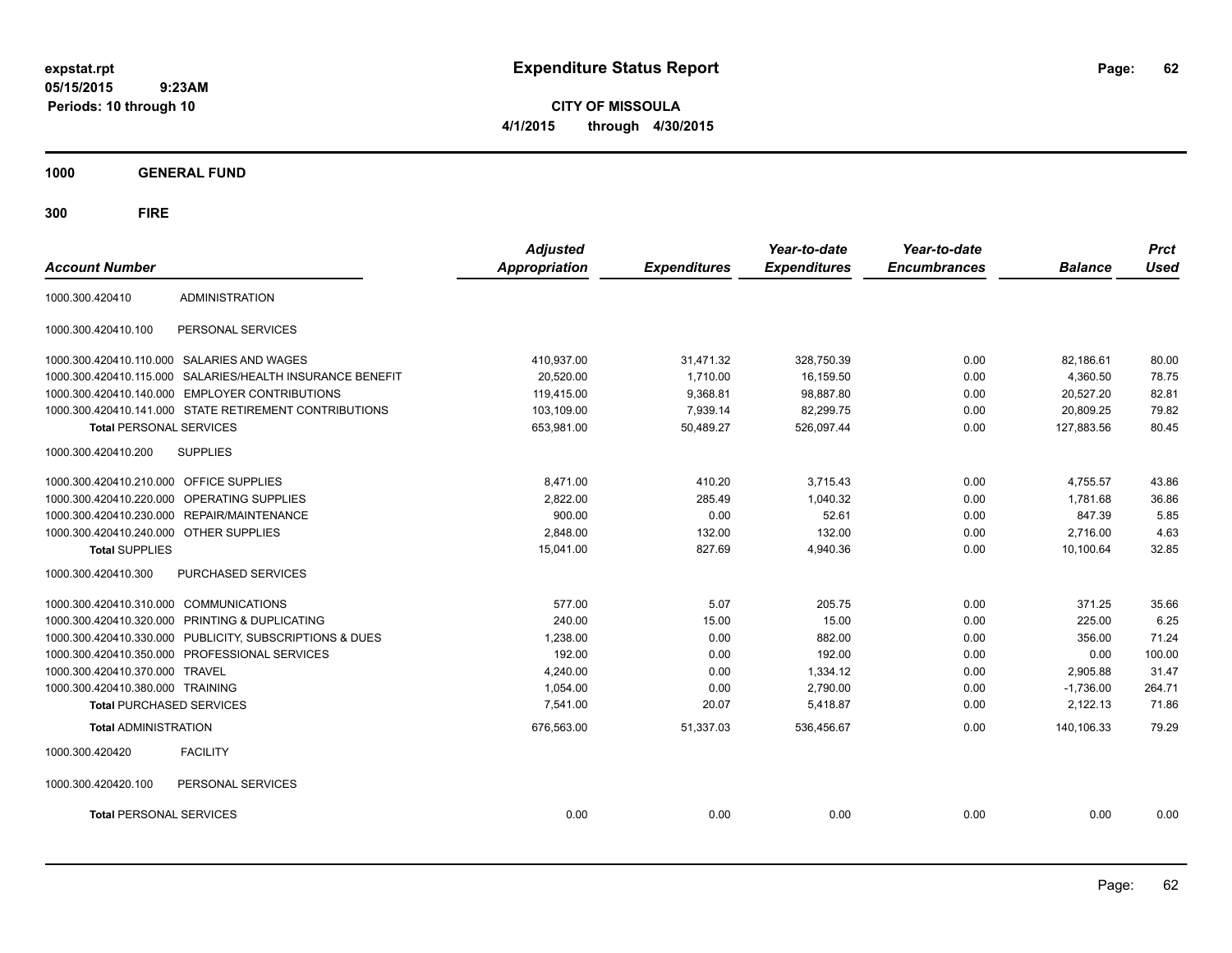**CITY OF MISSOULA 4/1/2015 through 4/30/2015**

**1000 GENERAL FUND**

| <b>Account Number</b>                   |                                                         | <b>Adjusted</b><br><b>Appropriation</b> | <b>Expenditures</b> | Year-to-date<br><b>Expenditures</b> | Year-to-date<br><b>Encumbrances</b> | <b>Balance</b> | <b>Prct</b><br><b>Used</b> |
|-----------------------------------------|---------------------------------------------------------|-----------------------------------------|---------------------|-------------------------------------|-------------------------------------|----------------|----------------------------|
| 1000.300.420410                         | <b>ADMINISTRATION</b>                                   |                                         |                     |                                     |                                     |                |                            |
| 1000.300.420410.100                     | PERSONAL SERVICES                                       |                                         |                     |                                     |                                     |                |                            |
|                                         | 1000.300.420410.110.000 SALARIES AND WAGES              | 410,937.00                              | 31,471.32           | 328,750.39                          | 0.00                                | 82,186.61      | 80.00                      |
| 1000.300.420410.115.000                 | SALARIES/HEALTH INSURANCE BENEFIT                       | 20,520.00                               | 1,710.00            | 16,159.50                           | 0.00                                | 4,360.50       | 78.75                      |
|                                         | 1000.300.420410.140.000 EMPLOYER CONTRIBUTIONS          | 119,415.00                              | 9,368.81            | 98,887.80                           | 0.00                                | 20,527.20      | 82.81                      |
|                                         | 1000.300.420410.141.000 STATE RETIREMENT CONTRIBUTIONS  | 103,109.00                              | 7,939.14            | 82,299.75                           | 0.00                                | 20,809.25      | 79.82                      |
| <b>Total PERSONAL SERVICES</b>          |                                                         | 653,981.00                              | 50,489.27           | 526,097.44                          | 0.00                                | 127,883.56     | 80.45                      |
| 1000.300.420410.200                     | <b>SUPPLIES</b>                                         |                                         |                     |                                     |                                     |                |                            |
| 1000.300.420410.210.000 OFFICE SUPPLIES |                                                         | 8.471.00                                | 410.20              | 3,715.43                            | 0.00                                | 4,755.57       | 43.86                      |
| 1000.300.420410.220.000                 | OPERATING SUPPLIES                                      | 2,822.00                                | 285.49              | 1,040.32                            | 0.00                                | 1,781.68       | 36.86                      |
|                                         | 1000.300.420410.230.000 REPAIR/MAINTENANCE              | 900.00                                  | 0.00                | 52.61                               | 0.00                                | 847.39         | 5.85                       |
| 1000.300.420410.240.000 OTHER SUPPLIES  |                                                         | 2,848.00                                | 132.00              | 132.00                              | 0.00                                | 2,716.00       | 4.63                       |
| <b>Total SUPPLIES</b>                   |                                                         | 15,041.00                               | 827.69              | 4,940.36                            | 0.00                                | 10,100.64      | 32.85                      |
| 1000.300.420410.300                     | PURCHASED SERVICES                                      |                                         |                     |                                     |                                     |                |                            |
| 1000.300.420410.310.000 COMMUNICATIONS  |                                                         | 577.00                                  | 5.07                | 205.75                              | 0.00                                | 371.25         | 35.66                      |
|                                         | 1000.300.420410.320.000 PRINTING & DUPLICATING          | 240.00                                  | 15.00               | 15.00                               | 0.00                                | 225.00         | 6.25                       |
|                                         | 1000.300.420410.330.000 PUBLICITY, SUBSCRIPTIONS & DUES | 1,238.00                                | 0.00                | 882.00                              | 0.00                                | 356.00         | 71.24                      |
|                                         | 1000.300.420410.350.000 PROFESSIONAL SERVICES           | 192.00                                  | 0.00                | 192.00                              | 0.00                                | 0.00           | 100.00                     |
| 1000.300.420410.370.000 TRAVEL          |                                                         | 4,240.00                                | 0.00                | 1,334.12                            | 0.00                                | 2,905.88       | 31.47                      |
| 1000.300.420410.380.000 TRAINING        |                                                         | 1,054.00                                | 0.00                | 2,790.00                            | 0.00                                | $-1,736.00$    | 264.71                     |
| <b>Total PURCHASED SERVICES</b>         |                                                         | 7,541.00                                | 20.07               | 5,418.87                            | 0.00                                | 2,122.13       | 71.86                      |
| <b>Total ADMINISTRATION</b>             |                                                         | 676,563.00                              | 51,337.03           | 536,456.67                          | 0.00                                | 140,106.33     | 79.29                      |
| 1000.300.420420                         | <b>FACILITY</b>                                         |                                         |                     |                                     |                                     |                |                            |
| 1000.300.420420.100                     | PERSONAL SERVICES                                       |                                         |                     |                                     |                                     |                |                            |
| <b>Total PERSONAL SERVICES</b>          |                                                         | 0.00                                    | 0.00                | 0.00                                | 0.00                                | 0.00           | 0.00                       |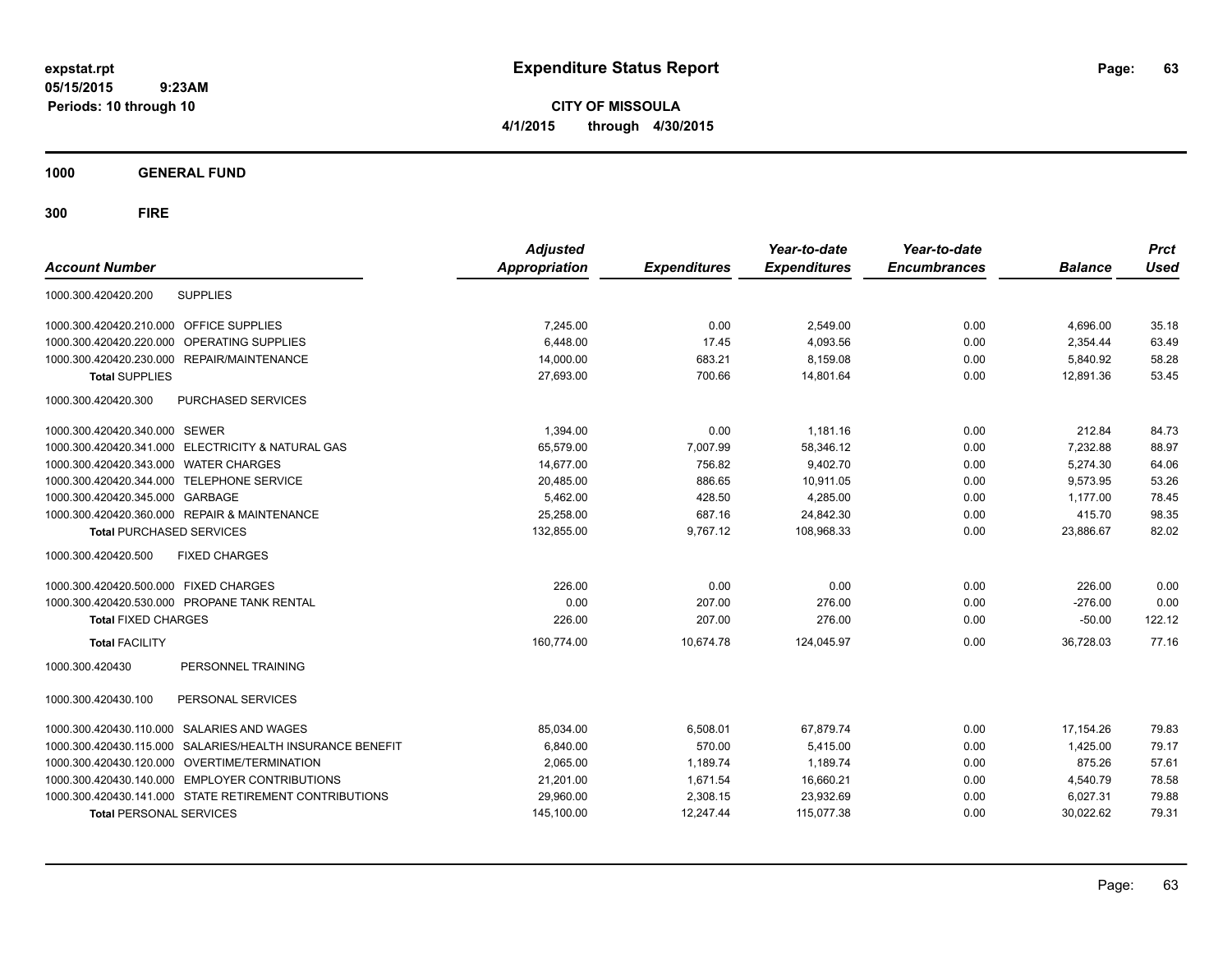**CITY OF MISSOULA 4/1/2015 through 4/30/2015**

**1000 GENERAL FUND**

| <b>Account Number</b>                                        | <b>Adjusted</b><br><b>Appropriation</b> | <b>Expenditures</b> | Year-to-date<br><b>Expenditures</b> | Year-to-date<br><b>Encumbrances</b> | <b>Balance</b> | <b>Prct</b><br><b>Used</b> |
|--------------------------------------------------------------|-----------------------------------------|---------------------|-------------------------------------|-------------------------------------|----------------|----------------------------|
| <b>SUPPLIES</b><br>1000.300.420420.200                       |                                         |                     |                                     |                                     |                |                            |
| 1000.300.420420.210.000 OFFICE SUPPLIES                      | 7.245.00                                | 0.00                | 2,549.00                            | 0.00                                | 4,696.00       | 35.18                      |
| 1000.300.420420.220.000<br>OPERATING SUPPLIES                | 6,448.00                                | 17.45               | 4,093.56                            | 0.00                                | 2,354.44       | 63.49                      |
| 1000.300.420420.230.000 REPAIR/MAINTENANCE                   | 14,000.00                               | 683.21              | 8,159.08                            | 0.00                                | 5.840.92       | 58.28                      |
| <b>Total SUPPLIES</b>                                        | 27,693.00                               | 700.66              | 14,801.64                           | 0.00                                | 12,891.36      | 53.45                      |
| <b>PURCHASED SERVICES</b><br>1000.300.420420.300             |                                         |                     |                                     |                                     |                |                            |
| 1000.300.420420.340.000 SEWER                                | 1,394.00                                | 0.00                | 1,181.16                            | 0.00                                | 212.84         | 84.73                      |
| 1000.300.420420.341.000 ELECTRICITY & NATURAL GAS            | 65,579.00                               | 7,007.99            | 58,346.12                           | 0.00                                | 7,232.88       | 88.97                      |
| 1000.300.420420.343.000 WATER CHARGES                        | 14,677.00                               | 756.82              | 9,402.70                            | 0.00                                | 5,274.30       | 64.06                      |
| 1000.300.420420.344.000 TELEPHONE SERVICE                    | 20,485.00                               | 886.65              | 10,911.05                           | 0.00                                | 9,573.95       | 53.26                      |
| 1000.300.420420.345.000 GARBAGE                              | 5,462.00                                | 428.50              | 4,285.00                            | 0.00                                | 1,177.00       | 78.45                      |
| 1000.300.420420.360.000 REPAIR & MAINTENANCE                 | 25,258.00                               | 687.16              | 24,842.30                           | 0.00                                | 415.70         | 98.35                      |
| <b>Total PURCHASED SERVICES</b>                              | 132,855.00                              | 9,767.12            | 108,968.33                          | 0.00                                | 23,886.67      | 82.02                      |
| 1000.300.420420.500<br><b>FIXED CHARGES</b>                  |                                         |                     |                                     |                                     |                |                            |
| 1000.300.420420.500.000 FIXED CHARGES                        | 226.00                                  | 0.00                | 0.00                                | 0.00                                | 226.00         | 0.00                       |
| 1000.300.420420.530.000 PROPANE TANK RENTAL                  | 0.00                                    | 207.00              | 276.00                              | 0.00                                | $-276.00$      | 0.00                       |
| <b>Total FIXED CHARGES</b>                                   | 226.00                                  | 207.00              | 276.00                              | 0.00                                | $-50.00$       | 122.12                     |
| <b>Total FACILITY</b>                                        | 160.774.00                              | 10,674.78           | 124.045.97                          | 0.00                                | 36.728.03      | 77.16                      |
| PERSONNEL TRAINING<br>1000.300.420430                        |                                         |                     |                                     |                                     |                |                            |
| PERSONAL SERVICES<br>1000.300.420430.100                     |                                         |                     |                                     |                                     |                |                            |
| <b>SALARIES AND WAGES</b><br>1000.300.420430.110.000         | 85,034.00                               | 6,508.01            | 67,879.74                           | 0.00                                | 17,154.26      | 79.83                      |
| 1000.300.420430.115.000<br>SALARIES/HEALTH INSURANCE BENEFIT | 6,840.00                                | 570.00              | 5,415.00                            | 0.00                                | 1,425.00       | 79.17                      |
| 1000.300.420430.120.000 OVERTIME/TERMINATION                 | 2,065.00                                | 1,189.74            | 1,189.74                            | 0.00                                | 875.26         | 57.61                      |
| 1000.300.420430.140.000 EMPLOYER CONTRIBUTIONS               | 21,201.00                               | 1,671.54            | 16,660.21                           | 0.00                                | 4,540.79       | 78.58                      |
| 1000.300.420430.141.000 STATE RETIREMENT CONTRIBUTIONS       | 29,960.00                               | 2,308.15            | 23,932.69                           | 0.00                                | 6,027.31       | 79.88                      |
| <b>Total PERSONAL SERVICES</b>                               | 145,100.00                              | 12,247.44           | 115,077.38                          | 0.00                                | 30,022.62      | 79.31                      |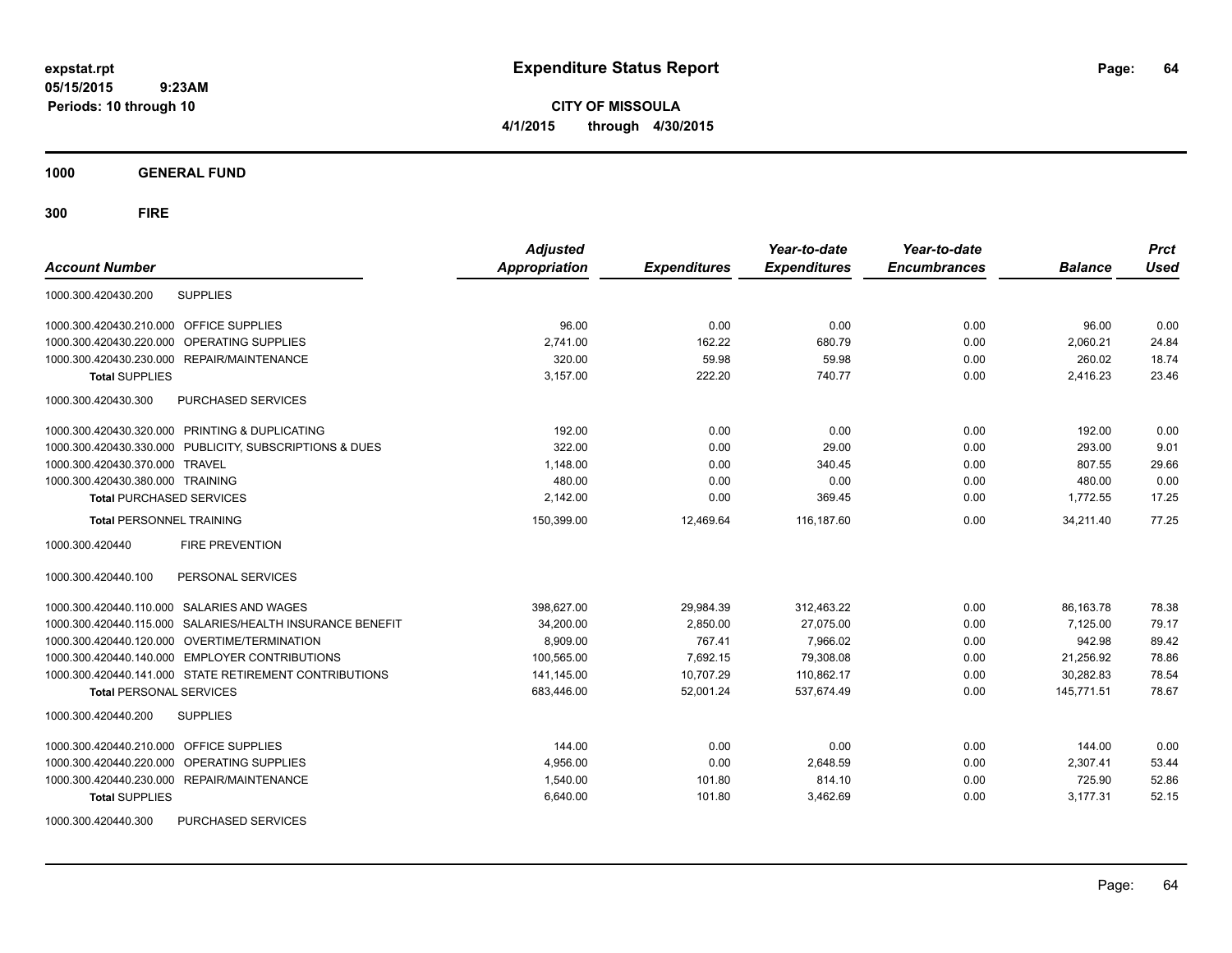**CITY OF MISSOULA 4/1/2015 through 4/30/2015**

**1000 GENERAL FUND**

| <b>Account Number</b>                                     | <b>Adjusted</b><br><b>Appropriation</b> | <b>Expenditures</b> | Year-to-date<br><b>Expenditures</b> | Year-to-date<br><b>Encumbrances</b> | <b>Balance</b> | <b>Prct</b><br><b>Used</b> |
|-----------------------------------------------------------|-----------------------------------------|---------------------|-------------------------------------|-------------------------------------|----------------|----------------------------|
| <b>SUPPLIES</b><br>1000.300.420430.200                    |                                         |                     |                                     |                                     |                |                            |
| 1000.300.420430.210.000 OFFICE SUPPLIES                   | 96.00                                   | 0.00                | 0.00                                | 0.00                                | 96.00          | 0.00                       |
| 1000.300.420430.220.000<br>OPERATING SUPPLIES             | 2,741.00                                | 162.22              | 680.79                              | 0.00                                | 2,060.21       | 24.84                      |
| 1000.300.420430.230.000 REPAIR/MAINTENANCE                | 320.00                                  | 59.98               | 59.98                               | 0.00                                | 260.02         | 18.74                      |
| <b>Total SUPPLIES</b>                                     | 3,157.00                                | 222.20              | 740.77                              | 0.00                                | 2,416.23       | 23.46                      |
| 1000.300.420430.300<br>PURCHASED SERVICES                 |                                         |                     |                                     |                                     |                |                            |
| 1000.300.420430.320.000 PRINTING & DUPLICATING            | 192.00                                  | 0.00                | 0.00                                | 0.00                                | 192.00         | 0.00                       |
| 1000.300.420430.330.000 PUBLICITY, SUBSCRIPTIONS & DUES   | 322.00                                  | 0.00                | 29.00                               | 0.00                                | 293.00         | 9.01                       |
| 1000.300.420430.370.000 TRAVEL                            | 1,148.00                                | 0.00                | 340.45                              | 0.00                                | 807.55         | 29.66                      |
| 1000.300.420430.380.000 TRAINING                          | 480.00                                  | 0.00                | 0.00                                | 0.00                                | 480.00         | 0.00                       |
| <b>Total PURCHASED SERVICES</b>                           | 2,142.00                                | 0.00                | 369.45                              | 0.00                                | 1,772.55       | 17.25                      |
| <b>Total PERSONNEL TRAINING</b>                           | 150,399.00                              | 12,469.64           | 116,187.60                          | 0.00                                | 34,211.40      | 77.25                      |
| 1000.300.420440<br><b>FIRE PREVENTION</b>                 |                                         |                     |                                     |                                     |                |                            |
| 1000.300.420440.100<br>PERSONAL SERVICES                  |                                         |                     |                                     |                                     |                |                            |
| 1000.300.420440.110.000 SALARIES AND WAGES                | 398,627.00                              | 29,984.39           | 312.463.22                          | 0.00                                | 86.163.78      | 78.38                      |
| 1000.300.420440.115.000 SALARIES/HEALTH INSURANCE BENEFIT | 34,200.00                               | 2,850.00            | 27,075.00                           | 0.00                                | 7,125.00       | 79.17                      |
| 1000.300.420440.120.000 OVERTIME/TERMINATION              | 8,909.00                                | 767.41              | 7,966.02                            | 0.00                                | 942.98         | 89.42                      |
| 1000.300.420440.140.000 EMPLOYER CONTRIBUTIONS            | 100,565.00                              | 7,692.15            | 79,308.08                           | 0.00                                | 21,256.92      | 78.86                      |
| 1000.300.420440.141.000 STATE RETIREMENT CONTRIBUTIONS    | 141,145.00                              | 10,707.29           | 110,862.17                          | 0.00                                | 30,282.83      | 78.54                      |
| <b>Total PERSONAL SERVICES</b>                            | 683,446.00                              | 52,001.24           | 537,674.49                          | 0.00                                | 145,771.51     | 78.67                      |
| 1000.300.420440.200<br><b>SUPPLIES</b>                    |                                         |                     |                                     |                                     |                |                            |
| 1000.300.420440.210.000 OFFICE SUPPLIES                   | 144.00                                  | 0.00                | 0.00                                | 0.00                                | 144.00         | 0.00                       |
| OPERATING SUPPLIES<br>1000.300.420440.220.000             | 4,956.00                                | 0.00                | 2,648.59                            | 0.00                                | 2,307.41       | 53.44                      |
| 1000.300.420440.230.000 REPAIR/MAINTENANCE                | 1,540.00                                | 101.80              | 814.10                              | 0.00                                | 725.90         | 52.86                      |
| <b>Total SUPPLIES</b>                                     | 6,640.00                                | 101.80              | 3,462.69                            | 0.00                                | 3,177.31       | 52.15                      |
| 1000.300.420440.300<br>PURCHASED SERVICES                 |                                         |                     |                                     |                                     |                |                            |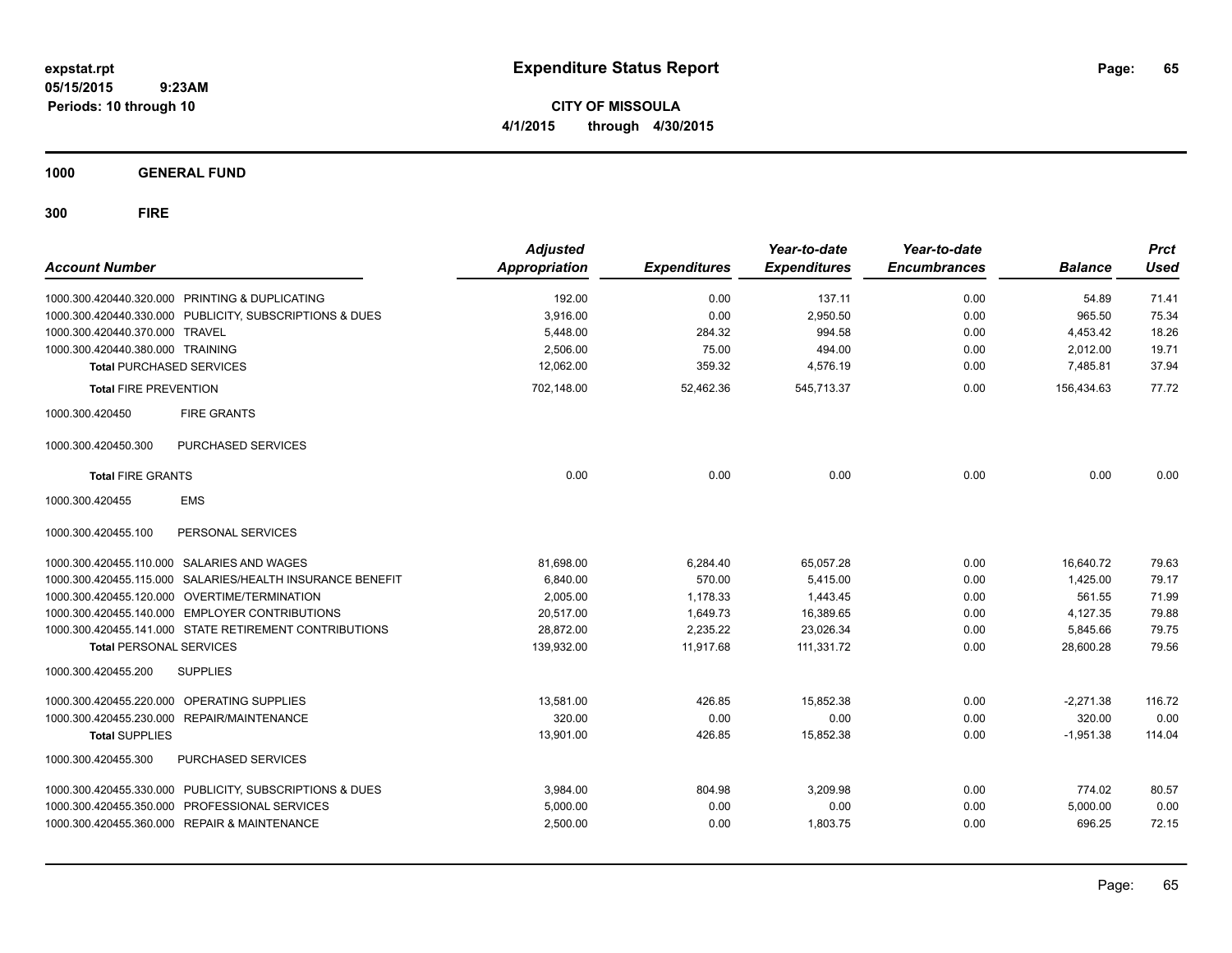**CITY OF MISSOULA 4/1/2015 through 4/30/2015**

**1000 GENERAL FUND**

| <b>Account Number</b>            |                                                         | <b>Adjusted</b><br>Appropriation | <b>Expenditures</b> | Year-to-date<br><b>Expenditures</b> | Year-to-date<br><b>Encumbrances</b> | <b>Balance</b> | <b>Prct</b><br><b>Used</b> |
|----------------------------------|---------------------------------------------------------|----------------------------------|---------------------|-------------------------------------|-------------------------------------|----------------|----------------------------|
|                                  | 1000.300.420440.320.000 PRINTING & DUPLICATING          | 192.00                           | 0.00                | 137.11                              | 0.00                                | 54.89          | 71.41                      |
|                                  | 1000.300.420440.330.000 PUBLICITY, SUBSCRIPTIONS & DUES | 3.916.00                         | 0.00                | 2.950.50                            | 0.00                                | 965.50         | 75.34                      |
| 1000.300.420440.370.000 TRAVEL   |                                                         | 5,448.00                         | 284.32              | 994.58                              | 0.00                                | 4,453.42       | 18.26                      |
| 1000.300.420440.380.000 TRAINING |                                                         | 2,506.00                         | 75.00               | 494.00                              | 0.00                                | 2,012.00       | 19.71                      |
| <b>Total PURCHASED SERVICES</b>  |                                                         | 12,062.00                        | 359.32              | 4,576.19                            | 0.00                                | 7,485.81       | 37.94                      |
| <b>Total FIRE PREVENTION</b>     |                                                         | 702,148.00                       | 52,462.36           | 545,713.37                          | 0.00                                | 156,434.63     | 77.72                      |
| 1000.300.420450                  | <b>FIRE GRANTS</b>                                      |                                  |                     |                                     |                                     |                |                            |
| 1000.300.420450.300              | PURCHASED SERVICES                                      |                                  |                     |                                     |                                     |                |                            |
| <b>Total FIRE GRANTS</b>         |                                                         | 0.00                             | 0.00                | 0.00                                | 0.00                                | 0.00           | 0.00                       |
| 1000.300.420455                  | <b>EMS</b>                                              |                                  |                     |                                     |                                     |                |                            |
| 1000.300.420455.100              | PERSONAL SERVICES                                       |                                  |                     |                                     |                                     |                |                            |
|                                  | 1000.300.420455.110.000 SALARIES AND WAGES              | 81.698.00                        | 6,284.40            | 65.057.28                           | 0.00                                | 16.640.72      | 79.63                      |
| 1000.300.420455.115.000          | SALARIES/HEALTH INSURANCE BENEFIT                       | 6,840.00                         | 570.00              | 5,415.00                            | 0.00                                | 1,425.00       | 79.17                      |
| 1000.300.420455.120.000          | OVERTIME/TERMINATION                                    | 2,005.00                         | 1,178.33            | 1,443.45                            | 0.00                                | 561.55         | 71.99                      |
|                                  | 1000.300.420455.140.000 EMPLOYER CONTRIBUTIONS          | 20,517.00                        | 1,649.73            | 16,389.65                           | 0.00                                | 4,127.35       | 79.88                      |
|                                  | 1000.300.420455.141.000 STATE RETIREMENT CONTRIBUTIONS  | 28,872.00                        | 2,235.22            | 23,026.34                           | 0.00                                | 5,845.66       | 79.75                      |
| <b>Total PERSONAL SERVICES</b>   |                                                         | 139,932.00                       | 11,917.68           | 111,331.72                          | 0.00                                | 28,600.28      | 79.56                      |
| 1000.300.420455.200              | <b>SUPPLIES</b>                                         |                                  |                     |                                     |                                     |                |                            |
|                                  | 1000.300.420455.220.000 OPERATING SUPPLIES              | 13.581.00                        | 426.85              | 15.852.38                           | 0.00                                | $-2,271.38$    | 116.72                     |
|                                  | 1000.300.420455.230.000 REPAIR/MAINTENANCE              | 320.00                           | 0.00                | 0.00                                | 0.00                                | 320.00         | 0.00                       |
| <b>Total SUPPLIES</b>            |                                                         | 13,901.00                        | 426.85              | 15,852.38                           | 0.00                                | $-1,951.38$    | 114.04                     |
| 1000.300.420455.300              | PURCHASED SERVICES                                      |                                  |                     |                                     |                                     |                |                            |
|                                  | 1000.300.420455.330.000 PUBLICITY, SUBSCRIPTIONS & DUES | 3,984.00                         | 804.98              | 3,209.98                            | 0.00                                | 774.02         | 80.57                      |
|                                  | 1000.300.420455.350.000 PROFESSIONAL SERVICES           | 5,000.00                         | 0.00                | 0.00                                | 0.00                                | 5,000.00       | 0.00                       |
|                                  | 1000.300.420455.360.000 REPAIR & MAINTENANCE            | 2,500.00                         | 0.00                | 1,803.75                            | 0.00                                | 696.25         | 72.15                      |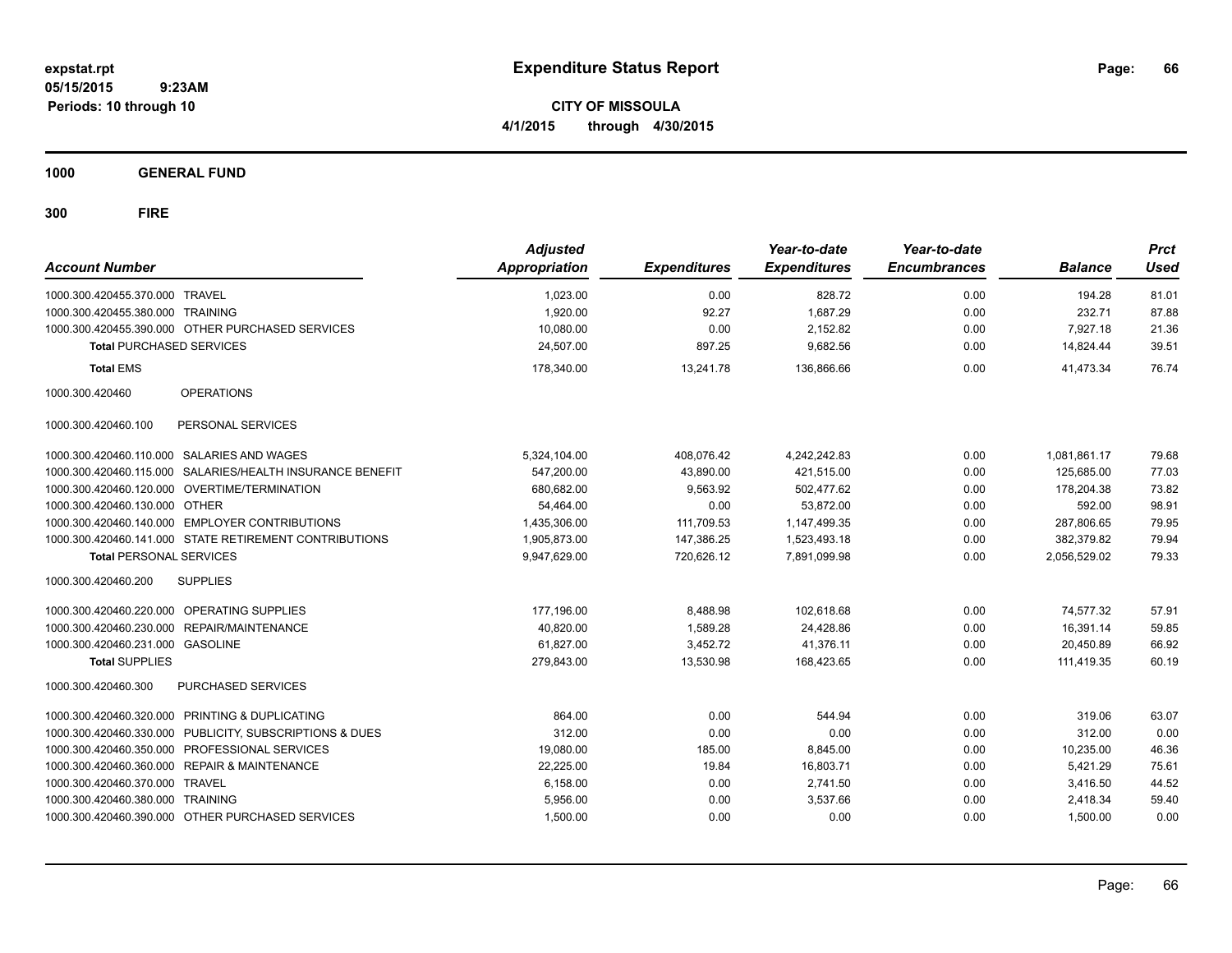**CITY OF MISSOULA 4/1/2015 through 4/30/2015**

**1000 GENERAL FUND**

| <b>Account Number</b>            |                                                           | <b>Adjusted</b><br><b>Appropriation</b> | <b>Expenditures</b> | Year-to-date<br><b>Expenditures</b> | Year-to-date<br><b>Encumbrances</b> | <b>Balance</b> | <b>Prct</b><br><b>Used</b> |
|----------------------------------|-----------------------------------------------------------|-----------------------------------------|---------------------|-------------------------------------|-------------------------------------|----------------|----------------------------|
| 1000.300.420455.370.000 TRAVEL   |                                                           | 1,023.00                                | 0.00                | 828.72                              | 0.00                                | 194.28         | 81.01                      |
| 1000.300.420455.380.000 TRAINING |                                                           | 1,920.00                                | 92.27               | 1,687.29                            | 0.00                                | 232.71         | 87.88                      |
|                                  | 1000.300.420455.390.000 OTHER PURCHASED SERVICES          | 10,080.00                               | 0.00                | 2,152.82                            | 0.00                                | 7,927.18       | 21.36                      |
| <b>Total PURCHASED SERVICES</b>  |                                                           | 24,507.00                               | 897.25              | 9,682.56                            | 0.00                                | 14,824.44      | 39.51                      |
| <b>Total EMS</b>                 |                                                           | 178,340.00                              | 13,241.78           | 136,866.66                          | 0.00                                | 41.473.34      | 76.74                      |
| 1000.300.420460                  | <b>OPERATIONS</b>                                         |                                         |                     |                                     |                                     |                |                            |
| 1000.300.420460.100              | PERSONAL SERVICES                                         |                                         |                     |                                     |                                     |                |                            |
|                                  | 1000.300.420460.110.000 SALARIES AND WAGES                | 5,324,104.00                            | 408.076.42          | 4,242,242.83                        | 0.00                                | 1.081.861.17   | 79.68                      |
|                                  | 1000.300.420460.115.000 SALARIES/HEALTH INSURANCE BENEFIT | 547,200.00                              | 43,890.00           | 421,515.00                          | 0.00                                | 125,685.00     | 77.03                      |
|                                  | 1000.300.420460.120.000 OVERTIME/TERMINATION              | 680,682.00                              | 9,563.92            | 502,477.62                          | 0.00                                | 178,204.38     | 73.82                      |
| 1000.300.420460.130.000 OTHER    |                                                           | 54,464.00                               | 0.00                | 53,872.00                           | 0.00                                | 592.00         | 98.91                      |
|                                  | 1000.300.420460.140.000 EMPLOYER CONTRIBUTIONS            | 1,435,306.00                            | 111,709.53          | 1,147,499.35                        | 0.00                                | 287,806.65     | 79.95                      |
|                                  | 1000.300.420460.141.000 STATE RETIREMENT CONTRIBUTIONS    | 1,905,873.00                            | 147,386.25          | 1.523.493.18                        | 0.00                                | 382.379.82     | 79.94                      |
| <b>Total PERSONAL SERVICES</b>   |                                                           | 9,947,629.00                            | 720,626.12          | 7,891,099.98                        | 0.00                                | 2,056,529.02   | 79.33                      |
| 1000.300.420460.200              | <b>SUPPLIES</b>                                           |                                         |                     |                                     |                                     |                |                            |
|                                  | 1000.300.420460.220.000 OPERATING SUPPLIES                | 177.196.00                              | 8,488.98            | 102.618.68                          | 0.00                                | 74.577.32      | 57.91                      |
|                                  | 1000.300.420460.230.000 REPAIR/MAINTENANCE                | 40.820.00                               | 1,589.28            | 24,428.86                           | 0.00                                | 16,391.14      | 59.85                      |
| 1000.300.420460.231.000 GASOLINE |                                                           | 61,827.00                               | 3,452.72            | 41,376.11                           | 0.00                                | 20,450.89      | 66.92                      |
| <b>Total SUPPLIES</b>            |                                                           | 279,843.00                              | 13,530.98           | 168,423.65                          | 0.00                                | 111.419.35     | 60.19                      |
| 1000.300.420460.300              | PURCHASED SERVICES                                        |                                         |                     |                                     |                                     |                |                            |
|                                  | 1000.300.420460.320.000 PRINTING & DUPLICATING            | 864.00                                  | 0.00                | 544.94                              | 0.00                                | 319.06         | 63.07                      |
|                                  | 1000.300.420460.330.000 PUBLICITY, SUBSCRIPTIONS & DUES   | 312.00                                  | 0.00                | 0.00                                | 0.00                                | 312.00         | 0.00                       |
|                                  | 1000.300.420460.350.000 PROFESSIONAL SERVICES             | 19,080.00                               | 185.00              | 8,845.00                            | 0.00                                | 10,235.00      | 46.36                      |
|                                  | 1000.300.420460.360.000 REPAIR & MAINTENANCE              | 22,225.00                               | 19.84               | 16,803.71                           | 0.00                                | 5,421.29       | 75.61                      |
| 1000.300.420460.370.000 TRAVEL   |                                                           | 6,158.00                                | 0.00                | 2.741.50                            | 0.00                                | 3,416.50       | 44.52                      |
| 1000.300.420460.380.000 TRAINING |                                                           | 5.956.00                                | 0.00                | 3.537.66                            | 0.00                                | 2,418.34       | 59.40                      |
|                                  | 1000.300.420460.390.000 OTHER PURCHASED SERVICES          | 1,500.00                                | 0.00                | 0.00                                | 0.00                                | 1,500.00       | 0.00                       |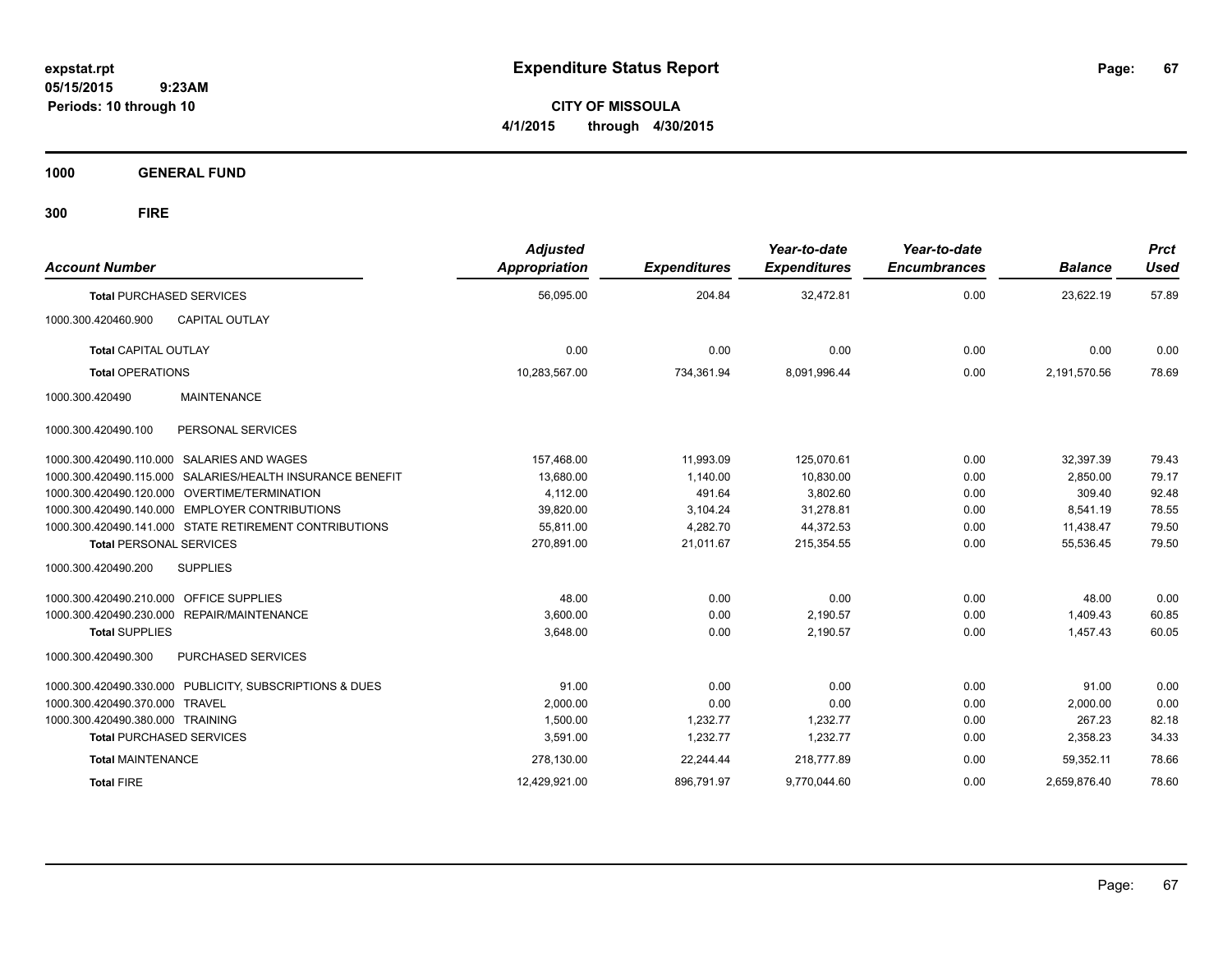**CITY OF MISSOULA 4/1/2015 through 4/30/2015**

**1000 GENERAL FUND**

| <b>Account Number</b>                   |                                                           | <b>Adjusted</b><br>Appropriation | <b>Expenditures</b> | Year-to-date<br><b>Expenditures</b> | Year-to-date<br><b>Encumbrances</b> | <b>Balance</b> | <b>Prct</b><br><b>Used</b> |
|-----------------------------------------|-----------------------------------------------------------|----------------------------------|---------------------|-------------------------------------|-------------------------------------|----------------|----------------------------|
| <b>Total PURCHASED SERVICES</b>         |                                                           | 56,095.00                        | 204.84              | 32,472.81                           | 0.00                                | 23,622.19      | 57.89                      |
| 1000.300.420460.900                     | <b>CAPITAL OUTLAY</b>                                     |                                  |                     |                                     |                                     |                |                            |
| <b>Total CAPITAL OUTLAY</b>             |                                                           | 0.00                             | 0.00                | 0.00                                | 0.00                                | 0.00           | 0.00                       |
| <b>Total OPERATIONS</b>                 |                                                           | 10,283,567.00                    | 734,361.94          | 8,091,996.44                        | 0.00                                | 2,191,570.56   | 78.69                      |
| 1000.300.420490                         | MAINTENANCE                                               |                                  |                     |                                     |                                     |                |                            |
| 1000.300.420490.100                     | PERSONAL SERVICES                                         |                                  |                     |                                     |                                     |                |                            |
|                                         | 1000.300.420490.110.000 SALARIES AND WAGES                | 157,468.00                       | 11.993.09           | 125,070.61                          | 0.00                                | 32.397.39      | 79.43                      |
|                                         | 1000.300.420490.115.000 SALARIES/HEALTH INSURANCE BENEFIT | 13,680.00                        | 1,140.00            | 10,830.00                           | 0.00                                | 2,850.00       | 79.17                      |
|                                         | 1000.300.420490.120.000 OVERTIME/TERMINATION              | 4,112.00                         | 491.64              | 3,802.60                            | 0.00                                | 309.40         | 92.48                      |
|                                         | 1000.300.420490.140.000 EMPLOYER CONTRIBUTIONS            | 39.820.00                        | 3,104.24            | 31,278.81                           | 0.00                                | 8.541.19       | 78.55                      |
|                                         | 1000.300.420490.141.000 STATE RETIREMENT CONTRIBUTIONS    | 55,811.00                        | 4,282.70            | 44,372.53                           | 0.00                                | 11,438.47      | 79.50                      |
| <b>Total PERSONAL SERVICES</b>          |                                                           | 270,891.00                       | 21,011.67           | 215,354.55                          | 0.00                                | 55,536.45      | 79.50                      |
| 1000.300.420490.200                     | <b>SUPPLIES</b>                                           |                                  |                     |                                     |                                     |                |                            |
| 1000.300.420490.210.000 OFFICE SUPPLIES |                                                           | 48.00                            | 0.00                | 0.00                                | 0.00                                | 48.00          | 0.00                       |
|                                         | 1000.300.420490.230.000 REPAIR/MAINTENANCE                | 3.600.00                         | 0.00                | 2.190.57                            | 0.00                                | 1.409.43       | 60.85                      |
| <b>Total SUPPLIES</b>                   |                                                           | 3,648.00                         | 0.00                | 2,190.57                            | 0.00                                | 1,457.43       | 60.05                      |
| 1000.300.420490.300                     | PURCHASED SERVICES                                        |                                  |                     |                                     |                                     |                |                            |
|                                         | 1000.300.420490.330.000 PUBLICITY, SUBSCRIPTIONS & DUES   | 91.00                            | 0.00                | 0.00                                | 0.00                                | 91.00          | 0.00                       |
| 1000.300.420490.370.000 TRAVEL          |                                                           | 2,000.00                         | 0.00                | 0.00                                | 0.00                                | 2,000.00       | 0.00                       |
| 1000.300.420490.380.000 TRAINING        |                                                           | 1,500.00                         | 1,232.77            | 1,232.77                            | 0.00                                | 267.23         | 82.18                      |
| <b>Total PURCHASED SERVICES</b>         |                                                           | 3,591.00                         | 1,232.77            | 1,232.77                            | 0.00                                | 2,358.23       | 34.33                      |
| <b>Total MAINTENANCE</b>                |                                                           | 278,130.00                       | 22,244.44           | 218,777.89                          | 0.00                                | 59,352.11      | 78.66                      |
| <b>Total FIRE</b>                       |                                                           | 12,429,921.00                    | 896,791.97          | 9,770,044.60                        | 0.00                                | 2,659,876.40   | 78.60                      |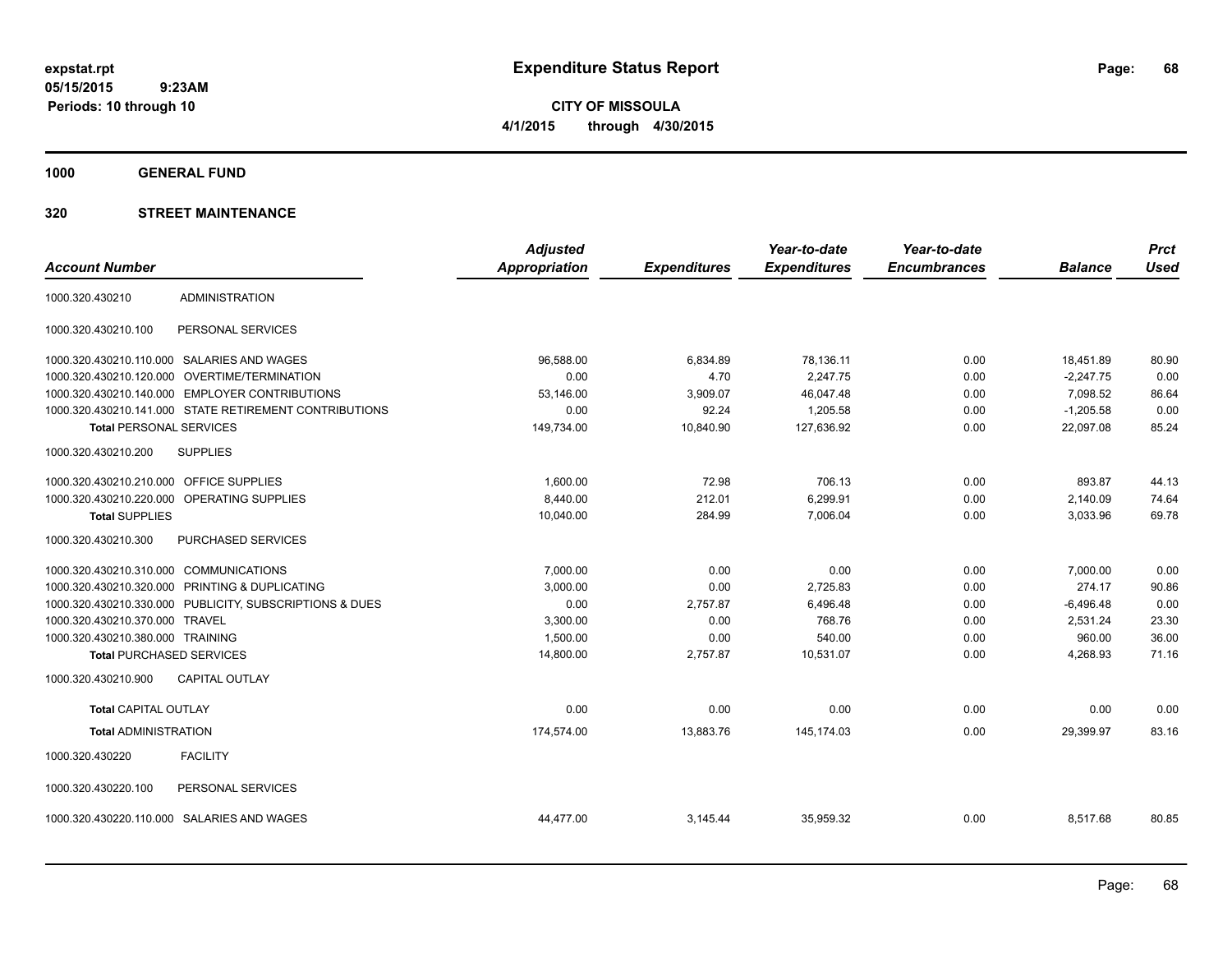**CITY OF MISSOULA 4/1/2015 through 4/30/2015**

**1000 GENERAL FUND**

|                                        |                                                         | <b>Adjusted</b>      |                     | Year-to-date        | Year-to-date        |                | <b>Prct</b> |
|----------------------------------------|---------------------------------------------------------|----------------------|---------------------|---------------------|---------------------|----------------|-------------|
| <b>Account Number</b>                  |                                                         | <b>Appropriation</b> | <b>Expenditures</b> | <b>Expenditures</b> | <b>Encumbrances</b> | <b>Balance</b> | <b>Used</b> |
| 1000.320.430210                        | <b>ADMINISTRATION</b>                                   |                      |                     |                     |                     |                |             |
| 1000.320.430210.100                    | PERSONAL SERVICES                                       |                      |                     |                     |                     |                |             |
|                                        | 1000.320.430210.110.000 SALARIES AND WAGES              | 96,588.00            | 6,834.89            | 78,136.11           | 0.00                | 18,451.89      | 80.90       |
| 1000.320.430210.120.000                | OVERTIME/TERMINATION                                    | 0.00                 | 4.70                | 2,247.75            | 0.00                | $-2,247.75$    | 0.00        |
|                                        | 1000.320.430210.140.000 EMPLOYER CONTRIBUTIONS          | 53,146.00            | 3,909.07            | 46,047.48           | 0.00                | 7,098.52       | 86.64       |
|                                        | 1000.320.430210.141.000 STATE RETIREMENT CONTRIBUTIONS  | 0.00                 | 92.24               | 1,205.58            | 0.00                | $-1,205.58$    | 0.00        |
| <b>Total PERSONAL SERVICES</b>         |                                                         | 149,734.00           | 10,840.90           | 127,636.92          | 0.00                | 22,097.08      | 85.24       |
| 1000.320.430210.200                    | <b>SUPPLIES</b>                                         |                      |                     |                     |                     |                |             |
| 1000.320.430210.210.000                | OFFICE SUPPLIES                                         | 1,600.00             | 72.98               | 706.13              | 0.00                | 893.87         | 44.13       |
|                                        | 1000.320.430210.220.000 OPERATING SUPPLIES              | 8,440.00             | 212.01              | 6,299.91            | 0.00                | 2,140.09       | 74.64       |
| <b>Total SUPPLIES</b>                  |                                                         | 10,040.00            | 284.99              | 7,006.04            | 0.00                | 3,033.96       | 69.78       |
| 1000.320.430210.300                    | PURCHASED SERVICES                                      |                      |                     |                     |                     |                |             |
| 1000.320.430210.310.000 COMMUNICATIONS |                                                         | 7,000.00             | 0.00                | 0.00                | 0.00                | 7,000.00       | 0.00        |
|                                        | 1000.320.430210.320.000 PRINTING & DUPLICATING          | 3,000.00             | 0.00                | 2,725.83            | 0.00                | 274.17         | 90.86       |
|                                        | 1000.320.430210.330.000 PUBLICITY, SUBSCRIPTIONS & DUES | 0.00                 | 2,757.87            | 6.496.48            | 0.00                | $-6.496.48$    | 0.00        |
| 1000.320.430210.370.000                | <b>TRAVEL</b>                                           | 3,300.00             | 0.00                | 768.76              | 0.00                | 2.531.24       | 23.30       |
| 1000.320.430210.380.000 TRAINING       |                                                         | 1.500.00             | 0.00                | 540.00              | 0.00                | 960.00         | 36.00       |
| <b>Total PURCHASED SERVICES</b>        |                                                         | 14,800.00            | 2,757.87            | 10,531.07           | 0.00                | 4,268.93       | 71.16       |
| 1000.320.430210.900                    | <b>CAPITAL OUTLAY</b>                                   |                      |                     |                     |                     |                |             |
| <b>Total CAPITAL OUTLAY</b>            |                                                         | 0.00                 | 0.00                | 0.00                | 0.00                | 0.00           | 0.00        |
| <b>Total ADMINISTRATION</b>            |                                                         | 174,574.00           | 13,883.76           | 145,174.03          | 0.00                | 29,399.97      | 83.16       |
| 1000.320.430220                        | <b>FACILITY</b>                                         |                      |                     |                     |                     |                |             |
| 1000.320.430220.100                    | PERSONAL SERVICES                                       |                      |                     |                     |                     |                |             |
|                                        | 1000.320.430220.110.000 SALARIES AND WAGES              | 44,477.00            | 3,145.44            | 35,959.32           | 0.00                | 8,517.68       | 80.85       |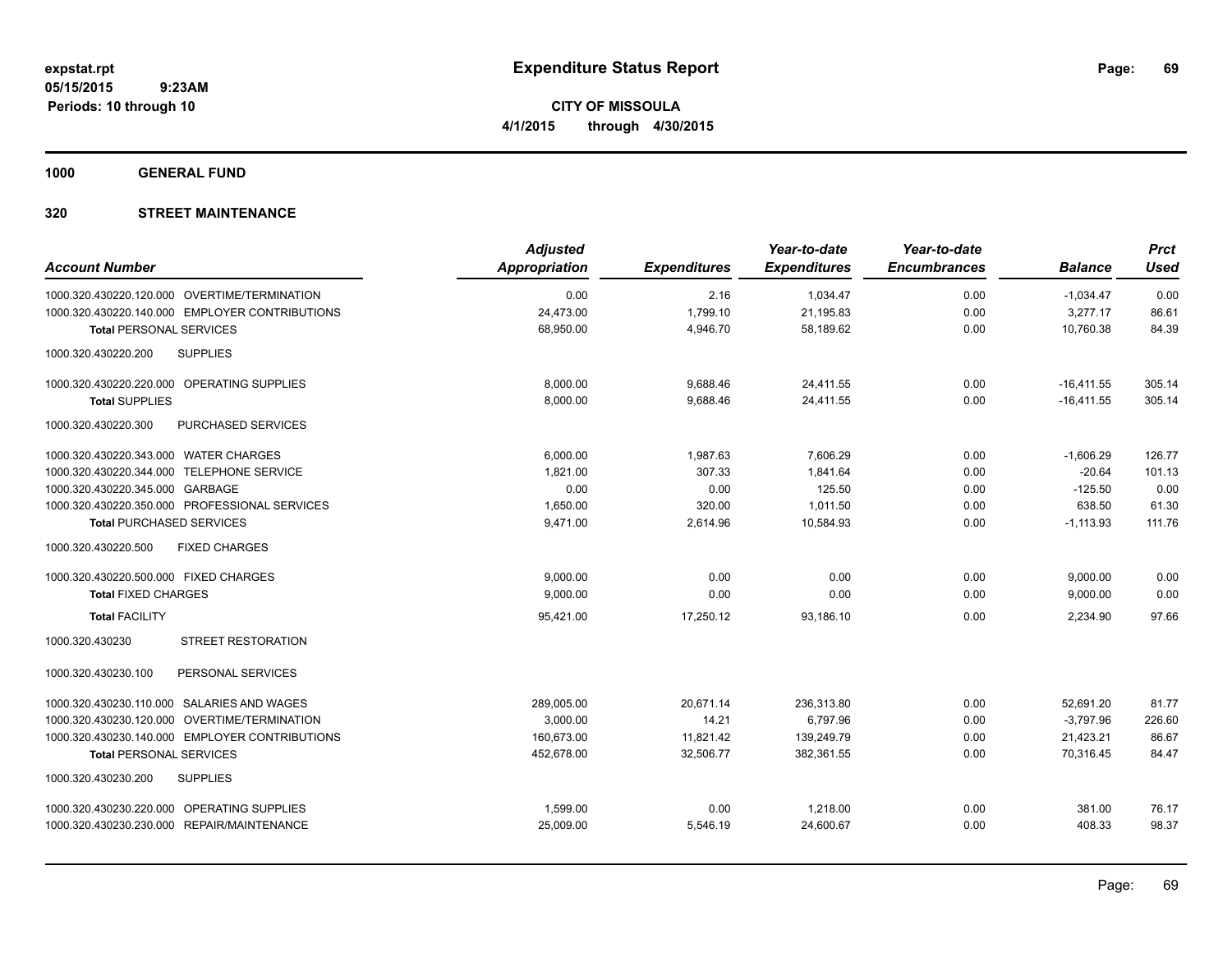**1000 GENERAL FUND**

| <b>Account Number</b>                          | <b>Adjusted</b><br>Appropriation | <b>Expenditures</b> | Year-to-date<br><b>Expenditures</b> | Year-to-date<br><b>Encumbrances</b> | <b>Balance</b> | <b>Prct</b><br><b>Used</b> |
|------------------------------------------------|----------------------------------|---------------------|-------------------------------------|-------------------------------------|----------------|----------------------------|
| 1000.320.430220.120.000 OVERTIME/TERMINATION   | 0.00                             | 2.16                | 1,034.47                            | 0.00                                | $-1,034.47$    | 0.00                       |
| 1000.320.430220.140.000 EMPLOYER CONTRIBUTIONS | 24,473.00                        | 1,799.10            | 21,195.83                           | 0.00                                | 3,277.17       | 86.61                      |
| <b>Total PERSONAL SERVICES</b>                 | 68,950.00                        | 4,946.70            | 58,189.62                           | 0.00                                | 10,760.38      | 84.39                      |
| 1000.320.430220.200<br><b>SUPPLIES</b>         |                                  |                     |                                     |                                     |                |                            |
| 1000.320.430220.220.000 OPERATING SUPPLIES     | 8.000.00                         | 9,688.46            | 24.411.55                           | 0.00                                | $-16,411.55$   | 305.14                     |
| <b>Total SUPPLIES</b>                          | 8,000.00                         | 9,688.46            | 24.411.55                           | 0.00                                | $-16,411.55$   | 305.14                     |
| PURCHASED SERVICES<br>1000.320.430220.300      |                                  |                     |                                     |                                     |                |                            |
| 1000.320.430220.343.000 WATER CHARGES          | 6,000.00                         | 1,987.63            | 7,606.29                            | 0.00                                | $-1,606.29$    | 126.77                     |
| 1000.320.430220.344.000 TELEPHONE SERVICE      | 1,821.00                         | 307.33              | 1.841.64                            | 0.00                                | $-20.64$       | 101.13                     |
| 1000.320.430220.345.000 GARBAGE                | 0.00                             | 0.00                | 125.50                              | 0.00                                | $-125.50$      | 0.00                       |
| 1000.320.430220.350.000 PROFESSIONAL SERVICES  | 1,650.00                         | 320.00              | 1,011.50                            | 0.00                                | 638.50         | 61.30                      |
| <b>Total PURCHASED SERVICES</b>                | 9,471.00                         | 2,614.96            | 10,584.93                           | 0.00                                | $-1,113.93$    | 111.76                     |
| 1000.320.430220.500<br><b>FIXED CHARGES</b>    |                                  |                     |                                     |                                     |                |                            |
| 1000.320.430220.500.000 FIXED CHARGES          | 9,000.00                         | 0.00                | 0.00                                | 0.00                                | 9,000.00       | 0.00                       |
| <b>Total FIXED CHARGES</b>                     | 9,000.00                         | 0.00                | 0.00                                | 0.00                                | 9,000.00       | 0.00                       |
| <b>Total FACILITY</b>                          | 95,421.00                        | 17,250.12           | 93,186.10                           | 0.00                                | 2,234.90       | 97.66                      |
| <b>STREET RESTORATION</b><br>1000.320.430230   |                                  |                     |                                     |                                     |                |                            |
| 1000.320.430230.100<br>PERSONAL SERVICES       |                                  |                     |                                     |                                     |                |                            |
| 1000.320.430230.110.000 SALARIES AND WAGES     | 289,005.00                       | 20,671.14           | 236,313.80                          | 0.00                                | 52,691.20      | 81.77                      |
| 1000.320.430230.120.000 OVERTIME/TERMINATION   | 3,000.00                         | 14.21               | 6,797.96                            | 0.00                                | $-3,797.96$    | 226.60                     |
| 1000.320.430230.140.000 EMPLOYER CONTRIBUTIONS | 160,673.00                       | 11,821.42           | 139,249.79                          | 0.00                                | 21,423.21      | 86.67                      |
| <b>Total PERSONAL SERVICES</b>                 | 452,678.00                       | 32,506.77           | 382,361.55                          | 0.00                                | 70,316.45      | 84.47                      |
| <b>SUPPLIES</b><br>1000.320.430230.200         |                                  |                     |                                     |                                     |                |                            |
| 1000.320.430230.220.000 OPERATING SUPPLIES     | 1,599.00                         | 0.00                | 1,218.00                            | 0.00                                | 381.00         | 76.17                      |
| 1000.320.430230.230.000 REPAIR/MAINTENANCE     | 25,009.00                        | 5,546.19            | 24,600.67                           | 0.00                                | 408.33         | 98.37                      |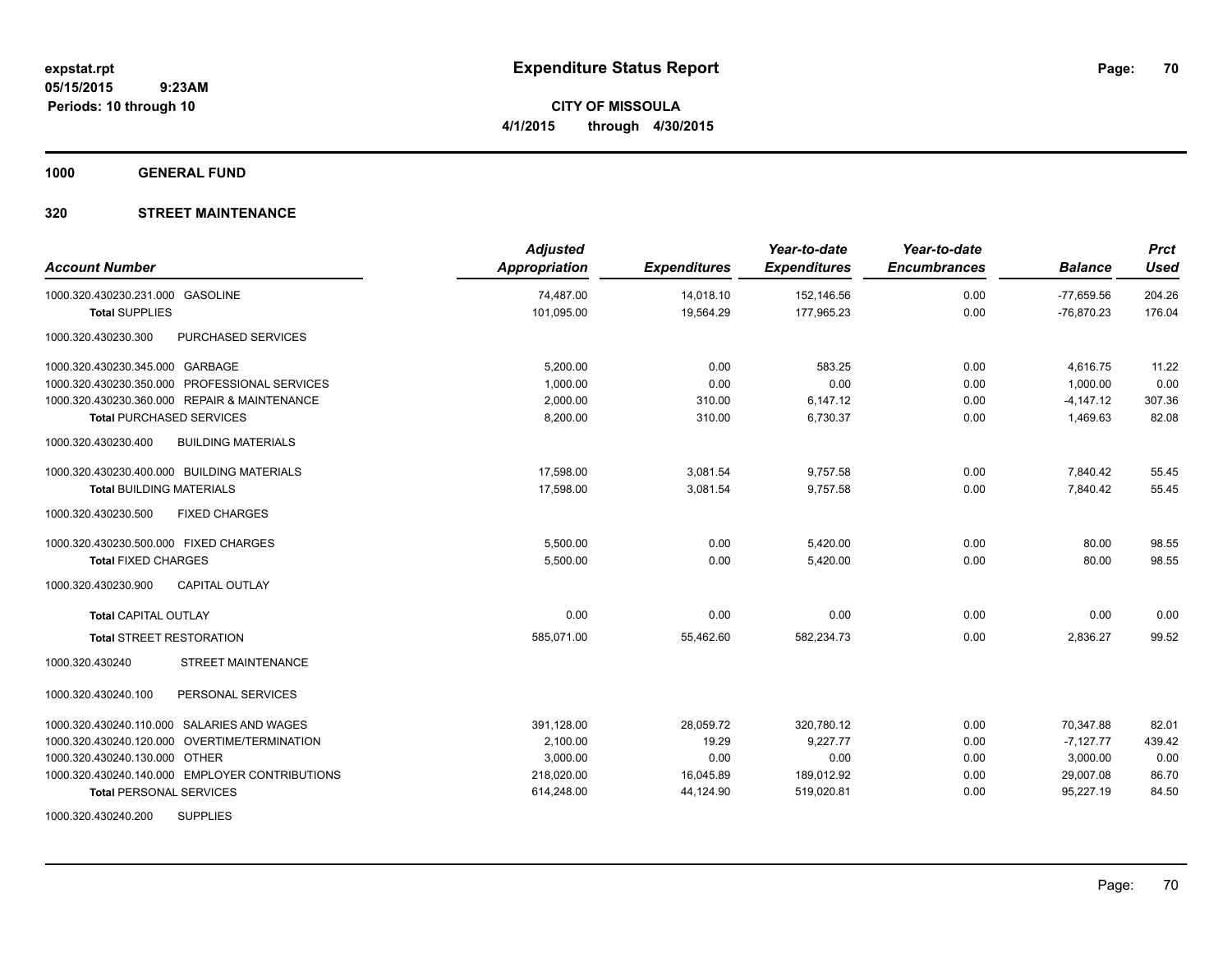**1000 GENERAL FUND**

| <b>Account Number</b>                            | <b>Adjusted</b><br><b>Appropriation</b> | <b>Expenditures</b> | Year-to-date<br><b>Expenditures</b> | Year-to-date<br><b>Encumbrances</b> | <b>Balance</b> | <b>Prct</b><br><b>Used</b> |
|--------------------------------------------------|-----------------------------------------|---------------------|-------------------------------------|-------------------------------------|----------------|----------------------------|
| 1000.320.430230.231.000 GASOLINE                 | 74,487.00                               | 14,018.10           | 152,146.56                          | 0.00                                | $-77,659.56$   | 204.26                     |
| <b>Total SUPPLIES</b>                            | 101,095.00                              | 19,564.29           | 177,965.23                          | 0.00                                | $-76,870.23$   | 176.04                     |
| 1000.320.430230.300<br>PURCHASED SERVICES        |                                         |                     |                                     |                                     |                |                            |
| 1000.320.430230.345.000 GARBAGE                  | 5,200.00                                | 0.00                | 583.25                              | 0.00                                | 4,616.75       | 11.22                      |
| 1000.320.430230.350.000 PROFESSIONAL SERVICES    | 1,000.00                                | 0.00                | 0.00                                | 0.00                                | 1,000.00       | 0.00                       |
| 1000.320.430230.360.000 REPAIR & MAINTENANCE     | 2,000.00                                | 310.00              | 6,147.12                            | 0.00                                | $-4,147.12$    | 307.36                     |
| <b>Total PURCHASED SERVICES</b>                  | 8,200.00                                | 310.00              | 6,730.37                            | 0.00                                | 1,469.63       | 82.08                      |
| 1000.320.430230.400<br><b>BUILDING MATERIALS</b> |                                         |                     |                                     |                                     |                |                            |
| 1000.320.430230.400.000 BUILDING MATERIALS       | 17,598.00                               | 3,081.54            | 9,757.58                            | 0.00                                | 7,840.42       | 55.45                      |
| <b>Total BUILDING MATERIALS</b>                  | 17,598.00                               | 3,081.54            | 9,757.58                            | 0.00                                | 7,840.42       | 55.45                      |
| 1000.320.430230.500<br><b>FIXED CHARGES</b>      |                                         |                     |                                     |                                     |                |                            |
| 1000.320.430230.500.000 FIXED CHARGES            | 5.500.00                                | 0.00                | 5,420.00                            | 0.00                                | 80.00          | 98.55                      |
| <b>Total FIXED CHARGES</b>                       | 5,500.00                                | 0.00                | 5,420.00                            | 0.00                                | 80.00          | 98.55                      |
| <b>CAPITAL OUTLAY</b><br>1000.320.430230.900     |                                         |                     |                                     |                                     |                |                            |
| Total CAPITAL OUTLAY                             | 0.00                                    | 0.00                | 0.00                                | 0.00                                | 0.00           | 0.00                       |
| <b>Total STREET RESTORATION</b>                  | 585,071.00                              | 55,462.60           | 582,234.73                          | 0.00                                | 2,836.27       | 99.52                      |
| STREET MAINTENANCE<br>1000.320.430240            |                                         |                     |                                     |                                     |                |                            |
| PERSONAL SERVICES<br>1000.320.430240.100         |                                         |                     |                                     |                                     |                |                            |
| 1000.320.430240.110.000 SALARIES AND WAGES       | 391,128.00                              | 28,059.72           | 320,780.12                          | 0.00                                | 70,347.88      | 82.01                      |
| 1000.320.430240.120.000 OVERTIME/TERMINATION     | 2,100.00                                | 19.29               | 9,227.77                            | 0.00                                | $-7,127.77$    | 439.42                     |
| 1000.320.430240.130.000 OTHER                    | 3,000.00                                | 0.00                | 0.00                                | 0.00                                | 3,000.00       | 0.00                       |
| 1000.320.430240.140.000 EMPLOYER CONTRIBUTIONS   | 218,020.00                              | 16,045.89           | 189,012.92                          | 0.00                                | 29,007.08      | 86.70                      |
| <b>Total PERSONAL SERVICES</b>                   | 614,248.00                              | 44,124.90           | 519,020.81                          | 0.00                                | 95,227.19      | 84.50                      |
| 1000.320.430240.200<br><b>SUPPLIES</b>           |                                         |                     |                                     |                                     |                |                            |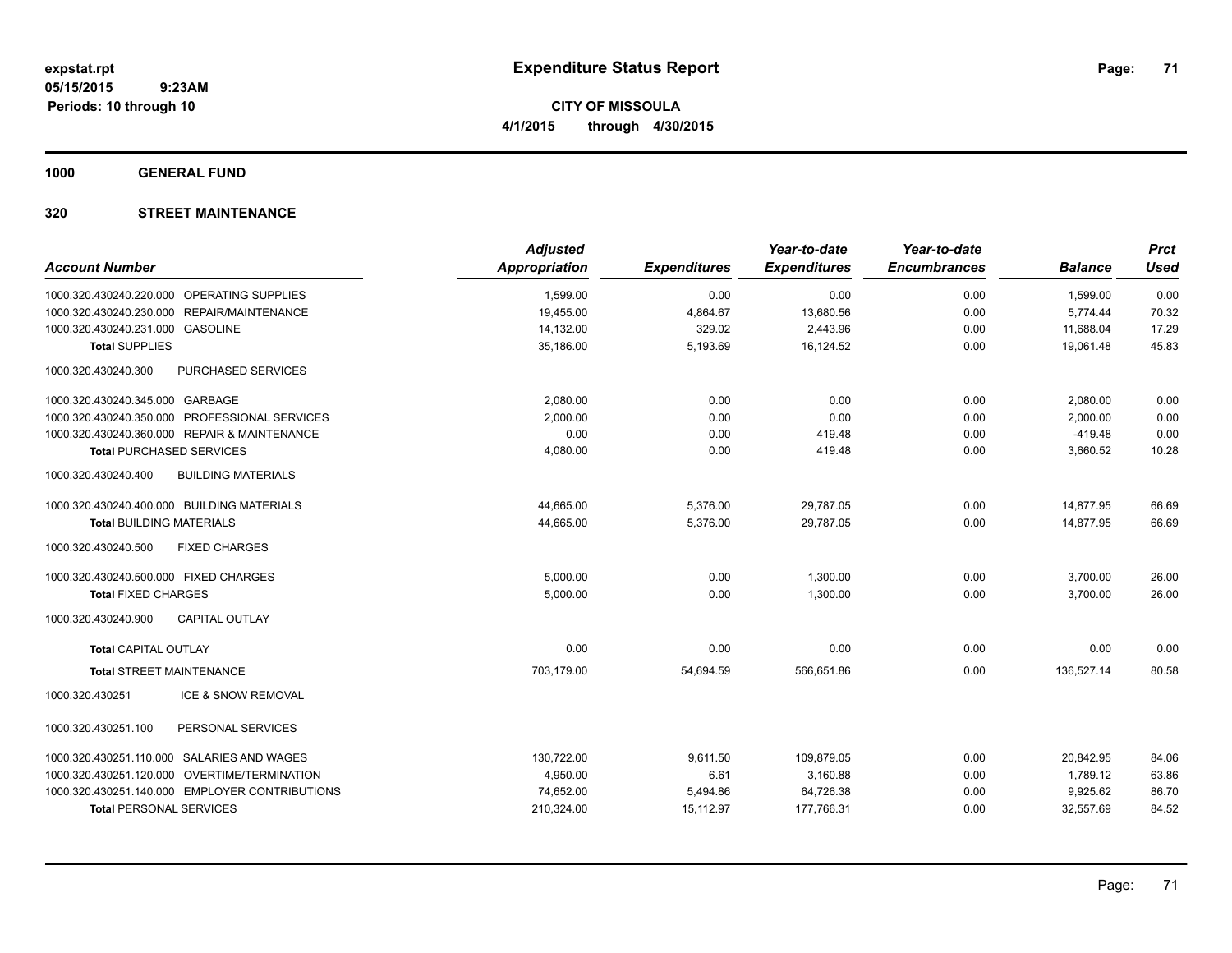**1000 GENERAL FUND**

| <b>Account Number</b>                            | <b>Adjusted</b><br>Appropriation | <b>Expenditures</b> | Year-to-date<br><b>Expenditures</b> | Year-to-date<br><b>Encumbrances</b> | <b>Balance</b>         | <b>Prct</b><br><b>Used</b> |
|--------------------------------------------------|----------------------------------|---------------------|-------------------------------------|-------------------------------------|------------------------|----------------------------|
|                                                  |                                  |                     |                                     |                                     |                        |                            |
| 1000.320.430240.220.000 OPERATING SUPPLIES       | 1,599.00                         | 0.00                | 0.00                                | 0.00                                | 1,599.00               | 0.00                       |
| 1000.320.430240.230.000 REPAIR/MAINTENANCE       | 19,455.00                        | 4,864.67            | 13,680.56                           | 0.00                                | 5,774.44               | 70.32                      |
| 1000.320.430240.231.000 GASOLINE                 | 14,132.00<br>35,186.00           | 329.02<br>5,193.69  | 2,443.96<br>16,124.52               | 0.00<br>0.00                        | 11,688.04<br>19,061.48 | 17.29<br>45.83             |
| <b>Total SUPPLIES</b>                            |                                  |                     |                                     |                                     |                        |                            |
| 1000.320.430240.300<br>PURCHASED SERVICES        |                                  |                     |                                     |                                     |                        |                            |
| 1000.320.430240.345.000 GARBAGE                  | 2,080.00                         | 0.00                | 0.00                                | 0.00                                | 2,080.00               | 0.00                       |
| 1000.320.430240.350.000 PROFESSIONAL SERVICES    | 2,000.00                         | 0.00                | 0.00                                | 0.00                                | 2,000.00               | 0.00                       |
| 1000.320.430240.360.000 REPAIR & MAINTENANCE     | 0.00                             | 0.00                | 419.48                              | 0.00                                | $-419.48$              | 0.00                       |
| <b>Total PURCHASED SERVICES</b>                  | 4,080.00                         | 0.00                | 419.48                              | 0.00                                | 3,660.52               | 10.28                      |
| <b>BUILDING MATERIALS</b><br>1000.320.430240.400 |                                  |                     |                                     |                                     |                        |                            |
| 1000.320.430240.400.000 BUILDING MATERIALS       | 44,665.00                        | 5,376.00            | 29,787.05                           | 0.00                                | 14,877.95              | 66.69                      |
| <b>Total BUILDING MATERIALS</b>                  | 44,665.00                        | 5,376.00            | 29,787.05                           | 0.00                                | 14,877.95              | 66.69                      |
| <b>FIXED CHARGES</b><br>1000.320.430240.500      |                                  |                     |                                     |                                     |                        |                            |
| 1000.320.430240.500.000 FIXED CHARGES            | 5,000.00                         | 0.00                | 1,300.00                            | 0.00                                | 3,700.00               | 26.00                      |
| <b>Total FIXED CHARGES</b>                       | 5,000.00                         | 0.00                | 1,300.00                            | 0.00                                | 3,700.00               | 26.00                      |
| 1000.320.430240.900<br><b>CAPITAL OUTLAY</b>     |                                  |                     |                                     |                                     |                        |                            |
| <b>Total CAPITAL OUTLAY</b>                      | 0.00                             | 0.00                | 0.00                                | 0.00                                | 0.00                   | 0.00                       |
| <b>Total STREET MAINTENANCE</b>                  | 703,179.00                       | 54,694.59           | 566,651.86                          | 0.00                                | 136,527.14             | 80.58                      |
| <b>ICE &amp; SNOW REMOVAL</b><br>1000.320.430251 |                                  |                     |                                     |                                     |                        |                            |
| PERSONAL SERVICES<br>1000.320.430251.100         |                                  |                     |                                     |                                     |                        |                            |
| 1000.320.430251.110.000 SALARIES AND WAGES       | 130,722.00                       | 9,611.50            | 109,879.05                          | 0.00                                | 20,842.95              | 84.06                      |
| 1000.320.430251.120.000 OVERTIME/TERMINATION     | 4,950.00                         | 6.61                | 3,160.88                            | 0.00                                | 1,789.12               | 63.86                      |
| 1000.320.430251.140.000 EMPLOYER CONTRIBUTIONS   | 74,652.00                        | 5,494.86            | 64,726.38                           | 0.00                                | 9,925.62               | 86.70                      |
| <b>Total PERSONAL SERVICES</b>                   | 210,324.00                       | 15,112.97           | 177,766.31                          | 0.00                                | 32,557.69              | 84.52                      |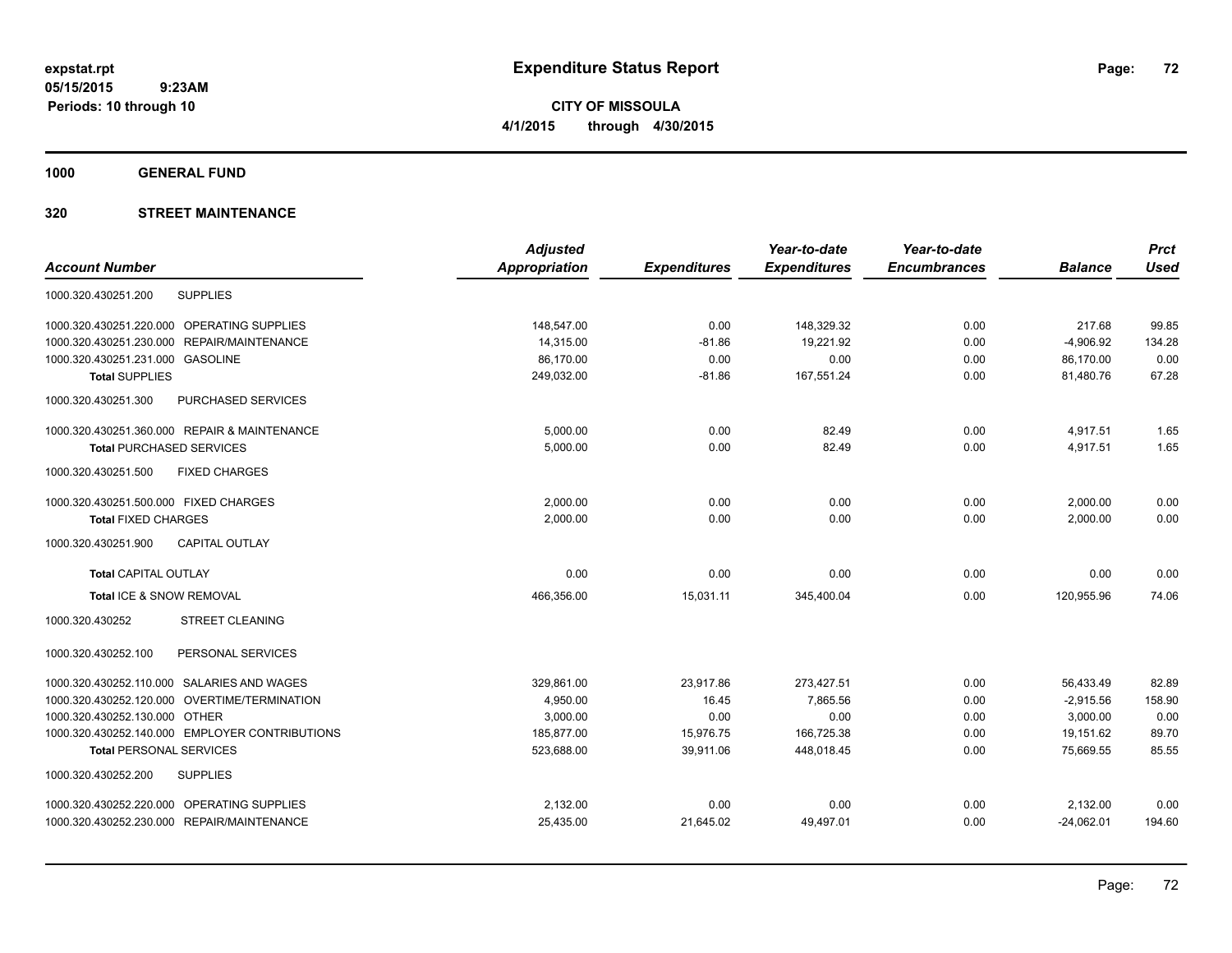**CITY OF MISSOULA 4/1/2015 through 4/30/2015**

**1000 GENERAL FUND**

|                                                        | <b>Adjusted</b>      |                     | Year-to-date        | Year-to-date        |                | <b>Prct</b> |
|--------------------------------------------------------|----------------------|---------------------|---------------------|---------------------|----------------|-------------|
| <b>Account Number</b>                                  | <b>Appropriation</b> | <b>Expenditures</b> | <b>Expenditures</b> | <b>Encumbrances</b> | <b>Balance</b> | <b>Used</b> |
| <b>SUPPLIES</b><br>1000.320.430251.200                 |                      |                     |                     |                     |                |             |
| 1000.320.430251.220.000 OPERATING SUPPLIES             | 148,547.00           | 0.00                | 148,329.32          | 0.00                | 217.68         | 99.85       |
| 1000.320.430251.230.000<br>REPAIR/MAINTENANCE          | 14,315.00            | $-81.86$            | 19,221.92           | 0.00                | $-4,906.92$    | 134.28      |
| 1000.320.430251.231.000 GASOLINE                       | 86,170.00            | 0.00                | 0.00                | 0.00                | 86,170.00      | 0.00        |
| <b>Total SUPPLIES</b>                                  | 249,032.00           | $-81.86$            | 167,551.24          | 0.00                | 81,480.76      | 67.28       |
| 1000.320.430251.300<br>PURCHASED SERVICES              |                      |                     |                     |                     |                |             |
| 1000.320.430251.360.000 REPAIR & MAINTENANCE           | 5,000.00             | 0.00                | 82.49               | 0.00                | 4,917.51       | 1.65        |
| <b>Total PURCHASED SERVICES</b>                        | 5,000.00             | 0.00                | 82.49               | 0.00                | 4,917.51       | 1.65        |
| 1000.320.430251.500<br><b>FIXED CHARGES</b>            |                      |                     |                     |                     |                |             |
| 1000.320.430251.500.000 FIXED CHARGES                  | 2,000.00             | 0.00                | 0.00                | 0.00                | 2,000.00       | 0.00        |
| <b>Total FIXED CHARGES</b>                             | 2,000.00             | 0.00                | 0.00                | 0.00                | 2,000.00       | 0.00        |
| 1000.320.430251.900<br><b>CAPITAL OUTLAY</b>           |                      |                     |                     |                     |                |             |
| <b>Total CAPITAL OUTLAY</b>                            | 0.00                 | 0.00                | 0.00                | 0.00                | 0.00           | 0.00        |
| Total ICE & SNOW REMOVAL                               | 466,356.00           | 15,031.11           | 345,400.04          | 0.00                | 120,955.96     | 74.06       |
| <b>STREET CLEANING</b><br>1000.320.430252              |                      |                     |                     |                     |                |             |
| 1000.320.430252.100<br>PERSONAL SERVICES               |                      |                     |                     |                     |                |             |
| 1000.320.430252.110.000 SALARIES AND WAGES             | 329,861.00           | 23,917.86           | 273,427.51          | 0.00                | 56,433.49      | 82.89       |
| <b>OVERTIME/TERMINATION</b><br>1000.320.430252.120.000 | 4,950.00             | 16.45               | 7,865.56            | 0.00                | $-2,915.56$    | 158.90      |
| 1000.320.430252.130.000 OTHER                          | 3,000.00             | 0.00                | 0.00                | 0.00                | 3,000.00       | 0.00        |
| 1000.320.430252.140.000 EMPLOYER CONTRIBUTIONS         | 185,877.00           | 15,976.75           | 166,725.38          | 0.00                | 19,151.62      | 89.70       |
| <b>Total PERSONAL SERVICES</b>                         | 523,688.00           | 39,911.06           | 448,018.45          | 0.00                | 75,669.55      | 85.55       |
| <b>SUPPLIES</b><br>1000.320.430252.200                 |                      |                     |                     |                     |                |             |
| 1000.320.430252.220.000 OPERATING SUPPLIES             | 2,132.00             | 0.00                | 0.00                | 0.00                | 2,132.00       | 0.00        |
| 1000.320.430252.230.000 REPAIR/MAINTENANCE             | 25,435.00            | 21,645.02           | 49,497.01           | 0.00                | $-24,062.01$   | 194.60      |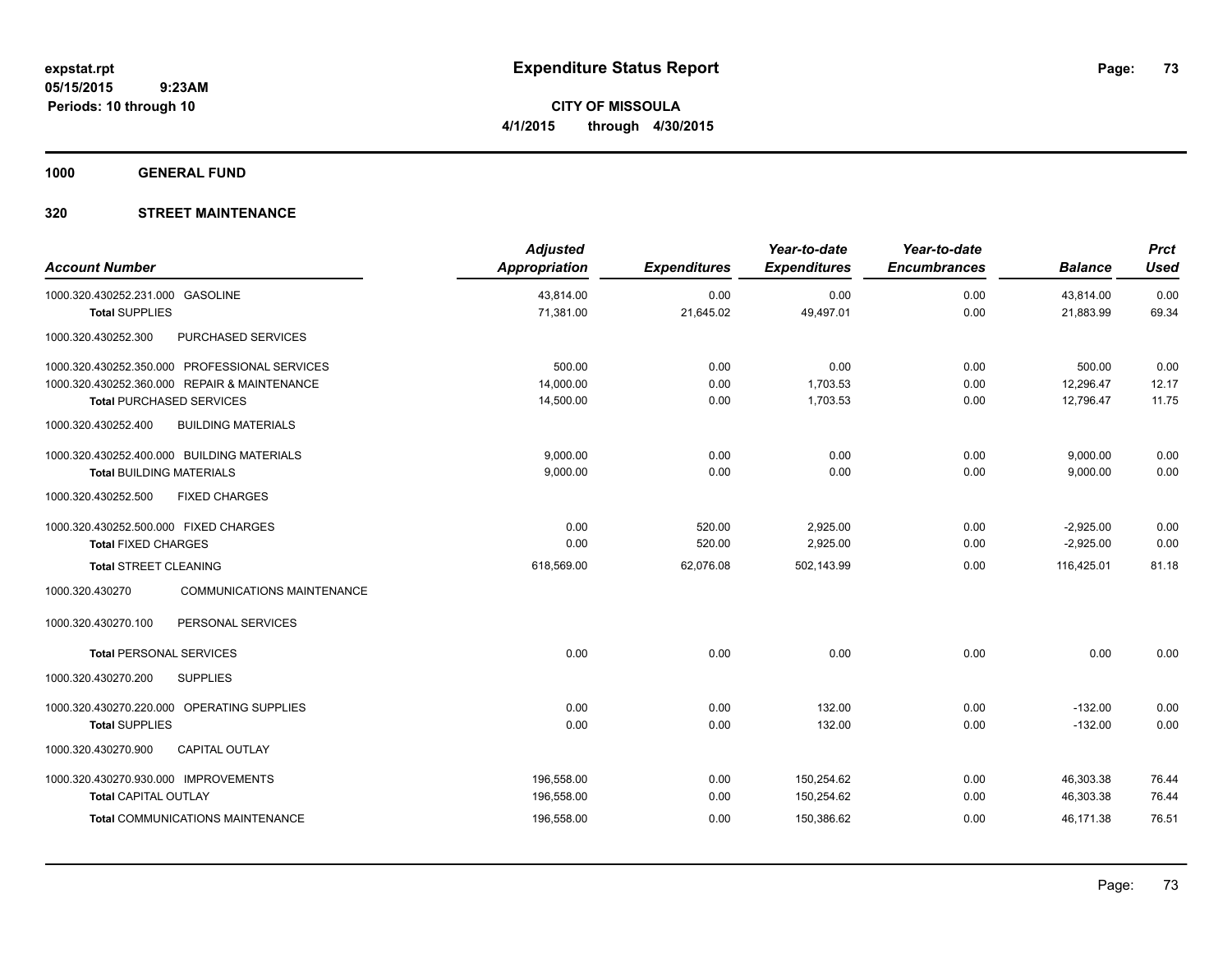**CITY OF MISSOULA 4/1/2015 through 4/30/2015**

**1000 GENERAL FUND**

## **320 STREET MAINTENANCE**

| <b>Account Number</b>                                                                                                            | <b>Adjusted</b><br>Appropriation | <b>Expenditures</b>  | Year-to-date<br><b>Expenditures</b> | Year-to-date<br><b>Encumbrances</b> | <b>Balance</b>                   | <b>Prct</b><br><b>Used</b> |
|----------------------------------------------------------------------------------------------------------------------------------|----------------------------------|----------------------|-------------------------------------|-------------------------------------|----------------------------------|----------------------------|
| 1000.320.430252.231.000 GASOLINE                                                                                                 | 43,814.00<br>71,381.00           | 0.00<br>21,645.02    | 0.00<br>49,497.01                   | 0.00<br>0.00                        | 43,814.00<br>21,883.99           | 0.00<br>69.34              |
| <b>Total SUPPLIES</b><br>1000.320.430252.300<br>PURCHASED SERVICES                                                               |                                  |                      |                                     |                                     |                                  |                            |
| 1000.320.430252.350.000 PROFESSIONAL SERVICES<br>1000.320.430252.360.000 REPAIR & MAINTENANCE<br><b>Total PURCHASED SERVICES</b> | 500.00<br>14,000.00<br>14,500.00 | 0.00<br>0.00<br>0.00 | 0.00<br>1,703.53<br>1,703.53        | 0.00<br>0.00<br>0.00                | 500.00<br>12,296.47<br>12,796.47 | 0.00<br>12.17<br>11.75     |
| <b>BUILDING MATERIALS</b><br>1000.320.430252.400                                                                                 |                                  |                      |                                     |                                     |                                  |                            |
| 1000.320.430252.400.000 BUILDING MATERIALS<br><b>Total BUILDING MATERIALS</b><br><b>FIXED CHARGES</b><br>1000.320.430252.500     | 9,000.00<br>9,000.00             | 0.00<br>0.00         | 0.00<br>0.00                        | 0.00<br>0.00                        | 9,000.00<br>9,000.00             | 0.00<br>0.00               |
| 1000.320.430252.500.000 FIXED CHARGES<br><b>Total FIXED CHARGES</b>                                                              | 0.00<br>0.00                     | 520.00<br>520.00     | 2,925.00<br>2,925.00                | 0.00<br>0.00                        | $-2,925.00$<br>$-2,925.00$       | 0.00<br>0.00               |
| <b>Total STREET CLEANING</b>                                                                                                     | 618,569.00                       | 62,076.08            | 502,143.99                          | 0.00                                | 116,425.01                       | 81.18                      |
| <b>COMMUNICATIONS MAINTENANCE</b><br>1000.320.430270<br>1000.320.430270.100<br>PERSONAL SERVICES                                 |                                  |                      |                                     |                                     |                                  |                            |
| <b>Total PERSONAL SERVICES</b>                                                                                                   | 0.00                             | 0.00                 | 0.00                                | 0.00                                | 0.00                             | 0.00                       |
| 1000.320.430270.200<br><b>SUPPLIES</b>                                                                                           |                                  |                      |                                     |                                     |                                  |                            |
| 1000.320.430270.220.000 OPERATING SUPPLIES<br><b>Total SUPPLIES</b>                                                              | 0.00<br>0.00                     | 0.00<br>0.00         | 132.00<br>132.00                    | 0.00<br>0.00                        | $-132.00$<br>$-132.00$           | 0.00<br>0.00               |
| 1000.320.430270.900<br><b>CAPITAL OUTLAY</b>                                                                                     |                                  |                      |                                     |                                     |                                  |                            |
| 1000.320.430270.930.000 IMPROVEMENTS<br><b>Total CAPITAL OUTLAY</b>                                                              | 196,558.00<br>196,558.00         | 0.00<br>0.00         | 150,254.62<br>150,254.62            | 0.00<br>0.00                        | 46,303.38<br>46,303.38           | 76.44<br>76.44             |
| Total COMMUNICATIONS MAINTENANCE                                                                                                 | 196,558.00                       | 0.00                 | 150,386.62                          | 0.00                                | 46,171.38                        | 76.51                      |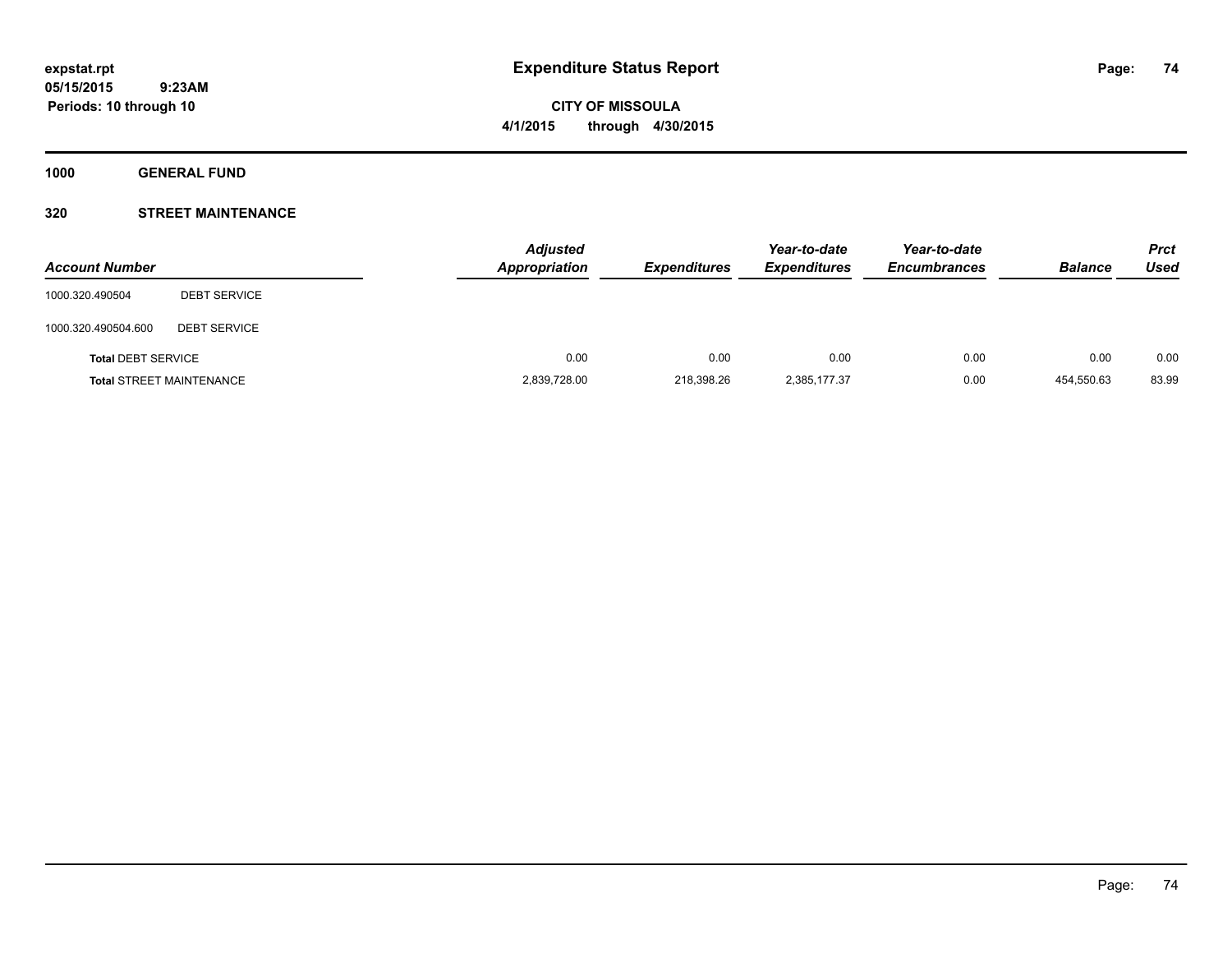**CITY OF MISSOULA 4/1/2015 through 4/30/2015**

**1000 GENERAL FUND**

## **320 STREET MAINTENANCE**

| <b>Account Number</b>     |                                 | <b>Adjusted</b><br>Appropriation | <b>Expenditures</b> | Year-to-date<br><b>Expenditures</b> | Year-to-date<br><b>Encumbrances</b> | <b>Balance</b> | <b>Prct</b><br>Used |
|---------------------------|---------------------------------|----------------------------------|---------------------|-------------------------------------|-------------------------------------|----------------|---------------------|
| 1000.320.490504           | <b>DEBT SERVICE</b>             |                                  |                     |                                     |                                     |                |                     |
| 1000.320.490504.600       | <b>DEBT SERVICE</b>             |                                  |                     |                                     |                                     |                |                     |
| <b>Total DEBT SERVICE</b> |                                 | 0.00                             | 0.00                | 0.00                                | 0.00                                | 0.00           | 0.00                |
|                           | <b>Total STREET MAINTENANCE</b> | 2,839,728.00                     | 218.398.26          | 2,385,177.37                        | 0.00                                | 454.550.63     | 83.99               |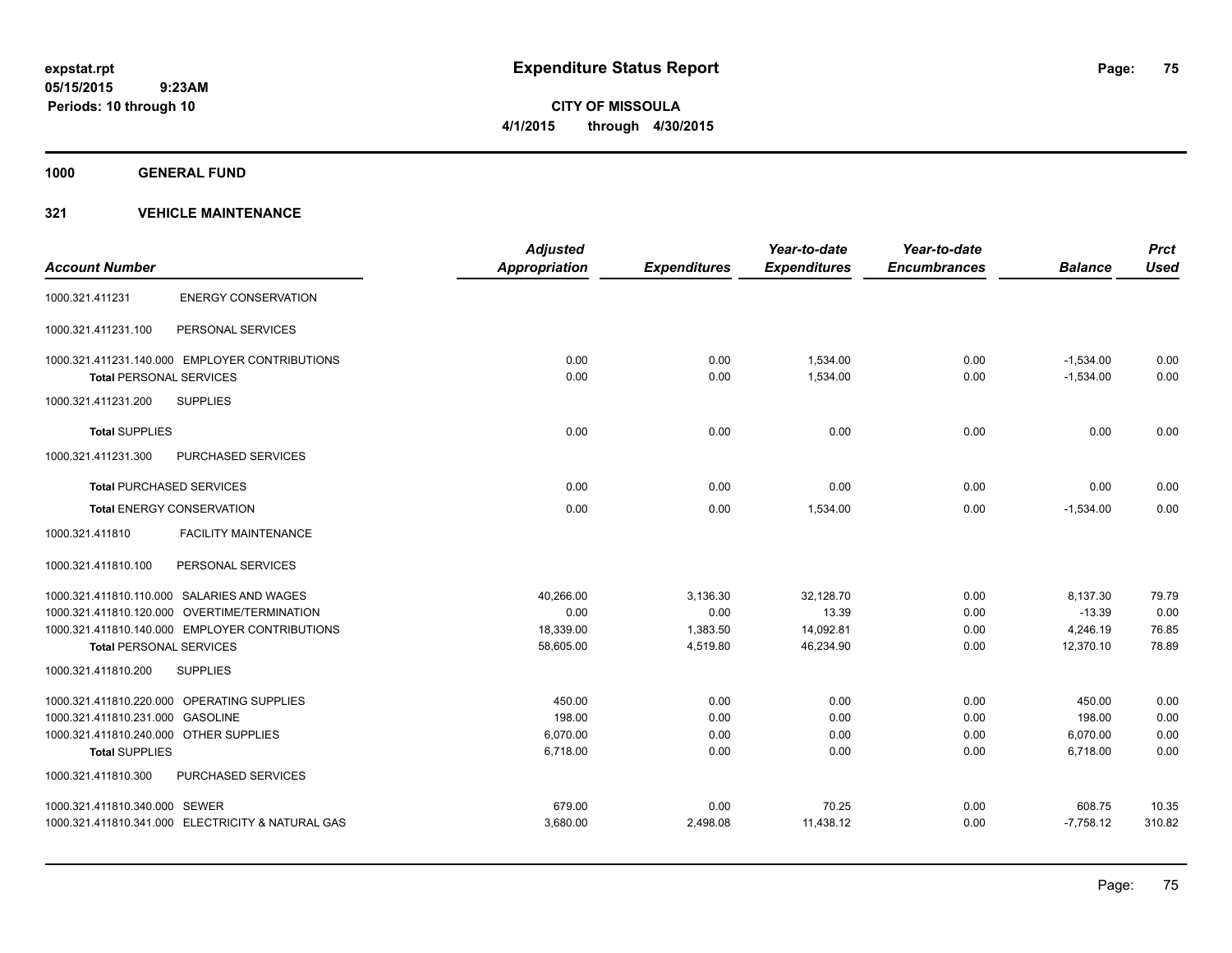**CITY OF MISSOULA 4/1/2015 through 4/30/2015**

**1000 GENERAL FUND**

| <b>Account Number</b>                  |                                                   | <b>Adjusted</b><br><b>Appropriation</b> | <b>Expenditures</b> | Year-to-date<br><b>Expenditures</b> | Year-to-date<br><b>Encumbrances</b> | <b>Balance</b> | <b>Prct</b><br><b>Used</b> |
|----------------------------------------|---------------------------------------------------|-----------------------------------------|---------------------|-------------------------------------|-------------------------------------|----------------|----------------------------|
| 1000.321.411231                        | <b>ENERGY CONSERVATION</b>                        |                                         |                     |                                     |                                     |                |                            |
| 1000.321.411231.100                    | PERSONAL SERVICES                                 |                                         |                     |                                     |                                     |                |                            |
|                                        | 1000.321.411231.140.000 EMPLOYER CONTRIBUTIONS    | 0.00                                    | 0.00                | 1,534.00                            | 0.00                                | $-1,534.00$    | 0.00                       |
| <b>Total PERSONAL SERVICES</b>         |                                                   | 0.00                                    | 0.00                | 1,534.00                            | 0.00                                | $-1,534.00$    | 0.00                       |
| 1000.321.411231.200                    | <b>SUPPLIES</b>                                   |                                         |                     |                                     |                                     |                |                            |
| <b>Total SUPPLIES</b>                  |                                                   | 0.00                                    | 0.00                | 0.00                                | 0.00                                | 0.00           | 0.00                       |
| 1000.321.411231.300                    | PURCHASED SERVICES                                |                                         |                     |                                     |                                     |                |                            |
|                                        | <b>Total PURCHASED SERVICES</b>                   | 0.00                                    | 0.00                | 0.00                                | 0.00                                | 0.00           | 0.00                       |
|                                        | <b>Total ENERGY CONSERVATION</b>                  | 0.00                                    | 0.00                | 1,534.00                            | 0.00                                | $-1,534.00$    | 0.00                       |
| 1000.321.411810                        | <b>FACILITY MAINTENANCE</b>                       |                                         |                     |                                     |                                     |                |                            |
| 1000.321.411810.100                    | PERSONAL SERVICES                                 |                                         |                     |                                     |                                     |                |                            |
|                                        | 1000.321.411810.110.000 SALARIES AND WAGES        | 40,266.00                               | 3,136.30            | 32,128.70                           | 0.00                                | 8,137.30       | 79.79                      |
|                                        | 1000.321.411810.120.000 OVERTIME/TERMINATION      | 0.00                                    | 0.00                | 13.39                               | 0.00                                | $-13.39$       | 0.00                       |
|                                        | 1000.321.411810.140.000 EMPLOYER CONTRIBUTIONS    | 18,339.00                               | 1,383.50            | 14,092.81                           | 0.00                                | 4,246.19       | 76.85                      |
| <b>Total PERSONAL SERVICES</b>         |                                                   | 58,605.00                               | 4,519.80            | 46,234.90                           | 0.00                                | 12,370.10      | 78.89                      |
| 1000.321.411810.200                    | <b>SUPPLIES</b>                                   |                                         |                     |                                     |                                     |                |                            |
|                                        | 1000.321.411810.220.000 OPERATING SUPPLIES        | 450.00                                  | 0.00                | 0.00                                | 0.00                                | 450.00         | 0.00                       |
| 1000.321.411810.231.000 GASOLINE       |                                                   | 198.00                                  | 0.00                | 0.00                                | 0.00                                | 198.00         | 0.00                       |
| 1000.321.411810.240.000 OTHER SUPPLIES |                                                   | 6.070.00                                | 0.00                | 0.00                                | 0.00                                | 6,070.00       | 0.00                       |
| <b>Total SUPPLIES</b>                  |                                                   | 6,718.00                                | 0.00                | 0.00                                | 0.00                                | 6,718.00       | 0.00                       |
| 1000.321.411810.300                    | PURCHASED SERVICES                                |                                         |                     |                                     |                                     |                |                            |
| 1000.321.411810.340.000 SEWER          |                                                   | 679.00                                  | 0.00                | 70.25                               | 0.00                                | 608.75         | 10.35                      |
|                                        | 1000.321.411810.341.000 ELECTRICITY & NATURAL GAS | 3,680.00                                | 2,498.08            | 11,438.12                           | 0.00                                | $-7,758.12$    | 310.82                     |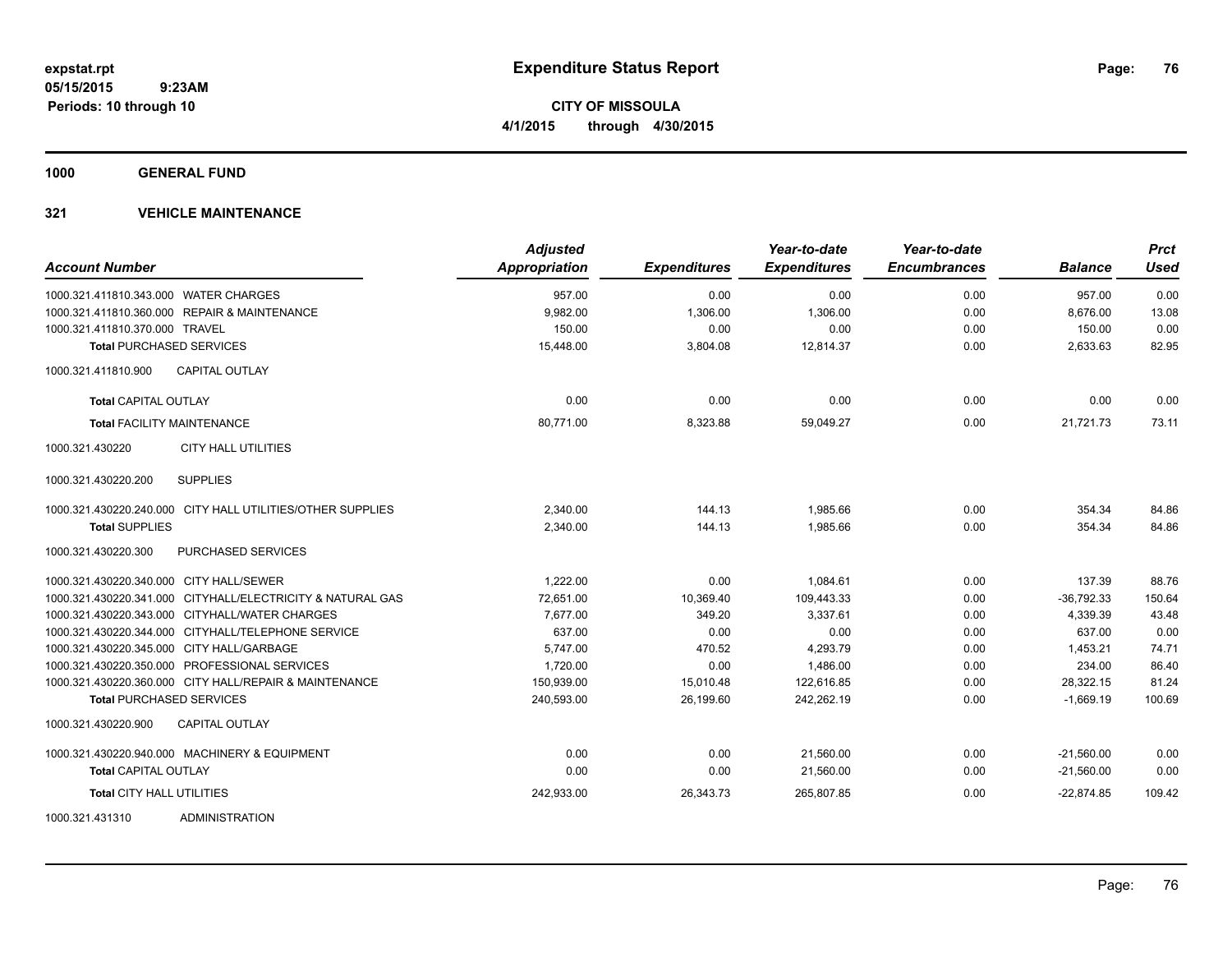**CITY OF MISSOULA 4/1/2015 through 4/30/2015**

**1000 GENERAL FUND**

| <b>Account Number</b>                                      | <b>Adjusted</b><br><b>Appropriation</b> | <b>Expenditures</b> | Year-to-date<br><b>Expenditures</b> | Year-to-date<br><b>Encumbrances</b> | <b>Balance</b> | <b>Prct</b><br><b>Used</b> |
|------------------------------------------------------------|-----------------------------------------|---------------------|-------------------------------------|-------------------------------------|----------------|----------------------------|
| 1000.321.411810.343.000 WATER CHARGES                      | 957.00                                  | 0.00                | 0.00                                | 0.00                                | 957.00         | 0.00                       |
| 1000.321.411810.360.000 REPAIR & MAINTENANCE               | 9,982.00                                | 1,306.00            | 1,306.00                            | 0.00                                | 8,676.00       | 13.08                      |
| 1000.321.411810.370.000 TRAVEL                             | 150.00                                  | 0.00                | 0.00                                | 0.00                                | 150.00         | 0.00                       |
| <b>Total PURCHASED SERVICES</b>                            | 15,448.00                               | 3,804.08            | 12,814.37                           | 0.00                                | 2,633.63       | 82.95                      |
| <b>CAPITAL OUTLAY</b><br>1000.321.411810.900               |                                         |                     |                                     |                                     |                |                            |
| <b>Total CAPITAL OUTLAY</b>                                | 0.00                                    | 0.00                | 0.00                                | 0.00                                | 0.00           | 0.00                       |
| <b>Total FACILITY MAINTENANCE</b>                          | 80,771.00                               | 8,323.88            | 59,049.27                           | 0.00                                | 21,721.73      | 73.11                      |
| 1000.321.430220<br><b>CITY HALL UTILITIES</b>              |                                         |                     |                                     |                                     |                |                            |
| <b>SUPPLIES</b><br>1000.321.430220.200                     |                                         |                     |                                     |                                     |                |                            |
| 1000.321.430220.240.000 CITY HALL UTILITIES/OTHER SUPPLIES | 2,340.00                                | 144.13              | 1.985.66                            | 0.00                                | 354.34         | 84.86                      |
| <b>Total SUPPLIES</b>                                      | 2,340.00                                | 144.13              | 1.985.66                            | 0.00                                | 354.34         | 84.86                      |
| 1000.321.430220.300<br>PURCHASED SERVICES                  |                                         |                     |                                     |                                     |                |                            |
| 1000.321.430220.340.000 CITY HALL/SEWER                    | 1.222.00                                | 0.00                | 1.084.61                            | 0.00                                | 137.39         | 88.76                      |
| 1000.321.430220.341.000 CITYHALL/ELECTRICITY & NATURAL GAS | 72,651.00                               | 10,369.40           | 109,443.33                          | 0.00                                | $-36,792.33$   | 150.64                     |
| 1000.321.430220.343.000 CITYHALL/WATER CHARGES             | 7,677.00                                | 349.20              | 3,337.61                            | 0.00                                | 4,339.39       | 43.48                      |
| 1000.321.430220.344.000 CITYHALL/TELEPHONE SERVICE         | 637.00                                  | 0.00                | 0.00                                | 0.00                                | 637.00         | 0.00                       |
| 1000.321.430220.345.000 CITY HALL/GARBAGE                  | 5,747.00                                | 470.52              | 4,293.79                            | 0.00                                | 1,453.21       | 74.71                      |
| 1000.321.430220.350.000 PROFESSIONAL SERVICES              | 1,720.00                                | 0.00                | 1.486.00                            | 0.00                                | 234.00         | 86.40                      |
| 1000.321.430220.360.000 CITY HALL/REPAIR & MAINTENANCE     | 150,939.00                              | 15,010.48           | 122,616.85                          | 0.00                                | 28,322.15      | 81.24                      |
| <b>Total PURCHASED SERVICES</b>                            | 240,593.00                              | 26,199.60           | 242,262.19                          | 0.00                                | $-1,669.19$    | 100.69                     |
| 1000.321.430220.900<br><b>CAPITAL OUTLAY</b>               |                                         |                     |                                     |                                     |                |                            |
| 1000.321.430220.940.000 MACHINERY & EQUIPMENT              | 0.00                                    | 0.00                | 21,560.00                           | 0.00                                | $-21,560.00$   | 0.00                       |
| <b>Total CAPITAL OUTLAY</b>                                | 0.00                                    | 0.00                | 21,560.00                           | 0.00                                | $-21,560.00$   | 0.00                       |
| <b>Total CITY HALL UTILITIES</b>                           | 242,933.00                              | 26,343.73           | 265,807.85                          | 0.00                                | $-22,874.85$   | 109.42                     |
| 1000.321.431310<br><b>ADMINISTRATION</b>                   |                                         |                     |                                     |                                     |                |                            |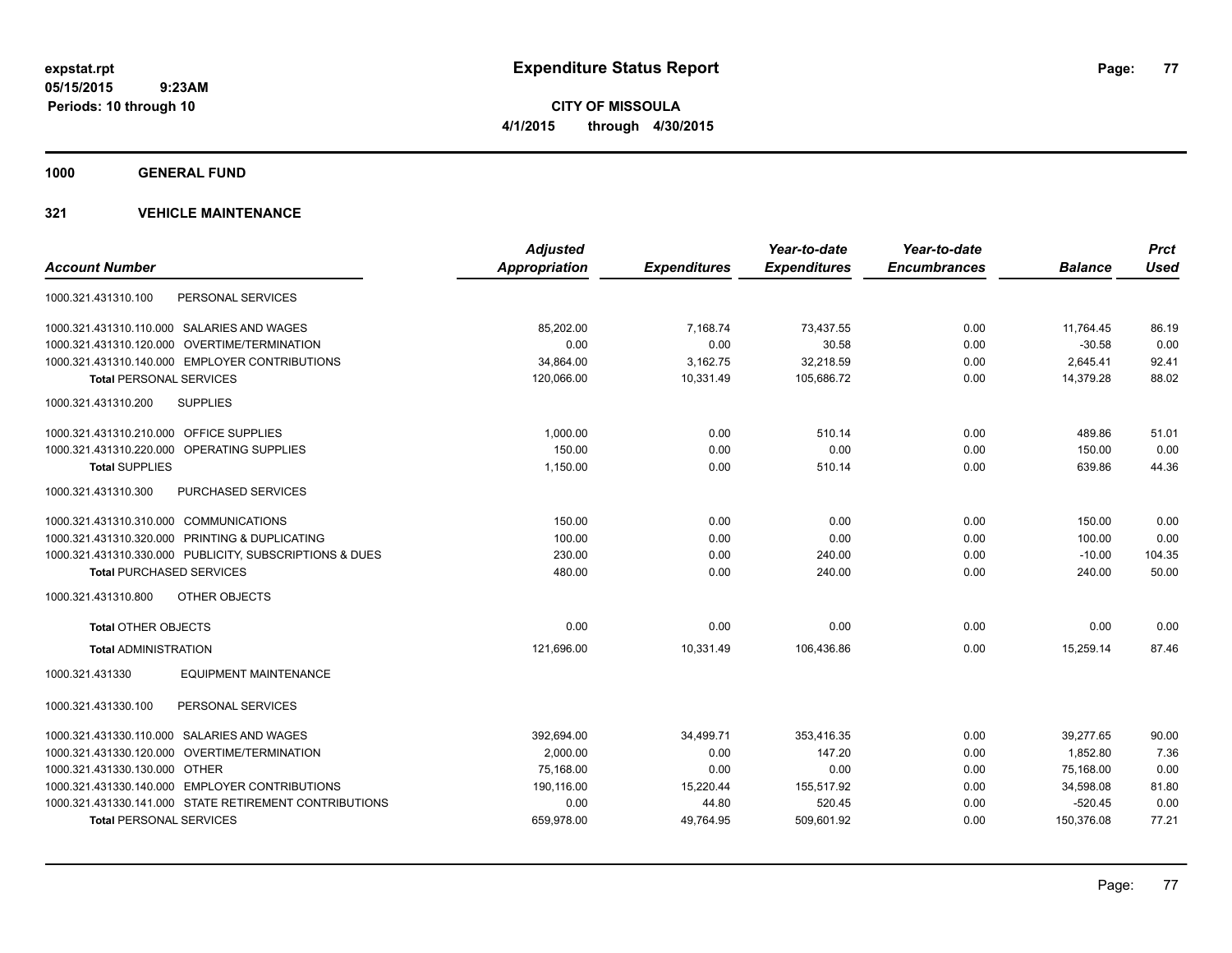**CITY OF MISSOULA 4/1/2015 through 4/30/2015**

**1000 GENERAL FUND**

|                                                         | <b>Adjusted</b> |                     | Year-to-date        | Year-to-date        |                | <b>Prct</b> |
|---------------------------------------------------------|-----------------|---------------------|---------------------|---------------------|----------------|-------------|
| <b>Account Number</b>                                   | Appropriation   | <b>Expenditures</b> | <b>Expenditures</b> | <b>Encumbrances</b> | <b>Balance</b> | <b>Used</b> |
| PERSONAL SERVICES<br>1000.321.431310.100                |                 |                     |                     |                     |                |             |
| 1000.321.431310.110.000 SALARIES AND WAGES              | 85,202.00       | 7,168.74            | 73,437.55           | 0.00                | 11,764.45      | 86.19       |
| 1000.321.431310.120.000 OVERTIME/TERMINATION            | 0.00            | 0.00                | 30.58               | 0.00                | $-30.58$       | 0.00        |
| 1000.321.431310.140.000 EMPLOYER CONTRIBUTIONS          | 34,864.00       | 3,162.75            | 32,218.59           | 0.00                | 2,645.41       | 92.41       |
| <b>Total PERSONAL SERVICES</b>                          | 120,066.00      | 10,331.49           | 105,686.72          | 0.00                | 14,379.28      | 88.02       |
| 1000.321.431310.200<br><b>SUPPLIES</b>                  |                 |                     |                     |                     |                |             |
| 1000.321.431310.210.000 OFFICE SUPPLIES                 | 1.000.00        | 0.00                | 510.14              | 0.00                | 489.86         | 51.01       |
| 1000.321.431310.220.000 OPERATING SUPPLIES              | 150.00          | 0.00                | 0.00                | 0.00                | 150.00         | 0.00        |
| <b>Total SUPPLIES</b>                                   | 1,150.00        | 0.00                | 510.14              | 0.00                | 639.86         | 44.36       |
| 1000.321.431310.300<br><b>PURCHASED SERVICES</b>        |                 |                     |                     |                     |                |             |
| 1000.321.431310.310.000 COMMUNICATIONS                  | 150.00          | 0.00                | 0.00                | 0.00                | 150.00         | 0.00        |
| 1000.321.431310.320.000 PRINTING & DUPLICATING          | 100.00          | 0.00                | 0.00                | 0.00                | 100.00         | 0.00        |
| 1000.321.431310.330.000 PUBLICITY, SUBSCRIPTIONS & DUES | 230.00          | 0.00                | 240.00              | 0.00                | $-10.00$       | 104.35      |
| <b>Total PURCHASED SERVICES</b>                         | 480.00          | 0.00                | 240.00              | 0.00                | 240.00         | 50.00       |
| <b>OTHER OBJECTS</b><br>1000.321.431310.800             |                 |                     |                     |                     |                |             |
| <b>Total OTHER OBJECTS</b>                              | 0.00            | 0.00                | 0.00                | 0.00                | 0.00           | 0.00        |
| <b>Total ADMINISTRATION</b>                             | 121.696.00      | 10.331.49           | 106.436.86          | 0.00                | 15.259.14      | 87.46       |
| <b>EQUIPMENT MAINTENANCE</b><br>1000.321.431330         |                 |                     |                     |                     |                |             |
| PERSONAL SERVICES<br>1000.321.431330.100                |                 |                     |                     |                     |                |             |
| 1000.321.431330.110.000 SALARIES AND WAGES              | 392,694.00      | 34,499.71           | 353.416.35          | 0.00                | 39.277.65      | 90.00       |
| 1000.321.431330.120.000 OVERTIME/TERMINATION            | 2,000.00        | 0.00                | 147.20              | 0.00                | 1,852.80       | 7.36        |
| 1000.321.431330.130.000 OTHER                           | 75,168.00       | 0.00                | 0.00                | 0.00                | 75,168.00      | 0.00        |
| 1000.321.431330.140.000 EMPLOYER CONTRIBUTIONS          | 190,116.00      | 15,220.44           | 155,517.92          | 0.00                | 34,598.08      | 81.80       |
| 1000.321.431330.141.000 STATE RETIREMENT CONTRIBUTIONS  | 0.00            | 44.80               | 520.45              | 0.00                | $-520.45$      | 0.00        |
| <b>Total PERSONAL SERVICES</b>                          | 659,978.00      | 49,764.95           | 509,601.92          | 0.00                | 150,376.08     | 77.21       |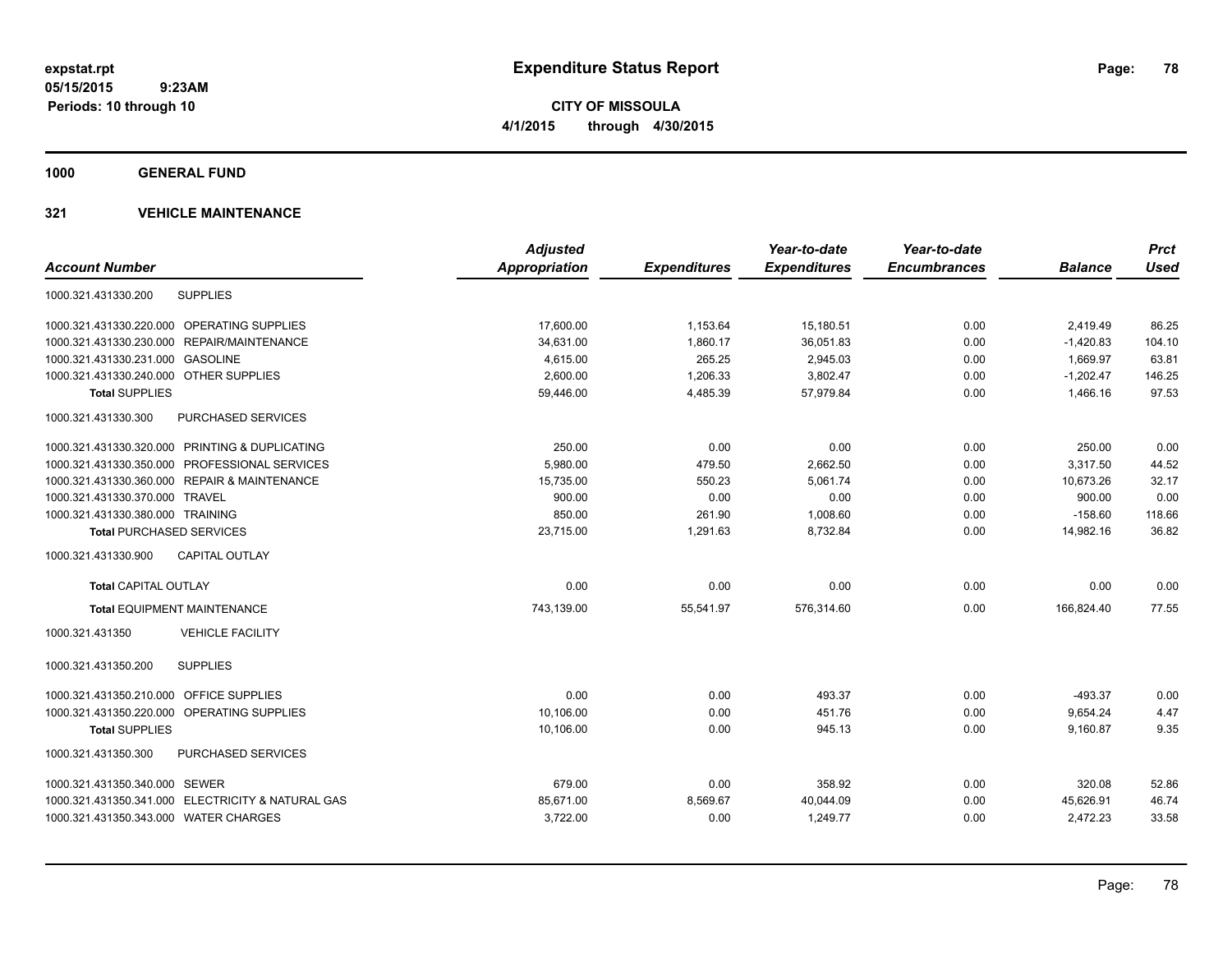**CITY OF MISSOULA 4/1/2015 through 4/30/2015**

**1000 GENERAL FUND**

| <b>Account Number</b>                             | <b>Adjusted</b><br><b>Appropriation</b> | <b>Expenditures</b> | Year-to-date<br><b>Expenditures</b> | Year-to-date<br><b>Encumbrances</b> | <b>Balance</b> | <b>Prct</b><br><b>Used</b> |
|---------------------------------------------------|-----------------------------------------|---------------------|-------------------------------------|-------------------------------------|----------------|----------------------------|
|                                                   |                                         |                     |                                     |                                     |                |                            |
| 1000.321.431330.200<br><b>SUPPLIES</b>            |                                         |                     |                                     |                                     |                |                            |
| 1000.321.431330.220.000 OPERATING SUPPLIES        | 17,600.00                               | 1,153.64            | 15,180.51                           | 0.00                                | 2,419.49       | 86.25                      |
| 1000.321.431330.230.000<br>REPAIR/MAINTENANCE     | 34,631.00                               | 1,860.17            | 36,051.83                           | 0.00                                | $-1,420.83$    | 104.10                     |
| 1000.321.431330.231.000 GASOLINE                  | 4,615.00                                | 265.25              | 2,945.03                            | 0.00                                | 1,669.97       | 63.81                      |
| 1000.321.431330.240.000 OTHER SUPPLIES            | 2,600.00                                | 1,206.33            | 3,802.47                            | 0.00                                | $-1,202.47$    | 146.25                     |
| <b>Total SUPPLIES</b>                             | 59,446.00                               | 4,485.39            | 57,979.84                           | 0.00                                | 1,466.16       | 97.53                      |
| 1000.321.431330.300<br>PURCHASED SERVICES         |                                         |                     |                                     |                                     |                |                            |
| 1000.321.431330.320.000 PRINTING & DUPLICATING    | 250.00                                  | 0.00                | 0.00                                | 0.00                                | 250.00         | 0.00                       |
| 1000.321.431330.350.000 PROFESSIONAL SERVICES     | 5,980.00                                | 479.50              | 2,662.50                            | 0.00                                | 3,317.50       | 44.52                      |
| 1000.321.431330.360.000 REPAIR & MAINTENANCE      | 15,735.00                               | 550.23              | 5,061.74                            | 0.00                                | 10,673.26      | 32.17                      |
| 1000.321.431330.370.000 TRAVEL                    | 900.00                                  | 0.00                | 0.00                                | 0.00                                | 900.00         | 0.00                       |
| 1000.321.431330.380.000 TRAINING                  | 850.00                                  | 261.90              | 1,008.60                            | 0.00                                | $-158.60$      | 118.66                     |
| <b>Total PURCHASED SERVICES</b>                   | 23,715.00                               | 1,291.63            | 8,732.84                            | 0.00                                | 14,982.16      | 36.82                      |
| <b>CAPITAL OUTLAY</b><br>1000.321.431330.900      |                                         |                     |                                     |                                     |                |                            |
| <b>Total CAPITAL OUTLAY</b>                       | 0.00                                    | 0.00                | 0.00                                | 0.00                                | 0.00           | 0.00                       |
| <b>Total EQUIPMENT MAINTENANCE</b>                | 743,139.00                              | 55,541.97           | 576,314.60                          | 0.00                                | 166.824.40     | 77.55                      |
| <b>VEHICLE FACILITY</b><br>1000.321.431350        |                                         |                     |                                     |                                     |                |                            |
| <b>SUPPLIES</b><br>1000.321.431350.200            |                                         |                     |                                     |                                     |                |                            |
| 1000.321.431350.210.000 OFFICE SUPPLIES           | 0.00                                    | 0.00                | 493.37                              | 0.00                                | $-493.37$      | 0.00                       |
| 1000.321.431350.220.000 OPERATING SUPPLIES        | 10.106.00                               | 0.00                | 451.76                              | 0.00                                | 9,654.24       | 4.47                       |
| <b>Total SUPPLIES</b>                             | 10,106.00                               | 0.00                | 945.13                              | 0.00                                | 9,160.87       | 9.35                       |
| <b>PURCHASED SERVICES</b><br>1000.321.431350.300  |                                         |                     |                                     |                                     |                |                            |
| 1000.321.431350.340.000 SEWER                     | 679.00                                  | 0.00                | 358.92                              | 0.00                                | 320.08         | 52.86                      |
| 1000.321.431350.341.000 ELECTRICITY & NATURAL GAS | 85,671.00                               | 8,569.67            | 40,044.09                           | 0.00                                | 45,626.91      | 46.74                      |
| 1000.321.431350.343.000 WATER CHARGES             | 3,722.00                                | 0.00                | 1,249.77                            | 0.00                                | 2,472.23       | 33.58                      |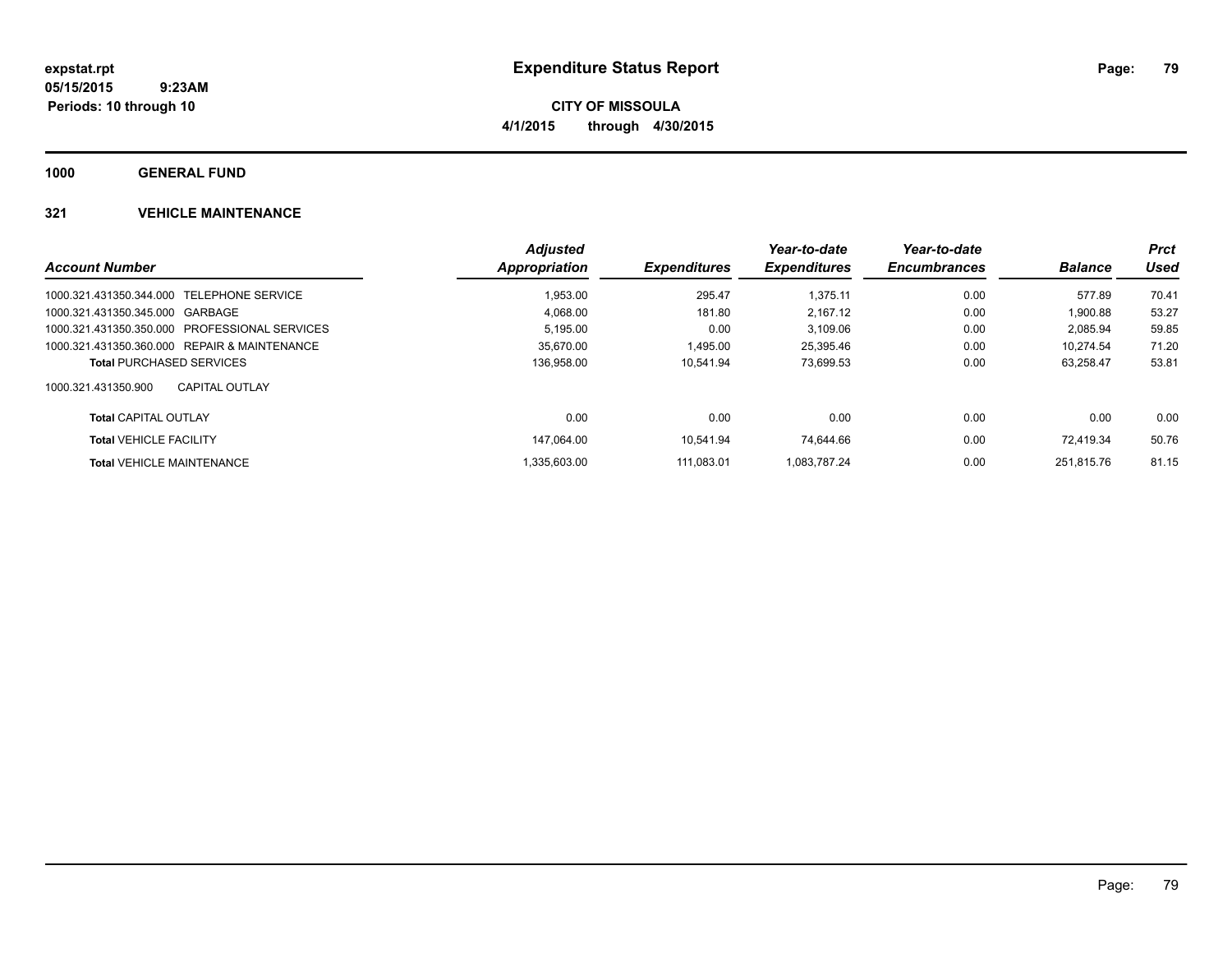**CITY OF MISSOULA 4/1/2015 through 4/30/2015**

**1000 GENERAL FUND**

|                                               | <b>Adjusted</b>      |                     | Year-to-date        | Year-to-date        |                | <b>Prct</b> |
|-----------------------------------------------|----------------------|---------------------|---------------------|---------------------|----------------|-------------|
| <b>Account Number</b>                         | <b>Appropriation</b> | <b>Expenditures</b> | <b>Expenditures</b> | <b>Encumbrances</b> | <b>Balance</b> | Used        |
| 1000.321.431350.344.000 TELEPHONE SERVICE     | 1.953.00             | 295.47              | 1.375.11            | 0.00                | 577.89         | 70.41       |
| 1000.321.431350.345.000 GARBAGE               | 4,068.00             | 181.80              | 2,167.12            | 0.00                | 1,900.88       | 53.27       |
| 1000.321.431350.350.000 PROFESSIONAL SERVICES | 5.195.00             | 0.00                | 3,109.06            | 0.00                | 2.085.94       | 59.85       |
| 1000.321.431350.360.000 REPAIR & MAINTENANCE  | 35.670.00            | 1.495.00            | 25.395.46           | 0.00                | 10.274.54      | 71.20       |
| <b>Total PURCHASED SERVICES</b>               | 136.958.00           | 10.541.94           | 73.699.53           | 0.00                | 63.258.47      | 53.81       |
| 1000.321.431350.900<br><b>CAPITAL OUTLAY</b>  |                      |                     |                     |                     |                |             |
| <b>Total CAPITAL OUTLAY</b>                   | 0.00                 | 0.00                | 0.00                | 0.00                | 0.00           | 0.00        |
| <b>Total VEHICLE FACILITY</b>                 | 147.064.00           | 10.541.94           | 74.644.66           | 0.00                | 72.419.34      | 50.76       |
| <b>Total VEHICLE MAINTENANCE</b>              | 1.335.603.00         | 111.083.01          | 1.083.787.24        | 0.00                | 251.815.76     | 81.15       |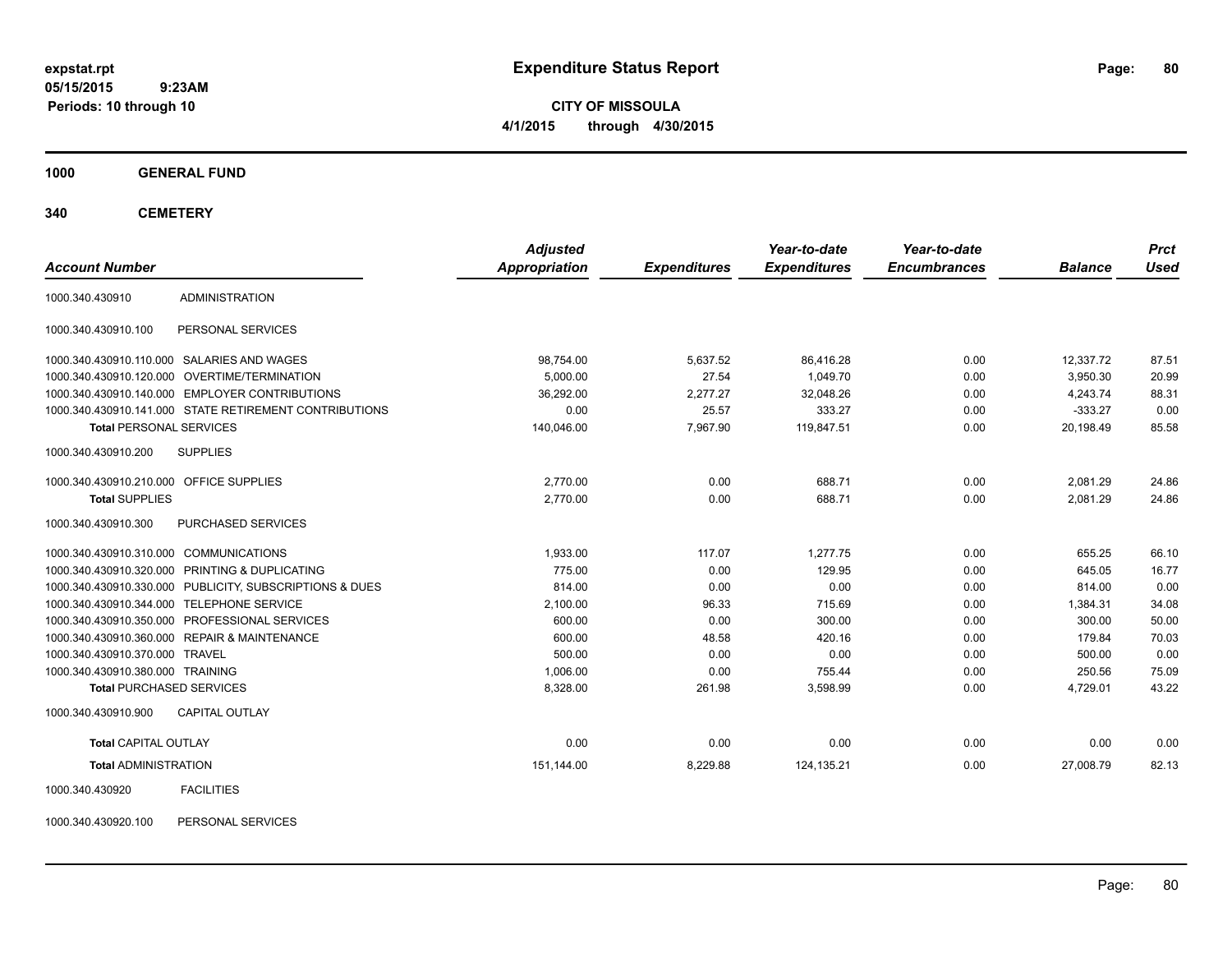**CITY OF MISSOULA 4/1/2015 through 4/30/2015**

**1000 GENERAL FUND**

**340 CEMETERY**

| <b>Account Number</b>                   |                                                         | <b>Adjusted</b><br>Appropriation | <b>Expenditures</b> | Year-to-date<br><b>Expenditures</b> | Year-to-date<br><b>Encumbrances</b> | <b>Balance</b> | <b>Prct</b><br><b>Used</b> |
|-----------------------------------------|---------------------------------------------------------|----------------------------------|---------------------|-------------------------------------|-------------------------------------|----------------|----------------------------|
|                                         |                                                         |                                  |                     |                                     |                                     |                |                            |
| 1000.340.430910                         | <b>ADMINISTRATION</b>                                   |                                  |                     |                                     |                                     |                |                            |
| 1000.340.430910.100                     | PERSONAL SERVICES                                       |                                  |                     |                                     |                                     |                |                            |
|                                         | 1000.340.430910.110.000 SALARIES AND WAGES              | 98,754.00                        | 5,637.52            | 86.416.28                           | 0.00                                | 12,337.72      | 87.51                      |
|                                         | 1000.340.430910.120.000 OVERTIME/TERMINATION            | 5,000.00                         | 27.54               | 1.049.70                            | 0.00                                | 3,950.30       | 20.99                      |
|                                         | 1000.340.430910.140.000 EMPLOYER CONTRIBUTIONS          | 36,292.00                        | 2,277.27            | 32,048.26                           | 0.00                                | 4,243.74       | 88.31                      |
|                                         | 1000.340.430910.141.000 STATE RETIREMENT CONTRIBUTIONS  | 0.00                             | 25.57               | 333.27                              | 0.00                                | $-333.27$      | 0.00                       |
| <b>Total PERSONAL SERVICES</b>          |                                                         | 140,046.00                       | 7,967.90            | 119,847.51                          | 0.00                                | 20,198.49      | 85.58                      |
| 1000.340.430910.200                     | <b>SUPPLIES</b>                                         |                                  |                     |                                     |                                     |                |                            |
| 1000.340.430910.210.000 OFFICE SUPPLIES |                                                         | 2,770.00                         | 0.00                | 688.71                              | 0.00                                | 2,081.29       | 24.86                      |
| <b>Total SUPPLIES</b>                   |                                                         | 2,770.00                         | 0.00                | 688.71                              | 0.00                                | 2.081.29       | 24.86                      |
| 1000.340.430910.300                     | PURCHASED SERVICES                                      |                                  |                     |                                     |                                     |                |                            |
| 1000.340.430910.310.000 COMMUNICATIONS  |                                                         | 1,933.00                         | 117.07              | 1,277.75                            | 0.00                                | 655.25         | 66.10                      |
|                                         | 1000.340.430910.320.000 PRINTING & DUPLICATING          | 775.00                           | 0.00                | 129.95                              | 0.00                                | 645.05         | 16.77                      |
|                                         | 1000.340.430910.330.000 PUBLICITY, SUBSCRIPTIONS & DUES | 814.00                           | 0.00                | 0.00                                | 0.00                                | 814.00         | 0.00                       |
|                                         | 1000.340.430910.344.000 TELEPHONE SERVICE               | 2,100.00                         | 96.33               | 715.69                              | 0.00                                | 1,384.31       | 34.08                      |
|                                         | 1000.340.430910.350.000 PROFESSIONAL SERVICES           | 600.00                           | 0.00                | 300.00                              | 0.00                                | 300.00         | 50.00                      |
|                                         | 1000.340.430910.360.000 REPAIR & MAINTENANCE            | 600.00                           | 48.58               | 420.16                              | 0.00                                | 179.84         | 70.03                      |
| 1000.340.430910.370.000 TRAVEL          |                                                         | 500.00                           | 0.00                | 0.00                                | 0.00                                | 500.00         | 0.00                       |
| 1000.340.430910.380.000 TRAINING        |                                                         | 1,006.00                         | 0.00                | 755.44                              | 0.00                                | 250.56         | 75.09                      |
| <b>Total PURCHASED SERVICES</b>         |                                                         | 8,328.00                         | 261.98              | 3,598.99                            | 0.00                                | 4,729.01       | 43.22                      |
| 1000.340.430910.900                     | <b>CAPITAL OUTLAY</b>                                   |                                  |                     |                                     |                                     |                |                            |
| <b>Total CAPITAL OUTLAY</b>             |                                                         | 0.00                             | 0.00                | 0.00                                | 0.00                                | 0.00           | 0.00                       |
| <b>Total ADMINISTRATION</b>             |                                                         | 151,144.00                       | 8,229.88            | 124,135.21                          | 0.00                                | 27,008.79      | 82.13                      |
| 1000.340.430920                         | <b>FACILITIES</b>                                       |                                  |                     |                                     |                                     |                |                            |

1000.340.430920.100 PERSONAL SERVICES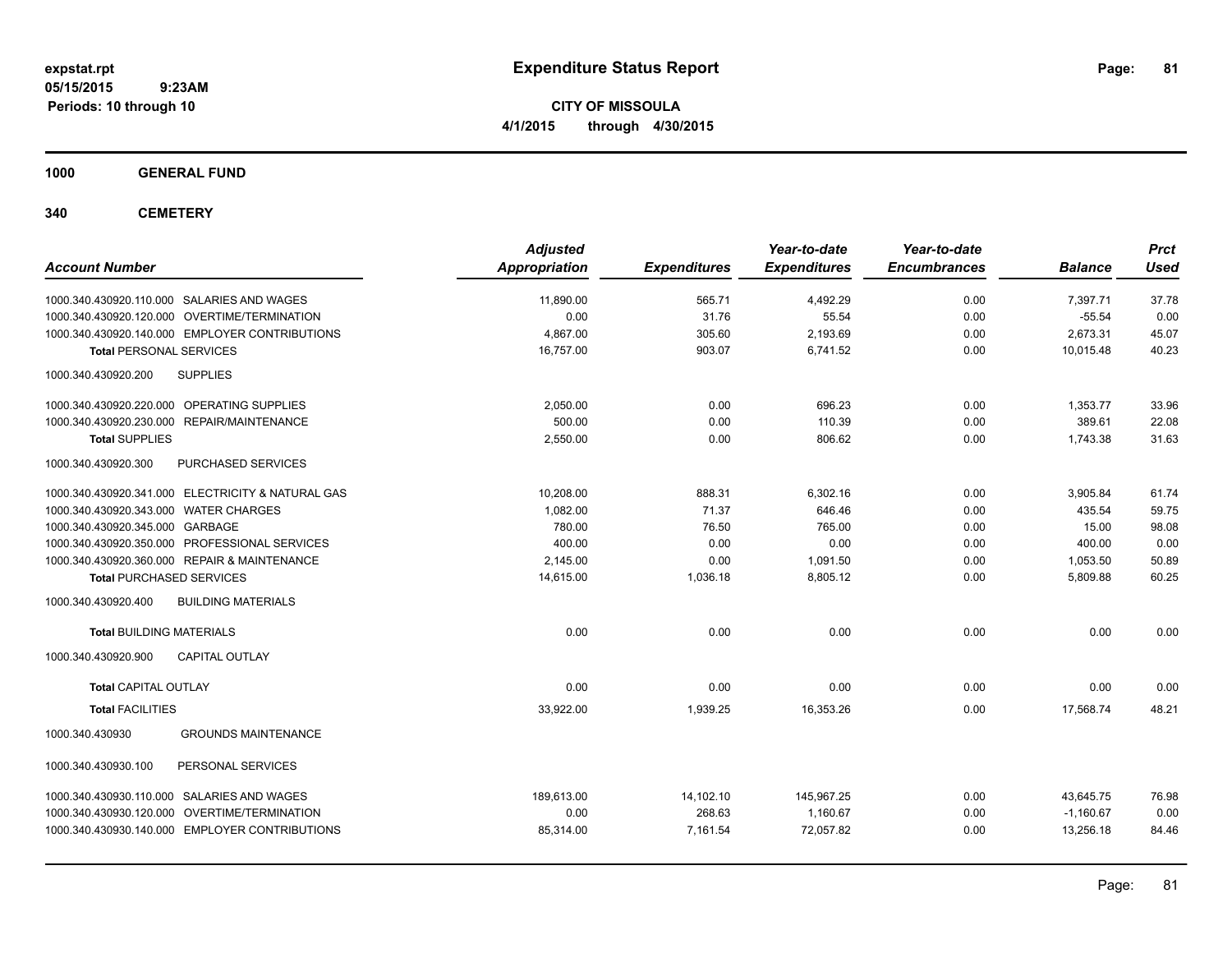**CITY OF MISSOULA 4/1/2015 through 4/30/2015**

**1000 GENERAL FUND**

**340 CEMETERY**

| <b>Account Number</b>                             | <b>Adjusted</b><br>Appropriation | <b>Expenditures</b> | Year-to-date<br><b>Expenditures</b> | Year-to-date<br><b>Encumbrances</b> | <b>Balance</b> | <b>Prct</b><br><b>Used</b> |
|---------------------------------------------------|----------------------------------|---------------------|-------------------------------------|-------------------------------------|----------------|----------------------------|
| 1000.340.430920.110.000 SALARIES AND WAGES        | 11,890.00                        | 565.71              | 4,492.29                            | 0.00                                | 7,397.71       | 37.78                      |
| 1000.340.430920.120.000 OVERTIME/TERMINATION      | 0.00                             | 31.76               | 55.54                               | 0.00                                | $-55.54$       | 0.00                       |
| 1000.340.430920.140.000 EMPLOYER CONTRIBUTIONS    | 4.867.00                         | 305.60              | 2,193.69                            | 0.00                                | 2,673.31       | 45.07                      |
| <b>Total PERSONAL SERVICES</b>                    | 16,757.00                        | 903.07              | 6,741.52                            | 0.00                                | 10,015.48      | 40.23                      |
| 1000.340.430920.200<br><b>SUPPLIES</b>            |                                  |                     |                                     |                                     |                |                            |
| 1000.340.430920.220.000 OPERATING SUPPLIES        | 2.050.00                         | 0.00                | 696.23                              | 0.00                                | 1,353.77       | 33.96                      |
| 1000.340.430920.230.000 REPAIR/MAINTENANCE        | 500.00                           | 0.00                | 110.39                              | 0.00                                | 389.61         | 22.08                      |
| <b>Total SUPPLIES</b>                             | 2,550.00                         | 0.00                | 806.62                              | 0.00                                | 1,743.38       | 31.63                      |
| 1000.340.430920.300<br>PURCHASED SERVICES         |                                  |                     |                                     |                                     |                |                            |
| 1000.340.430920.341.000 ELECTRICITY & NATURAL GAS | 10,208.00                        | 888.31              | 6,302.16                            | 0.00                                | 3,905.84       | 61.74                      |
| 1000.340.430920.343.000 WATER CHARGES             | 1,082.00                         | 71.37               | 646.46                              | 0.00                                | 435.54         | 59.75                      |
| 1000.340.430920.345.000 GARBAGE                   | 780.00                           | 76.50               | 765.00                              | 0.00                                | 15.00          | 98.08                      |
| 1000.340.430920.350.000 PROFESSIONAL SERVICES     | 400.00                           | 0.00                | 0.00                                | 0.00                                | 400.00         | 0.00                       |
| 1000.340.430920.360.000 REPAIR & MAINTENANCE      | 2,145.00                         | 0.00                | 1,091.50                            | 0.00                                | 1,053.50       | 50.89                      |
| <b>Total PURCHASED SERVICES</b>                   | 14,615.00                        | 1,036.18            | 8,805.12                            | 0.00                                | 5,809.88       | 60.25                      |
| 1000.340.430920.400<br><b>BUILDING MATERIALS</b>  |                                  |                     |                                     |                                     |                |                            |
| <b>Total BUILDING MATERIALS</b>                   | 0.00                             | 0.00                | 0.00                                | 0.00                                | 0.00           | 0.00                       |
| 1000.340.430920.900<br><b>CAPITAL OUTLAY</b>      |                                  |                     |                                     |                                     |                |                            |
| <b>Total CAPITAL OUTLAY</b>                       | 0.00                             | 0.00                | 0.00                                | 0.00                                | 0.00           | 0.00                       |
| <b>Total FACILITIES</b>                           | 33,922.00                        | 1,939.25            | 16,353.26                           | 0.00                                | 17,568.74      | 48.21                      |
| <b>GROUNDS MAINTENANCE</b><br>1000.340.430930     |                                  |                     |                                     |                                     |                |                            |
| 1000.340.430930.100<br>PERSONAL SERVICES          |                                  |                     |                                     |                                     |                |                            |
| 1000.340.430930.110.000 SALARIES AND WAGES        | 189.613.00                       | 14,102.10           | 145,967.25                          | 0.00                                | 43,645.75      | 76.98                      |
| 1000.340.430930.120.000 OVERTIME/TERMINATION      | 0.00                             | 268.63              | 1,160.67                            | 0.00                                | $-1,160.67$    | 0.00                       |
| 1000.340.430930.140.000 EMPLOYER CONTRIBUTIONS    | 85,314.00                        | 7,161.54            | 72,057.82                           | 0.00                                | 13,256.18      | 84.46                      |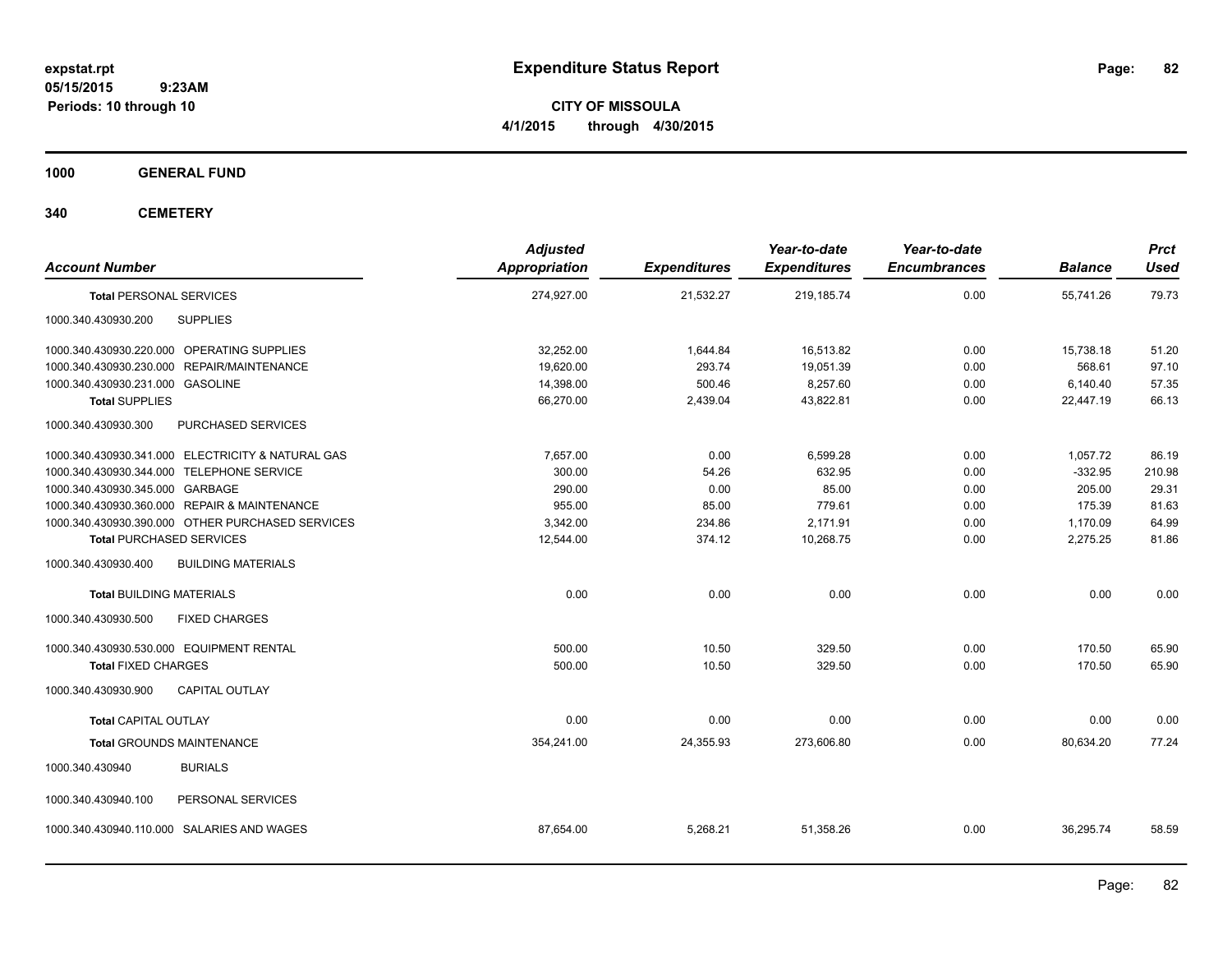**CITY OF MISSOULA 4/1/2015 through 4/30/2015**

**1000 GENERAL FUND**

**340 CEMETERY**

| <b>Account Number</b>                             | <b>Adjusted</b><br><b>Appropriation</b> | <b>Expenditures</b> | Year-to-date<br><b>Expenditures</b> | Year-to-date<br><b>Encumbrances</b> | <b>Balance</b> | Prct<br><b>Used</b> |
|---------------------------------------------------|-----------------------------------------|---------------------|-------------------------------------|-------------------------------------|----------------|---------------------|
| <b>Total PERSONAL SERVICES</b>                    | 274,927.00                              | 21,532.27           | 219,185.74                          | 0.00                                | 55,741.26      | 79.73               |
| <b>SUPPLIES</b><br>1000.340.430930.200            |                                         |                     |                                     |                                     |                |                     |
| 1000.340.430930.220.000 OPERATING SUPPLIES        | 32,252.00                               | 1,644.84            | 16,513.82                           | 0.00                                | 15,738.18      | 51.20               |
| 1000.340.430930.230.000 REPAIR/MAINTENANCE        | 19,620.00                               | 293.74              | 19,051.39                           | 0.00                                | 568.61         | 97.10               |
| 1000.340.430930.231.000 GASOLINE                  | 14,398.00                               | 500.46              | 8,257.60                            | 0.00                                | 6,140.40       | 57.35               |
| <b>Total SUPPLIES</b>                             | 66,270.00                               | 2,439.04            | 43,822.81                           | 0.00                                | 22,447.19      | 66.13               |
| PURCHASED SERVICES<br>1000.340.430930.300         |                                         |                     |                                     |                                     |                |                     |
| 1000.340.430930.341.000 ELECTRICITY & NATURAL GAS | 7,657.00                                | 0.00                | 6,599.28                            | 0.00                                | 1,057.72       | 86.19               |
| 1000.340.430930.344.000 TELEPHONE SERVICE         | 300.00                                  | 54.26               | 632.95                              | 0.00                                | $-332.95$      | 210.98              |
| 1000.340.430930.345.000 GARBAGE                   | 290.00                                  | 0.00                | 85.00                               | 0.00                                | 205.00         | 29.31               |
| 1000.340.430930.360.000 REPAIR & MAINTENANCE      | 955.00                                  | 85.00               | 779.61                              | 0.00                                | 175.39         | 81.63               |
| 1000.340.430930.390.000 OTHER PURCHASED SERVICES  | 3,342.00                                | 234.86              | 2,171.91                            | 0.00                                | 1,170.09       | 64.99               |
| <b>Total PURCHASED SERVICES</b>                   | 12,544.00                               | 374.12              | 10,268.75                           | 0.00                                | 2,275.25       | 81.86               |
| 1000.340.430930.400<br><b>BUILDING MATERIALS</b>  |                                         |                     |                                     |                                     |                |                     |
| <b>Total BUILDING MATERIALS</b>                   | 0.00                                    | 0.00                | 0.00                                | 0.00                                | 0.00           | 0.00                |
| 1000.340.430930.500<br><b>FIXED CHARGES</b>       |                                         |                     |                                     |                                     |                |                     |
| 1000.340.430930.530.000 EQUIPMENT RENTAL          | 500.00                                  | 10.50               | 329.50                              | 0.00                                | 170.50         | 65.90               |
| <b>Total FIXED CHARGES</b>                        | 500.00                                  | 10.50               | 329.50                              | 0.00                                | 170.50         | 65.90               |
| <b>CAPITAL OUTLAY</b><br>1000.340.430930.900      |                                         |                     |                                     |                                     |                |                     |
| <b>Total CAPITAL OUTLAY</b>                       | 0.00                                    | 0.00                | 0.00                                | 0.00                                | 0.00           | 0.00                |
| <b>Total GROUNDS MAINTENANCE</b>                  | 354,241.00                              | 24,355.93           | 273,606.80                          | 0.00                                | 80,634.20      | 77.24               |
| <b>BURIALS</b><br>1000.340.430940                 |                                         |                     |                                     |                                     |                |                     |
| 1000.340.430940.100<br>PERSONAL SERVICES          |                                         |                     |                                     |                                     |                |                     |
| 1000.340.430940.110.000 SALARIES AND WAGES        | 87,654.00                               | 5,268.21            | 51,358.26                           | 0.00                                | 36,295.74      | 58.59               |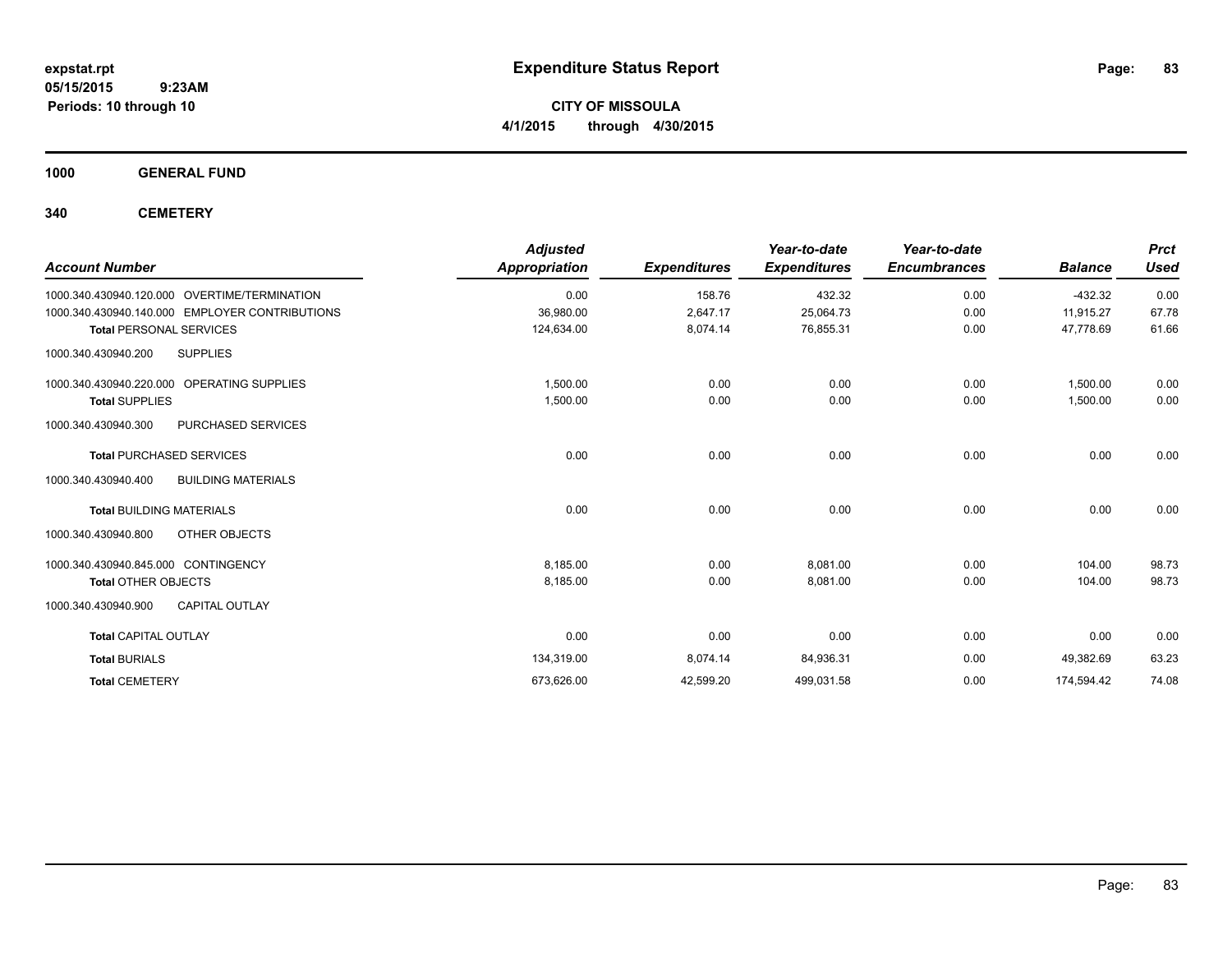**CITY OF MISSOULA 4/1/2015 through 4/30/2015**

**1000 GENERAL FUND**

**340 CEMETERY**

|                                                  | <b>Adjusted</b>      |                     | Year-to-date        | Year-to-date        |                | <b>Prct</b> |
|--------------------------------------------------|----------------------|---------------------|---------------------|---------------------|----------------|-------------|
| <b>Account Number</b>                            | <b>Appropriation</b> | <b>Expenditures</b> | <b>Expenditures</b> | <b>Encumbrances</b> | <b>Balance</b> | <b>Used</b> |
| 1000.340.430940.120.000 OVERTIME/TERMINATION     | 0.00                 | 158.76              | 432.32              | 0.00                | $-432.32$      | 0.00        |
| 1000.340.430940.140.000 EMPLOYER CONTRIBUTIONS   | 36,980.00            | 2,647.17            | 25,064.73           | 0.00                | 11,915.27      | 67.78       |
| <b>Total PERSONAL SERVICES</b>                   | 124,634.00           | 8,074.14            | 76,855.31           | 0.00                | 47,778.69      | 61.66       |
| <b>SUPPLIES</b><br>1000.340.430940.200           |                      |                     |                     |                     |                |             |
| 1000.340.430940.220.000 OPERATING SUPPLIES       | 1,500.00             | 0.00                | 0.00                | 0.00                | 1,500.00       | 0.00        |
| <b>Total SUPPLIES</b>                            | 1,500.00             | 0.00                | 0.00                | 0.00                | 1,500.00       | 0.00        |
| 1000.340.430940.300<br><b>PURCHASED SERVICES</b> |                      |                     |                     |                     |                |             |
| <b>Total PURCHASED SERVICES</b>                  | 0.00                 | 0.00                | 0.00                | 0.00                | 0.00           | 0.00        |
| <b>BUILDING MATERIALS</b><br>1000.340.430940.400 |                      |                     |                     |                     |                |             |
| <b>Total BUILDING MATERIALS</b>                  | 0.00                 | 0.00                | 0.00                | 0.00                | 0.00           | 0.00        |
| 1000.340.430940.800<br>OTHER OBJECTS             |                      |                     |                     |                     |                |             |
| 1000.340.430940.845.000 CONTINGENCY              | 8,185.00             | 0.00                | 8,081.00            | 0.00                | 104.00         | 98.73       |
| <b>Total OTHER OBJECTS</b>                       | 8.185.00             | 0.00                | 8,081.00            | 0.00                | 104.00         | 98.73       |
| 1000.340.430940.900<br><b>CAPITAL OUTLAY</b>     |                      |                     |                     |                     |                |             |
| <b>Total CAPITAL OUTLAY</b>                      | 0.00                 | 0.00                | 0.00                | 0.00                | 0.00           | 0.00        |
| <b>Total BURIALS</b>                             | 134,319.00           | 8,074.14            | 84,936.31           | 0.00                | 49,382.69      | 63.23       |
| <b>Total CEMETERY</b>                            | 673,626.00           | 42,599.20           | 499,031.58          | 0.00                | 174,594.42     | 74.08       |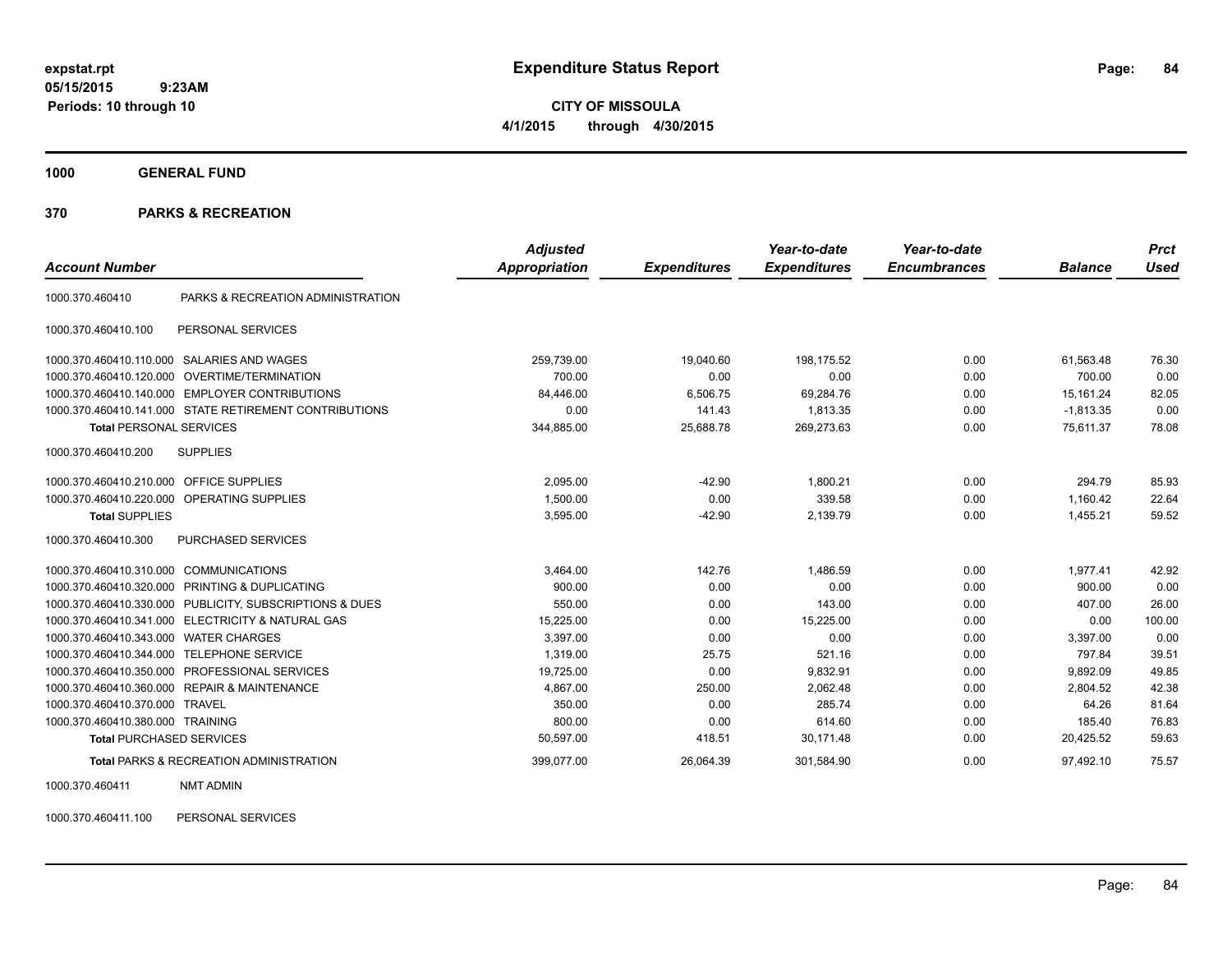**CITY OF MISSOULA 4/1/2015 through 4/30/2015**

**1000 GENERAL FUND**

### **370 PARKS & RECREATION**

| <b>Account Number</b>                   |                                                         | <b>Adjusted</b><br>Appropriation | <b>Expenditures</b> | Year-to-date<br><b>Expenditures</b> | Year-to-date<br><b>Encumbrances</b> | <b>Balance</b> | <b>Prct</b><br><b>Used</b> |
|-----------------------------------------|---------------------------------------------------------|----------------------------------|---------------------|-------------------------------------|-------------------------------------|----------------|----------------------------|
| 1000.370.460410                         | PARKS & RECREATION ADMINISTRATION                       |                                  |                     |                                     |                                     |                |                            |
| 1000.370.460410.100                     | PERSONAL SERVICES                                       |                                  |                     |                                     |                                     |                |                            |
| 1000.370.460410.110.000                 | SALARIES AND WAGES                                      | 259,739.00                       | 19.040.60           | 198.175.52                          | 0.00                                | 61.563.48      | 76.30                      |
| 1000.370.460410.120.000                 | OVERTIME/TERMINATION                                    | 700.00                           | 0.00                | 0.00                                | 0.00                                | 700.00         | 0.00                       |
| 1000.370.460410.140.000                 | <b>EMPLOYER CONTRIBUTIONS</b>                           | 84,446.00                        | 6,506.75            | 69,284.76                           | 0.00                                | 15,161.24      | 82.05                      |
|                                         | 1000.370.460410.141.000 STATE RETIREMENT CONTRIBUTIONS  | 0.00                             | 141.43              | 1,813.35                            | 0.00                                | $-1,813.35$    | 0.00                       |
| <b>Total PERSONAL SERVICES</b>          |                                                         | 344,885.00                       | 25,688.78           | 269,273.63                          | 0.00                                | 75,611.37      | 78.08                      |
| 1000.370.460410.200                     | <b>SUPPLIES</b>                                         |                                  |                     |                                     |                                     |                |                            |
| 1000.370.460410.210.000 OFFICE SUPPLIES |                                                         | 2.095.00                         | $-42.90$            | 1.800.21                            | 0.00                                | 294.79         | 85.93                      |
|                                         | 1000.370.460410.220.000 OPERATING SUPPLIES              | 1,500.00                         | 0.00                | 339.58                              | 0.00                                | 1,160.42       | 22.64                      |
| <b>Total SUPPLIES</b>                   |                                                         | 3,595.00                         | $-42.90$            | 2,139.79                            | 0.00                                | 1,455.21       | 59.52                      |
| 1000.370.460410.300                     | <b>PURCHASED SERVICES</b>                               |                                  |                     |                                     |                                     |                |                            |
| 1000.370.460410.310.000                 | COMMUNICATIONS                                          | 3,464.00                         | 142.76              | 1,486.59                            | 0.00                                | 1,977.41       | 42.92                      |
| 1000.370.460410.320.000                 | PRINTING & DUPLICATING                                  | 900.00                           | 0.00                | 0.00                                | 0.00                                | 900.00         | 0.00                       |
|                                         | 1000.370.460410.330.000 PUBLICITY, SUBSCRIPTIONS & DUES | 550.00                           | 0.00                | 143.00                              | 0.00                                | 407.00         | 26.00                      |
| 1000.370.460410.341.000                 | <b>ELECTRICITY &amp; NATURAL GAS</b>                    | 15,225.00                        | 0.00                | 15,225.00                           | 0.00                                | 0.00           | 100.00                     |
| 1000.370.460410.343.000 WATER CHARGES   |                                                         | 3,397.00                         | 0.00                | 0.00                                | 0.00                                | 3,397.00       | 0.00                       |
| 1000.370.460410.344.000                 | <b>TELEPHONE SERVICE</b>                                | 1,319.00                         | 25.75               | 521.16                              | 0.00                                | 797.84         | 39.51                      |
| 1000.370.460410.350.000                 | PROFESSIONAL SERVICES                                   | 19,725.00                        | 0.00                | 9,832.91                            | 0.00                                | 9,892.09       | 49.85                      |
|                                         | 1000.370.460410.360.000 REPAIR & MAINTENANCE            | 4,867.00                         | 250.00              | 2,062.48                            | 0.00                                | 2,804.52       | 42.38                      |
| 1000.370.460410.370.000                 | TRAVEL                                                  | 350.00                           | 0.00                | 285.74                              | 0.00                                | 64.26          | 81.64                      |
| 1000.370.460410.380.000 TRAINING        |                                                         | 800.00                           | 0.00                | 614.60                              | 0.00                                | 185.40         | 76.83                      |
| <b>Total PURCHASED SERVICES</b>         |                                                         | 50,597.00                        | 418.51              | 30,171.48                           | 0.00                                | 20,425.52      | 59.63                      |
|                                         | <b>Total PARKS &amp; RECREATION ADMINISTRATION</b>      | 399.077.00                       | 26.064.39           | 301.584.90                          | 0.00                                | 97.492.10      | 75.57                      |

1000.370.460411 NMT ADMIN

1000.370.460411.100 PERSONAL SERVICES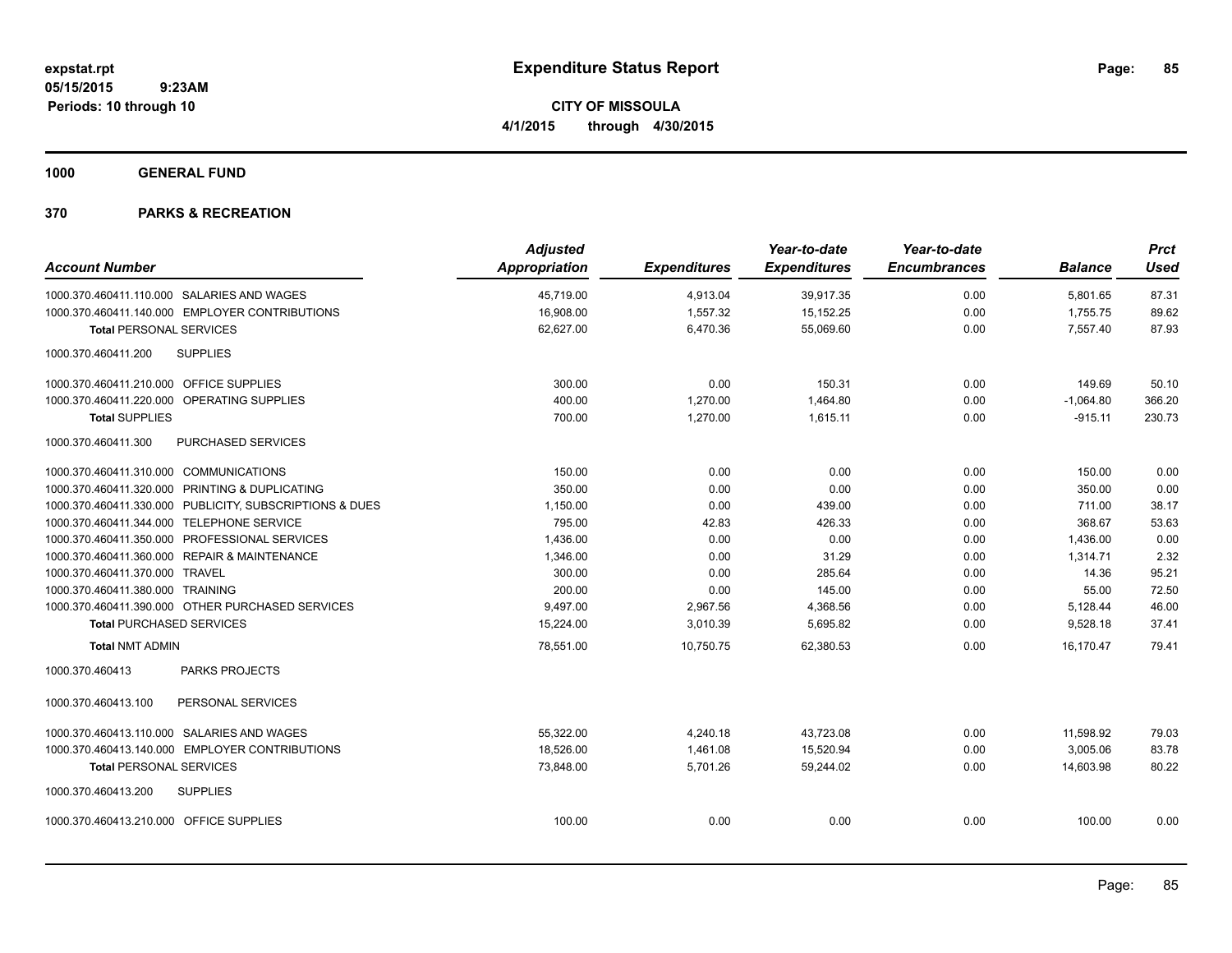**CITY OF MISSOULA 4/1/2015 through 4/30/2015**

**1000 GENERAL FUND**

|                                           |                                                         | <b>Adjusted</b>      |                     | Year-to-date        | Year-to-date        |                | <b>Prct</b> |
|-------------------------------------------|---------------------------------------------------------|----------------------|---------------------|---------------------|---------------------|----------------|-------------|
| <b>Account Number</b>                     |                                                         | <b>Appropriation</b> | <b>Expenditures</b> | <b>Expenditures</b> | <b>Encumbrances</b> | <b>Balance</b> | <b>Used</b> |
|                                           | 1000.370.460411.110.000 SALARIES AND WAGES              | 45,719.00            | 4,913.04            | 39,917.35           | 0.00                | 5,801.65       | 87.31       |
|                                           | 1000.370.460411.140.000 EMPLOYER CONTRIBUTIONS          | 16,908.00            | 1,557.32            | 15, 152. 25         | 0.00                | 1,755.75       | 89.62       |
| <b>Total PERSONAL SERVICES</b>            |                                                         | 62,627.00            | 6,470.36            | 55,069.60           | 0.00                | 7,557.40       | 87.93       |
| 1000.370.460411.200                       | <b>SUPPLIES</b>                                         |                      |                     |                     |                     |                |             |
| 1000.370.460411.210.000 OFFICE SUPPLIES   |                                                         | 300.00               | 0.00                | 150.31              | 0.00                | 149.69         | 50.10       |
|                                           | 1000.370.460411.220.000 OPERATING SUPPLIES              | 400.00               | 1,270.00            | 1,464.80            | 0.00                | $-1,064.80$    | 366.20      |
| <b>Total SUPPLIES</b>                     |                                                         | 700.00               | 1,270.00            | 1,615.11            | 0.00                | $-915.11$      | 230.73      |
| 1000.370.460411.300                       | PURCHASED SERVICES                                      |                      |                     |                     |                     |                |             |
| 1000.370.460411.310.000 COMMUNICATIONS    |                                                         | 150.00               | 0.00                | 0.00                | 0.00                | 150.00         | 0.00        |
|                                           | 1000.370.460411.320.000 PRINTING & DUPLICATING          | 350.00               | 0.00                | 0.00                | 0.00                | 350.00         | 0.00        |
|                                           | 1000.370.460411.330.000 PUBLICITY, SUBSCRIPTIONS & DUES | 1,150.00             | 0.00                | 439.00              | 0.00                | 711.00         | 38.17       |
| 1000.370.460411.344.000 TELEPHONE SERVICE |                                                         | 795.00               | 42.83               | 426.33              | 0.00                | 368.67         | 53.63       |
|                                           | 1000.370.460411.350.000 PROFESSIONAL SERVICES           | 1,436.00             | 0.00                | 0.00                | 0.00                | 1,436.00       | 0.00        |
|                                           | 1000.370.460411.360.000 REPAIR & MAINTENANCE            | 1,346.00             | 0.00                | 31.29               | 0.00                | 1,314.71       | 2.32        |
| 1000.370.460411.370.000 TRAVEL            |                                                         | 300.00               | 0.00                | 285.64              | 0.00                | 14.36          | 95.21       |
| 1000.370.460411.380.000 TRAINING          |                                                         | 200.00               | 0.00                | 145.00              | 0.00                | 55.00          | 72.50       |
|                                           | 1000.370.460411.390.000 OTHER PURCHASED SERVICES        | 9,497.00             | 2,967.56            | 4,368.56            | 0.00                | 5,128.44       | 46.00       |
| <b>Total PURCHASED SERVICES</b>           |                                                         | 15,224.00            | 3,010.39            | 5,695.82            | 0.00                | 9,528.18       | 37.41       |
| <b>Total NMT ADMIN</b>                    |                                                         | 78,551.00            | 10,750.75           | 62.380.53           | 0.00                | 16.170.47      | 79.41       |
| 1000.370.460413                           | <b>PARKS PROJECTS</b>                                   |                      |                     |                     |                     |                |             |
| 1000.370.460413.100                       | PERSONAL SERVICES                                       |                      |                     |                     |                     |                |             |
|                                           | 1000.370.460413.110.000 SALARIES AND WAGES              | 55,322.00            | 4,240.18            | 43,723.08           | 0.00                | 11,598.92      | 79.03       |
|                                           | 1000.370.460413.140.000 EMPLOYER CONTRIBUTIONS          | 18.526.00            | 1,461.08            | 15,520.94           | 0.00                | 3,005.06       | 83.78       |
| <b>Total PERSONAL SERVICES</b>            |                                                         | 73,848.00            | 5,701.26            | 59,244.02           | 0.00                | 14.603.98      | 80.22       |
| 1000.370.460413.200                       | <b>SUPPLIES</b>                                         |                      |                     |                     |                     |                |             |
| 1000.370.460413.210.000 OFFICE SUPPLIES   |                                                         | 100.00               | 0.00                | 0.00                | 0.00                | 100.00         | 0.00        |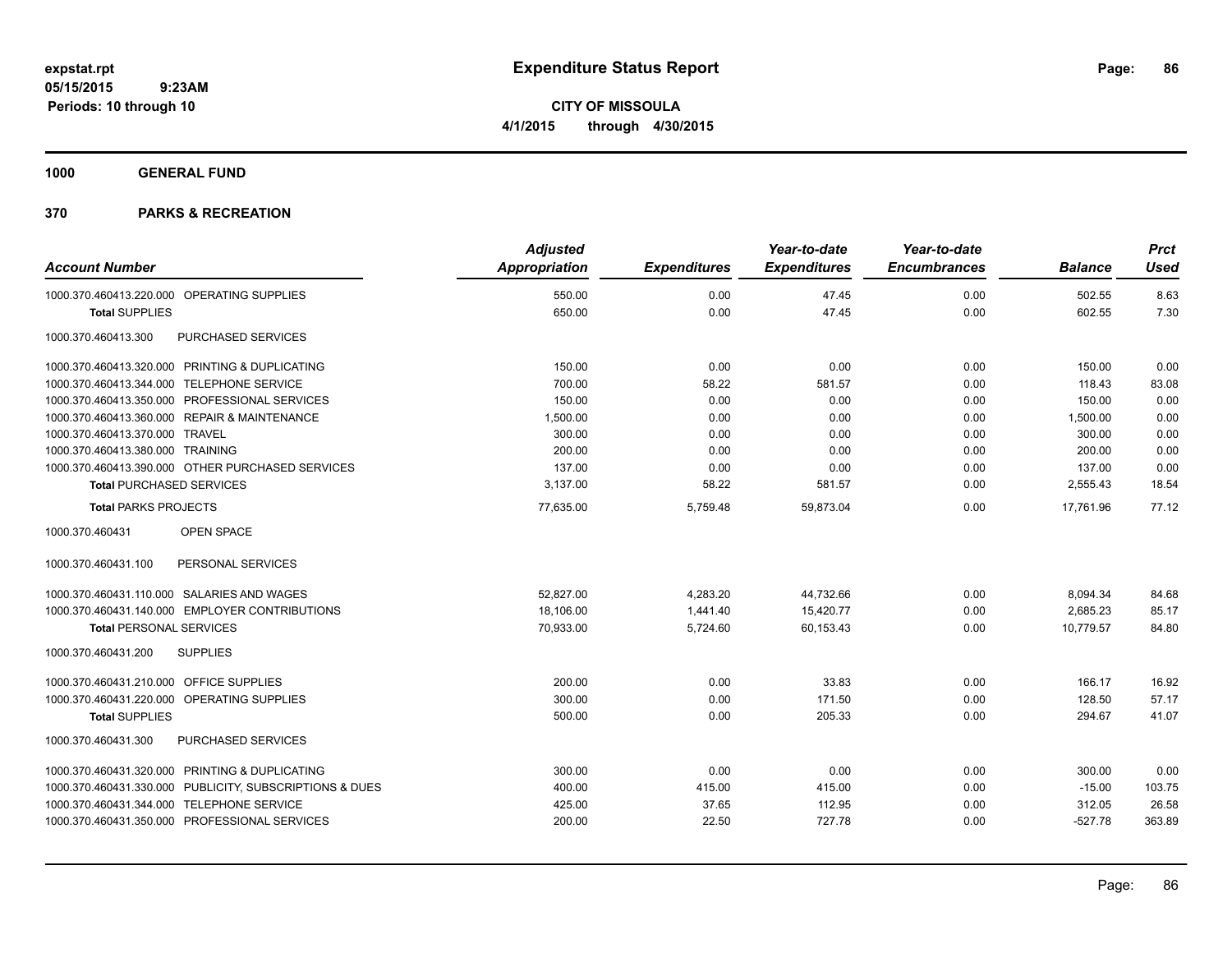**CITY OF MISSOULA 4/1/2015 through 4/30/2015**

**1000 GENERAL FUND**

|                                                         | <b>Adjusted</b>      |                     | Year-to-date        | Year-to-date        |                | <b>Prct</b> |
|---------------------------------------------------------|----------------------|---------------------|---------------------|---------------------|----------------|-------------|
| <b>Account Number</b>                                   | <b>Appropriation</b> | <b>Expenditures</b> | <b>Expenditures</b> | <b>Encumbrances</b> | <b>Balance</b> | <b>Used</b> |
| 1000.370.460413.220.000 OPERATING SUPPLIES              | 550.00               | 0.00                | 47.45               | 0.00                | 502.55         | 8.63        |
| <b>Total SUPPLIES</b>                                   | 650.00               | 0.00                | 47.45               | 0.00                | 602.55         | 7.30        |
| 1000.370.460413.300<br>PURCHASED SERVICES               |                      |                     |                     |                     |                |             |
| 1000.370.460413.320.000 PRINTING & DUPLICATING          | 150.00               | 0.00                | 0.00                | 0.00                | 150.00         | 0.00        |
| 1000.370.460413.344.000 TELEPHONE SERVICE               | 700.00               | 58.22               | 581.57              | 0.00                | 118.43         | 83.08       |
| 1000.370.460413.350.000 PROFESSIONAL SERVICES           | 150.00               | 0.00                | 0.00                | 0.00                | 150.00         | 0.00        |
| 1000.370.460413.360.000 REPAIR & MAINTENANCE            | 1,500.00             | 0.00                | 0.00                | 0.00                | 1,500.00       | 0.00        |
| 1000.370.460413.370.000 TRAVEL                          | 300.00               | 0.00                | 0.00                | 0.00                | 300.00         | 0.00        |
| 1000.370.460413.380.000 TRAINING                        | 200.00               | 0.00                | 0.00                | 0.00                | 200.00         | 0.00        |
| 1000.370.460413.390.000 OTHER PURCHASED SERVICES        | 137.00               | 0.00                | 0.00                | 0.00                | 137.00         | 0.00        |
| <b>Total PURCHASED SERVICES</b>                         | 3,137.00             | 58.22               | 581.57              | 0.00                | 2,555.43       | 18.54       |
| <b>Total PARKS PROJECTS</b>                             | 77,635.00            | 5,759.48            | 59,873.04           | 0.00                | 17,761.96      | 77.12       |
| 1000.370.460431<br><b>OPEN SPACE</b>                    |                      |                     |                     |                     |                |             |
| 1000.370.460431.100<br>PERSONAL SERVICES                |                      |                     |                     |                     |                |             |
| 1000.370.460431.110.000 SALARIES AND WAGES              | 52,827.00            | 4,283.20            | 44,732.66           | 0.00                | 8,094.34       | 84.68       |
| 1000.370.460431.140.000 EMPLOYER CONTRIBUTIONS          | 18,106.00            | 1,441.40            | 15,420.77           | 0.00                | 2,685.23       | 85.17       |
| <b>Total PERSONAL SERVICES</b>                          | 70,933.00            | 5,724.60            | 60,153.43           | 0.00                | 10,779.57      | 84.80       |
| 1000.370.460431.200<br><b>SUPPLIES</b>                  |                      |                     |                     |                     |                |             |
| 1000.370.460431.210.000 OFFICE SUPPLIES                 | 200.00               | 0.00                | 33.83               | 0.00                | 166.17         | 16.92       |
| 1000.370.460431.220.000 OPERATING SUPPLIES              | 300.00               | 0.00                | 171.50              | 0.00                | 128.50         | 57.17       |
| <b>Total SUPPLIES</b>                                   | 500.00               | 0.00                | 205.33              | 0.00                | 294.67         | 41.07       |
| PURCHASED SERVICES<br>1000.370.460431.300               |                      |                     |                     |                     |                |             |
| 1000.370.460431.320.000 PRINTING & DUPLICATING          | 300.00               | 0.00                | 0.00                | 0.00                | 300.00         | 0.00        |
| 1000.370.460431.330.000 PUBLICITY, SUBSCRIPTIONS & DUES | 400.00               | 415.00              | 415.00              | 0.00                | $-15.00$       | 103.75      |
| 1000.370.460431.344.000 TELEPHONE SERVICE               | 425.00               | 37.65               | 112.95              | 0.00                | 312.05         | 26.58       |
| 1000.370.460431.350.000 PROFESSIONAL SERVICES           | 200.00               | 22.50               | 727.78              | 0.00                | $-527.78$      | 363.89      |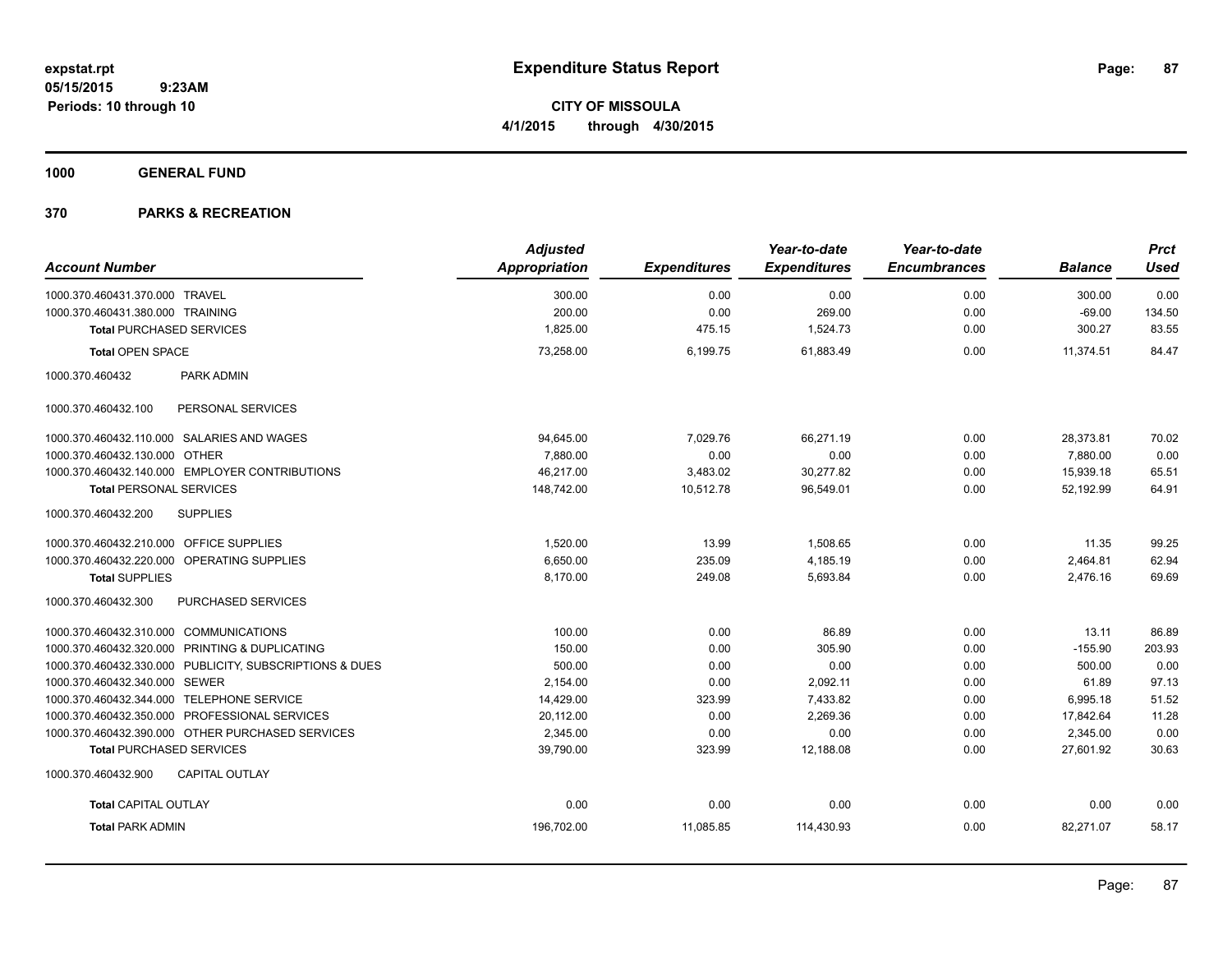**CITY OF MISSOULA 4/1/2015 through 4/30/2015**

**1000 GENERAL FUND**

| <b>Account Number</b>                                   | <b>Adjusted</b><br>Appropriation | <b>Expenditures</b> | Year-to-date<br><b>Expenditures</b> | Year-to-date<br><b>Encumbrances</b> | <b>Balance</b> | <b>Prct</b><br><b>Used</b> |
|---------------------------------------------------------|----------------------------------|---------------------|-------------------------------------|-------------------------------------|----------------|----------------------------|
|                                                         |                                  |                     |                                     |                                     |                |                            |
| 1000.370.460431.370.000 TRAVEL                          | 300.00                           | 0.00                | 0.00                                | 0.00                                | 300.00         | 0.00                       |
| 1000.370.460431.380.000 TRAINING                        | 200.00                           | 0.00                | 269.00                              | 0.00                                | $-69.00$       | 134.50                     |
| <b>Total PURCHASED SERVICES</b>                         | 1,825.00                         | 475.15              | 1,524.73                            | 0.00                                | 300.27         | 83.55                      |
| <b>Total OPEN SPACE</b>                                 | 73,258.00                        | 6.199.75            | 61.883.49                           | 0.00                                | 11.374.51      | 84.47                      |
| 1000.370.460432<br>PARK ADMIN                           |                                  |                     |                                     |                                     |                |                            |
| PERSONAL SERVICES<br>1000.370.460432.100                |                                  |                     |                                     |                                     |                |                            |
| 1000.370.460432.110.000 SALARIES AND WAGES              | 94,645.00                        | 7,029.76            | 66,271.19                           | 0.00                                | 28,373.81      | 70.02                      |
| 1000.370.460432.130.000 OTHER                           | 7.880.00                         | 0.00                | 0.00                                | 0.00                                | 7,880.00       | 0.00                       |
| 1000.370.460432.140.000 EMPLOYER CONTRIBUTIONS          | 46,217.00                        | 3,483.02            | 30,277.82                           | 0.00                                | 15,939.18      | 65.51                      |
| <b>Total PERSONAL SERVICES</b>                          | 148,742.00                       | 10,512.78           | 96,549.01                           | 0.00                                | 52,192.99      | 64.91                      |
| <b>SUPPLIES</b><br>1000.370.460432.200                  |                                  |                     |                                     |                                     |                |                            |
| 1000.370.460432.210.000 OFFICE SUPPLIES                 | 1,520.00                         | 13.99               | 1,508.65                            | 0.00                                | 11.35          | 99.25                      |
| 1000.370.460432.220.000 OPERATING SUPPLIES              | 6,650.00                         | 235.09              | 4,185.19                            | 0.00                                | 2,464.81       | 62.94                      |
| <b>Total SUPPLIES</b>                                   | 8,170.00                         | 249.08              | 5,693.84                            | 0.00                                | 2,476.16       | 69.69                      |
| 1000.370.460432.300<br>PURCHASED SERVICES               |                                  |                     |                                     |                                     |                |                            |
| 1000.370.460432.310.000 COMMUNICATIONS                  | 100.00                           | 0.00                | 86.89                               | 0.00                                | 13.11          | 86.89                      |
| 1000.370.460432.320.000 PRINTING & DUPLICATING          | 150.00                           | 0.00                | 305.90                              | 0.00                                | $-155.90$      | 203.93                     |
| 1000.370.460432.330.000 PUBLICITY, SUBSCRIPTIONS & DUES | 500.00                           | 0.00                | 0.00                                | 0.00                                | 500.00         | 0.00                       |
| 1000.370.460432.340.000 SEWER                           | 2,154.00                         | 0.00                | 2,092.11                            | 0.00                                | 61.89          | 97.13                      |
| 1000.370.460432.344.000 TELEPHONE SERVICE               | 14,429.00                        | 323.99              | 7,433.82                            | 0.00                                | 6,995.18       | 51.52                      |
| 1000.370.460432.350.000 PROFESSIONAL SERVICES           | 20,112.00                        | 0.00                | 2,269.36                            | 0.00                                | 17,842.64      | 11.28                      |
| 1000.370.460432.390.000 OTHER PURCHASED SERVICES        | 2,345.00                         | 0.00                | 0.00                                | 0.00                                | 2,345.00       | 0.00                       |
| <b>Total PURCHASED SERVICES</b>                         | 39,790.00                        | 323.99              | 12,188.08                           | 0.00                                | 27,601.92      | 30.63                      |
| 1000.370.460432.900<br><b>CAPITAL OUTLAY</b>            |                                  |                     |                                     |                                     |                |                            |
| <b>Total CAPITAL OUTLAY</b>                             | 0.00                             | 0.00                | 0.00                                | 0.00                                | 0.00           | 0.00                       |
| <b>Total PARK ADMIN</b>                                 | 196,702.00                       | 11,085.85           | 114,430.93                          | 0.00                                | 82,271.07      | 58.17                      |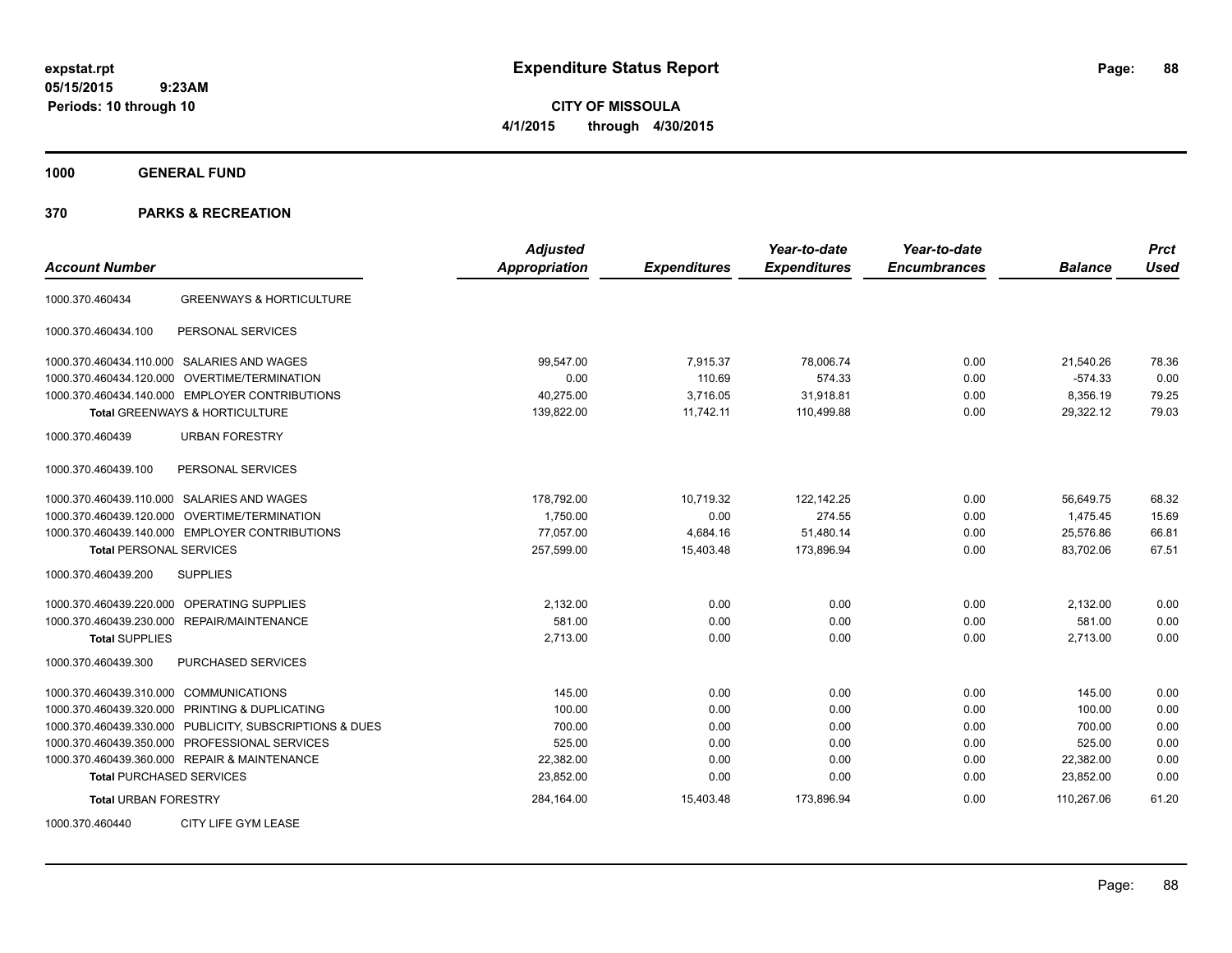**CITY OF MISSOULA 4/1/2015 through 4/30/2015**

**1000 GENERAL FUND**

| <b>Account Number</b>                                   | <b>Adjusted</b><br><b>Appropriation</b> | <b>Expenditures</b> | Year-to-date<br><b>Expenditures</b> | Year-to-date<br><b>Encumbrances</b> | <b>Balance</b> | <b>Prct</b><br><b>Used</b> |
|---------------------------------------------------------|-----------------------------------------|---------------------|-------------------------------------|-------------------------------------|----------------|----------------------------|
| <b>GREENWAYS &amp; HORTICULTURE</b><br>1000.370.460434  |                                         |                     |                                     |                                     |                |                            |
| PERSONAL SERVICES<br>1000.370.460434.100                |                                         |                     |                                     |                                     |                |                            |
| 1000.370.460434.110.000 SALARIES AND WAGES              | 99.547.00                               | 7,915.37            | 78,006.74                           | 0.00                                | 21,540.26      | 78.36                      |
| OVERTIME/TERMINATION<br>1000.370.460434.120.000         | 0.00                                    | 110.69              | 574.33                              | 0.00                                | $-574.33$      | 0.00                       |
| 1000.370.460434.140.000 EMPLOYER CONTRIBUTIONS          | 40,275.00                               | 3.716.05            | 31,918.81                           | 0.00                                | 8,356.19       | 79.25                      |
| Total GREENWAYS & HORTICULTURE                          | 139,822.00                              | 11,742.11           | 110,499.88                          | 0.00                                | 29,322.12      | 79.03                      |
| 1000.370.460439<br><b>URBAN FORESTRY</b>                |                                         |                     |                                     |                                     |                |                            |
| PERSONAL SERVICES<br>1000.370.460439.100                |                                         |                     |                                     |                                     |                |                            |
| 1000.370.460439.110.000 SALARIES AND WAGES              | 178,792.00                              | 10,719.32           | 122,142.25                          | 0.00                                | 56,649.75      | 68.32                      |
| <b>OVERTIME/TERMINATION</b><br>1000.370.460439.120.000  | 1,750.00                                | 0.00                | 274.55                              | 0.00                                | 1,475.45       | 15.69                      |
| 1000.370.460439.140.000 EMPLOYER CONTRIBUTIONS          | 77,057.00                               | 4,684.16            | 51,480.14                           | 0.00                                | 25,576.86      | 66.81                      |
| <b>Total PERSONAL SERVICES</b>                          | 257,599.00                              | 15,403.48           | 173,896.94                          | 0.00                                | 83,702.06      | 67.51                      |
| 1000.370.460439.200<br><b>SUPPLIES</b>                  |                                         |                     |                                     |                                     |                |                            |
| OPERATING SUPPLIES<br>1000.370.460439.220.000           | 2,132.00                                | 0.00                | 0.00                                | 0.00                                | 2,132.00       | 0.00                       |
| 1000.370.460439.230.000 REPAIR/MAINTENANCE              | 581.00                                  | 0.00                | 0.00                                | 0.00                                | 581.00         | 0.00                       |
| <b>Total SUPPLIES</b>                                   | 2,713.00                                | 0.00                | 0.00                                | 0.00                                | 2,713.00       | 0.00                       |
| 1000.370.460439.300<br><b>PURCHASED SERVICES</b>        |                                         |                     |                                     |                                     |                |                            |
| 1000.370.460439.310.000 COMMUNICATIONS                  | 145.00                                  | 0.00                | 0.00                                | 0.00                                | 145.00         | 0.00                       |
| 1000.370.460439.320.000<br>PRINTING & DUPLICATING       | 100.00                                  | 0.00                | 0.00                                | 0.00                                | 100.00         | 0.00                       |
| 1000.370.460439.330.000 PUBLICITY, SUBSCRIPTIONS & DUES | 700.00                                  | 0.00                | 0.00                                | 0.00                                | 700.00         | 0.00                       |
| 1000.370.460439.350.000 PROFESSIONAL SERVICES           | 525.00                                  | 0.00                | 0.00                                | 0.00                                | 525.00         | 0.00                       |
| 1000.370.460439.360.000 REPAIR & MAINTENANCE            | 22,382.00                               | 0.00                | 0.00                                | 0.00                                | 22,382.00      | 0.00                       |
| <b>Total PURCHASED SERVICES</b>                         | 23,852.00                               | 0.00                | 0.00                                | 0.00                                | 23,852.00      | 0.00                       |
| <b>Total URBAN FORESTRY</b>                             | 284,164.00                              | 15,403.48           | 173,896.94                          | 0.00                                | 110,267.06     | 61.20                      |
| CITY LIFE GYM LEASE<br>1000.370.460440                  |                                         |                     |                                     |                                     |                |                            |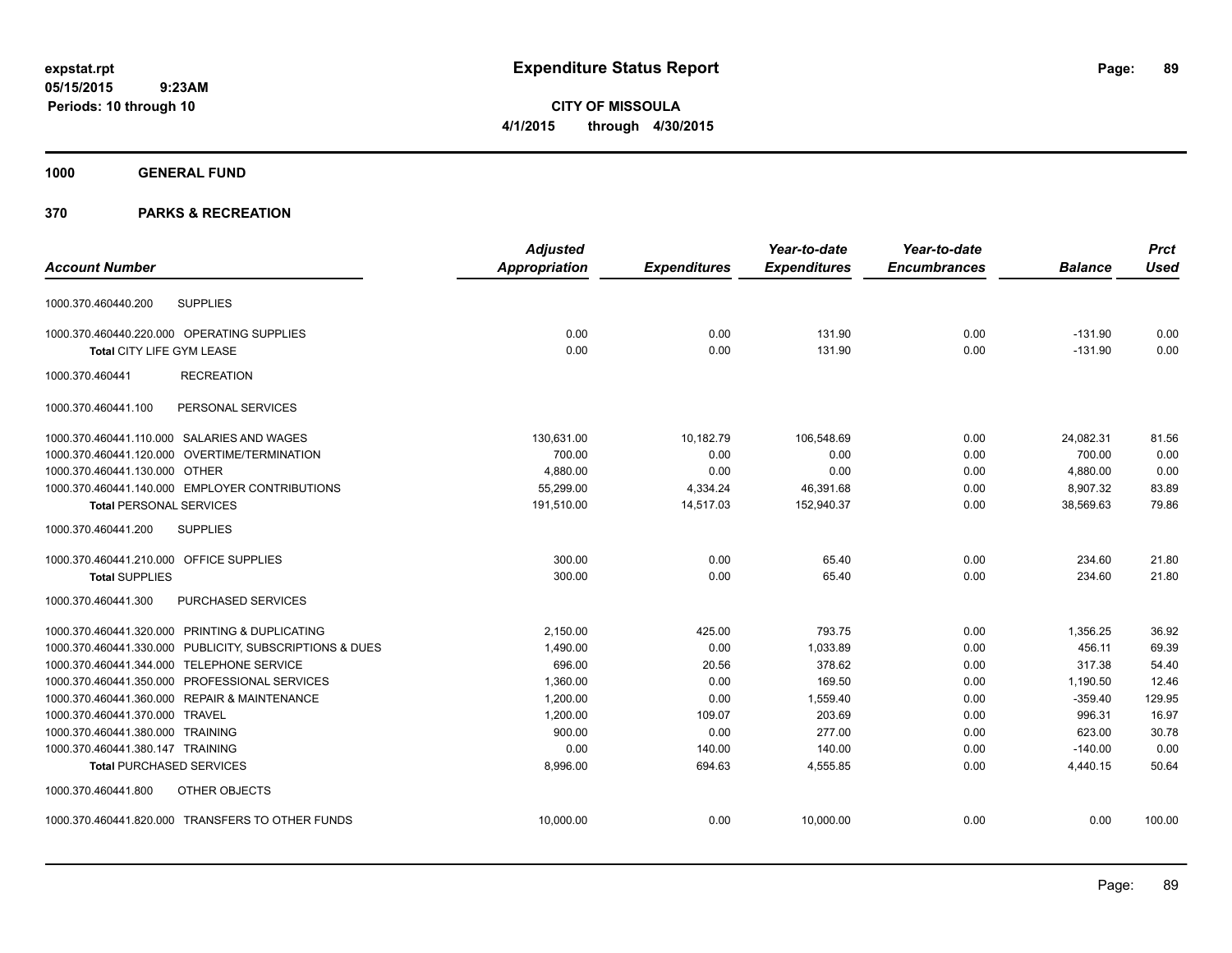**CITY OF MISSOULA 4/1/2015 through 4/30/2015**

## **1000 GENERAL FUND**

|                                                         | <b>Adjusted</b>      |                     | Year-to-date        | Year-to-date        |                | <b>Prct</b> |
|---------------------------------------------------------|----------------------|---------------------|---------------------|---------------------|----------------|-------------|
| <b>Account Number</b>                                   | <b>Appropriation</b> | <b>Expenditures</b> | <b>Expenditures</b> | <b>Encumbrances</b> | <b>Balance</b> | <b>Used</b> |
| <b>SUPPLIES</b><br>1000.370.460440.200                  |                      |                     |                     |                     |                |             |
| 1000.370.460440.220.000 OPERATING SUPPLIES              | 0.00                 | 0.00                | 131.90              | 0.00                | $-131.90$      | 0.00        |
| Total CITY LIFE GYM LEASE                               | 0.00                 | 0.00                | 131.90              | 0.00                | $-131.90$      | 0.00        |
| <b>RECREATION</b><br>1000.370.460441                    |                      |                     |                     |                     |                |             |
| PERSONAL SERVICES<br>1000.370.460441.100                |                      |                     |                     |                     |                |             |
| 1000.370.460441.110.000 SALARIES AND WAGES              | 130,631.00           | 10,182.79           | 106,548.69          | 0.00                | 24,082.31      | 81.56       |
| 1000.370.460441.120.000 OVERTIME/TERMINATION            | 700.00               | 0.00                | 0.00                | 0.00                | 700.00         | 0.00        |
| 1000.370.460441.130.000 OTHER                           | 4,880.00             | 0.00                | 0.00                | 0.00                | 4,880.00       | 0.00        |
| 1000.370.460441.140.000 EMPLOYER CONTRIBUTIONS          | 55,299.00            | 4,334.24            | 46,391.68           | 0.00                | 8,907.32       | 83.89       |
| <b>Total PERSONAL SERVICES</b>                          | 191,510.00           | 14,517.03           | 152,940.37          | 0.00                | 38,569.63      | 79.86       |
| <b>SUPPLIES</b><br>1000.370.460441.200                  |                      |                     |                     |                     |                |             |
| 1000.370.460441.210.000 OFFICE SUPPLIES                 | 300.00               | 0.00                | 65.40               | 0.00                | 234.60         | 21.80       |
| <b>Total SUPPLIES</b>                                   | 300.00               | 0.00                | 65.40               | 0.00                | 234.60         | 21.80       |
| PURCHASED SERVICES<br>1000.370.460441.300               |                      |                     |                     |                     |                |             |
| 1000.370.460441.320.000 PRINTING & DUPLICATING          | 2,150.00             | 425.00              | 793.75              | 0.00                | 1,356.25       | 36.92       |
| 1000.370.460441.330.000 PUBLICITY, SUBSCRIPTIONS & DUES | 1,490.00             | 0.00                | 1,033.89            | 0.00                | 456.11         | 69.39       |
| 1000.370.460441.344.000 TELEPHONE SERVICE               | 696.00               | 20.56               | 378.62              | 0.00                | 317.38         | 54.40       |
| 1000.370.460441.350.000 PROFESSIONAL SERVICES           | 1,360.00             | 0.00                | 169.50              | 0.00                | 1,190.50       | 12.46       |
| 1000.370.460441.360.000 REPAIR & MAINTENANCE            | 1,200.00             | 0.00                | 1,559.40            | 0.00                | $-359.40$      | 129.95      |
| 1000.370.460441.370.000 TRAVEL                          | 1.200.00             | 109.07              | 203.69              | 0.00                | 996.31         | 16.97       |
| 1000.370.460441.380.000 TRAINING                        | 900.00               | 0.00                | 277.00              | 0.00                | 623.00         | 30.78       |
| 1000.370.460441.380.147 TRAINING                        | 0.00                 | 140.00              | 140.00              | 0.00                | $-140.00$      | 0.00        |
| <b>Total PURCHASED SERVICES</b>                         | 8,996.00             | 694.63              | 4,555.85            | 0.00                | 4,440.15       | 50.64       |
| 1000.370.460441.800<br>OTHER OBJECTS                    |                      |                     |                     |                     |                |             |
| 1000.370.460441.820.000 TRANSFERS TO OTHER FUNDS        | 10,000.00            | 0.00                | 10.000.00           | 0.00                | 0.00           | 100.00      |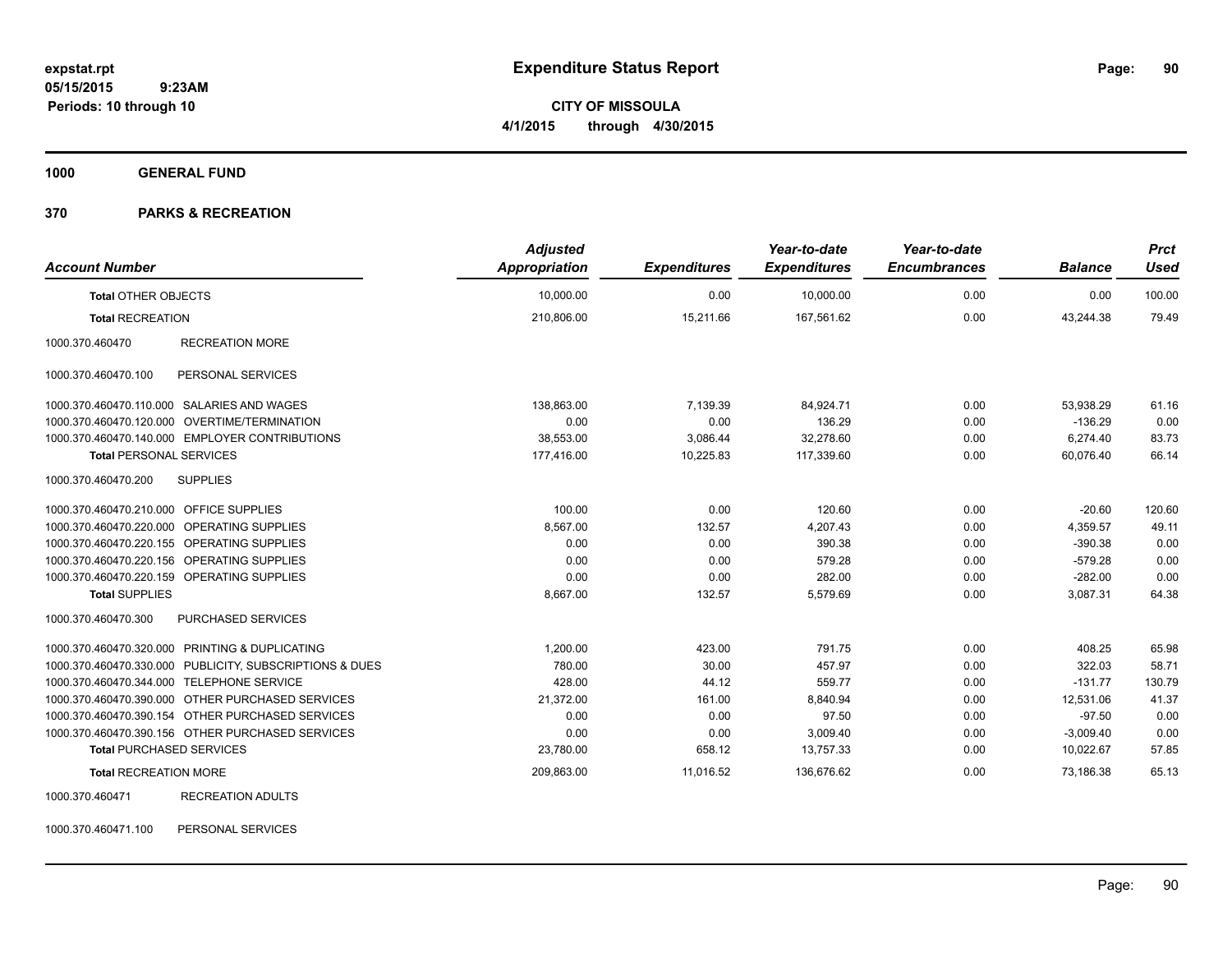**CITY OF MISSOULA 4/1/2015 through 4/30/2015**

**1000 GENERAL FUND**

### **370 PARKS & RECREATION**

| <b>Account Number</b>                     |                                                         | <b>Adjusted</b><br><b>Appropriation</b> | <b>Expenditures</b> | Year-to-date<br><b>Expenditures</b> | Year-to-date<br><b>Encumbrances</b> | <b>Balance</b> | <b>Prct</b><br><b>Used</b> |
|-------------------------------------------|---------------------------------------------------------|-----------------------------------------|---------------------|-------------------------------------|-------------------------------------|----------------|----------------------------|
| <b>Total OTHER OBJECTS</b>                |                                                         | 10,000.00                               | 0.00                | 10,000.00                           | 0.00                                | 0.00           | 100.00                     |
| <b>Total RECREATION</b>                   |                                                         | 210,806.00                              | 15,211.66           | 167,561.62                          | 0.00                                | 43,244.38      | 79.49                      |
| 1000.370.460470                           | <b>RECREATION MORE</b>                                  |                                         |                     |                                     |                                     |                |                            |
| 1000.370.460470.100                       | PERSONAL SERVICES                                       |                                         |                     |                                     |                                     |                |                            |
|                                           | 1000.370.460470.110.000 SALARIES AND WAGES              | 138,863.00                              | 7,139.39            | 84,924.71                           | 0.00                                | 53,938.29      | 61.16                      |
|                                           | 1000.370.460470.120.000 OVERTIME/TERMINATION            | 0.00                                    | 0.00                | 136.29                              | 0.00                                | $-136.29$      | 0.00                       |
|                                           | 1000.370.460470.140.000 EMPLOYER CONTRIBUTIONS          | 38,553.00                               | 3,086.44            | 32.278.60                           | 0.00                                | 6,274.40       | 83.73                      |
| <b>Total PERSONAL SERVICES</b>            |                                                         | 177,416.00                              | 10,225.83           | 117,339.60                          | 0.00                                | 60,076.40      | 66.14                      |
| 1000.370.460470.200                       | <b>SUPPLIES</b>                                         |                                         |                     |                                     |                                     |                |                            |
| 1000.370.460470.210.000 OFFICE SUPPLIES   |                                                         | 100.00                                  | 0.00                | 120.60                              | 0.00                                | $-20.60$       | 120.60                     |
|                                           | 1000.370.460470.220.000 OPERATING SUPPLIES              | 8,567.00                                | 132.57              | 4,207.43                            | 0.00                                | 4,359.57       | 49.11                      |
|                                           | 1000.370.460470.220.155 OPERATING SUPPLIES              | 0.00                                    | 0.00                | 390.38                              | 0.00                                | $-390.38$      | 0.00                       |
|                                           | 1000.370.460470.220.156 OPERATING SUPPLIES              | 0.00                                    | 0.00                | 579.28                              | 0.00                                | $-579.28$      | 0.00                       |
|                                           | 1000.370.460470.220.159 OPERATING SUPPLIES              | 0.00                                    | 0.00                | 282.00                              | 0.00                                | $-282.00$      | 0.00                       |
| <b>Total SUPPLIES</b>                     |                                                         | 8,667.00                                | 132.57              | 5,579.69                            | 0.00                                | 3,087.31       | 64.38                      |
| 1000.370.460470.300                       | PURCHASED SERVICES                                      |                                         |                     |                                     |                                     |                |                            |
|                                           | 1000.370.460470.320.000 PRINTING & DUPLICATING          | 1,200.00                                | 423.00              | 791.75                              | 0.00                                | 408.25         | 65.98                      |
|                                           | 1000.370.460470.330.000 PUBLICITY, SUBSCRIPTIONS & DUES | 780.00                                  | 30.00               | 457.97                              | 0.00                                | 322.03         | 58.71                      |
| 1000.370.460470.344.000 TELEPHONE SERVICE |                                                         | 428.00                                  | 44.12               | 559.77                              | 0.00                                | $-131.77$      | 130.79                     |
|                                           | 1000.370.460470.390.000 OTHER PURCHASED SERVICES        | 21,372.00                               | 161.00              | 8,840.94                            | 0.00                                | 12,531.06      | 41.37                      |
|                                           | 1000.370.460470.390.154 OTHER PURCHASED SERVICES        | 0.00                                    | 0.00                | 97.50                               | 0.00                                | $-97.50$       | 0.00                       |
|                                           | 1000.370.460470.390.156 OTHER PURCHASED SERVICES        | 0.00                                    | 0.00                | 3,009.40                            | 0.00                                | $-3,009.40$    | 0.00                       |
| <b>Total PURCHASED SERVICES</b>           |                                                         | 23,780.00                               | 658.12              | 13,757.33                           | 0.00                                | 10,022.67      | 57.85                      |
| <b>Total RECREATION MORE</b>              |                                                         | 209,863.00                              | 11,016.52           | 136,676.62                          | 0.00                                | 73,186.38      | 65.13                      |
| 1000.370.460471                           | <b>RECREATION ADULTS</b>                                |                                         |                     |                                     |                                     |                |                            |

1000.370.460471.100 PERSONAL SERVICES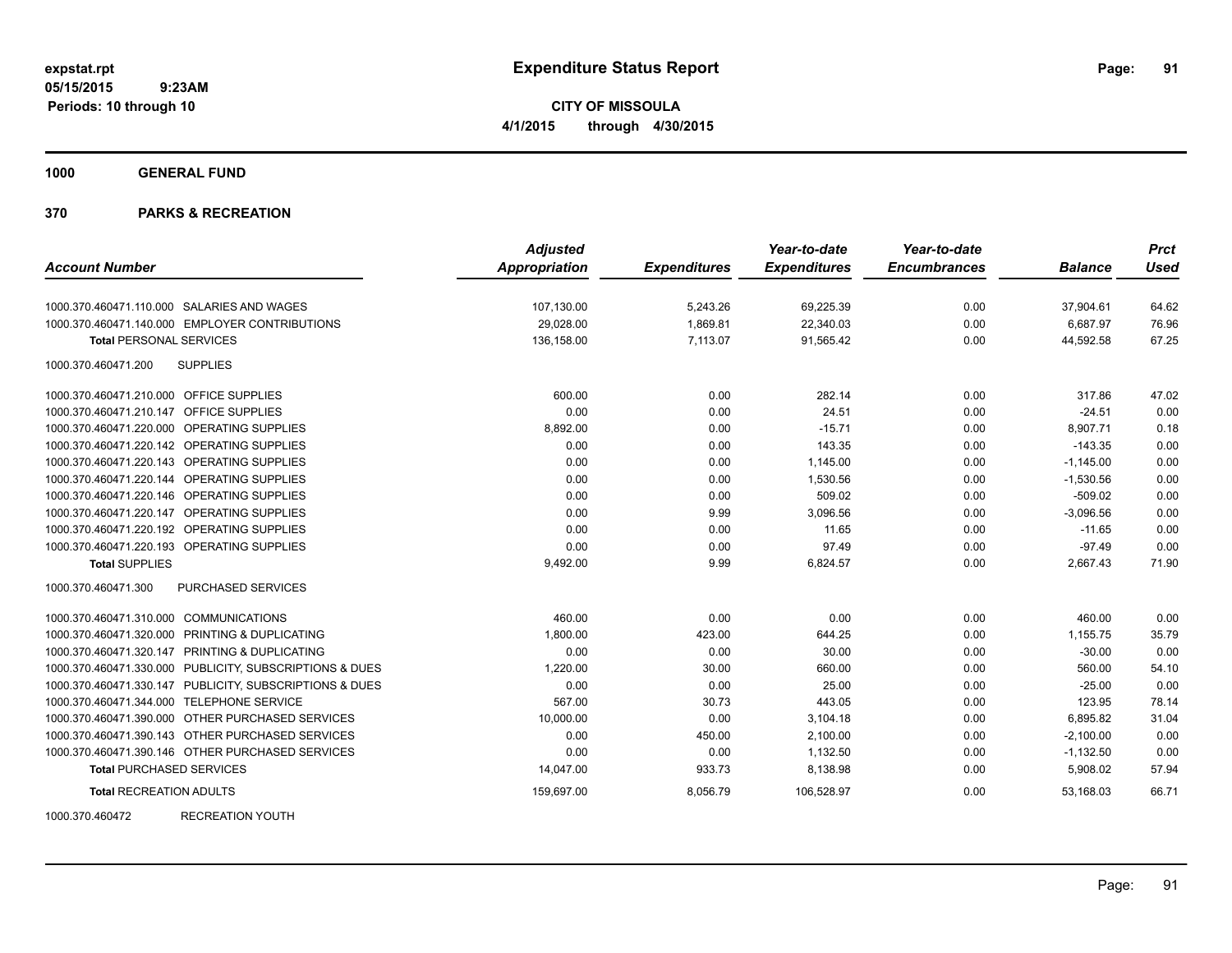**CITY OF MISSOULA 4/1/2015 through 4/30/2015**

**1000 GENERAL FUND**

## **370 PARKS & RECREATION**

|                                                         | <b>Adjusted</b>      |                     | Year-to-date        | Year-to-date        |                | <b>Prct</b> |
|---------------------------------------------------------|----------------------|---------------------|---------------------|---------------------|----------------|-------------|
| <b>Account Number</b>                                   | <b>Appropriation</b> | <b>Expenditures</b> | <b>Expenditures</b> | <b>Encumbrances</b> | <b>Balance</b> | <b>Used</b> |
| 1000.370.460471.110.000 SALARIES AND WAGES              | 107,130.00           | 5,243.26            | 69,225.39           | 0.00                | 37,904.61      | 64.62       |
| 1000.370.460471.140.000 EMPLOYER CONTRIBUTIONS          | 29,028.00            | 1,869.81            | 22,340.03           | 0.00                | 6,687.97       | 76.96       |
| <b>Total PERSONAL SERVICES</b>                          | 136,158.00           | 7,113.07            | 91,565.42           | 0.00                | 44,592.58      | 67.25       |
| <b>SUPPLIES</b><br>1000.370.460471.200                  |                      |                     |                     |                     |                |             |
| 1000.370.460471.210.000 OFFICE SUPPLIES                 | 600.00               | 0.00                | 282.14              | 0.00                | 317.86         | 47.02       |
| 1000.370.460471.210.147 OFFICE SUPPLIES                 | 0.00                 | 0.00                | 24.51               | 0.00                | $-24.51$       | 0.00        |
| 1000.370.460471.220.000 OPERATING SUPPLIES              | 8,892.00             | 0.00                | $-15.71$            | 0.00                | 8.907.71       | 0.18        |
| 1000.370.460471.220.142 OPERATING SUPPLIES              | 0.00                 | 0.00                | 143.35              | 0.00                | $-143.35$      | 0.00        |
| 1000.370.460471.220.143 OPERATING SUPPLIES              | 0.00                 | 0.00                | 1,145.00            | 0.00                | $-1,145.00$    | 0.00        |
| 1000.370.460471.220.144 OPERATING SUPPLIES              | 0.00                 | 0.00                | 1,530.56            | 0.00                | $-1,530.56$    | 0.00        |
| 1000.370.460471.220.146 OPERATING SUPPLIES              | 0.00                 | 0.00                | 509.02              | 0.00                | $-509.02$      | 0.00        |
| 1000.370.460471.220.147 OPERATING SUPPLIES              | 0.00                 | 9.99                | 3,096.56            | 0.00                | $-3,096.56$    | 0.00        |
| 1000.370.460471.220.192 OPERATING SUPPLIES              | 0.00                 | 0.00                | 11.65               | 0.00                | $-11.65$       | 0.00        |
| 1000.370.460471.220.193 OPERATING SUPPLIES              | 0.00                 | 0.00                | 97.49               | 0.00                | $-97.49$       | 0.00        |
| <b>Total SUPPLIES</b>                                   | 9,492.00             | 9.99                | 6,824.57            | 0.00                | 2,667.43       | 71.90       |
| 1000.370.460471.300<br><b>PURCHASED SERVICES</b>        |                      |                     |                     |                     |                |             |
| 1000.370.460471.310.000 COMMUNICATIONS                  | 460.00               | 0.00                | 0.00                | 0.00                | 460.00         | 0.00        |
| 1000.370.460471.320.000 PRINTING & DUPLICATING          | 1,800.00             | 423.00              | 644.25              | 0.00                | 1,155.75       | 35.79       |
| 1000.370.460471.320.147 PRINTING & DUPLICATING          | 0.00                 | 0.00                | 30.00               | 0.00                | $-30.00$       | 0.00        |
| 1000.370.460471.330.000 PUBLICITY, SUBSCRIPTIONS & DUES | 1,220.00             | 30.00               | 660.00              | 0.00                | 560.00         | 54.10       |
| 1000.370.460471.330.147 PUBLICITY, SUBSCRIPTIONS & DUES | 0.00                 | 0.00                | 25.00               | 0.00                | $-25.00$       | 0.00        |
| 1000.370.460471.344.000 TELEPHONE SERVICE               | 567.00               | 30.73               | 443.05              | 0.00                | 123.95         | 78.14       |
| 1000.370.460471.390.000 OTHER PURCHASED SERVICES        | 10,000.00            | 0.00                | 3,104.18            | 0.00                | 6,895.82       | 31.04       |
| 1000.370.460471.390.143 OTHER PURCHASED SERVICES        | 0.00                 | 450.00              | 2,100.00            | 0.00                | $-2,100.00$    | 0.00        |
| 1000.370.460471.390.146 OTHER PURCHASED SERVICES        | 0.00                 | 0.00                | 1,132.50            | 0.00                | $-1,132.50$    | 0.00        |
| <b>Total PURCHASED SERVICES</b>                         | 14,047.00            | 933.73              | 8,138.98            | 0.00                | 5,908.02       | 57.94       |
| <b>Total RECREATION ADULTS</b>                          | 159,697.00           | 8,056.79            | 106,528.97          | 0.00                | 53,168.03      | 66.71       |

1000.370.460472 RECREATION YOUTH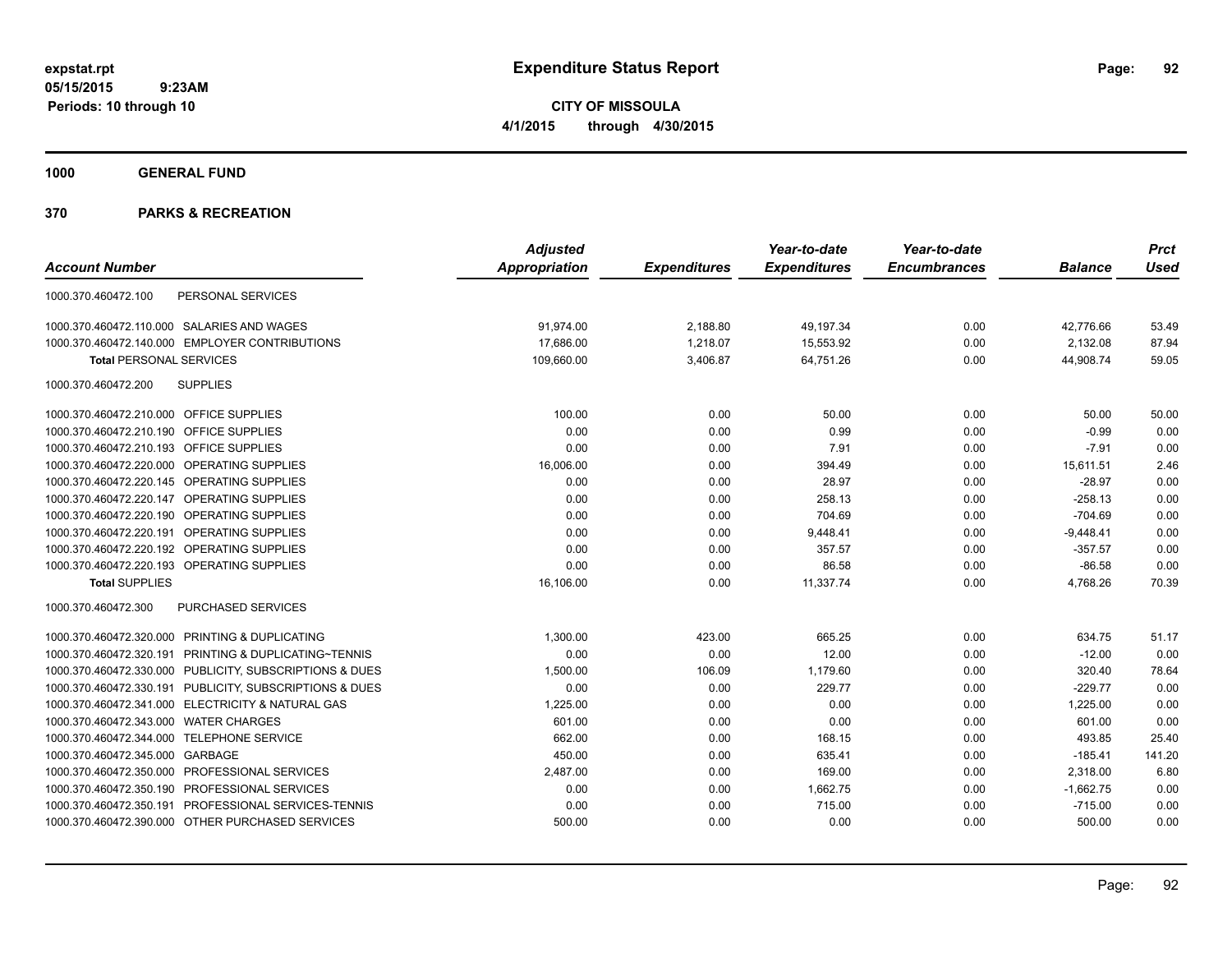**CITY OF MISSOULA 4/1/2015 through 4/30/2015**

**1000 GENERAL FUND**

|                                                         | <b>Adjusted</b> |                     | Year-to-date        | Year-to-date        |                | <b>Prct</b> |
|---------------------------------------------------------|-----------------|---------------------|---------------------|---------------------|----------------|-------------|
| <b>Account Number</b>                                   | Appropriation   | <b>Expenditures</b> | <b>Expenditures</b> | <b>Encumbrances</b> | <b>Balance</b> | <b>Used</b> |
| 1000.370.460472.100<br>PERSONAL SERVICES                |                 |                     |                     |                     |                |             |
| 1000.370.460472.110.000 SALARIES AND WAGES              | 91,974.00       | 2,188.80            | 49,197.34           | 0.00                | 42,776.66      | 53.49       |
| 1000.370.460472.140.000 EMPLOYER CONTRIBUTIONS          | 17,686.00       | 1,218.07            | 15,553.92           | 0.00                | 2,132.08       | 87.94       |
| <b>Total PERSONAL SERVICES</b>                          | 109,660.00      | 3,406.87            | 64,751.26           | 0.00                | 44,908.74      | 59.05       |
| <b>SUPPLIES</b><br>1000.370.460472.200                  |                 |                     |                     |                     |                |             |
| 1000.370.460472.210.000 OFFICE SUPPLIES                 | 100.00          | 0.00                | 50.00               | 0.00                | 50.00          | 50.00       |
| 1000.370.460472.210.190 OFFICE SUPPLIES                 | 0.00            | 0.00                | 0.99                | 0.00                | $-0.99$        | 0.00        |
| 1000.370.460472.210.193 OFFICE SUPPLIES                 | 0.00            | 0.00                | 7.91                | 0.00                | $-7.91$        | 0.00        |
| 1000.370.460472.220.000 OPERATING SUPPLIES              | 16,006.00       | 0.00                | 394.49              | 0.00                | 15,611.51      | 2.46        |
| 1000.370.460472.220.145 OPERATING SUPPLIES              | 0.00            | 0.00                | 28.97               | 0.00                | $-28.97$       | 0.00        |
| 1000.370.460472.220.147 OPERATING SUPPLIES              | 0.00            | 0.00                | 258.13              | 0.00                | $-258.13$      | 0.00        |
| 1000.370.460472.220.190 OPERATING SUPPLIES              | 0.00            | 0.00                | 704.69              | 0.00                | $-704.69$      | 0.00        |
| 1000.370.460472.220.191 OPERATING SUPPLIES              | 0.00            | 0.00                | 9,448.41            | 0.00                | $-9,448.41$    | 0.00        |
| 1000.370.460472.220.192 OPERATING SUPPLIES              | 0.00            | 0.00                | 357.57              | 0.00                | $-357.57$      | 0.00        |
| 1000.370.460472.220.193 OPERATING SUPPLIES              | 0.00            | 0.00                | 86.58               | 0.00                | $-86.58$       | 0.00        |
| <b>Total SUPPLIES</b>                                   | 16,106.00       | 0.00                | 11,337.74           | 0.00                | 4,768.26       | 70.39       |
| PURCHASED SERVICES<br>1000.370.460472.300               |                 |                     |                     |                     |                |             |
| 1000.370.460472.320.000 PRINTING & DUPLICATING          | 1,300.00        | 423.00              | 665.25              | 0.00                | 634.75         | 51.17       |
| 1000.370.460472.320.191 PRINTING & DUPLICATING~TENNIS   | 0.00            | 0.00                | 12.00               | 0.00                | $-12.00$       | 0.00        |
| 1000.370.460472.330.000 PUBLICITY, SUBSCRIPTIONS & DUES | 1,500.00        | 106.09              | 1,179.60            | 0.00                | 320.40         | 78.64       |
| 1000.370.460472.330.191 PUBLICITY, SUBSCRIPTIONS & DUES | 0.00            | 0.00                | 229.77              | 0.00                | $-229.77$      | 0.00        |
| 1000.370.460472.341.000 ELECTRICITY & NATURAL GAS       | 1,225.00        | 0.00                | 0.00                | 0.00                | 1,225.00       | 0.00        |
| 1000.370.460472.343.000 WATER CHARGES                   | 601.00          | 0.00                | 0.00                | 0.00                | 601.00         | 0.00        |
| 1000.370.460472.344.000 TELEPHONE SERVICE               | 662.00          | 0.00                | 168.15              | 0.00                | 493.85         | 25.40       |
| 1000.370.460472.345.000 GARBAGE                         | 450.00          | 0.00                | 635.41              | 0.00                | $-185.41$      | 141.20      |
| 1000.370.460472.350.000 PROFESSIONAL SERVICES           | 2,487.00        | 0.00                | 169.00              | 0.00                | 2,318.00       | 6.80        |
| 1000.370.460472.350.190 PROFESSIONAL SERVICES           | 0.00            | 0.00                | 1,662.75            | 0.00                | $-1,662.75$    | 0.00        |
| 1000.370.460472.350.191 PROFESSIONAL SERVICES-TENNIS    | 0.00            | 0.00                | 715.00              | 0.00                | $-715.00$      | 0.00        |
| 1000.370.460472.390.000 OTHER PURCHASED SERVICES        | 500.00          | 0.00                | 0.00                | 0.00                | 500.00         | 0.00        |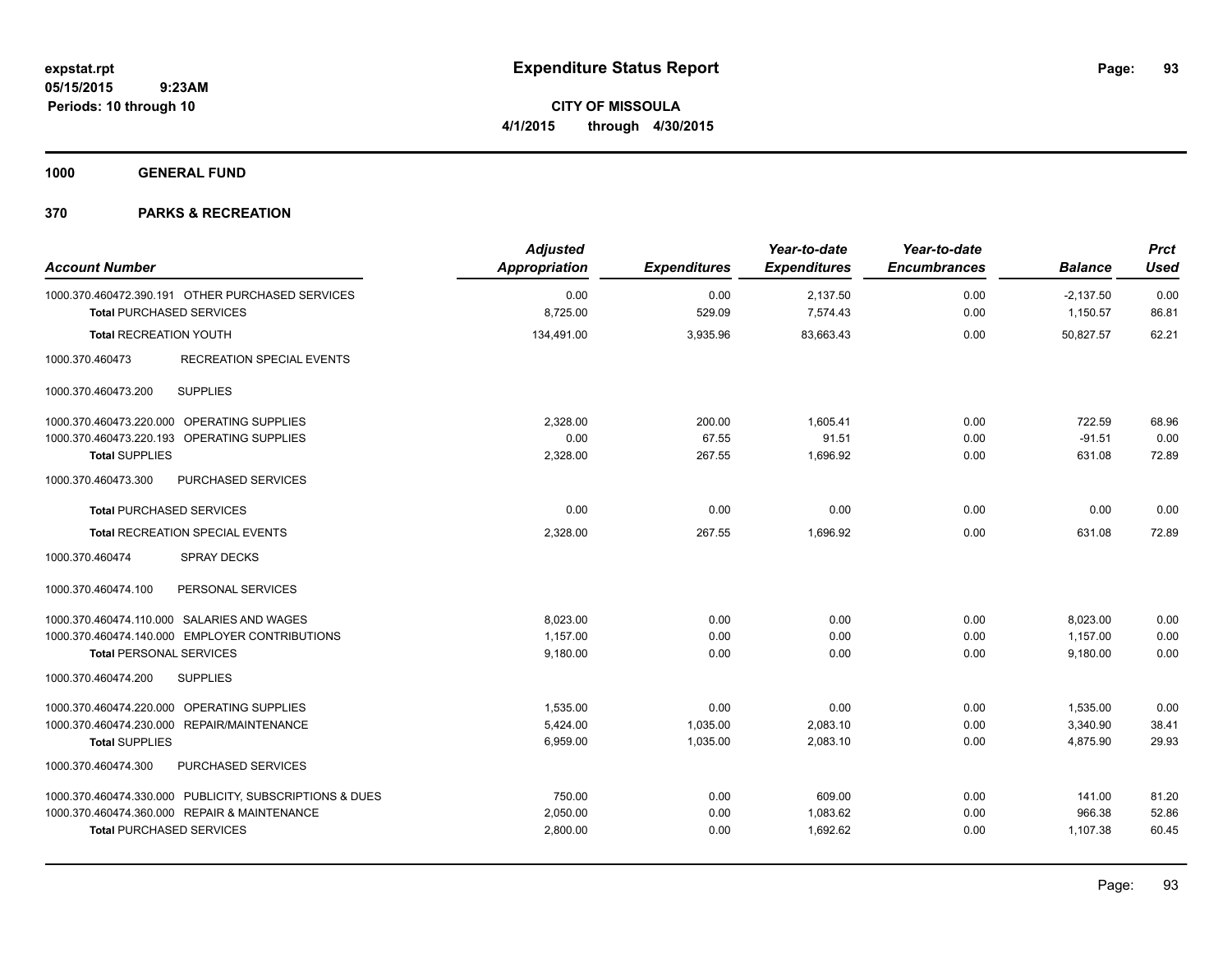**Periods: 10 through 10**

**CITY OF MISSOULA 4/1/2015 through 4/30/2015**

**1000 GENERAL FUND**

| <b>Account Number</b>                                                               | <b>Adjusted</b><br>Appropriation | <b>Expenditures</b> | Year-to-date<br><b>Expenditures</b> | Year-to-date<br><b>Encumbrances</b> | <b>Balance</b>          | <b>Prct</b><br><b>Used</b> |
|-------------------------------------------------------------------------------------|----------------------------------|---------------------|-------------------------------------|-------------------------------------|-------------------------|----------------------------|
| 1000.370.460472.390.191 OTHER PURCHASED SERVICES<br><b>Total PURCHASED SERVICES</b> | 0.00<br>8,725.00                 | 0.00<br>529.09      | 2,137.50<br>7,574.43                | 0.00<br>0.00                        | $-2,137.50$<br>1,150.57 | 0.00<br>86.81              |
| <b>Total RECREATION YOUTH</b>                                                       | 134,491.00                       | 3,935.96            | 83,663.43                           | 0.00                                | 50.827.57               | 62.21                      |
| 1000.370.460473<br><b>RECREATION SPECIAL EVENTS</b>                                 |                                  |                     |                                     |                                     |                         |                            |
| <b>SUPPLIES</b><br>1000.370.460473.200                                              |                                  |                     |                                     |                                     |                         |                            |
| 1000.370.460473.220.000 OPERATING SUPPLIES                                          | 2,328.00                         | 200.00              | 1,605.41                            | 0.00                                | 722.59                  | 68.96                      |
| 1000.370.460473.220.193 OPERATING SUPPLIES                                          | 0.00                             | 67.55               | 91.51                               | 0.00                                | $-91.51$                | 0.00                       |
| <b>Total SUPPLIES</b>                                                               | 2,328.00                         | 267.55              | 1,696.92                            | 0.00                                | 631.08                  | 72.89                      |
| 1000.370.460473.300<br><b>PURCHASED SERVICES</b>                                    |                                  |                     |                                     |                                     |                         |                            |
| <b>Total PURCHASED SERVICES</b>                                                     | 0.00                             | 0.00                | 0.00                                | 0.00                                | 0.00                    | 0.00                       |
| <b>Total RECREATION SPECIAL EVENTS</b>                                              | 2,328.00                         | 267.55              | 1.696.92                            | 0.00                                | 631.08                  | 72.89                      |
| <b>SPRAY DECKS</b><br>1000.370.460474                                               |                                  |                     |                                     |                                     |                         |                            |
| 1000.370.460474.100<br>PERSONAL SERVICES                                            |                                  |                     |                                     |                                     |                         |                            |
| 1000.370.460474.110.000 SALARIES AND WAGES                                          | 8,023.00                         | 0.00                | 0.00                                | 0.00                                | 8,023.00                | 0.00                       |
| 1000.370.460474.140.000 EMPLOYER CONTRIBUTIONS                                      | 1,157.00                         | 0.00                | 0.00                                | 0.00                                | 1,157.00                | 0.00                       |
| <b>Total PERSONAL SERVICES</b>                                                      | 9.180.00                         | 0.00                | 0.00                                | 0.00                                | 9.180.00                | 0.00                       |
| 1000.370.460474.200<br><b>SUPPLIES</b>                                              |                                  |                     |                                     |                                     |                         |                            |
| 1000.370.460474.220.000 OPERATING SUPPLIES                                          | 1,535.00                         | 0.00                | 0.00                                | 0.00                                | 1,535.00                | 0.00                       |
| 1000.370.460474.230.000 REPAIR/MAINTENANCE                                          | 5,424.00                         | 1,035.00            | 2,083.10                            | 0.00                                | 3,340.90                | 38.41                      |
| <b>Total SUPPLIES</b>                                                               | 6,959.00                         | 1,035.00            | 2,083.10                            | 0.00                                | 4,875.90                | 29.93                      |
| 1000.370.460474.300<br>PURCHASED SERVICES                                           |                                  |                     |                                     |                                     |                         |                            |
| 1000.370.460474.330.000 PUBLICITY, SUBSCRIPTIONS & DUES                             | 750.00                           | 0.00                | 609.00                              | 0.00                                | 141.00                  | 81.20                      |
| 1000.370.460474.360.000 REPAIR & MAINTENANCE                                        | 2,050.00                         | 0.00                | 1,083.62                            | 0.00                                | 966.38                  | 52.86                      |
| <b>Total PURCHASED SERVICES</b>                                                     | 2,800.00                         | 0.00                | 1,692.62                            | 0.00                                | 1,107.38                | 60.45                      |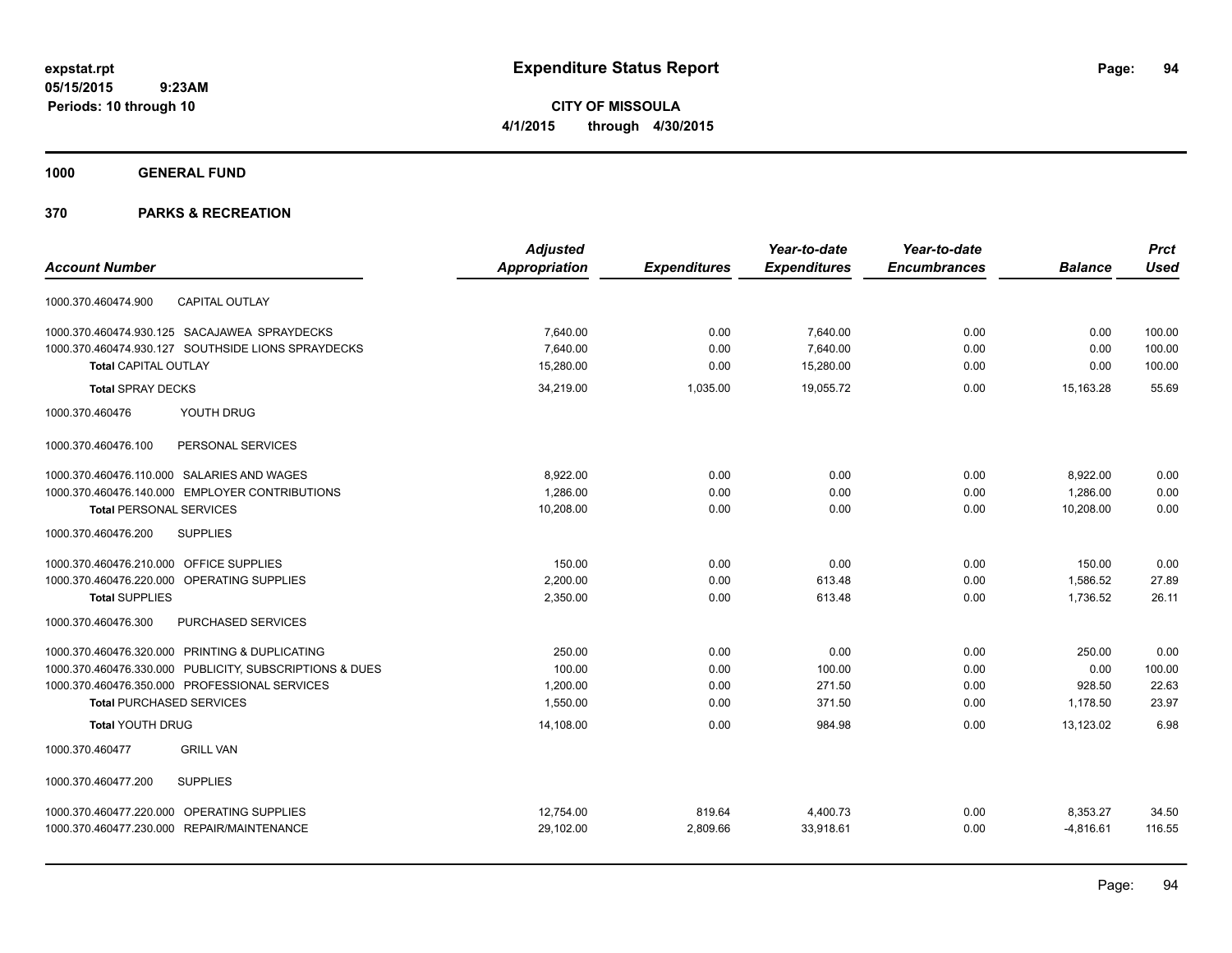**CITY OF MISSOULA 4/1/2015 through 4/30/2015**

**1000 GENERAL FUND**

|                                                         | <b>Adjusted</b> |                     | Year-to-date        | Year-to-date        |                | <b>Prct</b> |
|---------------------------------------------------------|-----------------|---------------------|---------------------|---------------------|----------------|-------------|
| <b>Account Number</b>                                   | Appropriation   | <b>Expenditures</b> | <b>Expenditures</b> | <b>Encumbrances</b> | <b>Balance</b> | <b>Used</b> |
| <b>CAPITAL OUTLAY</b><br>1000.370.460474.900            |                 |                     |                     |                     |                |             |
| 1000.370.460474.930.125 SACAJAWEA SPRAYDECKS            | 7,640.00        | 0.00                | 7,640.00            | 0.00                | 0.00           | 100.00      |
| 1000.370.460474.930.127 SOUTHSIDE LIONS SPRAYDECKS      | 7,640.00        | 0.00                | 7,640.00            | 0.00                | 0.00           | 100.00      |
| <b>Total CAPITAL OUTLAY</b>                             | 15,280.00       | 0.00                | 15,280.00           | 0.00                | 0.00           | 100.00      |
| <b>Total SPRAY DECKS</b>                                | 34,219.00       | 1,035.00            | 19,055.72           | 0.00                | 15,163.28      | 55.69       |
| 1000.370.460476<br>YOUTH DRUG                           |                 |                     |                     |                     |                |             |
| 1000.370.460476.100<br>PERSONAL SERVICES                |                 |                     |                     |                     |                |             |
| 1000.370.460476.110.000 SALARIES AND WAGES              | 8,922.00        | 0.00                | 0.00                | 0.00                | 8,922.00       | 0.00        |
| 1000.370.460476.140.000 EMPLOYER CONTRIBUTIONS          | 1,286.00        | 0.00                | 0.00                | 0.00                | 1,286.00       | 0.00        |
| <b>Total PERSONAL SERVICES</b>                          | 10,208.00       | 0.00                | 0.00                | 0.00                | 10,208.00      | 0.00        |
| <b>SUPPLIES</b><br>1000.370.460476.200                  |                 |                     |                     |                     |                |             |
| 1000.370.460476.210.000 OFFICE SUPPLIES                 | 150.00          | 0.00                | 0.00                | 0.00                | 150.00         | 0.00        |
| 1000.370.460476.220.000 OPERATING SUPPLIES              | 2,200.00        | 0.00                | 613.48              | 0.00                | 1,586.52       | 27.89       |
| <b>Total SUPPLIES</b>                                   | 2,350.00        | 0.00                | 613.48              | 0.00                | 1,736.52       | 26.11       |
| 1000.370.460476.300<br>PURCHASED SERVICES               |                 |                     |                     |                     |                |             |
| 1000.370.460476.320.000 PRINTING & DUPLICATING          | 250.00          | 0.00                | 0.00                | 0.00                | 250.00         | 0.00        |
| 1000.370.460476.330.000 PUBLICITY, SUBSCRIPTIONS & DUES | 100.00          | 0.00                | 100.00              | 0.00                | 0.00           | 100.00      |
| 1000.370.460476.350.000 PROFESSIONAL SERVICES           | 1,200.00        | 0.00                | 271.50              | 0.00                | 928.50         | 22.63       |
| <b>Total PURCHASED SERVICES</b>                         | 1,550.00        | 0.00                | 371.50              | 0.00                | 1,178.50       | 23.97       |
| <b>Total YOUTH DRUG</b>                                 | 14,108.00       | 0.00                | 984.98              | 0.00                | 13,123.02      | 6.98        |
| <b>GRILL VAN</b><br>1000.370.460477                     |                 |                     |                     |                     |                |             |
| <b>SUPPLIES</b><br>1000.370.460477.200                  |                 |                     |                     |                     |                |             |
| 1000.370.460477.220.000 OPERATING SUPPLIES              | 12,754.00       | 819.64              | 4,400.73            | 0.00                | 8,353.27       | 34.50       |
| 1000.370.460477.230.000 REPAIR/MAINTENANCE              | 29,102.00       | 2,809.66            | 33,918.61           | 0.00                | $-4,816.61$    | 116.55      |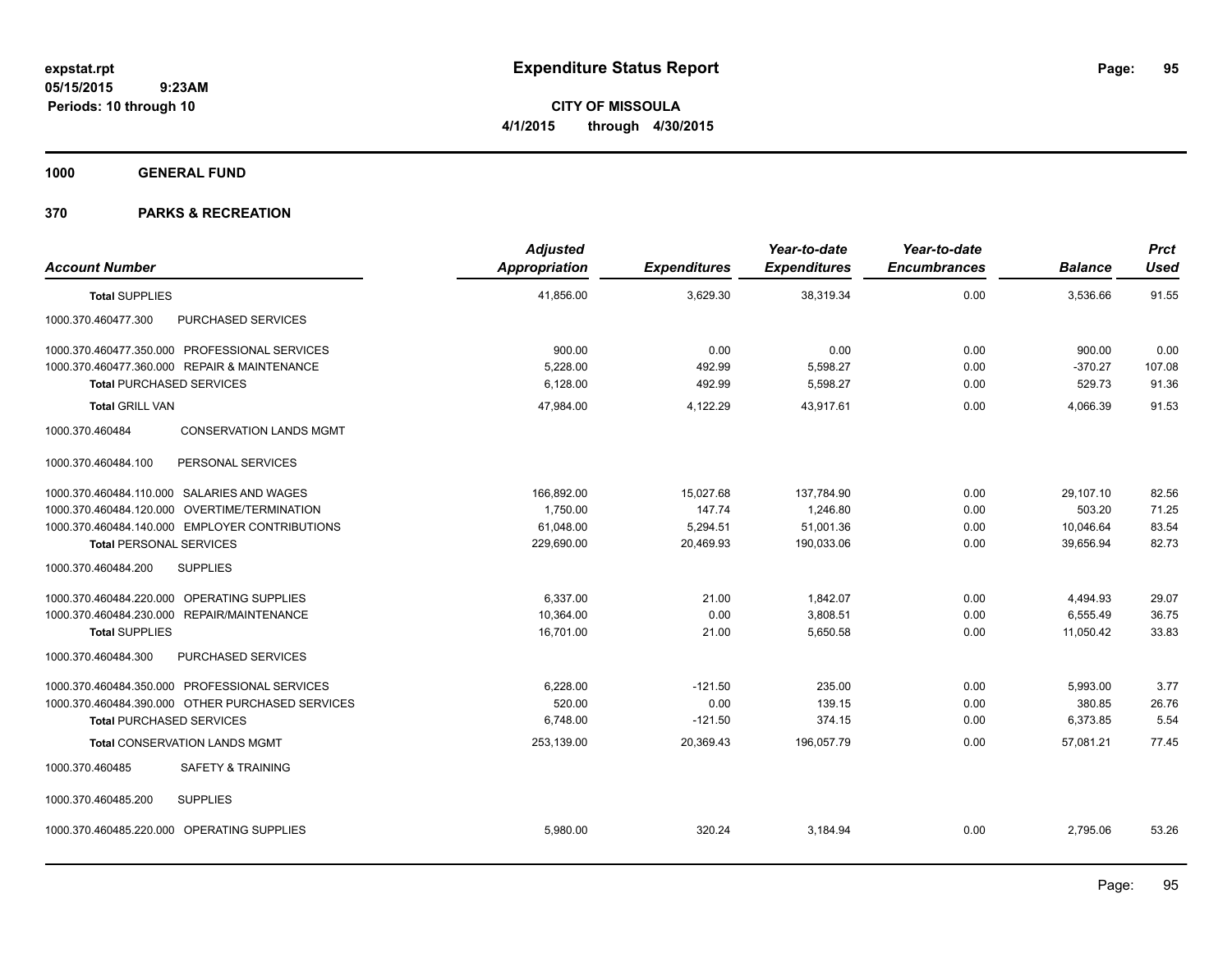**CITY OF MISSOULA 4/1/2015 through 4/30/2015**

**1000 GENERAL FUND**

| <b>Account Number</b>                             | <b>Adjusted</b><br>Appropriation | <b>Expenditures</b> | Year-to-date<br><b>Expenditures</b> | Year-to-date<br><b>Encumbrances</b> | <b>Balance</b> | <b>Prct</b><br><b>Used</b> |
|---------------------------------------------------|----------------------------------|---------------------|-------------------------------------|-------------------------------------|----------------|----------------------------|
| <b>Total SUPPLIES</b>                             | 41,856.00                        | 3,629.30            | 38,319.34                           | 0.00                                | 3,536.66       | 91.55                      |
| PURCHASED SERVICES<br>1000.370.460477.300         |                                  |                     |                                     |                                     |                |                            |
| 1000.370.460477.350.000 PROFESSIONAL SERVICES     | 900.00                           | 0.00                | 0.00                                | 0.00                                | 900.00         | 0.00                       |
| 1000.370.460477.360.000 REPAIR & MAINTENANCE      | 5,228.00                         | 492.99              | 5,598.27                            | 0.00                                | $-370.27$      | 107.08                     |
| <b>Total PURCHASED SERVICES</b>                   | 6,128.00                         | 492.99              | 5,598.27                            | 0.00                                | 529.73         | 91.36                      |
| <b>Total GRILL VAN</b>                            | 47,984.00                        | 4,122.29            | 43,917.61                           | 0.00                                | 4,066.39       | 91.53                      |
| 1000.370.460484<br><b>CONSERVATION LANDS MGMT</b> |                                  |                     |                                     |                                     |                |                            |
| PERSONAL SERVICES<br>1000.370.460484.100          |                                  |                     |                                     |                                     |                |                            |
| 1000.370.460484.110.000 SALARIES AND WAGES        | 166,892.00                       | 15,027.68           | 137,784.90                          | 0.00                                | 29,107.10      | 82.56                      |
| 1000.370.460484.120.000 OVERTIME/TERMINATION      | 1,750.00                         | 147.74              | 1,246.80                            | 0.00                                | 503.20         | 71.25                      |
| 1000.370.460484.140.000 EMPLOYER CONTRIBUTIONS    | 61,048.00                        | 5,294.51            | 51,001.36                           | 0.00                                | 10,046.64      | 83.54                      |
| <b>Total PERSONAL SERVICES</b>                    | 229,690.00                       | 20,469.93           | 190,033.06                          | 0.00                                | 39,656.94      | 82.73                      |
| <b>SUPPLIES</b><br>1000.370.460484.200            |                                  |                     |                                     |                                     |                |                            |
| 1000.370.460484.220.000 OPERATING SUPPLIES        | 6.337.00                         | 21.00               | 1,842.07                            | 0.00                                | 4,494.93       | 29.07                      |
| 1000.370.460484.230.000 REPAIR/MAINTENANCE        | 10,364.00                        | 0.00                | 3,808.51                            | 0.00                                | 6,555.49       | 36.75                      |
| <b>Total SUPPLIES</b>                             | 16,701.00                        | 21.00               | 5,650.58                            | 0.00                                | 11,050.42      | 33.83                      |
| PURCHASED SERVICES<br>1000.370.460484.300         |                                  |                     |                                     |                                     |                |                            |
| 1000.370.460484.350.000 PROFESSIONAL SERVICES     | 6,228.00                         | $-121.50$           | 235.00                              | 0.00                                | 5,993.00       | 3.77                       |
| 1000.370.460484.390.000 OTHER PURCHASED SERVICES  | 520.00                           | 0.00                | 139.15                              | 0.00                                | 380.85         | 26.76                      |
| <b>Total PURCHASED SERVICES</b>                   | 6,748.00                         | $-121.50$           | 374.15                              | 0.00                                | 6,373.85       | 5.54                       |
| <b>Total CONSERVATION LANDS MGMT</b>              | 253,139.00                       | 20,369.43           | 196,057.79                          | 0.00                                | 57,081.21      | 77.45                      |
| <b>SAFETY &amp; TRAINING</b><br>1000.370.460485   |                                  |                     |                                     |                                     |                |                            |
| 1000.370.460485.200<br><b>SUPPLIES</b>            |                                  |                     |                                     |                                     |                |                            |
| 1000.370.460485.220.000 OPERATING SUPPLIES        | 5,980.00                         | 320.24              | 3,184.94                            | 0.00                                | 2,795.06       | 53.26                      |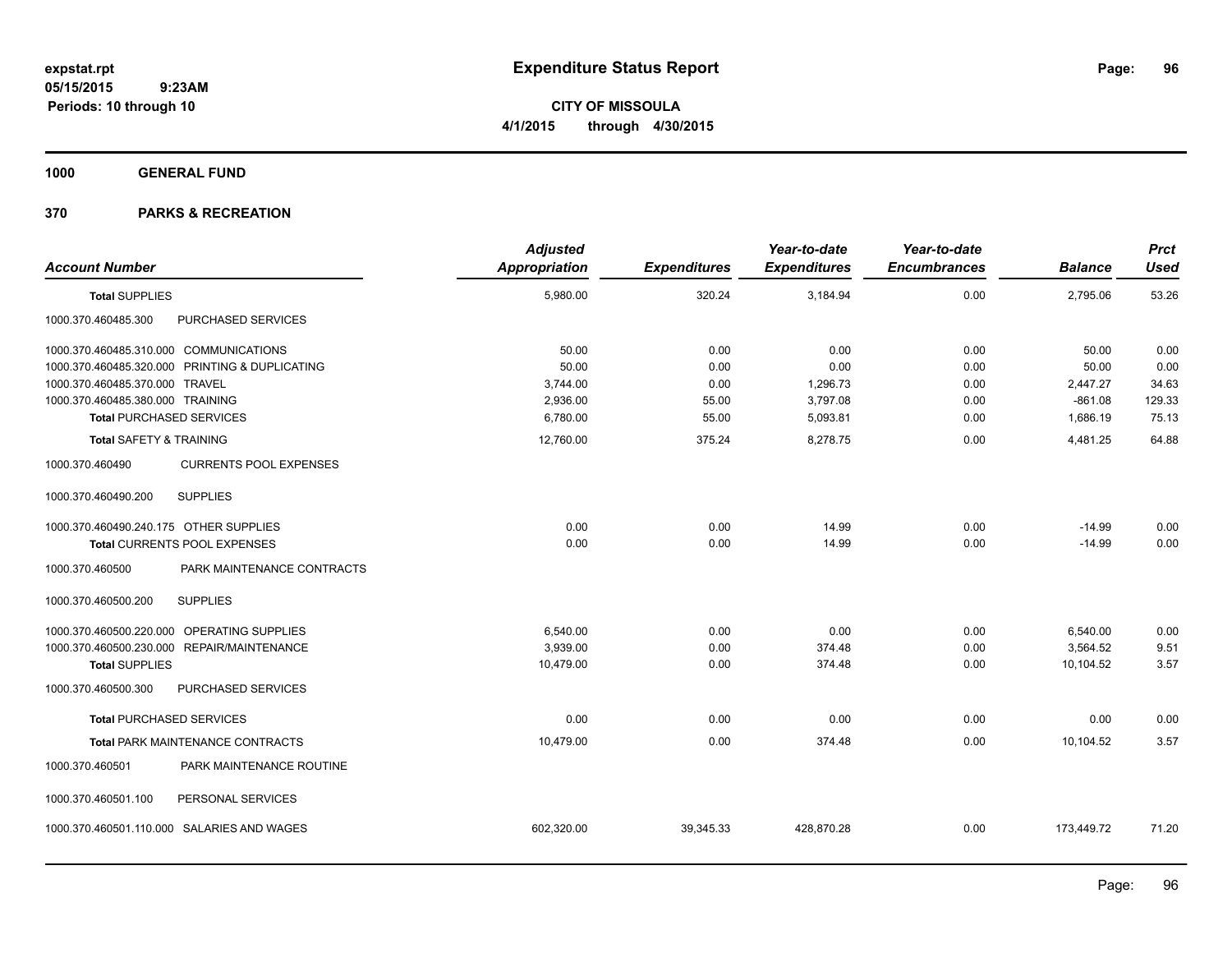**CITY OF MISSOULA 4/1/2015 through 4/30/2015**

**1000 GENERAL FUND**

| <b>Account Number</b>                  |                                                | <b>Adjusted</b><br><b>Appropriation</b> | <b>Expenditures</b> | Year-to-date<br><b>Expenditures</b> | Year-to-date<br><b>Encumbrances</b> | <b>Balance</b> | <b>Prct</b><br><b>Used</b> |
|----------------------------------------|------------------------------------------------|-----------------------------------------|---------------------|-------------------------------------|-------------------------------------|----------------|----------------------------|
| <b>Total SUPPLIES</b>                  |                                                | 5,980.00                                | 320.24              | 3,184.94                            | 0.00                                | 2,795.06       | 53.26                      |
| 1000.370.460485.300                    | PURCHASED SERVICES                             |                                         |                     |                                     |                                     |                |                            |
| 1000.370.460485.310.000 COMMUNICATIONS |                                                | 50.00                                   | 0.00                | 0.00                                | 0.00                                | 50.00          | 0.00                       |
|                                        | 1000.370.460485.320.000 PRINTING & DUPLICATING | 50.00                                   | 0.00                | 0.00                                | 0.00                                | 50.00          | 0.00                       |
| 1000.370.460485.370.000 TRAVEL         |                                                | 3,744.00                                | 0.00                | 1,296.73                            | 0.00                                | 2,447.27       | 34.63                      |
| 1000.370.460485.380.000 TRAINING       |                                                | 2.936.00                                | 55.00               | 3,797.08                            | 0.00                                | $-861.08$      | 129.33                     |
| <b>Total PURCHASED SERVICES</b>        |                                                | 6,780.00                                | 55.00               | 5,093.81                            | 0.00                                | 1,686.19       | 75.13                      |
| <b>Total SAFETY &amp; TRAINING</b>     |                                                | 12,760.00                               | 375.24              | 8,278.75                            | 0.00                                | 4,481.25       | 64.88                      |
| 1000.370.460490                        | <b>CURRENTS POOL EXPENSES</b>                  |                                         |                     |                                     |                                     |                |                            |
| 1000.370.460490.200                    | <b>SUPPLIES</b>                                |                                         |                     |                                     |                                     |                |                            |
| 1000.370.460490.240.175 OTHER SUPPLIES |                                                | 0.00                                    | 0.00                | 14.99                               | 0.00                                | $-14.99$       | 0.00                       |
|                                        | Total CURRENTS POOL EXPENSES                   | 0.00                                    | 0.00                | 14.99                               | 0.00                                | $-14.99$       | 0.00                       |
| 1000.370.460500                        | PARK MAINTENANCE CONTRACTS                     |                                         |                     |                                     |                                     |                |                            |
| 1000.370.460500.200                    | <b>SUPPLIES</b>                                |                                         |                     |                                     |                                     |                |                            |
| 1000.370.460500.220.000                | OPERATING SUPPLIES                             | 6.540.00                                | 0.00                | 0.00                                | 0.00                                | 6,540.00       | 0.00                       |
|                                        | 1000.370.460500.230.000 REPAIR/MAINTENANCE     | 3,939.00                                | 0.00                | 374.48                              | 0.00                                | 3,564.52       | 9.51                       |
| <b>Total SUPPLIES</b>                  |                                                | 10,479.00                               | 0.00                | 374.48                              | 0.00                                | 10,104.52      | 3.57                       |
| 1000.370.460500.300                    | PURCHASED SERVICES                             |                                         |                     |                                     |                                     |                |                            |
| <b>Total PURCHASED SERVICES</b>        |                                                | 0.00                                    | 0.00                | 0.00                                | 0.00                                | 0.00           | 0.00                       |
|                                        | Total PARK MAINTENANCE CONTRACTS               | 10,479.00                               | 0.00                | 374.48                              | 0.00                                | 10,104.52      | 3.57                       |
| 1000.370.460501                        | PARK MAINTENANCE ROUTINE                       |                                         |                     |                                     |                                     |                |                            |
| 1000.370.460501.100                    | PERSONAL SERVICES                              |                                         |                     |                                     |                                     |                |                            |
|                                        | 1000.370.460501.110.000 SALARIES AND WAGES     | 602,320.00                              | 39,345.33           | 428,870.28                          | 0.00                                | 173,449.72     | 71.20                      |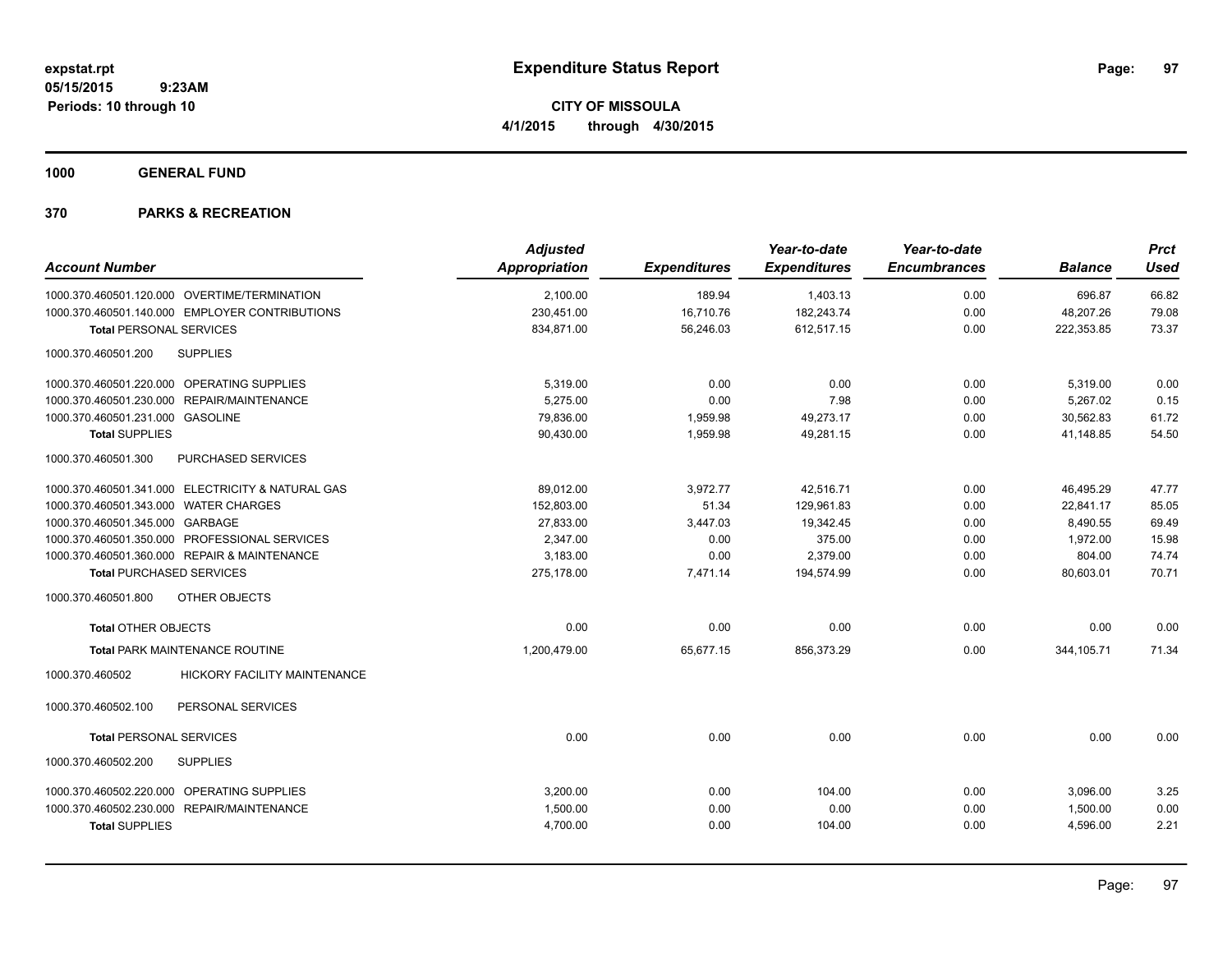**Periods: 10 through 10**

**CITY OF MISSOULA 4/1/2015 through 4/30/2015**

**1000 GENERAL FUND**

| <b>Adjusted</b> |                     | Year-to-date        | Year-to-date        |                | <b>Prct</b> |
|-----------------|---------------------|---------------------|---------------------|----------------|-------------|
| Appropriation   | <b>Expenditures</b> | <b>Expenditures</b> | <b>Encumbrances</b> | <b>Balance</b> | <b>Used</b> |
| 2,100.00        | 189.94              | 1,403.13            | 0.00                | 696.87         | 66.82       |
| 230,451.00      | 16,710.76           | 182,243.74          | 0.00                | 48,207.26      | 79.08       |
| 834,871.00      | 56,246.03           | 612,517.15          | 0.00                | 222,353.85     | 73.37       |
|                 |                     |                     |                     |                |             |
| 5,319.00        | 0.00                | 0.00                | 0.00                | 5,319.00       | 0.00        |
| 5.275.00        | 0.00                | 7.98                | 0.00                | 5,267.02       | 0.15        |
| 79,836.00       | 1,959.98            | 49,273.17           | 0.00                | 30,562.83      | 61.72       |
| 90,430.00       | 1,959.98            | 49,281.15           | 0.00                | 41,148.85      | 54.50       |
|                 |                     |                     |                     |                |             |
| 89,012.00       | 3,972.77            | 42,516.71           | 0.00                | 46,495.29      | 47.77       |
| 152,803.00      | 51.34               | 129,961.83          | 0.00                | 22,841.17      | 85.05       |
| 27,833.00       | 3,447.03            | 19,342.45           | 0.00                | 8,490.55       | 69.49       |
| 2,347.00        | 0.00                | 375.00              | 0.00                | 1,972.00       | 15.98       |
| 3,183.00        | 0.00                | 2,379.00            | 0.00                | 804.00         | 74.74       |
| 275,178.00      | 7,471.14            | 194,574.99          | 0.00                | 80,603.01      | 70.71       |
|                 |                     |                     |                     |                |             |
| 0.00            | 0.00                | 0.00                | 0.00                | 0.00           | 0.00        |
| 1,200,479.00    | 65,677.15           | 856,373.29          | 0.00                | 344,105.71     | 71.34       |
|                 |                     |                     |                     |                |             |
|                 |                     |                     |                     |                |             |
| 0.00            | 0.00                | 0.00                | 0.00                | 0.00           | 0.00        |
|                 |                     |                     |                     |                |             |
| 3,200.00        | 0.00                | 104.00              | 0.00                | 3,096.00       | 3.25        |
| 1,500.00        | 0.00                | 0.00                | 0.00                | 1,500.00       | 0.00        |
| 4,700.00        | 0.00                | 104.00              | 0.00                | 4,596.00       | 2.21        |
|                 |                     |                     |                     |                |             |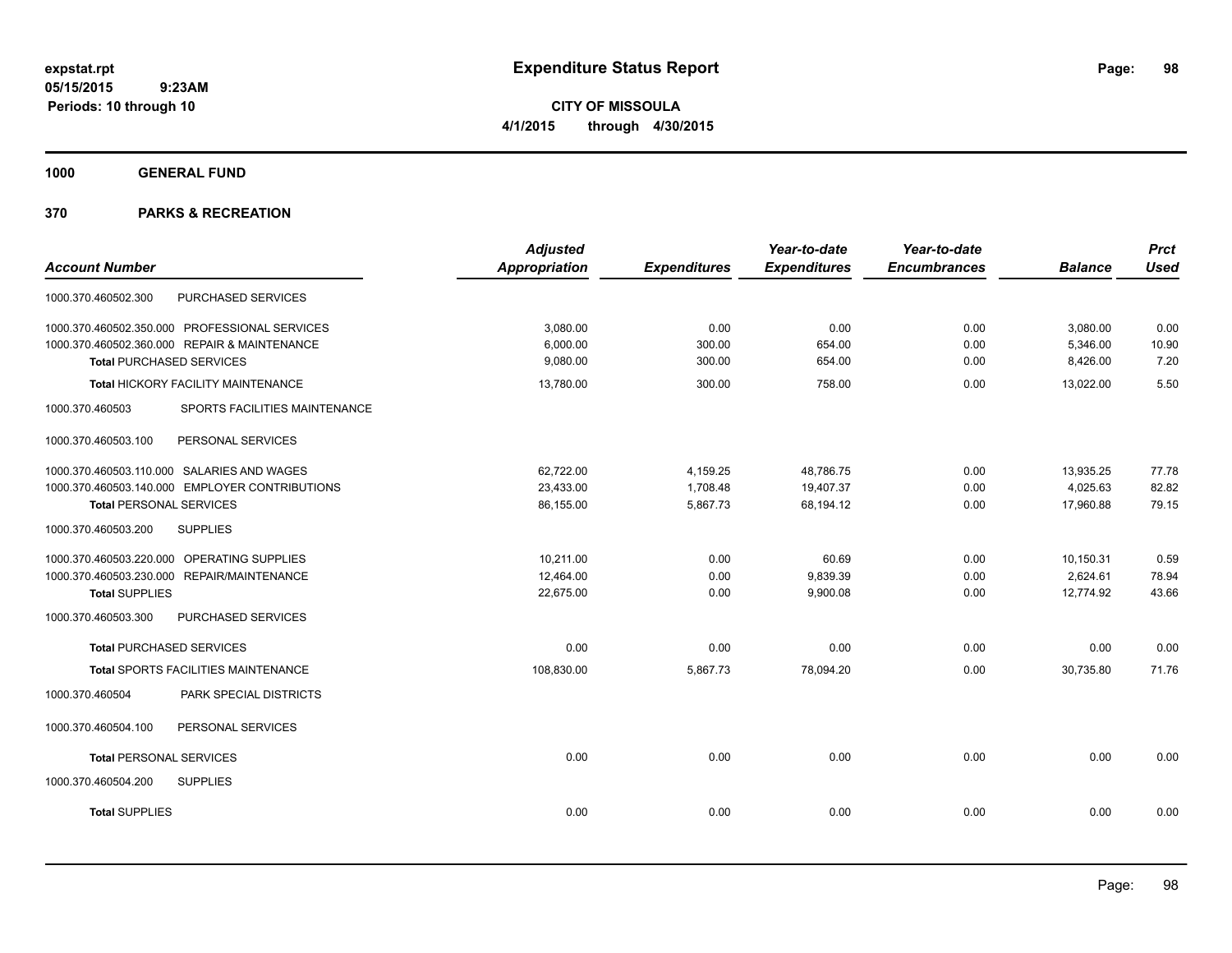**CITY OF MISSOULA 4/1/2015 through 4/30/2015**

**1000 GENERAL FUND**

|                                                  | <b>Adjusted</b> |                     | Year-to-date        | Year-to-date        |                | <b>Prct</b> |
|--------------------------------------------------|-----------------|---------------------|---------------------|---------------------|----------------|-------------|
| <b>Account Number</b>                            | Appropriation   | <b>Expenditures</b> | <b>Expenditures</b> | <b>Encumbrances</b> | <b>Balance</b> | <b>Used</b> |
| PURCHASED SERVICES<br>1000.370.460502.300        |                 |                     |                     |                     |                |             |
| 1000.370.460502.350.000 PROFESSIONAL SERVICES    | 3,080.00        | 0.00                | 0.00                | 0.00                | 3,080.00       | 0.00        |
| 1000.370.460502.360.000 REPAIR & MAINTENANCE     | 6,000.00        | 300.00              | 654.00              | 0.00                | 5,346.00       | 10.90       |
| <b>Total PURCHASED SERVICES</b>                  | 9,080.00        | 300.00              | 654.00              | 0.00                | 8,426.00       | 7.20        |
| Total HICKORY FACILITY MAINTENANCE               | 13,780.00       | 300.00              | 758.00              | 0.00                | 13,022.00      | 5.50        |
| 1000.370.460503<br>SPORTS FACILITIES MAINTENANCE |                 |                     |                     |                     |                |             |
| 1000.370.460503.100<br>PERSONAL SERVICES         |                 |                     |                     |                     |                |             |
| 1000.370.460503.110.000 SALARIES AND WAGES       | 62,722.00       | 4,159.25            | 48,786.75           | 0.00                | 13,935.25      | 77.78       |
| 1000.370.460503.140.000 EMPLOYER CONTRIBUTIONS   | 23,433.00       | 1,708.48            | 19,407.37           | 0.00                | 4,025.63       | 82.82       |
| <b>Total PERSONAL SERVICES</b>                   | 86,155.00       | 5,867.73            | 68,194.12           | 0.00                | 17,960.88      | 79.15       |
| 1000.370.460503.200<br><b>SUPPLIES</b>           |                 |                     |                     |                     |                |             |
| 1000.370.460503.220.000 OPERATING SUPPLIES       | 10,211.00       | 0.00                | 60.69               | 0.00                | 10,150.31      | 0.59        |
| 1000.370.460503.230.000 REPAIR/MAINTENANCE       | 12,464.00       | 0.00                | 9,839.39            | 0.00                | 2,624.61       | 78.94       |
| <b>Total SUPPLIES</b>                            | 22,675.00       | 0.00                | 9,900.08            | 0.00                | 12,774.92      | 43.66       |
| 1000.370.460503.300<br>PURCHASED SERVICES        |                 |                     |                     |                     |                |             |
| <b>Total PURCHASED SERVICES</b>                  | 0.00            | 0.00                | 0.00                | 0.00                | 0.00           | 0.00        |
| Total SPORTS FACILITIES MAINTENANCE              | 108,830.00      | 5,867.73            | 78,094.20           | 0.00                | 30,735.80      | 71.76       |
| 1000.370.460504<br>PARK SPECIAL DISTRICTS        |                 |                     |                     |                     |                |             |
| 1000.370.460504.100<br>PERSONAL SERVICES         |                 |                     |                     |                     |                |             |
| <b>Total PERSONAL SERVICES</b>                   | 0.00            | 0.00                | 0.00                | 0.00                | 0.00           | 0.00        |
| 1000.370.460504.200<br><b>SUPPLIES</b>           |                 |                     |                     |                     |                |             |
| <b>Total SUPPLIES</b>                            | 0.00            | 0.00                | 0.00                | 0.00                | 0.00           | 0.00        |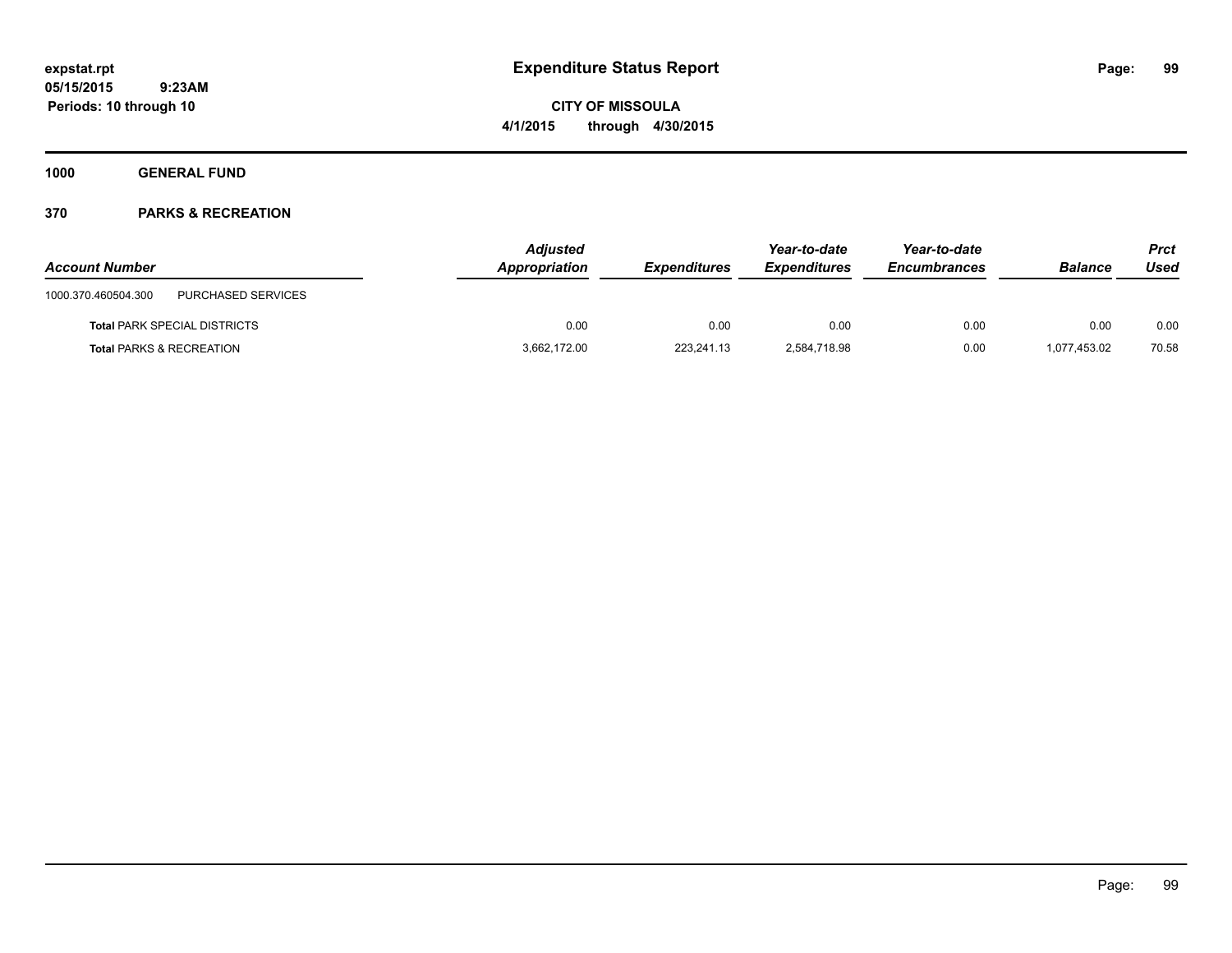**CITY OF MISSOULA 4/1/2015 through 4/30/2015**

**1000 GENERAL FUND**

| <b>Account Number</b>                     | <b>Adjusted</b><br>Appropriation | <b>Expenditures</b> | Year-to-date<br><b>Expenditures</b> | Year-to-date<br><b>Encumbrances</b> | <b>Balance</b> | Prct<br>Used |
|-------------------------------------------|----------------------------------|---------------------|-------------------------------------|-------------------------------------|----------------|--------------|
| PURCHASED SERVICES<br>1000.370.460504.300 |                                  |                     |                                     |                                     |                |              |
| <b>Total PARK SPECIAL DISTRICTS</b>       | 0.00                             | 0.00                | 0.00                                | 0.00                                | 0.00           | 0.00         |
| <b>Total PARKS &amp; RECREATION</b>       | 3,662,172.00                     | 223.241.13          | 2,584,718.98                        | 0.00                                | 1.077.453.02   | 70.58        |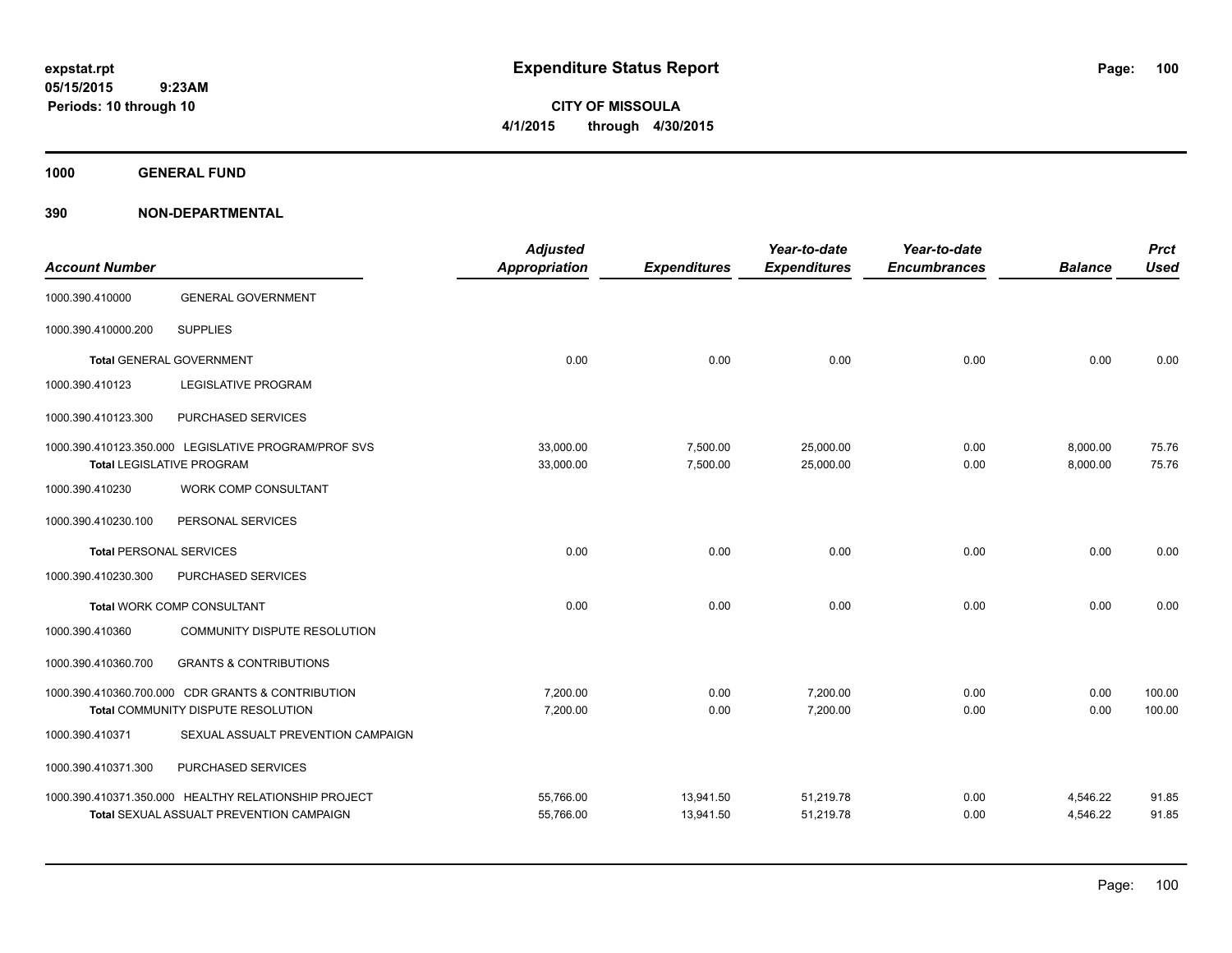**CITY OF MISSOULA 4/1/2015 through 4/30/2015**

**1000 GENERAL FUND**

| <b>Account Number</b>          |                                                                                                         | <b>Adjusted</b><br><b>Appropriation</b> | <b>Expenditures</b>    | Year-to-date<br><b>Expenditures</b> | Year-to-date<br><b>Encumbrances</b> | <b>Balance</b>       | <b>Prct</b><br><b>Used</b> |
|--------------------------------|---------------------------------------------------------------------------------------------------------|-----------------------------------------|------------------------|-------------------------------------|-------------------------------------|----------------------|----------------------------|
| 1000.390.410000                | <b>GENERAL GOVERNMENT</b>                                                                               |                                         |                        |                                     |                                     |                      |                            |
| 1000.390.410000.200            | <b>SUPPLIES</b>                                                                                         |                                         |                        |                                     |                                     |                      |                            |
|                                | <b>Total GENERAL GOVERNMENT</b>                                                                         | 0.00                                    | 0.00                   | 0.00                                | 0.00                                | 0.00                 | 0.00                       |
| 1000.390.410123                | <b>LEGISLATIVE PROGRAM</b>                                                                              |                                         |                        |                                     |                                     |                      |                            |
| 1000.390.410123.300            | PURCHASED SERVICES                                                                                      |                                         |                        |                                     |                                     |                      |                            |
|                                | 1000.390.410123.350.000 LEGISLATIVE PROGRAM/PROF SVS<br><b>Total LEGISLATIVE PROGRAM</b>                | 33,000.00<br>33,000.00                  | 7,500.00<br>7,500.00   | 25,000.00<br>25,000.00              | 0.00<br>0.00                        | 8,000.00<br>8,000.00 | 75.76<br>75.76             |
| 1000.390.410230                | WORK COMP CONSULTANT                                                                                    |                                         |                        |                                     |                                     |                      |                            |
| 1000.390.410230.100            | PERSONAL SERVICES                                                                                       |                                         |                        |                                     |                                     |                      |                            |
| <b>Total PERSONAL SERVICES</b> |                                                                                                         | 0.00                                    | 0.00                   | 0.00                                | 0.00                                | 0.00                 | 0.00                       |
| 1000.390.410230.300            | PURCHASED SERVICES                                                                                      |                                         |                        |                                     |                                     |                      |                            |
|                                | <b>Total WORK COMP CONSULTANT</b>                                                                       | 0.00                                    | 0.00                   | 0.00                                | 0.00                                | 0.00                 | 0.00                       |
| 1000.390.410360                | COMMUNITY DISPUTE RESOLUTION                                                                            |                                         |                        |                                     |                                     |                      |                            |
| 1000.390.410360.700            | <b>GRANTS &amp; CONTRIBUTIONS</b>                                                                       |                                         |                        |                                     |                                     |                      |                            |
|                                | 1000.390.410360.700.000 CDR GRANTS & CONTRIBUTION<br>Total COMMUNITY DISPUTE RESOLUTION                 | 7,200.00<br>7,200.00                    | 0.00<br>0.00           | 7,200.00<br>7,200.00                | 0.00<br>0.00                        | 0.00<br>0.00         | 100.00<br>100.00           |
| 1000.390.410371                | SEXUAL ASSUALT PREVENTION CAMPAIGN                                                                      |                                         |                        |                                     |                                     |                      |                            |
| 1000.390.410371.300            | PURCHASED SERVICES                                                                                      |                                         |                        |                                     |                                     |                      |                            |
|                                | 1000.390.410371.350.000 HEALTHY RELATIONSHIP PROJECT<br><b>Total SEXUAL ASSUALT PREVENTION CAMPAIGN</b> | 55,766.00<br>55,766.00                  | 13,941.50<br>13,941.50 | 51,219.78<br>51,219.78              | 0.00<br>0.00                        | 4,546.22<br>4,546.22 | 91.85<br>91.85             |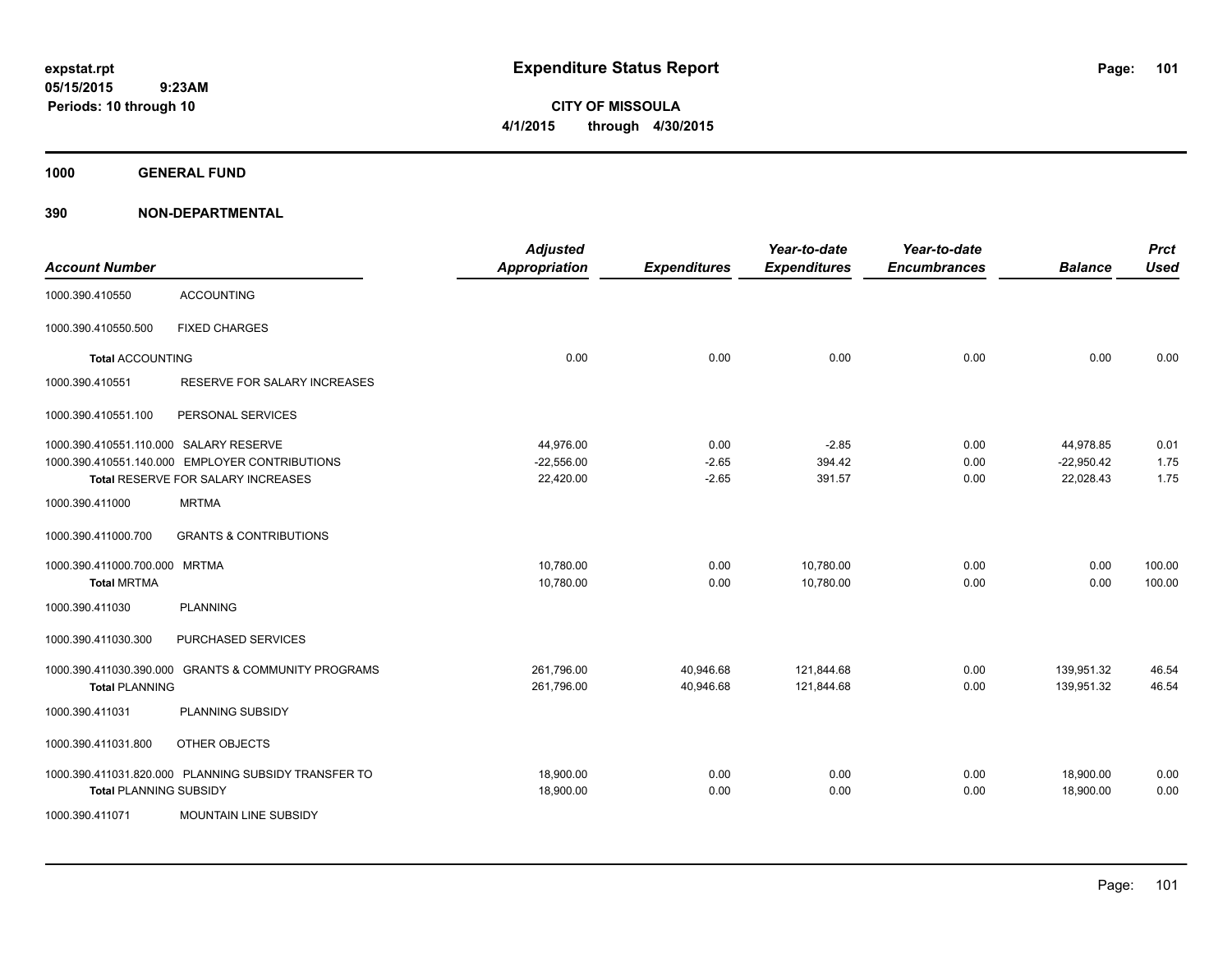**CITY OF MISSOULA 4/1/2015 through 4/30/2015**

**1000 GENERAL FUND**

| <b>Account Number</b>                  |                                                      | <b>Adjusted</b><br><b>Appropriation</b> | <b>Expenditures</b> | Year-to-date<br><b>Expenditures</b> | Year-to-date<br><b>Encumbrances</b> | <b>Balance</b>         | <b>Prct</b><br><b>Used</b> |
|----------------------------------------|------------------------------------------------------|-----------------------------------------|---------------------|-------------------------------------|-------------------------------------|------------------------|----------------------------|
| 1000.390.410550                        | <b>ACCOUNTING</b>                                    |                                         |                     |                                     |                                     |                        |                            |
| 1000.390.410550.500                    | <b>FIXED CHARGES</b>                                 |                                         |                     |                                     |                                     |                        |                            |
| <b>Total ACCOUNTING</b>                |                                                      | 0.00                                    | 0.00                | 0.00                                | 0.00                                | 0.00                   | 0.00                       |
| 1000.390.410551                        | RESERVE FOR SALARY INCREASES                         |                                         |                     |                                     |                                     |                        |                            |
| 1000.390.410551.100                    | PERSONAL SERVICES                                    |                                         |                     |                                     |                                     |                        |                            |
| 1000.390.410551.110.000 SALARY RESERVE |                                                      | 44,976.00                               | 0.00                | $-2.85$                             | 0.00                                | 44,978.85              | 0.01                       |
|                                        | 1000.390.410551.140.000 EMPLOYER CONTRIBUTIONS       | $-22,556.00$                            | $-2.65$             | 394.42                              | 0.00                                | $-22,950.42$           | 1.75                       |
|                                        | Total RESERVE FOR SALARY INCREASES                   | 22,420.00                               | $-2.65$             | 391.57                              | 0.00                                | 22,028.43              | 1.75                       |
| 1000.390.411000                        | <b>MRTMA</b>                                         |                                         |                     |                                     |                                     |                        |                            |
| 1000.390.411000.700                    | <b>GRANTS &amp; CONTRIBUTIONS</b>                    |                                         |                     |                                     |                                     |                        |                            |
| 1000.390.411000.700.000 MRTMA          |                                                      | 10,780.00                               | 0.00                | 10,780.00                           | 0.00                                | 0.00                   | 100.00                     |
| <b>Total MRTMA</b>                     |                                                      | 10,780.00                               | 0.00                | 10,780.00                           | 0.00                                | 0.00                   | 100.00                     |
| 1000.390.411030                        | <b>PLANNING</b>                                      |                                         |                     |                                     |                                     |                        |                            |
| 1000.390.411030.300                    | PURCHASED SERVICES                                   |                                         |                     |                                     |                                     |                        |                            |
| 1000.390.411030.390.000                | <b>GRANTS &amp; COMMUNITY PROGRAMS</b>               | 261,796.00                              | 40,946.68           | 121,844.68                          | 0.00                                | 139,951.32             | 46.54                      |
| <b>Total PLANNING</b>                  |                                                      | 261,796.00                              | 40,946.68           | 121,844.68                          | 0.00                                | 139,951.32             | 46.54                      |
| 1000.390.411031                        | <b>PLANNING SUBSIDY</b>                              |                                         |                     |                                     |                                     |                        |                            |
| 1000.390.411031.800                    | OTHER OBJECTS                                        |                                         |                     |                                     |                                     |                        |                            |
|                                        | 1000.390.411031.820.000 PLANNING SUBSIDY TRANSFER TO | 18,900.00<br>18,900.00                  | 0.00                | 0.00                                | 0.00                                | 18,900.00<br>18,900.00 | 0.00<br>0.00               |
| <b>Total PLANNING SUBSIDY</b>          |                                                      |                                         | 0.00                | 0.00                                | 0.00                                |                        |                            |
| 1000.390.411071                        | <b>MOUNTAIN LINE SUBSIDY</b>                         |                                         |                     |                                     |                                     |                        |                            |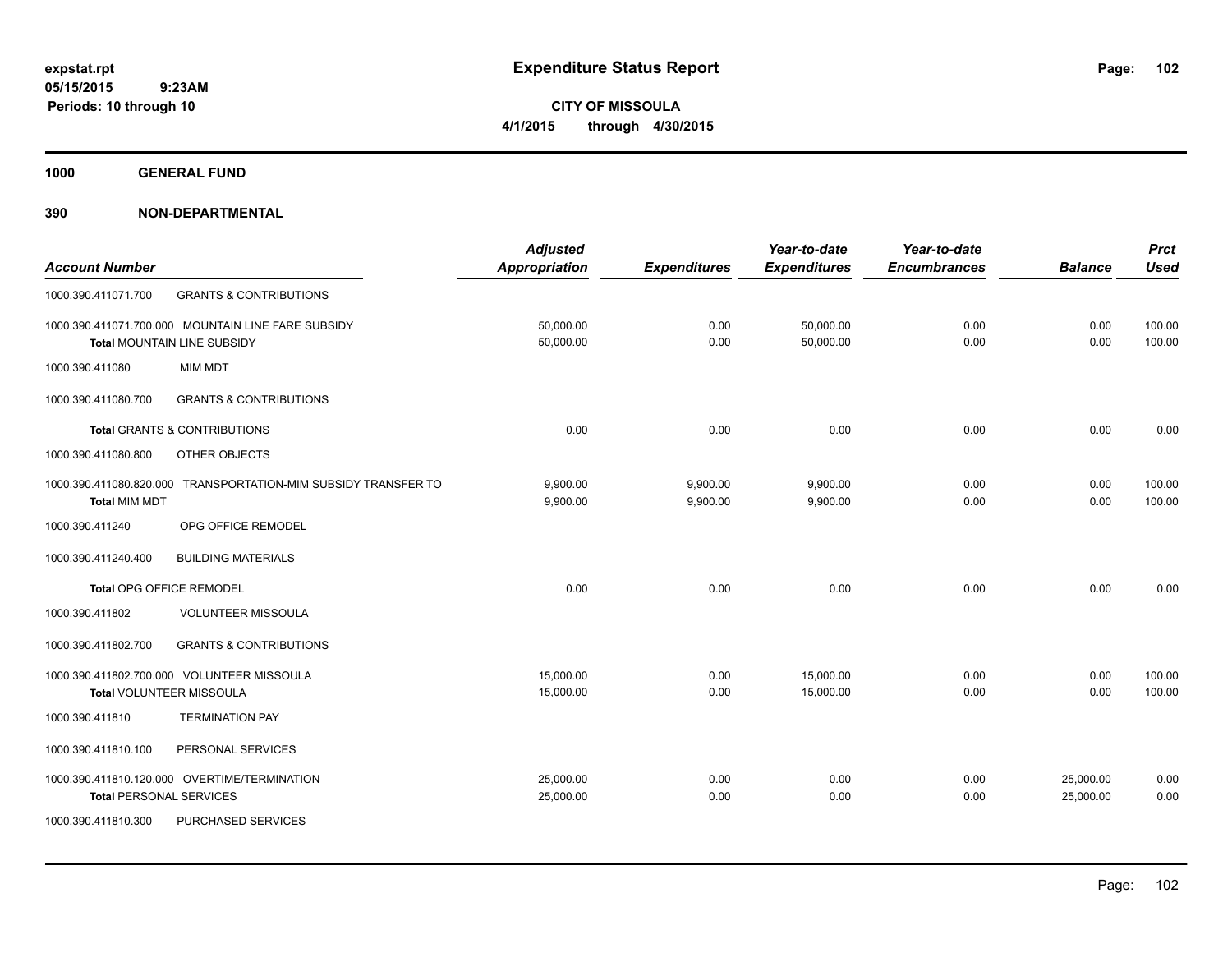**CITY OF MISSOULA 4/1/2015 through 4/30/2015**

**1000 GENERAL FUND**

|                                |                                                    | <b>Adjusted</b>      |                     | Year-to-date        | Year-to-date        |                | <b>Prct</b> |
|--------------------------------|----------------------------------------------------|----------------------|---------------------|---------------------|---------------------|----------------|-------------|
| <b>Account Number</b>          |                                                    | <b>Appropriation</b> | <b>Expenditures</b> | <b>Expenditures</b> | <b>Encumbrances</b> | <b>Balance</b> | <b>Used</b> |
| 1000.390.411071.700            | <b>GRANTS &amp; CONTRIBUTIONS</b>                  |                      |                     |                     |                     |                |             |
|                                | 1000.390.411071.700.000 MOUNTAIN LINE FARE SUBSIDY | 50,000.00            | 0.00                | 50,000.00           | 0.00                | 0.00           | 100.00      |
|                                | <b>Total MOUNTAIN LINE SUBSIDY</b>                 | 50,000.00            | 0.00                | 50,000.00           | 0.00                | 0.00           | 100.00      |
| 1000.390.411080                | <b>MIM MDT</b>                                     |                      |                     |                     |                     |                |             |
| 1000.390.411080.700            | <b>GRANTS &amp; CONTRIBUTIONS</b>                  |                      |                     |                     |                     |                |             |
|                                | <b>Total GRANTS &amp; CONTRIBUTIONS</b>            | 0.00                 | 0.00                | 0.00                | 0.00                | 0.00           | 0.00        |
| 1000.390.411080.800            | OTHER OBJECTS                                      |                      |                     |                     |                     |                |             |
| 1000.390.411080.820.000        | TRANSPORTATION-MIM SUBSIDY TRANSFER TO             | 9,900.00             | 9,900.00            | 9,900.00            | 0.00                | 0.00           | 100.00      |
| <b>Total MIM MDT</b>           |                                                    | 9,900.00             | 9,900.00            | 9,900.00            | 0.00                | 0.00           | 100.00      |
| 1000.390.411240                | OPG OFFICE REMODEL                                 |                      |                     |                     |                     |                |             |
| 1000.390.411240.400            | <b>BUILDING MATERIALS</b>                          |                      |                     |                     |                     |                |             |
| Total OPG OFFICE REMODEL       |                                                    | 0.00                 | 0.00                | 0.00                | 0.00                | 0.00           | 0.00        |
| 1000.390.411802                | <b>VOLUNTEER MISSOULA</b>                          |                      |                     |                     |                     |                |             |
| 1000.390.411802.700            | <b>GRANTS &amp; CONTRIBUTIONS</b>                  |                      |                     |                     |                     |                |             |
|                                | 1000.390.411802.700.000 VOLUNTEER MISSOULA         | 15,000.00            | 0.00                | 15,000.00           | 0.00                | 0.00           | 100.00      |
| Total VOLUNTEER MISSOULA       |                                                    | 15,000.00            | 0.00                | 15,000.00           | 0.00                | 0.00           | 100.00      |
| 1000.390.411810                | <b>TERMINATION PAY</b>                             |                      |                     |                     |                     |                |             |
| 1000.390.411810.100            | PERSONAL SERVICES                                  |                      |                     |                     |                     |                |             |
|                                | 1000.390.411810.120.000 OVERTIME/TERMINATION       | 25,000.00            | 0.00                | 0.00                | 0.00                | 25,000.00      | 0.00        |
| <b>Total PERSONAL SERVICES</b> |                                                    | 25,000.00            | 0.00                | 0.00                | 0.00                | 25,000.00      | 0.00        |
| 1000.390.411810.300            | <b>PURCHASED SERVICES</b>                          |                      |                     |                     |                     |                |             |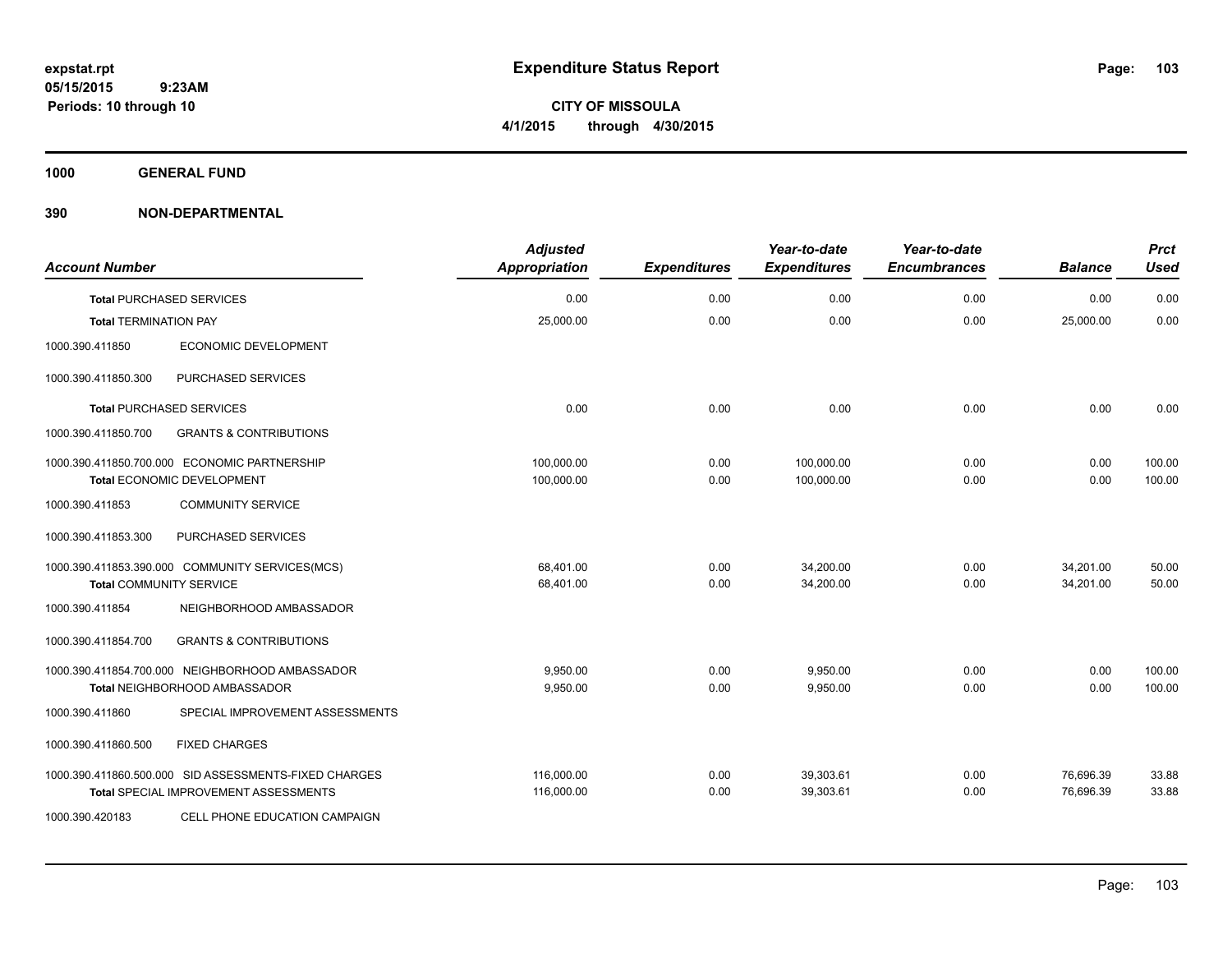**CITY OF MISSOULA 4/1/2015 through 4/30/2015**

**1000 GENERAL FUND**

| <b>Account Number</b>          |                                                                                                       | <b>Adjusted</b><br><b>Appropriation</b> | <b>Expenditures</b> | Year-to-date<br><b>Expenditures</b> | Year-to-date<br><b>Encumbrances</b> | <b>Balance</b>         | <b>Prct</b><br><b>Used</b> |
|--------------------------------|-------------------------------------------------------------------------------------------------------|-----------------------------------------|---------------------|-------------------------------------|-------------------------------------|------------------------|----------------------------|
|                                | <b>Total PURCHASED SERVICES</b>                                                                       | 0.00                                    | 0.00                | 0.00                                | 0.00                                | 0.00                   | 0.00                       |
| <b>Total TERMINATION PAY</b>   |                                                                                                       | 25,000.00                               | 0.00                | 0.00                                | 0.00                                | 25,000.00              | 0.00                       |
| 1000.390.411850                | ECONOMIC DEVELOPMENT                                                                                  |                                         |                     |                                     |                                     |                        |                            |
| 1000.390.411850.300            | PURCHASED SERVICES                                                                                    |                                         |                     |                                     |                                     |                        |                            |
|                                | <b>Total PURCHASED SERVICES</b>                                                                       | 0.00                                    | 0.00                | 0.00                                | 0.00                                | 0.00                   | 0.00                       |
| 1000.390.411850.700            | <b>GRANTS &amp; CONTRIBUTIONS</b>                                                                     |                                         |                     |                                     |                                     |                        |                            |
|                                | 1000.390.411850.700.000 ECONOMIC PARTNERSHIP<br><b>Total ECONOMIC DEVELOPMENT</b>                     | 100,000.00<br>100,000.00                | 0.00<br>0.00        | 100,000.00<br>100,000.00            | 0.00<br>0.00                        | 0.00<br>0.00           | 100.00<br>100.00           |
| 1000.390.411853                | <b>COMMUNITY SERVICE</b>                                                                              |                                         |                     |                                     |                                     |                        |                            |
| 1000.390.411853.300            | PURCHASED SERVICES                                                                                    |                                         |                     |                                     |                                     |                        |                            |
| <b>Total COMMUNITY SERVICE</b> | 1000.390.411853.390.000 COMMUNITY SERVICES(MCS)                                                       | 68,401.00<br>68,401.00                  | 0.00<br>0.00        | 34,200.00<br>34,200.00              | 0.00<br>0.00                        | 34,201.00<br>34.201.00 | 50.00<br>50.00             |
| 1000.390.411854                | NEIGHBORHOOD AMBASSADOR                                                                               |                                         |                     |                                     |                                     |                        |                            |
| 1000.390.411854.700            | <b>GRANTS &amp; CONTRIBUTIONS</b>                                                                     |                                         |                     |                                     |                                     |                        |                            |
|                                | 1000.390.411854.700.000 NEIGHBORHOOD AMBASSADOR<br><b>Total NEIGHBORHOOD AMBASSADOR</b>               | 9,950.00<br>9,950.00                    | 0.00<br>0.00        | 9,950.00<br>9,950.00                | 0.00<br>0.00                        | 0.00<br>0.00           | 100.00<br>100.00           |
| 1000.390.411860                | SPECIAL IMPROVEMENT ASSESSMENTS                                                                       |                                         |                     |                                     |                                     |                        |                            |
| 1000.390.411860.500            | <b>FIXED CHARGES</b>                                                                                  |                                         |                     |                                     |                                     |                        |                            |
|                                | 1000.390.411860.500.000 SID ASSESSMENTS-FIXED CHARGES<br><b>Total SPECIAL IMPROVEMENT ASSESSMENTS</b> | 116,000.00<br>116,000.00                | 0.00<br>0.00        | 39,303.61<br>39,303.61              | 0.00<br>0.00                        | 76,696.39<br>76,696.39 | 33.88<br>33.88             |
| 1000.390.420183                | CELL PHONE EDUCATION CAMPAIGN                                                                         |                                         |                     |                                     |                                     |                        |                            |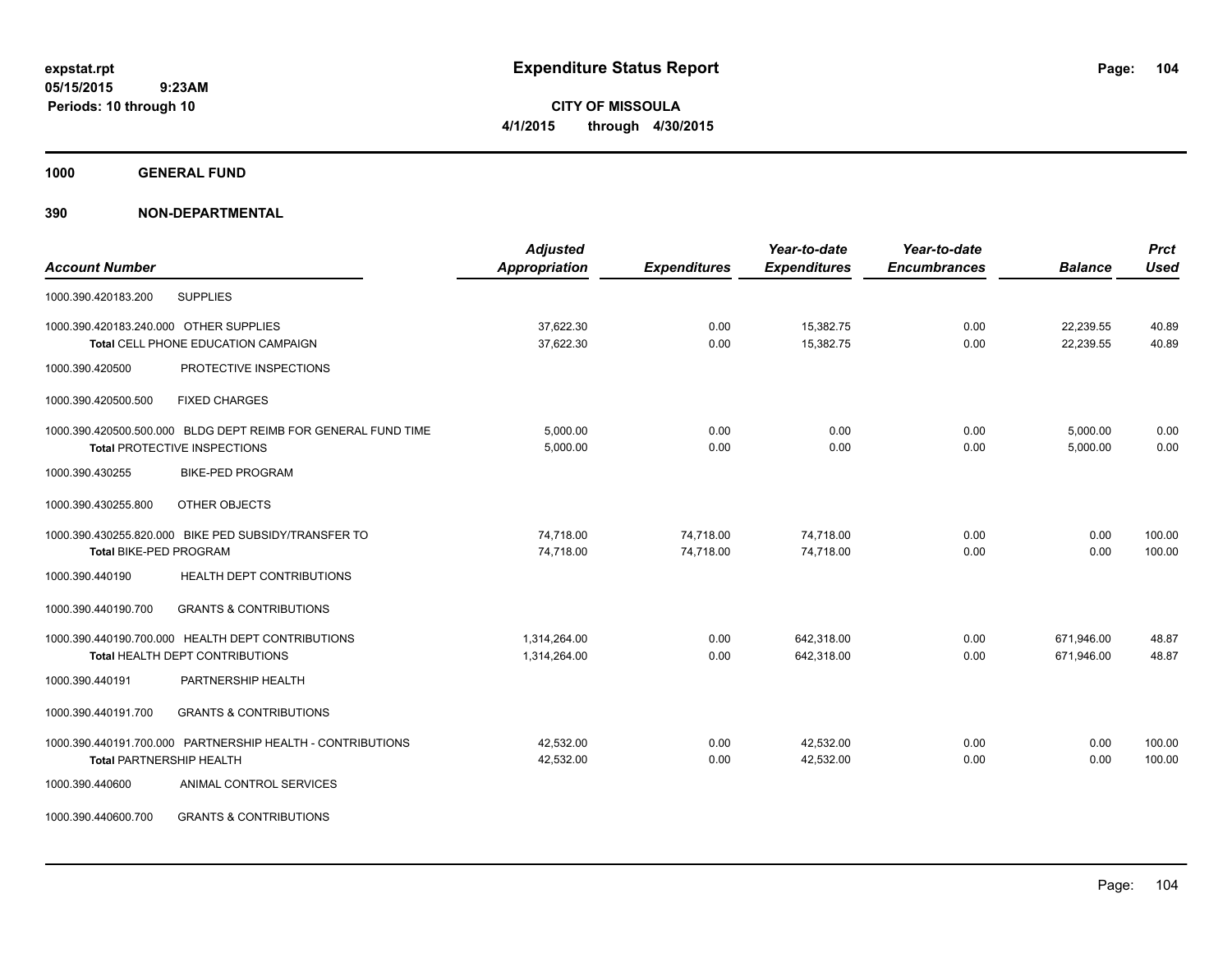**CITY OF MISSOULA 4/1/2015 through 4/30/2015**

**1000 GENERAL FUND**

| <b>Account Number</b>                                                                         | <b>Adjusted</b><br><b>Appropriation</b> | <b>Expenditures</b>    | Year-to-date<br><b>Expenditures</b> | Year-to-date<br><b>Encumbrances</b> | <b>Balance</b>           | <b>Prct</b><br><b>Used</b> |
|-----------------------------------------------------------------------------------------------|-----------------------------------------|------------------------|-------------------------------------|-------------------------------------|--------------------------|----------------------------|
| <b>SUPPLIES</b><br>1000.390.420183.200                                                        |                                         |                        |                                     |                                     |                          |                            |
| 1000.390.420183.240.000 OTHER SUPPLIES<br><b>Total CELL PHONE EDUCATION CAMPAIGN</b>          | 37,622.30<br>37,622.30                  | 0.00<br>0.00           | 15,382.75<br>15,382.75              | 0.00<br>0.00                        | 22,239.55<br>22,239.55   | 40.89<br>40.89             |
| PROTECTIVE INSPECTIONS<br>1000.390.420500                                                     |                                         |                        |                                     |                                     |                          |                            |
| 1000.390.420500.500<br><b>FIXED CHARGES</b>                                                   |                                         |                        |                                     |                                     |                          |                            |
| 1000.390.420500.500.000 BLDG DEPT REIMB FOR GENERAL FUND TIME<br>Total PROTECTIVE INSPECTIONS | 5,000.00<br>5,000.00                    | 0.00<br>0.00           | 0.00<br>0.00                        | 0.00<br>0.00                        | 5,000.00<br>5,000.00     | 0.00<br>0.00               |
| 1000.390.430255<br><b>BIKE-PED PROGRAM</b>                                                    |                                         |                        |                                     |                                     |                          |                            |
| OTHER OBJECTS<br>1000.390.430255.800                                                          |                                         |                        |                                     |                                     |                          |                            |
| 1000.390.430255.820.000 BIKE PED SUBSIDY/TRANSFER TO<br><b>Total BIKE-PED PROGRAM</b>         | 74,718.00<br>74,718.00                  | 74,718.00<br>74,718.00 | 74,718.00<br>74.718.00              | 0.00<br>0.00                        | 0.00<br>0.00             | 100.00<br>100.00           |
| HEALTH DEPT CONTRIBUTIONS<br>1000.390.440190                                                  |                                         |                        |                                     |                                     |                          |                            |
| 1000.390.440190.700<br><b>GRANTS &amp; CONTRIBUTIONS</b>                                      |                                         |                        |                                     |                                     |                          |                            |
| 1000.390.440190.700.000 HEALTH DEPT CONTRIBUTIONS<br>Total HEALTH DEPT CONTRIBUTIONS          | 1,314,264.00<br>1,314,264.00            | 0.00<br>0.00           | 642.318.00<br>642,318.00            | 0.00<br>0.00                        | 671.946.00<br>671,946.00 | 48.87<br>48.87             |
| PARTNERSHIP HEALTH<br>1000.390.440191                                                         |                                         |                        |                                     |                                     |                          |                            |
| 1000.390.440191.700<br><b>GRANTS &amp; CONTRIBUTIONS</b>                                      |                                         |                        |                                     |                                     |                          |                            |
| 1000.390.440191.700.000 PARTNERSHIP HEALTH - CONTRIBUTIONS<br><b>Total PARTNERSHIP HEALTH</b> | 42,532.00<br>42,532.00                  | 0.00<br>0.00           | 42,532.00<br>42,532.00              | 0.00<br>0.00                        | 0.00<br>0.00             | 100.00<br>100.00           |
| 1000.390.440600<br>ANIMAL CONTROL SERVICES                                                    |                                         |                        |                                     |                                     |                          |                            |
| <b>GRANTS &amp; CONTRIBUTIONS</b><br>1000.390.440600.700                                      |                                         |                        |                                     |                                     |                          |                            |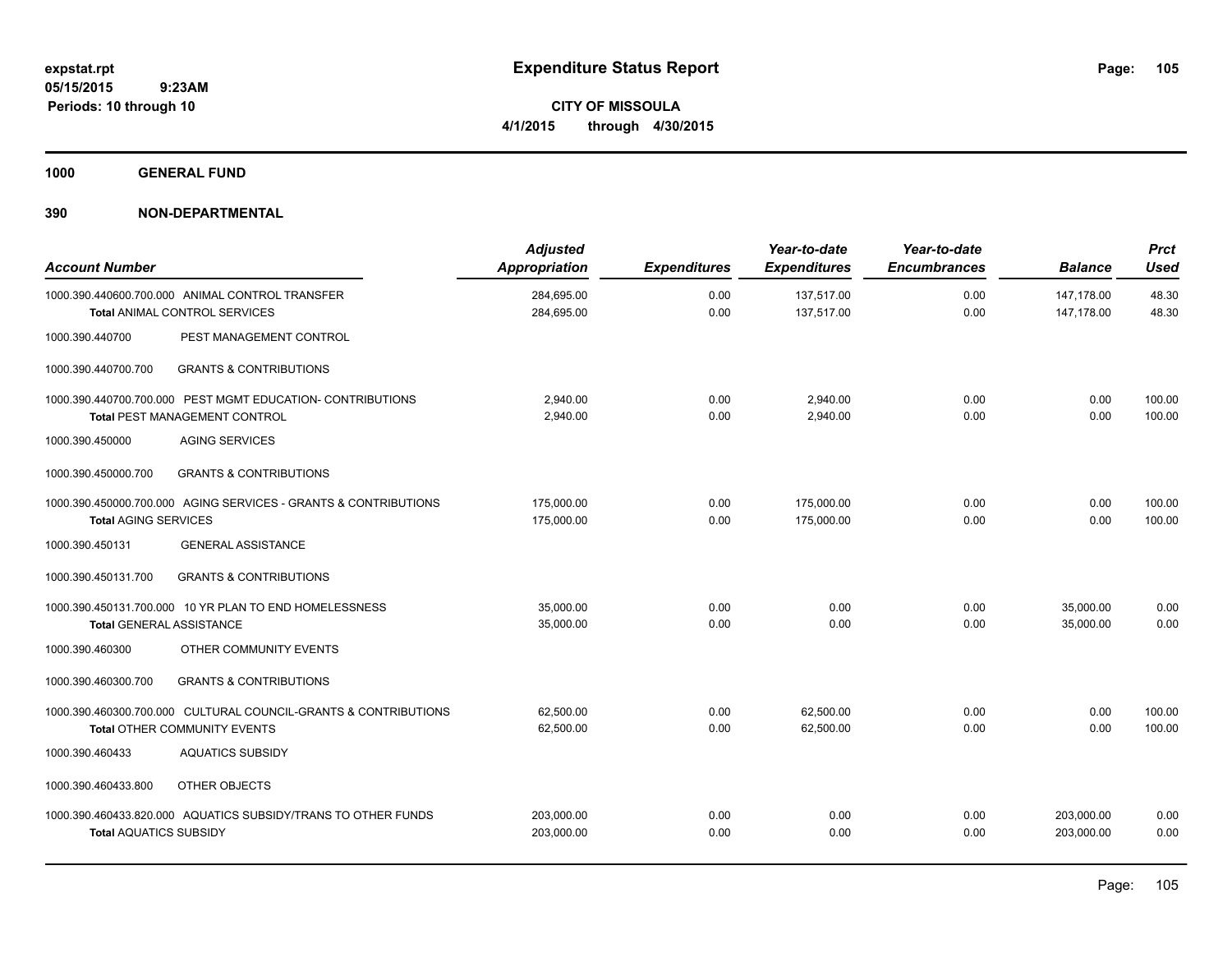**CITY OF MISSOULA 4/1/2015 through 4/30/2015**

**1000 GENERAL FUND**

| <b>Account Number</b>           |                                                                                                        | <b>Adjusted</b><br><b>Appropriation</b> | <b>Expenditures</b> | Year-to-date<br><b>Expenditures</b> | Year-to-date<br><b>Encumbrances</b> | <b>Balance</b>           | <b>Prct</b><br><b>Used</b> |
|---------------------------------|--------------------------------------------------------------------------------------------------------|-----------------------------------------|---------------------|-------------------------------------|-------------------------------------|--------------------------|----------------------------|
|                                 | 1000.390.440600.700.000 ANIMAL CONTROL TRANSFER<br>Total ANIMAL CONTROL SERVICES                       | 284,695.00<br>284,695.00                | 0.00<br>0.00        | 137,517.00<br>137,517.00            | 0.00<br>0.00                        | 147,178.00<br>147,178.00 | 48.30<br>48.30             |
| 1000.390.440700                 | PEST MANAGEMENT CONTROL                                                                                |                                         |                     |                                     |                                     |                          |                            |
| 1000.390.440700.700             | <b>GRANTS &amp; CONTRIBUTIONS</b>                                                                      |                                         |                     |                                     |                                     |                          |                            |
|                                 | 1000.390.440700.700.000 PEST MGMT EDUCATION- CONTRIBUTIONS<br><b>Total PEST MANAGEMENT CONTROL</b>     | 2,940.00<br>2,940.00                    | 0.00<br>0.00        | 2,940.00<br>2,940.00                | 0.00<br>0.00                        | 0.00<br>0.00             | 100.00<br>100.00           |
| 1000.390.450000                 | <b>AGING SERVICES</b>                                                                                  |                                         |                     |                                     |                                     |                          |                            |
| 1000.390.450000.700             | <b>GRANTS &amp; CONTRIBUTIONS</b>                                                                      |                                         |                     |                                     |                                     |                          |                            |
| <b>Total AGING SERVICES</b>     | 1000.390.450000.700.000 AGING SERVICES - GRANTS & CONTRIBUTIONS                                        | 175,000.00<br>175,000.00                | 0.00<br>0.00        | 175,000.00<br>175,000.00            | 0.00<br>0.00                        | 0.00<br>0.00             | 100.00<br>100.00           |
| 1000.390.450131                 | <b>GENERAL ASSISTANCE</b>                                                                              |                                         |                     |                                     |                                     |                          |                            |
| 1000.390.450131.700             | <b>GRANTS &amp; CONTRIBUTIONS</b>                                                                      |                                         |                     |                                     |                                     |                          |                            |
| <b>Total GENERAL ASSISTANCE</b> | 1000.390.450131.700.000 10 YR PLAN TO END HOMELESSNESS                                                 | 35,000.00<br>35,000.00                  | 0.00<br>0.00        | 0.00<br>0.00                        | 0.00<br>0.00                        | 35,000.00<br>35,000.00   | 0.00<br>0.00               |
| 1000.390.460300                 | OTHER COMMUNITY EVENTS                                                                                 |                                         |                     |                                     |                                     |                          |                            |
| 1000.390.460300.700             | <b>GRANTS &amp; CONTRIBUTIONS</b>                                                                      |                                         |                     |                                     |                                     |                          |                            |
|                                 | 1000.390.460300.700.000 CULTURAL COUNCIL-GRANTS & CONTRIBUTIONS<br><b>Total OTHER COMMUNITY EVENTS</b> | 62,500.00<br>62,500.00                  | 0.00<br>0.00        | 62.500.00<br>62,500.00              | 0.00<br>0.00                        | 0.00<br>0.00             | 100.00<br>100.00           |
| 1000.390.460433                 | <b>AQUATICS SUBSIDY</b>                                                                                |                                         |                     |                                     |                                     |                          |                            |
| 1000.390.460433.800             | OTHER OBJECTS                                                                                          |                                         |                     |                                     |                                     |                          |                            |
| <b>Total AQUATICS SUBSIDY</b>   | 1000.390.460433.820.000 AQUATICS SUBSIDY/TRANS TO OTHER FUNDS                                          | 203,000.00<br>203,000.00                | 0.00<br>0.00        | 0.00<br>0.00                        | 0.00<br>0.00                        | 203,000.00<br>203,000.00 | 0.00<br>0.00               |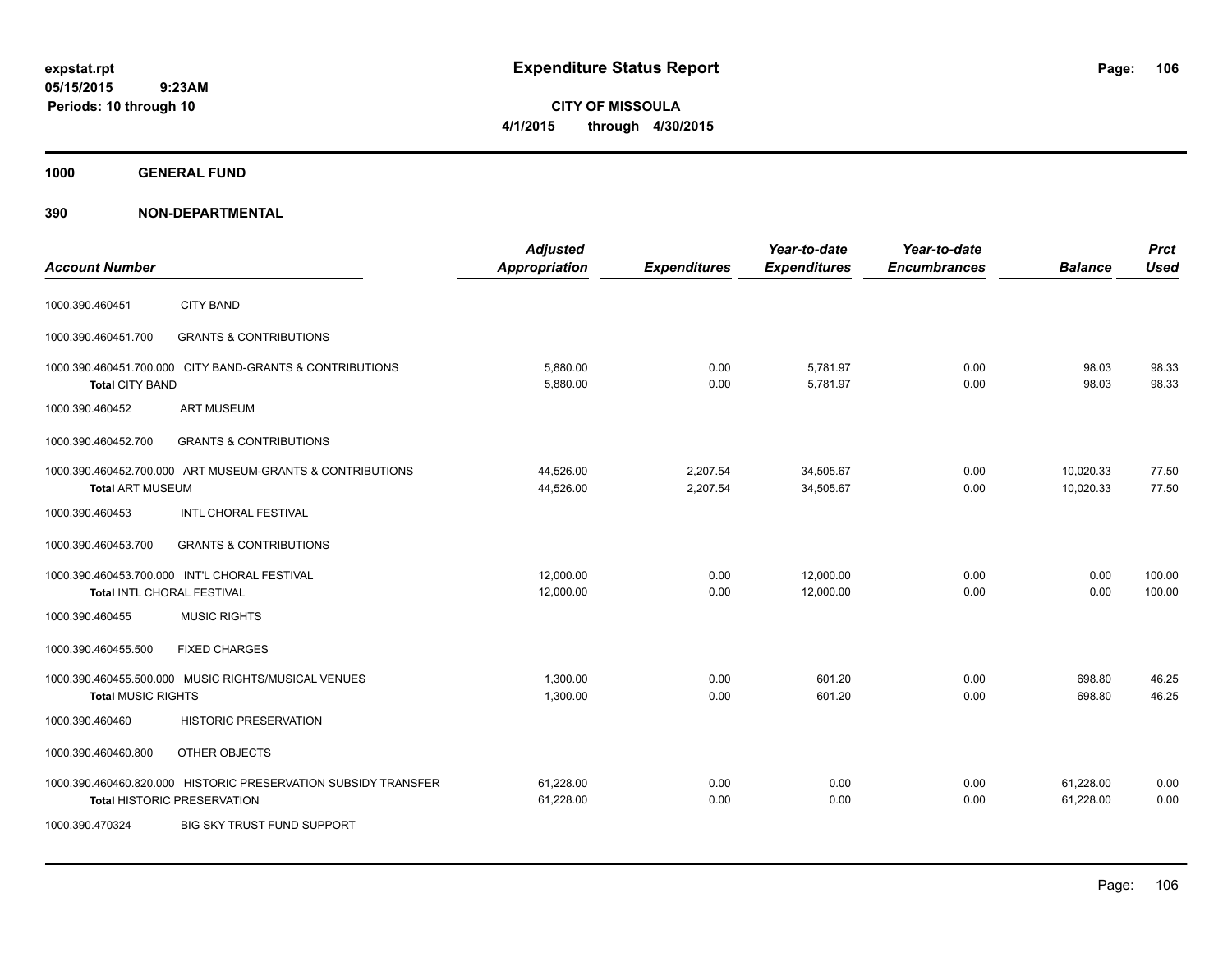**CITY OF MISSOULA 4/1/2015 through 4/30/2015**

**1000 GENERAL FUND**

| <b>Account Number</b>      |                                                                                                      | <b>Adjusted</b><br><b>Appropriation</b> | <b>Expenditures</b>  | Year-to-date<br><b>Expenditures</b> | Year-to-date<br><b>Encumbrances</b> | <b>Balance</b>         | <b>Prct</b><br><b>Used</b> |
|----------------------------|------------------------------------------------------------------------------------------------------|-----------------------------------------|----------------------|-------------------------------------|-------------------------------------|------------------------|----------------------------|
| 1000.390.460451            | <b>CITY BAND</b>                                                                                     |                                         |                      |                                     |                                     |                        |                            |
| 1000.390.460451.700        | <b>GRANTS &amp; CONTRIBUTIONS</b>                                                                    |                                         |                      |                                     |                                     |                        |                            |
| <b>Total CITY BAND</b>     | 1000.390.460451.700.000 CITY BAND-GRANTS & CONTRIBUTIONS                                             | 5.880.00<br>5,880.00                    | 0.00<br>0.00         | 5,781.97<br>5,781.97                | 0.00<br>0.00                        | 98.03<br>98.03         | 98.33<br>98.33             |
| 1000.390.460452            | <b>ART MUSEUM</b>                                                                                    |                                         |                      |                                     |                                     |                        |                            |
| 1000.390.460452.700        | <b>GRANTS &amp; CONTRIBUTIONS</b>                                                                    |                                         |                      |                                     |                                     |                        |                            |
| <b>Total ART MUSEUM</b>    | 1000.390.460452.700.000 ART MUSEUM-GRANTS & CONTRIBUTIONS                                            | 44,526.00<br>44,526.00                  | 2,207.54<br>2,207.54 | 34,505.67<br>34,505.67              | 0.00<br>0.00                        | 10,020.33<br>10,020.33 | 77.50<br>77.50             |
| 1000.390.460453            | INTL CHORAL FESTIVAL                                                                                 |                                         |                      |                                     |                                     |                        |                            |
| 1000.390.460453.700        | <b>GRANTS &amp; CONTRIBUTIONS</b>                                                                    |                                         |                      |                                     |                                     |                        |                            |
| Total INTL CHORAL FESTIVAL | 1000.390.460453.700.000 INT'L CHORAL FESTIVAL                                                        | 12,000.00<br>12,000.00                  | 0.00<br>0.00         | 12,000.00<br>12,000.00              | 0.00<br>0.00                        | 0.00<br>0.00           | 100.00<br>100.00           |
| 1000.390.460455            | <b>MUSIC RIGHTS</b>                                                                                  |                                         |                      |                                     |                                     |                        |                            |
| 1000.390.460455.500        | <b>FIXED CHARGES</b>                                                                                 |                                         |                      |                                     |                                     |                        |                            |
| <b>Total MUSIC RIGHTS</b>  | 1000.390.460455.500.000 MUSIC RIGHTS/MUSICAL VENUES                                                  | 1.300.00<br>1,300.00                    | 0.00<br>0.00         | 601.20<br>601.20                    | 0.00<br>0.00                        | 698.80<br>698.80       | 46.25<br>46.25             |
| 1000.390.460460            | <b>HISTORIC PRESERVATION</b>                                                                         |                                         |                      |                                     |                                     |                        |                            |
| 1000.390.460460.800        | OTHER OBJECTS                                                                                        |                                         |                      |                                     |                                     |                        |                            |
|                            | 1000.390.460460.820.000 HISTORIC PRESERVATION SUBSIDY TRANSFER<br><b>Total HISTORIC PRESERVATION</b> | 61.228.00<br>61,228.00                  | 0.00<br>0.00         | 0.00<br>0.00                        | 0.00<br>0.00                        | 61,228.00<br>61,228.00 | 0.00<br>0.00               |
| 1000.390.470324            | BIG SKY TRUST FUND SUPPORT                                                                           |                                         |                      |                                     |                                     |                        |                            |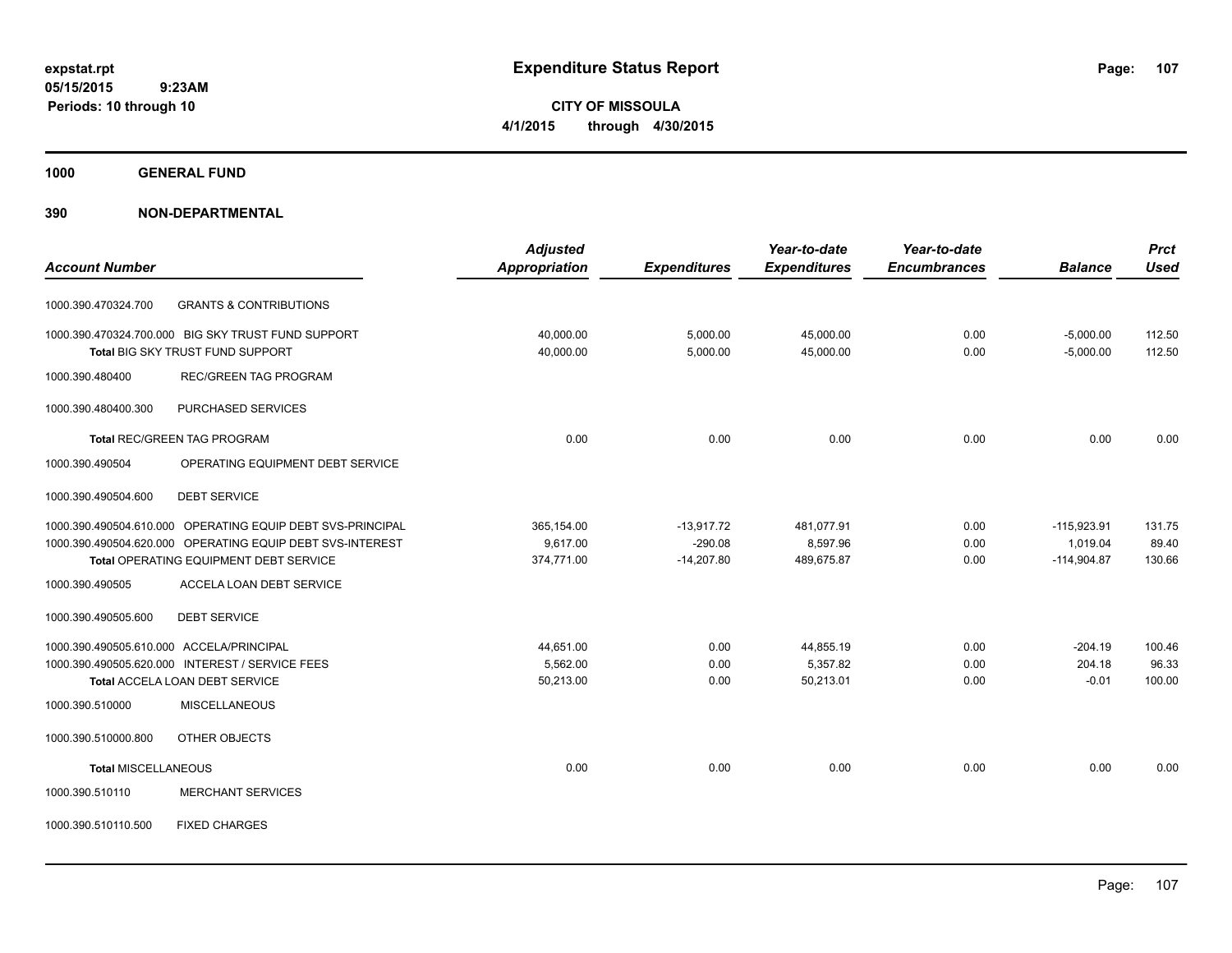**CITY OF MISSOULA 4/1/2015 through 4/30/2015**

**1000 GENERAL FUND**

|                                                            | <b>Adjusted</b>      |                     | Year-to-date        | Year-to-date        |                | <b>Prct</b> |
|------------------------------------------------------------|----------------------|---------------------|---------------------|---------------------|----------------|-------------|
| <b>Account Number</b>                                      | <b>Appropriation</b> | <b>Expenditures</b> | <b>Expenditures</b> | <b>Encumbrances</b> | <b>Balance</b> | <b>Used</b> |
| <b>GRANTS &amp; CONTRIBUTIONS</b><br>1000.390.470324.700   |                      |                     |                     |                     |                |             |
| 1000.390.470324.700.000 BIG SKY TRUST FUND SUPPORT         | 40,000.00            | 5,000.00            | 45,000.00           | 0.00                | $-5,000.00$    | 112.50      |
| Total BIG SKY TRUST FUND SUPPORT                           | 40,000.00            | 5,000.00            | 45,000.00           | 0.00                | $-5,000.00$    | 112.50      |
| <b>REC/GREEN TAG PROGRAM</b><br>1000.390.480400            |                      |                     |                     |                     |                |             |
| PURCHASED SERVICES<br>1000.390.480400.300                  |                      |                     |                     |                     |                |             |
| <b>Total REC/GREEN TAG PROGRAM</b>                         | 0.00                 | 0.00                | 0.00                | 0.00                | 0.00           | 0.00        |
| OPERATING EQUIPMENT DEBT SERVICE<br>1000.390.490504        |                      |                     |                     |                     |                |             |
| <b>DEBT SERVICE</b><br>1000.390.490504.600                 |                      |                     |                     |                     |                |             |
| 1000.390.490504.610.000 OPERATING EQUIP DEBT SVS-PRINCIPAL | 365,154.00           | $-13,917.72$        | 481,077.91          | 0.00                | $-115,923.91$  | 131.75      |
| 1000.390.490504.620.000 OPERATING EQUIP DEBT SVS-INTEREST  | 9,617.00             | $-290.08$           | 8,597.96            | 0.00                | 1,019.04       | 89.40       |
| Total OPERATING EQUIPMENT DEBT SERVICE                     | 374,771.00           | $-14,207.80$        | 489,675.87          | 0.00                | $-114,904.87$  | 130.66      |
| 1000.390.490505<br>ACCELA LOAN DEBT SERVICE                |                      |                     |                     |                     |                |             |
| 1000.390.490505.600<br><b>DEBT SERVICE</b>                 |                      |                     |                     |                     |                |             |
| 1000.390.490505.610.000 ACCELA/PRINCIPAL                   | 44,651.00            | 0.00                | 44,855.19           | 0.00                | $-204.19$      | 100.46      |
| 1000.390.490505.620.000 INTEREST / SERVICE FEES            | 5,562.00             | 0.00                | 5,357.82            | 0.00                | 204.18         | 96.33       |
| <b>Total ACCELA LOAN DEBT SERVICE</b>                      | 50,213.00            | 0.00                | 50,213.01           | 0.00                | $-0.01$        | 100.00      |
| 1000.390.510000<br><b>MISCELLANEOUS</b>                    |                      |                     |                     |                     |                |             |
| 1000.390.510000.800<br>OTHER OBJECTS                       |                      |                     |                     |                     |                |             |
| <b>Total MISCELLANEOUS</b>                                 | 0.00                 | 0.00                | 0.00                | 0.00                | 0.00           | 0.00        |
| 1000.390.510110<br><b>MERCHANT SERVICES</b>                |                      |                     |                     |                     |                |             |
| 1000.390.510110.500<br><b>FIXED CHARGES</b>                |                      |                     |                     |                     |                |             |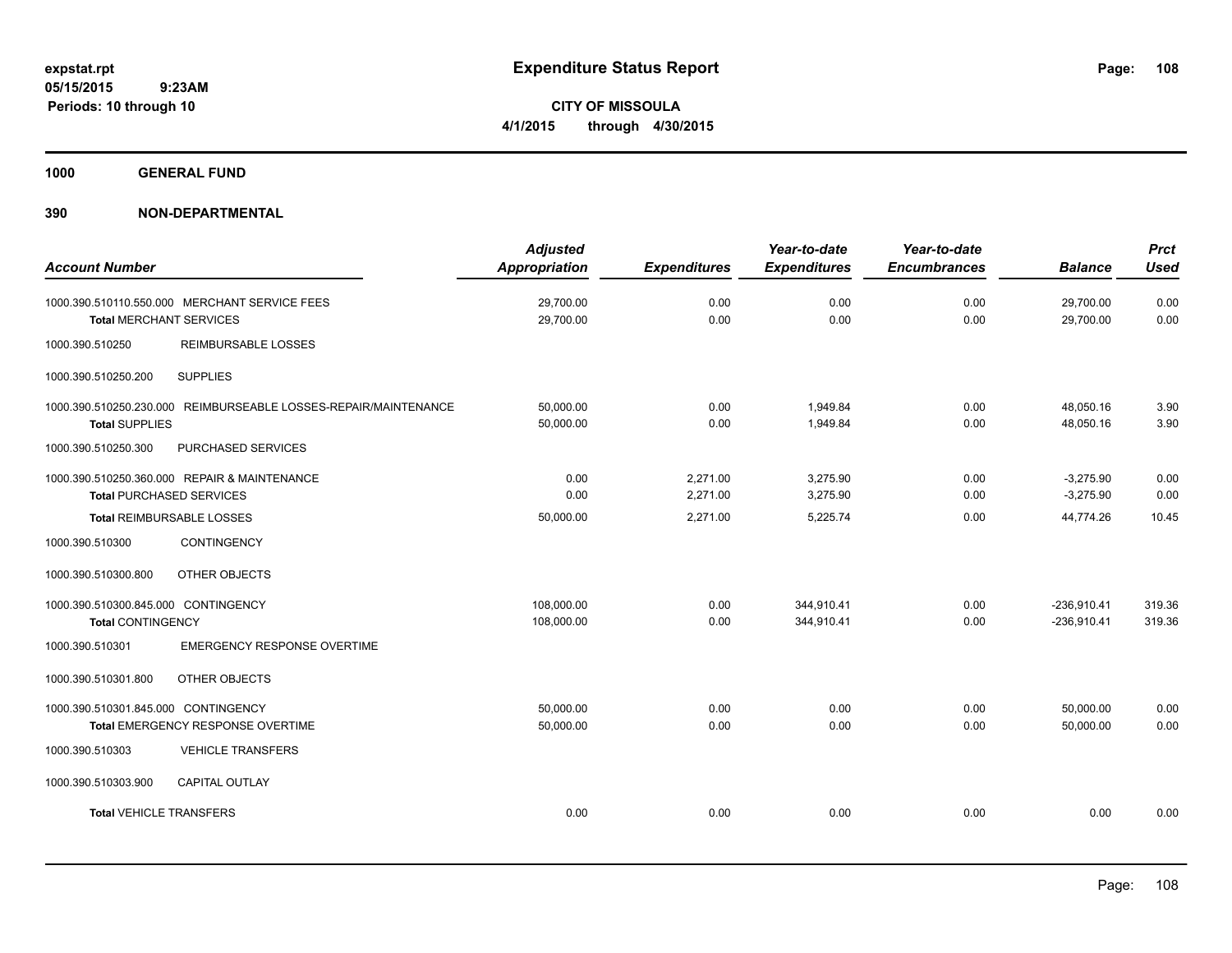**CITY OF MISSOULA 4/1/2015 through 4/30/2015**

**1000 GENERAL FUND**

| <b>Account Number</b>                                                                    | <b>Adjusted</b><br><b>Appropriation</b> | <b>Expenditures</b>  | Year-to-date<br><b>Expenditures</b> | Year-to-date<br><b>Encumbrances</b> | <b>Balance</b>                 | <b>Prct</b><br><b>Used</b> |
|------------------------------------------------------------------------------------------|-----------------------------------------|----------------------|-------------------------------------|-------------------------------------|--------------------------------|----------------------------|
| 1000.390.510110.550.000 MERCHANT SERVICE FEES<br><b>Total MERCHANT SERVICES</b>          | 29,700.00<br>29,700.00                  | 0.00<br>0.00         | 0.00<br>0.00                        | 0.00<br>0.00                        | 29,700.00<br>29,700.00         | 0.00<br>0.00               |
| 1000.390.510250<br><b>REIMBURSABLE LOSSES</b>                                            |                                         |                      |                                     |                                     |                                |                            |
| 1000.390.510250.200<br><b>SUPPLIES</b>                                                   |                                         |                      |                                     |                                     |                                |                            |
| 1000.390.510250.230.000 REIMBURSEABLE LOSSES-REPAIR/MAINTENANCE<br><b>Total SUPPLIES</b> | 50.000.00<br>50,000.00                  | 0.00<br>0.00         | 1,949.84<br>1,949.84                | 0.00<br>0.00                        | 48,050.16<br>48,050.16         | 3.90<br>3.90               |
| 1000.390.510250.300<br>PURCHASED SERVICES                                                |                                         |                      |                                     |                                     |                                |                            |
| 1000.390.510250.360.000 REPAIR & MAINTENANCE<br><b>Total PURCHASED SERVICES</b>          | 0.00<br>0.00                            | 2,271.00<br>2,271.00 | 3,275.90<br>3,275.90                | 0.00<br>0.00                        | $-3,275.90$<br>$-3,275.90$     | 0.00<br>0.00               |
| <b>Total REIMBURSABLE LOSSES</b>                                                         | 50,000.00                               | 2.271.00             | 5,225.74                            | 0.00                                | 44.774.26                      | 10.45                      |
| 1000.390.510300<br><b>CONTINGENCY</b>                                                    |                                         |                      |                                     |                                     |                                |                            |
| OTHER OBJECTS<br>1000.390.510300.800                                                     |                                         |                      |                                     |                                     |                                |                            |
| 1000.390.510300.845.000 CONTINGENCY<br><b>Total CONTINGENCY</b>                          | 108,000.00<br>108,000.00                | 0.00<br>0.00         | 344,910.41<br>344,910.41            | 0.00<br>0.00                        | $-236,910.41$<br>$-236,910.41$ | 319.36<br>319.36           |
| 1000.390.510301<br><b>EMERGENCY RESPONSE OVERTIME</b>                                    |                                         |                      |                                     |                                     |                                |                            |
| OTHER OBJECTS<br>1000.390.510301.800                                                     |                                         |                      |                                     |                                     |                                |                            |
| 1000.390.510301.845.000 CONTINGENCY<br>Total EMERGENCY RESPONSE OVERTIME                 | 50,000.00<br>50,000.00                  | 0.00<br>0.00         | 0.00<br>0.00                        | 0.00<br>0.00                        | 50,000.00<br>50,000.00         | 0.00<br>0.00               |
| <b>VEHICLE TRANSFERS</b><br>1000.390.510303                                              |                                         |                      |                                     |                                     |                                |                            |
| 1000.390.510303.900<br><b>CAPITAL OUTLAY</b>                                             |                                         |                      |                                     |                                     |                                |                            |
| <b>Total VEHICLE TRANSFERS</b>                                                           | 0.00                                    | 0.00                 | 0.00                                | 0.00                                | 0.00                           | 0.00                       |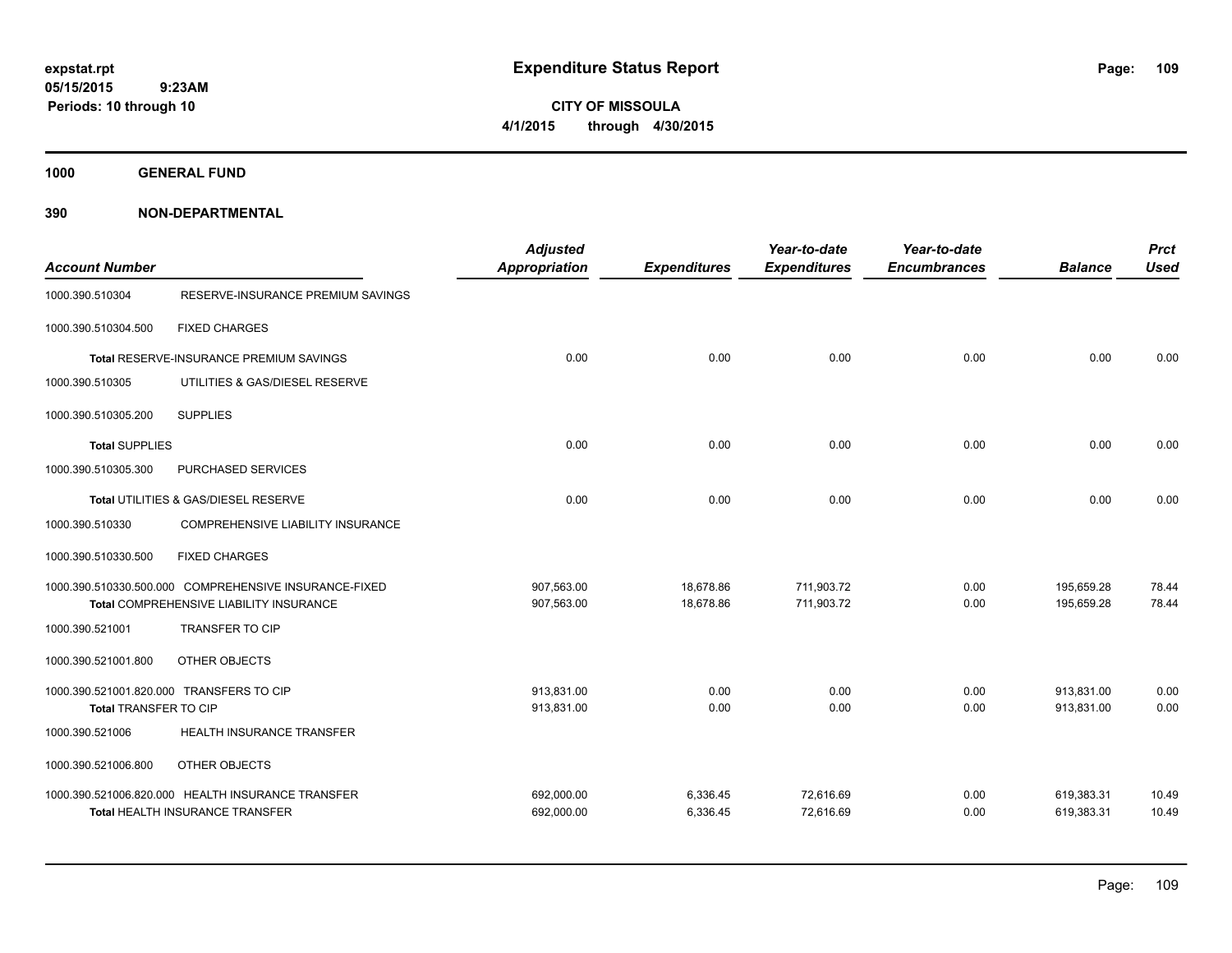**CITY OF MISSOULA 4/1/2015 through 4/30/2015**

**1000 GENERAL FUND**

**390 NON-DEPARTMENTAL**

| <b>Account Number</b> |                                                                                                  | <b>Adjusted</b><br><b>Appropriation</b> | <b>Expenditures</b>    | Year-to-date<br><b>Expenditures</b> | Year-to-date<br><b>Encumbrances</b> | <b>Balance</b>           | <b>Prct</b><br><b>Used</b> |
|-----------------------|--------------------------------------------------------------------------------------------------|-----------------------------------------|------------------------|-------------------------------------|-------------------------------------|--------------------------|----------------------------|
| 1000.390.510304       | RESERVE-INSURANCE PREMIUM SAVINGS                                                                |                                         |                        |                                     |                                     |                          |                            |
| 1000.390.510304.500   | <b>FIXED CHARGES</b>                                                                             |                                         |                        |                                     |                                     |                          |                            |
|                       | <b>Total RESERVE-INSURANCE PREMIUM SAVINGS</b>                                                   | 0.00                                    | 0.00                   | 0.00                                | 0.00                                | 0.00                     | 0.00                       |
| 1000.390.510305       | UTILITIES & GAS/DIESEL RESERVE                                                                   |                                         |                        |                                     |                                     |                          |                            |
| 1000.390.510305.200   | <b>SUPPLIES</b>                                                                                  |                                         |                        |                                     |                                     |                          |                            |
| <b>Total SUPPLIES</b> |                                                                                                  | 0.00                                    | 0.00                   | 0.00                                | 0.00                                | 0.00                     | 0.00                       |
| 1000.390.510305.300   | PURCHASED SERVICES                                                                               |                                         |                        |                                     |                                     |                          |                            |
|                       | Total UTILITIES & GAS/DIESEL RESERVE                                                             | 0.00                                    | 0.00                   | 0.00                                | 0.00                                | 0.00                     | 0.00                       |
| 1000.390.510330       | COMPREHENSIVE LIABILITY INSURANCE                                                                |                                         |                        |                                     |                                     |                          |                            |
| 1000.390.510330.500   | <b>FIXED CHARGES</b>                                                                             |                                         |                        |                                     |                                     |                          |                            |
|                       | 1000.390.510330.500.000 COMPREHENSIVE INSURANCE-FIXED<br>Total COMPREHENSIVE LIABILITY INSURANCE | 907,563.00<br>907,563.00                | 18,678.86<br>18,678.86 | 711,903.72<br>711,903.72            | 0.00<br>0.00                        | 195,659.28<br>195,659.28 | 78.44<br>78.44             |
| 1000.390.521001       | <b>TRANSFER TO CIP</b>                                                                           |                                         |                        |                                     |                                     |                          |                            |
| 1000.390.521001.800   | OTHER OBJECTS                                                                                    |                                         |                        |                                     |                                     |                          |                            |
| Total TRANSFER TO CIP | 1000.390.521001.820.000 TRANSFERS TO CIP                                                         | 913.831.00<br>913,831.00                | 0.00<br>0.00           | 0.00<br>0.00                        | 0.00<br>0.00                        | 913,831.00<br>913,831.00 | 0.00<br>0.00               |
| 1000.390.521006       | HEALTH INSURANCE TRANSFER                                                                        |                                         |                        |                                     |                                     |                          |                            |
| 1000.390.521006.800   | OTHER OBJECTS                                                                                    |                                         |                        |                                     |                                     |                          |                            |
|                       | 1000.390.521006.820.000 HEALTH INSURANCE TRANSFER<br>Total HEALTH INSURANCE TRANSFER             | 692,000.00<br>692,000.00                | 6,336.45<br>6,336.45   | 72,616.69<br>72,616.69              | 0.00<br>0.00                        | 619,383.31<br>619,383.31 | 10.49<br>10.49             |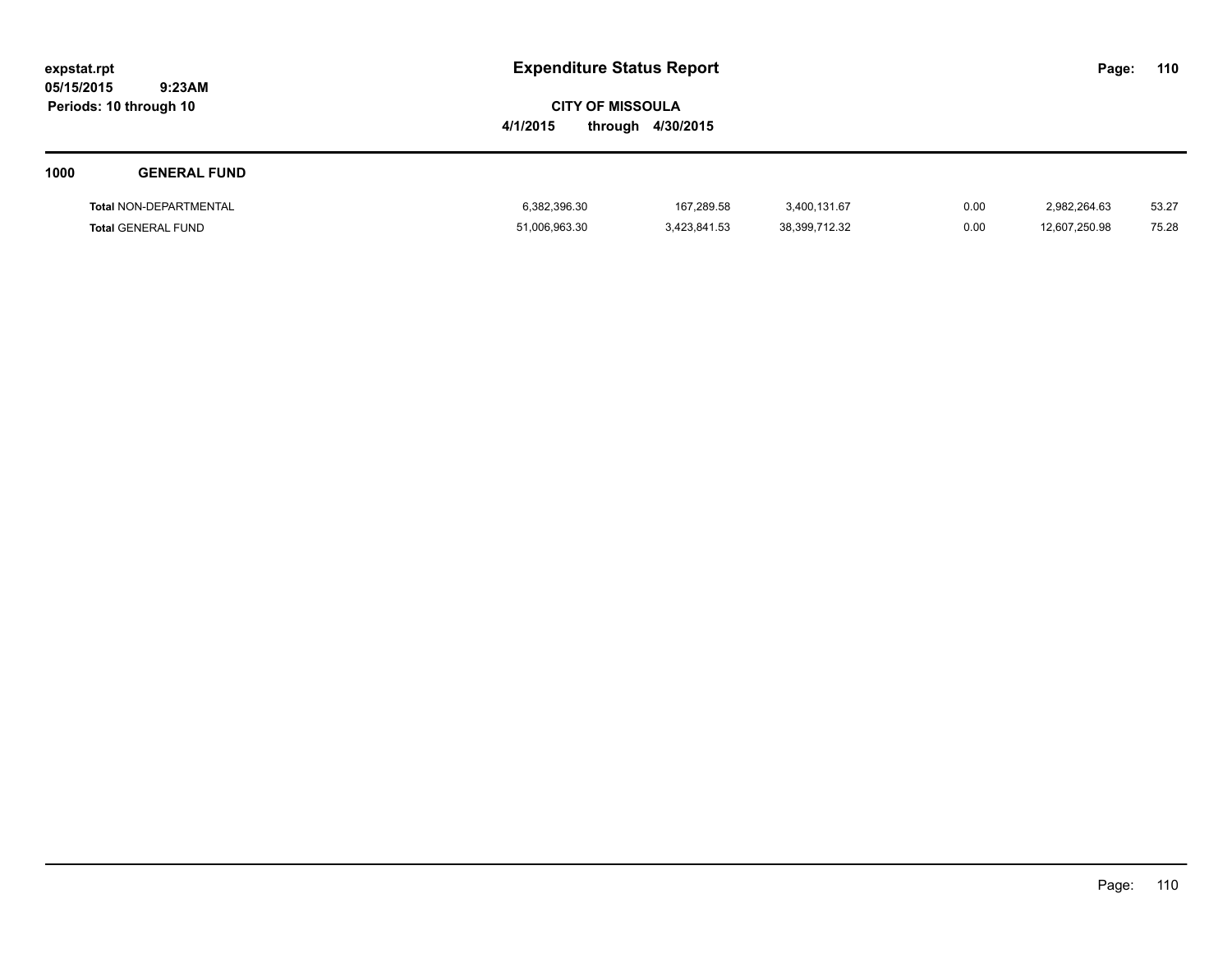| expstat.rpt            |        |
|------------------------|--------|
| 05/15/2015             | 9:23AM |
| Periods: 10 through 10 |        |

| 1000 | <b>GENERAL FUND</b>           |               |              |               |      |               |       |
|------|-------------------------------|---------------|--------------|---------------|------|---------------|-------|
|      | <b>Total NON-DEPARTMENTAL</b> | 6,382,396.30  | 167,289.58   | 3,400,131.67  | 0.00 | 2,982,264.63  | 53.27 |
|      | <b>Total GENERAL FUND</b>     | 51,006,963.30 | 3,423,841.53 | 38,399,712.32 | 0.00 | 12,607,250.98 | 75.28 |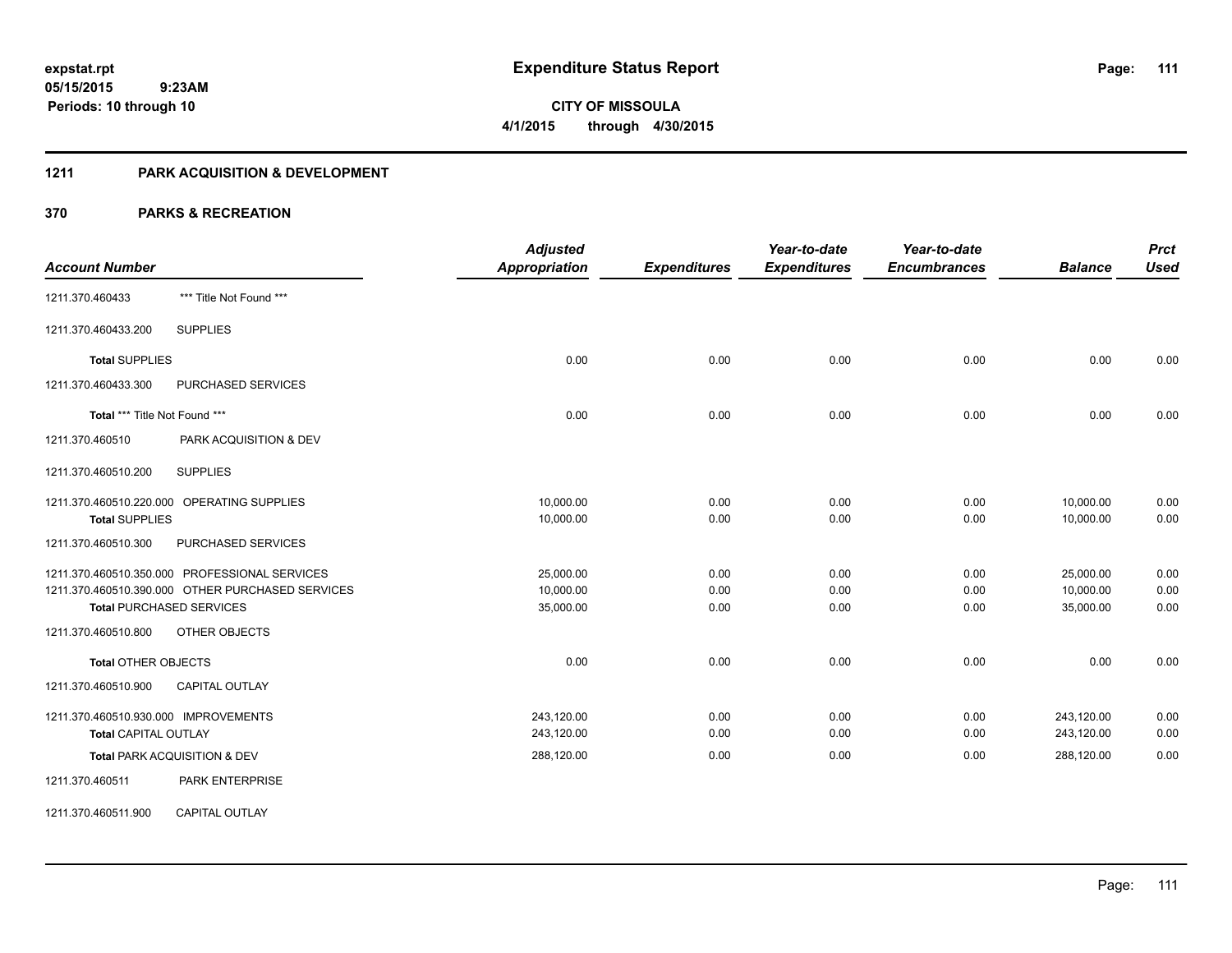**111**

**05/15/2015 9:23AM Periods: 10 through 10**

**CITY OF MISSOULA 4/1/2015 through 4/30/2015**

### **1211 PARK ACQUISITION & DEVELOPMENT**

|                                      |                                                  | <b>Adjusted</b>      |                     | Year-to-date        | Year-to-date        |                | <b>Prct</b> |
|--------------------------------------|--------------------------------------------------|----------------------|---------------------|---------------------|---------------------|----------------|-------------|
| <b>Account Number</b>                |                                                  | <b>Appropriation</b> | <b>Expenditures</b> | <b>Expenditures</b> | <b>Encumbrances</b> | <b>Balance</b> | <b>Used</b> |
| 1211.370.460433                      | *** Title Not Found ***                          |                      |                     |                     |                     |                |             |
| 1211.370.460433.200                  | <b>SUPPLIES</b>                                  |                      |                     |                     |                     |                |             |
| <b>Total SUPPLIES</b>                |                                                  | 0.00                 | 0.00                | 0.00                | 0.00                | 0.00           | 0.00        |
| 1211.370.460433.300                  | PURCHASED SERVICES                               |                      |                     |                     |                     |                |             |
| Total *** Title Not Found ***        |                                                  | 0.00                 | 0.00                | 0.00                | 0.00                | 0.00           | 0.00        |
| 1211.370.460510                      | PARK ACQUISITION & DEV                           |                      |                     |                     |                     |                |             |
| 1211.370.460510.200                  | <b>SUPPLIES</b>                                  |                      |                     |                     |                     |                |             |
|                                      | 1211.370.460510.220.000 OPERATING SUPPLIES       | 10,000.00            | 0.00                | 0.00                | 0.00                | 10,000.00      | 0.00        |
| <b>Total SUPPLIES</b>                |                                                  | 10,000.00            | 0.00                | 0.00                | 0.00                | 10,000.00      | 0.00        |
| 1211.370.460510.300                  | PURCHASED SERVICES                               |                      |                     |                     |                     |                |             |
|                                      | 1211.370.460510.350.000 PROFESSIONAL SERVICES    | 25,000.00            | 0.00                | 0.00                | 0.00                | 25,000.00      | 0.00        |
|                                      | 1211.370.460510.390.000 OTHER PURCHASED SERVICES | 10,000.00            | 0.00                | 0.00                | 0.00                | 10,000.00      | 0.00        |
| <b>Total PURCHASED SERVICES</b>      |                                                  | 35,000.00            | 0.00                | 0.00                | 0.00                | 35,000.00      | 0.00        |
| 1211.370.460510.800                  | OTHER OBJECTS                                    |                      |                     |                     |                     |                |             |
| <b>Total OTHER OBJECTS</b>           |                                                  | 0.00                 | 0.00                | 0.00                | 0.00                | 0.00           | 0.00        |
| 1211.370.460510.900                  | CAPITAL OUTLAY                                   |                      |                     |                     |                     |                |             |
| 1211.370.460510.930.000 IMPROVEMENTS |                                                  | 243,120.00           | 0.00                | 0.00                | 0.00                | 243,120.00     | 0.00        |
| <b>Total CAPITAL OUTLAY</b>          |                                                  | 243,120.00           | 0.00                | 0.00                | 0.00                | 243,120.00     | 0.00        |
|                                      | Total PARK ACQUISITION & DEV                     | 288,120.00           | 0.00                | 0.00                | 0.00                | 288,120.00     | 0.00        |
| 1211.370.460511                      | PARK ENTERPRISE                                  |                      |                     |                     |                     |                |             |
| 1211.370.460511.900                  | <b>CAPITAL OUTLAY</b>                            |                      |                     |                     |                     |                |             |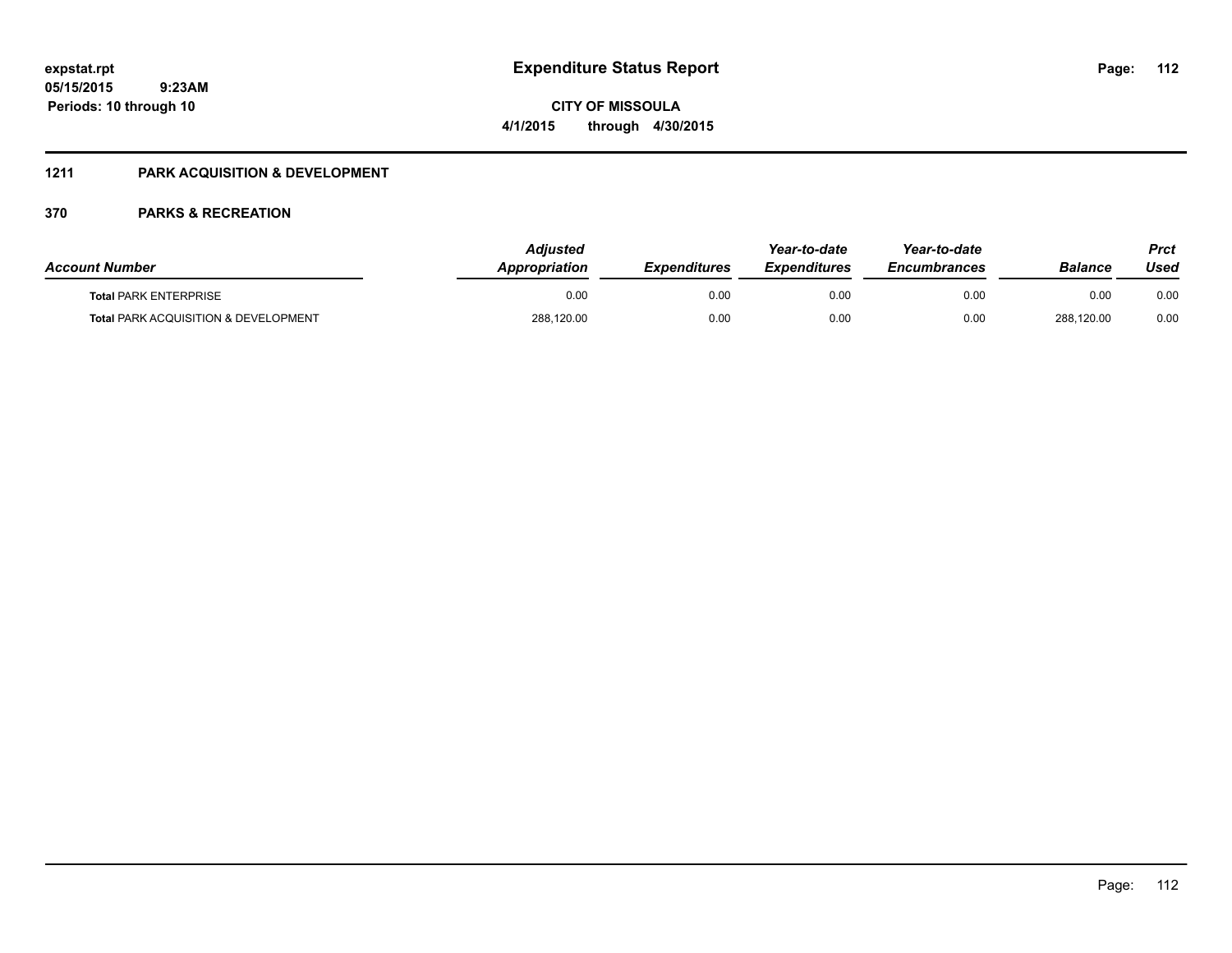Page: 112

**05/15/2015 9:23AM Periods: 10 through 10**

# **CITY OF MISSOULA 4/1/2015 through 4/30/2015**

### **1211 PARK ACQUISITION & DEVELOPMENT**

| <b>Account Number</b>                           | Adjusted<br>Appropriation | <b>Expenditures</b> | Year-to-date<br><b>Expenditures</b> | Year-to-date<br><b>Encumbrances</b> | <b>Balance</b> | Prct<br>Used |
|-------------------------------------------------|---------------------------|---------------------|-------------------------------------|-------------------------------------|----------------|--------------|
| <b>Total PARK ENTERPRISE</b>                    | 0.00                      | 0.00                | 0.00                                | 0.00                                | 0.00           | 0.00         |
| <b>Total PARK ACQUISITION &amp; DEVELOPMENT</b> | 288,120.00                | 0.00                | 0.00                                | 0.00                                | 288.120.00     | 0.00         |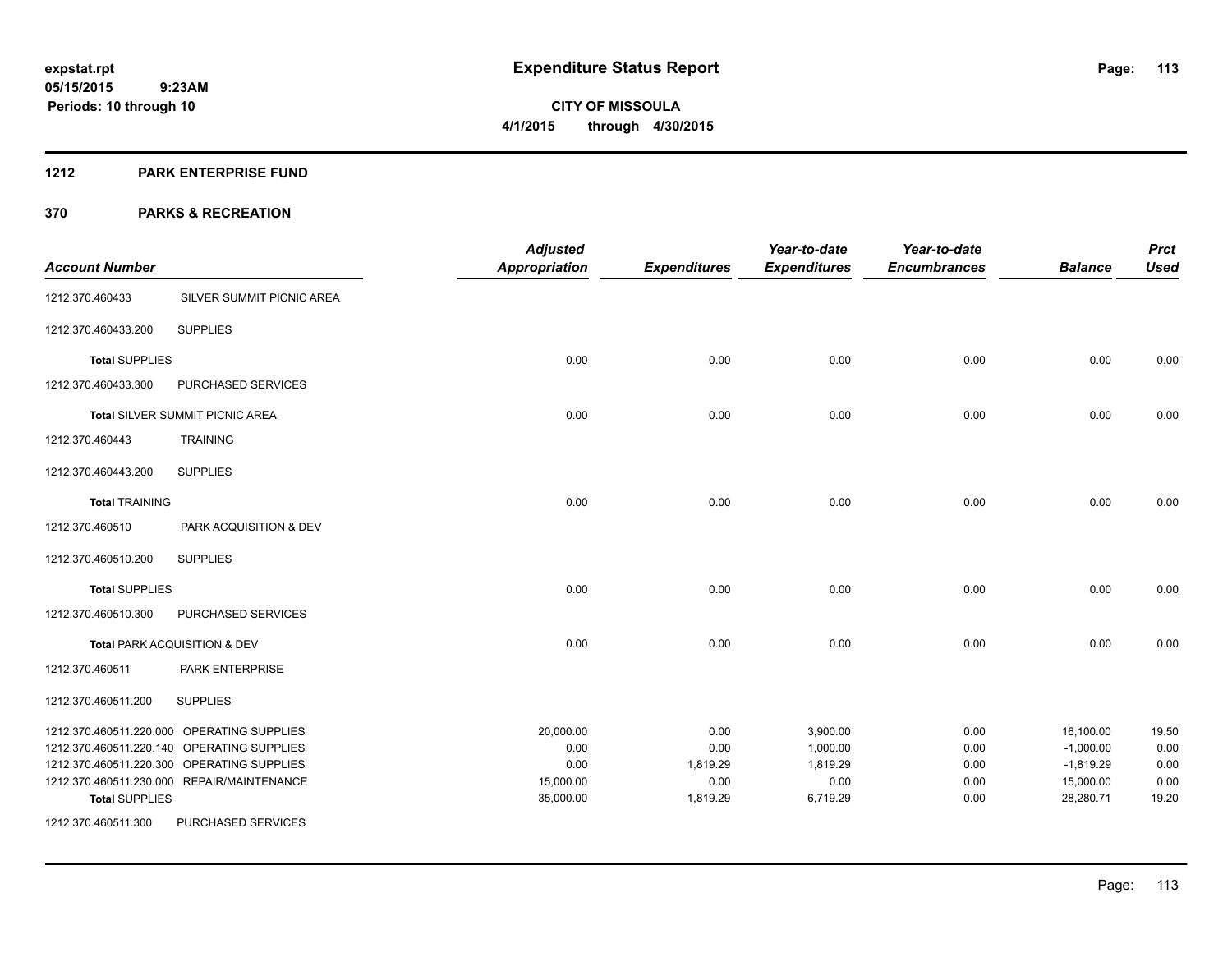#### **1212 PARK ENTERPRISE FUND**

| <b>Account Number</b> |                                            | <b>Adjusted</b><br><b>Appropriation</b> |                     | Year-to-date        | Year-to-date<br><b>Encumbrances</b> | <b>Balance</b> | <b>Prct</b><br><b>Used</b> |
|-----------------------|--------------------------------------------|-----------------------------------------|---------------------|---------------------|-------------------------------------|----------------|----------------------------|
|                       |                                            |                                         | <b>Expenditures</b> | <b>Expenditures</b> |                                     |                |                            |
| 1212.370.460433       | SILVER SUMMIT PICNIC AREA                  |                                         |                     |                     |                                     |                |                            |
| 1212.370.460433.200   | <b>SUPPLIES</b>                            |                                         |                     |                     |                                     |                |                            |
| <b>Total SUPPLIES</b> |                                            | 0.00                                    | 0.00                | 0.00                | 0.00                                | 0.00           | 0.00                       |
| 1212.370.460433.300   | PURCHASED SERVICES                         |                                         |                     |                     |                                     |                |                            |
|                       | <b>Total SILVER SUMMIT PICNIC AREA</b>     | 0.00                                    | 0.00                | 0.00                | 0.00                                | 0.00           | 0.00                       |
| 1212.370.460443       | <b>TRAINING</b>                            |                                         |                     |                     |                                     |                |                            |
| 1212.370.460443.200   | <b>SUPPLIES</b>                            |                                         |                     |                     |                                     |                |                            |
| <b>Total TRAINING</b> |                                            | 0.00                                    | 0.00                | 0.00                | 0.00                                | 0.00           | 0.00                       |
| 1212.370.460510       | PARK ACQUISITION & DEV                     |                                         |                     |                     |                                     |                |                            |
| 1212.370.460510.200   | <b>SUPPLIES</b>                            |                                         |                     |                     |                                     |                |                            |
| <b>Total SUPPLIES</b> |                                            | 0.00                                    | 0.00                | 0.00                | 0.00                                | 0.00           | 0.00                       |
| 1212.370.460510.300   | PURCHASED SERVICES                         |                                         |                     |                     |                                     |                |                            |
|                       | Total PARK ACQUISITION & DEV               | 0.00                                    | 0.00                | 0.00                | 0.00                                | 0.00           | 0.00                       |
| 1212.370.460511       | <b>PARK ENTERPRISE</b>                     |                                         |                     |                     |                                     |                |                            |
| 1212.370.460511.200   | <b>SUPPLIES</b>                            |                                         |                     |                     |                                     |                |                            |
|                       | 1212.370.460511.220.000 OPERATING SUPPLIES | 20,000.00                               | 0.00                | 3,900.00            | 0.00                                | 16,100.00      | 19.50                      |
|                       | 1212.370.460511.220.140 OPERATING SUPPLIES | 0.00                                    | 0.00                | 1,000.00            | 0.00                                | $-1,000.00$    | 0.00                       |
|                       | 1212.370.460511.220.300 OPERATING SUPPLIES | 0.00                                    | 1,819.29            | 1,819.29            | 0.00                                | $-1,819.29$    | 0.00                       |
|                       | 1212.370.460511.230.000 REPAIR/MAINTENANCE | 15,000.00                               | 0.00                | 0.00                | 0.00                                | 15,000.00      | 0.00                       |
| <b>Total SUPPLIES</b> |                                            | 35,000.00                               | 1,819.29            | 6,719.29            | 0.00                                | 28,280.71      | 19.20                      |
| 1212.370.460511.300   | PURCHASED SERVICES                         |                                         |                     |                     |                                     |                |                            |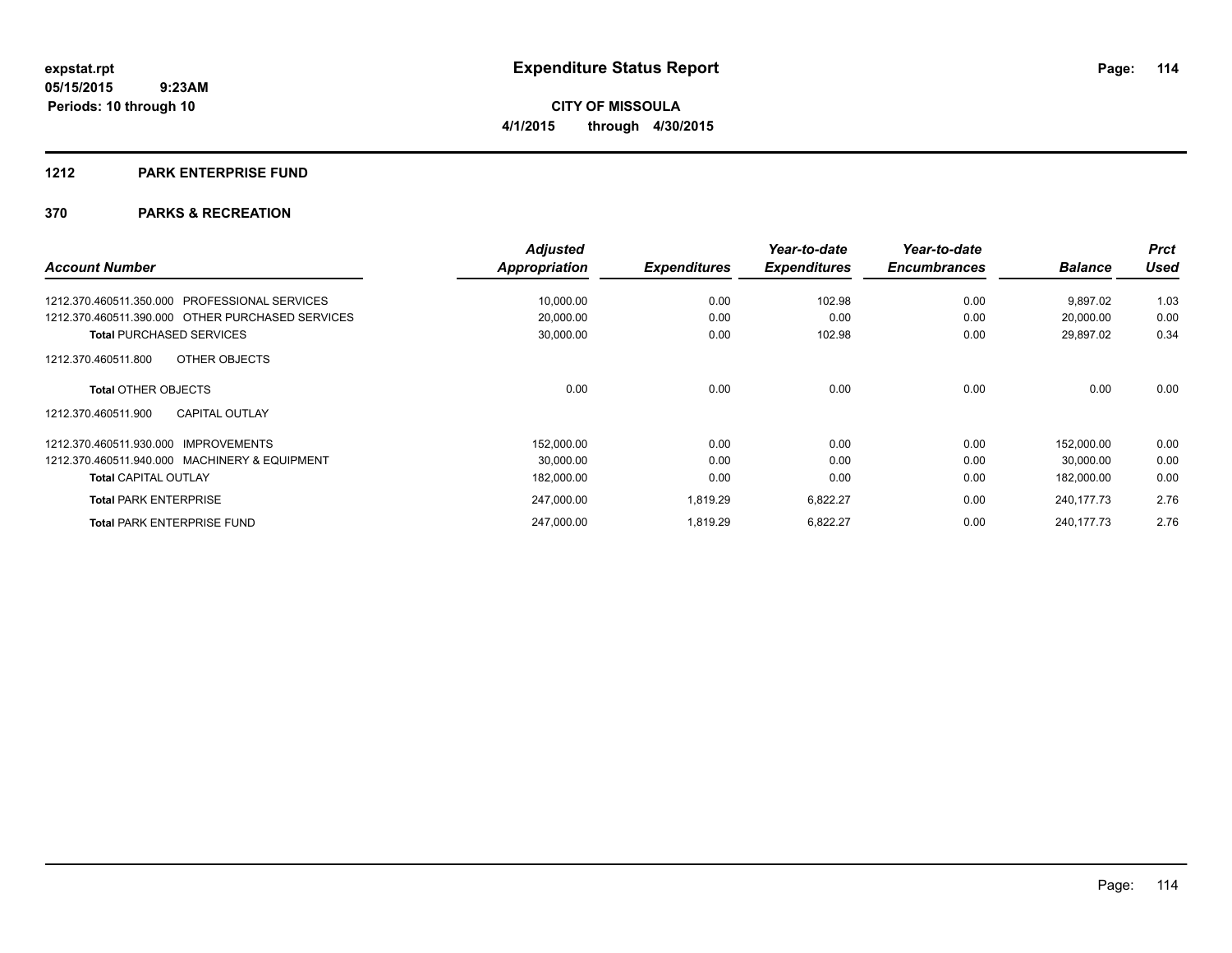#### **1212 PARK ENTERPRISE FUND**

|                                                  | <b>Adjusted</b> |                     | Year-to-date        | Year-to-date        |                | <b>Prct</b> |
|--------------------------------------------------|-----------------|---------------------|---------------------|---------------------|----------------|-------------|
| <b>Account Number</b>                            | Appropriation   | <b>Expenditures</b> | <b>Expenditures</b> | <b>Encumbrances</b> | <b>Balance</b> | Used        |
| 1212.370.460511.350.000 PROFESSIONAL SERVICES    | 10,000.00       | 0.00                | 102.98              | 0.00                | 9,897.02       | 1.03        |
| 1212.370.460511.390.000 OTHER PURCHASED SERVICES | 20,000.00       | 0.00                | 0.00                | 0.00                | 20,000.00      | 0.00        |
| <b>Total PURCHASED SERVICES</b>                  | 30,000.00       | 0.00                | 102.98              | 0.00                | 29,897.02      | 0.34        |
| OTHER OBJECTS<br>1212.370.460511.800             |                 |                     |                     |                     |                |             |
| <b>Total OTHER OBJECTS</b>                       | 0.00            | 0.00                | 0.00                | 0.00                | 0.00           | 0.00        |
| <b>CAPITAL OUTLAY</b><br>1212.370.460511.900     |                 |                     |                     |                     |                |             |
| 1212.370.460511.930.000 IMPROVEMENTS             | 152,000.00      | 0.00                | 0.00                | 0.00                | 152.000.00     | 0.00        |
| 1212.370.460511.940.000 MACHINERY & EQUIPMENT    | 30,000.00       | 0.00                | 0.00                | 0.00                | 30,000.00      | 0.00        |
| <b>Total CAPITAL OUTLAY</b>                      | 182,000.00      | 0.00                | 0.00                | 0.00                | 182,000.00     | 0.00        |
| <b>Total PARK ENTERPRISE</b>                     | 247,000.00      | 1,819.29            | 6,822.27            | 0.00                | 240, 177. 73   | 2.76        |
| <b>Total PARK ENTERPRISE FUND</b>                | 247.000.00      | 1.819.29            | 6,822.27            | 0.00                | 240, 177. 73   | 2.76        |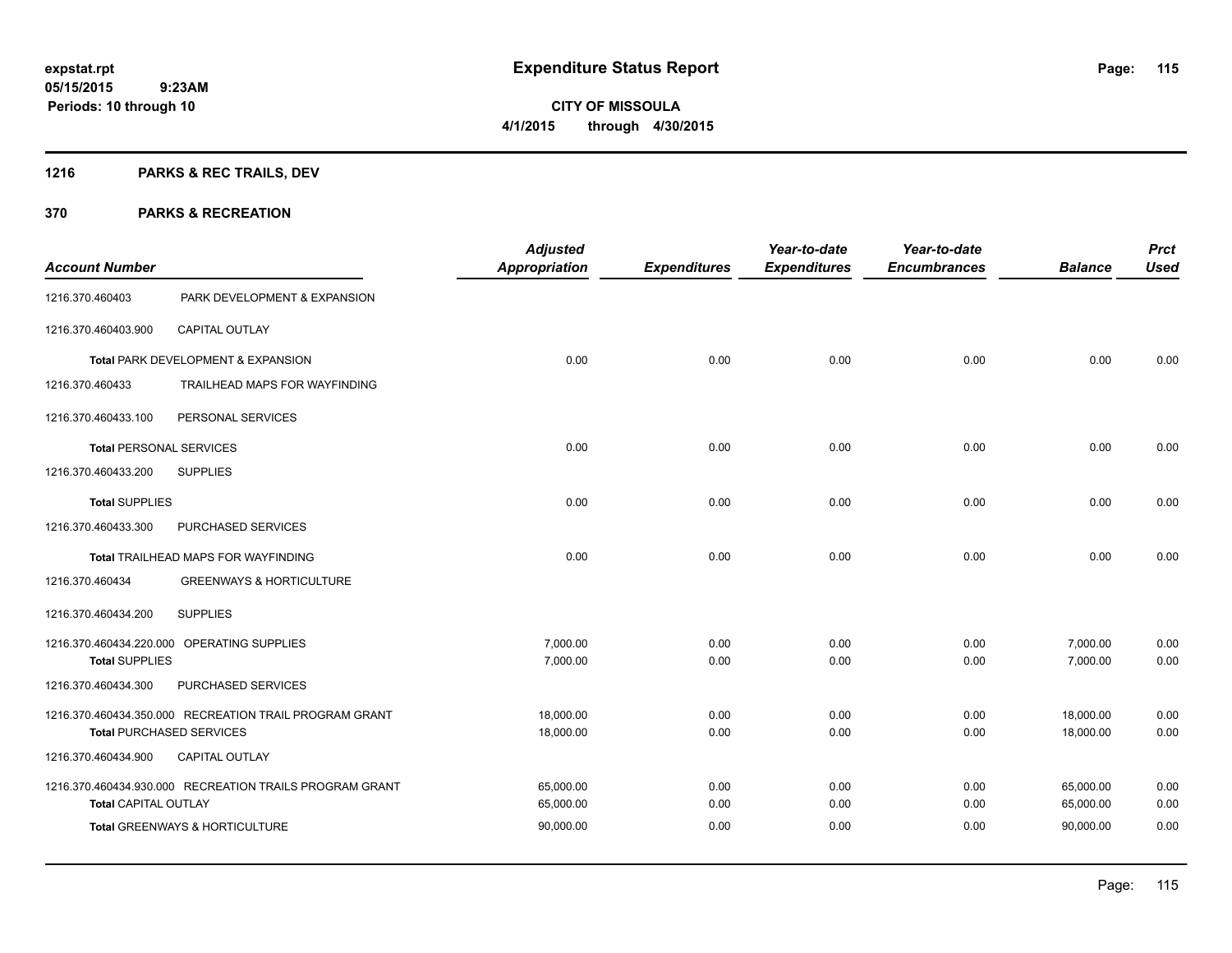## **1216 PARKS & REC TRAILS, DEV**

|                                |                                                         | <b>Adjusted</b>      |                     | Year-to-date        | Year-to-date        |                | <b>Prct</b> |
|--------------------------------|---------------------------------------------------------|----------------------|---------------------|---------------------|---------------------|----------------|-------------|
| <b>Account Number</b>          |                                                         | <b>Appropriation</b> | <b>Expenditures</b> | <b>Expenditures</b> | <b>Encumbrances</b> | <b>Balance</b> | <b>Used</b> |
| 1216.370.460403                | PARK DEVELOPMENT & EXPANSION                            |                      |                     |                     |                     |                |             |
| 1216.370.460403.900            | <b>CAPITAL OUTLAY</b>                                   |                      |                     |                     |                     |                |             |
|                                | Total PARK DEVELOPMENT & EXPANSION                      | 0.00                 | 0.00                | 0.00                | 0.00                | 0.00           | 0.00        |
| 1216.370.460433                | TRAILHEAD MAPS FOR WAYFINDING                           |                      |                     |                     |                     |                |             |
| 1216.370.460433.100            | PERSONAL SERVICES                                       |                      |                     |                     |                     |                |             |
| <b>Total PERSONAL SERVICES</b> |                                                         | 0.00                 | 0.00                | 0.00                | 0.00                | 0.00           | 0.00        |
| 1216.370.460433.200            | <b>SUPPLIES</b>                                         |                      |                     |                     |                     |                |             |
| <b>Total SUPPLIES</b>          |                                                         | 0.00                 | 0.00                | 0.00                | 0.00                | 0.00           | 0.00        |
| 1216.370.460433.300            | PURCHASED SERVICES                                      |                      |                     |                     |                     |                |             |
|                                | Total TRAILHEAD MAPS FOR WAYFINDING                     | 0.00                 | 0.00                | 0.00                | 0.00                | 0.00           | 0.00        |
| 1216.370.460434                | <b>GREENWAYS &amp; HORTICULTURE</b>                     |                      |                     |                     |                     |                |             |
| 1216.370.460434.200            | <b>SUPPLIES</b>                                         |                      |                     |                     |                     |                |             |
|                                | 1216.370.460434.220.000 OPERATING SUPPLIES              | 7,000.00             | 0.00                | 0.00                | 0.00                | 7,000.00       | 0.00        |
| <b>Total SUPPLIES</b>          |                                                         | 7,000.00             | 0.00                | 0.00                | 0.00                | 7,000.00       | 0.00        |
| 1216.370.460434.300            | PURCHASED SERVICES                                      |                      |                     |                     |                     |                |             |
|                                | 1216.370.460434.350.000 RECREATION TRAIL PROGRAM GRANT  | 18,000.00            | 0.00                | 0.00                | 0.00                | 18,000.00      | 0.00        |
|                                | <b>Total PURCHASED SERVICES</b>                         | 18,000.00            | 0.00                | 0.00                | 0.00                | 18,000.00      | 0.00        |
| 1216.370.460434.900            | <b>CAPITAL OUTLAY</b>                                   |                      |                     |                     |                     |                |             |
|                                | 1216.370.460434.930.000 RECREATION TRAILS PROGRAM GRANT | 65,000.00            | 0.00                | 0.00                | 0.00                | 65,000.00      | 0.00        |
| <b>Total CAPITAL OUTLAY</b>    |                                                         | 65,000.00            | 0.00                | 0.00                | 0.00                | 65,000.00      | 0.00        |
|                                | Total GREENWAYS & HORTICULTURE                          | 90,000.00            | 0.00                | 0.00                | 0.00                | 90.000.00      | 0.00        |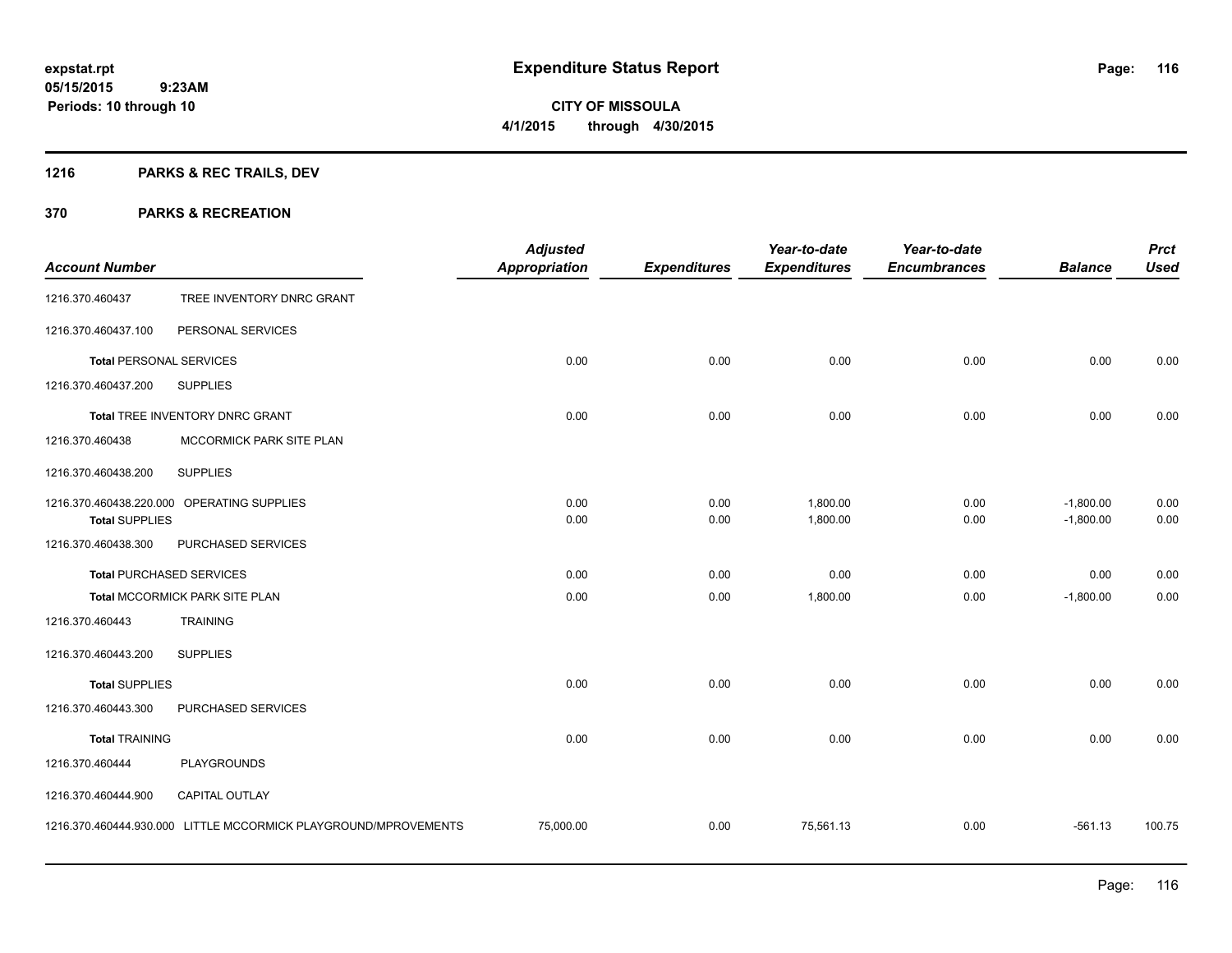## **1216 PARKS & REC TRAILS, DEV**

| <b>Account Number</b>          |                                                                 | <b>Adjusted</b><br><b>Appropriation</b> | <b>Expenditures</b> | Year-to-date<br><b>Expenditures</b> | Year-to-date<br><b>Encumbrances</b> | <b>Balance</b>             | <b>Prct</b><br><b>Used</b> |
|--------------------------------|-----------------------------------------------------------------|-----------------------------------------|---------------------|-------------------------------------|-------------------------------------|----------------------------|----------------------------|
| 1216.370.460437                | TREE INVENTORY DNRC GRANT                                       |                                         |                     |                                     |                                     |                            |                            |
| 1216.370.460437.100            | PERSONAL SERVICES                                               |                                         |                     |                                     |                                     |                            |                            |
| <b>Total PERSONAL SERVICES</b> |                                                                 | 0.00                                    | 0.00                | 0.00                                | 0.00                                | 0.00                       | 0.00                       |
| 1216.370.460437.200            | <b>SUPPLIES</b>                                                 |                                         |                     |                                     |                                     |                            |                            |
|                                | Total TREE INVENTORY DNRC GRANT                                 | 0.00                                    | 0.00                | 0.00                                | 0.00                                | 0.00                       | 0.00                       |
| 1216.370.460438                | MCCORMICK PARK SITE PLAN                                        |                                         |                     |                                     |                                     |                            |                            |
| 1216.370.460438.200            | <b>SUPPLIES</b>                                                 |                                         |                     |                                     |                                     |                            |                            |
| <b>Total SUPPLIES</b>          | 1216.370.460438.220.000 OPERATING SUPPLIES                      | 0.00<br>0.00                            | 0.00<br>0.00        | 1,800.00<br>1,800.00                | 0.00<br>0.00                        | $-1,800.00$<br>$-1,800.00$ | 0.00<br>0.00               |
| 1216.370.460438.300            | PURCHASED SERVICES                                              |                                         |                     |                                     |                                     |                            |                            |
|                                | <b>Total PURCHASED SERVICES</b>                                 | 0.00                                    | 0.00                | 0.00                                | 0.00                                | 0.00                       | 0.00                       |
|                                | Total MCCORMICK PARK SITE PLAN                                  | 0.00                                    | 0.00                | 1,800.00                            | 0.00                                | $-1,800.00$                | 0.00                       |
| 1216.370.460443                | <b>TRAINING</b>                                                 |                                         |                     |                                     |                                     |                            |                            |
| 1216.370.460443.200            | <b>SUPPLIES</b>                                                 |                                         |                     |                                     |                                     |                            |                            |
| <b>Total SUPPLIES</b>          |                                                                 | 0.00                                    | 0.00                | 0.00                                | 0.00                                | 0.00                       | 0.00                       |
| 1216.370.460443.300            | PURCHASED SERVICES                                              |                                         |                     |                                     |                                     |                            |                            |
| <b>Total TRAINING</b>          |                                                                 | 0.00                                    | 0.00                | 0.00                                | 0.00                                | 0.00                       | 0.00                       |
| 1216.370.460444                | <b>PLAYGROUNDS</b>                                              |                                         |                     |                                     |                                     |                            |                            |
| 1216.370.460444.900            | <b>CAPITAL OUTLAY</b>                                           |                                         |                     |                                     |                                     |                            |                            |
|                                | 1216.370.460444.930.000 LITTLE MCCORMICK PLAYGROUND/MPROVEMENTS | 75,000.00                               | 0.00                | 75,561.13                           | 0.00                                | $-561.13$                  | 100.75                     |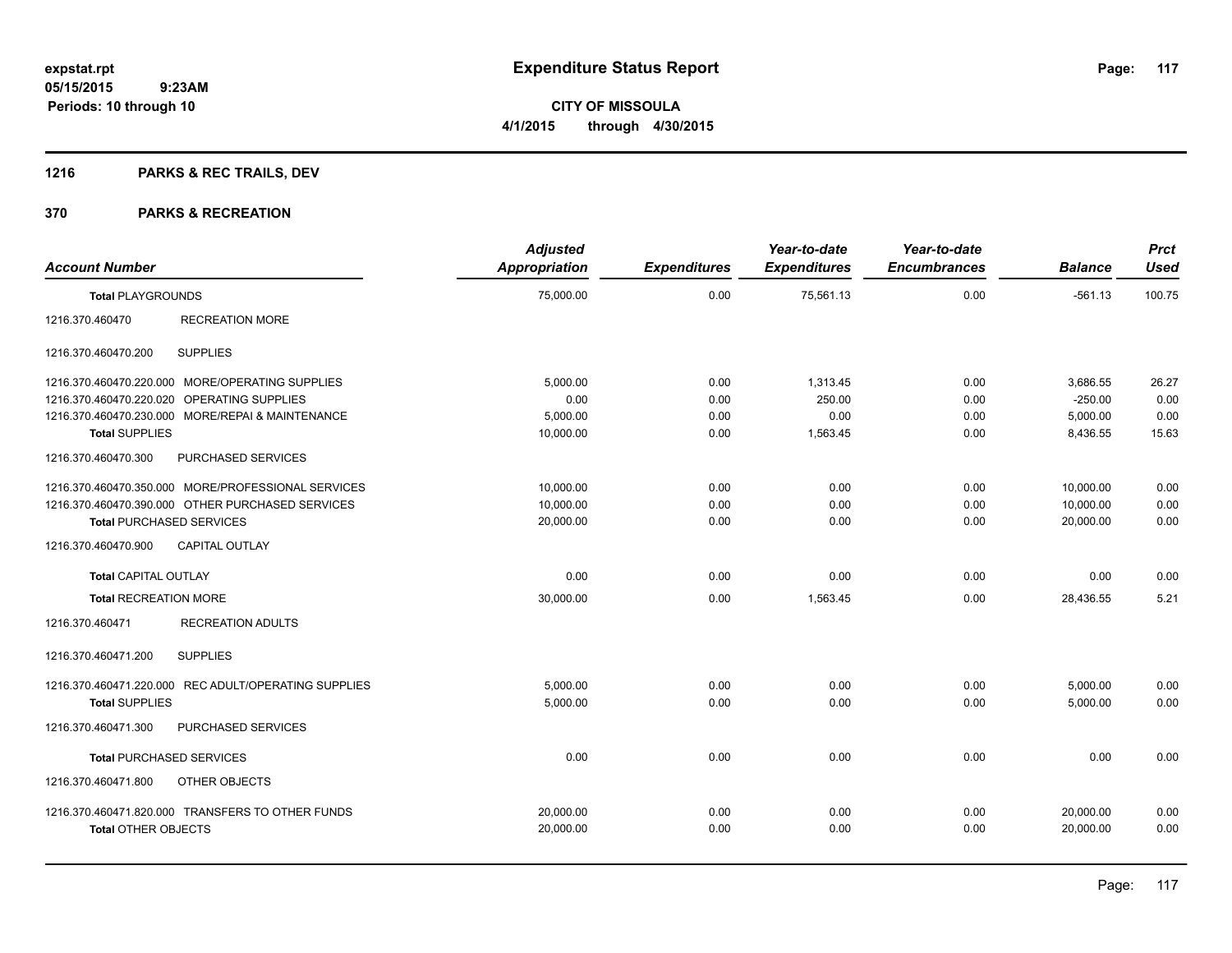## **1216 PARKS & REC TRAILS, DEV**

| <b>Account Number</b>                                | <b>Adjusted</b><br>Appropriation | <b>Expenditures</b> | Year-to-date<br><b>Expenditures</b> | Year-to-date<br><b>Encumbrances</b> | <b>Balance</b> | <b>Prct</b><br><b>Used</b> |
|------------------------------------------------------|----------------------------------|---------------------|-------------------------------------|-------------------------------------|----------------|----------------------------|
| <b>Total PLAYGROUNDS</b>                             | 75,000.00                        | 0.00                | 75,561.13                           | 0.00                                | $-561.13$      | 100.75                     |
| <b>RECREATION MORE</b><br>1216.370.460470            |                                  |                     |                                     |                                     |                |                            |
| <b>SUPPLIES</b><br>1216.370.460470.200               |                                  |                     |                                     |                                     |                |                            |
| 1216.370.460470.220.000 MORE/OPERATING SUPPLIES      | 5.000.00                         | 0.00                | 1,313.45                            | 0.00                                | 3,686.55       | 26.27                      |
| 1216.370.460470.220.020 OPERATING SUPPLIES           | 0.00                             | 0.00                | 250.00                              | 0.00                                | $-250.00$      | 0.00                       |
| 1216.370.460470.230.000 MORE/REPAI & MAINTENANCE     | 5,000.00                         | 0.00                | 0.00                                | 0.00                                | 5,000.00       | 0.00                       |
| <b>Total SUPPLIES</b>                                | 10,000.00                        | 0.00                | 1,563.45                            | 0.00                                | 8,436.55       | 15.63                      |
| 1216.370.460470.300<br>PURCHASED SERVICES            |                                  |                     |                                     |                                     |                |                            |
| 1216.370.460470.350.000 MORE/PROFESSIONAL SERVICES   | 10,000.00                        | 0.00                | 0.00                                | 0.00                                | 10,000.00      | 0.00                       |
| 1216.370.460470.390.000 OTHER PURCHASED SERVICES     | 10,000.00                        | 0.00                | 0.00                                | 0.00                                | 10,000.00      | 0.00                       |
| <b>Total PURCHASED SERVICES</b>                      | 20,000.00                        | 0.00                | 0.00                                | 0.00                                | 20,000.00      | 0.00                       |
| 1216.370.460470.900<br><b>CAPITAL OUTLAY</b>         |                                  |                     |                                     |                                     |                |                            |
| <b>Total CAPITAL OUTLAY</b>                          | 0.00                             | 0.00                | 0.00                                | 0.00                                | 0.00           | 0.00                       |
| <b>Total RECREATION MORE</b>                         | 30,000.00                        | 0.00                | 1,563.45                            | 0.00                                | 28,436.55      | 5.21                       |
| 1216.370.460471<br><b>RECREATION ADULTS</b>          |                                  |                     |                                     |                                     |                |                            |
| 1216.370.460471.200<br><b>SUPPLIES</b>               |                                  |                     |                                     |                                     |                |                            |
| 1216.370.460471.220.000 REC ADULT/OPERATING SUPPLIES | 5,000.00                         | 0.00                | 0.00                                | 0.00                                | 5,000.00       | 0.00                       |
| <b>Total SUPPLIES</b>                                | 5,000.00                         | 0.00                | 0.00                                | 0.00                                | 5,000.00       | 0.00                       |
| 1216.370.460471.300<br>PURCHASED SERVICES            |                                  |                     |                                     |                                     |                |                            |
| <b>Total PURCHASED SERVICES</b>                      | 0.00                             | 0.00                | 0.00                                | 0.00                                | 0.00           | 0.00                       |
| 1216.370.460471.800<br>OTHER OBJECTS                 |                                  |                     |                                     |                                     |                |                            |
| 1216.370.460471.820.000 TRANSFERS TO OTHER FUNDS     | 20,000.00                        | 0.00                | 0.00                                | 0.00                                | 20.000.00      | 0.00                       |
| <b>Total OTHER OBJECTS</b>                           | 20,000.00                        | 0.00                | 0.00                                | 0.00                                | 20,000.00      | 0.00                       |
|                                                      |                                  |                     |                                     |                                     |                |                            |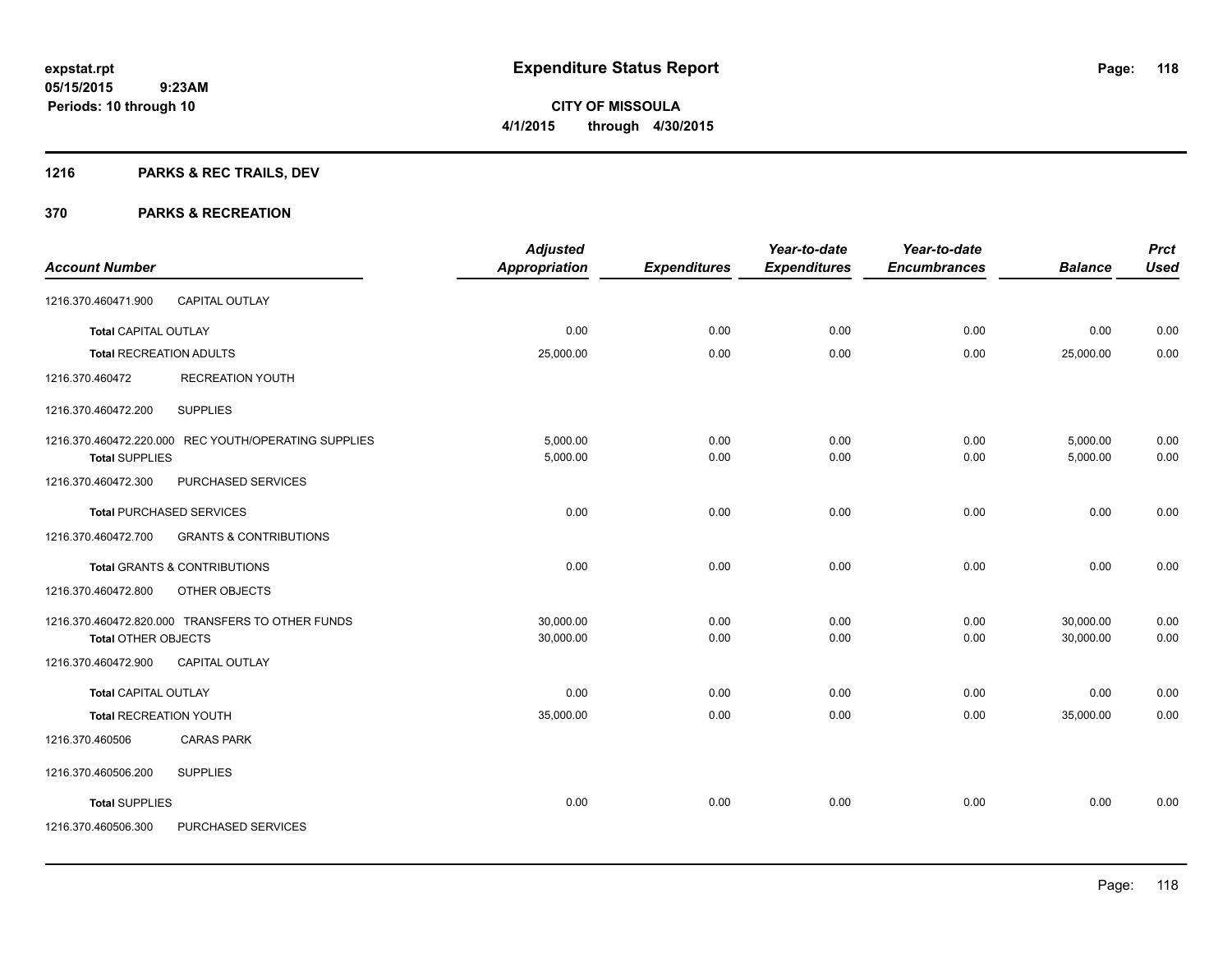## **1216 PARKS & REC TRAILS, DEV**

|                                |                                                      | <b>Adjusted</b>      |                     | Year-to-date        | Year-to-date        |                | <b>Prct</b> |
|--------------------------------|------------------------------------------------------|----------------------|---------------------|---------------------|---------------------|----------------|-------------|
| <b>Account Number</b>          |                                                      | <b>Appropriation</b> | <b>Expenditures</b> | <b>Expenditures</b> | <b>Encumbrances</b> | <b>Balance</b> | <b>Used</b> |
| 1216.370.460471.900            | CAPITAL OUTLAY                                       |                      |                     |                     |                     |                |             |
| Total CAPITAL OUTLAY           |                                                      | 0.00                 | 0.00                | 0.00                | 0.00                | 0.00           | 0.00        |
| <b>Total RECREATION ADULTS</b> |                                                      | 25,000.00            | 0.00                | 0.00                | 0.00                | 25,000.00      | 0.00        |
| 1216.370.460472                | <b>RECREATION YOUTH</b>                              |                      |                     |                     |                     |                |             |
| 1216.370.460472.200            | <b>SUPPLIES</b>                                      |                      |                     |                     |                     |                |             |
|                                | 1216.370.460472.220.000 REC YOUTH/OPERATING SUPPLIES | 5.000.00             | 0.00                | 0.00                | 0.00                | 5,000.00       | 0.00        |
| <b>Total SUPPLIES</b>          |                                                      | 5,000.00             | 0.00                | 0.00                | 0.00                | 5,000.00       | 0.00        |
| 1216.370.460472.300            | PURCHASED SERVICES                                   |                      |                     |                     |                     |                |             |
|                                | <b>Total PURCHASED SERVICES</b>                      | 0.00                 | 0.00                | 0.00                | 0.00                | 0.00           | 0.00        |
| 1216.370.460472.700            | <b>GRANTS &amp; CONTRIBUTIONS</b>                    |                      |                     |                     |                     |                |             |
|                                | <b>Total GRANTS &amp; CONTRIBUTIONS</b>              | 0.00                 | 0.00                | 0.00                | 0.00                | 0.00           | 0.00        |
| 1216.370.460472.800            | OTHER OBJECTS                                        |                      |                     |                     |                     |                |             |
|                                | 1216.370.460472.820.000 TRANSFERS TO OTHER FUNDS     | 30,000.00            | 0.00                | 0.00                | 0.00                | 30,000.00      | 0.00        |
| <b>Total OTHER OBJECTS</b>     |                                                      | 30,000.00            | 0.00                | 0.00                | 0.00                | 30,000.00      | 0.00        |
| 1216.370.460472.900            | <b>CAPITAL OUTLAY</b>                                |                      |                     |                     |                     |                |             |
| <b>Total CAPITAL OUTLAY</b>    |                                                      | 0.00                 | 0.00                | 0.00                | 0.00                | 0.00           | 0.00        |
| <b>Total RECREATION YOUTH</b>  |                                                      | 35,000.00            | 0.00                | 0.00                | 0.00                | 35,000.00      | 0.00        |
| 1216.370.460506                | <b>CARAS PARK</b>                                    |                      |                     |                     |                     |                |             |
| 1216.370.460506.200            | <b>SUPPLIES</b>                                      |                      |                     |                     |                     |                |             |
| <b>Total SUPPLIES</b>          |                                                      | 0.00                 | 0.00                | 0.00                | 0.00                | 0.00           | 0.00        |
| 1216.370.460506.300            | PURCHASED SERVICES                                   |                      |                     |                     |                     |                |             |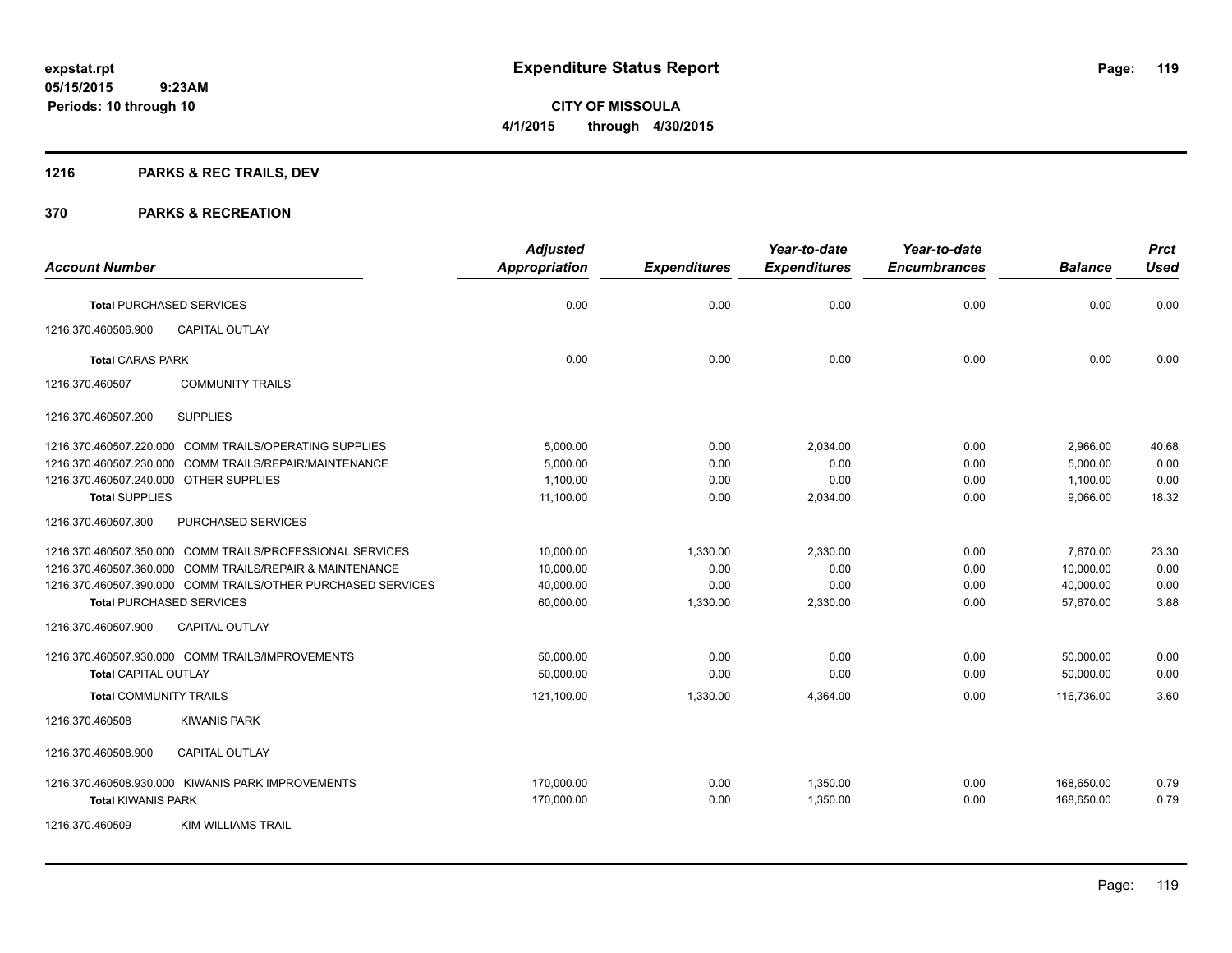Page: 119

**05/15/2015 9:23AM Periods: 10 through 10**

**CITY OF MISSOULA 4/1/2015 through 4/30/2015**

## **1216 PARKS & REC TRAILS, DEV**

|                                                              | <b>Adjusted</b>      |                     | Year-to-date        | Year-to-date        |                | <b>Prct</b> |
|--------------------------------------------------------------|----------------------|---------------------|---------------------|---------------------|----------------|-------------|
| <b>Account Number</b>                                        | <b>Appropriation</b> | <b>Expenditures</b> | <b>Expenditures</b> | <b>Encumbrances</b> | <b>Balance</b> | <b>Used</b> |
| <b>Total PURCHASED SERVICES</b>                              | 0.00                 | 0.00                | 0.00                | 0.00                | 0.00           | 0.00        |
| 1216.370.460506.900<br><b>CAPITAL OUTLAY</b>                 |                      |                     |                     |                     |                |             |
| <b>Total CARAS PARK</b>                                      | 0.00                 | 0.00                | 0.00                | 0.00                | 0.00           | 0.00        |
| 1216.370.460507<br><b>COMMUNITY TRAILS</b>                   |                      |                     |                     |                     |                |             |
| <b>SUPPLIES</b><br>1216.370.460507.200                       |                      |                     |                     |                     |                |             |
| 1216.370.460507.220.000 COMM TRAILS/OPERATING SUPPLIES       | 5,000.00             | 0.00                | 2,034.00            | 0.00                | 2,966.00       | 40.68       |
| 1216.370.460507.230.000 COMM TRAILS/REPAIR/MAINTENANCE       | 5,000.00             | 0.00                | 0.00                | 0.00                | 5,000.00       | 0.00        |
| 1216.370.460507.240.000 OTHER SUPPLIES                       | 1,100.00             | 0.00                | 0.00                | 0.00                | 1,100.00       | 0.00        |
| <b>Total SUPPLIES</b>                                        | 11,100.00            | 0.00                | 2,034.00            | 0.00                | 9,066.00       | 18.32       |
| 1216.370.460507.300<br>PURCHASED SERVICES                    |                      |                     |                     |                     |                |             |
| 1216.370.460507.350.000 COMM TRAILS/PROFESSIONAL SERVICES    | 10,000.00            | 1,330.00            | 2,330.00            | 0.00                | 7,670.00       | 23.30       |
| 1216.370.460507.360.000 COMM TRAILS/REPAIR & MAINTENANCE     | 10,000.00            | 0.00                | 0.00                | 0.00                | 10,000.00      | 0.00        |
| 1216.370.460507.390.000 COMM TRAILS/OTHER PURCHASED SERVICES | 40,000.00            | 0.00                | 0.00                | 0.00                | 40,000.00      | 0.00        |
| <b>Total PURCHASED SERVICES</b>                              | 60,000.00            | 1,330.00            | 2,330.00            | 0.00                | 57,670.00      | 3.88        |
| <b>CAPITAL OUTLAY</b><br>1216.370.460507.900                 |                      |                     |                     |                     |                |             |
| 1216.370.460507.930.000 COMM TRAILS/IMPROVEMENTS             | 50,000.00            | 0.00                | 0.00                | 0.00                | 50,000.00      | 0.00        |
| <b>Total CAPITAL OUTLAY</b>                                  | 50.000.00            | 0.00                | 0.00                | 0.00                | 50,000.00      | 0.00        |
| <b>Total COMMUNITY TRAILS</b>                                | 121,100.00           | 1,330.00            | 4,364.00            | 0.00                | 116,736.00     | 3.60        |
| 1216.370.460508<br><b>KIWANIS PARK</b>                       |                      |                     |                     |                     |                |             |
| CAPITAL OUTLAY<br>1216.370.460508.900                        |                      |                     |                     |                     |                |             |
| 1216.370.460508.930.000 KIWANIS PARK IMPROVEMENTS            | 170,000.00           | 0.00                | 1,350.00            | 0.00                | 168,650.00     | 0.79        |
| <b>Total KIWANIS PARK</b>                                    | 170,000.00           | 0.00                | 1,350.00            | 0.00                | 168,650.00     | 0.79        |
| 1216.370.460509<br><b>KIM WILLIAMS TRAIL</b>                 |                      |                     |                     |                     |                |             |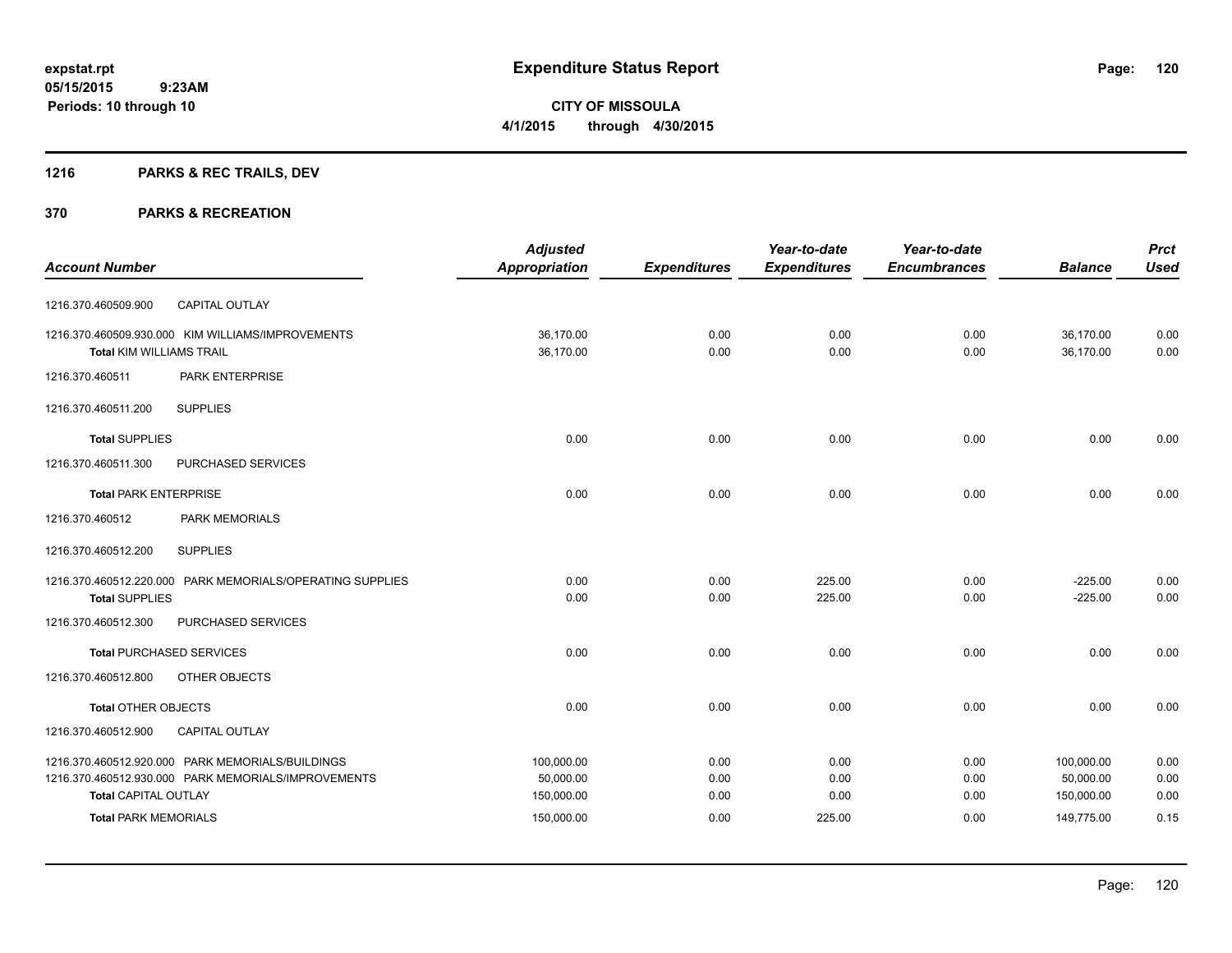**Periods: 10 through 10**

**CITY OF MISSOULA 4/1/2015 through 4/30/2015**

## **1216 PARKS & REC TRAILS, DEV**

 **9:23AM**

|                                 |                                                           | <b>Adjusted</b>      |                     | Year-to-date        | Year-to-date        |                | <b>Prct</b> |
|---------------------------------|-----------------------------------------------------------|----------------------|---------------------|---------------------|---------------------|----------------|-------------|
| <b>Account Number</b>           |                                                           | <b>Appropriation</b> | <b>Expenditures</b> | <b>Expenditures</b> | <b>Encumbrances</b> | <b>Balance</b> | <b>Used</b> |
| 1216.370.460509.900             | CAPITAL OUTLAY                                            |                      |                     |                     |                     |                |             |
|                                 | 1216.370.460509.930.000 KIM WILLIAMS/IMPROVEMENTS         | 36,170.00            | 0.00                | 0.00                | 0.00                | 36,170.00      | 0.00        |
| <b>Total KIM WILLIAMS TRAIL</b> |                                                           | 36,170.00            | 0.00                | 0.00                | 0.00                | 36,170.00      | 0.00        |
| 1216.370.460511                 | PARK ENTERPRISE                                           |                      |                     |                     |                     |                |             |
| 1216.370.460511.200             | <b>SUPPLIES</b>                                           |                      |                     |                     |                     |                |             |
| <b>Total SUPPLIES</b>           |                                                           | 0.00                 | 0.00                | 0.00                | 0.00                | 0.00           | 0.00        |
| 1216.370.460511.300             | PURCHASED SERVICES                                        |                      |                     |                     |                     |                |             |
| <b>Total PARK ENTERPRISE</b>    |                                                           | 0.00                 | 0.00                | 0.00                | 0.00                | 0.00           | 0.00        |
| 1216.370.460512                 | PARK MEMORIALS                                            |                      |                     |                     |                     |                |             |
| 1216.370.460512.200             | <b>SUPPLIES</b>                                           |                      |                     |                     |                     |                |             |
|                                 | 1216.370.460512.220.000 PARK MEMORIALS/OPERATING SUPPLIES | 0.00                 | 0.00                | 225.00              | 0.00                | $-225.00$      | 0.00        |
| <b>Total SUPPLIES</b>           |                                                           | 0.00                 | 0.00                | 225.00              | 0.00                | $-225.00$      | 0.00        |
| 1216.370.460512.300             | PURCHASED SERVICES                                        |                      |                     |                     |                     |                |             |
|                                 | <b>Total PURCHASED SERVICES</b>                           | 0.00                 | 0.00                | 0.00                | 0.00                | 0.00           | 0.00        |
| 1216.370.460512.800             | OTHER OBJECTS                                             |                      |                     |                     |                     |                |             |
| <b>Total OTHER OBJECTS</b>      |                                                           | 0.00                 | 0.00                | 0.00                | 0.00                | 0.00           | 0.00        |
| 1216.370.460512.900             | <b>CAPITAL OUTLAY</b>                                     |                      |                     |                     |                     |                |             |
|                                 | 1216.370.460512.920.000 PARK MEMORIALS/BUILDINGS          | 100,000.00           | 0.00                | 0.00                | 0.00                | 100,000.00     | 0.00        |
|                                 | 1216.370.460512.930.000 PARK MEMORIALS/IMPROVEMENTS       | 50,000.00            | 0.00                | 0.00                | 0.00                | 50,000.00      | 0.00        |
| <b>Total CAPITAL OUTLAY</b>     |                                                           | 150,000.00           | 0.00                | 0.00                | 0.00                | 150,000.00     | 0.00        |
| <b>Total PARK MEMORIALS</b>     |                                                           | 150,000.00           | 0.00                | 225.00              | 0.00                | 149,775.00     | 0.15        |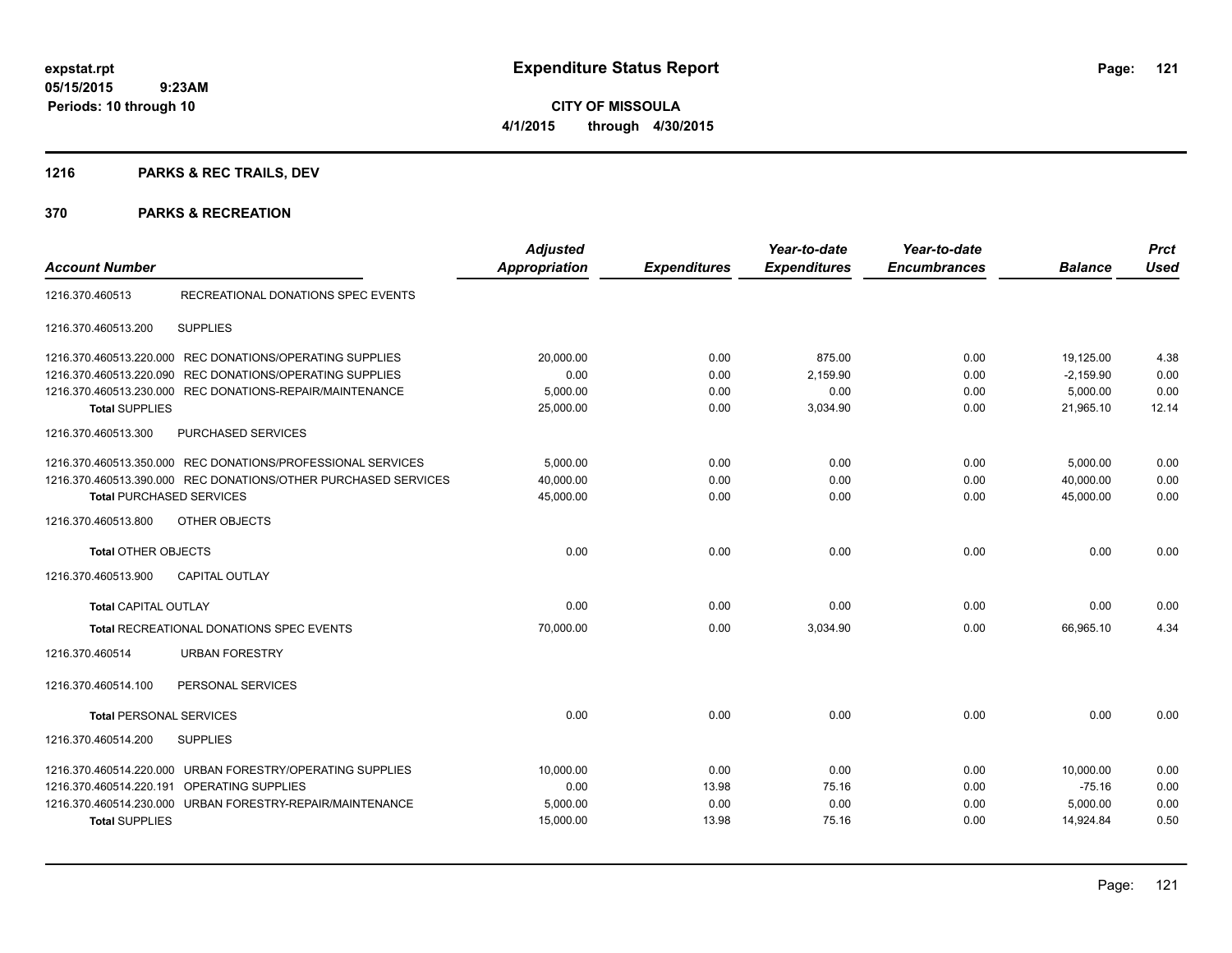## **1216 PARKS & REC TRAILS, DEV**

| <b>Account Number</b>           |                                                                | <b>Adjusted</b><br><b>Appropriation</b> | <b>Expenditures</b> | Year-to-date<br><b>Expenditures</b> | Year-to-date<br><b>Encumbrances</b> | <b>Balance</b> | <b>Prct</b><br><b>Used</b> |
|---------------------------------|----------------------------------------------------------------|-----------------------------------------|---------------------|-------------------------------------|-------------------------------------|----------------|----------------------------|
| 1216.370.460513                 | RECREATIONAL DONATIONS SPEC EVENTS                             |                                         |                     |                                     |                                     |                |                            |
| 1216.370.460513.200             | <b>SUPPLIES</b>                                                |                                         |                     |                                     |                                     |                |                            |
| 1216.370.460513.220.000         | REC DONATIONS/OPERATING SUPPLIES                               | 20,000.00                               | 0.00                | 875.00                              | 0.00                                | 19,125.00      | 4.38                       |
| 1216.370.460513.220.090         | REC DONATIONS/OPERATING SUPPLIES                               | 0.00                                    | 0.00                | 2,159.90                            | 0.00                                | $-2,159.90$    | 0.00                       |
|                                 | 1216.370.460513.230.000 REC DONATIONS-REPAIR/MAINTENANCE       | 5,000.00                                | 0.00                | 0.00                                | 0.00                                | 5,000.00       | 0.00                       |
| <b>Total SUPPLIES</b>           |                                                                | 25,000.00                               | 0.00                | 3,034.90                            | 0.00                                | 21,965.10      | 12.14                      |
| 1216.370.460513.300             | PURCHASED SERVICES                                             |                                         |                     |                                     |                                     |                |                            |
|                                 | 1216.370.460513.350.000 REC DONATIONS/PROFESSIONAL SERVICES    | 5,000.00                                | 0.00                | 0.00                                | 0.00                                | 5,000.00       | 0.00                       |
|                                 | 1216.370.460513.390.000 REC DONATIONS/OTHER PURCHASED SERVICES | 40,000.00                               | 0.00                | 0.00                                | 0.00                                | 40,000.00      | 0.00                       |
| <b>Total PURCHASED SERVICES</b> |                                                                | 45,000.00                               | 0.00                | 0.00                                | 0.00                                | 45,000.00      | 0.00                       |
| 1216.370.460513.800             | OTHER OBJECTS                                                  |                                         |                     |                                     |                                     |                |                            |
| <b>Total OTHER OBJECTS</b>      |                                                                | 0.00                                    | 0.00                | 0.00                                | 0.00                                | 0.00           | 0.00                       |
| 1216.370.460513.900             | <b>CAPITAL OUTLAY</b>                                          |                                         |                     |                                     |                                     |                |                            |
| <b>Total CAPITAL OUTLAY</b>     |                                                                | 0.00                                    | 0.00                | 0.00                                | 0.00                                | 0.00           | 0.00                       |
|                                 | <b>Total RECREATIONAL DONATIONS SPEC EVENTS</b>                | 70,000.00                               | 0.00                | 3,034.90                            | 0.00                                | 66,965.10      | 4.34                       |
| 1216.370.460514                 | <b>URBAN FORESTRY</b>                                          |                                         |                     |                                     |                                     |                |                            |
| 1216.370.460514.100             | PERSONAL SERVICES                                              |                                         |                     |                                     |                                     |                |                            |
| <b>Total PERSONAL SERVICES</b>  |                                                                | 0.00                                    | 0.00                | 0.00                                | 0.00                                | 0.00           | 0.00                       |
| 1216.370.460514.200             | <b>SUPPLIES</b>                                                |                                         |                     |                                     |                                     |                |                            |
| 1216.370.460514.220.000         | URBAN FORESTRY/OPERATING SUPPLIES                              | 10,000.00                               | 0.00                | 0.00                                | 0.00                                | 10,000.00      | 0.00                       |
| 1216.370.460514.220.191         | OPERATING SUPPLIES                                             | 0.00                                    | 13.98               | 75.16                               | 0.00                                | $-75.16$       | 0.00                       |
|                                 | 1216.370.460514.230.000 URBAN FORESTRY-REPAIR/MAINTENANCE      | 5,000.00                                | 0.00                | 0.00                                | 0.00                                | 5,000.00       | 0.00                       |
| <b>Total SUPPLIES</b>           |                                                                | 15,000.00                               | 13.98               | 75.16                               | 0.00                                | 14,924.84      | 0.50                       |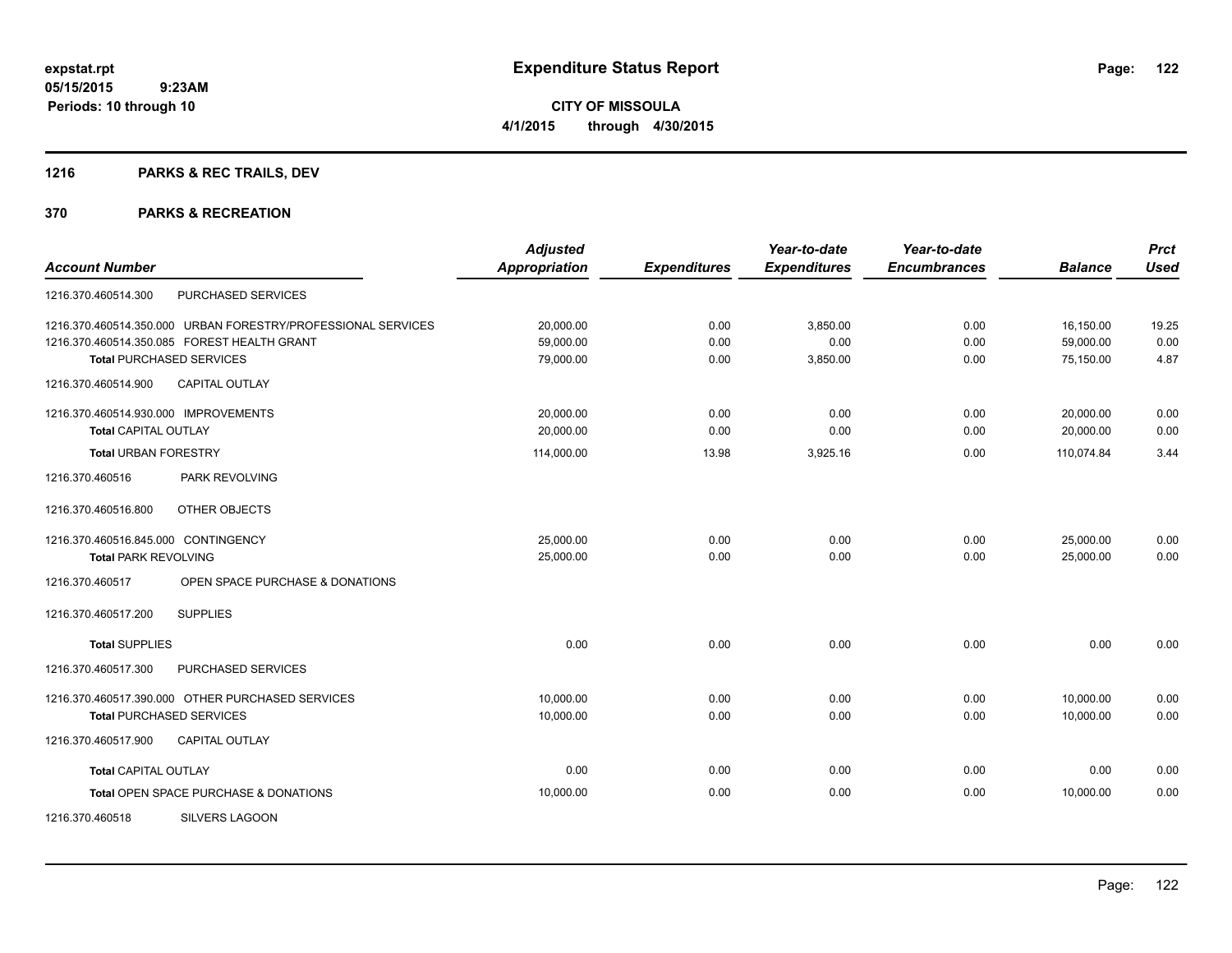## **1216 PARKS & REC TRAILS, DEV**

|                                      |                                                              | <b>Adjusted</b>      |                     | Year-to-date        | Year-to-date        |                | <b>Prct</b> |
|--------------------------------------|--------------------------------------------------------------|----------------------|---------------------|---------------------|---------------------|----------------|-------------|
| <b>Account Number</b>                |                                                              | <b>Appropriation</b> | <b>Expenditures</b> | <b>Expenditures</b> | <b>Encumbrances</b> | <b>Balance</b> | <b>Used</b> |
| 1216.370.460514.300                  | PURCHASED SERVICES                                           |                      |                     |                     |                     |                |             |
|                                      | 1216.370.460514.350.000 URBAN FORESTRY/PROFESSIONAL SERVICES | 20,000.00            | 0.00                | 3,850.00            | 0.00                | 16,150.00      | 19.25       |
|                                      | 1216.370.460514.350.085 FOREST HEALTH GRANT                  | 59,000.00            | 0.00                | 0.00                | 0.00                | 59,000.00      | 0.00        |
|                                      | <b>Total PURCHASED SERVICES</b>                              | 79,000.00            | 0.00                | 3,850.00            | 0.00                | 75,150.00      | 4.87        |
| 1216.370.460514.900                  | <b>CAPITAL OUTLAY</b>                                        |                      |                     |                     |                     |                |             |
| 1216.370.460514.930.000 IMPROVEMENTS |                                                              | 20,000.00            | 0.00                | 0.00                | 0.00                | 20,000.00      | 0.00        |
| <b>Total CAPITAL OUTLAY</b>          |                                                              | 20,000.00            | 0.00                | 0.00                | 0.00                | 20,000.00      | 0.00        |
| <b>Total URBAN FORESTRY</b>          |                                                              | 114,000.00           | 13.98               | 3,925.16            | 0.00                | 110,074.84     | 3.44        |
| 1216.370.460516                      | PARK REVOLVING                                               |                      |                     |                     |                     |                |             |
| 1216.370.460516.800                  | OTHER OBJECTS                                                |                      |                     |                     |                     |                |             |
| 1216.370.460516.845.000 CONTINGENCY  |                                                              | 25,000.00            | 0.00                | 0.00                | 0.00                | 25,000.00      | 0.00        |
| <b>Total PARK REVOLVING</b>          |                                                              | 25,000.00            | 0.00                | 0.00                | 0.00                | 25,000.00      | 0.00        |
| 1216.370.460517                      | OPEN SPACE PURCHASE & DONATIONS                              |                      |                     |                     |                     |                |             |
| 1216.370.460517.200                  | <b>SUPPLIES</b>                                              |                      |                     |                     |                     |                |             |
| <b>Total SUPPLIES</b>                |                                                              | 0.00                 | 0.00                | 0.00                | 0.00                | 0.00           | 0.00        |
| 1216.370.460517.300                  | PURCHASED SERVICES                                           |                      |                     |                     |                     |                |             |
|                                      | 1216.370.460517.390.000 OTHER PURCHASED SERVICES             | 10,000.00            | 0.00                | 0.00                | 0.00                | 10,000.00      | 0.00        |
|                                      | <b>Total PURCHASED SERVICES</b>                              | 10,000.00            | 0.00                | 0.00                | 0.00                | 10,000.00      | 0.00        |
| 1216.370.460517.900                  | <b>CAPITAL OUTLAY</b>                                        |                      |                     |                     |                     |                |             |
| <b>Total CAPITAL OUTLAY</b>          |                                                              | 0.00                 | 0.00                | 0.00                | 0.00                | 0.00           | 0.00        |
|                                      | Total OPEN SPACE PURCHASE & DONATIONS                        | 10,000.00            | 0.00                | 0.00                | 0.00                | 10,000.00      | 0.00        |
| 1216.370.460518                      | SILVERS LAGOON                                               |                      |                     |                     |                     |                |             |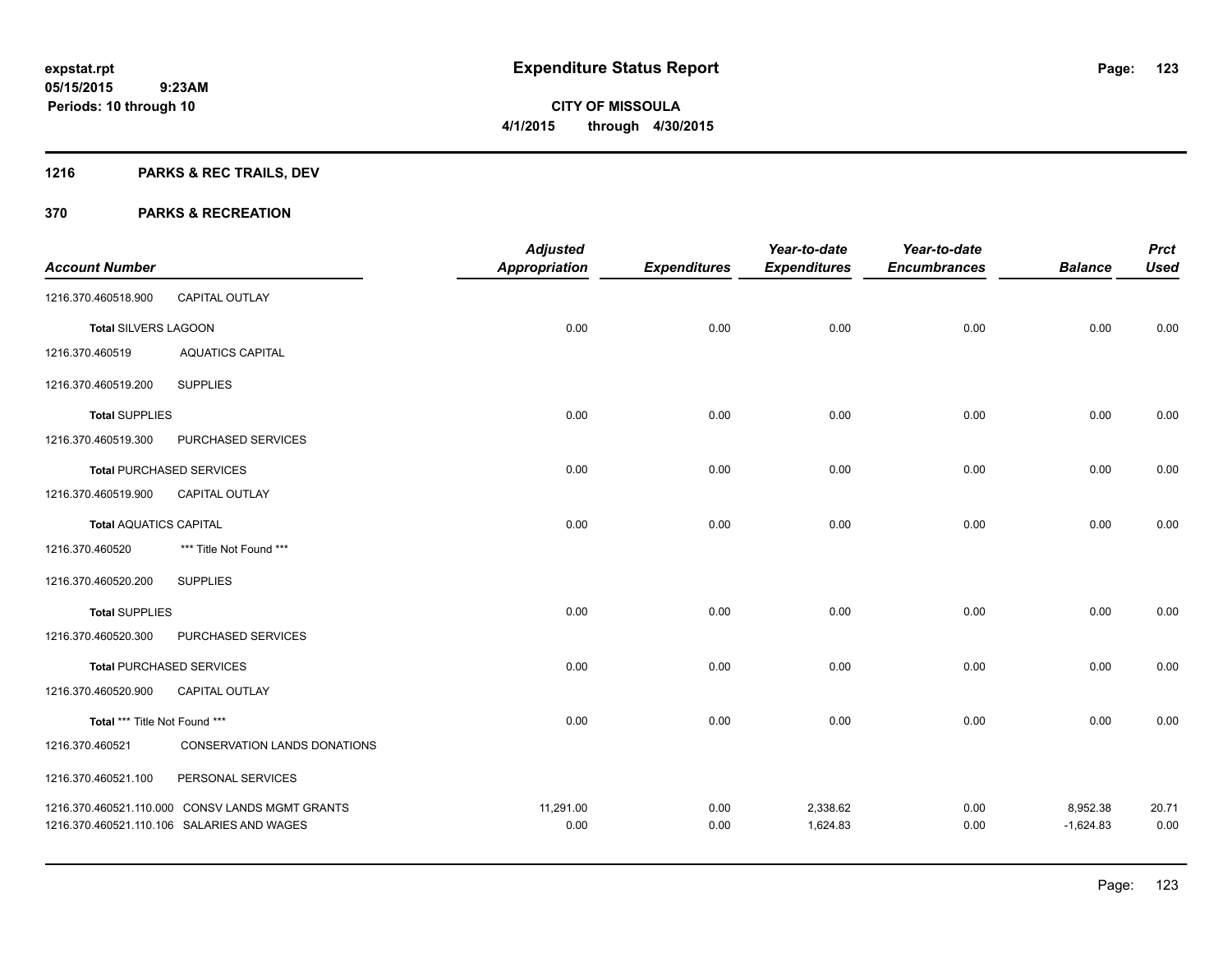## **1216 PARKS & REC TRAILS, DEV**

|                               |                                                 | <b>Adjusted</b>      |                     | Year-to-date        | Year-to-date        |                | <b>Prct</b> |
|-------------------------------|-------------------------------------------------|----------------------|---------------------|---------------------|---------------------|----------------|-------------|
| <b>Account Number</b>         |                                                 | <b>Appropriation</b> | <b>Expenditures</b> | <b>Expenditures</b> | <b>Encumbrances</b> | <b>Balance</b> | <b>Used</b> |
| 1216.370.460518.900           | CAPITAL OUTLAY                                  |                      |                     |                     |                     |                |             |
| Total SILVERS LAGOON          |                                                 | 0.00                 | 0.00                | 0.00                | 0.00                | 0.00           | 0.00        |
| 1216.370.460519               | <b>AQUATICS CAPITAL</b>                         |                      |                     |                     |                     |                |             |
| 1216.370.460519.200           | <b>SUPPLIES</b>                                 |                      |                     |                     |                     |                |             |
| <b>Total SUPPLIES</b>         |                                                 | 0.00                 | 0.00                | 0.00                | 0.00                | 0.00           | 0.00        |
| 1216.370.460519.300           | PURCHASED SERVICES                              |                      |                     |                     |                     |                |             |
|                               | <b>Total PURCHASED SERVICES</b>                 | 0.00                 | 0.00                | 0.00                | 0.00                | 0.00           | 0.00        |
| 1216.370.460519.900           | CAPITAL OUTLAY                                  |                      |                     |                     |                     |                |             |
| <b>Total AQUATICS CAPITAL</b> |                                                 | 0.00                 | 0.00                | 0.00                | 0.00                | 0.00           | 0.00        |
| 1216.370.460520               | *** Title Not Found ***                         |                      |                     |                     |                     |                |             |
| 1216.370.460520.200           | <b>SUPPLIES</b>                                 |                      |                     |                     |                     |                |             |
| <b>Total SUPPLIES</b>         |                                                 | 0.00                 | 0.00                | 0.00                | 0.00                | 0.00           | 0.00        |
| 1216.370.460520.300           | PURCHASED SERVICES                              |                      |                     |                     |                     |                |             |
|                               | <b>Total PURCHASED SERVICES</b>                 | 0.00                 | 0.00                | 0.00                | 0.00                | 0.00           | 0.00        |
| 1216.370.460520.900           | CAPITAL OUTLAY                                  |                      |                     |                     |                     |                |             |
| Total *** Title Not Found *** |                                                 | 0.00                 | 0.00                | 0.00                | 0.00                | 0.00           | 0.00        |
| 1216.370.460521               | CONSERVATION LANDS DONATIONS                    |                      |                     |                     |                     |                |             |
| 1216.370.460521.100           | PERSONAL SERVICES                               |                      |                     |                     |                     |                |             |
|                               | 1216.370.460521.110.000 CONSV LANDS MGMT GRANTS | 11,291.00            | 0.00                | 2,338.62            | 0.00                | 8,952.38       | 20.71       |
|                               | 1216.370.460521.110.106 SALARIES AND WAGES      | 0.00                 | 0.00                | 1,624.83            | 0.00                | $-1,624.83$    | 0.00        |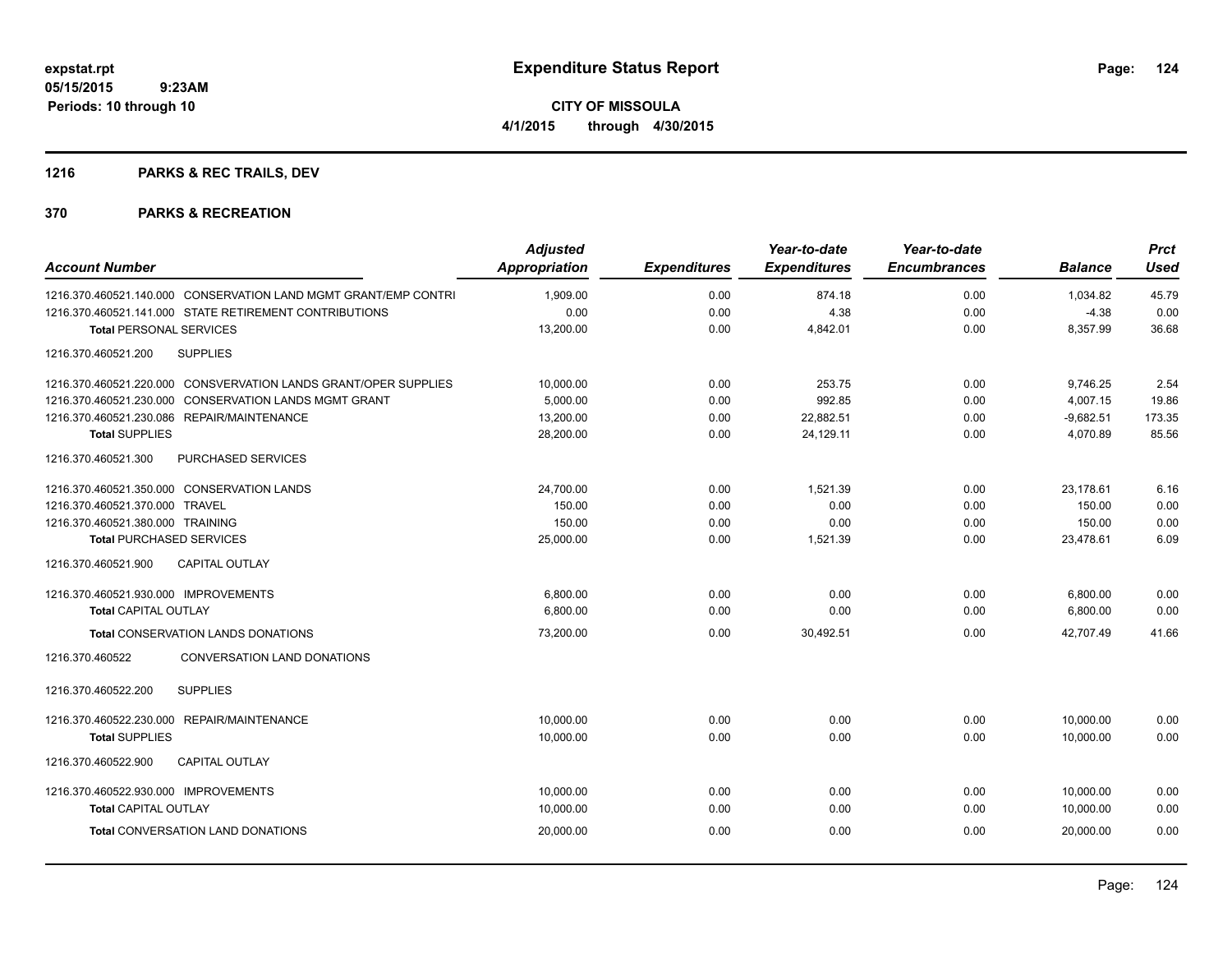## **1216 PARKS & REC TRAILS, DEV**

| <b>Account Number</b>                                           | <b>Adjusted</b><br><b>Appropriation</b> | <b>Expenditures</b> | Year-to-date<br><b>Expenditures</b> | Year-to-date<br><b>Encumbrances</b> | <b>Balance</b> | <b>Prct</b><br><b>Used</b> |
|-----------------------------------------------------------------|-----------------------------------------|---------------------|-------------------------------------|-------------------------------------|----------------|----------------------------|
| 1216.370.460521.140.000 CONSERVATION LAND MGMT GRANT/EMP CONTRI | 1,909.00                                | 0.00                | 874.18                              | 0.00                                | 1.034.82       | 45.79                      |
| 1216.370.460521.141.000 STATE RETIREMENT CONTRIBUTIONS          | 0.00                                    | 0.00                | 4.38                                | 0.00                                | $-4.38$        | 0.00                       |
| <b>Total PERSONAL SERVICES</b>                                  | 13,200.00                               | 0.00                | 4,842.01                            | 0.00                                | 8,357.99       | 36.68                      |
| 1216.370.460521.200<br><b>SUPPLIES</b>                          |                                         |                     |                                     |                                     |                |                            |
| 1216.370.460521.220.000 CONSVERVATION LANDS GRANT/OPER SUPPLIES | 10,000.00                               | 0.00                | 253.75                              | 0.00                                | 9,746.25       | 2.54                       |
| 1216.370.460521.230.000 CONSERVATION LANDS MGMT GRANT           | 5.000.00                                | 0.00                | 992.85                              | 0.00                                | 4,007.15       | 19.86                      |
| 1216.370.460521.230.086 REPAIR/MAINTENANCE                      | 13,200.00                               | 0.00                | 22,882.51                           | 0.00                                | $-9,682.51$    | 173.35                     |
| <b>Total SUPPLIES</b>                                           | 28,200.00                               | 0.00                | 24,129.11                           | 0.00                                | 4,070.89       | 85.56                      |
| <b>PURCHASED SERVICES</b><br>1216.370.460521.300                |                                         |                     |                                     |                                     |                |                            |
| 1216.370.460521.350.000 CONSERVATION LANDS                      | 24,700.00                               | 0.00                | 1,521.39                            | 0.00                                | 23,178.61      | 6.16                       |
| 1216.370.460521.370.000 TRAVEL                                  | 150.00                                  | 0.00                | 0.00                                | 0.00                                | 150.00         | 0.00                       |
| 1216.370.460521.380.000 TRAINING                                | 150.00                                  | 0.00                | 0.00                                | 0.00                                | 150.00         | 0.00                       |
| <b>Total PURCHASED SERVICES</b>                                 | 25,000.00                               | 0.00                | 1,521.39                            | 0.00                                | 23,478.61      | 6.09                       |
| 1216.370.460521.900<br><b>CAPITAL OUTLAY</b>                    |                                         |                     |                                     |                                     |                |                            |
| 1216.370.460521.930.000 IMPROVEMENTS                            | 6,800.00                                | 0.00                | 0.00                                | 0.00                                | 6,800.00       | 0.00                       |
| <b>Total CAPITAL OUTLAY</b>                                     | 6,800.00                                | 0.00                | 0.00                                | 0.00                                | 6,800.00       | 0.00                       |
| Total CONSERVATION LANDS DONATIONS                              | 73,200.00                               | 0.00                | 30,492.51                           | 0.00                                | 42.707.49      | 41.66                      |
| 1216.370.460522<br><b>CONVERSATION LAND DONATIONS</b>           |                                         |                     |                                     |                                     |                |                            |
| 1216.370.460522.200<br><b>SUPPLIES</b>                          |                                         |                     |                                     |                                     |                |                            |
| 1216.370.460522.230.000 REPAIR/MAINTENANCE                      | 10,000.00                               | 0.00                | 0.00                                | 0.00                                | 10,000.00      | 0.00                       |
| <b>Total SUPPLIES</b>                                           | 10,000.00                               | 0.00                | 0.00                                | 0.00                                | 10,000.00      | 0.00                       |
| <b>CAPITAL OUTLAY</b><br>1216.370.460522.900                    |                                         |                     |                                     |                                     |                |                            |
| 1216.370.460522.930.000 IMPROVEMENTS                            | 10,000.00                               | 0.00                | 0.00                                | 0.00                                | 10,000.00      | 0.00                       |
| <b>Total CAPITAL OUTLAY</b>                                     | 10,000.00                               | 0.00                | 0.00                                | 0.00                                | 10,000.00      | 0.00                       |
| Total CONVERSATION LAND DONATIONS                               | 20,000.00                               | 0.00                | 0.00                                | 0.00                                | 20,000.00      | 0.00                       |
|                                                                 |                                         |                     |                                     |                                     |                |                            |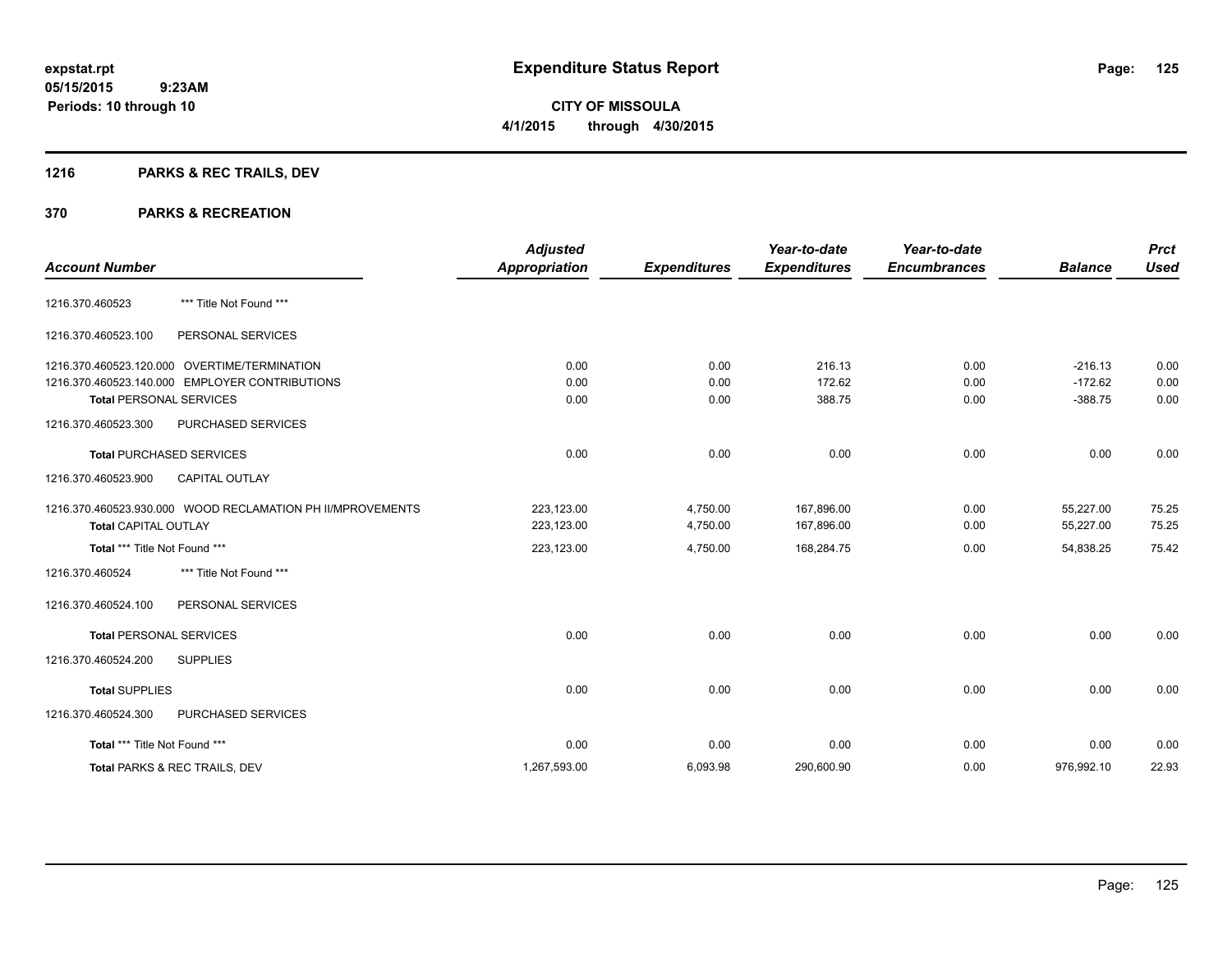## **1216 PARKS & REC TRAILS, DEV**

| <b>Account Number</b>          |                                                            | <b>Adjusted</b><br><b>Appropriation</b> | <b>Expenditures</b> | Year-to-date<br><b>Expenditures</b> | Year-to-date<br><b>Encumbrances</b> | <b>Balance</b> | <b>Prct</b><br><b>Used</b> |
|--------------------------------|------------------------------------------------------------|-----------------------------------------|---------------------|-------------------------------------|-------------------------------------|----------------|----------------------------|
|                                |                                                            |                                         |                     |                                     |                                     |                |                            |
| 1216.370.460523                | *** Title Not Found ***                                    |                                         |                     |                                     |                                     |                |                            |
| 1216.370.460523.100            | PERSONAL SERVICES                                          |                                         |                     |                                     |                                     |                |                            |
|                                | 1216.370.460523.120.000 OVERTIME/TERMINATION               | 0.00                                    | 0.00                | 216.13                              | 0.00                                | $-216.13$      | 0.00                       |
|                                | 1216.370.460523.140.000 EMPLOYER CONTRIBUTIONS             | 0.00                                    | 0.00                | 172.62                              | 0.00                                | $-172.62$      | 0.00                       |
| <b>Total PERSONAL SERVICES</b> |                                                            | 0.00                                    | 0.00                | 388.75                              | 0.00                                | $-388.75$      | 0.00                       |
| 1216.370.460523.300            | PURCHASED SERVICES                                         |                                         |                     |                                     |                                     |                |                            |
|                                | <b>Total PURCHASED SERVICES</b>                            | 0.00                                    | 0.00                | 0.00                                | 0.00                                | 0.00           | 0.00                       |
| 1216.370.460523.900            | <b>CAPITAL OUTLAY</b>                                      |                                         |                     |                                     |                                     |                |                            |
|                                | 1216.370.460523.930.000 WOOD RECLAMATION PH II/MPROVEMENTS | 223,123.00                              | 4,750.00            | 167,896.00                          | 0.00                                | 55,227.00      | 75.25                      |
| <b>Total CAPITAL OUTLAY</b>    |                                                            | 223,123.00                              | 4,750.00            | 167,896.00                          | 0.00                                | 55,227.00      | 75.25                      |
| Total *** Title Not Found ***  |                                                            | 223,123.00                              | 4,750.00            | 168,284.75                          | 0.00                                | 54,838.25      | 75.42                      |
| 1216.370.460524                | *** Title Not Found ***                                    |                                         |                     |                                     |                                     |                |                            |
| 1216.370.460524.100            | PERSONAL SERVICES                                          |                                         |                     |                                     |                                     |                |                            |
| <b>Total PERSONAL SERVICES</b> |                                                            | 0.00                                    | 0.00                | 0.00                                | 0.00                                | 0.00           | 0.00                       |
| 1216.370.460524.200            | <b>SUPPLIES</b>                                            |                                         |                     |                                     |                                     |                |                            |
| <b>Total SUPPLIES</b>          |                                                            | 0.00                                    | 0.00                | 0.00                                | 0.00                                | 0.00           | 0.00                       |
| 1216.370.460524.300            | PURCHASED SERVICES                                         |                                         |                     |                                     |                                     |                |                            |
| Total *** Title Not Found ***  |                                                            | 0.00                                    | 0.00                | 0.00                                | 0.00                                | 0.00           | 0.00                       |
|                                | Total PARKS & REC TRAILS, DEV                              | 1,267,593.00                            | 6,093.98            | 290,600.90                          | 0.00                                | 976,992.10     | 22.93                      |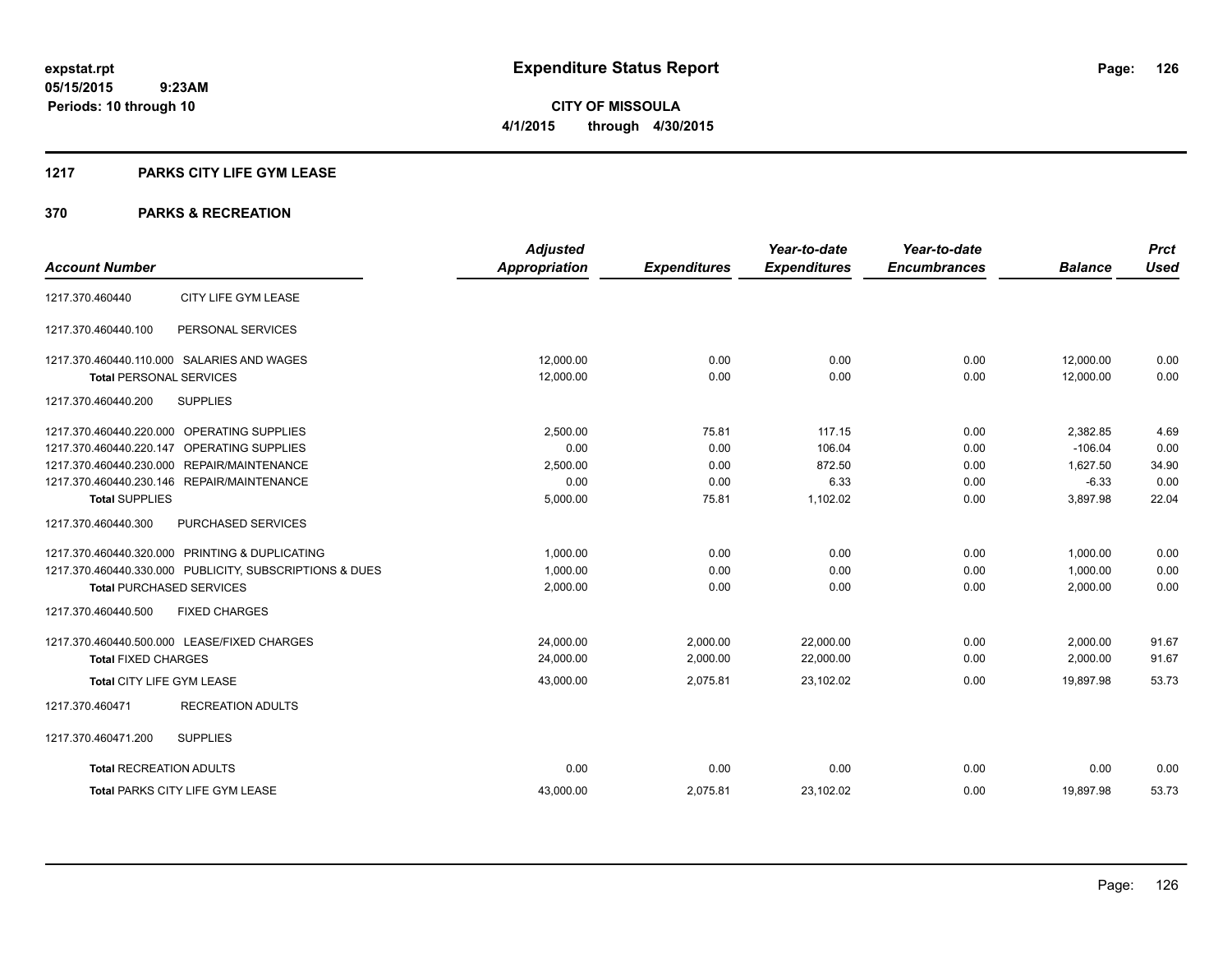### **1217 PARKS CITY LIFE GYM LEASE**

|                                                         | <b>Adjusted</b>      |                     | Year-to-date        | Year-to-date        |                | <b>Prct</b> |
|---------------------------------------------------------|----------------------|---------------------|---------------------|---------------------|----------------|-------------|
| <b>Account Number</b>                                   | <b>Appropriation</b> | <b>Expenditures</b> | <b>Expenditures</b> | <b>Encumbrances</b> | <b>Balance</b> | <b>Used</b> |
| CITY LIFE GYM LEASE<br>1217.370.460440                  |                      |                     |                     |                     |                |             |
| PERSONAL SERVICES<br>1217.370.460440.100                |                      |                     |                     |                     |                |             |
| 1217.370.460440.110.000 SALARIES AND WAGES              | 12,000.00            | 0.00                | 0.00                | 0.00                | 12,000.00      | 0.00        |
| <b>Total PERSONAL SERVICES</b>                          | 12,000.00            | 0.00                | 0.00                | 0.00                | 12,000.00      | 0.00        |
| 1217.370.460440.200<br><b>SUPPLIES</b>                  |                      |                     |                     |                     |                |             |
| 1217.370.460440.220.000 OPERATING SUPPLIES              | 2,500.00             | 75.81               | 117.15              | 0.00                | 2,382.85       | 4.69        |
| 1217.370.460440.220.147 OPERATING SUPPLIES              | 0.00                 | 0.00                | 106.04              | 0.00                | $-106.04$      | 0.00        |
| 1217.370.460440.230.000 REPAIR/MAINTENANCE              | 2,500.00             | 0.00                | 872.50              | 0.00                | 1,627.50       | 34.90       |
| 1217.370.460440.230.146 REPAIR/MAINTENANCE              | 0.00                 | 0.00                | 6.33                | 0.00                | $-6.33$        | 0.00        |
| <b>Total SUPPLIES</b>                                   | 5,000.00             | 75.81               | 1,102.02            | 0.00                | 3.897.98       | 22.04       |
| 1217.370.460440.300<br>PURCHASED SERVICES               |                      |                     |                     |                     |                |             |
| 1217.370.460440.320.000 PRINTING & DUPLICATING          | 1,000.00             | 0.00                | 0.00                | 0.00                | 1,000.00       | 0.00        |
| 1217.370.460440.330.000 PUBLICITY, SUBSCRIPTIONS & DUES | 1,000.00             | 0.00                | 0.00                | 0.00                | 1,000.00       | 0.00        |
| <b>Total PURCHASED SERVICES</b>                         | 2,000.00             | 0.00                | 0.00                | 0.00                | 2,000.00       | 0.00        |
| 1217.370.460440.500<br><b>FIXED CHARGES</b>             |                      |                     |                     |                     |                |             |
| 1217.370.460440.500.000 LEASE/FIXED CHARGES             | 24,000.00            | 2,000.00            | 22,000.00           | 0.00                | 2,000.00       | 91.67       |
| <b>Total FIXED CHARGES</b>                              | 24,000.00            | 2,000.00            | 22,000.00           | 0.00                | 2,000.00       | 91.67       |
| Total CITY LIFE GYM LEASE                               | 43,000.00            | 2,075.81            | 23,102.02           | 0.00                | 19.897.98      | 53.73       |
| <b>RECREATION ADULTS</b><br>1217.370.460471             |                      |                     |                     |                     |                |             |
| 1217.370.460471.200<br><b>SUPPLIES</b>                  |                      |                     |                     |                     |                |             |
| <b>Total RECREATION ADULTS</b>                          | 0.00                 | 0.00                | 0.00                | 0.00                | 0.00           | 0.00        |
| <b>Total PARKS CITY LIFE GYM LEASE</b>                  | 43,000.00            | 2,075.81            | 23,102.02           | 0.00                | 19,897.98      | 53.73       |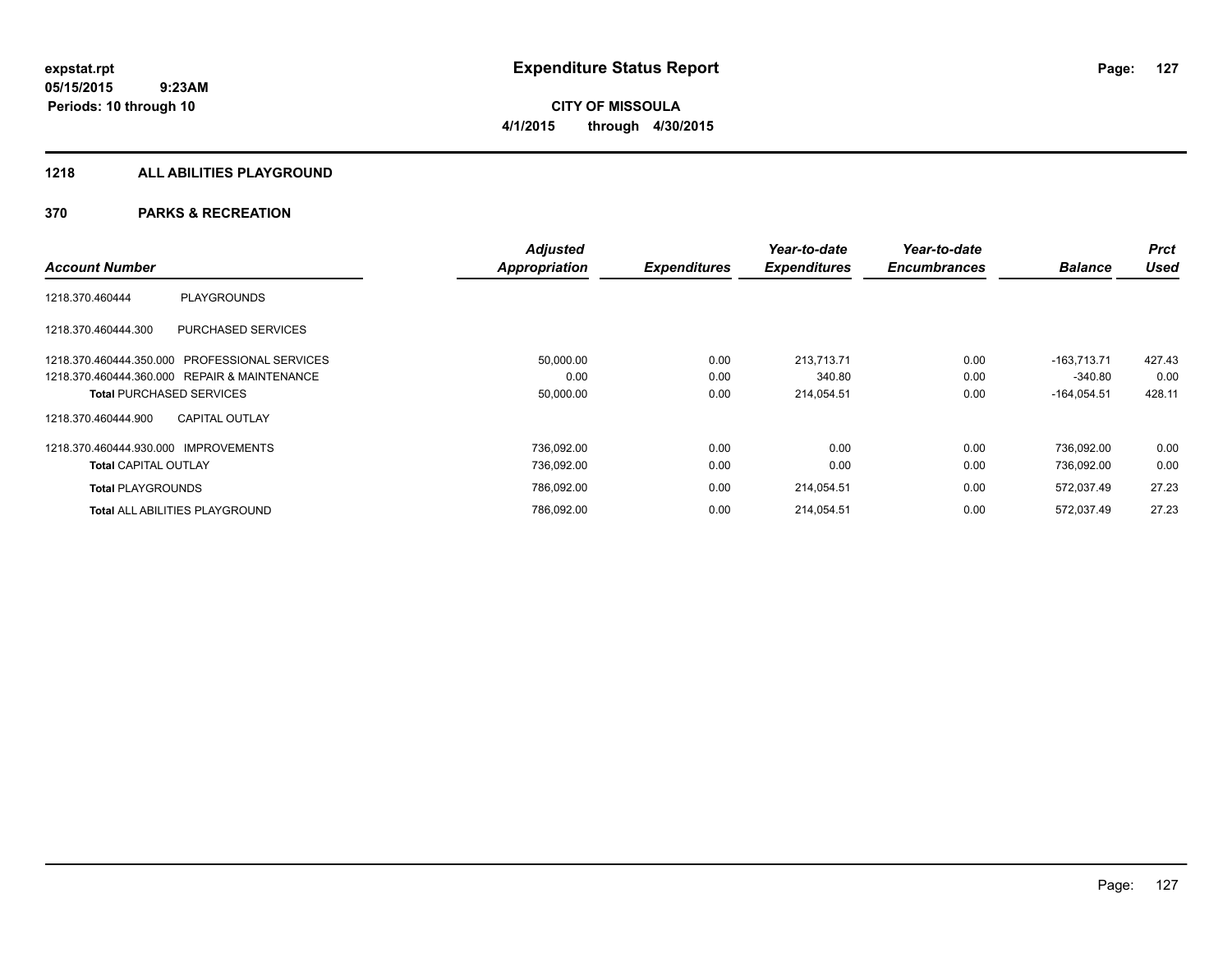**CITY OF MISSOULA 4/1/2015 through 4/30/2015**

#### **1218 ALL ABILITIES PLAYGROUND**

|                                                | <b>Adjusted</b> |                     | Year-to-date        | Year-to-date        |                | <b>Prct</b> |
|------------------------------------------------|-----------------|---------------------|---------------------|---------------------|----------------|-------------|
| <b>Account Number</b>                          | Appropriation   | <b>Expenditures</b> | <b>Expenditures</b> | <b>Encumbrances</b> | <b>Balance</b> | <b>Used</b> |
| <b>PLAYGROUNDS</b><br>1218.370.460444          |                 |                     |                     |                     |                |             |
| PURCHASED SERVICES<br>1218.370.460444.300      |                 |                     |                     |                     |                |             |
| 1218.370.460444.350.000 PROFESSIONAL SERVICES  | 50,000.00       | 0.00                | 213.713.71          | 0.00                | $-163.713.71$  | 427.43      |
| 1218.370.460444.360.000 REPAIR & MAINTENANCE   | 0.00            | 0.00                | 340.80              | 0.00                | $-340.80$      | 0.00        |
| <b>Total PURCHASED SERVICES</b>                | 50,000.00       | 0.00                | 214,054.51          | 0.00                | $-164,054.51$  | 428.11      |
| <b>CAPITAL OUTLAY</b><br>1218.370.460444.900   |                 |                     |                     |                     |                |             |
| <b>IMPROVEMENTS</b><br>1218.370.460444.930.000 | 736,092.00      | 0.00                | 0.00                | 0.00                | 736.092.00     | 0.00        |
| <b>Total CAPITAL OUTLAY</b>                    | 736,092.00      | 0.00                | 0.00                | 0.00                | 736,092.00     | 0.00        |
| <b>Total PLAYGROUNDS</b>                       | 786,092.00      | 0.00                | 214,054.51          | 0.00                | 572,037.49     | 27.23       |
| <b>Total ALL ABILITIES PLAYGROUND</b>          | 786,092.00      | 0.00                | 214,054.51          | 0.00                | 572.037.49     | 27.23       |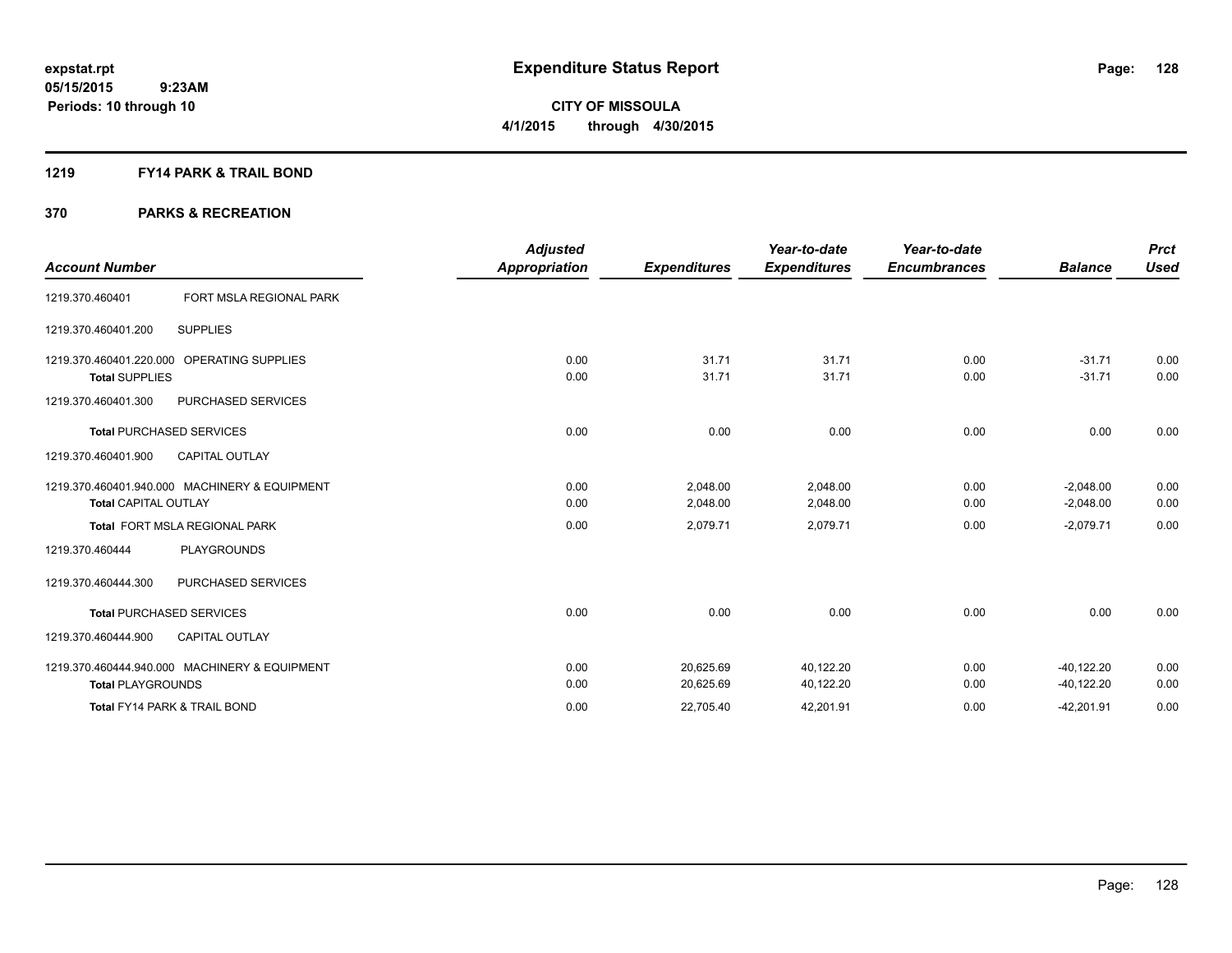#### **1219 FY14 PARK & TRAIL BOND**

| <b>Account Number</b>       |                                               | Adjusted<br><b>Appropriation</b> | <b>Expenditures</b> | Year-to-date<br><b>Expenditures</b> | Year-to-date<br><b>Encumbrances</b> | <b>Balance</b> | <b>Prct</b><br><b>Used</b> |
|-----------------------------|-----------------------------------------------|----------------------------------|---------------------|-------------------------------------|-------------------------------------|----------------|----------------------------|
| 1219.370.460401             | FORT MSLA REGIONAL PARK                       |                                  |                     |                                     |                                     |                |                            |
| 1219.370.460401.200         | <b>SUPPLIES</b>                               |                                  |                     |                                     |                                     |                |                            |
| 1219.370.460401.220.000     | <b>OPERATING SUPPLIES</b>                     | 0.00                             | 31.71               | 31.71                               | 0.00                                | $-31.71$       | 0.00                       |
| <b>Total SUPPLIES</b>       |                                               | 0.00                             | 31.71               | 31.71                               | 0.00                                | $-31.71$       | 0.00                       |
| 1219.370.460401.300         | PURCHASED SERVICES                            |                                  |                     |                                     |                                     |                |                            |
|                             | <b>Total PURCHASED SERVICES</b>               | 0.00                             | 0.00                | 0.00                                | 0.00                                | 0.00           | 0.00                       |
| 1219.370.460401.900         | <b>CAPITAL OUTLAY</b>                         |                                  |                     |                                     |                                     |                |                            |
|                             | 1219.370.460401.940.000 MACHINERY & EQUIPMENT | 0.00                             | 2,048.00            | 2,048.00                            | 0.00                                | $-2,048.00$    | 0.00                       |
| <b>Total CAPITAL OUTLAY</b> |                                               | 0.00                             | 2,048.00            | 2,048.00                            | 0.00                                | $-2,048.00$    | 0.00                       |
|                             | Total FORT MSLA REGIONAL PARK                 | 0.00                             | 2,079.71            | 2,079.71                            | 0.00                                | $-2,079.71$    | 0.00                       |
| 1219.370.460444             | <b>PLAYGROUNDS</b>                            |                                  |                     |                                     |                                     |                |                            |
| 1219.370.460444.300         | PURCHASED SERVICES                            |                                  |                     |                                     |                                     |                |                            |
|                             | <b>Total PURCHASED SERVICES</b>               | 0.00                             | 0.00                | 0.00                                | 0.00                                | 0.00           | 0.00                       |
| 1219.370.460444.900         | <b>CAPITAL OUTLAY</b>                         |                                  |                     |                                     |                                     |                |                            |
|                             | 1219.370.460444.940.000 MACHINERY & EQUIPMENT | 0.00                             | 20,625.69           | 40,122.20                           | 0.00                                | $-40, 122.20$  | 0.00                       |
| <b>Total PLAYGROUNDS</b>    |                                               | 0.00                             | 20,625.69           | 40,122.20                           | 0.00                                | $-40, 122.20$  | 0.00                       |
|                             | <b>Total FY14 PARK &amp; TRAIL BOND</b>       | 0.00                             | 22,705.40           | 42,201.91                           | 0.00                                | $-42,201.91$   | 0.00                       |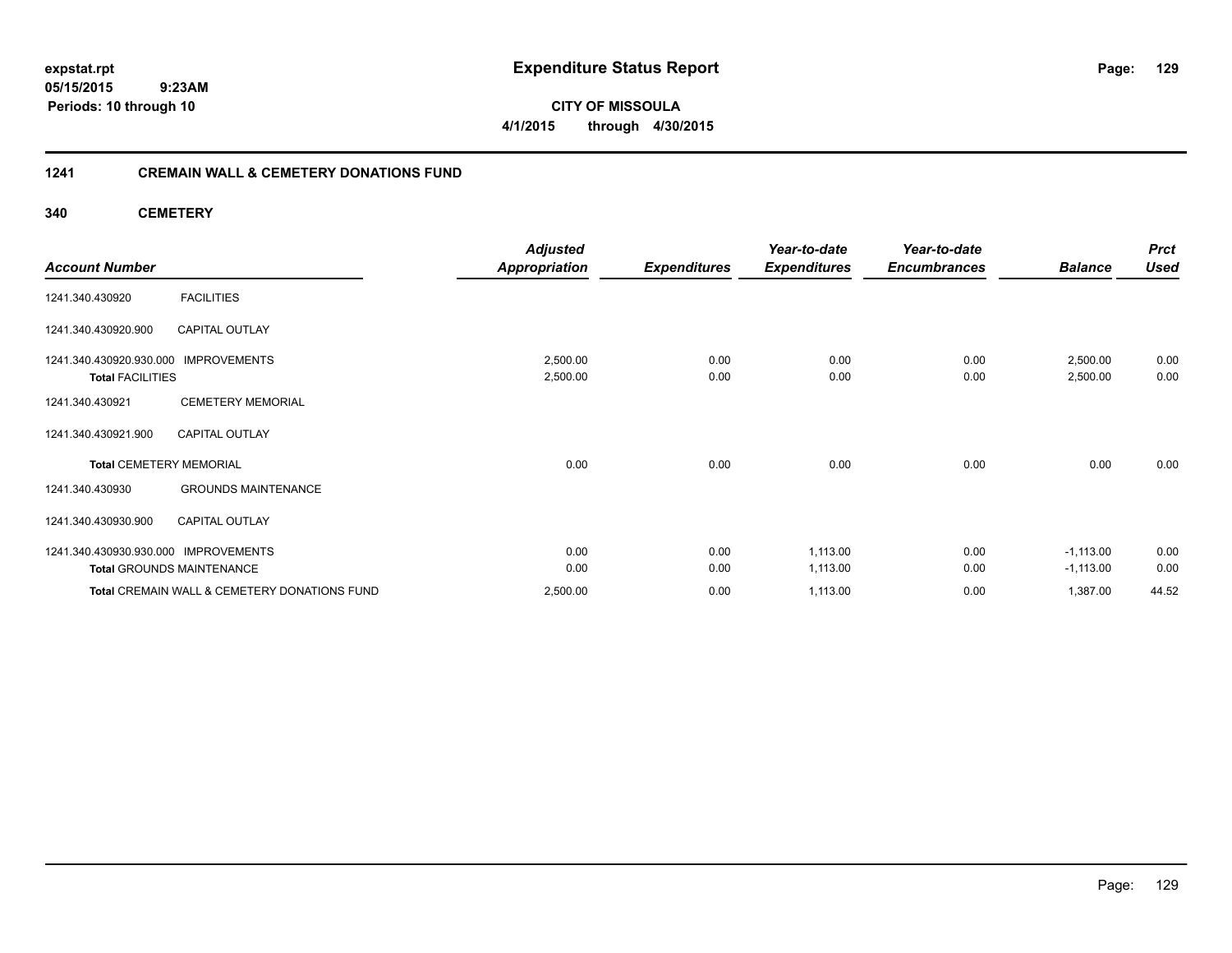**CITY OF MISSOULA 4/1/2015 through 4/30/2015**

### **1241 CREMAIN WALL & CEMETERY DONATIONS FUND**

**340 CEMETERY**

|                                      |                                              | <b>Adjusted</b>      |                     | Year-to-date        | Year-to-date        |                | <b>Prct</b> |
|--------------------------------------|----------------------------------------------|----------------------|---------------------|---------------------|---------------------|----------------|-------------|
| <b>Account Number</b>                |                                              | <b>Appropriation</b> | <b>Expenditures</b> | <b>Expenditures</b> | <b>Encumbrances</b> | <b>Balance</b> | <b>Used</b> |
| 1241.340.430920                      | <b>FACILITIES</b>                            |                      |                     |                     |                     |                |             |
| 1241.340.430920.900                  | <b>CAPITAL OUTLAY</b>                        |                      |                     |                     |                     |                |             |
| 1241.340.430920.930.000              | <b>IMPROVEMENTS</b>                          | 2,500.00             | 0.00                | 0.00                | 0.00                | 2,500.00       | 0.00        |
| <b>Total FACILITIES</b>              |                                              | 2,500.00             | 0.00                | 0.00                | 0.00                | 2,500.00       | 0.00        |
| 1241.340.430921                      | <b>CEMETERY MEMORIAL</b>                     |                      |                     |                     |                     |                |             |
| 1241.340.430921.900                  | <b>CAPITAL OUTLAY</b>                        |                      |                     |                     |                     |                |             |
| <b>Total CEMETERY MEMORIAL</b>       |                                              | 0.00                 | 0.00                | 0.00                | 0.00                | 0.00           | 0.00        |
| 1241.340.430930                      | <b>GROUNDS MAINTENANCE</b>                   |                      |                     |                     |                     |                |             |
| 1241.340.430930.900                  | <b>CAPITAL OUTLAY</b>                        |                      |                     |                     |                     |                |             |
| 1241.340.430930.930.000 IMPROVEMENTS |                                              | 0.00                 | 0.00                | 1,113.00            | 0.00                | $-1,113.00$    | 0.00        |
|                                      | <b>Total GROUNDS MAINTENANCE</b>             | 0.00                 | 0.00                | 1,113.00            | 0.00                | $-1,113.00$    | 0.00        |
|                                      | Total CREMAIN WALL & CEMETERY DONATIONS FUND | 2,500.00             | 0.00                | 1,113.00            | 0.00                | 1,387.00       | 44.52       |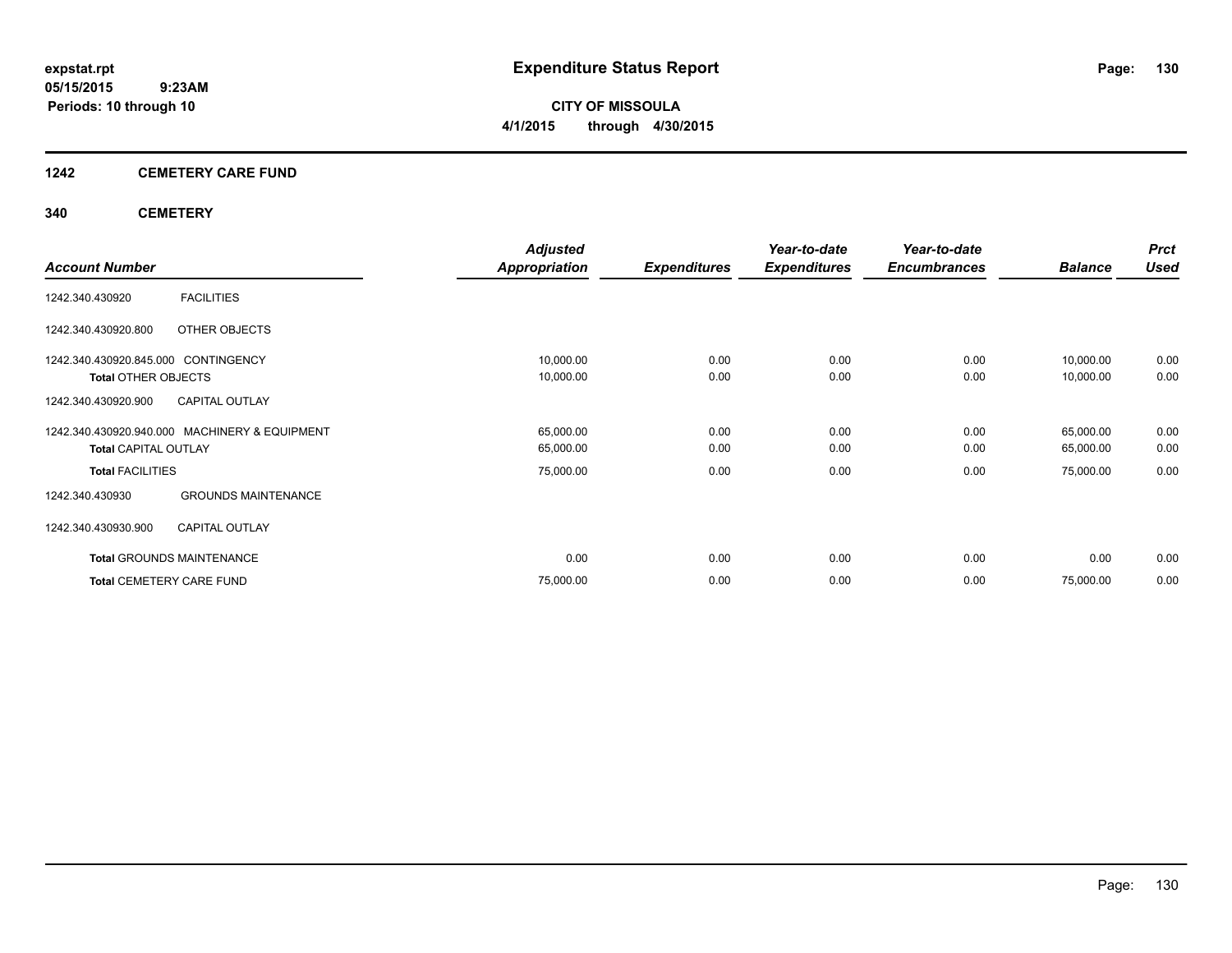**CITY OF MISSOULA 4/1/2015 through 4/30/2015**

### **1242 CEMETERY CARE FUND**

### **340 CEMETERY**

|                                               | <b>Adjusted</b> |                     | Year-to-date        | Year-to-date        |                | <b>Prct</b> |
|-----------------------------------------------|-----------------|---------------------|---------------------|---------------------|----------------|-------------|
| <b>Account Number</b>                         | Appropriation   | <b>Expenditures</b> | <b>Expenditures</b> | <b>Encumbrances</b> | <b>Balance</b> | <b>Used</b> |
| <b>FACILITIES</b><br>1242.340.430920          |                 |                     |                     |                     |                |             |
| OTHER OBJECTS<br>1242.340.430920.800          |                 |                     |                     |                     |                |             |
| 1242.340.430920.845.000 CONTINGENCY           | 10,000.00       | 0.00                | 0.00                | 0.00                | 10,000.00      | 0.00        |
| <b>Total OTHER OBJECTS</b>                    | 10,000.00       | 0.00                | 0.00                | 0.00                | 10,000.00      | 0.00        |
| <b>CAPITAL OUTLAY</b><br>1242.340.430920.900  |                 |                     |                     |                     |                |             |
| 1242.340.430920.940.000 MACHINERY & EQUIPMENT | 65,000.00       | 0.00                | 0.00                | 0.00                | 65,000.00      | 0.00        |
| <b>Total CAPITAL OUTLAY</b>                   | 65,000.00       | 0.00                | 0.00                | 0.00                | 65,000.00      | 0.00        |
| <b>Total FACILITIES</b>                       | 75,000.00       | 0.00                | 0.00                | 0.00                | 75,000.00      | 0.00        |
| <b>GROUNDS MAINTENANCE</b><br>1242.340.430930 |                 |                     |                     |                     |                |             |
| 1242.340.430930.900<br><b>CAPITAL OUTLAY</b>  |                 |                     |                     |                     |                |             |
| Total GROUNDS MAINTENANCE                     | 0.00            | 0.00                | 0.00                | 0.00                | 0.00           | 0.00        |
| <b>Total CEMETERY CARE FUND</b>               | 75,000.00       | 0.00                | 0.00                | 0.00                | 75,000.00      | 0.00        |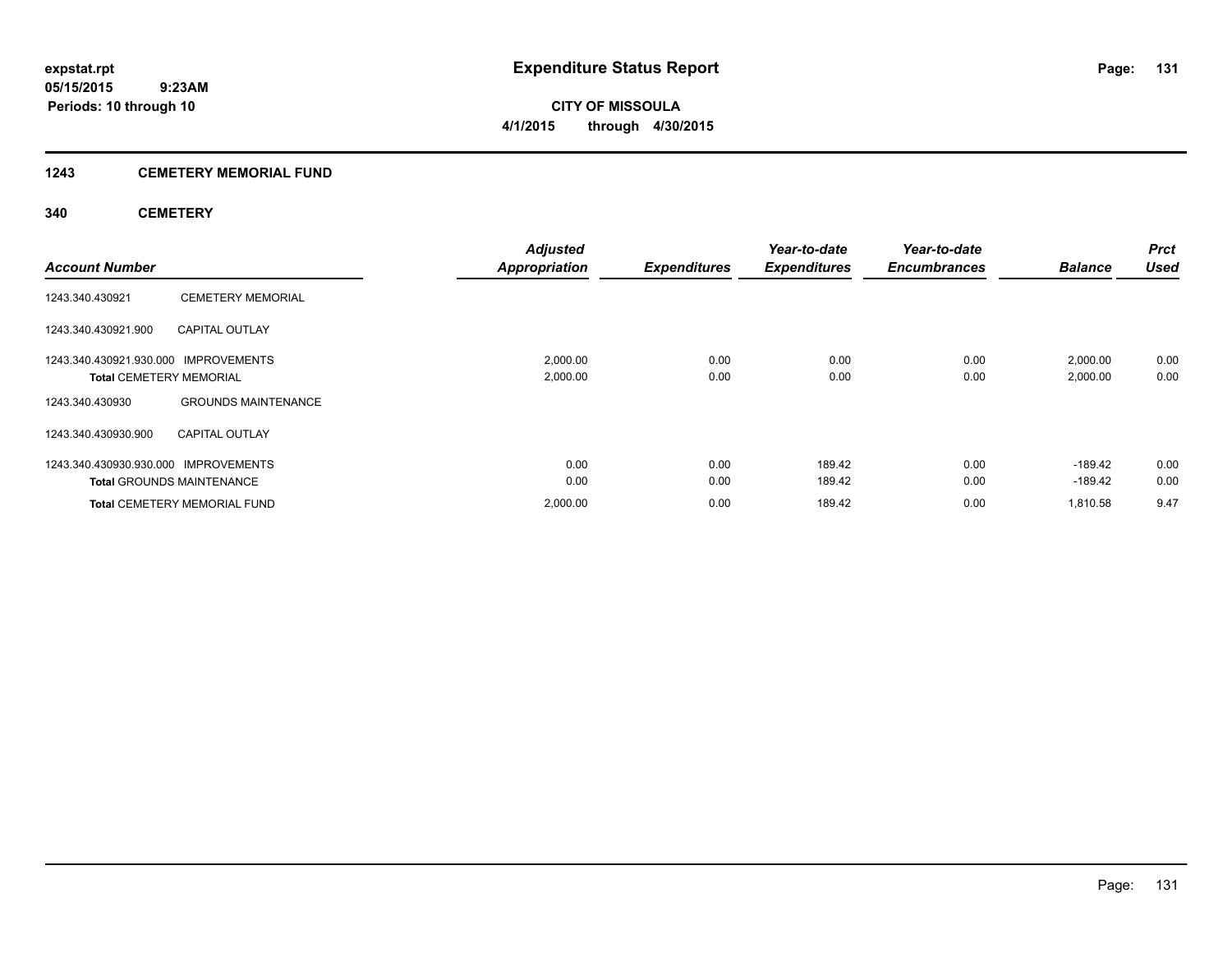**Periods: 10 through 10**

**CITY OF MISSOULA 4/1/2015 through 4/30/2015**

### **1243 CEMETERY MEMORIAL FUND**

 **9:23AM**

### **340 CEMETERY**

| <b>Account Number</b>                                                  |                                     | <b>Adjusted</b><br><b>Appropriation</b> | <b>Expenditures</b> | Year-to-date<br><b>Expenditures</b> | Year-to-date<br><b>Encumbrances</b> | <b>Balance</b>         | <b>Prct</b><br><b>Used</b> |
|------------------------------------------------------------------------|-------------------------------------|-----------------------------------------|---------------------|-------------------------------------|-------------------------------------|------------------------|----------------------------|
| 1243.340.430921                                                        | <b>CEMETERY MEMORIAL</b>            |                                         |                     |                                     |                                     |                        |                            |
| 1243.340.430921.900                                                    | <b>CAPITAL OUTLAY</b>               |                                         |                     |                                     |                                     |                        |                            |
| 1243.340.430921.930.000 IMPROVEMENTS<br><b>Total CEMETERY MEMORIAL</b> |                                     | 2,000.00<br>2,000.00                    | 0.00<br>0.00        | 0.00<br>0.00                        | 0.00<br>0.00                        | 2,000.00<br>2,000.00   | 0.00<br>0.00               |
| 1243.340.430930                                                        | <b>GROUNDS MAINTENANCE</b>          |                                         |                     |                                     |                                     |                        |                            |
| 1243.340.430930.900                                                    | <b>CAPITAL OUTLAY</b>               |                                         |                     |                                     |                                     |                        |                            |
| 1243.340.430930.930.000 IMPROVEMENTS                                   | <b>Total GROUNDS MAINTENANCE</b>    | 0.00<br>0.00                            | 0.00<br>0.00        | 189.42<br>189.42                    | 0.00<br>0.00                        | $-189.42$<br>$-189.42$ | 0.00<br>0.00               |
|                                                                        | <b>Total CEMETERY MEMORIAL FUND</b> | 2,000.00                                | 0.00                | 189.42                              | 0.00                                | 1.810.58               | 9.47                       |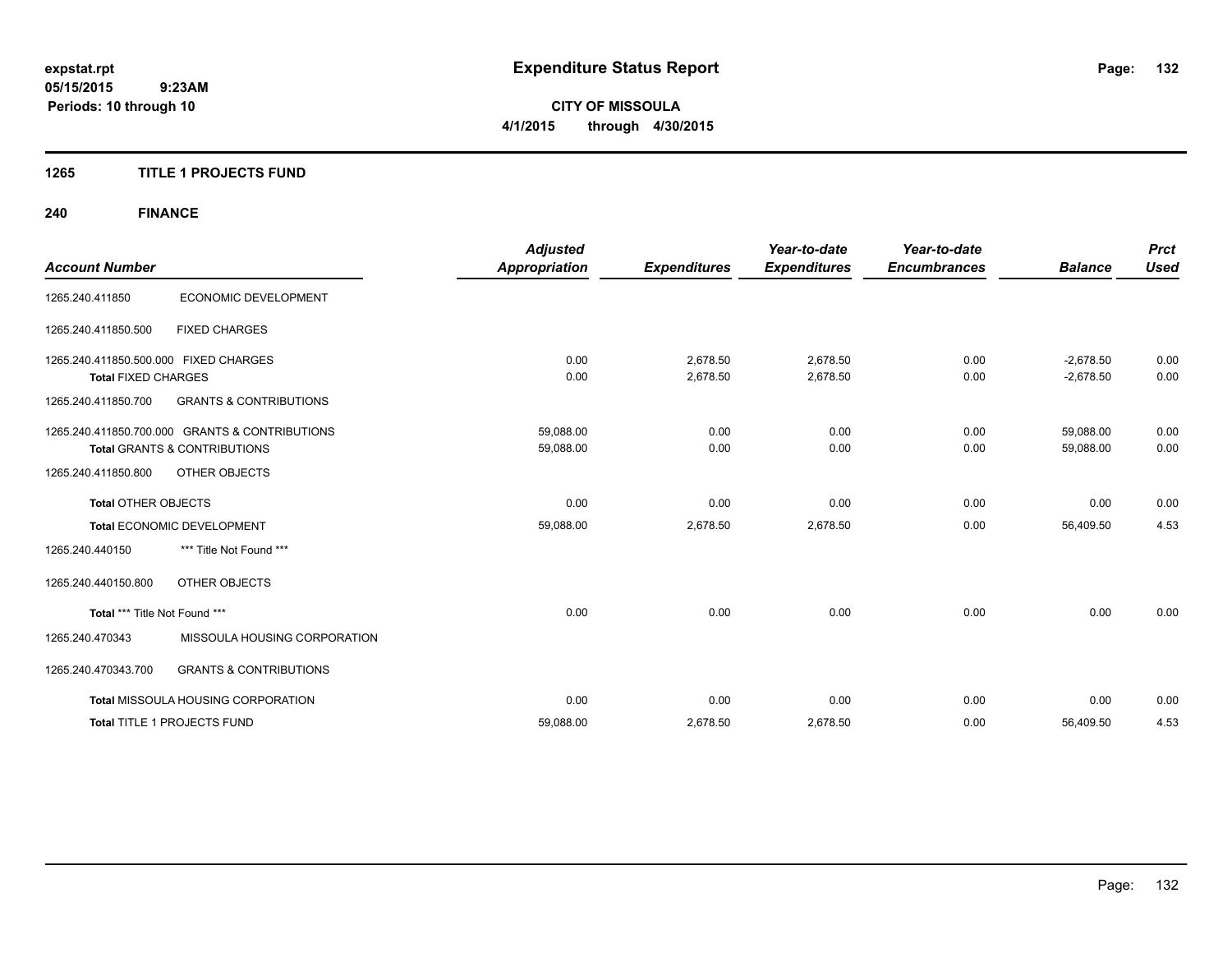**CITY OF MISSOULA 4/1/2015 through 4/30/2015**

### **1265 TITLE 1 PROJECTS FUND**

## **240 FINANCE**

| <b>Account Number</b>                 |                                                | <b>Adjusted</b><br><b>Appropriation</b> | <b>Expenditures</b> | Year-to-date<br><b>Expenditures</b> | Year-to-date<br><b>Encumbrances</b> | <b>Balance</b> | <b>Prct</b><br><b>Used</b> |
|---------------------------------------|------------------------------------------------|-----------------------------------------|---------------------|-------------------------------------|-------------------------------------|----------------|----------------------------|
| 1265.240.411850                       | <b>ECONOMIC DEVELOPMENT</b>                    |                                         |                     |                                     |                                     |                |                            |
| 1265.240.411850.500                   | <b>FIXED CHARGES</b>                           |                                         |                     |                                     |                                     |                |                            |
| 1265.240.411850.500.000 FIXED CHARGES |                                                | 0.00                                    | 2,678.50            | 2,678.50                            | 0.00                                | $-2,678.50$    | 0.00                       |
| <b>Total FIXED CHARGES</b>            |                                                | 0.00                                    | 2,678.50            | 2,678.50                            | 0.00                                | $-2,678.50$    | 0.00                       |
| 1265.240.411850.700                   | <b>GRANTS &amp; CONTRIBUTIONS</b>              |                                         |                     |                                     |                                     |                |                            |
|                                       | 1265.240.411850.700.000 GRANTS & CONTRIBUTIONS | 59,088.00                               | 0.00                | 0.00                                | 0.00                                | 59,088.00      | 0.00                       |
|                                       | Total GRANTS & CONTRIBUTIONS                   | 59,088.00                               | 0.00                | 0.00                                | 0.00                                | 59,088.00      | 0.00                       |
| 1265.240.411850.800                   | <b>OTHER OBJECTS</b>                           |                                         |                     |                                     |                                     |                |                            |
| <b>Total OTHER OBJECTS</b>            |                                                | 0.00                                    | 0.00                | 0.00                                | 0.00                                | 0.00           | 0.00                       |
|                                       | Total ECONOMIC DEVELOPMENT                     | 59,088.00                               | 2,678.50            | 2,678.50                            | 0.00                                | 56,409.50      | 4.53                       |
| 1265.240.440150                       | *** Title Not Found ***                        |                                         |                     |                                     |                                     |                |                            |
| 1265.240.440150.800                   | OTHER OBJECTS                                  |                                         |                     |                                     |                                     |                |                            |
| Total *** Title Not Found ***         |                                                | 0.00                                    | 0.00                | 0.00                                | 0.00                                | 0.00           | 0.00                       |
| 1265.240.470343                       | MISSOULA HOUSING CORPORATION                   |                                         |                     |                                     |                                     |                |                            |
| 1265.240.470343.700                   | <b>GRANTS &amp; CONTRIBUTIONS</b>              |                                         |                     |                                     |                                     |                |                            |
|                                       | Total MISSOULA HOUSING CORPORATION             | 0.00                                    | 0.00                | 0.00                                | 0.00                                | 0.00           | 0.00                       |
|                                       | Total TITLE 1 PROJECTS FUND                    | 59,088.00                               | 2,678.50            | 2,678.50                            | 0.00                                | 56,409.50      | 4.53                       |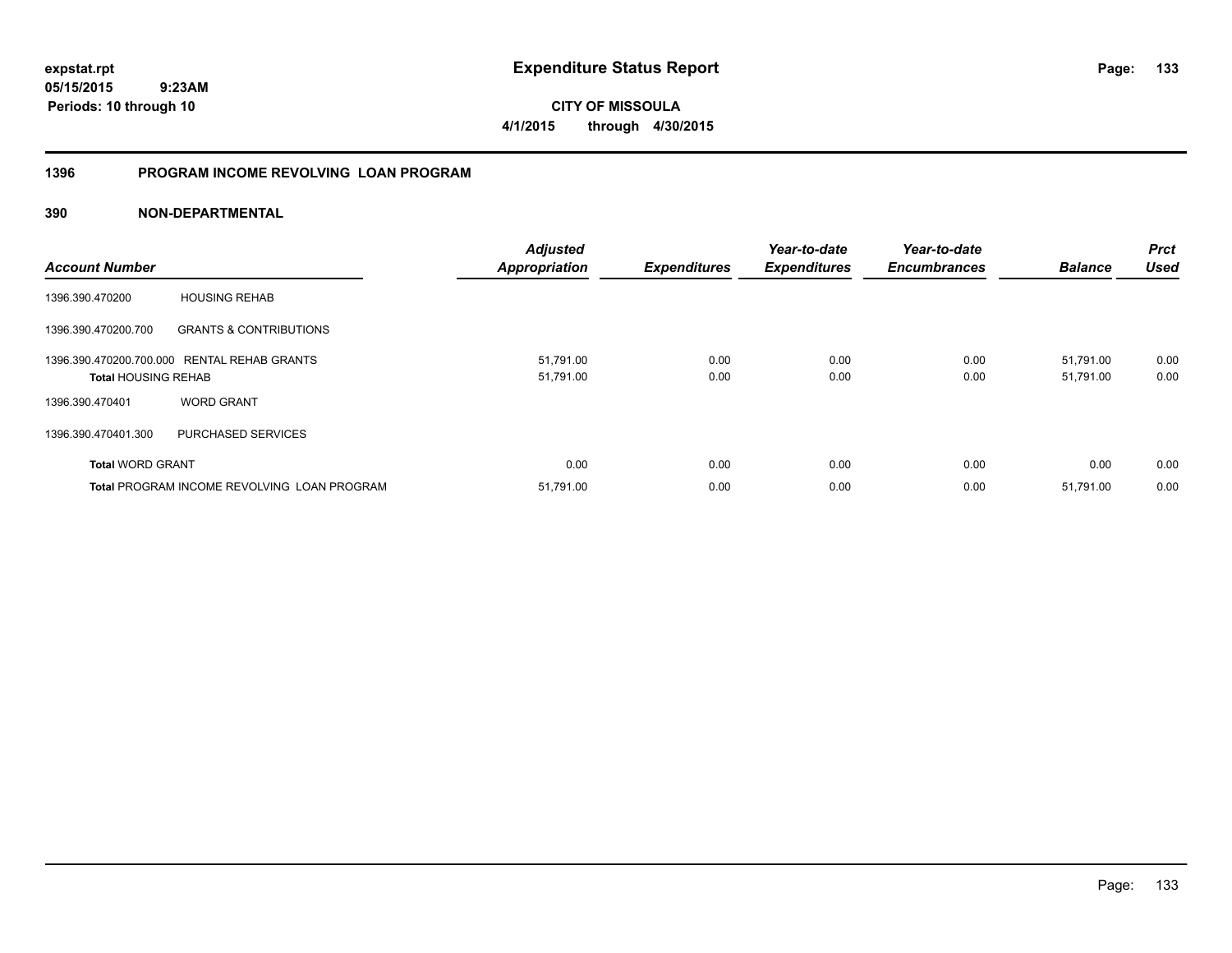**133**

**05/15/2015 9:23AM Periods: 10 through 10**

**CITY OF MISSOULA 4/1/2015 through 4/30/2015**

### **1396 PROGRAM INCOME REVOLVING LOAN PROGRAM**

### **390 NON-DEPARTMENTAL**

| <b>Account Number</b>      |                                             | <b>Adjusted</b><br><b>Appropriation</b> | <b>Expenditures</b> | Year-to-date<br><b>Expenditures</b> | Year-to-date<br><b>Encumbrances</b> | <b>Balance</b>         | <b>Prct</b><br><b>Used</b> |
|----------------------------|---------------------------------------------|-----------------------------------------|---------------------|-------------------------------------|-------------------------------------|------------------------|----------------------------|
| 1396.390.470200            | <b>HOUSING REHAB</b>                        |                                         |                     |                                     |                                     |                        |                            |
| 1396.390.470200.700        | <b>GRANTS &amp; CONTRIBUTIONS</b>           |                                         |                     |                                     |                                     |                        |                            |
| <b>Total HOUSING REHAB</b> | 1396.390.470200.700.000 RENTAL REHAB GRANTS | 51,791.00<br>51,791.00                  | 0.00<br>0.00        | 0.00<br>0.00                        | 0.00<br>0.00                        | 51.791.00<br>51,791.00 | 0.00<br>0.00               |
| 1396.390.470401            | <b>WORD GRANT</b>                           |                                         |                     |                                     |                                     |                        |                            |
| 1396.390.470401.300        | PURCHASED SERVICES                          |                                         |                     |                                     |                                     |                        |                            |
| <b>Total WORD GRANT</b>    |                                             | 0.00                                    | 0.00                | 0.00                                | 0.00                                | 0.00                   | 0.00                       |
|                            | Total PROGRAM INCOME REVOLVING LOAN PROGRAM | 51,791.00                               | 0.00                | 0.00                                | 0.00                                | 51,791.00              | 0.00                       |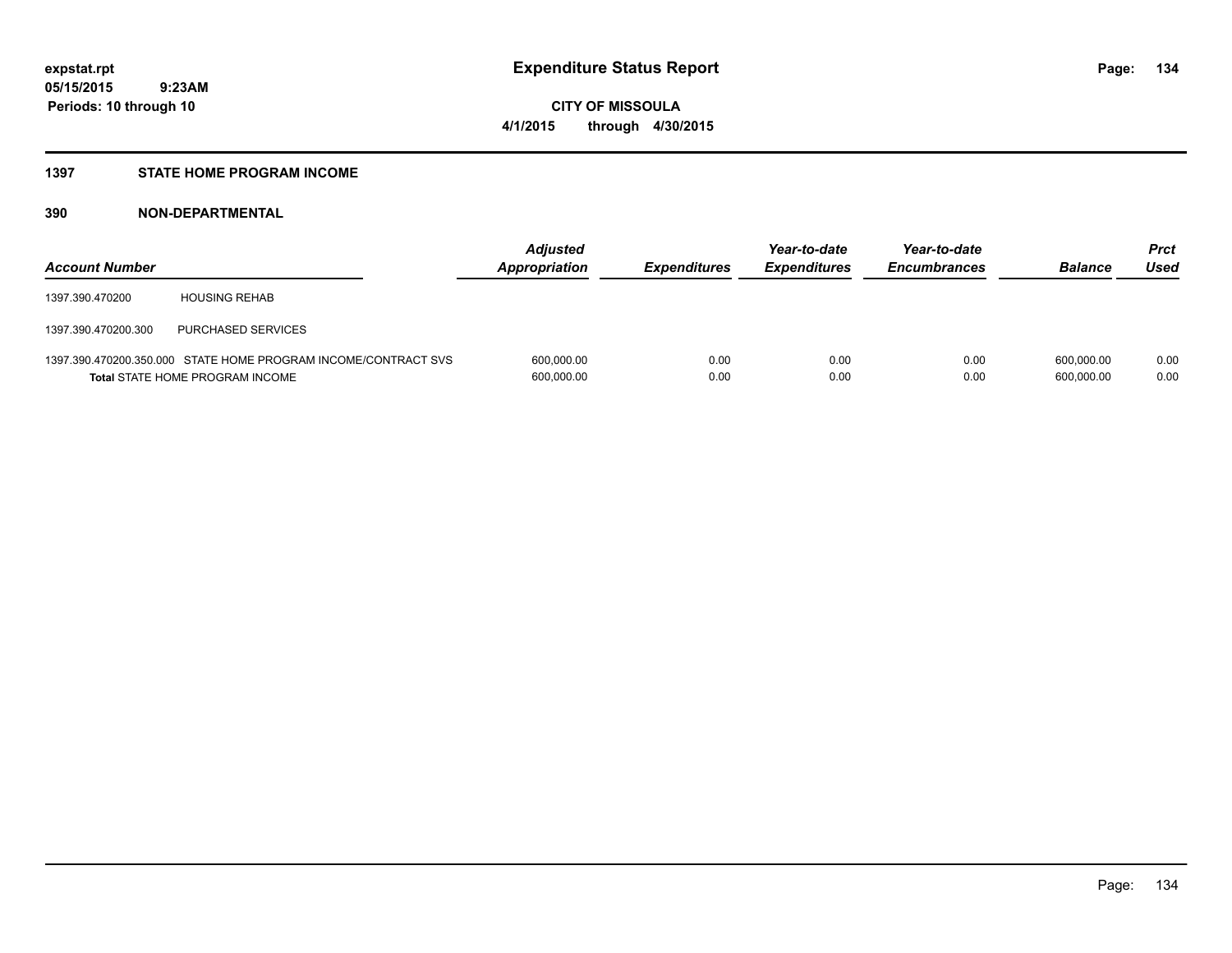### **1397 STATE HOME PROGRAM INCOME**

### **390 NON-DEPARTMENTAL**

| <b>Account Number</b> |                                                                                                   | <b>Adjusted</b><br>Appropriation | <b>Expenditures</b> | Year-to-date<br><b>Expenditures</b> | Year-to-date<br><b>Encumbrances</b> | <b>Balance</b>           | <b>Prct</b><br>Used |
|-----------------------|---------------------------------------------------------------------------------------------------|----------------------------------|---------------------|-------------------------------------|-------------------------------------|--------------------------|---------------------|
| 1397.390.470200       | <b>HOUSING REHAB</b>                                                                              |                                  |                     |                                     |                                     |                          |                     |
| 1397.390.470200.300   | PURCHASED SERVICES                                                                                |                                  |                     |                                     |                                     |                          |                     |
|                       | 1397.390.470200.350.000 STATE HOME PROGRAM INCOME/CONTRACT SVS<br>Total STATE HOME PROGRAM INCOME | 600,000.00<br>600,000.00         | 0.00<br>0.00        | 0.00<br>0.00                        | 0.00<br>0.00                        | 600.000.00<br>600,000.00 | 0.00<br>0.00        |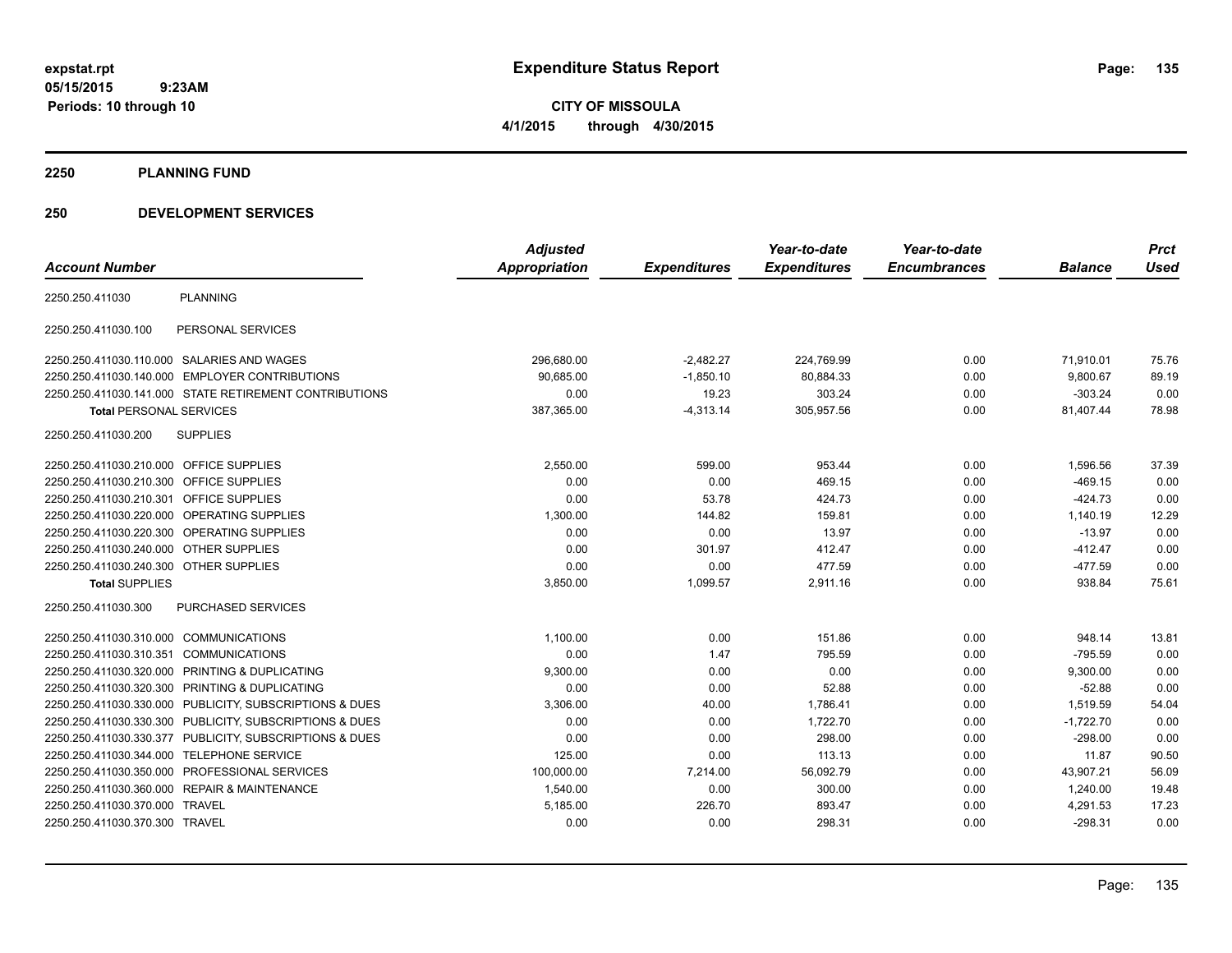**CITY OF MISSOULA 4/1/2015 through 4/30/2015**

**2250 PLANNING FUND**

### **250 DEVELOPMENT SERVICES**

|                                         |                                                         | <b>Adjusted</b>      |                     | Year-to-date        | Year-to-date        |                | <b>Prct</b> |
|-----------------------------------------|---------------------------------------------------------|----------------------|---------------------|---------------------|---------------------|----------------|-------------|
| <b>Account Number</b>                   |                                                         | <b>Appropriation</b> | <b>Expenditures</b> | <b>Expenditures</b> | <b>Encumbrances</b> | <b>Balance</b> | <b>Used</b> |
| 2250.250.411030                         | <b>PLANNING</b>                                         |                      |                     |                     |                     |                |             |
| 2250.250.411030.100                     | PERSONAL SERVICES                                       |                      |                     |                     |                     |                |             |
|                                         | 2250.250.411030.110.000 SALARIES AND WAGES              | 296,680.00           | $-2,482.27$         | 224,769.99          | 0.00                | 71,910.01      | 75.76       |
|                                         | 2250.250.411030.140.000 EMPLOYER CONTRIBUTIONS          | 90.685.00            | $-1,850.10$         | 80,884.33           | 0.00                | 9,800.67       | 89.19       |
|                                         | 2250.250.411030.141.000 STATE RETIREMENT CONTRIBUTIONS  | 0.00                 | 19.23               | 303.24              | 0.00                | $-303.24$      | 0.00        |
| <b>Total PERSONAL SERVICES</b>          |                                                         | 387,365.00           | $-4,313.14$         | 305,957.56          | 0.00                | 81,407.44      | 78.98       |
| 2250.250.411030.200                     | <b>SUPPLIES</b>                                         |                      |                     |                     |                     |                |             |
| 2250.250.411030.210.000 OFFICE SUPPLIES |                                                         | 2,550.00             | 599.00              | 953.44              | 0.00                | 1,596.56       | 37.39       |
| 2250.250.411030.210.300 OFFICE SUPPLIES |                                                         | 0.00                 | 0.00                | 469.15              | 0.00                | $-469.15$      | 0.00        |
| 2250.250.411030.210.301 OFFICE SUPPLIES |                                                         | 0.00                 | 53.78               | 424.73              | 0.00                | $-424.73$      | 0.00        |
|                                         | 2250.250.411030.220.000 OPERATING SUPPLIES              | 1,300.00             | 144.82              | 159.81              | 0.00                | 1,140.19       | 12.29       |
|                                         | 2250.250.411030.220.300 OPERATING SUPPLIES              | 0.00                 | 0.00                | 13.97               | 0.00                | $-13.97$       | 0.00        |
| 2250.250.411030.240.000 OTHER SUPPLIES  |                                                         | 0.00                 | 301.97              | 412.47              | 0.00                | $-412.47$      | 0.00        |
| 2250.250.411030.240.300 OTHER SUPPLIES  |                                                         | 0.00                 | 0.00                | 477.59              | 0.00                | $-477.59$      | 0.00        |
| <b>Total SUPPLIES</b>                   |                                                         | 3,850.00             | 1,099.57            | 2,911.16            | 0.00                | 938.84         | 75.61       |
| 2250.250.411030.300                     | PURCHASED SERVICES                                      |                      |                     |                     |                     |                |             |
| 2250.250.411030.310.000 COMMUNICATIONS  |                                                         | 1,100.00             | 0.00                | 151.86              | 0.00                | 948.14         | 13.81       |
| 2250.250.411030.310.351 COMMUNICATIONS  |                                                         | 0.00                 | 1.47                | 795.59              | 0.00                | $-795.59$      | 0.00        |
| 2250.250.411030.320.000                 | PRINTING & DUPLICATING                                  | 9,300.00             | 0.00                | 0.00                | 0.00                | 9,300.00       | 0.00        |
| 2250.250.411030.320.300                 | PRINTING & DUPLICATING                                  | 0.00                 | 0.00                | 52.88               | 0.00                | $-52.88$       | 0.00        |
| 2250.250.411030.330.000                 | PUBLICITY, SUBSCRIPTIONS & DUES                         | 3,306.00             | 40.00               | 1,786.41            | 0.00                | 1,519.59       | 54.04       |
|                                         | 2250.250.411030.330.300 PUBLICITY, SUBSCRIPTIONS & DUES | 0.00                 | 0.00                | 1,722.70            | 0.00                | $-1,722.70$    | 0.00        |
|                                         | 2250.250.411030.330.377 PUBLICITY, SUBSCRIPTIONS & DUES | 0.00                 | 0.00                | 298.00              | 0.00                | $-298.00$      | 0.00        |
| 2250.250.411030.344.000                 | <b>TELEPHONE SERVICE</b>                                | 125.00               | 0.00                | 113.13              | 0.00                | 11.87          | 90.50       |
| 2250.250.411030.350.000                 | PROFESSIONAL SERVICES                                   | 100,000.00           | 7,214.00            | 56,092.79           | 0.00                | 43,907.21      | 56.09       |
|                                         | 2250.250.411030.360.000 REPAIR & MAINTENANCE            | 1,540.00             | 0.00                | 300.00              | 0.00                | 1,240.00       | 19.48       |
| 2250.250.411030.370.000 TRAVEL          |                                                         | 5,185.00             | 226.70              | 893.47              | 0.00                | 4,291.53       | 17.23       |
| 2250.250.411030.370.300 TRAVEL          |                                                         | 0.00                 | 0.00                | 298.31              | 0.00                | $-298.31$      | 0.00        |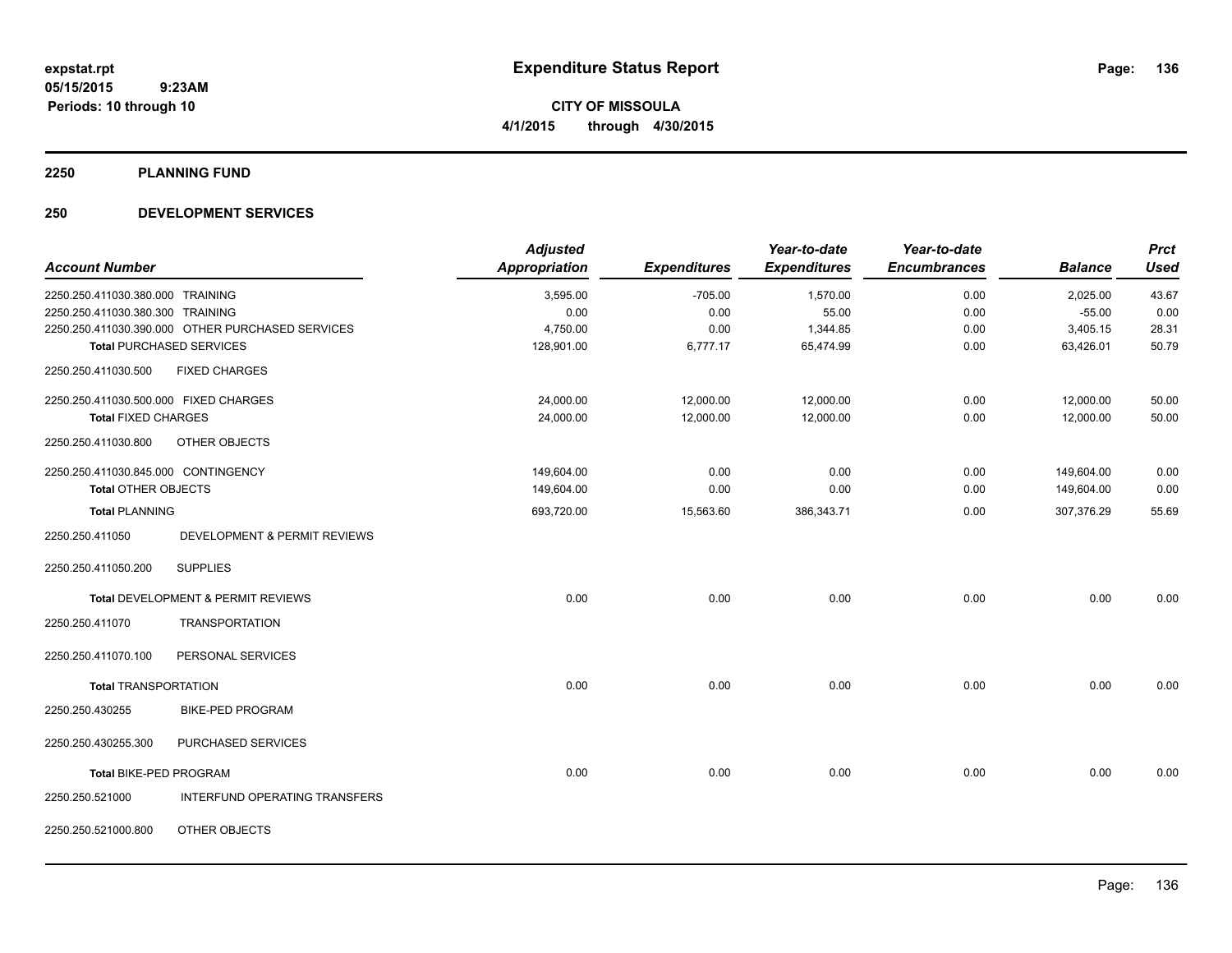**2250 PLANNING FUND**

### **250 DEVELOPMENT SERVICES**

|                                       |                                                  | <b>Adjusted</b>      |                     | Year-to-date        | Year-to-date        |                | <b>Prct</b> |
|---------------------------------------|--------------------------------------------------|----------------------|---------------------|---------------------|---------------------|----------------|-------------|
| <b>Account Number</b>                 |                                                  | <b>Appropriation</b> | <b>Expenditures</b> | <b>Expenditures</b> | <b>Encumbrances</b> | <b>Balance</b> | <b>Used</b> |
| 2250.250.411030.380.000 TRAINING      |                                                  | 3,595.00             | $-705.00$           | 1,570.00            | 0.00                | 2,025.00       | 43.67       |
| 2250.250.411030.380.300 TRAINING      |                                                  | 0.00                 | 0.00                | 55.00               | 0.00                | $-55.00$       | 0.00        |
|                                       | 2250.250.411030.390.000 OTHER PURCHASED SERVICES | 4,750.00             | 0.00                | 1,344.85            | 0.00                | 3,405.15       | 28.31       |
|                                       | <b>Total PURCHASED SERVICES</b>                  | 128,901.00           | 6,777.17            | 65,474.99           | 0.00                | 63,426.01      | 50.79       |
| 2250.250.411030.500                   | <b>FIXED CHARGES</b>                             |                      |                     |                     |                     |                |             |
| 2250.250.411030.500.000 FIXED CHARGES |                                                  | 24,000.00            | 12,000.00           | 12,000.00           | 0.00                | 12,000.00      | 50.00       |
| <b>Total FIXED CHARGES</b>            |                                                  | 24,000.00            | 12,000.00           | 12,000.00           | 0.00                | 12,000.00      | 50.00       |
| 2250.250.411030.800                   | OTHER OBJECTS                                    |                      |                     |                     |                     |                |             |
| 2250.250.411030.845.000 CONTINGENCY   |                                                  | 149,604.00           | 0.00                | 0.00                | 0.00                | 149,604.00     | 0.00        |
| <b>Total OTHER OBJECTS</b>            |                                                  | 149,604.00           | 0.00                | 0.00                | 0.00                | 149,604.00     | 0.00        |
| <b>Total PLANNING</b>                 |                                                  | 693,720.00           | 15,563.60           | 386,343.71          | 0.00                | 307,376.29     | 55.69       |
| 2250.250.411050                       | DEVELOPMENT & PERMIT REVIEWS                     |                      |                     |                     |                     |                |             |
| 2250.250.411050.200                   | <b>SUPPLIES</b>                                  |                      |                     |                     |                     |                |             |
|                                       | Total DEVELOPMENT & PERMIT REVIEWS               | 0.00                 | 0.00                | 0.00                | 0.00                | 0.00           | 0.00        |
| 2250.250.411070                       | <b>TRANSPORTATION</b>                            |                      |                     |                     |                     |                |             |
| 2250.250.411070.100                   | PERSONAL SERVICES                                |                      |                     |                     |                     |                |             |
| <b>Total TRANSPORTATION</b>           |                                                  | 0.00                 | 0.00                | 0.00                | 0.00                | 0.00           | 0.00        |
| 2250.250.430255                       | <b>BIKE-PED PROGRAM</b>                          |                      |                     |                     |                     |                |             |
| 2250.250.430255.300                   | PURCHASED SERVICES                               |                      |                     |                     |                     |                |             |
| Total BIKE-PED PROGRAM                |                                                  | 0.00                 | 0.00                | 0.00                | 0.00                | 0.00           | 0.00        |
| 2250.250.521000                       | INTERFUND OPERATING TRANSFERS                    |                      |                     |                     |                     |                |             |
| 2250.250.521000.800                   | OTHER OBJECTS                                    |                      |                     |                     |                     |                |             |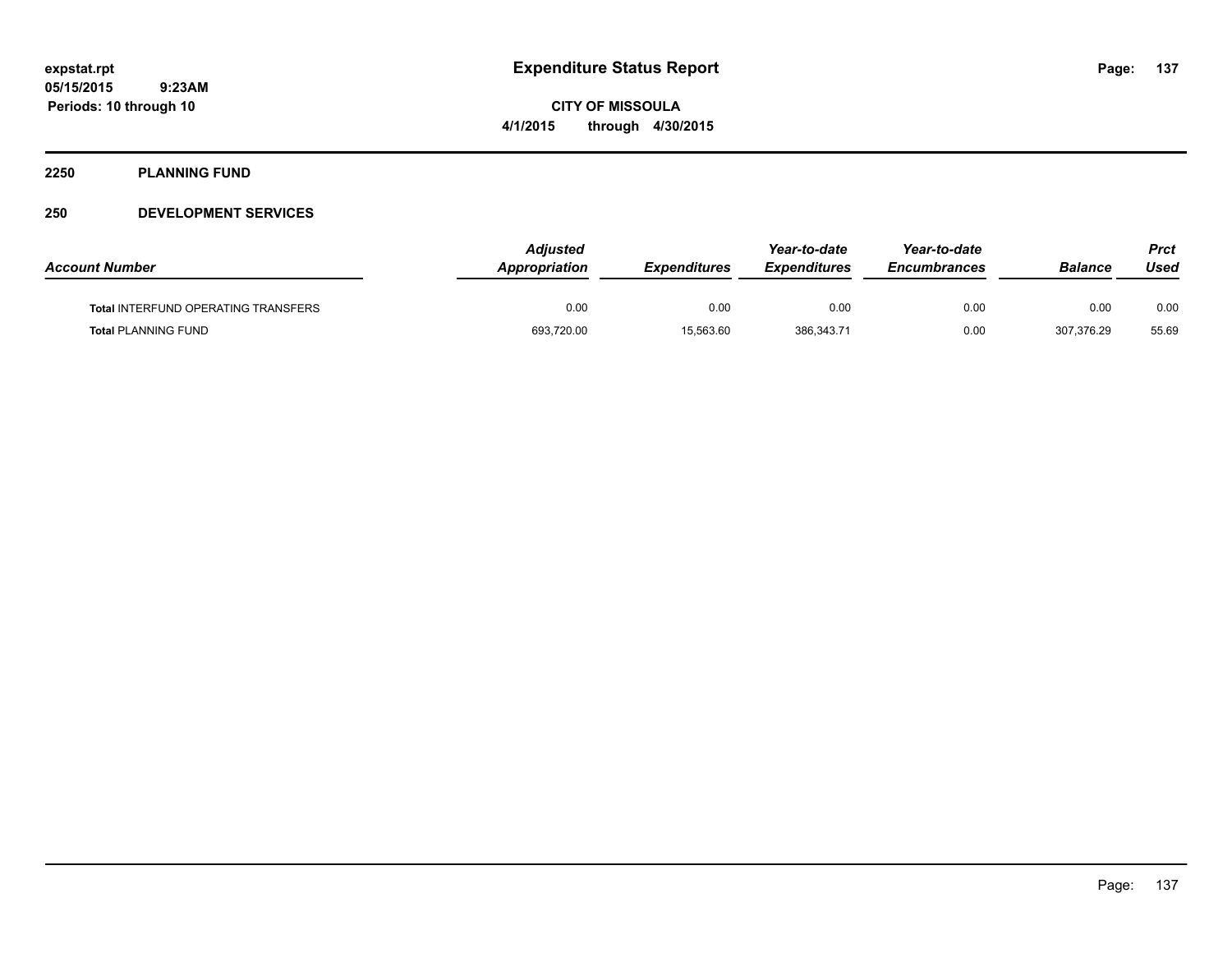**CITY OF MISSOULA 4/1/2015 through 4/30/2015**

#### **2250 PLANNING FUND**

### **250 DEVELOPMENT SERVICES**

| <b>Account Number</b>                      | <b>Adjusted</b><br><b>Appropriation</b> | <b>Expenditures</b> | Year-to-date<br><b>Expenditures</b> | Year-to-date<br><i><b>Encumbrances</b></i> | <b>Balance</b> | Prct<br>Used |
|--------------------------------------------|-----------------------------------------|---------------------|-------------------------------------|--------------------------------------------|----------------|--------------|
| <b>Total INTERFUND OPERATING TRANSFERS</b> | 0.00                                    | 0.00                | 0.00                                | 0.00                                       | 0.00           | 0.00         |
| <b>Total PLANNING FUND</b>                 | 693,720.00                              | 15,563.60           | 386,343.71                          | 0.00                                       | 307,376.29     | 55.69        |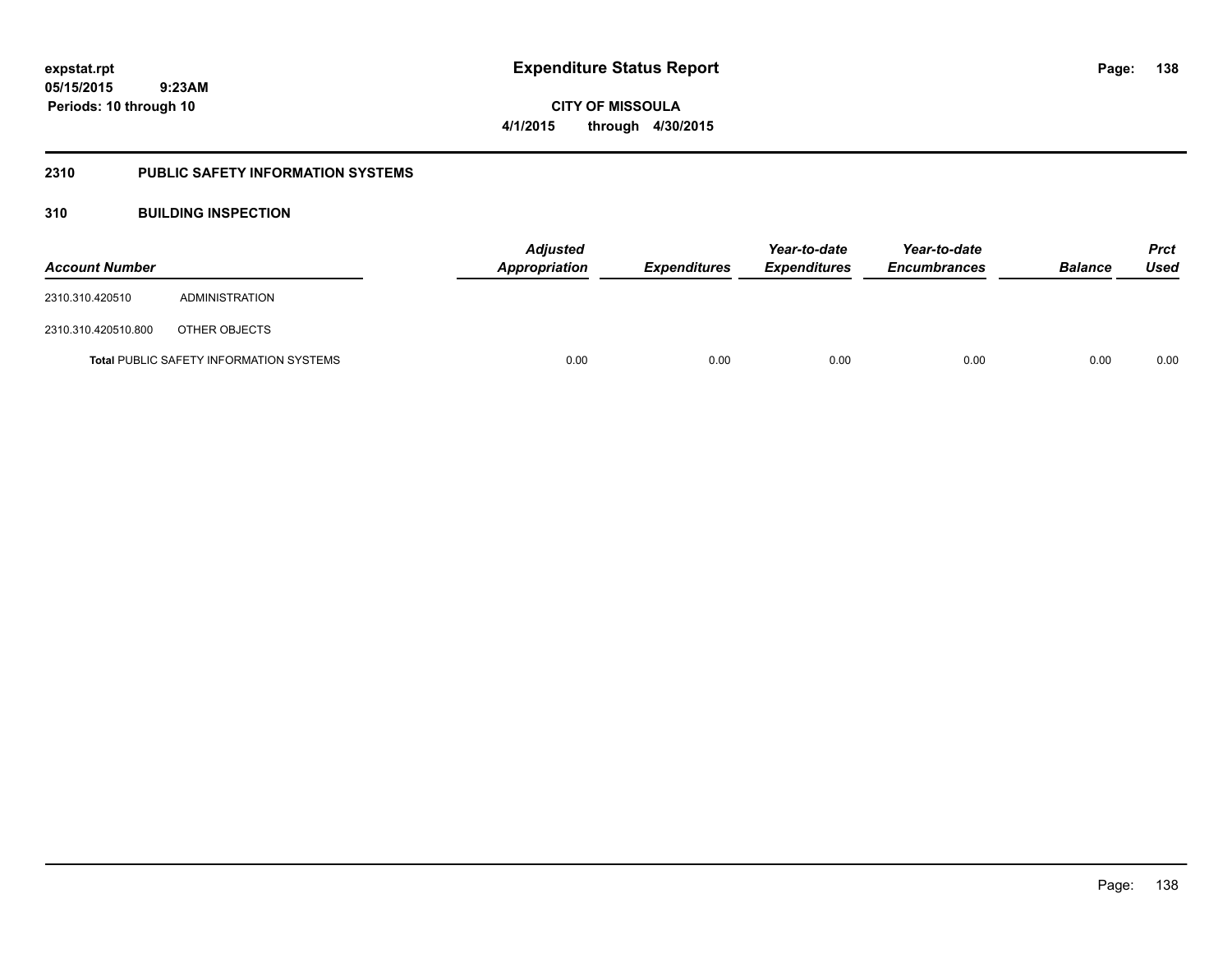**05/15/2015**

**138**

 **9:23AM Periods: 10 through 10**

**CITY OF MISSOULA 4/1/2015 through 4/30/2015**

### **2310 PUBLIC SAFETY INFORMATION SYSTEMS**

### **310 BUILDING INSPECTION**

| <b>Account Number</b> |                                                | <b>Adjusted</b><br><b>Appropriation</b> | <b>Expenditures</b> | Year-to-date<br><i><b>Expenditures</b></i> | Year-to-date<br><b>Encumbrances</b> | <b>Balance</b> | <b>Prct</b><br>Used |
|-----------------------|------------------------------------------------|-----------------------------------------|---------------------|--------------------------------------------|-------------------------------------|----------------|---------------------|
| 2310.310.420510       | ADMINISTRATION                                 |                                         |                     |                                            |                                     |                |                     |
| 2310.310.420510.800   | OTHER OBJECTS                                  |                                         |                     |                                            |                                     |                |                     |
|                       | <b>Total PUBLIC SAFETY INFORMATION SYSTEMS</b> | 0.00                                    | 0.00                | 0.00                                       | 0.00                                | 0.00           | 0.00                |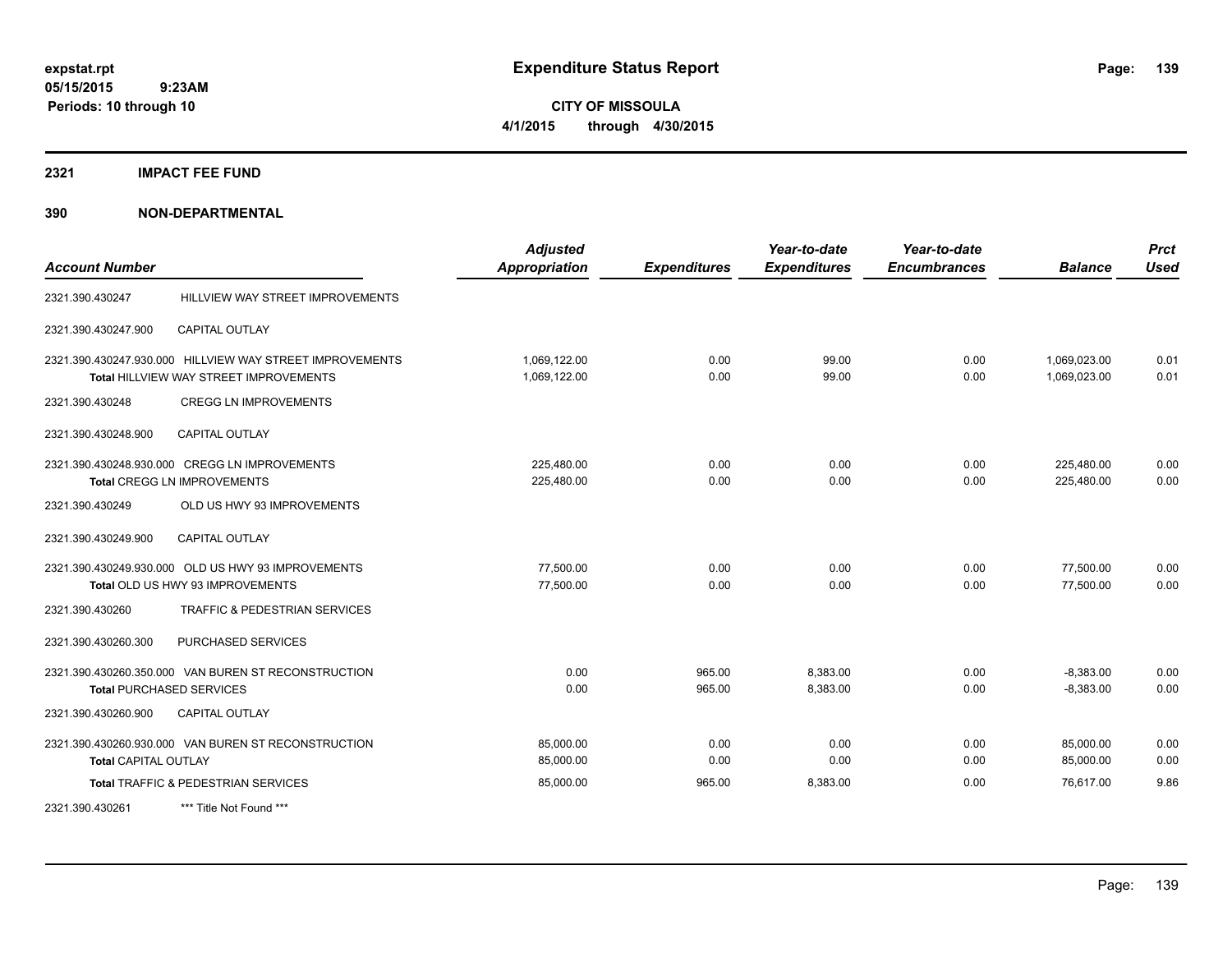**CITY OF MISSOULA 4/1/2015 through 4/30/2015**

**2321 IMPACT FEE FUND**

**390 NON-DEPARTMENTAL**

| <b>Account Number</b>       |                                                                                                           | <b>Adjusted</b><br><b>Appropriation</b> | <b>Expenditures</b> | Year-to-date<br><b>Expenditures</b> | Year-to-date<br><b>Encumbrances</b> | <b>Balance</b>               | <b>Prct</b><br><b>Used</b> |
|-----------------------------|-----------------------------------------------------------------------------------------------------------|-----------------------------------------|---------------------|-------------------------------------|-------------------------------------|------------------------------|----------------------------|
| 2321.390.430247             | HILLVIEW WAY STREET IMPROVEMENTS                                                                          |                                         |                     |                                     |                                     |                              |                            |
| 2321.390.430247.900         | <b>CAPITAL OUTLAY</b>                                                                                     |                                         |                     |                                     |                                     |                              |                            |
|                             | 2321.390.430247.930.000 HILLVIEW WAY STREET IMPROVEMENTS<br><b>Total HILLVIEW WAY STREET IMPROVEMENTS</b> | 1,069,122.00<br>1,069,122.00            | 0.00<br>0.00        | 99.00<br>99.00                      | 0.00<br>0.00                        | 1,069,023.00<br>1,069,023.00 | 0.01<br>0.01               |
| 2321.390.430248             | <b>CREGG LN IMPROVEMENTS</b>                                                                              |                                         |                     |                                     |                                     |                              |                            |
| 2321.390.430248.900         | <b>CAPITAL OUTLAY</b>                                                                                     |                                         |                     |                                     |                                     |                              |                            |
|                             | 2321.390.430248.930.000 CREGG LN IMPROVEMENTS<br><b>Total CREGG LN IMPROVEMENTS</b>                       | 225,480.00<br>225,480.00                | 0.00<br>0.00        | 0.00<br>0.00                        | 0.00<br>0.00                        | 225,480.00<br>225,480.00     | 0.00<br>0.00               |
| 2321.390.430249             | OLD US HWY 93 IMPROVEMENTS                                                                                |                                         |                     |                                     |                                     |                              |                            |
| 2321.390.430249.900         | <b>CAPITAL OUTLAY</b>                                                                                     |                                         |                     |                                     |                                     |                              |                            |
|                             | 2321.390.430249.930.000 OLD US HWY 93 IMPROVEMENTS<br>Total OLD US HWY 93 IMPROVEMENTS                    | 77,500.00<br>77,500.00                  | 0.00<br>0.00        | 0.00<br>0.00                        | 0.00<br>0.00                        | 77,500.00<br>77,500.00       | 0.00<br>0.00               |
| 2321.390.430260             | TRAFFIC & PEDESTRIAN SERVICES                                                                             |                                         |                     |                                     |                                     |                              |                            |
| 2321.390.430260.300         | PURCHASED SERVICES                                                                                        |                                         |                     |                                     |                                     |                              |                            |
|                             | 2321.390.430260.350.000 VAN BUREN ST RECONSTRUCTION<br><b>Total PURCHASED SERVICES</b>                    | 0.00<br>0.00                            | 965.00<br>965.00    | 8,383.00<br>8,383.00                | 0.00<br>0.00                        | $-8,383.00$<br>$-8,383.00$   | 0.00<br>0.00               |
| 2321.390.430260.900         | <b>CAPITAL OUTLAY</b>                                                                                     |                                         |                     |                                     |                                     |                              |                            |
| <b>Total CAPITAL OUTLAY</b> | 2321.390.430260.930.000 VAN BUREN ST RECONSTRUCTION                                                       | 85,000.00<br>85,000.00                  | 0.00<br>0.00        | 0.00<br>0.00                        | 0.00<br>0.00                        | 85,000.00<br>85,000.00       | 0.00<br>0.00               |
|                             | <b>Total TRAFFIC &amp; PEDESTRIAN SERVICES</b>                                                            | 85,000.00                               | 965.00              | 8,383.00                            | 0.00                                | 76,617.00                    | 9.86                       |
| 2321.390.430261             | *** Title Not Found ***                                                                                   |                                         |                     |                                     |                                     |                              |                            |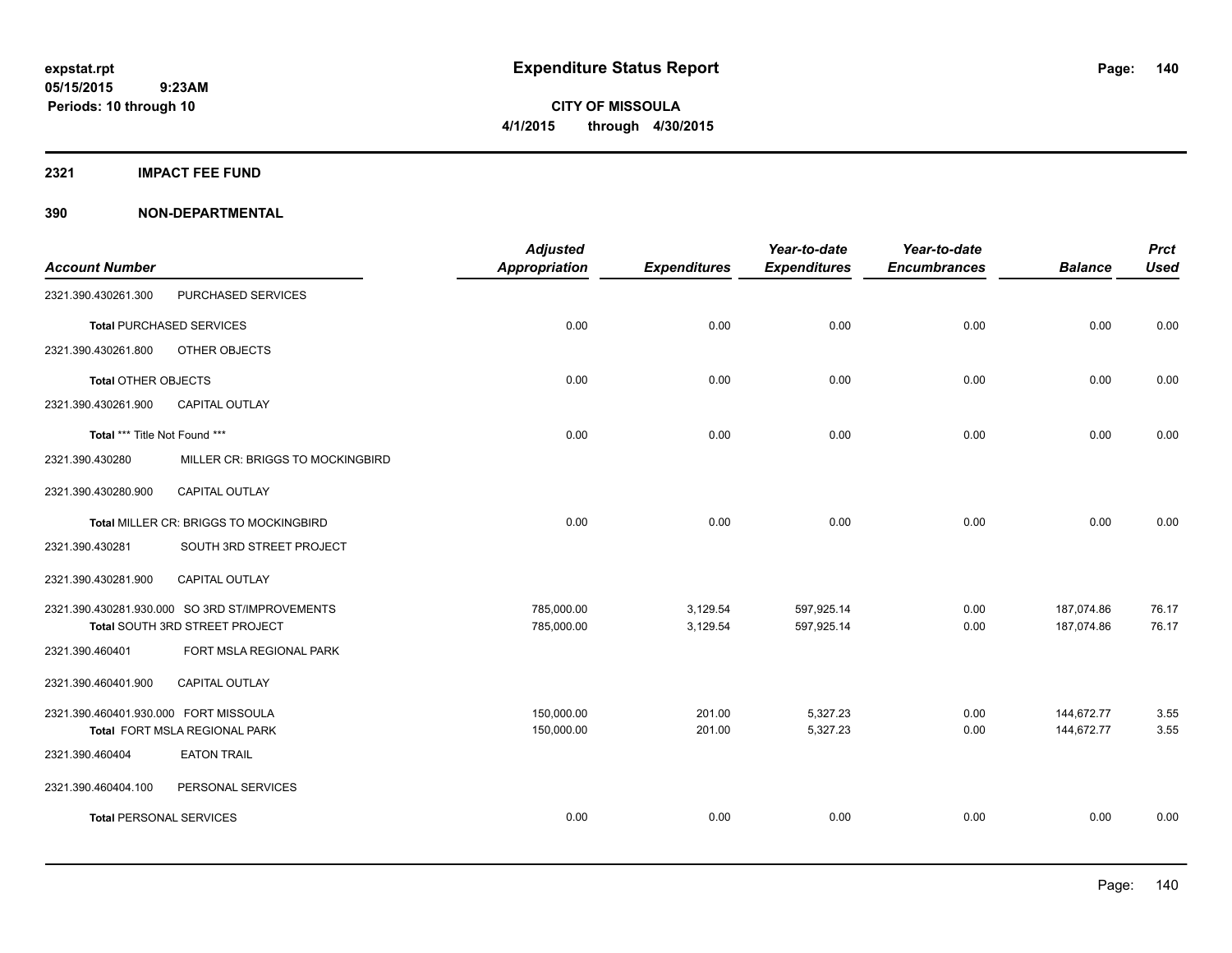**Periods: 10 through 10**

**CITY OF MISSOULA 4/1/2015 through 4/30/2015**

**2321 IMPACT FEE FUND**

**390 NON-DEPARTMENTAL**

|                                       |                                                | <b>Adjusted</b> |                     | Year-to-date        | Year-to-date        |                | <b>Prct</b> |
|---------------------------------------|------------------------------------------------|-----------------|---------------------|---------------------|---------------------|----------------|-------------|
| <b>Account Number</b>                 |                                                | Appropriation   | <b>Expenditures</b> | <b>Expenditures</b> | <b>Encumbrances</b> | <b>Balance</b> | <b>Used</b> |
| 2321.390.430261.300                   | PURCHASED SERVICES                             |                 |                     |                     |                     |                |             |
|                                       | <b>Total PURCHASED SERVICES</b>                | 0.00            | 0.00                | 0.00                | 0.00                | 0.00           | 0.00        |
| 2321.390.430261.800                   | OTHER OBJECTS                                  |                 |                     |                     |                     |                |             |
| <b>Total OTHER OBJECTS</b>            |                                                | 0.00            | 0.00                | 0.00                | 0.00                | 0.00           | 0.00        |
| 2321.390.430261.900                   | <b>CAPITAL OUTLAY</b>                          |                 |                     |                     |                     |                |             |
| Total *** Title Not Found ***         |                                                | 0.00            | 0.00                | 0.00                | 0.00                | 0.00           | 0.00        |
| 2321.390.430280                       | MILLER CR: BRIGGS TO MOCKINGBIRD               |                 |                     |                     |                     |                |             |
| 2321.390.430280.900                   | <b>CAPITAL OUTLAY</b>                          |                 |                     |                     |                     |                |             |
|                                       | Total MILLER CR: BRIGGS TO MOCKINGBIRD         | 0.00            | 0.00                | 0.00                | 0.00                | 0.00           | 0.00        |
| 2321.390.430281                       | SOUTH 3RD STREET PROJECT                       |                 |                     |                     |                     |                |             |
| 2321.390.430281.900                   | CAPITAL OUTLAY                                 |                 |                     |                     |                     |                |             |
|                                       | 2321.390.430281.930.000 SO 3RD ST/IMPROVEMENTS | 785,000.00      | 3,129.54            | 597,925.14          | 0.00                | 187,074.86     | 76.17       |
|                                       | Total SOUTH 3RD STREET PROJECT                 | 785,000.00      | 3,129.54            | 597,925.14          | 0.00                | 187,074.86     | 76.17       |
| 2321.390.460401                       | FORT MSLA REGIONAL PARK                        |                 |                     |                     |                     |                |             |
| 2321.390.460401.900                   | CAPITAL OUTLAY                                 |                 |                     |                     |                     |                |             |
| 2321.390.460401.930.000 FORT MISSOULA |                                                | 150,000.00      | 201.00              | 5,327.23            | 0.00                | 144,672.77     | 3.55        |
|                                       | Total FORT MSLA REGIONAL PARK                  | 150,000.00      | 201.00              | 5,327.23            | 0.00                | 144,672.77     | 3.55        |
| 2321.390.460404                       | <b>EATON TRAIL</b>                             |                 |                     |                     |                     |                |             |
| 2321.390.460404.100                   | PERSONAL SERVICES                              |                 |                     |                     |                     |                |             |
| <b>Total PERSONAL SERVICES</b>        |                                                | 0.00            | 0.00                | 0.00                | 0.00                | 0.00           | 0.00        |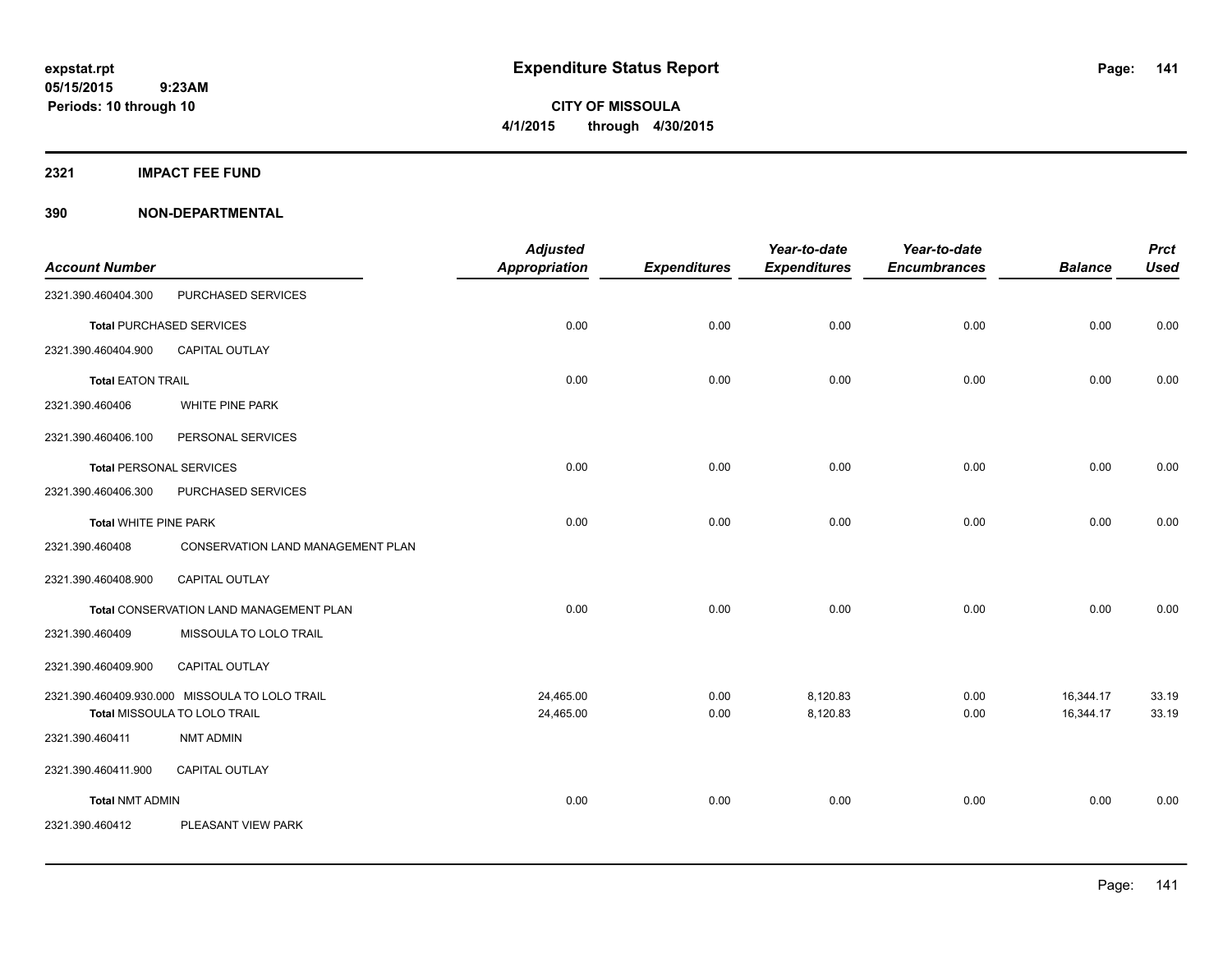**Periods: 10 through 10**

**CITY OF MISSOULA 4/1/2015 through 4/30/2015**

**2321 IMPACT FEE FUND**

**390 NON-DEPARTMENTAL**

 **9:23AM**

| <b>Account Number</b>          |                                                                                | <b>Adjusted</b><br><b>Appropriation</b> | <b>Expenditures</b> | Year-to-date<br><b>Expenditures</b> | Year-to-date<br><b>Encumbrances</b> | <b>Balance</b>         | <b>Prct</b><br><b>Used</b> |
|--------------------------------|--------------------------------------------------------------------------------|-----------------------------------------|---------------------|-------------------------------------|-------------------------------------|------------------------|----------------------------|
| 2321.390.460404.300            | PURCHASED SERVICES                                                             |                                         |                     |                                     |                                     |                        |                            |
|                                | <b>Total PURCHASED SERVICES</b>                                                | 0.00                                    | 0.00                | 0.00                                | 0.00                                | 0.00                   | 0.00                       |
| 2321.390.460404.900            | CAPITAL OUTLAY                                                                 |                                         |                     |                                     |                                     |                        |                            |
| <b>Total EATON TRAIL</b>       |                                                                                | 0.00                                    | 0.00                | 0.00                                | 0.00                                | 0.00                   | 0.00                       |
| 2321.390.460406                | WHITE PINE PARK                                                                |                                         |                     |                                     |                                     |                        |                            |
| 2321.390.460406.100            | PERSONAL SERVICES                                                              |                                         |                     |                                     |                                     |                        |                            |
| <b>Total PERSONAL SERVICES</b> |                                                                                | 0.00                                    | 0.00                | 0.00                                | 0.00                                | 0.00                   | 0.00                       |
| 2321.390.460406.300            | PURCHASED SERVICES                                                             |                                         |                     |                                     |                                     |                        |                            |
| <b>Total WHITE PINE PARK</b>   |                                                                                | 0.00                                    | 0.00                | 0.00                                | 0.00                                | 0.00                   | 0.00                       |
| 2321.390.460408                | CONSERVATION LAND MANAGEMENT PLAN                                              |                                         |                     |                                     |                                     |                        |                            |
| 2321.390.460408.900            | CAPITAL OUTLAY                                                                 |                                         |                     |                                     |                                     |                        |                            |
|                                | Total CONSERVATION LAND MANAGEMENT PLAN                                        | 0.00                                    | 0.00                | 0.00                                | 0.00                                | 0.00                   | 0.00                       |
| 2321.390.460409                | MISSOULA TO LOLO TRAIL                                                         |                                         |                     |                                     |                                     |                        |                            |
| 2321.390.460409.900            | <b>CAPITAL OUTLAY</b>                                                          |                                         |                     |                                     |                                     |                        |                            |
|                                | 2321.390.460409.930.000 MISSOULA TO LOLO TRAIL<br>Total MISSOULA TO LOLO TRAIL | 24,465.00<br>24,465.00                  | 0.00<br>0.00        | 8,120.83<br>8,120.83                | 0.00<br>0.00                        | 16,344.17<br>16,344.17 | 33.19<br>33.19             |
| 2321.390.460411                | NMT ADMIN                                                                      |                                         |                     |                                     |                                     |                        |                            |
| 2321.390.460411.900            | <b>CAPITAL OUTLAY</b>                                                          |                                         |                     |                                     |                                     |                        |                            |
| <b>Total NMT ADMIN</b>         |                                                                                | 0.00                                    | 0.00                | 0.00                                | 0.00                                | 0.00                   | 0.00                       |
| 2321.390.460412                | PLEASANT VIEW PARK                                                             |                                         |                     |                                     |                                     |                        |                            |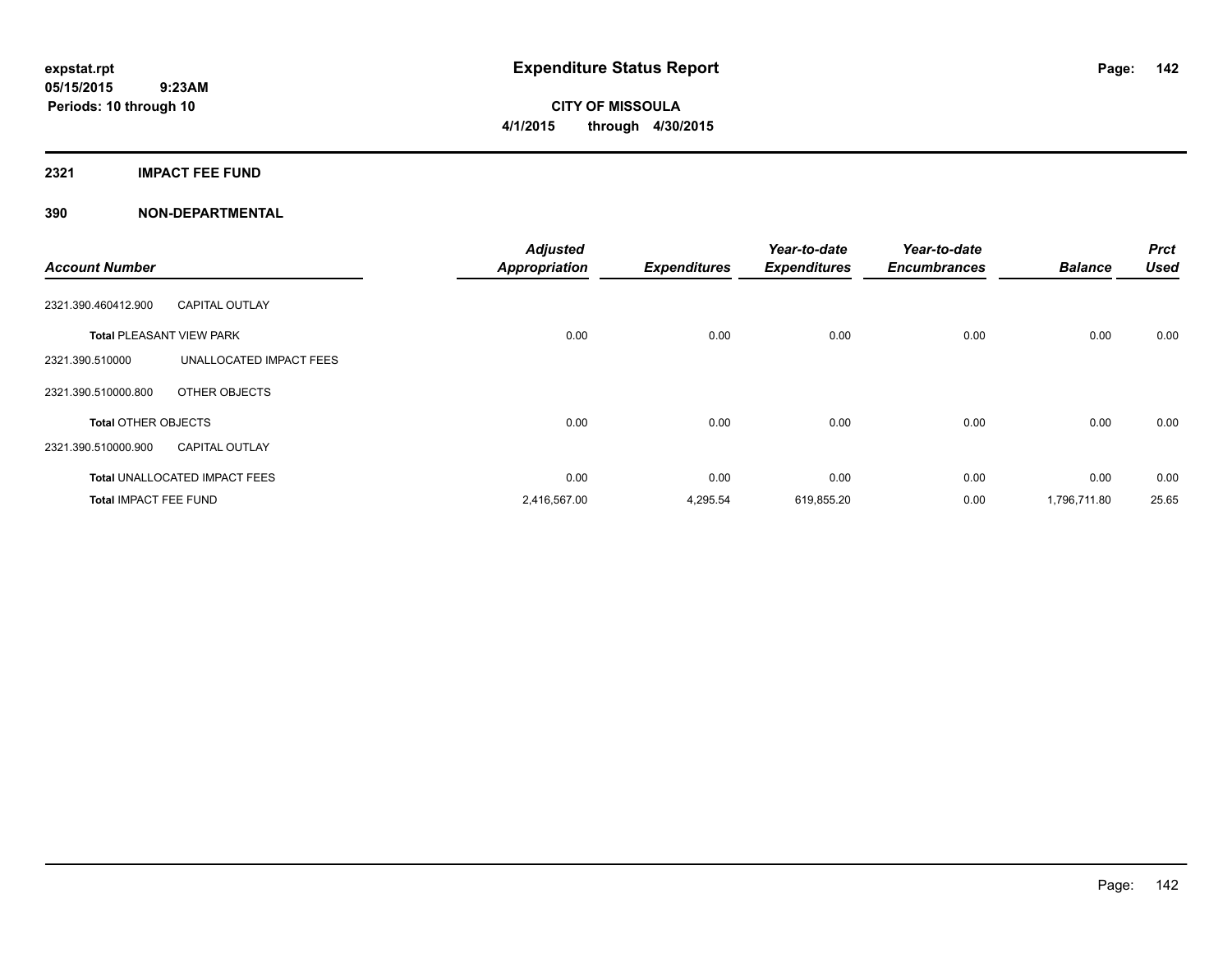**CITY OF MISSOULA 4/1/2015 through 4/30/2015**

#### **2321 IMPACT FEE FUND**

### **390 NON-DEPARTMENTAL**

| <b>Account Number</b>           |                                      | <b>Adjusted</b><br><b>Appropriation</b> | <b>Expenditures</b> | Year-to-date<br><b>Expenditures</b> | Year-to-date<br><b>Encumbrances</b> | <b>Balance</b> | <b>Prct</b><br><b>Used</b> |
|---------------------------------|--------------------------------------|-----------------------------------------|---------------------|-------------------------------------|-------------------------------------|----------------|----------------------------|
| 2321.390.460412.900             | <b>CAPITAL OUTLAY</b>                |                                         |                     |                                     |                                     |                |                            |
| <b>Total PLEASANT VIEW PARK</b> |                                      | 0.00                                    | 0.00                | 0.00                                | 0.00                                | 0.00           | 0.00                       |
| 2321.390.510000                 | UNALLOCATED IMPACT FEES              |                                         |                     |                                     |                                     |                |                            |
| 2321.390.510000.800             | OTHER OBJECTS                        |                                         |                     |                                     |                                     |                |                            |
| <b>Total OTHER OBJECTS</b>      |                                      | 0.00                                    | 0.00                | 0.00                                | 0.00                                | 0.00           | 0.00                       |
| 2321.390.510000.900             | <b>CAPITAL OUTLAY</b>                |                                         |                     |                                     |                                     |                |                            |
|                                 | <b>Total UNALLOCATED IMPACT FEES</b> | 0.00                                    | 0.00                | 0.00                                | 0.00                                | 0.00           | 0.00                       |
| <b>Total IMPACT FEE FUND</b>    |                                      | 2,416,567.00                            | 4,295.54            | 619,855.20                          | 0.00                                | 1,796,711.80   | 25.65                      |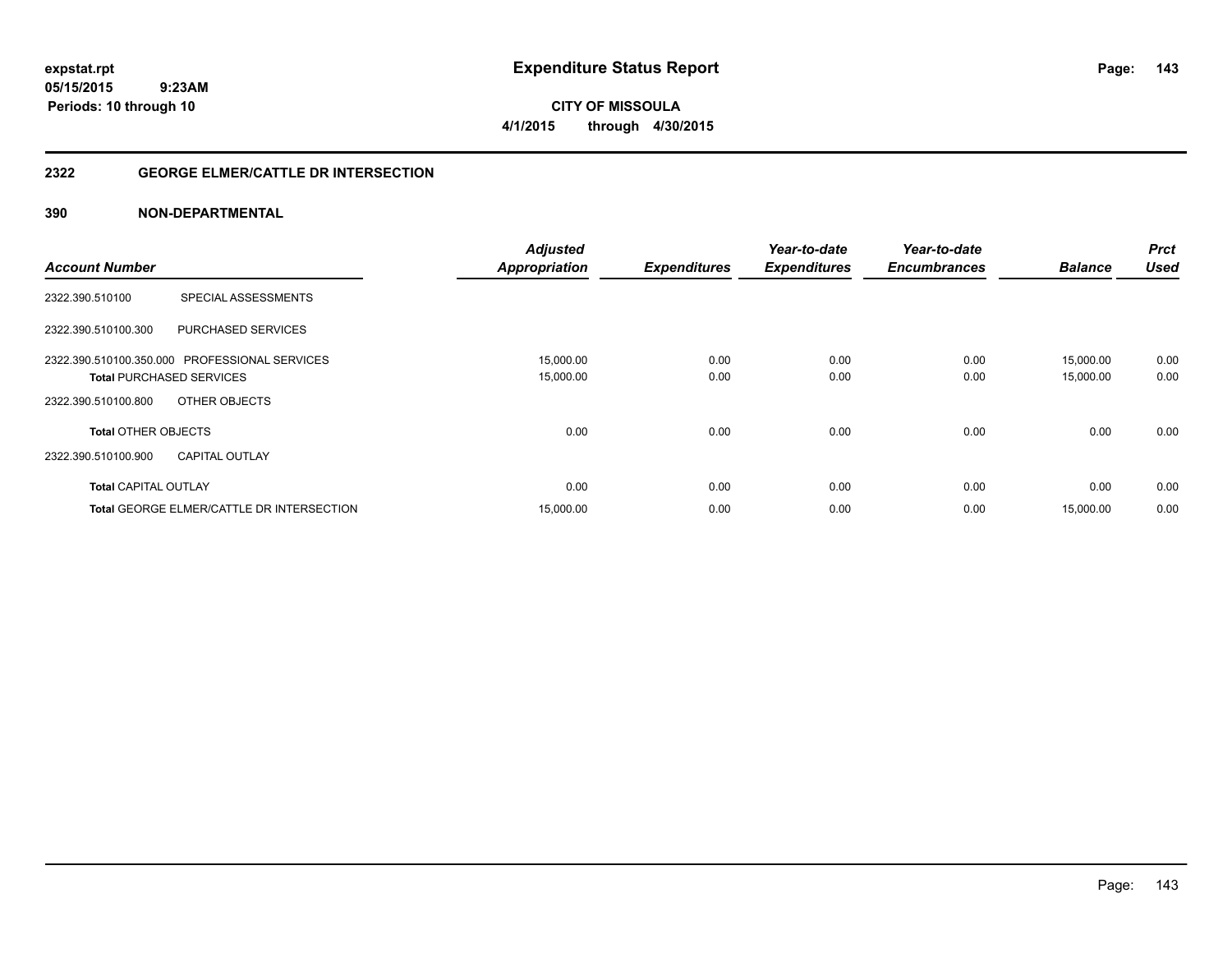**CITY OF MISSOULA 4/1/2015 through 4/30/2015**

### **2322 GEORGE ELMER/CATTLE DR INTERSECTION**

### **390 NON-DEPARTMENTAL**

|                                                  | <b>Adjusted</b>      |                     | Year-to-date        | Year-to-date        | <b>Balance</b> | <b>Prct</b><br><b>Used</b> |
|--------------------------------------------------|----------------------|---------------------|---------------------|---------------------|----------------|----------------------------|
| <b>Account Number</b>                            | <b>Appropriation</b> | <b>Expenditures</b> | <b>Expenditures</b> | <b>Encumbrances</b> |                |                            |
| <b>SPECIAL ASSESSMENTS</b><br>2322.390.510100    |                      |                     |                     |                     |                |                            |
| <b>PURCHASED SERVICES</b><br>2322.390.510100.300 |                      |                     |                     |                     |                |                            |
| 2322.390.510100.350.000 PROFESSIONAL SERVICES    | 15,000.00            | 0.00                | 0.00                | 0.00                | 15.000.00      | 0.00                       |
| <b>Total PURCHASED SERVICES</b>                  | 15,000.00            | 0.00                | 0.00                | 0.00                | 15,000.00      | 0.00                       |
| 2322.390.510100.800<br>OTHER OBJECTS             |                      |                     |                     |                     |                |                            |
| <b>Total OTHER OBJECTS</b>                       | 0.00                 | 0.00                | 0.00                | 0.00                | 0.00           | 0.00                       |
| 2322.390.510100.900<br><b>CAPITAL OUTLAY</b>     |                      |                     |                     |                     |                |                            |
| <b>Total CAPITAL OUTLAY</b>                      | 0.00                 | 0.00                | 0.00                | 0.00                | 0.00           | 0.00                       |
| <b>Total GEORGE ELMER/CATTLE DR INTERSECTION</b> | 15,000.00            | 0.00                | 0.00                | 0.00                | 15.000.00      | 0.00                       |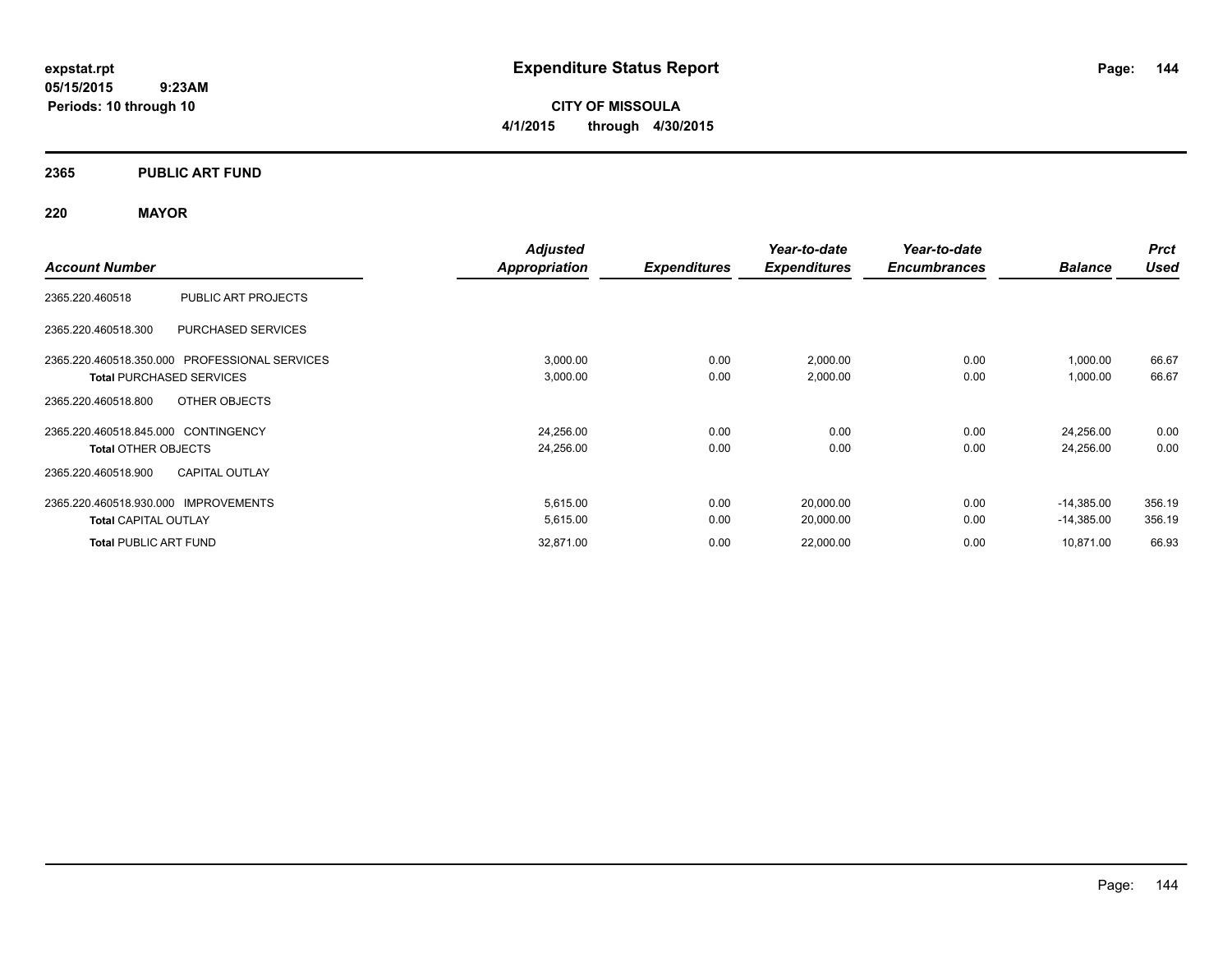**CITY OF MISSOULA 4/1/2015 through 4/30/2015**

### **2365 PUBLIC ART FUND**

### **220 MAYOR**

| <b>Account Number</b>                         | <b>Adjusted</b>      |                     | Year-to-date        | Year-to-date        |                | <b>Prct</b> |
|-----------------------------------------------|----------------------|---------------------|---------------------|---------------------|----------------|-------------|
|                                               | <b>Appropriation</b> | <b>Expenditures</b> | <b>Expenditures</b> | <b>Encumbrances</b> | <b>Balance</b> | <b>Used</b> |
| 2365.220.460518<br>PUBLIC ART PROJECTS        |                      |                     |                     |                     |                |             |
| PURCHASED SERVICES<br>2365.220.460518.300     |                      |                     |                     |                     |                |             |
| 2365.220.460518.350.000 PROFESSIONAL SERVICES | 3,000.00             | 0.00                | 2,000.00            | 0.00                | 1,000.00       | 66.67       |
| <b>Total PURCHASED SERVICES</b>               | 3,000.00             | 0.00                | 2,000.00            | 0.00                | 1,000.00       | 66.67       |
| 2365.220.460518.800<br>OTHER OBJECTS          |                      |                     |                     |                     |                |             |
| 2365.220.460518.845.000 CONTINGENCY           | 24,256.00            | 0.00                | 0.00                | 0.00                | 24,256.00      | 0.00        |
| <b>Total OTHER OBJECTS</b>                    | 24,256.00            | 0.00                | 0.00                | 0.00                | 24,256.00      | 0.00        |
| <b>CAPITAL OUTLAY</b><br>2365.220.460518.900  |                      |                     |                     |                     |                |             |
| 2365.220.460518.930.000 IMPROVEMENTS          | 5,615.00             | 0.00                | 20,000.00           | 0.00                | $-14,385.00$   | 356.19      |
| <b>Total CAPITAL OUTLAY</b>                   | 5,615.00             | 0.00                | 20,000.00           | 0.00                | $-14,385.00$   | 356.19      |
| <b>Total PUBLIC ART FUND</b>                  | 32,871.00            | 0.00                | 22,000.00           | 0.00                | 10,871.00      | 66.93       |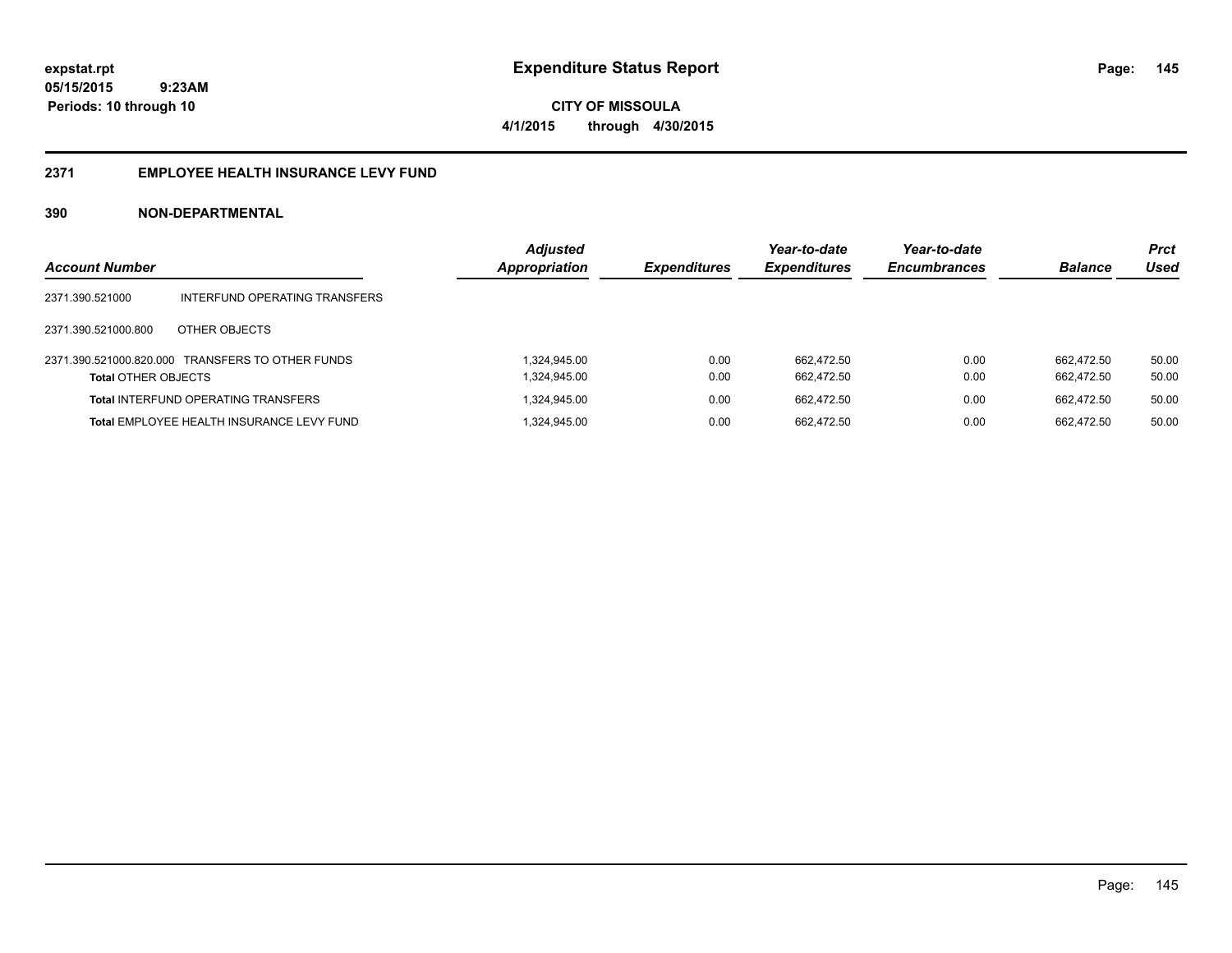**CITY OF MISSOULA 4/1/2015 through 4/30/2015**

#### **2371 EMPLOYEE HEALTH INSURANCE LEVY FUND**

| <b>Account Number</b>      |                                                  | <b>Adjusted</b><br><b>Appropriation</b> | <b>Expenditures</b> | Year-to-date<br><b>Expenditures</b> | Year-to-date<br><b>Encumbrances</b> | <b>Balance</b> | <b>Prct</b><br>Used |
|----------------------------|--------------------------------------------------|-----------------------------------------|---------------------|-------------------------------------|-------------------------------------|----------------|---------------------|
| 2371.390.521000            | INTERFUND OPERATING TRANSFERS                    |                                         |                     |                                     |                                     |                |                     |
| 2371.390.521000.800        | OTHER OBJECTS                                    |                                         |                     |                                     |                                     |                |                     |
|                            | 2371.390.521000.820.000 TRANSFERS TO OTHER FUNDS | 1.324.945.00                            | 0.00                | 662.472.50                          | 0.00                                | 662.472.50     | 50.00               |
| <b>Total OTHER OBJECTS</b> |                                                  | 1,324,945.00                            | 0.00                | 662.472.50                          | 0.00                                | 662.472.50     | 50.00               |
|                            | <b>Total INTERFUND OPERATING TRANSFERS</b>       | 1,324,945.00                            | 0.00                | 662.472.50                          | 0.00                                | 662.472.50     | 50.00               |
|                            | Total EMPLOYEE HEALTH INSURANCE LEVY FUND        | 324,945.00                              | 0.00                | 662.472.50                          | 0.00                                | 662.472.50     | 50.00               |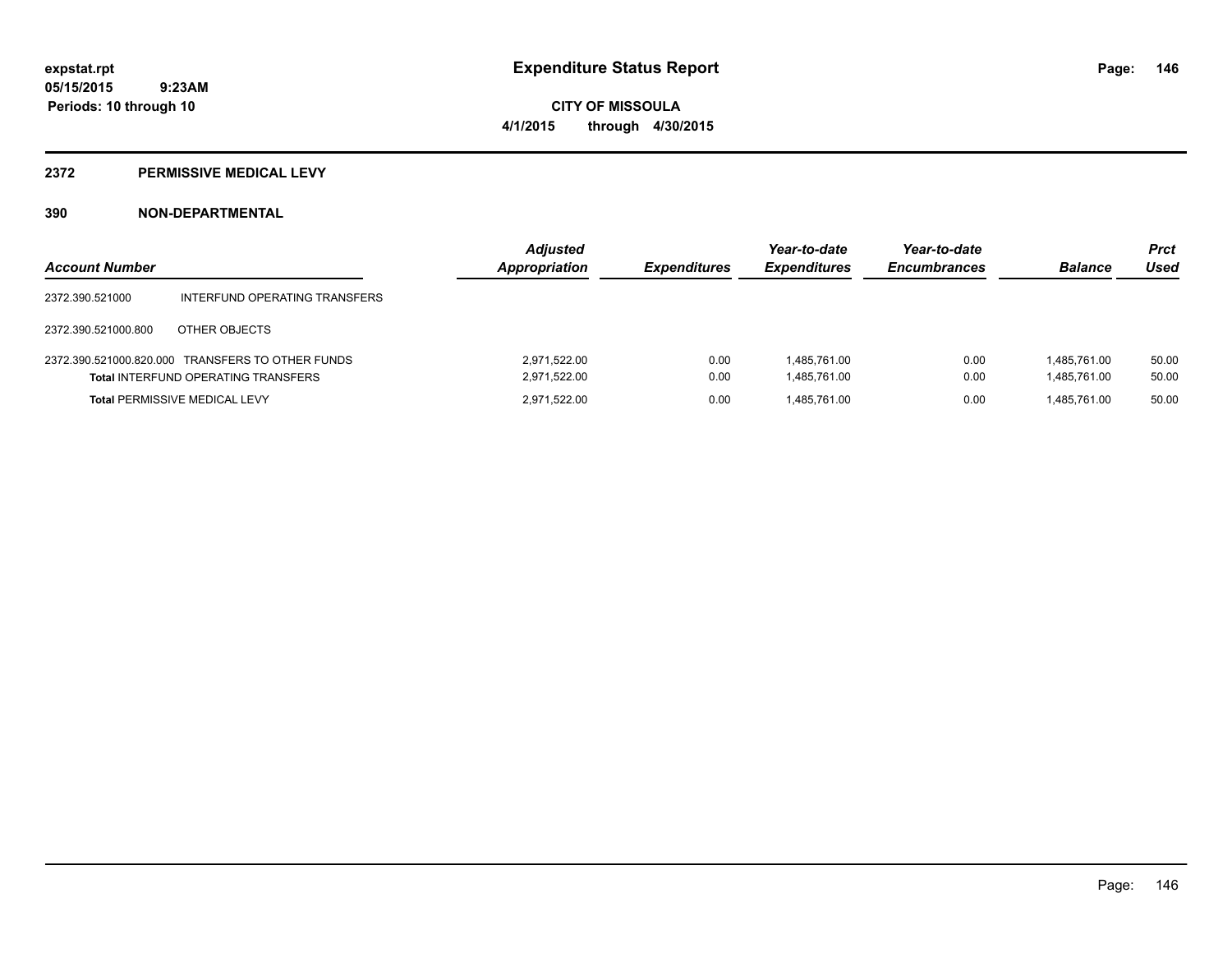# **CITY OF MISSOULA 4/1/2015 through 4/30/2015**

#### **2372 PERMISSIVE MEDICAL LEVY**

| <b>Account Number</b> |                                                                                                | <b>Adjusted</b><br><b>Appropriation</b> | <b>Expenditures</b> | Year-to-date<br><b>Expenditures</b> | Year-to-date<br><b>Encumbrances</b> | <b>Balance</b>               | <b>Prct</b><br>Used |
|-----------------------|------------------------------------------------------------------------------------------------|-----------------------------------------|---------------------|-------------------------------------|-------------------------------------|------------------------------|---------------------|
| 2372.390.521000       | INTERFUND OPERATING TRANSFERS                                                                  |                                         |                     |                                     |                                     |                              |                     |
| 2372.390.521000.800   | OTHER OBJECTS                                                                                  |                                         |                     |                                     |                                     |                              |                     |
|                       | 2372.390.521000.820.000 TRANSFERS TO OTHER FUNDS<br><b>Total INTERFUND OPERATING TRANSFERS</b> | 2.971.522.00<br>2,971,522.00            | 0.00<br>0.00        | 1,485,761.00<br>1.485.761.00        | 0.00<br>0.00                        | 1.485.761.00<br>1,485,761.00 | 50.00<br>50.00      |
|                       | <b>Total PERMISSIVE MEDICAL LEVY</b>                                                           | 2.971.522.00                            | 0.00                | 1.485.761.00                        | 0.00                                | 1.485.761.00                 | 50.00               |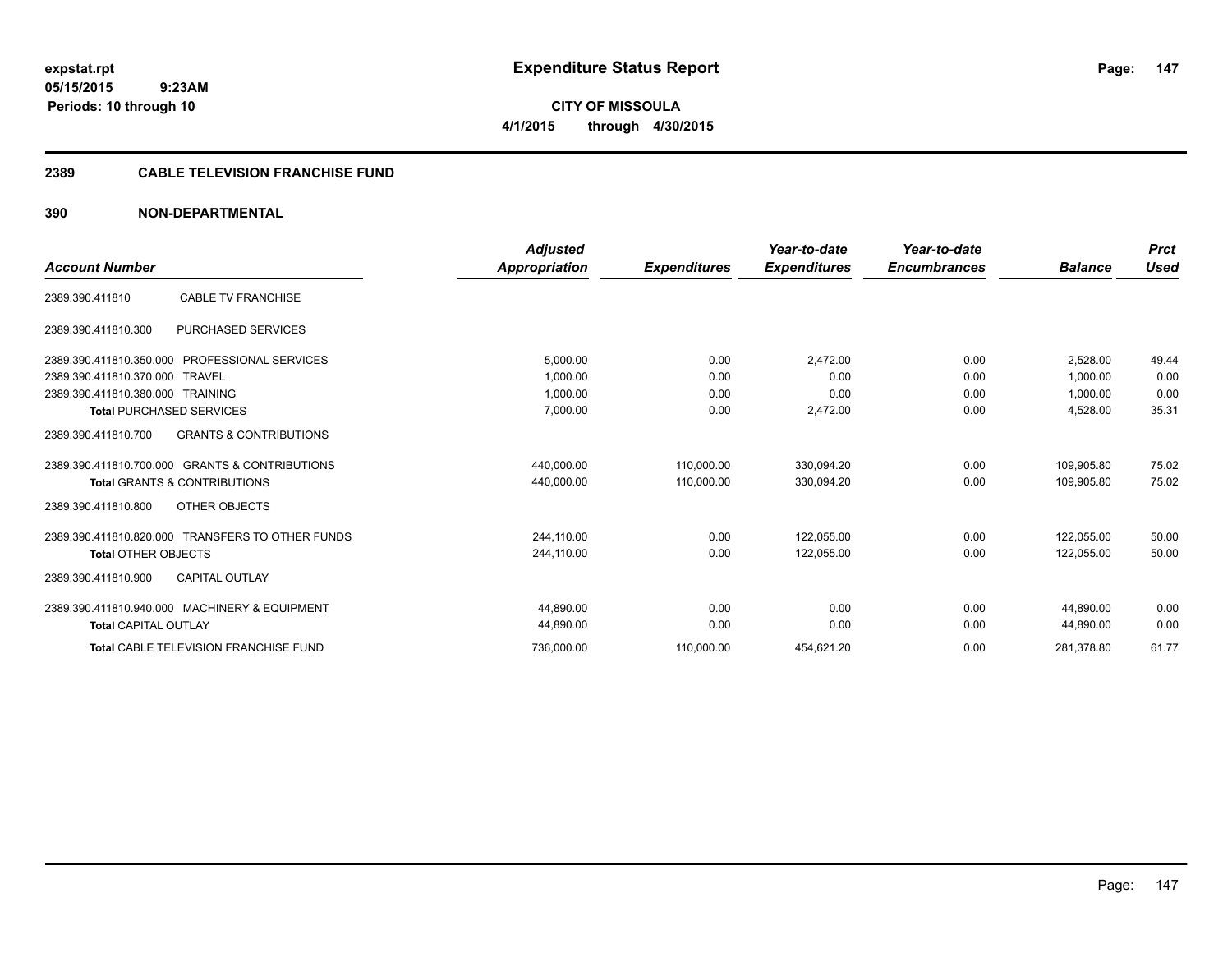**expstat.rpt Expenditure Status Report** 

**05/15/2015 9:23AM Periods: 10 through 10**

**CITY OF MISSOULA 4/1/2015 through 4/30/2015**

# **2389 CABLE TELEVISION FRANCHISE FUND**

|                                                          | <b>Adjusted</b> |                     | Year-to-date        | Year-to-date        |                | <b>Prct</b> |
|----------------------------------------------------------|-----------------|---------------------|---------------------|---------------------|----------------|-------------|
| <b>Account Number</b>                                    | Appropriation   | <b>Expenditures</b> | <b>Expenditures</b> | <b>Encumbrances</b> | <b>Balance</b> | Used        |
| <b>CABLE TV FRANCHISE</b><br>2389.390.411810             |                 |                     |                     |                     |                |             |
| <b>PURCHASED SERVICES</b><br>2389.390.411810.300         |                 |                     |                     |                     |                |             |
| 2389.390.411810.350.000 PROFESSIONAL SERVICES            | 5,000.00        | 0.00                | 2,472.00            | 0.00                | 2.528.00       | 49.44       |
| 2389.390.411810.370.000 TRAVEL                           | 1,000.00        | 0.00                | 0.00                | 0.00                | 1,000.00       | 0.00        |
| 2389.390.411810.380.000 TRAINING                         | 1,000.00        | 0.00                | 0.00                | 0.00                | 1,000.00       | 0.00        |
| <b>Total PURCHASED SERVICES</b>                          | 7,000.00        | 0.00                | 2,472.00            | 0.00                | 4,528.00       | 35.31       |
| <b>GRANTS &amp; CONTRIBUTIONS</b><br>2389.390.411810.700 |                 |                     |                     |                     |                |             |
| 2389.390.411810.700.000 GRANTS & CONTRIBUTIONS           | 440,000.00      | 110,000.00          | 330,094.20          | 0.00                | 109,905.80     | 75.02       |
| <b>Total GRANTS &amp; CONTRIBUTIONS</b>                  | 440,000.00      | 110,000.00          | 330,094.20          | 0.00                | 109,905.80     | 75.02       |
| OTHER OBJECTS<br>2389.390.411810.800                     |                 |                     |                     |                     |                |             |
| 2389.390.411810.820.000 TRANSFERS TO OTHER FUNDS         | 244,110.00      | 0.00                | 122,055.00          | 0.00                | 122.055.00     | 50.00       |
| <b>Total OTHER OBJECTS</b>                               | 244,110.00      | 0.00                | 122,055.00          | 0.00                | 122,055.00     | 50.00       |
| <b>CAPITAL OUTLAY</b><br>2389.390.411810.900             |                 |                     |                     |                     |                |             |
| 2389.390.411810.940.000 MACHINERY & EQUIPMENT            | 44.890.00       | 0.00                | 0.00                | 0.00                | 44.890.00      | 0.00        |
| <b>Total CAPITAL OUTLAY</b>                              | 44,890.00       | 0.00                | 0.00                | 0.00                | 44,890.00      | 0.00        |
| <b>Total CABLE TELEVISION FRANCHISE FUND</b>             | 736,000.00      | 110,000.00          | 454,621.20          | 0.00                | 281,378.80     | 61.77       |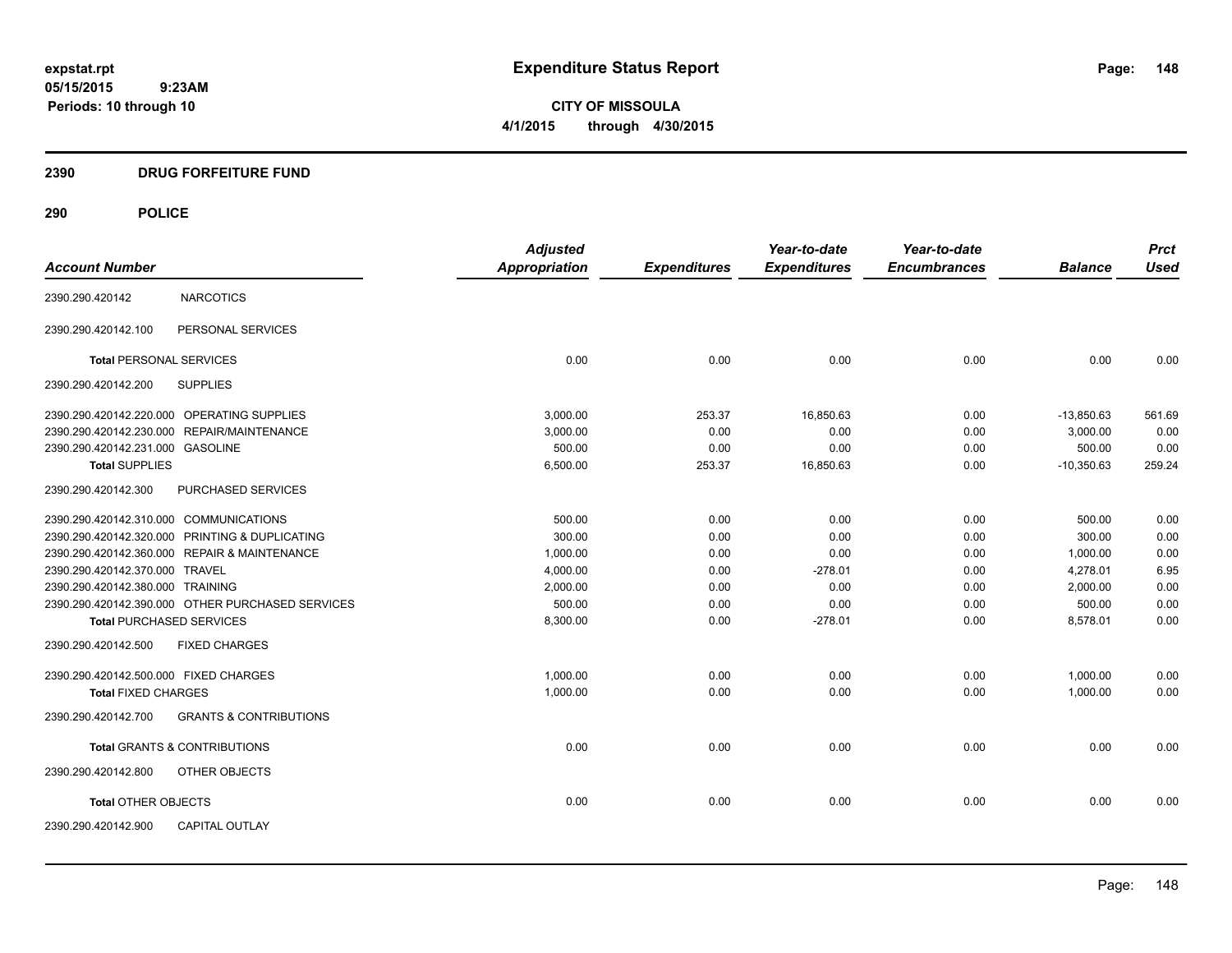**CITY OF MISSOULA 4/1/2015 through 4/30/2015**

# **2390 DRUG FORFEITURE FUND**

| <b>Account Number</b>                  |                                                  | <b>Adjusted</b><br><b>Appropriation</b> |                     | Year-to-date        | Year-to-date<br><b>Encumbrances</b> | <b>Balance</b> | <b>Prct</b><br><b>Used</b> |
|----------------------------------------|--------------------------------------------------|-----------------------------------------|---------------------|---------------------|-------------------------------------|----------------|----------------------------|
|                                        |                                                  |                                         | <b>Expenditures</b> | <b>Expenditures</b> |                                     |                |                            |
| 2390.290.420142                        | <b>NARCOTICS</b>                                 |                                         |                     |                     |                                     |                |                            |
| 2390.290.420142.100                    | PERSONAL SERVICES                                |                                         |                     |                     |                                     |                |                            |
| <b>Total PERSONAL SERVICES</b>         |                                                  | 0.00                                    | 0.00                | 0.00                | 0.00                                | 0.00           | 0.00                       |
| 2390.290.420142.200                    | <b>SUPPLIES</b>                                  |                                         |                     |                     |                                     |                |                            |
|                                        | 2390.290.420142.220.000 OPERATING SUPPLIES       | 3.000.00                                | 253.37              | 16,850.63           | 0.00                                | $-13,850.63$   | 561.69                     |
|                                        | 2390.290.420142.230.000 REPAIR/MAINTENANCE       | 3,000.00                                | 0.00                | 0.00                | 0.00                                | 3.000.00       | 0.00                       |
| 2390.290.420142.231.000 GASOLINE       |                                                  | 500.00                                  | 0.00                | 0.00                | 0.00                                | 500.00         | 0.00                       |
| <b>Total SUPPLIES</b>                  |                                                  | 6,500.00                                | 253.37              | 16,850.63           | 0.00                                | $-10,350.63$   | 259.24                     |
| 2390.290.420142.300                    | PURCHASED SERVICES                               |                                         |                     |                     |                                     |                |                            |
| 2390.290.420142.310.000 COMMUNICATIONS |                                                  | 500.00                                  | 0.00                | 0.00                | 0.00                                | 500.00         | 0.00                       |
|                                        | 2390.290.420142.320.000 PRINTING & DUPLICATING   | 300.00                                  | 0.00                | 0.00                | 0.00                                | 300.00         | 0.00                       |
|                                        | 2390.290.420142.360.000 REPAIR & MAINTENANCE     | 1,000.00                                | 0.00                | 0.00                | 0.00                                | 1,000.00       | 0.00                       |
| 2390.290.420142.370.000 TRAVEL         |                                                  | 4,000.00                                | 0.00                | $-278.01$           | 0.00                                | 4,278.01       | 6.95                       |
| 2390.290.420142.380.000 TRAINING       |                                                  | 2,000.00                                | 0.00                | 0.00                | 0.00                                | 2,000.00       | 0.00                       |
|                                        | 2390.290.420142.390.000 OTHER PURCHASED SERVICES | 500.00                                  | 0.00                | 0.00                | 0.00                                | 500.00         | 0.00                       |
| <b>Total PURCHASED SERVICES</b>        |                                                  | 8,300.00                                | 0.00                | $-278.01$           | 0.00                                | 8,578.01       | 0.00                       |
| 2390.290.420142.500                    | <b>FIXED CHARGES</b>                             |                                         |                     |                     |                                     |                |                            |
| 2390.290.420142.500.000 FIXED CHARGES  |                                                  | 1,000.00                                | 0.00                | 0.00                | 0.00                                | 1,000.00       | 0.00                       |
| <b>Total FIXED CHARGES</b>             |                                                  | 1,000.00                                | 0.00                | 0.00                | 0.00                                | 1,000.00       | 0.00                       |
| 2390.290.420142.700                    | <b>GRANTS &amp; CONTRIBUTIONS</b>                |                                         |                     |                     |                                     |                |                            |
|                                        | <b>Total GRANTS &amp; CONTRIBUTIONS</b>          | 0.00                                    | 0.00                | 0.00                | 0.00                                | 0.00           | 0.00                       |
| 2390.290.420142.800                    | OTHER OBJECTS                                    |                                         |                     |                     |                                     |                |                            |
| <b>Total OTHER OBJECTS</b>             |                                                  | 0.00                                    | 0.00                | 0.00                | 0.00                                | 0.00           | 0.00                       |
| 2390.290.420142.900                    | <b>CAPITAL OUTLAY</b>                            |                                         |                     |                     |                                     |                |                            |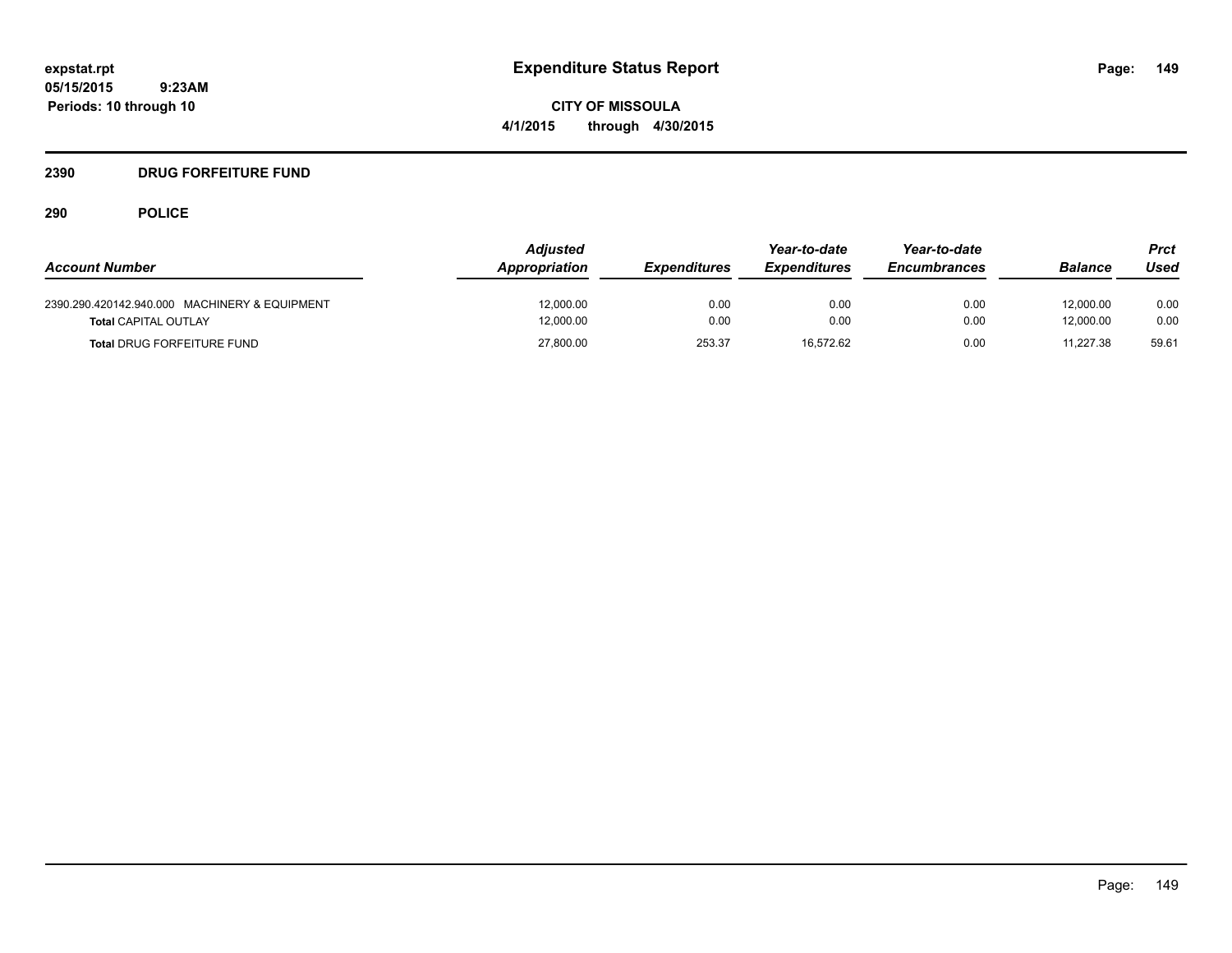**CITY OF MISSOULA 4/1/2015 through 4/30/2015**

# **2390 DRUG FORFEITURE FUND**

| <b>Account Number</b>                                                        | <b>Adjusted</b><br>Appropriation | <b>Expenditures</b> | Year-to-date<br><i><b>Expenditures</b></i> | Year-to-date<br><b>Encumbrances</b> | <b>Balance</b>         | Prct<br>Used |
|------------------------------------------------------------------------------|----------------------------------|---------------------|--------------------------------------------|-------------------------------------|------------------------|--------------|
| 2390.290.420142.940.000 MACHINERY & EQUIPMENT<br><b>Total CAPITAL OUTLAY</b> | 12,000.00<br>12,000.00           | 0.00<br>0.00        | 0.00<br>0.00                               | 0.00<br>0.00                        | 12,000.00<br>12.000.00 | 0.00<br>0.00 |
| <b>Total DRUG FORFEITURE FUND</b>                                            | 27,800.00                        | 253.37              | 16.572.62                                  | 0.00                                | 11.227.38              | 59.61        |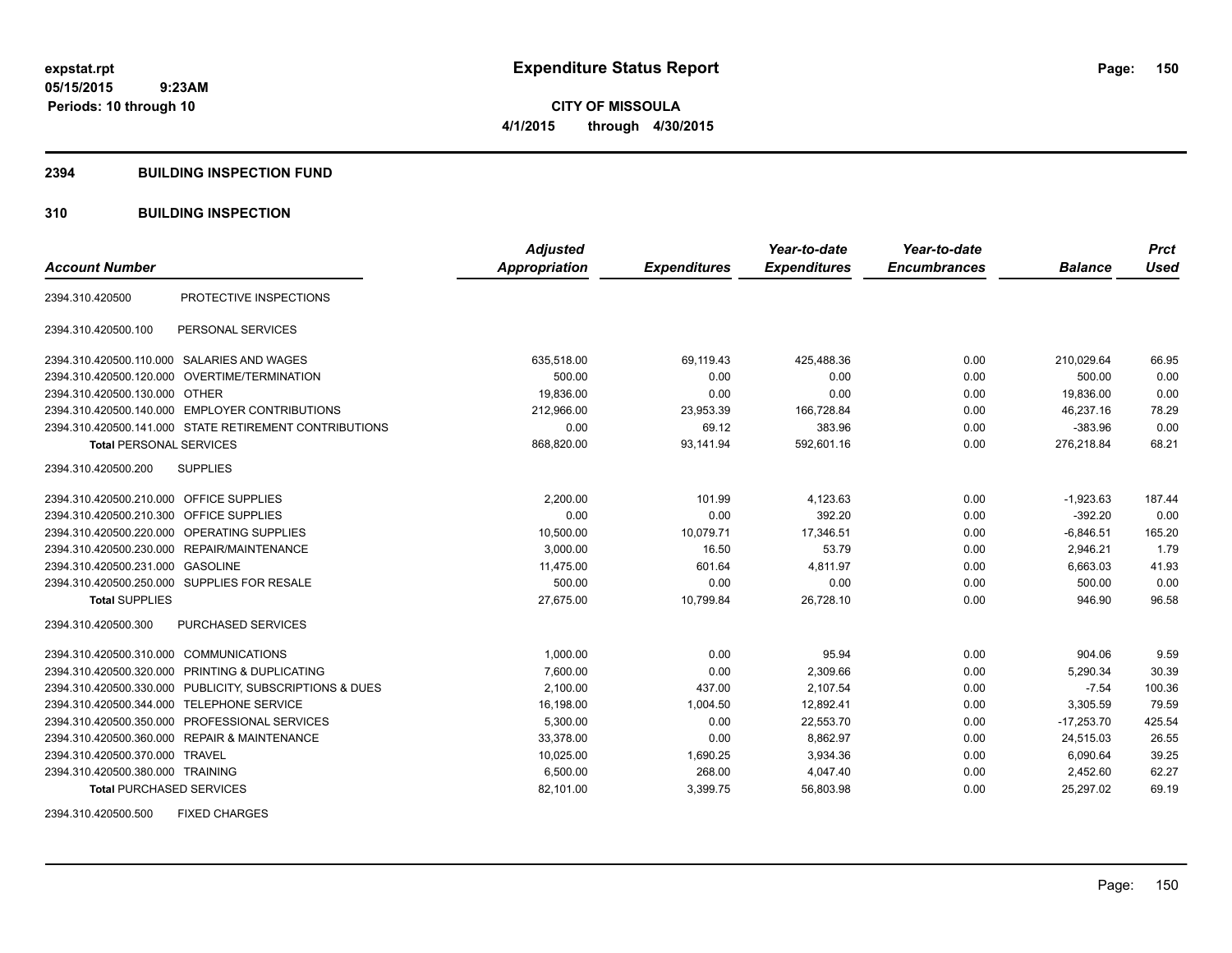**CITY OF MISSOULA 4/1/2015 through 4/30/2015**

#### **2394 BUILDING INSPECTION FUND**

# **310 BUILDING INSPECTION**

|                                            |                                                         | <b>Adjusted</b>      |                     | Year-to-date        | Year-to-date        |                | <b>Prct</b> |
|--------------------------------------------|---------------------------------------------------------|----------------------|---------------------|---------------------|---------------------|----------------|-------------|
| <b>Account Number</b>                      |                                                         | <b>Appropriation</b> | <b>Expenditures</b> | <b>Expenditures</b> | <b>Encumbrances</b> | <b>Balance</b> | <b>Used</b> |
| 2394.310.420500                            | PROTECTIVE INSPECTIONS                                  |                      |                     |                     |                     |                |             |
| 2394.310.420500.100                        | PERSONAL SERVICES                                       |                      |                     |                     |                     |                |             |
| 2394.310.420500.110.000 SALARIES AND WAGES |                                                         | 635,518.00           | 69,119.43           | 425,488.36          | 0.00                | 210.029.64     | 66.95       |
|                                            | 2394.310.420500.120.000 OVERTIME/TERMINATION            | 500.00               | 0.00                | 0.00                | 0.00                | 500.00         | 0.00        |
| 2394.310.420500.130.000 OTHER              |                                                         | 19,836.00            | 0.00                | 0.00                | 0.00                | 19,836.00      | 0.00        |
|                                            | 2394.310.420500.140.000 EMPLOYER CONTRIBUTIONS          | 212,966.00           | 23,953.39           | 166,728.84          | 0.00                | 46,237.16      | 78.29       |
|                                            | 2394.310.420500.141.000 STATE RETIREMENT CONTRIBUTIONS  | 0.00                 | 69.12               | 383.96              | 0.00                | $-383.96$      | 0.00        |
| <b>Total PERSONAL SERVICES</b>             |                                                         | 868,820.00           | 93,141.94           | 592,601.16          | 0.00                | 276,218.84     | 68.21       |
| 2394.310.420500.200                        | <b>SUPPLIES</b>                                         |                      |                     |                     |                     |                |             |
| 2394.310.420500.210.000 OFFICE SUPPLIES    |                                                         | 2,200.00             | 101.99              | 4,123.63            | 0.00                | $-1,923.63$    | 187.44      |
| 2394.310.420500.210.300                    | <b>OFFICE SUPPLIES</b>                                  | 0.00                 | 0.00                | 392.20              | 0.00                | $-392.20$      | 0.00        |
| 2394.310.420500.220.000                    | OPERATING SUPPLIES                                      | 10,500.00            | 10,079.71           | 17.346.51           | 0.00                | $-6.846.51$    | 165.20      |
|                                            | 2394.310.420500.230.000 REPAIR/MAINTENANCE              | 3,000.00             | 16.50               | 53.79               | 0.00                | 2,946.21       | 1.79        |
| 2394.310.420500.231.000                    | <b>GASOLINE</b>                                         | 11,475.00            | 601.64              | 4,811.97            | 0.00                | 6,663.03       | 41.93       |
|                                            | 2394.310.420500.250.000 SUPPLIES FOR RESALE             | 500.00               | 0.00                | 0.00                | 0.00                | 500.00         | 0.00        |
| <b>Total SUPPLIES</b>                      |                                                         | 27.675.00            | 10.799.84           | 26.728.10           | 0.00                | 946.90         | 96.58       |
| 2394.310.420500.300                        | <b>PURCHASED SERVICES</b>                               |                      |                     |                     |                     |                |             |
| 2394.310.420500.310.000 COMMUNICATIONS     |                                                         | 1,000.00             | 0.00                | 95.94               | 0.00                | 904.06         | 9.59        |
|                                            | 2394.310.420500.320.000 PRINTING & DUPLICATING          | 7,600.00             | 0.00                | 2,309.66            | 0.00                | 5,290.34       | 30.39       |
|                                            | 2394.310.420500.330.000 PUBLICITY, SUBSCRIPTIONS & DUES | 2,100.00             | 437.00              | 2,107.54            | 0.00                | $-7.54$        | 100.36      |
| 2394.310.420500.344.000 TELEPHONE SERVICE  |                                                         | 16,198.00            | 1.004.50            | 12,892.41           | 0.00                | 3,305.59       | 79.59       |
|                                            | 2394.310.420500.350.000 PROFESSIONAL SERVICES           | 5,300.00             | 0.00                | 22,553.70           | 0.00                | $-17,253.70$   | 425.54      |
|                                            | 2394.310.420500.360.000 REPAIR & MAINTENANCE            | 33,378.00            | 0.00                | 8,862.97            | 0.00                | 24,515.03      | 26.55       |
| 2394.310.420500.370.000 TRAVEL             |                                                         | 10,025.00            | 1,690.25            | 3,934.36            | 0.00                | 6,090.64       | 39.25       |
| 2394.310.420500.380.000 TRAINING           |                                                         | 6,500.00             | 268.00              | 4,047.40            | 0.00                | 2,452.60       | 62.27       |
| <b>Total PURCHASED SERVICES</b>            |                                                         | 82,101.00            | 3,399.75            | 56,803.98           | 0.00                | 25,297.02      | 69.19       |

2394.310.420500.500 FIXED CHARGES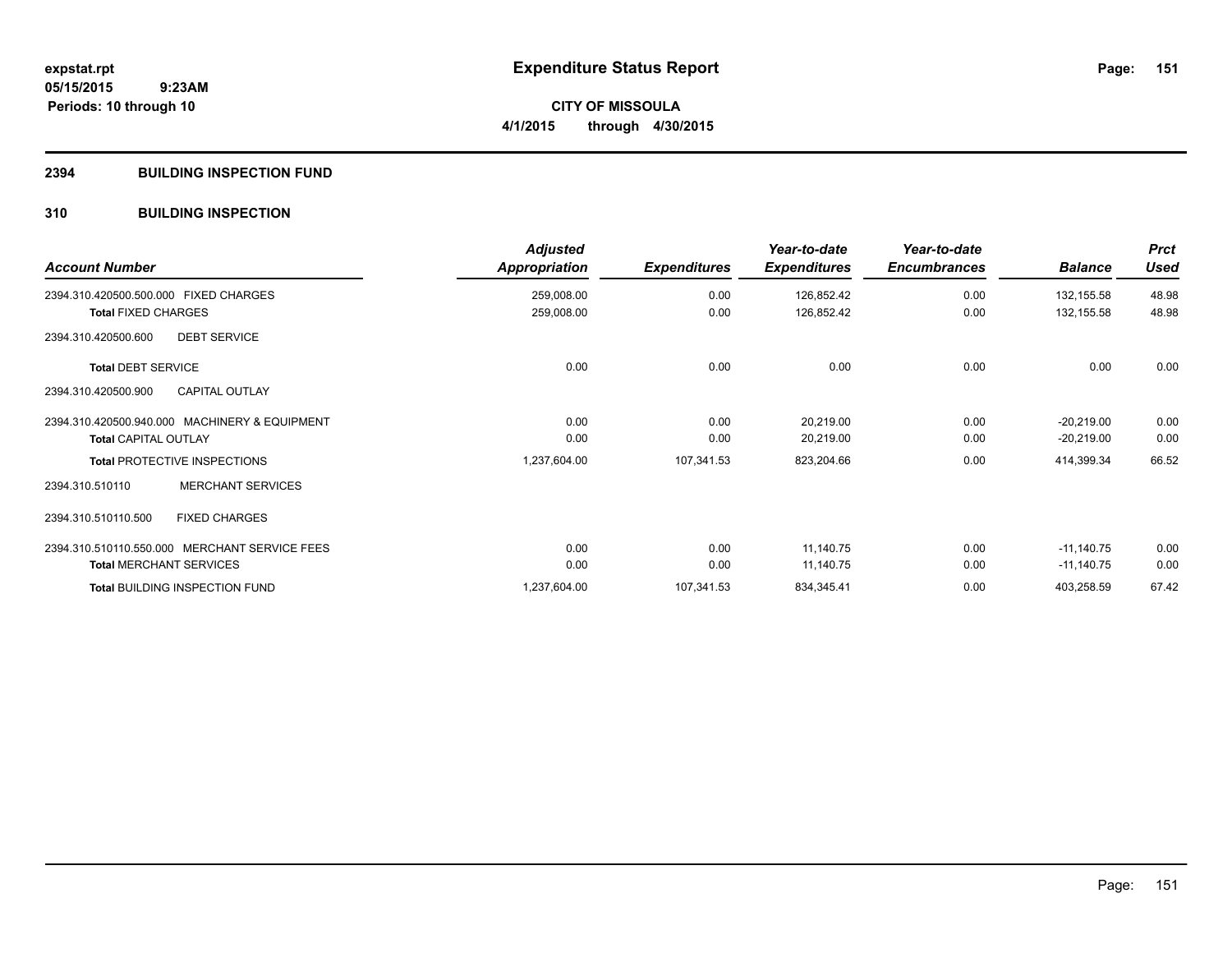**CITY OF MISSOULA 4/1/2015 through 4/30/2015**

#### **2394 BUILDING INSPECTION FUND**

# **310 BUILDING INSPECTION**

| <b>Account Number</b>                         | <b>Adjusted</b><br>Appropriation | <b>Expenditures</b> | Year-to-date<br><b>Expenditures</b> | Year-to-date<br><b>Encumbrances</b> | <b>Balance</b> | <b>Prct</b><br><b>Used</b> |
|-----------------------------------------------|----------------------------------|---------------------|-------------------------------------|-------------------------------------|----------------|----------------------------|
| 2394.310.420500.500.000 FIXED CHARGES         | 259,008.00                       | 0.00                | 126,852.42                          | 0.00                                | 132,155.58     | 48.98                      |
| <b>Total FIXED CHARGES</b>                    | 259,008.00                       | 0.00                | 126,852.42                          | 0.00                                | 132,155.58     | 48.98                      |
| 2394.310.420500.600<br><b>DEBT SERVICE</b>    |                                  |                     |                                     |                                     |                |                            |
| <b>Total DEBT SERVICE</b>                     | 0.00                             | 0.00                | 0.00                                | 0.00                                | 0.00           | 0.00                       |
| <b>CAPITAL OUTLAY</b><br>2394.310.420500.900  |                                  |                     |                                     |                                     |                |                            |
| 2394.310.420500.940.000 MACHINERY & EQUIPMENT | 0.00                             | 0.00                | 20,219.00                           | 0.00                                | $-20,219.00$   | 0.00                       |
| <b>Total CAPITAL OUTLAY</b>                   | 0.00                             | 0.00                | 20,219.00                           | 0.00                                | $-20,219.00$   | 0.00                       |
| <b>Total PROTECTIVE INSPECTIONS</b>           | 1,237,604.00                     | 107,341.53          | 823,204.66                          | 0.00                                | 414,399.34     | 66.52                      |
| <b>MERCHANT SERVICES</b><br>2394.310.510110   |                                  |                     |                                     |                                     |                |                            |
| 2394.310.510110.500<br><b>FIXED CHARGES</b>   |                                  |                     |                                     |                                     |                |                            |
| 2394.310.510110.550.000 MERCHANT SERVICE FEES | 0.00                             | 0.00                | 11,140.75                           | 0.00                                | $-11,140.75$   | 0.00                       |
| <b>Total MERCHANT SERVICES</b>                | 0.00                             | 0.00                | 11,140.75                           | 0.00                                | $-11,140.75$   | 0.00                       |
| <b>Total BUILDING INSPECTION FUND</b>         | 1,237,604.00                     | 107,341.53          | 834,345.41                          | 0.00                                | 403,258.59     | 67.42                      |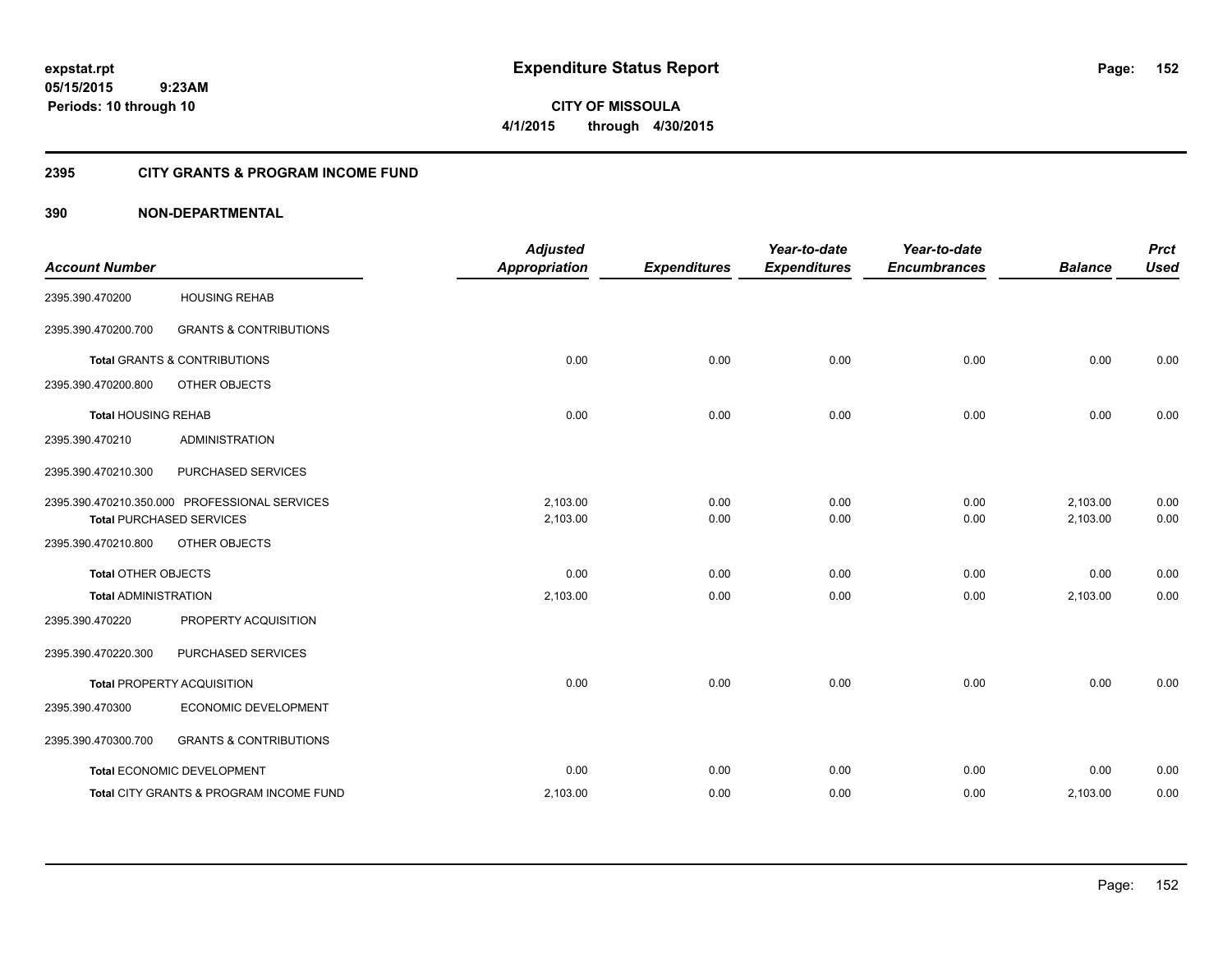**CITY OF MISSOULA 4/1/2015 through 4/30/2015**

# **2395 CITY GRANTS & PROGRAM INCOME FUND**

| <b>Account Number</b>       |                                               | <b>Adjusted</b><br><b>Appropriation</b> | <b>Expenditures</b> | Year-to-date<br><b>Expenditures</b> | Year-to-date<br><b>Encumbrances</b> | <b>Balance</b> | <b>Prct</b><br><b>Used</b> |
|-----------------------------|-----------------------------------------------|-----------------------------------------|---------------------|-------------------------------------|-------------------------------------|----------------|----------------------------|
|                             |                                               |                                         |                     |                                     |                                     |                |                            |
| 2395.390.470200             | <b>HOUSING REHAB</b>                          |                                         |                     |                                     |                                     |                |                            |
| 2395.390.470200.700         | <b>GRANTS &amp; CONTRIBUTIONS</b>             |                                         |                     |                                     |                                     |                |                            |
|                             | <b>Total GRANTS &amp; CONTRIBUTIONS</b>       | 0.00                                    | 0.00                | 0.00                                | 0.00                                | 0.00           | 0.00                       |
| 2395.390.470200.800         | OTHER OBJECTS                                 |                                         |                     |                                     |                                     |                |                            |
| <b>Total HOUSING REHAB</b>  |                                               | 0.00                                    | 0.00                | 0.00                                | 0.00                                | 0.00           | 0.00                       |
| 2395.390.470210             | <b>ADMINISTRATION</b>                         |                                         |                     |                                     |                                     |                |                            |
| 2395.390.470210.300         | PURCHASED SERVICES                            |                                         |                     |                                     |                                     |                |                            |
|                             | 2395.390.470210.350.000 PROFESSIONAL SERVICES | 2,103.00                                | 0.00                | 0.00                                | 0.00                                | 2,103.00       | 0.00                       |
|                             | <b>Total PURCHASED SERVICES</b>               | 2,103.00                                | 0.00                | 0.00                                | 0.00                                | 2,103.00       | 0.00                       |
| 2395.390.470210.800         | OTHER OBJECTS                                 |                                         |                     |                                     |                                     |                |                            |
| <b>Total OTHER OBJECTS</b>  |                                               | 0.00                                    | 0.00                | 0.00                                | 0.00                                | 0.00           | 0.00                       |
| <b>Total ADMINISTRATION</b> |                                               | 2,103.00                                | 0.00                | 0.00                                | 0.00                                | 2,103.00       | 0.00                       |
| 2395.390.470220             | PROPERTY ACQUISITION                          |                                         |                     |                                     |                                     |                |                            |
| 2395.390.470220.300         | PURCHASED SERVICES                            |                                         |                     |                                     |                                     |                |                            |
|                             | <b>Total PROPERTY ACQUISITION</b>             | 0.00                                    | 0.00                | 0.00                                | 0.00                                | 0.00           | 0.00                       |
| 2395.390.470300             | ECONOMIC DEVELOPMENT                          |                                         |                     |                                     |                                     |                |                            |
| 2395.390.470300.700         | <b>GRANTS &amp; CONTRIBUTIONS</b>             |                                         |                     |                                     |                                     |                |                            |
|                             | Total ECONOMIC DEVELOPMENT                    | 0.00                                    | 0.00                | 0.00                                | 0.00                                | 0.00           | 0.00                       |
|                             | Total CITY GRANTS & PROGRAM INCOME FUND       | 2,103.00                                | 0.00                | 0.00                                | 0.00                                | 2,103.00       | 0.00                       |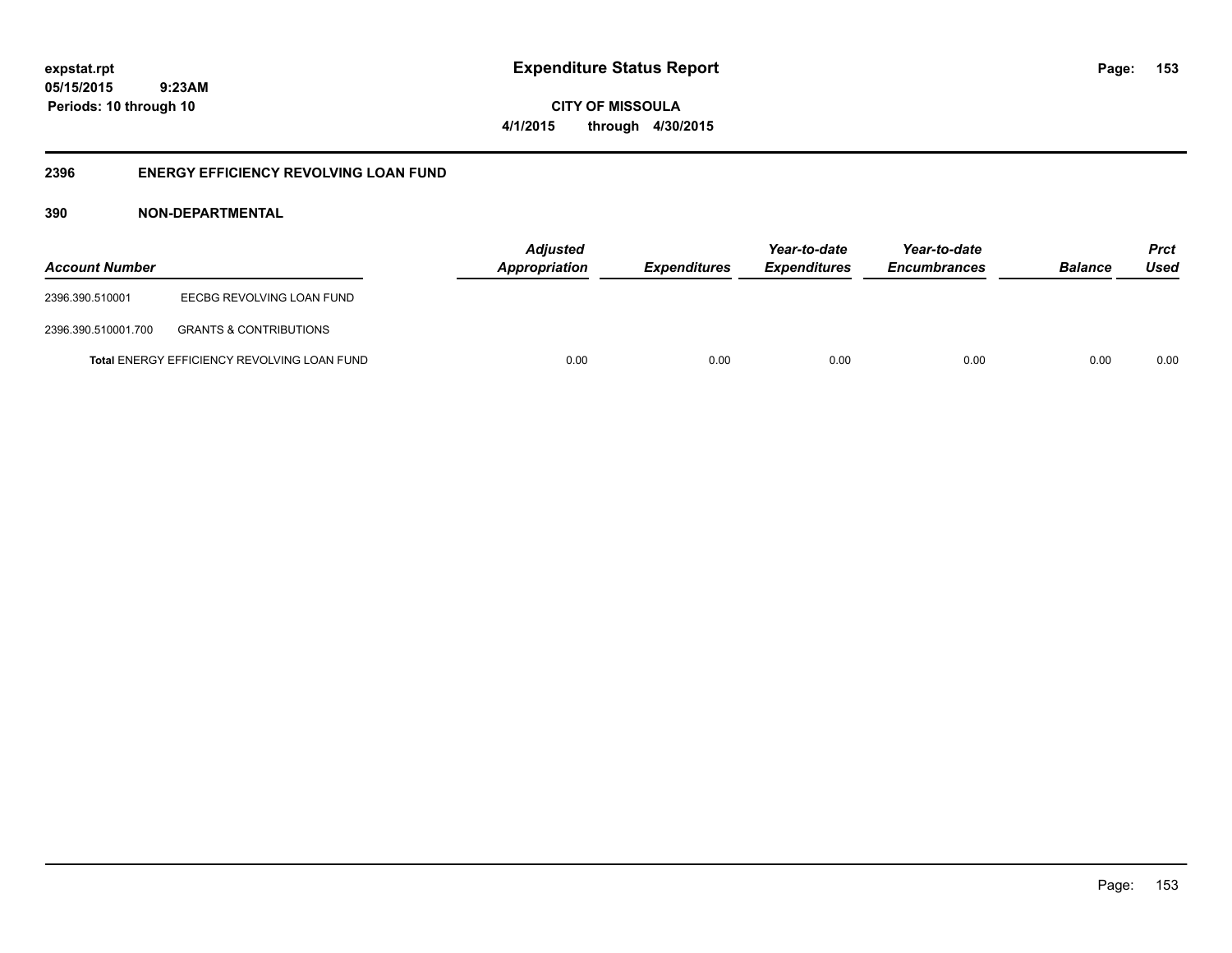**05/15/2015 9:23AM Periods: 10 through 10**

**CITY OF MISSOULA 4/1/2015 through 4/30/2015**

# **2396 ENERGY EFFICIENCY REVOLVING LOAN FUND**

| <b>Account Number</b> |                                             | <b>Adjusted</b><br>Appropriation | <i><b>Expenditures</b></i> | Year-to-date<br><b>Expenditures</b> | Year-to-date<br><b>Encumbrances</b> | <b>Balance</b> | <b>Prct</b><br>Used |
|-----------------------|---------------------------------------------|----------------------------------|----------------------------|-------------------------------------|-------------------------------------|----------------|---------------------|
| 2396.390.510001       | EECBG REVOLVING LOAN FUND                   |                                  |                            |                                     |                                     |                |                     |
| 2396.390.510001.700   | <b>GRANTS &amp; CONTRIBUTIONS</b>           |                                  |                            |                                     |                                     |                |                     |
|                       | Total ENERGY EFFICIENCY REVOLVING LOAN FUND | 0.00                             | 0.00                       | 0.00                                | 0.00                                | 0.00           | 0.00                |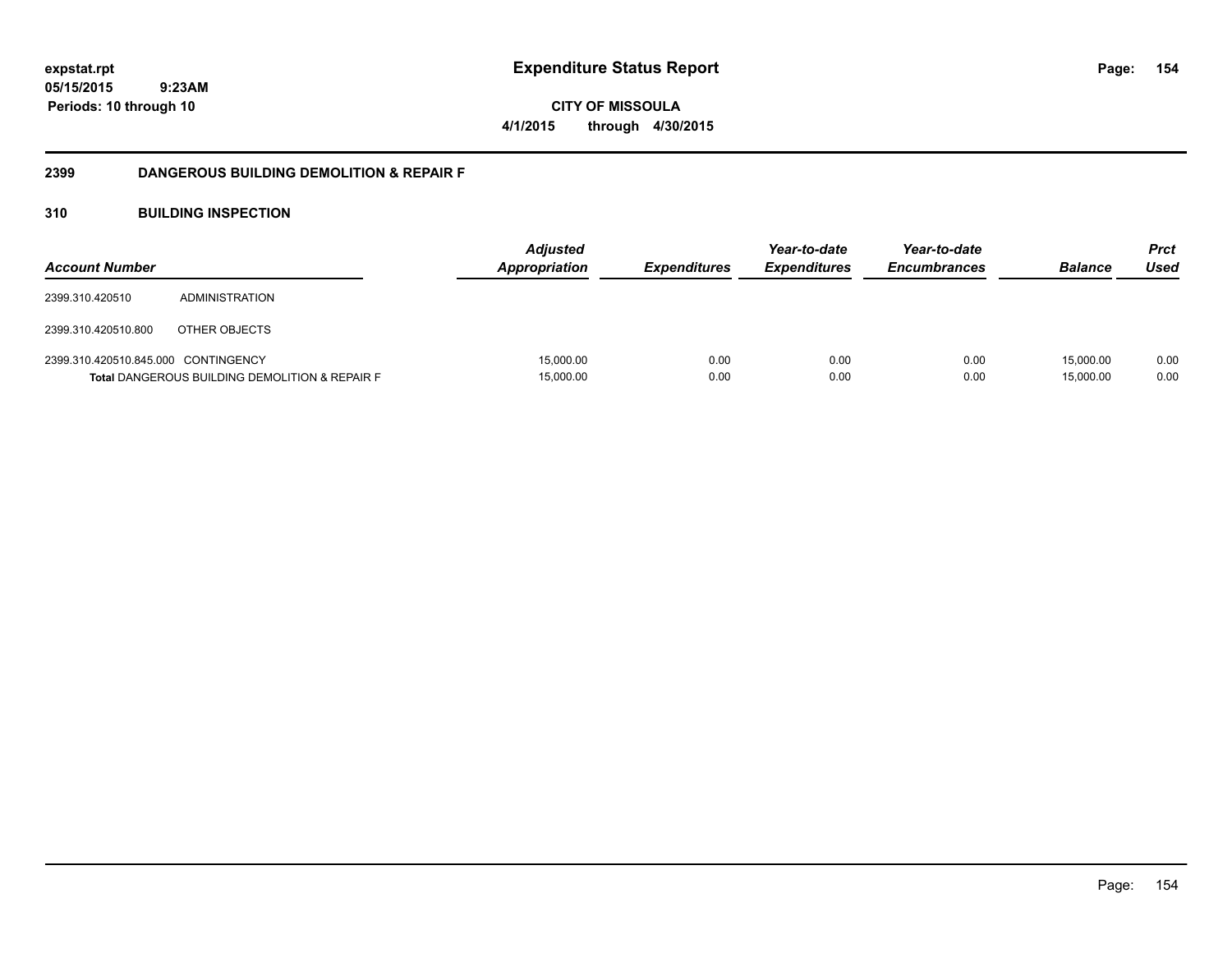**05/15/2015 9:23AM Periods: 10 through 10**

**CITY OF MISSOULA 4/1/2015 through 4/30/2015**

# **2399 DANGEROUS BUILDING DEMOLITION & REPAIR F**

# **310 BUILDING INSPECTION**

| <b>Account Number</b>               |                                                           | <b>Adjusted</b><br><b>Appropriation</b> | <i><b>Expenditures</b></i> | Year-to-date<br><i><b>Expenditures</b></i> | Year-to-date<br><b>Encumbrances</b> | <b>Balance</b>         | <b>Prct</b><br>Used |
|-------------------------------------|-----------------------------------------------------------|-----------------------------------------|----------------------------|--------------------------------------------|-------------------------------------|------------------------|---------------------|
| 2399.310.420510                     | ADMINISTRATION                                            |                                         |                            |                                            |                                     |                        |                     |
| 2399.310.420510.800                 | OTHER OBJECTS                                             |                                         |                            |                                            |                                     |                        |                     |
| 2399.310.420510.845.000 CONTINGENCY | <b>Total DANGEROUS BUILDING DEMOLITION &amp; REPAIR F</b> | 15,000.00<br>15,000.00                  | 0.00<br>0.00               | 0.00<br>0.00                               | 0.00<br>0.00                        | 15.000.00<br>15,000.00 | 0.00<br>0.00        |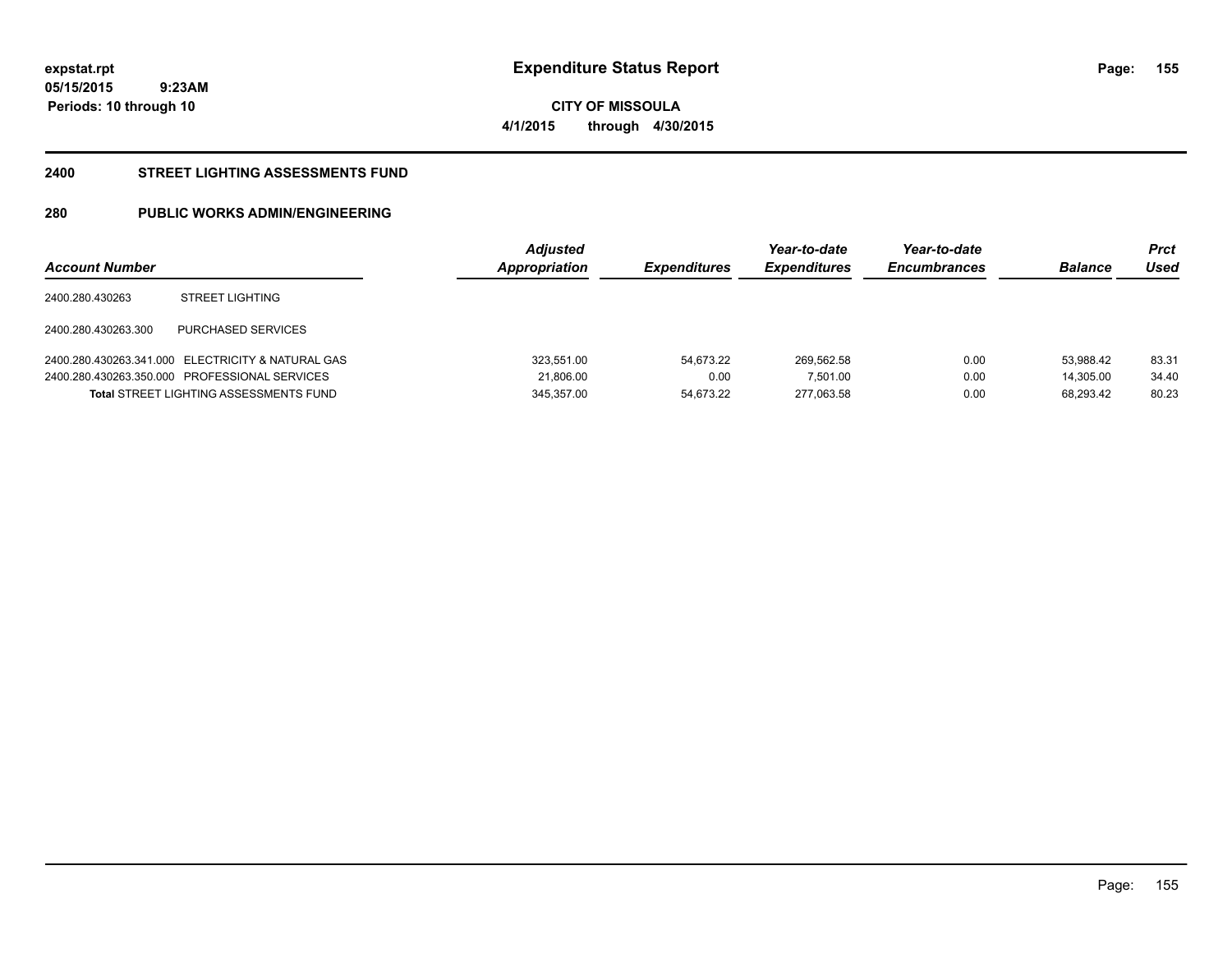**05/15/2015 9:23AM Periods: 10 through 10**

**CITY OF MISSOULA 4/1/2015 through 4/30/2015**

#### **2400 STREET LIGHTING ASSESSMENTS FUND**

# **280 PUBLIC WORKS ADMIN/ENGINEERING**

| <b>Account Number</b> |                                                   | <b>Adjusted</b><br>Appropriation | <b>Expenditures</b> | Year-to-date<br><b>Expenditures</b> | Year-to-date<br><b>Encumbrances</b> | <b>Balance</b> | Prct<br>Used |
|-----------------------|---------------------------------------------------|----------------------------------|---------------------|-------------------------------------|-------------------------------------|----------------|--------------|
| 2400.280.430263       | <b>STREET LIGHTING</b>                            |                                  |                     |                                     |                                     |                |              |
| 2400.280.430263.300   | PURCHASED SERVICES                                |                                  |                     |                                     |                                     |                |              |
|                       | 2400.280.430263.341.000 ELECTRICITY & NATURAL GAS | 323,551.00                       | 54.673.22           | 269,562.58                          | 0.00                                | 53.988.42      | 83.31        |
|                       | 2400.280.430263.350.000 PROFESSIONAL SERVICES     | 21,806.00                        | 0.00                | 7,501.00                            | 0.00                                | 14.305.00      | 34.40        |
|                       | <b>Total STREET LIGHTING ASSESSMENTS FUND</b>     | 345.357.00                       | 54.673.22           | 277.063.58                          | 0.00                                | 68.293.42      | 80.23        |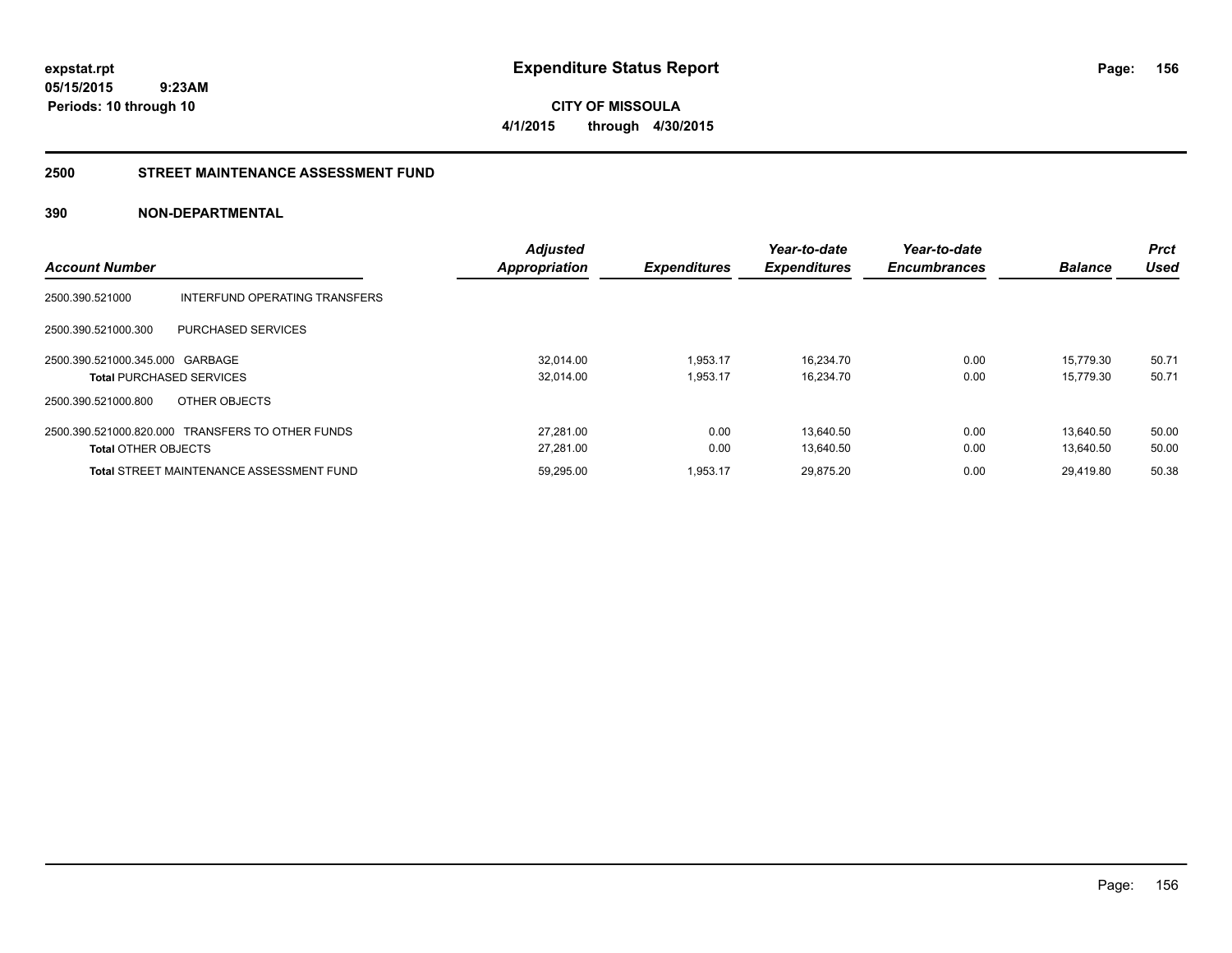**CITY OF MISSOULA 4/1/2015 through 4/30/2015**

#### **2500 STREET MAINTENANCE ASSESSMENT FUND**

| <b>Account Number</b>                                              |                                                  | <b>Adjusted</b><br><b>Appropriation</b> | <b>Expenditures</b>  | Year-to-date<br><b>Expenditures</b> | Year-to-date<br><b>Encumbrances</b> | <b>Balance</b>         | <b>Prct</b><br>Used |
|--------------------------------------------------------------------|--------------------------------------------------|-----------------------------------------|----------------------|-------------------------------------|-------------------------------------|------------------------|---------------------|
| 2500.390.521000                                                    | INTERFUND OPERATING TRANSFERS                    |                                         |                      |                                     |                                     |                        |                     |
| 2500.390.521000.300                                                | PURCHASED SERVICES                               |                                         |                      |                                     |                                     |                        |                     |
| 2500.390.521000.345.000 GARBAGE<br><b>Total PURCHASED SERVICES</b> |                                                  | 32,014.00<br>32.014.00                  | 1,953.17<br>1.953.17 | 16,234.70<br>16.234.70              | 0.00<br>0.00                        | 15.779.30<br>15.779.30 | 50.71<br>50.71      |
| 2500.390.521000.800                                                | OTHER OBJECTS                                    |                                         |                      |                                     |                                     |                        |                     |
| <b>Total OTHER OBJECTS</b>                                         | 2500.390.521000.820.000 TRANSFERS TO OTHER FUNDS | 27.281.00<br>27,281.00                  | 0.00<br>0.00         | 13.640.50<br>13,640.50              | 0.00<br>0.00                        | 13.640.50<br>13.640.50 | 50.00<br>50.00      |
|                                                                    | <b>Total STREET MAINTENANCE ASSESSMENT FUND</b>  | 59,295.00                               | 1,953.17             | 29,875.20                           | 0.00                                | 29,419.80              | 50.38               |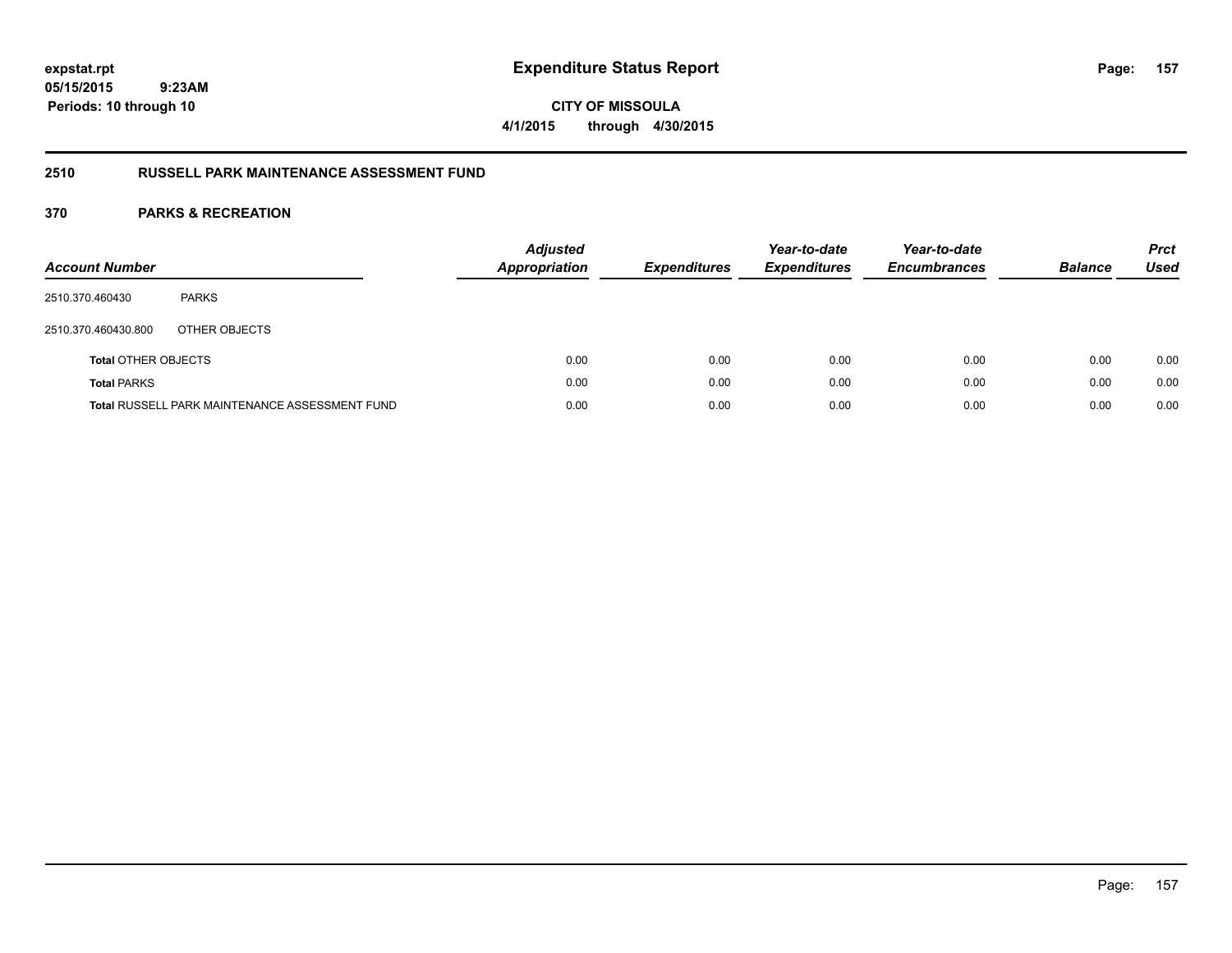**CITY OF MISSOULA 4/1/2015 through 4/30/2015**

# **2510 RUSSELL PARK MAINTENANCE ASSESSMENT FUND**

| <b>Account Number</b>      |                                                       | <b>Adjusted</b><br><b>Appropriation</b> | <b>Expenditures</b> | Year-to-date<br><b>Expenditures</b> | Year-to-date<br><b>Encumbrances</b> | <b>Balance</b> | <b>Prct</b><br>Used |
|----------------------------|-------------------------------------------------------|-----------------------------------------|---------------------|-------------------------------------|-------------------------------------|----------------|---------------------|
| 2510.370.460430            | <b>PARKS</b>                                          |                                         |                     |                                     |                                     |                |                     |
| 2510.370.460430.800        | OTHER OBJECTS                                         |                                         |                     |                                     |                                     |                |                     |
| <b>Total OTHER OBJECTS</b> |                                                       | 0.00                                    | 0.00                | 0.00                                | 0.00                                | 0.00           | 0.00                |
| <b>Total PARKS</b>         |                                                       | 0.00                                    | 0.00                | 0.00                                | 0.00                                | 0.00           | 0.00                |
|                            | <b>Total RUSSELL PARK MAINTENANCE ASSESSMENT FUND</b> | 0.00                                    | 0.00                | 0.00                                | 0.00                                | 0.00           | 0.00                |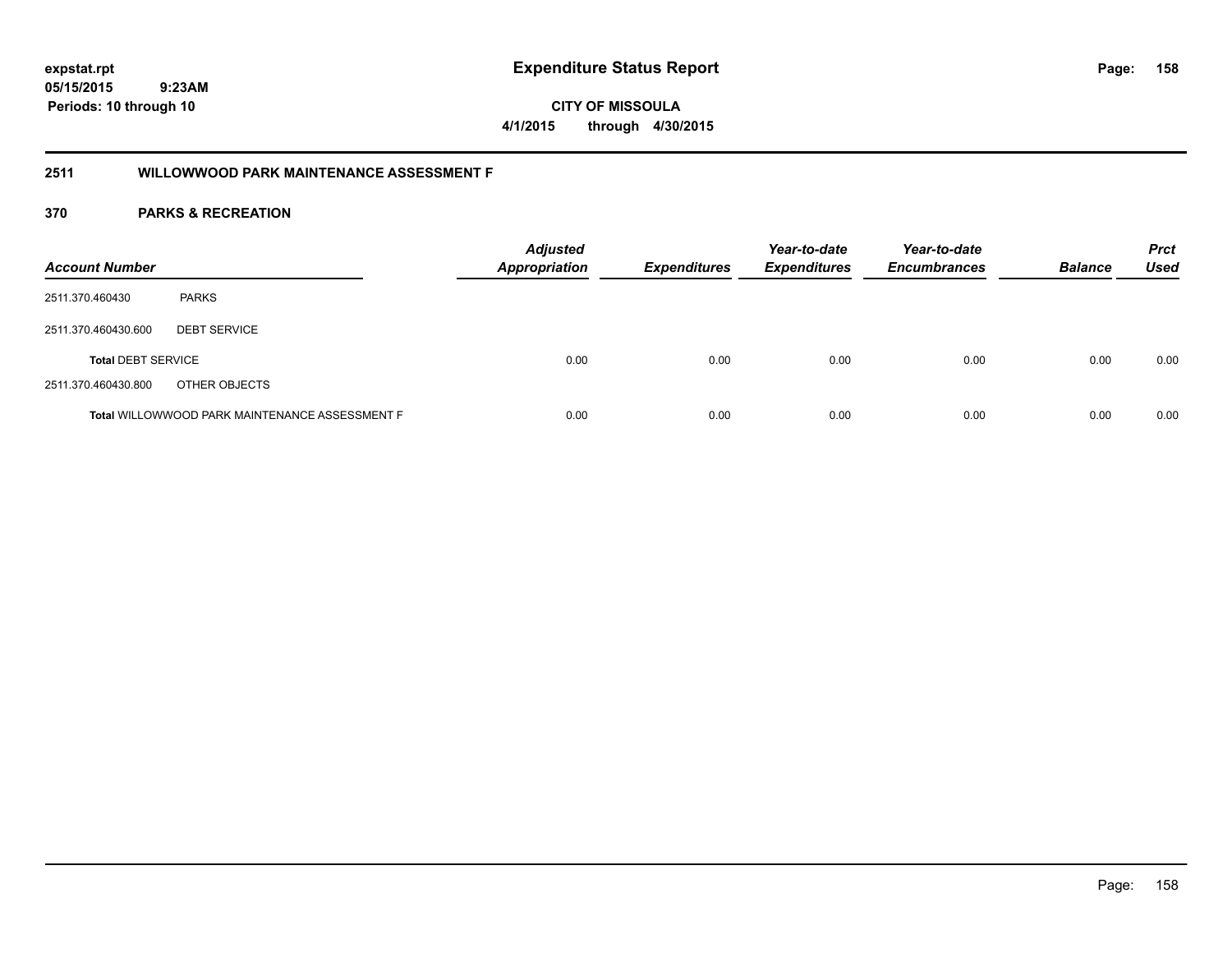**05/15/2015 9:23AM Periods: 10 through 10**

**CITY OF MISSOULA 4/1/2015 through 4/30/2015**

# **2511 WILLOWWOOD PARK MAINTENANCE ASSESSMENT F**

| <b>Account Number</b>     |                                                | <b>Adjusted</b><br><b>Appropriation</b> | <b>Expenditures</b> | Year-to-date<br><b>Expenditures</b> | Year-to-date<br><b>Encumbrances</b> | <b>Balance</b> | <b>Prct</b><br><b>Used</b> |
|---------------------------|------------------------------------------------|-----------------------------------------|---------------------|-------------------------------------|-------------------------------------|----------------|----------------------------|
| 2511.370.460430           | <b>PARKS</b>                                   |                                         |                     |                                     |                                     |                |                            |
| 2511.370.460430.600       | <b>DEBT SERVICE</b>                            |                                         |                     |                                     |                                     |                |                            |
| <b>Total DEBT SERVICE</b> |                                                | 0.00                                    | 0.00                | 0.00                                | 0.00                                | 0.00           | 0.00                       |
| 2511.370.460430.800       | OTHER OBJECTS                                  |                                         |                     |                                     |                                     |                |                            |
|                           | Total WILLOWWOOD PARK MAINTENANCE ASSESSMENT F | 0.00                                    | 0.00                | 0.00                                | 0.00                                | 0.00           | 0.00                       |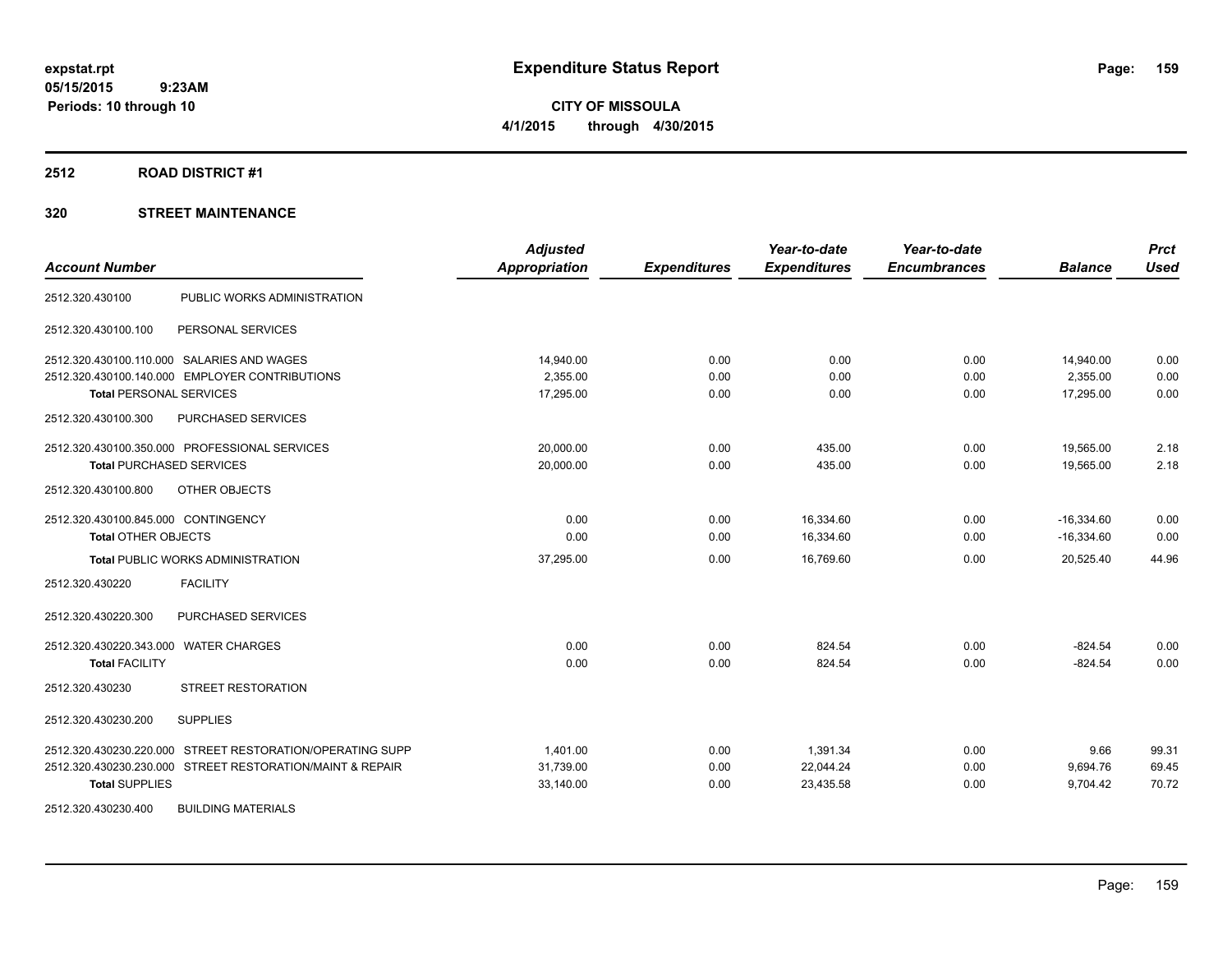**CITY OF MISSOULA 4/1/2015 through 4/30/2015**

#### **2512 ROAD DISTRICT #1**

# **320 STREET MAINTENANCE**

| <b>Account Number</b>                                     | <b>Adjusted</b><br><b>Appropriation</b> | <b>Expenditures</b> | Year-to-date<br><b>Expenditures</b> | Year-to-date<br><b>Encumbrances</b> | <b>Balance</b> | <b>Prct</b><br><b>Used</b> |
|-----------------------------------------------------------|-----------------------------------------|---------------------|-------------------------------------|-------------------------------------|----------------|----------------------------|
| PUBLIC WORKS ADMINISTRATION<br>2512.320.430100            |                                         |                     |                                     |                                     |                |                            |
| PERSONAL SERVICES<br>2512.320.430100.100                  |                                         |                     |                                     |                                     |                |                            |
| 2512.320.430100.110.000 SALARIES AND WAGES                | 14,940.00                               | 0.00                | 0.00                                | 0.00                                | 14,940.00      | 0.00                       |
| 2512.320.430100.140.000 EMPLOYER CONTRIBUTIONS            | 2,355.00                                | 0.00                | 0.00                                | 0.00                                | 2,355.00       | 0.00                       |
| <b>Total PERSONAL SERVICES</b>                            | 17,295.00                               | 0.00                | 0.00                                | 0.00                                | 17,295.00      | 0.00                       |
| PURCHASED SERVICES<br>2512.320.430100.300                 |                                         |                     |                                     |                                     |                |                            |
| 2512.320.430100.350.000 PROFESSIONAL SERVICES             | 20,000.00                               | 0.00                | 435.00                              | 0.00                                | 19,565.00      | 2.18                       |
| <b>Total PURCHASED SERVICES</b>                           | 20,000.00                               | 0.00                | 435.00                              | 0.00                                | 19,565.00      | 2.18                       |
| OTHER OBJECTS<br>2512.320.430100.800                      |                                         |                     |                                     |                                     |                |                            |
| 2512.320.430100.845.000 CONTINGENCY                       | 0.00                                    | 0.00                | 16.334.60                           | 0.00                                | $-16.334.60$   | 0.00                       |
| <b>Total OTHER OBJECTS</b>                                | 0.00                                    | 0.00                | 16,334.60                           | 0.00                                | $-16,334.60$   | 0.00                       |
| <b>Total PUBLIC WORKS ADMINISTRATION</b>                  | 37,295.00                               | 0.00                | 16,769.60                           | 0.00                                | 20,525.40      | 44.96                      |
| <b>FACILITY</b><br>2512.320.430220                        |                                         |                     |                                     |                                     |                |                            |
| 2512.320.430220.300<br>PURCHASED SERVICES                 |                                         |                     |                                     |                                     |                |                            |
| 2512.320.430220.343.000 WATER CHARGES                     | 0.00                                    | 0.00                | 824.54                              | 0.00                                | $-824.54$      | 0.00                       |
| <b>Total FACILITY</b>                                     | 0.00                                    | 0.00                | 824.54                              | 0.00                                | $-824.54$      | 0.00                       |
| <b>STREET RESTORATION</b><br>2512.320.430230              |                                         |                     |                                     |                                     |                |                            |
| 2512.320.430230.200<br><b>SUPPLIES</b>                    |                                         |                     |                                     |                                     |                |                            |
| 2512.320.430230.220.000 STREET RESTORATION/OPERATING SUPP | 1,401.00                                | 0.00                | 1,391.34                            | 0.00                                | 9.66           | 99.31                      |
| 2512.320.430230.230.000 STREET RESTORATION/MAINT & REPAIR | 31,739.00                               | 0.00                | 22,044.24                           | 0.00                                | 9,694.76       | 69.45                      |
| <b>Total SUPPLIES</b>                                     | 33,140.00                               | 0.00                | 23,435.58                           | 0.00                                | 9,704.42       | 70.72                      |
| 2512.320.430230.400<br><b>BUILDING MATERIALS</b>          |                                         |                     |                                     |                                     |                |                            |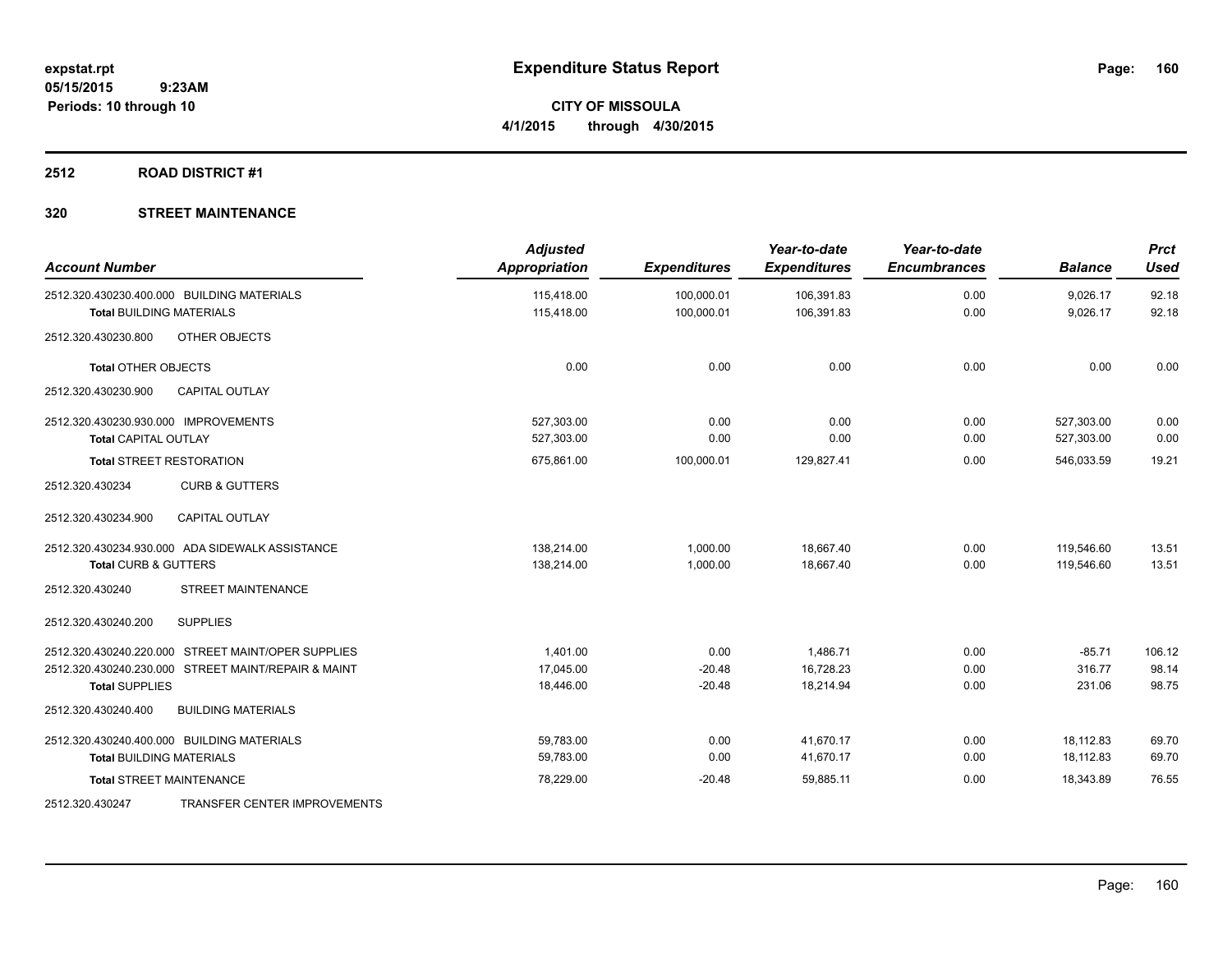**CITY OF MISSOULA 4/1/2015 through 4/30/2015**

# **2512 ROAD DISTRICT #1**

# **320 STREET MAINTENANCE**

| <b>Account Number</b>                               | <b>Adjusted</b><br><b>Appropriation</b> | <b>Expenditures</b> | Year-to-date<br><b>Expenditures</b> | Year-to-date<br><b>Encumbrances</b> | <b>Balance</b> | <b>Prct</b><br><b>Used</b> |
|-----------------------------------------------------|-----------------------------------------|---------------------|-------------------------------------|-------------------------------------|----------------|----------------------------|
| 2512.320.430230.400.000 BUILDING MATERIALS          | 115,418.00                              | 100,000.01          | 106,391.83                          | 0.00                                | 9,026.17       | 92.18                      |
| <b>Total BUILDING MATERIALS</b>                     | 115,418.00                              | 100,000.01          | 106,391.83                          | 0.00                                | 9,026.17       | 92.18                      |
| OTHER OBJECTS<br>2512.320.430230.800                |                                         |                     |                                     |                                     |                |                            |
| <b>Total OTHER OBJECTS</b>                          | 0.00                                    | 0.00                | 0.00                                | 0.00                                | 0.00           | 0.00                       |
| 2512.320.430230.900<br><b>CAPITAL OUTLAY</b>        |                                         |                     |                                     |                                     |                |                            |
| 2512.320.430230.930.000 IMPROVEMENTS                | 527,303.00                              | 0.00                | 0.00                                | 0.00                                | 527,303.00     | 0.00                       |
| <b>Total CAPITAL OUTLAY</b>                         | 527,303.00                              | 0.00                | 0.00                                | 0.00                                | 527,303.00     | 0.00                       |
| <b>Total STREET RESTORATION</b>                     | 675,861.00                              | 100,000.01          | 129,827.41                          | 0.00                                | 546,033.59     | 19.21                      |
| 2512.320.430234<br><b>CURB &amp; GUTTERS</b>        |                                         |                     |                                     |                                     |                |                            |
| <b>CAPITAL OUTLAY</b><br>2512.320.430234.900        |                                         |                     |                                     |                                     |                |                            |
| 2512.320.430234.930.000 ADA SIDEWALK ASSISTANCE     | 138,214.00                              | 1,000.00            | 18,667.40                           | 0.00                                | 119,546.60     | 13.51                      |
| <b>Total CURB &amp; GUTTERS</b>                     | 138,214.00                              | 1,000.00            | 18,667.40                           | 0.00                                | 119,546.60     | 13.51                      |
| <b>STREET MAINTENANCE</b><br>2512.320.430240        |                                         |                     |                                     |                                     |                |                            |
| 2512.320.430240.200<br><b>SUPPLIES</b>              |                                         |                     |                                     |                                     |                |                            |
| 2512.320.430240.220.000 STREET MAINT/OPER SUPPLIES  | 1,401.00                                | 0.00                | 1,486.71                            | 0.00                                | $-85.71$       | 106.12                     |
| 2512.320.430240.230.000 STREET MAINT/REPAIR & MAINT | 17,045.00                               | $-20.48$            | 16,728.23                           | 0.00                                | 316.77         | 98.14                      |
| <b>Total SUPPLIES</b>                               | 18,446.00                               | $-20.48$            | 18.214.94                           | 0.00                                | 231.06         | 98.75                      |
| 2512.320.430240.400<br><b>BUILDING MATERIALS</b>    |                                         |                     |                                     |                                     |                |                            |
| 2512.320.430240.400.000 BUILDING MATERIALS          | 59,783.00                               | 0.00                | 41,670.17                           | 0.00                                | 18,112.83      | 69.70                      |
| <b>Total BUILDING MATERIALS</b>                     | 59,783.00                               | 0.00                | 41,670.17                           | 0.00                                | 18,112.83      | 69.70                      |
| <b>Total STREET MAINTENANCE</b>                     | 78,229.00                               | $-20.48$            | 59,885.11                           | 0.00                                | 18,343.89      | 76.55                      |
| TRANSFER CENTER IMPROVEMENTS<br>2512.320.430247     |                                         |                     |                                     |                                     |                |                            |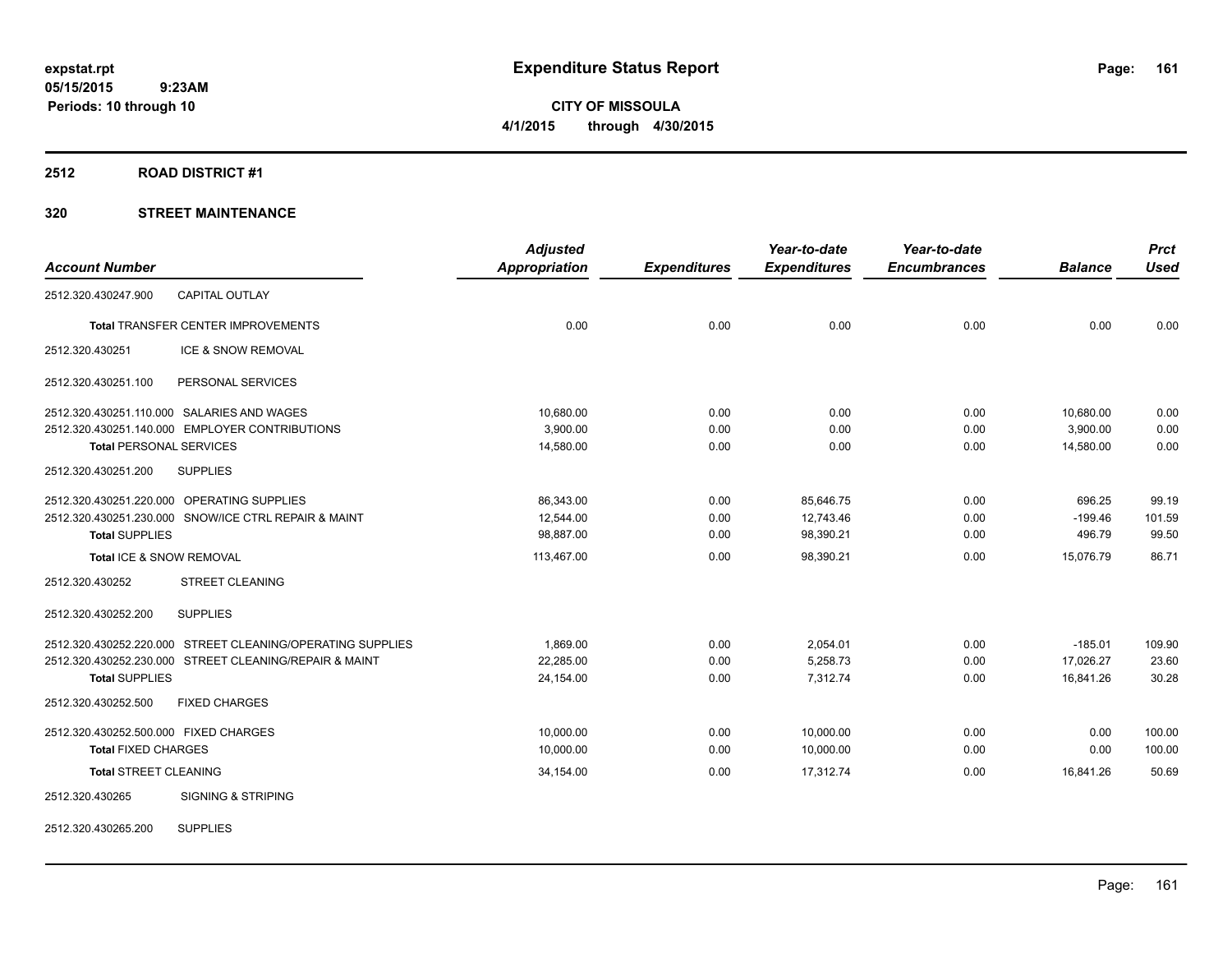**CITY OF MISSOULA 4/1/2015 through 4/30/2015**

#### **2512 ROAD DISTRICT #1**

# **320 STREET MAINTENANCE**

|                                       |                                                            | <b>Adjusted</b>      |                     | Year-to-date        | Year-to-date        |                | <b>Prct</b> |
|---------------------------------------|------------------------------------------------------------|----------------------|---------------------|---------------------|---------------------|----------------|-------------|
| <b>Account Number</b>                 |                                                            | <b>Appropriation</b> | <b>Expenditures</b> | <b>Expenditures</b> | <b>Encumbrances</b> | <b>Balance</b> | <b>Used</b> |
| 2512.320.430247.900                   | <b>CAPITAL OUTLAY</b>                                      |                      |                     |                     |                     |                |             |
|                                       | <b>Total TRANSFER CENTER IMPROVEMENTS</b>                  | 0.00                 | 0.00                | 0.00                | 0.00                | 0.00           | 0.00        |
| 2512.320.430251                       | ICE & SNOW REMOVAL                                         |                      |                     |                     |                     |                |             |
| 2512.320.430251.100                   | PERSONAL SERVICES                                          |                      |                     |                     |                     |                |             |
|                                       | 2512.320.430251.110.000 SALARIES AND WAGES                 | 10,680.00            | 0.00                | 0.00                | 0.00                | 10,680.00      | 0.00        |
|                                       | 2512.320.430251.140.000 EMPLOYER CONTRIBUTIONS             | 3,900.00             | 0.00                | 0.00                | 0.00                | 3,900.00       | 0.00        |
| <b>Total PERSONAL SERVICES</b>        |                                                            | 14,580.00            | 0.00                | 0.00                | 0.00                | 14,580.00      | 0.00        |
| 2512.320.430251.200                   | <b>SUPPLIES</b>                                            |                      |                     |                     |                     |                |             |
|                                       | 2512.320.430251.220.000 OPERATING SUPPLIES                 | 86,343.00            | 0.00                | 85,646.75           | 0.00                | 696.25         | 99.19       |
|                                       | 2512.320.430251.230.000 SNOW/ICE CTRL REPAIR & MAINT       | 12,544.00            | 0.00                | 12,743.46           | 0.00                | $-199.46$      | 101.59      |
| <b>Total SUPPLIES</b>                 |                                                            | 98,887.00            | 0.00                | 98,390.21           | 0.00                | 496.79         | 99.50       |
| Total ICE & SNOW REMOVAL              |                                                            | 113,467.00           | 0.00                | 98,390.21           | 0.00                | 15,076.79      | 86.71       |
| 2512.320.430252                       | <b>STREET CLEANING</b>                                     |                      |                     |                     |                     |                |             |
| 2512.320.430252.200                   | <b>SUPPLIES</b>                                            |                      |                     |                     |                     |                |             |
|                                       | 2512.320.430252.220.000 STREET CLEANING/OPERATING SUPPLIES | 1.869.00             | 0.00                | 2,054.01            | 0.00                | $-185.01$      | 109.90      |
|                                       | 2512.320.430252.230.000 STREET CLEANING/REPAIR & MAINT     | 22.285.00            | 0.00                | 5.258.73            | 0.00                | 17,026.27      | 23.60       |
| <b>Total SUPPLIES</b>                 |                                                            | 24,154.00            | 0.00                | 7,312.74            | 0.00                | 16,841.26      | 30.28       |
| 2512.320.430252.500                   | <b>FIXED CHARGES</b>                                       |                      |                     |                     |                     |                |             |
| 2512.320.430252.500.000 FIXED CHARGES |                                                            | 10,000.00            | 0.00                | 10,000.00           | 0.00                | 0.00           | 100.00      |
| <b>Total FIXED CHARGES</b>            |                                                            | 10,000.00            | 0.00                | 10,000.00           | 0.00                | 0.00           | 100.00      |
| <b>Total STREET CLEANING</b>          |                                                            | 34,154.00            | 0.00                | 17,312.74           | 0.00                | 16,841.26      | 50.69       |
| 2512.320.430265                       | <b>SIGNING &amp; STRIPING</b>                              |                      |                     |                     |                     |                |             |
|                                       |                                                            |                      |                     |                     |                     |                |             |

2512.320.430265.200 SUPPLIES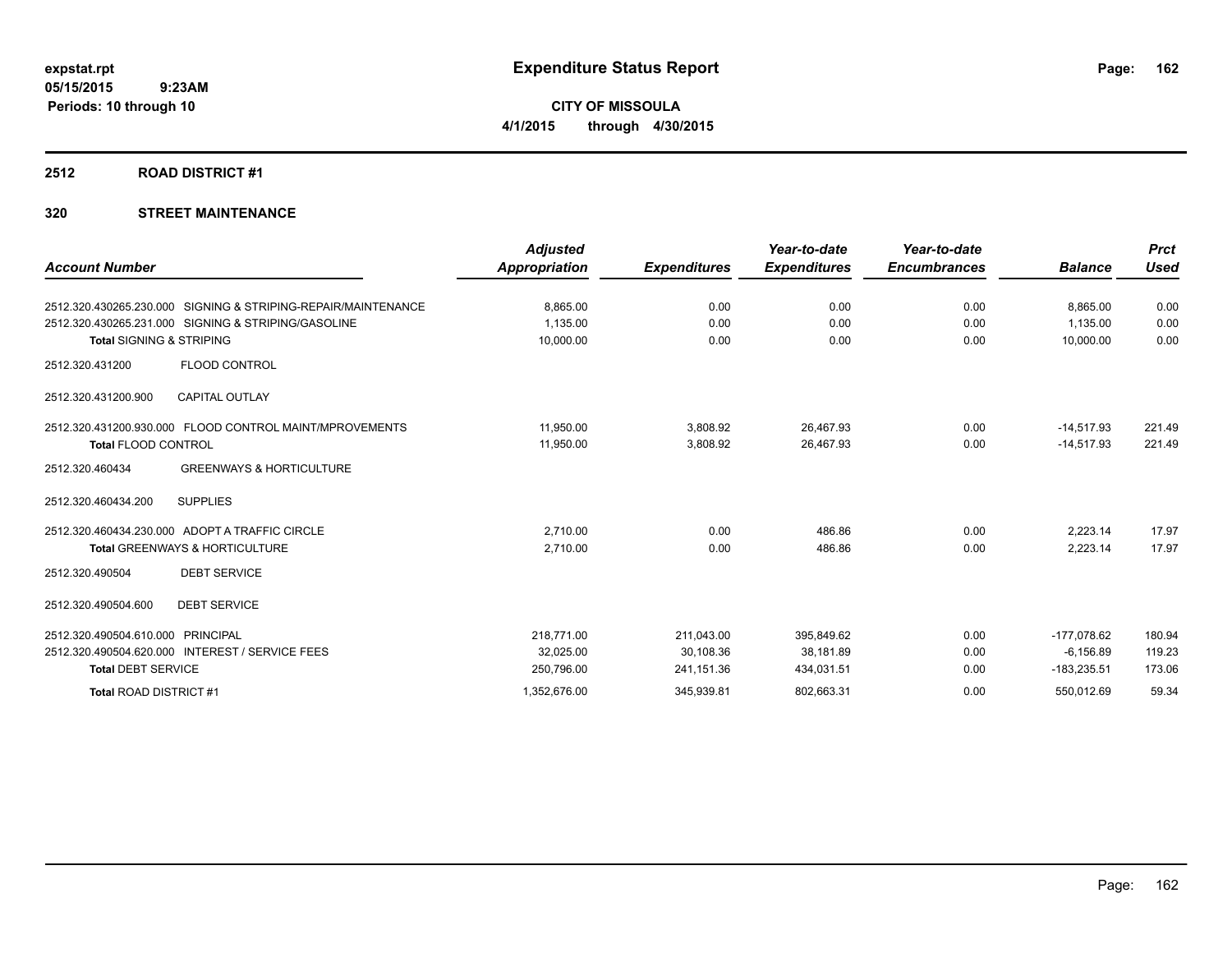**CITY OF MISSOULA 4/1/2015 through 4/30/2015**

#### **2512 ROAD DISTRICT #1**

# **320 STREET MAINTENANCE**

| <b>Account Number</b>               |                                                               | <b>Adjusted</b><br><b>Appropriation</b> | <b>Expenditures</b> | Year-to-date<br><b>Expenditures</b> | Year-to-date<br><b>Encumbrances</b> | <b>Balance</b> | <b>Prct</b><br><b>Used</b> |
|-------------------------------------|---------------------------------------------------------------|-----------------------------------------|---------------------|-------------------------------------|-------------------------------------|----------------|----------------------------|
|                                     |                                                               |                                         |                     |                                     |                                     |                |                            |
|                                     | 2512.320.430265.230.000 SIGNING & STRIPING-REPAIR/MAINTENANCE | 8.865.00                                | 0.00                | 0.00                                | 0.00                                | 8.865.00       | 0.00                       |
|                                     | 2512.320.430265.231.000 SIGNING & STRIPING/GASOLINE           | 1,135.00                                | 0.00                | 0.00                                | 0.00                                | 1.135.00       | 0.00                       |
| <b>Total SIGNING &amp; STRIPING</b> |                                                               | 10,000.00                               | 0.00                | 0.00                                | 0.00                                | 10,000.00      | 0.00                       |
| 2512.320.431200                     | <b>FLOOD CONTROL</b>                                          |                                         |                     |                                     |                                     |                |                            |
| 2512.320.431200.900                 | <b>CAPITAL OUTLAY</b>                                         |                                         |                     |                                     |                                     |                |                            |
|                                     | 2512.320.431200.930.000 FLOOD CONTROL MAINT/MPROVEMENTS       | 11,950.00                               | 3,808.92            | 26,467.93                           | 0.00                                | $-14,517.93$   | 221.49                     |
| <b>Total FLOOD CONTROL</b>          |                                                               | 11,950.00                               | 3,808.92            | 26,467.93                           | 0.00                                | $-14,517.93$   | 221.49                     |
| 2512.320.460434                     | <b>GREENWAYS &amp; HORTICULTURE</b>                           |                                         |                     |                                     |                                     |                |                            |
| 2512.320.460434.200                 | <b>SUPPLIES</b>                                               |                                         |                     |                                     |                                     |                |                            |
|                                     | 2512.320.460434.230.000 ADOPT A TRAFFIC CIRCLE                | 2,710.00                                | 0.00                | 486.86                              | 0.00                                | 2.223.14       | 17.97                      |
|                                     | <b>Total GREENWAYS &amp; HORTICULTURE</b>                     | 2,710.00                                | 0.00                | 486.86                              | 0.00                                | 2,223.14       | 17.97                      |
| 2512.320.490504                     | <b>DEBT SERVICE</b>                                           |                                         |                     |                                     |                                     |                |                            |
| 2512.320.490504.600                 | <b>DEBT SERVICE</b>                                           |                                         |                     |                                     |                                     |                |                            |
| 2512.320.490504.610.000             | <b>PRINCIPAL</b>                                              | 218,771.00                              | 211,043.00          | 395,849.62                          | 0.00                                | $-177,078.62$  | 180.94                     |
|                                     | 2512.320.490504.620.000 INTEREST / SERVICE FEES               | 32,025.00                               | 30,108.36           | 38,181.89                           | 0.00                                | $-6, 156.89$   | 119.23                     |
| <b>Total DEBT SERVICE</b>           |                                                               | 250,796.00                              | 241,151.36          | 434,031.51                          | 0.00                                | $-183,235.51$  | 173.06                     |
| Total ROAD DISTRICT #1              |                                                               | 1,352,676.00                            | 345,939.81          | 802,663.31                          | 0.00                                | 550,012.69     | 59.34                      |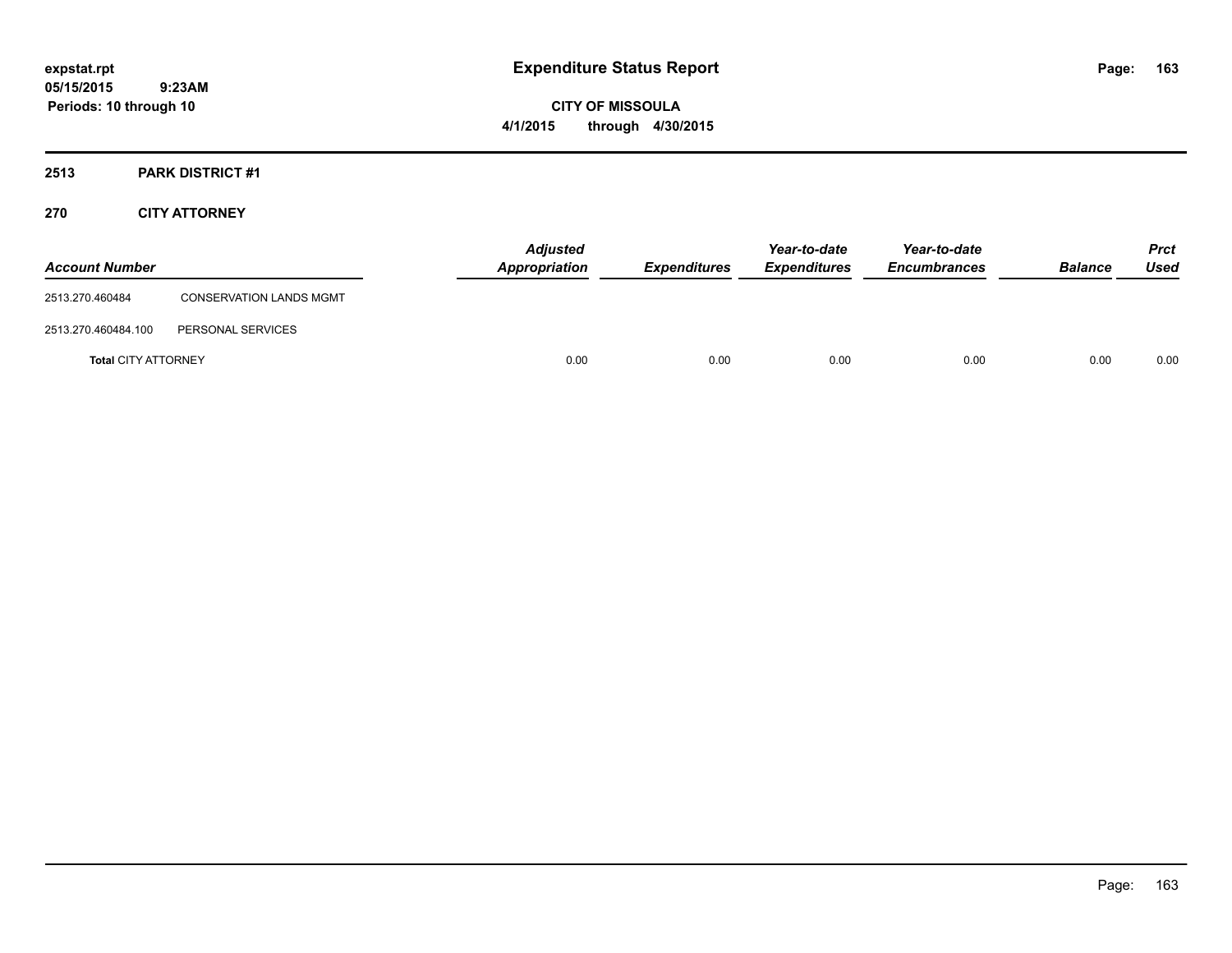**CITY OF MISSOULA 4/1/2015 through 4/30/2015**

# **2513 PARK DISTRICT #1**

# **270 CITY ATTORNEY**

| <b>Account Number</b>      |                                | <b>Adjusted</b><br>Appropriation | <b>Expenditures</b> | Year-to-date<br><b>Expenditures</b> | Year-to-date<br><b>Encumbrances</b> | <b>Balance</b> | <b>Prct</b><br>Used |
|----------------------------|--------------------------------|----------------------------------|---------------------|-------------------------------------|-------------------------------------|----------------|---------------------|
| 2513.270.460484            | <b>CONSERVATION LANDS MGMT</b> |                                  |                     |                                     |                                     |                |                     |
| 2513.270.460484.100        | PERSONAL SERVICES              |                                  |                     |                                     |                                     |                |                     |
| <b>Total CITY ATTORNEY</b> |                                | 0.00                             | 0.00                | 0.00                                | 0.00                                | 0.00           | 0.00                |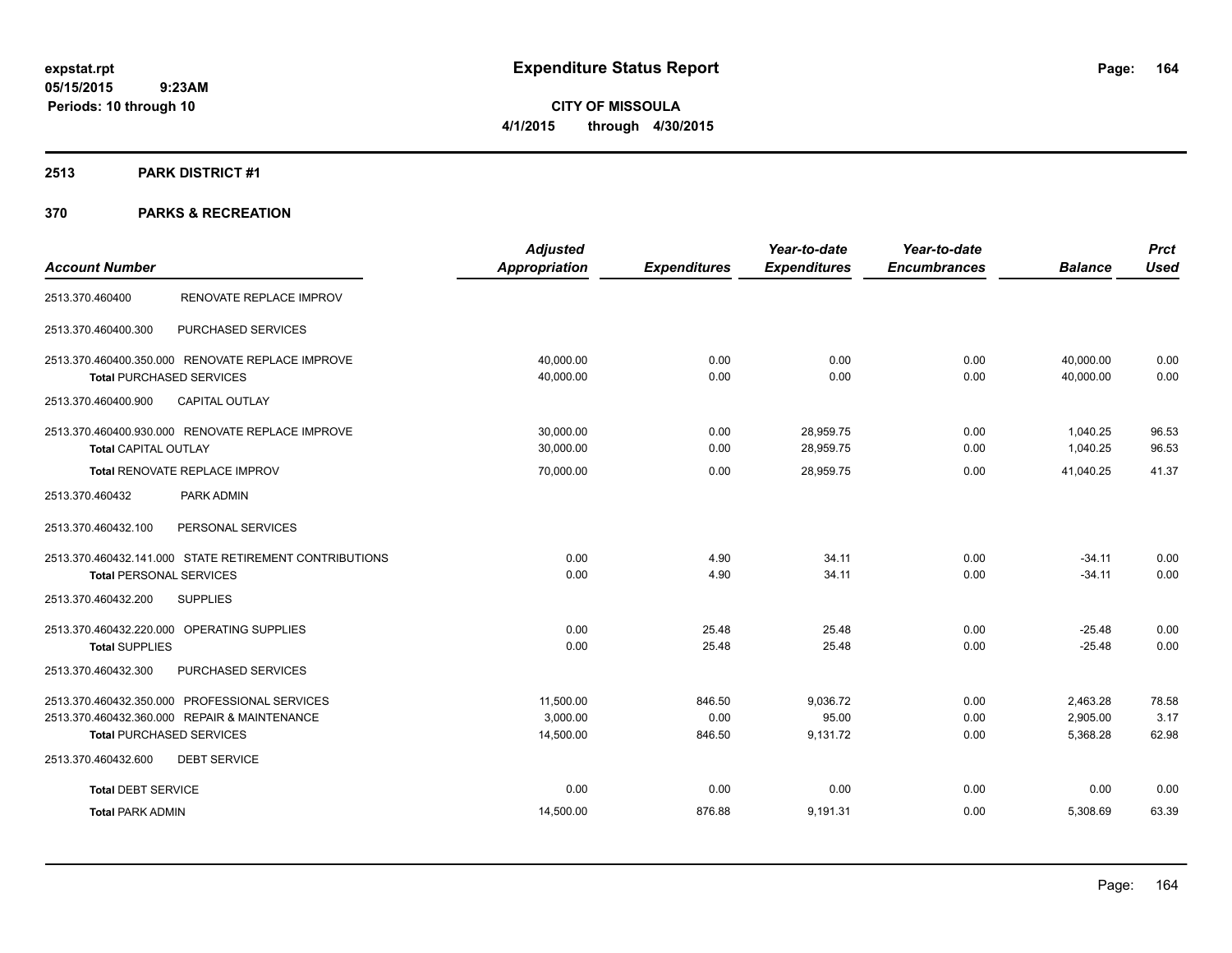**CITY OF MISSOULA 4/1/2015 through 4/30/2015**

#### **2513 PARK DISTRICT #1**

|                                                        | <b>Adjusted</b>      |                     | Year-to-date        | Year-to-date        |                | <b>Prct</b> |
|--------------------------------------------------------|----------------------|---------------------|---------------------|---------------------|----------------|-------------|
| <b>Account Number</b>                                  | <b>Appropriation</b> | <b>Expenditures</b> | <b>Expenditures</b> | <b>Encumbrances</b> | <b>Balance</b> | <b>Used</b> |
| RENOVATE REPLACE IMPROV<br>2513.370.460400             |                      |                     |                     |                     |                |             |
| 2513.370.460400.300<br>PURCHASED SERVICES              |                      |                     |                     |                     |                |             |
| 2513.370.460400.350.000 RENOVATE REPLACE IMPROVE       | 40,000.00            | 0.00                | 0.00                | 0.00                | 40,000.00      | 0.00        |
| <b>Total PURCHASED SERVICES</b>                        | 40,000.00            | 0.00                | 0.00                | 0.00                | 40,000.00      | 0.00        |
| <b>CAPITAL OUTLAY</b><br>2513.370.460400.900           |                      |                     |                     |                     |                |             |
| 2513.370.460400.930.000 RENOVATE REPLACE IMPROVE       | 30,000.00            | 0.00                | 28,959.75           | 0.00                | 1,040.25       | 96.53       |
| <b>Total CAPITAL OUTLAY</b>                            | 30,000.00            | 0.00                | 28,959.75           | 0.00                | 1,040.25       | 96.53       |
| Total RENOVATE REPLACE IMPROV                          | 70,000.00            | 0.00                | 28,959.75           | 0.00                | 41,040.25      | 41.37       |
| PARK ADMIN<br>2513.370.460432                          |                      |                     |                     |                     |                |             |
| 2513.370.460432.100<br>PERSONAL SERVICES               |                      |                     |                     |                     |                |             |
| 2513.370.460432.141.000 STATE RETIREMENT CONTRIBUTIONS | 0.00                 | 4.90                | 34.11               | 0.00                | $-34.11$       | 0.00        |
| <b>Total PERSONAL SERVICES</b>                         | 0.00                 | 4.90                | 34.11               | 0.00                | $-34.11$       | 0.00        |
| 2513.370.460432.200<br><b>SUPPLIES</b>                 |                      |                     |                     |                     |                |             |
| 2513.370.460432.220.000 OPERATING SUPPLIES             | 0.00                 | 25.48               | 25.48               | 0.00                | $-25.48$       | 0.00        |
| <b>Total SUPPLIES</b>                                  | 0.00                 | 25.48               | 25.48               | 0.00                | $-25.48$       | 0.00        |
| 2513.370.460432.300<br>PURCHASED SERVICES              |                      |                     |                     |                     |                |             |
| 2513.370.460432.350.000 PROFESSIONAL SERVICES          | 11,500.00            | 846.50              | 9,036.72            | 0.00                | 2,463.28       | 78.58       |
| 2513.370.460432.360.000 REPAIR & MAINTENANCE           | 3,000.00             | 0.00                | 95.00               | 0.00                | 2,905.00       | 3.17        |
| <b>Total PURCHASED SERVICES</b>                        | 14,500.00            | 846.50              | 9,131.72            | 0.00                | 5,368.28       | 62.98       |
| <b>DEBT SERVICE</b><br>2513.370.460432.600             |                      |                     |                     |                     |                |             |
| <b>Total DEBT SERVICE</b>                              | 0.00                 | 0.00                | 0.00                | 0.00                | 0.00           | 0.00        |
| <b>Total PARK ADMIN</b>                                | 14,500.00            | 876.88              | 9,191.31            | 0.00                | 5,308.69       | 63.39       |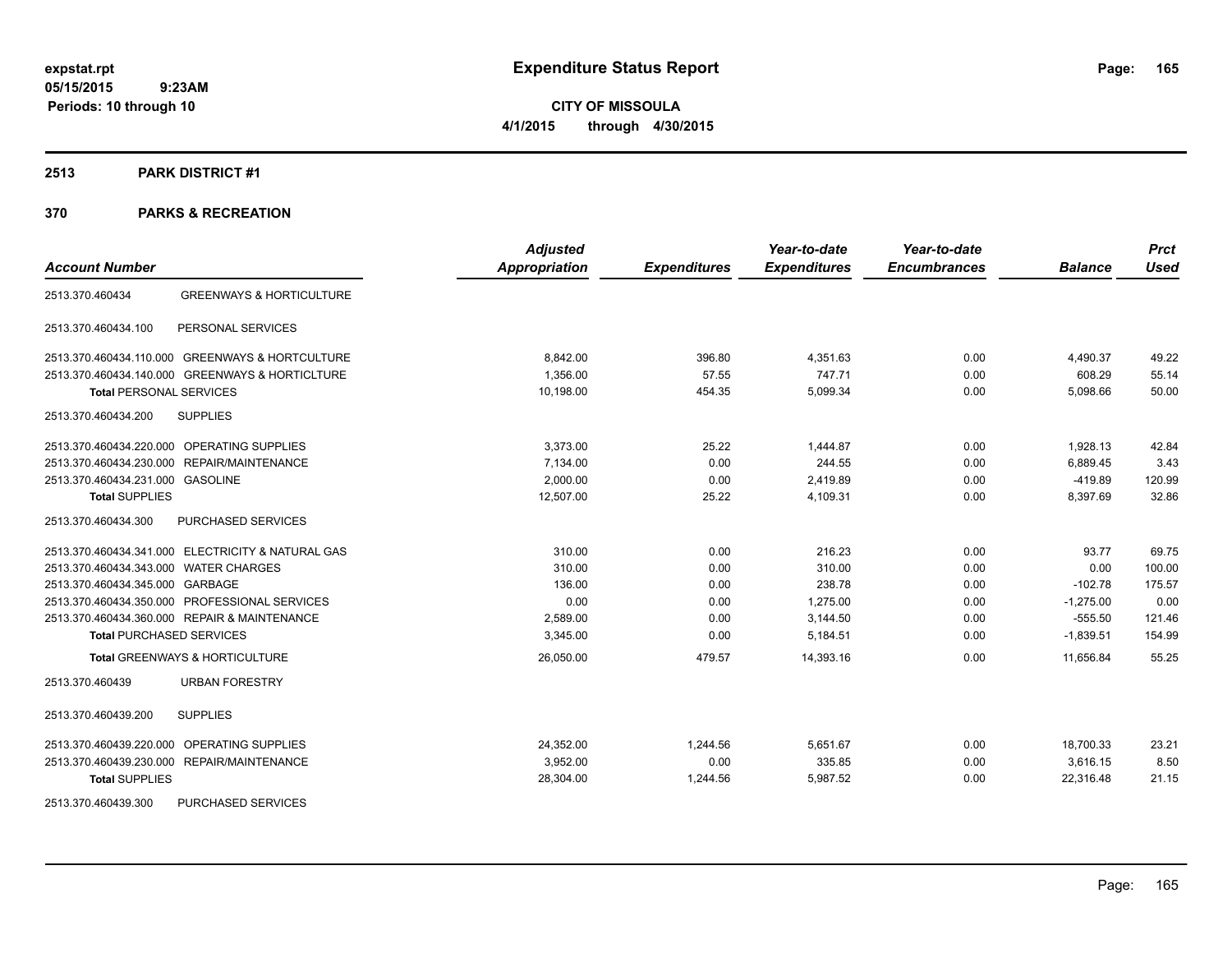**CITY OF MISSOULA 4/1/2015 through 4/30/2015**

#### **2513 PARK DISTRICT #1**

|                                                        | <b>Adjusted</b>      |                     | Year-to-date        | Year-to-date        |                | <b>Prct</b> |
|--------------------------------------------------------|----------------------|---------------------|---------------------|---------------------|----------------|-------------|
| <b>Account Number</b>                                  | <b>Appropriation</b> | <b>Expenditures</b> | <b>Expenditures</b> | <b>Encumbrances</b> | <b>Balance</b> | <b>Used</b> |
| <b>GREENWAYS &amp; HORTICULTURE</b><br>2513.370.460434 |                      |                     |                     |                     |                |             |
| 2513.370.460434.100<br>PERSONAL SERVICES               |                      |                     |                     |                     |                |             |
| 2513.370.460434.110.000 GREENWAYS & HORTCULTURE        | 8,842.00             | 396.80              | 4,351.63            | 0.00                | 4,490.37       | 49.22       |
| 2513.370.460434.140.000 GREENWAYS & HORTICLTURE        | 1.356.00             | 57.55               | 747.71              | 0.00                | 608.29         | 55.14       |
| <b>Total PERSONAL SERVICES</b>                         | 10,198.00            | 454.35              | 5,099.34            | 0.00                | 5,098.66       | 50.00       |
| <b>SUPPLIES</b><br>2513.370.460434.200                 |                      |                     |                     |                     |                |             |
| 2513.370.460434.220.000 OPERATING SUPPLIES             | 3,373.00             | 25.22               | 1,444.87            | 0.00                | 1,928.13       | 42.84       |
| 2513.370.460434.230.000 REPAIR/MAINTENANCE             | 7,134.00             | 0.00                | 244.55              | 0.00                | 6,889.45       | 3.43        |
| 2513.370.460434.231.000 GASOLINE                       | 2,000.00             | 0.00                | 2,419.89            | 0.00                | $-419.89$      | 120.99      |
| <b>Total SUPPLIES</b>                                  | 12.507.00            | 25.22               | 4,109.31            | 0.00                | 8,397.69       | 32.86       |
| PURCHASED SERVICES<br>2513.370.460434.300              |                      |                     |                     |                     |                |             |
| 2513.370.460434.341.000 ELECTRICITY & NATURAL GAS      | 310.00               | 0.00                | 216.23              | 0.00                | 93.77          | 69.75       |
| 2513.370.460434.343.000 WATER CHARGES                  | 310.00               | 0.00                | 310.00              | 0.00                | 0.00           | 100.00      |
| 2513.370.460434.345.000 GARBAGE                        | 136.00               | 0.00                | 238.78              | 0.00                | $-102.78$      | 175.57      |
| 2513.370.460434.350.000 PROFESSIONAL SERVICES          | 0.00                 | 0.00                | 1.275.00            | 0.00                | $-1.275.00$    | 0.00        |
| 2513.370.460434.360.000 REPAIR & MAINTENANCE           | 2,589.00             | 0.00                | 3,144.50            | 0.00                | $-555.50$      | 121.46      |
| <b>Total PURCHASED SERVICES</b>                        | 3,345.00             | 0.00                | 5,184.51            | 0.00                | $-1,839.51$    | 154.99      |
| <b>Total GREENWAYS &amp; HORTICULTURE</b>              | 26,050.00            | 479.57              | 14,393.16           | 0.00                | 11,656.84      | 55.25       |
| <b>URBAN FORESTRY</b><br>2513.370.460439               |                      |                     |                     |                     |                |             |
| <b>SUPPLIES</b><br>2513.370.460439.200                 |                      |                     |                     |                     |                |             |
| 2513.370.460439.220.000 OPERATING SUPPLIES             | 24,352.00            | 1,244.56            | 5,651.67            | 0.00                | 18,700.33      | 23.21       |
| 2513.370.460439.230.000 REPAIR/MAINTENANCE             | 3,952.00             | 0.00                | 335.85              | 0.00                | 3,616.15       | 8.50        |
| <b>Total SUPPLIES</b>                                  | 28,304.00            | 1,244.56            | 5,987.52            | 0.00                | 22,316.48      | 21.15       |
| PURCHASED SERVICES<br>2513.370.460439.300              |                      |                     |                     |                     |                |             |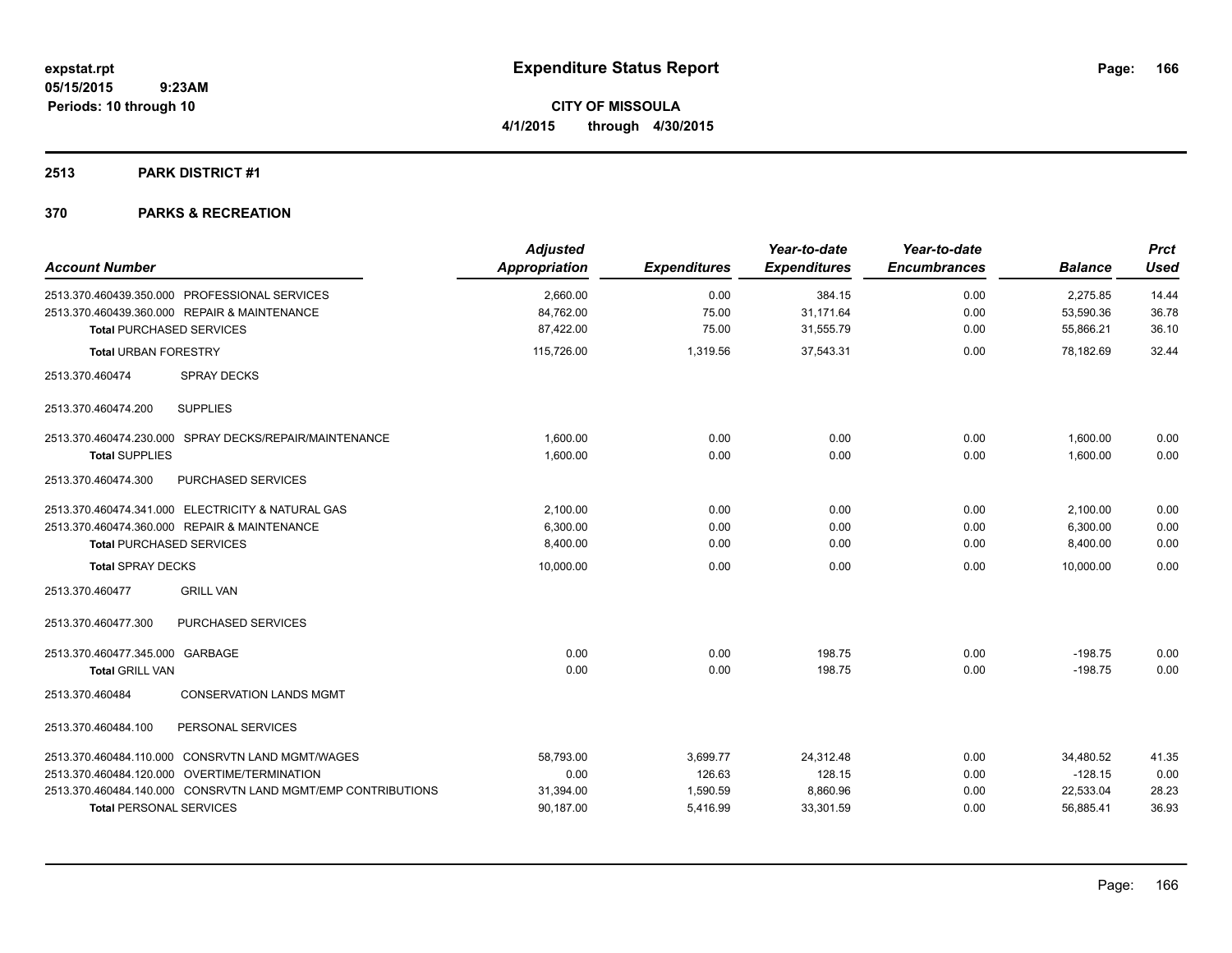**CITY OF MISSOULA 4/1/2015 through 4/30/2015**

# **2513 PARK DISTRICT #1**

| <b>Account Number</b>                                        | <b>Adjusted</b><br><b>Appropriation</b> | <b>Expenditures</b> | Year-to-date<br><b>Expenditures</b> | Year-to-date<br><b>Encumbrances</b> | <b>Balance</b> | <b>Prct</b><br><b>Used</b> |
|--------------------------------------------------------------|-----------------------------------------|---------------------|-------------------------------------|-------------------------------------|----------------|----------------------------|
| 2513.370.460439.350.000 PROFESSIONAL SERVICES                | 2,660.00                                | 0.00                | 384.15                              | 0.00                                | 2,275.85       | 14.44                      |
| 2513.370.460439.360.000 REPAIR & MAINTENANCE                 | 84,762.00                               | 75.00               | 31,171.64                           | 0.00                                | 53,590.36      | 36.78                      |
| <b>Total PURCHASED SERVICES</b>                              | 87,422.00                               | 75.00               | 31,555.79                           | 0.00                                | 55,866.21      | 36.10                      |
| <b>Total URBAN FORESTRY</b>                                  | 115,726.00                              | 1,319.56            | 37,543.31                           | 0.00                                | 78,182.69      | 32.44                      |
| 2513.370.460474<br><b>SPRAY DECKS</b>                        |                                         |                     |                                     |                                     |                |                            |
| <b>SUPPLIES</b><br>2513.370.460474.200                       |                                         |                     |                                     |                                     |                |                            |
| 2513.370.460474.230.000 SPRAY DECKS/REPAIR/MAINTENANCE       | 1,600.00                                | 0.00                | 0.00                                | 0.00                                | 1,600.00       | 0.00                       |
| <b>Total SUPPLIES</b>                                        | 1,600.00                                | 0.00                | 0.00                                | 0.00                                | 1,600.00       | 0.00                       |
| PURCHASED SERVICES<br>2513.370.460474.300                    |                                         |                     |                                     |                                     |                |                            |
| 2513.370.460474.341.000 ELECTRICITY & NATURAL GAS            | 2,100.00                                | 0.00                | 0.00                                | 0.00                                | 2,100.00       | 0.00                       |
| 2513.370.460474.360.000 REPAIR & MAINTENANCE                 | 6,300.00                                | 0.00                | 0.00                                | 0.00                                | 6,300.00       | 0.00                       |
| <b>Total PURCHASED SERVICES</b>                              | 8,400.00                                | 0.00                | 0.00                                | 0.00                                | 8,400.00       | 0.00                       |
| <b>Total SPRAY DECKS</b>                                     | 10,000.00                               | 0.00                | 0.00                                | 0.00                                | 10.000.00      | 0.00                       |
| <b>GRILL VAN</b><br>2513.370.460477                          |                                         |                     |                                     |                                     |                |                            |
| <b>PURCHASED SERVICES</b><br>2513.370.460477.300             |                                         |                     |                                     |                                     |                |                            |
| 2513.370.460477.345.000 GARBAGE                              | 0.00                                    | 0.00                | 198.75                              | 0.00                                | $-198.75$      | 0.00                       |
| <b>Total GRILL VAN</b>                                       | 0.00                                    | 0.00                | 198.75                              | 0.00                                | $-198.75$      | 0.00                       |
| <b>CONSERVATION LANDS MGMT</b><br>2513.370.460484            |                                         |                     |                                     |                                     |                |                            |
| 2513.370.460484.100<br>PERSONAL SERVICES                     |                                         |                     |                                     |                                     |                |                            |
| 2513.370.460484.110.000 CONSRVTN LAND MGMT/WAGES             | 58,793.00                               | 3,699.77            | 24,312.48                           | 0.00                                | 34,480.52      | 41.35                      |
| 2513.370.460484.120.000 OVERTIME/TERMINATION                 | 0.00                                    | 126.63              | 128.15                              | 0.00                                | $-128.15$      | 0.00                       |
| 2513.370.460484.140.000 CONSRVTN LAND MGMT/EMP CONTRIBUTIONS | 31,394.00                               | 1,590.59            | 8,860.96                            | 0.00                                | 22,533.04      | 28.23                      |
| <b>Total PERSONAL SERVICES</b>                               | 90,187.00                               | 5,416.99            | 33,301.59                           | 0.00                                | 56,885.41      | 36.93                      |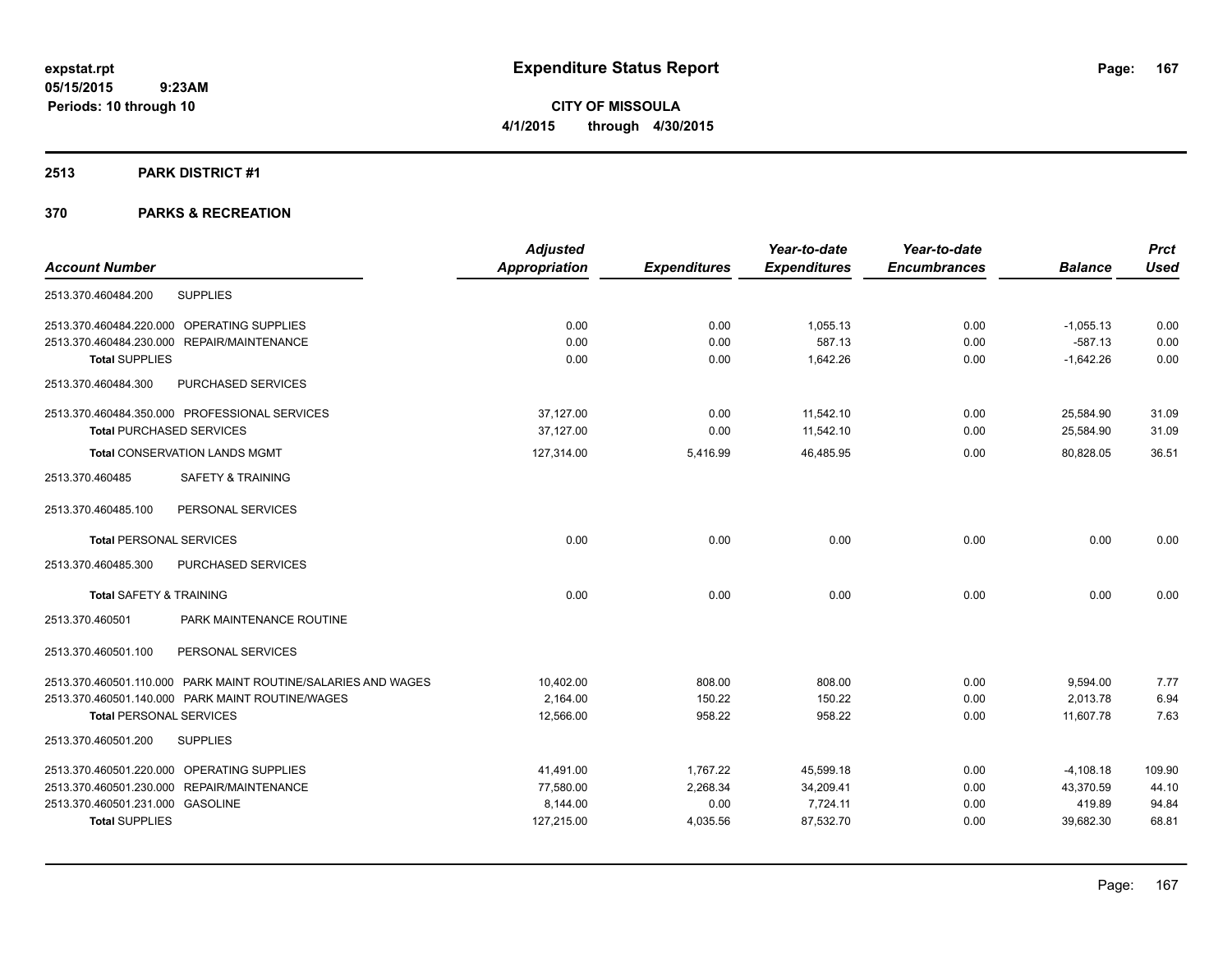**CITY OF MISSOULA 4/1/2015 through 4/30/2015**

#### **2513 PARK DISTRICT #1**

| <b>Adjusted</b> |                     | Year-to-date        | Year-to-date        |                | <b>Prct</b> |
|-----------------|---------------------|---------------------|---------------------|----------------|-------------|
| Appropriation   | <b>Expenditures</b> | <b>Expenditures</b> | <b>Encumbrances</b> | <b>Balance</b> | <b>Used</b> |
|                 |                     |                     |                     |                |             |
| 0.00            | 0.00                | 1,055.13            | 0.00                | $-1,055.13$    | 0.00        |
| 0.00            | 0.00                | 587.13              | 0.00                | $-587.13$      | 0.00        |
| 0.00            | 0.00                | 1,642.26            | 0.00                | $-1,642.26$    | 0.00        |
|                 |                     |                     |                     |                |             |
| 37,127.00       | 0.00                | 11,542.10           | 0.00                | 25,584.90      | 31.09       |
| 37,127.00       | 0.00                | 11,542.10           | 0.00                | 25,584.90      | 31.09       |
| 127,314.00      | 5,416.99            | 46,485.95           | 0.00                | 80,828.05      | 36.51       |
|                 |                     |                     |                     |                |             |
|                 |                     |                     |                     |                |             |
| 0.00            | 0.00                | 0.00                | 0.00                | 0.00           | 0.00        |
|                 |                     |                     |                     |                |             |
| 0.00            | 0.00                | 0.00                | 0.00                | 0.00           | 0.00        |
|                 |                     |                     |                     |                |             |
|                 |                     |                     |                     |                |             |
| 10,402.00       | 808.00              | 808.00              | 0.00                | 9,594.00       | 7.77        |
| 2,164.00        | 150.22              | 150.22              | 0.00                | 2,013.78       | 6.94        |
| 12,566.00       | 958.22              | 958.22              | 0.00                | 11,607.78      | 7.63        |
|                 |                     |                     |                     |                |             |
| 41,491.00       | 1,767.22            | 45,599.18           | 0.00                | $-4,108.18$    | 109.90      |
| 77.580.00       | 2,268.34            | 34,209.41           | 0.00                | 43,370.59      | 44.10       |
| 8,144.00        | 0.00                | 7,724.11            | 0.00                | 419.89         | 94.84       |
| 127,215.00      | 4,035.56            | 87,532.70           | 0.00                | 39,682.30      | 68.81       |
|                 |                     |                     |                     |                |             |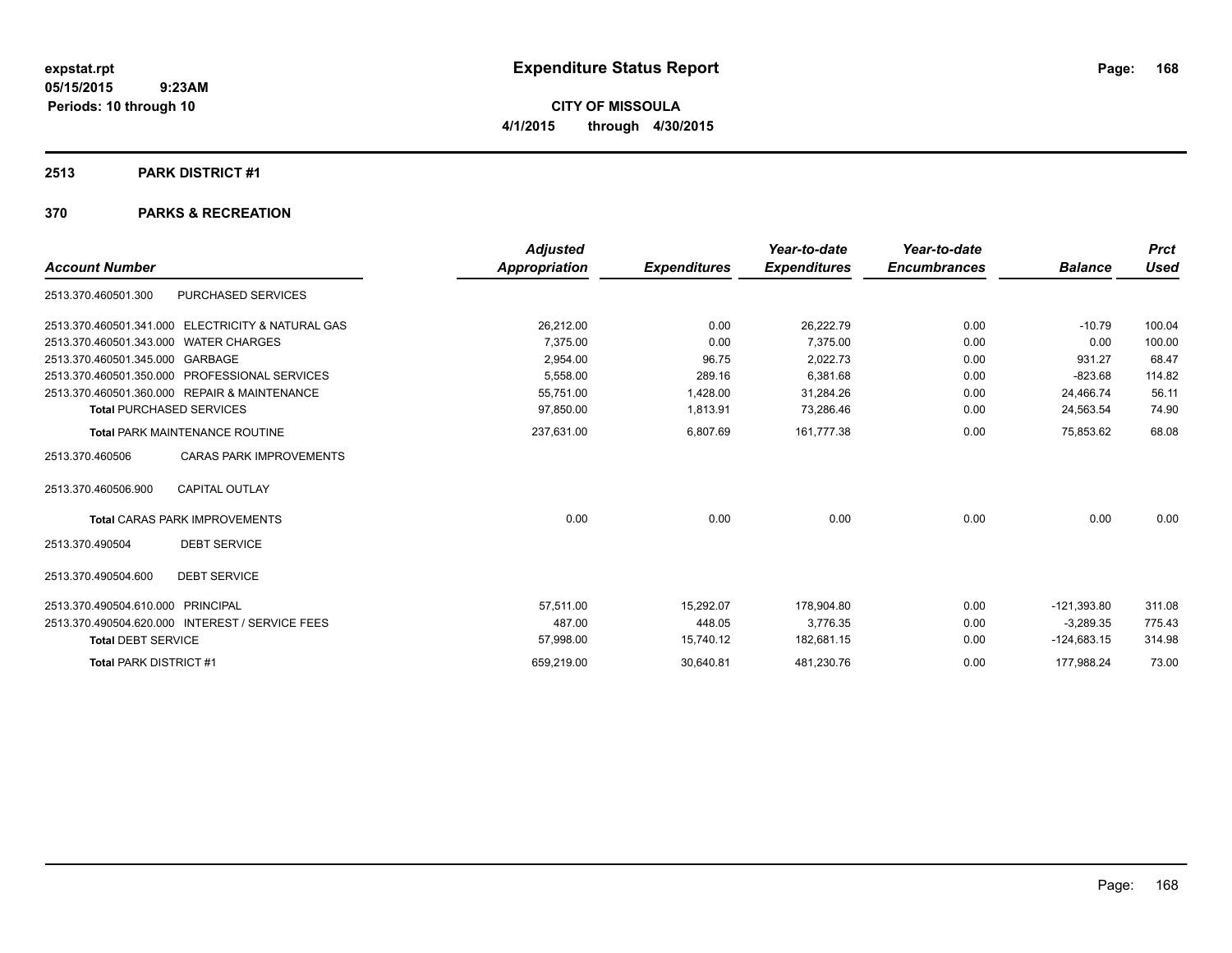**CITY OF MISSOULA 4/1/2015 through 4/30/2015**

#### **2513 PARK DISTRICT #1**

|                                       |                                                   | <b>Adjusted</b> |                     | Year-to-date        | Year-to-date        |                | <b>Prct</b> |
|---------------------------------------|---------------------------------------------------|-----------------|---------------------|---------------------|---------------------|----------------|-------------|
| <b>Account Number</b>                 |                                                   | Appropriation   | <b>Expenditures</b> | <b>Expenditures</b> | <b>Encumbrances</b> | <b>Balance</b> | <b>Used</b> |
| 2513.370.460501.300                   | PURCHASED SERVICES                                |                 |                     |                     |                     |                |             |
|                                       | 2513.370.460501.341.000 ELECTRICITY & NATURAL GAS | 26,212.00       | 0.00                | 26,222.79           | 0.00                | $-10.79$       | 100.04      |
| 2513.370.460501.343.000 WATER CHARGES |                                                   | 7.375.00        | 0.00                | 7.375.00            | 0.00                | 0.00           | 100.00      |
| 2513.370.460501.345.000 GARBAGE       |                                                   | 2.954.00        | 96.75               | 2.022.73            | 0.00                | 931.27         | 68.47       |
|                                       | 2513.370.460501.350.000 PROFESSIONAL SERVICES     | 5,558.00        | 289.16              | 6,381.68            | 0.00                | $-823.68$      | 114.82      |
|                                       | 2513.370.460501.360.000 REPAIR & MAINTENANCE      | 55,751.00       | 1,428.00            | 31,284.26           | 0.00                | 24,466.74      | 56.11       |
| <b>Total PURCHASED SERVICES</b>       |                                                   | 97,850.00       | 1,813.91            | 73,286.46           | 0.00                | 24,563.54      | 74.90       |
|                                       | <b>Total PARK MAINTENANCE ROUTINE</b>             | 237,631.00      | 6,807.69            | 161,777.38          | 0.00                | 75,853.62      | 68.08       |
| 2513.370.460506                       | <b>CARAS PARK IMPROVEMENTS</b>                    |                 |                     |                     |                     |                |             |
| 2513.370.460506.900                   | <b>CAPITAL OUTLAY</b>                             |                 |                     |                     |                     |                |             |
|                                       | <b>Total CARAS PARK IMPROVEMENTS</b>              | 0.00            | 0.00                | 0.00                | 0.00                | 0.00           | 0.00        |
| 2513.370.490504                       | <b>DEBT SERVICE</b>                               |                 |                     |                     |                     |                |             |
| 2513.370.490504.600                   | <b>DEBT SERVICE</b>                               |                 |                     |                     |                     |                |             |
| 2513.370.490504.610.000 PRINCIPAL     |                                                   | 57.511.00       | 15,292.07           | 178,904.80          | 0.00                | $-121,393.80$  | 311.08      |
|                                       | 2513.370.490504.620.000 INTEREST / SERVICE FEES   | 487.00          | 448.05              | 3.776.35            | 0.00                | $-3.289.35$    | 775.43      |
| <b>Total DEBT SERVICE</b>             |                                                   | 57,998.00       | 15,740.12           | 182,681.15          | 0.00                | $-124,683.15$  | 314.98      |
| <b>Total PARK DISTRICT #1</b>         |                                                   | 659,219.00      | 30,640.81           | 481,230.76          | 0.00                | 177,988.24     | 73.00       |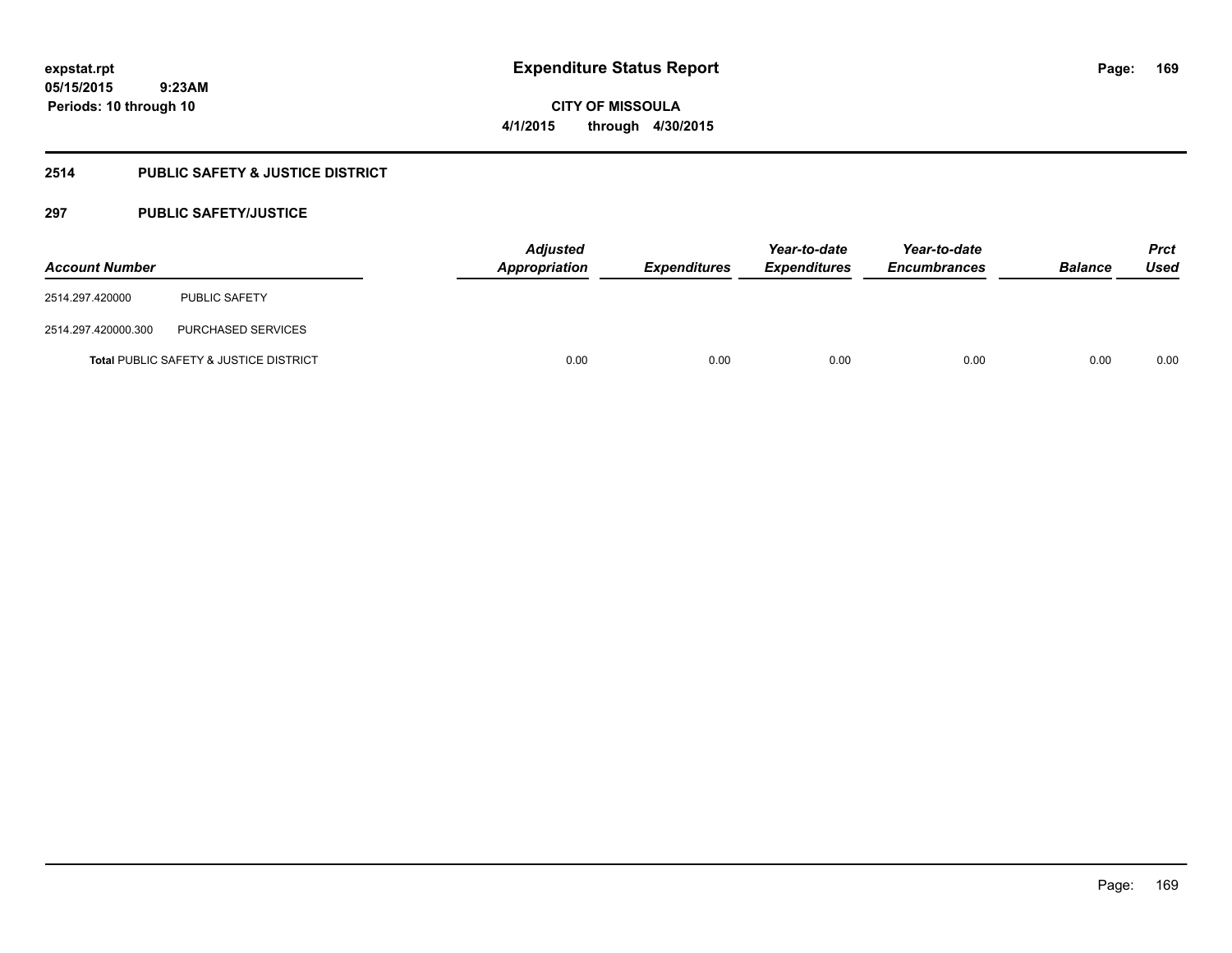**CITY OF MISSOULA 4/1/2015 through 4/30/2015**

# **2514 PUBLIC SAFETY & JUSTICE DISTRICT**

# **297 PUBLIC SAFETY/JUSTICE**

| <b>Account Number</b> |                                                   | <b>Adjusted</b><br>Appropriation | <b>Expenditures</b> | Year-to-date<br><b>Expenditures</b> | Year-to-date<br><b>Encumbrances</b> | <b>Balance</b> | <b>Prct</b><br>Used |
|-----------------------|---------------------------------------------------|----------------------------------|---------------------|-------------------------------------|-------------------------------------|----------------|---------------------|
| 2514.297.420000       | <b>PUBLIC SAFETY</b>                              |                                  |                     |                                     |                                     |                |                     |
| 2514.297.420000.300   | PURCHASED SERVICES                                |                                  |                     |                                     |                                     |                |                     |
|                       | <b>Total PUBLIC SAFETY &amp; JUSTICE DISTRICT</b> | 0.00                             | 0.00                | 0.00                                | 0.00                                | 0.00           | 0.00                |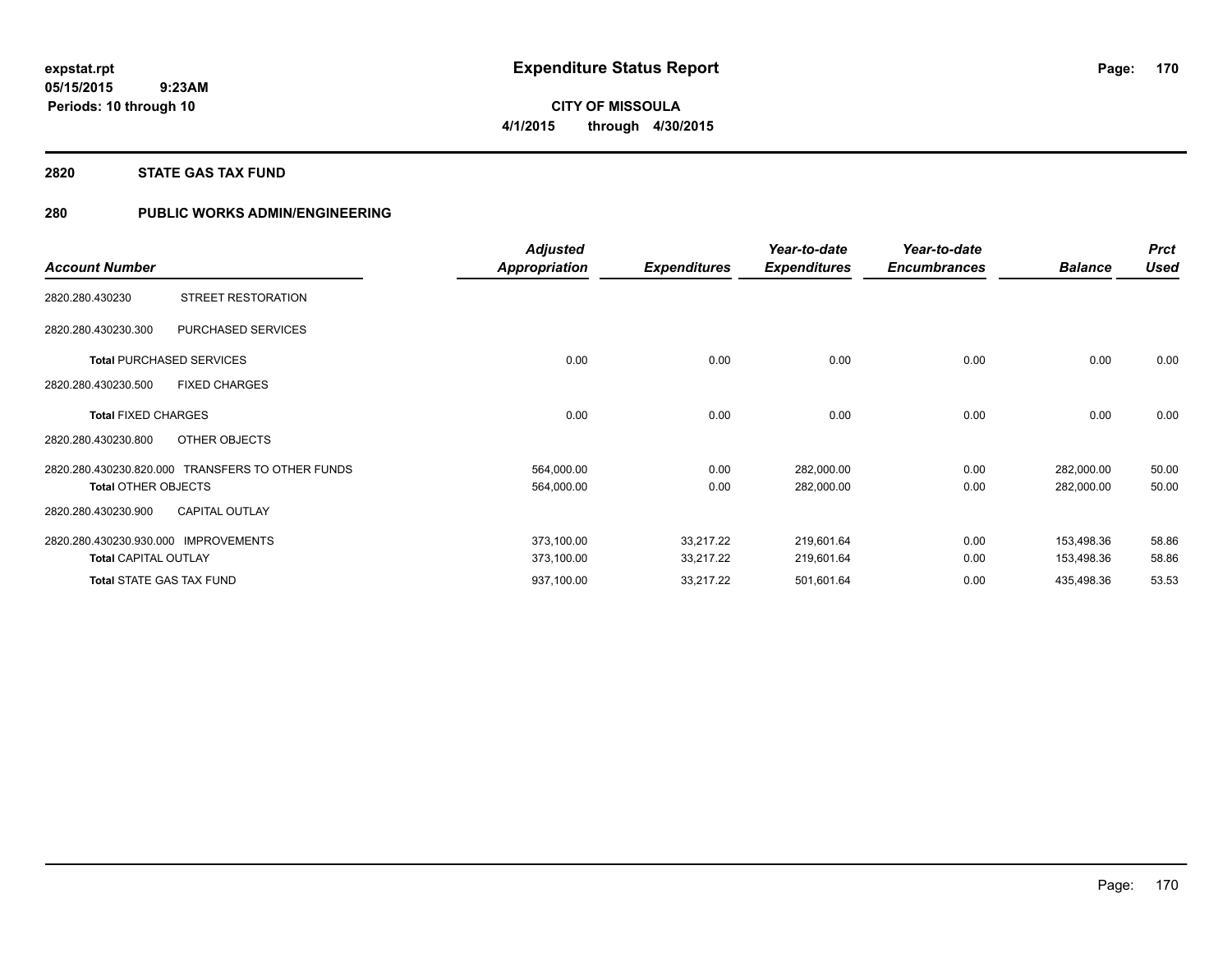**CITY OF MISSOULA 4/1/2015 through 4/30/2015**

#### **2820 STATE GAS TAX FUND**

# **280 PUBLIC WORKS ADMIN/ENGINEERING**

|                                 |                                                  | <b>Adjusted</b>      |                     | Year-to-date        | Year-to-date        |                | <b>Prct</b> |
|---------------------------------|--------------------------------------------------|----------------------|---------------------|---------------------|---------------------|----------------|-------------|
| <b>Account Number</b>           |                                                  | <b>Appropriation</b> | <b>Expenditures</b> | <b>Expenditures</b> | <b>Encumbrances</b> | <b>Balance</b> | <b>Used</b> |
| 2820.280.430230                 | STREET RESTORATION                               |                      |                     |                     |                     |                |             |
| 2820.280.430230.300             | PURCHASED SERVICES                               |                      |                     |                     |                     |                |             |
| <b>Total PURCHASED SERVICES</b> |                                                  | 0.00                 | 0.00                | 0.00                | 0.00                | 0.00           | 0.00        |
| 2820.280.430230.500             | <b>FIXED CHARGES</b>                             |                      |                     |                     |                     |                |             |
| <b>Total FIXED CHARGES</b>      |                                                  | 0.00                 | 0.00                | 0.00                | 0.00                | 0.00           | 0.00        |
| 2820.280.430230.800             | OTHER OBJECTS                                    |                      |                     |                     |                     |                |             |
|                                 | 2820.280.430230.820.000 TRANSFERS TO OTHER FUNDS | 564,000.00           | 0.00                | 282,000.00          | 0.00                | 282,000.00     | 50.00       |
| <b>Total OTHER OBJECTS</b>      |                                                  | 564,000.00           | 0.00                | 282,000.00          | 0.00                | 282,000.00     | 50.00       |
| 2820.280.430230.900             | <b>CAPITAL OUTLAY</b>                            |                      |                     |                     |                     |                |             |
| 2820.280.430230.930.000         | <b>IMPROVEMENTS</b>                              | 373,100.00           | 33,217.22           | 219,601.64          | 0.00                | 153,498.36     | 58.86       |
| <b>Total CAPITAL OUTLAY</b>     |                                                  | 373,100.00           | 33,217.22           | 219,601.64          | 0.00                | 153,498.36     | 58.86       |
| <b>Total STATE GAS TAX FUND</b> |                                                  | 937,100.00           | 33,217.22           | 501,601.64          | 0.00                | 435,498.36     | 53.53       |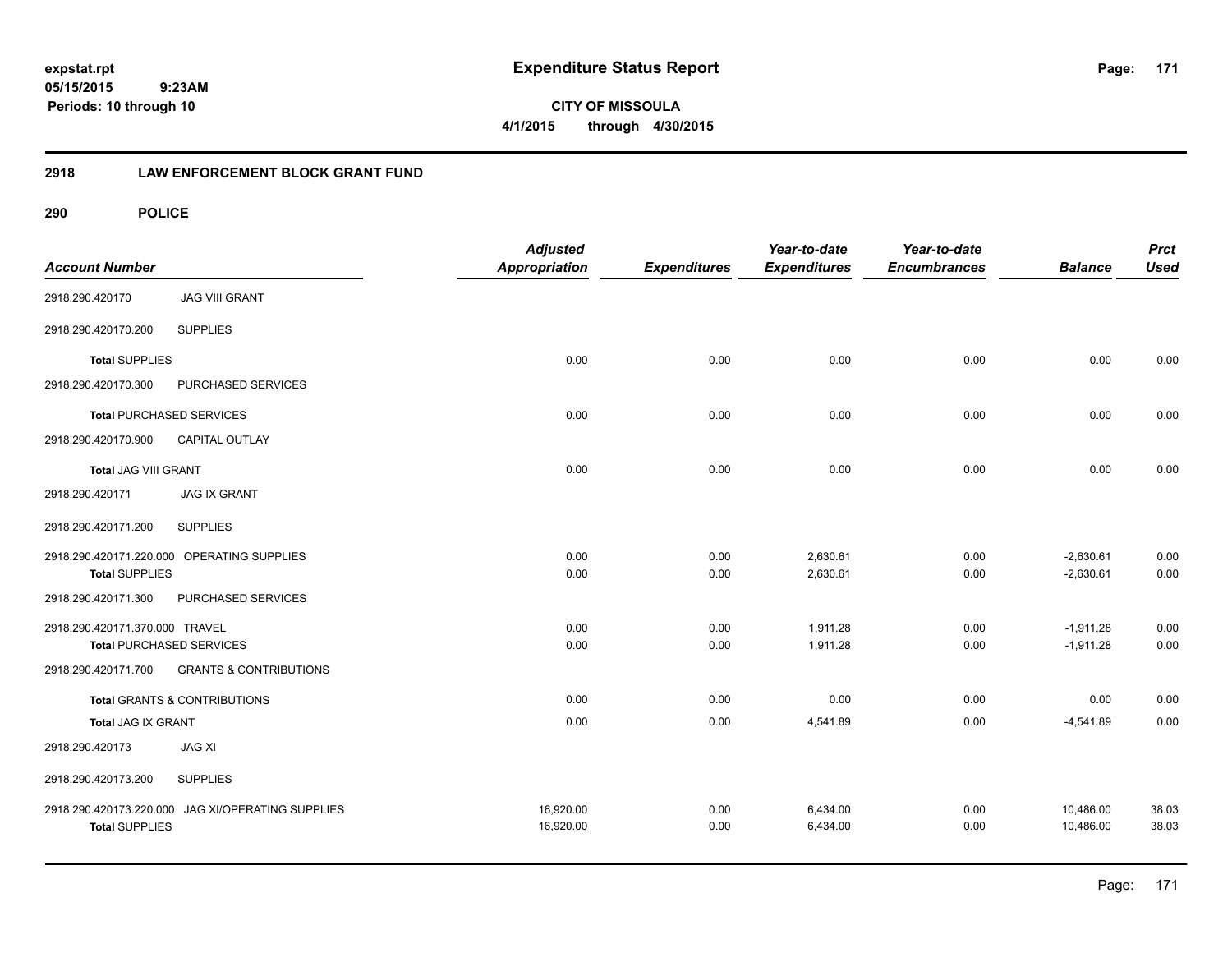**CITY OF MISSOULA 4/1/2015 through 4/30/2015**

# **2918 LAW ENFORCEMENT BLOCK GRANT FUND**

| <b>Account Number</b>           |                                                   | <b>Adjusted</b><br><b>Appropriation</b> | <b>Expenditures</b> | Year-to-date<br><b>Expenditures</b> | Year-to-date<br><b>Encumbrances</b> | <b>Balance</b> | <b>Prct</b><br><b>Used</b> |
|---------------------------------|---------------------------------------------------|-----------------------------------------|---------------------|-------------------------------------|-------------------------------------|----------------|----------------------------|
| 2918.290.420170                 | <b>JAG VIII GRANT</b>                             |                                         |                     |                                     |                                     |                |                            |
| 2918.290.420170.200             | <b>SUPPLIES</b>                                   |                                         |                     |                                     |                                     |                |                            |
| <b>Total SUPPLIES</b>           |                                                   | 0.00                                    | 0.00                | 0.00                                | 0.00                                | 0.00           | 0.00                       |
| 2918.290.420170.300             | PURCHASED SERVICES                                |                                         |                     |                                     |                                     |                |                            |
| <b>Total PURCHASED SERVICES</b> |                                                   | 0.00                                    | 0.00                | 0.00                                | 0.00                                | 0.00           | 0.00                       |
| 2918.290.420170.900             | CAPITAL OUTLAY                                    |                                         |                     |                                     |                                     |                |                            |
| <b>Total JAG VIII GRANT</b>     |                                                   | 0.00                                    | 0.00                | 0.00                                | 0.00                                | 0.00           | 0.00                       |
| 2918.290.420171                 | <b>JAG IX GRANT</b>                               |                                         |                     |                                     |                                     |                |                            |
| 2918.290.420171.200             | <b>SUPPLIES</b>                                   |                                         |                     |                                     |                                     |                |                            |
|                                 | 2918.290.420171.220.000 OPERATING SUPPLIES        | 0.00                                    | 0.00                | 2,630.61                            | 0.00                                | $-2,630.61$    | 0.00                       |
| <b>Total SUPPLIES</b>           |                                                   | 0.00                                    | 0.00                | 2,630.61                            | 0.00                                | $-2,630.61$    | 0.00                       |
| 2918.290.420171.300             | PURCHASED SERVICES                                |                                         |                     |                                     |                                     |                |                            |
| 2918.290.420171.370.000 TRAVEL  |                                                   | 0.00                                    | 0.00                | 1.911.28                            | 0.00                                | $-1,911.28$    | 0.00                       |
| <b>Total PURCHASED SERVICES</b> |                                                   | 0.00                                    | 0.00                | 1,911.28                            | 0.00                                | $-1,911.28$    | 0.00                       |
| 2918.290.420171.700             | <b>GRANTS &amp; CONTRIBUTIONS</b>                 |                                         |                     |                                     |                                     |                |                            |
|                                 | <b>Total GRANTS &amp; CONTRIBUTIONS</b>           | 0.00                                    | 0.00                | 0.00                                | 0.00                                | 0.00           | 0.00                       |
| Total JAG IX GRANT              |                                                   | 0.00                                    | 0.00                | 4,541.89                            | 0.00                                | $-4,541.89$    | 0.00                       |
| 2918.290.420173                 | <b>JAG XI</b>                                     |                                         |                     |                                     |                                     |                |                            |
| 2918.290.420173.200             | <b>SUPPLIES</b>                                   |                                         |                     |                                     |                                     |                |                            |
|                                 | 2918.290.420173.220.000 JAG XI/OPERATING SUPPLIES | 16,920.00                               | 0.00                | 6,434.00                            | 0.00                                | 10,486.00      | 38.03                      |
| <b>Total SUPPLIES</b>           |                                                   | 16,920.00                               | 0.00                | 6,434.00                            | 0.00                                | 10,486.00      | 38.03                      |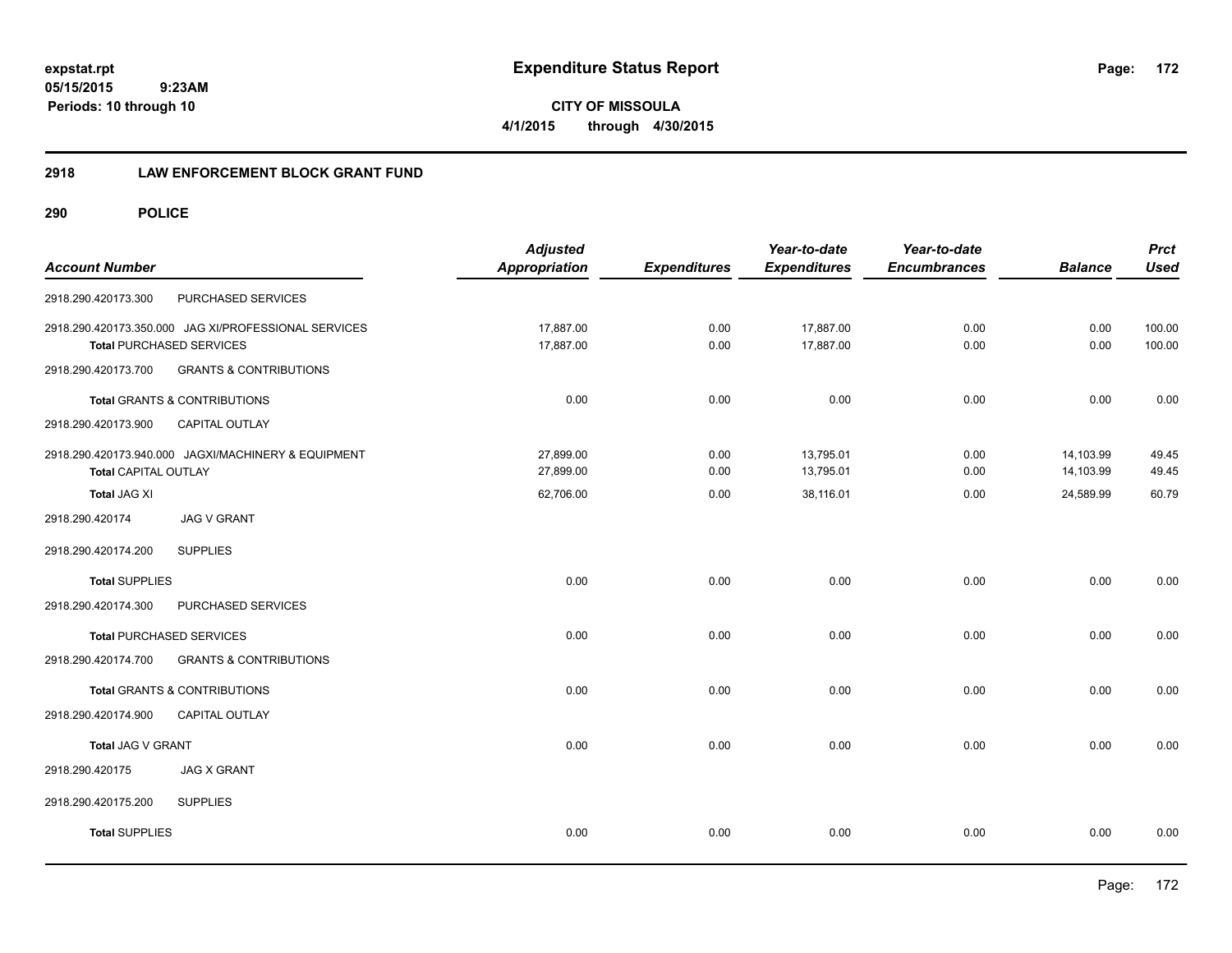**CITY OF MISSOULA 4/1/2015 through 4/30/2015**

# **2918 LAW ENFORCEMENT BLOCK GRANT FUND**

| <b>Account Number</b>           |                                                                                         | <b>Adjusted</b><br><b>Appropriation</b> | <b>Expenditures</b> | Year-to-date<br><b>Expenditures</b> | Year-to-date<br><b>Encumbrances</b> | <b>Balance</b>         | <b>Prct</b><br><b>Used</b> |
|---------------------------------|-----------------------------------------------------------------------------------------|-----------------------------------------|---------------------|-------------------------------------|-------------------------------------|------------------------|----------------------------|
| 2918.290.420173.300             | PURCHASED SERVICES                                                                      |                                         |                     |                                     |                                     |                        |                            |
|                                 | 2918.290.420173.350.000 JAG XI/PROFESSIONAL SERVICES<br><b>Total PURCHASED SERVICES</b> | 17,887.00<br>17,887.00                  | 0.00<br>0.00        | 17,887.00<br>17,887.00              | 0.00<br>0.00                        | 0.00<br>0.00           | 100.00<br>100.00           |
| 2918.290.420173.700             | <b>GRANTS &amp; CONTRIBUTIONS</b>                                                       |                                         |                     |                                     |                                     |                        |                            |
|                                 | <b>Total GRANTS &amp; CONTRIBUTIONS</b>                                                 | 0.00                                    | 0.00                | 0.00                                | 0.00                                | 0.00                   | 0.00                       |
| 2918.290.420173.900             | CAPITAL OUTLAY                                                                          |                                         |                     |                                     |                                     |                        |                            |
| <b>Total CAPITAL OUTLAY</b>     | 2918.290.420173.940.000 JAGXI/MACHINERY & EQUIPMENT                                     | 27,899.00<br>27,899.00                  | 0.00<br>0.00        | 13,795.01<br>13,795.01              | 0.00<br>0.00                        | 14,103.99<br>14,103.99 | 49.45<br>49.45             |
| <b>Total JAG XI</b>             |                                                                                         | 62,706.00                               | 0.00                | 38,116.01                           | 0.00                                | 24,589.99              | 60.79                      |
| 2918.290.420174                 | <b>JAG V GRANT</b>                                                                      |                                         |                     |                                     |                                     |                        |                            |
| 2918.290.420174.200             | <b>SUPPLIES</b>                                                                         |                                         |                     |                                     |                                     |                        |                            |
| <b>Total SUPPLIES</b>           |                                                                                         | 0.00                                    | 0.00                | 0.00                                | 0.00                                | 0.00                   | 0.00                       |
| 2918.290.420174.300             | PURCHASED SERVICES                                                                      |                                         |                     |                                     |                                     |                        |                            |
| <b>Total PURCHASED SERVICES</b> |                                                                                         | 0.00                                    | 0.00                | 0.00                                | 0.00                                | 0.00                   | 0.00                       |
| 2918.290.420174.700             | <b>GRANTS &amp; CONTRIBUTIONS</b>                                                       |                                         |                     |                                     |                                     |                        |                            |
|                                 | <b>Total GRANTS &amp; CONTRIBUTIONS</b>                                                 | 0.00                                    | 0.00                | 0.00                                | 0.00                                | 0.00                   | 0.00                       |
| 2918.290.420174.900             | CAPITAL OUTLAY                                                                          |                                         |                     |                                     |                                     |                        |                            |
| Total JAG V GRANT               |                                                                                         | 0.00                                    | 0.00                | 0.00                                | 0.00                                | 0.00                   | 0.00                       |
| 2918.290.420175                 | <b>JAG X GRANT</b>                                                                      |                                         |                     |                                     |                                     |                        |                            |
| 2918.290.420175.200             | <b>SUPPLIES</b>                                                                         |                                         |                     |                                     |                                     |                        |                            |
| <b>Total SUPPLIES</b>           |                                                                                         | 0.00                                    | 0.00                | 0.00                                | 0.00                                | 0.00                   | 0.00                       |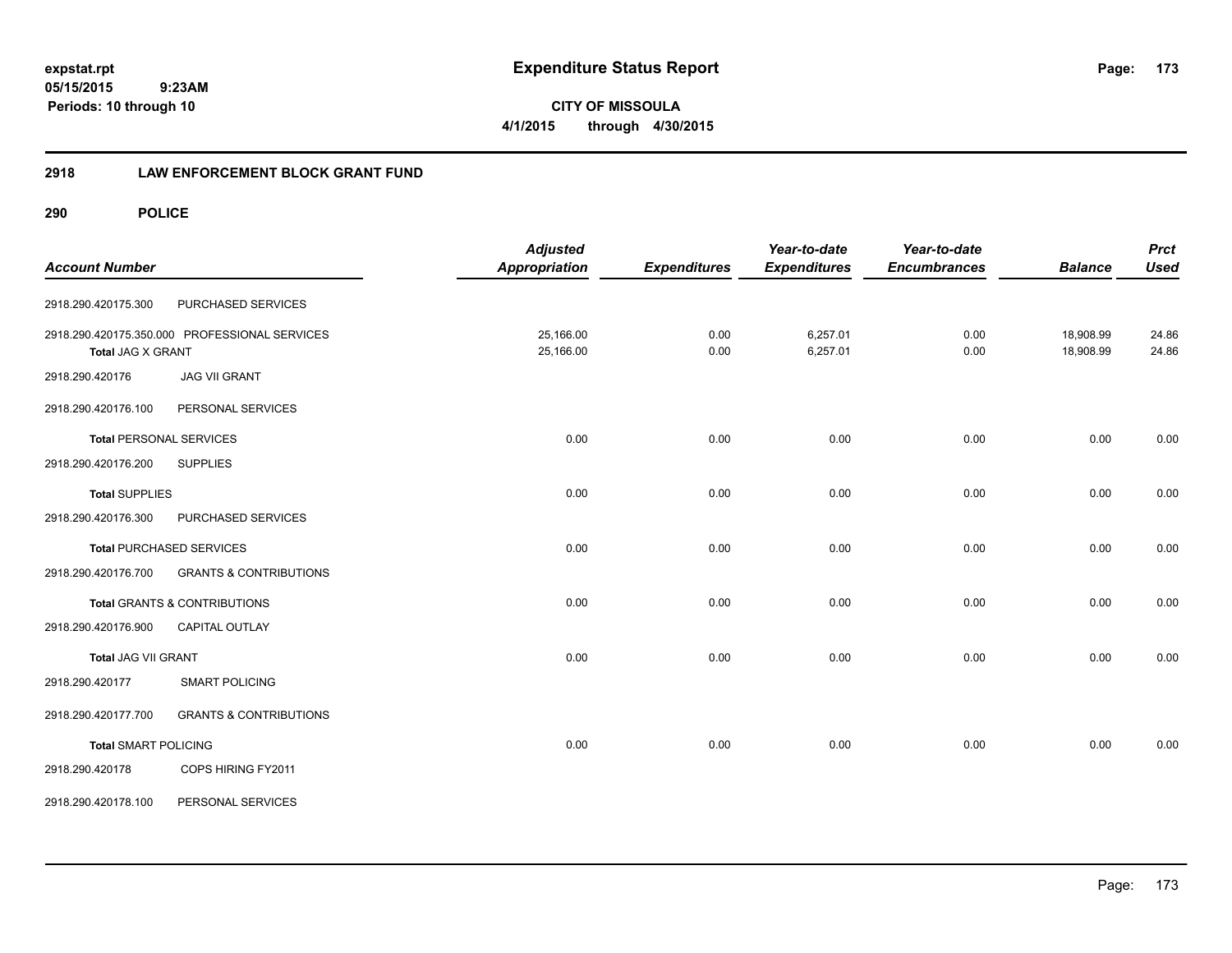**CITY OF MISSOULA 4/1/2015 through 4/30/2015**

# **2918 LAW ENFORCEMENT BLOCK GRANT FUND**

| <b>Account Number</b>          |                                               | <b>Adjusted</b><br><b>Appropriation</b> | <b>Expenditures</b> | Year-to-date<br><b>Expenditures</b> | Year-to-date<br><b>Encumbrances</b> | <b>Balance</b>         | <b>Prct</b><br><b>Used</b> |
|--------------------------------|-----------------------------------------------|-----------------------------------------|---------------------|-------------------------------------|-------------------------------------|------------------------|----------------------------|
| 2918.290.420175.300            | PURCHASED SERVICES                            |                                         |                     |                                     |                                     |                        |                            |
| Total JAG X GRANT              | 2918.290.420175.350.000 PROFESSIONAL SERVICES | 25,166.00<br>25,166.00                  | 0.00<br>0.00        | 6,257.01<br>6,257.01                | 0.00<br>0.00                        | 18,908.99<br>18,908.99 | 24.86<br>24.86             |
| 2918.290.420176                | <b>JAG VII GRANT</b>                          |                                         |                     |                                     |                                     |                        |                            |
| 2918.290.420176.100            | PERSONAL SERVICES                             |                                         |                     |                                     |                                     |                        |                            |
| <b>Total PERSONAL SERVICES</b> |                                               | 0.00                                    | 0.00                | 0.00                                | 0.00                                | 0.00                   | 0.00                       |
| 2918.290.420176.200            | <b>SUPPLIES</b>                               |                                         |                     |                                     |                                     |                        |                            |
| <b>Total SUPPLIES</b>          |                                               | 0.00                                    | 0.00                | 0.00                                | 0.00                                | 0.00                   | 0.00                       |
| 2918.290.420176.300            | PURCHASED SERVICES                            |                                         |                     |                                     |                                     |                        |                            |
|                                | <b>Total PURCHASED SERVICES</b>               | 0.00                                    | 0.00                | 0.00                                | 0.00                                | 0.00                   | 0.00                       |
| 2918.290.420176.700            | <b>GRANTS &amp; CONTRIBUTIONS</b>             |                                         |                     |                                     |                                     |                        |                            |
|                                | <b>Total GRANTS &amp; CONTRIBUTIONS</b>       | 0.00                                    | 0.00                | 0.00                                | 0.00                                | 0.00                   | 0.00                       |
| 2918.290.420176.900            | <b>CAPITAL OUTLAY</b>                         |                                         |                     |                                     |                                     |                        |                            |
| Total JAG VII GRANT            |                                               | 0.00                                    | 0.00                | 0.00                                | 0.00                                | 0.00                   | 0.00                       |
| 2918.290.420177                | <b>SMART POLICING</b>                         |                                         |                     |                                     |                                     |                        |                            |
| 2918.290.420177.700            | <b>GRANTS &amp; CONTRIBUTIONS</b>             |                                         |                     |                                     |                                     |                        |                            |
| <b>Total SMART POLICING</b>    |                                               | 0.00                                    | 0.00                | 0.00                                | 0.00                                | 0.00                   | 0.00                       |
| 2918.290.420178                | COPS HIRING FY2011                            |                                         |                     |                                     |                                     |                        |                            |
| 2918.290.420178.100            | PERSONAL SERVICES                             |                                         |                     |                                     |                                     |                        |                            |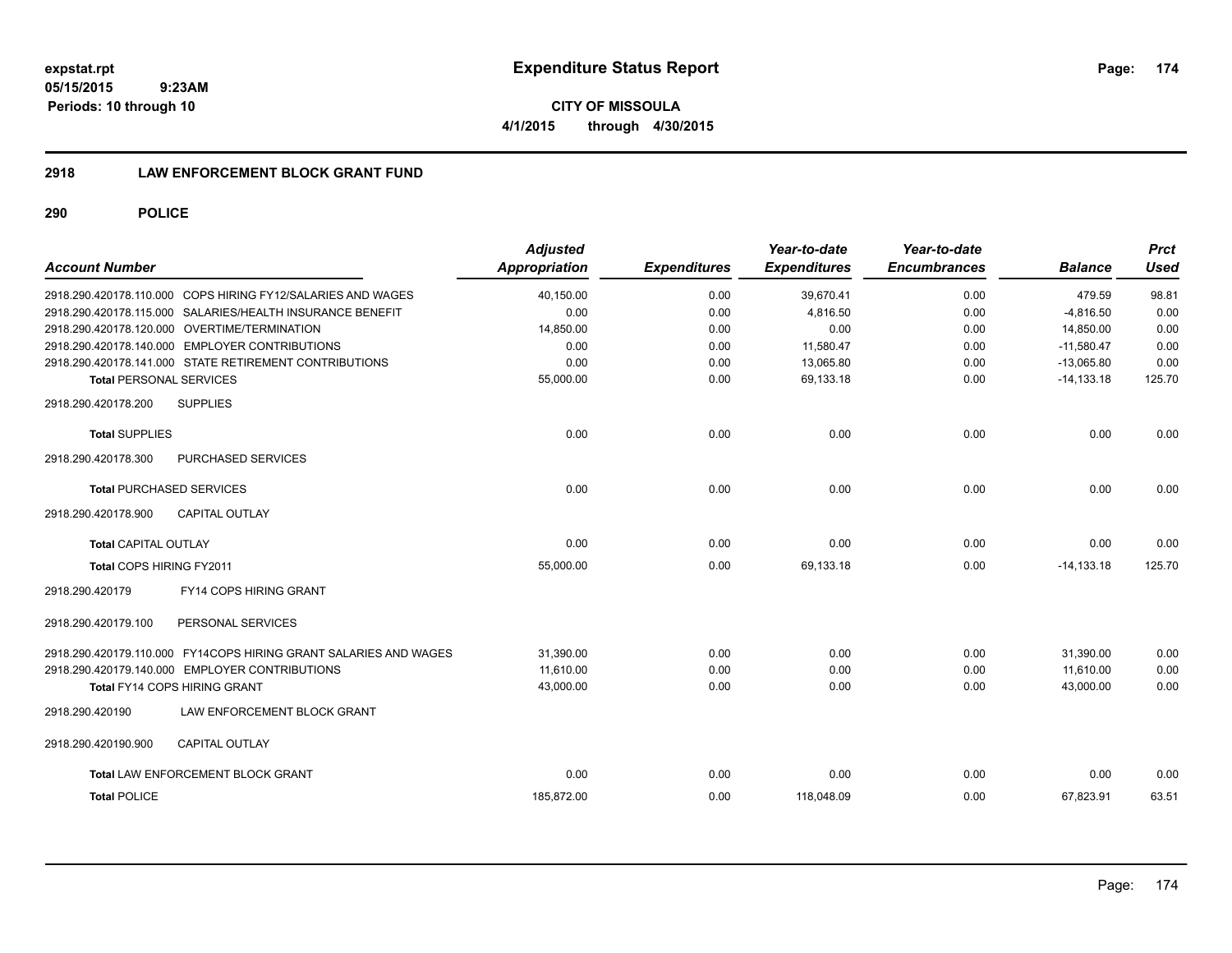**05/15/2015 9:23AM Periods: 10 through 10**

**CITY OF MISSOULA 4/1/2015 through 4/30/2015**

# **2918 LAW ENFORCEMENT BLOCK GRANT FUND**

| <b>Account Number</b>                                            | <b>Adjusted</b><br>Appropriation | <b>Expenditures</b> | Year-to-date<br><b>Expenditures</b> | Year-to-date<br><b>Encumbrances</b> | <b>Balance</b> | <b>Prct</b><br><b>Used</b> |
|------------------------------------------------------------------|----------------------------------|---------------------|-------------------------------------|-------------------------------------|----------------|----------------------------|
| 2918.290.420178.110.000 COPS HIRING FY12/SALARIES AND WAGES      | 40,150.00                        | 0.00                | 39,670.41                           | 0.00                                | 479.59         | 98.81                      |
| 2918.290.420178.115.000 SALARIES/HEALTH INSURANCE BENEFIT        | 0.00                             | 0.00                | 4,816.50                            | 0.00                                | $-4,816.50$    | 0.00                       |
| 2918.290.420178.120.000 OVERTIME/TERMINATION                     | 14,850.00                        | 0.00                | 0.00                                | 0.00                                | 14,850.00      | 0.00                       |
| 2918.290.420178.140.000 EMPLOYER CONTRIBUTIONS                   | 0.00                             | 0.00                | 11,580.47                           | 0.00                                | $-11,580.47$   | 0.00                       |
| 2918.290.420178.141.000 STATE RETIREMENT CONTRIBUTIONS           | 0.00                             | 0.00                | 13,065.80                           | 0.00                                | $-13,065.80$   | 0.00                       |
| <b>Total PERSONAL SERVICES</b>                                   | 55,000.00                        | 0.00                | 69,133.18                           | 0.00                                | $-14, 133.18$  | 125.70                     |
| 2918.290.420178.200<br><b>SUPPLIES</b>                           |                                  |                     |                                     |                                     |                |                            |
| <b>Total SUPPLIES</b>                                            | 0.00                             | 0.00                | 0.00                                | 0.00                                | 0.00           | 0.00                       |
| 2918.290.420178.300<br>PURCHASED SERVICES                        |                                  |                     |                                     |                                     |                |                            |
| <b>Total PURCHASED SERVICES</b>                                  | 0.00                             | 0.00                | 0.00                                | 0.00                                | 0.00           | 0.00                       |
| <b>CAPITAL OUTLAY</b><br>2918.290.420178.900                     |                                  |                     |                                     |                                     |                |                            |
| <b>Total CAPITAL OUTLAY</b>                                      | 0.00                             | 0.00                | 0.00                                | 0.00                                | 0.00           | 0.00                       |
| Total COPS HIRING FY2011                                         | 55.000.00                        | 0.00                | 69.133.18                           | 0.00                                | $-14.133.18$   | 125.70                     |
| FY14 COPS HIRING GRANT<br>2918.290.420179                        |                                  |                     |                                     |                                     |                |                            |
| 2918.290.420179.100<br>PERSONAL SERVICES                         |                                  |                     |                                     |                                     |                |                            |
| 2918.290.420179.110.000 FY14COPS HIRING GRANT SALARIES AND WAGES | 31,390.00                        | 0.00                | 0.00                                | 0.00                                | 31,390.00      | 0.00                       |
| 2918.290.420179.140.000 EMPLOYER CONTRIBUTIONS                   | 11,610.00                        | 0.00                | 0.00                                | 0.00                                | 11,610.00      | 0.00                       |
| <b>Total FY14 COPS HIRING GRANT</b>                              | 43,000.00                        | 0.00                | 0.00                                | 0.00                                | 43,000.00      | 0.00                       |
| 2918.290.420190<br>LAW ENFORCEMENT BLOCK GRANT                   |                                  |                     |                                     |                                     |                |                            |
| CAPITAL OUTLAY<br>2918.290.420190.900                            |                                  |                     |                                     |                                     |                |                            |
| Total LAW ENFORCEMENT BLOCK GRANT                                | 0.00                             | 0.00                | 0.00                                | 0.00                                | 0.00           | 0.00                       |
| <b>Total POLICE</b>                                              | 185.872.00                       | 0.00                | 118,048.09                          | 0.00                                | 67.823.91      | 63.51                      |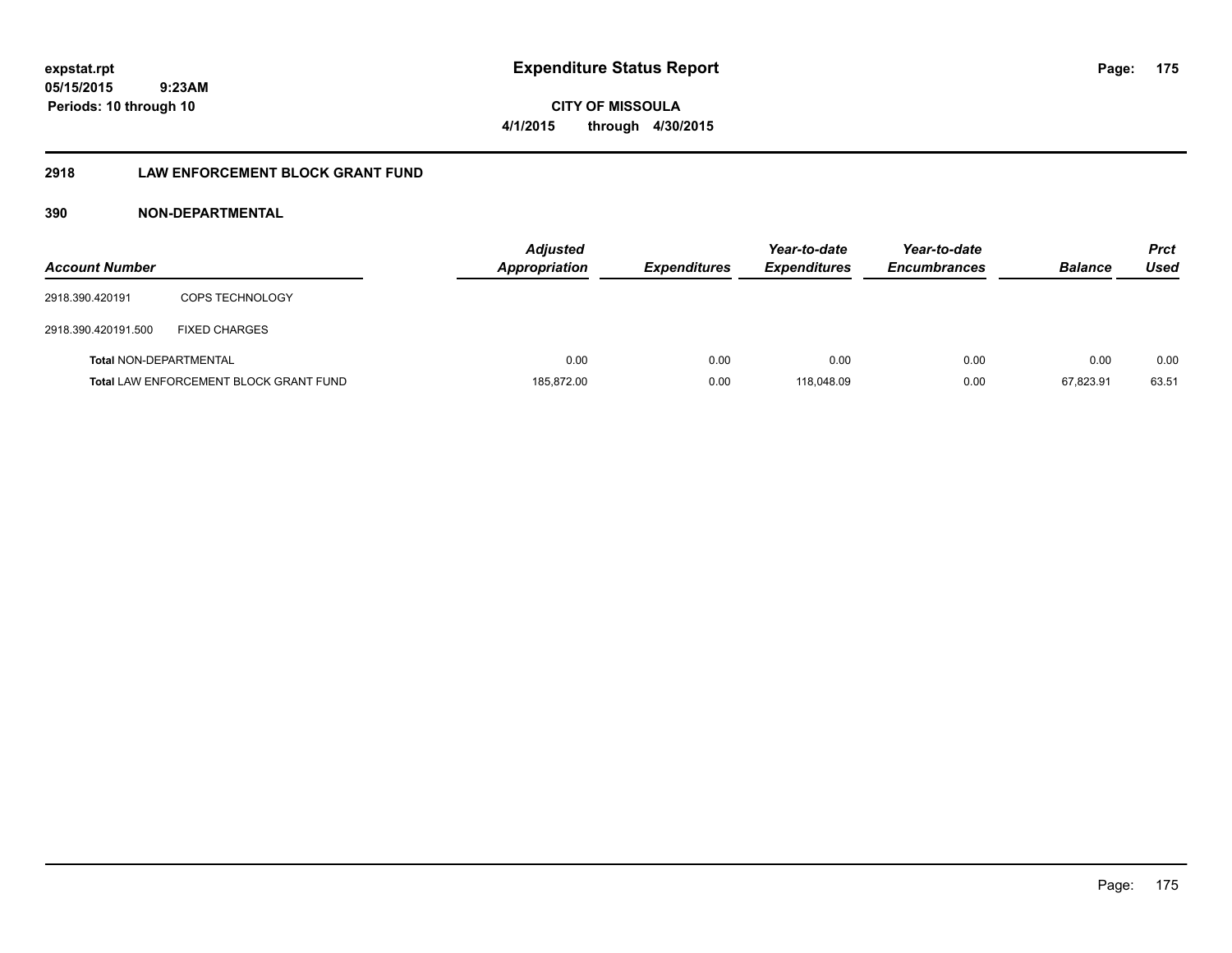**CITY OF MISSOULA 4/1/2015 through 4/30/2015**

# **2918 LAW ENFORCEMENT BLOCK GRANT FUND**

| <b>Account Number</b>  |                                               | <b>Adjusted</b><br><b>Appropriation</b> | <b>Expenditures</b> | Year-to-date<br><b>Expenditures</b> | Year-to-date<br><b>Encumbrances</b> | <b>Balance</b> | <b>Prct</b><br>Used |
|------------------------|-----------------------------------------------|-----------------------------------------|---------------------|-------------------------------------|-------------------------------------|----------------|---------------------|
| 2918.390.420191        | <b>COPS TECHNOLOGY</b>                        |                                         |                     |                                     |                                     |                |                     |
| 2918.390.420191.500    | <b>FIXED CHARGES</b>                          |                                         |                     |                                     |                                     |                |                     |
| Total NON-DEPARTMENTAL |                                               | 0.00                                    | 0.00                | 0.00                                | 0.00                                | 0.00           | 0.00                |
|                        | <b>Total LAW ENFORCEMENT BLOCK GRANT FUND</b> | 185,872.00                              | 0.00                | 118.048.09                          | 0.00                                | 67.823.91      | 63.51               |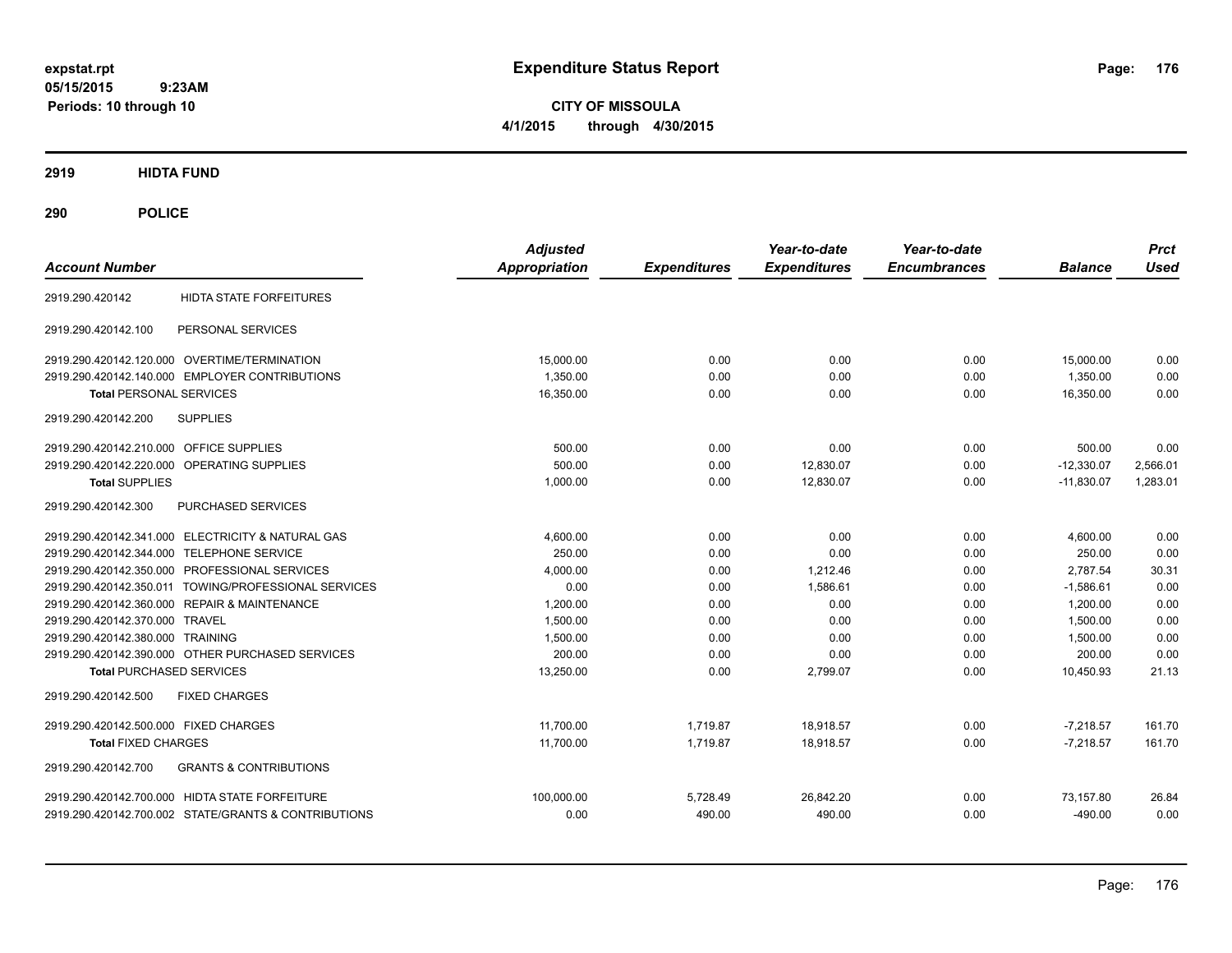**CITY OF MISSOULA 4/1/2015 through 4/30/2015**

**2919 HIDTA FUND**

| <b>Account Number</b>                                    | <b>Adjusted</b><br><b>Appropriation</b> | <b>Expenditures</b> | Year-to-date<br><b>Expenditures</b> | Year-to-date<br><b>Encumbrances</b> | <b>Balance</b> | <b>Prct</b><br><b>Used</b> |
|----------------------------------------------------------|-----------------------------------------|---------------------|-------------------------------------|-------------------------------------|----------------|----------------------------|
| <b>HIDTA STATE FORFEITURES</b><br>2919.290.420142        |                                         |                     |                                     |                                     |                |                            |
| PERSONAL SERVICES<br>2919.290.420142.100                 |                                         |                     |                                     |                                     |                |                            |
| 2919.290.420142.120.000 OVERTIME/TERMINATION             | 15,000.00                               | 0.00                | 0.00                                | 0.00                                | 15,000.00      | 0.00                       |
| 2919.290.420142.140.000 EMPLOYER CONTRIBUTIONS           | 1.350.00                                | 0.00                | 0.00                                | 0.00                                | 1.350.00       | 0.00                       |
| <b>Total PERSONAL SERVICES</b>                           | 16,350.00                               | 0.00                | 0.00                                | 0.00                                | 16,350.00      | 0.00                       |
| <b>SUPPLIES</b><br>2919.290.420142.200                   |                                         |                     |                                     |                                     |                |                            |
| 2919.290.420142.210.000 OFFICE SUPPLIES                  | 500.00                                  | 0.00                | 0.00                                | 0.00                                | 500.00         | 0.00                       |
| 2919.290.420142.220.000 OPERATING SUPPLIES               | 500.00                                  | 0.00                | 12,830.07                           | 0.00                                | $-12,330.07$   | 2,566.01                   |
| <b>Total SUPPLIES</b>                                    | 1,000.00                                | 0.00                | 12,830.07                           | 0.00                                | $-11,830.07$   | 1,283.01                   |
| PURCHASED SERVICES<br>2919.290.420142.300                |                                         |                     |                                     |                                     |                |                            |
| 2919.290.420142.341.000 ELECTRICITY & NATURAL GAS        | 4,600.00                                | 0.00                | 0.00                                | 0.00                                | 4,600.00       | 0.00                       |
| 2919.290.420142.344.000 TELEPHONE SERVICE                | 250.00                                  | 0.00                | 0.00                                | 0.00                                | 250.00         | 0.00                       |
| 2919.290.420142.350.000 PROFESSIONAL SERVICES            | 4,000.00                                | 0.00                | 1,212.46                            | 0.00                                | 2,787.54       | 30.31                      |
| 2919.290.420142.350.011 TOWING/PROFESSIONAL SERVICES     | 0.00                                    | 0.00                | 1,586.61                            | 0.00                                | $-1,586.61$    | 0.00                       |
| 2919.290.420142.360.000 REPAIR & MAINTENANCE             | 1.200.00                                | 0.00                | 0.00                                | 0.00                                | 1.200.00       | 0.00                       |
| 2919.290.420142.370.000 TRAVEL                           | 1.500.00                                | 0.00                | 0.00                                | 0.00                                | 1.500.00       | 0.00                       |
| 2919.290.420142.380.000 TRAINING                         | 1,500.00                                | 0.00                | 0.00                                | 0.00                                | 1,500.00       | 0.00                       |
| 2919.290.420142.390.000 OTHER PURCHASED SERVICES         | 200.00                                  | 0.00                | 0.00                                | 0.00                                | 200.00         | 0.00                       |
| <b>Total PURCHASED SERVICES</b>                          | 13,250.00                               | 0.00                | 2,799.07                            | 0.00                                | 10,450.93      | 21.13                      |
| 2919.290.420142.500<br><b>FIXED CHARGES</b>              |                                         |                     |                                     |                                     |                |                            |
| 2919.290.420142.500.000 FIXED CHARGES                    | 11,700.00                               | 1,719.87            | 18,918.57                           | 0.00                                | $-7.218.57$    | 161.70                     |
| <b>Total FIXED CHARGES</b>                               | 11,700.00                               | 1,719.87            | 18,918.57                           | 0.00                                | $-7,218.57$    | 161.70                     |
| 2919.290.420142.700<br><b>GRANTS &amp; CONTRIBUTIONS</b> |                                         |                     |                                     |                                     |                |                            |
| 2919.290.420142.700.000 HIDTA STATE FORFEITURE           | 100.000.00                              | 5,728.49            | 26,842.20                           | 0.00                                | 73,157.80      | 26.84                      |
| 2919.290.420142.700.002 STATE/GRANTS & CONTRIBUTIONS     | 0.00                                    | 490.00              | 490.00                              | 0.00                                | $-490.00$      | 0.00                       |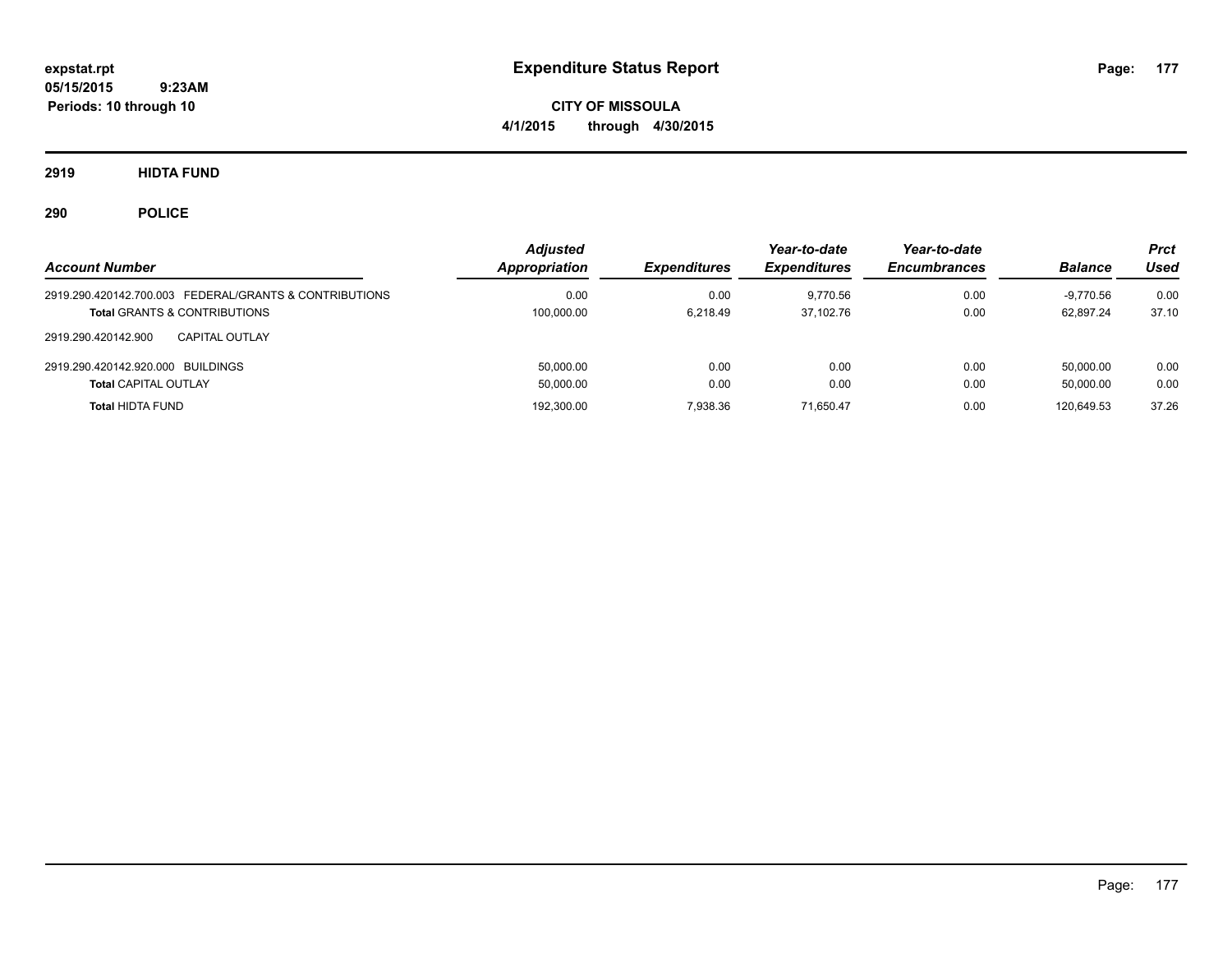**CITY OF MISSOULA 4/1/2015 through 4/30/2015**

**2919 HIDTA FUND**

| <b>Account Number</b>                                  | <b>Adjusted</b><br>Appropriation | <b>Expenditures</b> | Year-to-date<br><b>Expenditures</b> | Year-to-date<br><b>Encumbrances</b> | <b>Balance</b> | Prct<br>Used |
|--------------------------------------------------------|----------------------------------|---------------------|-------------------------------------|-------------------------------------|----------------|--------------|
| 2919.290.420142.700.003 FEDERAL/GRANTS & CONTRIBUTIONS | 0.00                             | 0.00                | 9.770.56                            | 0.00                                | -9.770.56      | 0.00         |
| <b>Total GRANTS &amp; CONTRIBUTIONS</b>                | 100,000.00                       | 6.218.49            | 37.102.76                           | 0.00                                | 62.897.24      | 37.10        |
| 2919.290.420142.900<br>CAPITAL OUTLAY                  |                                  |                     |                                     |                                     |                |              |
| 2919.290.420142.920.000 BUILDINGS                      | 50.000.00                        | 0.00                | 0.00                                | 0.00                                | 50.000.00      | 0.00         |
| <b>Total CAPITAL OUTLAY</b>                            | 50,000.00                        | 0.00                | 0.00                                | 0.00                                | 50.000.00      | 0.00         |
| <b>Total HIDTA FUND</b>                                | 192,300.00                       | 7.938.36            | 71.650.47                           | 0.00                                | 120.649.53     | 37.26        |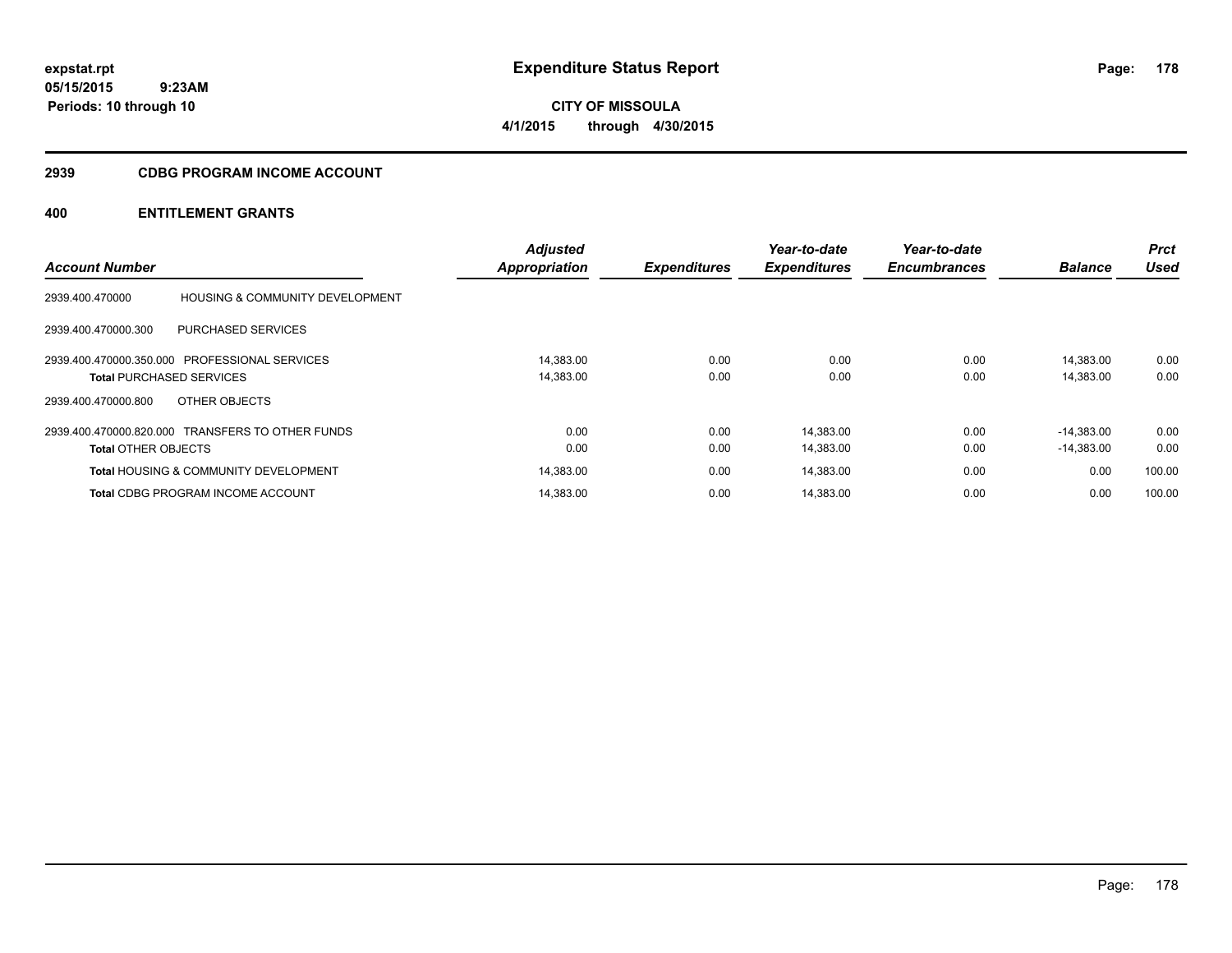**CITY OF MISSOULA 4/1/2015 through 4/30/2015**

#### **2939 CDBG PROGRAM INCOME ACCOUNT**

# **400 ENTITLEMENT GRANTS**

|                                 |                                                  | <b>Adjusted</b>      |                     | Year-to-date        | Year-to-date        |                | <b>Prct</b> |
|---------------------------------|--------------------------------------------------|----------------------|---------------------|---------------------|---------------------|----------------|-------------|
| <b>Account Number</b>           |                                                  | <b>Appropriation</b> | <b>Expenditures</b> | <b>Expenditures</b> | <b>Encumbrances</b> | <b>Balance</b> | <b>Used</b> |
| 2939.400.470000                 | <b>HOUSING &amp; COMMUNITY DEVELOPMENT</b>       |                      |                     |                     |                     |                |             |
| 2939.400.470000.300             | <b>PURCHASED SERVICES</b>                        |                      |                     |                     |                     |                |             |
|                                 | 2939.400.470000.350.000 PROFESSIONAL SERVICES    | 14.383.00            | 0.00                | 0.00                | 0.00                | 14.383.00      | 0.00        |
| <b>Total PURCHASED SERVICES</b> |                                                  | 14,383.00            | 0.00                | 0.00                | 0.00                | 14,383.00      | 0.00        |
| 2939.400.470000.800             | OTHER OBJECTS                                    |                      |                     |                     |                     |                |             |
|                                 | 2939.400.470000.820.000 TRANSFERS TO OTHER FUNDS | 0.00                 | 0.00                | 14,383.00           | 0.00                | $-14.383.00$   | 0.00        |
| <b>Total OTHER OBJECTS</b>      |                                                  | 0.00                 | 0.00                | 14,383.00           | 0.00                | $-14,383.00$   | 0.00        |
|                                 | <b>Total HOUSING &amp; COMMUNITY DEVELOPMENT</b> | 14,383.00            | 0.00                | 14,383.00           | 0.00                | 0.00           | 100.00      |
|                                 | <b>Total CDBG PROGRAM INCOME ACCOUNT</b>         | 14.383.00            | 0.00                | 14.383.00           | 0.00                | 0.00           | 100.00      |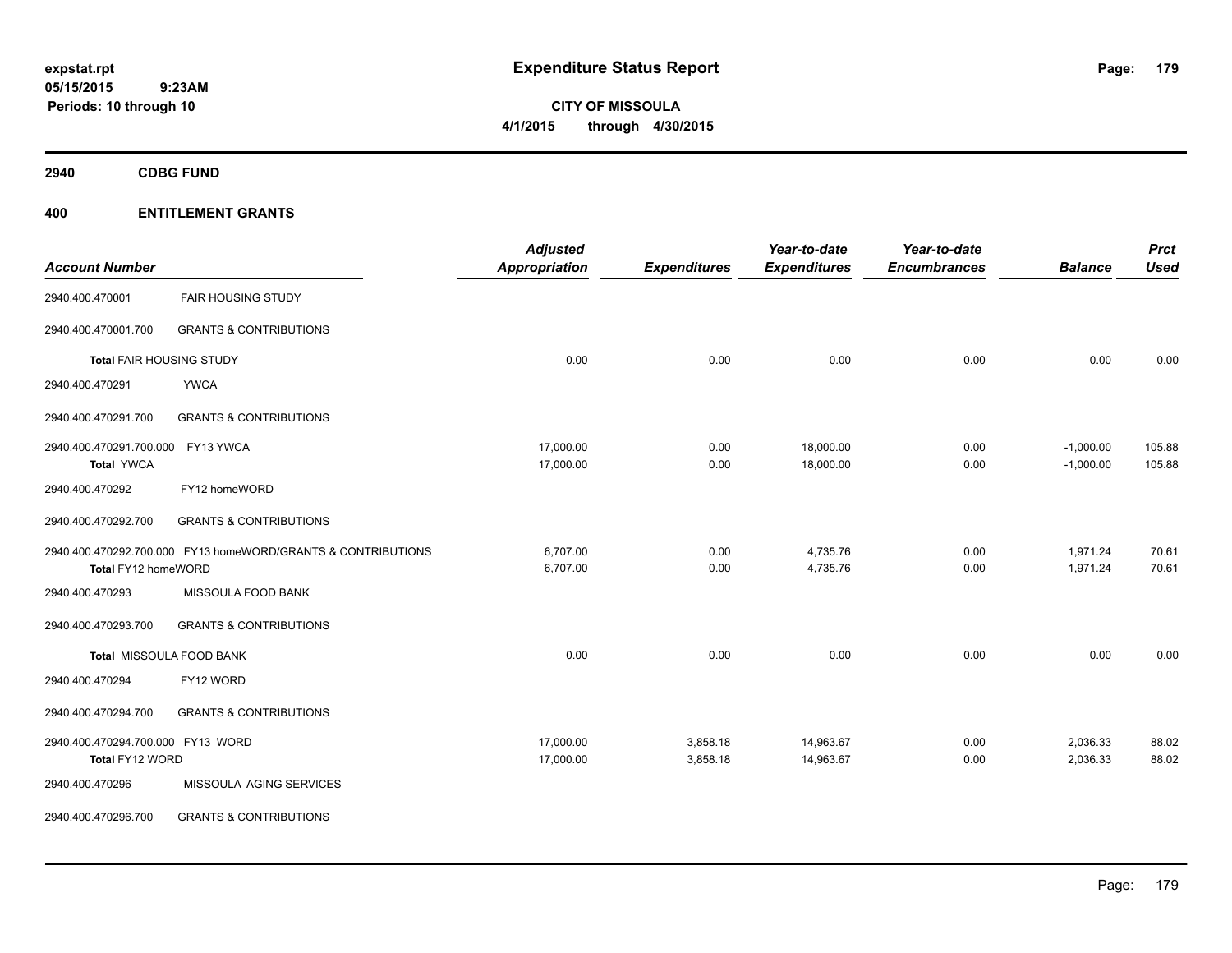**CITY OF MISSOULA 4/1/2015 through 4/30/2015**

**2940 CDBG FUND**

# **400 ENTITLEMENT GRANTS**

| <b>Account Number</b>             |                                                              | <b>Adjusted</b><br>Appropriation | <b>Expenditures</b> | Year-to-date<br><b>Expenditures</b> | Year-to-date<br><b>Encumbrances</b> | <b>Balance</b> | <b>Prct</b><br><b>Used</b> |
|-----------------------------------|--------------------------------------------------------------|----------------------------------|---------------------|-------------------------------------|-------------------------------------|----------------|----------------------------|
| 2940.400.470001                   | <b>FAIR HOUSING STUDY</b>                                    |                                  |                     |                                     |                                     |                |                            |
| 2940.400.470001.700               | <b>GRANTS &amp; CONTRIBUTIONS</b>                            |                                  |                     |                                     |                                     |                |                            |
| <b>Total FAIR HOUSING STUDY</b>   |                                                              | 0.00                             | 0.00                | 0.00                                | 0.00                                | 0.00           | 0.00                       |
| 2940.400.470291                   | <b>YWCA</b>                                                  |                                  |                     |                                     |                                     |                |                            |
| 2940.400.470291.700               | <b>GRANTS &amp; CONTRIBUTIONS</b>                            |                                  |                     |                                     |                                     |                |                            |
| 2940.400.470291.700.000           | FY13 YWCA                                                    | 17,000.00                        | 0.00                | 18,000.00                           | 0.00                                | $-1,000.00$    | 105.88                     |
| <b>Total YWCA</b>                 |                                                              | 17,000.00                        | 0.00                | 18,000.00                           | 0.00                                | $-1,000.00$    | 105.88                     |
| 2940.400.470292                   | FY12 homeWORD                                                |                                  |                     |                                     |                                     |                |                            |
| 2940.400.470292.700               | <b>GRANTS &amp; CONTRIBUTIONS</b>                            |                                  |                     |                                     |                                     |                |                            |
|                                   | 2940.400.470292.700.000 FY13 homeWORD/GRANTS & CONTRIBUTIONS | 6,707.00                         | 0.00                | 4,735.76                            | 0.00                                | 1,971.24       | 70.61                      |
| Total FY12 homeWORD               |                                                              | 6,707.00                         | 0.00                | 4,735.76                            | 0.00                                | 1,971.24       | 70.61                      |
| 2940.400.470293                   | MISSOULA FOOD BANK                                           |                                  |                     |                                     |                                     |                |                            |
| 2940.400.470293.700               | <b>GRANTS &amp; CONTRIBUTIONS</b>                            |                                  |                     |                                     |                                     |                |                            |
|                                   | Total MISSOULA FOOD BANK                                     | 0.00                             | 0.00                | 0.00                                | 0.00                                | 0.00           | 0.00                       |
| 2940.400.470294                   | FY12 WORD                                                    |                                  |                     |                                     |                                     |                |                            |
| 2940.400.470294.700               | <b>GRANTS &amp; CONTRIBUTIONS</b>                            |                                  |                     |                                     |                                     |                |                            |
| 2940.400.470294.700.000 FY13 WORD |                                                              | 17,000.00                        | 3,858.18            | 14,963.67                           | 0.00                                | 2,036.33       | 88.02                      |
| Total FY12 WORD                   |                                                              | 17,000.00                        | 3,858.18            | 14,963.67                           | 0.00                                | 2,036.33       | 88.02                      |
| 2940.400.470296                   | MISSOULA AGING SERVICES                                      |                                  |                     |                                     |                                     |                |                            |
| 2940.400.470296.700               | <b>GRANTS &amp; CONTRIBUTIONS</b>                            |                                  |                     |                                     |                                     |                |                            |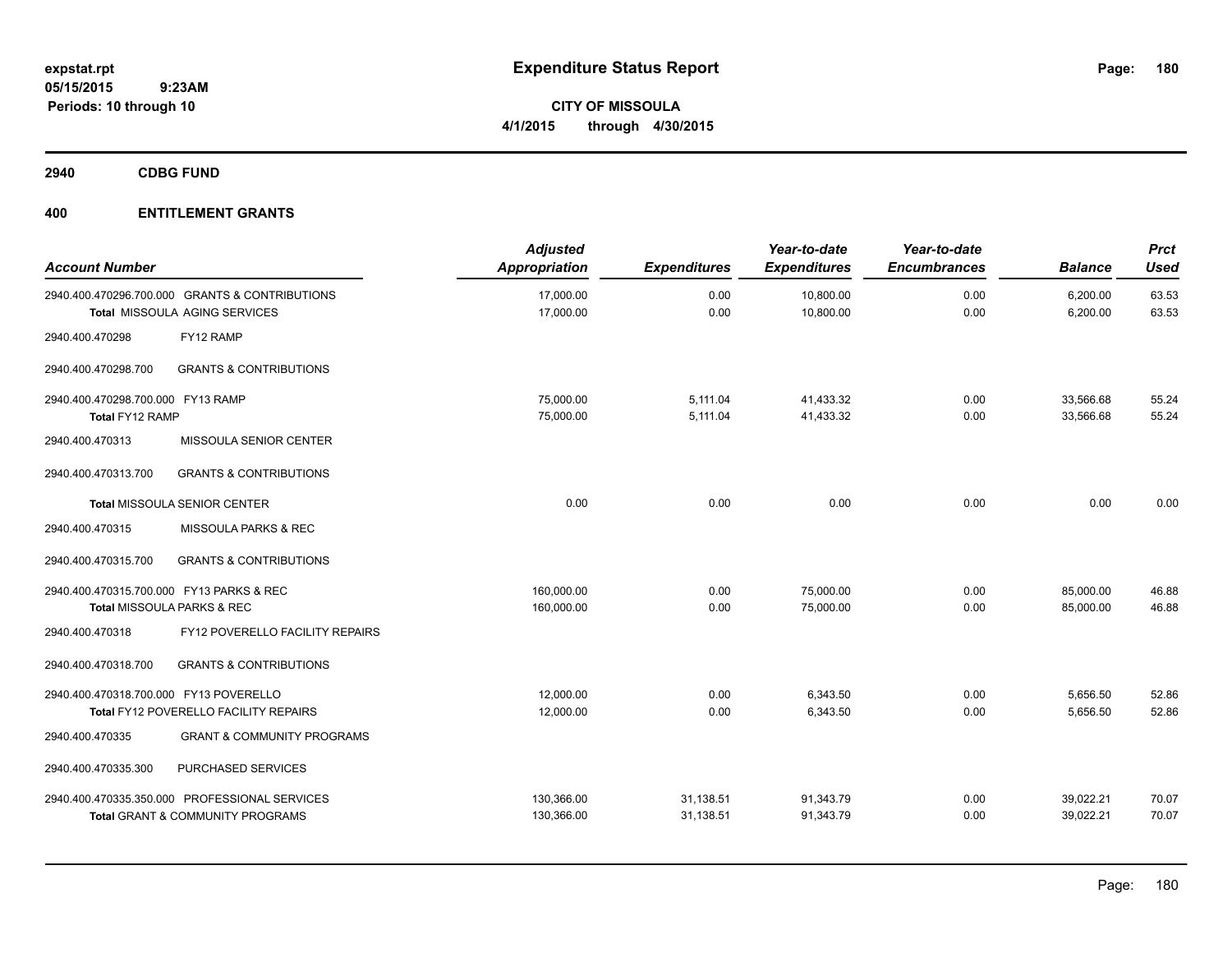**CITY OF MISSOULA 4/1/2015 through 4/30/2015**

**2940 CDBG FUND**

# **400 ENTITLEMENT GRANTS**

| <b>Account Number</b>                                                             |                                                                                              | <b>Adjusted</b><br>Appropriation | <b>Expenditures</b>    | Year-to-date<br><b>Expenditures</b> | Year-to-date<br><b>Encumbrances</b> | <b>Balance</b>         | Prct<br><b>Used</b> |
|-----------------------------------------------------------------------------------|----------------------------------------------------------------------------------------------|----------------------------------|------------------------|-------------------------------------|-------------------------------------|------------------------|---------------------|
|                                                                                   | 2940.400.470296.700.000 GRANTS & CONTRIBUTIONS<br>Total MISSOULA AGING SERVICES              | 17,000.00<br>17,000.00           | 0.00<br>0.00           | 10,800.00<br>10,800.00              | 0.00<br>0.00                        | 6,200.00<br>6,200.00   | 63.53<br>63.53      |
| 2940.400.470298                                                                   | FY12 RAMP                                                                                    |                                  |                        |                                     |                                     |                        |                     |
| 2940.400.470298.700                                                               | <b>GRANTS &amp; CONTRIBUTIONS</b>                                                            |                                  |                        |                                     |                                     |                        |                     |
| 2940.400.470298.700.000 FY13 RAMP<br>Total FY12 RAMP                              |                                                                                              | 75,000.00<br>75,000.00           | 5,111.04<br>5,111.04   | 41,433.32<br>41,433.32              | 0.00<br>0.00                        | 33,566.68<br>33,566.68 | 55.24<br>55.24      |
| 2940.400.470313                                                                   | MISSOULA SENIOR CENTER                                                                       |                                  |                        |                                     |                                     |                        |                     |
| 2940.400.470313.700                                                               | <b>GRANTS &amp; CONTRIBUTIONS</b>                                                            |                                  |                        |                                     |                                     |                        |                     |
|                                                                                   | <b>Total MISSOULA SENIOR CENTER</b>                                                          | 0.00                             | 0.00                   | 0.00                                | 0.00                                | 0.00                   | 0.00                |
| 2940.400.470315                                                                   | MISSOULA PARKS & REC                                                                         |                                  |                        |                                     |                                     |                        |                     |
| 2940.400.470315.700                                                               | <b>GRANTS &amp; CONTRIBUTIONS</b>                                                            |                                  |                        |                                     |                                     |                        |                     |
| 2940.400.470315.700.000 FY13 PARKS & REC<br><b>Total MISSOULA PARKS &amp; REC</b> |                                                                                              | 160,000.00<br>160,000.00         | 0.00<br>0.00           | 75,000.00<br>75,000.00              | 0.00<br>0.00                        | 85,000.00<br>85,000.00 | 46.88<br>46.88      |
| 2940.400.470318                                                                   | FY12 POVERELLO FACILITY REPAIRS                                                              |                                  |                        |                                     |                                     |                        |                     |
| 2940.400.470318.700                                                               | <b>GRANTS &amp; CONTRIBUTIONS</b>                                                            |                                  |                        |                                     |                                     |                        |                     |
| 2940.400.470318.700.000 FY13 POVERELLO                                            | Total FY12 POVERELLO FACILITY REPAIRS                                                        | 12,000.00<br>12,000.00           | 0.00<br>0.00           | 6.343.50<br>6,343.50                | 0.00<br>0.00                        | 5,656.50<br>5,656.50   | 52.86<br>52.86      |
| 2940.400.470335                                                                   | <b>GRANT &amp; COMMUNITY PROGRAMS</b>                                                        |                                  |                        |                                     |                                     |                        |                     |
| 2940.400.470335.300                                                               | PURCHASED SERVICES                                                                           |                                  |                        |                                     |                                     |                        |                     |
|                                                                                   | 2940.400.470335.350.000 PROFESSIONAL SERVICES<br><b>Total GRANT &amp; COMMUNITY PROGRAMS</b> | 130,366.00<br>130,366.00         | 31,138.51<br>31,138.51 | 91,343.79<br>91,343.79              | 0.00<br>0.00                        | 39,022.21<br>39,022.21 | 70.07<br>70.07      |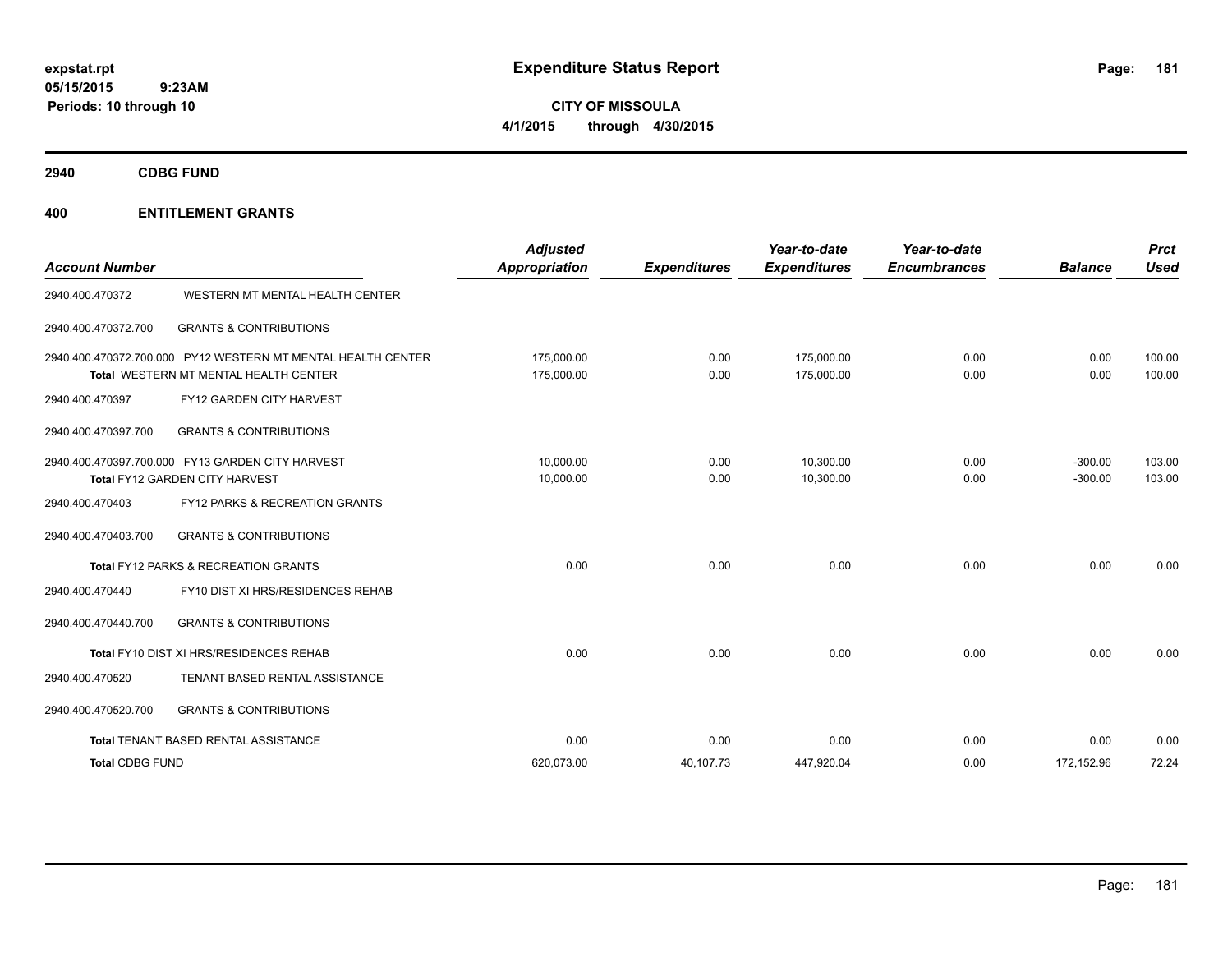**CITY OF MISSOULA 4/1/2015 through 4/30/2015**

**2940 CDBG FUND**

| <b>Account Number</b>  |                                                                                                       | <b>Adjusted</b><br>Appropriation | <b>Expenditures</b> | Year-to-date<br><b>Expenditures</b> | Year-to-date<br><b>Encumbrances</b> | <b>Balance</b>         | <b>Prct</b><br>Used |
|------------------------|-------------------------------------------------------------------------------------------------------|----------------------------------|---------------------|-------------------------------------|-------------------------------------|------------------------|---------------------|
| 2940.400.470372        | WESTERN MT MENTAL HEALTH CENTER                                                                       |                                  |                     |                                     |                                     |                        |                     |
| 2940.400.470372.700    | <b>GRANTS &amp; CONTRIBUTIONS</b>                                                                     |                                  |                     |                                     |                                     |                        |                     |
|                        | 2940.400.470372.700.000 PY12 WESTERN MT MENTAL HEALTH CENTER<br>Total WESTERN MT MENTAL HEALTH CENTER | 175.000.00<br>175,000.00         | 0.00<br>0.00        | 175.000.00<br>175,000.00            | 0.00<br>0.00                        | 0.00<br>0.00           | 100.00<br>100.00    |
| 2940.400.470397        | FY12 GARDEN CITY HARVEST                                                                              |                                  |                     |                                     |                                     |                        |                     |
| 2940.400.470397.700    | <b>GRANTS &amp; CONTRIBUTIONS</b>                                                                     |                                  |                     |                                     |                                     |                        |                     |
|                        | 2940.400.470397.700.000 FY13 GARDEN CITY HARVEST<br>Total FY12 GARDEN CITY HARVEST                    | 10.000.00<br>10,000.00           | 0.00<br>0.00        | 10.300.00<br>10,300.00              | 0.00<br>0.00                        | $-300.00$<br>$-300.00$ | 103.00<br>103.00    |
| 2940.400.470403        | FY12 PARKS & RECREATION GRANTS                                                                        |                                  |                     |                                     |                                     |                        |                     |
| 2940.400.470403.700    | <b>GRANTS &amp; CONTRIBUTIONS</b>                                                                     |                                  |                     |                                     |                                     |                        |                     |
|                        | Total FY12 PARKS & RECREATION GRANTS                                                                  | 0.00                             | 0.00                | 0.00                                | 0.00                                | 0.00                   | 0.00                |
| 2940.400.470440        | FY10 DIST XI HRS/RESIDENCES REHAB                                                                     |                                  |                     |                                     |                                     |                        |                     |
| 2940.400.470440.700    | <b>GRANTS &amp; CONTRIBUTIONS</b>                                                                     |                                  |                     |                                     |                                     |                        |                     |
|                        | Total FY10 DIST XI HRS/RESIDENCES REHAB                                                               | 0.00                             | 0.00                | 0.00                                | 0.00                                | 0.00                   | 0.00                |
| 2940.400.470520        | TENANT BASED RENTAL ASSISTANCE                                                                        |                                  |                     |                                     |                                     |                        |                     |
| 2940.400.470520.700    | <b>GRANTS &amp; CONTRIBUTIONS</b>                                                                     |                                  |                     |                                     |                                     |                        |                     |
|                        | Total TENANT BASED RENTAL ASSISTANCE                                                                  | 0.00                             | 0.00                | 0.00                                | 0.00                                | 0.00                   | 0.00                |
| <b>Total CDBG FUND</b> |                                                                                                       | 620.073.00                       | 40,107.73           | 447,920.04                          | 0.00                                | 172,152.96             | 72.24               |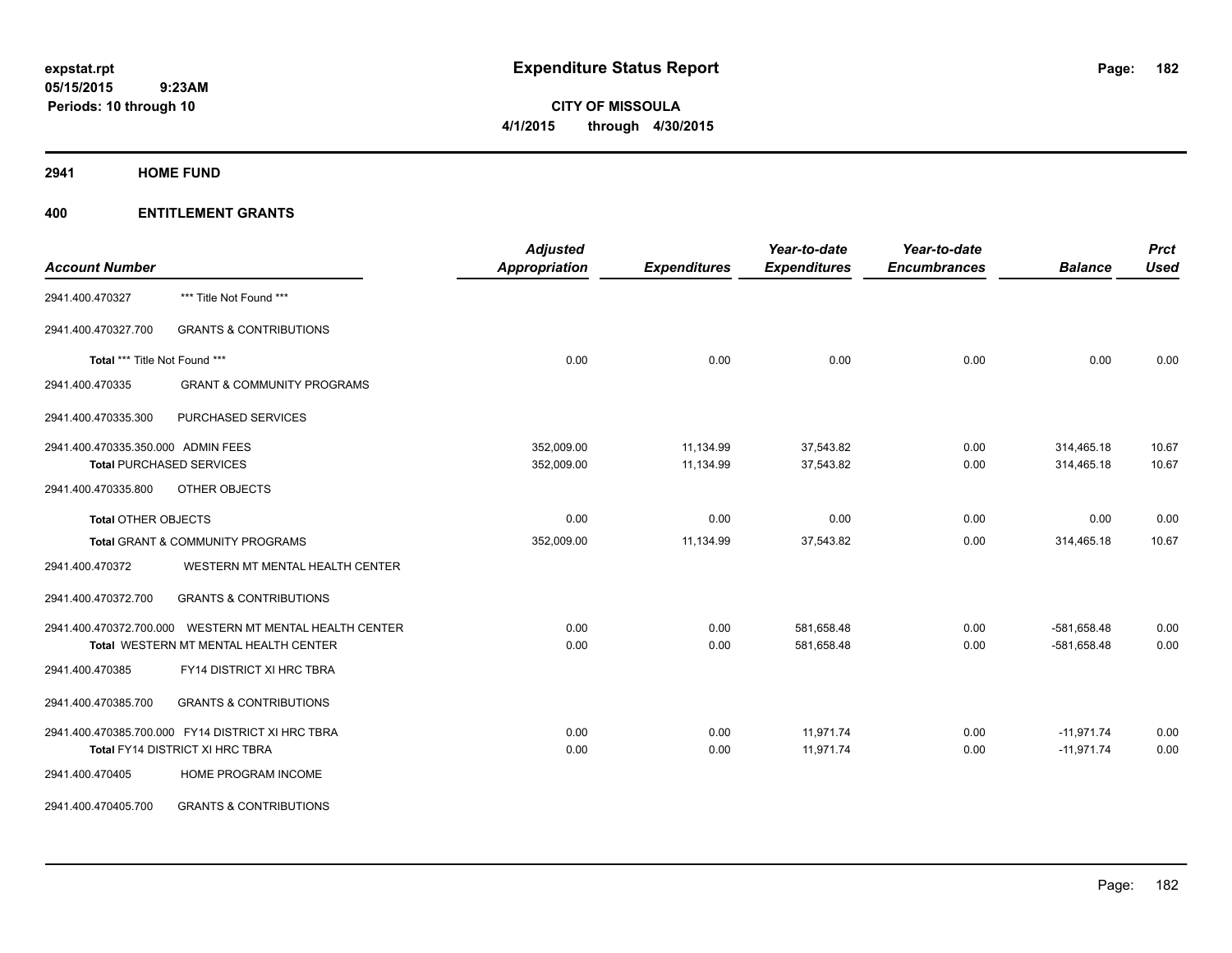**CITY OF MISSOULA 4/1/2015 through 4/30/2015**

**2941 HOME FUND**

| <b>Account Number</b>              |                                                   | <b>Adjusted</b><br>Appropriation | <b>Expenditures</b> | Year-to-date<br><b>Expenditures</b> | Year-to-date<br><b>Encumbrances</b> | <b>Balance</b> | <b>Prct</b><br><b>Used</b> |
|------------------------------------|---------------------------------------------------|----------------------------------|---------------------|-------------------------------------|-------------------------------------|----------------|----------------------------|
|                                    |                                                   |                                  |                     |                                     |                                     |                |                            |
| 2941.400.470327                    | *** Title Not Found ***                           |                                  |                     |                                     |                                     |                |                            |
| 2941.400.470327.700                | <b>GRANTS &amp; CONTRIBUTIONS</b>                 |                                  |                     |                                     |                                     |                |                            |
| Total *** Title Not Found ***      |                                                   | 0.00                             | 0.00                | 0.00                                | 0.00                                | 0.00           | 0.00                       |
| 2941.400.470335                    | <b>GRANT &amp; COMMUNITY PROGRAMS</b>             |                                  |                     |                                     |                                     |                |                            |
| 2941.400.470335.300                | PURCHASED SERVICES                                |                                  |                     |                                     |                                     |                |                            |
| 2941.400.470335.350.000 ADMIN FEES |                                                   | 352,009.00                       | 11,134.99           | 37,543.82                           | 0.00                                | 314,465.18     | 10.67                      |
|                                    | <b>Total PURCHASED SERVICES</b>                   | 352,009.00                       | 11,134.99           | 37,543.82                           | 0.00                                | 314,465.18     | 10.67                      |
| 2941.400.470335.800                | OTHER OBJECTS                                     |                                  |                     |                                     |                                     |                |                            |
| <b>Total OTHER OBJECTS</b>         |                                                   | 0.00                             | 0.00                | 0.00                                | 0.00                                | 0.00           | 0.00                       |
|                                    | <b>Total GRANT &amp; COMMUNITY PROGRAMS</b>       | 352,009.00                       | 11,134.99           | 37,543.82                           | 0.00                                | 314,465.18     | 10.67                      |
| 2941.400.470372                    | WESTERN MT MENTAL HEALTH CENTER                   |                                  |                     |                                     |                                     |                |                            |
| 2941.400.470372.700                | <b>GRANTS &amp; CONTRIBUTIONS</b>                 |                                  |                     |                                     |                                     |                |                            |
| 2941.400.470372.700.000            | WESTERN MT MENTAL HEALTH CENTER                   | 0.00                             | 0.00                | 581,658.48                          | 0.00                                | $-581,658.48$  | 0.00                       |
|                                    | Total WESTERN MT MENTAL HEALTH CENTER             | 0.00                             | 0.00                | 581,658.48                          | 0.00                                | $-581,658.48$  | 0.00                       |
| 2941.400.470385                    | FY14 DISTRICT XI HRC TBRA                         |                                  |                     |                                     |                                     |                |                            |
| 2941.400.470385.700                | <b>GRANTS &amp; CONTRIBUTIONS</b>                 |                                  |                     |                                     |                                     |                |                            |
|                                    | 2941.400.470385.700.000 FY14 DISTRICT XI HRC TBRA | 0.00                             | 0.00                | 11,971.74                           | 0.00                                | $-11,971.74$   | 0.00                       |
|                                    | Total FY14 DISTRICT XI HRC TBRA                   | 0.00                             | 0.00                | 11,971.74                           | 0.00                                | $-11,971.74$   | 0.00                       |
| 2941.400.470405                    | HOME PROGRAM INCOME                               |                                  |                     |                                     |                                     |                |                            |
| 2941.400.470405.700                | <b>GRANTS &amp; CONTRIBUTIONS</b>                 |                                  |                     |                                     |                                     |                |                            |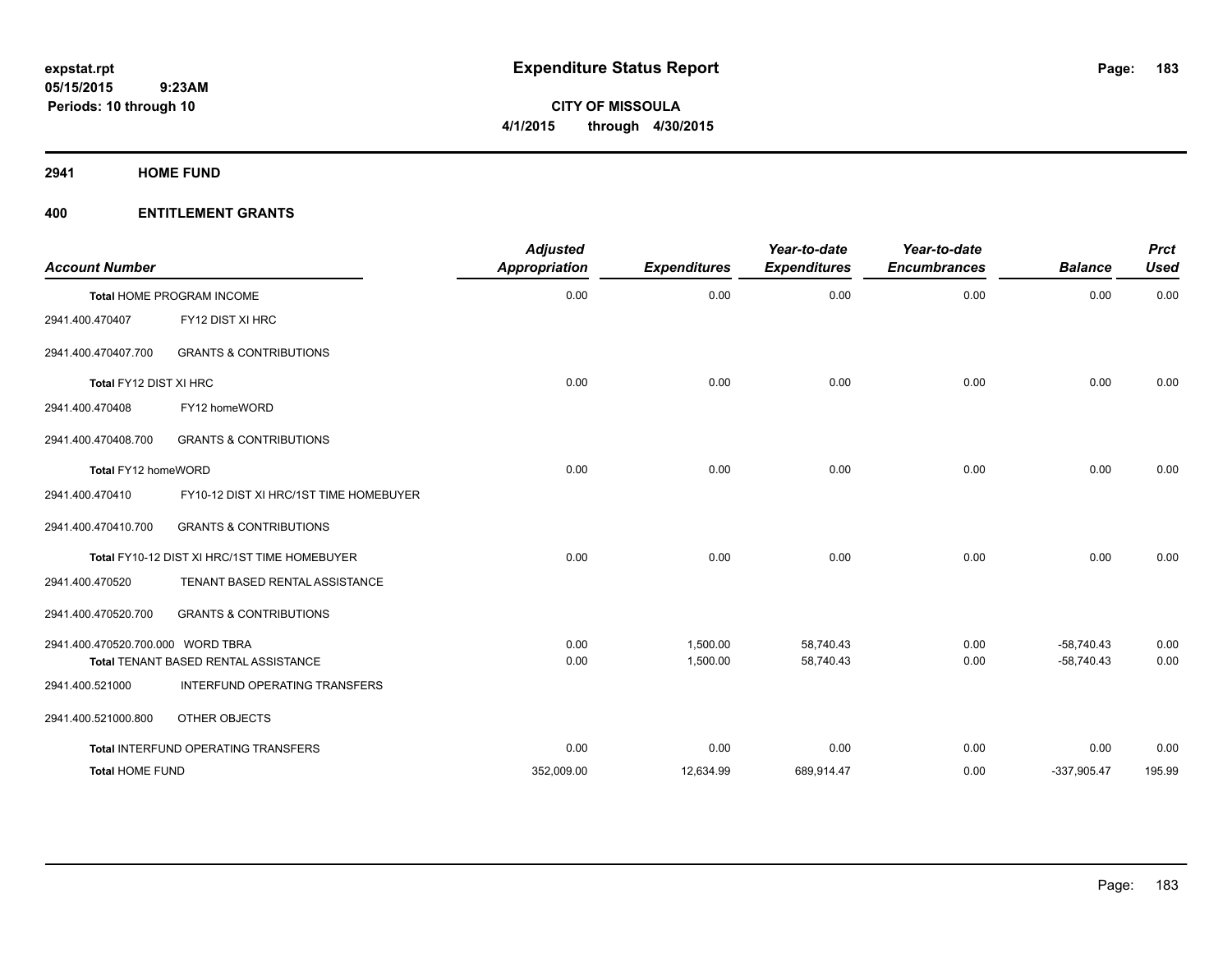**2941 HOME FUND**

| <b>Account Number</b>             |                                              | <b>Adjusted</b><br><b>Appropriation</b> | <b>Expenditures</b> | Year-to-date<br><b>Expenditures</b> | Year-to-date<br><b>Encumbrances</b> | <b>Balance</b> | <b>Prct</b><br><b>Used</b> |
|-----------------------------------|----------------------------------------------|-----------------------------------------|---------------------|-------------------------------------|-------------------------------------|----------------|----------------------------|
|                                   | Total HOME PROGRAM INCOME                    | 0.00                                    | 0.00                | 0.00                                | 0.00                                | 0.00           | 0.00                       |
| 2941.400.470407                   | FY12 DIST XI HRC                             |                                         |                     |                                     |                                     |                |                            |
| 2941.400.470407.700               | <b>GRANTS &amp; CONTRIBUTIONS</b>            |                                         |                     |                                     |                                     |                |                            |
| Total FY12 DIST XI HRC            |                                              | 0.00                                    | 0.00                | 0.00                                | 0.00                                | 0.00           | 0.00                       |
| 2941.400.470408                   | FY12 homeWORD                                |                                         |                     |                                     |                                     |                |                            |
| 2941.400.470408.700               | <b>GRANTS &amp; CONTRIBUTIONS</b>            |                                         |                     |                                     |                                     |                |                            |
| Total FY12 homeWORD               |                                              | 0.00                                    | 0.00                | 0.00                                | 0.00                                | 0.00           | 0.00                       |
| 2941.400.470410                   | FY10-12 DIST XI HRC/1ST TIME HOMEBUYER       |                                         |                     |                                     |                                     |                |                            |
| 2941.400.470410.700               | <b>GRANTS &amp; CONTRIBUTIONS</b>            |                                         |                     |                                     |                                     |                |                            |
|                                   | Total FY10-12 DIST XI HRC/1ST TIME HOMEBUYER | 0.00                                    | 0.00                | 0.00                                | 0.00                                | 0.00           | 0.00                       |
| 2941.400.470520                   | TENANT BASED RENTAL ASSISTANCE               |                                         |                     |                                     |                                     |                |                            |
| 2941.400.470520.700               | <b>GRANTS &amp; CONTRIBUTIONS</b>            |                                         |                     |                                     |                                     |                |                            |
| 2941.400.470520.700.000 WORD TBRA |                                              | 0.00                                    | 1,500.00            | 58,740.43                           | 0.00                                | $-58,740.43$   | 0.00                       |
|                                   | Total TENANT BASED RENTAL ASSISTANCE         | 0.00                                    | 1,500.00            | 58,740.43                           | 0.00                                | $-58,740.43$   | 0.00                       |
| 2941.400.521000                   | <b>INTERFUND OPERATING TRANSFERS</b>         |                                         |                     |                                     |                                     |                |                            |
| 2941.400.521000.800               | OTHER OBJECTS                                |                                         |                     |                                     |                                     |                |                            |
|                                   | Total INTERFUND OPERATING TRANSFERS          | 0.00                                    | 0.00                | 0.00                                | 0.00                                | 0.00           | 0.00                       |
| <b>Total HOME FUND</b>            |                                              | 352,009.00                              | 12,634.99           | 689,914.47                          | 0.00                                | $-337,905.47$  | 195.99                     |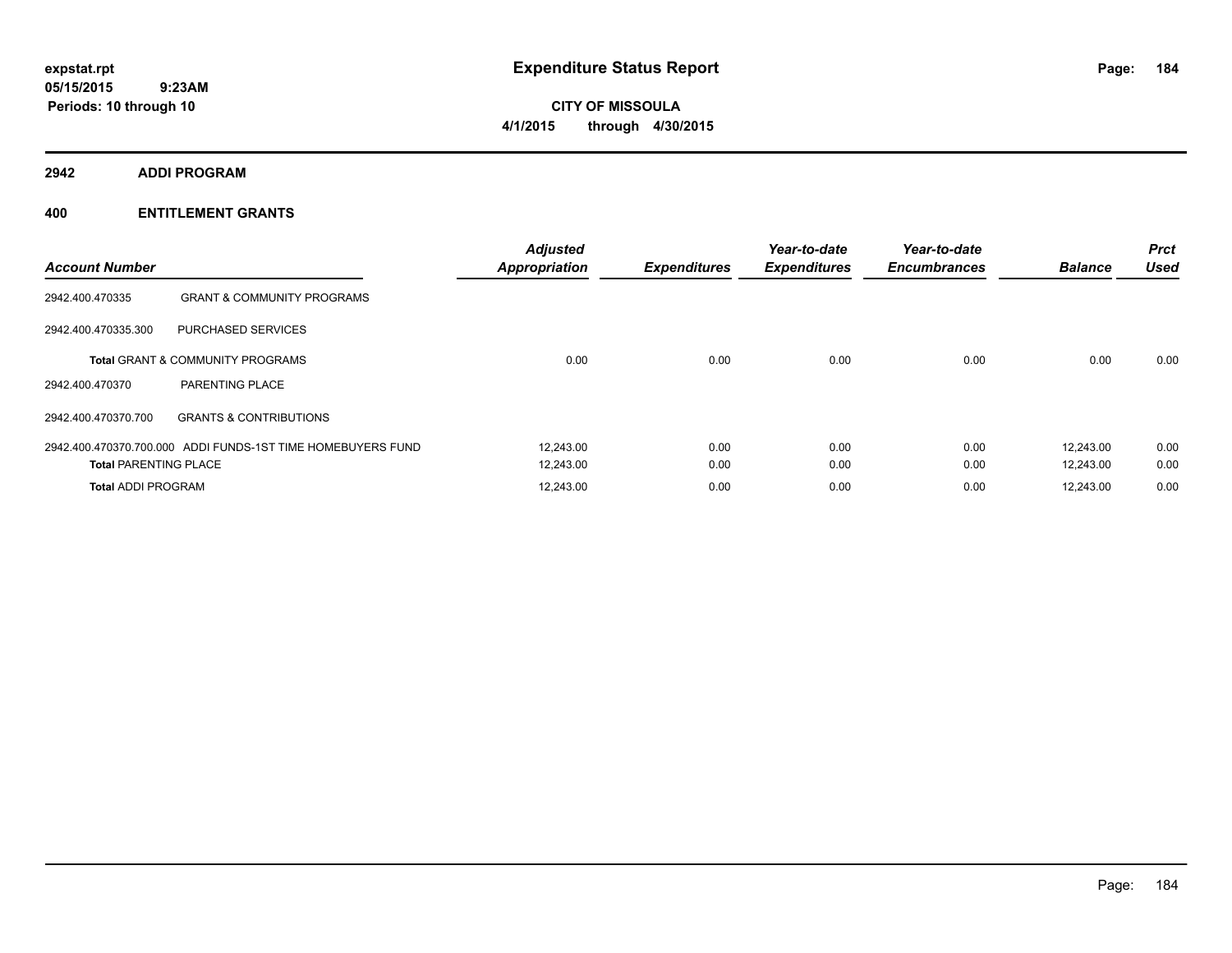**CITY OF MISSOULA 4/1/2015 through 4/30/2015**

**2942 ADDI PROGRAM**

| <b>Account Number</b>        |                                                             | <b>Adjusted</b><br><b>Appropriation</b> | <b>Expenditures</b> | Year-to-date<br><b>Expenditures</b> | Year-to-date<br><b>Encumbrances</b> | <b>Balance</b> | <b>Prct</b><br><b>Used</b> |
|------------------------------|-------------------------------------------------------------|-----------------------------------------|---------------------|-------------------------------------|-------------------------------------|----------------|----------------------------|
| 2942.400.470335              | <b>GRANT &amp; COMMUNITY PROGRAMS</b>                       |                                         |                     |                                     |                                     |                |                            |
| 2942.400.470335.300          | <b>PURCHASED SERVICES</b>                                   |                                         |                     |                                     |                                     |                |                            |
|                              | <b>Total GRANT &amp; COMMUNITY PROGRAMS</b>                 | 0.00                                    | 0.00                | 0.00                                | 0.00                                | 0.00           | 0.00                       |
| 2942.400.470370              | PARENTING PLACE                                             |                                         |                     |                                     |                                     |                |                            |
| 2942.400.470370.700          | <b>GRANTS &amp; CONTRIBUTIONS</b>                           |                                         |                     |                                     |                                     |                |                            |
|                              | 2942.400.470370.700.000 ADDI FUNDS-1ST TIME HOMEBUYERS FUND | 12,243.00                               | 0.00                | 0.00                                | 0.00                                | 12,243.00      | 0.00                       |
| <b>Total PARENTING PLACE</b> |                                                             | 12,243.00                               | 0.00                | 0.00                                | 0.00                                | 12,243.00      | 0.00                       |
| <b>Total ADDI PROGRAM</b>    |                                                             | 12,243.00                               | 0.00                | 0.00                                | 0.00                                | 12,243.00      | 0.00                       |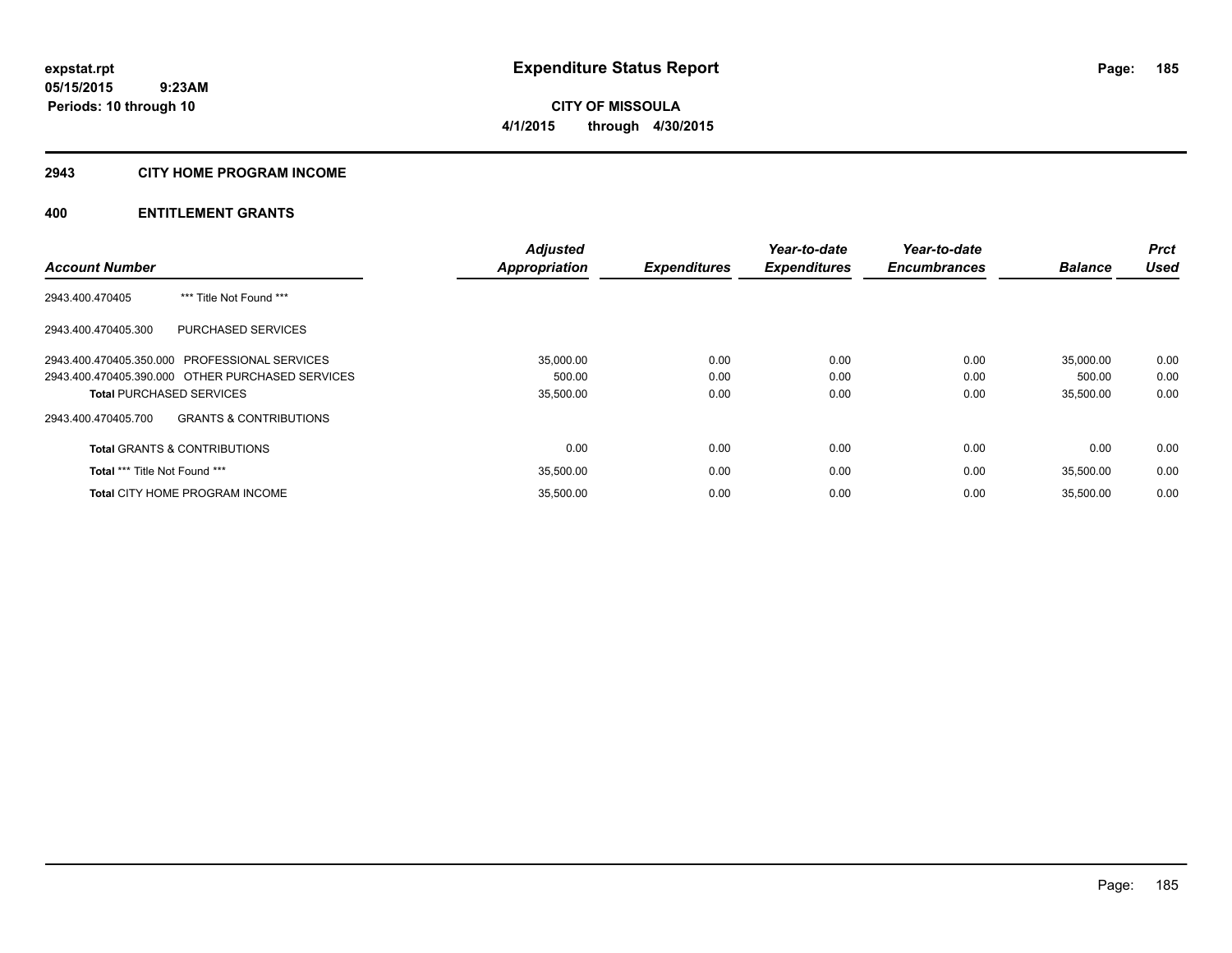**CITY OF MISSOULA 4/1/2015 through 4/30/2015**

#### **2943 CITY HOME PROGRAM INCOME**

|                                                          | <b>Adjusted</b>      |                     | Year-to-date        | Year-to-date        |                | <b>Prct</b> |
|----------------------------------------------------------|----------------------|---------------------|---------------------|---------------------|----------------|-------------|
| <b>Account Number</b>                                    | <b>Appropriation</b> | <b>Expenditures</b> | <b>Expenditures</b> | <b>Encumbrances</b> | <b>Balance</b> | <b>Used</b> |
| 2943.400.470405<br>*** Title Not Found ***               |                      |                     |                     |                     |                |             |
| 2943.400.470405.300<br><b>PURCHASED SERVICES</b>         |                      |                     |                     |                     |                |             |
| 2943.400.470405.350.000 PROFESSIONAL SERVICES            | 35,000.00            | 0.00                | 0.00                | 0.00                | 35,000.00      | 0.00        |
| 2943.400.470405.390.000 OTHER PURCHASED SERVICES         | 500.00               | 0.00                | 0.00                | 0.00                | 500.00         | 0.00        |
| <b>Total PURCHASED SERVICES</b>                          | 35,500.00            | 0.00                | 0.00                | 0.00                | 35,500.00      | 0.00        |
| <b>GRANTS &amp; CONTRIBUTIONS</b><br>2943.400.470405.700 |                      |                     |                     |                     |                |             |
| <b>Total GRANTS &amp; CONTRIBUTIONS</b>                  | 0.00                 | 0.00                | 0.00                | 0.00                | 0.00           | 0.00        |
| Total *** Title Not Found ***                            | 35,500.00            | 0.00                | 0.00                | 0.00                | 35.500.00      | 0.00        |
| <b>Total CITY HOME PROGRAM INCOME</b>                    | 35.500.00            | 0.00                | 0.00                | 0.00                | 35.500.00      | 0.00        |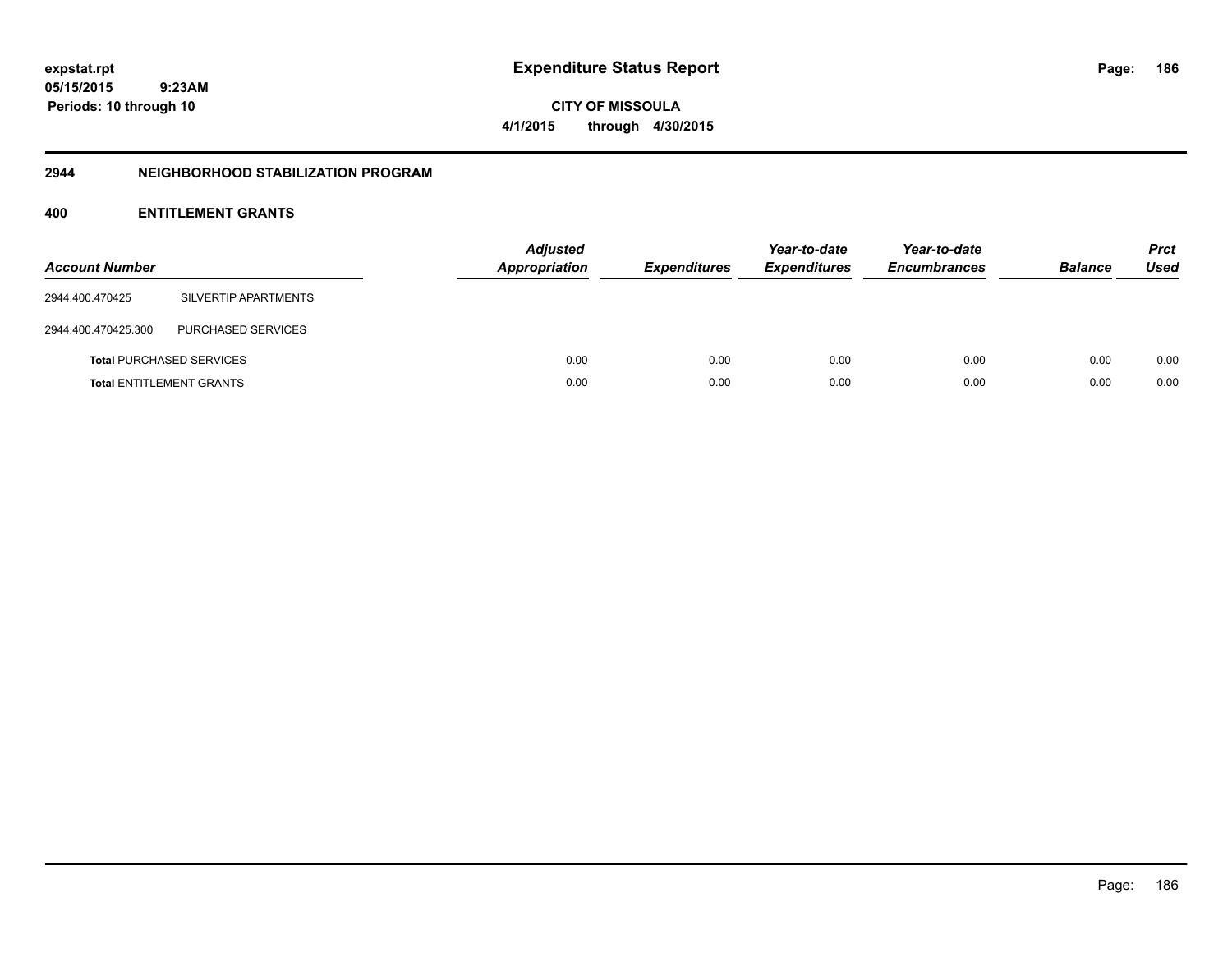Page: 186

**05/15/2015 9:23AM Periods: 10 through 10**

**CITY OF MISSOULA 4/1/2015 through 4/30/2015**

#### **2944 NEIGHBORHOOD STABILIZATION PROGRAM**

| <b>Account Number</b> |                                 | <b>Adjusted</b><br><b>Appropriation</b> | <b>Expenditures</b> | Year-to-date<br><b>Expenditures</b> | Year-to-date<br><b>Encumbrances</b> | <b>Balance</b> | <b>Prct</b><br>Used |
|-----------------------|---------------------------------|-----------------------------------------|---------------------|-------------------------------------|-------------------------------------|----------------|---------------------|
| 2944.400.470425       | SILVERTIP APARTMENTS            |                                         |                     |                                     |                                     |                |                     |
| 2944.400.470425.300   | <b>PURCHASED SERVICES</b>       |                                         |                     |                                     |                                     |                |                     |
|                       | <b>Total PURCHASED SERVICES</b> | 0.00                                    | 0.00                | 0.00                                | 0.00                                | 0.00           | 0.00                |
|                       | <b>Total ENTITLEMENT GRANTS</b> | 0.00                                    | 0.00                | 0.00                                | 0.00                                | 0.00           | 0.00                |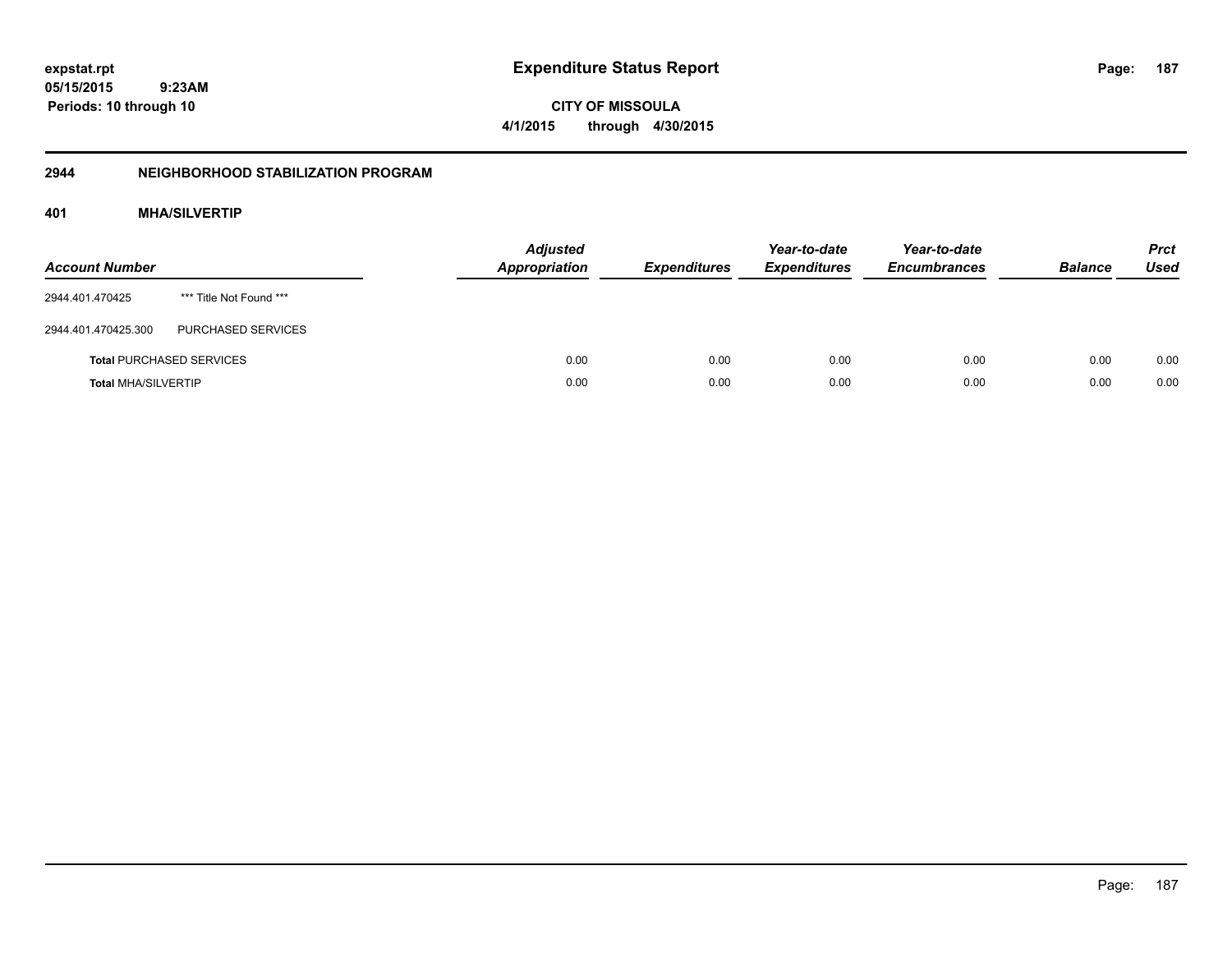**187**

**05/15/2015 9:23AM Periods: 10 through 10**

**CITY OF MISSOULA 4/1/2015 through 4/30/2015**

# **2944 NEIGHBORHOOD STABILIZATION PROGRAM**

# **401 MHA/SILVERTIP**

| <b>Account Number</b>      |                                 | <b>Adjusted</b><br><b>Appropriation</b> | <b>Expenditures</b> | Year-to-date<br><b>Expenditures</b> | Year-to-date<br><b>Encumbrances</b> | <b>Balance</b> | <b>Prct</b><br>Used |
|----------------------------|---------------------------------|-----------------------------------------|---------------------|-------------------------------------|-------------------------------------|----------------|---------------------|
| 2944.401.470425            | *** Title Not Found ***         |                                         |                     |                                     |                                     |                |                     |
| 2944.401.470425.300        | <b>PURCHASED SERVICES</b>       |                                         |                     |                                     |                                     |                |                     |
|                            | <b>Total PURCHASED SERVICES</b> | 0.00                                    | 0.00                | 0.00                                | 0.00                                | 0.00           | 0.00                |
| <b>Total MHA/SILVERTIP</b> |                                 | 0.00                                    | 0.00                | 0.00                                | 0.00                                | 0.00           | 0.00                |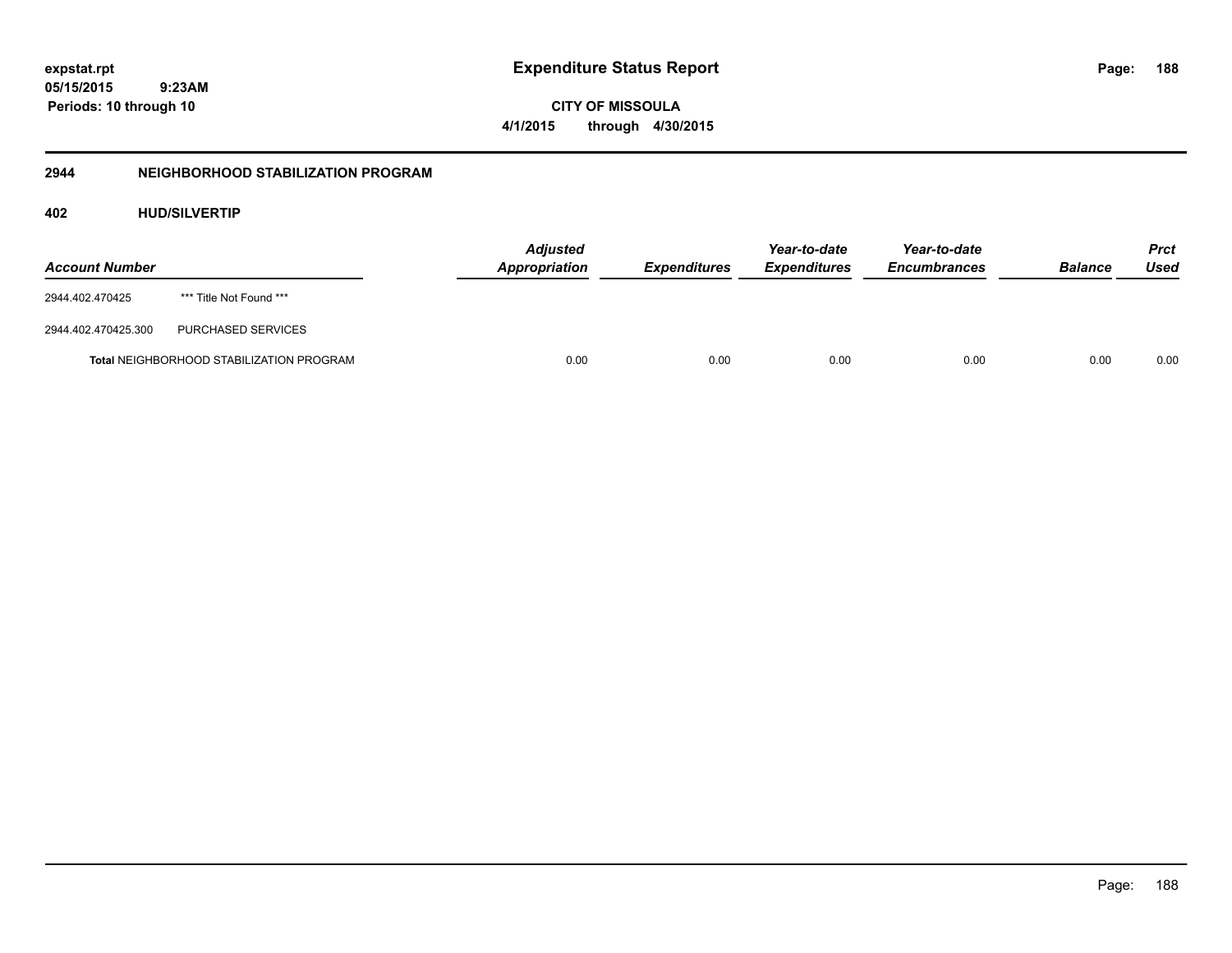Page: 188

**05/15/2015 9:23AM Periods: 10 through 10**

**CITY OF MISSOULA 4/1/2015 through 4/30/2015**

# **2944 NEIGHBORHOOD STABILIZATION PROGRAM**

# **402 HUD/SILVERTIP**

| <b>Account Number</b> |                                                 | <b>Adjusted</b><br>Appropriation | <i><b>Expenditures</b></i> | Year-to-date<br><i><b>Expenditures</b></i> | Year-to-date<br><b>Encumbrances</b> | <b>Balance</b> | <b>Prct</b><br>Used |
|-----------------------|-------------------------------------------------|----------------------------------|----------------------------|--------------------------------------------|-------------------------------------|----------------|---------------------|
| 2944.402.470425       | *** Title Not Found ***                         |                                  |                            |                                            |                                     |                |                     |
| 2944.402.470425.300   | PURCHASED SERVICES                              |                                  |                            |                                            |                                     |                |                     |
|                       | <b>Total NEIGHBORHOOD STABILIZATION PROGRAM</b> | 0.00                             | 0.00                       | 0.00                                       | 0.00                                | 0.00           | 0.00                |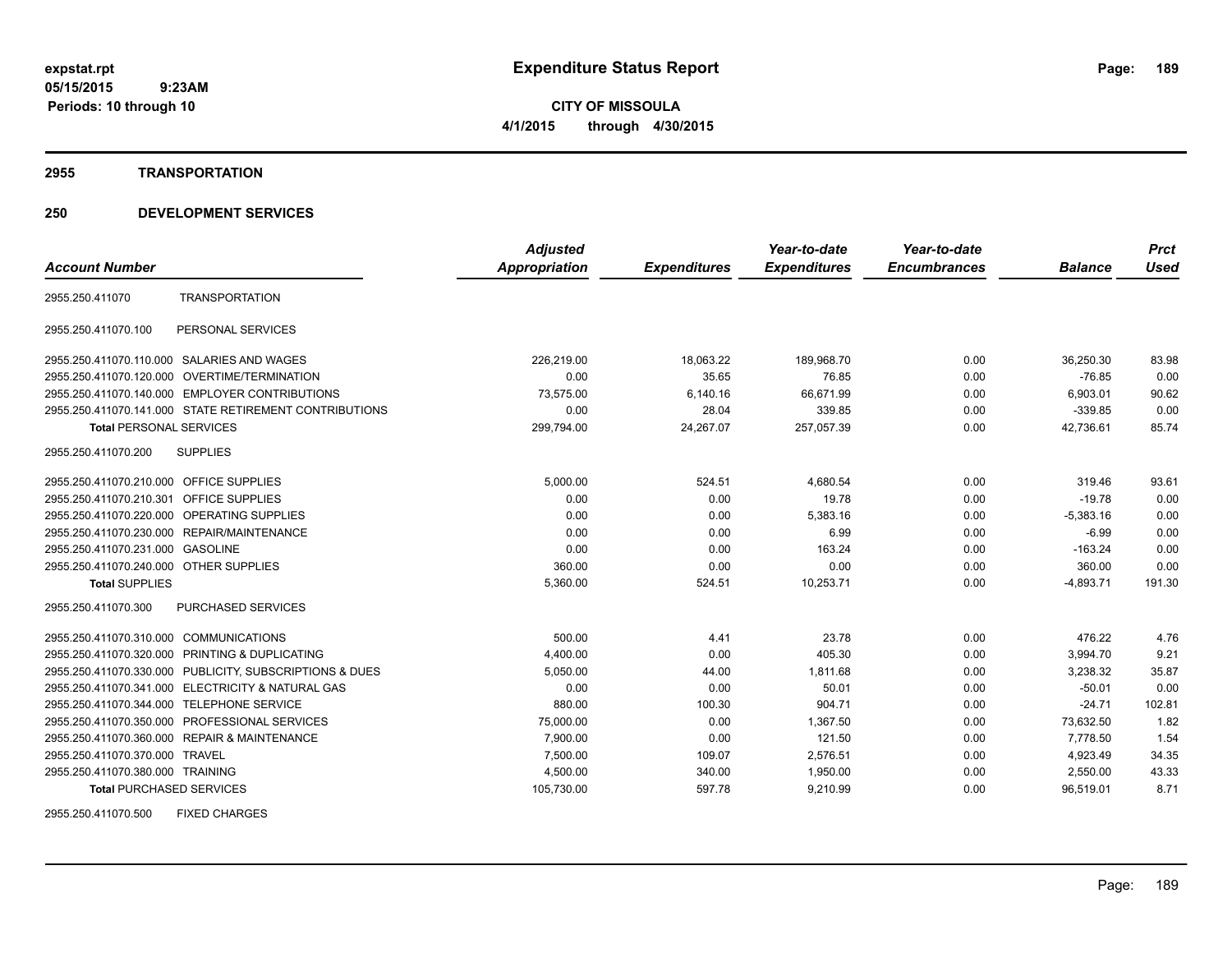**CITY OF MISSOULA 4/1/2015 through 4/30/2015**

#### **2955 TRANSPORTATION**

# **250 DEVELOPMENT SERVICES**

|                                         |                                                         | <b>Adjusted</b> |                     | Year-to-date        | Year-to-date        |                | <b>Prct</b> |
|-----------------------------------------|---------------------------------------------------------|-----------------|---------------------|---------------------|---------------------|----------------|-------------|
| <b>Account Number</b>                   |                                                         | Appropriation   | <b>Expenditures</b> | <b>Expenditures</b> | <b>Encumbrances</b> | <b>Balance</b> | <b>Used</b> |
| 2955.250.411070                         | <b>TRANSPORTATION</b>                                   |                 |                     |                     |                     |                |             |
| 2955.250.411070.100                     | PERSONAL SERVICES                                       |                 |                     |                     |                     |                |             |
|                                         | 2955.250.411070.110.000 SALARIES AND WAGES              | 226,219.00      | 18,063.22           | 189,968.70          | 0.00                | 36,250.30      | 83.98       |
|                                         | 2955.250.411070.120.000 OVERTIME/TERMINATION            | 0.00            | 35.65               | 76.85               | 0.00                | $-76.85$       | 0.00        |
|                                         | 2955.250.411070.140.000 EMPLOYER CONTRIBUTIONS          | 73,575.00       | 6,140.16            | 66,671.99           | 0.00                | 6,903.01       | 90.62       |
|                                         | 2955.250.411070.141.000 STATE RETIREMENT CONTRIBUTIONS  | 0.00            | 28.04               | 339.85              | 0.00                | $-339.85$      | 0.00        |
| <b>Total PERSONAL SERVICES</b>          |                                                         | 299,794.00      | 24,267.07           | 257,057.39          | 0.00                | 42,736.61      | 85.74       |
| 2955.250.411070.200                     | <b>SUPPLIES</b>                                         |                 |                     |                     |                     |                |             |
| 2955.250.411070.210.000 OFFICE SUPPLIES |                                                         | 5,000.00        | 524.51              | 4,680.54            | 0.00                | 319.46         | 93.61       |
| 2955.250.411070.210.301                 | OFFICE SUPPLIES                                         | 0.00            | 0.00                | 19.78               | 0.00                | $-19.78$       | 0.00        |
|                                         | 2955.250.411070.220.000 OPERATING SUPPLIES              | 0.00            | 0.00                | 5,383.16            | 0.00                | $-5,383.16$    | 0.00        |
|                                         | 2955.250.411070.230.000 REPAIR/MAINTENANCE              | 0.00            | 0.00                | 6.99                | 0.00                | $-6.99$        | 0.00        |
| 2955.250.411070.231.000 GASOLINE        |                                                         | 0.00            | 0.00                | 163.24              | 0.00                | $-163.24$      | 0.00        |
| 2955.250.411070.240.000 OTHER SUPPLIES  |                                                         | 360.00          | 0.00                | 0.00                | 0.00                | 360.00         | 0.00        |
| <b>Total SUPPLIES</b>                   |                                                         | 5,360.00        | 524.51              | 10,253.71           | 0.00                | $-4,893.71$    | 191.30      |
| 2955.250.411070.300                     | <b>PURCHASED SERVICES</b>                               |                 |                     |                     |                     |                |             |
| 2955.250.411070.310.000 COMMUNICATIONS  |                                                         | 500.00          | 4.41                | 23.78               | 0.00                | 476.22         | 4.76        |
|                                         | 2955.250.411070.320.000 PRINTING & DUPLICATING          | 4.400.00        | 0.00                | 405.30              | 0.00                | 3,994.70       | 9.21        |
|                                         | 2955.250.411070.330.000 PUBLICITY, SUBSCRIPTIONS & DUES | 5,050.00        | 44.00               | 1,811.68            | 0.00                | 3,238.32       | 35.87       |
|                                         | 2955.250.411070.341.000 ELECTRICITY & NATURAL GAS       | 0.00            | 0.00                | 50.01               | 0.00                | $-50.01$       | 0.00        |
|                                         | 2955.250.411070.344.000 TELEPHONE SERVICE               | 880.00          | 100.30              | 904.71              | 0.00                | $-24.71$       | 102.81      |
|                                         | 2955.250.411070.350.000 PROFESSIONAL SERVICES           | 75,000.00       | 0.00                | 1,367.50            | 0.00                | 73,632.50      | 1.82        |
|                                         | 2955.250.411070.360.000 REPAIR & MAINTENANCE            | 7,900.00        | 0.00                | 121.50              | 0.00                | 7.778.50       | 1.54        |
| 2955.250.411070.370.000 TRAVEL          |                                                         | 7,500.00        | 109.07              | 2,576.51            | 0.00                | 4,923.49       | 34.35       |
| 2955.250.411070.380.000 TRAINING        |                                                         | 4,500.00        | 340.00              | 1,950.00            | 0.00                | 2,550.00       | 43.33       |
| <b>Total PURCHASED SERVICES</b>         |                                                         | 105,730.00      | 597.78              | 9,210.99            | 0.00                | 96,519.01      | 8.71        |

2955.250.411070.500 FIXED CHARGES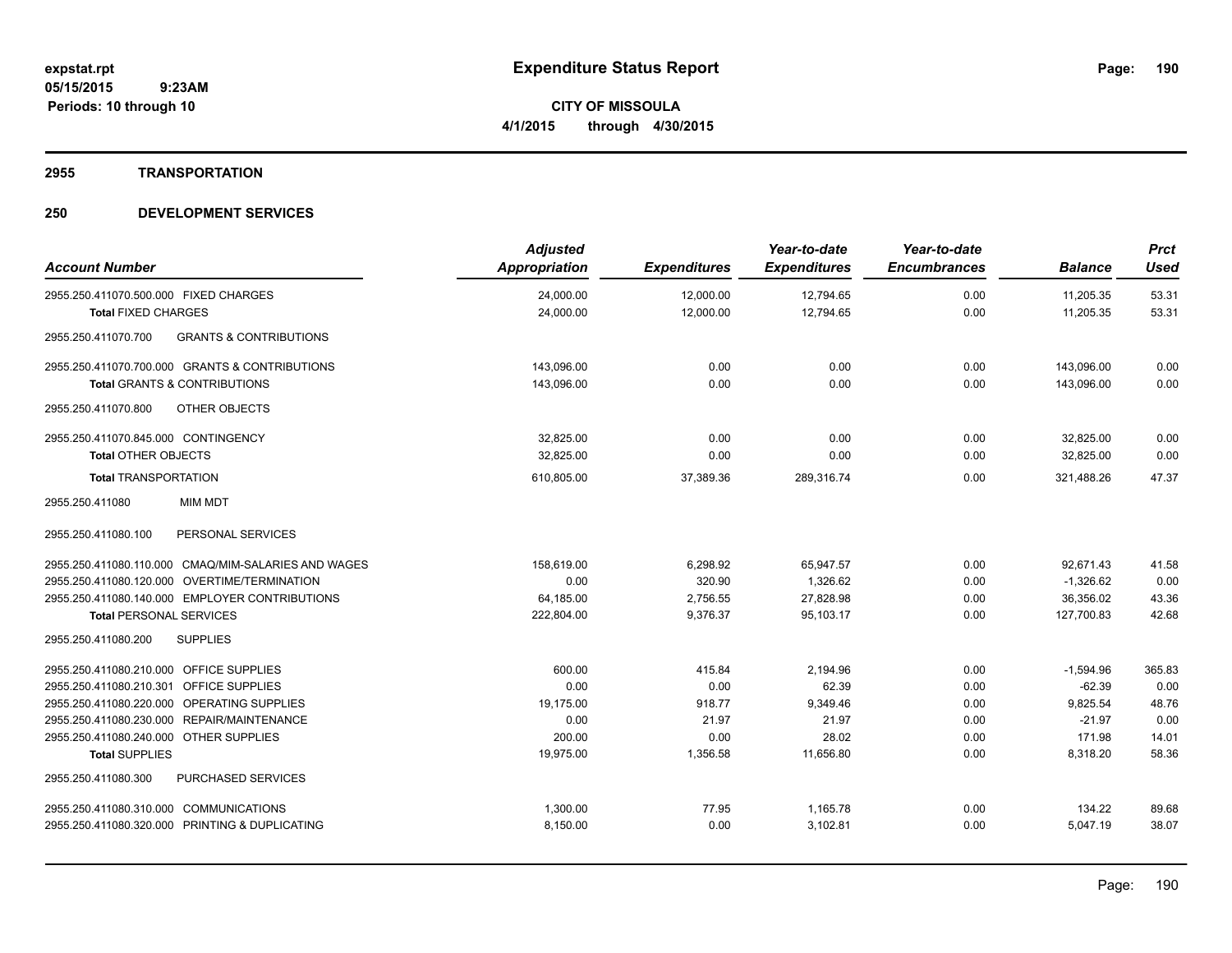#### **2955 TRANSPORTATION**

| <b>Account Number</b>                                    | <b>Adjusted</b><br>Appropriation | <b>Expenditures</b> | Year-to-date<br><b>Expenditures</b> | Year-to-date<br><b>Encumbrances</b> | <b>Balance</b> | <b>Prct</b><br><b>Used</b> |
|----------------------------------------------------------|----------------------------------|---------------------|-------------------------------------|-------------------------------------|----------------|----------------------------|
| 2955.250.411070.500.000 FIXED CHARGES                    | 24,000.00                        | 12,000.00           | 12,794.65                           | 0.00                                | 11,205.35      | 53.31                      |
| <b>Total FIXED CHARGES</b>                               | 24,000.00                        | 12,000.00           | 12,794.65                           | 0.00                                | 11,205.35      | 53.31                      |
| <b>GRANTS &amp; CONTRIBUTIONS</b><br>2955.250.411070.700 |                                  |                     |                                     |                                     |                |                            |
| 2955.250.411070.700.000 GRANTS & CONTRIBUTIONS           | 143,096.00                       | 0.00                | 0.00                                | 0.00                                | 143,096.00     | 0.00                       |
| <b>Total GRANTS &amp; CONTRIBUTIONS</b>                  | 143,096.00                       | 0.00                | 0.00                                | 0.00                                | 143,096.00     | 0.00                       |
| 2955.250.411070.800<br>OTHER OBJECTS                     |                                  |                     |                                     |                                     |                |                            |
| 2955.250.411070.845.000 CONTINGENCY                      | 32,825.00                        | 0.00                | 0.00                                | 0.00                                | 32,825.00      | 0.00                       |
| <b>Total OTHER OBJECTS</b>                               | 32,825.00                        | 0.00                | 0.00                                | 0.00                                | 32,825.00      | 0.00                       |
| <b>Total TRANSPORTATION</b>                              | 610,805.00                       | 37,389.36           | 289,316.74                          | 0.00                                | 321,488.26     | 47.37                      |
| 2955.250.411080<br><b>MIM MDT</b>                        |                                  |                     |                                     |                                     |                |                            |
| 2955.250.411080.100<br>PERSONAL SERVICES                 |                                  |                     |                                     |                                     |                |                            |
| 2955.250.411080.110.000 CMAQ/MIM-SALARIES AND WAGES      | 158,619.00                       | 6,298.92            | 65,947.57                           | 0.00                                | 92,671.43      | 41.58                      |
| 2955.250.411080.120.000 OVERTIME/TERMINATION             | 0.00                             | 320.90              | 1.326.62                            | 0.00                                | $-1.326.62$    | 0.00                       |
| 2955.250.411080.140.000 EMPLOYER CONTRIBUTIONS           | 64,185.00                        | 2,756.55            | 27,828.98                           | 0.00                                | 36,356.02      | 43.36                      |
| <b>Total PERSONAL SERVICES</b>                           | 222,804.00                       | 9,376.37            | 95,103.17                           | 0.00                                | 127,700.83     | 42.68                      |
| 2955.250.411080.200<br><b>SUPPLIES</b>                   |                                  |                     |                                     |                                     |                |                            |
| 2955.250.411080.210.000 OFFICE SUPPLIES                  | 600.00                           | 415.84              | 2,194.96                            | 0.00                                | $-1,594.96$    | 365.83                     |
| 2955.250.411080.210.301 OFFICE SUPPLIES                  | 0.00                             | 0.00                | 62.39                               | 0.00                                | $-62.39$       | 0.00                       |
| 2955.250.411080.220.000 OPERATING SUPPLIES               | 19,175.00                        | 918.77              | 9,349.46                            | 0.00                                | 9,825.54       | 48.76                      |
| 2955.250.411080.230.000 REPAIR/MAINTENANCE               | 0.00                             | 21.97               | 21.97                               | 0.00                                | $-21.97$       | 0.00                       |
| 2955.250.411080.240.000 OTHER SUPPLIES                   | 200.00                           | 0.00                | 28.02                               | 0.00                                | 171.98         | 14.01                      |
| <b>Total SUPPLIES</b>                                    | 19,975.00                        | 1,356.58            | 11,656.80                           | 0.00                                | 8,318.20       | 58.36                      |
| <b>PURCHASED SERVICES</b><br>2955.250.411080.300         |                                  |                     |                                     |                                     |                |                            |
| 2955.250.411080.310.000 COMMUNICATIONS                   | 1,300.00                         | 77.95               | 1,165.78                            | 0.00                                | 134.22         | 89.68                      |
| 2955.250.411080.320.000 PRINTING & DUPLICATING           | 8,150.00                         | 0.00                | 3,102.81                            | 0.00                                | 5,047.19       | 38.07                      |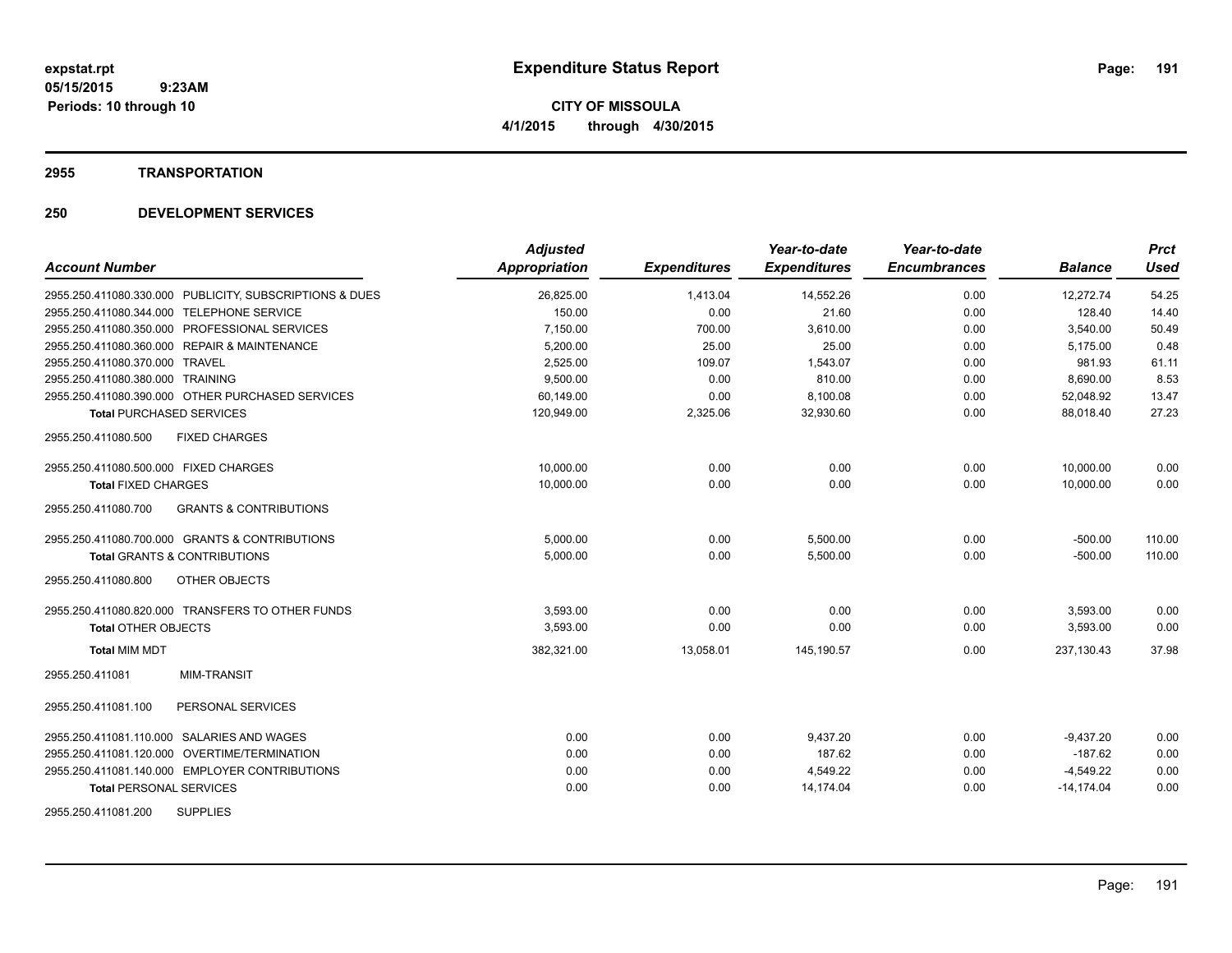#### **2955 TRANSPORTATION**

| <b>Account Number</b>                                    | <b>Adjusted</b><br>Appropriation | <b>Expenditures</b> | Year-to-date<br><b>Expenditures</b> | Year-to-date<br><b>Encumbrances</b> | <b>Balance</b> | <b>Prct</b><br>Used |
|----------------------------------------------------------|----------------------------------|---------------------|-------------------------------------|-------------------------------------|----------------|---------------------|
| 2955.250.411080.330.000 PUBLICITY, SUBSCRIPTIONS & DUES  | 26,825.00                        | 1,413.04            | 14,552.26                           | 0.00                                | 12,272.74      | 54.25               |
| 2955.250.411080.344.000 TELEPHONE SERVICE                | 150.00                           | 0.00                | 21.60                               | 0.00                                | 128.40         | 14.40               |
| 2955.250.411080.350.000 PROFESSIONAL SERVICES            | 7,150.00                         | 700.00              | 3,610.00                            | 0.00                                | 3,540.00       | 50.49               |
| 2955.250.411080.360.000 REPAIR & MAINTENANCE             | 5,200.00                         | 25.00               | 25.00                               | 0.00                                | 5,175.00       | 0.48                |
| 2955.250.411080.370.000 TRAVEL                           | 2,525.00                         | 109.07              | 1,543.07                            | 0.00                                | 981.93         | 61.11               |
| 2955.250.411080.380.000 TRAINING                         | 9,500.00                         | 0.00                | 810.00                              | 0.00                                | 8,690.00       | 8.53                |
| 2955.250.411080.390.000 OTHER PURCHASED SERVICES         | 60,149.00                        | 0.00                | 8,100.08                            | 0.00                                | 52,048.92      | 13.47               |
| <b>Total PURCHASED SERVICES</b>                          | 120,949.00                       | 2,325.06            | 32,930.60                           | 0.00                                | 88,018.40      | 27.23               |
| 2955.250.411080.500<br><b>FIXED CHARGES</b>              |                                  |                     |                                     |                                     |                |                     |
| 2955.250.411080.500.000 FIXED CHARGES                    | 10.000.00                        | 0.00                | 0.00                                | 0.00                                | 10,000.00      | 0.00                |
| <b>Total FIXED CHARGES</b>                               | 10,000.00                        | 0.00                | 0.00                                | 0.00                                | 10.000.00      | 0.00                |
| <b>GRANTS &amp; CONTRIBUTIONS</b><br>2955.250.411080.700 |                                  |                     |                                     |                                     |                |                     |
| 2955.250.411080.700.000 GRANTS & CONTRIBUTIONS           | 5,000.00                         | 0.00                | 5,500.00                            | 0.00                                | $-500.00$      | 110.00              |
| <b>Total GRANTS &amp; CONTRIBUTIONS</b>                  | 5,000.00                         | 0.00                | 5,500.00                            | 0.00                                | $-500.00$      | 110.00              |
| 2955.250.411080.800<br>OTHER OBJECTS                     |                                  |                     |                                     |                                     |                |                     |
| 2955.250.411080.820.000 TRANSFERS TO OTHER FUNDS         | 3,593.00                         | 0.00                | 0.00                                | 0.00                                | 3,593.00       | 0.00                |
| <b>Total OTHER OBJECTS</b>                               | 3,593.00                         | 0.00                | 0.00                                | 0.00                                | 3,593.00       | 0.00                |
| <b>Total MIM MDT</b>                                     | 382,321.00                       | 13,058.01           | 145.190.57                          | 0.00                                | 237.130.43     | 37.98               |
| MIM-TRANSIT<br>2955.250.411081                           |                                  |                     |                                     |                                     |                |                     |
| PERSONAL SERVICES<br>2955.250.411081.100                 |                                  |                     |                                     |                                     |                |                     |
| 2955.250.411081.110.000 SALARIES AND WAGES               | 0.00                             | 0.00                | 9,437.20                            | 0.00                                | $-9,437.20$    | 0.00                |
| 2955.250.411081.120.000 OVERTIME/TERMINATION             | 0.00                             | 0.00                | 187.62                              | 0.00                                | $-187.62$      | 0.00                |
| 2955.250.411081.140.000 EMPLOYER CONTRIBUTIONS           | 0.00                             | 0.00                | 4,549.22                            | 0.00                                | $-4,549.22$    | 0.00                |
| <b>Total PERSONAL SERVICES</b>                           | 0.00                             | 0.00                | 14,174.04                           | 0.00                                | $-14, 174.04$  | 0.00                |
| <b>SUPPLIES</b><br>2955.250.411081.200                   |                                  |                     |                                     |                                     |                |                     |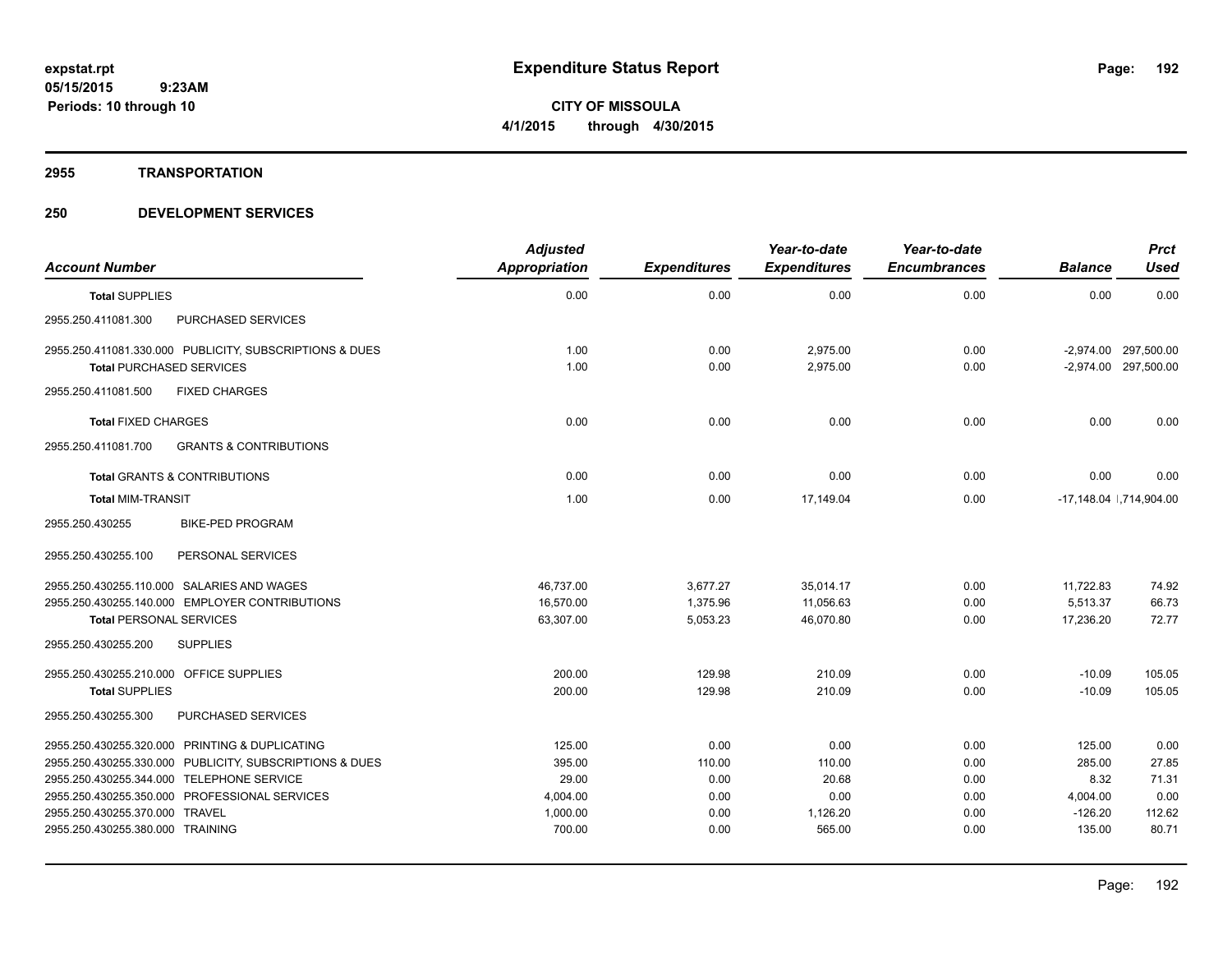#### **2955 TRANSPORTATION**

|                                                |                                                         | <b>Adjusted</b> |                     | Year-to-date        | Year-to-date        |                | <b>Prct</b>              |
|------------------------------------------------|---------------------------------------------------------|-----------------|---------------------|---------------------|---------------------|----------------|--------------------------|
| <b>Account Number</b>                          |                                                         | Appropriation   | <b>Expenditures</b> | <b>Expenditures</b> | <b>Encumbrances</b> | <b>Balance</b> | <b>Used</b>              |
| <b>Total SUPPLIES</b>                          |                                                         | 0.00            | 0.00                | 0.00                | 0.00                | 0.00           | 0.00                     |
| 2955.250.411081.300                            | PURCHASED SERVICES                                      |                 |                     |                     |                     |                |                          |
|                                                | 2955.250.411081.330.000 PUBLICITY, SUBSCRIPTIONS & DUES | 1.00            | 0.00                | 2,975.00            | 0.00                |                | -2,974.00 297,500.00     |
| <b>Total PURCHASED SERVICES</b>                |                                                         | 1.00            | 0.00                | 2.975.00            | 0.00                |                | -2,974.00 297,500.00     |
| 2955.250.411081.500                            | <b>FIXED CHARGES</b>                                    |                 |                     |                     |                     |                |                          |
| <b>Total FIXED CHARGES</b>                     |                                                         | 0.00            | 0.00                | 0.00                | 0.00                | 0.00           | 0.00                     |
| 2955.250.411081.700                            | <b>GRANTS &amp; CONTRIBUTIONS</b>                       |                 |                     |                     |                     |                |                          |
| Total GRANTS & CONTRIBUTIONS                   |                                                         | 0.00            | 0.00                | 0.00                | 0.00                | 0.00           | 0.00                     |
| <b>Total MIM-TRANSIT</b>                       |                                                         | 1.00            | 0.00                | 17,149.04           | 0.00                |                | -17,148.04   ,714,904.00 |
| 2955.250.430255                                | <b>BIKE-PED PROGRAM</b>                                 |                 |                     |                     |                     |                |                          |
| 2955.250.430255.100                            | PERSONAL SERVICES                                       |                 |                     |                     |                     |                |                          |
| 2955.250.430255.110.000 SALARIES AND WAGES     |                                                         | 46,737.00       | 3,677.27            | 35,014.17           | 0.00                | 11,722.83      | 74.92                    |
|                                                | 2955.250.430255.140.000 EMPLOYER CONTRIBUTIONS          | 16,570.00       | 1,375.96            | 11,056.63           | 0.00                | 5,513.37       | 66.73                    |
| <b>Total PERSONAL SERVICES</b>                 |                                                         | 63,307.00       | 5,053.23            | 46,070.80           | 0.00                | 17,236.20      | 72.77                    |
| 2955.250.430255.200                            | <b>SUPPLIES</b>                                         |                 |                     |                     |                     |                |                          |
| 2955.250.430255.210.000 OFFICE SUPPLIES        |                                                         | 200.00          | 129.98              | 210.09              | 0.00                | $-10.09$       | 105.05                   |
| <b>Total SUPPLIES</b>                          |                                                         | 200.00          | 129.98              | 210.09              | 0.00                | $-10.09$       | 105.05                   |
| 2955.250.430255.300                            | PURCHASED SERVICES                                      |                 |                     |                     |                     |                |                          |
| 2955.250.430255.320.000 PRINTING & DUPLICATING |                                                         | 125.00          | 0.00                | 0.00                | 0.00                | 125.00         | 0.00                     |
|                                                | 2955.250.430255.330.000 PUBLICITY, SUBSCRIPTIONS & DUES | 395.00          | 110.00              | 110.00              | 0.00                | 285.00         | 27.85                    |
| 2955.250.430255.344.000 TELEPHONE SERVICE      |                                                         | 29.00           | 0.00                | 20.68               | 0.00                | 8.32           | 71.31                    |
|                                                | 2955.250.430255.350.000 PROFESSIONAL SERVICES           | 4,004.00        | 0.00                | 0.00                | 0.00                | 4,004.00       | 0.00                     |
| 2955.250.430255.370.000 TRAVEL                 |                                                         | 1,000.00        | 0.00                | 1,126.20            | 0.00                | $-126.20$      | 112.62                   |
| 2955.250.430255.380.000 TRAINING               |                                                         | 700.00          | 0.00                | 565.00              | 0.00                | 135.00         | 80.71                    |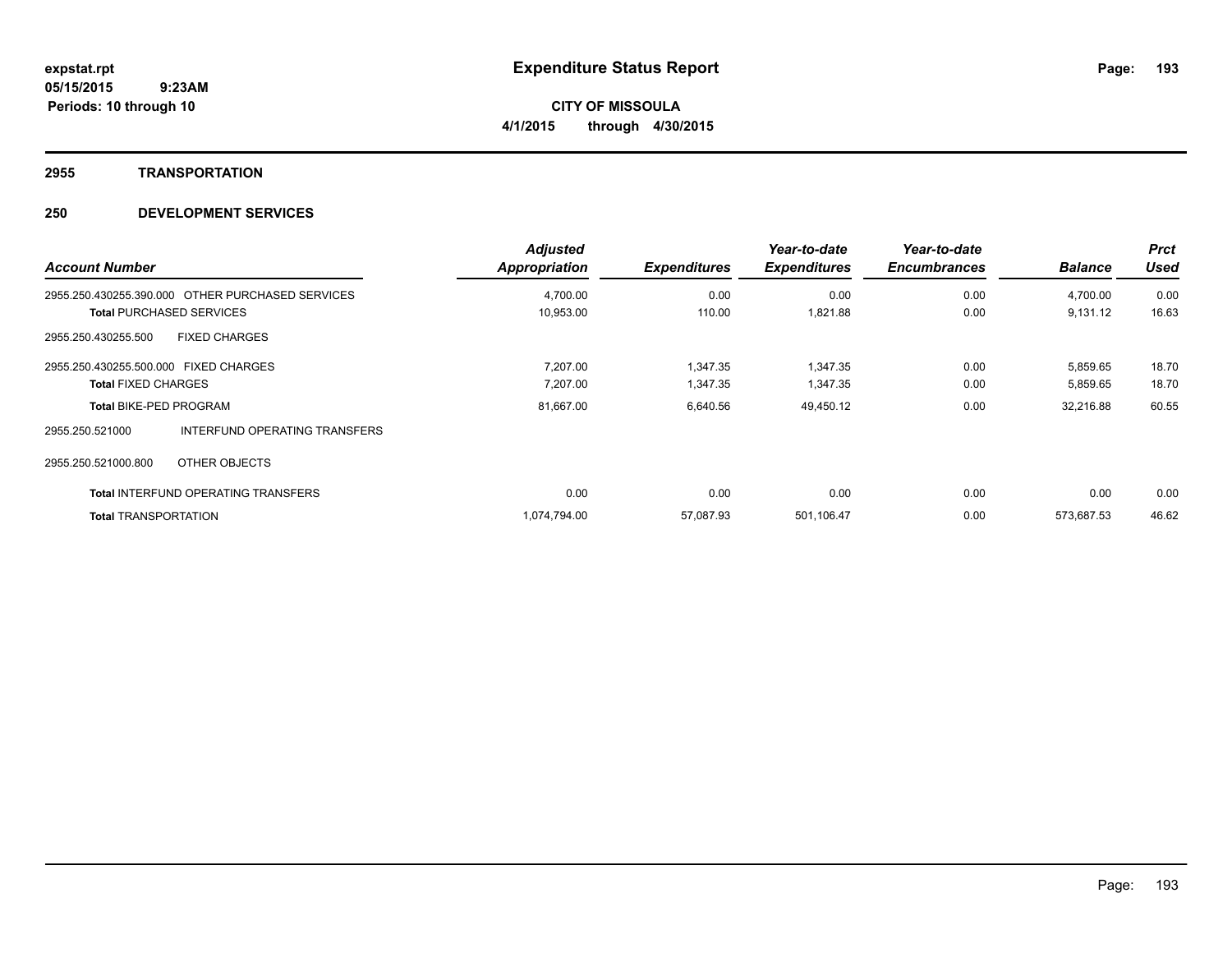# **2955 TRANSPORTATION**

| <b>Account Number</b>                            |                               | <b>Adjusted</b><br><b>Appropriation</b> | <b>Expenditures</b> | Year-to-date<br><b>Expenditures</b> | Year-to-date<br><b>Encumbrances</b> | <b>Balance</b> | <b>Prct</b><br><b>Used</b> |
|--------------------------------------------------|-------------------------------|-----------------------------------------|---------------------|-------------------------------------|-------------------------------------|----------------|----------------------------|
| 2955.250.430255.390.000 OTHER PURCHASED SERVICES |                               | 4,700.00                                | 0.00                | 0.00                                | 0.00                                | 4,700.00       | 0.00                       |
| <b>Total PURCHASED SERVICES</b>                  |                               | 10,953.00                               | 110.00              | 1,821.88                            | 0.00                                | 9,131.12       | 16.63                      |
| <b>FIXED CHARGES</b><br>2955.250.430255.500      |                               |                                         |                     |                                     |                                     |                |                            |
| 2955.250.430255.500.000 FIXED CHARGES            |                               | 7,207.00                                | 1,347.35            | 1,347.35                            | 0.00                                | 5,859.65       | 18.70                      |
| <b>Total FIXED CHARGES</b>                       |                               | 7,207.00                                | 1,347.35            | 1,347.35                            | 0.00                                | 5,859.65       | 18.70                      |
| <b>Total BIKE-PED PROGRAM</b>                    |                               | 81,667.00                               | 6,640.56            | 49,450.12                           | 0.00                                | 32,216.88      | 60.55                      |
| 2955.250.521000                                  | INTERFUND OPERATING TRANSFERS |                                         |                     |                                     |                                     |                |                            |
| 2955.250.521000.800<br>OTHER OBJECTS             |                               |                                         |                     |                                     |                                     |                |                            |
| <b>Total INTERFUND OPERATING TRANSFERS</b>       |                               | 0.00                                    | 0.00                | 0.00                                | 0.00                                | 0.00           | 0.00                       |
| <b>Total TRANSPORTATION</b>                      |                               | 1,074,794.00                            | 57.087.93           | 501,106.47                          | 0.00                                | 573.687.53     | 46.62                      |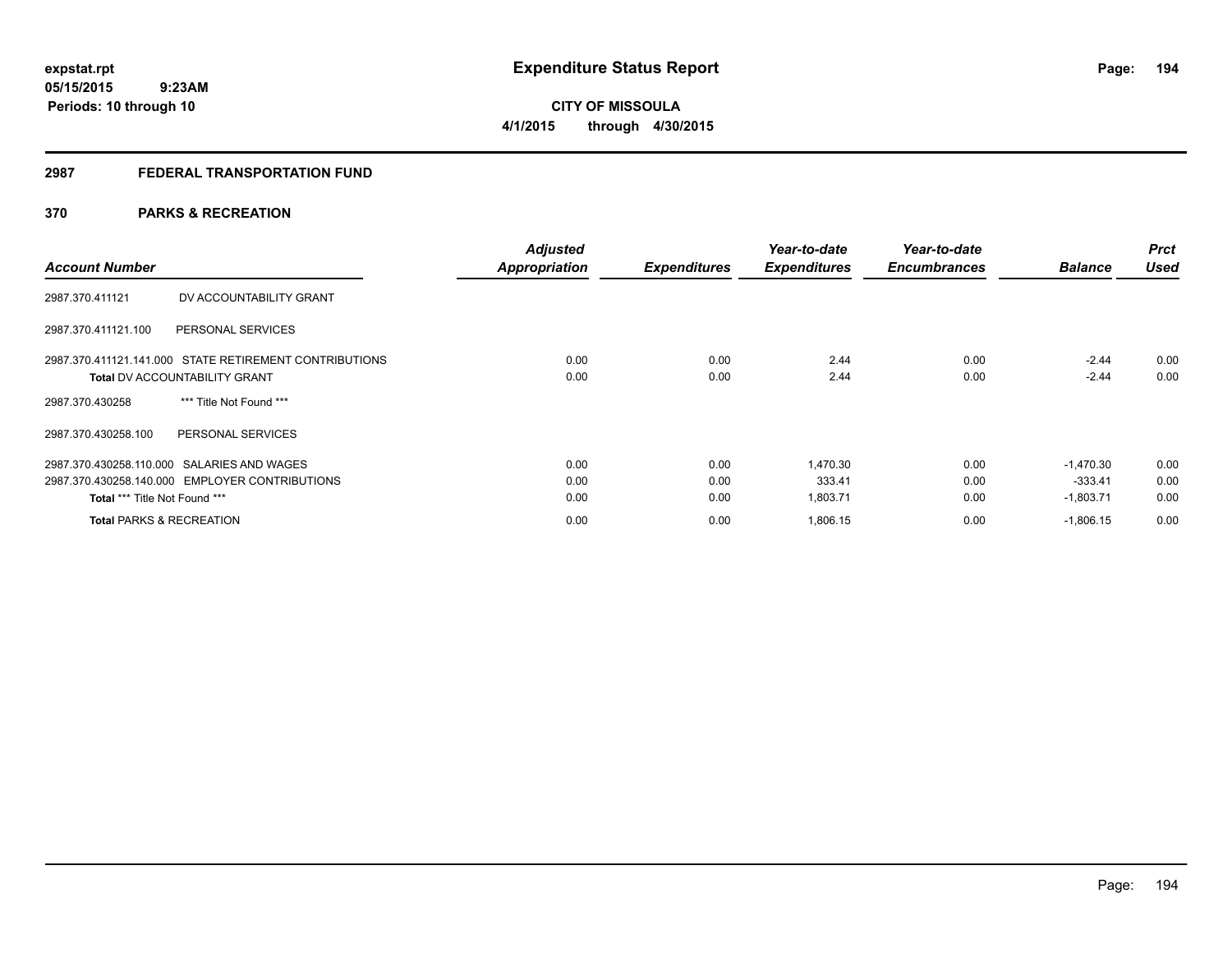**194**

**05/15/2015 9:23AM Periods: 10 through 10**

# **CITY OF MISSOULA 4/1/2015 through 4/30/2015**

# **2987 FEDERAL TRANSPORTATION FUND**

# **370 PARKS & RECREATION**

| <b>Account Number</b>                                  | <b>Adjusted</b><br><b>Appropriation</b> | <b>Expenditures</b> | Year-to-date<br><b>Expenditures</b> | Year-to-date<br><b>Encumbrances</b> | <b>Balance</b> | <b>Prct</b><br><b>Used</b> |
|--------------------------------------------------------|-----------------------------------------|---------------------|-------------------------------------|-------------------------------------|----------------|----------------------------|
| DV ACCOUNTABILITY GRANT<br>2987.370.411121             |                                         |                     |                                     |                                     |                |                            |
| PERSONAL SERVICES<br>2987.370.411121.100               |                                         |                     |                                     |                                     |                |                            |
| 2987.370.411121.141.000 STATE RETIREMENT CONTRIBUTIONS | 0.00                                    | 0.00                | 2.44                                | 0.00                                | $-2.44$        | 0.00                       |
| <b>Total DV ACCOUNTABILITY GRANT</b>                   | 0.00                                    | 0.00                | 2.44                                | 0.00                                | $-2.44$        | 0.00                       |
| *** Title Not Found ***<br>2987.370.430258             |                                         |                     |                                     |                                     |                |                            |
| PERSONAL SERVICES<br>2987.370.430258.100               |                                         |                     |                                     |                                     |                |                            |
| 2987.370.430258.110.000 SALARIES AND WAGES             | 0.00                                    | 0.00                | 1,470.30                            | 0.00                                | $-1.470.30$    | 0.00                       |
| 2987.370.430258.140.000 EMPLOYER CONTRIBUTIONS         | 0.00                                    | 0.00                | 333.41                              | 0.00                                | -333.41        | 0.00                       |
| Total *** Title Not Found ***                          | 0.00                                    | 0.00                | 1,803.71                            | 0.00                                | $-1,803.71$    | 0.00                       |
| <b>Total PARKS &amp; RECREATION</b>                    | 0.00                                    | 0.00                | 1,806.15                            | 0.00                                | $-1,806.15$    | 0.00                       |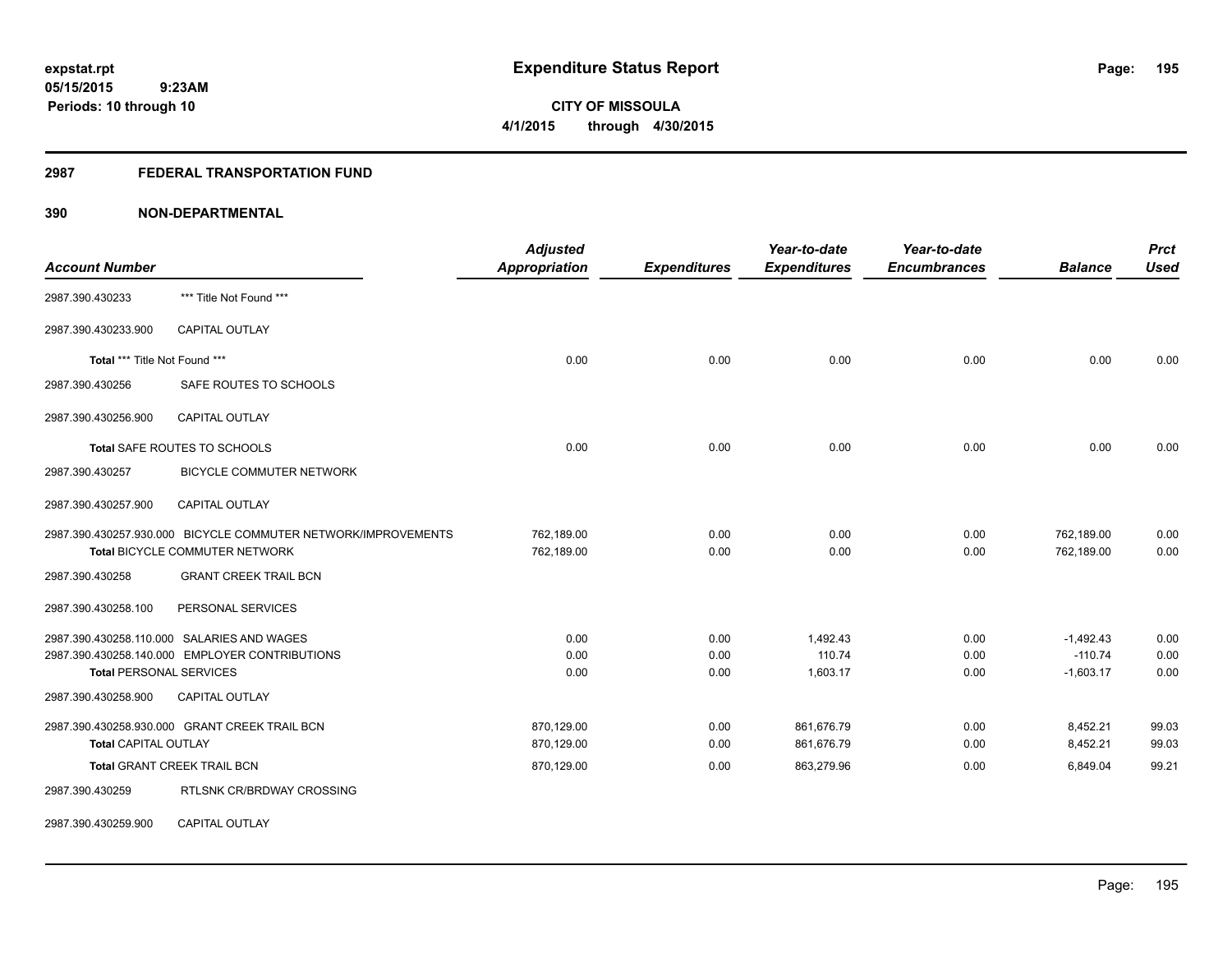#### **2987 FEDERAL TRANSPORTATION FUND**

# **390 NON-DEPARTMENTAL**

| <b>Account Number</b>          |                                                               | <b>Adjusted</b><br><b>Appropriation</b> | <b>Expenditures</b> | Year-to-date<br><b>Expenditures</b> | Year-to-date<br><b>Encumbrances</b> | <b>Balance</b> | <b>Prct</b><br><b>Used</b> |
|--------------------------------|---------------------------------------------------------------|-----------------------------------------|---------------------|-------------------------------------|-------------------------------------|----------------|----------------------------|
|                                |                                                               |                                         |                     |                                     |                                     |                |                            |
| 2987.390.430233                | *** Title Not Found ***                                       |                                         |                     |                                     |                                     |                |                            |
| 2987.390.430233.900            | <b>CAPITAL OUTLAY</b>                                         |                                         |                     |                                     |                                     |                |                            |
| Total *** Title Not Found ***  |                                                               | 0.00                                    | 0.00                | 0.00                                | 0.00                                | 0.00           | 0.00                       |
| 2987.390.430256                | SAFE ROUTES TO SCHOOLS                                        |                                         |                     |                                     |                                     |                |                            |
| 2987.390.430256.900            | <b>CAPITAL OUTLAY</b>                                         |                                         |                     |                                     |                                     |                |                            |
|                                | Total SAFE ROUTES TO SCHOOLS                                  | 0.00                                    | 0.00                | 0.00                                | 0.00                                | 0.00           | 0.00                       |
| 2987.390.430257                | BICYCLE COMMUTER NETWORK                                      |                                         |                     |                                     |                                     |                |                            |
| 2987.390.430257.900            | CAPITAL OUTLAY                                                |                                         |                     |                                     |                                     |                |                            |
|                                | 2987.390.430257.930.000 BICYCLE COMMUTER NETWORK/IMPROVEMENTS | 762,189.00                              | 0.00                | 0.00                                | 0.00                                | 762,189.00     | 0.00                       |
|                                | Total BICYCLE COMMUTER NETWORK                                | 762,189.00                              | 0.00                | 0.00                                | 0.00                                | 762,189.00     | 0.00                       |
| 2987.390.430258                | <b>GRANT CREEK TRAIL BCN</b>                                  |                                         |                     |                                     |                                     |                |                            |
| 2987.390.430258.100            | PERSONAL SERVICES                                             |                                         |                     |                                     |                                     |                |                            |
|                                | 2987.390.430258.110.000 SALARIES AND WAGES                    | 0.00                                    | 0.00                | 1,492.43                            | 0.00                                | $-1,492.43$    | 0.00                       |
|                                | 2987.390.430258.140.000 EMPLOYER CONTRIBUTIONS                | 0.00                                    | 0.00                | 110.74                              | 0.00                                | $-110.74$      | 0.00                       |
| <b>Total PERSONAL SERVICES</b> |                                                               | 0.00                                    | 0.00                | 1,603.17                            | 0.00                                | $-1,603.17$    | 0.00                       |
| 2987.390.430258.900            | <b>CAPITAL OUTLAY</b>                                         |                                         |                     |                                     |                                     |                |                            |
|                                | 2987.390.430258.930.000 GRANT CREEK TRAIL BCN                 | 870,129.00                              | 0.00                | 861,676.79                          | 0.00                                | 8,452.21       | 99.03                      |
| <b>Total CAPITAL OUTLAY</b>    |                                                               | 870,129.00                              | 0.00                | 861,676.79                          | 0.00                                | 8,452.21       | 99.03                      |
|                                | <b>Total GRANT CREEK TRAIL BCN</b>                            | 870,129.00                              | 0.00                | 863,279.96                          | 0.00                                | 6,849.04       | 99.21                      |
| 2987.390.430259                | RTLSNK CR/BRDWAY CROSSING                                     |                                         |                     |                                     |                                     |                |                            |

2987.390.430259.900 CAPITAL OUTLAY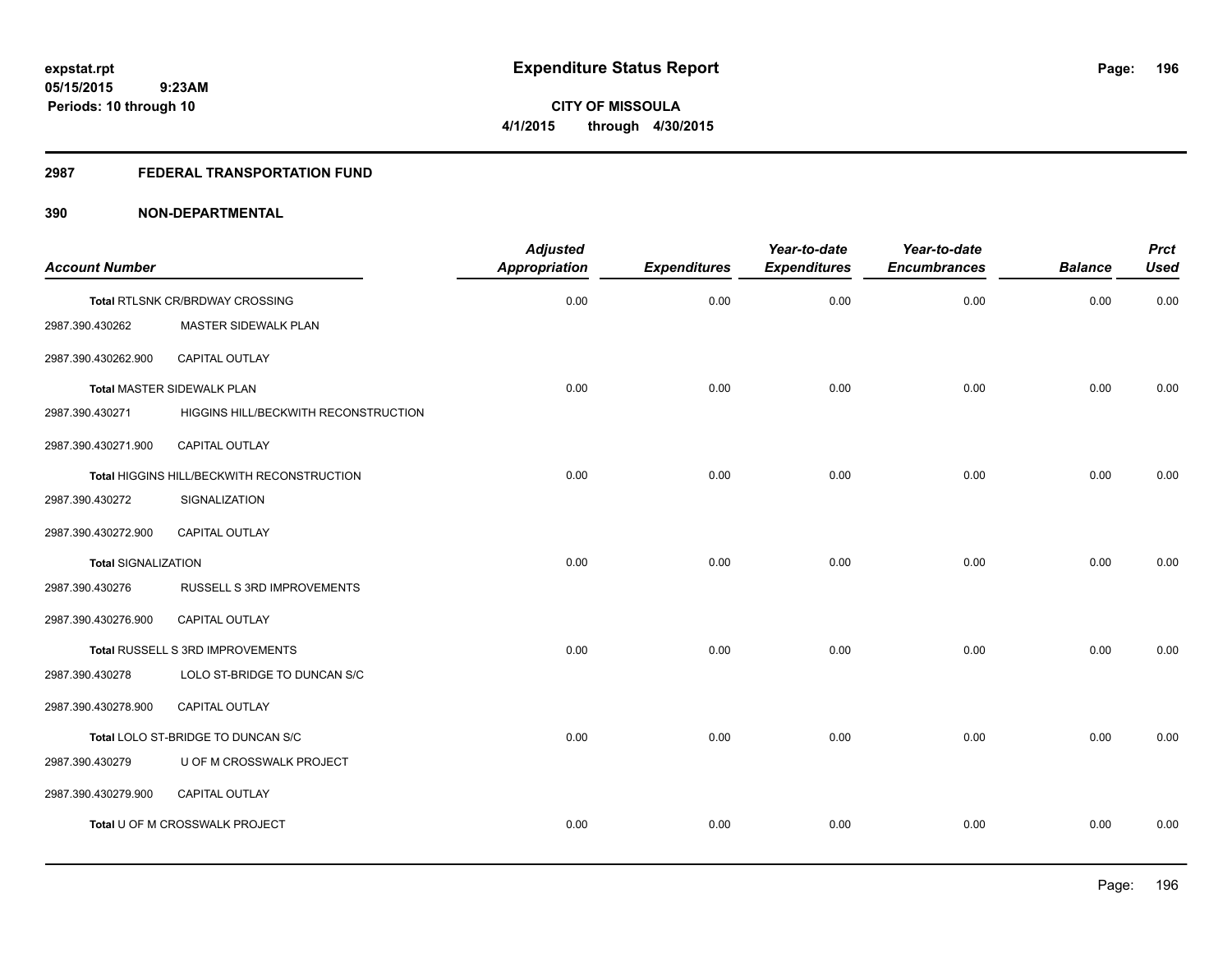# **CITY OF MISSOULA 4/1/2015 through 4/30/2015**

# **2987 FEDERAL TRANSPORTATION FUND**

|                            |                                            | <b>Adjusted</b>      |                     | Year-to-date        | Year-to-date        |                | <b>Prct</b> |
|----------------------------|--------------------------------------------|----------------------|---------------------|---------------------|---------------------|----------------|-------------|
| <b>Account Number</b>      |                                            | <b>Appropriation</b> | <b>Expenditures</b> | <b>Expenditures</b> | <b>Encumbrances</b> | <b>Balance</b> | <b>Used</b> |
|                            | Total RTLSNK CR/BRDWAY CROSSING            | 0.00                 | 0.00                | 0.00                | 0.00                | 0.00           | 0.00        |
| 2987.390.430262            | MASTER SIDEWALK PLAN                       |                      |                     |                     |                     |                |             |
| 2987.390.430262.900        | CAPITAL OUTLAY                             |                      |                     |                     |                     |                |             |
|                            | <b>Total MASTER SIDEWALK PLAN</b>          | 0.00                 | 0.00                | 0.00                | 0.00                | 0.00           | 0.00        |
| 2987.390.430271            | HIGGINS HILL/BECKWITH RECONSTRUCTION       |                      |                     |                     |                     |                |             |
| 2987.390.430271.900        | CAPITAL OUTLAY                             |                      |                     |                     |                     |                |             |
|                            | Total HIGGINS HILL/BECKWITH RECONSTRUCTION | 0.00                 | 0.00                | 0.00                | 0.00                | 0.00           | 0.00        |
| 2987.390.430272            | SIGNALIZATION                              |                      |                     |                     |                     |                |             |
| 2987.390.430272.900        | CAPITAL OUTLAY                             |                      |                     |                     |                     |                |             |
| <b>Total SIGNALIZATION</b> |                                            | 0.00                 | 0.00                | 0.00                | 0.00                | 0.00           | 0.00        |
| 2987.390.430276            | RUSSELL S 3RD IMPROVEMENTS                 |                      |                     |                     |                     |                |             |
| 2987.390.430276.900        | CAPITAL OUTLAY                             |                      |                     |                     |                     |                |             |
|                            | Total RUSSELL S 3RD IMPROVEMENTS           | 0.00                 | 0.00                | 0.00                | 0.00                | 0.00           | 0.00        |
| 2987.390.430278            | LOLO ST-BRIDGE TO DUNCAN S/C               |                      |                     |                     |                     |                |             |
| 2987.390.430278.900        | <b>CAPITAL OUTLAY</b>                      |                      |                     |                     |                     |                |             |
|                            | Total LOLO ST-BRIDGE TO DUNCAN S/C         | 0.00                 | 0.00                | 0.00                | 0.00                | 0.00           | 0.00        |
| 2987.390.430279            | U OF M CROSSWALK PROJECT                   |                      |                     |                     |                     |                |             |
| 2987.390.430279.900        | <b>CAPITAL OUTLAY</b>                      |                      |                     |                     |                     |                |             |
|                            | Total U OF M CROSSWALK PROJECT             | 0.00                 | 0.00                | 0.00                | 0.00                | 0.00           | 0.00        |
|                            |                                            |                      |                     |                     |                     |                |             |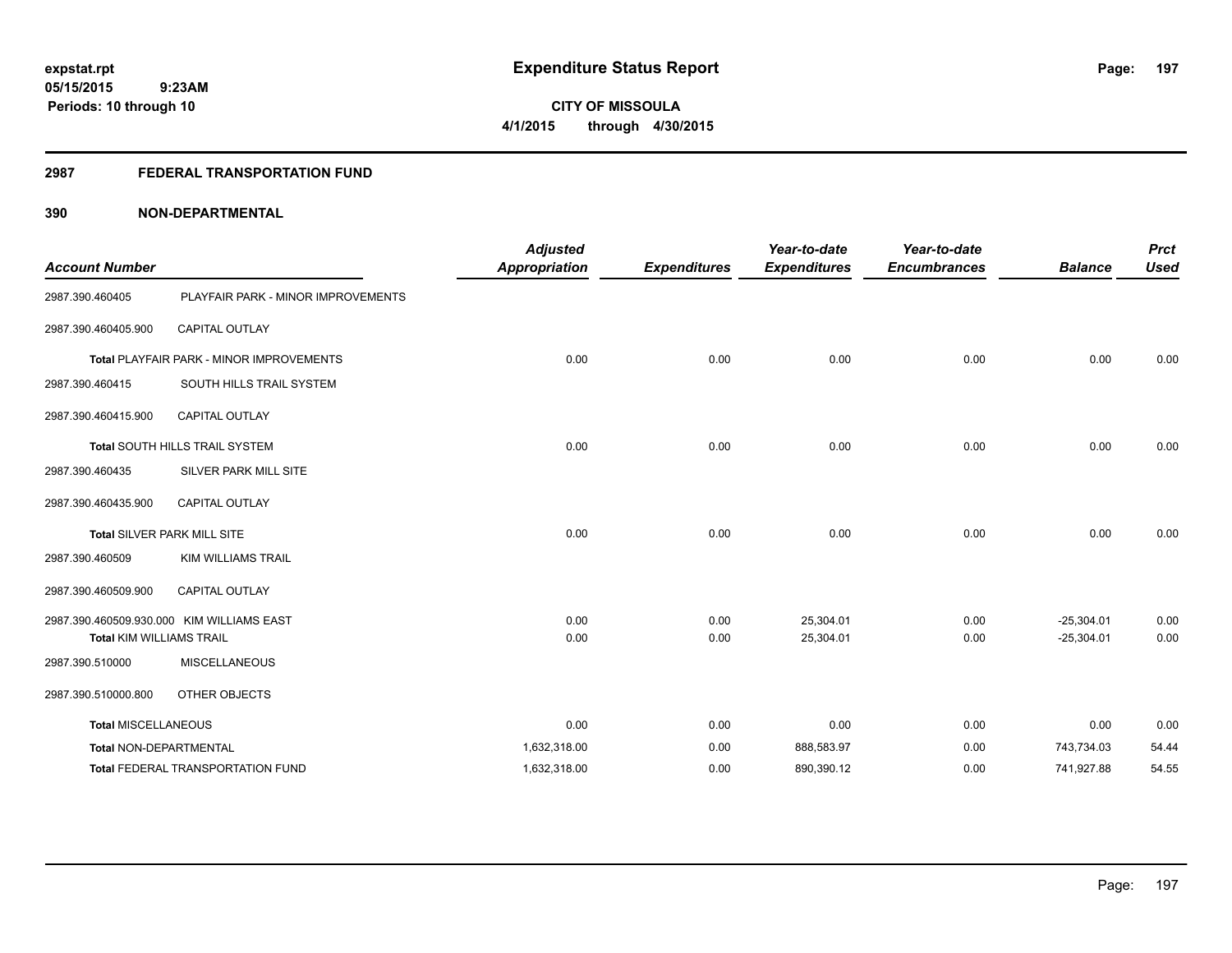**CITY OF MISSOULA 4/1/2015 through 4/30/2015**

#### **2987 FEDERAL TRANSPORTATION FUND**

| <b>Account Number</b>           |                                                 | <b>Adjusted</b><br><b>Appropriation</b> | <b>Expenditures</b> | Year-to-date<br><b>Expenditures</b> | Year-to-date<br><b>Encumbrances</b> | <b>Balance</b> | <b>Prct</b><br><b>Used</b> |
|---------------------------------|-------------------------------------------------|-----------------------------------------|---------------------|-------------------------------------|-------------------------------------|----------------|----------------------------|
| 2987.390.460405                 | PLAYFAIR PARK - MINOR IMPROVEMENTS              |                                         |                     |                                     |                                     |                |                            |
| 2987.390.460405.900             | <b>CAPITAL OUTLAY</b>                           |                                         |                     |                                     |                                     |                |                            |
|                                 | <b>Total PLAYFAIR PARK - MINOR IMPROVEMENTS</b> | 0.00                                    | 0.00                | 0.00                                | 0.00                                | 0.00           | 0.00                       |
| 2987.390.460415                 | SOUTH HILLS TRAIL SYSTEM                        |                                         |                     |                                     |                                     |                |                            |
| 2987.390.460415.900             | <b>CAPITAL OUTLAY</b>                           |                                         |                     |                                     |                                     |                |                            |
|                                 | Total SOUTH HILLS TRAIL SYSTEM                  | 0.00                                    | 0.00                | 0.00                                | 0.00                                | 0.00           | 0.00                       |
| 2987.390.460435                 | SILVER PARK MILL SITE                           |                                         |                     |                                     |                                     |                |                            |
| 2987.390.460435.900             | <b>CAPITAL OUTLAY</b>                           |                                         |                     |                                     |                                     |                |                            |
|                                 | Total SILVER PARK MILL SITE                     | 0.00                                    | 0.00                | 0.00                                | 0.00                                | 0.00           | 0.00                       |
| 2987.390.460509                 | <b>KIM WILLIAMS TRAIL</b>                       |                                         |                     |                                     |                                     |                |                            |
| 2987.390.460509.900             | <b>CAPITAL OUTLAY</b>                           |                                         |                     |                                     |                                     |                |                            |
|                                 | 2987.390.460509.930.000 KIM WILLIAMS EAST       | 0.00                                    | 0.00                | 25,304.01                           | 0.00                                | $-25,304.01$   | 0.00                       |
| <b>Total KIM WILLIAMS TRAIL</b> |                                                 | 0.00                                    | 0.00                | 25,304.01                           | 0.00                                | $-25,304.01$   | 0.00                       |
| 2987.390.510000                 | <b>MISCELLANEOUS</b>                            |                                         |                     |                                     |                                     |                |                            |
| 2987.390.510000.800             | OTHER OBJECTS                                   |                                         |                     |                                     |                                     |                |                            |
| <b>Total MISCELLANEOUS</b>      |                                                 | 0.00                                    | 0.00                | 0.00                                | 0.00                                | 0.00           | 0.00                       |
| <b>Total NON-DEPARTMENTAL</b>   |                                                 | 1,632,318.00                            | 0.00                | 888,583.97                          | 0.00                                | 743,734.03     | 54.44                      |
|                                 | <b>Total FEDERAL TRANSPORTATION FUND</b>        | 1,632,318.00                            | 0.00                | 890,390.12                          | 0.00                                | 741,927.88     | 54.55                      |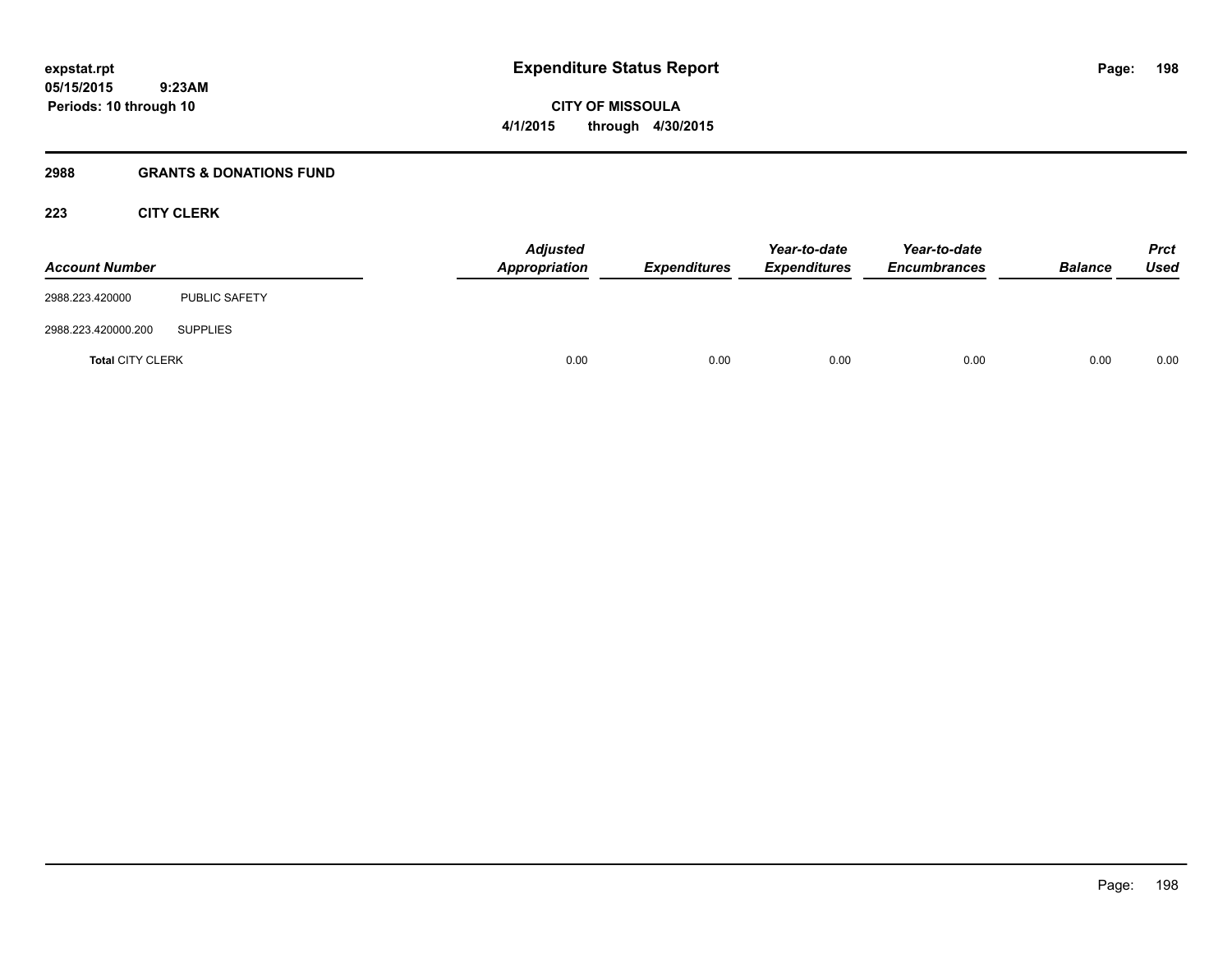# **2988 GRANTS & DONATIONS FUND**

 **9:23AM**

# **223 CITY CLERK**

**Periods: 10 through 10**

| <b>Account Number</b>   |                      | <b>Adjusted</b><br>Appropriation | <b>Expenditures</b> | Year-to-date<br><b>Expenditures</b> | Year-to-date<br><b>Encumbrances</b> | <b>Balance</b> | <b>Prct</b><br><b>Used</b> |
|-------------------------|----------------------|----------------------------------|---------------------|-------------------------------------|-------------------------------------|----------------|----------------------------|
| 2988.223.420000         | <b>PUBLIC SAFETY</b> |                                  |                     |                                     |                                     |                |                            |
| 2988.223.420000.200     | <b>SUPPLIES</b>      |                                  |                     |                                     |                                     |                |                            |
| <b>Total CITY CLERK</b> |                      | 0.00                             | 0.00                | 0.00                                | 0.00                                | 0.00           | 0.00                       |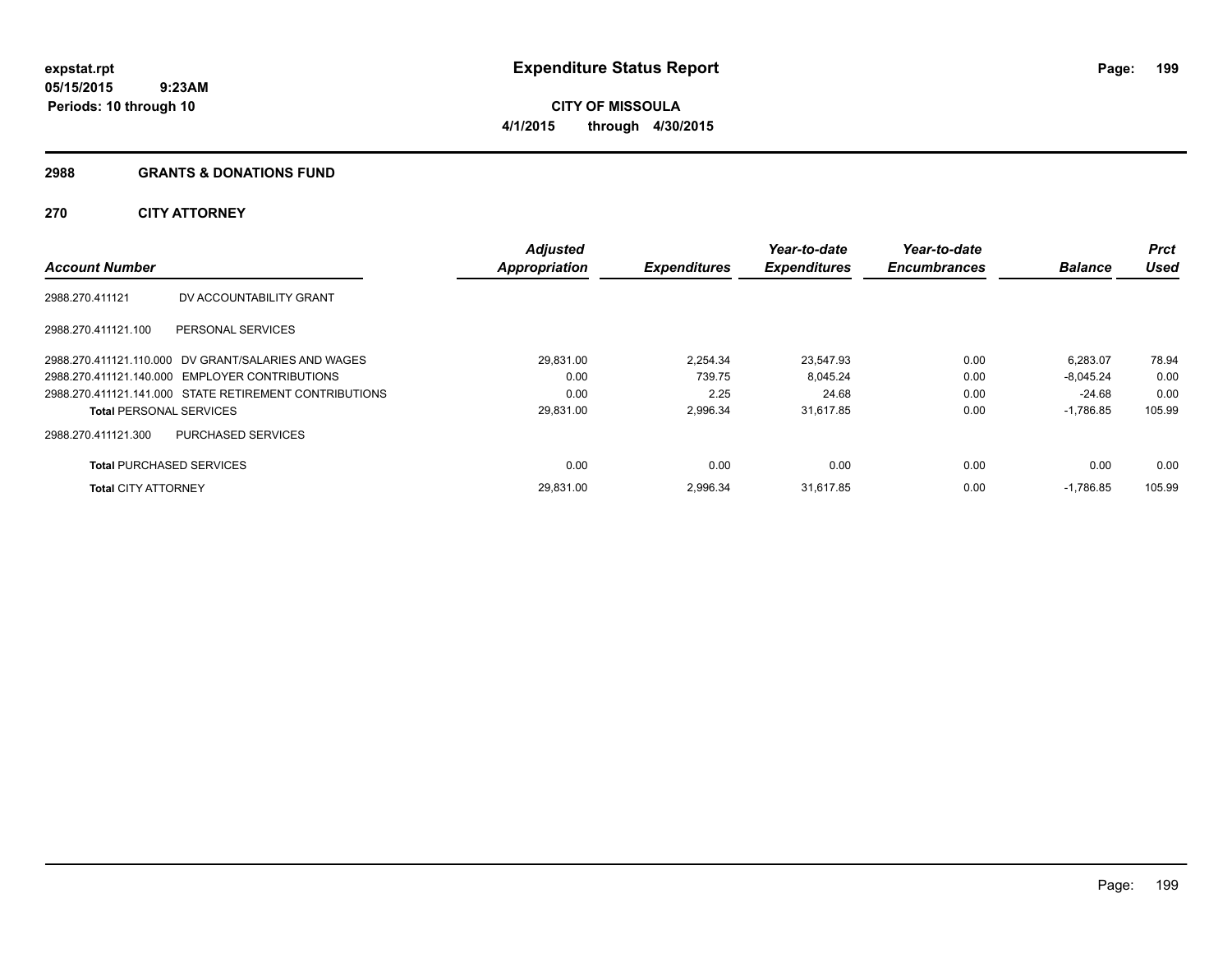Page: 199

**05/15/2015 9:23AM Periods: 10 through 10**

**CITY OF MISSOULA 4/1/2015 through 4/30/2015**

#### **2988 GRANTS & DONATIONS FUND**

# **270 CITY ATTORNEY**

| <b>Account Number</b>           |                                                        | <b>Adjusted</b><br><b>Appropriation</b> | <b>Expenditures</b> | Year-to-date<br><b>Expenditures</b> | Year-to-date<br><b>Encumbrances</b> | <b>Balance</b> | <b>Prct</b><br><b>Used</b> |
|---------------------------------|--------------------------------------------------------|-----------------------------------------|---------------------|-------------------------------------|-------------------------------------|----------------|----------------------------|
| 2988.270.411121                 | DV ACCOUNTABILITY GRANT                                |                                         |                     |                                     |                                     |                |                            |
| 2988.270.411121.100             | PERSONAL SERVICES                                      |                                         |                     |                                     |                                     |                |                            |
|                                 | 2988.270.411121.110.000 DV GRANT/SALARIES AND WAGES    | 29.831.00                               | 2.254.34            | 23.547.93                           | 0.00                                | 6.283.07       | 78.94                      |
|                                 | 2988.270.411121.140.000 EMPLOYER CONTRIBUTIONS         | 0.00                                    | 739.75              | 8,045.24                            | 0.00                                | $-8.045.24$    | 0.00                       |
|                                 | 2988.270.411121.141.000 STATE RETIREMENT CONTRIBUTIONS | 0.00                                    | 2.25                | 24.68                               | 0.00                                | -24.68         | 0.00                       |
| <b>Total PERSONAL SERVICES</b>  |                                                        | 29,831.00                               | 2,996.34            | 31.617.85                           | 0.00                                | $-1,786.85$    | 105.99                     |
| 2988.270.411121.300             | <b>PURCHASED SERVICES</b>                              |                                         |                     |                                     |                                     |                |                            |
| <b>Total PURCHASED SERVICES</b> |                                                        | 0.00                                    | 0.00                | 0.00                                | 0.00                                | 0.00           | 0.00                       |
| <b>Total CITY ATTORNEY</b>      |                                                        | 29.831.00                               | 2.996.34            | 31,617.85                           | 0.00                                | $-1,786.85$    | 105.99                     |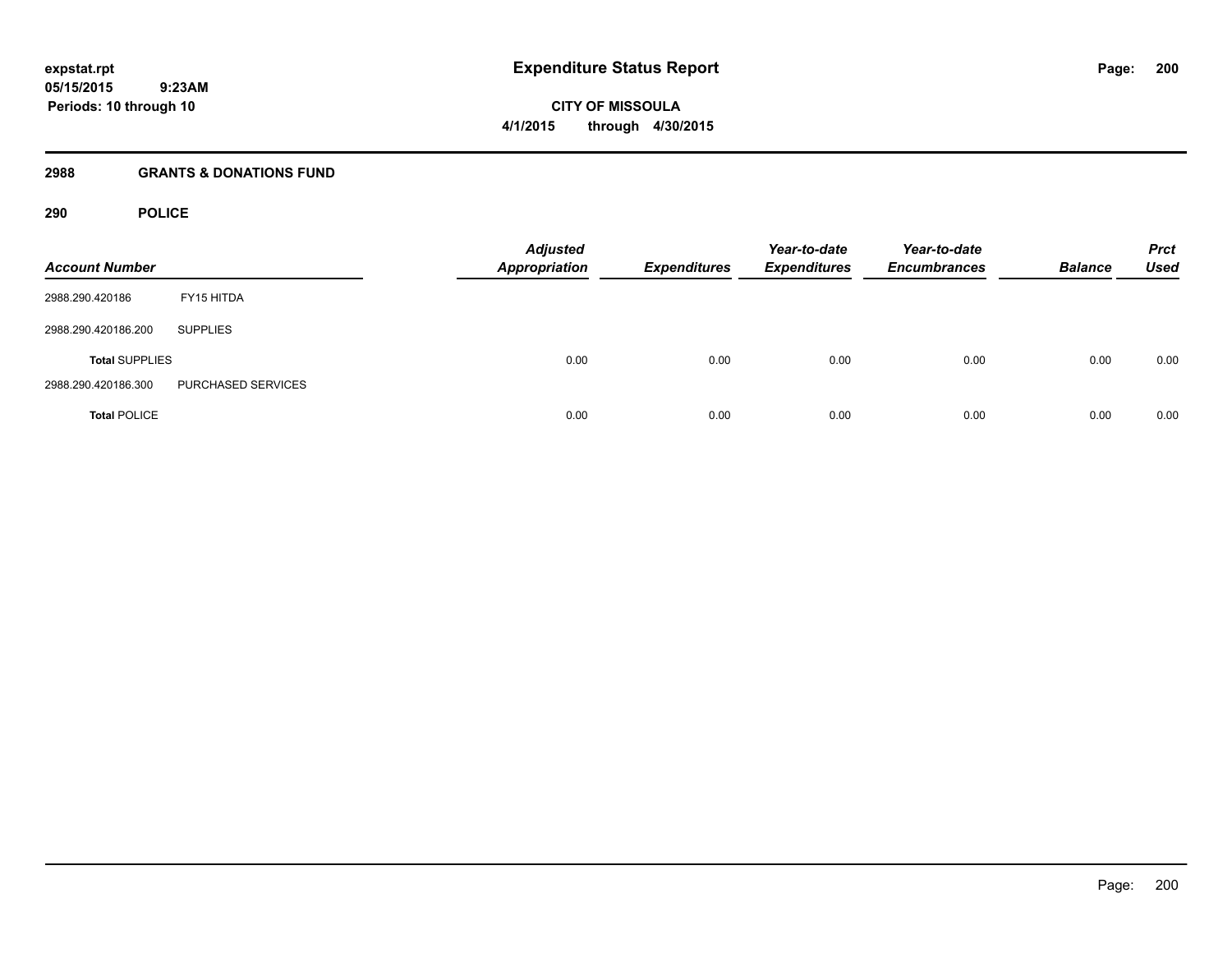**CITY OF MISSOULA 4/1/2015 through 4/30/2015**

# **2988 GRANTS & DONATIONS FUND**

# **290 POLICE**

| <b>Account Number</b> |                    | <b>Adjusted</b><br><b>Appropriation</b> | <b>Expenditures</b> | Year-to-date<br><b>Expenditures</b> | Year-to-date<br><b>Encumbrances</b> | <b>Balance</b> | <b>Prct</b><br><b>Used</b> |
|-----------------------|--------------------|-----------------------------------------|---------------------|-------------------------------------|-------------------------------------|----------------|----------------------------|
| 2988.290.420186       | FY15 HITDA         |                                         |                     |                                     |                                     |                |                            |
| 2988.290.420186.200   | <b>SUPPLIES</b>    |                                         |                     |                                     |                                     |                |                            |
| <b>Total SUPPLIES</b> |                    | 0.00                                    | 0.00                | 0.00                                | 0.00                                | 0.00           | 0.00                       |
| 2988.290.420186.300   | PURCHASED SERVICES |                                         |                     |                                     |                                     |                |                            |
| <b>Total POLICE</b>   |                    | 0.00                                    | 0.00                | 0.00                                | 0.00                                | 0.00           | 0.00                       |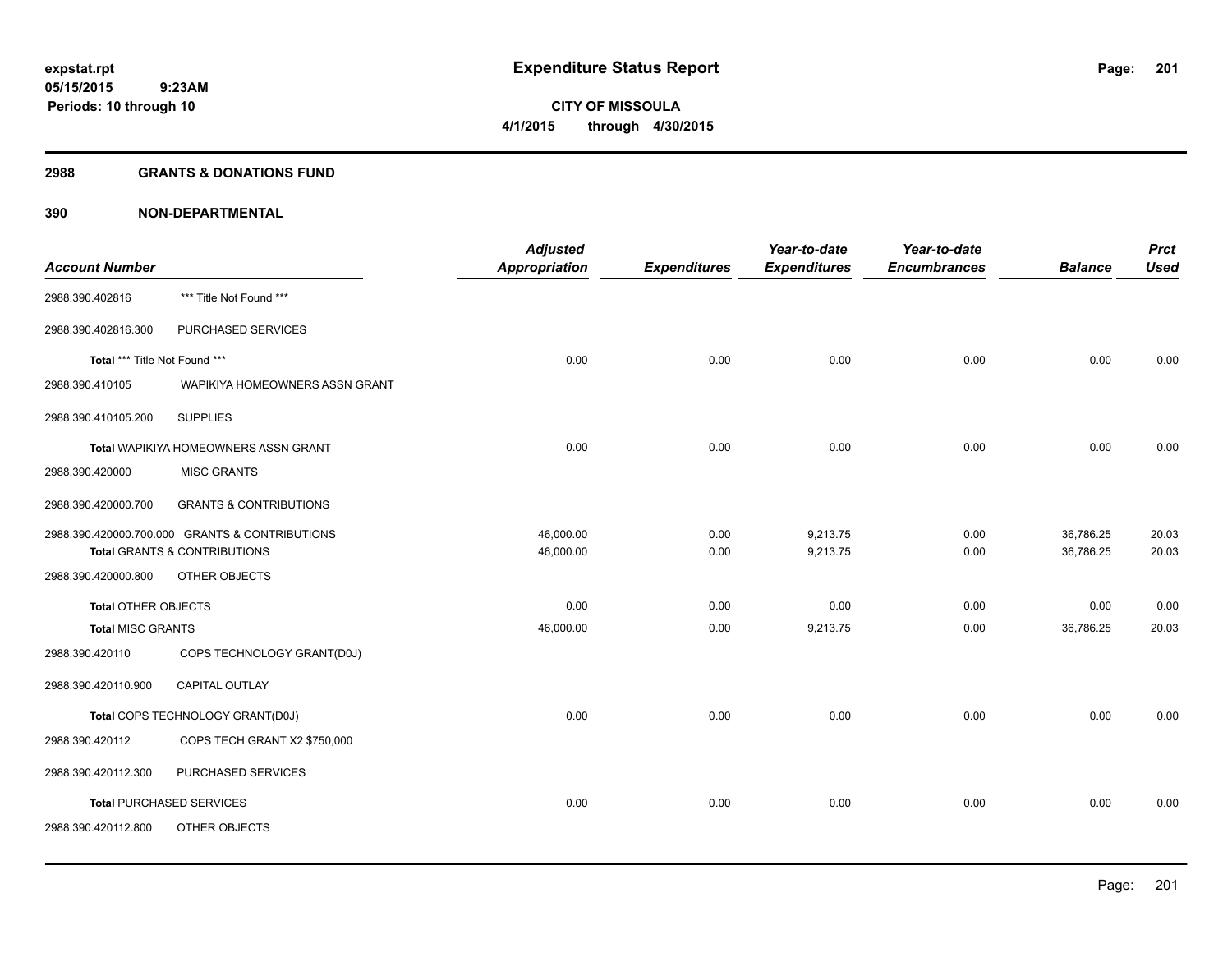#### **2988 GRANTS & DONATIONS FUND**

|                               |                                                | <b>Adjusted</b> |                     | Year-to-date        | Year-to-date        |                | <b>Prct</b> |
|-------------------------------|------------------------------------------------|-----------------|---------------------|---------------------|---------------------|----------------|-------------|
| <b>Account Number</b>         |                                                | Appropriation   | <b>Expenditures</b> | <b>Expenditures</b> | <b>Encumbrances</b> | <b>Balance</b> | <b>Used</b> |
| 2988.390.402816               | *** Title Not Found ***                        |                 |                     |                     |                     |                |             |
| 2988.390.402816.300           | PURCHASED SERVICES                             |                 |                     |                     |                     |                |             |
| Total *** Title Not Found *** |                                                | 0.00            | 0.00                | 0.00                | 0.00                | 0.00           | 0.00        |
| 2988.390.410105               | WAPIKIYA HOMEOWNERS ASSN GRANT                 |                 |                     |                     |                     |                |             |
| 2988.390.410105.200           | <b>SUPPLIES</b>                                |                 |                     |                     |                     |                |             |
|                               | Total WAPIKIYA HOMEOWNERS ASSN GRANT           | 0.00            | 0.00                | 0.00                | 0.00                | 0.00           | 0.00        |
| 2988.390.420000               | <b>MISC GRANTS</b>                             |                 |                     |                     |                     |                |             |
| 2988.390.420000.700           | <b>GRANTS &amp; CONTRIBUTIONS</b>              |                 |                     |                     |                     |                |             |
|                               | 2988.390.420000.700.000 GRANTS & CONTRIBUTIONS | 46,000.00       | 0.00                | 9,213.75            | 0.00                | 36,786.25      | 20.03       |
|                               | Total GRANTS & CONTRIBUTIONS                   | 46,000.00       | 0.00                | 9,213.75            | 0.00                | 36,786.25      | 20.03       |
| 2988.390.420000.800           | OTHER OBJECTS                                  |                 |                     |                     |                     |                |             |
| <b>Total OTHER OBJECTS</b>    |                                                | 0.00            | 0.00                | 0.00                | 0.00                | 0.00           | 0.00        |
| <b>Total MISC GRANTS</b>      |                                                | 46,000.00       | 0.00                | 9,213.75            | 0.00                | 36,786.25      | 20.03       |
| 2988.390.420110               | COPS TECHNOLOGY GRANT(D0J)                     |                 |                     |                     |                     |                |             |
| 2988.390.420110.900           | <b>CAPITAL OUTLAY</b>                          |                 |                     |                     |                     |                |             |
|                               | Total COPS TECHNOLOGY GRANT(D0J)               | 0.00            | 0.00                | 0.00                | 0.00                | 0.00           | 0.00        |
| 2988.390.420112               | COPS TECH GRANT X2 \$750,000                   |                 |                     |                     |                     |                |             |
| 2988.390.420112.300           | PURCHASED SERVICES                             |                 |                     |                     |                     |                |             |
|                               | <b>Total PURCHASED SERVICES</b>                | 0.00            | 0.00                | 0.00                | 0.00                | 0.00           | 0.00        |
| 2988.390.420112.800           | OTHER OBJECTS                                  |                 |                     |                     |                     |                |             |
|                               |                                                |                 |                     |                     |                     |                |             |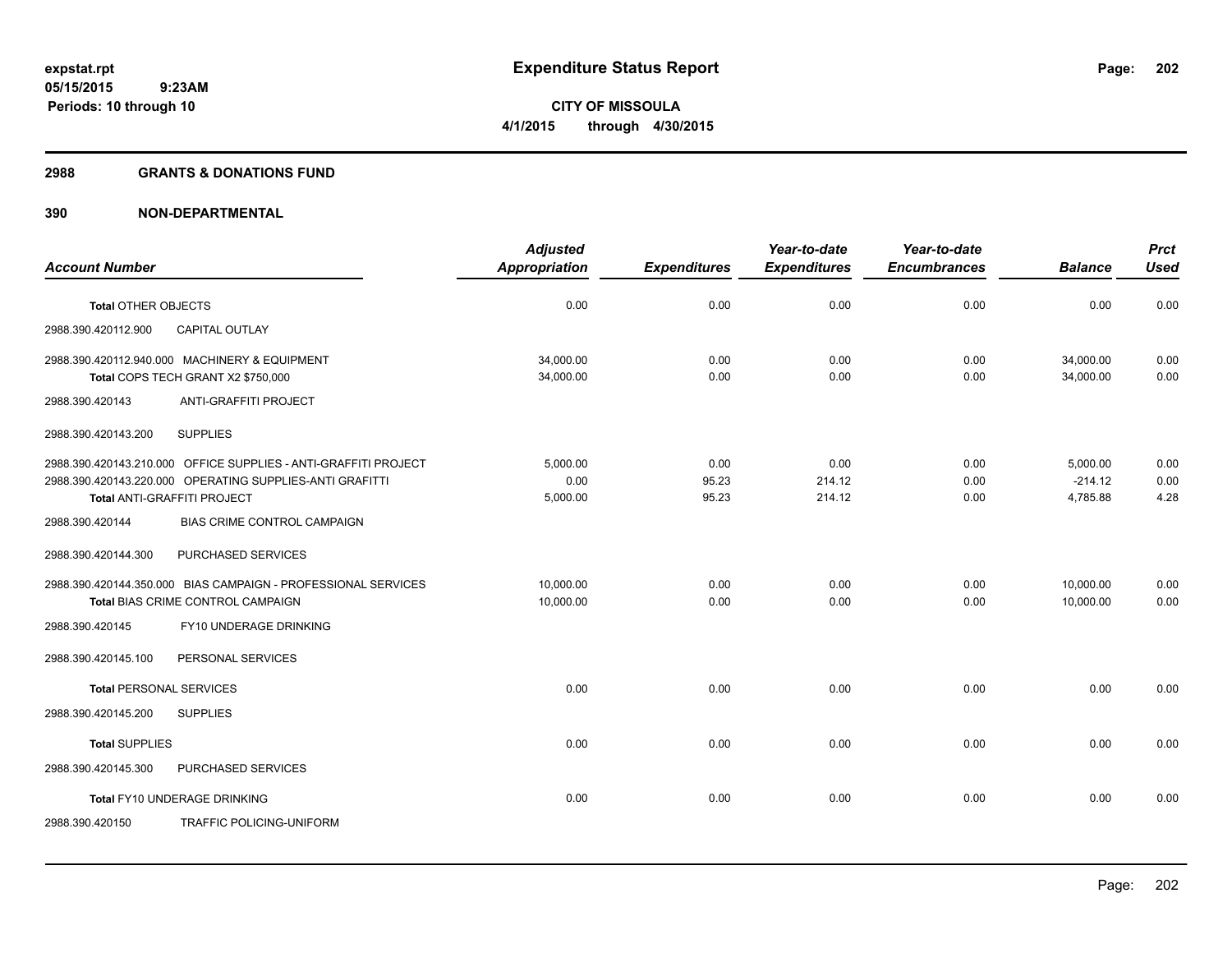#### **2988 GRANTS & DONATIONS FUND**

|                                                                 | <b>Adjusted</b>      |                     | Year-to-date        | Year-to-date        |                | <b>Prct</b> |
|-----------------------------------------------------------------|----------------------|---------------------|---------------------|---------------------|----------------|-------------|
| <b>Account Number</b>                                           | <b>Appropriation</b> | <b>Expenditures</b> | <b>Expenditures</b> | <b>Encumbrances</b> | <b>Balance</b> | <b>Used</b> |
|                                                                 | 0.00                 |                     | 0.00                |                     |                |             |
| <b>Total OTHER OBJECTS</b>                                      |                      | 0.00                |                     | 0.00                | 0.00           | 0.00        |
| CAPITAL OUTLAY<br>2988.390.420112.900                           |                      |                     |                     |                     |                |             |
| 2988.390.420112.940.000 MACHINERY & EQUIPMENT                   | 34,000.00            | 0.00                | 0.00                | 0.00                | 34,000.00      | 0.00        |
| Total COPS TECH GRANT X2 \$750,000                              | 34,000.00            | 0.00                | 0.00                | 0.00                | 34,000.00      | 0.00        |
| ANTI-GRAFFITI PROJECT<br>2988.390.420143                        |                      |                     |                     |                     |                |             |
| 2988.390.420143.200<br><b>SUPPLIES</b>                          |                      |                     |                     |                     |                |             |
| 2988.390.420143.210.000 OFFICE SUPPLIES - ANTI-GRAFFITI PROJECT | 5,000.00             | 0.00                | 0.00                | 0.00                | 5,000.00       | 0.00        |
| 2988.390.420143.220.000 OPERATING SUPPLIES-ANTI GRAFITTI        | 0.00                 | 95.23               | 214.12              | 0.00                | $-214.12$      | 0.00        |
| Total ANTI-GRAFFITI PROJECT                                     | 5,000.00             | 95.23               | 214.12              | 0.00                | 4,785.88       | 4.28        |
| BIAS CRIME CONTROL CAMPAIGN<br>2988.390.420144                  |                      |                     |                     |                     |                |             |
| 2988.390.420144.300<br>PURCHASED SERVICES                       |                      |                     |                     |                     |                |             |
| 2988.390.420144.350.000 BIAS CAMPAIGN - PROFESSIONAL SERVICES   | 10.000.00            | 0.00                | 0.00                | 0.00                | 10,000.00      | 0.00        |
| Total BIAS CRIME CONTROL CAMPAIGN                               | 10,000.00            | 0.00                | 0.00                | 0.00                | 10,000.00      | 0.00        |
| FY10 UNDERAGE DRINKING<br>2988.390.420145                       |                      |                     |                     |                     |                |             |
| PERSONAL SERVICES<br>2988.390.420145.100                        |                      |                     |                     |                     |                |             |
| <b>Total PERSONAL SERVICES</b>                                  | 0.00                 | 0.00                | 0.00                | 0.00                | 0.00           | 0.00        |
| <b>SUPPLIES</b><br>2988.390.420145.200                          |                      |                     |                     |                     |                |             |
| <b>Total SUPPLIES</b>                                           | 0.00                 | 0.00                | 0.00                | 0.00                | 0.00           | 0.00        |
| 2988.390.420145.300<br>PURCHASED SERVICES                       |                      |                     |                     |                     |                |             |
| Total FY10 UNDERAGE DRINKING                                    | 0.00                 | 0.00                | 0.00                | 0.00                | 0.00           | 0.00        |
| <b>TRAFFIC POLICING-UNIFORM</b><br>2988.390.420150              |                      |                     |                     |                     |                |             |
|                                                                 |                      |                     |                     |                     |                |             |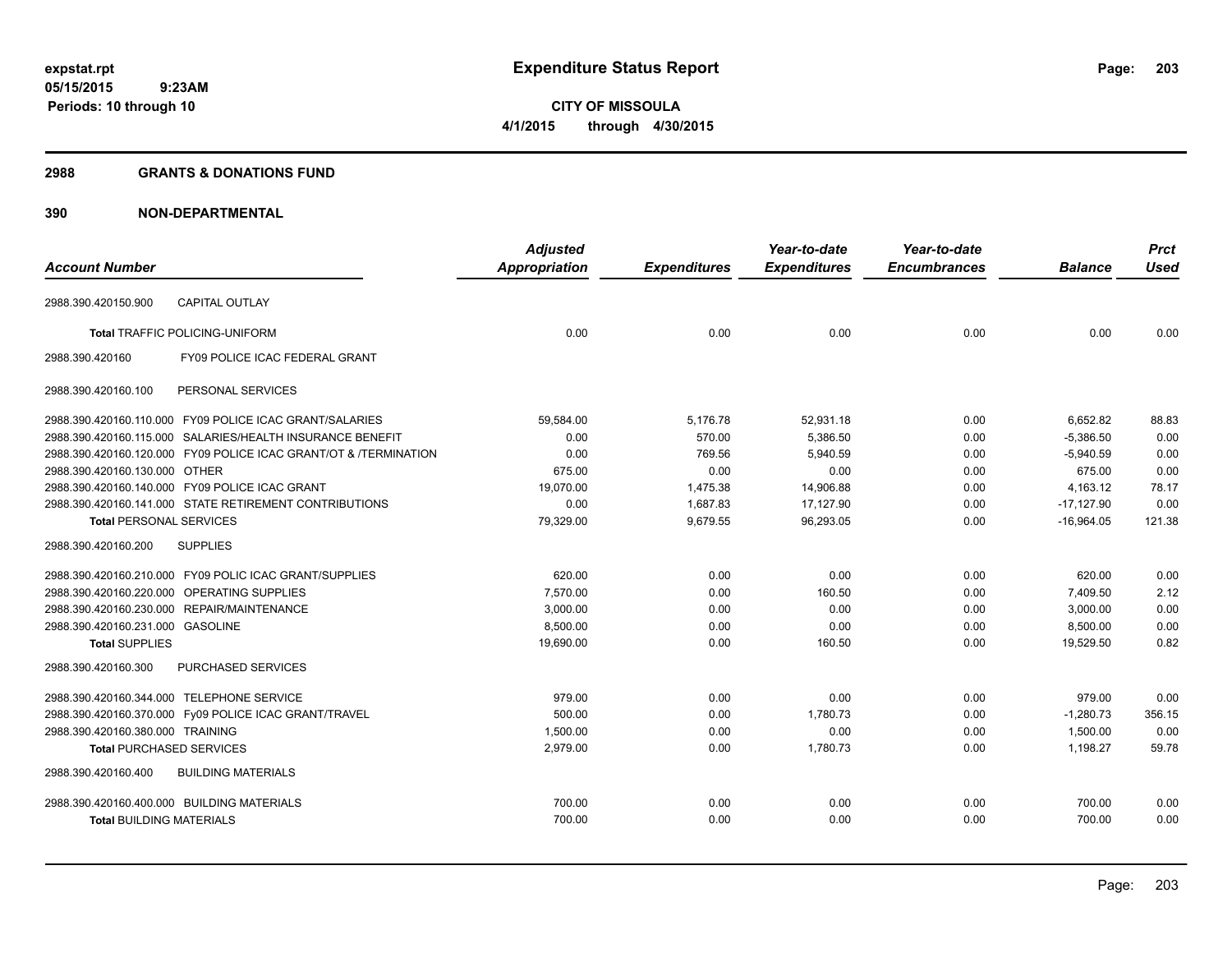#### **2988 GRANTS & DONATIONS FUND**

|                                            |                                                                  | <b>Adjusted</b>      |                     | Year-to-date        | Year-to-date        |                | <b>Prct</b> |
|--------------------------------------------|------------------------------------------------------------------|----------------------|---------------------|---------------------|---------------------|----------------|-------------|
| <b>Account Number</b>                      |                                                                  | <b>Appropriation</b> | <b>Expenditures</b> | <b>Expenditures</b> | <b>Encumbrances</b> | <b>Balance</b> | Used        |
| 2988.390.420150.900                        | <b>CAPITAL OUTLAY</b>                                            |                      |                     |                     |                     |                |             |
|                                            | <b>Total TRAFFIC POLICING-UNIFORM</b>                            | 0.00                 | 0.00                | 0.00                | 0.00                | 0.00           | 0.00        |
| 2988.390.420160                            | FY09 POLICE ICAC FEDERAL GRANT                                   |                      |                     |                     |                     |                |             |
| 2988.390.420160.100                        | PERSONAL SERVICES                                                |                      |                     |                     |                     |                |             |
|                                            | 2988.390.420160.110.000 FY09 POLICE ICAC GRANT/SALARIES          | 59,584.00            | 5,176.78            | 52,931.18           | 0.00                | 6,652.82       | 88.83       |
|                                            | 2988.390.420160.115.000 SALARIES/HEALTH INSURANCE BENEFIT        | 0.00                 | 570.00              | 5,386.50            | 0.00                | $-5.386.50$    | 0.00        |
|                                            | 2988.390.420160.120.000 FY09 POLICE ICAC GRANT/OT & /TERMINATION | 0.00                 | 769.56              | 5,940.59            | 0.00                | $-5,940.59$    | 0.00        |
| 2988.390.420160.130.000 OTHER              |                                                                  | 675.00               | 0.00                | 0.00                | 0.00                | 675.00         | 0.00        |
|                                            | 2988.390.420160.140.000 FY09 POLICE ICAC GRANT                   | 19,070.00            | 1,475.38            | 14,906.88           | 0.00                | 4,163.12       | 78.17       |
|                                            | 2988.390.420160.141.000 STATE RETIREMENT CONTRIBUTIONS           | 0.00                 | 1,687.83            | 17,127.90           | 0.00                | $-17,127.90$   | 0.00        |
| <b>Total PERSONAL SERVICES</b>             |                                                                  | 79,329.00            | 9,679.55            | 96,293.05           | 0.00                | $-16,964.05$   | 121.38      |
| 2988.390.420160.200                        | <b>SUPPLIES</b>                                                  |                      |                     |                     |                     |                |             |
|                                            | 2988.390.420160.210.000 FY09 POLIC ICAC GRANT/SUPPLIES           | 620.00               | 0.00                | 0.00                | 0.00                | 620.00         | 0.00        |
| 2988.390.420160.220.000 OPERATING SUPPLIES |                                                                  | 7.570.00             | 0.00                | 160.50              | 0.00                | 7,409.50       | 2.12        |
|                                            | 2988.390.420160.230.000 REPAIR/MAINTENANCE                       | 3,000.00             | 0.00                | 0.00                | 0.00                | 3,000.00       | 0.00        |
| 2988.390.420160.231.000 GASOLINE           |                                                                  | 8,500.00             | 0.00                | 0.00                | 0.00                | 8,500.00       | 0.00        |
| <b>Total SUPPLIES</b>                      |                                                                  | 19,690.00            | 0.00                | 160.50              | 0.00                | 19.529.50      | 0.82        |
| 2988.390.420160.300                        | <b>PURCHASED SERVICES</b>                                        |                      |                     |                     |                     |                |             |
| 2988.390.420160.344.000 TELEPHONE SERVICE  |                                                                  | 979.00               | 0.00                | 0.00                | 0.00                | 979.00         | 0.00        |
|                                            | 2988.390.420160.370.000 Fy09 POLICE ICAC GRANT/TRAVEL            | 500.00               | 0.00                | 1,780.73            | 0.00                | $-1,280.73$    | 356.15      |
| 2988.390.420160.380.000 TRAINING           |                                                                  | 1,500.00             | 0.00                | 0.00                | 0.00                | 1,500.00       | 0.00        |
| <b>Total PURCHASED SERVICES</b>            |                                                                  | 2,979.00             | 0.00                | 1,780.73            | 0.00                | 1,198.27       | 59.78       |
| 2988.390.420160.400                        | <b>BUILDING MATERIALS</b>                                        |                      |                     |                     |                     |                |             |
| 2988.390.420160.400.000 BUILDING MATERIALS |                                                                  | 700.00               | 0.00                | 0.00                | 0.00                | 700.00         | 0.00        |
| <b>Total BUILDING MATERIALS</b>            |                                                                  | 700.00               | 0.00                | 0.00                | 0.00                | 700.00         | 0.00        |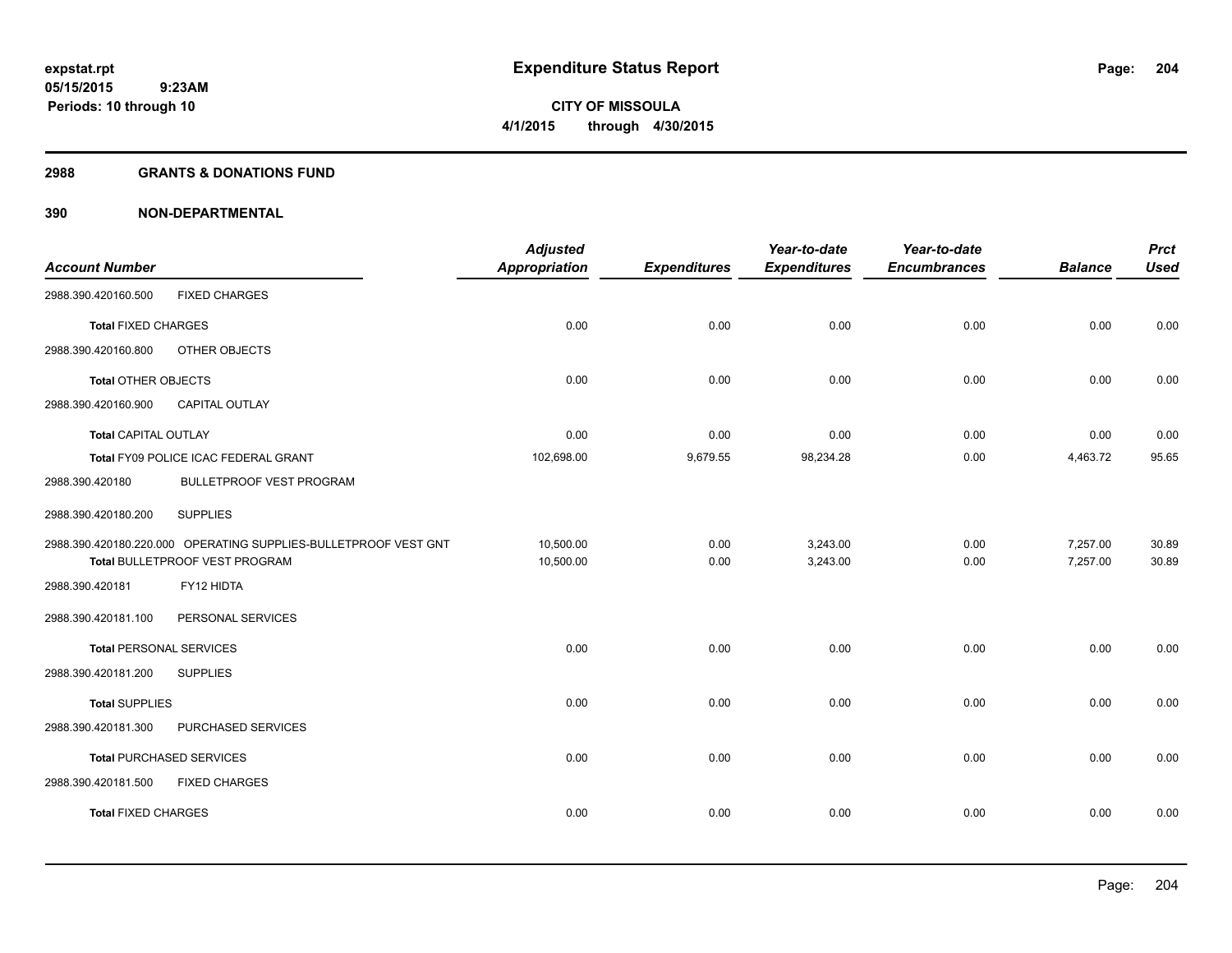#### **2988 GRANTS & DONATIONS FUND**

|                                |                                                                 | <b>Adjusted</b>      |                     | Year-to-date        | Year-to-date        |                | <b>Prct</b> |
|--------------------------------|-----------------------------------------------------------------|----------------------|---------------------|---------------------|---------------------|----------------|-------------|
| <b>Account Number</b>          |                                                                 | <b>Appropriation</b> | <b>Expenditures</b> | <b>Expenditures</b> | <b>Encumbrances</b> | <b>Balance</b> | <b>Used</b> |
| 2988.390.420160.500            | <b>FIXED CHARGES</b>                                            |                      |                     |                     |                     |                |             |
| <b>Total FIXED CHARGES</b>     |                                                                 | 0.00                 | 0.00                | 0.00                | 0.00                | 0.00           | 0.00        |
| 2988.390.420160.800            | OTHER OBJECTS                                                   |                      |                     |                     |                     |                |             |
| <b>Total OTHER OBJECTS</b>     |                                                                 | 0.00                 | 0.00                | 0.00                | 0.00                | 0.00           | 0.00        |
| 2988.390.420160.900            | <b>CAPITAL OUTLAY</b>                                           |                      |                     |                     |                     |                |             |
| <b>Total CAPITAL OUTLAY</b>    |                                                                 | 0.00                 | 0.00                | 0.00                | 0.00                | 0.00           | 0.00        |
|                                | Total FY09 POLICE ICAC FEDERAL GRANT                            | 102,698.00           | 9,679.55            | 98,234.28           | 0.00                | 4,463.72       | 95.65       |
| 2988.390.420180                | <b>BULLETPROOF VEST PROGRAM</b>                                 |                      |                     |                     |                     |                |             |
| 2988.390.420180.200            | <b>SUPPLIES</b>                                                 |                      |                     |                     |                     |                |             |
|                                | 2988.390.420180.220.000 OPERATING SUPPLIES-BULLETPROOF VEST GNT | 10,500.00            | 0.00                | 3,243.00            | 0.00                | 7,257.00       | 30.89       |
|                                | Total BULLETPROOF VEST PROGRAM                                  | 10,500.00            | 0.00                | 3,243.00            | 0.00                | 7,257.00       | 30.89       |
| 2988.390.420181                | FY12 HIDTA                                                      |                      |                     |                     |                     |                |             |
| 2988.390.420181.100            | PERSONAL SERVICES                                               |                      |                     |                     |                     |                |             |
| <b>Total PERSONAL SERVICES</b> |                                                                 | 0.00                 | 0.00                | 0.00                | 0.00                | 0.00           | 0.00        |
| 2988.390.420181.200            | <b>SUPPLIES</b>                                                 |                      |                     |                     |                     |                |             |
| <b>Total SUPPLIES</b>          |                                                                 | 0.00                 | 0.00                | 0.00                | 0.00                | 0.00           | 0.00        |
| 2988.390.420181.300            | PURCHASED SERVICES                                              |                      |                     |                     |                     |                |             |
|                                | <b>Total PURCHASED SERVICES</b>                                 | 0.00                 | 0.00                | 0.00                | 0.00                | 0.00           | 0.00        |
| 2988.390.420181.500            | <b>FIXED CHARGES</b>                                            |                      |                     |                     |                     |                |             |
| <b>Total FIXED CHARGES</b>     |                                                                 | 0.00                 | 0.00                | 0.00                | 0.00                | 0.00           | 0.00        |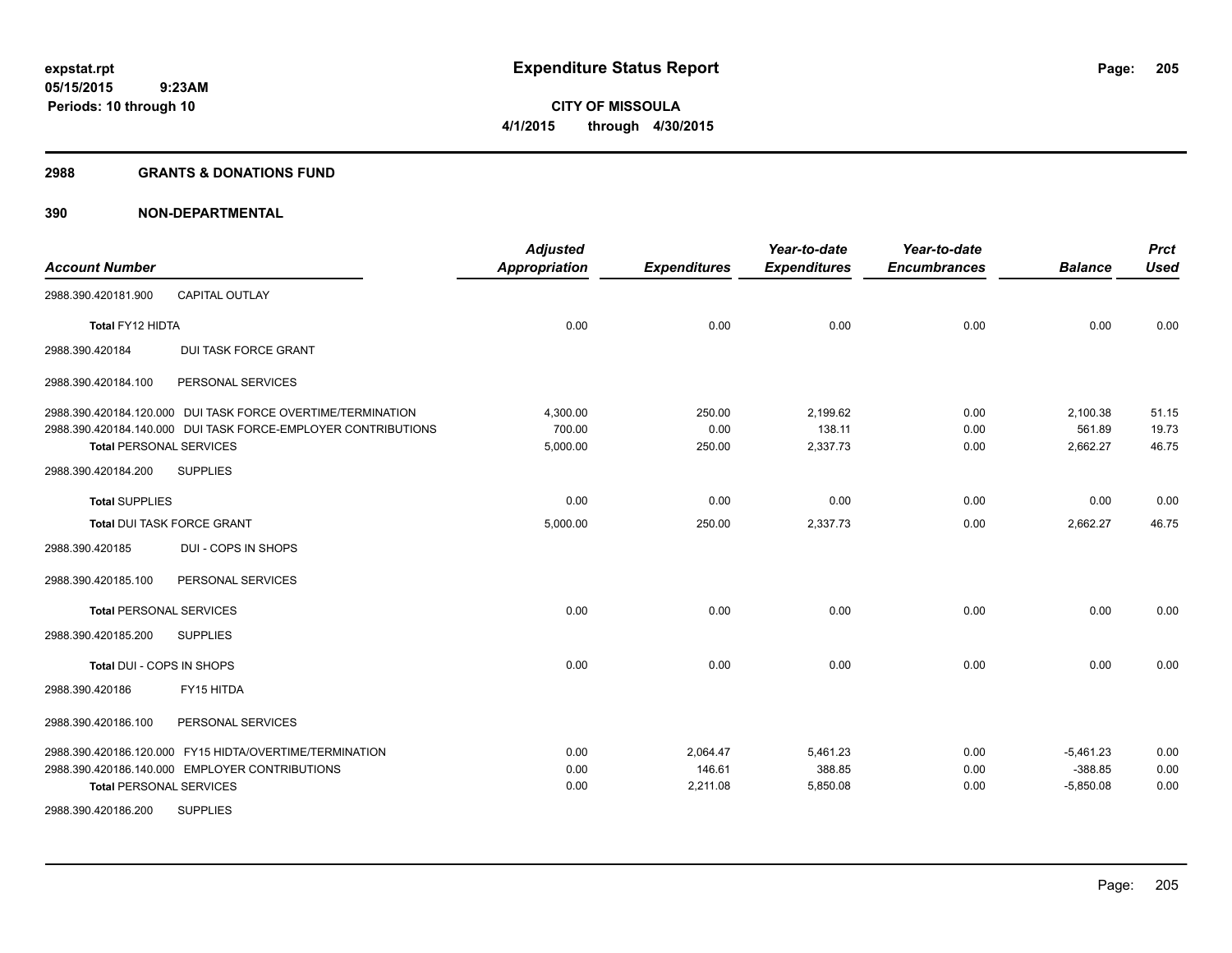#### **2988 GRANTS & DONATIONS FUND**

| <b>Account Number</b>             |                                                               | <b>Adjusted</b><br><b>Appropriation</b> | <b>Expenditures</b> | Year-to-date<br><b>Expenditures</b> | Year-to-date<br><b>Encumbrances</b> | <b>Balance</b> | <b>Prct</b><br><b>Used</b> |
|-----------------------------------|---------------------------------------------------------------|-----------------------------------------|---------------------|-------------------------------------|-------------------------------------|----------------|----------------------------|
| 2988.390.420181.900               | <b>CAPITAL OUTLAY</b>                                         |                                         |                     |                                     |                                     |                |                            |
| Total FY12 HIDTA                  |                                                               | 0.00                                    | 0.00                | 0.00                                | 0.00                                | 0.00           | 0.00                       |
| 2988.390.420184                   | <b>DUI TASK FORCE GRANT</b>                                   |                                         |                     |                                     |                                     |                |                            |
| 2988.390.420184.100               | PERSONAL SERVICES                                             |                                         |                     |                                     |                                     |                |                            |
|                                   | 2988.390.420184.120.000 DUI TASK FORCE OVERTIME/TERMINATION   | 4,300.00                                | 250.00              | 2,199.62                            | 0.00                                | 2,100.38       | 51.15                      |
|                                   | 2988.390.420184.140.000 DUI TASK FORCE-EMPLOYER CONTRIBUTIONS | 700.00                                  | 0.00                | 138.11                              | 0.00                                | 561.89         | 19.73                      |
| <b>Total PERSONAL SERVICES</b>    |                                                               | 5,000.00                                | 250.00              | 2,337.73                            | 0.00                                | 2.662.27       | 46.75                      |
| 2988.390.420184.200               | <b>SUPPLIES</b>                                               |                                         |                     |                                     |                                     |                |                            |
| <b>Total SUPPLIES</b>             |                                                               | 0.00                                    | 0.00                | 0.00                                | 0.00                                | 0.00           | 0.00                       |
| <b>Total DUI TASK FORCE GRANT</b> |                                                               | 5,000.00                                | 250.00              | 2,337.73                            | 0.00                                | 2,662.27       | 46.75                      |
| 2988.390.420185                   | DUI - COPS IN SHOPS                                           |                                         |                     |                                     |                                     |                |                            |
| 2988.390.420185.100               | PERSONAL SERVICES                                             |                                         |                     |                                     |                                     |                |                            |
| <b>Total PERSONAL SERVICES</b>    |                                                               | 0.00                                    | 0.00                | 0.00                                | 0.00                                | 0.00           | 0.00                       |
| 2988.390.420185.200               | <b>SUPPLIES</b>                                               |                                         |                     |                                     |                                     |                |                            |
| Total DUI - COPS IN SHOPS         |                                                               | 0.00                                    | 0.00                | 0.00                                | 0.00                                | 0.00           | 0.00                       |
| 2988.390.420186                   | FY15 HITDA                                                    |                                         |                     |                                     |                                     |                |                            |
| 2988.390.420186.100               | PERSONAL SERVICES                                             |                                         |                     |                                     |                                     |                |                            |
|                                   | 2988.390.420186.120.000 FY15 HIDTA/OVERTIME/TERMINATION       | 0.00                                    | 2,064.47            | 5,461.23                            | 0.00                                | $-5,461.23$    | 0.00                       |
|                                   | 2988.390.420186.140.000 EMPLOYER CONTRIBUTIONS                | 0.00                                    | 146.61              | 388.85                              | 0.00                                | $-388.85$      | 0.00                       |
| <b>Total PERSONAL SERVICES</b>    |                                                               | 0.00                                    | 2,211.08            | 5,850.08                            | 0.00                                | $-5,850.08$    | 0.00                       |
| 2988.390.420186.200               | <b>SUPPLIES</b>                                               |                                         |                     |                                     |                                     |                |                            |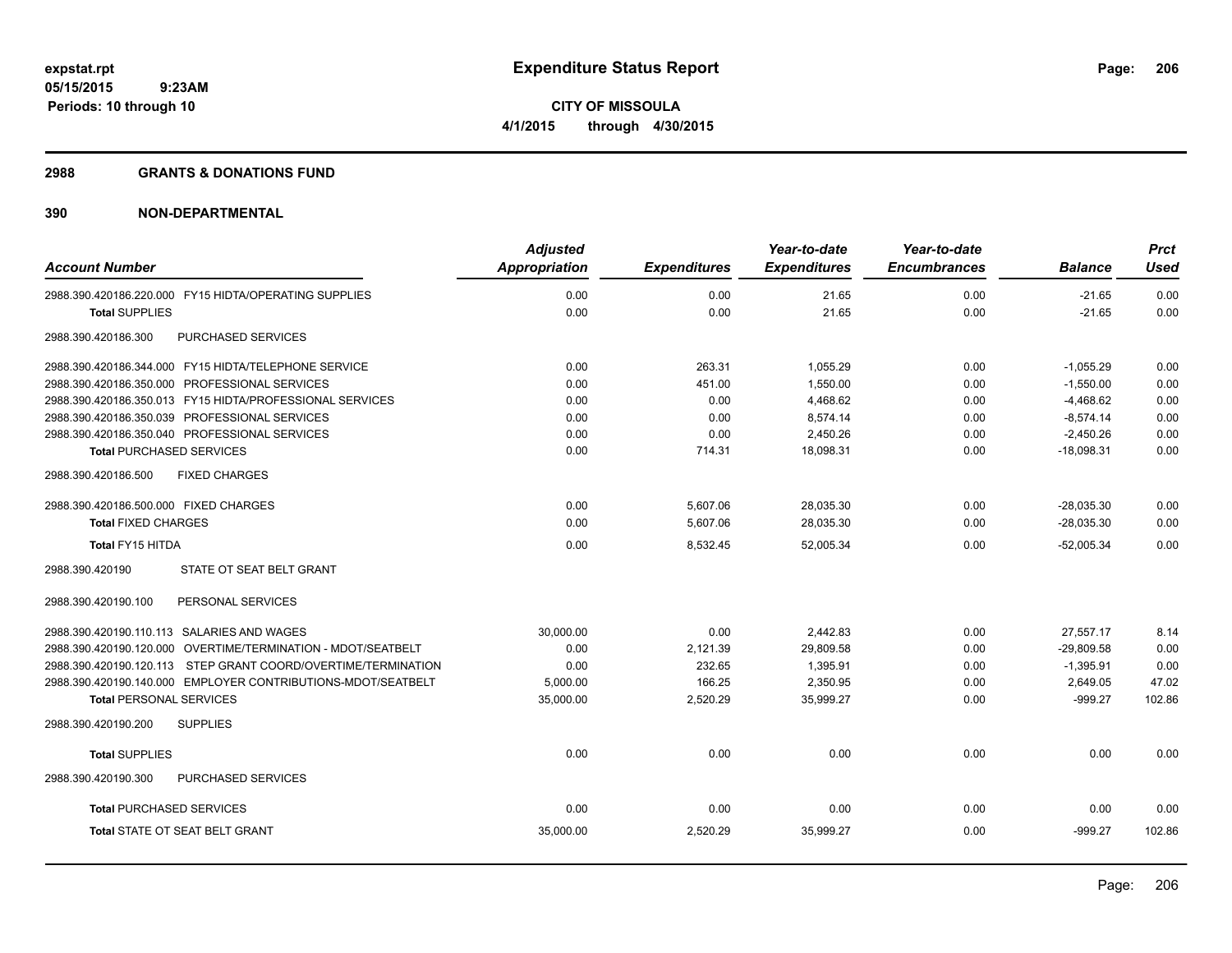#### **2988 GRANTS & DONATIONS FUND**

| <b>Account Number</b>                                         | <b>Adjusted</b><br><b>Appropriation</b> | <b>Expenditures</b> | Year-to-date<br><b>Expenditures</b> | Year-to-date<br><b>Encumbrances</b> | <b>Balance</b> | <b>Prct</b><br><b>Used</b> |
|---------------------------------------------------------------|-----------------------------------------|---------------------|-------------------------------------|-------------------------------------|----------------|----------------------------|
| 2988.390.420186.220.000 FY15 HIDTA/OPERATING SUPPLIES         | 0.00                                    | 0.00                | 21.65                               | 0.00                                | $-21.65$       | 0.00                       |
| <b>Total SUPPLIES</b>                                         | 0.00                                    | 0.00                | 21.65                               | 0.00                                | $-21.65$       | 0.00                       |
| 2988.390.420186.300<br>PURCHASED SERVICES                     |                                         |                     |                                     |                                     |                |                            |
| 2988.390.420186.344.000 FY15 HIDTA/TELEPHONE SERVICE          | 0.00                                    | 263.31              | 1.055.29                            | 0.00                                | $-1.055.29$    | 0.00                       |
| 2988.390.420186.350.000 PROFESSIONAL SERVICES                 | 0.00                                    | 451.00              | 1,550.00                            | 0.00                                | $-1,550.00$    | 0.00                       |
| 2988.390.420186.350.013 FY15 HIDTA/PROFESSIONAL SERVICES      | 0.00                                    | 0.00                | 4,468.62                            | 0.00                                | $-4,468.62$    | 0.00                       |
| 2988.390.420186.350.039 PROFESSIONAL SERVICES                 | 0.00                                    | 0.00                | 8,574.14                            | 0.00                                | $-8,574.14$    | 0.00                       |
| 2988.390.420186.350.040 PROFESSIONAL SERVICES                 | 0.00                                    | 0.00                | 2,450.26                            | 0.00                                | $-2,450.26$    | 0.00                       |
| <b>Total PURCHASED SERVICES</b>                               | 0.00                                    | 714.31              | 18,098.31                           | 0.00                                | $-18,098.31$   | 0.00                       |
| 2988.390.420186.500<br><b>FIXED CHARGES</b>                   |                                         |                     |                                     |                                     |                |                            |
| 2988.390.420186.500.000 FIXED CHARGES                         | 0.00                                    | 5,607.06            | 28,035.30                           | 0.00                                | $-28.035.30$   | 0.00                       |
| <b>Total FIXED CHARGES</b>                                    | 0.00                                    | 5,607.06            | 28,035.30                           | 0.00                                | $-28,035.30$   | 0.00                       |
| <b>Total FY15 HITDA</b>                                       | 0.00                                    | 8,532.45            | 52,005.34                           | 0.00                                | $-52,005.34$   | 0.00                       |
| 2988.390.420190<br>STATE OT SEAT BELT GRANT                   |                                         |                     |                                     |                                     |                |                            |
| 2988.390.420190.100<br>PERSONAL SERVICES                      |                                         |                     |                                     |                                     |                |                            |
| 2988.390.420190.110.113 SALARIES AND WAGES                    | 30,000.00                               | 0.00                | 2,442.83                            | 0.00                                | 27.557.17      | 8.14                       |
| 2988.390.420190.120.000 OVERTIME/TERMINATION - MDOT/SEATBELT  | 0.00                                    | 2,121.39            | 29,809.58                           | 0.00                                | $-29,809.58$   | 0.00                       |
| 2988.390.420190.120.113 STEP GRANT COORD/OVERTIME/TERMINATION | 0.00                                    | 232.65              | 1,395.91                            | 0.00                                | $-1,395.91$    | 0.00                       |
| 2988.390.420190.140.000 EMPLOYER CONTRIBUTIONS-MDOT/SEATBELT  | 5,000.00                                | 166.25              | 2,350.95                            | 0.00                                | 2,649.05       | 47.02                      |
| <b>Total PERSONAL SERVICES</b>                                | 35,000.00                               | 2,520.29            | 35,999.27                           | 0.00                                | $-999.27$      | 102.86                     |
| 2988.390.420190.200<br><b>SUPPLIES</b>                        |                                         |                     |                                     |                                     |                |                            |
| <b>Total SUPPLIES</b>                                         | 0.00                                    | 0.00                | 0.00                                | 0.00                                | 0.00           | 0.00                       |
| PURCHASED SERVICES<br>2988.390.420190.300                     |                                         |                     |                                     |                                     |                |                            |
| <b>Total PURCHASED SERVICES</b>                               | 0.00                                    | 0.00                | 0.00                                | 0.00                                | 0.00           | 0.00                       |
| <b>Total STATE OT SEAT BELT GRANT</b>                         | 35,000.00                               | 2,520.29            | 35,999.27                           | 0.00                                | $-999.27$      | 102.86                     |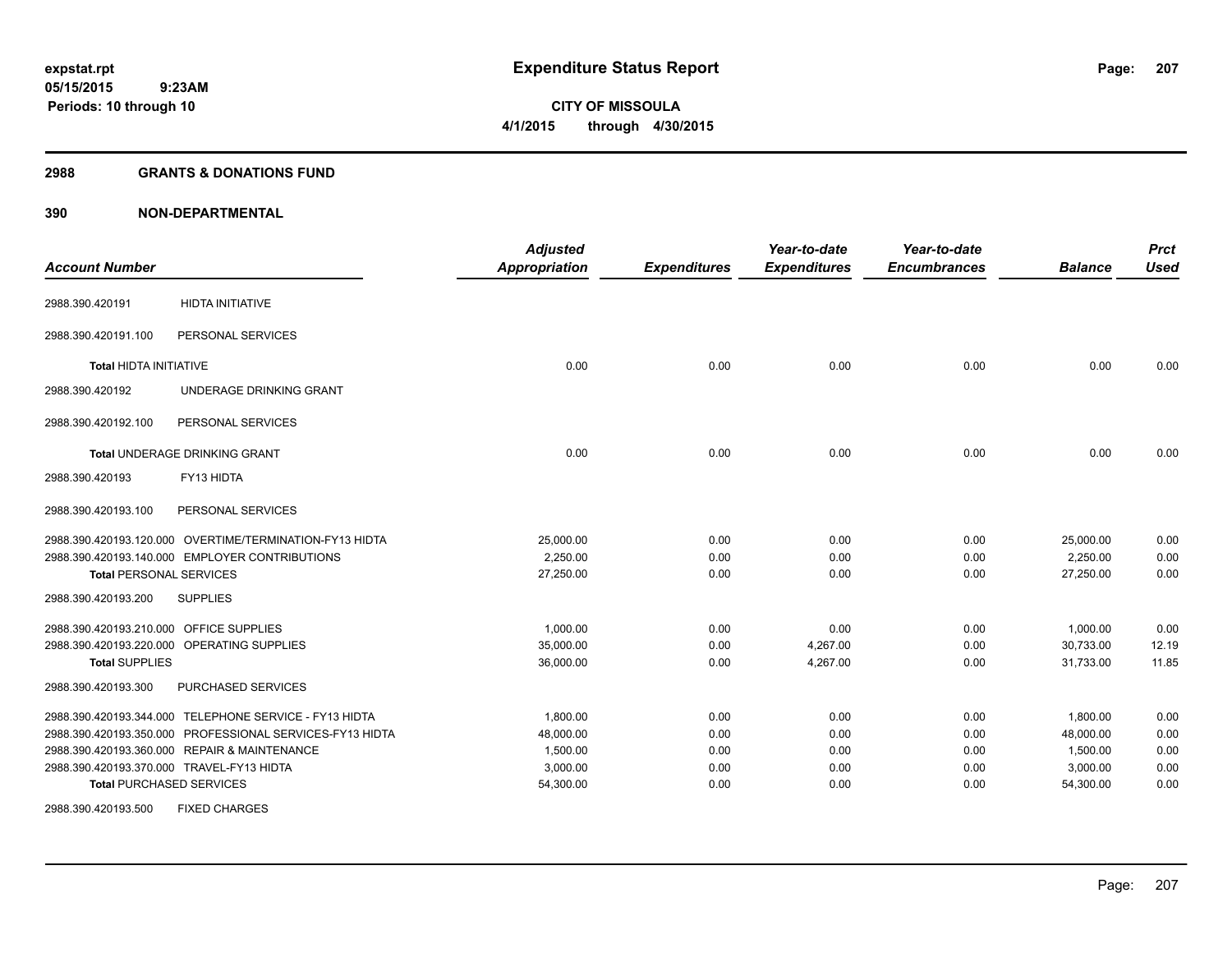#### **2988 GRANTS & DONATIONS FUND**

| <b>Account Number</b>                   |                                                          | <b>Adjusted</b><br><b>Appropriation</b> | <b>Expenditures</b> | Year-to-date<br><b>Expenditures</b> | Year-to-date<br><b>Encumbrances</b> | <b>Balance</b> | <b>Prct</b><br><b>Used</b> |
|-----------------------------------------|----------------------------------------------------------|-----------------------------------------|---------------------|-------------------------------------|-------------------------------------|----------------|----------------------------|
| 2988.390.420191                         | <b>HIDTA INITIATIVE</b>                                  |                                         |                     |                                     |                                     |                |                            |
| 2988.390.420191.100                     | PERSONAL SERVICES                                        |                                         |                     |                                     |                                     |                |                            |
| <b>Total HIDTA INITIATIVE</b>           |                                                          | 0.00                                    | 0.00                | 0.00                                | 0.00                                | 0.00           | 0.00                       |
| 2988.390.420192                         | UNDERAGE DRINKING GRANT                                  |                                         |                     |                                     |                                     |                |                            |
| 2988.390.420192.100                     | PERSONAL SERVICES                                        |                                         |                     |                                     |                                     |                |                            |
|                                         | Total UNDERAGE DRINKING GRANT                            | 0.00                                    | 0.00                | 0.00                                | 0.00                                | 0.00           | 0.00                       |
| 2988.390.420193                         | FY13 HIDTA                                               |                                         |                     |                                     |                                     |                |                            |
| 2988.390.420193.100                     | PERSONAL SERVICES                                        |                                         |                     |                                     |                                     |                |                            |
|                                         | 2988.390.420193.120.000 OVERTIME/TERMINATION-FY13 HIDTA  | 25,000.00                               | 0.00                | 0.00                                | 0.00                                | 25,000.00      | 0.00                       |
|                                         | 2988.390.420193.140.000 EMPLOYER CONTRIBUTIONS           | 2.250.00                                | 0.00                | 0.00                                | 0.00                                | 2,250.00       | 0.00                       |
| <b>Total PERSONAL SERVICES</b>          |                                                          | 27,250.00                               | 0.00                | 0.00                                | 0.00                                | 27,250.00      | 0.00                       |
| 2988.390.420193.200                     | <b>SUPPLIES</b>                                          |                                         |                     |                                     |                                     |                |                            |
| 2988.390.420193.210.000 OFFICE SUPPLIES |                                                          | 1,000.00                                | 0.00                | 0.00                                | 0.00                                | 1,000.00       | 0.00                       |
|                                         | 2988.390.420193.220.000 OPERATING SUPPLIES               | 35,000.00                               | 0.00                | 4,267.00                            | 0.00                                | 30,733.00      | 12.19                      |
| <b>Total SUPPLIES</b>                   |                                                          | 36,000.00                               | 0.00                | 4,267.00                            | 0.00                                | 31,733.00      | 11.85                      |
| 2988.390.420193.300                     | PURCHASED SERVICES                                       |                                         |                     |                                     |                                     |                |                            |
|                                         | 2988.390.420193.344.000 TELEPHONE SERVICE - FY13 HIDTA   | 1,800.00                                | 0.00                | 0.00                                | 0.00                                | 1,800.00       | 0.00                       |
|                                         | 2988.390.420193.350.000 PROFESSIONAL SERVICES-FY13 HIDTA | 48,000.00                               | 0.00                | 0.00                                | 0.00                                | 48,000.00      | 0.00                       |
|                                         | 2988.390.420193.360.000 REPAIR & MAINTENANCE             | 1,500.00                                | 0.00                | 0.00                                | 0.00                                | 1,500.00       | 0.00                       |
|                                         | 2988.390.420193.370.000 TRAVEL-FY13 HIDTA                | 3,000.00                                | 0.00                | 0.00                                | 0.00                                | 3,000.00       | 0.00                       |
|                                         | <b>Total PURCHASED SERVICES</b>                          | 54,300.00                               | 0.00                | 0.00                                | 0.00                                | 54,300.00      | 0.00                       |
| 2988.390.420193.500                     | <b>FIXED CHARGES</b>                                     |                                         |                     |                                     |                                     |                |                            |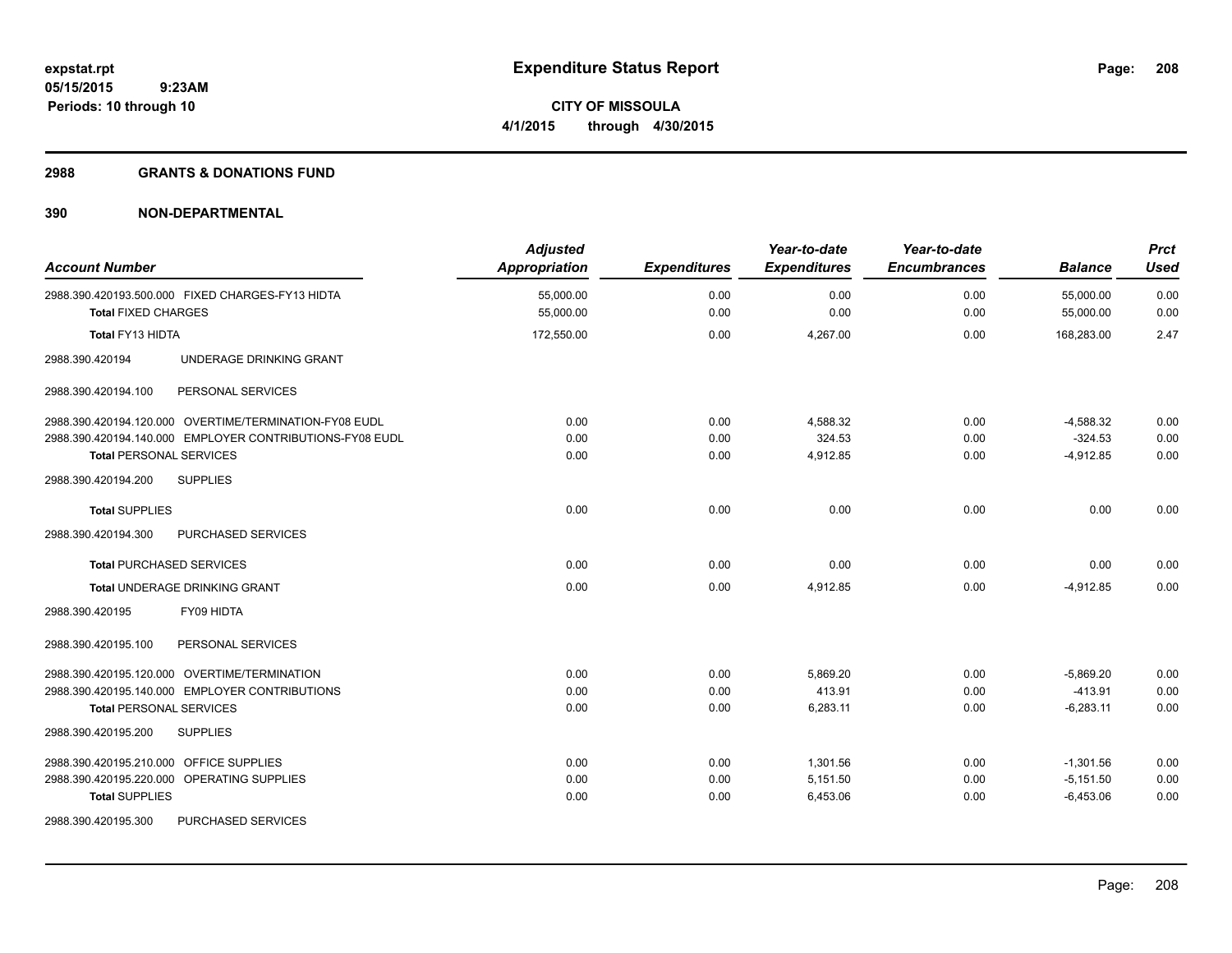#### **2988 GRANTS & DONATIONS FUND**

| <b>Account Number</b>                            |                                                                                                                    | <b>Adjusted</b><br><b>Appropriation</b> | <b>Expenditures</b>  | Year-to-date<br><b>Expenditures</b> | Year-to-date<br><b>Encumbrances</b> | <b>Balance</b>                            | <b>Prct</b><br><b>Used</b> |
|--------------------------------------------------|--------------------------------------------------------------------------------------------------------------------|-----------------------------------------|----------------------|-------------------------------------|-------------------------------------|-------------------------------------------|----------------------------|
| <b>Total FIXED CHARGES</b>                       | 2988.390.420193.500.000 FIXED CHARGES-FY13 HIDTA                                                                   | 55,000.00<br>55,000.00                  | 0.00<br>0.00         | 0.00<br>0.00                        | 0.00<br>0.00                        | 55,000.00<br>55,000.00                    | 0.00<br>0.00               |
| Total FY13 HIDTA                                 |                                                                                                                    | 172,550.00                              | 0.00                 | 4,267.00                            | 0.00                                | 168,283.00                                | 2.47                       |
| 2988.390.420194                                  | UNDERAGE DRINKING GRANT                                                                                            |                                         |                      |                                     |                                     |                                           |                            |
| 2988.390.420194.100                              | PERSONAL SERVICES                                                                                                  |                                         |                      |                                     |                                     |                                           |                            |
| <b>Total PERSONAL SERVICES</b>                   | 2988.390.420194.120.000 OVERTIME/TERMINATION-FY08 EUDL<br>2988.390.420194.140.000 EMPLOYER CONTRIBUTIONS-FY08 EUDL | 0.00<br>0.00<br>0.00                    | 0.00<br>0.00<br>0.00 | 4,588.32<br>324.53<br>4,912.85      | 0.00<br>0.00<br>0.00                | $-4,588.32$<br>$-324.53$<br>$-4,912.85$   | 0.00<br>0.00<br>0.00       |
| 2988.390.420194.200                              | <b>SUPPLIES</b>                                                                                                    |                                         |                      |                                     |                                     |                                           |                            |
| <b>Total SUPPLIES</b>                            |                                                                                                                    | 0.00                                    | 0.00                 | 0.00                                | 0.00                                | 0.00                                      | 0.00                       |
| 2988.390.420194.300                              | PURCHASED SERVICES                                                                                                 |                                         |                      |                                     |                                     |                                           |                            |
| <b>Total PURCHASED SERVICES</b>                  |                                                                                                                    | 0.00                                    | 0.00                 | 0.00                                | 0.00                                | 0.00                                      | 0.00                       |
|                                                  | Total UNDERAGE DRINKING GRANT                                                                                      | 0.00                                    | 0.00                 | 4,912.85                            | 0.00                                | $-4,912.85$                               | 0.00                       |
| 2988.390.420195                                  | FY09 HIDTA                                                                                                         |                                         |                      |                                     |                                     |                                           |                            |
| 2988.390.420195.100                              | PERSONAL SERVICES                                                                                                  |                                         |                      |                                     |                                     |                                           |                            |
| <b>Total PERSONAL SERVICES</b>                   | 2988.390.420195.120.000 OVERTIME/TERMINATION<br>2988.390.420195.140.000 EMPLOYER CONTRIBUTIONS                     | 0.00<br>0.00<br>0.00                    | 0.00<br>0.00<br>0.00 | 5.869.20<br>413.91<br>6,283.11      | 0.00<br>0.00<br>0.00                | $-5.869.20$<br>$-413.91$<br>$-6,283.11$   | 0.00<br>0.00<br>0.00       |
| 2988.390.420195.200                              | <b>SUPPLIES</b>                                                                                                    |                                         |                      |                                     |                                     |                                           |                            |
| 2988.390.420195.210.000<br><b>Total SUPPLIES</b> | OFFICE SUPPLIES<br>2988.390.420195.220.000 OPERATING SUPPLIES                                                      | 0.00<br>0.00<br>0.00                    | 0.00<br>0.00<br>0.00 | 1,301.56<br>5,151.50<br>6,453.06    | 0.00<br>0.00<br>0.00                | $-1,301.56$<br>$-5,151.50$<br>$-6,453.06$ | 0.00<br>0.00<br>0.00       |
| 2988.390.420195.300                              | PURCHASED SERVICES                                                                                                 |                                         |                      |                                     |                                     |                                           |                            |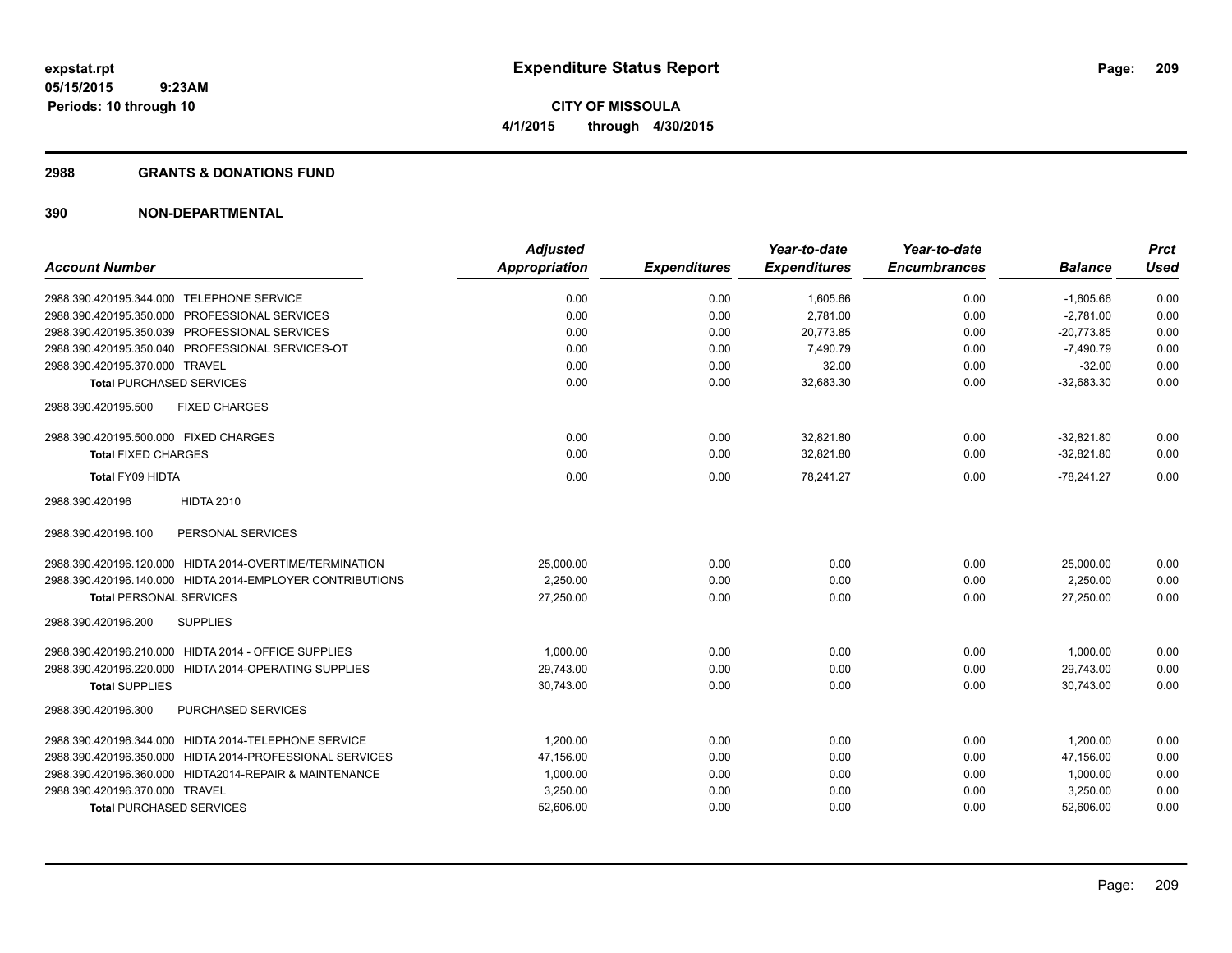#### **2988 GRANTS & DONATIONS FUND**

|                                                           | <b>Adjusted</b>      |                     | Year-to-date        | Year-to-date        |                | <b>Prct</b> |
|-----------------------------------------------------------|----------------------|---------------------|---------------------|---------------------|----------------|-------------|
| <b>Account Number</b>                                     | <b>Appropriation</b> | <b>Expenditures</b> | <b>Expenditures</b> | <b>Encumbrances</b> | <b>Balance</b> | <b>Used</b> |
| 2988.390.420195.344.000 TELEPHONE SERVICE                 | 0.00                 | 0.00                | 1,605.66            | 0.00                | $-1,605.66$    | 0.00        |
| 2988.390.420195.350.000 PROFESSIONAL SERVICES             | 0.00                 | 0.00                | 2,781.00            | 0.00                | $-2.781.00$    | 0.00        |
| 2988.390.420195.350.039 PROFESSIONAL SERVICES             | 0.00                 | 0.00                | 20,773.85           | 0.00                | $-20.773.85$   | 0.00        |
| 2988.390.420195.350.040 PROFESSIONAL SERVICES-OT          | 0.00                 | 0.00                | 7,490.79            | 0.00                | $-7,490.79$    | 0.00        |
| 2988.390.420195.370.000 TRAVEL                            | 0.00                 | 0.00                | 32.00               | 0.00                | $-32.00$       | 0.00        |
| <b>Total PURCHASED SERVICES</b>                           | 0.00                 | 0.00                | 32,683.30           | 0.00                | $-32,683.30$   | 0.00        |
| <b>FIXED CHARGES</b><br>2988.390.420195.500               |                      |                     |                     |                     |                |             |
| 2988.390.420195.500.000 FIXED CHARGES                     | 0.00                 | 0.00                | 32,821.80           | 0.00                | $-32,821.80$   | 0.00        |
| <b>Total FIXED CHARGES</b>                                | 0.00                 | 0.00                | 32,821.80           | 0.00                | $-32.821.80$   | 0.00        |
| Total FY09 HIDTA                                          | 0.00                 | 0.00                | 78,241.27           | 0.00                | $-78,241.27$   | 0.00        |
| <b>HIDTA 2010</b><br>2988.390.420196                      |                      |                     |                     |                     |                |             |
| PERSONAL SERVICES<br>2988.390.420196.100                  |                      |                     |                     |                     |                |             |
| 2988.390.420196.120.000 HIDTA 2014-OVERTIME/TERMINATION   | 25,000.00            | 0.00                | 0.00                | 0.00                | 25,000.00      | 0.00        |
| 2988.390.420196.140.000 HIDTA 2014-EMPLOYER CONTRIBUTIONS | 2,250.00             | 0.00                | 0.00                | 0.00                | 2,250.00       | 0.00        |
| <b>Total PERSONAL SERVICES</b>                            | 27,250.00            | 0.00                | 0.00                | 0.00                | 27,250.00      | 0.00        |
| <b>SUPPLIES</b><br>2988.390.420196.200                    |                      |                     |                     |                     |                |             |
| 2988.390.420196.210.000 HIDTA 2014 - OFFICE SUPPLIES      | 1,000.00             | 0.00                | 0.00                | 0.00                | 1,000.00       | 0.00        |
| 2988.390.420196.220.000 HIDTA 2014-OPERATING SUPPLIES     | 29,743.00            | 0.00                | 0.00                | 0.00                | 29,743.00      | 0.00        |
| <b>Total SUPPLIES</b>                                     | 30,743.00            | 0.00                | 0.00                | 0.00                | 30.743.00      | 0.00        |
| <b>PURCHASED SERVICES</b><br>2988.390.420196.300          |                      |                     |                     |                     |                |             |
| 2988.390.420196.344.000 HIDTA 2014-TELEPHONE SERVICE      | 1.200.00             | 0.00                | 0.00                | 0.00                | 1,200.00       | 0.00        |
| 2988.390.420196.350.000 HIDTA 2014-PROFESSIONAL SERVICES  | 47,156.00            | 0.00                | 0.00                | 0.00                | 47,156.00      | 0.00        |
| 2988.390.420196.360.000 HIDTA2014-REPAIR & MAINTENANCE    | 1,000.00             | 0.00                | 0.00                | 0.00                | 1,000.00       | 0.00        |
| 2988.390.420196.370.000 TRAVEL                            | 3,250.00             | 0.00                | 0.00                | 0.00                | 3,250.00       | 0.00        |
| <b>Total PURCHASED SERVICES</b>                           | 52,606.00            | 0.00                | 0.00                | 0.00                | 52,606.00      | 0.00        |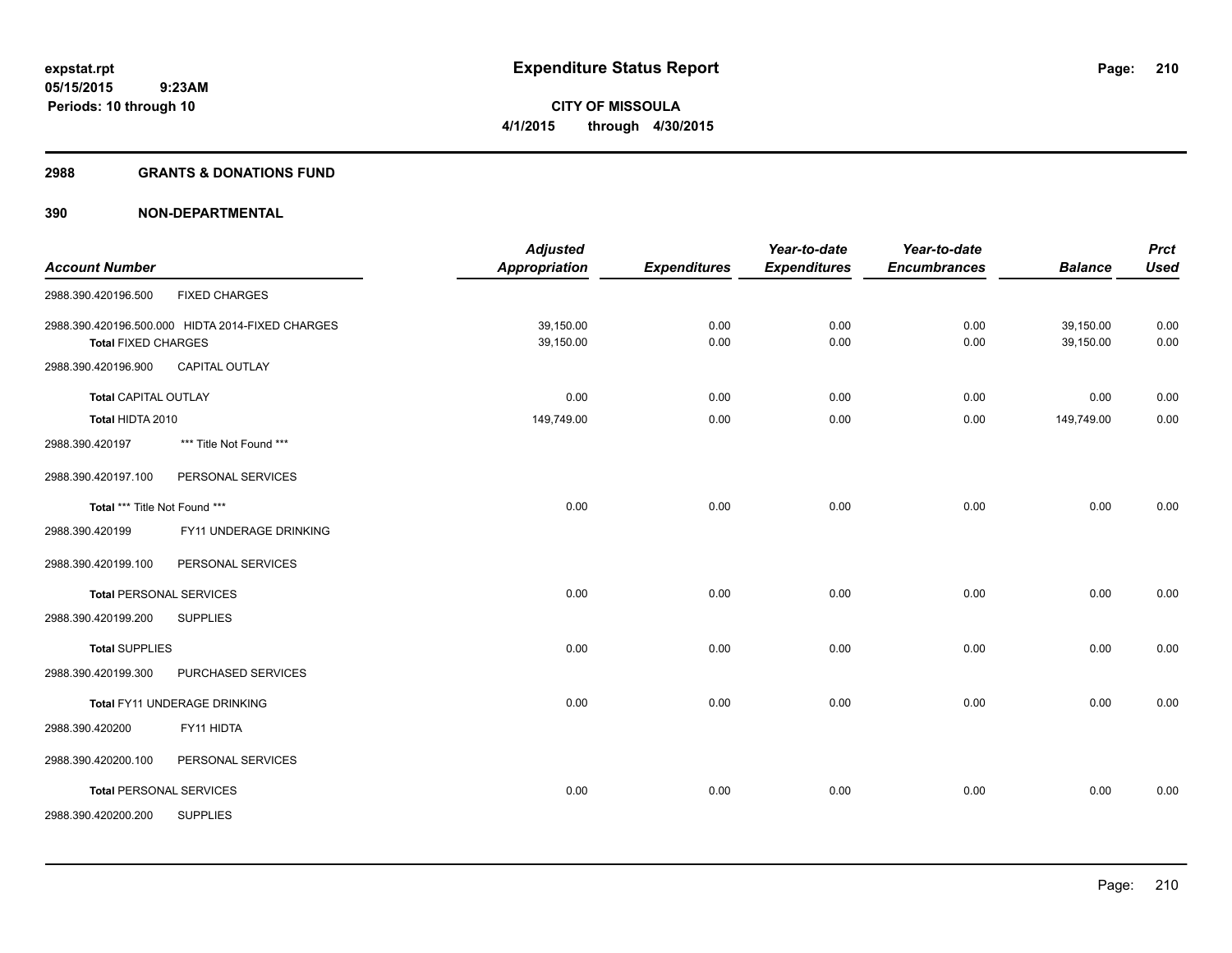#### **2988 GRANTS & DONATIONS FUND**

|                                |                                                  | <b>Adjusted</b>      |                     | Year-to-date        | Year-to-date        |                | <b>Prct</b> |
|--------------------------------|--------------------------------------------------|----------------------|---------------------|---------------------|---------------------|----------------|-------------|
| <b>Account Number</b>          |                                                  | <b>Appropriation</b> | <b>Expenditures</b> | <b>Expenditures</b> | <b>Encumbrances</b> | <b>Balance</b> | <b>Used</b> |
| 2988.390.420196.500            | <b>FIXED CHARGES</b>                             |                      |                     |                     |                     |                |             |
|                                | 2988.390.420196.500.000 HIDTA 2014-FIXED CHARGES | 39,150.00            | 0.00                | 0.00                | 0.00                | 39,150.00      | 0.00        |
| <b>Total FIXED CHARGES</b>     |                                                  | 39,150.00            | 0.00                | 0.00                | 0.00                | 39,150.00      | 0.00        |
| 2988.390.420196.900            | <b>CAPITAL OUTLAY</b>                            |                      |                     |                     |                     |                |             |
| <b>Total CAPITAL OUTLAY</b>    |                                                  | 0.00                 | 0.00                | 0.00                | 0.00                | 0.00           | 0.00        |
| Total HIDTA 2010               |                                                  | 149,749.00           | 0.00                | 0.00                | 0.00                | 149,749.00     | 0.00        |
| 2988.390.420197                | *** Title Not Found ***                          |                      |                     |                     |                     |                |             |
| 2988.390.420197.100            | PERSONAL SERVICES                                |                      |                     |                     |                     |                |             |
| Total *** Title Not Found ***  |                                                  | 0.00                 | 0.00                | 0.00                | 0.00                | 0.00           | 0.00        |
| 2988.390.420199                | FY11 UNDERAGE DRINKING                           |                      |                     |                     |                     |                |             |
| 2988.390.420199.100            | PERSONAL SERVICES                                |                      |                     |                     |                     |                |             |
| <b>Total PERSONAL SERVICES</b> |                                                  | 0.00                 | 0.00                | 0.00                | 0.00                | 0.00           | 0.00        |
| 2988.390.420199.200            | <b>SUPPLIES</b>                                  |                      |                     |                     |                     |                |             |
| <b>Total SUPPLIES</b>          |                                                  | 0.00                 | 0.00                | 0.00                | 0.00                | 0.00           | 0.00        |
| 2988.390.420199.300            | PURCHASED SERVICES                               |                      |                     |                     |                     |                |             |
|                                | Total FY11 UNDERAGE DRINKING                     | 0.00                 | 0.00                | 0.00                | 0.00                | 0.00           | 0.00        |
| 2988.390.420200                | FY11 HIDTA                                       |                      |                     |                     |                     |                |             |
| 2988.390.420200.100            | PERSONAL SERVICES                                |                      |                     |                     |                     |                |             |
| <b>Total PERSONAL SERVICES</b> |                                                  | 0.00                 | 0.00                | 0.00                | 0.00                | 0.00           | 0.00        |
| 2988.390.420200.200            | <b>SUPPLIES</b>                                  |                      |                     |                     |                     |                |             |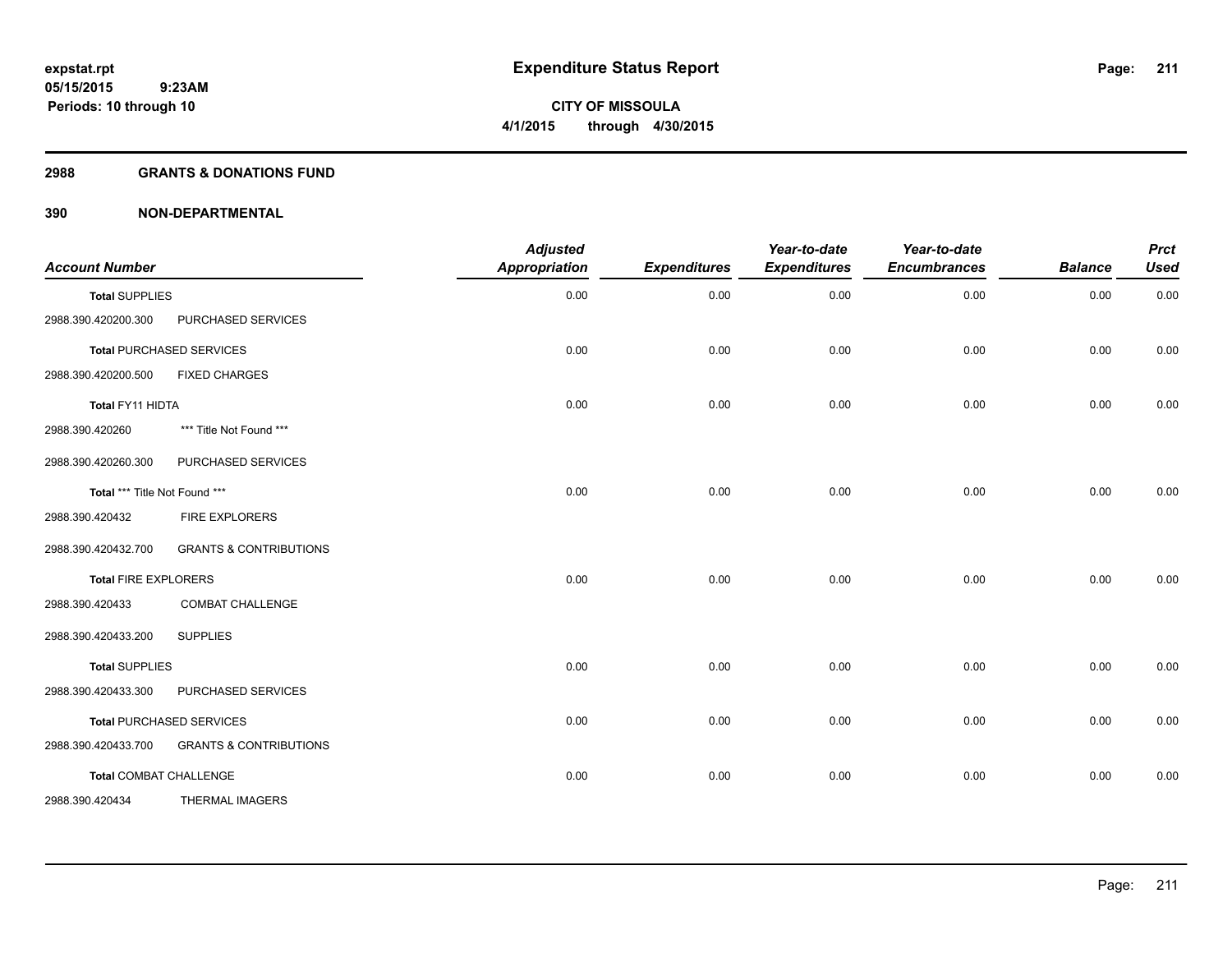#### **2988 GRANTS & DONATIONS FUND**

| <b>Account Number</b>         |                                   | <b>Adjusted</b><br>Appropriation | <b>Expenditures</b> | Year-to-date<br><b>Expenditures</b> | Year-to-date<br><b>Encumbrances</b> | <b>Balance</b> | <b>Prct</b><br><b>Used</b> |
|-------------------------------|-----------------------------------|----------------------------------|---------------------|-------------------------------------|-------------------------------------|----------------|----------------------------|
| <b>Total SUPPLIES</b>         |                                   | 0.00                             | 0.00                | 0.00                                | 0.00                                | 0.00           | 0.00                       |
| 2988.390.420200.300           | PURCHASED SERVICES                |                                  |                     |                                     |                                     |                |                            |
|                               | <b>Total PURCHASED SERVICES</b>   | 0.00                             | 0.00                | 0.00                                | 0.00                                | 0.00           | 0.00                       |
| 2988.390.420200.500           | <b>FIXED CHARGES</b>              |                                  |                     |                                     |                                     |                |                            |
| Total FY11 HIDTA              |                                   | 0.00                             | 0.00                | 0.00                                | 0.00                                | 0.00           | 0.00                       |
| 2988.390.420260               | *** Title Not Found ***           |                                  |                     |                                     |                                     |                |                            |
| 2988.390.420260.300           | PURCHASED SERVICES                |                                  |                     |                                     |                                     |                |                            |
| Total *** Title Not Found *** |                                   | 0.00                             | 0.00                | 0.00                                | 0.00                                | 0.00           | 0.00                       |
| 2988.390.420432               | <b>FIRE EXPLORERS</b>             |                                  |                     |                                     |                                     |                |                            |
| 2988.390.420432.700           | <b>GRANTS &amp; CONTRIBUTIONS</b> |                                  |                     |                                     |                                     |                |                            |
| <b>Total FIRE EXPLORERS</b>   |                                   | 0.00                             | 0.00                | 0.00                                | 0.00                                | 0.00           | 0.00                       |
| 2988.390.420433               | <b>COMBAT CHALLENGE</b>           |                                  |                     |                                     |                                     |                |                            |
| 2988.390.420433.200           | <b>SUPPLIES</b>                   |                                  |                     |                                     |                                     |                |                            |
| <b>Total SUPPLIES</b>         |                                   | 0.00                             | 0.00                | 0.00                                | 0.00                                | 0.00           | 0.00                       |
| 2988.390.420433.300           | PURCHASED SERVICES                |                                  |                     |                                     |                                     |                |                            |
|                               | <b>Total PURCHASED SERVICES</b>   | 0.00                             | 0.00                | 0.00                                | 0.00                                | 0.00           | 0.00                       |
| 2988.390.420433.700           | <b>GRANTS &amp; CONTRIBUTIONS</b> |                                  |                     |                                     |                                     |                |                            |
| <b>Total COMBAT CHALLENGE</b> |                                   | 0.00                             | 0.00                | 0.00                                | 0.00                                | 0.00           | 0.00                       |
| 2988.390.420434               | <b>THERMAL IMAGERS</b>            |                                  |                     |                                     |                                     |                |                            |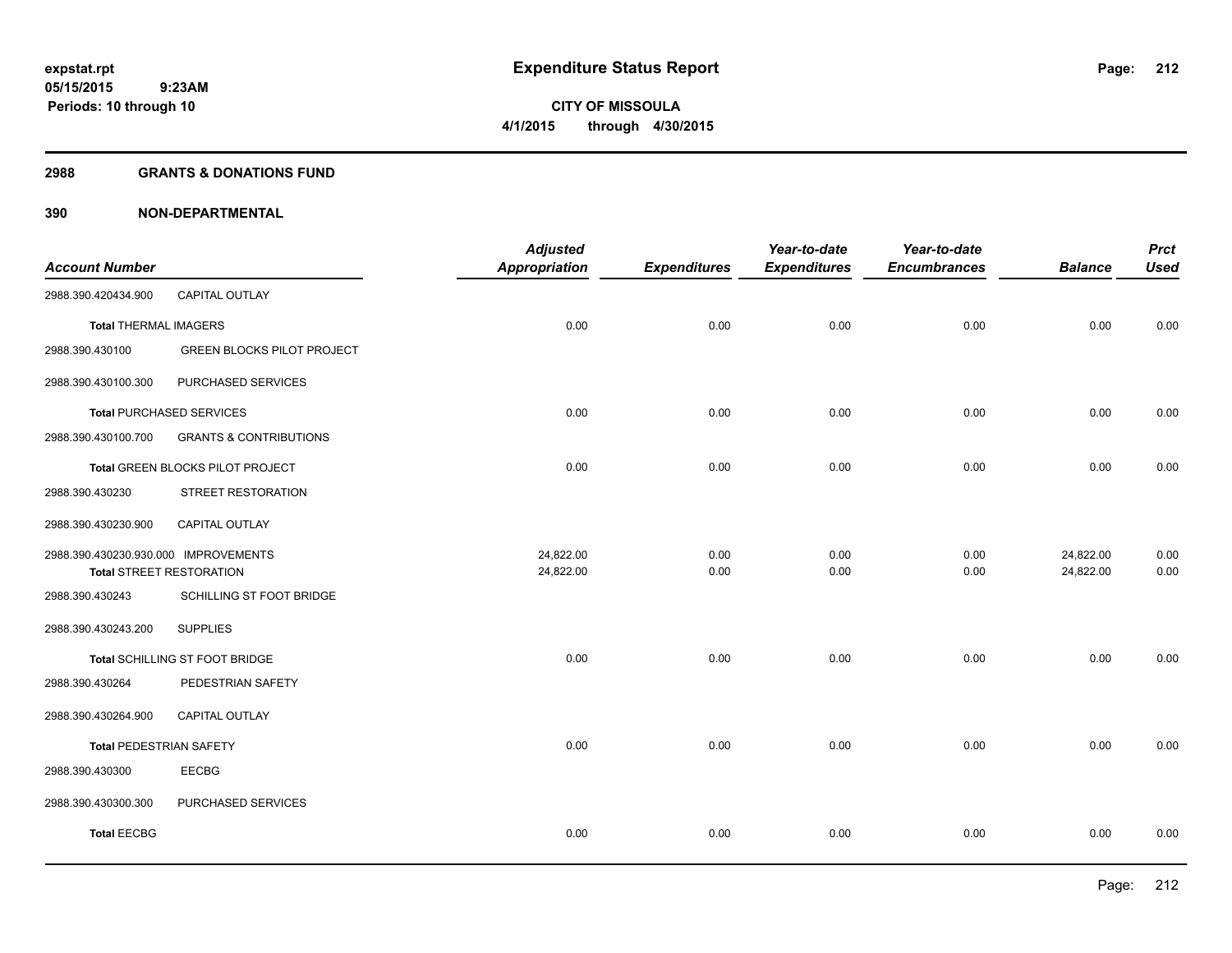#### **2988 GRANTS & DONATIONS FUND**

| <b>Account Number</b>                |                                   | <b>Adjusted</b><br>Appropriation | <b>Expenditures</b> | Year-to-date<br><b>Expenditures</b> | Year-to-date<br><b>Encumbrances</b> | <b>Balance</b> | <b>Prct</b><br><b>Used</b> |
|--------------------------------------|-----------------------------------|----------------------------------|---------------------|-------------------------------------|-------------------------------------|----------------|----------------------------|
| 2988.390.420434.900                  | CAPITAL OUTLAY                    |                                  |                     |                                     |                                     |                |                            |
| <b>Total THERMAL IMAGERS</b>         |                                   | 0.00                             | 0.00                | 0.00                                | 0.00                                | 0.00           | 0.00                       |
| 2988.390.430100                      | <b>GREEN BLOCKS PILOT PROJECT</b> |                                  |                     |                                     |                                     |                |                            |
| 2988.390.430100.300                  | PURCHASED SERVICES                |                                  |                     |                                     |                                     |                |                            |
|                                      | <b>Total PURCHASED SERVICES</b>   | 0.00                             | 0.00                | 0.00                                | 0.00                                | 0.00           | 0.00                       |
| 2988.390.430100.700                  | <b>GRANTS &amp; CONTRIBUTIONS</b> |                                  |                     |                                     |                                     |                |                            |
|                                      | Total GREEN BLOCKS PILOT PROJECT  | 0.00                             | 0.00                | 0.00                                | 0.00                                | 0.00           | 0.00                       |
| 2988.390.430230                      | STREET RESTORATION                |                                  |                     |                                     |                                     |                |                            |
| 2988.390.430230.900                  | CAPITAL OUTLAY                    |                                  |                     |                                     |                                     |                |                            |
| 2988.390.430230.930.000 IMPROVEMENTS |                                   | 24,822.00                        | 0.00                | 0.00                                | 0.00                                | 24,822.00      | 0.00                       |
| <b>Total STREET RESTORATION</b>      |                                   | 24,822.00                        | 0.00                | 0.00                                | 0.00                                | 24,822.00      | 0.00                       |
| 2988.390.430243                      | SCHILLING ST FOOT BRIDGE          |                                  |                     |                                     |                                     |                |                            |
| 2988.390.430243.200                  | <b>SUPPLIES</b>                   |                                  |                     |                                     |                                     |                |                            |
|                                      | Total SCHILLING ST FOOT BRIDGE    | 0.00                             | 0.00                | 0.00                                | 0.00                                | 0.00           | 0.00                       |
| 2988.390.430264                      | PEDESTRIAN SAFETY                 |                                  |                     |                                     |                                     |                |                            |
| 2988.390.430264.900                  | CAPITAL OUTLAY                    |                                  |                     |                                     |                                     |                |                            |
| <b>Total PEDESTRIAN SAFETY</b>       |                                   | 0.00                             | 0.00                | 0.00                                | 0.00                                | 0.00           | 0.00                       |
| 2988.390.430300                      | <b>EECBG</b>                      |                                  |                     |                                     |                                     |                |                            |
| 2988.390.430300.300                  | PURCHASED SERVICES                |                                  |                     |                                     |                                     |                |                            |
| <b>Total EECBG</b>                   |                                   | 0.00                             | 0.00                | 0.00                                | 0.00                                | 0.00           | 0.00                       |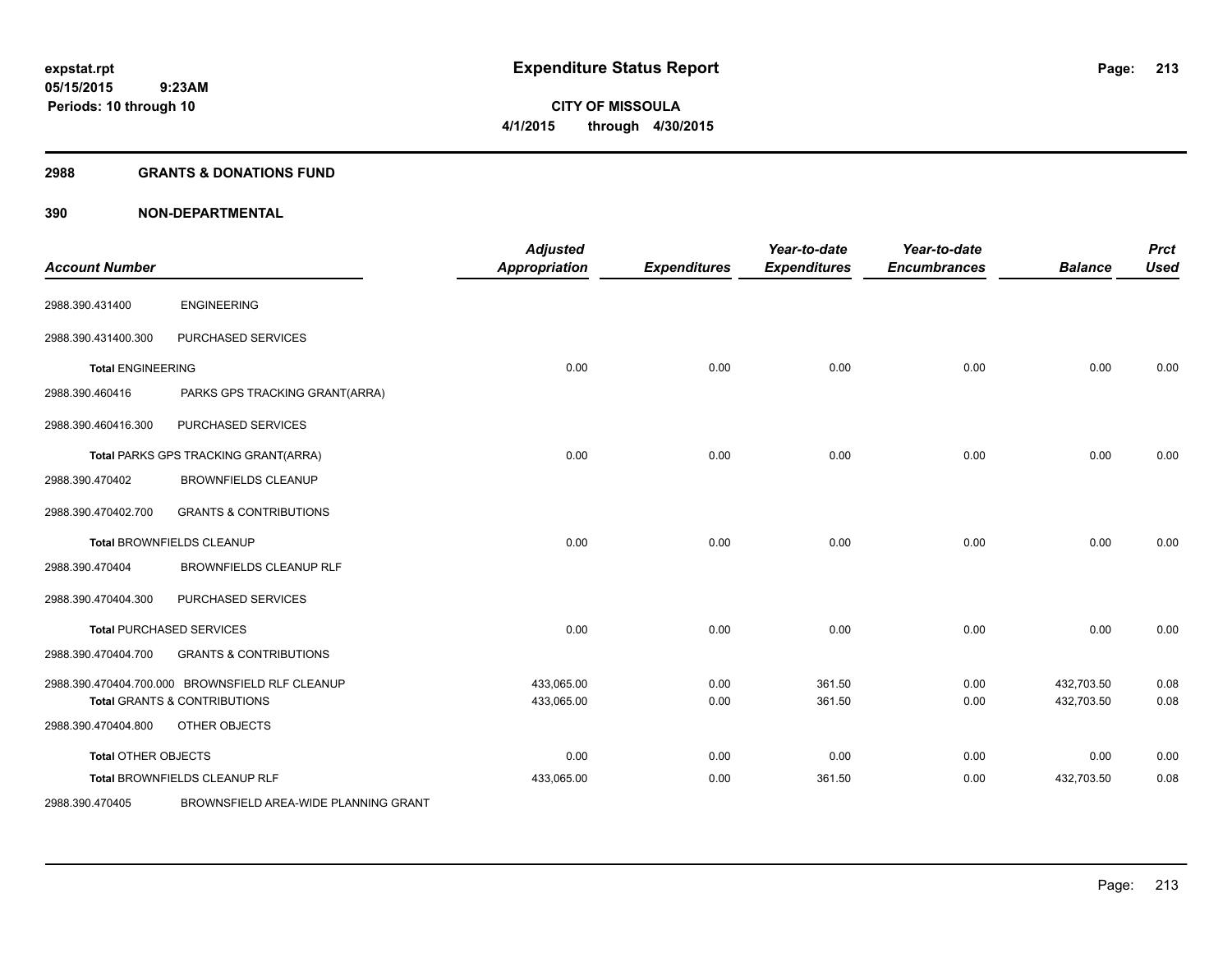#### **2988 GRANTS & DONATIONS FUND**

| <b>Account Number</b>      |                                                 | <b>Adjusted</b><br><b>Appropriation</b> | <b>Expenditures</b> | Year-to-date<br><b>Expenditures</b> | Year-to-date<br><b>Encumbrances</b> | <b>Balance</b> | <b>Prct</b><br><b>Used</b> |
|----------------------------|-------------------------------------------------|-----------------------------------------|---------------------|-------------------------------------|-------------------------------------|----------------|----------------------------|
| 2988.390.431400            | <b>ENGINEERING</b>                              |                                         |                     |                                     |                                     |                |                            |
| 2988.390.431400.300        | PURCHASED SERVICES                              |                                         |                     |                                     |                                     |                |                            |
| <b>Total ENGINEERING</b>   |                                                 | 0.00                                    | 0.00                | 0.00                                | 0.00                                | 0.00           | 0.00                       |
| 2988.390.460416            | PARKS GPS TRACKING GRANT(ARRA)                  |                                         |                     |                                     |                                     |                |                            |
| 2988.390.460416.300        | PURCHASED SERVICES                              |                                         |                     |                                     |                                     |                |                            |
|                            | Total PARKS GPS TRACKING GRANT(ARRA)            | 0.00                                    | 0.00                | 0.00                                | 0.00                                | 0.00           | 0.00                       |
| 2988.390.470402            | <b>BROWNFIELDS CLEANUP</b>                      |                                         |                     |                                     |                                     |                |                            |
| 2988.390.470402.700        | <b>GRANTS &amp; CONTRIBUTIONS</b>               |                                         |                     |                                     |                                     |                |                            |
|                            | Total BROWNFIELDS CLEANUP                       | 0.00                                    | 0.00                | 0.00                                | 0.00                                | 0.00           | 0.00                       |
| 2988.390.470404            | BROWNFIELDS CLEANUP RLF                         |                                         |                     |                                     |                                     |                |                            |
| 2988.390.470404.300        | PURCHASED SERVICES                              |                                         |                     |                                     |                                     |                |                            |
|                            | <b>Total PURCHASED SERVICES</b>                 | 0.00                                    | 0.00                | 0.00                                | 0.00                                | 0.00           | 0.00                       |
| 2988.390.470404.700        | <b>GRANTS &amp; CONTRIBUTIONS</b>               |                                         |                     |                                     |                                     |                |                            |
|                            | 2988.390.470404.700.000 BROWNSFIELD RLF CLEANUP | 433,065.00                              | 0.00                | 361.50                              | 0.00                                | 432,703.50     | 0.08                       |
|                            | <b>Total GRANTS &amp; CONTRIBUTIONS</b>         | 433,065.00                              | 0.00                | 361.50                              | 0.00                                | 432,703.50     | 0.08                       |
| 2988.390.470404.800        | OTHER OBJECTS                                   |                                         |                     |                                     |                                     |                |                            |
| <b>Total OTHER OBJECTS</b> |                                                 | 0.00                                    | 0.00                | 0.00                                | 0.00                                | 0.00           | 0.00                       |
|                            | Total BROWNFIELDS CLEANUP RLF                   | 433,065.00                              | 0.00                | 361.50                              | 0.00                                | 432,703.50     | 0.08                       |
| 2988.390.470405            | BROWNSFIELD AREA-WIDE PLANNING GRANT            |                                         |                     |                                     |                                     |                |                            |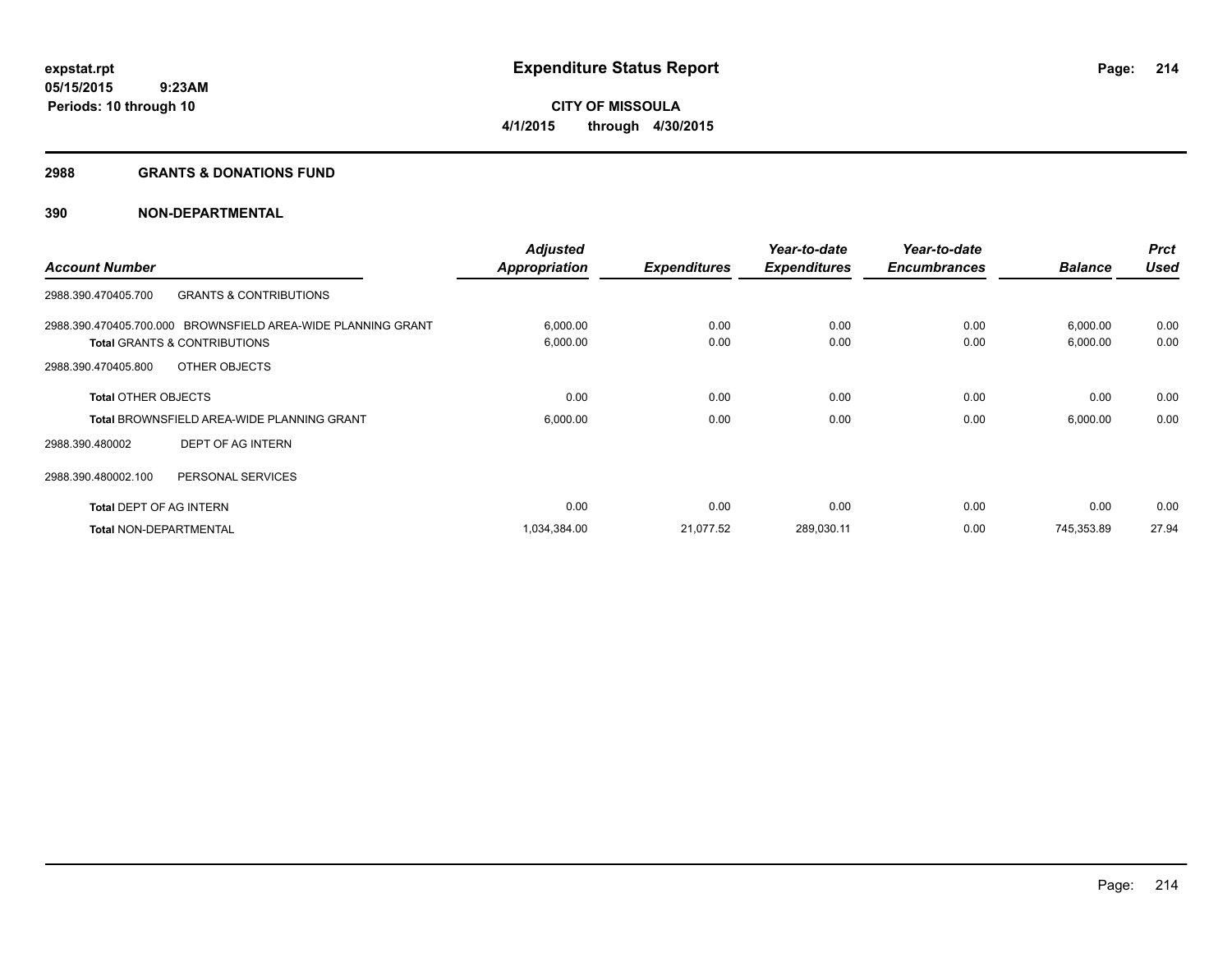#### **2988 GRANTS & DONATIONS FUND**

|                                         |                                                              | <b>Adjusted</b>      |                     | Year-to-date        | Year-to-date        |                | <b>Prct</b> |
|-----------------------------------------|--------------------------------------------------------------|----------------------|---------------------|---------------------|---------------------|----------------|-------------|
| <b>Account Number</b>                   |                                                              | <b>Appropriation</b> | <b>Expenditures</b> | <b>Expenditures</b> | <b>Encumbrances</b> | <b>Balance</b> | <b>Used</b> |
| 2988.390.470405.700                     | <b>GRANTS &amp; CONTRIBUTIONS</b>                            |                      |                     |                     |                     |                |             |
|                                         | 2988.390.470405.700.000 BROWNSFIELD AREA-WIDE PLANNING GRANT | 6,000.00             | 0.00                | 0.00                | 0.00                | 6,000.00       | 0.00        |
| <b>Total GRANTS &amp; CONTRIBUTIONS</b> |                                                              | 6,000.00             | 0.00                | 0.00                | 0.00                | 6,000.00       | 0.00        |
| 2988.390.470405.800                     | OTHER OBJECTS                                                |                      |                     |                     |                     |                |             |
| <b>Total OTHER OBJECTS</b>              |                                                              | 0.00                 | 0.00                | 0.00                | 0.00                | 0.00           | 0.00        |
|                                         | <b>Total BROWNSFIELD AREA-WIDE PLANNING GRANT</b>            | 6,000.00             | 0.00                | 0.00                | 0.00                | 6,000.00       | 0.00        |
| 2988.390.480002                         | DEPT OF AG INTERN                                            |                      |                     |                     |                     |                |             |
| 2988.390.480002.100                     | PERSONAL SERVICES                                            |                      |                     |                     |                     |                |             |
| <b>Total DEPT OF AG INTERN</b>          |                                                              | 0.00                 | 0.00                | 0.00                | 0.00                | 0.00           | 0.00        |
| <b>Total NON-DEPARTMENTAL</b>           |                                                              | 1,034,384.00         | 21,077.52           | 289,030.11          | 0.00                | 745,353.89     | 27.94       |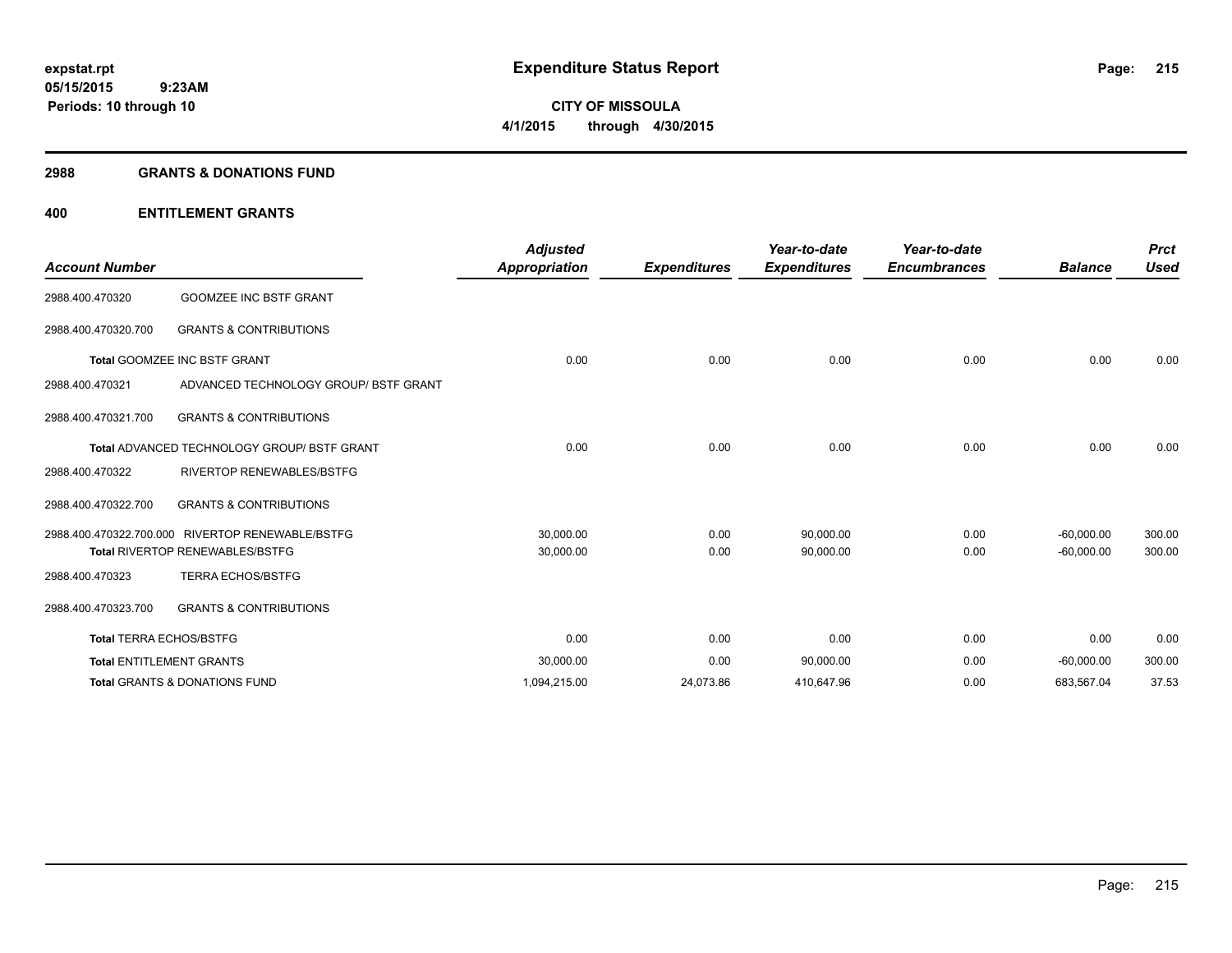#### **2988 GRANTS & DONATIONS FUND**

| <b>Account Number</b>          |                                                    | <b>Adjusted</b><br><b>Appropriation</b> | <b>Expenditures</b> | Year-to-date<br><b>Expenditures</b> | Year-to-date<br><b>Encumbrances</b> | <b>Balance</b> | <b>Prct</b><br><b>Used</b> |
|--------------------------------|----------------------------------------------------|-----------------------------------------|---------------------|-------------------------------------|-------------------------------------|----------------|----------------------------|
| 2988.400.470320                | <b>GOOMZEE INC BSTF GRANT</b>                      |                                         |                     |                                     |                                     |                |                            |
| 2988.400.470320.700            | <b>GRANTS &amp; CONTRIBUTIONS</b>                  |                                         |                     |                                     |                                     |                |                            |
|                                | <b>Total GOOMZEE INC BSTF GRANT</b>                | 0.00                                    | 0.00                | 0.00                                | 0.00                                | 0.00           | 0.00                       |
| 2988.400.470321                | ADVANCED TECHNOLOGY GROUP/ BSTF GRANT              |                                         |                     |                                     |                                     |                |                            |
| 2988.400.470321.700            | <b>GRANTS &amp; CONTRIBUTIONS</b>                  |                                         |                     |                                     |                                     |                |                            |
|                                | <b>Total ADVANCED TECHNOLOGY GROUP/ BSTF GRANT</b> | 0.00                                    | 0.00                | 0.00                                | 0.00                                | 0.00           | 0.00                       |
| 2988.400.470322                | <b>RIVERTOP RENEWABLES/BSTFG</b>                   |                                         |                     |                                     |                                     |                |                            |
| 2988.400.470322.700            | <b>GRANTS &amp; CONTRIBUTIONS</b>                  |                                         |                     |                                     |                                     |                |                            |
|                                | 2988.400.470322.700.000 RIVERTOP RENEWABLE/BSTFG   | 30,000.00                               | 0.00                | 90,000.00                           | 0.00                                | $-60,000.00$   | 300.00                     |
|                                | <b>Total RIVERTOP RENEWABLES/BSTFG</b>             | 30,000.00                               | 0.00                | 90,000.00                           | 0.00                                | $-60,000.00$   | 300.00                     |
| 2988.400.470323                | <b>TERRA ECHOS/BSTFG</b>                           |                                         |                     |                                     |                                     |                |                            |
| 2988.400.470323.700            | <b>GRANTS &amp; CONTRIBUTIONS</b>                  |                                         |                     |                                     |                                     |                |                            |
| <b>Total TERRA ECHOS/BSTFG</b> |                                                    | 0.00                                    | 0.00                | 0.00                                | 0.00                                | 0.00           | 0.00                       |
|                                | <b>Total ENTITLEMENT GRANTS</b>                    | 30,000.00                               | 0.00                | 90,000.00                           | 0.00                                | $-60,000.00$   | 300.00                     |
|                                | <b>Total GRANTS &amp; DONATIONS FUND</b>           | 1,094,215.00                            | 24,073.86           | 410,647.96                          | 0.00                                | 683,567.04     | 37.53                      |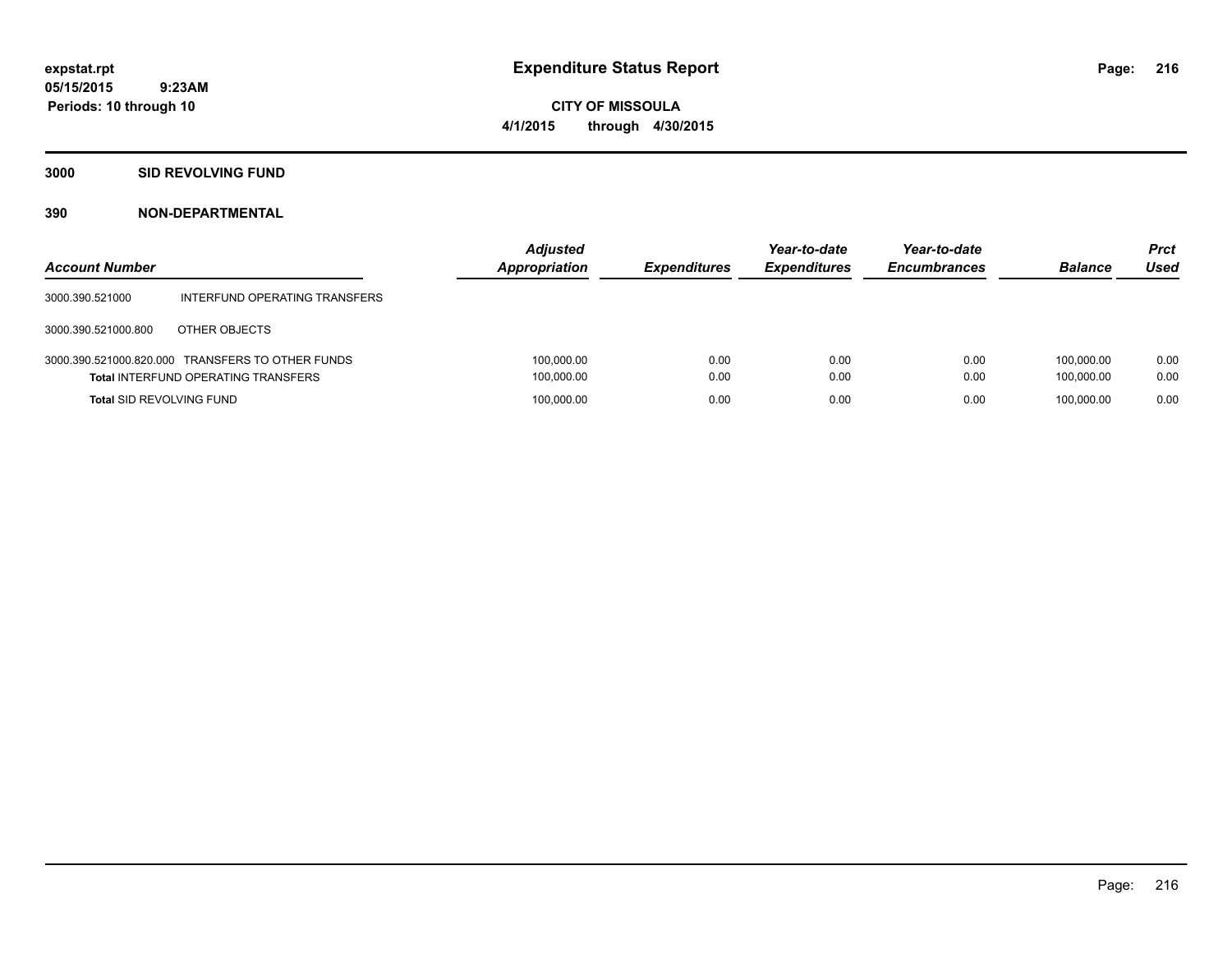**CITY OF MISSOULA 4/1/2015 through 4/30/2015**

**3000 SID REVOLVING FUND**

| <b>Account Number</b>           |                                                                                                | <b>Adjusted</b><br><b>Appropriation</b> | <b>Expenditures</b> | Year-to-date<br><b>Expenditures</b> | Year-to-date<br><b>Encumbrances</b> | <b>Balance</b>           | <b>Prct</b><br>Used |
|---------------------------------|------------------------------------------------------------------------------------------------|-----------------------------------------|---------------------|-------------------------------------|-------------------------------------|--------------------------|---------------------|
| 3000.390.521000                 | INTERFUND OPERATING TRANSFERS                                                                  |                                         |                     |                                     |                                     |                          |                     |
| 3000.390.521000.800             | OTHER OBJECTS                                                                                  |                                         |                     |                                     |                                     |                          |                     |
|                                 | 3000.390.521000.820.000 TRANSFERS TO OTHER FUNDS<br><b>Total INTERFUND OPERATING TRANSFERS</b> | 100,000.00<br>100,000.00                | 0.00<br>0.00        | 0.00<br>0.00                        | 0.00<br>0.00                        | 100.000.00<br>100.000.00 | 0.00<br>0.00        |
| <b>Total SID REVOLVING FUND</b> |                                                                                                | 100,000.00                              | 0.00                | 0.00                                | 0.00                                | 100.000.00               | 0.00                |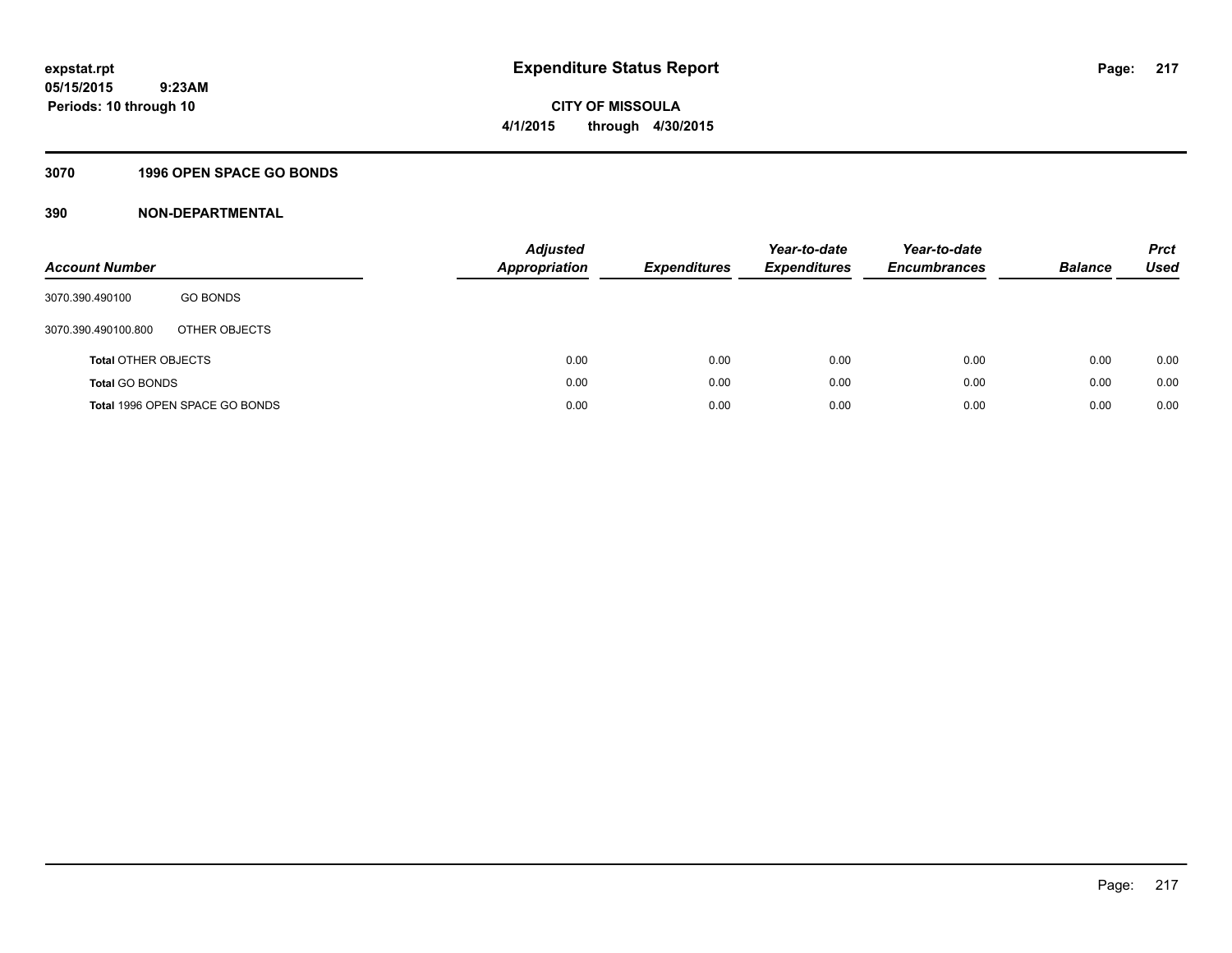### **3070 1996 OPEN SPACE GO BONDS**

| <b>Account Number</b>      |                                | Adjusted<br><b>Appropriation</b> | <b>Expenditures</b> | Year-to-date<br><b>Expenditures</b> | Year-to-date<br><b>Encumbrances</b> | <b>Balance</b> | <b>Prct</b><br>Used |
|----------------------------|--------------------------------|----------------------------------|---------------------|-------------------------------------|-------------------------------------|----------------|---------------------|
| 3070.390.490100            | <b>GO BONDS</b>                |                                  |                     |                                     |                                     |                |                     |
| 3070.390.490100.800        | OTHER OBJECTS                  |                                  |                     |                                     |                                     |                |                     |
| <b>Total OTHER OBJECTS</b> |                                | 0.00                             | 0.00                | 0.00                                | 0.00                                | 0.00           | 0.00                |
| <b>Total GO BONDS</b>      |                                | 0.00                             | 0.00                | 0.00                                | 0.00                                | 0.00           | 0.00                |
|                            | Total 1996 OPEN SPACE GO BONDS | 0.00                             | 0.00                | 0.00                                | 0.00                                | 0.00           | 0.00                |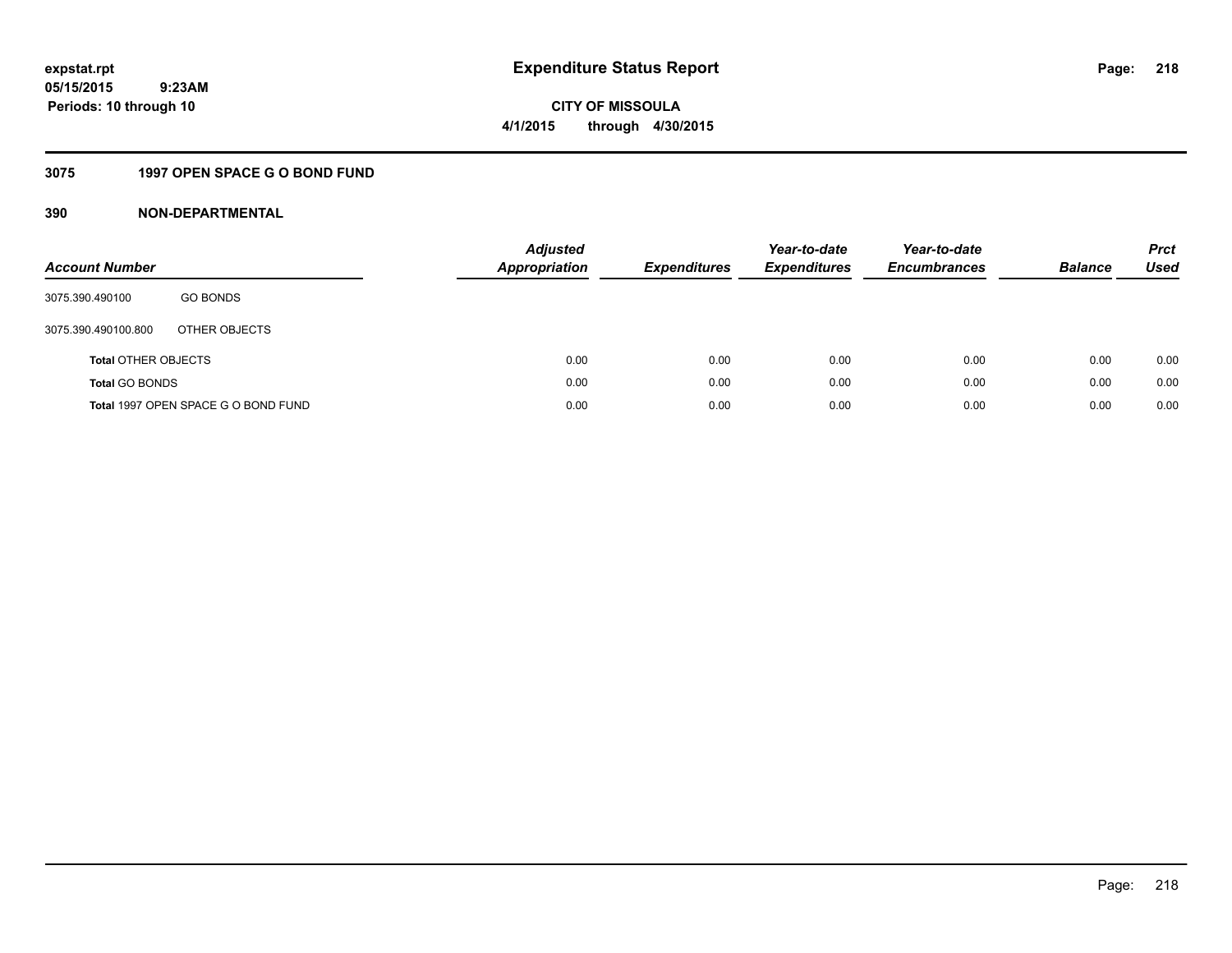**218**

**05/15/2015 9:23AM Periods: 10 through 10**

**CITY OF MISSOULA 4/1/2015 through 4/30/2015**

### **3075 1997 OPEN SPACE G O BOND FUND**

| <b>Account Number</b>      |                                     | <b>Adjusted</b><br><b>Appropriation</b> | <b>Expenditures</b> | Year-to-date<br><b>Expenditures</b> | Year-to-date<br><b>Encumbrances</b> | <b>Balance</b> | <b>Prct</b><br><b>Used</b> |
|----------------------------|-------------------------------------|-----------------------------------------|---------------------|-------------------------------------|-------------------------------------|----------------|----------------------------|
| 3075.390.490100            | <b>GO BONDS</b>                     |                                         |                     |                                     |                                     |                |                            |
| 3075.390.490100.800        | OTHER OBJECTS                       |                                         |                     |                                     |                                     |                |                            |
| <b>Total OTHER OBJECTS</b> |                                     | 0.00                                    | 0.00                | 0.00                                | 0.00                                | 0.00           | 0.00                       |
| <b>Total GO BONDS</b>      |                                     | 0.00                                    | 0.00                | 0.00                                | 0.00                                | 0.00           | 0.00                       |
|                            | Total 1997 OPEN SPACE G O BOND FUND | 0.00                                    | 0.00                | 0.00                                | 0.00                                | 0.00           | 0.00                       |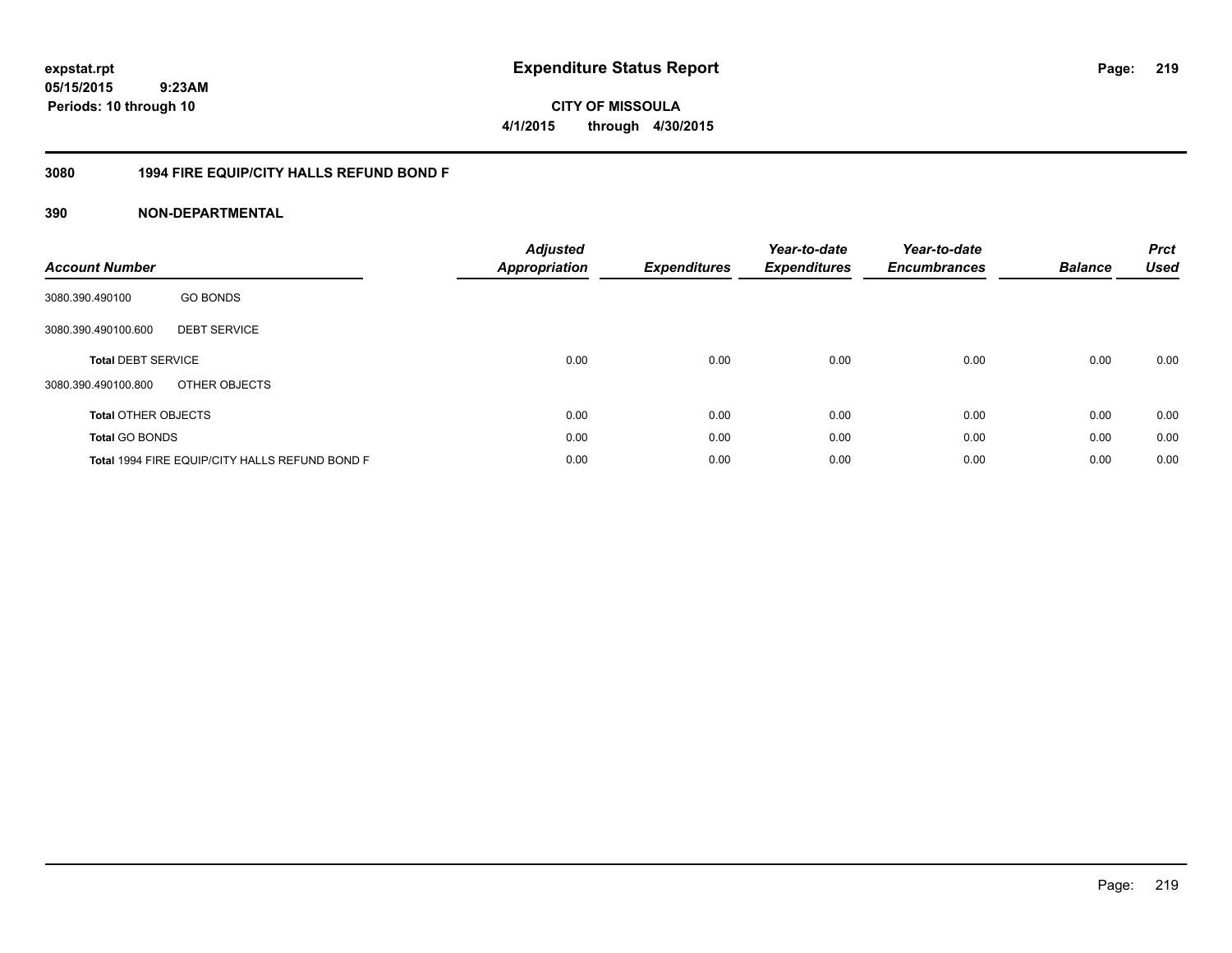**CITY OF MISSOULA 4/1/2015 through 4/30/2015**

### **3080 1994 FIRE EQUIP/CITY HALLS REFUND BOND F**

| <b>Account Number</b>      |                                                | <b>Adjusted</b><br>Appropriation | Expenditures | Year-to-date<br><b>Expenditures</b> | Year-to-date<br><b>Encumbrances</b> | <b>Balance</b> | <b>Prct</b><br><b>Used</b> |
|----------------------------|------------------------------------------------|----------------------------------|--------------|-------------------------------------|-------------------------------------|----------------|----------------------------|
| 3080.390.490100            | <b>GO BONDS</b>                                |                                  |              |                                     |                                     |                |                            |
| 3080.390.490100.600        | <b>DEBT SERVICE</b>                            |                                  |              |                                     |                                     |                |                            |
| <b>Total DEBT SERVICE</b>  |                                                | 0.00                             | 0.00         | 0.00                                | 0.00                                | 0.00           | 0.00                       |
| 3080.390.490100.800        | OTHER OBJECTS                                  |                                  |              |                                     |                                     |                |                            |
| <b>Total OTHER OBJECTS</b> |                                                | 0.00                             | 0.00         | 0.00                                | 0.00                                | 0.00           | 0.00                       |
| <b>Total GO BONDS</b>      |                                                | 0.00                             | 0.00         | 0.00                                | 0.00                                | 0.00           | 0.00                       |
|                            | Total 1994 FIRE EQUIP/CITY HALLS REFUND BOND F | 0.00                             | 0.00         | 0.00                                | 0.00                                | 0.00           | 0.00                       |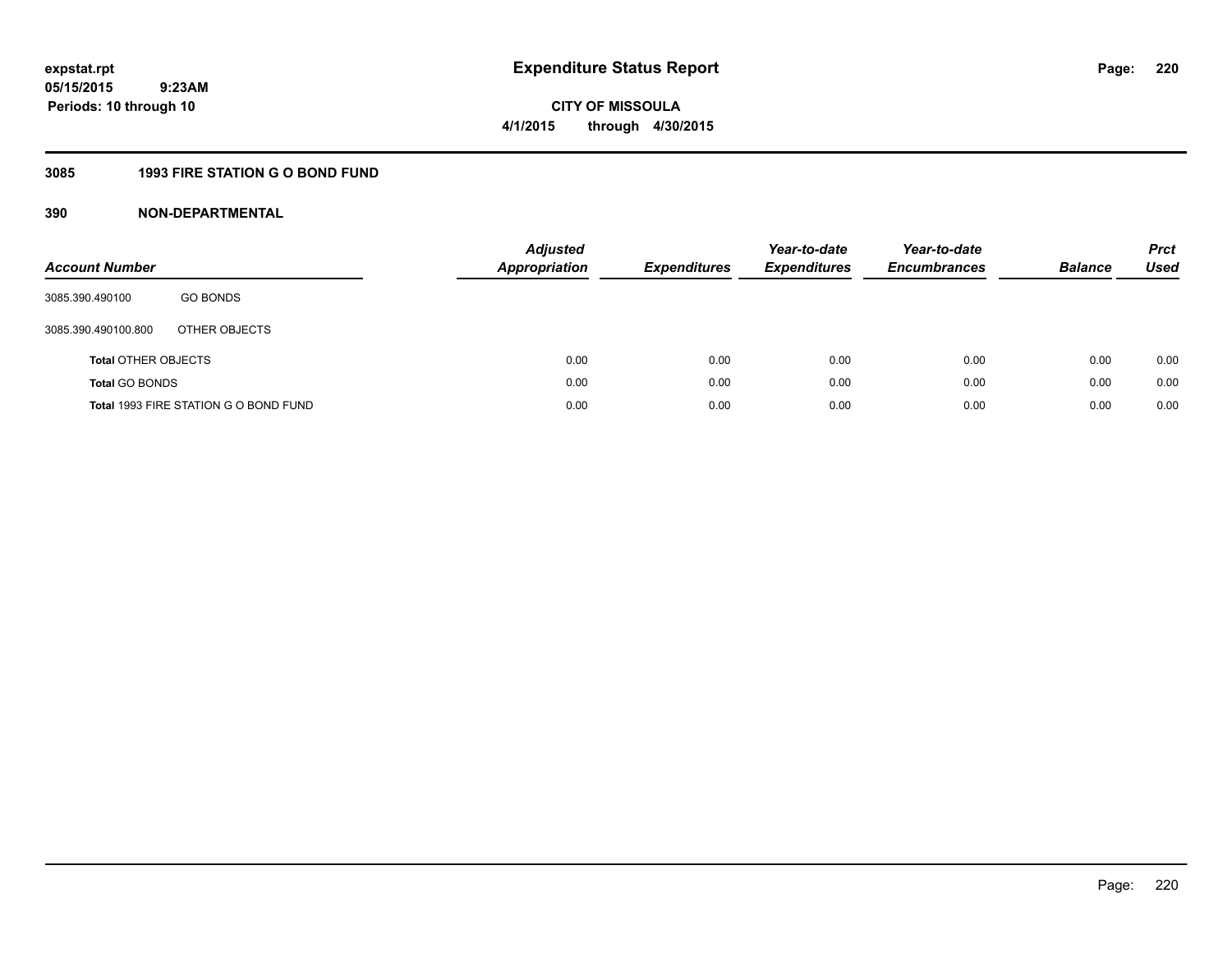# **CITY OF MISSOULA 4/1/2015 through 4/30/2015**

### **3085 1993 FIRE STATION G O BOND FUND**

| <b>Account Number</b>      |                                       | <b>Adjusted</b><br><b>Appropriation</b> | <b>Expenditures</b> | Year-to-date<br><b>Expenditures</b> | Year-to-date<br><b>Encumbrances</b> | <b>Balance</b> | <b>Prct</b><br>Used |
|----------------------------|---------------------------------------|-----------------------------------------|---------------------|-------------------------------------|-------------------------------------|----------------|---------------------|
| 3085.390.490100            | <b>GO BONDS</b>                       |                                         |                     |                                     |                                     |                |                     |
| 3085.390.490100.800        | OTHER OBJECTS                         |                                         |                     |                                     |                                     |                |                     |
| <b>Total OTHER OBJECTS</b> |                                       | 0.00                                    | 0.00                | 0.00                                | 0.00                                | 0.00           | 0.00                |
| <b>Total GO BONDS</b>      |                                       | 0.00                                    | 0.00                | 0.00                                | 0.00                                | 0.00           | 0.00                |
|                            | Total 1993 FIRE STATION G O BOND FUND | 0.00                                    | 0.00                | 0.00                                | 0.00                                | 0.00           | 0.00                |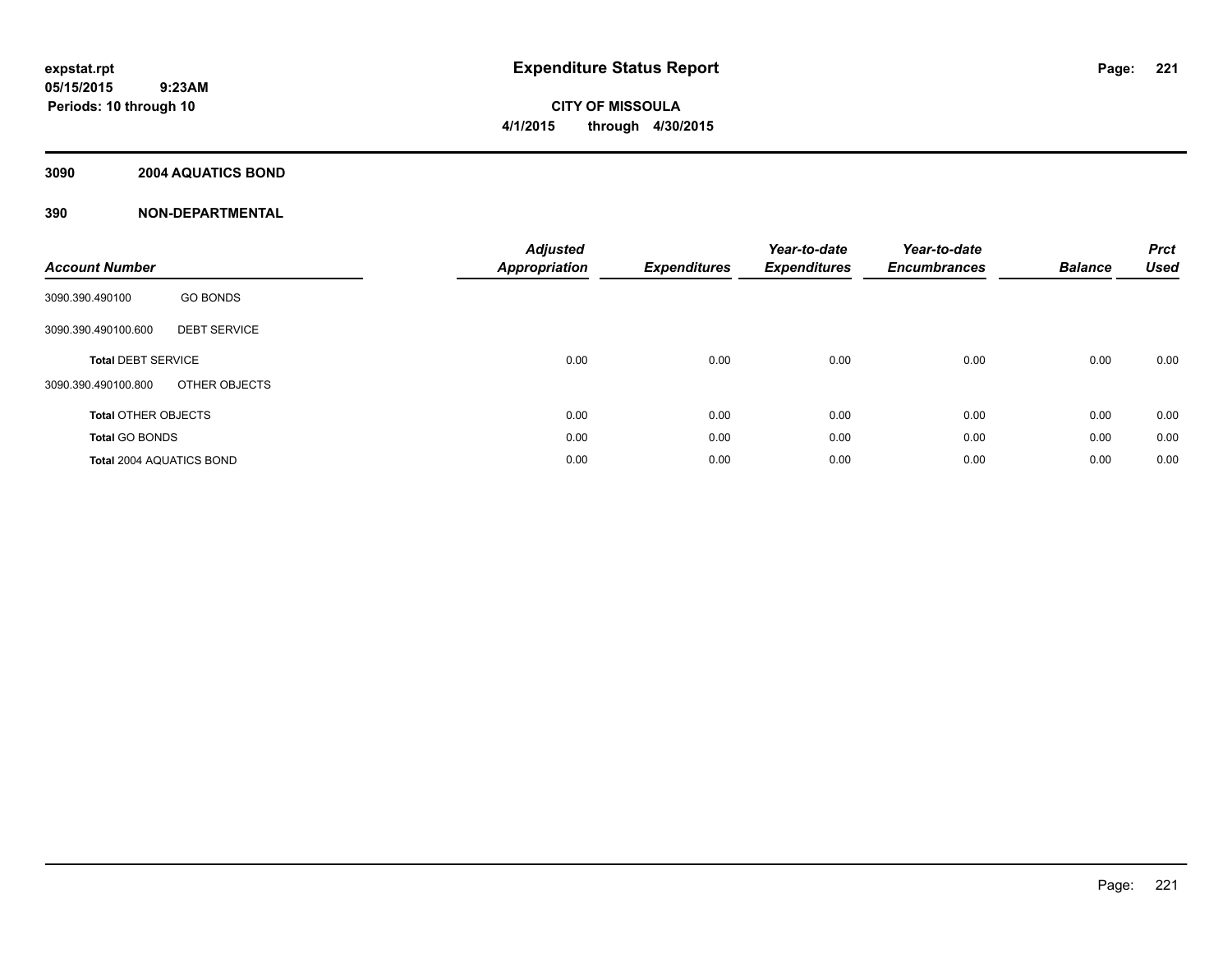# **CITY OF MISSOULA 4/1/2015 through 4/30/2015**

### **3090 2004 AQUATICS BOND**

| <b>Account Number</b>                      | <b>Adjusted</b><br>Appropriation | <b>Expenditures</b> | Year-to-date<br><b>Expenditures</b> | Year-to-date<br><b>Encumbrances</b> | <b>Balance</b> | <b>Prct</b><br><b>Used</b> |
|--------------------------------------------|----------------------------------|---------------------|-------------------------------------|-------------------------------------|----------------|----------------------------|
| <b>GO BONDS</b><br>3090.390.490100         |                                  |                     |                                     |                                     |                |                            |
| <b>DEBT SERVICE</b><br>3090.390.490100.600 |                                  |                     |                                     |                                     |                |                            |
| <b>Total DEBT SERVICE</b>                  | 0.00                             | 0.00                | 0.00                                | 0.00                                | 0.00           | 0.00                       |
| OTHER OBJECTS<br>3090.390.490100.800       |                                  |                     |                                     |                                     |                |                            |
| <b>Total OTHER OBJECTS</b>                 | 0.00                             | 0.00                | 0.00                                | 0.00                                | 0.00           | 0.00                       |
| <b>Total GO BONDS</b>                      | 0.00                             | 0.00                | 0.00                                | 0.00                                | 0.00           | 0.00                       |
| <b>Total 2004 AQUATICS BOND</b>            | 0.00                             | 0.00                | 0.00                                | 0.00                                | 0.00           | 0.00                       |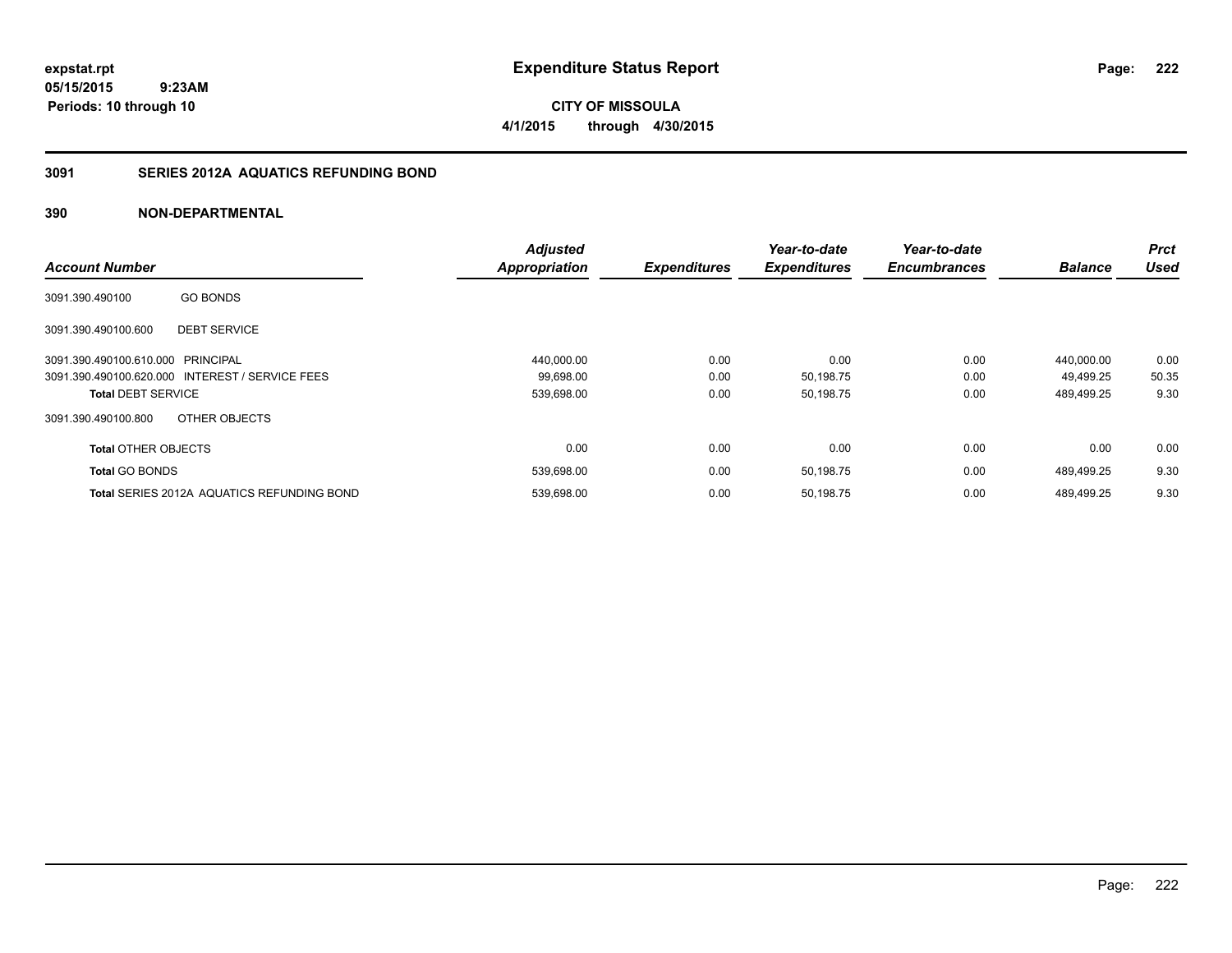**CITY OF MISSOULA 4/1/2015 through 4/30/2015**

### **3091 SERIES 2012A AQUATICS REFUNDING BOND**

|                            |                                                   | <b>Adjusted</b>      |                     | Year-to-date        | Year-to-date        |                | <b>Prct</b> |
|----------------------------|---------------------------------------------------|----------------------|---------------------|---------------------|---------------------|----------------|-------------|
| <b>Account Number</b>      |                                                   | <b>Appropriation</b> | <b>Expenditures</b> | <b>Expenditures</b> | <b>Encumbrances</b> | <b>Balance</b> | <b>Used</b> |
| 3091.390.490100            | <b>GO BONDS</b>                                   |                      |                     |                     |                     |                |             |
| 3091.390.490100.600        | <b>DEBT SERVICE</b>                               |                      |                     |                     |                     |                |             |
| 3091.390.490100.610.000    | PRINCIPAL                                         | 440,000.00           | 0.00                | 0.00                | 0.00                | 440.000.00     | 0.00        |
|                            | 3091.390.490100.620.000 INTEREST / SERVICE FEES   | 99,698.00            | 0.00                | 50,198.75           | 0.00                | 49.499.25      | 50.35       |
| <b>Total DEBT SERVICE</b>  |                                                   | 539,698.00           | 0.00                | 50,198.75           | 0.00                | 489,499.25     | 9.30        |
| 3091.390.490100.800        | OTHER OBJECTS                                     |                      |                     |                     |                     |                |             |
| <b>Total OTHER OBJECTS</b> |                                                   | 0.00                 | 0.00                | 0.00                | 0.00                | 0.00           | 0.00        |
| <b>Total GO BONDS</b>      |                                                   | 539,698.00           | 0.00                | 50,198.75           | 0.00                | 489,499.25     | 9.30        |
|                            | <b>Total SERIES 2012A AQUATICS REFUNDING BOND</b> | 539,698.00           | 0.00                | 50,198.75           | 0.00                | 489.499.25     | 9.30        |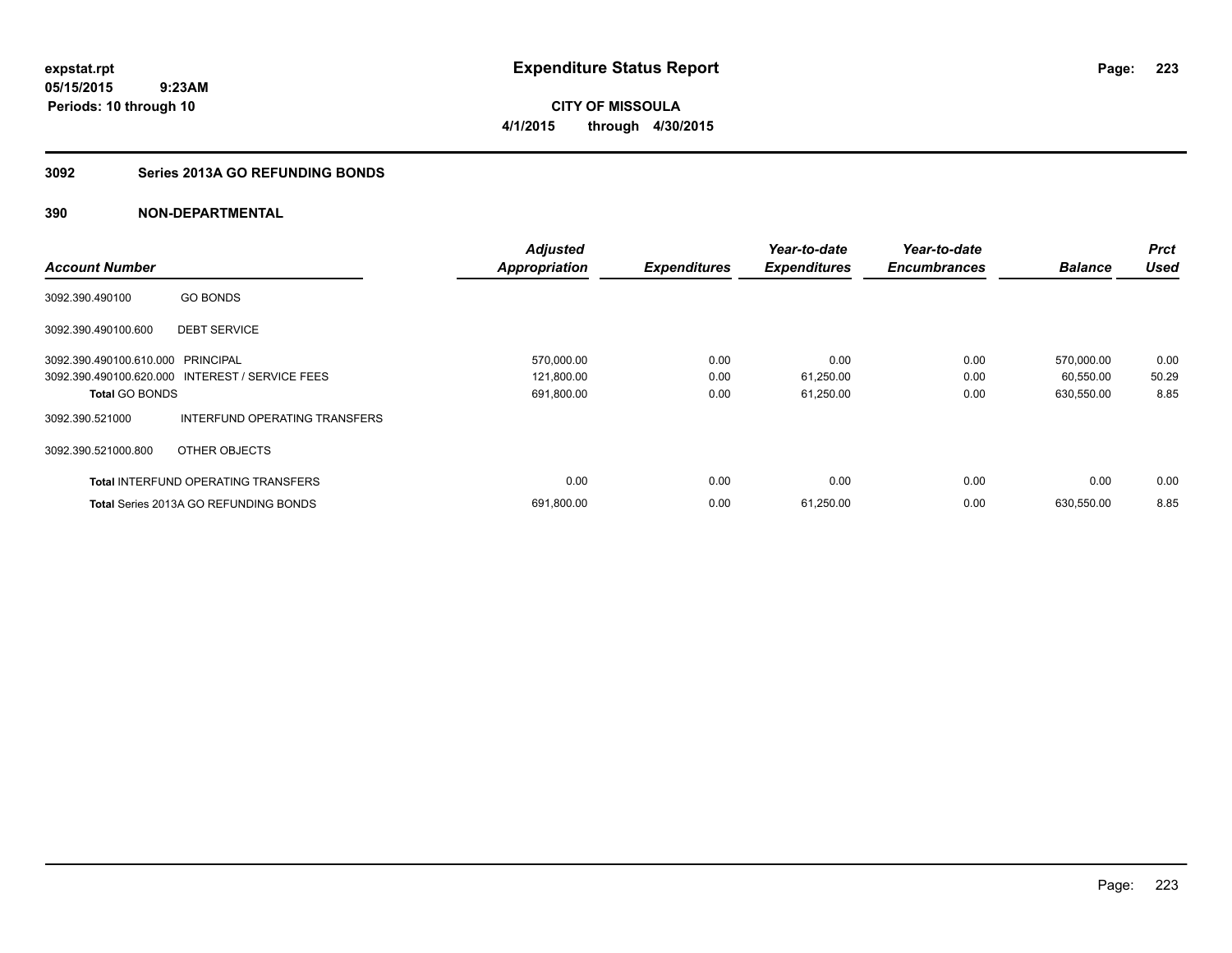**CITY OF MISSOULA 4/1/2015 through 4/30/2015**

### **3092 Series 2013A GO REFUNDING BONDS**

|                                   |                                                 | <b>Adjusted</b>      |                     | Year-to-date        | Year-to-date        |                | <b>Prct</b> |
|-----------------------------------|-------------------------------------------------|----------------------|---------------------|---------------------|---------------------|----------------|-------------|
| <b>Account Number</b>             |                                                 | <b>Appropriation</b> | <b>Expenditures</b> | <b>Expenditures</b> | <b>Encumbrances</b> | <b>Balance</b> | <b>Used</b> |
| 3092.390.490100                   | <b>GO BONDS</b>                                 |                      |                     |                     |                     |                |             |
| 3092.390.490100.600               | <b>DEBT SERVICE</b>                             |                      |                     |                     |                     |                |             |
| 3092.390.490100.610.000 PRINCIPAL |                                                 | 570,000.00           | 0.00                | 0.00                | 0.00                | 570,000.00     | 0.00        |
|                                   | 3092.390.490100.620.000 INTEREST / SERVICE FEES | 121,800.00           | 0.00                | 61,250.00           | 0.00                | 60,550.00      | 50.29       |
| <b>Total GO BONDS</b>             |                                                 | 691,800.00           | 0.00                | 61,250.00           | 0.00                | 630,550.00     | 8.85        |
| 3092.390.521000                   | INTERFUND OPERATING TRANSFERS                   |                      |                     |                     |                     |                |             |
| 3092.390.521000.800               | OTHER OBJECTS                                   |                      |                     |                     |                     |                |             |
|                                   | <b>Total INTERFUND OPERATING TRANSFERS</b>      | 0.00                 | 0.00                | 0.00                | 0.00                | 0.00           | 0.00        |
|                                   | <b>Total Series 2013A GO REFUNDING BONDS</b>    | 691,800.00           | 0.00                | 61,250.00           | 0.00                | 630,550.00     | 8.85        |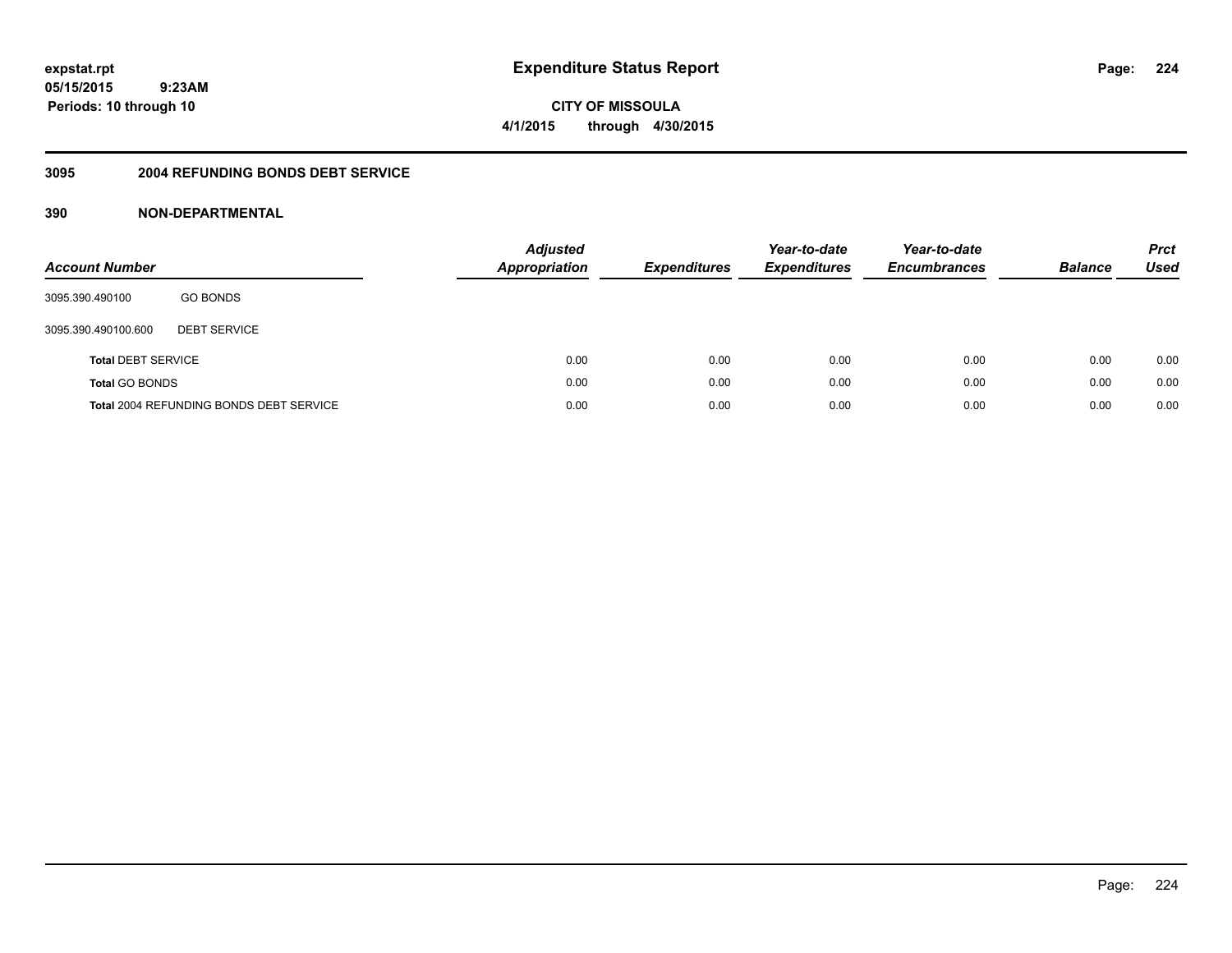**CITY OF MISSOULA 4/1/2015 through 4/30/2015**

#### **3095 2004 REFUNDING BONDS DEBT SERVICE**

| <b>Account Number</b>     |                                                | <b>Adjusted</b><br>Appropriation | <b>Expenditures</b> | Year-to-date<br><b>Expenditures</b> | Year-to-date<br><b>Encumbrances</b> | <b>Balance</b> | <b>Prct</b><br><b>Used</b> |
|---------------------------|------------------------------------------------|----------------------------------|---------------------|-------------------------------------|-------------------------------------|----------------|----------------------------|
| 3095.390.490100           | <b>GO BONDS</b>                                |                                  |                     |                                     |                                     |                |                            |
| 3095.390.490100.600       | <b>DEBT SERVICE</b>                            |                                  |                     |                                     |                                     |                |                            |
| <b>Total DEBT SERVICE</b> |                                                | 0.00                             | 0.00                | 0.00                                | 0.00                                | 0.00           | 0.00                       |
| <b>Total GO BONDS</b>     |                                                | 0.00                             | 0.00                | 0.00                                | 0.00                                | 0.00           | 0.00                       |
|                           | <b>Total 2004 REFUNDING BONDS DEBT SERVICE</b> | 0.00                             | 0.00                | 0.00                                | 0.00                                | 0.00           | 0.00                       |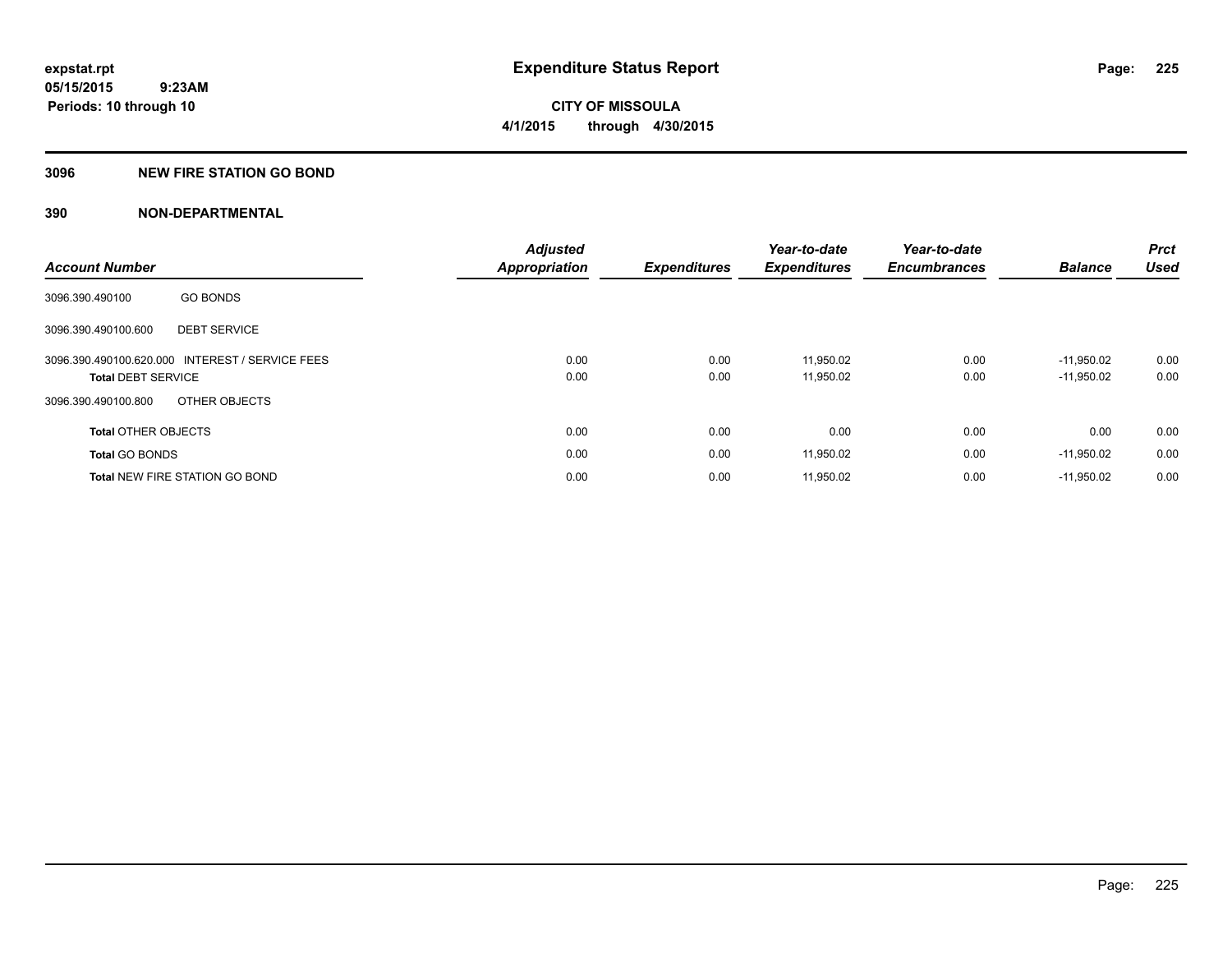### **3096 NEW FIRE STATION GO BOND**

|                            |                                                 | <b>Adjusted</b>      |                     | Year-to-date        | Year-to-date        |                | <b>Prct</b> |
|----------------------------|-------------------------------------------------|----------------------|---------------------|---------------------|---------------------|----------------|-------------|
| <b>Account Number</b>      |                                                 | <b>Appropriation</b> | <b>Expenditures</b> | <b>Expenditures</b> | <b>Encumbrances</b> | <b>Balance</b> | <b>Used</b> |
| 3096.390.490100            | <b>GO BONDS</b>                                 |                      |                     |                     |                     |                |             |
| 3096.390.490100.600        | <b>DEBT SERVICE</b>                             |                      |                     |                     |                     |                |             |
|                            | 3096.390.490100.620.000 INTEREST / SERVICE FEES | 0.00                 | 0.00                | 11.950.02           | 0.00                | $-11.950.02$   | 0.00        |
| <b>Total DEBT SERVICE</b>  |                                                 | 0.00                 | 0.00                | 11,950.02           | 0.00                | $-11,950.02$   | 0.00        |
| 3096.390.490100.800        | OTHER OBJECTS                                   |                      |                     |                     |                     |                |             |
| <b>Total OTHER OBJECTS</b> |                                                 | 0.00                 | 0.00                | 0.00                | 0.00                | 0.00           | 0.00        |
| <b>Total GO BONDS</b>      |                                                 | 0.00                 | 0.00                | 11,950.02           | 0.00                | $-11,950.02$   | 0.00        |
|                            | <b>Total NEW FIRE STATION GO BOND</b>           | 0.00                 | 0.00                | 11,950.02           | 0.00                | $-11,950.02$   | 0.00        |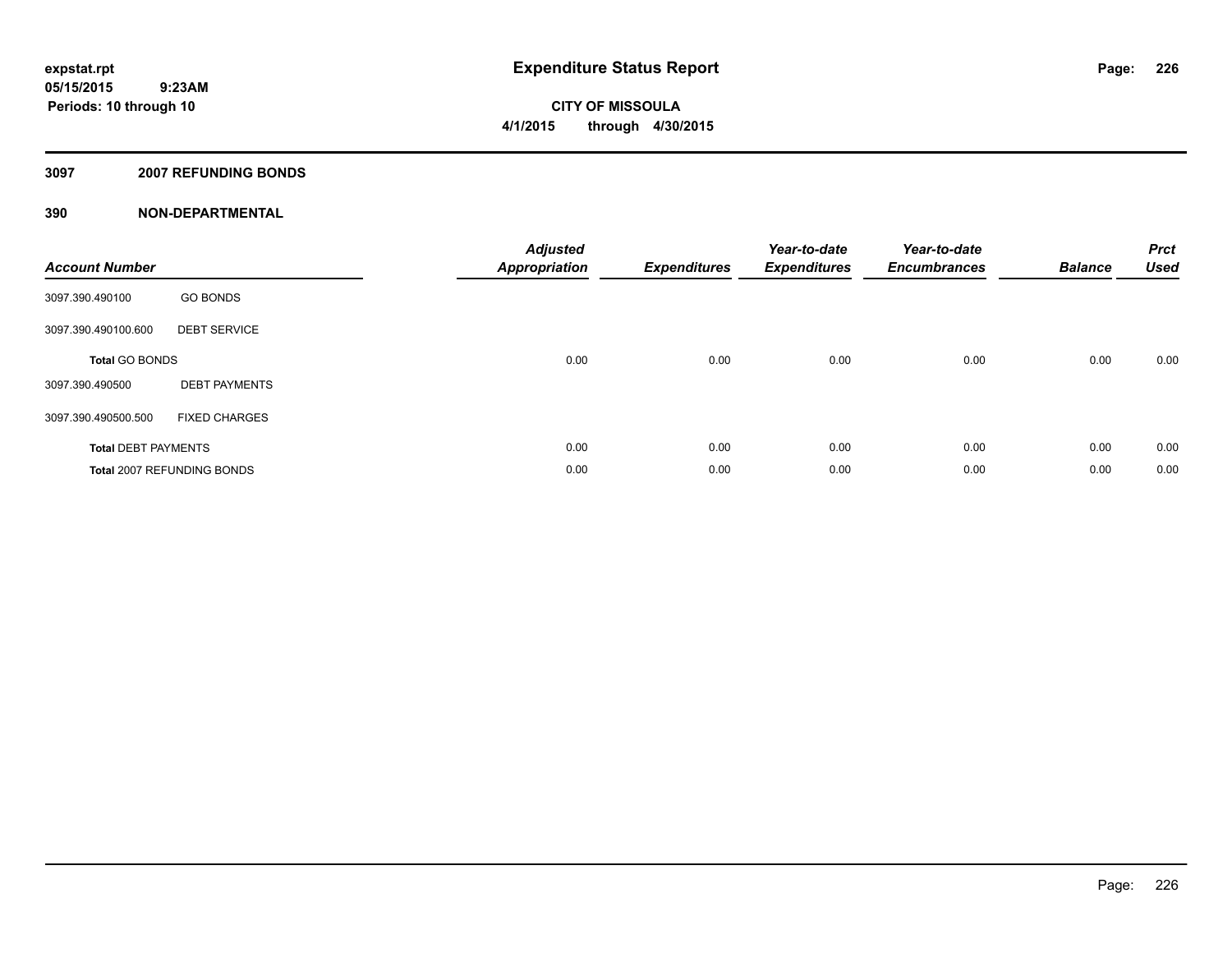### **3097 2007 REFUNDING BONDS**

| <b>Account Number</b>      |                                   | <b>Adjusted</b><br><b>Appropriation</b> | <b>Expenditures</b> | Year-to-date<br><b>Expenditures</b> | Year-to-date<br><b>Encumbrances</b> | <b>Balance</b> | <b>Prct</b><br><b>Used</b> |
|----------------------------|-----------------------------------|-----------------------------------------|---------------------|-------------------------------------|-------------------------------------|----------------|----------------------------|
| 3097.390.490100            | <b>GO BONDS</b>                   |                                         |                     |                                     |                                     |                |                            |
| 3097.390.490100.600        | <b>DEBT SERVICE</b>               |                                         |                     |                                     |                                     |                |                            |
| <b>Total GO BONDS</b>      |                                   | 0.00                                    | 0.00                | 0.00                                | 0.00                                | 0.00           | 0.00                       |
| 3097.390.490500            | <b>DEBT PAYMENTS</b>              |                                         |                     |                                     |                                     |                |                            |
| 3097.390.490500.500        | <b>FIXED CHARGES</b>              |                                         |                     |                                     |                                     |                |                            |
| <b>Total DEBT PAYMENTS</b> |                                   | 0.00                                    | 0.00                | 0.00                                | 0.00                                | 0.00           | 0.00                       |
|                            | <b>Total 2007 REFUNDING BONDS</b> | 0.00                                    | 0.00                | 0.00                                | 0.00                                | 0.00           | 0.00                       |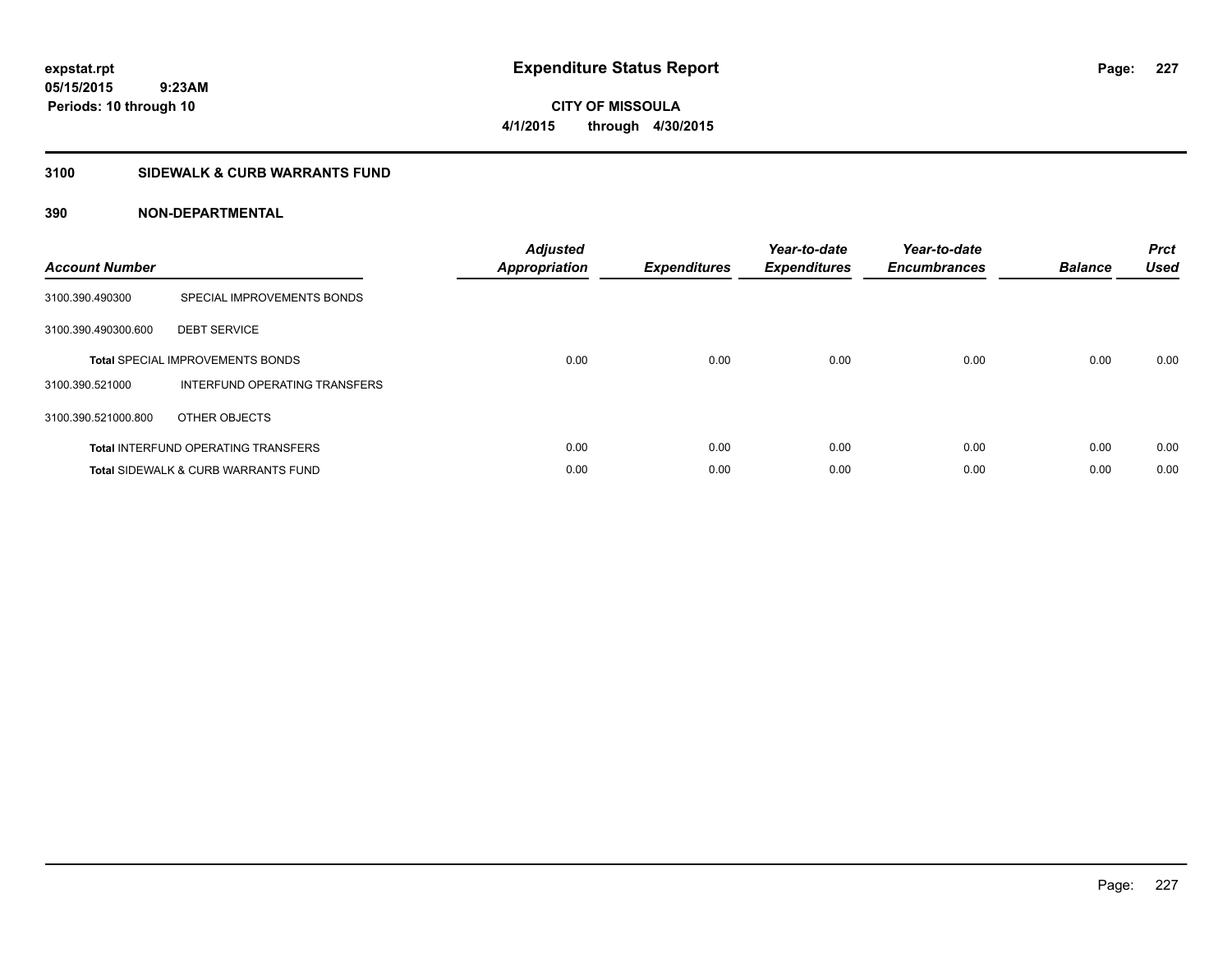**CITY OF MISSOULA 4/1/2015 through 4/30/2015**

### **3100 SIDEWALK & CURB WARRANTS FUND**

| <b>Account Number</b> |                                                | <b>Adjusted</b><br>Appropriation | <b>Expenditures</b> | Year-to-date<br><b>Expenditures</b> | Year-to-date<br><b>Encumbrances</b> | <b>Balance</b> | <b>Prct</b><br><b>Used</b> |
|-----------------------|------------------------------------------------|----------------------------------|---------------------|-------------------------------------|-------------------------------------|----------------|----------------------------|
| 3100.390.490300       | SPECIAL IMPROVEMENTS BONDS                     |                                  |                     |                                     |                                     |                |                            |
| 3100.390.490300.600   | <b>DEBT SERVICE</b>                            |                                  |                     |                                     |                                     |                |                            |
|                       | <b>Total SPECIAL IMPROVEMENTS BONDS</b>        | 0.00                             | 0.00                | 0.00                                | 0.00                                | 0.00           | 0.00                       |
| 3100.390.521000       | INTERFUND OPERATING TRANSFERS                  |                                  |                     |                                     |                                     |                |                            |
| 3100.390.521000.800   | OTHER OBJECTS                                  |                                  |                     |                                     |                                     |                |                            |
|                       | <b>Total INTERFUND OPERATING TRANSFERS</b>     | 0.00                             | 0.00                | 0.00                                | 0.00                                | 0.00           | 0.00                       |
|                       | <b>Total SIDEWALK &amp; CURB WARRANTS FUND</b> | 0.00                             | 0.00                | 0.00                                | 0.00                                | 0.00           | 0.00                       |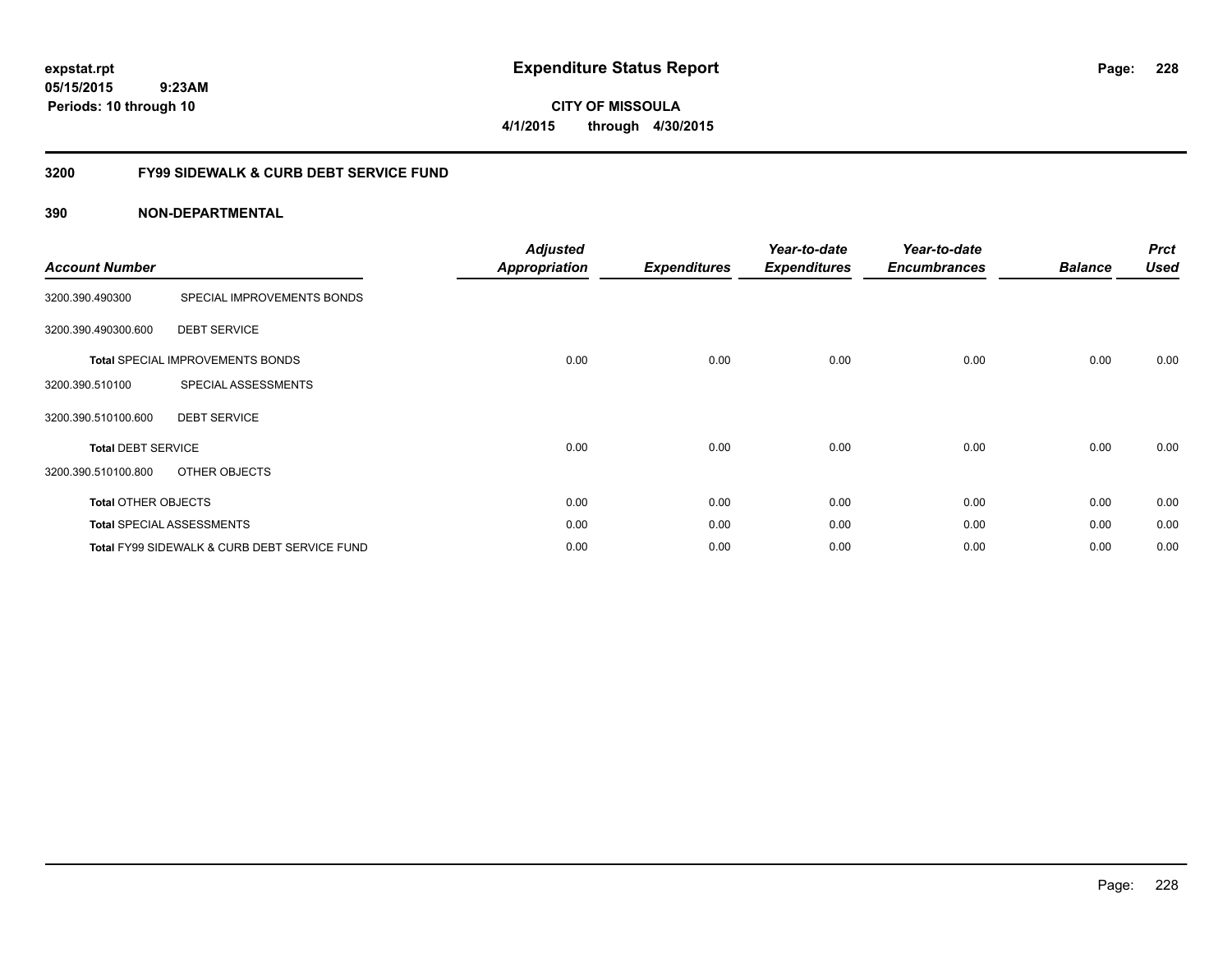**CITY OF MISSOULA 4/1/2015 through 4/30/2015**

### **3200 FY99 SIDEWALK & CURB DEBT SERVICE FUND**

| <b>Account Number</b>      |                                              | <b>Adjusted</b><br><b>Appropriation</b> | <b>Expenditures</b> | Year-to-date<br><b>Expenditures</b> | Year-to-date<br><b>Encumbrances</b> | <b>Balance</b> | <b>Prct</b><br><b>Used</b> |
|----------------------------|----------------------------------------------|-----------------------------------------|---------------------|-------------------------------------|-------------------------------------|----------------|----------------------------|
| 3200.390.490300            | SPECIAL IMPROVEMENTS BONDS                   |                                         |                     |                                     |                                     |                |                            |
| 3200.390.490300.600        | <b>DEBT SERVICE</b>                          |                                         |                     |                                     |                                     |                |                            |
|                            | <b>Total SPECIAL IMPROVEMENTS BONDS</b>      | 0.00                                    | 0.00                | 0.00                                | 0.00                                | 0.00           | 0.00                       |
| 3200.390.510100            | SPECIAL ASSESSMENTS                          |                                         |                     |                                     |                                     |                |                            |
| 3200.390.510100.600        | <b>DEBT SERVICE</b>                          |                                         |                     |                                     |                                     |                |                            |
| <b>Total DEBT SERVICE</b>  |                                              | 0.00                                    | 0.00                | 0.00                                | 0.00                                | 0.00           | 0.00                       |
| 3200.390.510100.800        | OTHER OBJECTS                                |                                         |                     |                                     |                                     |                |                            |
| <b>Total OTHER OBJECTS</b> |                                              | 0.00                                    | 0.00                | 0.00                                | 0.00                                | 0.00           | 0.00                       |
|                            | <b>Total SPECIAL ASSESSMENTS</b>             | 0.00                                    | 0.00                | 0.00                                | 0.00                                | 0.00           | 0.00                       |
|                            | Total FY99 SIDEWALK & CURB DEBT SERVICE FUND | 0.00                                    | 0.00                | 0.00                                | 0.00                                | 0.00           | 0.00                       |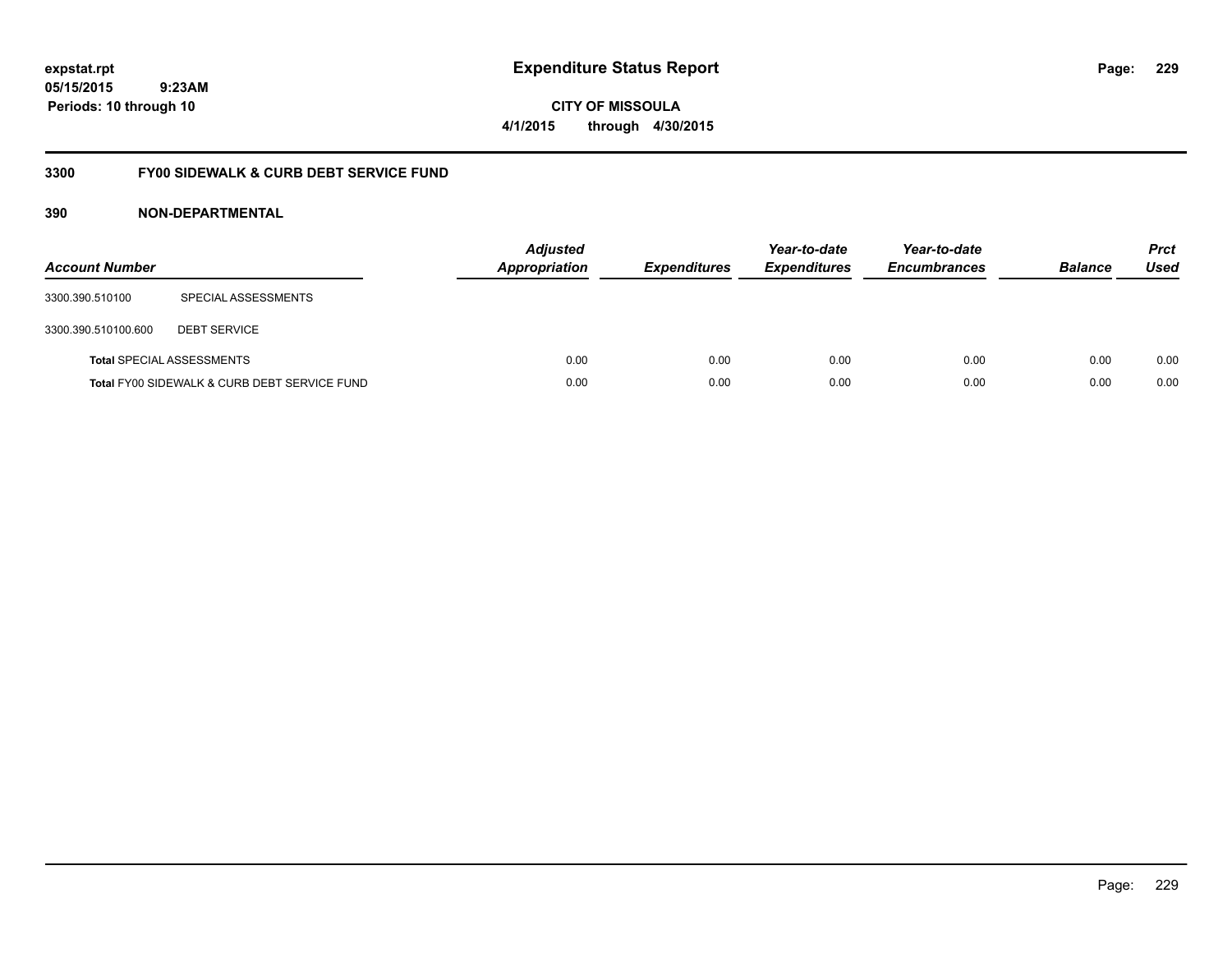**CITY OF MISSOULA 4/1/2015 through 4/30/2015**

### **3300 FY00 SIDEWALK & CURB DEBT SERVICE FUND**

| <b>Account Number</b> |                                              | <b>Adjusted</b><br><b>Appropriation</b> | <b>Expenditures</b> | Year-to-date<br><b>Expenditures</b> | Year-to-date<br><b>Encumbrances</b> | <b>Balance</b> | <b>Prct</b><br><b>Used</b> |
|-----------------------|----------------------------------------------|-----------------------------------------|---------------------|-------------------------------------|-------------------------------------|----------------|----------------------------|
| 3300.390.510100       | SPECIAL ASSESSMENTS                          |                                         |                     |                                     |                                     |                |                            |
| 3300.390.510100.600   | <b>DEBT SERVICE</b>                          |                                         |                     |                                     |                                     |                |                            |
|                       | <b>Total SPECIAL ASSESSMENTS</b>             | 0.00                                    | 0.00                | 0.00                                | 0.00                                | 0.00           | 0.00                       |
|                       | Total FY00 SIDEWALK & CURB DEBT SERVICE FUND | 0.00                                    | 0.00                | 0.00                                | 0.00                                | 0.00           | 0.00                       |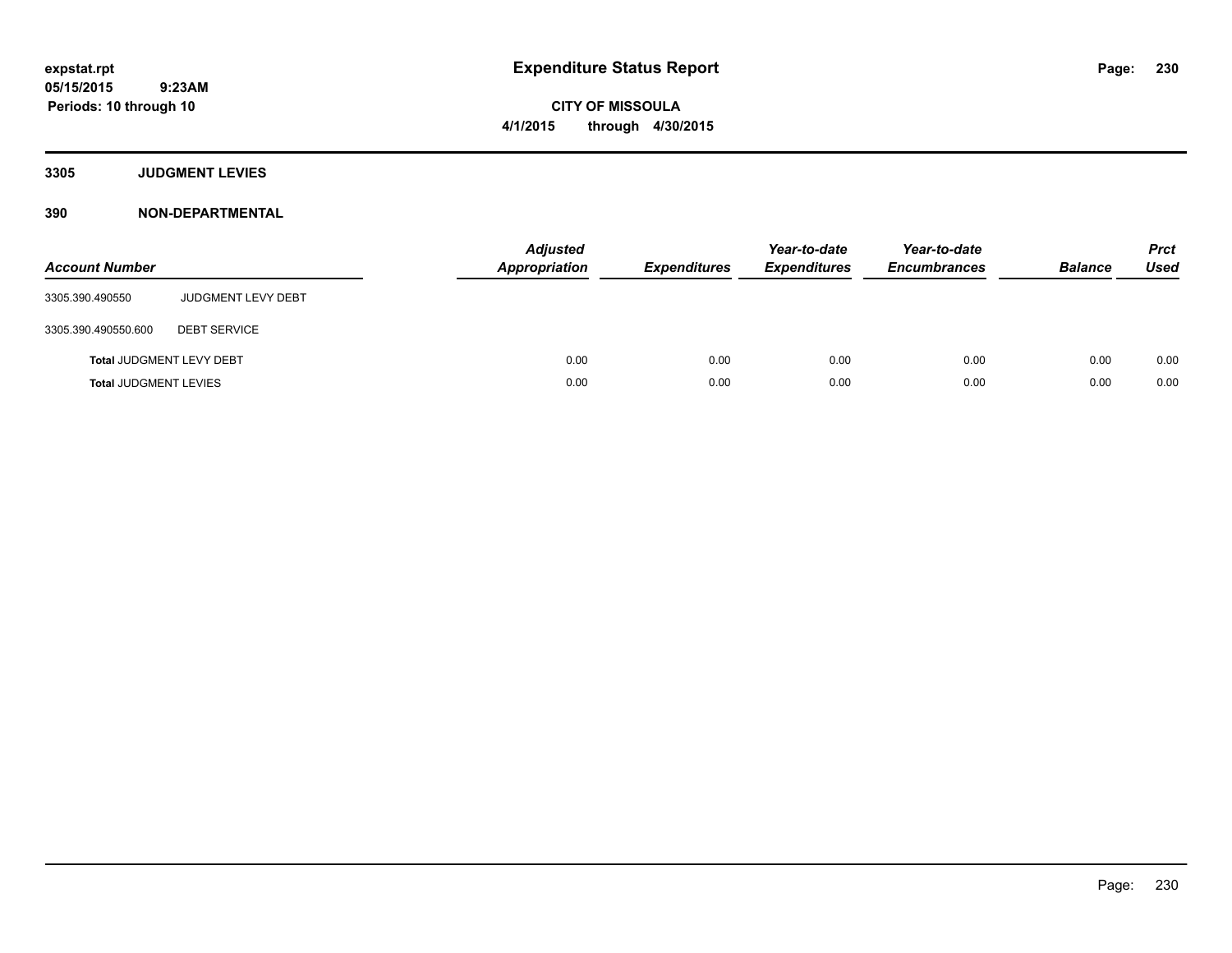**3305 JUDGMENT LEVIES**

| <b>Account Number</b>        |                                 | <b>Adjusted</b><br><b>Appropriation</b> | <b>Expenditures</b> | Year-to-date<br><b>Expenditures</b> | Year-to-date<br><b>Encumbrances</b> | <b>Balance</b> | <b>Prct</b><br><b>Used</b> |
|------------------------------|---------------------------------|-----------------------------------------|---------------------|-------------------------------------|-------------------------------------|----------------|----------------------------|
| 3305.390.490550              | <b>JUDGMENT LEVY DEBT</b>       |                                         |                     |                                     |                                     |                |                            |
| 3305.390.490550.600          | <b>DEBT SERVICE</b>             |                                         |                     |                                     |                                     |                |                            |
|                              | <b>Total JUDGMENT LEVY DEBT</b> | 0.00                                    | 0.00                | 0.00                                | 0.00                                | 0.00           | 0.00                       |
| <b>Total JUDGMENT LEVIES</b> |                                 | 0.00                                    | 0.00                | 0.00                                | 0.00                                | 0.00           | 0.00                       |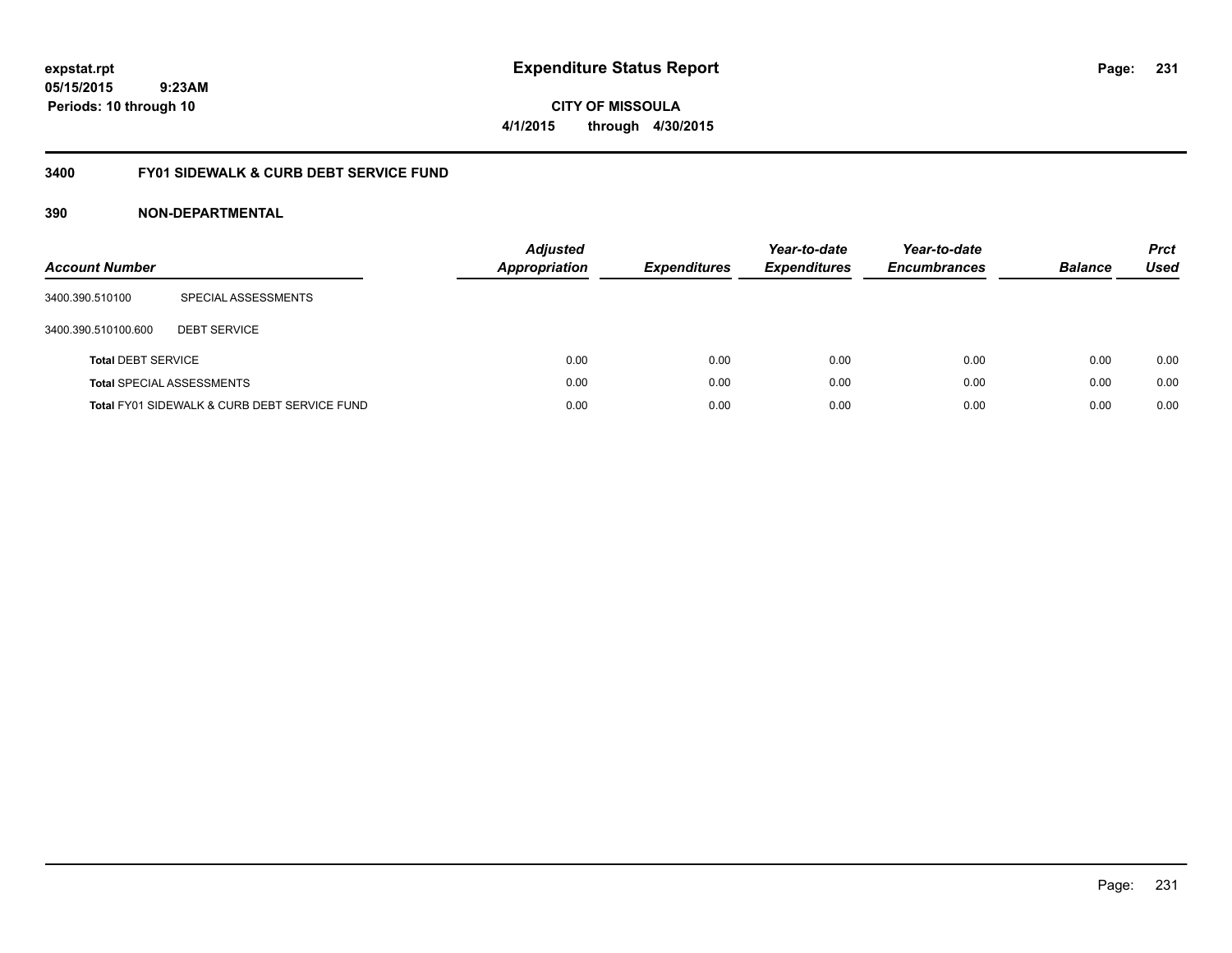**CITY OF MISSOULA 4/1/2015 through 4/30/2015**

### **3400 FY01 SIDEWALK & CURB DEBT SERVICE FUND**

| <b>Account Number</b>     |                                              | <b>Adjusted</b><br><b>Appropriation</b> | <b>Expenditures</b> | Year-to-date<br><b>Expenditures</b> | Year-to-date<br><b>Encumbrances</b> | <b>Balance</b> | <b>Prct</b><br><b>Used</b> |
|---------------------------|----------------------------------------------|-----------------------------------------|---------------------|-------------------------------------|-------------------------------------|----------------|----------------------------|
| 3400.390.510100           | SPECIAL ASSESSMENTS                          |                                         |                     |                                     |                                     |                |                            |
| 3400.390.510100.600       | <b>DEBT SERVICE</b>                          |                                         |                     |                                     |                                     |                |                            |
| <b>Total DEBT SERVICE</b> |                                              | 0.00                                    | 0.00                | 0.00                                | 0.00                                | 0.00           | 0.00                       |
|                           | <b>Total SPECIAL ASSESSMENTS</b>             | 0.00                                    | 0.00                | 0.00                                | 0.00                                | 0.00           | 0.00                       |
|                           | Total FY01 SIDEWALK & CURB DEBT SERVICE FUND | 0.00                                    | 0.00                | 0.00                                | 0.00                                | 0.00           | 0.00                       |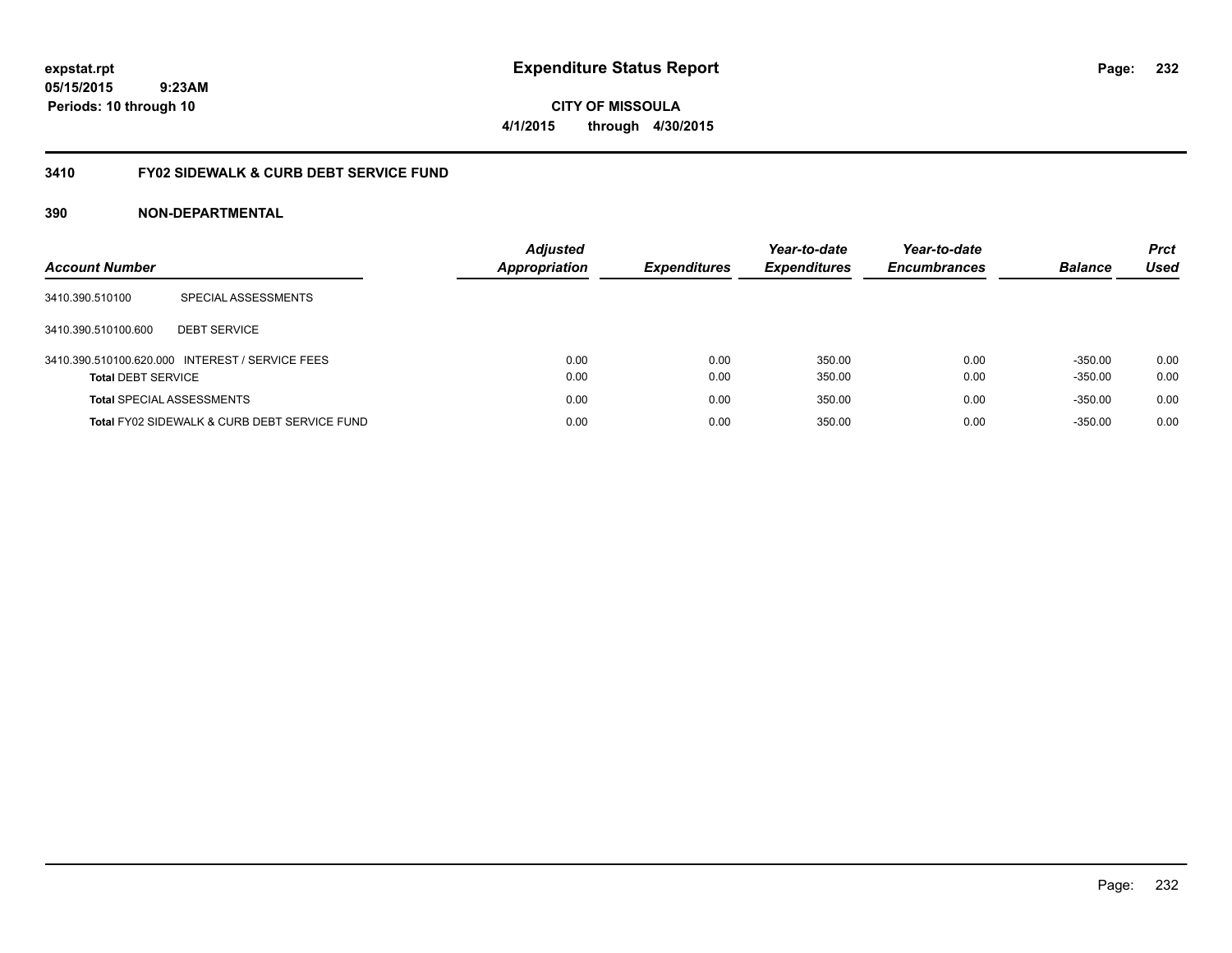**CITY OF MISSOULA 4/1/2015 through 4/30/2015**

### **3410 FY02 SIDEWALK & CURB DEBT SERVICE FUND**

| <b>Account Number</b>            |                                                 | <b>Adjusted</b><br><b>Appropriation</b> | <b>Expenditures</b> | Year-to-date<br><b>Expenditures</b> | Year-to-date<br><b>Encumbrances</b> | <b>Balance</b> | <b>Prct</b><br>Used |
|----------------------------------|-------------------------------------------------|-----------------------------------------|---------------------|-------------------------------------|-------------------------------------|----------------|---------------------|
| 3410.390.510100                  | SPECIAL ASSESSMENTS                             |                                         |                     |                                     |                                     |                |                     |
| 3410.390.510100.600              | <b>DEBT SERVICE</b>                             |                                         |                     |                                     |                                     |                |                     |
|                                  | 3410.390.510100.620.000 INTEREST / SERVICE FEES | 0.00                                    | 0.00                | 350.00                              | 0.00                                | $-350.00$      | 0.00                |
| <b>Total DEBT SERVICE</b>        |                                                 | 0.00                                    | 0.00                | 350.00                              | 0.00                                | $-350.00$      | 0.00                |
| <b>Total SPECIAL ASSESSMENTS</b> |                                                 | 0.00                                    | 0.00                | 350.00                              | 0.00                                | $-350.00$      | 0.00                |
|                                  | Total FY02 SIDEWALK & CURB DEBT SERVICE FUND    | 0.00                                    | 0.00                | 350.00                              | 0.00                                | $-350.00$      | 0.00                |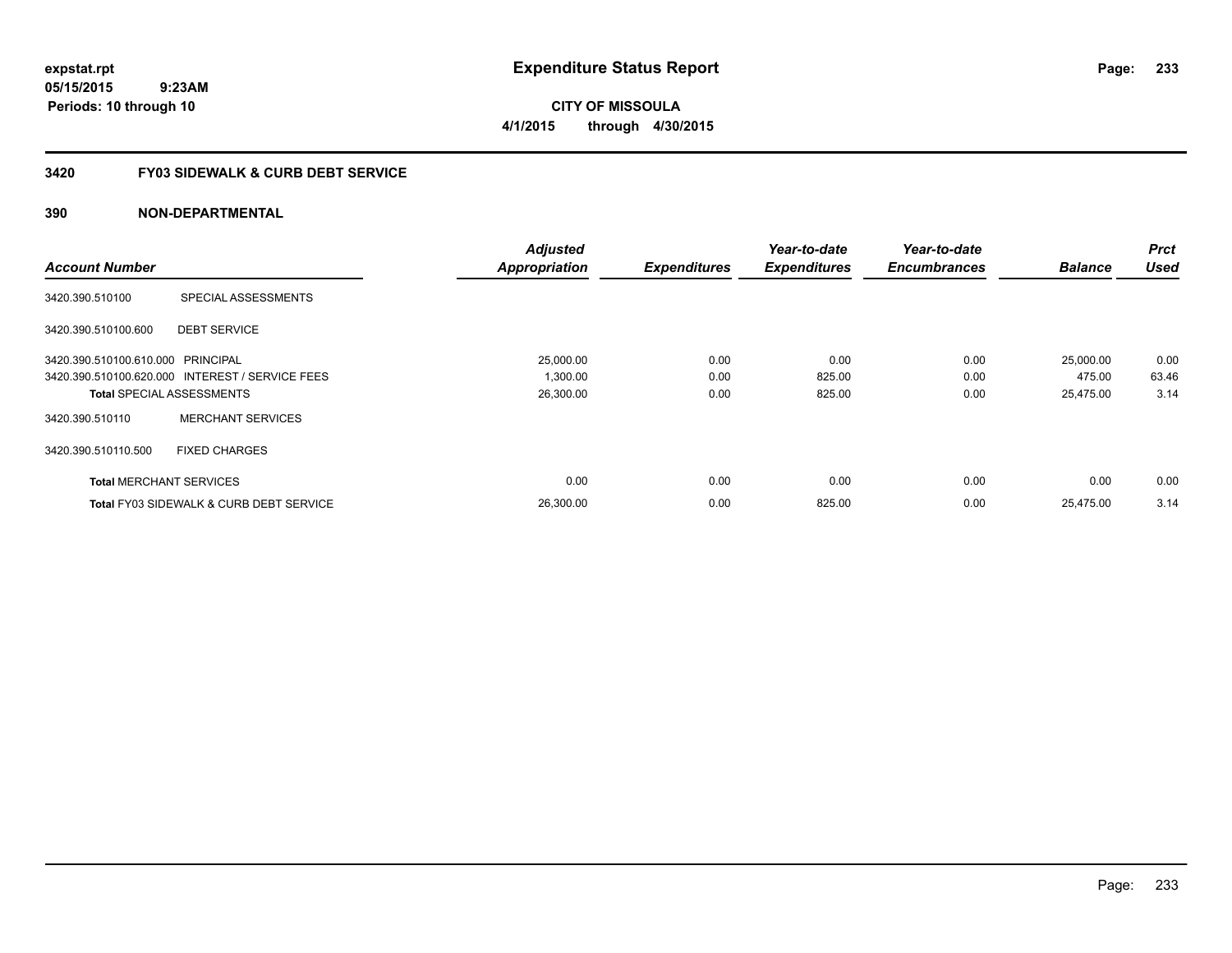**CITY OF MISSOULA 4/1/2015 through 4/30/2015**

### **3420 FY03 SIDEWALK & CURB DEBT SERVICE**

|                                   |                                                    | <b>Adjusted</b>      |                     | Year-to-date        | Year-to-date        |                | <b>Prct</b> |
|-----------------------------------|----------------------------------------------------|----------------------|---------------------|---------------------|---------------------|----------------|-------------|
| <b>Account Number</b>             |                                                    | <b>Appropriation</b> | <b>Expenditures</b> | <b>Expenditures</b> | <b>Encumbrances</b> | <b>Balance</b> | <b>Used</b> |
| 3420.390.510100                   | SPECIAL ASSESSMENTS                                |                      |                     |                     |                     |                |             |
| 3420.390.510100.600               | <b>DEBT SERVICE</b>                                |                      |                     |                     |                     |                |             |
| 3420.390.510100.610.000 PRINCIPAL |                                                    | 25,000.00            | 0.00                | 0.00                | 0.00                | 25,000.00      | 0.00        |
|                                   | 3420.390.510100.620.000 INTEREST / SERVICE FEES    | 1,300.00             | 0.00                | 825.00              | 0.00                | 475.00         | 63.46       |
|                                   | <b>Total SPECIAL ASSESSMENTS</b>                   | 26,300.00            | 0.00                | 825.00              | 0.00                | 25,475.00      | 3.14        |
| 3420.390.510110                   | <b>MERCHANT SERVICES</b>                           |                      |                     |                     |                     |                |             |
| 3420.390.510110.500               | <b>FIXED CHARGES</b>                               |                      |                     |                     |                     |                |             |
| <b>Total MERCHANT SERVICES</b>    |                                                    | 0.00                 | 0.00                | 0.00                | 0.00                | 0.00           | 0.00        |
|                                   | <b>Total FY03 SIDEWALK &amp; CURB DEBT SERVICE</b> | 26.300.00            | 0.00                | 825.00              | 0.00                | 25.475.00      | 3.14        |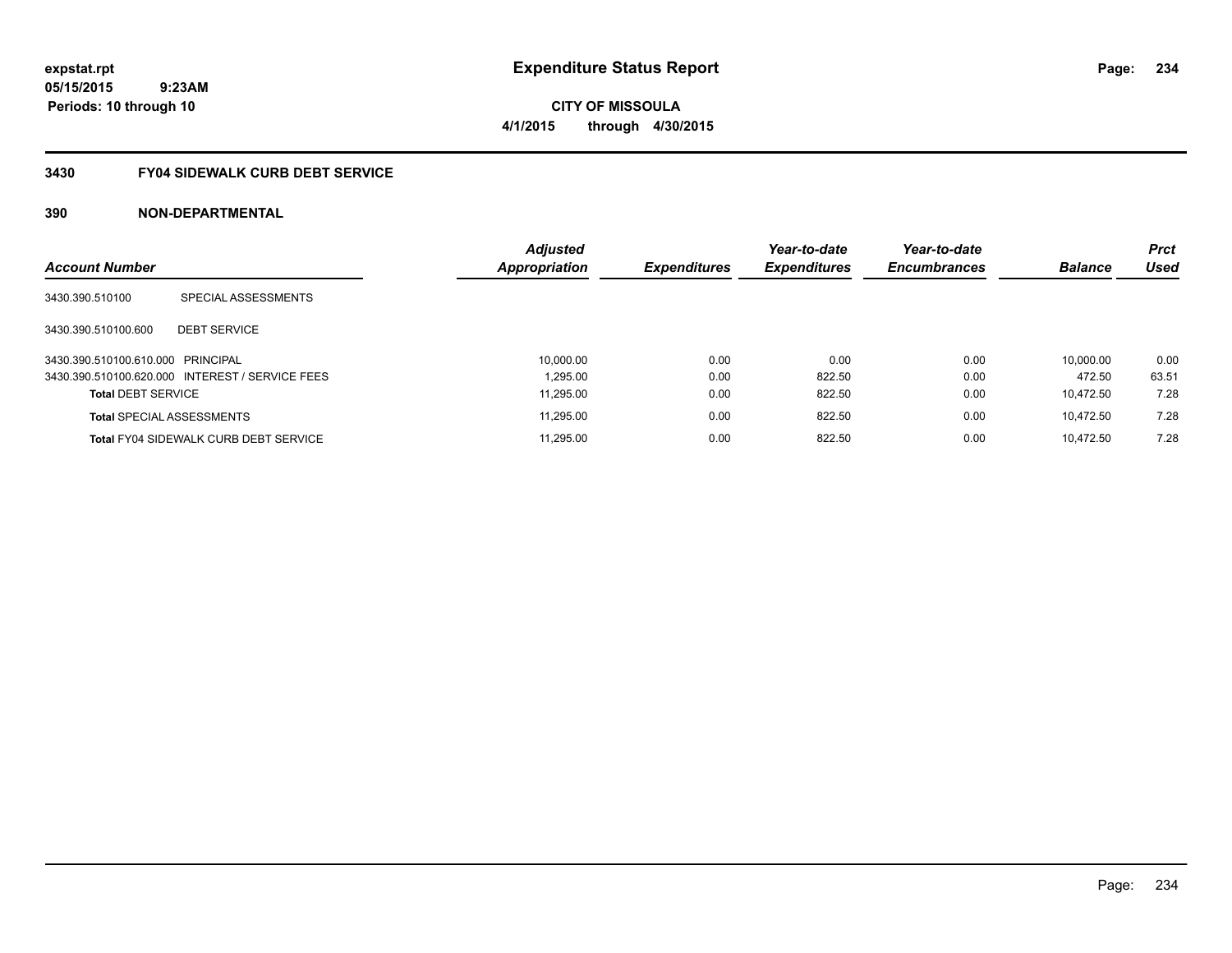# **05/15/2015**

**Periods: 10 through 10**

 **9:23AM**

**CITY OF MISSOULA 4/1/2015 through 4/30/2015**

### **3430 FY04 SIDEWALK CURB DEBT SERVICE**

| <b>Account Number</b>             |                                                 | <b>Adjusted</b><br>Appropriation | <b>Expenditures</b> | Year-to-date<br><b>Expenditures</b> | Year-to-date<br><b>Encumbrances</b> | <b>Balance</b> | <b>Prct</b><br>Used |
|-----------------------------------|-------------------------------------------------|----------------------------------|---------------------|-------------------------------------|-------------------------------------|----------------|---------------------|
|                                   |                                                 |                                  |                     |                                     |                                     |                |                     |
| 3430.390.510100                   | SPECIAL ASSESSMENTS                             |                                  |                     |                                     |                                     |                |                     |
| 3430.390.510100.600               | <b>DEBT SERVICE</b>                             |                                  |                     |                                     |                                     |                |                     |
| 3430.390.510100.610.000 PRINCIPAL |                                                 | 10,000.00                        | 0.00                | 0.00                                | 0.00                                | 10.000.00      | 0.00                |
|                                   | 3430.390.510100.620.000 INTEREST / SERVICE FEES | 1.295.00                         | 0.00                | 822.50                              | 0.00                                | 472.50         | 63.51               |
| <b>Total DEBT SERVICE</b>         |                                                 | 11.295.00                        | 0.00                | 822.50                              | 0.00                                | 10.472.50      | 7.28                |
| <b>Total SPECIAL ASSESSMENTS</b>  |                                                 | 11,295.00                        | 0.00                | 822.50                              | 0.00                                | 10.472.50      | 7.28                |
|                                   | <b>Total FY04 SIDEWALK CURB DEBT SERVICE</b>    | 11.295.00                        | 0.00                | 822.50                              | 0.00                                | 10.472.50      | 7.28                |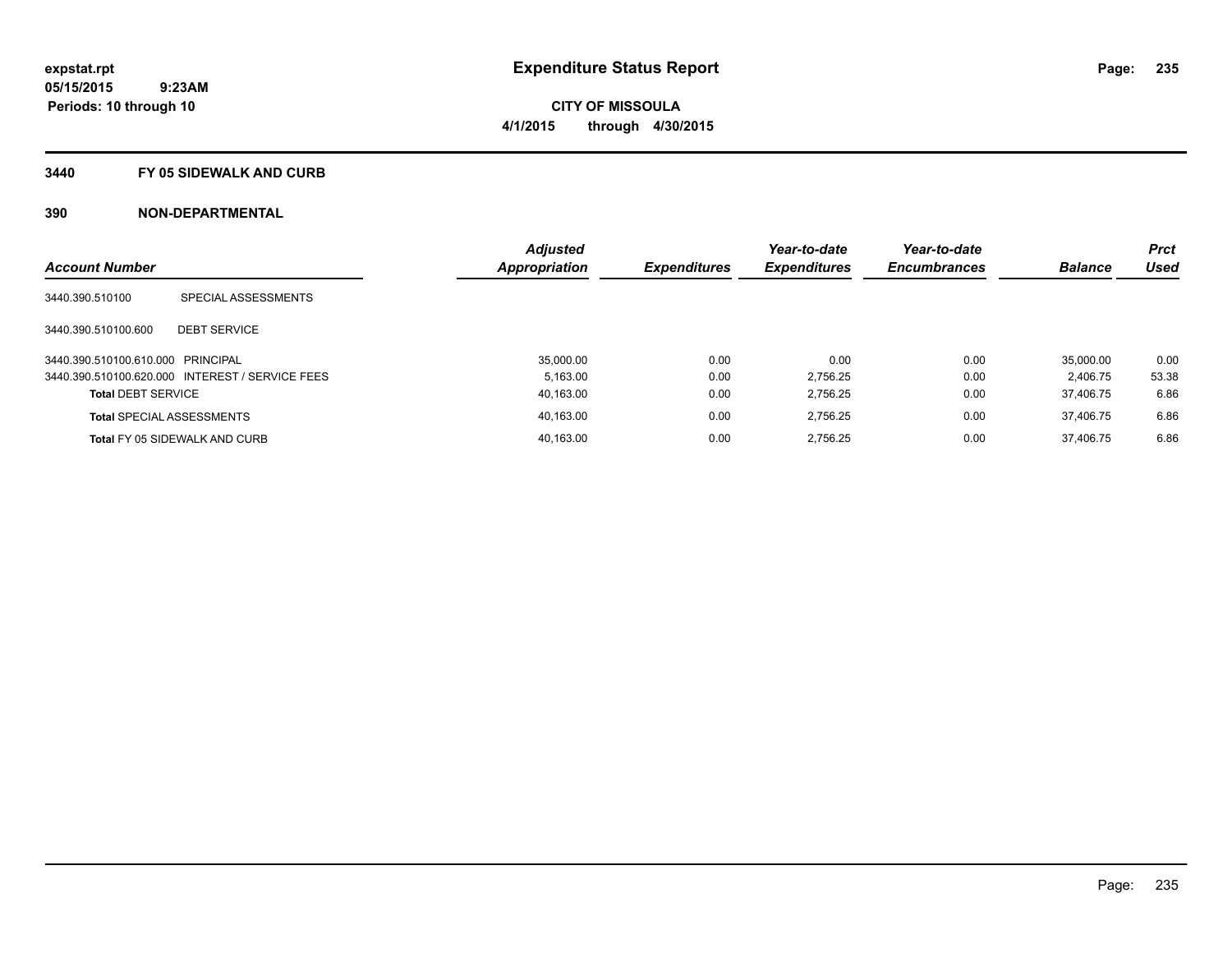#### **3440 FY 05 SIDEWALK AND CURB**

| <b>Account Number</b>             |                                                 | <b>Adjusted</b> |                     | Year-to-date        | Year-to-date        | <b>Balance</b> | <b>Prct</b><br>Used |
|-----------------------------------|-------------------------------------------------|-----------------|---------------------|---------------------|---------------------|----------------|---------------------|
|                                   |                                                 | Appropriation   | <b>Expenditures</b> | <b>Expenditures</b> | <b>Encumbrances</b> |                |                     |
| 3440.390.510100                   | SPECIAL ASSESSMENTS                             |                 |                     |                     |                     |                |                     |
| 3440.390.510100.600               | <b>DEBT SERVICE</b>                             |                 |                     |                     |                     |                |                     |
| 3440.390.510100.610.000 PRINCIPAL |                                                 | 35,000.00       | 0.00                | 0.00                | 0.00                | 35,000.00      | 0.00                |
|                                   | 3440.390.510100.620.000 INTEREST / SERVICE FEES | 5.163.00        | 0.00                | 2.756.25            | 0.00                | 2.406.75       | 53.38               |
| <b>Total DEBT SERVICE</b>         |                                                 | 40.163.00       | 0.00                | 2.756.25            | 0.00                | 37.406.75      | 6.86                |
|                                   | <b>Total SPECIAL ASSESSMENTS</b>                | 40,163.00       | 0.00                | 2.756.25            | 0.00                | 37.406.75      | 6.86                |
|                                   | <b>Total FY 05 SIDEWALK AND CURB</b>            | 40.163.00       | 0.00                | 2.756.25            | 0.00                | 37.406.75      | 6.86                |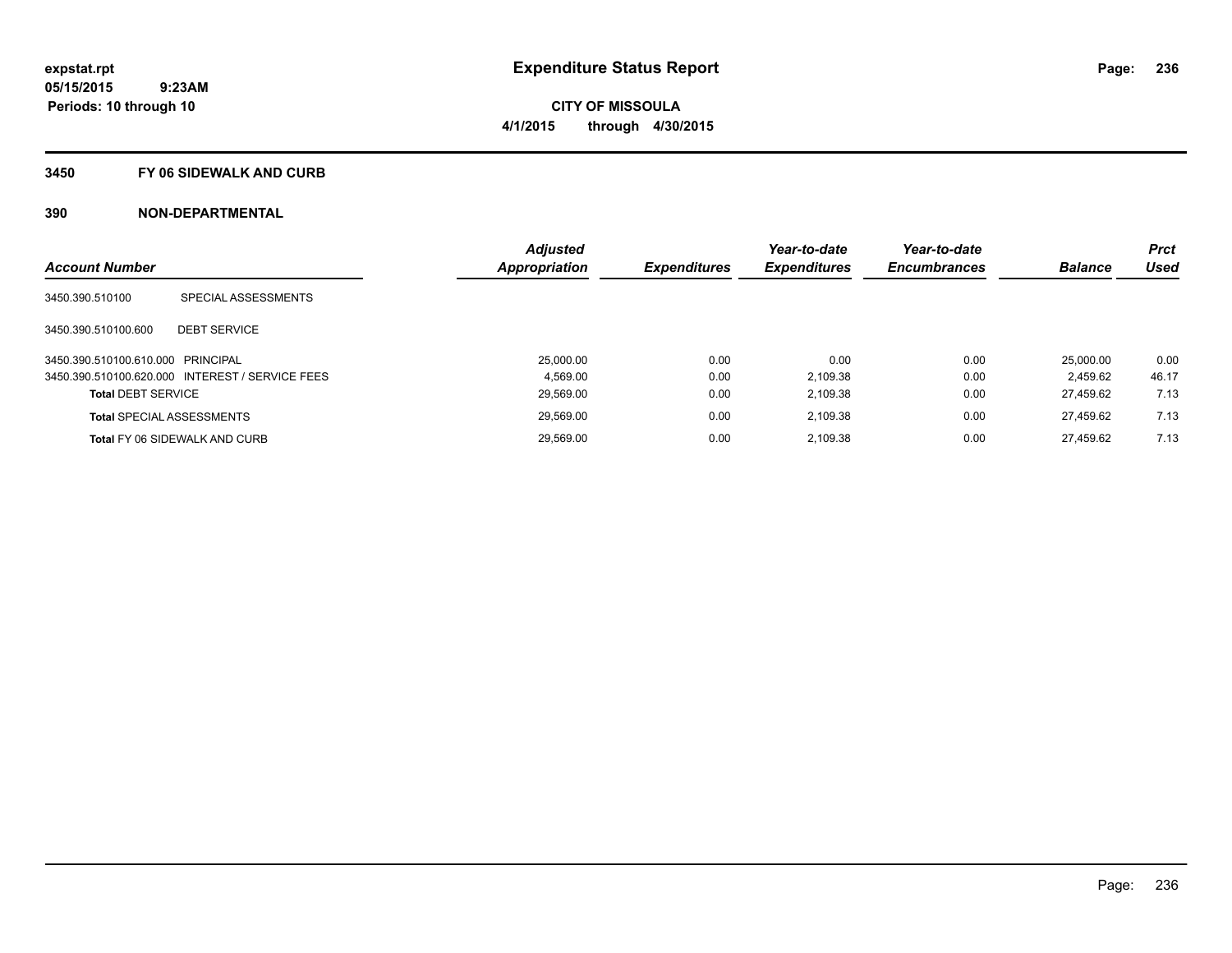**236**

**05/15/2015 9:23AM Periods: 10 through 10**

# **CITY OF MISSOULA 4/1/2015 through 4/30/2015**

#### **3450 FY 06 SIDEWALK AND CURB**

|                                   |                                                 | <b>Adjusted</b> |                     | Year-to-date        | Year-to-date        |                | <b>Prct</b> |
|-----------------------------------|-------------------------------------------------|-----------------|---------------------|---------------------|---------------------|----------------|-------------|
| <b>Account Number</b>             |                                                 | Appropriation   | <b>Expenditures</b> | <b>Expenditures</b> | <b>Encumbrances</b> | <b>Balance</b> | <b>Used</b> |
| 3450.390.510100                   | SPECIAL ASSESSMENTS                             |                 |                     |                     |                     |                |             |
| 3450.390.510100.600               | <b>DEBT SERVICE</b>                             |                 |                     |                     |                     |                |             |
| 3450.390.510100.610.000 PRINCIPAL |                                                 | 25,000.00       | 0.00                | 0.00                | 0.00                | 25,000.00      | 0.00        |
|                                   | 3450.390.510100.620.000 INTEREST / SERVICE FEES | 4.569.00        | 0.00                | 2.109.38            | 0.00                | 2.459.62       | 46.17       |
| <b>Total DEBT SERVICE</b>         |                                                 | 29.569.00       | 0.00                | 2.109.38            | 0.00                | 27.459.62      | 7.13        |
|                                   | <b>Total SPECIAL ASSESSMENTS</b>                | 29,569.00       | 0.00                | 2.109.38            | 0.00                | 27.459.62      | 7.13        |
|                                   | <b>Total FY 06 SIDEWALK AND CURB</b>            | 29.569.00       | 0.00                | 2.109.38            | 0.00                | 27.459.62      | 7.13        |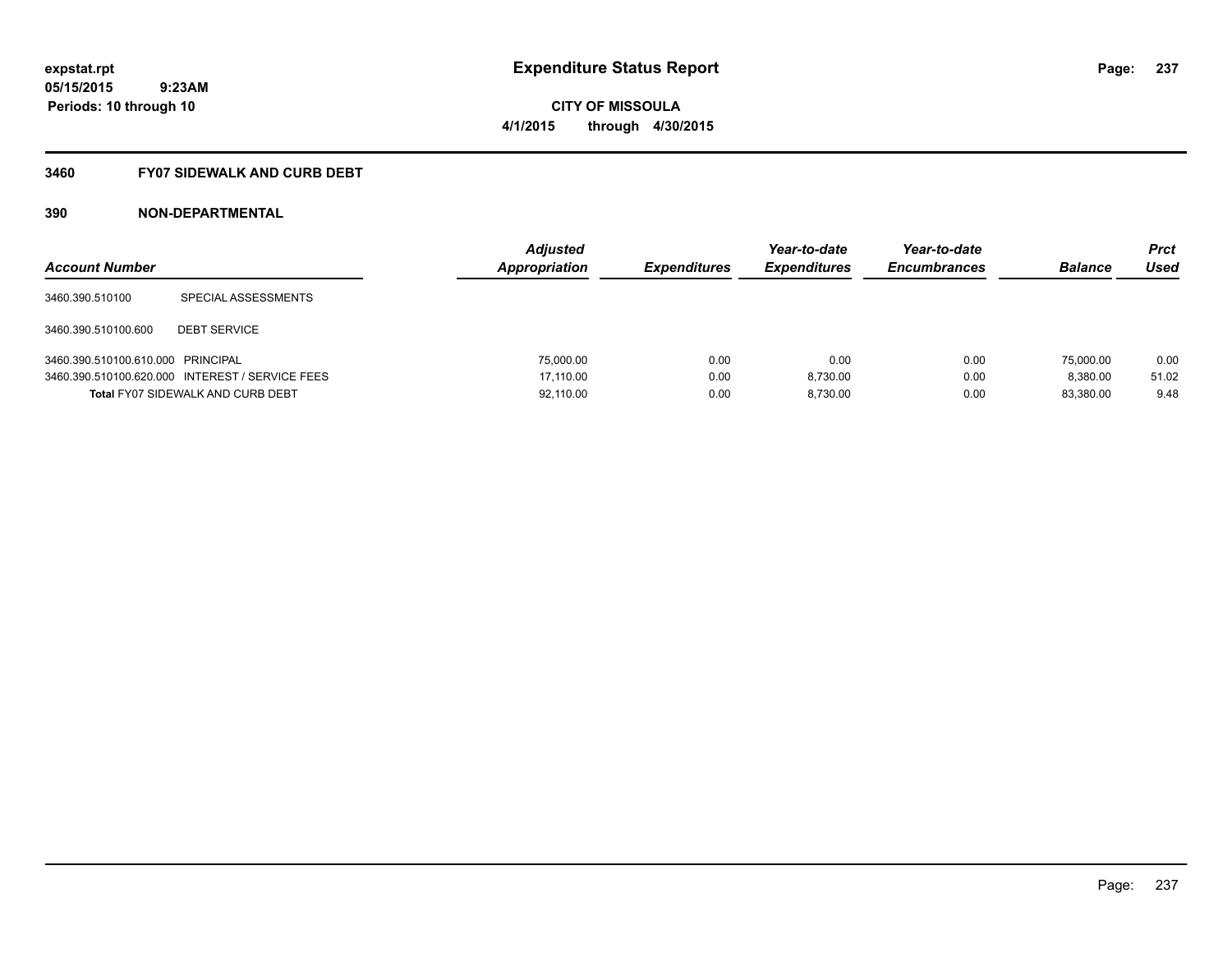**Periods: 10 through 10**

**CITY OF MISSOULA 4/1/2015 through 4/30/2015**

#### **3460 FY07 SIDEWALK AND CURB DEBT**

| <b>Account Number</b>             |                                                 | <b>Adjusted</b><br>Appropriation | <b>Expenditures</b> | Year-to-date<br><b>Expenditures</b> | Year-to-date<br><b>Encumbrances</b> | <b>Balance</b> | Prct<br>Used |
|-----------------------------------|-------------------------------------------------|----------------------------------|---------------------|-------------------------------------|-------------------------------------|----------------|--------------|
| 3460.390.510100                   | SPECIAL ASSESSMENTS                             |                                  |                     |                                     |                                     |                |              |
| 3460.390.510100.600               | <b>DEBT SERVICE</b>                             |                                  |                     |                                     |                                     |                |              |
| 3460.390.510100.610.000 PRINCIPAL |                                                 | 75,000.00                        | 0.00                | 0.00                                | 0.00                                | 75,000.00      | 0.00         |
|                                   | 3460.390.510100.620.000 INTEREST / SERVICE FEES | 17.110.00                        | 0.00                | 8.730.00                            | 0.00                                | 8.380.00       | 51.02        |
|                                   | <b>Total FY07 SIDEWALK AND CURB DEBT</b>        | 92,110.00                        | 0.00                | 8.730.00                            | 0.00                                | 83.380.00      | 9.48         |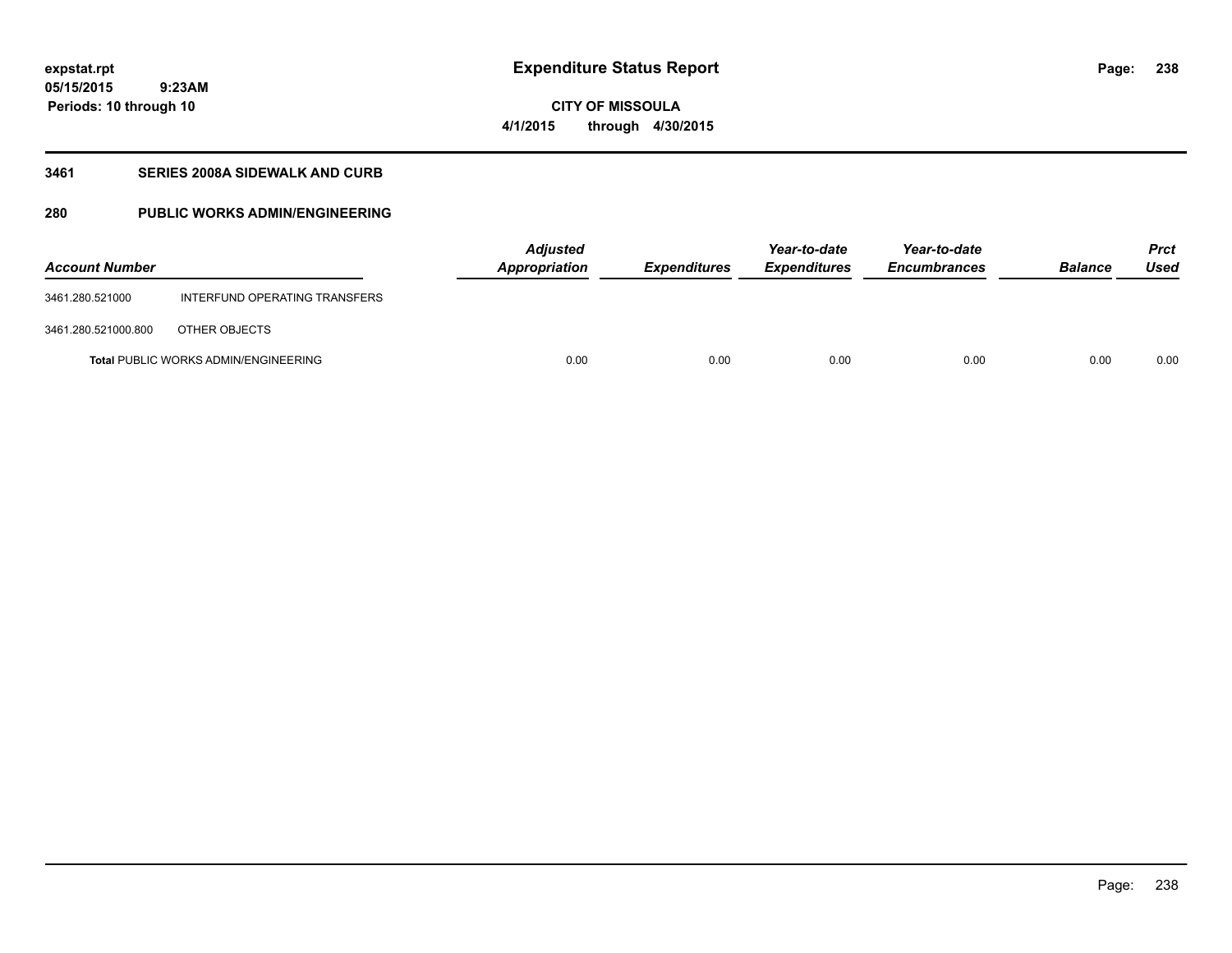**238**

**05/15/2015 9:23AM Periods: 10 through 10**

# **CITY OF MISSOULA 4/1/2015 through 4/30/2015**

### **3461 SERIES 2008A SIDEWALK AND CURB**

### **280 PUBLIC WORKS ADMIN/ENGINEERING**

| <b>Account Number</b> |                                             | <b>Adjusted</b><br>Appropriation | Expenditures | Year-to-date<br><i><b>Expenditures</b></i> | Year-to-date<br><b>Encumbrances</b> | <b>Balance</b> | <b>Prct</b><br>Used |
|-----------------------|---------------------------------------------|----------------------------------|--------------|--------------------------------------------|-------------------------------------|----------------|---------------------|
| 3461.280.521000       | INTERFUND OPERATING TRANSFERS               |                                  |              |                                            |                                     |                |                     |
| 3461.280.521000.800   | OTHER OBJECTS                               |                                  |              |                                            |                                     |                |                     |
|                       | <b>Total PUBLIC WORKS ADMIN/ENGINEERING</b> | 0.00                             | 0.00         | 0.00                                       | 0.00                                | 0.00           | 0.00                |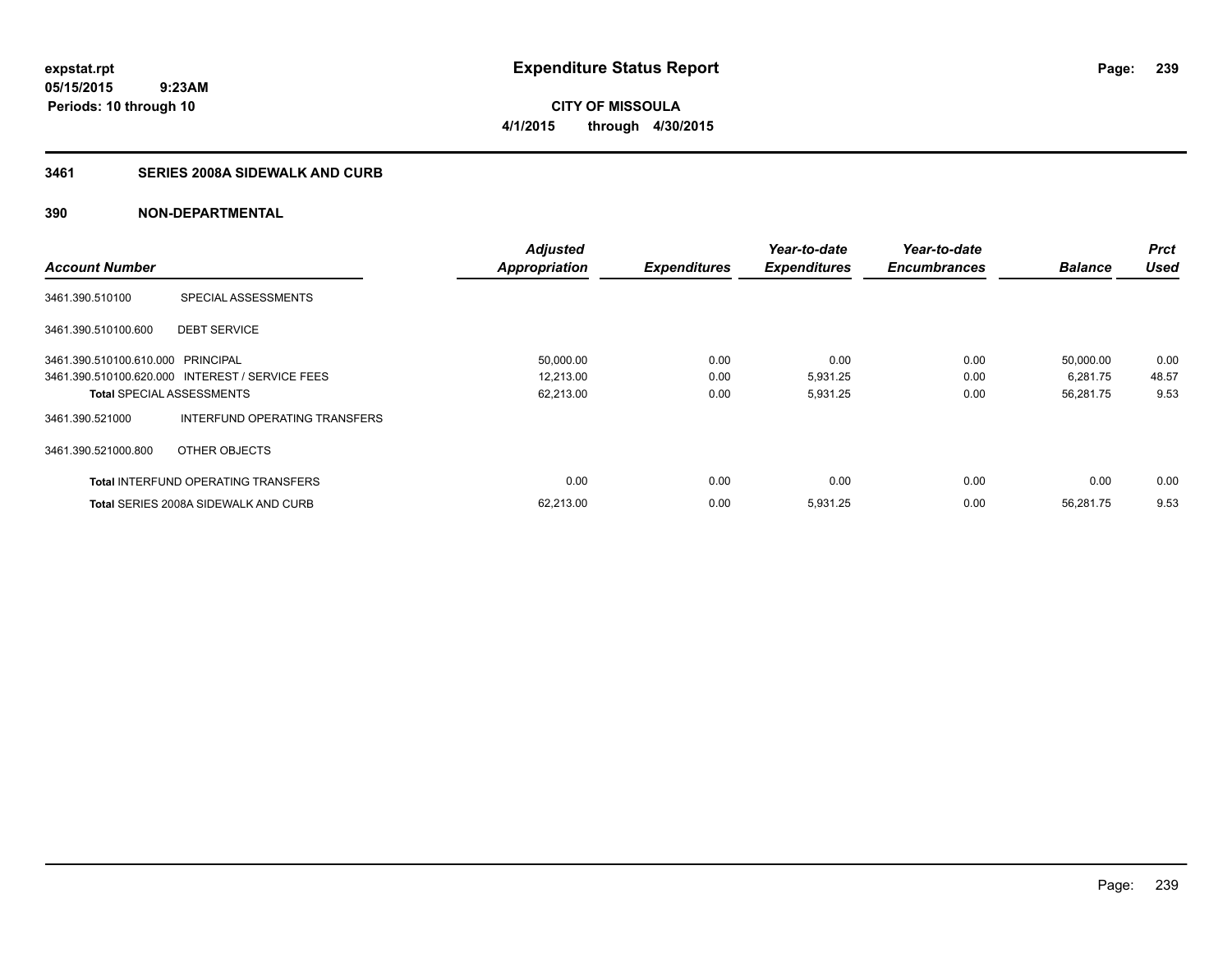**CITY OF MISSOULA 4/1/2015 through 4/30/2015**

### **3461 SERIES 2008A SIDEWALK AND CURB**

|                                   |                                                 | <b>Adjusted</b>      |                     | Year-to-date        | Year-to-date        |                | <b>Prct</b> |
|-----------------------------------|-------------------------------------------------|----------------------|---------------------|---------------------|---------------------|----------------|-------------|
| <b>Account Number</b>             |                                                 | <b>Appropriation</b> | <b>Expenditures</b> | <b>Expenditures</b> | <b>Encumbrances</b> | <b>Balance</b> | <b>Used</b> |
| 3461.390.510100                   | SPECIAL ASSESSMENTS                             |                      |                     |                     |                     |                |             |
| 3461.390.510100.600               | <b>DEBT SERVICE</b>                             |                      |                     |                     |                     |                |             |
| 3461.390.510100.610.000 PRINCIPAL |                                                 | 50,000.00            | 0.00                | 0.00                | 0.00                | 50,000.00      | 0.00        |
|                                   | 3461.390.510100.620.000 INTEREST / SERVICE FEES | 12,213.00            | 0.00                | 5,931.25            | 0.00                | 6,281.75       | 48.57       |
| <b>Total SPECIAL ASSESSMENTS</b>  |                                                 | 62,213.00            | 0.00                | 5,931.25            | 0.00                | 56,281.75      | 9.53        |
| 3461.390.521000                   | INTERFUND OPERATING TRANSFERS                   |                      |                     |                     |                     |                |             |
| 3461.390.521000.800               | OTHER OBJECTS                                   |                      |                     |                     |                     |                |             |
|                                   | <b>Total INTERFUND OPERATING TRANSFERS</b>      | 0.00                 | 0.00                | 0.00                | 0.00                | 0.00           | 0.00        |
|                                   | <b>Total SERIES 2008A SIDEWALK AND CURB</b>     | 62,213.00            | 0.00                | 5,931.25            | 0.00                | 56.281.75      | 9.53        |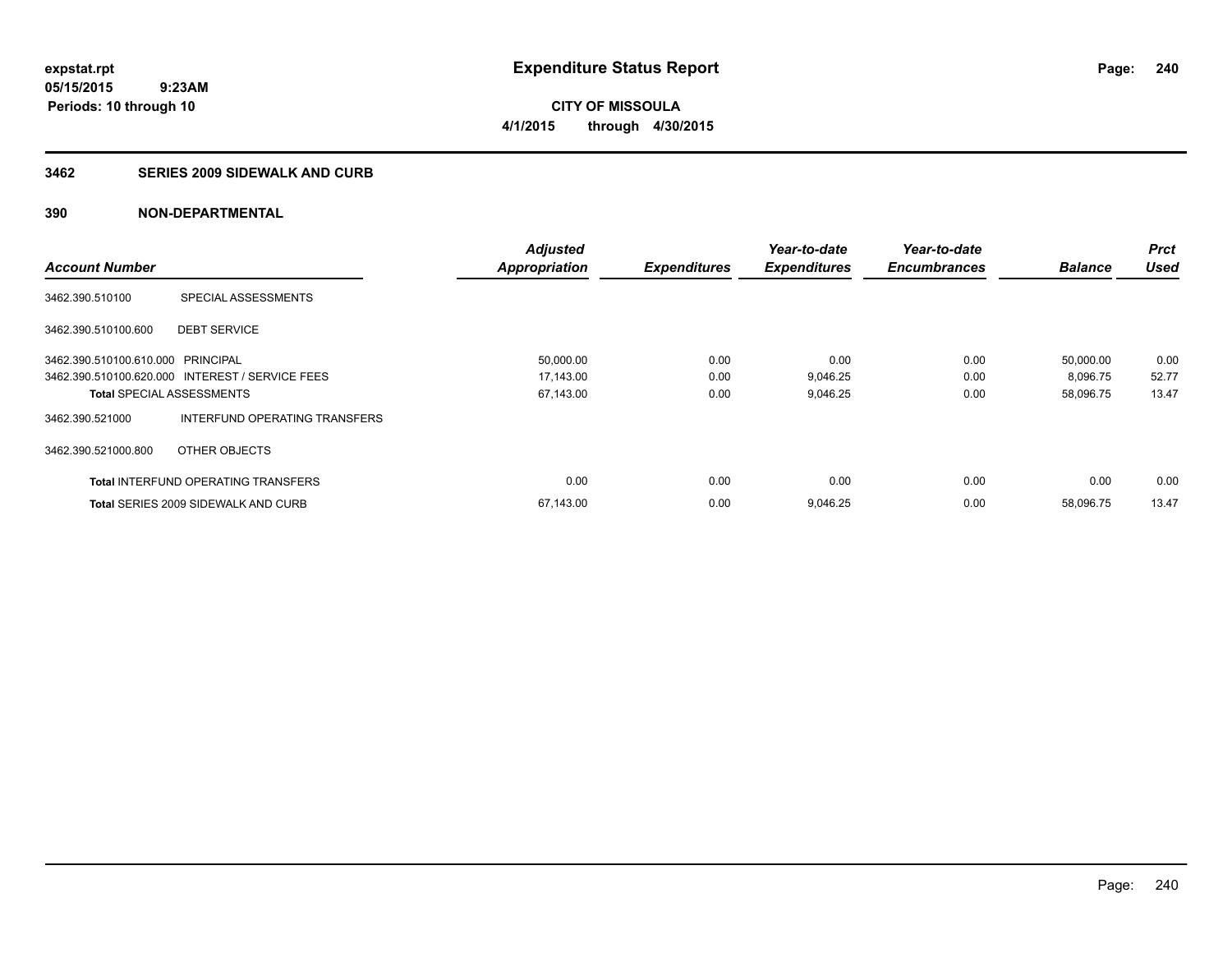**240**

**05/15/2015 9:23AM Periods: 10 through 10**

# **CITY OF MISSOULA 4/1/2015 through 4/30/2015**

#### **3462 SERIES 2009 SIDEWALK AND CURB**

|                                   |                                                 | <b>Adjusted</b> |                     | Year-to-date        | Year-to-date        |                | <b>Prct</b> |
|-----------------------------------|-------------------------------------------------|-----------------|---------------------|---------------------|---------------------|----------------|-------------|
| <b>Account Number</b>             |                                                 | Appropriation   | <b>Expenditures</b> | <b>Expenditures</b> | <b>Encumbrances</b> | <b>Balance</b> | <b>Used</b> |
| 3462.390.510100                   | SPECIAL ASSESSMENTS                             |                 |                     |                     |                     |                |             |
| 3462.390.510100.600               | <b>DEBT SERVICE</b>                             |                 |                     |                     |                     |                |             |
| 3462.390.510100.610.000 PRINCIPAL |                                                 | 50,000.00       | 0.00                | 0.00                | 0.00                | 50,000.00      | 0.00        |
|                                   | 3462.390.510100.620.000 INTEREST / SERVICE FEES | 17,143.00       | 0.00                | 9,046.25            | 0.00                | 8,096.75       | 52.77       |
| <b>Total SPECIAL ASSESSMENTS</b>  |                                                 | 67,143.00       | 0.00                | 9,046.25            | 0.00                | 58,096.75      | 13.47       |
| 3462.390.521000                   | INTERFUND OPERATING TRANSFERS                   |                 |                     |                     |                     |                |             |
| 3462.390.521000.800               | OTHER OBJECTS                                   |                 |                     |                     |                     |                |             |
|                                   | <b>Total INTERFUND OPERATING TRANSFERS</b>      | 0.00            | 0.00                | 0.00                | 0.00                | 0.00           | 0.00        |
|                                   | <b>Total SERIES 2009 SIDEWALK AND CURB</b>      | 67,143.00       | 0.00                | 9,046.25            | 0.00                | 58,096.75      | 13.47       |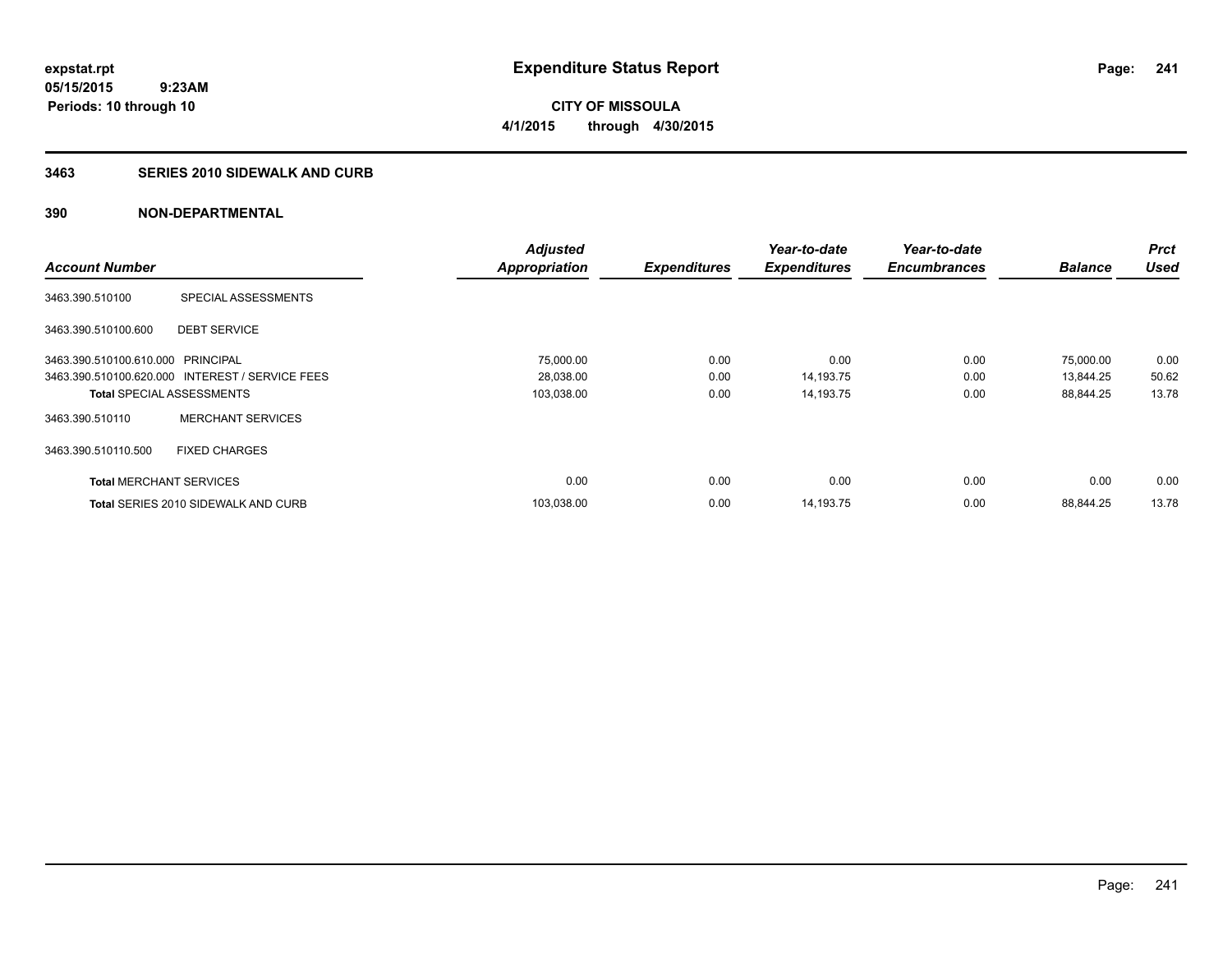**241**

**05/15/2015 9:23AM Periods: 10 through 10**

**CITY OF MISSOULA 4/1/2015 through 4/30/2015**

#### **3463 SERIES 2010 SIDEWALK AND CURB**

|                                   |                                                 | <b>Adjusted</b>      |                     | Year-to-date        | Year-to-date        |                | <b>Prct</b> |
|-----------------------------------|-------------------------------------------------|----------------------|---------------------|---------------------|---------------------|----------------|-------------|
| <b>Account Number</b>             |                                                 | <b>Appropriation</b> | <b>Expenditures</b> | <b>Expenditures</b> | <b>Encumbrances</b> | <b>Balance</b> | <b>Used</b> |
| 3463.390.510100                   | SPECIAL ASSESSMENTS                             |                      |                     |                     |                     |                |             |
| 3463.390.510100.600               | <b>DEBT SERVICE</b>                             |                      |                     |                     |                     |                |             |
| 3463.390.510100.610.000 PRINCIPAL |                                                 | 75,000.00            | 0.00                | 0.00                | 0.00                | 75,000.00      | 0.00        |
|                                   | 3463.390.510100.620.000 INTEREST / SERVICE FEES | 28,038.00            | 0.00                | 14,193.75           | 0.00                | 13,844.25      | 50.62       |
| <b>Total SPECIAL ASSESSMENTS</b>  |                                                 | 103,038.00           | 0.00                | 14,193.75           | 0.00                | 88,844.25      | 13.78       |
| 3463.390.510110                   | <b>MERCHANT SERVICES</b>                        |                      |                     |                     |                     |                |             |
| 3463.390.510110.500               | <b>FIXED CHARGES</b>                            |                      |                     |                     |                     |                |             |
| <b>Total MERCHANT SERVICES</b>    |                                                 | 0.00                 | 0.00                | 0.00                | 0.00                | 0.00           | 0.00        |
|                                   | <b>Total SERIES 2010 SIDEWALK AND CURB</b>      | 103,038.00           | 0.00                | 14,193.75           | 0.00                | 88.844.25      | 13.78       |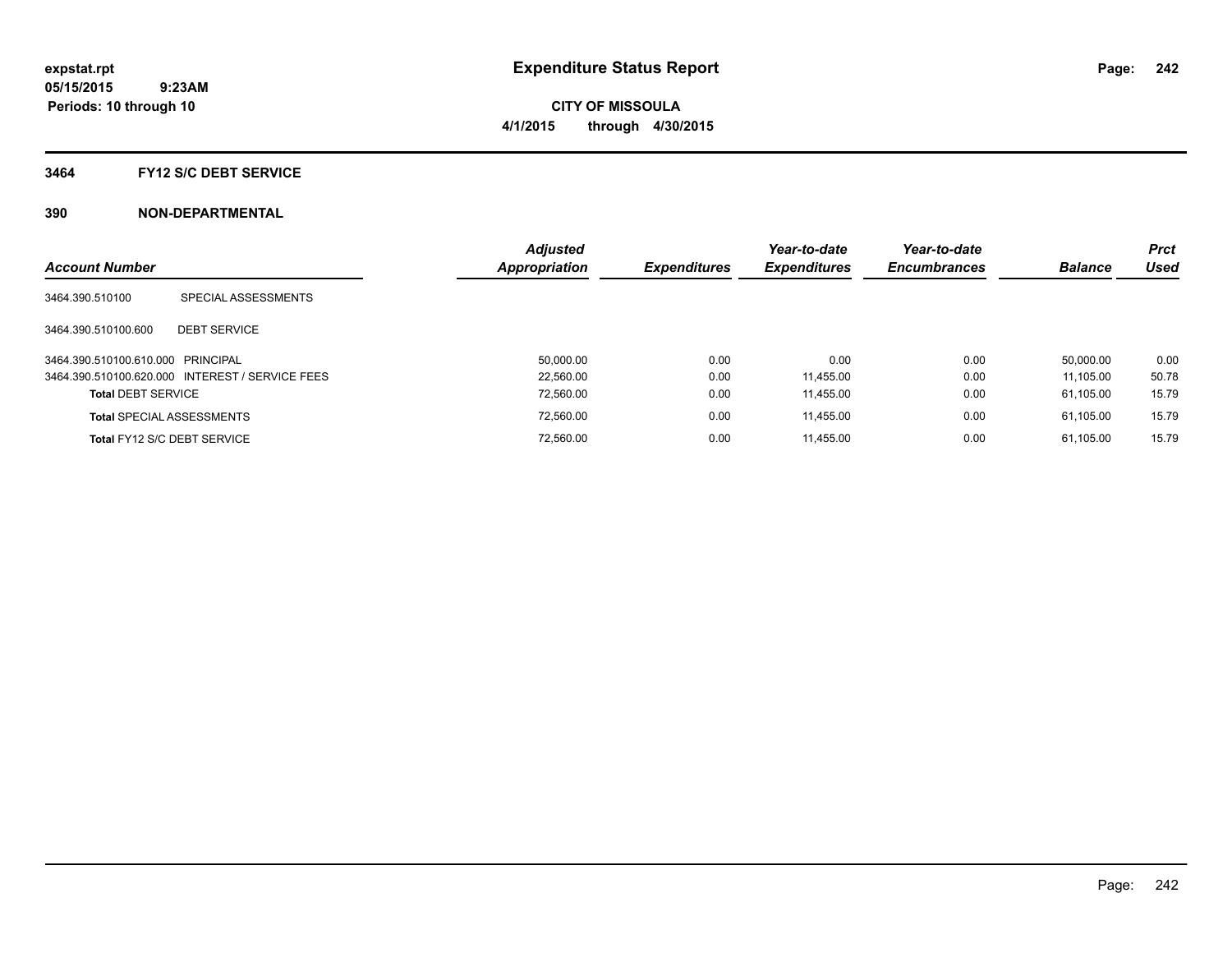**Periods: 10 through 10**

**CITY OF MISSOULA 4/1/2015 through 4/30/2015**

#### **3464 FY12 S/C DEBT SERVICE**

 **9:23AM**

| <b>Account Number</b>             |                                                 | <b>Adjusted</b><br><b>Appropriation</b> | <b>Expenditures</b> | Year-to-date<br><b>Expenditures</b> | Year-to-date<br><b>Encumbrances</b> | <b>Balance</b> | <b>Prct</b><br>Used |
|-----------------------------------|-------------------------------------------------|-----------------------------------------|---------------------|-------------------------------------|-------------------------------------|----------------|---------------------|
| 3464.390.510100                   | SPECIAL ASSESSMENTS                             |                                         |                     |                                     |                                     |                |                     |
| 3464.390.510100.600               | <b>DEBT SERVICE</b>                             |                                         |                     |                                     |                                     |                |                     |
| 3464.390.510100.610.000 PRINCIPAL |                                                 | 50.000.00                               | 0.00                | 0.00                                | 0.00                                | 50.000.00      | 0.00                |
|                                   | 3464.390.510100.620.000 INTEREST / SERVICE FEES | 22.560.00                               | 0.00                | 11.455.00                           | 0.00                                | 11.105.00      | 50.78               |
| <b>Total DEBT SERVICE</b>         |                                                 | 72,560.00                               | 0.00                | 11,455.00                           | 0.00                                | 61.105.00      | 15.79               |
|                                   | <b>Total SPECIAL ASSESSMENTS</b>                | 72,560.00                               | 0.00                | 11.455.00                           | 0.00                                | 61.105.00      | 15.79               |
|                                   | Total FY12 S/C DEBT SERVICE                     | 72.560.00                               | 0.00                | 11.455.00                           | 0.00                                | 61.105.00      | 15.79               |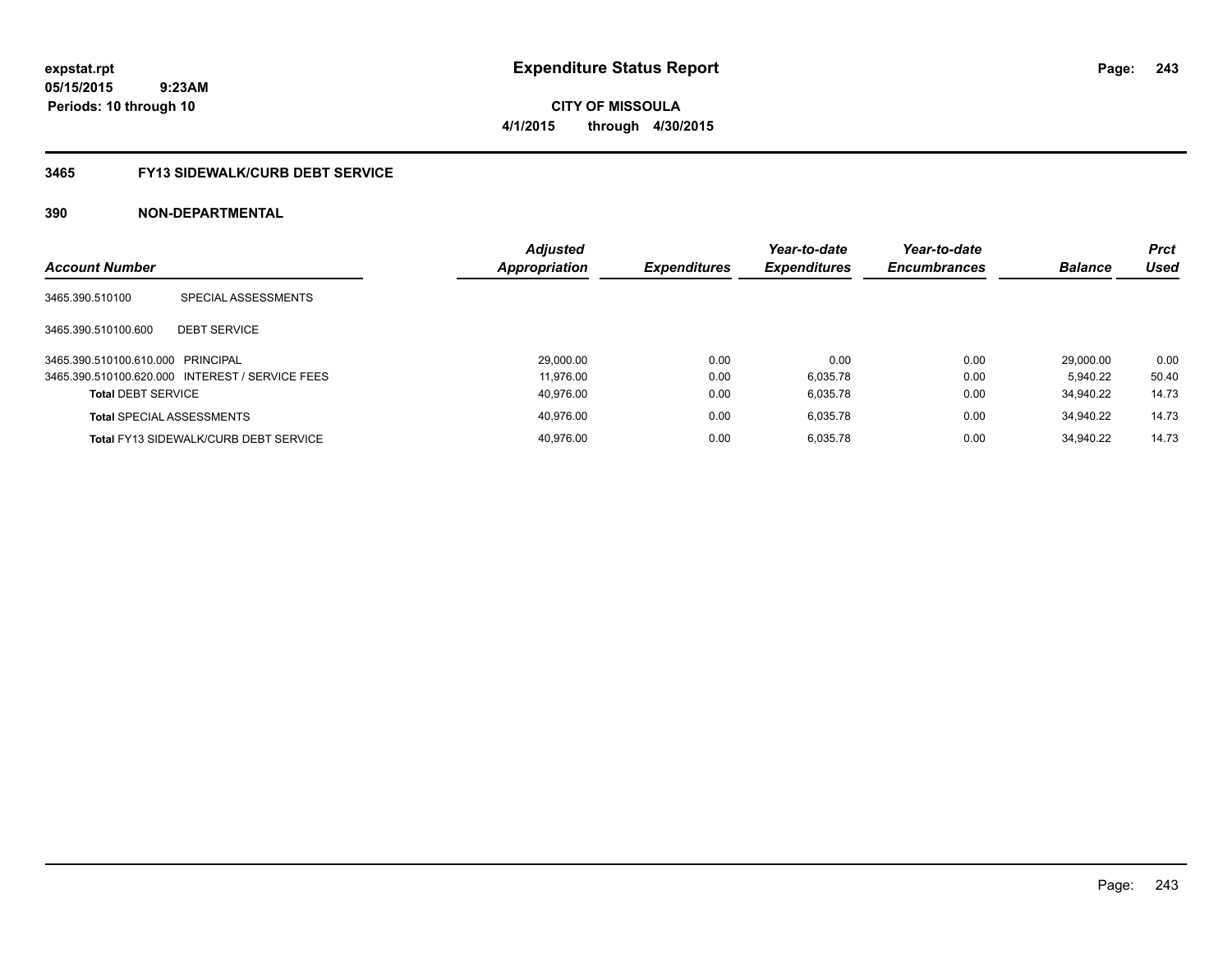**expstat.rpt Expenditure Status Report** 

**05/15/2015 9:23AM Periods: 10 through 10**

**CITY OF MISSOULA 4/1/2015 through 4/30/2015**

#### **3465 FY13 SIDEWALK/CURB DEBT SERVICE**

| <b>Account Number</b>             |                                                 | <b>Adjusted</b><br><b>Appropriation</b> | <b>Expenditures</b> | Year-to-date<br><b>Expenditures</b> | Year-to-date<br><b>Encumbrances</b> | <b>Balance</b> | <b>Prct</b><br>Used |
|-----------------------------------|-------------------------------------------------|-----------------------------------------|---------------------|-------------------------------------|-------------------------------------|----------------|---------------------|
| 3465.390.510100                   | SPECIAL ASSESSMENTS                             |                                         |                     |                                     |                                     |                |                     |
| 3465.390.510100.600               | <b>DEBT SERVICE</b>                             |                                         |                     |                                     |                                     |                |                     |
| 3465.390.510100.610.000 PRINCIPAL |                                                 | 29.000.00                               | 0.00                | 0.00                                | 0.00                                | 29.000.00      | 0.00                |
|                                   | 3465.390.510100.620.000 INTEREST / SERVICE FEES | 11.976.00                               | 0.00                | 6.035.78                            | 0.00                                | 5.940.22       | 50.40               |
| <b>Total DEBT SERVICE</b>         |                                                 | 40.976.00                               | 0.00                | 6.035.78                            | 0.00                                | 34.940.22      | 14.73               |
|                                   | <b>Total SPECIAL ASSESSMENTS</b>                | 40.976.00                               | 0.00                | 6.035.78                            | 0.00                                | 34.940.22      | 14.73               |
|                                   | <b>Total FY13 SIDEWALK/CURB DEBT SERVICE</b>    | 40.976.00                               | 0.00                | 6.035.78                            | 0.00                                | 34.940.22      | 14.73               |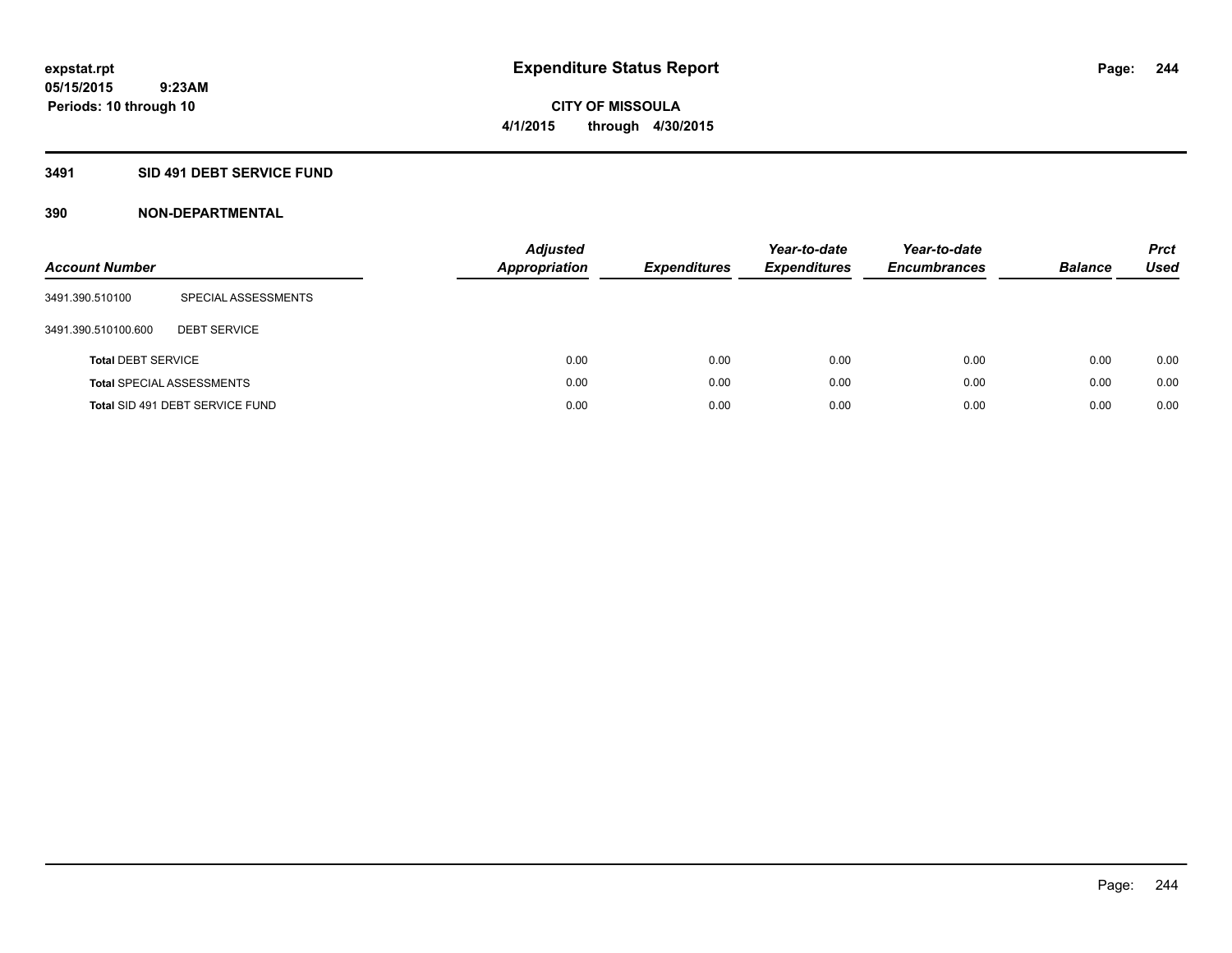### **3491 SID 491 DEBT SERVICE FUND**

| <b>Account Number</b>     |                                  | <b>Adjusted</b><br><b>Appropriation</b> | <b>Expenditures</b> | Year-to-date<br><b>Expenditures</b> | Year-to-date<br><b>Encumbrances</b> | <b>Balance</b> | <b>Prct</b><br>Used |
|---------------------------|----------------------------------|-----------------------------------------|---------------------|-------------------------------------|-------------------------------------|----------------|---------------------|
| 3491.390.510100           | SPECIAL ASSESSMENTS              |                                         |                     |                                     |                                     |                |                     |
| 3491.390.510100.600       | <b>DEBT SERVICE</b>              |                                         |                     |                                     |                                     |                |                     |
| <b>Total DEBT SERVICE</b> |                                  | 0.00                                    | 0.00                | 0.00                                | 0.00                                | 0.00           | 0.00                |
|                           | <b>Total SPECIAL ASSESSMENTS</b> | 0.00                                    | 0.00                | 0.00                                | 0.00                                | 0.00           | 0.00                |
|                           | Total SID 491 DEBT SERVICE FUND  | 0.00                                    | 0.00                | 0.00                                | 0.00                                | 0.00           | 0.00                |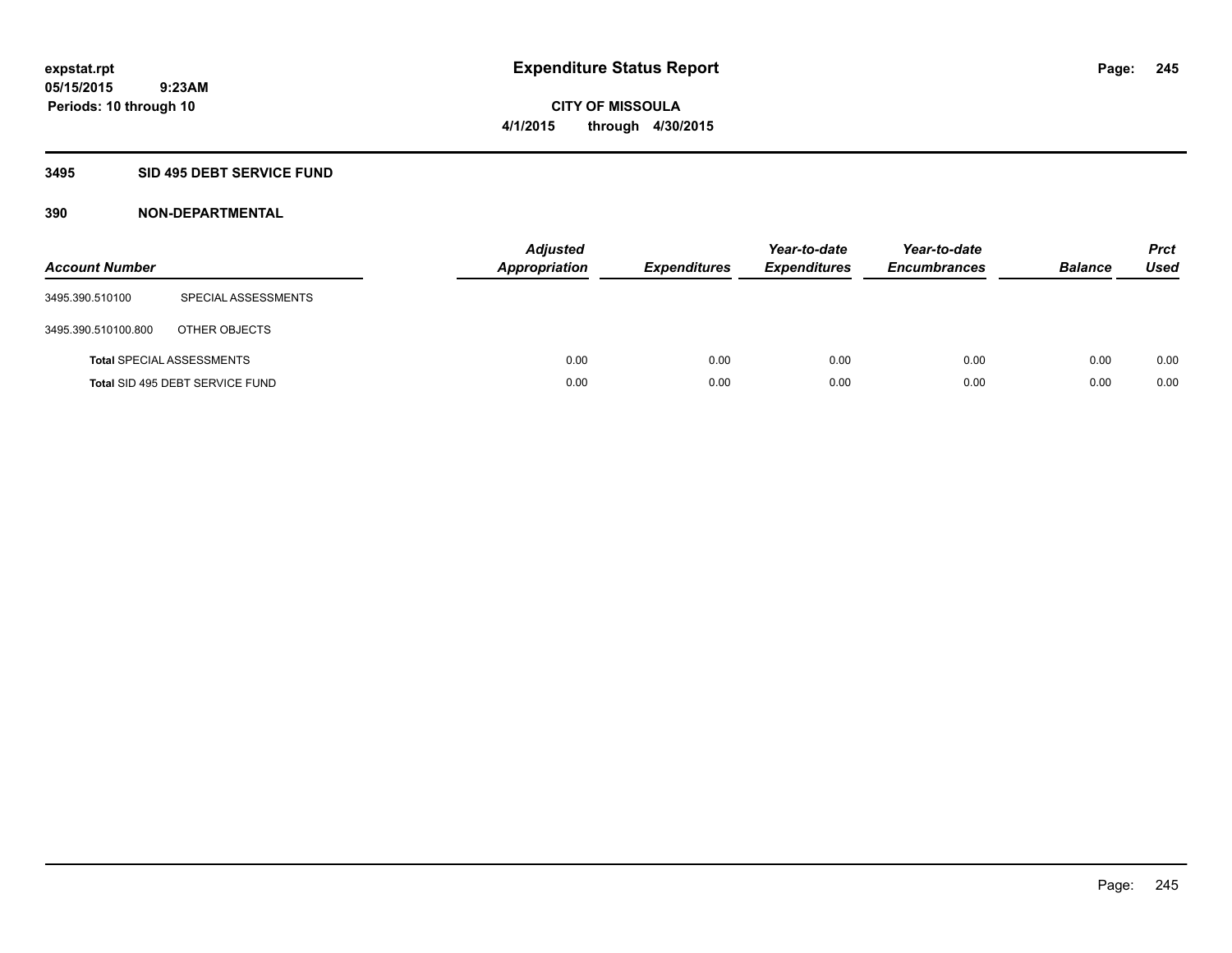#### **3495 SID 495 DEBT SERVICE FUND**

| <b>Account Number</b> |                                  | <b>Adjusted</b><br><b>Appropriation</b> | <b>Expenditures</b> | Year-to-date<br><b>Expenditures</b> | Year-to-date<br><b>Encumbrances</b> | <b>Balance</b> | <b>Prct</b><br>Used |
|-----------------------|----------------------------------|-----------------------------------------|---------------------|-------------------------------------|-------------------------------------|----------------|---------------------|
| 3495.390.510100       | SPECIAL ASSESSMENTS              |                                         |                     |                                     |                                     |                |                     |
| 3495.390.510100.800   | OTHER OBJECTS                    |                                         |                     |                                     |                                     |                |                     |
|                       | <b>Total SPECIAL ASSESSMENTS</b> | 0.00                                    | 0.00                | 0.00                                | 0.00                                | 0.00           | 0.00                |
|                       | Total SID 495 DEBT SERVICE FUND  | 0.00                                    | 0.00                | 0.00                                | 0.00                                | 0.00           | 0.00                |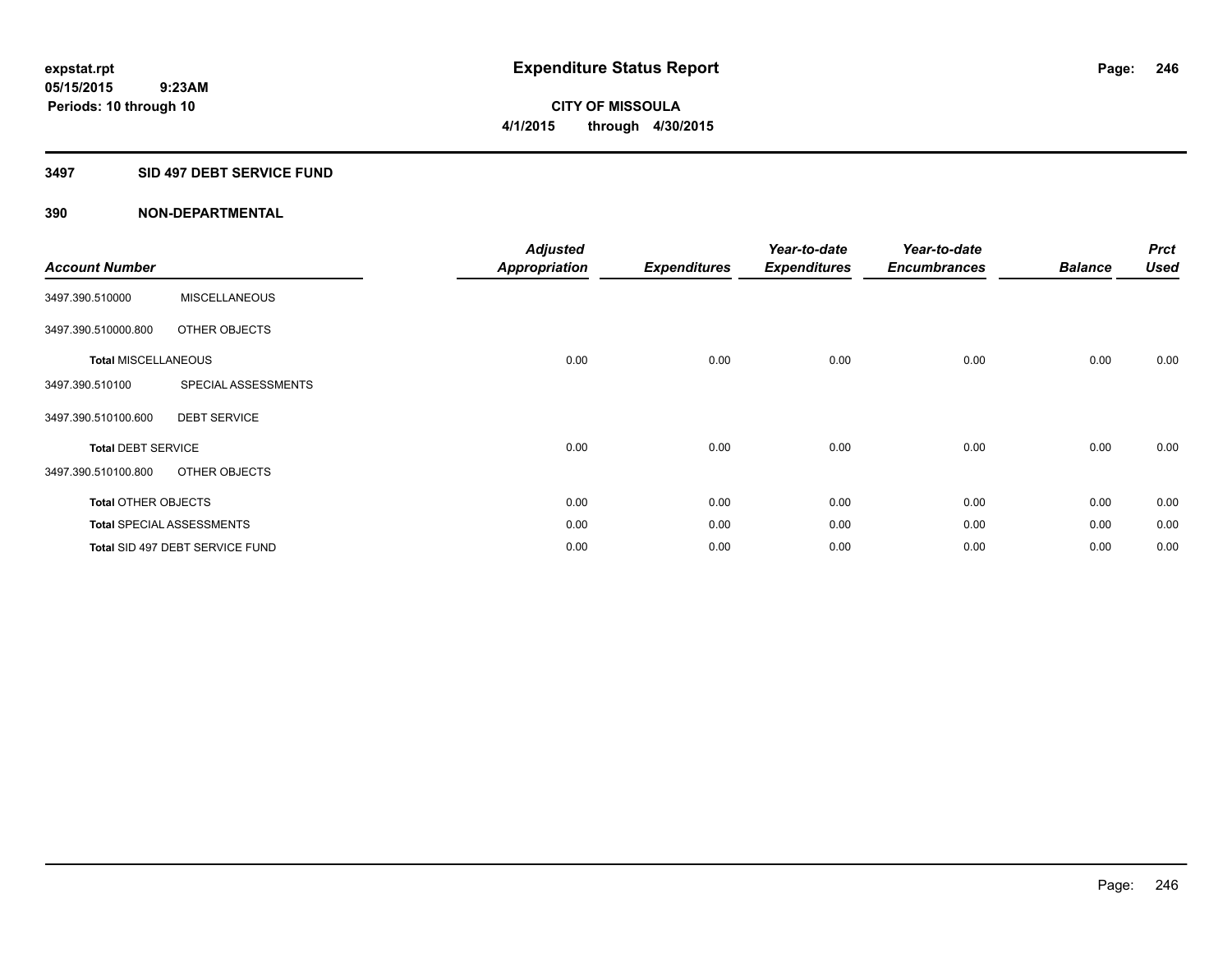#### **3497 SID 497 DEBT SERVICE FUND**

| <b>Account Number</b>      |                                  | <b>Adjusted</b><br><b>Appropriation</b> | <b>Expenditures</b> | Year-to-date<br><b>Expenditures</b> | Year-to-date<br><b>Encumbrances</b> | <b>Balance</b> | <b>Prct</b><br><b>Used</b> |
|----------------------------|----------------------------------|-----------------------------------------|---------------------|-------------------------------------|-------------------------------------|----------------|----------------------------|
| 3497.390.510000            | <b>MISCELLANEOUS</b>             |                                         |                     |                                     |                                     |                |                            |
| 3497.390.510000.800        | OTHER OBJECTS                    |                                         |                     |                                     |                                     |                |                            |
| <b>Total MISCELLANEOUS</b> |                                  | 0.00                                    | 0.00                | 0.00                                | 0.00                                | 0.00           | 0.00                       |
| 3497.390.510100            | SPECIAL ASSESSMENTS              |                                         |                     |                                     |                                     |                |                            |
| 3497.390.510100.600        | <b>DEBT SERVICE</b>              |                                         |                     |                                     |                                     |                |                            |
| <b>Total DEBT SERVICE</b>  |                                  | 0.00                                    | 0.00                | 0.00                                | 0.00                                | 0.00           | 0.00                       |
| 3497.390.510100.800        | OTHER OBJECTS                    |                                         |                     |                                     |                                     |                |                            |
| <b>Total OTHER OBJECTS</b> |                                  | 0.00                                    | 0.00                | 0.00                                | 0.00                                | 0.00           | 0.00                       |
|                            | <b>Total SPECIAL ASSESSMENTS</b> | 0.00                                    | 0.00                | 0.00                                | 0.00                                | 0.00           | 0.00                       |
|                            | Total SID 497 DEBT SERVICE FUND  | 0.00                                    | 0.00                | 0.00                                | 0.00                                | 0.00           | 0.00                       |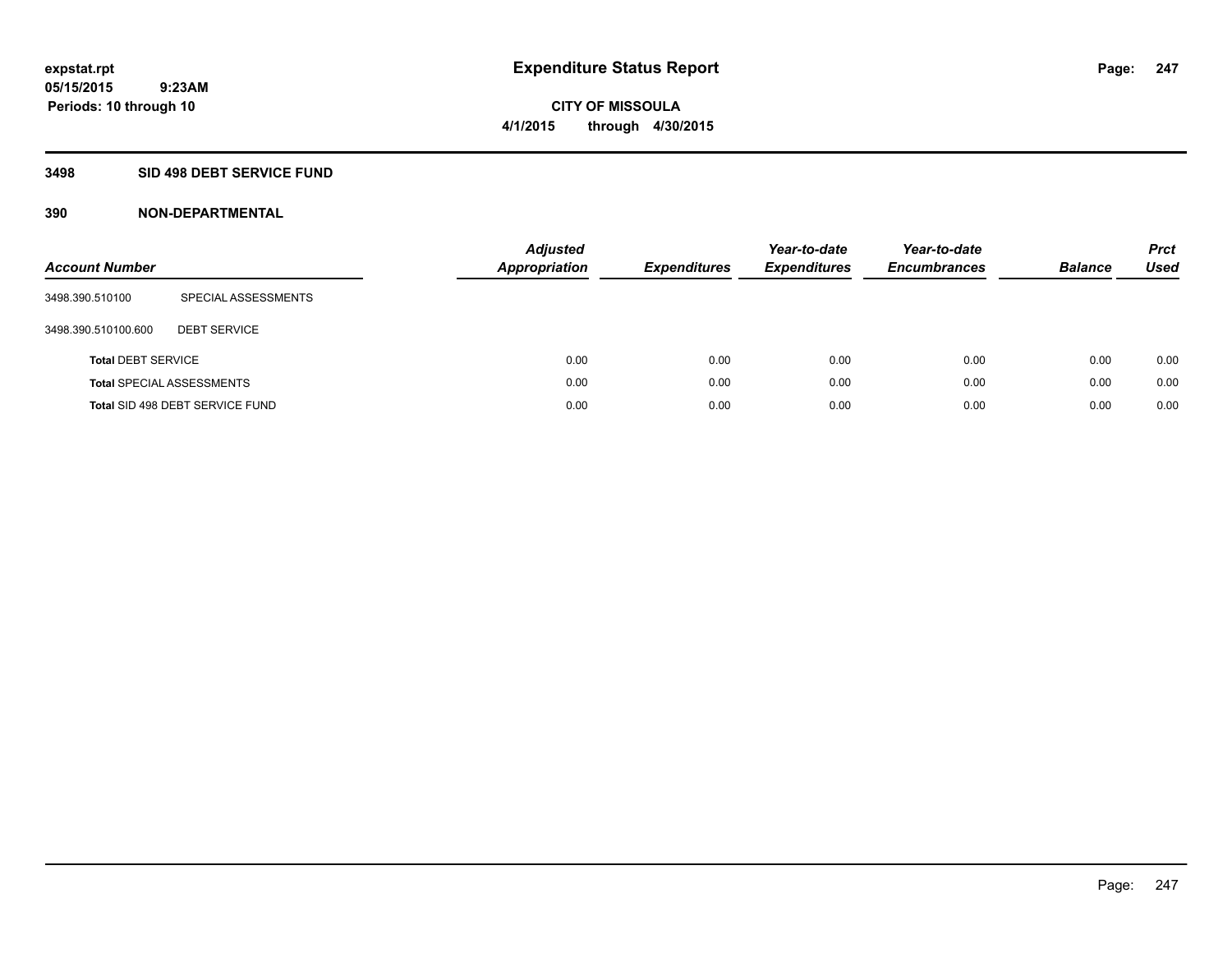**Periods: 10 through 10**

**CITY OF MISSOULA 4/1/2015 through 4/30/2015**

#### **3498 SID 498 DEBT SERVICE FUND**

 **9:23AM**

| <b>Account Number</b>     |                                  | <b>Adjusted</b><br><b>Appropriation</b> | <b>Expenditures</b> | Year-to-date<br><b>Expenditures</b> | Year-to-date<br><b>Encumbrances</b> | <b>Balance</b> | <b>Prct</b><br><b>Used</b> |
|---------------------------|----------------------------------|-----------------------------------------|---------------------|-------------------------------------|-------------------------------------|----------------|----------------------------|
| 3498.390.510100           | SPECIAL ASSESSMENTS              |                                         |                     |                                     |                                     |                |                            |
| 3498.390.510100.600       | <b>DEBT SERVICE</b>              |                                         |                     |                                     |                                     |                |                            |
| <b>Total DEBT SERVICE</b> |                                  | 0.00                                    | 0.00                | 0.00                                | 0.00                                | 0.00           | 0.00                       |
|                           | <b>Total SPECIAL ASSESSMENTS</b> | 0.00                                    | 0.00                | 0.00                                | 0.00                                | 0.00           | 0.00                       |
|                           | Total SID 498 DEBT SERVICE FUND  | 0.00                                    | 0.00                | 0.00                                | 0.00                                | 0.00           | 0.00                       |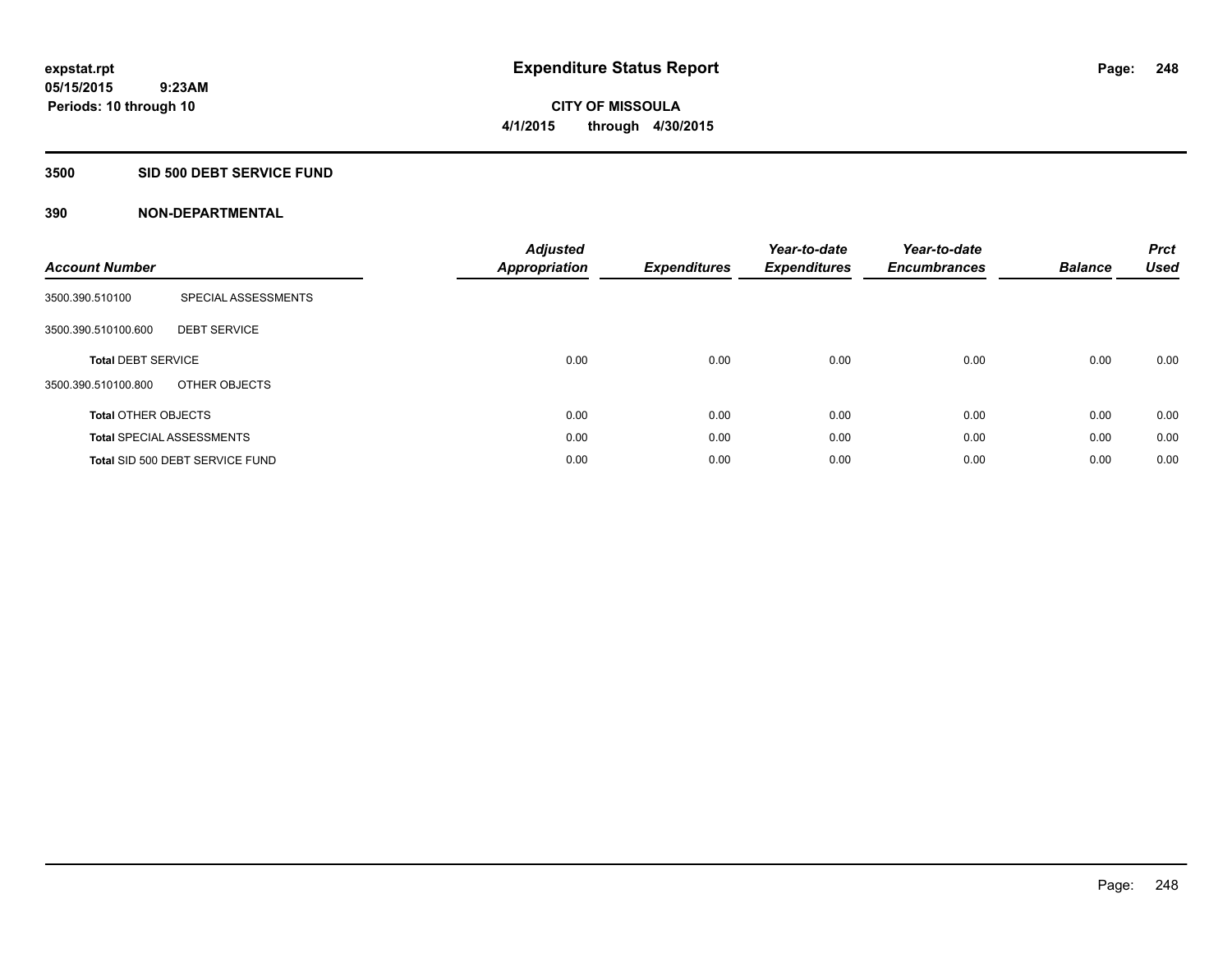#### **3500 SID 500 DEBT SERVICE FUND**

| <b>Account Number</b>      |                                  | <b>Adjusted</b><br>Appropriation | <b>Expenditures</b> | Year-to-date<br><b>Expenditures</b> | Year-to-date<br><b>Encumbrances</b> | <b>Balance</b> | <b>Prct</b><br><b>Used</b> |
|----------------------------|----------------------------------|----------------------------------|---------------------|-------------------------------------|-------------------------------------|----------------|----------------------------|
| 3500.390.510100            | SPECIAL ASSESSMENTS              |                                  |                     |                                     |                                     |                |                            |
| 3500.390.510100.600        | <b>DEBT SERVICE</b>              |                                  |                     |                                     |                                     |                |                            |
| <b>Total DEBT SERVICE</b>  |                                  | 0.00                             | 0.00                | 0.00                                | 0.00                                | 0.00           | 0.00                       |
| 3500.390.510100.800        | OTHER OBJECTS                    |                                  |                     |                                     |                                     |                |                            |
| <b>Total OTHER OBJECTS</b> |                                  | 0.00                             | 0.00                | 0.00                                | 0.00                                | 0.00           | 0.00                       |
|                            | <b>Total SPECIAL ASSESSMENTS</b> | 0.00                             | 0.00                | 0.00                                | 0.00                                | 0.00           | 0.00                       |
|                            | Total SID 500 DEBT SERVICE FUND  | 0.00                             | 0.00                | 0.00                                | 0.00                                | 0.00           | 0.00                       |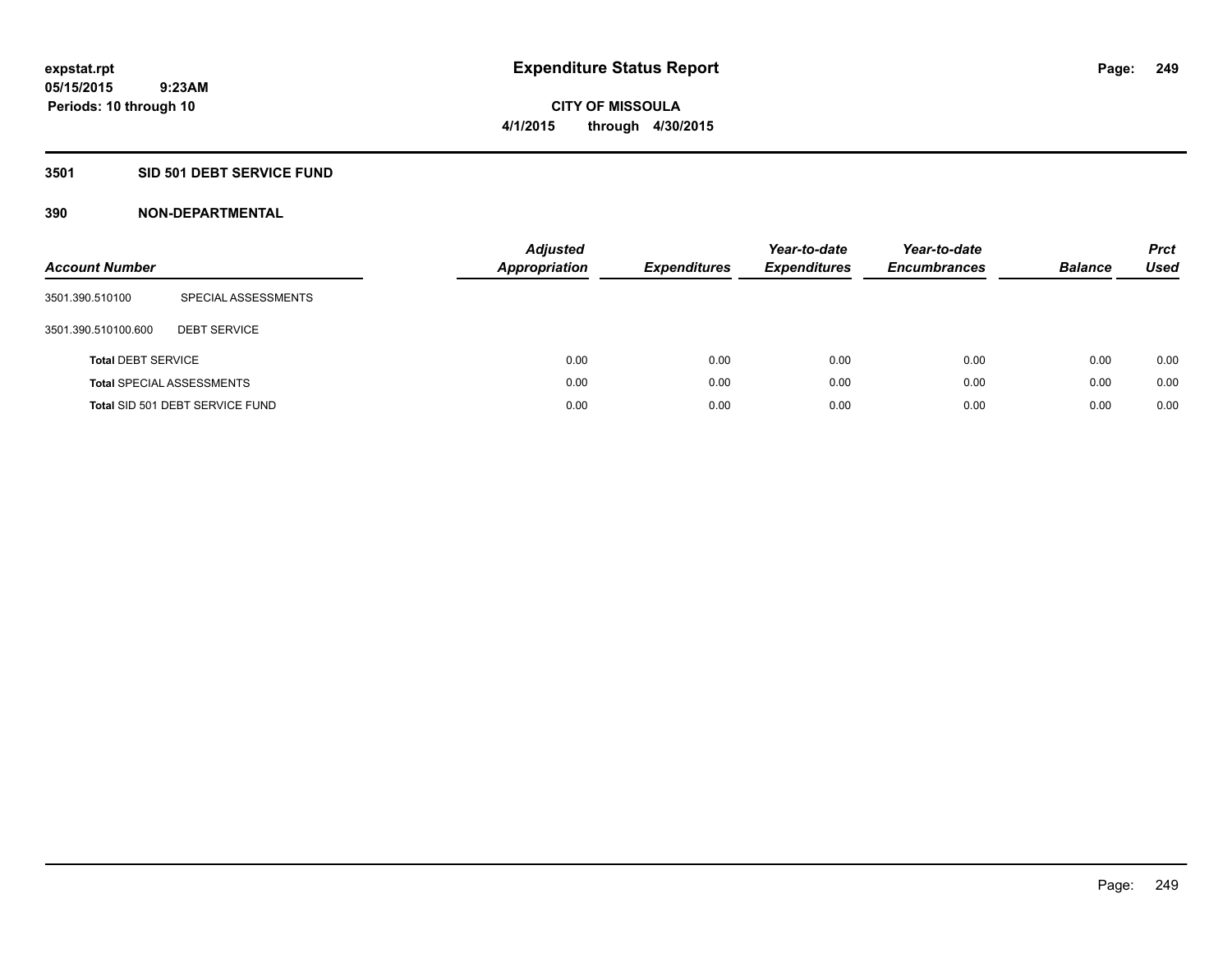#### **3501 SID 501 DEBT SERVICE FUND**

| <b>Account Number</b>     |                                  | <b>Adjusted</b><br><b>Appropriation</b> | <b>Expenditures</b> | Year-to-date<br><b>Expenditures</b> | Year-to-date<br><b>Encumbrances</b> | <b>Balance</b> | <b>Prct</b><br>Used |
|---------------------------|----------------------------------|-----------------------------------------|---------------------|-------------------------------------|-------------------------------------|----------------|---------------------|
| 3501.390.510100           | SPECIAL ASSESSMENTS              |                                         |                     |                                     |                                     |                |                     |
| 3501.390.510100.600       | <b>DEBT SERVICE</b>              |                                         |                     |                                     |                                     |                |                     |
| <b>Total DEBT SERVICE</b> |                                  |                                         | 0.00<br>0.00        | 0.00                                | 0.00                                | 0.00           | 0.00                |
|                           | <b>Total SPECIAL ASSESSMENTS</b> |                                         | 0.00<br>0.00        | 0.00                                | 0.00                                | 0.00           | 0.00                |
|                           | Total SID 501 DEBT SERVICE FUND  |                                         | 0.00<br>0.00        | 0.00                                | 0.00                                | 0.00           | 0.00                |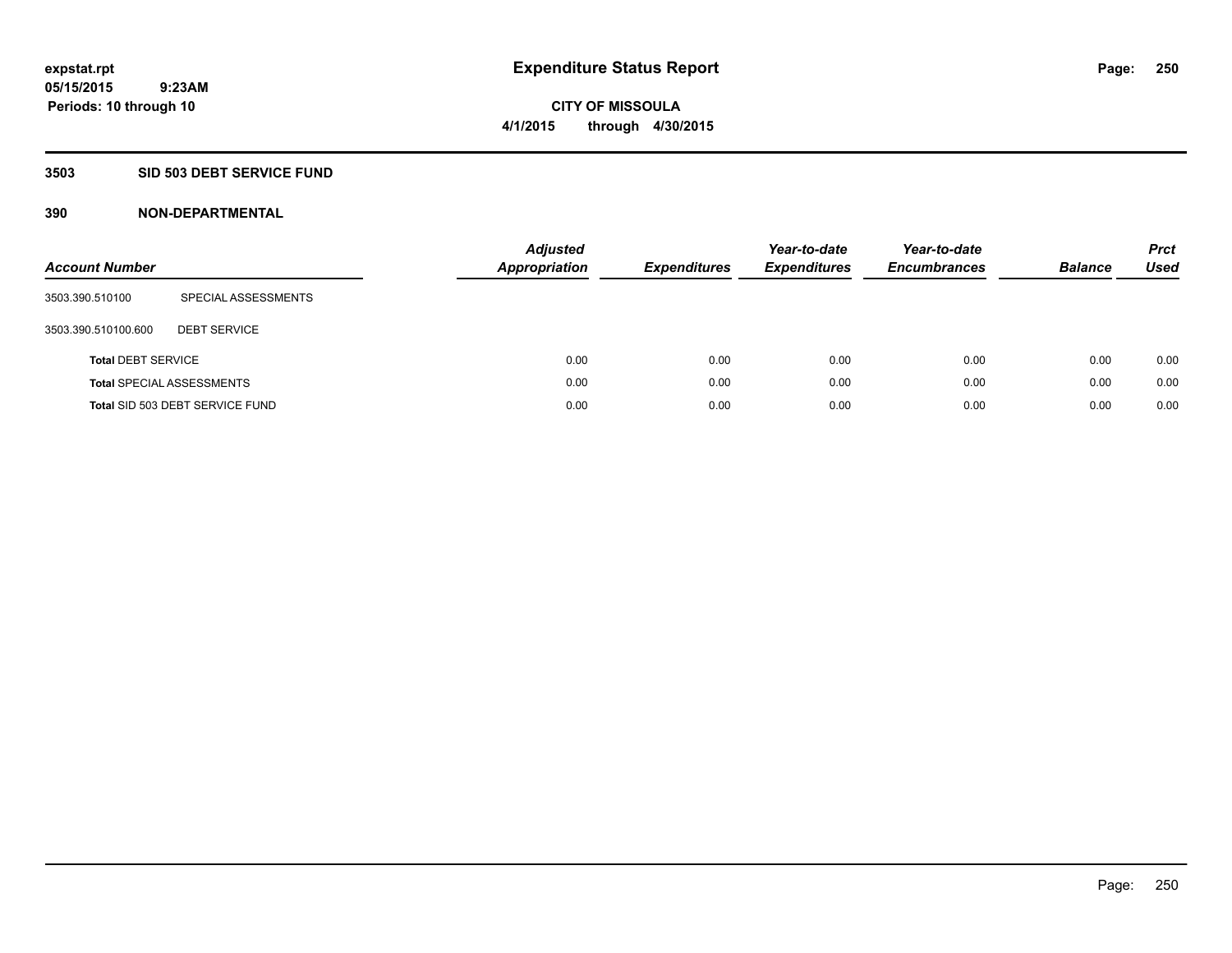**Periods: 10 through 10**

**CITY OF MISSOULA 4/1/2015 through 4/30/2015**

#### **3503 SID 503 DEBT SERVICE FUND**

| <b>Account Number</b>     |                                  | <b>Adjusted</b><br><b>Appropriation</b> | <b>Expenditures</b> | Year-to-date<br><b>Expenditures</b> | Year-to-date<br><b>Encumbrances</b> | <b>Balance</b> | <b>Prct</b><br>Used |
|---------------------------|----------------------------------|-----------------------------------------|---------------------|-------------------------------------|-------------------------------------|----------------|---------------------|
| 3503.390.510100           | SPECIAL ASSESSMENTS              |                                         |                     |                                     |                                     |                |                     |
| 3503.390.510100.600       | <b>DEBT SERVICE</b>              |                                         |                     |                                     |                                     |                |                     |
| <b>Total DEBT SERVICE</b> |                                  | 0.00                                    | 0.00                | 0.00                                | 0.00                                | 0.00           | 0.00                |
|                           | <b>Total SPECIAL ASSESSMENTS</b> | 0.00                                    | 0.00                | 0.00                                | 0.00                                | 0.00           | 0.00                |
|                           | Total SID 503 DEBT SERVICE FUND  | 0.00                                    | 0.00                | 0.00                                | 0.00                                | 0.00           | 0.00                |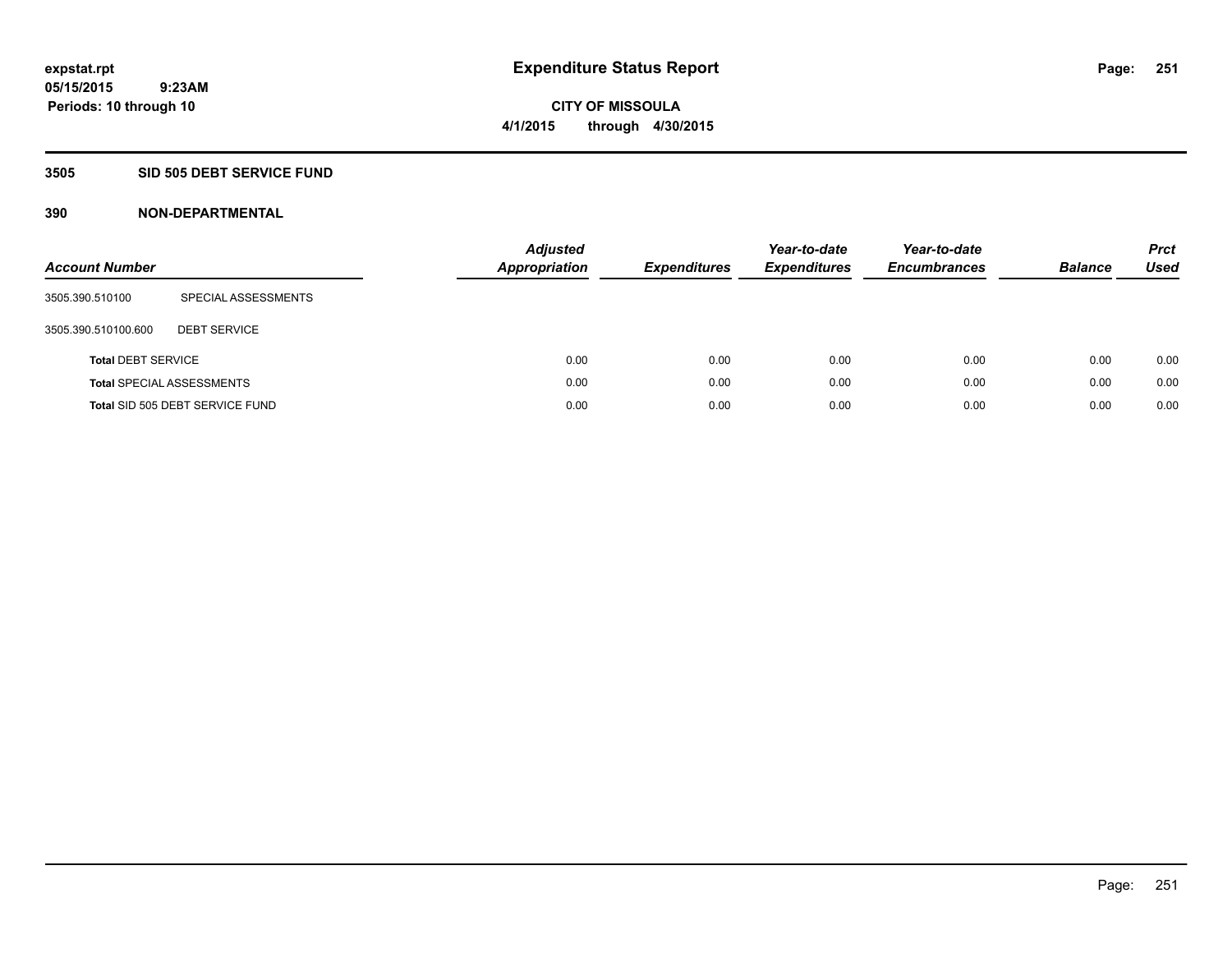**Periods: 10 through 10**

**CITY OF MISSOULA 4/1/2015 through 4/30/2015**

#### **3505 SID 505 DEBT SERVICE FUND**

 **9:23AM**

| <b>Account Number</b>     |                                  | <b>Adjusted</b><br><b>Appropriation</b> | <b>Expenditures</b> | Year-to-date<br><b>Expenditures</b> | Year-to-date<br><b>Encumbrances</b> | <b>Balance</b> | <b>Prct</b><br>Used |
|---------------------------|----------------------------------|-----------------------------------------|---------------------|-------------------------------------|-------------------------------------|----------------|---------------------|
| 3505.390.510100           | SPECIAL ASSESSMENTS              |                                         |                     |                                     |                                     |                |                     |
| 3505.390.510100.600       | <b>DEBT SERVICE</b>              |                                         |                     |                                     |                                     |                |                     |
| <b>Total DEBT SERVICE</b> |                                  |                                         | 0.00<br>0.00        | 0.00                                | 0.00                                | 0.00           | 0.00                |
|                           | <b>Total SPECIAL ASSESSMENTS</b> |                                         | 0.00<br>0.00        | 0.00                                | 0.00                                | 0.00           | 0.00                |
|                           | Total SID 505 DEBT SERVICE FUND  |                                         | 0.00<br>0.00        | 0.00                                | 0.00                                | 0.00           | 0.00                |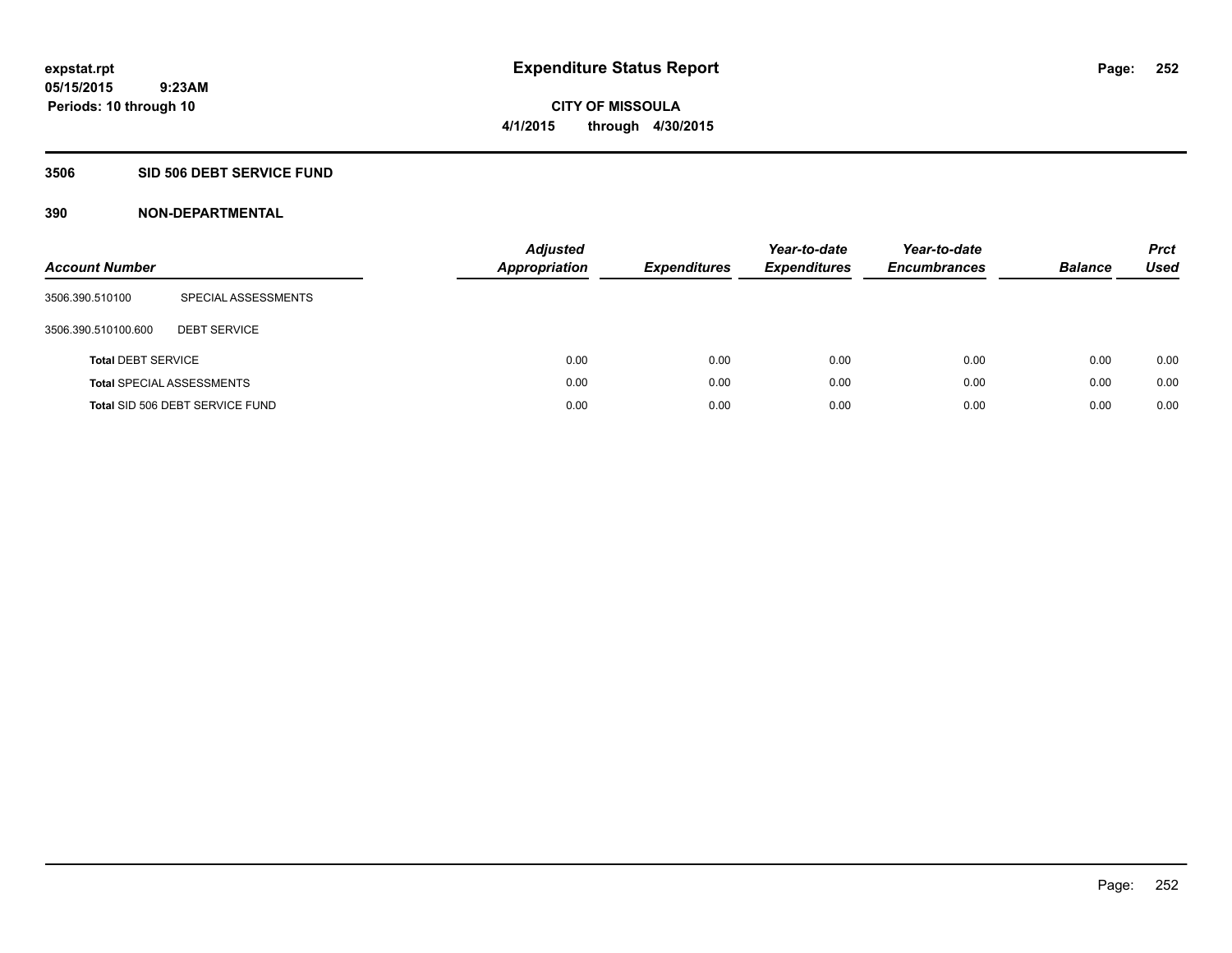**CITY OF MISSOULA 4/1/2015 through 4/30/2015**

#### **3506 SID 506 DEBT SERVICE FUND**

| <b>Account Number</b>     |                                  | <b>Adjusted</b><br>Appropriation | <b>Expenditures</b> | Year-to-date<br><b>Expenditures</b> | Year-to-date<br><b>Encumbrances</b> | <b>Balance</b> | <b>Prct</b><br>Used |
|---------------------------|----------------------------------|----------------------------------|---------------------|-------------------------------------|-------------------------------------|----------------|---------------------|
| 3506.390.510100           | SPECIAL ASSESSMENTS              |                                  |                     |                                     |                                     |                |                     |
| 3506.390.510100.600       | <b>DEBT SERVICE</b>              |                                  |                     |                                     |                                     |                |                     |
| <b>Total DEBT SERVICE</b> |                                  | 0.00                             | 0.00                | 0.00                                | 0.00                                | 0.00           | 0.00                |
|                           | <b>Total SPECIAL ASSESSMENTS</b> | 0.00                             | 0.00                | 0.00                                | 0.00                                | 0.00           | 0.00                |
|                           | Total SID 506 DEBT SERVICE FUND  | 0.00                             | 0.00                | 0.00                                | 0.00                                | 0.00           | 0.00                |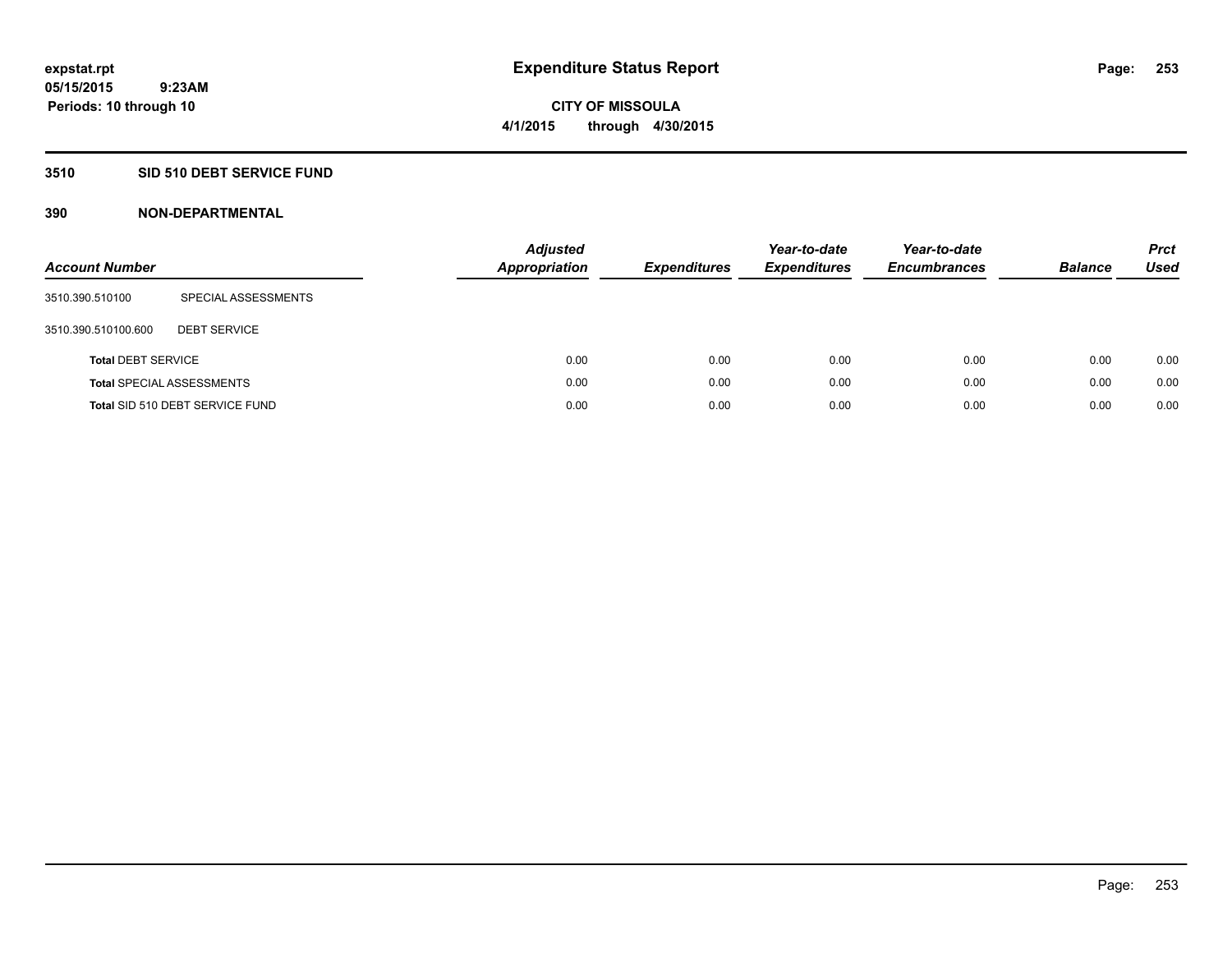#### **3510 SID 510 DEBT SERVICE FUND**

| <b>Account Number</b>     |                                  | <b>Adjusted</b><br><b>Appropriation</b> | <b>Expenditures</b> | Year-to-date<br><b>Expenditures</b> | Year-to-date<br><b>Encumbrances</b> | <b>Balance</b> | <b>Prct</b><br>Used |
|---------------------------|----------------------------------|-----------------------------------------|---------------------|-------------------------------------|-------------------------------------|----------------|---------------------|
| 3510.390.510100           | SPECIAL ASSESSMENTS              |                                         |                     |                                     |                                     |                |                     |
| 3510.390.510100.600       | <b>DEBT SERVICE</b>              |                                         |                     |                                     |                                     |                |                     |
| <b>Total DEBT SERVICE</b> |                                  | 0.00                                    | 0.00                | 0.00                                | 0.00                                | 0.00           | 0.00                |
|                           | <b>Total SPECIAL ASSESSMENTS</b> | 0.00                                    | 0.00                | 0.00                                | 0.00                                | 0.00           | 0.00                |
|                           | Total SID 510 DEBT SERVICE FUND  | 0.00                                    | 0.00                | 0.00                                | 0.00                                | 0.00           | 0.00                |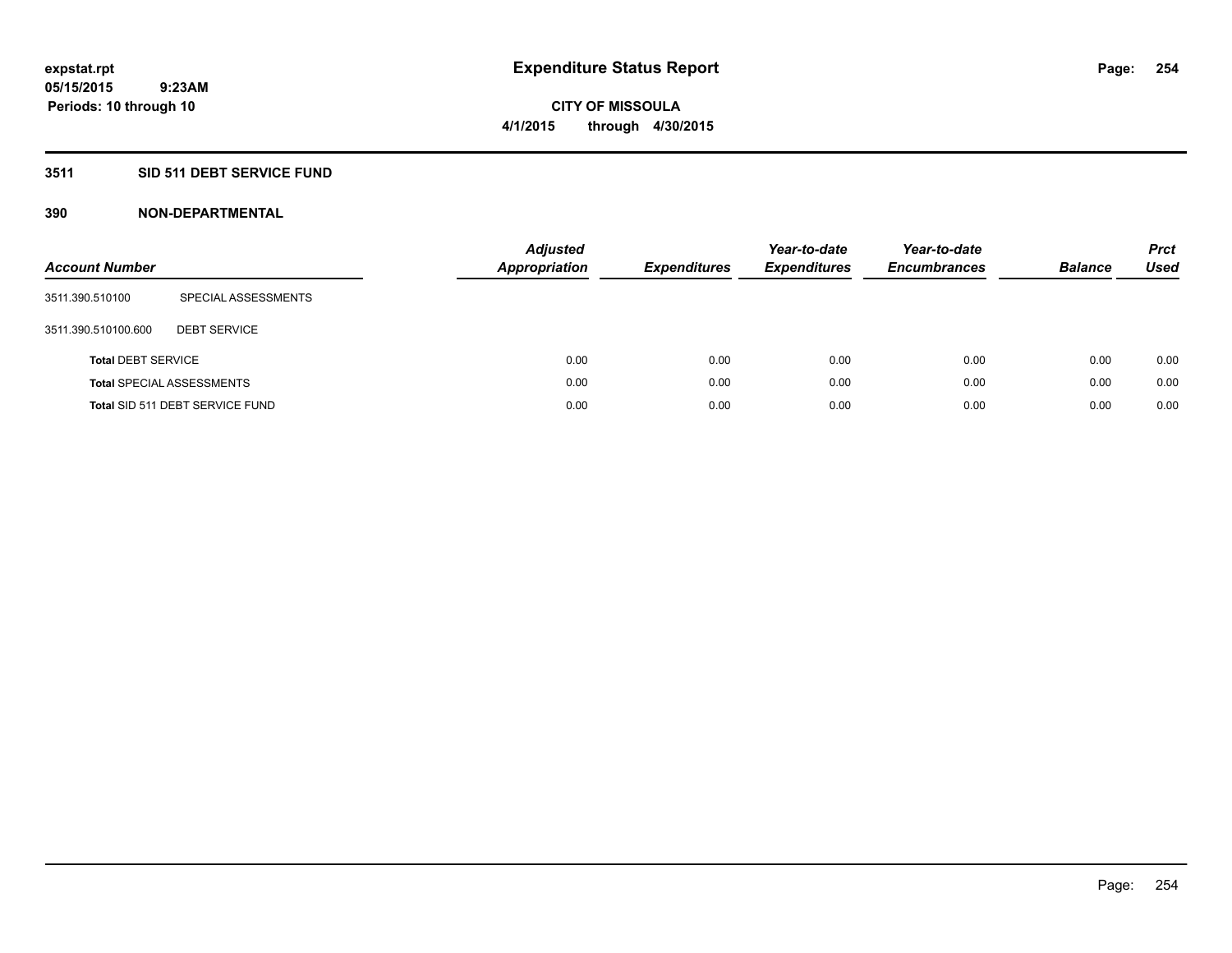## **3511 SID 511 DEBT SERVICE FUND**

| <b>Account Number</b>     |                                  | <b>Adjusted</b><br><b>Appropriation</b> | <b>Expenditures</b> | Year-to-date<br><b>Expenditures</b> | Year-to-date<br><b>Encumbrances</b> | <b>Balance</b> | <b>Prct</b><br>Used |
|---------------------------|----------------------------------|-----------------------------------------|---------------------|-------------------------------------|-------------------------------------|----------------|---------------------|
| 3511.390.510100           | SPECIAL ASSESSMENTS              |                                         |                     |                                     |                                     |                |                     |
| 3511.390.510100.600       | <b>DEBT SERVICE</b>              |                                         |                     |                                     |                                     |                |                     |
| <b>Total DEBT SERVICE</b> |                                  | 0.00                                    | 0.00                | 0.00                                | 0.00                                | 0.00           | 0.00                |
|                           | <b>Total SPECIAL ASSESSMENTS</b> | 0.00                                    | 0.00                | 0.00                                | 0.00                                | 0.00           | 0.00                |
|                           | Total SID 511 DEBT SERVICE FUND  | 0.00                                    | 0.00                | 0.00                                | 0.00                                | 0.00           | 0.00                |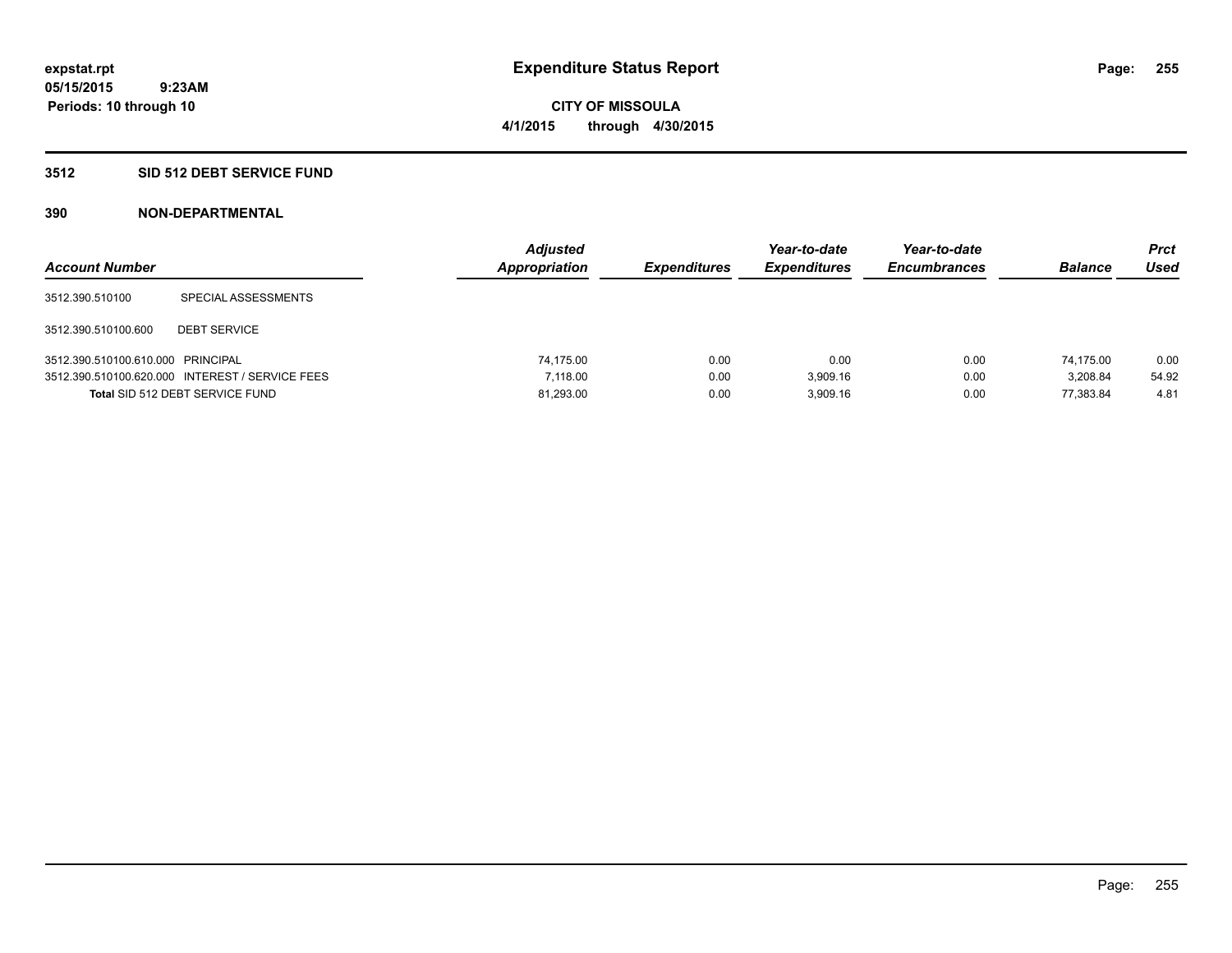#### **3512 SID 512 DEBT SERVICE FUND**

| <b>Account Number</b>             |                                                 | <b>Adjusted</b><br>Appropriation | <b>Expenditures</b> | Year-to-date<br><b>Expenditures</b> | Year-to-date<br><b>Encumbrances</b> | <b>Balance</b> | Prct<br><b>Used</b> |
|-----------------------------------|-------------------------------------------------|----------------------------------|---------------------|-------------------------------------|-------------------------------------|----------------|---------------------|
| 3512.390.510100                   | SPECIAL ASSESSMENTS                             |                                  |                     |                                     |                                     |                |                     |
| 3512.390.510100.600               | <b>DEBT SERVICE</b>                             |                                  |                     |                                     |                                     |                |                     |
| 3512.390.510100.610.000 PRINCIPAL |                                                 | 74.175.00                        | 0.00                | 0.00                                | 0.00                                | 74.175.00      | 0.00                |
|                                   | 3512.390.510100.620.000 INTEREST / SERVICE FEES | 7.118.00                         | 0.00                | 3.909.16                            | 0.00                                | 3.208.84       | 54.92               |
|                                   | Total SID 512 DEBT SERVICE FUND                 | 81,293.00                        | 0.00                | 3.909.16                            | 0.00                                | 77.383.84      | 4.81                |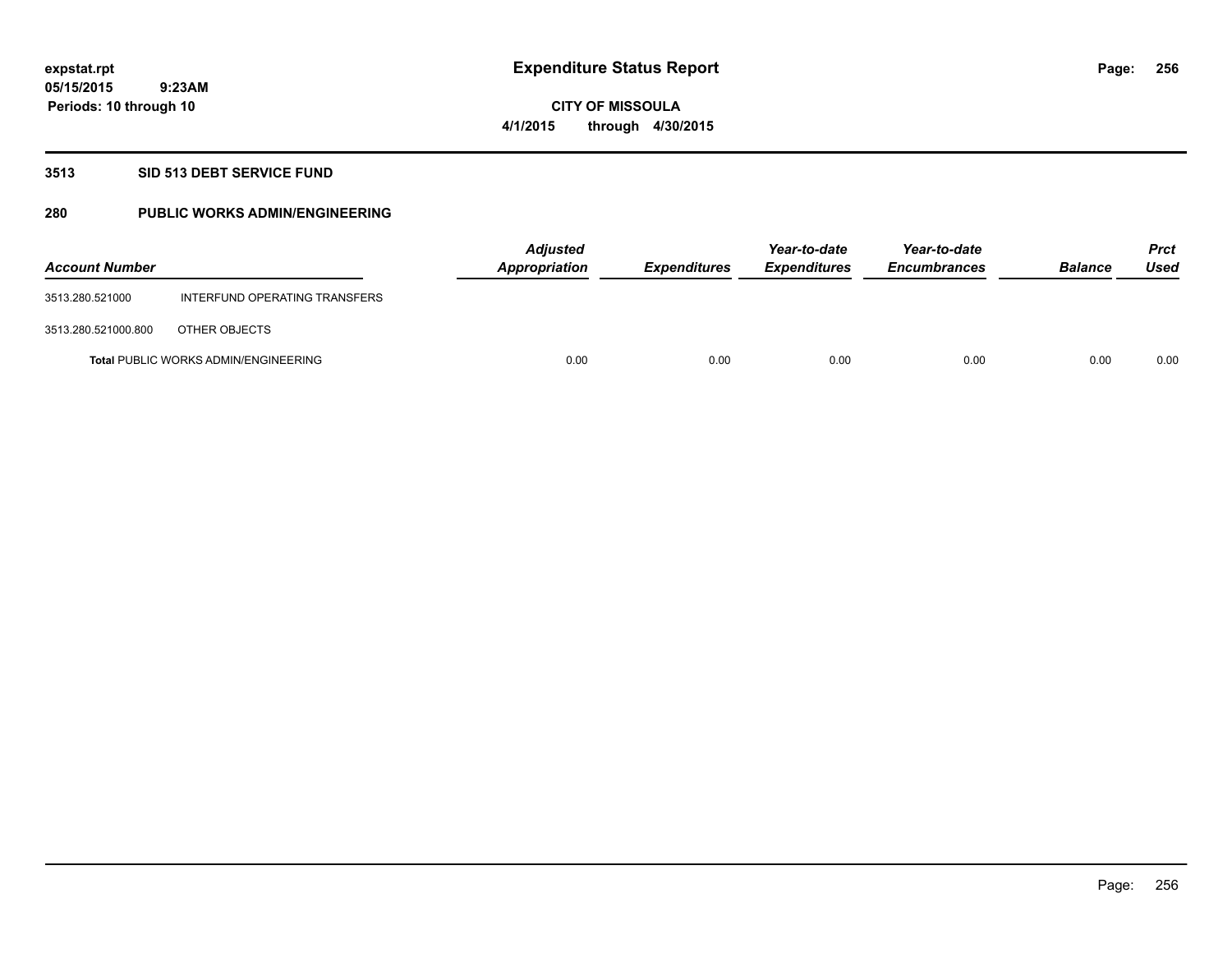**Periods: 10 through 10**

**CITY OF MISSOULA 4/1/2015 through 4/30/2015**

#### **3513 SID 513 DEBT SERVICE FUND**

 **9:23AM**

## **280 PUBLIC WORKS ADMIN/ENGINEERING**

| <b>Account Number</b> |                                             | <b>Adjusted</b><br>Appropriation | <b>Expenditures</b> | Year-to-date<br><b>Expenditures</b> | Year-to-date<br><b>Encumbrances</b> | <b>Balance</b> | <b>Prct</b><br>Used |
|-----------------------|---------------------------------------------|----------------------------------|---------------------|-------------------------------------|-------------------------------------|----------------|---------------------|
| 3513.280.521000       | INTERFUND OPERATING TRANSFERS               |                                  |                     |                                     |                                     |                |                     |
| 3513.280.521000.800   | OTHER OBJECTS                               |                                  |                     |                                     |                                     |                |                     |
|                       | <b>Total PUBLIC WORKS ADMIN/ENGINEERING</b> | 0.00                             | 0.00                | 0.00                                | 0.00                                | 0.00           | 0.00                |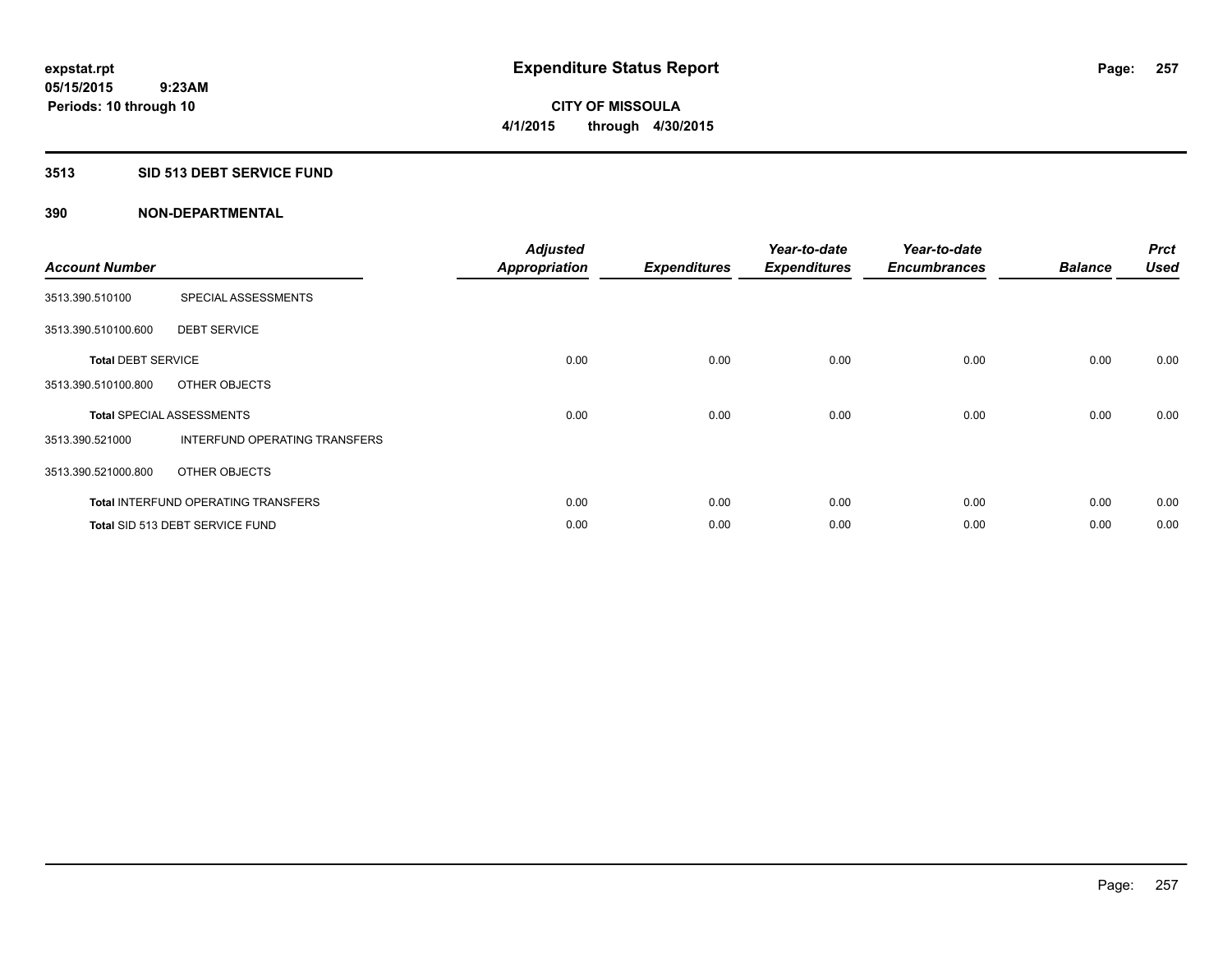## **3513 SID 513 DEBT SERVICE FUND**

| <b>Account Number</b>     |                                            | <b>Adjusted</b><br><b>Appropriation</b> | <b>Expenditures</b> | Year-to-date<br><b>Expenditures</b> | Year-to-date<br><b>Encumbrances</b> | <b>Balance</b> | <b>Prct</b><br><b>Used</b> |
|---------------------------|--------------------------------------------|-----------------------------------------|---------------------|-------------------------------------|-------------------------------------|----------------|----------------------------|
| 3513.390.510100           | SPECIAL ASSESSMENTS                        |                                         |                     |                                     |                                     |                |                            |
| 3513.390.510100.600       | <b>DEBT SERVICE</b>                        |                                         |                     |                                     |                                     |                |                            |
| <b>Total DEBT SERVICE</b> |                                            | 0.00                                    | 0.00                | 0.00                                | 0.00                                | 0.00           | 0.00                       |
| 3513.390.510100.800       | OTHER OBJECTS                              |                                         |                     |                                     |                                     |                |                            |
|                           | <b>Total SPECIAL ASSESSMENTS</b>           | 0.00                                    | 0.00                | 0.00                                | 0.00                                | 0.00           | 0.00                       |
| 3513.390.521000           | INTERFUND OPERATING TRANSFERS              |                                         |                     |                                     |                                     |                |                            |
| 3513.390.521000.800       | OTHER OBJECTS                              |                                         |                     |                                     |                                     |                |                            |
|                           | <b>Total INTERFUND OPERATING TRANSFERS</b> | 0.00                                    | 0.00                | 0.00                                | 0.00                                | 0.00           | 0.00                       |
|                           | Total SID 513 DEBT SERVICE FUND            | 0.00                                    | 0.00                | 0.00                                | 0.00                                | 0.00           | 0.00                       |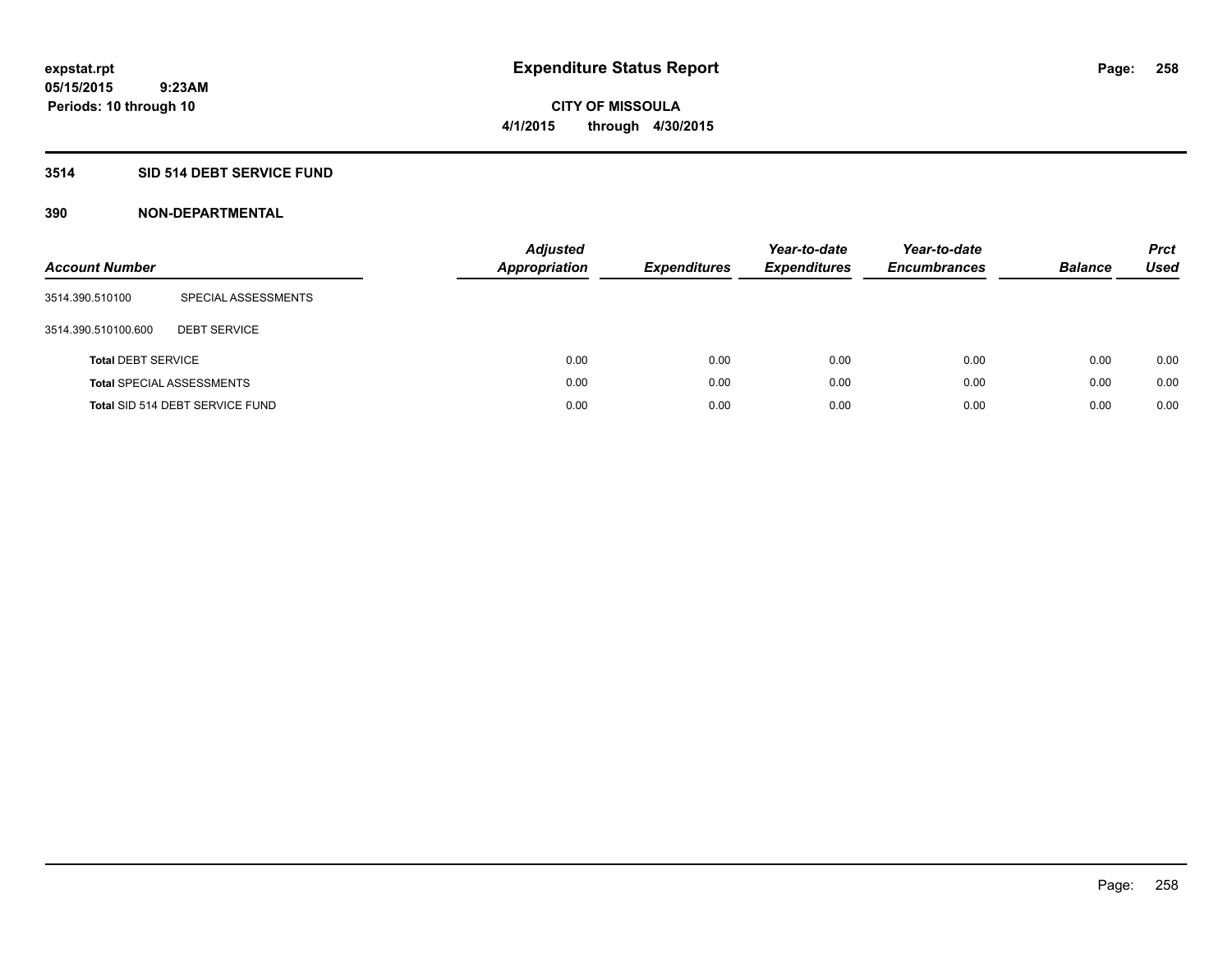## **3514 SID 514 DEBT SERVICE FUND**

| <b>Account Number</b>     |                                  | <b>Adjusted</b><br><b>Appropriation</b> | <b>Expenditures</b> | Year-to-date<br><b>Expenditures</b> | Year-to-date<br><b>Encumbrances</b> | <b>Balance</b> | <b>Prct</b><br>Used |
|---------------------------|----------------------------------|-----------------------------------------|---------------------|-------------------------------------|-------------------------------------|----------------|---------------------|
| 3514.390.510100           | SPECIAL ASSESSMENTS              |                                         |                     |                                     |                                     |                |                     |
| 3514.390.510100.600       | <b>DEBT SERVICE</b>              |                                         |                     |                                     |                                     |                |                     |
| <b>Total DEBT SERVICE</b> |                                  | 0.00                                    | 0.00                | 0.00                                | 0.00                                | 0.00           | 0.00                |
|                           | <b>Total SPECIAL ASSESSMENTS</b> | 0.00                                    | 0.00                | 0.00                                | 0.00                                | 0.00           | 0.00                |
|                           | Total SID 514 DEBT SERVICE FUND  | 0.00                                    | 0.00                | 0.00                                | 0.00                                | 0.00           | 0.00                |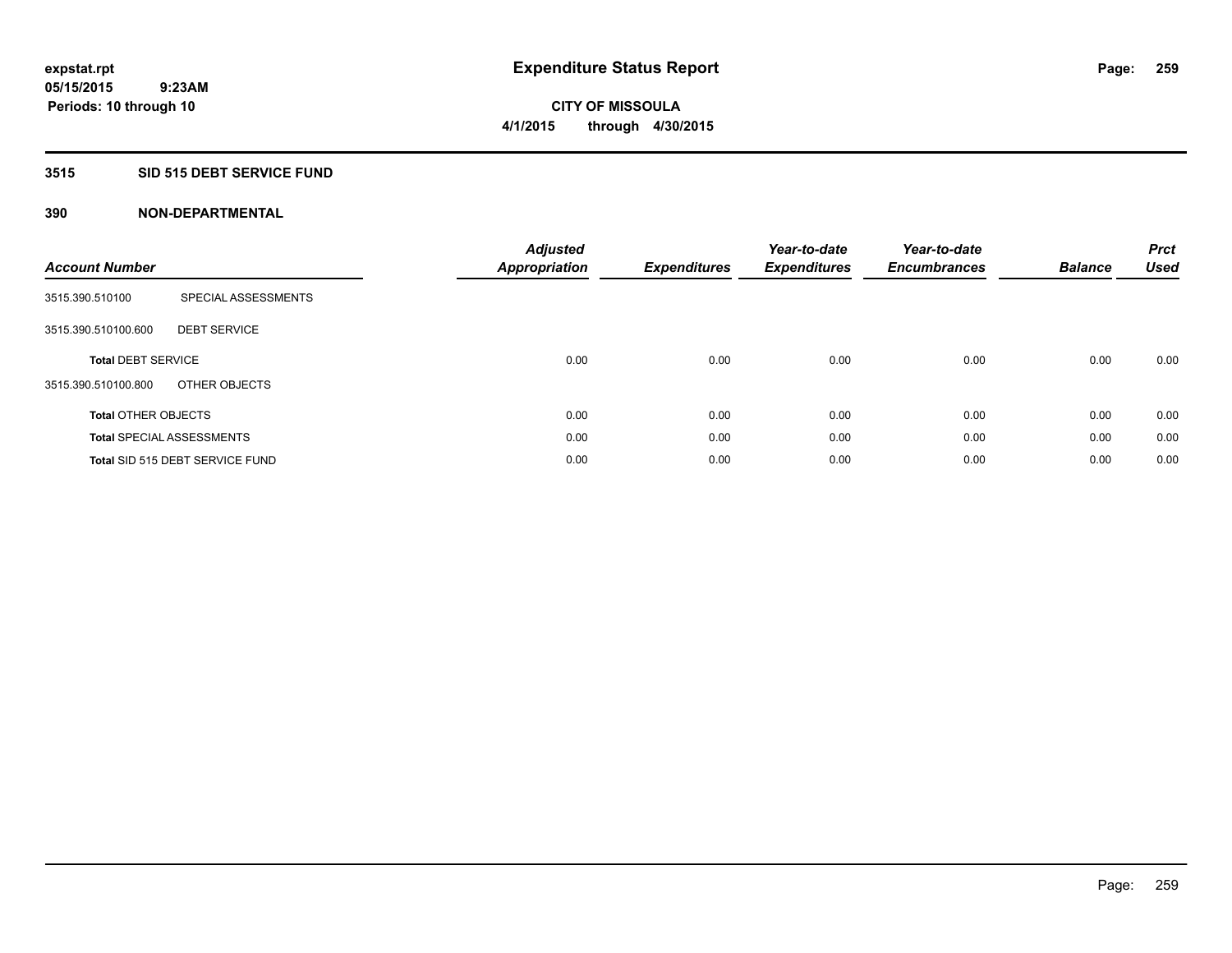## **3515 SID 515 DEBT SERVICE FUND**

| <b>Account Number</b>      |                                  | <b>Adjusted</b><br><b>Appropriation</b> | <b>Expenditures</b> | Year-to-date<br><b>Expenditures</b> | Year-to-date<br><b>Encumbrances</b> | <b>Balance</b> | <b>Prct</b><br><b>Used</b> |
|----------------------------|----------------------------------|-----------------------------------------|---------------------|-------------------------------------|-------------------------------------|----------------|----------------------------|
| 3515.390.510100            | SPECIAL ASSESSMENTS              |                                         |                     |                                     |                                     |                |                            |
| 3515.390.510100.600        | <b>DEBT SERVICE</b>              |                                         |                     |                                     |                                     |                |                            |
| <b>Total DEBT SERVICE</b>  |                                  | 0.00                                    | 0.00                | 0.00                                | 0.00                                | 0.00           | 0.00                       |
| 3515.390.510100.800        | OTHER OBJECTS                    |                                         |                     |                                     |                                     |                |                            |
| <b>Total OTHER OBJECTS</b> |                                  | 0.00                                    | 0.00                | 0.00                                | 0.00                                | 0.00           | 0.00                       |
|                            | <b>Total SPECIAL ASSESSMENTS</b> | 0.00                                    | 0.00                | 0.00                                | 0.00                                | 0.00           | 0.00                       |
|                            | Total SID 515 DEBT SERVICE FUND  | 0.00                                    | 0.00                | 0.00                                | 0.00                                | 0.00           | 0.00                       |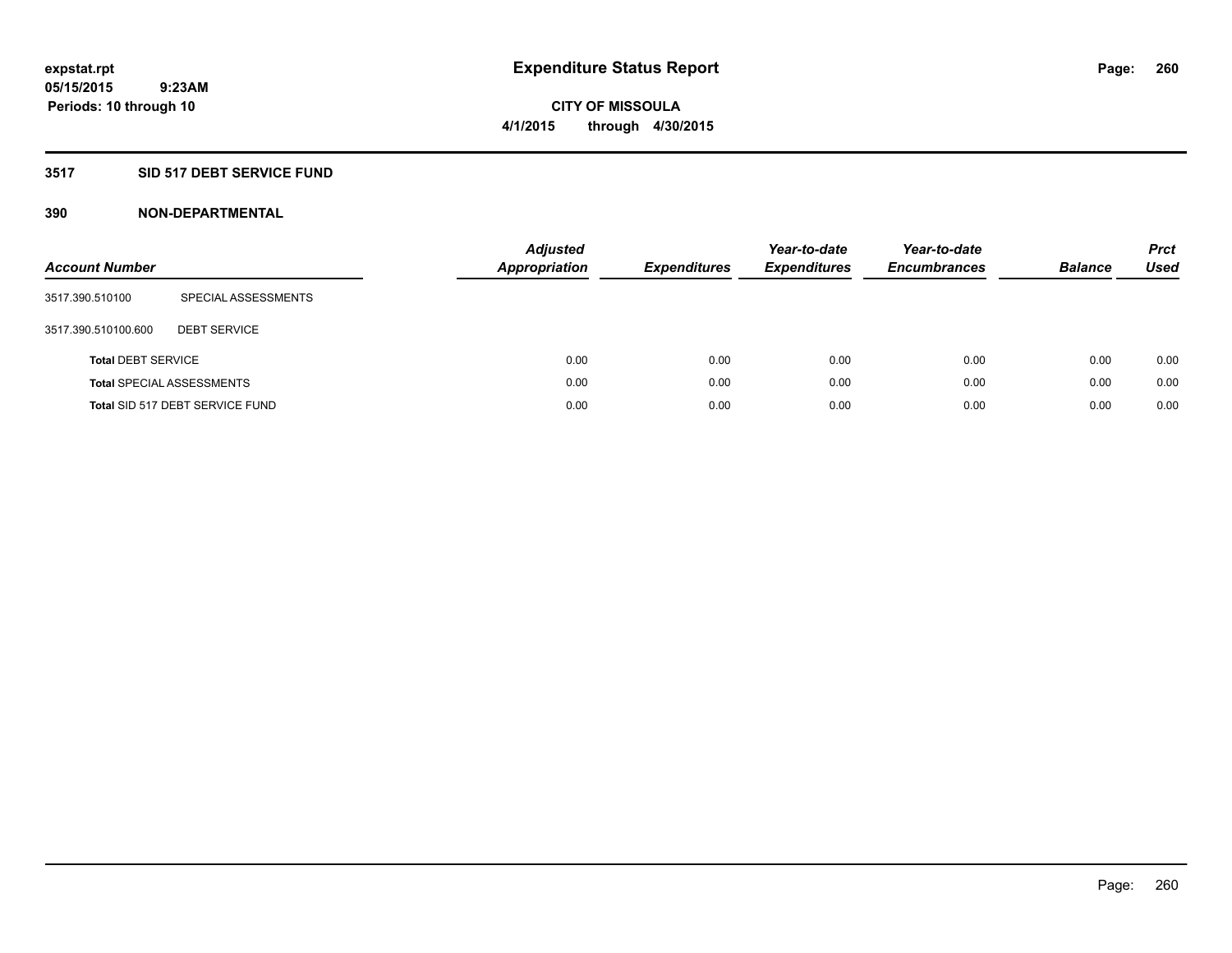## **3517 SID 517 DEBT SERVICE FUND**

| <b>Account Number</b>     |                                  | <b>Adjusted</b><br><b>Appropriation</b> | <b>Expenditures</b> | Year-to-date<br><b>Expenditures</b> | Year-to-date<br><b>Encumbrances</b> | <b>Balance</b> | <b>Prct</b><br>Used |
|---------------------------|----------------------------------|-----------------------------------------|---------------------|-------------------------------------|-------------------------------------|----------------|---------------------|
| 3517.390.510100           | SPECIAL ASSESSMENTS              |                                         |                     |                                     |                                     |                |                     |
| 3517.390.510100.600       | <b>DEBT SERVICE</b>              |                                         |                     |                                     |                                     |                |                     |
| <b>Total DEBT SERVICE</b> |                                  | 0.00                                    | 0.00                | 0.00                                | 0.00                                | 0.00           | 0.00                |
|                           | <b>Total SPECIAL ASSESSMENTS</b> | 0.00                                    | 0.00                | 0.00                                | 0.00                                | 0.00           | 0.00                |
|                           | Total SID 517 DEBT SERVICE FUND  | 0.00                                    | 0.00                | 0.00                                | 0.00                                | 0.00           | 0.00                |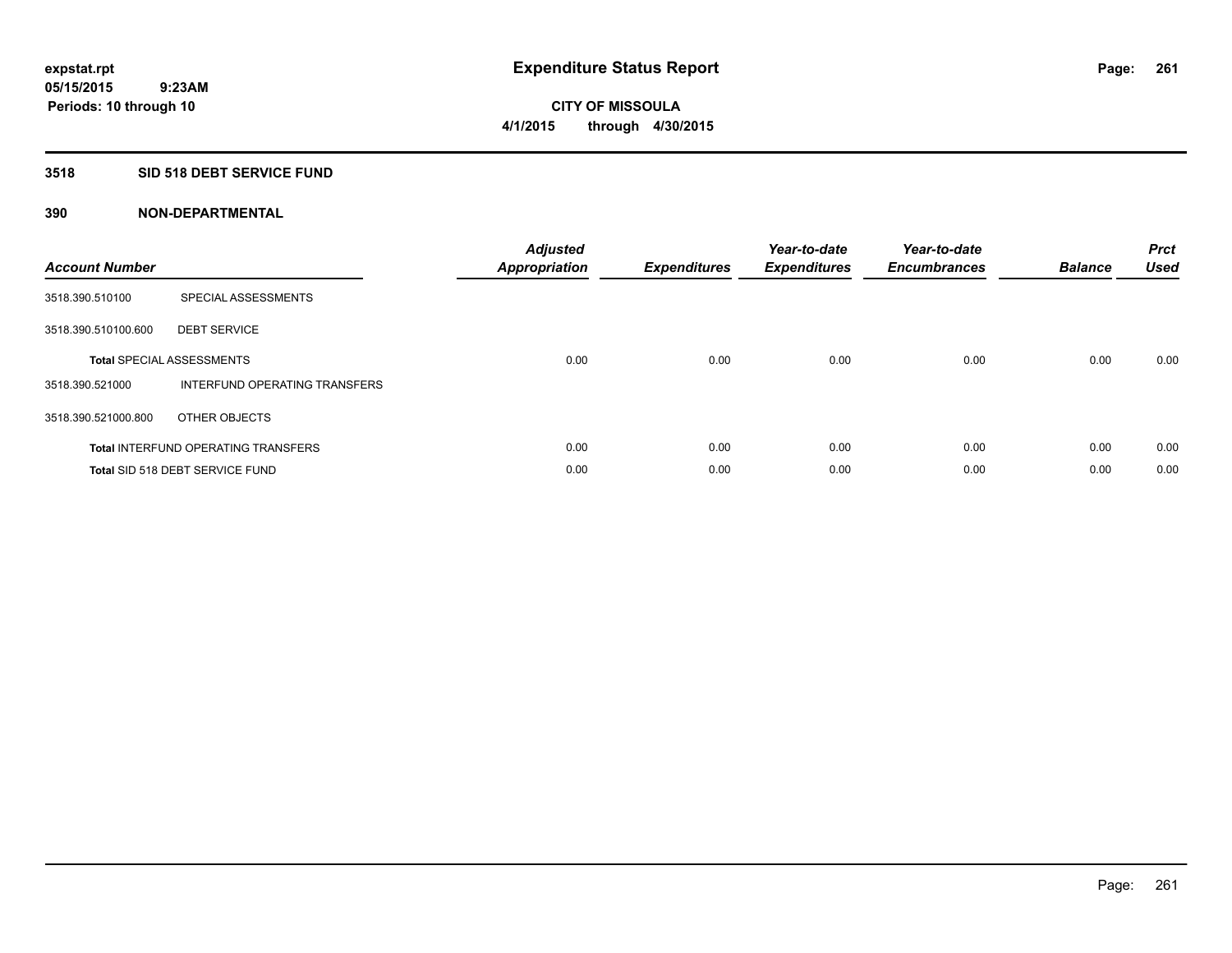## **3518 SID 518 DEBT SERVICE FUND**

| <b>Account Number</b> |                                            | <b>Adjusted</b><br>Appropriation | <b>Expenditures</b> | Year-to-date<br><b>Expenditures</b> | Year-to-date<br><b>Encumbrances</b> | <b>Balance</b> | <b>Prct</b><br><b>Used</b> |
|-----------------------|--------------------------------------------|----------------------------------|---------------------|-------------------------------------|-------------------------------------|----------------|----------------------------|
| 3518.390.510100       | SPECIAL ASSESSMENTS                        |                                  |                     |                                     |                                     |                |                            |
| 3518.390.510100.600   | <b>DEBT SERVICE</b>                        |                                  |                     |                                     |                                     |                |                            |
|                       | <b>Total SPECIAL ASSESSMENTS</b>           | 0.00                             | 0.00                | 0.00                                | 0.00                                | 0.00           | 0.00                       |
| 3518.390.521000       | INTERFUND OPERATING TRANSFERS              |                                  |                     |                                     |                                     |                |                            |
| 3518.390.521000.800   | OTHER OBJECTS                              |                                  |                     |                                     |                                     |                |                            |
|                       | <b>Total INTERFUND OPERATING TRANSFERS</b> | 0.00                             | 0.00                | 0.00                                | 0.00                                | 0.00           | 0.00                       |
|                       | Total SID 518 DEBT SERVICE FUND            | 0.00                             | 0.00                | 0.00                                | 0.00                                | 0.00           | 0.00                       |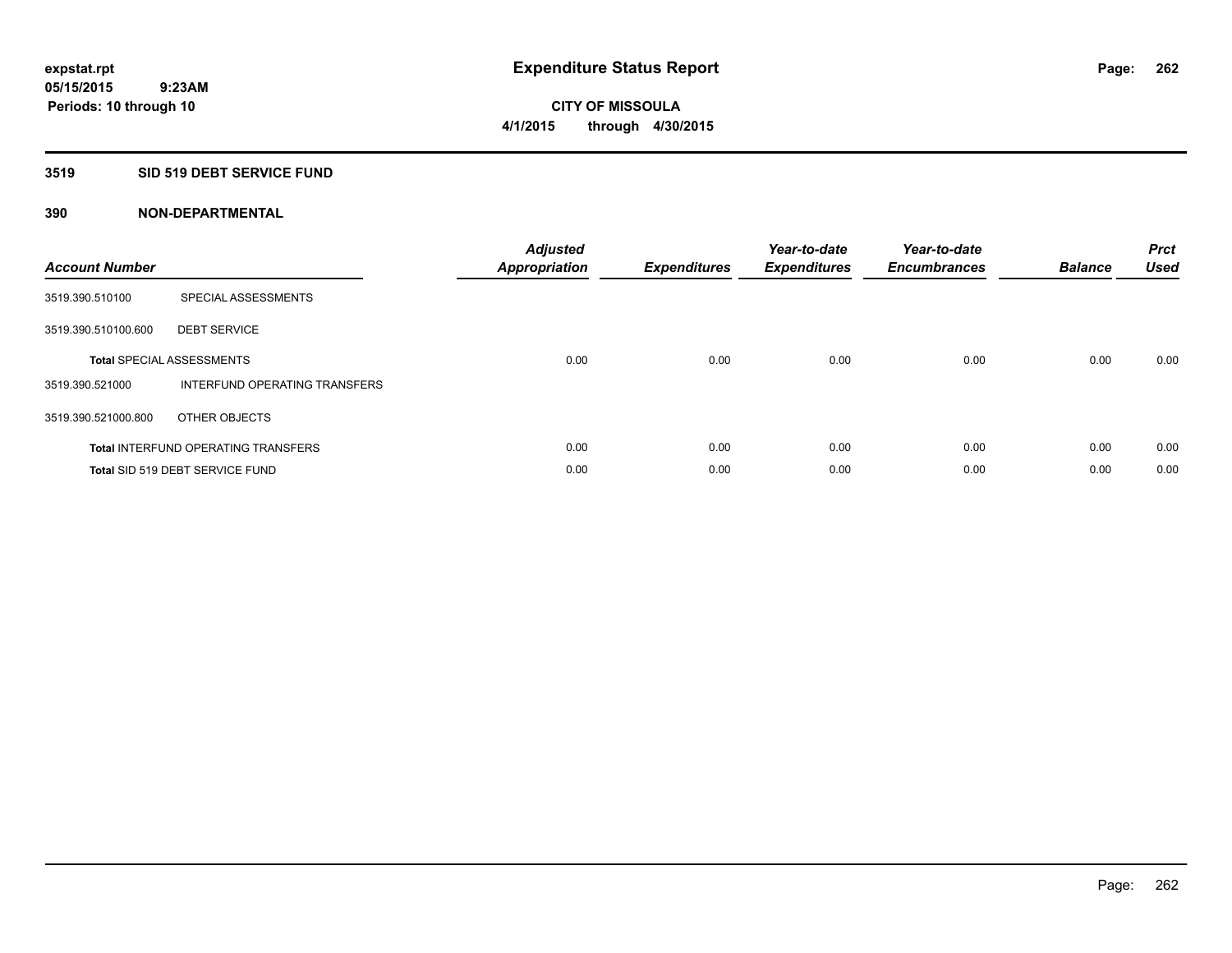## **3519 SID 519 DEBT SERVICE FUND**

| <b>Account Number</b> |                                            | <b>Adjusted</b><br>Appropriation | <b>Expenditures</b> | Year-to-date<br><b>Expenditures</b> | Year-to-date<br><b>Encumbrances</b> | <b>Balance</b> | <b>Prct</b><br><b>Used</b> |
|-----------------------|--------------------------------------------|----------------------------------|---------------------|-------------------------------------|-------------------------------------|----------------|----------------------------|
| 3519.390.510100       | SPECIAL ASSESSMENTS                        |                                  |                     |                                     |                                     |                |                            |
| 3519.390.510100.600   | <b>DEBT SERVICE</b>                        |                                  |                     |                                     |                                     |                |                            |
|                       | <b>Total SPECIAL ASSESSMENTS</b>           | 0.00                             | 0.00                | 0.00                                | 0.00                                | 0.00           | 0.00                       |
| 3519.390.521000       | INTERFUND OPERATING TRANSFERS              |                                  |                     |                                     |                                     |                |                            |
| 3519.390.521000.800   | OTHER OBJECTS                              |                                  |                     |                                     |                                     |                |                            |
|                       | <b>Total INTERFUND OPERATING TRANSFERS</b> | 0.00                             | 0.00                | 0.00                                | 0.00                                | 0.00           | 0.00                       |
|                       | Total SID 519 DEBT SERVICE FUND            | 0.00                             | 0.00                | 0.00                                | 0.00                                | 0.00           | 0.00                       |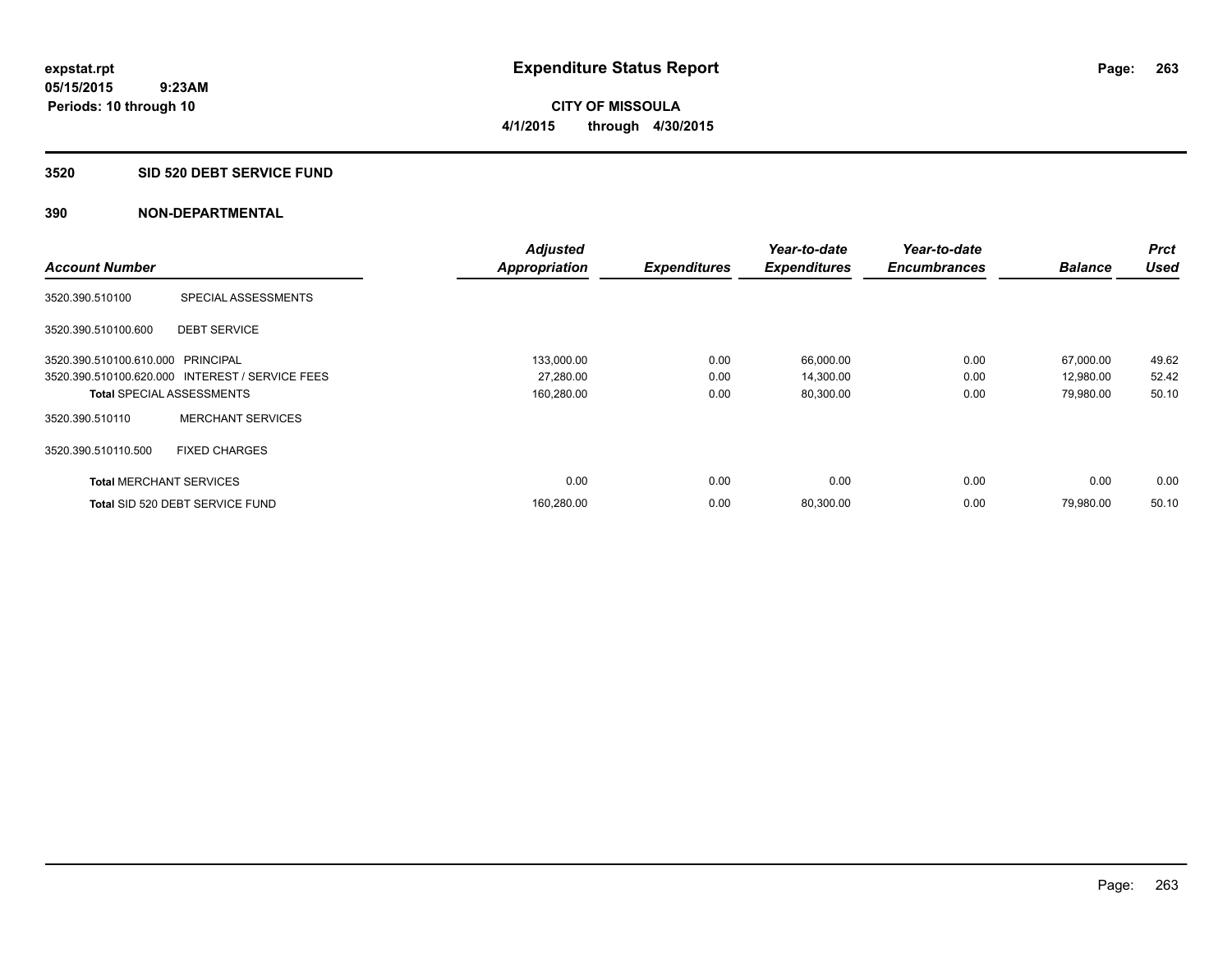#### **3520 SID 520 DEBT SERVICE FUND**

|                                   |                                                 | <b>Adjusted</b>      |                     | Year-to-date        | Year-to-date        |                | Prct        |
|-----------------------------------|-------------------------------------------------|----------------------|---------------------|---------------------|---------------------|----------------|-------------|
| <b>Account Number</b>             |                                                 | <b>Appropriation</b> | <b>Expenditures</b> | <b>Expenditures</b> | <b>Encumbrances</b> | <b>Balance</b> | <b>Used</b> |
| 3520.390.510100                   | SPECIAL ASSESSMENTS                             |                      |                     |                     |                     |                |             |
| 3520.390.510100.600               | <b>DEBT SERVICE</b>                             |                      |                     |                     |                     |                |             |
| 3520.390.510100.610.000 PRINCIPAL |                                                 | 133,000.00           | 0.00                | 66,000.00           | 0.00                | 67,000.00      | 49.62       |
|                                   | 3520.390.510100.620.000 INTEREST / SERVICE FEES | 27,280.00            | 0.00                | 14,300.00           | 0.00                | 12,980.00      | 52.42       |
| <b>Total SPECIAL ASSESSMENTS</b>  |                                                 | 160,280.00           | 0.00                | 80,300.00           | 0.00                | 79,980.00      | 50.10       |
| 3520.390.510110                   | <b>MERCHANT SERVICES</b>                        |                      |                     |                     |                     |                |             |
| 3520.390.510110.500               | <b>FIXED CHARGES</b>                            |                      |                     |                     |                     |                |             |
| <b>Total MERCHANT SERVICES</b>    |                                                 | 0.00                 | 0.00                | 0.00                | 0.00                | 0.00           | 0.00        |
|                                   | Total SID 520 DEBT SERVICE FUND                 | 160,280.00           | 0.00                | 80,300.00           | 0.00                | 79.980.00      | 50.10       |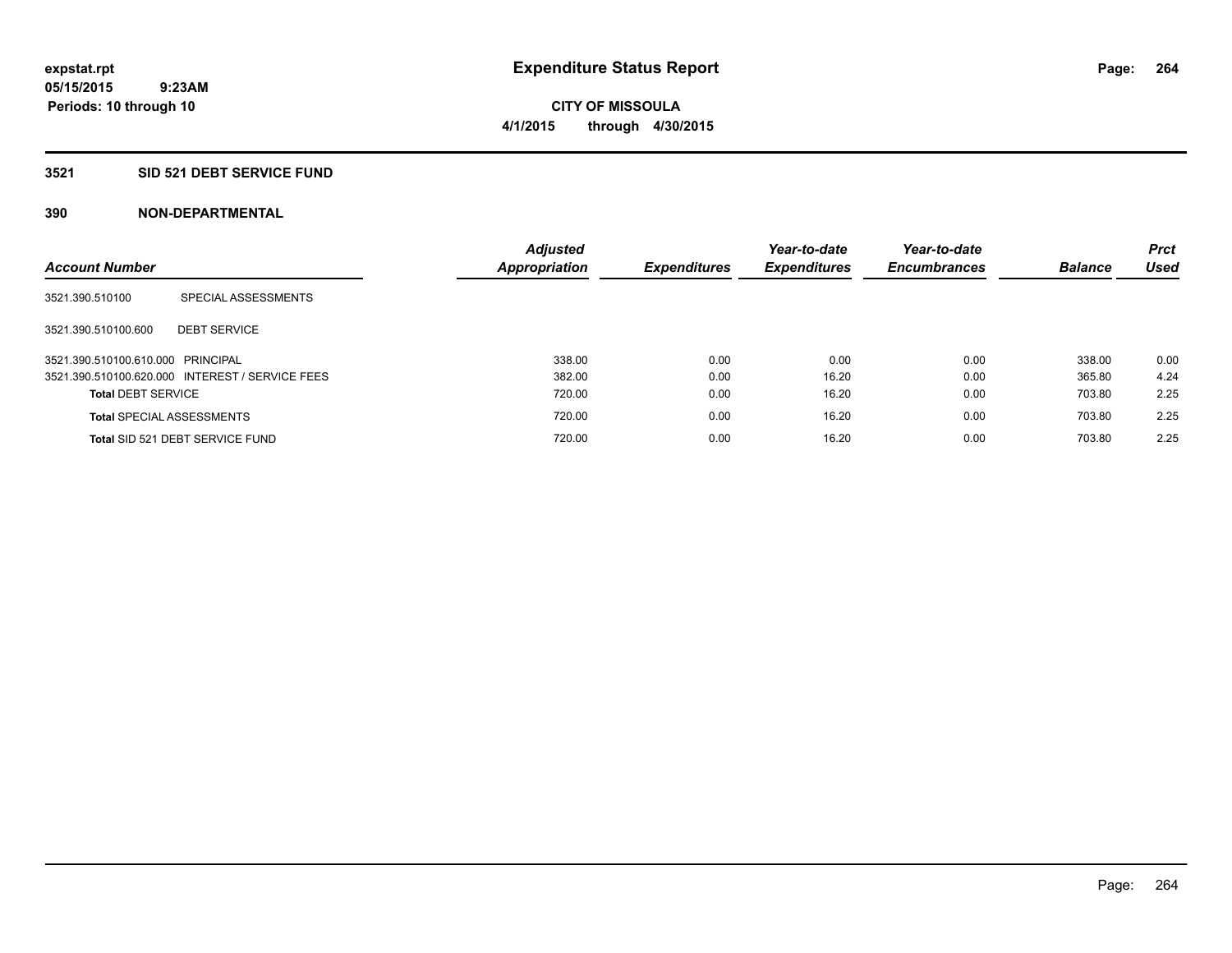#### **3521 SID 521 DEBT SERVICE FUND**

| <b>Account Number</b>             |                                                 | <b>Adjusted</b><br>Appropriation | <b>Expenditures</b> | Year-to-date<br><b>Expenditures</b> | Year-to-date<br><b>Encumbrances</b> | <b>Balance</b> | <b>Prct</b><br>Used |
|-----------------------------------|-------------------------------------------------|----------------------------------|---------------------|-------------------------------------|-------------------------------------|----------------|---------------------|
| 3521.390.510100                   | SPECIAL ASSESSMENTS                             |                                  |                     |                                     |                                     |                |                     |
| 3521.390.510100.600               | <b>DEBT SERVICE</b>                             |                                  |                     |                                     |                                     |                |                     |
| 3521.390.510100.610.000 PRINCIPAL |                                                 | 338.00                           | 0.00                | 0.00                                | 0.00                                | 338.00         | 0.00                |
|                                   | 3521.390.510100.620.000 INTEREST / SERVICE FEES | 382.00                           | 0.00                | 16.20                               | 0.00                                | 365.80         | 4.24                |
| <b>Total DEBT SERVICE</b>         |                                                 | 720.00                           | 0.00                | 16.20                               | 0.00                                | 703.80         | 2.25                |
|                                   | <b>Total SPECIAL ASSESSMENTS</b>                | 720.00                           | 0.00                | 16.20                               | 0.00                                | 703.80         | 2.25                |
|                                   | Total SID 521 DEBT SERVICE FUND                 | 720.00                           | 0.00                | 16.20                               | 0.00                                | 703.80         | 2.25                |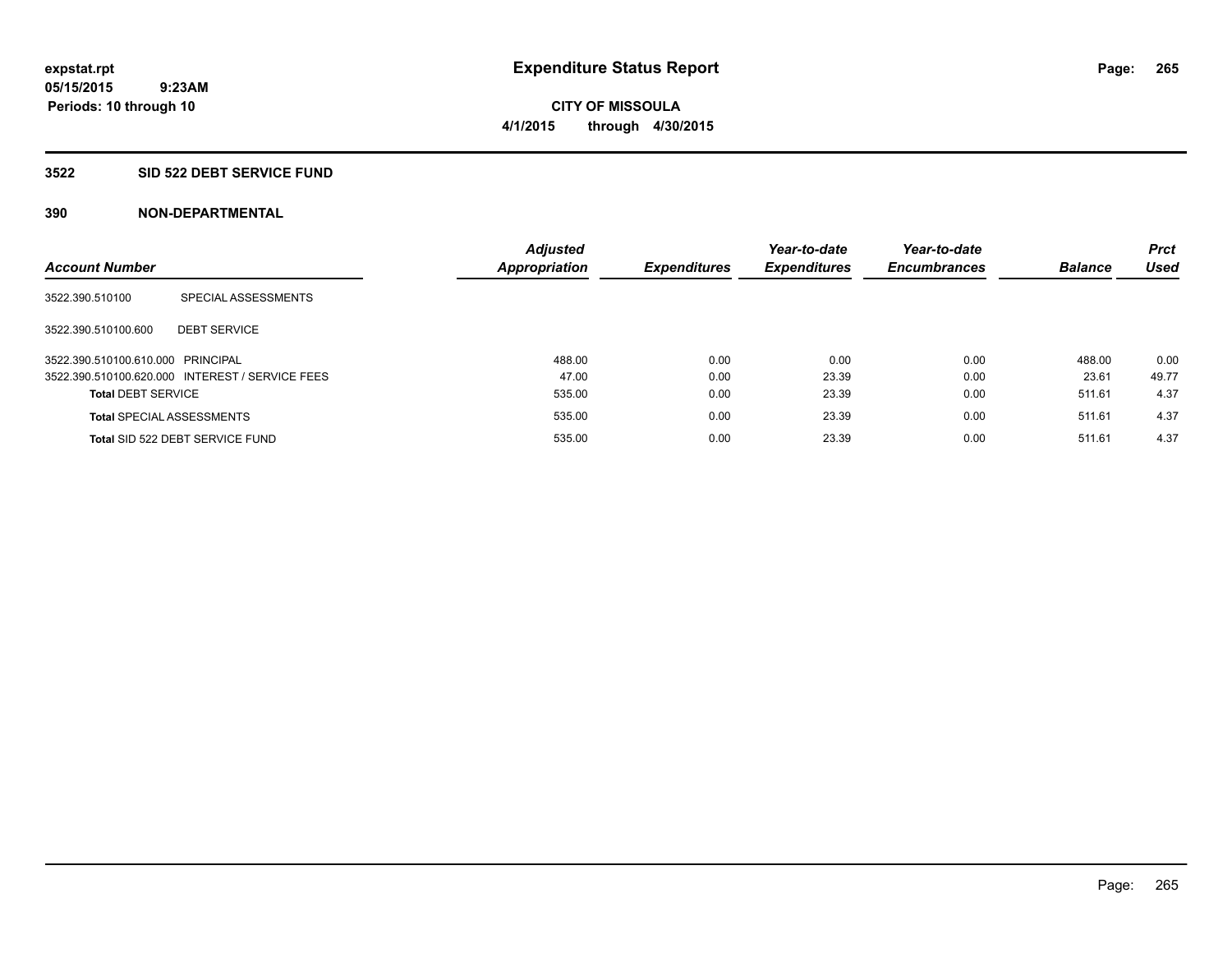**CITY OF MISSOULA 4/1/2015 through 4/30/2015**

#### **3522 SID 522 DEBT SERVICE FUND**

| <b>Account Number</b>             |                                                 | <b>Adjusted</b><br>Appropriation | <b>Expenditures</b> | Year-to-date<br><b>Expenditures</b> | Year-to-date<br><b>Encumbrances</b> | <b>Balance</b> | <b>Prct</b><br><b>Used</b> |
|-----------------------------------|-------------------------------------------------|----------------------------------|---------------------|-------------------------------------|-------------------------------------|----------------|----------------------------|
| 3522.390.510100                   | SPECIAL ASSESSMENTS                             |                                  |                     |                                     |                                     |                |                            |
| 3522.390.510100.600               | <b>DEBT SERVICE</b>                             |                                  |                     |                                     |                                     |                |                            |
| 3522.390.510100.610.000 PRINCIPAL |                                                 | 488.00                           | 0.00                | 0.00                                | 0.00                                | 488.00         | 0.00                       |
|                                   | 3522.390.510100.620.000 INTEREST / SERVICE FEES | 47.00                            | 0.00                | 23.39                               | 0.00                                | 23.61          | 49.77                      |
| <b>Total DEBT SERVICE</b>         |                                                 | 535.00                           | 0.00                | 23.39                               | 0.00                                | 511.61         | 4.37                       |
| <b>Total SPECIAL ASSESSMENTS</b>  |                                                 | 535.00                           | 0.00                | 23.39                               | 0.00                                | 511.61         | 4.37                       |
|                                   | Total SID 522 DEBT SERVICE FUND                 | 535.00                           | 0.00                | 23.39                               | 0.00                                | 511.61         | 4.37                       |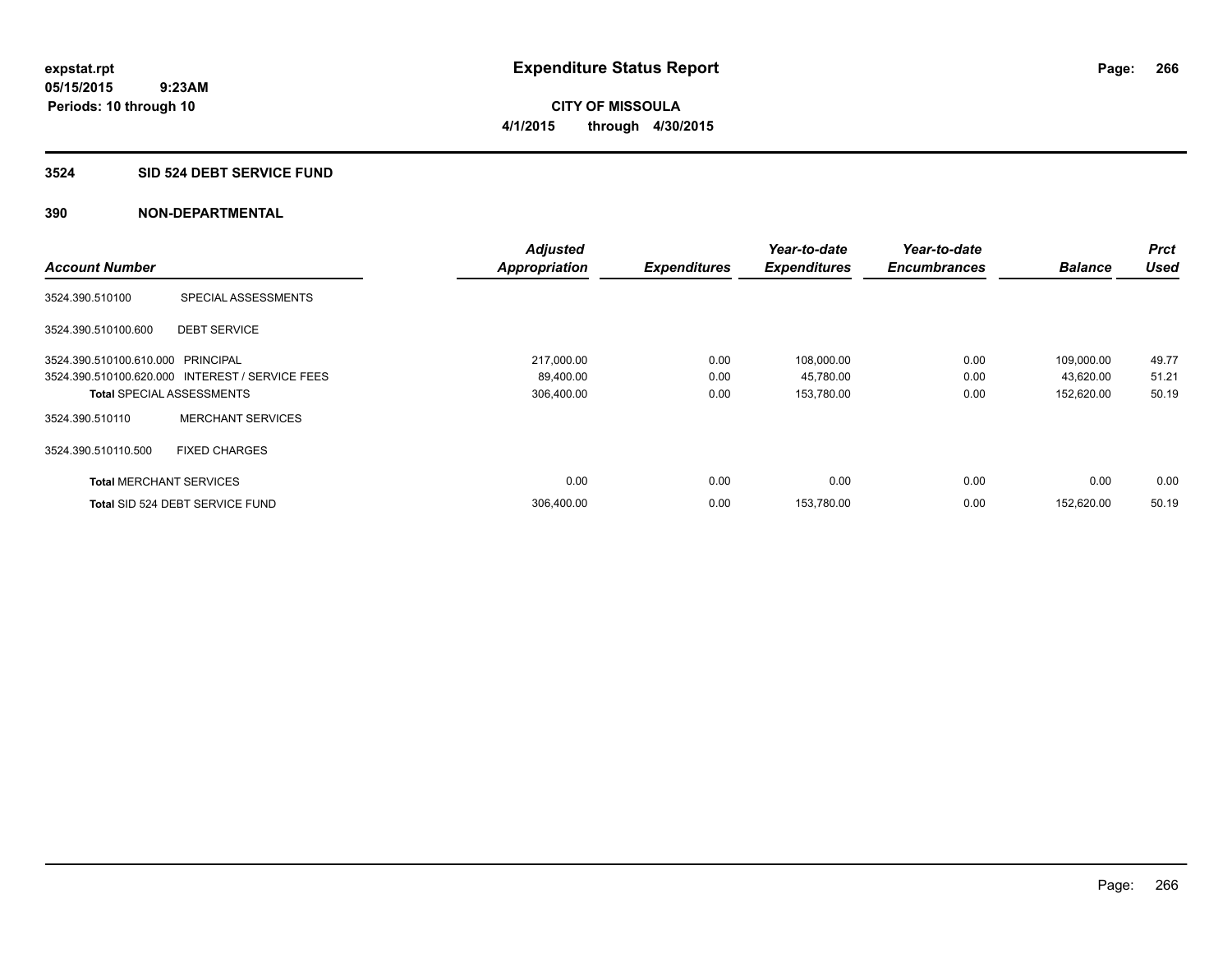#### **3524 SID 524 DEBT SERVICE FUND**

|                                   |                                                 | <b>Adjusted</b>      |                     | Year-to-date        | Year-to-date        |                | <b>Prct</b> |
|-----------------------------------|-------------------------------------------------|----------------------|---------------------|---------------------|---------------------|----------------|-------------|
| <b>Account Number</b>             |                                                 | <b>Appropriation</b> | <b>Expenditures</b> | <b>Expenditures</b> | <b>Encumbrances</b> | <b>Balance</b> | <b>Used</b> |
| 3524.390.510100                   | SPECIAL ASSESSMENTS                             |                      |                     |                     |                     |                |             |
| 3524.390.510100.600               | <b>DEBT SERVICE</b>                             |                      |                     |                     |                     |                |             |
| 3524.390.510100.610.000 PRINCIPAL |                                                 | 217,000.00           | 0.00                | 108,000.00          | 0.00                | 109,000.00     | 49.77       |
|                                   | 3524.390.510100.620.000 INTEREST / SERVICE FEES | 89,400.00            | 0.00                | 45,780.00           | 0.00                | 43,620.00      | 51.21       |
| <b>Total SPECIAL ASSESSMENTS</b>  |                                                 | 306,400.00           | 0.00                | 153,780.00          | 0.00                | 152,620.00     | 50.19       |
| 3524.390.510110                   | <b>MERCHANT SERVICES</b>                        |                      |                     |                     |                     |                |             |
| 3524.390.510110.500               | <b>FIXED CHARGES</b>                            |                      |                     |                     |                     |                |             |
| <b>Total MERCHANT SERVICES</b>    |                                                 | 0.00                 | 0.00                | 0.00                | 0.00                | 0.00           | 0.00        |
|                                   | Total SID 524 DEBT SERVICE FUND                 | 306,400.00           | 0.00                | 153,780.00          | 0.00                | 152.620.00     | 50.19       |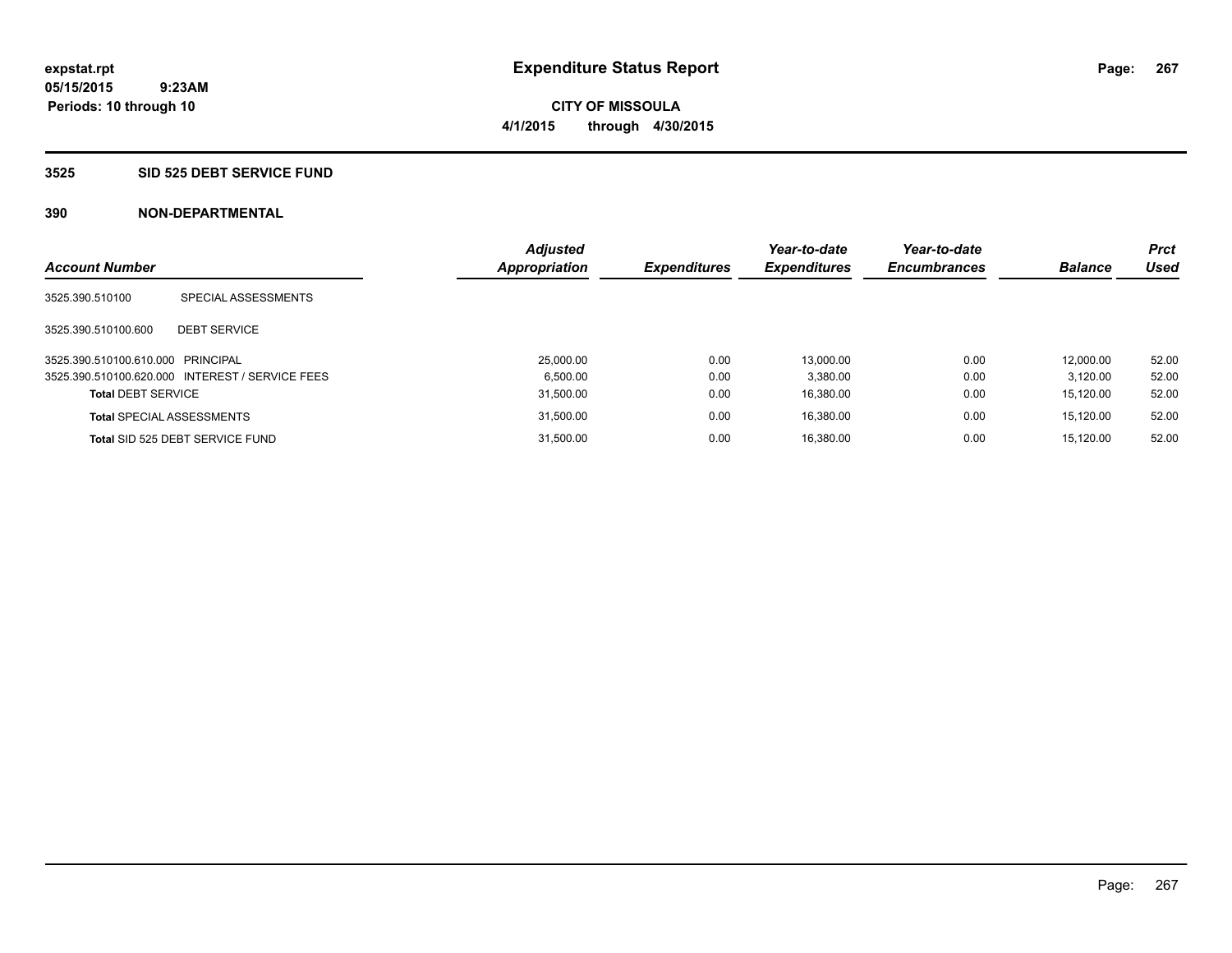# **CITY OF MISSOULA 4/1/2015 through 4/30/2015**

#### **3525 SID 525 DEBT SERVICE FUND**

| <b>Account Number</b>             |                                                 | <b>Adjusted</b><br><b>Appropriation</b> | <b>Expenditures</b> | Year-to-date<br><b>Expenditures</b> | Year-to-date<br><b>Encumbrances</b> | <b>Balance</b> | <b>Prct</b><br><b>Used</b> |
|-----------------------------------|-------------------------------------------------|-----------------------------------------|---------------------|-------------------------------------|-------------------------------------|----------------|----------------------------|
| 3525.390.510100                   | SPECIAL ASSESSMENTS                             |                                         |                     |                                     |                                     |                |                            |
| 3525.390.510100.600               | <b>DEBT SERVICE</b>                             |                                         |                     |                                     |                                     |                |                            |
| 3525.390.510100.610.000 PRINCIPAL |                                                 | 25,000.00                               | 0.00                | 13.000.00                           | 0.00                                | 12.000.00      | 52.00                      |
|                                   | 3525.390.510100.620.000 INTEREST / SERVICE FEES | 6.500.00                                | 0.00                | 3.380.00                            | 0.00                                | 3.120.00       | 52.00                      |
| <b>Total DEBT SERVICE</b>         |                                                 | 31,500.00                               | 0.00                | 16.380.00                           | 0.00                                | 15.120.00      | 52.00                      |
|                                   | <b>Total SPECIAL ASSESSMENTS</b>                | 31,500.00                               | 0.00                | 16.380.00                           | 0.00                                | 15.120.00      | 52.00                      |
|                                   | Total SID 525 DEBT SERVICE FUND                 | 31.500.00                               | 0.00                | 16.380.00                           | 0.00                                | 15.120.00      | 52.00                      |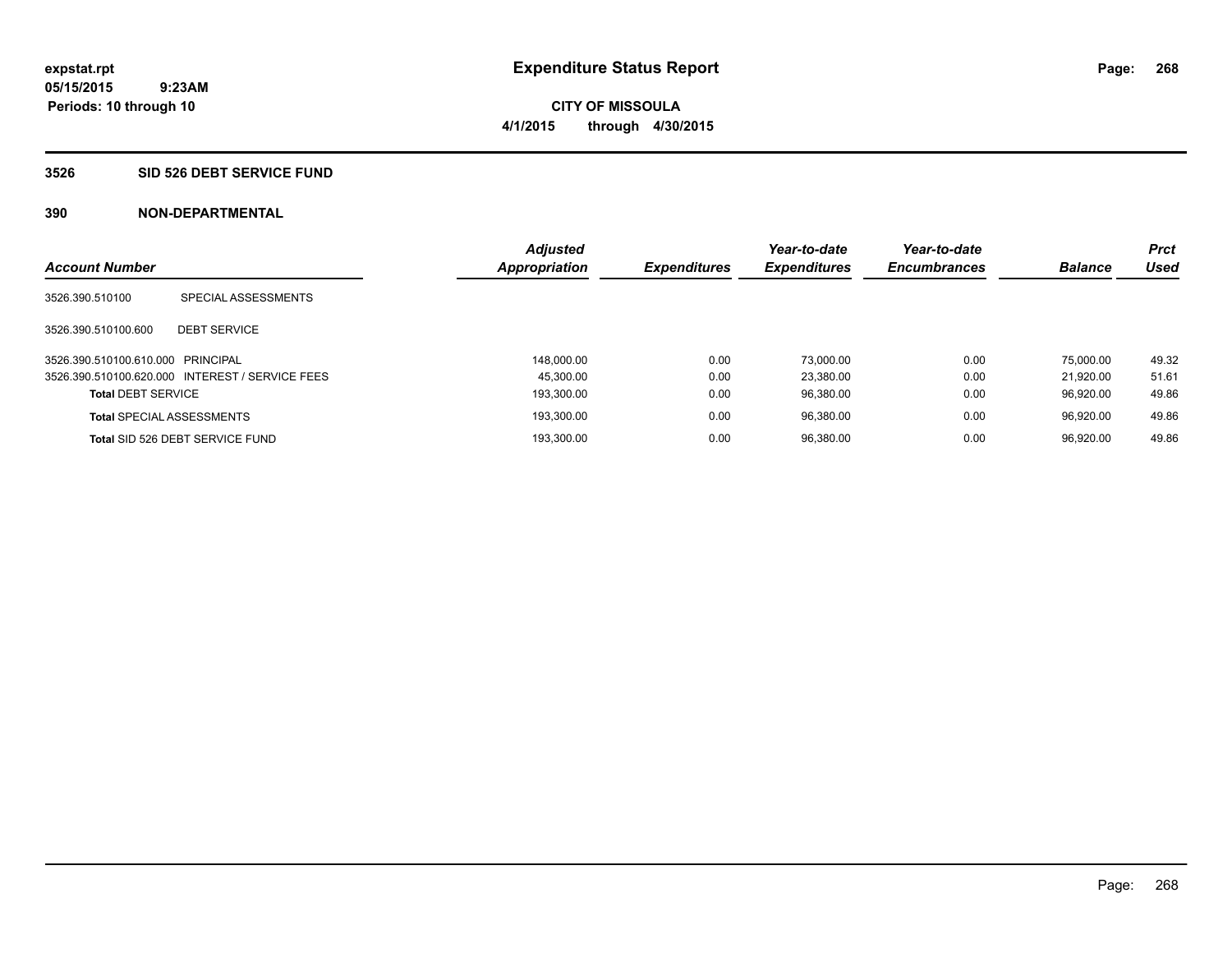**268**

**05/15/2015 9:23AM Periods: 10 through 10**

# **CITY OF MISSOULA 4/1/2015 through 4/30/2015**

#### **3526 SID 526 DEBT SERVICE FUND**

| <b>Account Number</b>             |                                                 | <b>Appropriation</b> | <b>Adjusted</b><br><b>Expenditures</b> | Year-to-date<br><b>Expenditures</b> | Year-to-date<br><b>Encumbrances</b> | <b>Balance</b> | <b>Prct</b><br>Used |
|-----------------------------------|-------------------------------------------------|----------------------|----------------------------------------|-------------------------------------|-------------------------------------|----------------|---------------------|
| 3526.390.510100                   | SPECIAL ASSESSMENTS                             |                      |                                        |                                     |                                     |                |                     |
| 3526.390.510100.600               | <b>DEBT SERVICE</b>                             |                      |                                        |                                     |                                     |                |                     |
| 3526.390.510100.610.000 PRINCIPAL |                                                 |                      | 0.00<br>148.000.00                     | 73.000.00                           | 0.00                                | 75,000.00      | 49.32               |
|                                   | 3526.390.510100.620.000 INTEREST / SERVICE FEES |                      | 0.00<br>45.300.00                      | 23.380.00                           | 0.00                                | 21.920.00      | 51.61               |
| <b>Total DEBT SERVICE</b>         |                                                 |                      | 0.00<br>193.300.00                     | 96,380.00                           | 0.00                                | 96.920.00      | 49.86               |
| <b>Total SPECIAL ASSESSMENTS</b>  |                                                 |                      | 0.00<br>193.300.00                     | 96.380.00                           | 0.00                                | 96.920.00      | 49.86               |
|                                   | Total SID 526 DEBT SERVICE FUND                 |                      | 193.300.00<br>0.00                     | 96.380.00                           | 0.00                                | 96.920.00      | 49.86               |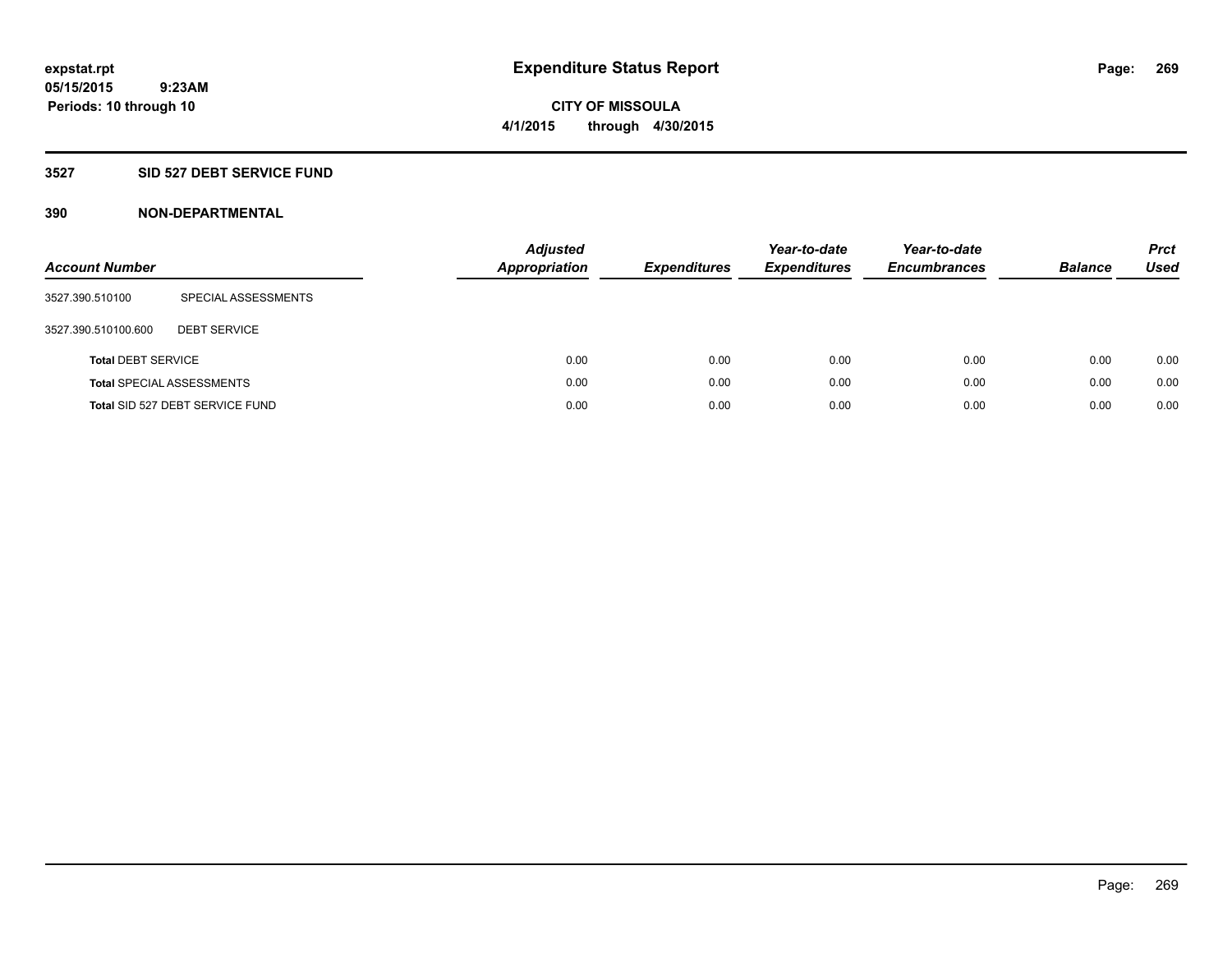#### **3527 SID 527 DEBT SERVICE FUND**

| <b>Account Number</b>     |                                  | <b>Adjusted</b><br><b>Appropriation</b> | <b>Expenditures</b> | Year-to-date<br><b>Expenditures</b> | Year-to-date<br><b>Encumbrances</b> | <b>Balance</b> | <b>Prct</b><br>Used |
|---------------------------|----------------------------------|-----------------------------------------|---------------------|-------------------------------------|-------------------------------------|----------------|---------------------|
| 3527.390.510100           | SPECIAL ASSESSMENTS              |                                         |                     |                                     |                                     |                |                     |
| 3527.390.510100.600       | <b>DEBT SERVICE</b>              |                                         |                     |                                     |                                     |                |                     |
| <b>Total DEBT SERVICE</b> |                                  | 0.00                                    | 0.00                | 0.00                                | 0.00                                | 0.00           | 0.00                |
|                           | <b>Total SPECIAL ASSESSMENTS</b> | 0.00                                    | 0.00                | 0.00                                | 0.00                                | 0.00           | 0.00                |
|                           | Total SID 527 DEBT SERVICE FUND  | 0.00                                    | 0.00                | 0.00                                | 0.00                                | 0.00           | 0.00                |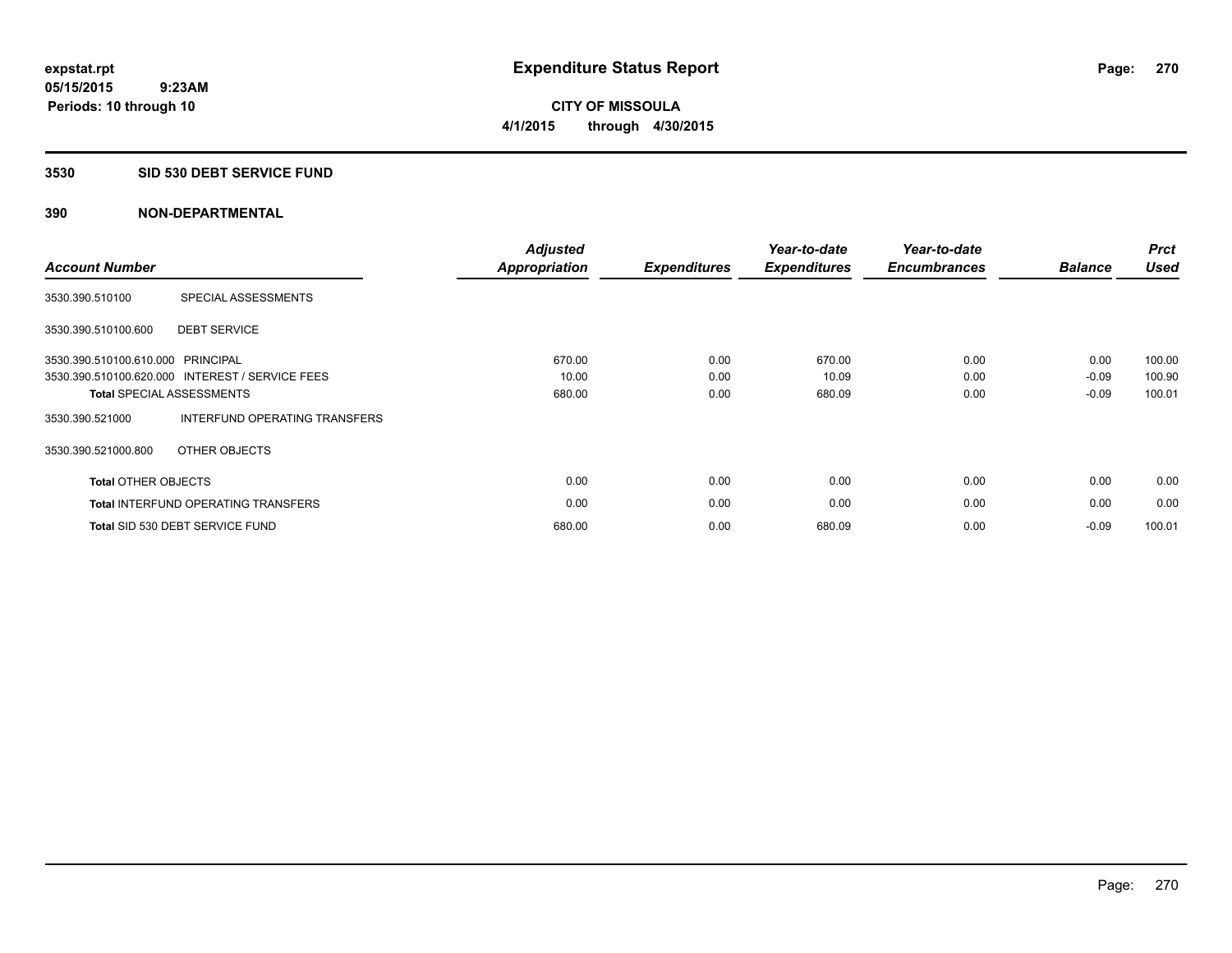#### **3530 SID 530 DEBT SERVICE FUND**

| <b>Account Number</b>      |                                                 | <b>Adjusted</b><br>Appropriation | <b>Expenditures</b> | Year-to-date<br><b>Expenditures</b> | Year-to-date<br><b>Encumbrances</b> | <b>Balance</b> | <b>Prct</b><br><b>Used</b> |
|----------------------------|-------------------------------------------------|----------------------------------|---------------------|-------------------------------------|-------------------------------------|----------------|----------------------------|
|                            |                                                 |                                  |                     |                                     |                                     |                |                            |
| 3530.390.510100            | SPECIAL ASSESSMENTS                             |                                  |                     |                                     |                                     |                |                            |
| 3530.390.510100.600        | <b>DEBT SERVICE</b>                             |                                  |                     |                                     |                                     |                |                            |
| 3530.390.510100.610.000    | <b>PRINCIPAL</b>                                | 670.00                           | 0.00                | 670.00                              | 0.00                                | 0.00           | 100.00                     |
|                            | 3530.390.510100.620.000 INTEREST / SERVICE FEES | 10.00                            | 0.00                | 10.09                               | 0.00                                | $-0.09$        | 100.90                     |
|                            | <b>Total SPECIAL ASSESSMENTS</b>                | 680.00                           | 0.00                | 680.09                              | 0.00                                | $-0.09$        | 100.01                     |
| 3530.390.521000            | INTERFUND OPERATING TRANSFERS                   |                                  |                     |                                     |                                     |                |                            |
| 3530.390.521000.800        | OTHER OBJECTS                                   |                                  |                     |                                     |                                     |                |                            |
| <b>Total OTHER OBJECTS</b> |                                                 | 0.00                             | 0.00                | 0.00                                | 0.00                                | 0.00           | 0.00                       |
|                            | <b>Total INTERFUND OPERATING TRANSFERS</b>      | 0.00                             | 0.00                | 0.00                                | 0.00                                | 0.00           | 0.00                       |
|                            | Total SID 530 DEBT SERVICE FUND                 | 680.00                           | 0.00                | 680.09                              | 0.00                                | $-0.09$        | 100.01                     |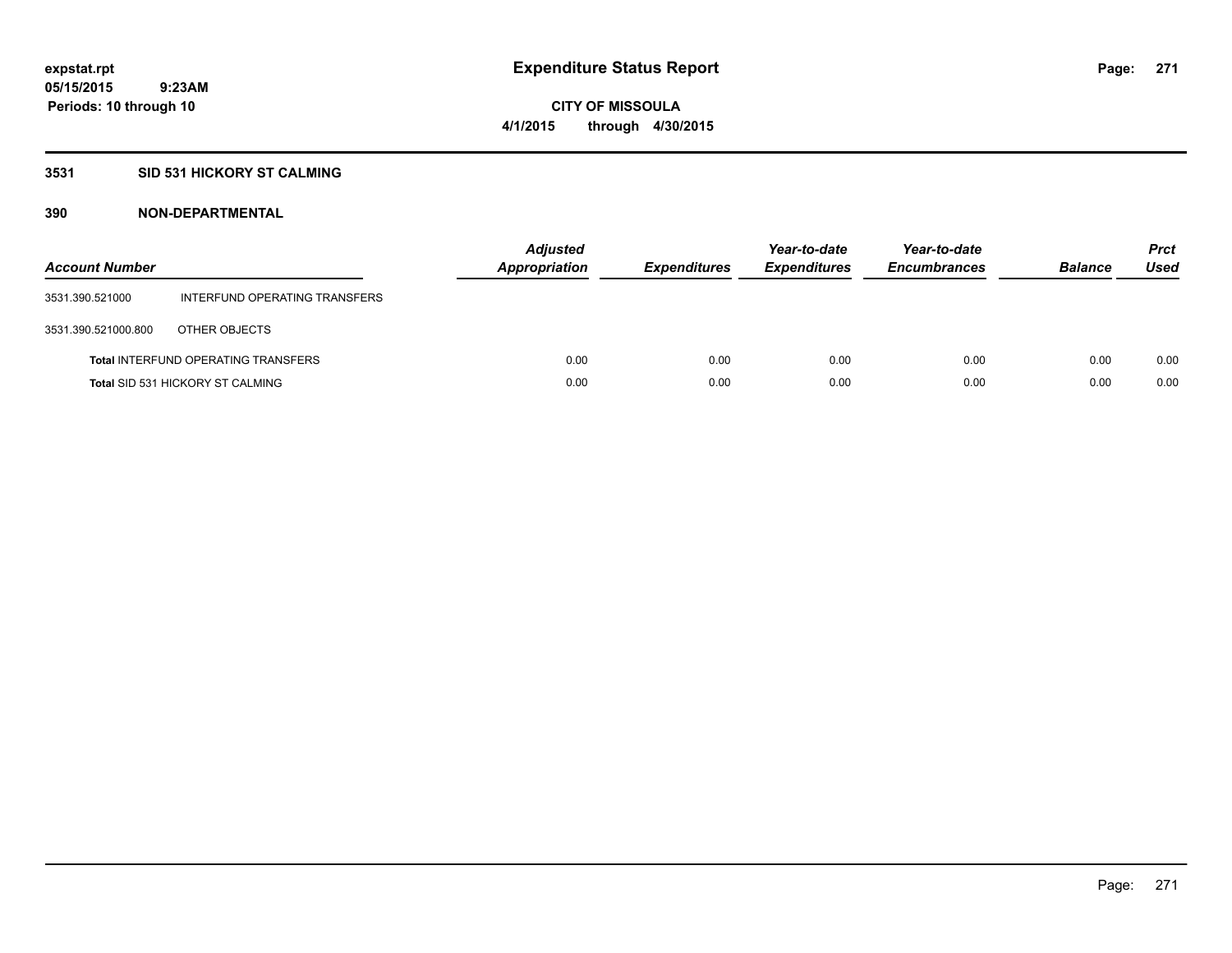## **3531 SID 531 HICKORY ST CALMING**

| <b>Account Number</b> |                                            | <b>Adjusted</b><br>Appropriation | <b>Expenditures</b> | Year-to-date<br><b>Expenditures</b> | Year-to-date<br><b>Encumbrances</b> | <b>Balance</b> | <b>Prct</b><br>Used |
|-----------------------|--------------------------------------------|----------------------------------|---------------------|-------------------------------------|-------------------------------------|----------------|---------------------|
| 3531.390.521000       | INTERFUND OPERATING TRANSFERS              |                                  |                     |                                     |                                     |                |                     |
| 3531.390.521000.800   | OTHER OBJECTS                              |                                  |                     |                                     |                                     |                |                     |
|                       | <b>Total INTERFUND OPERATING TRANSFERS</b> | 0.00                             | 0.00                | 0.00                                | 0.00                                | 0.00           | 0.00                |
|                       | <b>Total SID 531 HICKORY ST CALMING</b>    | 0.00                             | 0.00                | 0.00                                | 0.00                                | 0.00           | 0.00                |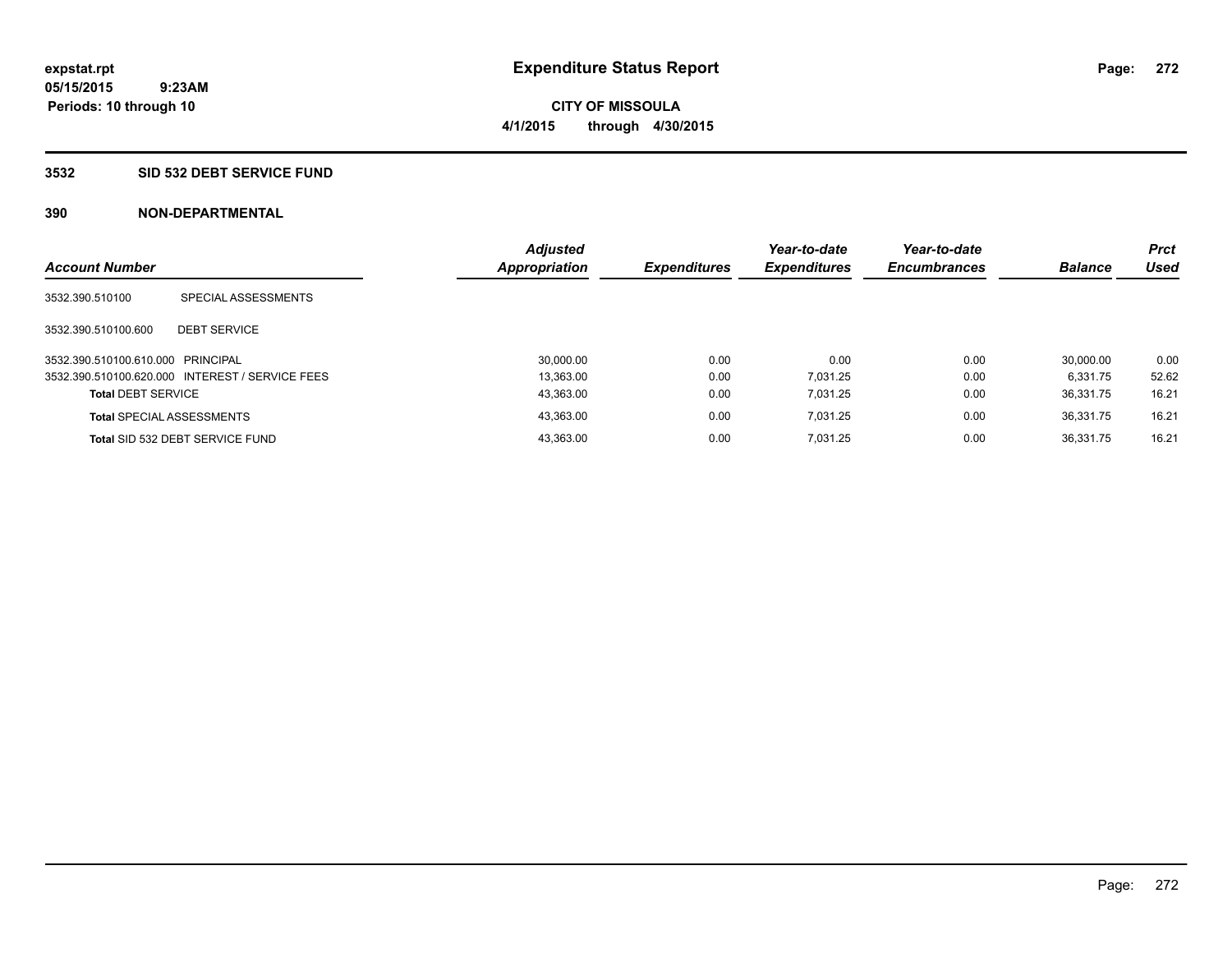#### **3532 SID 532 DEBT SERVICE FUND**

| <b>Account Number</b>             |                                                 | <b>Adjusted</b><br><b>Appropriation</b> | <b>Expenditures</b> | Year-to-date<br><b>Expenditures</b> | Year-to-date<br><b>Encumbrances</b> | <b>Balance</b> | <b>Prct</b><br>Used |
|-----------------------------------|-------------------------------------------------|-----------------------------------------|---------------------|-------------------------------------|-------------------------------------|----------------|---------------------|
| 3532.390.510100                   | SPECIAL ASSESSMENTS                             |                                         |                     |                                     |                                     |                |                     |
| 3532.390.510100.600               | <b>DEBT SERVICE</b>                             |                                         |                     |                                     |                                     |                |                     |
| 3532.390.510100.610.000 PRINCIPAL |                                                 | 30.000.00                               | 0.00                | 0.00                                | 0.00                                | 30.000.00      | 0.00                |
|                                   | 3532.390.510100.620.000 INTEREST / SERVICE FEES | 13.363.00                               | 0.00                | 7.031.25                            | 0.00                                | 6.331.75       | 52.62               |
| <b>Total DEBT SERVICE</b>         |                                                 | 43,363.00                               | 0.00                | 7.031.25                            | 0.00                                | 36.331.75      | 16.21               |
|                                   | <b>Total SPECIAL ASSESSMENTS</b>                | 43,363.00                               | 0.00                | 7.031.25                            | 0.00                                | 36.331.75      | 16.21               |
|                                   | Total SID 532 DEBT SERVICE FUND                 | 43.363.00                               | 0.00                | 7.031.25                            | 0.00                                | 36.331.75      | 16.21               |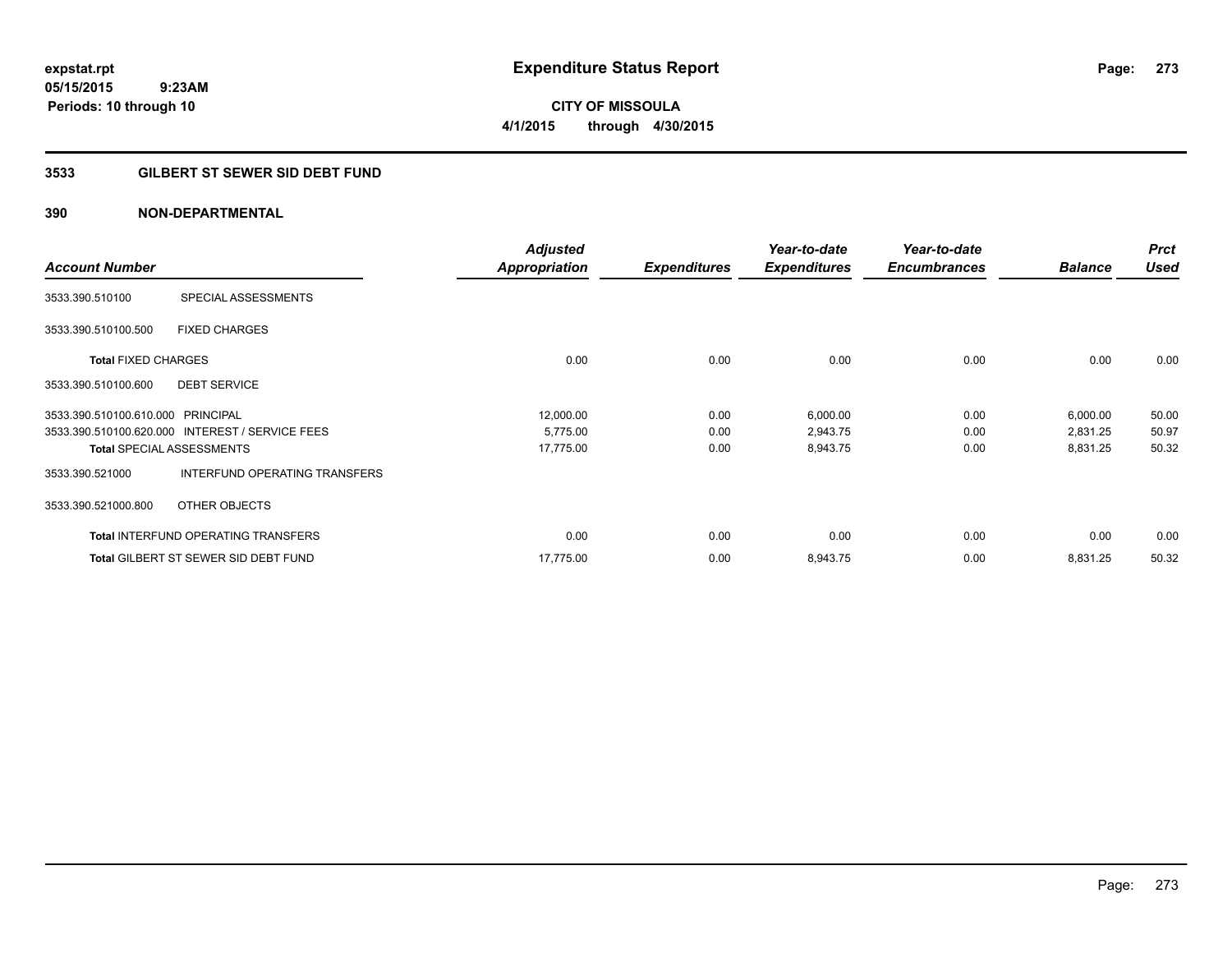**CITY OF MISSOULA 4/1/2015 through 4/30/2015**

## **3533 GILBERT ST SEWER SID DEBT FUND**

| <b>Account Number</b>             |                                                 | <b>Adjusted</b><br><b>Appropriation</b> | <b>Expenditures</b> | Year-to-date<br><b>Expenditures</b> | Year-to-date<br><b>Encumbrances</b> | <b>Balance</b> | <b>Prct</b><br>Used |
|-----------------------------------|-------------------------------------------------|-----------------------------------------|---------------------|-------------------------------------|-------------------------------------|----------------|---------------------|
| 3533.390.510100                   | SPECIAL ASSESSMENTS                             |                                         |                     |                                     |                                     |                |                     |
| 3533.390.510100.500               | <b>FIXED CHARGES</b>                            |                                         |                     |                                     |                                     |                |                     |
| <b>Total FIXED CHARGES</b>        |                                                 | 0.00                                    | 0.00                | 0.00                                | 0.00                                | 0.00           | 0.00                |
| 3533.390.510100.600               | <b>DEBT SERVICE</b>                             |                                         |                     |                                     |                                     |                |                     |
| 3533.390.510100.610.000 PRINCIPAL |                                                 | 12,000.00                               | 0.00                | 6,000.00                            | 0.00                                | 6,000.00       | 50.00               |
|                                   | 3533.390.510100.620.000 INTEREST / SERVICE FEES | 5,775.00                                | 0.00                | 2,943.75                            | 0.00                                | 2,831.25       | 50.97               |
|                                   | <b>Total SPECIAL ASSESSMENTS</b>                | 17,775.00                               | 0.00                | 8,943.75                            | 0.00                                | 8,831.25       | 50.32               |
| 3533.390.521000                   | INTERFUND OPERATING TRANSFERS                   |                                         |                     |                                     |                                     |                |                     |
| 3533.390.521000.800               | OTHER OBJECTS                                   |                                         |                     |                                     |                                     |                |                     |
|                                   | <b>Total INTERFUND OPERATING TRANSFERS</b>      | 0.00                                    | 0.00                | 0.00                                | 0.00                                | 0.00           | 0.00                |
|                                   | <b>Total GILBERT ST SEWER SID DEBT FUND</b>     | 17.775.00                               | 0.00                | 8,943.75                            | 0.00                                | 8,831.25       | 50.32               |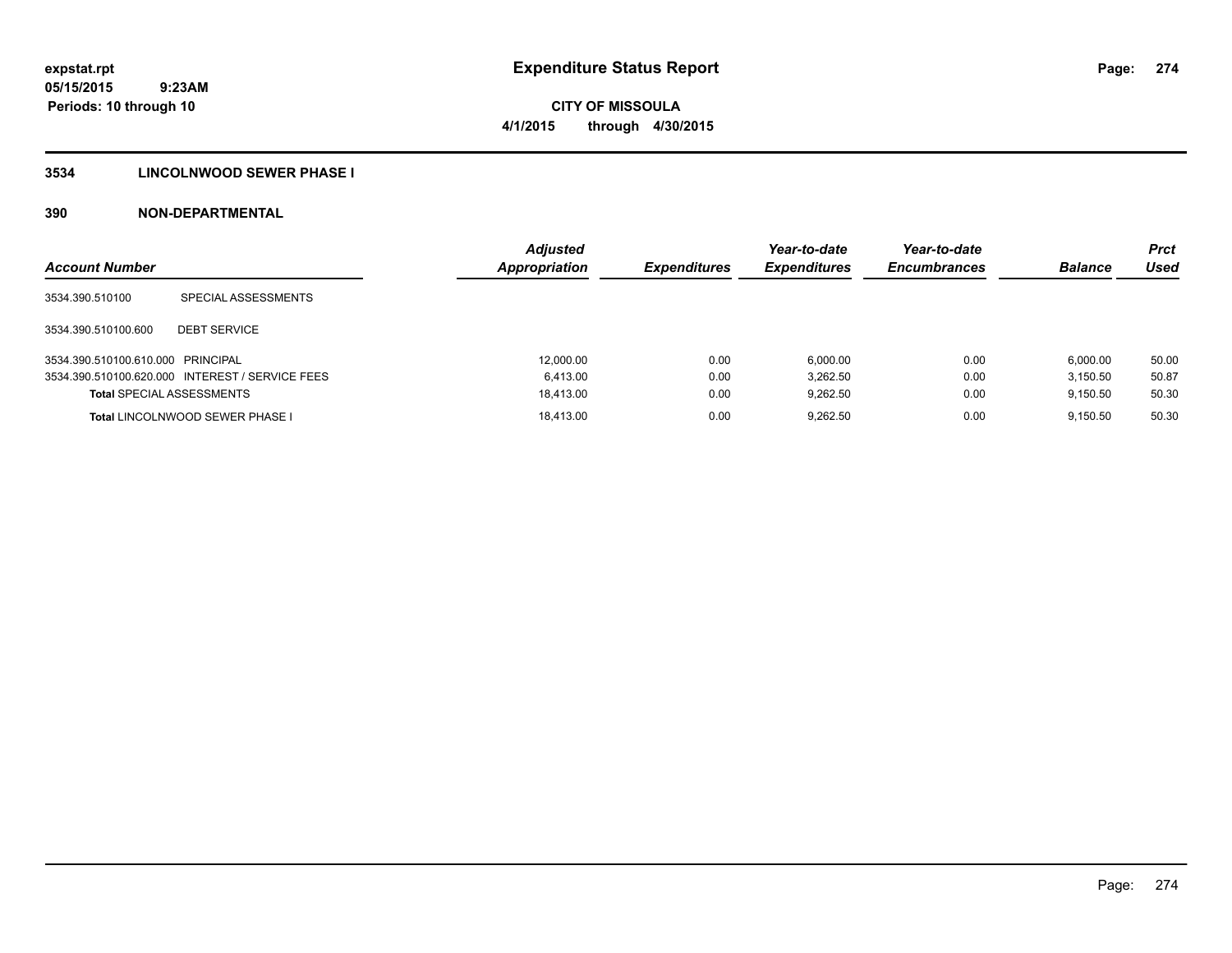#### **3534 LINCOLNWOOD SEWER PHASE I**

| <b>Account Number</b>             |                                                 | <b>Adjusted</b><br>Appropriation | <b>Expenditures</b> | Year-to-date<br><b>Expenditures</b> | Year-to-date<br><b>Encumbrances</b> | <b>Balance</b> | <b>Prct</b><br>Used |
|-----------------------------------|-------------------------------------------------|----------------------------------|---------------------|-------------------------------------|-------------------------------------|----------------|---------------------|
| 3534.390.510100                   | SPECIAL ASSESSMENTS                             |                                  |                     |                                     |                                     |                |                     |
| 3534.390.510100.600               | <b>DEBT SERVICE</b>                             |                                  |                     |                                     |                                     |                |                     |
| 3534.390.510100.610.000 PRINCIPAL |                                                 | 12,000.00                        | 0.00                | 6.000.00                            | 0.00                                | 6.000.00       | 50.00               |
|                                   | 3534.390.510100.620.000 INTEREST / SERVICE FEES | 6.413.00                         | 0.00                | 3.262.50                            | 0.00                                | 3.150.50       | 50.87               |
| <b>Total SPECIAL ASSESSMENTS</b>  |                                                 | 18.413.00                        | 0.00                | 9.262.50                            | 0.00                                | 9.150.50       | 50.30               |
|                                   | <b>Total LINCOLNWOOD SEWER PHASE I</b>          | 18.413.00                        | 0.00                | 9.262.50                            | 0.00                                | 9.150.50       | 50.30               |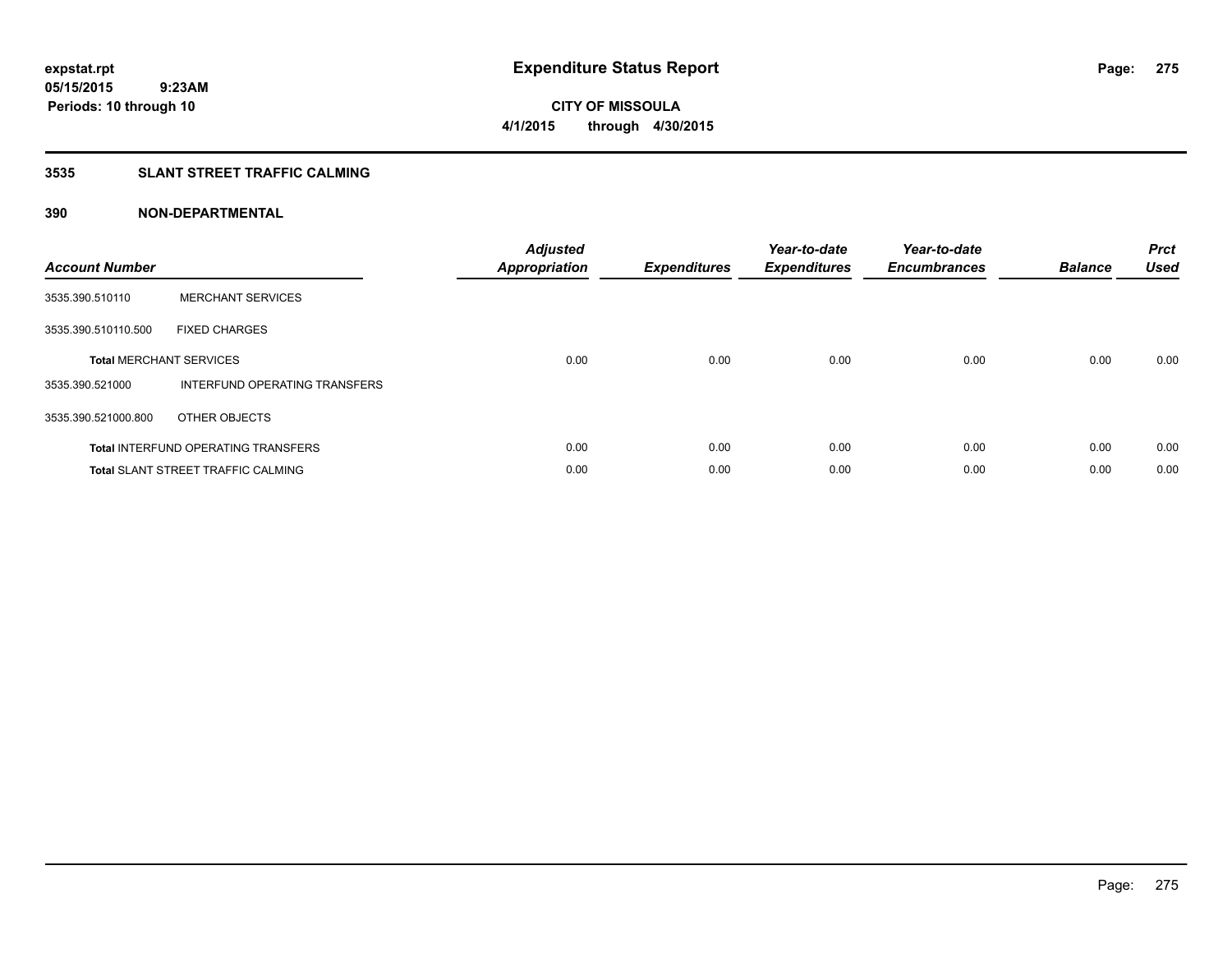## **3535 SLANT STREET TRAFFIC CALMING**

| <b>Account Number</b> |                                            | <b>Adjusted</b><br>Appropriation | <b>Expenditures</b> | Year-to-date<br><b>Expenditures</b> | Year-to-date<br><b>Encumbrances</b> | <b>Balance</b> | <b>Prct</b><br><b>Used</b> |
|-----------------------|--------------------------------------------|----------------------------------|---------------------|-------------------------------------|-------------------------------------|----------------|----------------------------|
| 3535.390.510110       | <b>MERCHANT SERVICES</b>                   |                                  |                     |                                     |                                     |                |                            |
| 3535.390.510110.500   | <b>FIXED CHARGES</b>                       |                                  |                     |                                     |                                     |                |                            |
|                       | <b>Total MERCHANT SERVICES</b>             | 0.00                             | 0.00                | 0.00                                | 0.00                                | 0.00           | 0.00                       |
| 3535.390.521000       | INTERFUND OPERATING TRANSFERS              |                                  |                     |                                     |                                     |                |                            |
| 3535.390.521000.800   | OTHER OBJECTS                              |                                  |                     |                                     |                                     |                |                            |
|                       | <b>Total INTERFUND OPERATING TRANSFERS</b> | 0.00                             | 0.00                | 0.00                                | 0.00                                | 0.00           | 0.00                       |
|                       | <b>Total SLANT STREET TRAFFIC CALMING</b>  | 0.00                             | 0.00                | 0.00                                | 0.00                                | 0.00           | 0.00                       |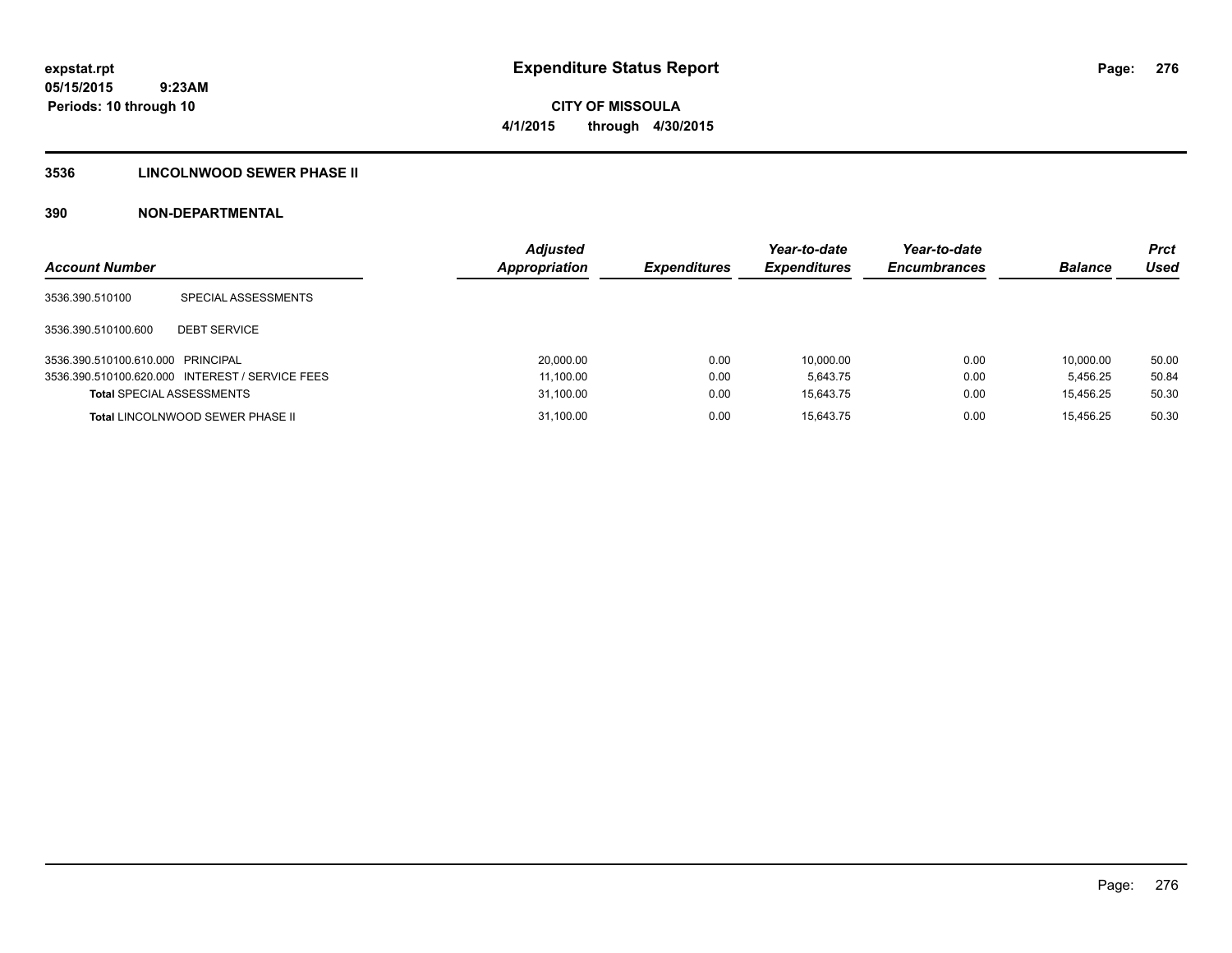# **CITY OF MISSOULA 4/1/2015 through 4/30/2015**

## **3536 LINCOLNWOOD SEWER PHASE II**

| <b>Account Number</b>             |                                                 | <b>Adjusted</b><br><b>Appropriation</b> | <b>Expenditures</b> | Year-to-date<br><b>Expenditures</b> | Year-to-date<br><b>Encumbrances</b> | <b>Balance</b> | <b>Prct</b><br>Used |
|-----------------------------------|-------------------------------------------------|-----------------------------------------|---------------------|-------------------------------------|-------------------------------------|----------------|---------------------|
| 3536.390.510100                   | SPECIAL ASSESSMENTS                             |                                         |                     |                                     |                                     |                |                     |
| 3536.390.510100.600               | <b>DEBT SERVICE</b>                             |                                         |                     |                                     |                                     |                |                     |
| 3536.390.510100.610.000 PRINCIPAL |                                                 | 20,000.00                               | 0.00                | 10.000.00                           | 0.00                                | 10.000.00      | 50.00               |
|                                   | 3536.390.510100.620.000 INTEREST / SERVICE FEES | 11,100.00                               | 0.00                | 5.643.75                            | 0.00                                | 5.456.25       | 50.84               |
| <b>Total SPECIAL ASSESSMENTS</b>  |                                                 | 31,100.00                               | 0.00                | 15.643.75                           | 0.00                                | 15.456.25      | 50.30               |
|                                   | <b>Total LINCOLNWOOD SEWER PHASE II</b>         | 31,100.00                               | 0.00                | 15.643.75                           | 0.00                                | 15.456.25      | 50.30               |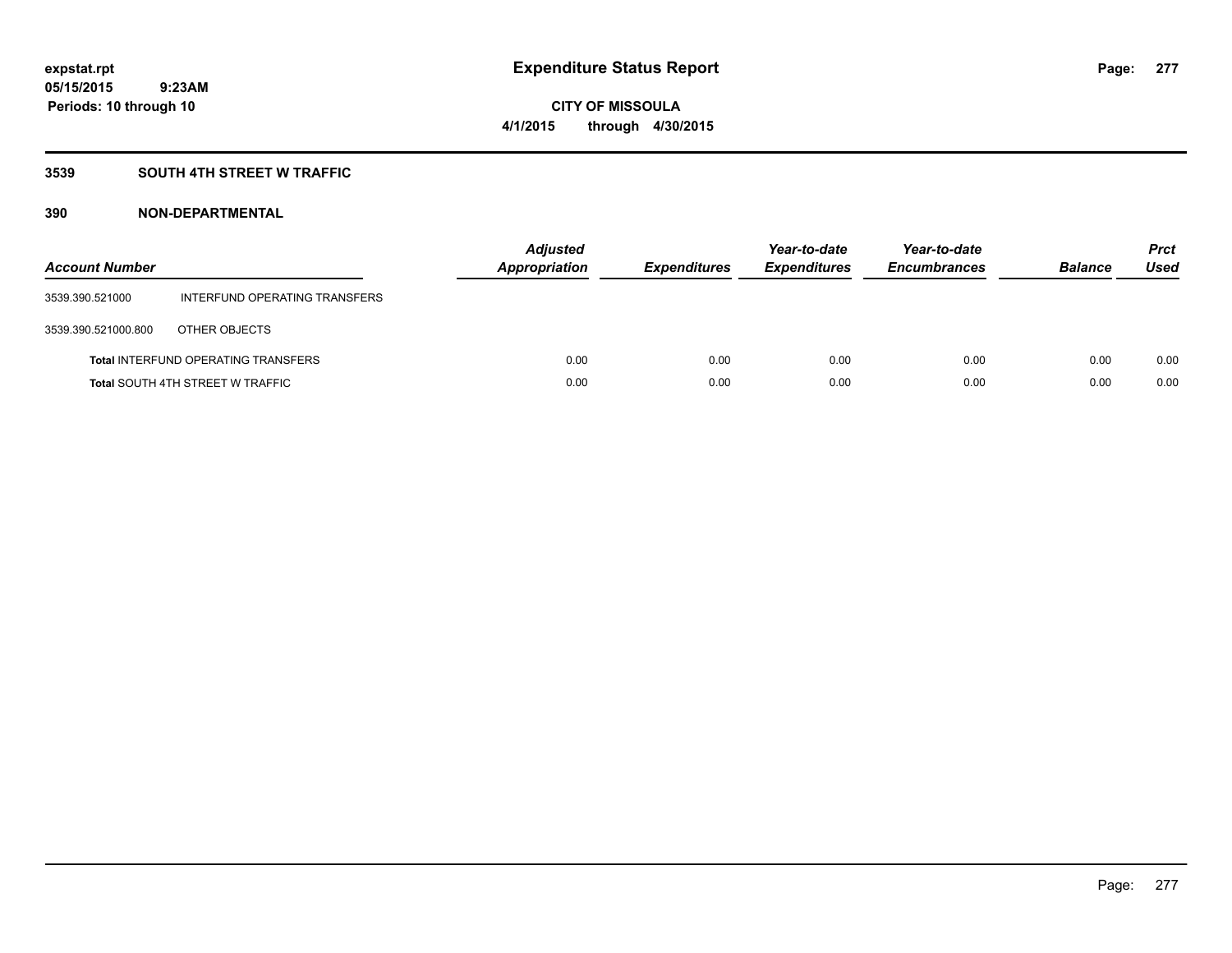## **3539 SOUTH 4TH STREET W TRAFFIC**

| <b>Account Number</b> |                                            | <b>Adjusted</b><br><b>Appropriation</b> | <b>Expenditures</b> | Year-to-date<br><b>Expenditures</b> | Year-to-date<br><b>Encumbrances</b> | <b>Balance</b> | <b>Prct</b><br>Used |
|-----------------------|--------------------------------------------|-----------------------------------------|---------------------|-------------------------------------|-------------------------------------|----------------|---------------------|
| 3539.390.521000       | INTERFUND OPERATING TRANSFERS              |                                         |                     |                                     |                                     |                |                     |
| 3539.390.521000.800   | OTHER OBJECTS                              |                                         |                     |                                     |                                     |                |                     |
|                       | <b>Total INTERFUND OPERATING TRANSFERS</b> | 0.00                                    | 0.00                | 0.00                                | 0.00                                | 0.00           | 0.00                |
|                       | <b>Total SOUTH 4TH STREET W TRAFFIC</b>    | 0.00                                    | 0.00                | 0.00                                | 0.00                                | 0.00           | 0.00                |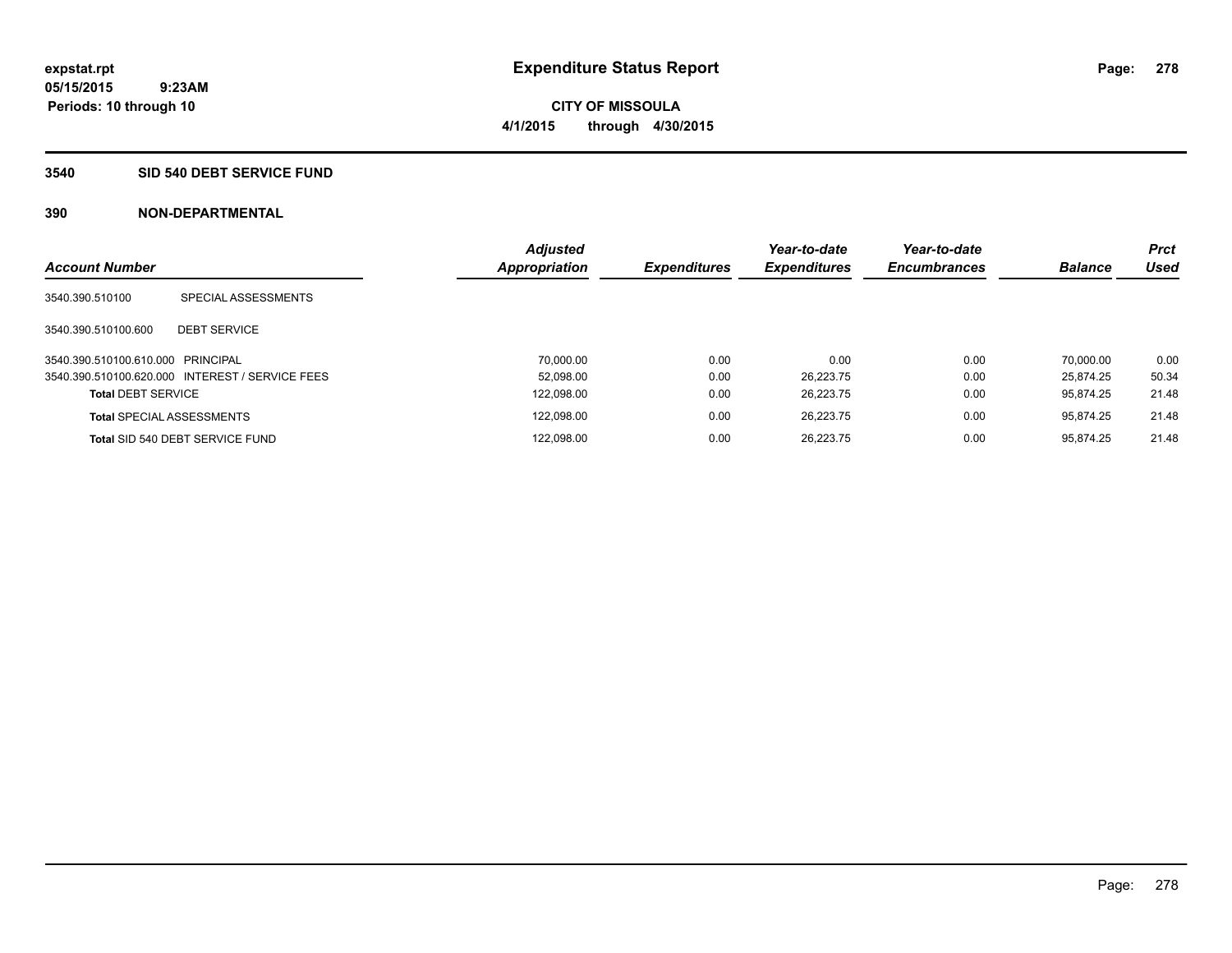# **CITY OF MISSOULA 4/1/2015 through 4/30/2015**

#### **3540 SID 540 DEBT SERVICE FUND**

| <b>Account Number</b>             |                                                 | <b>Adjusted</b><br><b>Appropriation</b> | <b>Expenditures</b> | Year-to-date<br><b>Expenditures</b> | Year-to-date<br><b>Encumbrances</b> | <b>Balance</b> | <b>Prct</b><br><b>Used</b> |
|-----------------------------------|-------------------------------------------------|-----------------------------------------|---------------------|-------------------------------------|-------------------------------------|----------------|----------------------------|
| 3540.390.510100                   | SPECIAL ASSESSMENTS                             |                                         |                     |                                     |                                     |                |                            |
| 3540.390.510100.600               | <b>DEBT SERVICE</b>                             |                                         |                     |                                     |                                     |                |                            |
| 3540.390.510100.610.000 PRINCIPAL |                                                 | 70.000.00                               | 0.00                | 0.00                                | 0.00                                | 70.000.00      | 0.00                       |
|                                   | 3540.390.510100.620.000 INTEREST / SERVICE FEES | 52.098.00                               | 0.00                | 26.223.75                           | 0.00                                | 25.874.25      | 50.34                      |
| <b>Total DEBT SERVICE</b>         |                                                 | 122,098.00                              | 0.00                | 26.223.75                           | 0.00                                | 95.874.25      | 21.48                      |
|                                   | <b>Total SPECIAL ASSESSMENTS</b>                | 122.098.00                              | 0.00                | 26.223.75                           | 0.00                                | 95.874.25      | 21.48                      |
|                                   | Total SID 540 DEBT SERVICE FUND                 | 122,098.00                              | 0.00                | 26.223.75                           | 0.00                                | 95.874.25      | 21.48                      |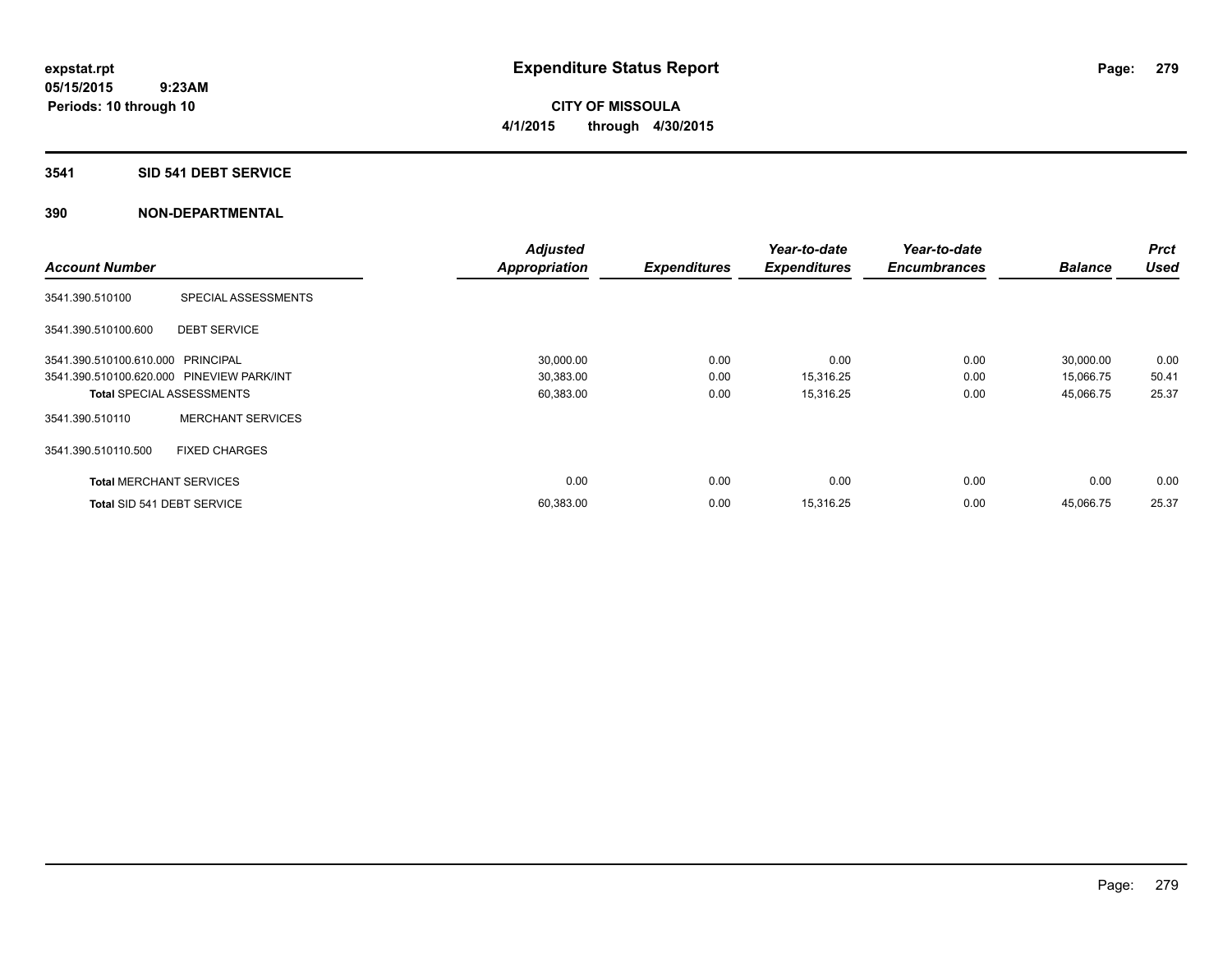**Periods: 10 through 10**

**CITY OF MISSOULA 4/1/2015 through 4/30/2015**

#### **3541 SID 541 DEBT SERVICE**

|                                           |                                  | <b>Adjusted</b>      |                     | Year-to-date        | Year-to-date        |                | <b>Prct</b> |
|-------------------------------------------|----------------------------------|----------------------|---------------------|---------------------|---------------------|----------------|-------------|
| <b>Account Number</b>                     |                                  | <b>Appropriation</b> | <b>Expenditures</b> | <b>Expenditures</b> | <b>Encumbrances</b> | <b>Balance</b> | <b>Used</b> |
| 3541.390.510100                           | SPECIAL ASSESSMENTS              |                      |                     |                     |                     |                |             |
| 3541.390.510100.600                       | <b>DEBT SERVICE</b>              |                      |                     |                     |                     |                |             |
| 3541.390.510100.610.000 PRINCIPAL         |                                  | 30,000.00            | 0.00                | 0.00                | 0.00                | 30,000.00      | 0.00        |
| 3541.390.510100.620.000 PINEVIEW PARK/INT |                                  | 30,383.00            | 0.00                | 15,316.25           | 0.00                | 15,066.75      | 50.41       |
|                                           | <b>Total SPECIAL ASSESSMENTS</b> | 60,383.00            | 0.00                | 15,316.25           | 0.00                | 45,066.75      | 25.37       |
| 3541.390.510110                           | <b>MERCHANT SERVICES</b>         |                      |                     |                     |                     |                |             |
| 3541.390.510110.500                       | <b>FIXED CHARGES</b>             |                      |                     |                     |                     |                |             |
| <b>Total MERCHANT SERVICES</b>            |                                  | 0.00                 | 0.00                | 0.00                | 0.00                | 0.00           | 0.00        |
| Total SID 541 DEBT SERVICE                |                                  | 60,383.00            | 0.00                | 15,316.25           | 0.00                | 45,066.75      | 25.37       |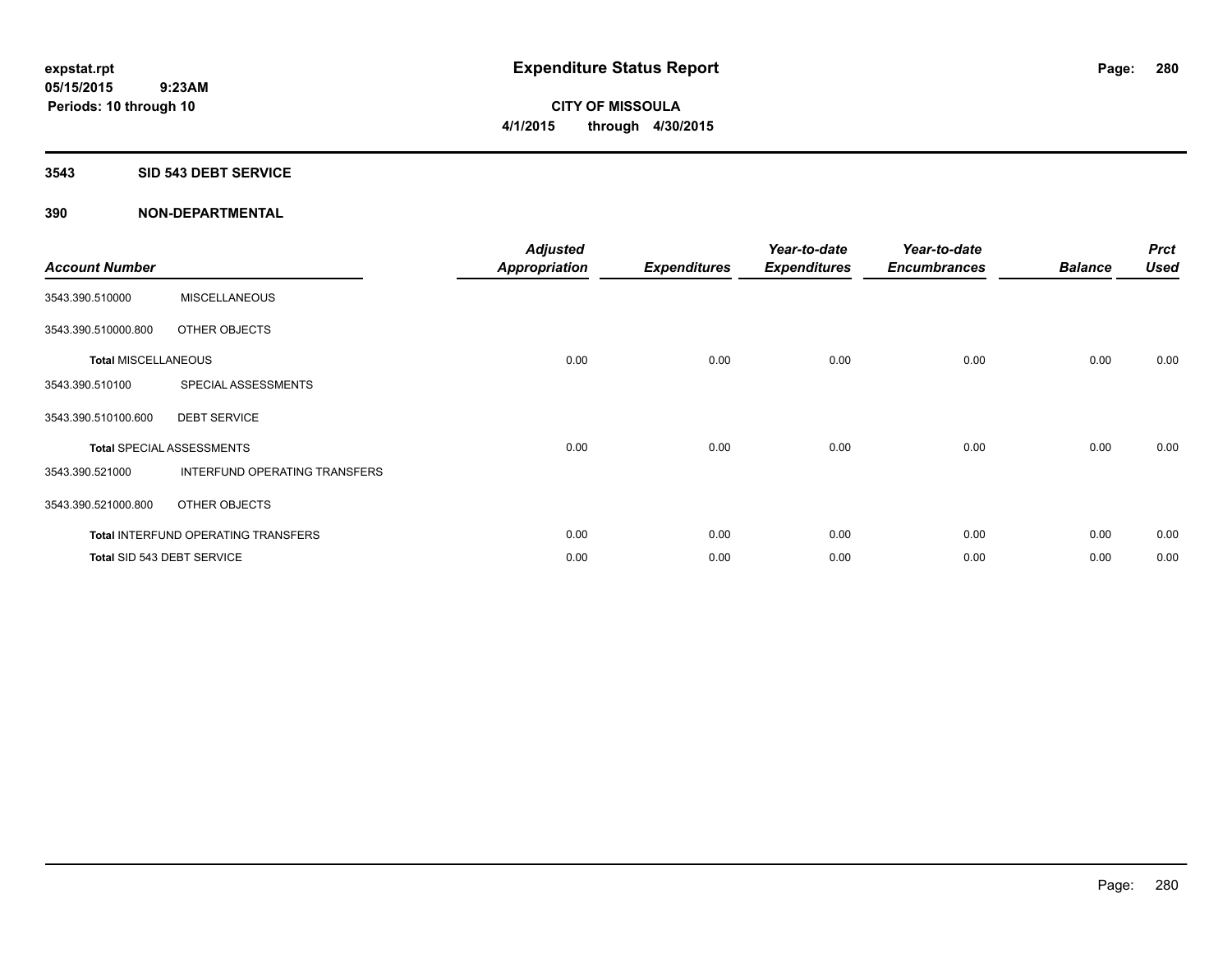**Periods: 10 through 10**

**CITY OF MISSOULA 4/1/2015 through 4/30/2015**

#### **3543 SID 543 DEBT SERVICE**

| <b>Account Number</b>      |                                            | <b>Adjusted</b><br><b>Appropriation</b> | <b>Expenditures</b> | Year-to-date<br><b>Expenditures</b> | Year-to-date<br><b>Encumbrances</b> | <b>Balance</b> | <b>Prct</b><br><b>Used</b> |
|----------------------------|--------------------------------------------|-----------------------------------------|---------------------|-------------------------------------|-------------------------------------|----------------|----------------------------|
| 3543.390.510000            | <b>MISCELLANEOUS</b>                       |                                         |                     |                                     |                                     |                |                            |
| 3543.390.510000.800        | OTHER OBJECTS                              |                                         |                     |                                     |                                     |                |                            |
| <b>Total MISCELLANEOUS</b> |                                            | 0.00                                    | 0.00                | 0.00                                | 0.00                                | 0.00           | 0.00                       |
| 3543.390.510100            | SPECIAL ASSESSMENTS                        |                                         |                     |                                     |                                     |                |                            |
| 3543.390.510100.600        | <b>DEBT SERVICE</b>                        |                                         |                     |                                     |                                     |                |                            |
|                            | <b>Total SPECIAL ASSESSMENTS</b>           | 0.00                                    | 0.00                | 0.00                                | 0.00                                | 0.00           | 0.00                       |
| 3543.390.521000            | INTERFUND OPERATING TRANSFERS              |                                         |                     |                                     |                                     |                |                            |
| 3543.390.521000.800        | OTHER OBJECTS                              |                                         |                     |                                     |                                     |                |                            |
|                            | <b>Total INTERFUND OPERATING TRANSFERS</b> | 0.00                                    | 0.00                | 0.00                                | 0.00                                | 0.00           | 0.00                       |
|                            | Total SID 543 DEBT SERVICE                 | 0.00                                    | 0.00                | 0.00                                | 0.00                                | 0.00           | 0.00                       |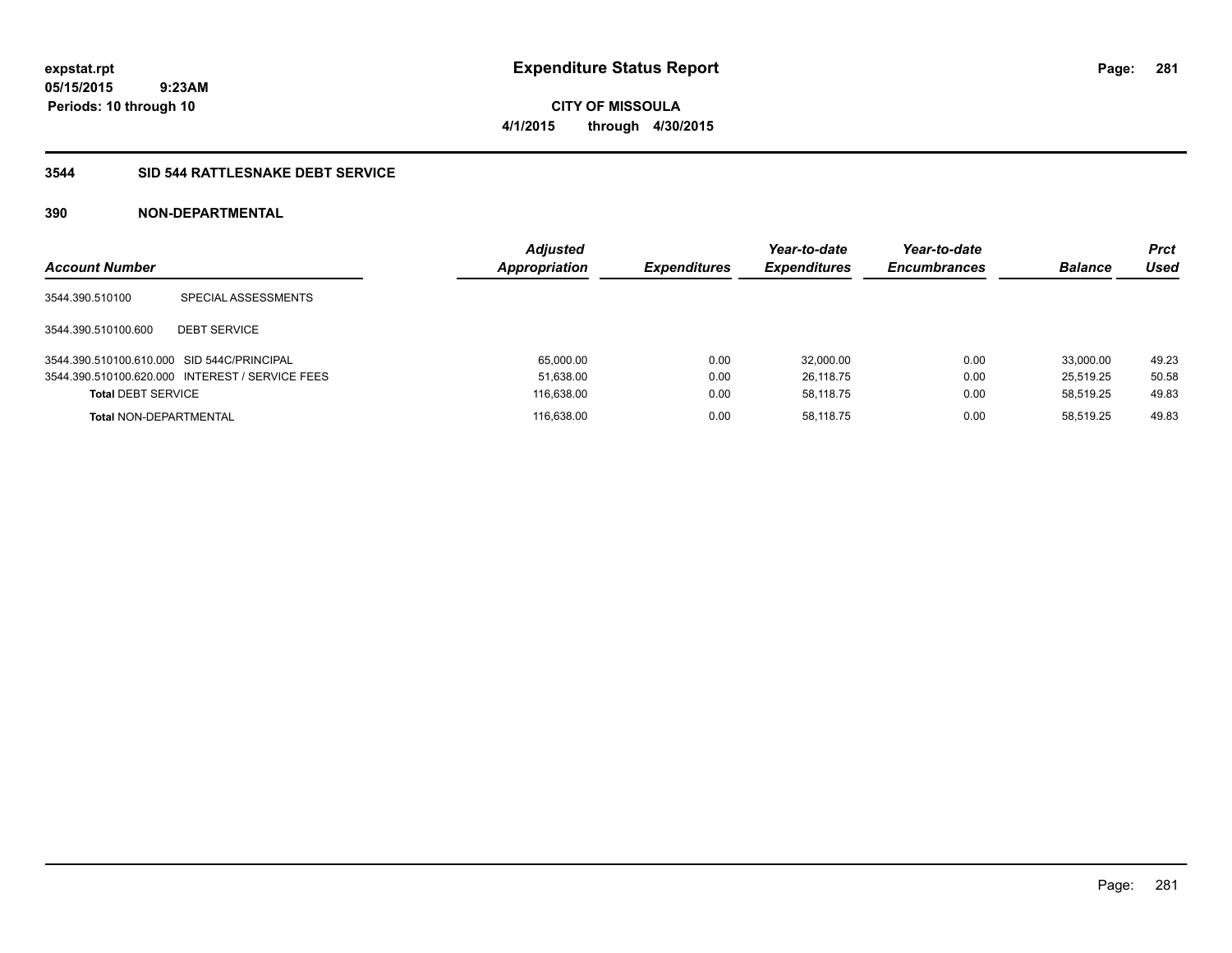**CITY OF MISSOULA 4/1/2015 through 4/30/2015**

## **3544 SID 544 RATTLESNAKE DEBT SERVICE**

| <b>Account Number</b>                      |                                                 | <b>Adjusted</b><br><b>Appropriation</b> | <b>Expenditures</b> | Year-to-date<br><b>Expenditures</b> | Year-to-date<br><b>Encumbrances</b> | <b>Balance</b> | <b>Prct</b><br>Used |
|--------------------------------------------|-------------------------------------------------|-----------------------------------------|---------------------|-------------------------------------|-------------------------------------|----------------|---------------------|
| 3544.390.510100                            | SPECIAL ASSESSMENTS                             |                                         |                     |                                     |                                     |                |                     |
| 3544.390.510100.600                        | <b>DEBT SERVICE</b>                             |                                         |                     |                                     |                                     |                |                     |
| 3544.390.510100.610.000 SID 544C/PRINCIPAL |                                                 | 65,000.00                               | 0.00                | 32,000.00                           | 0.00                                | 33.000.00      | 49.23               |
|                                            | 3544.390.510100.620.000 INTEREST / SERVICE FEES | 51,638.00                               | 0.00                | 26.118.75                           | 0.00                                | 25.519.25      | 50.58               |
| <b>Total DEBT SERVICE</b>                  |                                                 | 116,638.00                              | 0.00                | 58.118.75                           | 0.00                                | 58.519.25      | 49.83               |
| <b>Total NON-DEPARTMENTAL</b>              |                                                 | 116,638.00                              | 0.00                | 58.118.75                           | 0.00                                | 58.519.25      | 49.83               |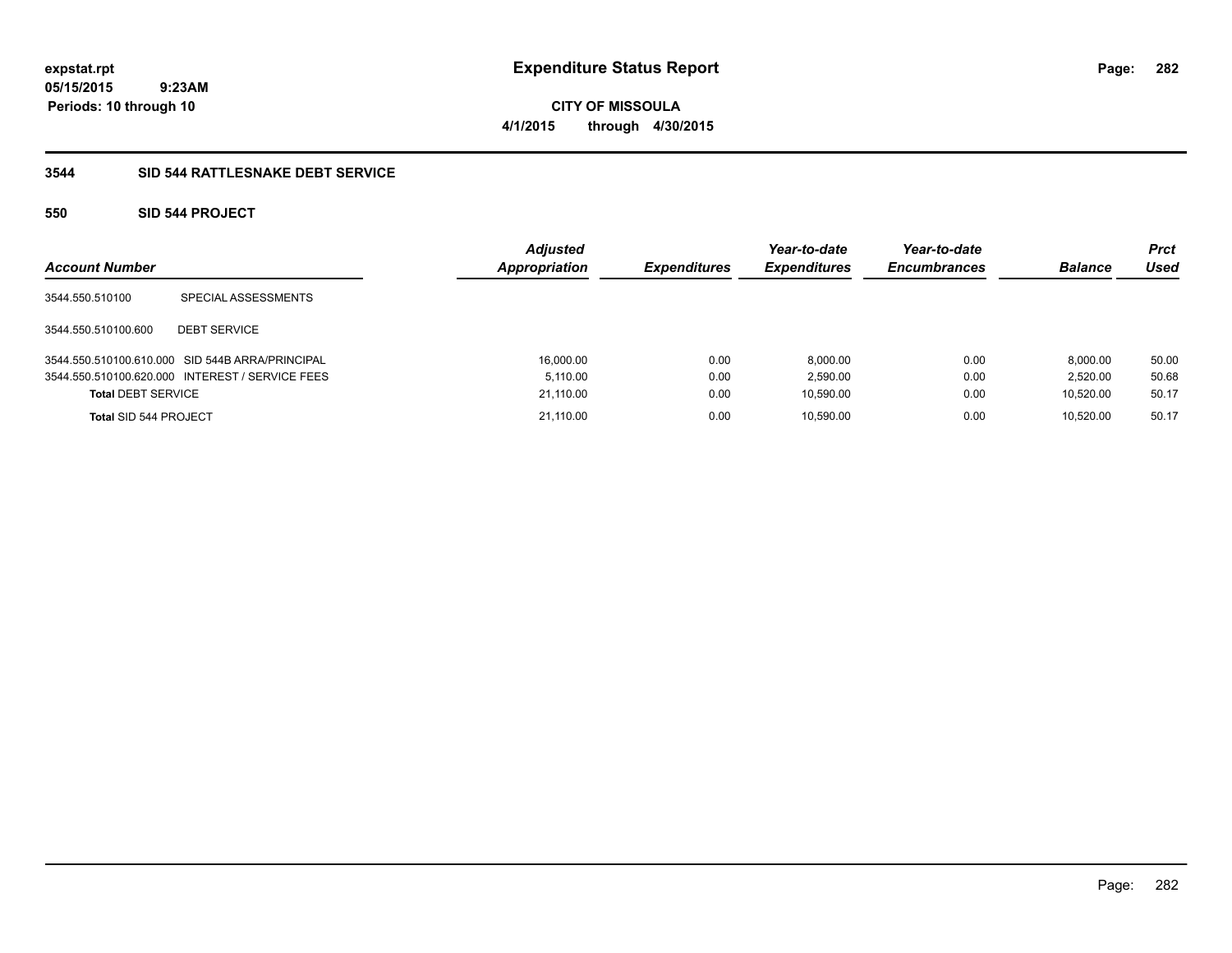**CITY OF MISSOULA 4/1/2015 through 4/30/2015**

## **3544 SID 544 RATTLESNAKE DEBT SERVICE**

## **550 SID 544 PROJECT**

| <b>Account Number</b>     |                                                 | <b>Adjusted</b><br>Appropriation | <b>Expenditures</b> | Year-to-date<br><b>Expenditures</b> | Year-to-date<br><b>Encumbrances</b> | <b>Balance</b> | <b>Prct</b><br>Used |
|---------------------------|-------------------------------------------------|----------------------------------|---------------------|-------------------------------------|-------------------------------------|----------------|---------------------|
| 3544.550.510100           | SPECIAL ASSESSMENTS                             |                                  |                     |                                     |                                     |                |                     |
| 3544.550.510100.600       | <b>DEBT SERVICE</b>                             |                                  |                     |                                     |                                     |                |                     |
|                           | 3544.550.510100.610.000 SID 544B ARRA/PRINCIPAL | 16,000.00                        | 0.00                | 8,000.00                            | 0.00                                | 8.000.00       | 50.00               |
|                           | 3544.550.510100.620.000 INTEREST / SERVICE FEES | 5.110.00                         | 0.00                | 2,590.00                            | 0.00                                | 2.520.00       | 50.68               |
| <b>Total DEBT SERVICE</b> |                                                 | 21,110.00                        | 0.00                | 10,590.00                           | 0.00                                | 10.520.00      | 50.17               |
| Total SID 544 PROJECT     |                                                 | 21.110.00                        | 0.00                | 10.590.00                           | 0.00                                | 10.520.00      | 50.17               |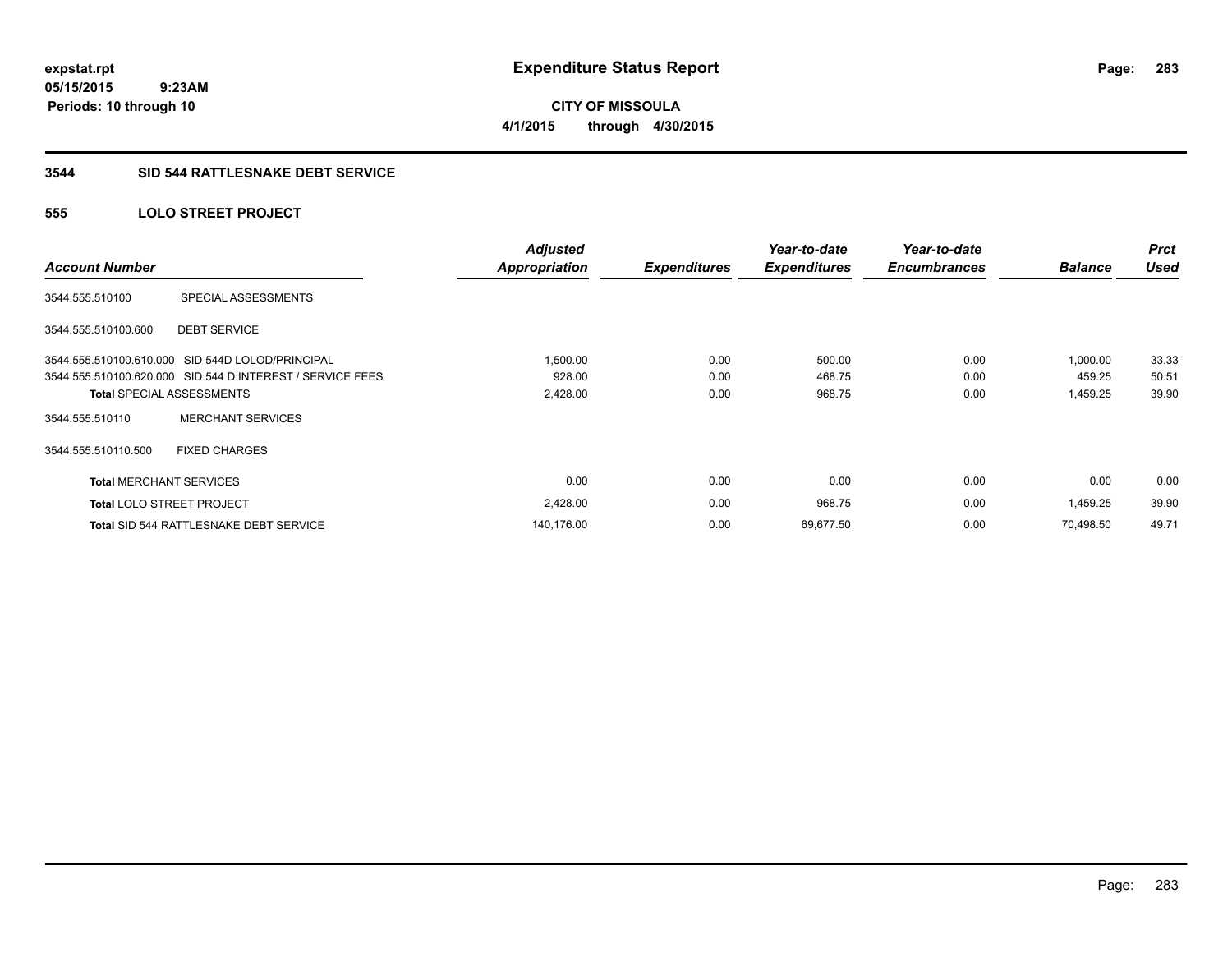**283**

**05/15/2015 9:23AM Periods: 10 through 10**

**CITY OF MISSOULA 4/1/2015 through 4/30/2015**

#### **3544 SID 544 RATTLESNAKE DEBT SERVICE**

## **555 LOLO STREET PROJECT**

| <b>Account Number</b>            |                                                           | <b>Adjusted</b><br><b>Appropriation</b> | <b>Expenditures</b> | Year-to-date<br><b>Expenditures</b> | Year-to-date<br><b>Encumbrances</b> | <b>Balance</b> | <b>Prct</b><br><b>Used</b> |
|----------------------------------|-----------------------------------------------------------|-----------------------------------------|---------------------|-------------------------------------|-------------------------------------|----------------|----------------------------|
| 3544.555.510100                  | SPECIAL ASSESSMENTS                                       |                                         |                     |                                     |                                     |                |                            |
| 3544.555.510100.600              | <b>DEBT SERVICE</b>                                       |                                         |                     |                                     |                                     |                |                            |
|                                  | 3544.555.510100.610.000 SID 544D LOLOD/PRINCIPAL          | 1,500.00                                | 0.00                | 500.00                              | 0.00                                | 1,000.00       | 33.33                      |
|                                  | 3544.555.510100.620.000 SID 544 D INTEREST / SERVICE FEES | 928.00                                  | 0.00                | 468.75                              | 0.00                                | 459.25         | 50.51                      |
|                                  | <b>Total SPECIAL ASSESSMENTS</b>                          | 2,428.00                                | 0.00                | 968.75                              | 0.00                                | 1,459.25       | 39.90                      |
| 3544.555.510110                  | <b>MERCHANT SERVICES</b>                                  |                                         |                     |                                     |                                     |                |                            |
| 3544.555.510110.500              | <b>FIXED CHARGES</b>                                      |                                         |                     |                                     |                                     |                |                            |
| <b>Total MERCHANT SERVICES</b>   |                                                           | 0.00                                    | 0.00                | 0.00                                | 0.00                                | 0.00           | 0.00                       |
| <b>Total LOLO STREET PROJECT</b> |                                                           | 2,428.00                                | 0.00                | 968.75                              | 0.00                                | 1,459.25       | 39.90                      |
|                                  | <b>Total SID 544 RATTLESNAKE DEBT SERVICE</b>             | 140,176.00                              | 0.00                | 69,677.50                           | 0.00                                | 70.498.50      | 49.71                      |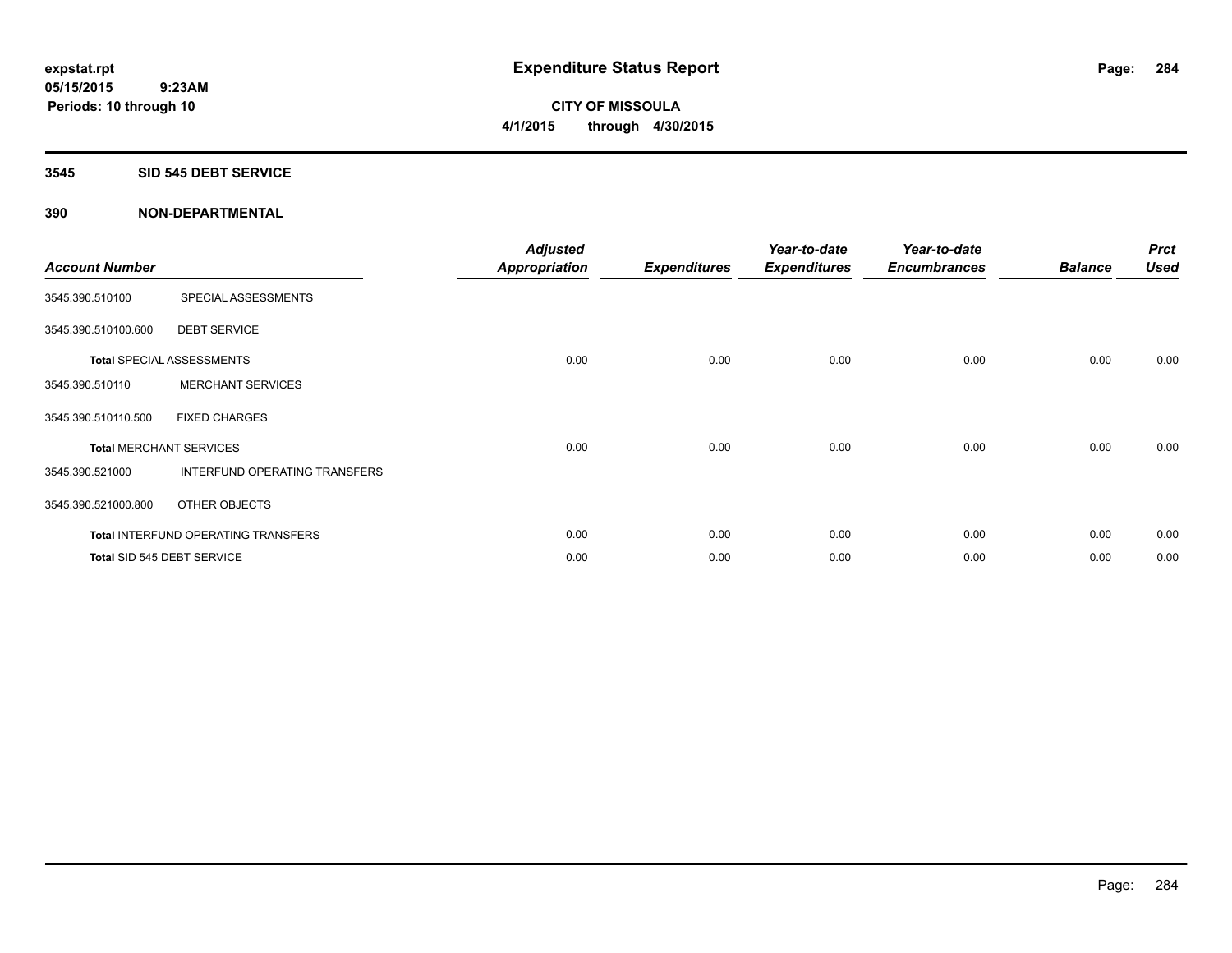**Periods: 10 through 10**

**CITY OF MISSOULA 4/1/2015 through 4/30/2015**

#### **3545 SID 545 DEBT SERVICE**

| <b>Account Number</b> |                                     | <b>Adjusted</b><br><b>Appropriation</b> | <b>Expenditures</b> | Year-to-date<br><b>Expenditures</b> | Year-to-date<br><b>Encumbrances</b> | <b>Balance</b> | <b>Prct</b><br><b>Used</b> |
|-----------------------|-------------------------------------|-----------------------------------------|---------------------|-------------------------------------|-------------------------------------|----------------|----------------------------|
| 3545.390.510100       | SPECIAL ASSESSMENTS                 |                                         |                     |                                     |                                     |                |                            |
| 3545.390.510100.600   | <b>DEBT SERVICE</b>                 |                                         |                     |                                     |                                     |                |                            |
|                       | <b>Total SPECIAL ASSESSMENTS</b>    | 0.00                                    | 0.00                | 0.00                                | 0.00                                | 0.00           | 0.00                       |
| 3545.390.510110       | <b>MERCHANT SERVICES</b>            |                                         |                     |                                     |                                     |                |                            |
| 3545.390.510110.500   | <b>FIXED CHARGES</b>                |                                         |                     |                                     |                                     |                |                            |
|                       | <b>Total MERCHANT SERVICES</b>      | 0.00                                    | 0.00                | 0.00                                | 0.00                                | 0.00           | 0.00                       |
| 3545.390.521000       | INTERFUND OPERATING TRANSFERS       |                                         |                     |                                     |                                     |                |                            |
| 3545.390.521000.800   | OTHER OBJECTS                       |                                         |                     |                                     |                                     |                |                            |
|                       | Total INTERFUND OPERATING TRANSFERS | 0.00                                    | 0.00                | 0.00                                | 0.00                                | 0.00           | 0.00                       |
|                       | Total SID 545 DEBT SERVICE          | 0.00                                    | 0.00                | 0.00                                | 0.00                                | 0.00           | 0.00                       |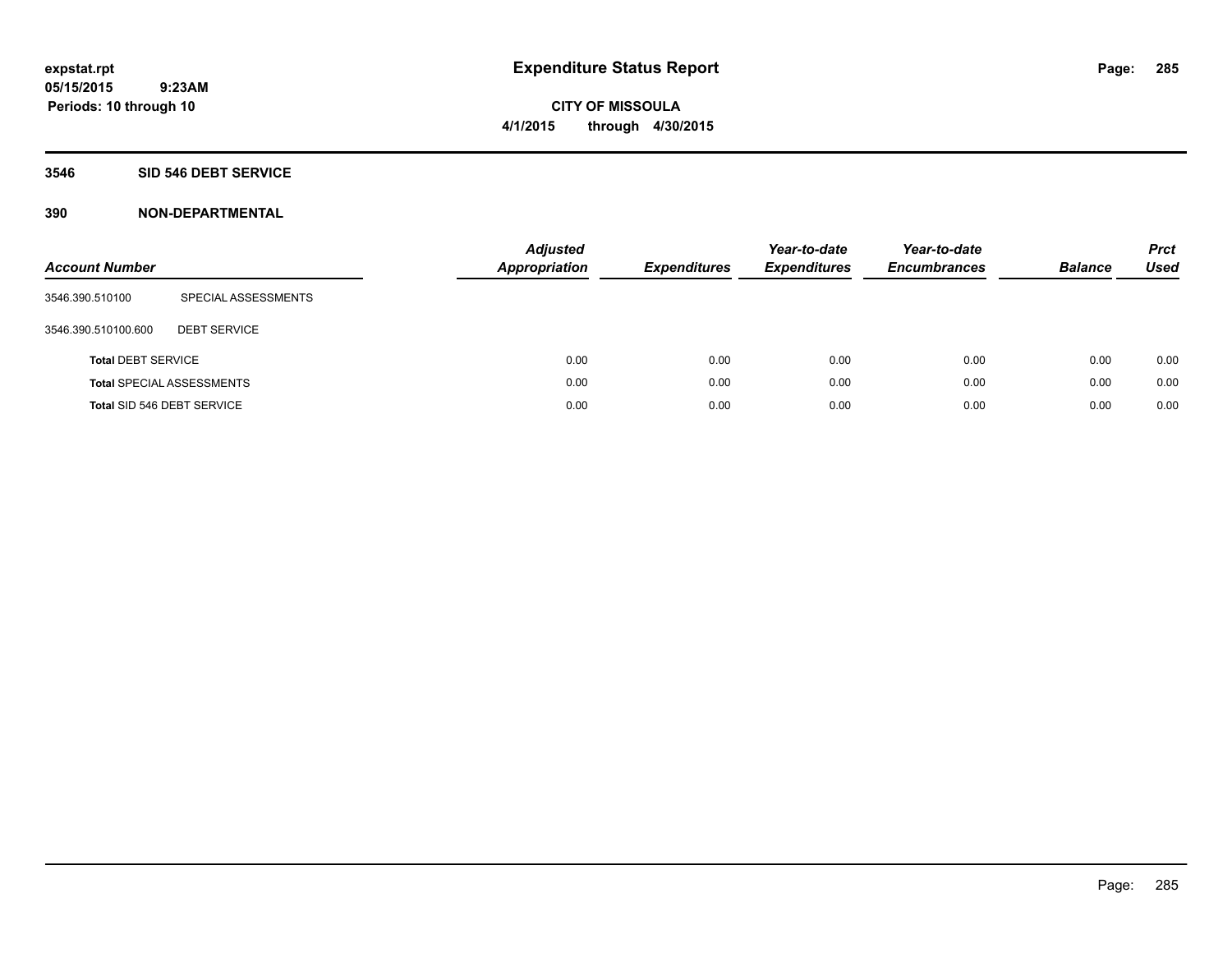#### **3546 SID 546 DEBT SERVICE**

| <b>Account Number</b>      |                                  | <b>Adjusted</b><br>Appropriation | <b>Expenditures</b> | Year-to-date<br><b>Expenditures</b> | Year-to-date<br><b>Encumbrances</b> | <b>Balance</b> | <b>Prct</b><br>Used |
|----------------------------|----------------------------------|----------------------------------|---------------------|-------------------------------------|-------------------------------------|----------------|---------------------|
| 3546.390.510100            | SPECIAL ASSESSMENTS              |                                  |                     |                                     |                                     |                |                     |
| 3546.390.510100.600        | <b>DEBT SERVICE</b>              |                                  |                     |                                     |                                     |                |                     |
| <b>Total DEBT SERVICE</b>  |                                  | 0.00                             | 0.00                | 0.00                                | 0.00                                | 0.00           | 0.00                |
|                            | <b>Total SPECIAL ASSESSMENTS</b> | 0.00                             | 0.00                | 0.00                                | 0.00                                | 0.00           | 0.00                |
| Total SID 546 DEBT SERVICE |                                  | 0.00                             | 0.00                | 0.00                                | 0.00                                | 0.00           | 0.00                |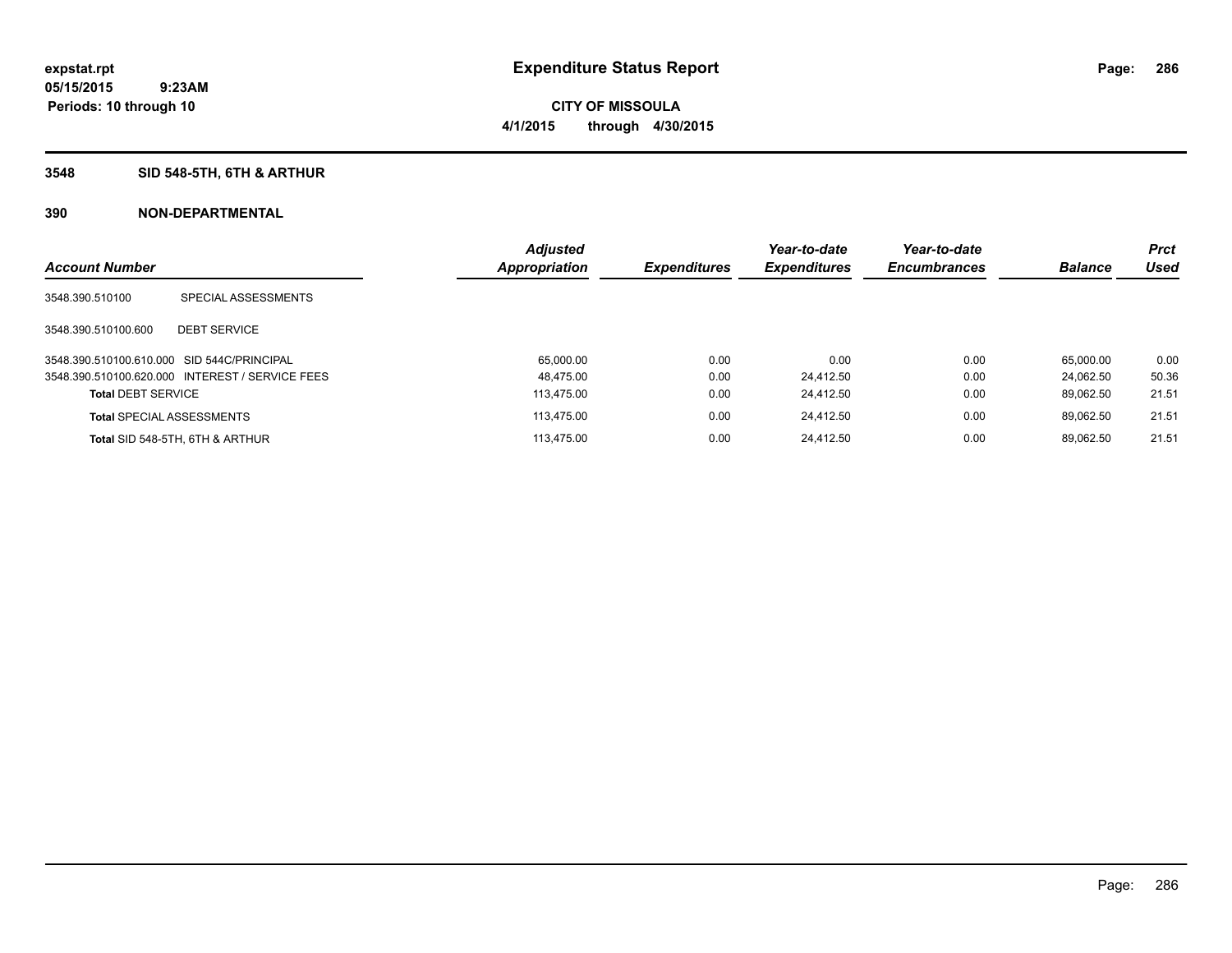**Periods: 10 through 10**

**CITY OF MISSOULA 4/1/2015 through 4/30/2015**

## **3548 SID 548-5TH, 6TH & ARTHUR**

 **9:23AM**

|                                            |                                                 | <b>Adjusted</b> |                     | Year-to-date        | Year-to-date        |                | <b>Prct</b> |
|--------------------------------------------|-------------------------------------------------|-----------------|---------------------|---------------------|---------------------|----------------|-------------|
| <b>Account Number</b>                      |                                                 | Appropriation   | <b>Expenditures</b> | <b>Expenditures</b> | <b>Encumbrances</b> | <b>Balance</b> | <b>Used</b> |
| 3548.390.510100                            | SPECIAL ASSESSMENTS                             |                 |                     |                     |                     |                |             |
| 3548.390.510100.600                        | <b>DEBT SERVICE</b>                             |                 |                     |                     |                     |                |             |
| 3548.390.510100.610.000 SID 544C/PRINCIPAL |                                                 | 65.000.00       | 0.00                | 0.00                | 0.00                | 65.000.00      | 0.00        |
|                                            | 3548.390.510100.620.000 INTEREST / SERVICE FEES | 48.475.00       | 0.00                | 24.412.50           | 0.00                | 24.062.50      | 50.36       |
| <b>Total DEBT SERVICE</b>                  |                                                 | 113.475.00      | 0.00                | 24.412.50           | 0.00                | 89.062.50      | 21.51       |
|                                            | <b>Total SPECIAL ASSESSMENTS</b>                | 113.475.00      | 0.00                | 24.412.50           | 0.00                | 89.062.50      | 21.51       |
|                                            | Total SID 548-5TH, 6TH & ARTHUR                 | 113.475.00      | 0.00                | 24.412.50           | 0.00                | 89.062.50      | 21.51       |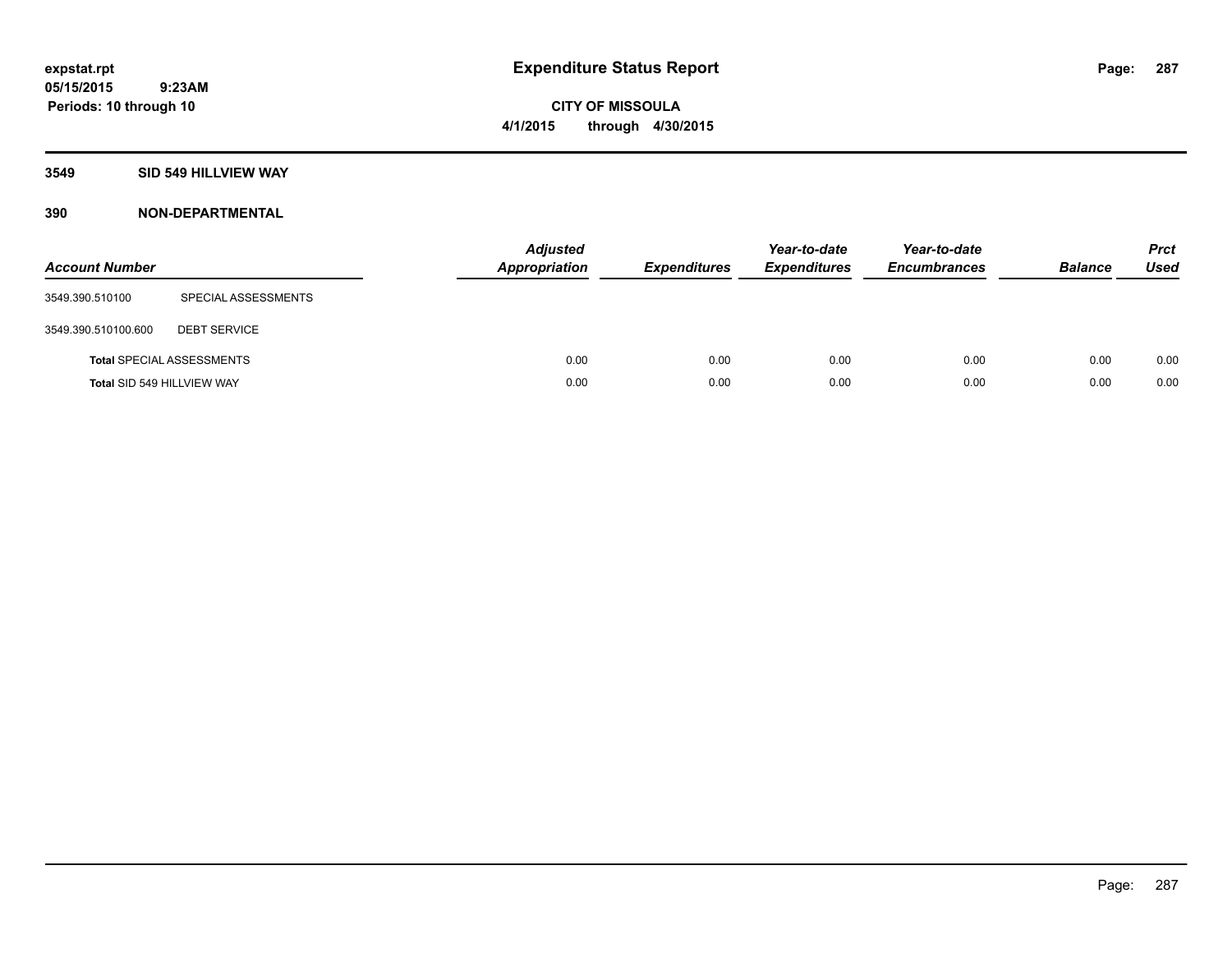# **CITY OF MISSOULA 4/1/2015 through 4/30/2015**

#### **3549 SID 549 HILLVIEW WAY**

| <b>Account Number</b>      |                                  | <b>Adjusted</b><br><b>Appropriation</b> | <b>Expenditures</b> | Year-to-date<br><b>Expenditures</b> | Year-to-date<br><b>Encumbrances</b> | <b>Balance</b> | <b>Prct</b><br><b>Used</b> |
|----------------------------|----------------------------------|-----------------------------------------|---------------------|-------------------------------------|-------------------------------------|----------------|----------------------------|
| 3549.390.510100            | SPECIAL ASSESSMENTS              |                                         |                     |                                     |                                     |                |                            |
| 3549.390.510100.600        | <b>DEBT SERVICE</b>              |                                         |                     |                                     |                                     |                |                            |
|                            | <b>Total SPECIAL ASSESSMENTS</b> | 0.00                                    | 0.00                | 0.00                                | 0.00                                | 0.00           | 0.00                       |
| Total SID 549 HILLVIEW WAY |                                  | 0.00                                    | 0.00                | 0.00                                | 0.00                                | 0.00           | 0.00                       |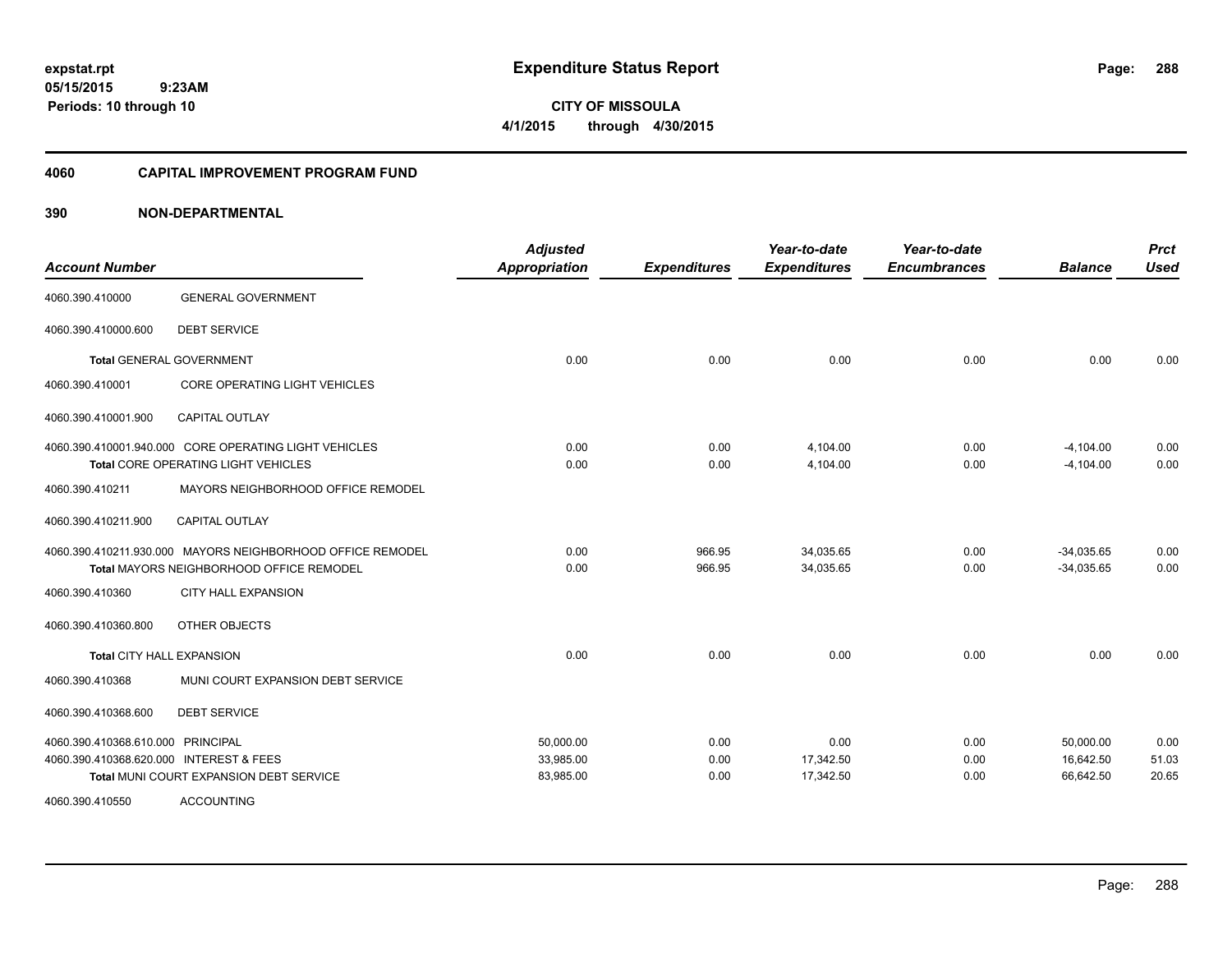**CITY OF MISSOULA 4/1/2015 through 4/30/2015**

#### **4060 CAPITAL IMPROVEMENT PROGRAM FUND**

| <b>Account Number</b>                   |                                                            | <b>Adjusted</b><br><b>Appropriation</b> | <b>Expenditures</b> | Year-to-date<br><b>Expenditures</b> | Year-to-date<br><b>Encumbrances</b> | <b>Balance</b> | <b>Prct</b><br><b>Used</b> |
|-----------------------------------------|------------------------------------------------------------|-----------------------------------------|---------------------|-------------------------------------|-------------------------------------|----------------|----------------------------|
| 4060.390.410000                         | <b>GENERAL GOVERNMENT</b>                                  |                                         |                     |                                     |                                     |                |                            |
| 4060.390.410000.600                     | <b>DEBT SERVICE</b>                                        |                                         |                     |                                     |                                     |                |                            |
|                                         | <b>Total GENERAL GOVERNMENT</b>                            | 0.00                                    | 0.00                | 0.00                                | 0.00                                | 0.00           | 0.00                       |
| 4060.390.410001                         | <b>CORE OPERATING LIGHT VEHICLES</b>                       |                                         |                     |                                     |                                     |                |                            |
| 4060.390.410001.900                     | <b>CAPITAL OUTLAY</b>                                      |                                         |                     |                                     |                                     |                |                            |
|                                         | 4060.390.410001.940.000 CORE OPERATING LIGHT VEHICLES      | 0.00                                    | 0.00                | 4,104.00                            | 0.00                                | $-4,104.00$    | 0.00                       |
|                                         | <b>Total CORE OPERATING LIGHT VEHICLES</b>                 | 0.00                                    | 0.00                | 4,104.00                            | 0.00                                | $-4.104.00$    | 0.00                       |
| 4060.390.410211                         | MAYORS NEIGHBORHOOD OFFICE REMODEL                         |                                         |                     |                                     |                                     |                |                            |
| 4060.390.410211.900                     | <b>CAPITAL OUTLAY</b>                                      |                                         |                     |                                     |                                     |                |                            |
|                                         | 4060.390.410211.930.000 MAYORS NEIGHBORHOOD OFFICE REMODEL | 0.00                                    | 966.95              | 34,035.65                           | 0.00                                | $-34,035.65$   | 0.00                       |
|                                         | <b>Total MAYORS NEIGHBORHOOD OFFICE REMODEL</b>            | 0.00                                    | 966.95              | 34,035.65                           | 0.00                                | $-34,035.65$   | 0.00                       |
| 4060.390.410360                         | <b>CITY HALL EXPANSION</b>                                 |                                         |                     |                                     |                                     |                |                            |
| 4060.390.410360.800                     | OTHER OBJECTS                                              |                                         |                     |                                     |                                     |                |                            |
| <b>Total CITY HALL EXPANSION</b>        |                                                            | 0.00                                    | 0.00                | 0.00                                | 0.00                                | 0.00           | 0.00                       |
| 4060.390.410368                         | MUNI COURT EXPANSION DEBT SERVICE                          |                                         |                     |                                     |                                     |                |                            |
| 4060.390.410368.600                     | <b>DEBT SERVICE</b>                                        |                                         |                     |                                     |                                     |                |                            |
| 4060.390.410368.610.000 PRINCIPAL       |                                                            | 50,000.00                               | 0.00                | 0.00                                | 0.00                                | 50,000.00      | 0.00                       |
| 4060.390.410368.620.000 INTEREST & FEES |                                                            | 33,985.00                               | 0.00                | 17,342.50                           | 0.00                                | 16,642.50      | 51.03                      |
|                                         | Total MUNI COURT EXPANSION DEBT SERVICE                    | 83,985.00                               | 0.00                | 17,342.50                           | 0.00                                | 66,642.50      | 20.65                      |
| 4060.390.410550                         | <b>ACCOUNTING</b>                                          |                                         |                     |                                     |                                     |                |                            |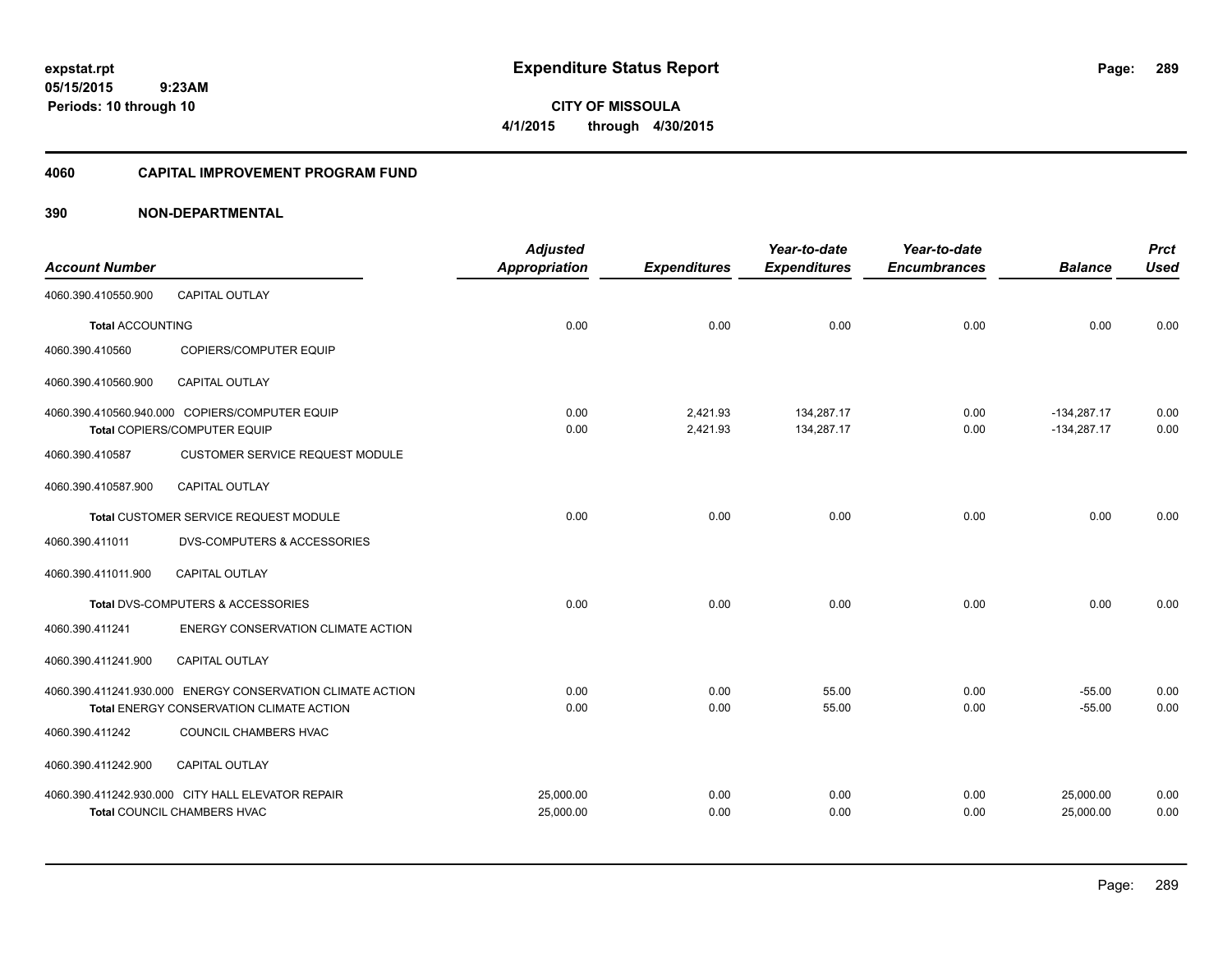**05/15/2015 9:23AM Periods: 10 through 10**

**CITY OF MISSOULA 4/1/2015 through 4/30/2015**

### **4060 CAPITAL IMPROVEMENT PROGRAM FUND**

|                         |                                                            | <b>Adjusted</b>      |                     | Year-to-date        | Year-to-date        |                | <b>Prct</b> |
|-------------------------|------------------------------------------------------------|----------------------|---------------------|---------------------|---------------------|----------------|-------------|
| <b>Account Number</b>   |                                                            | <b>Appropriation</b> | <b>Expenditures</b> | <b>Expenditures</b> | <b>Encumbrances</b> | <b>Balance</b> | <b>Used</b> |
| 4060.390.410550.900     | <b>CAPITAL OUTLAY</b>                                      |                      |                     |                     |                     |                |             |
| <b>Total ACCOUNTING</b> |                                                            | 0.00                 | 0.00                | 0.00                | 0.00                | 0.00           | 0.00        |
| 4060.390.410560         | COPIERS/COMPUTER EQUIP                                     |                      |                     |                     |                     |                |             |
| 4060.390.410560.900     | <b>CAPITAL OUTLAY</b>                                      |                      |                     |                     |                     |                |             |
|                         | 4060.390.410560.940.000 COPIERS/COMPUTER EQUIP             | 0.00                 | 2,421.93            | 134,287.17          | 0.00                | $-134,287.17$  | 0.00        |
|                         | Total COPIERS/COMPUTER EQUIP                               | 0.00                 | 2,421.93            | 134,287.17          | 0.00                | $-134,287.17$  | 0.00        |
| 4060.390.410587         | <b>CUSTOMER SERVICE REQUEST MODULE</b>                     |                      |                     |                     |                     |                |             |
| 4060.390.410587.900     | <b>CAPITAL OUTLAY</b>                                      |                      |                     |                     |                     |                |             |
|                         | Total CUSTOMER SERVICE REQUEST MODULE                      | 0.00                 | 0.00                | 0.00                | 0.00                | 0.00           | 0.00        |
| 4060.390.411011         | <b>DVS-COMPUTERS &amp; ACCESSORIES</b>                     |                      |                     |                     |                     |                |             |
| 4060.390.411011.900     | <b>CAPITAL OUTLAY</b>                                      |                      |                     |                     |                     |                |             |
|                         | Total DVS-COMPUTERS & ACCESSORIES                          | 0.00                 | 0.00                | 0.00                | 0.00                | 0.00           | 0.00        |
| 4060.390.411241         | ENERGY CONSERVATION CLIMATE ACTION                         |                      |                     |                     |                     |                |             |
| 4060.390.411241.900     | <b>CAPITAL OUTLAY</b>                                      |                      |                     |                     |                     |                |             |
|                         | 4060.390.411241.930.000 ENERGY CONSERVATION CLIMATE ACTION | 0.00                 | 0.00                | 55.00               | 0.00                | $-55.00$       | 0.00        |
|                         | Total ENERGY CONSERVATION CLIMATE ACTION                   | 0.00                 | 0.00                | 55.00               | 0.00                | $-55.00$       | 0.00        |
| 4060.390.411242         | COUNCIL CHAMBERS HVAC                                      |                      |                     |                     |                     |                |             |
| 4060.390.411242.900     | <b>CAPITAL OUTLAY</b>                                      |                      |                     |                     |                     |                |             |
|                         | 4060.390.411242.930.000 CITY HALL ELEVATOR REPAIR          | 25,000.00            | 0.00                | 0.00                | 0.00                | 25,000.00      | 0.00        |
|                         | Total COUNCIL CHAMBERS HVAC                                | 25,000.00            | 0.00                | 0.00                | 0.00                | 25,000.00      | 0.00        |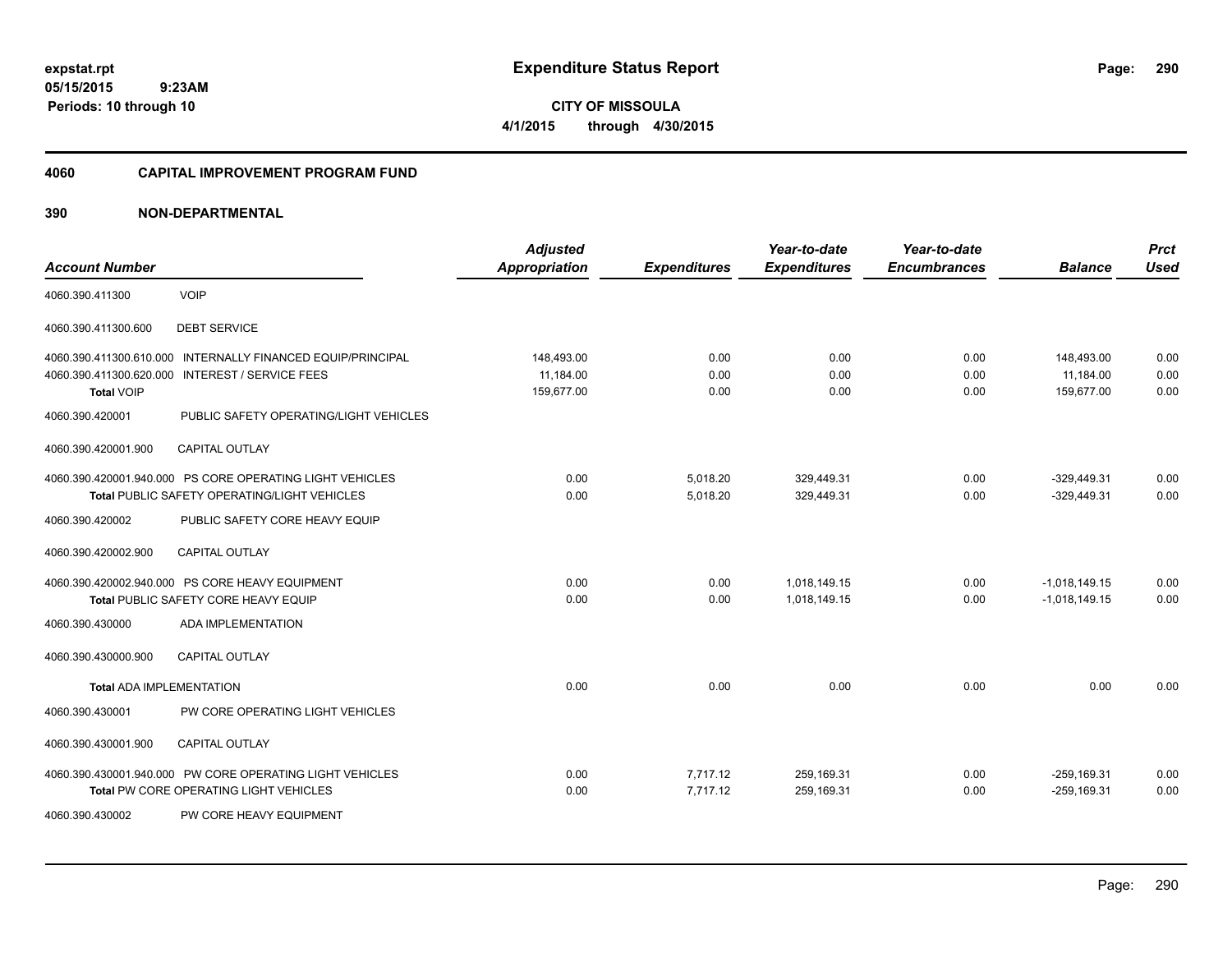**CITY OF MISSOULA 4/1/2015 through 4/30/2015**

## **4060 CAPITAL IMPROVEMENT PROGRAM FUND**

| <b>Account Number</b>                                                   |                                                                                                                                            | <b>Adjusted</b><br><b>Appropriation</b> | <b>Expenditures</b>  | Year-to-date<br><b>Expenditures</b> | Year-to-date<br><b>Encumbrances</b> | <b>Balance</b>                        | <b>Prct</b><br><b>Used</b> |
|-------------------------------------------------------------------------|--------------------------------------------------------------------------------------------------------------------------------------------|-----------------------------------------|----------------------|-------------------------------------|-------------------------------------|---------------------------------------|----------------------------|
| 4060.390.411300                                                         | <b>VOIP</b>                                                                                                                                |                                         |                      |                                     |                                     |                                       |                            |
| 4060.390.411300.600                                                     | <b>DEBT SERVICE</b>                                                                                                                        |                                         |                      |                                     |                                     |                                       |                            |
| 4060.390.411300.610.000<br>4060.390.411300.620.000<br><b>Total VOIP</b> | INTERNALLY FINANCED EQUIP/PRINCIPAL<br><b>INTEREST / SERVICE FEES</b>                                                                      | 148,493.00<br>11,184.00<br>159,677.00   | 0.00<br>0.00<br>0.00 | 0.00<br>0.00<br>0.00                | 0.00<br>0.00<br>0.00                | 148,493.00<br>11,184.00<br>159,677.00 | 0.00<br>0.00<br>0.00       |
| 4060.390.420001<br>4060.390.420001.900                                  | PUBLIC SAFETY OPERATING/LIGHT VEHICLES<br><b>CAPITAL OUTLAY</b>                                                                            |                                         |                      |                                     |                                     |                                       |                            |
| 4060.390.420002                                                         | 4060.390.420001.940.000 PS CORE OPERATING LIGHT VEHICLES<br>Total PUBLIC SAFETY OPERATING/LIGHT VEHICLES<br>PUBLIC SAFETY CORE HEAVY EQUIP | 0.00<br>0.00                            | 5,018.20<br>5,018.20 | 329,449.31<br>329,449.31            | 0.00<br>0.00                        | $-329,449.31$<br>$-329,449.31$        | 0.00<br>0.00               |
| 4060.390.420002.900                                                     | <b>CAPITAL OUTLAY</b>                                                                                                                      |                                         |                      |                                     |                                     |                                       |                            |
| 4060.390.430000                                                         | 4060.390.420002.940.000 PS CORE HEAVY EQUIPMENT<br><b>Total PUBLIC SAFETY CORE HEAVY EQUIP</b><br><b>ADA IMPLEMENTATION</b>                | 0.00<br>0.00                            | 0.00<br>0.00         | 1,018,149.15<br>1.018.149.15        | 0.00<br>0.00                        | $-1,018,149.15$<br>$-1,018,149.15$    | 0.00<br>0.00               |
| 4060.390.430000.900                                                     | <b>CAPITAL OUTLAY</b>                                                                                                                      |                                         |                      |                                     |                                     |                                       |                            |
| <b>Total ADA IMPLEMENTATION</b>                                         |                                                                                                                                            | 0.00                                    | 0.00                 | 0.00                                | 0.00                                | 0.00                                  | 0.00                       |
| 4060.390.430001                                                         | PW CORE OPERATING LIGHT VEHICLES                                                                                                           |                                         |                      |                                     |                                     |                                       |                            |
| 4060.390.430001.900                                                     | <b>CAPITAL OUTLAY</b>                                                                                                                      |                                         |                      |                                     |                                     |                                       |                            |
|                                                                         | 4060.390.430001.940.000 PW CORE OPERATING LIGHT VEHICLES<br>Total PW CORE OPERATING LIGHT VEHICLES                                         | 0.00<br>0.00                            | 7,717.12<br>7,717.12 | 259,169.31<br>259,169.31            | 0.00<br>0.00                        | $-259, 169.31$<br>$-259, 169.31$      | 0.00<br>0.00               |
| 4060.390.430002                                                         | PW CORE HEAVY EQUIPMENT                                                                                                                    |                                         |                      |                                     |                                     |                                       |                            |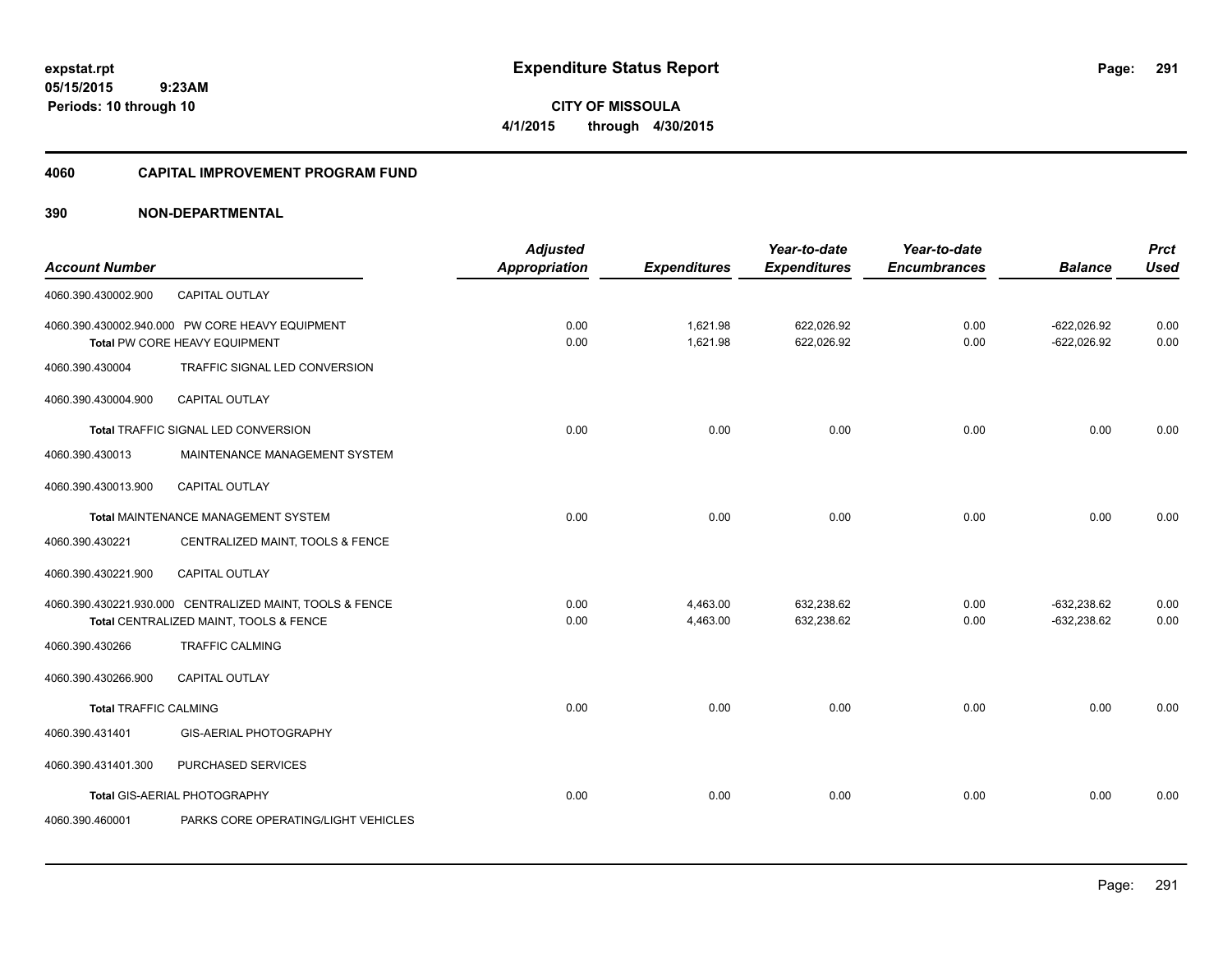**05/15/2015 9:23AM Periods: 10 through 10**

**CITY OF MISSOULA 4/1/2015 through 4/30/2015**

### **4060 CAPITAL IMPROVEMENT PROGRAM FUND**

| <b>Account Number</b>        |                                                                                                    | <b>Adjusted</b><br><b>Appropriation</b> | <b>Expenditures</b>  | Year-to-date<br><b>Expenditures</b> | Year-to-date<br><b>Encumbrances</b> | <b>Balance</b>                 | <b>Prct</b><br><b>Used</b> |
|------------------------------|----------------------------------------------------------------------------------------------------|-----------------------------------------|----------------------|-------------------------------------|-------------------------------------|--------------------------------|----------------------------|
| 4060.390.430002.900          | <b>CAPITAL OUTLAY</b>                                                                              |                                         |                      |                                     |                                     |                                |                            |
|                              | 4060.390.430002.940.000 PW CORE HEAVY EQUIPMENT<br>Total PW CORE HEAVY EQUIPMENT                   | 0.00<br>0.00                            | 1,621.98<br>1,621.98 | 622,026.92<br>622,026.92            | 0.00<br>0.00                        | $-622,026.92$<br>$-622,026.92$ | 0.00<br>0.00               |
| 4060.390.430004              | TRAFFIC SIGNAL LED CONVERSION                                                                      |                                         |                      |                                     |                                     |                                |                            |
| 4060.390.430004.900          | <b>CAPITAL OUTLAY</b>                                                                              |                                         |                      |                                     |                                     |                                |                            |
|                              | Total TRAFFIC SIGNAL LED CONVERSION                                                                | 0.00                                    | 0.00                 | 0.00                                | 0.00                                | 0.00                           | 0.00                       |
| 4060.390.430013              | MAINTENANCE MANAGEMENT SYSTEM                                                                      |                                         |                      |                                     |                                     |                                |                            |
| 4060.390.430013.900          | CAPITAL OUTLAY                                                                                     |                                         |                      |                                     |                                     |                                |                            |
|                              | Total MAINTENANCE MANAGEMENT SYSTEM                                                                | 0.00                                    | 0.00                 | 0.00                                | 0.00                                | 0.00                           | 0.00                       |
| 4060.390.430221              | CENTRALIZED MAINT, TOOLS & FENCE                                                                   |                                         |                      |                                     |                                     |                                |                            |
| 4060.390.430221.900          | <b>CAPITAL OUTLAY</b>                                                                              |                                         |                      |                                     |                                     |                                |                            |
|                              | 4060.390.430221.930.000 CENTRALIZED MAINT, TOOLS & FENCE<br>Total CENTRALIZED MAINT, TOOLS & FENCE | 0.00<br>0.00                            | 4,463.00<br>4,463.00 | 632,238.62<br>632,238.62            | 0.00<br>0.00                        | $-632,238.62$<br>$-632,238.62$ | 0.00<br>0.00               |
| 4060.390.430266              | <b>TRAFFIC CALMING</b>                                                                             |                                         |                      |                                     |                                     |                                |                            |
| 4060.390.430266.900          | <b>CAPITAL OUTLAY</b>                                                                              |                                         |                      |                                     |                                     |                                |                            |
| <b>Total TRAFFIC CALMING</b> |                                                                                                    | 0.00                                    | 0.00                 | 0.00                                | 0.00                                | 0.00                           | 0.00                       |
| 4060.390.431401              | GIS-AERIAL PHOTOGRAPHY                                                                             |                                         |                      |                                     |                                     |                                |                            |
| 4060.390.431401.300          | PURCHASED SERVICES                                                                                 |                                         |                      |                                     |                                     |                                |                            |
|                              | Total GIS-AERIAL PHOTOGRAPHY                                                                       | 0.00                                    | 0.00                 | 0.00                                | 0.00                                | 0.00                           | 0.00                       |
| 4060.390.460001              | PARKS CORE OPERATING/LIGHT VEHICLES                                                                |                                         |                      |                                     |                                     |                                |                            |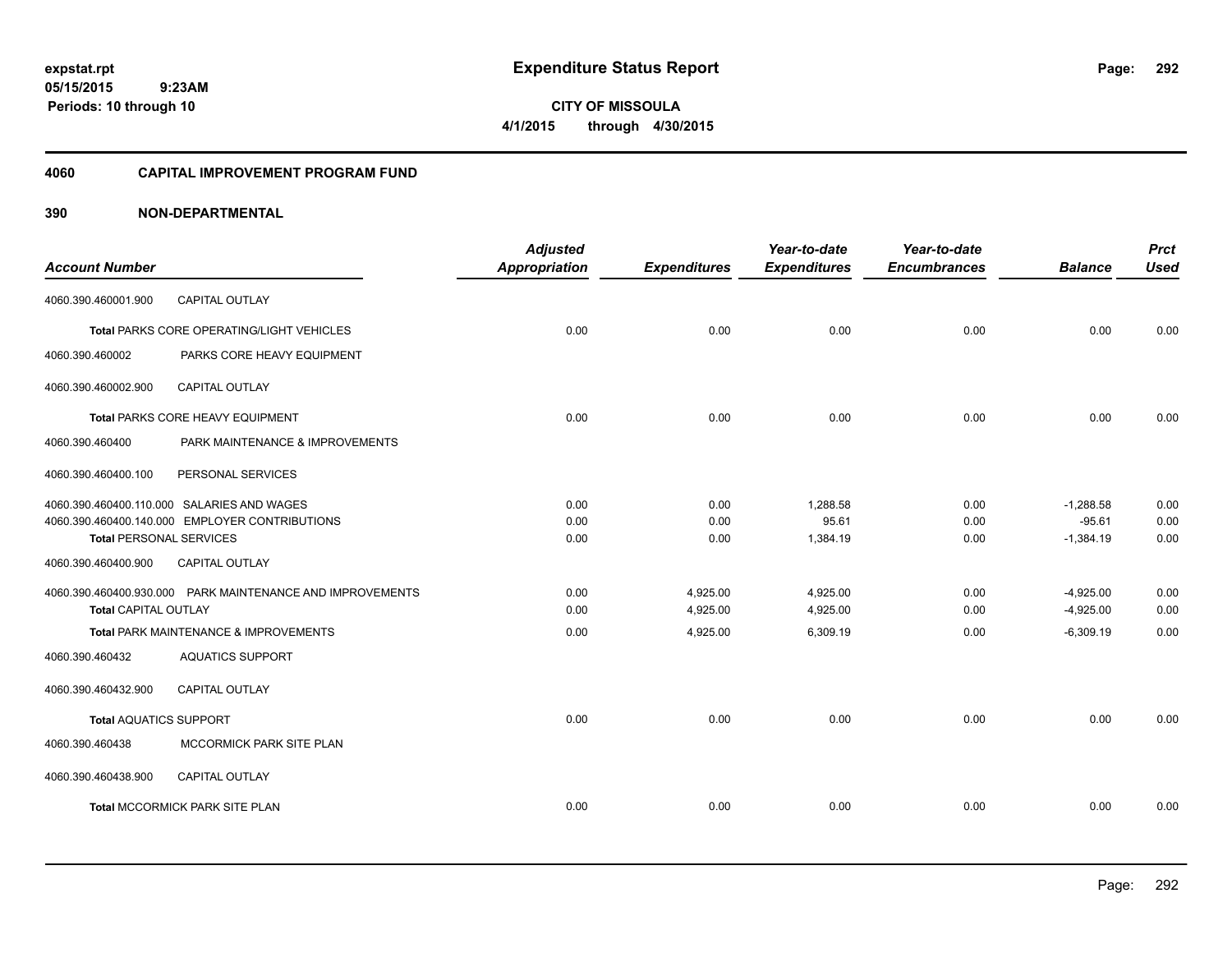**Periods: 10 through 10**

**292**

 **9:23AM**

**CITY OF MISSOULA 4/1/2015 through 4/30/2015**

## **4060 CAPITAL IMPROVEMENT PROGRAM FUND**

| <b>Account Number</b>                                 |                                                           | <b>Adjusted</b><br><b>Appropriation</b> | <b>Expenditures</b> | Year-to-date<br><b>Expenditures</b> | Year-to-date<br><b>Encumbrances</b> | <b>Balance</b> | <b>Prct</b><br><b>Used</b> |
|-------------------------------------------------------|-----------------------------------------------------------|-----------------------------------------|---------------------|-------------------------------------|-------------------------------------|----------------|----------------------------|
| 4060.390.460001.900                                   | CAPITAL OUTLAY                                            |                                         |                     |                                     |                                     |                |                            |
|                                                       | Total PARKS CORE OPERATING/LIGHT VEHICLES                 | 0.00                                    | 0.00                | 0.00                                | 0.00                                | 0.00           | 0.00                       |
| 4060.390.460002                                       | PARKS CORE HEAVY EQUIPMENT                                |                                         |                     |                                     |                                     |                |                            |
| 4060.390.460002.900                                   | CAPITAL OUTLAY                                            |                                         |                     |                                     |                                     |                |                            |
|                                                       | Total PARKS CORE HEAVY EQUIPMENT                          | 0.00                                    | 0.00                | 0.00                                | 0.00                                | 0.00           | 0.00                       |
| 4060.390.460400                                       | PARK MAINTENANCE & IMPROVEMENTS                           |                                         |                     |                                     |                                     |                |                            |
| 4060.390.460400.100                                   | PERSONAL SERVICES                                         |                                         |                     |                                     |                                     |                |                            |
|                                                       | 4060.390.460400.110.000 SALARIES AND WAGES                | 0.00                                    | 0.00                | 1.288.58                            | 0.00                                | $-1.288.58$    | 0.00                       |
|                                                       | 4060.390.460400.140.000 EMPLOYER CONTRIBUTIONS            | 0.00                                    | 0.00                | 95.61                               | 0.00                                | $-95.61$       | 0.00                       |
| <b>Total PERSONAL SERVICES</b><br>4060.390.460400.900 | CAPITAL OUTLAY                                            | 0.00                                    | 0.00                | 1,384.19                            | 0.00                                | $-1,384.19$    | 0.00                       |
|                                                       | 4060.390.460400.930.000 PARK MAINTENANCE AND IMPROVEMENTS | 0.00                                    | 4,925.00            | 4,925.00                            | 0.00                                | $-4,925.00$    | 0.00                       |
| Total CAPITAL OUTLAY                                  |                                                           | 0.00                                    | 4,925.00            | 4,925.00                            | 0.00                                | $-4,925.00$    | 0.00                       |
|                                                       | Total PARK MAINTENANCE & IMPROVEMENTS                     | 0.00                                    | 4,925.00            | 6,309.19                            | 0.00                                | $-6.309.19$    | 0.00                       |
| 4060.390.460432                                       | <b>AQUATICS SUPPORT</b>                                   |                                         |                     |                                     |                                     |                |                            |
| 4060.390.460432.900                                   | <b>CAPITAL OUTLAY</b>                                     |                                         |                     |                                     |                                     |                |                            |
| <b>Total AQUATICS SUPPORT</b>                         |                                                           | 0.00                                    | 0.00                | 0.00                                | 0.00                                | 0.00           | 0.00                       |
| 4060.390.460438                                       | MCCORMICK PARK SITE PLAN                                  |                                         |                     |                                     |                                     |                |                            |
| 4060.390.460438.900                                   | CAPITAL OUTLAY                                            |                                         |                     |                                     |                                     |                |                            |
|                                                       | Total MCCORMICK PARK SITE PLAN                            | 0.00                                    | 0.00                | 0.00                                | 0.00                                | 0.00           | 0.00                       |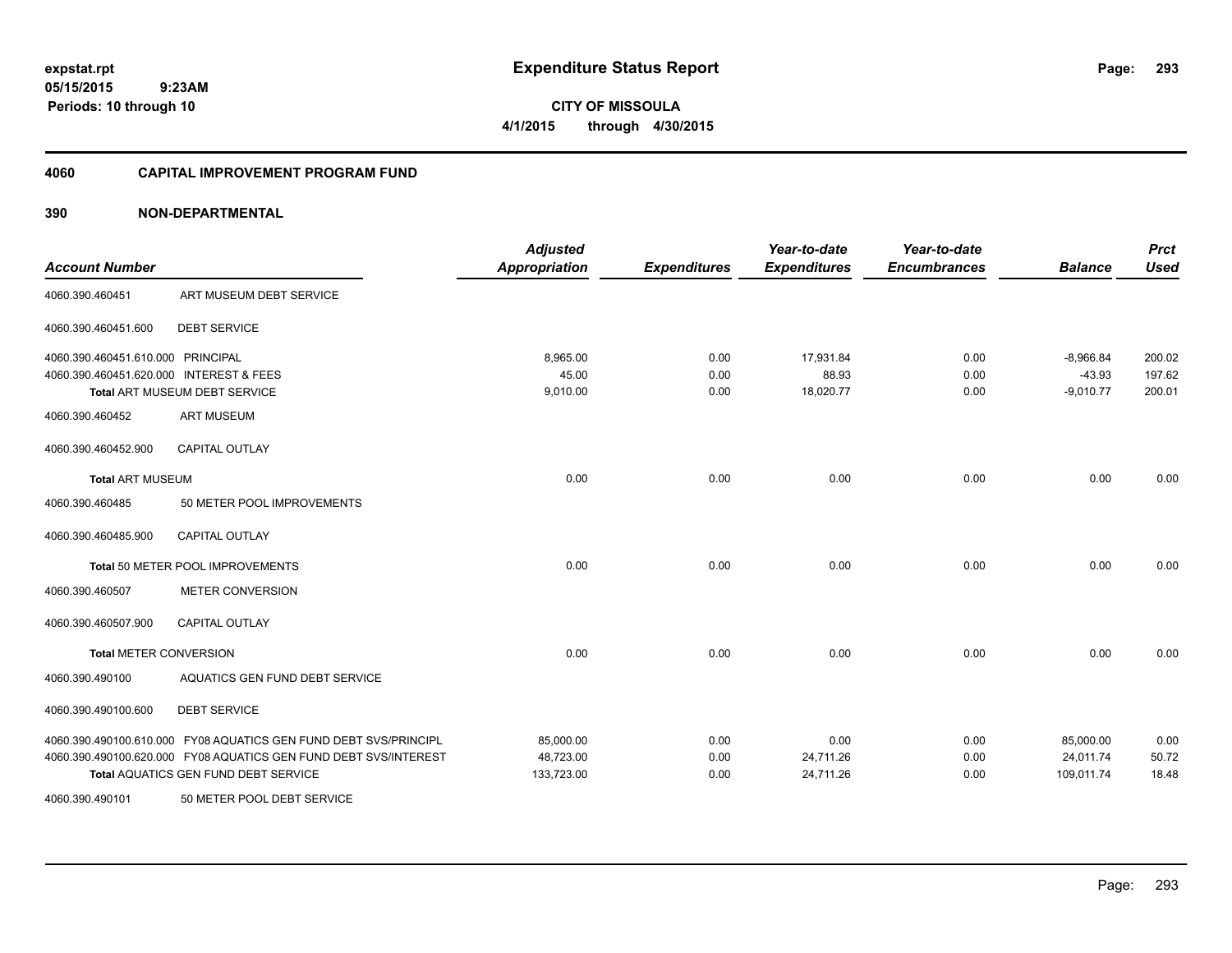**CITY OF MISSOULA 4/1/2015 through 4/30/2015**

### **4060 CAPITAL IMPROVEMENT PROGRAM FUND**

| <b>Account Number</b>                   |                                                                  | <b>Adjusted</b><br><b>Appropriation</b> | <b>Expenditures</b> | Year-to-date<br><b>Expenditures</b> | Year-to-date<br><b>Encumbrances</b> | <b>Balance</b> | <b>Prct</b><br><b>Used</b> |
|-----------------------------------------|------------------------------------------------------------------|-----------------------------------------|---------------------|-------------------------------------|-------------------------------------|----------------|----------------------------|
| 4060.390.460451                         | ART MUSEUM DEBT SERVICE                                          |                                         |                     |                                     |                                     |                |                            |
| 4060.390.460451.600                     | <b>DEBT SERVICE</b>                                              |                                         |                     |                                     |                                     |                |                            |
| 4060.390.460451.610.000 PRINCIPAL       |                                                                  | 8,965.00                                | 0.00                | 17,931.84                           | 0.00                                | $-8,966.84$    | 200.02                     |
| 4060.390.460451.620.000 INTEREST & FEES |                                                                  | 45.00                                   | 0.00                | 88.93                               | 0.00                                | $-43.93$       | 197.62                     |
|                                         | Total ART MUSEUM DEBT SERVICE                                    | 9,010.00                                | 0.00                | 18,020.77                           | 0.00                                | $-9,010.77$    | 200.01                     |
| 4060.390.460452                         | <b>ART MUSEUM</b>                                                |                                         |                     |                                     |                                     |                |                            |
| 4060.390.460452.900                     | <b>CAPITAL OUTLAY</b>                                            |                                         |                     |                                     |                                     |                |                            |
| <b>Total ART MUSEUM</b>                 |                                                                  | 0.00                                    | 0.00                | 0.00                                | 0.00                                | 0.00           | 0.00                       |
| 4060.390.460485                         | 50 METER POOL IMPROVEMENTS                                       |                                         |                     |                                     |                                     |                |                            |
| 4060.390.460485.900                     | <b>CAPITAL OUTLAY</b>                                            |                                         |                     |                                     |                                     |                |                            |
|                                         | Total 50 METER POOL IMPROVEMENTS                                 | 0.00                                    | 0.00                | 0.00                                | 0.00                                | 0.00           | 0.00                       |
| 4060.390.460507                         | <b>METER CONVERSION</b>                                          |                                         |                     |                                     |                                     |                |                            |
| 4060.390.460507.900                     | <b>CAPITAL OUTLAY</b>                                            |                                         |                     |                                     |                                     |                |                            |
| <b>Total METER CONVERSION</b>           |                                                                  | 0.00                                    | 0.00                | 0.00                                | 0.00                                | 0.00           | 0.00                       |
| 4060.390.490100                         | AQUATICS GEN FUND DEBT SERVICE                                   |                                         |                     |                                     |                                     |                |                            |
| 4060.390.490100.600                     | <b>DEBT SERVICE</b>                                              |                                         |                     |                                     |                                     |                |                            |
|                                         | 4060.390.490100.610.000 FY08 AQUATICS GEN FUND DEBT SVS/PRINCIPL | 85,000.00                               | 0.00                | 0.00                                | 0.00                                | 85,000.00      | 0.00                       |
|                                         | 4060.390.490100.620.000 FY08 AQUATICS GEN FUND DEBT SVS/INTEREST | 48,723.00                               | 0.00                | 24,711.26                           | 0.00                                | 24,011.74      | 50.72                      |
|                                         | Total AQUATICS GEN FUND DEBT SERVICE                             | 133,723.00                              | 0.00                | 24,711.26                           | 0.00                                | 109,011.74     | 18.48                      |
| 4060.390.490101                         | 50 METER POOL DEBT SERVICE                                       |                                         |                     |                                     |                                     |                |                            |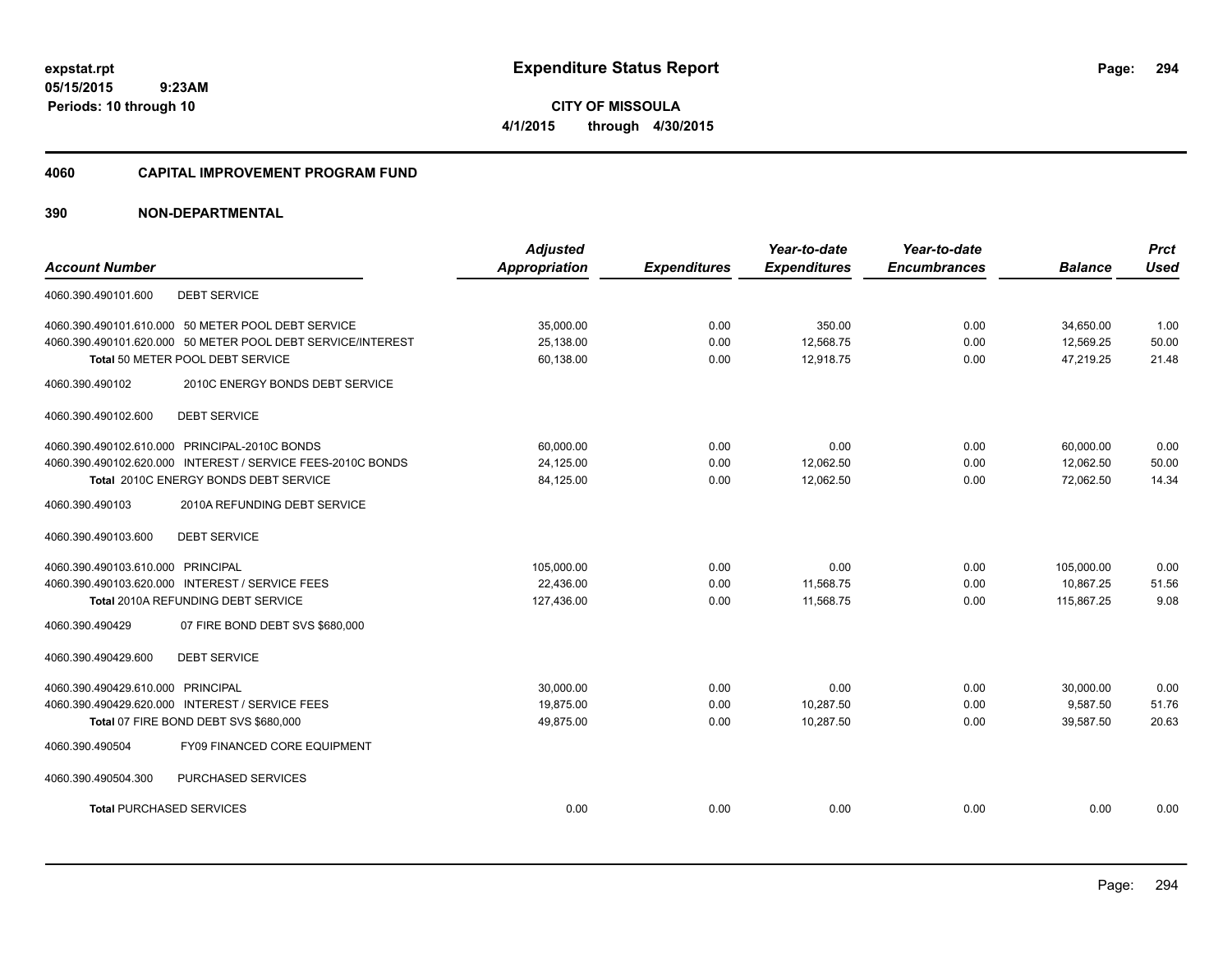**05/15/2015 9:23AM Periods: 10 through 10**

**CITY OF MISSOULA 4/1/2015 through 4/30/2015**

### **4060 CAPITAL IMPROVEMENT PROGRAM FUND**

|                                                    |                                                             | <b>Adjusted</b>      |                     | Year-to-date        | Year-to-date        |                | <b>Prct</b> |
|----------------------------------------------------|-------------------------------------------------------------|----------------------|---------------------|---------------------|---------------------|----------------|-------------|
| <b>Account Number</b>                              |                                                             | <b>Appropriation</b> | <b>Expenditures</b> | <b>Expenditures</b> | <b>Encumbrances</b> | <b>Balance</b> | <b>Used</b> |
| <b>DEBT SERVICE</b><br>4060.390.490101.600         |                                                             |                      |                     |                     |                     |                |             |
| 4060.390.490101.610.000 50 METER POOL DEBT SERVICE |                                                             | 35,000.00            | 0.00                | 350.00              | 0.00                | 34,650.00      | 1.00        |
|                                                    | 4060.390.490101.620.000 50 METER POOL DEBT SERVICE/INTEREST | 25,138.00            | 0.00                | 12,568.75           | 0.00                | 12,569.25      | 50.00       |
| Total 50 METER POOL DEBT SERVICE                   |                                                             | 60,138.00            | 0.00                | 12,918.75           | 0.00                | 47,219.25      | 21.48       |
| 4060.390.490102                                    | 2010C ENERGY BONDS DEBT SERVICE                             |                      |                     |                     |                     |                |             |
| <b>DEBT SERVICE</b><br>4060.390.490102.600         |                                                             |                      |                     |                     |                     |                |             |
| 4060.390.490102.610.000 PRINCIPAL-2010C BONDS      |                                                             | 60,000.00            | 0.00                | 0.00                | 0.00                | 60,000.00      | 0.00        |
|                                                    | 4060.390.490102.620.000 INTEREST / SERVICE FEES-2010C BONDS | 24,125.00            | 0.00                | 12,062.50           | 0.00                | 12,062.50      | 50.00       |
| Total 2010C ENERGY BONDS DEBT SERVICE              |                                                             | 84,125.00            | 0.00                | 12,062.50           | 0.00                | 72,062.50      | 14.34       |
| 4060.390.490103                                    | 2010A REFUNDING DEBT SERVICE                                |                      |                     |                     |                     |                |             |
| <b>DEBT SERVICE</b><br>4060.390.490103.600         |                                                             |                      |                     |                     |                     |                |             |
| 4060.390.490103.610.000 PRINCIPAL                  |                                                             | 105.000.00           | 0.00                | 0.00                | 0.00                | 105.000.00     | 0.00        |
| 4060.390.490103.620.000 INTEREST / SERVICE FEES    |                                                             | 22,436.00            | 0.00                | 11,568.75           | 0.00                | 10,867.25      | 51.56       |
| <b>Total 2010A REFUNDING DEBT SERVICE</b>          |                                                             | 127,436.00           | 0.00                | 11,568.75           | 0.00                | 115,867.25     | 9.08        |
| 4060.390.490429                                    | 07 FIRE BOND DEBT SVS \$680,000                             |                      |                     |                     |                     |                |             |
| <b>DEBT SERVICE</b><br>4060.390.490429.600         |                                                             |                      |                     |                     |                     |                |             |
| 4060.390.490429.610.000 PRINCIPAL                  |                                                             | 30,000.00            | 0.00                | 0.00                | 0.00                | 30,000.00      | 0.00        |
| 4060.390.490429.620.000 INTEREST / SERVICE FEES    |                                                             | 19,875.00            | 0.00                | 10,287.50           | 0.00                | 9,587.50       | 51.76       |
| Total 07 FIRE BOND DEBT SVS \$680,000              |                                                             | 49,875.00            | 0.00                | 10,287.50           | 0.00                | 39,587.50      | 20.63       |
| 4060.390.490504                                    | FY09 FINANCED CORE EQUIPMENT                                |                      |                     |                     |                     |                |             |
| 4060.390.490504.300                                | PURCHASED SERVICES                                          |                      |                     |                     |                     |                |             |
| <b>Total PURCHASED SERVICES</b>                    |                                                             | 0.00                 | 0.00                | 0.00                | 0.00                | 0.00           | 0.00        |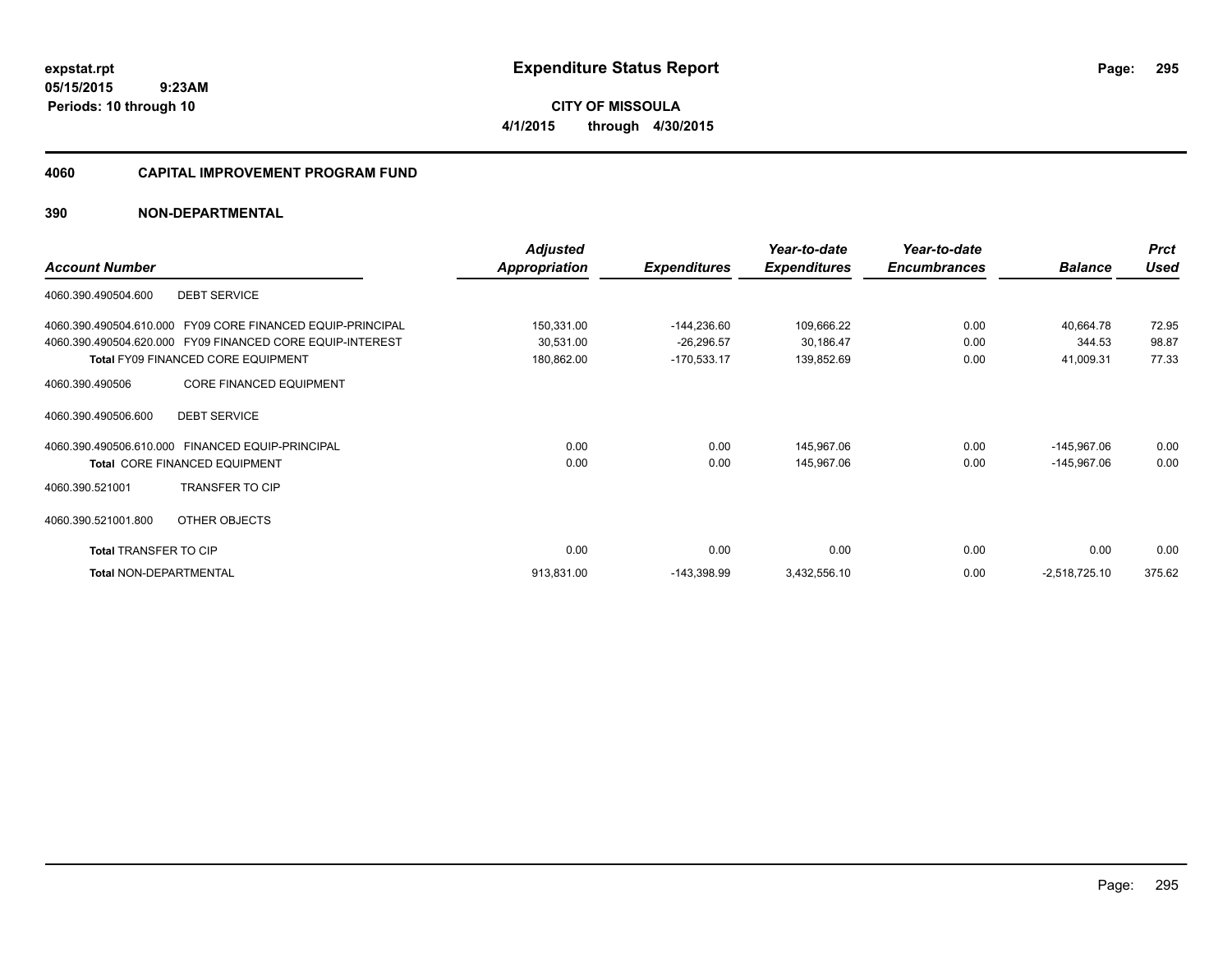**05/15/2015 9:23AM Periods: 10 through 10**

**CITY OF MISSOULA 4/1/2015 through 4/30/2015**

### **4060 CAPITAL IMPROVEMENT PROGRAM FUND**

|                                                               | <b>Adjusted</b>      |                     | Year-to-date        | Year-to-date        |                 | <b>Prct</b> |
|---------------------------------------------------------------|----------------------|---------------------|---------------------|---------------------|-----------------|-------------|
| <b>Account Number</b>                                         | <b>Appropriation</b> | <b>Expenditures</b> | <b>Expenditures</b> | <b>Encumbrances</b> | <b>Balance</b>  | <b>Used</b> |
| <b>DEBT SERVICE</b><br>4060.390.490504.600                    |                      |                     |                     |                     |                 |             |
| FY09 CORE FINANCED EQUIP-PRINCIPAL<br>4060.390.490504.610.000 | 150,331.00           | $-144,236.60$       | 109,666.22          | 0.00                | 40.664.78       | 72.95       |
| 4060.390.490504.620.000 FY09 FINANCED CORE EQUIP-INTEREST     | 30,531.00            | $-26,296.57$        | 30,186.47           | 0.00                | 344.53          | 98.87       |
| <b>Total FY09 FINANCED CORE EQUIPMENT</b>                     | 180,862.00           | $-170,533.17$       | 139,852.69          | 0.00                | 41,009.31       | 77.33       |
| <b>CORE FINANCED EQUIPMENT</b><br>4060.390.490506             |                      |                     |                     |                     |                 |             |
| 4060.390.490506.600<br><b>DEBT SERVICE</b>                    |                      |                     |                     |                     |                 |             |
| 4060.390.490506.610.000 FINANCED EQUIP-PRINCIPAL              | 0.00                 | 0.00                | 145,967.06          | 0.00                | $-145,967.06$   | 0.00        |
| <b>Total CORE FINANCED EQUIPMENT</b>                          | 0.00                 | 0.00                | 145,967.06          | 0.00                | $-145,967.06$   | 0.00        |
| <b>TRANSFER TO CIP</b><br>4060.390.521001                     |                      |                     |                     |                     |                 |             |
| 4060.390.521001.800<br>OTHER OBJECTS                          |                      |                     |                     |                     |                 |             |
| <b>Total TRANSFER TO CIP</b>                                  | 0.00                 | 0.00                | 0.00                | 0.00                | 0.00            | 0.00        |
| Total NON-DEPARTMENTAL                                        | 913,831.00           | $-143,398.99$       | 3,432,556.10        | 0.00                | $-2,518,725.10$ | 375.62      |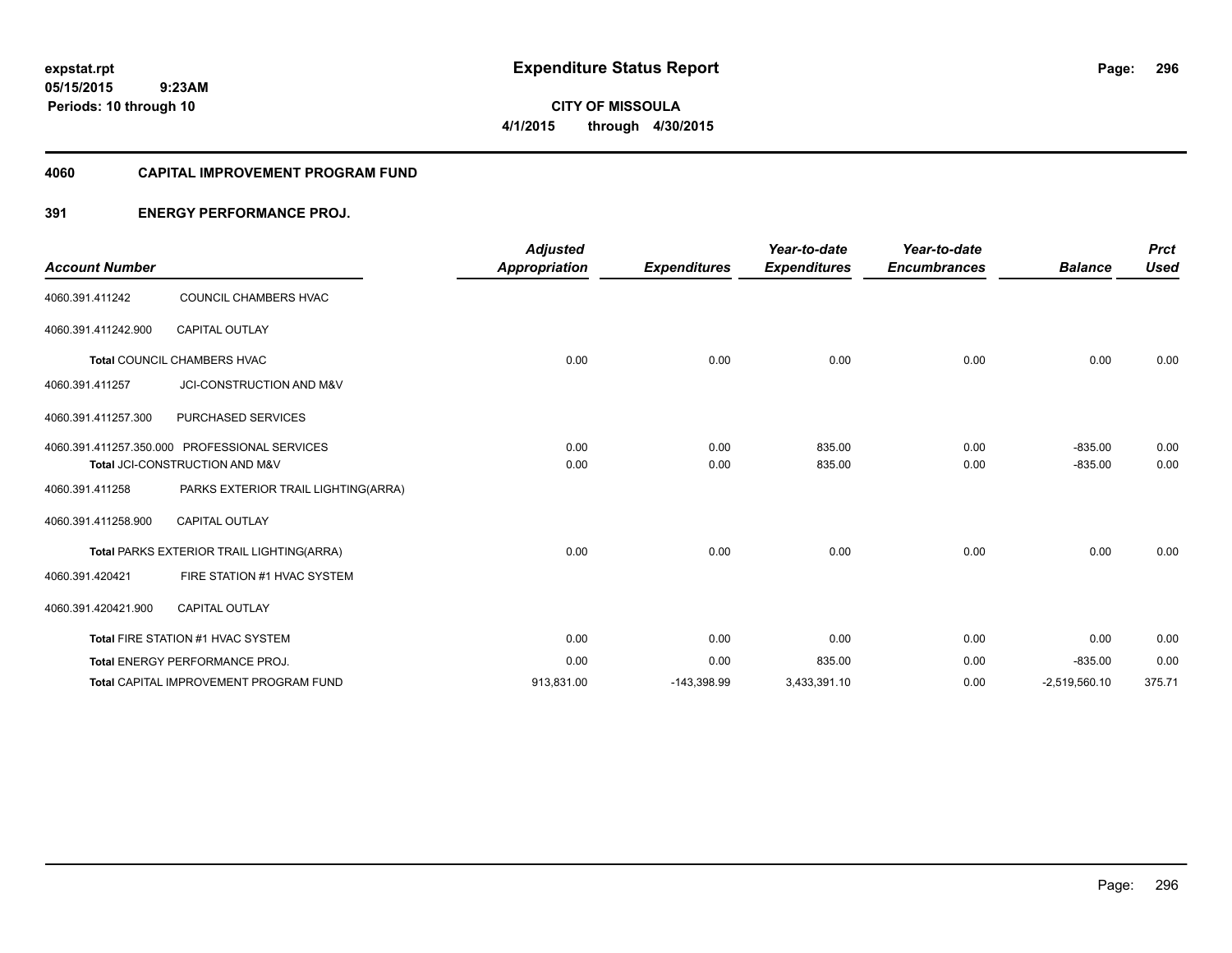**05/15/2015 9:23AM Periods: 10 through 10**

**CITY OF MISSOULA 4/1/2015 through 4/30/2015**

### **4060 CAPITAL IMPROVEMENT PROGRAM FUND**

## **391 ENERGY PERFORMANCE PROJ.**

| <b>Account Number</b> |                                               | <b>Adjusted</b><br><b>Appropriation</b> | <b>Expenditures</b> | Year-to-date<br><b>Expenditures</b> | Year-to-date<br><b>Encumbrances</b> | <b>Balance</b>  | <b>Prct</b><br><b>Used</b> |
|-----------------------|-----------------------------------------------|-----------------------------------------|---------------------|-------------------------------------|-------------------------------------|-----------------|----------------------------|
|                       |                                               |                                         |                     |                                     |                                     |                 |                            |
| 4060.391.411242       | COUNCIL CHAMBERS HVAC                         |                                         |                     |                                     |                                     |                 |                            |
| 4060.391.411242.900   | <b>CAPITAL OUTLAY</b>                         |                                         |                     |                                     |                                     |                 |                            |
|                       | Total COUNCIL CHAMBERS HVAC                   | 0.00                                    | 0.00                | 0.00                                | 0.00                                | 0.00            | 0.00                       |
| 4060.391.411257       | JCI-CONSTRUCTION AND M&V                      |                                         |                     |                                     |                                     |                 |                            |
| 4060.391.411257.300   | PURCHASED SERVICES                            |                                         |                     |                                     |                                     |                 |                            |
|                       | 4060.391.411257.350.000 PROFESSIONAL SERVICES | 0.00                                    | 0.00                | 835.00                              | 0.00                                | $-835.00$       | 0.00                       |
|                       | Total JCI-CONSTRUCTION AND M&V                | 0.00                                    | 0.00                | 835.00                              | 0.00                                | $-835.00$       | 0.00                       |
| 4060.391.411258       | PARKS EXTERIOR TRAIL LIGHTING(ARRA)           |                                         |                     |                                     |                                     |                 |                            |
| 4060.391.411258.900   | <b>CAPITAL OUTLAY</b>                         |                                         |                     |                                     |                                     |                 |                            |
|                       | Total PARKS EXTERIOR TRAIL LIGHTING(ARRA)     | 0.00                                    | 0.00                | 0.00                                | 0.00                                | 0.00            | 0.00                       |
| 4060.391.420421       | FIRE STATION #1 HVAC SYSTEM                   |                                         |                     |                                     |                                     |                 |                            |
| 4060.391.420421.900   | <b>CAPITAL OUTLAY</b>                         |                                         |                     |                                     |                                     |                 |                            |
|                       | Total FIRE STATION #1 HVAC SYSTEM             | 0.00                                    | 0.00                | 0.00                                | 0.00                                | 0.00            | 0.00                       |
|                       | <b>Total ENERGY PERFORMANCE PROJ.</b>         | 0.00                                    | 0.00                | 835.00                              | 0.00                                | $-835.00$       | 0.00                       |
|                       | Total CAPITAL IMPROVEMENT PROGRAM FUND        | 913,831.00                              | $-143,398.99$       | 3,433,391.10                        | 0.00                                | $-2,519,560.10$ | 375.71                     |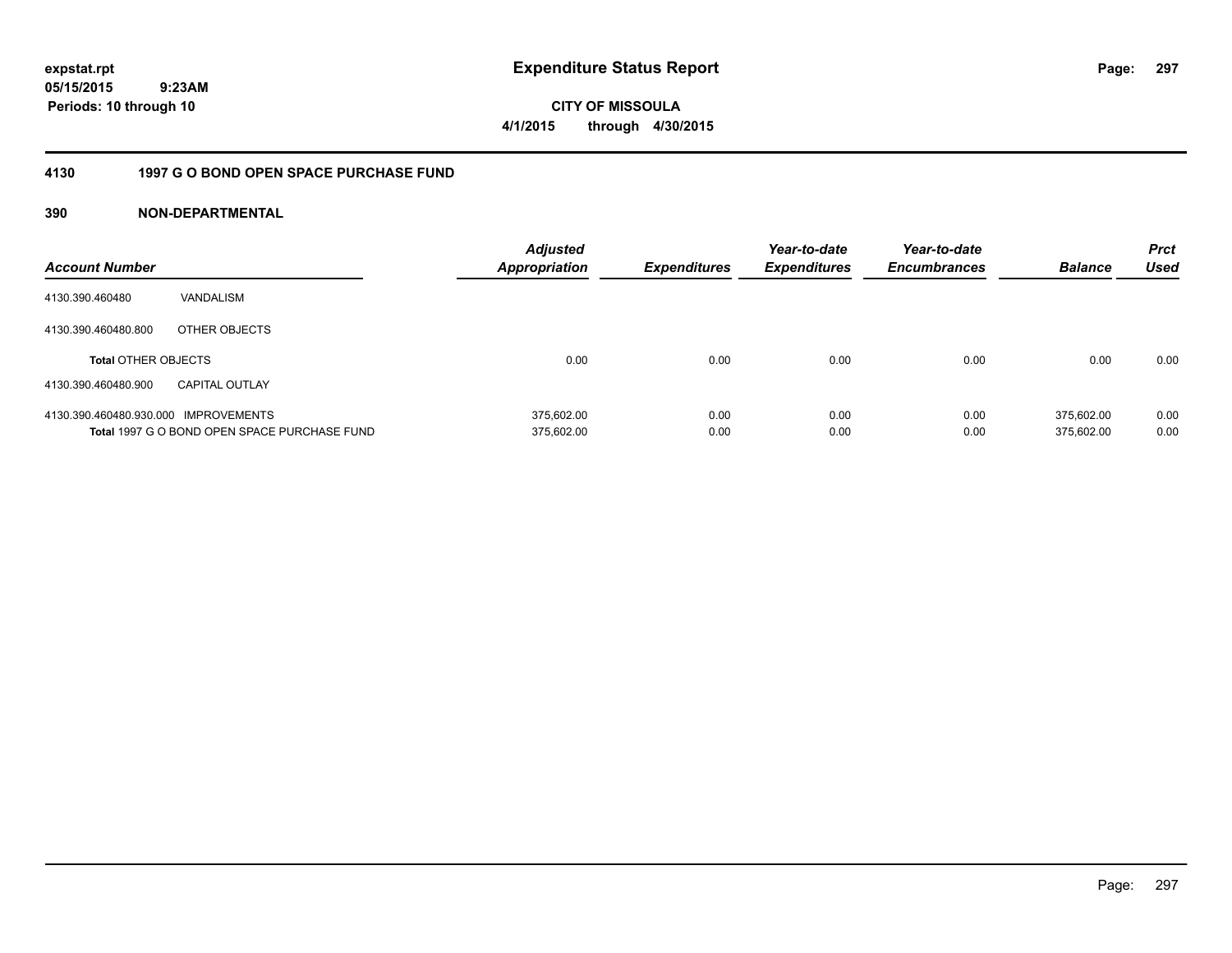**05/15/2015 9:23AM Periods: 10 through 10**

# **CITY OF MISSOULA 4/1/2015 through 4/30/2015**

## **4130 1997 G O BOND OPEN SPACE PURCHASE FUND**

| <b>Account Number</b>                |                                              | <b>Adjusted</b><br><b>Appropriation</b> | <b>Expenditures</b> | Year-to-date<br><b>Expenditures</b> | Year-to-date<br><b>Encumbrances</b> | <b>Balance</b> | <b>Prct</b><br>Used |
|--------------------------------------|----------------------------------------------|-----------------------------------------|---------------------|-------------------------------------|-------------------------------------|----------------|---------------------|
| 4130.390.460480                      | VANDALISM                                    |                                         |                     |                                     |                                     |                |                     |
| 4130.390.460480.800                  | OTHER OBJECTS                                |                                         |                     |                                     |                                     |                |                     |
| <b>Total OTHER OBJECTS</b>           |                                              | 0.00                                    | 0.00                | 0.00                                | 0.00                                | 0.00           | 0.00                |
| 4130.390.460480.900                  | <b>CAPITAL OUTLAY</b>                        |                                         |                     |                                     |                                     |                |                     |
| 4130.390.460480.930.000 IMPROVEMENTS |                                              | 375.602.00                              | 0.00                | 0.00                                | 0.00                                | 375.602.00     | 0.00                |
|                                      | Total 1997 G O BOND OPEN SPACE PURCHASE FUND | 375.602.00                              | 0.00                | 0.00                                | 0.00                                | 375.602.00     | 0.00                |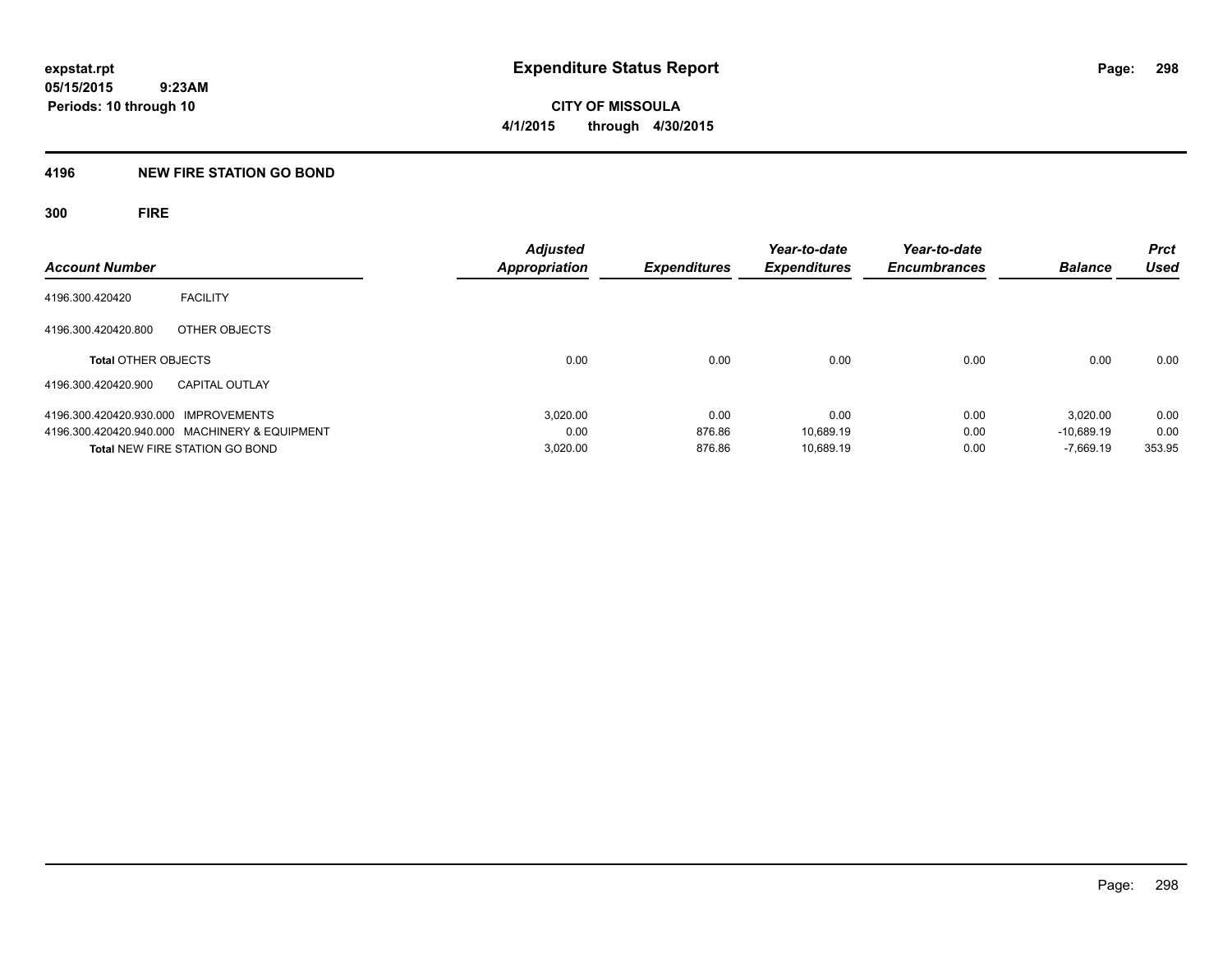## **4196 NEW FIRE STATION GO BOND**

**300 FIRE**

| <b>Account Number</b>                |                                               | Adjusted<br><b>Appropriation</b> | <b>Expenditures</b> | Year-to-date<br><b>Expenditures</b> | Year-to-date<br><b>Encumbrances</b> | <b>Balance</b> | <b>Prct</b><br><b>Used</b> |
|--------------------------------------|-----------------------------------------------|----------------------------------|---------------------|-------------------------------------|-------------------------------------|----------------|----------------------------|
|                                      |                                               |                                  |                     |                                     |                                     |                |                            |
| 4196.300.420420                      | <b>FACILITY</b>                               |                                  |                     |                                     |                                     |                |                            |
| 4196.300.420420.800                  | OTHER OBJECTS                                 |                                  |                     |                                     |                                     |                |                            |
| <b>Total OTHER OBJECTS</b>           |                                               | 0.00                             | 0.00                | 0.00                                | 0.00                                | 0.00           | 0.00                       |
| 4196.300.420420.900                  | <b>CAPITAL OUTLAY</b>                         |                                  |                     |                                     |                                     |                |                            |
| 4196.300.420420.930.000 IMPROVEMENTS |                                               | 3.020.00                         | 0.00                | 0.00                                | 0.00                                | 3.020.00       | 0.00                       |
|                                      | 4196.300.420420.940.000 MACHINERY & EQUIPMENT | 0.00                             | 876.86              | 10.689.19                           | 0.00                                | $-10.689.19$   | 0.00                       |
|                                      | <b>Total NEW FIRE STATION GO BOND</b>         | 3,020.00                         | 876.86              | 10.689.19                           | 0.00                                | $-7.669.19$    | 353.95                     |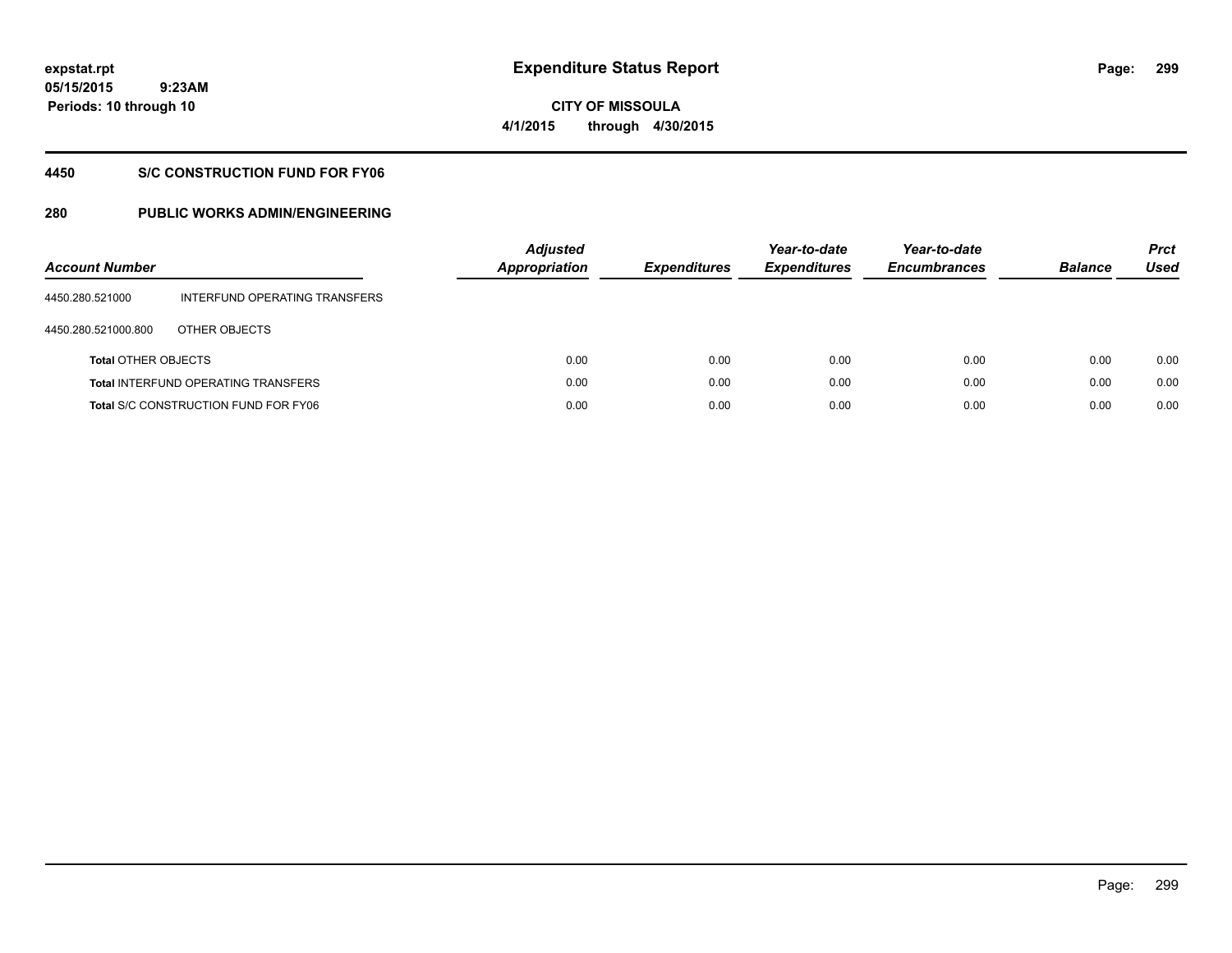**05/15/2015 9:23AM Periods: 10 through 10**

# **CITY OF MISSOULA 4/1/2015 through 4/30/2015**

## **4450 S/C CONSTRUCTION FUND FOR FY06**

| <b>Account Number</b>      |                                             | <b>Adjusted</b><br><b>Appropriation</b> | <b>Expenditures</b> | Year-to-date<br><b>Expenditures</b> | Year-to-date<br><b>Encumbrances</b> | <b>Balance</b> | <b>Prct</b><br>Used |
|----------------------------|---------------------------------------------|-----------------------------------------|---------------------|-------------------------------------|-------------------------------------|----------------|---------------------|
| 4450.280.521000            | INTERFUND OPERATING TRANSFERS               |                                         |                     |                                     |                                     |                |                     |
| 4450.280.521000.800        | OTHER OBJECTS                               |                                         |                     |                                     |                                     |                |                     |
| <b>Total OTHER OBJECTS</b> |                                             | 0.00                                    | 0.00                | 0.00                                | 0.00                                | 0.00           | 0.00                |
|                            | <b>Total INTERFUND OPERATING TRANSFERS</b>  | 0.00                                    | 0.00                | 0.00                                | 0.00                                | 0.00           | 0.00                |
|                            | <b>Total S/C CONSTRUCTION FUND FOR FY06</b> | 0.00                                    | 0.00                | 0.00                                | 0.00                                | 0.00           | 0.00                |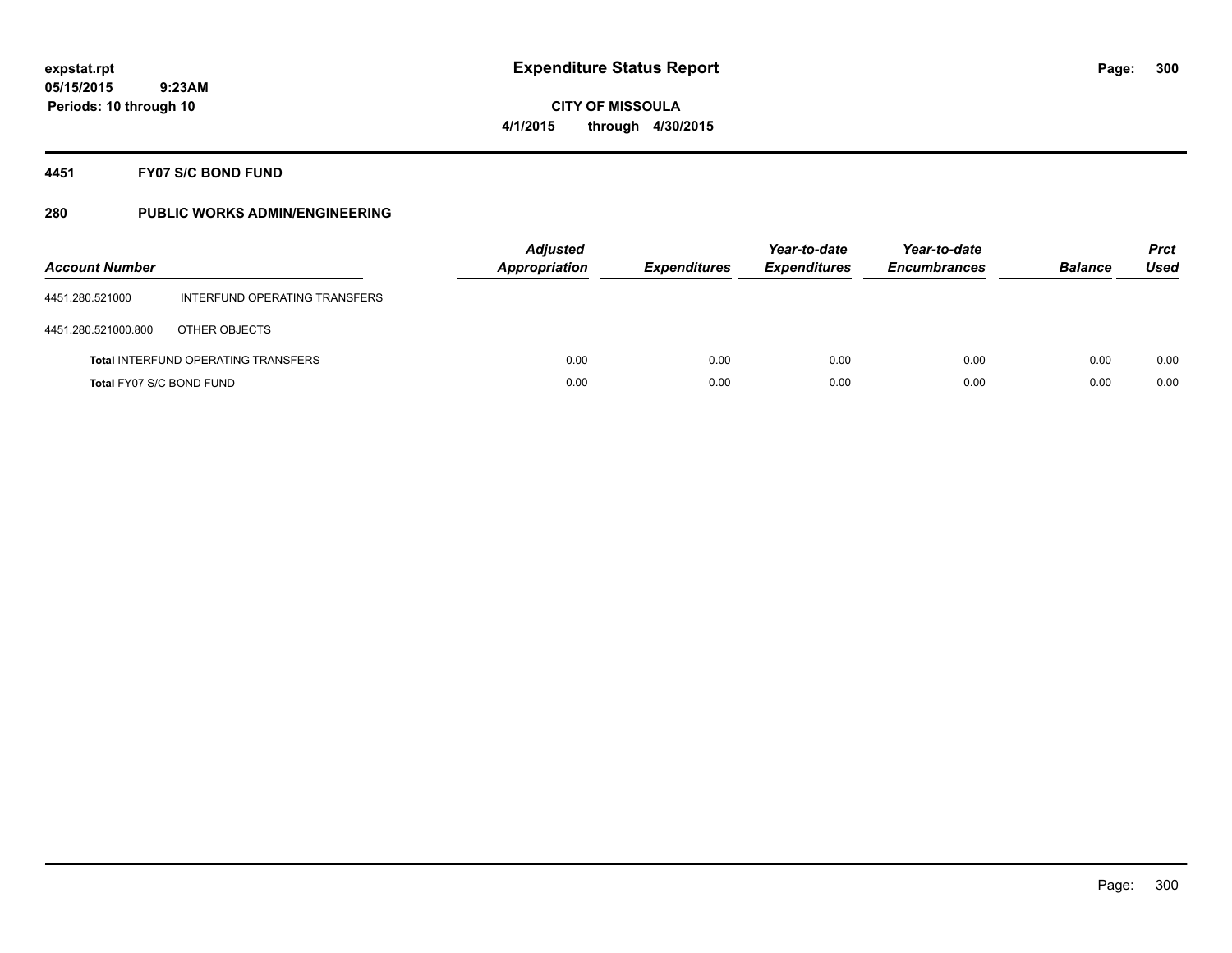**Periods: 10 through 10**

**CITY OF MISSOULA 4/1/2015 through 4/30/2015**

**4451 FY07 S/C BOND FUND**

 **9:23AM**

| <b>Account Number</b>    |                                            | <b>Adjusted</b><br><b>Appropriation</b> | <b>Expenditures</b> | Year-to-date<br><b>Expenditures</b> | Year-to-date<br><b>Encumbrances</b> | <b>Balance</b> | <b>Prct</b><br>Used |
|--------------------------|--------------------------------------------|-----------------------------------------|---------------------|-------------------------------------|-------------------------------------|----------------|---------------------|
| 4451.280.521000          | INTERFUND OPERATING TRANSFERS              |                                         |                     |                                     |                                     |                |                     |
| 4451.280.521000.800      | OTHER OBJECTS                              |                                         |                     |                                     |                                     |                |                     |
|                          | <b>Total INTERFUND OPERATING TRANSFERS</b> | 0.00                                    | 0.00                | 0.00                                | 0.00                                | 0.00           | 0.00                |
| Total FY07 S/C BOND FUND |                                            | 0.00                                    | 0.00                | 0.00                                | 0.00                                | 0.00           | 0.00                |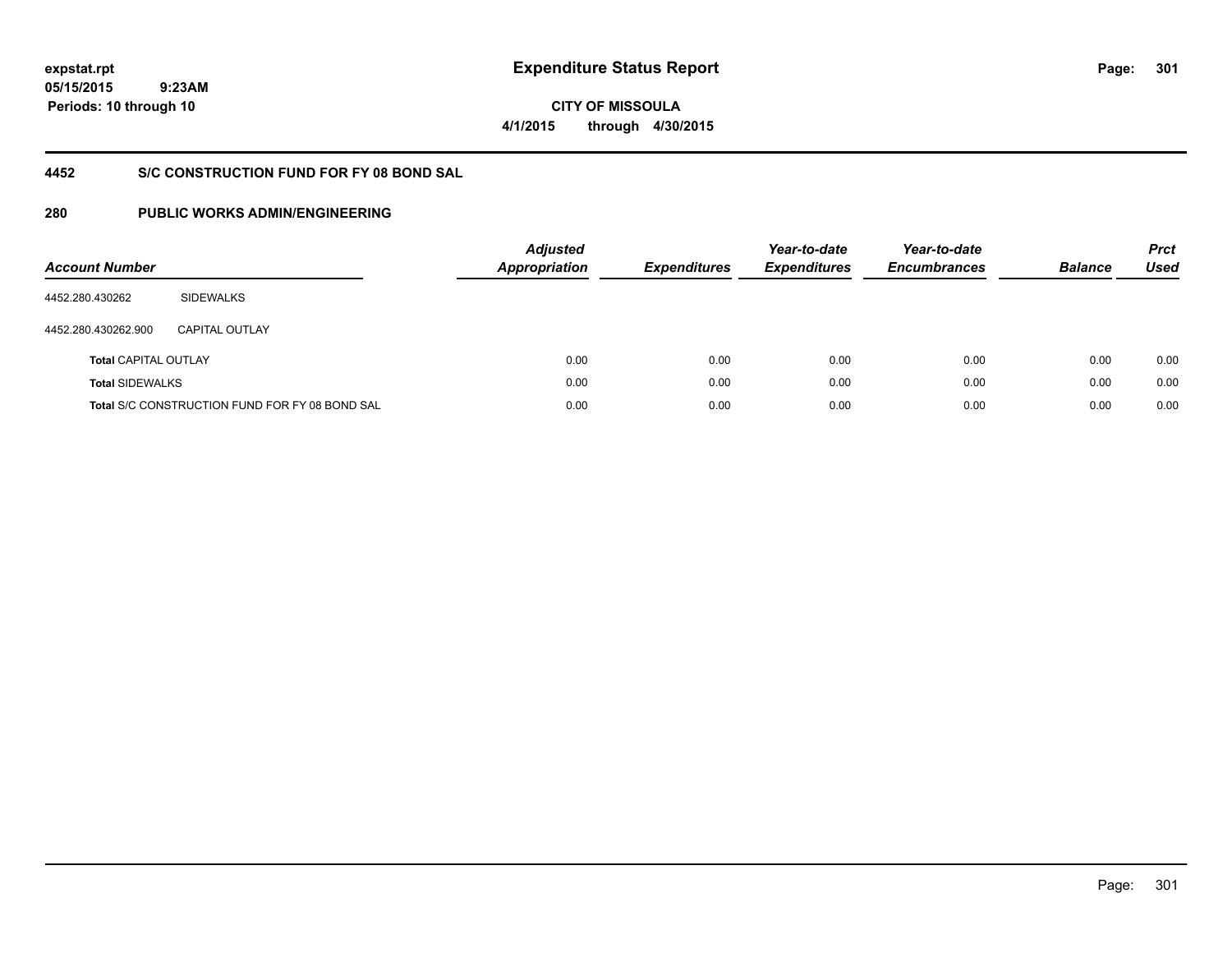**05/15/2015 9:23AM Periods: 10 through 10**

**CITY OF MISSOULA 4/1/2015 through 4/30/2015**

# **4452 S/C CONSTRUCTION FUND FOR FY 08 BOND SAL**

| <b>Account Number</b>       |                                                       | <b>Adjusted</b><br><b>Appropriation</b> | <b>Expenditures</b> | Year-to-date<br><b>Expenditures</b> | Year-to-date<br><b>Encumbrances</b> | <b>Balance</b> | <b>Prct</b><br>Used |
|-----------------------------|-------------------------------------------------------|-----------------------------------------|---------------------|-------------------------------------|-------------------------------------|----------------|---------------------|
| 4452.280.430262             | <b>SIDEWALKS</b>                                      |                                         |                     |                                     |                                     |                |                     |
| 4452.280.430262.900         | CAPITAL OUTLAY                                        |                                         |                     |                                     |                                     |                |                     |
| <b>Total CAPITAL OUTLAY</b> |                                                       | 0.00                                    | 0.00                | 0.00                                | 0.00                                | 0.00           | 0.00                |
| <b>Total SIDEWALKS</b>      |                                                       | 0.00                                    | 0.00                | 0.00                                | 0.00                                | 0.00           | 0.00                |
|                             | <b>Total S/C CONSTRUCTION FUND FOR FY 08 BOND SAL</b> | 0.00                                    | 0.00                | 0.00                                | 0.00                                | 0.00           | 0.00                |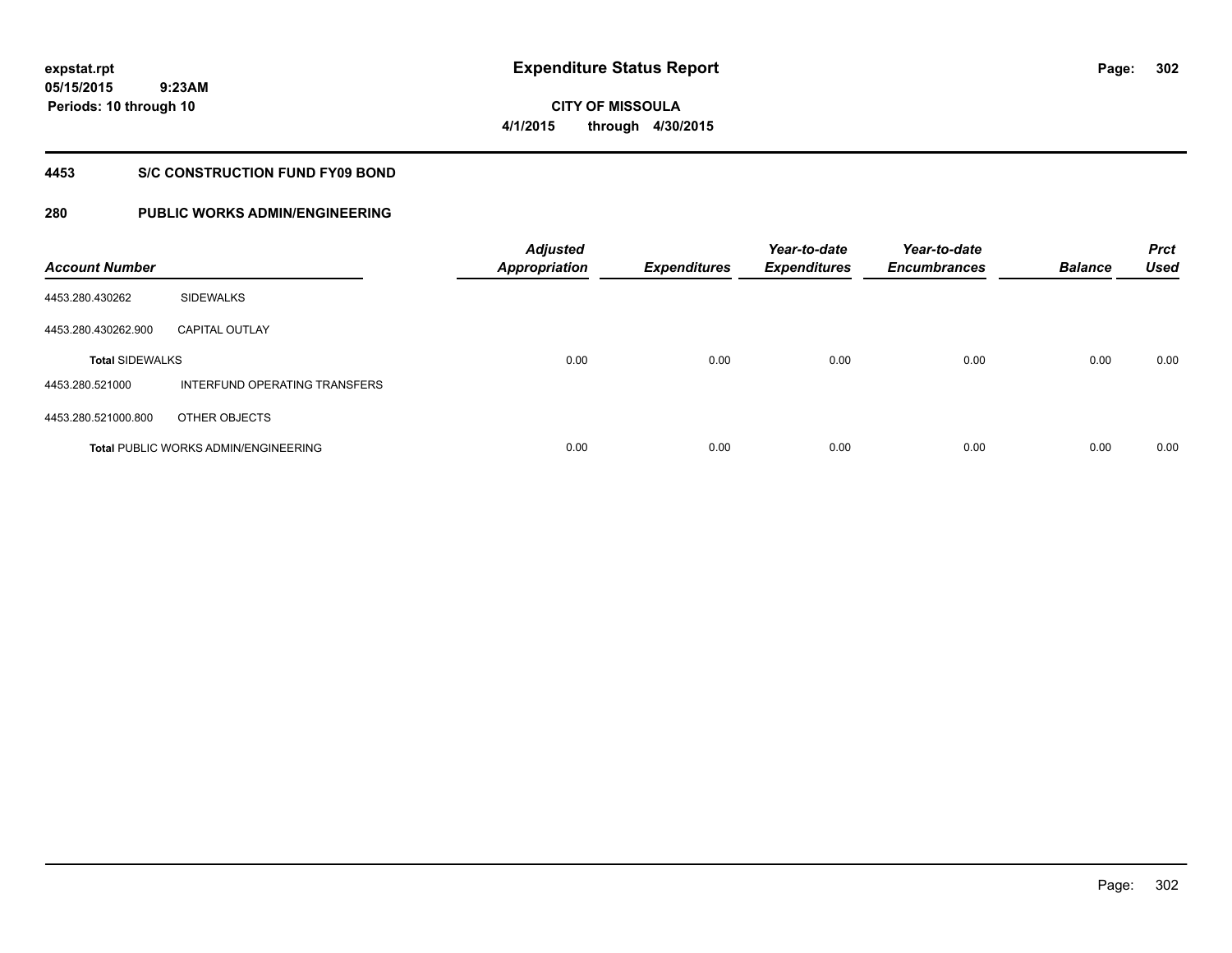**05/15/2015 9:23AM Periods: 10 through 10**

**CITY OF MISSOULA 4/1/2015 through 4/30/2015**

## **4453 S/C CONSTRUCTION FUND FY09 BOND**

| <b>Account Number</b>  |                                             | <b>Adjusted</b><br><b>Appropriation</b> | <b>Expenditures</b> | Year-to-date<br><b>Expenditures</b> | Year-to-date<br><b>Encumbrances</b> | <b>Balance</b> | <b>Prct</b><br><b>Used</b> |
|------------------------|---------------------------------------------|-----------------------------------------|---------------------|-------------------------------------|-------------------------------------|----------------|----------------------------|
| 4453.280.430262        | <b>SIDEWALKS</b>                            |                                         |                     |                                     |                                     |                |                            |
| 4453.280.430262.900    | <b>CAPITAL OUTLAY</b>                       |                                         |                     |                                     |                                     |                |                            |
| <b>Total SIDEWALKS</b> |                                             | 0.00                                    | 0.00                | 0.00                                | 0.00                                | 0.00           | 0.00                       |
| 4453.280.521000        | INTERFUND OPERATING TRANSFERS               |                                         |                     |                                     |                                     |                |                            |
| 4453.280.521000.800    | OTHER OBJECTS                               |                                         |                     |                                     |                                     |                |                            |
|                        | <b>Total PUBLIC WORKS ADMIN/ENGINEERING</b> | 0.00                                    | 0.00                | 0.00                                | 0.00                                | 0.00           | 0.00                       |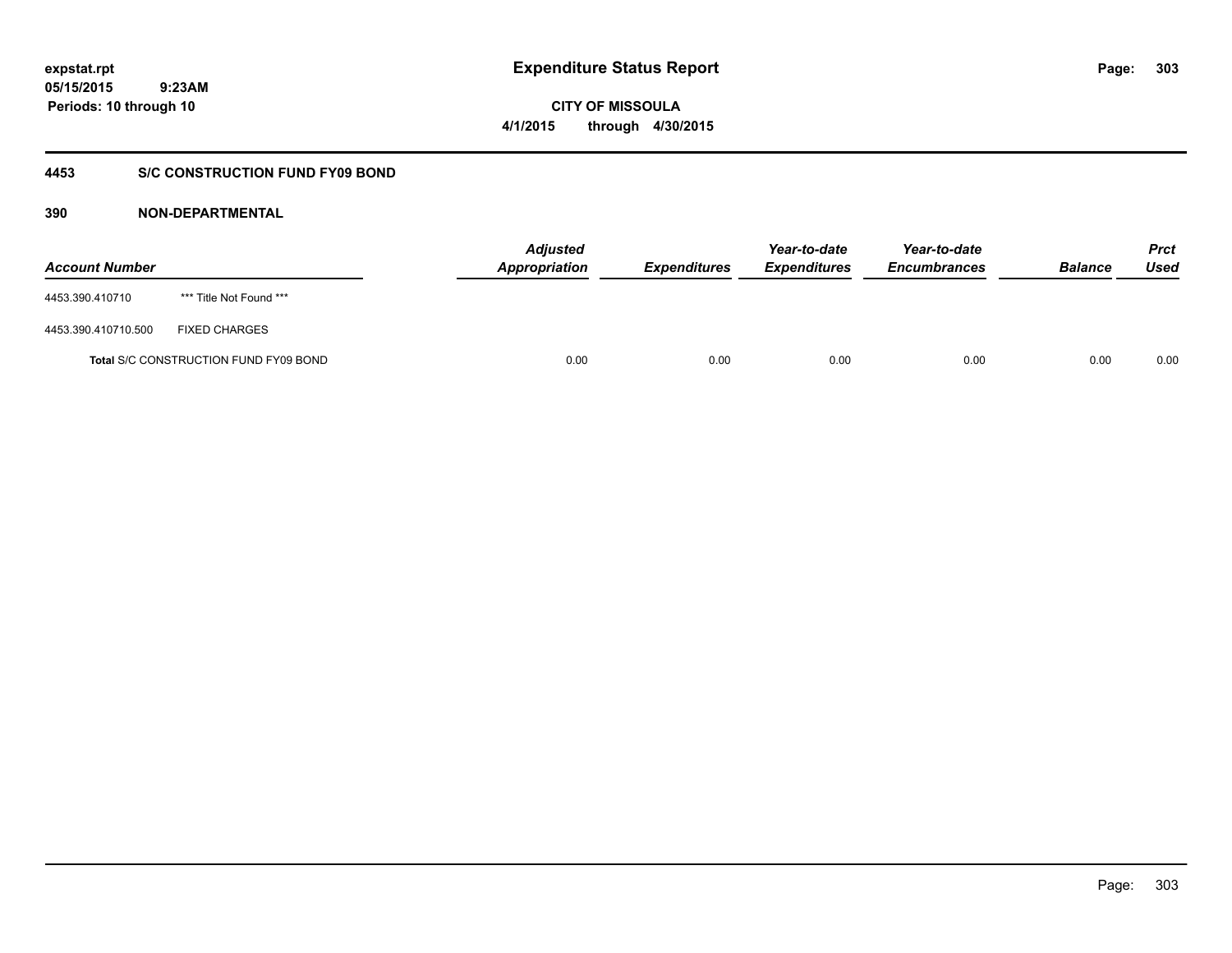**CITY OF MISSOULA 4/1/2015 through 4/30/2015**

## **4453 S/C CONSTRUCTION FUND FY09 BOND**

| <b>Account Number</b> |                                              | <b>Adjusted</b><br>Appropriation | <i><b>Expenditures</b></i> | Year-to-date<br><i><b>Expenditures</b></i> | Year-to-date<br><b>Encumbrances</b> | <b>Balance</b> | <b>Prct</b><br>Used |
|-----------------------|----------------------------------------------|----------------------------------|----------------------------|--------------------------------------------|-------------------------------------|----------------|---------------------|
| 4453.390.410710       | *** Title Not Found ***                      |                                  |                            |                                            |                                     |                |                     |
| 4453.390.410710.500   | <b>FIXED CHARGES</b>                         |                                  |                            |                                            |                                     |                |                     |
|                       | <b>Total S/C CONSTRUCTION FUND FY09 BOND</b> | 0.00                             | 0.00                       | 0.00                                       | 0.00                                | 0.00           | 0.00                |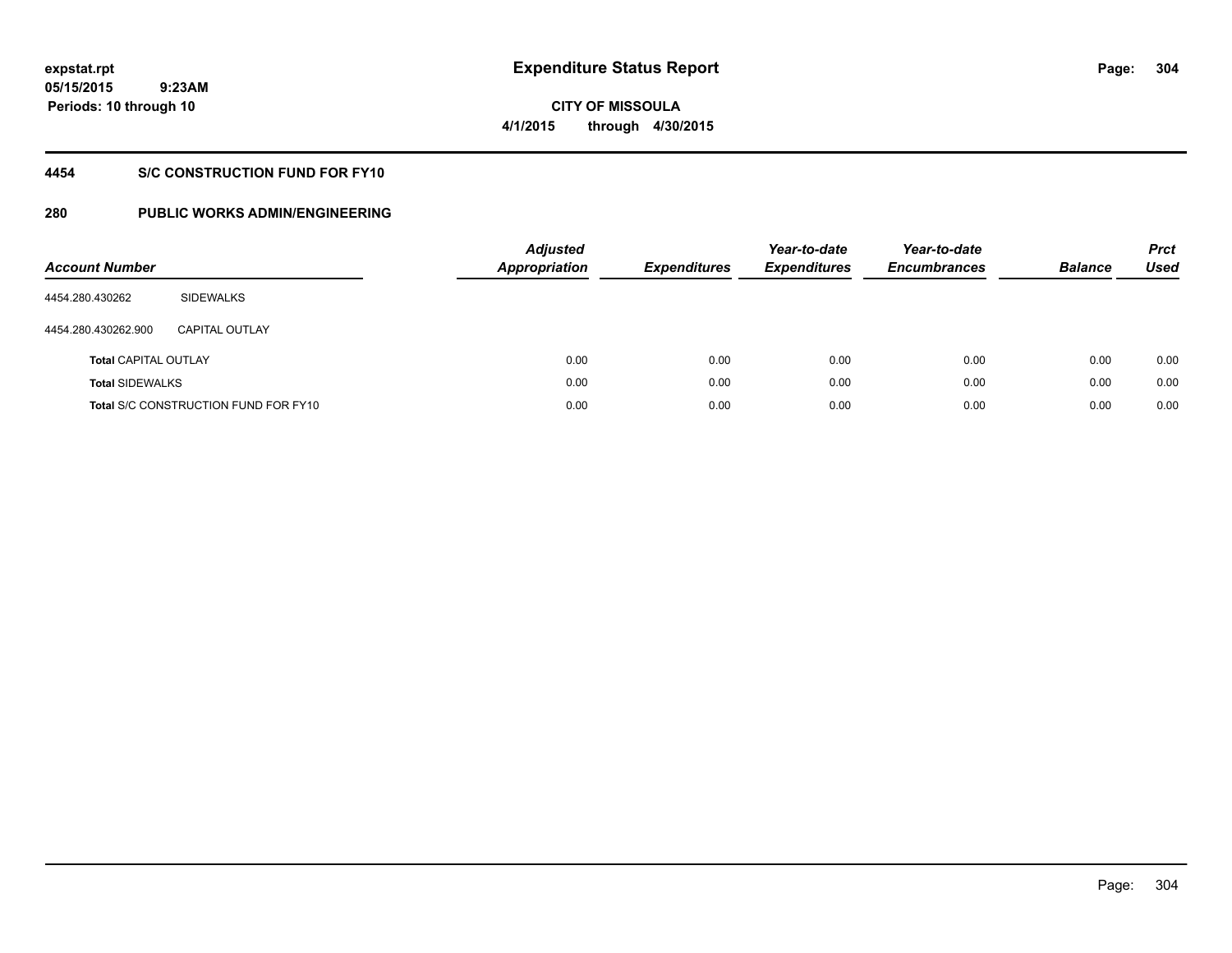**05/15/2015 9:23AM Periods: 10 through 10**

# **CITY OF MISSOULA 4/1/2015 through 4/30/2015**

# **4454 S/C CONSTRUCTION FUND FOR FY10**

| <b>Account Number</b>       |                                             | <b>Adjusted</b><br><b>Appropriation</b> | <b>Expenditures</b> | Year-to-date<br><b>Expenditures</b> | Year-to-date<br><b>Encumbrances</b> | <b>Balance</b> | <b>Prct</b><br>Used |
|-----------------------------|---------------------------------------------|-----------------------------------------|---------------------|-------------------------------------|-------------------------------------|----------------|---------------------|
| 4454.280.430262             | SIDEWALKS                                   |                                         |                     |                                     |                                     |                |                     |
| 4454.280.430262.900         | <b>CAPITAL OUTLAY</b>                       |                                         |                     |                                     |                                     |                |                     |
| <b>Total CAPITAL OUTLAY</b> |                                             | 0.00                                    | 0.00                | 0.00                                | 0.00                                | 0.00           | 0.00                |
| <b>Total SIDEWALKS</b>      |                                             | 0.00                                    | 0.00                | 0.00                                | 0.00                                | 0.00           | 0.00                |
|                             | <b>Total S/C CONSTRUCTION FUND FOR FY10</b> | 0.00                                    | 0.00                | 0.00                                | 0.00                                | 0.00           | 0.00                |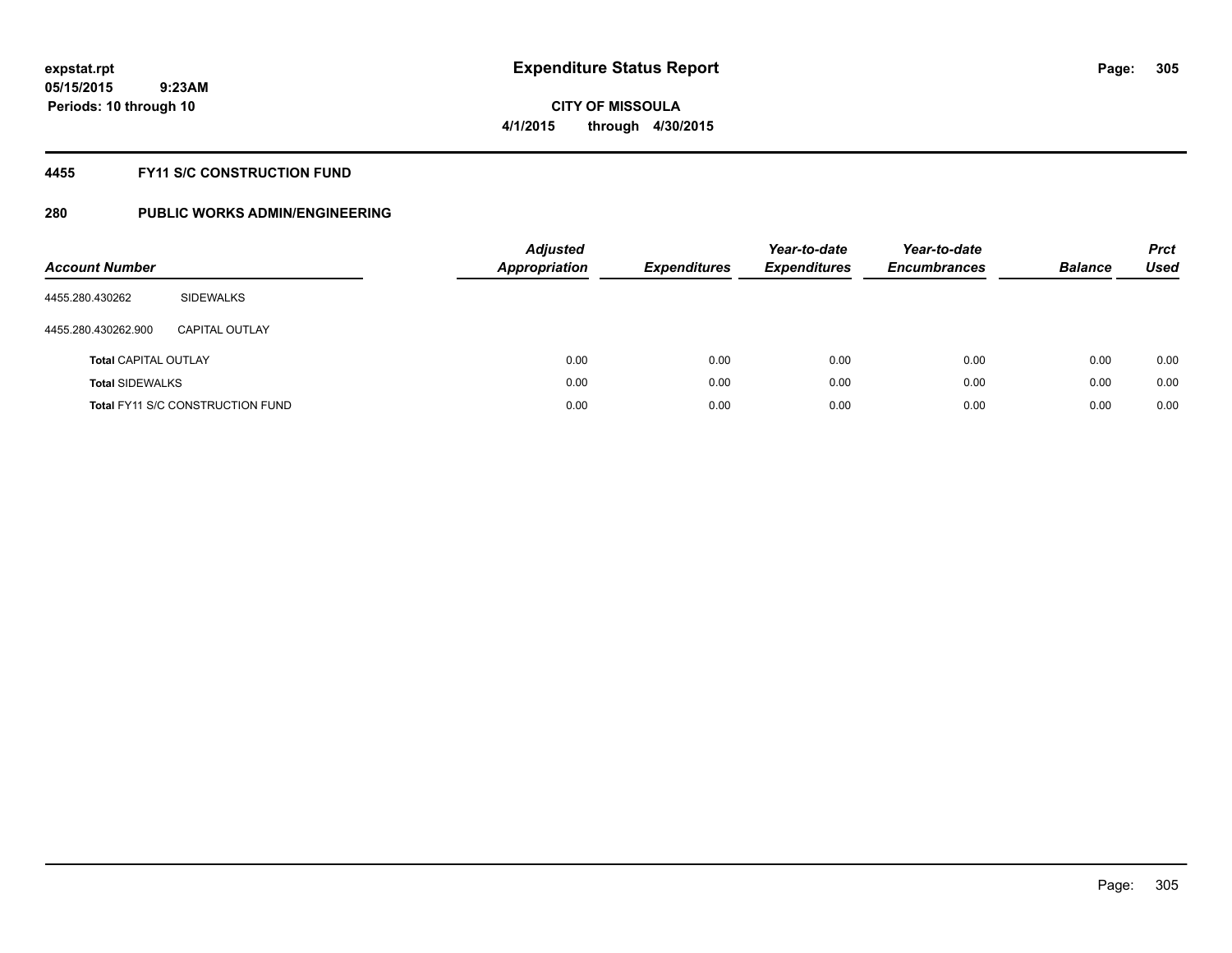# **CITY OF MISSOULA 4/1/2015 through 4/30/2015**

## **4455 FY11 S/C CONSTRUCTION FUND**

| <b>Account Number</b>       |                                         | <b>Adjusted</b><br><b>Appropriation</b> | <b>Expenditures</b> | Year-to-date<br><b>Expenditures</b> | Year-to-date<br><b>Encumbrances</b> | <b>Balance</b> | <b>Prct</b><br>Used |
|-----------------------------|-----------------------------------------|-----------------------------------------|---------------------|-------------------------------------|-------------------------------------|----------------|---------------------|
| 4455.280.430262             | SIDEWALKS                               |                                         |                     |                                     |                                     |                |                     |
| 4455.280.430262.900         | <b>CAPITAL OUTLAY</b>                   |                                         |                     |                                     |                                     |                |                     |
| <b>Total CAPITAL OUTLAY</b> |                                         | 0.00                                    | 0.00                | 0.00                                | 0.00                                | 0.00           | 0.00                |
| <b>Total SIDEWALKS</b>      |                                         | 0.00                                    | 0.00                | 0.00                                | 0.00                                | 0.00           | 0.00                |
|                             | <b>Total FY11 S/C CONSTRUCTION FUND</b> | 0.00                                    | 0.00                | 0.00                                | 0.00                                | 0.00           | 0.00                |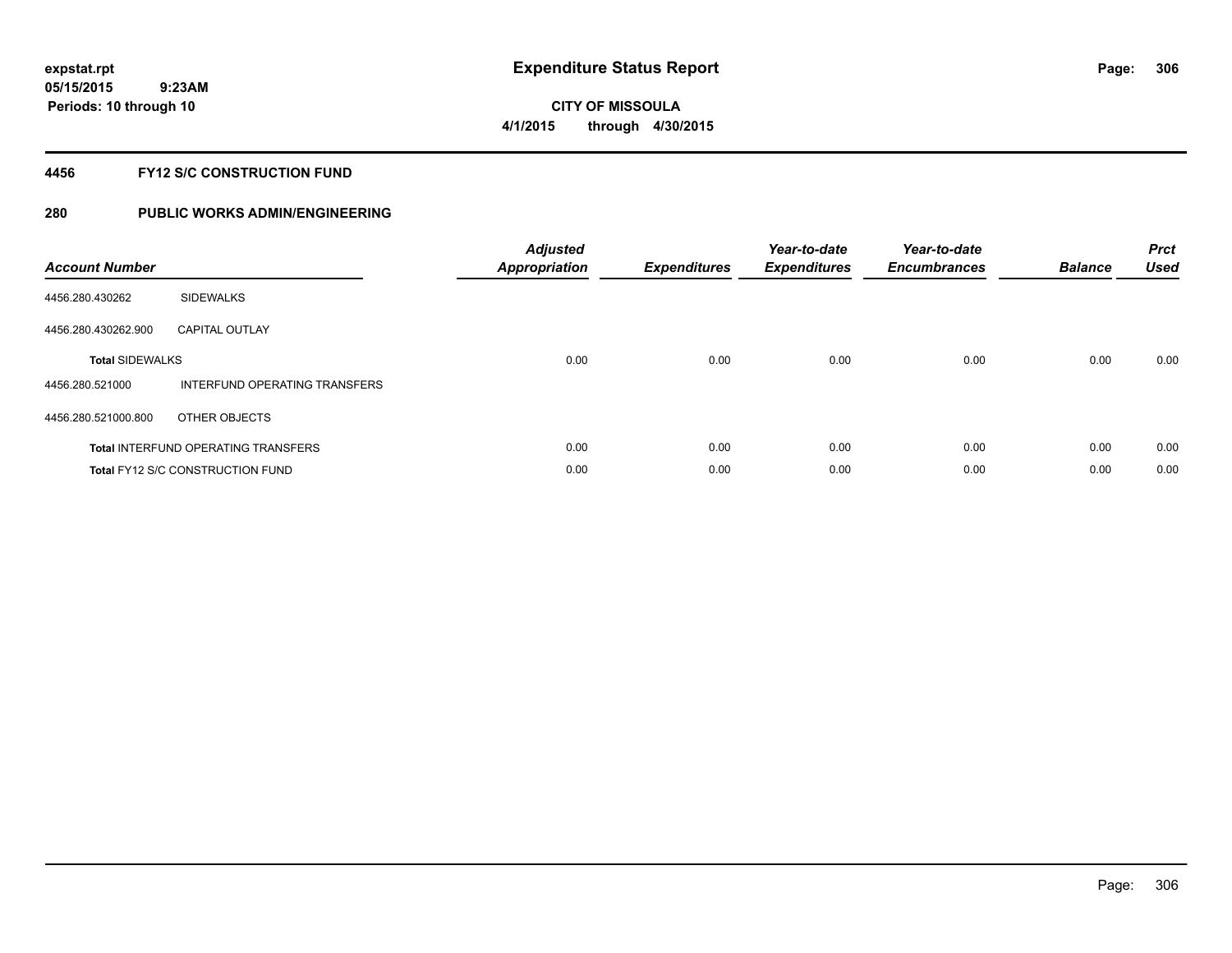# **CITY OF MISSOULA 4/1/2015 through 4/30/2015**

## **4456 FY12 S/C CONSTRUCTION FUND**

| <b>Account Number</b>  |                                            | <b>Adjusted</b><br>Appropriation | <b>Expenditures</b> | Year-to-date<br><b>Expenditures</b> | Year-to-date<br><b>Encumbrances</b> | <b>Balance</b> | <b>Prct</b><br><b>Used</b> |
|------------------------|--------------------------------------------|----------------------------------|---------------------|-------------------------------------|-------------------------------------|----------------|----------------------------|
| 4456.280.430262        | <b>SIDEWALKS</b>                           |                                  |                     |                                     |                                     |                |                            |
| 4456.280.430262.900    | <b>CAPITAL OUTLAY</b>                      |                                  |                     |                                     |                                     |                |                            |
| <b>Total SIDEWALKS</b> |                                            | 0.00                             | 0.00                | 0.00                                | 0.00                                | 0.00           | 0.00                       |
| 4456.280.521000        | INTERFUND OPERATING TRANSFERS              |                                  |                     |                                     |                                     |                |                            |
| 4456.280.521000.800    | OTHER OBJECTS                              |                                  |                     |                                     |                                     |                |                            |
|                        | <b>Total INTERFUND OPERATING TRANSFERS</b> | 0.00                             | 0.00                | 0.00                                | 0.00                                | 0.00           | 0.00                       |
|                        | <b>Total FY12 S/C CONSTRUCTION FUND</b>    | 0.00                             | 0.00                | 0.00                                | 0.00                                | 0.00           | 0.00                       |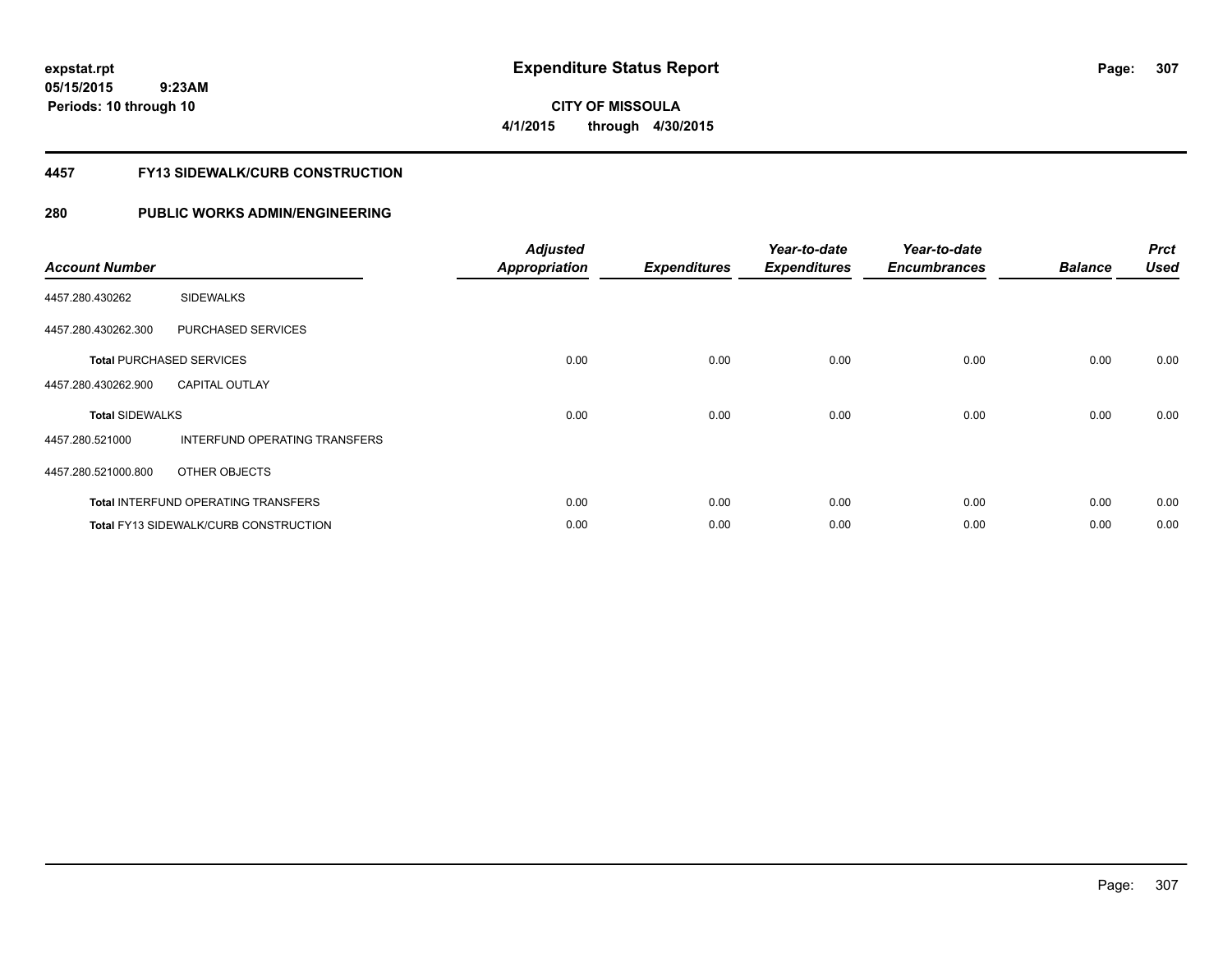**05/15/2015 9:23AM Periods: 10 through 10**

**CITY OF MISSOULA 4/1/2015 through 4/30/2015**

## **4457 FY13 SIDEWALK/CURB CONSTRUCTION**

| <b>Account Number</b>  |                                              | <b>Adjusted</b><br><b>Appropriation</b> | <b>Expenditures</b> | Year-to-date<br><b>Expenditures</b> | Year-to-date<br><b>Encumbrances</b> | <b>Balance</b> | <b>Prct</b><br><b>Used</b> |
|------------------------|----------------------------------------------|-----------------------------------------|---------------------|-------------------------------------|-------------------------------------|----------------|----------------------------|
| 4457.280.430262        | <b>SIDEWALKS</b>                             |                                         |                     |                                     |                                     |                |                            |
| 4457.280.430262.300    | PURCHASED SERVICES                           |                                         |                     |                                     |                                     |                |                            |
|                        | <b>Total PURCHASED SERVICES</b>              | 0.00                                    | 0.00                | 0.00                                | 0.00                                | 0.00           | 0.00                       |
| 4457.280.430262.900    | <b>CAPITAL OUTLAY</b>                        |                                         |                     |                                     |                                     |                |                            |
| <b>Total SIDEWALKS</b> |                                              | 0.00                                    | 0.00                | 0.00                                | 0.00                                | 0.00           | 0.00                       |
| 4457.280.521000        | INTERFUND OPERATING TRANSFERS                |                                         |                     |                                     |                                     |                |                            |
| 4457.280.521000.800    | OTHER OBJECTS                                |                                         |                     |                                     |                                     |                |                            |
|                        | <b>Total INTERFUND OPERATING TRANSFERS</b>   | 0.00                                    | 0.00                | 0.00                                | 0.00                                | 0.00           | 0.00                       |
|                        | <b>Total FY13 SIDEWALK/CURB CONSTRUCTION</b> | 0.00                                    | 0.00                | 0.00                                | 0.00                                | 0.00           | 0.00                       |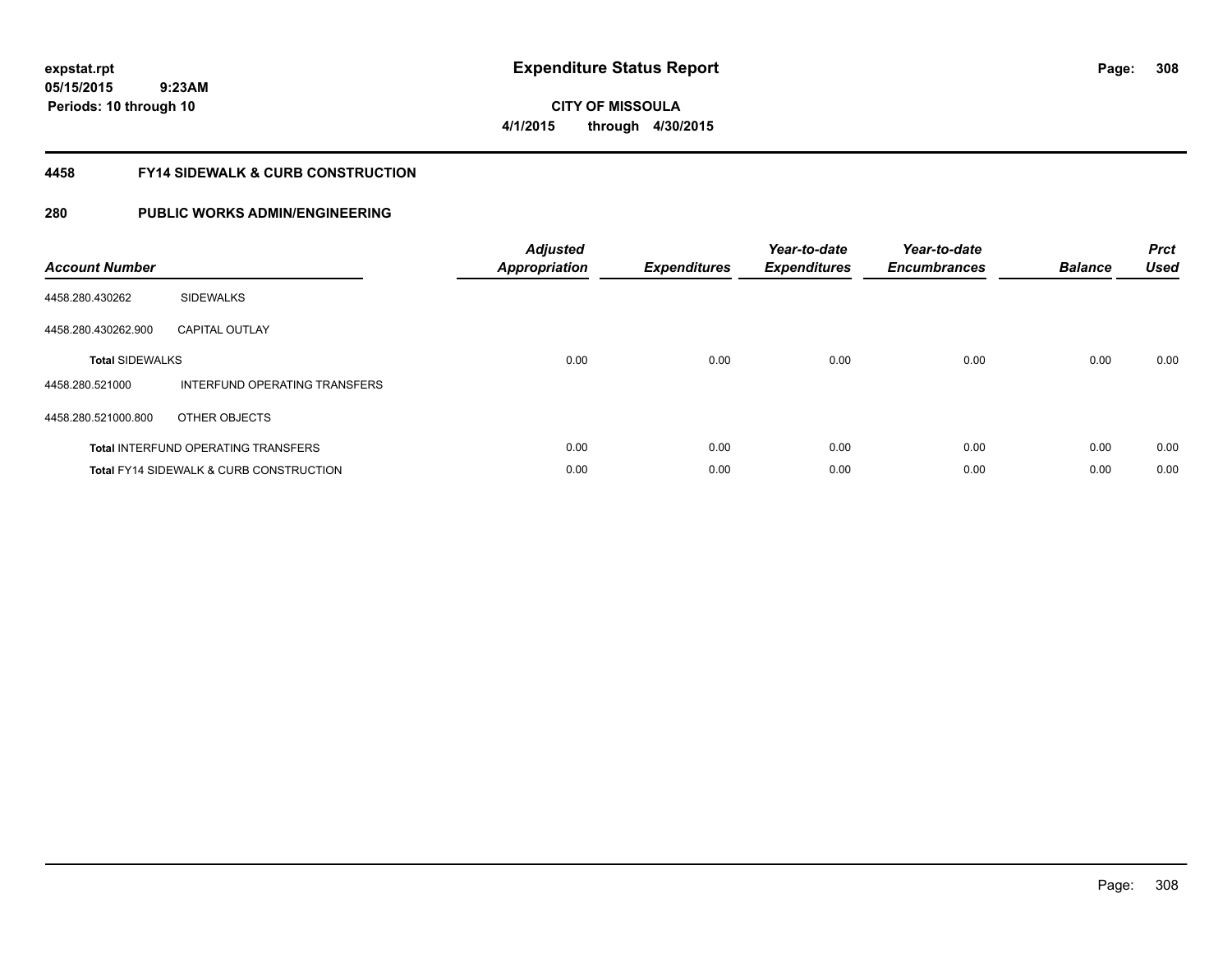**05/15/2015 9:23AM Periods: 10 through 10**

**CITY OF MISSOULA 4/1/2015 through 4/30/2015**

## **4458 FY14 SIDEWALK & CURB CONSTRUCTION**

| <b>Account Number</b>  |                                                    | <b>Adjusted</b><br>Appropriation | <b>Expenditures</b> | Year-to-date<br><b>Expenditures</b> | Year-to-date<br><b>Encumbrances</b> | <b>Balance</b> | <b>Prct</b><br><b>Used</b> |
|------------------------|----------------------------------------------------|----------------------------------|---------------------|-------------------------------------|-------------------------------------|----------------|----------------------------|
| 4458.280.430262        | <b>SIDEWALKS</b>                                   |                                  |                     |                                     |                                     |                |                            |
| 4458.280.430262.900    | <b>CAPITAL OUTLAY</b>                              |                                  |                     |                                     |                                     |                |                            |
| <b>Total SIDEWALKS</b> |                                                    | 0.00                             | 0.00                | 0.00                                | 0.00                                | 0.00           | 0.00                       |
| 4458.280.521000        | INTERFUND OPERATING TRANSFERS                      |                                  |                     |                                     |                                     |                |                            |
| 4458.280.521000.800    | OTHER OBJECTS                                      |                                  |                     |                                     |                                     |                |                            |
|                        | <b>Total INTERFUND OPERATING TRANSFERS</b>         | 0.00                             | 0.00                | 0.00                                | 0.00                                | 0.00           | 0.00                       |
|                        | <b>Total FY14 SIDEWALK &amp; CURB CONSTRUCTION</b> | 0.00                             | 0.00                | 0.00                                | 0.00                                | 0.00           | 0.00                       |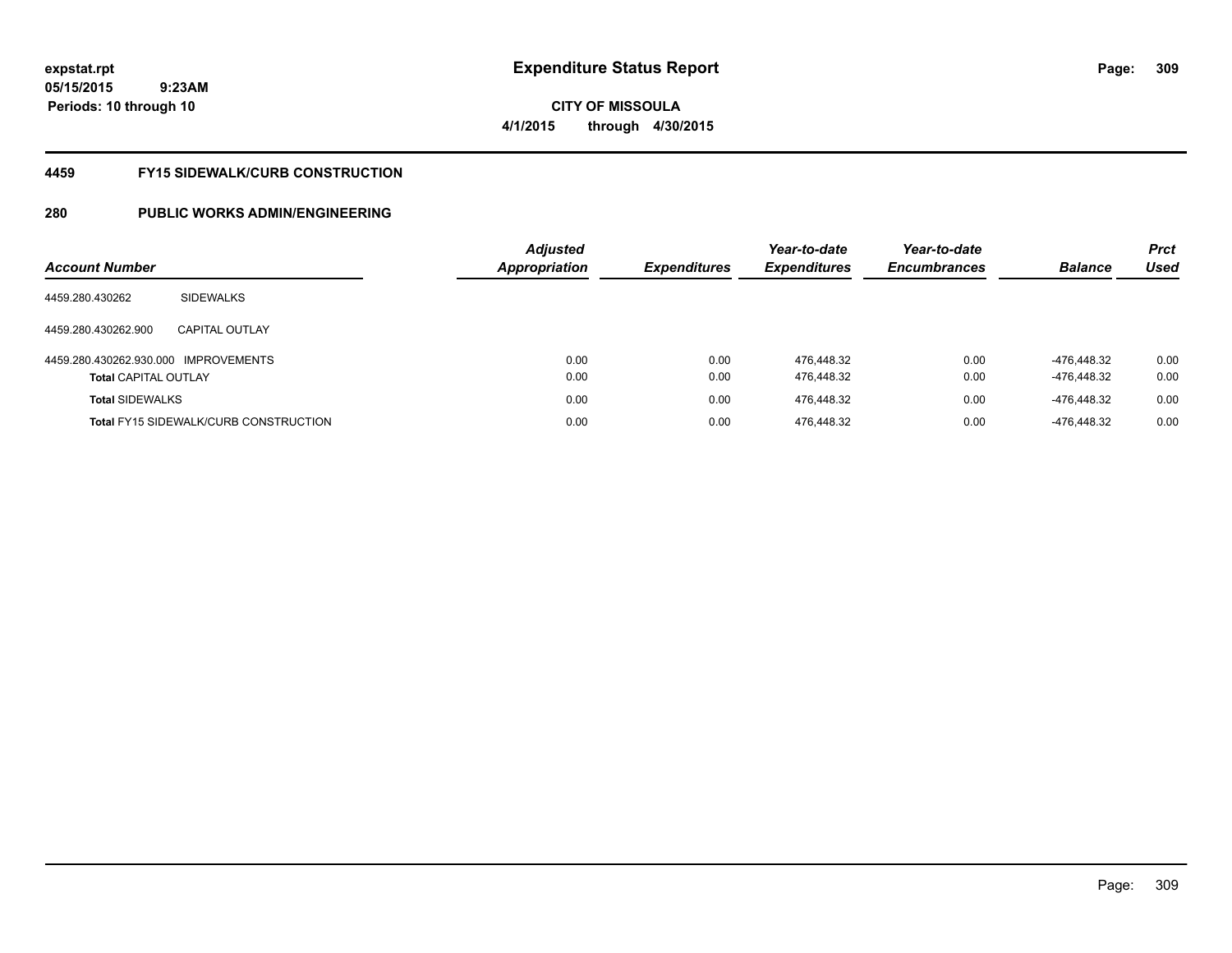**05/15/2015 9:23AM Periods: 10 through 10**

# **CITY OF MISSOULA 4/1/2015 through 4/30/2015**

## **4459 FY15 SIDEWALK/CURB CONSTRUCTION**

| <b>Account Number</b>                |                                              | Adjusted<br><b>Appropriation</b> | <b>Expenditures</b> | Year-to-date<br><b>Expenditures</b> | Year-to-date<br><b>Encumbrances</b> | <b>Balance</b> | <b>Prct</b><br>Used |
|--------------------------------------|----------------------------------------------|----------------------------------|---------------------|-------------------------------------|-------------------------------------|----------------|---------------------|
| 4459.280.430262                      | <b>SIDEWALKS</b>                             |                                  |                     |                                     |                                     |                |                     |
| 4459.280.430262.900                  | <b>CAPITAL OUTLAY</b>                        |                                  |                     |                                     |                                     |                |                     |
| 4459.280.430262.930.000 IMPROVEMENTS |                                              | 0.00                             | 0.00                | 476.448.32                          | 0.00                                | -476.448.32    | 0.00                |
| <b>Total CAPITAL OUTLAY</b>          |                                              | 0.00                             | 0.00                | 476,448.32                          | 0.00                                | -476,448.32    | 0.00                |
| <b>Total SIDEWALKS</b>               |                                              | 0.00                             | 0.00                | 476.448.32                          | 0.00                                | -476.448.32    | 0.00                |
|                                      | <b>Total FY15 SIDEWALK/CURB CONSTRUCTION</b> | 0.00                             | 0.00                | 476,448.32                          | 0.00                                | -476.448.32    | 0.00                |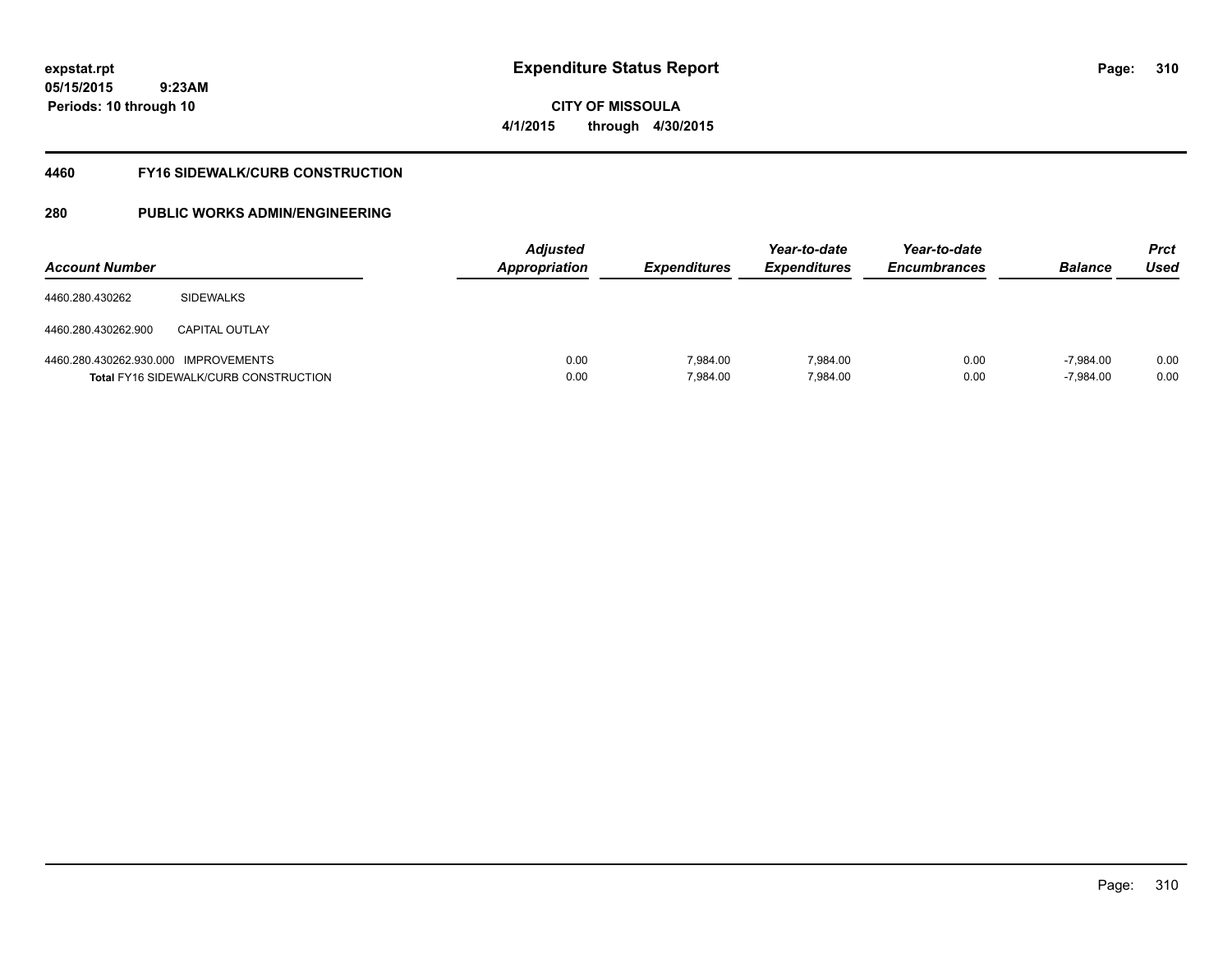**05/15/2015 9:23AM Periods: 10 through 10**

**CITY OF MISSOULA 4/1/2015 through 4/30/2015**

## **4460 FY16 SIDEWALK/CURB CONSTRUCTION**

| <b>Account Number</b>                |                                              | <b>Adjusted</b><br>Appropriation | <b>Expenditures</b>  | Year-to-date<br><b>Expenditures</b> | Year-to-date<br><b>Encumbrances</b> | <b>Balance</b>             | <b>Prct</b><br>Used |
|--------------------------------------|----------------------------------------------|----------------------------------|----------------------|-------------------------------------|-------------------------------------|----------------------------|---------------------|
| 4460.280.430262                      | <b>SIDEWALKS</b>                             |                                  |                      |                                     |                                     |                            |                     |
| 4460.280.430262.900                  | CAPITAL OUTLAY                               |                                  |                      |                                     |                                     |                            |                     |
| 4460.280.430262.930.000 IMPROVEMENTS | <b>Total FY16 SIDEWALK/CURB CONSTRUCTION</b> | 0.00<br>0.00                     | 7.984.00<br>7,984.00 | 7.984.00<br>7,984.00                | 0.00<br>0.00                        | $-7.984.00$<br>$-7,984.00$ | 0.00<br>0.00        |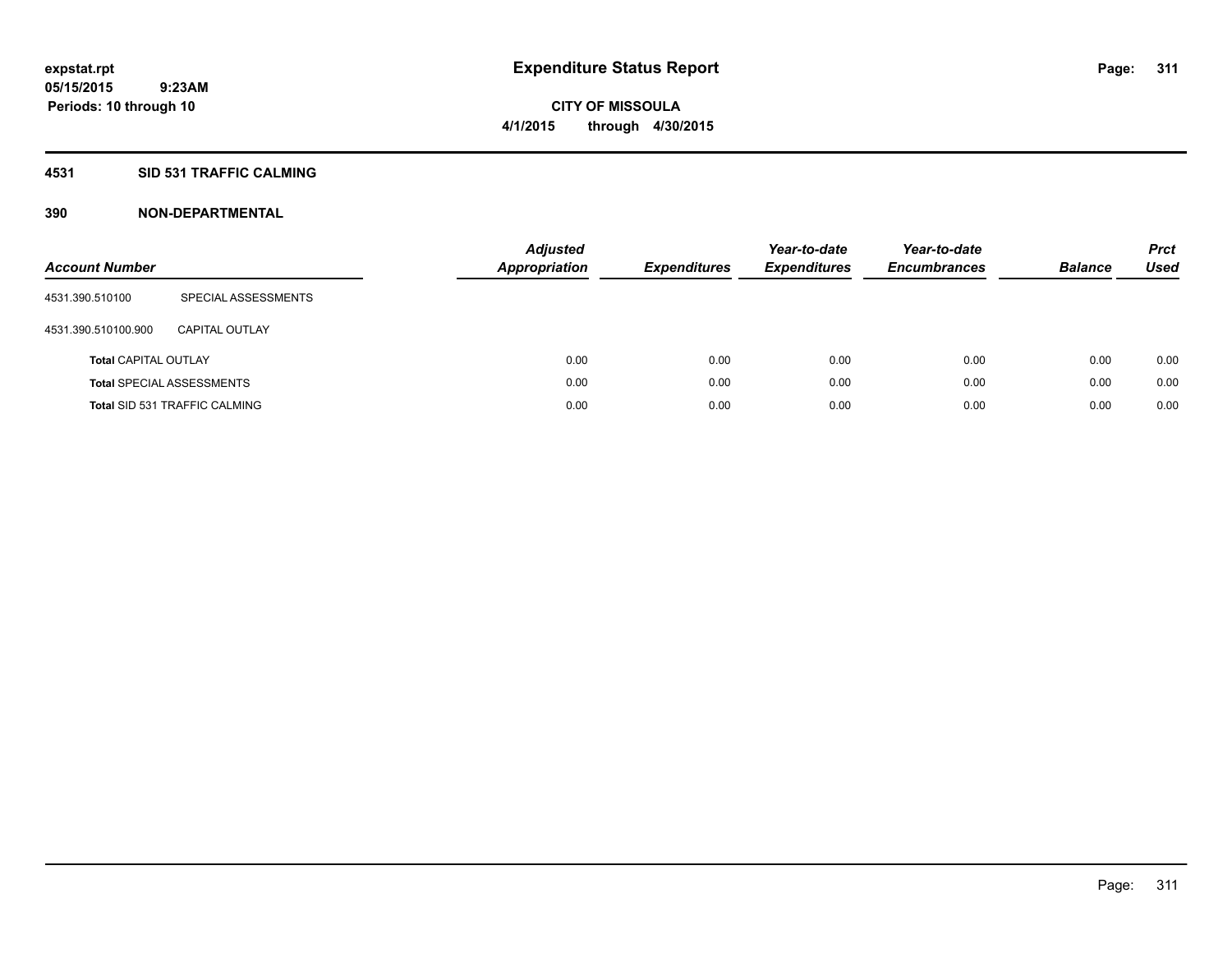## **4531 SID 531 TRAFFIC CALMING**

| <b>Account Number</b>       |                                      | <b>Adjusted</b><br><b>Appropriation</b> | <b>Expenditures</b> | Year-to-date<br><b>Expenditures</b> | Year-to-date<br><b>Encumbrances</b> | <b>Balance</b> | <b>Prct</b><br>Used |
|-----------------------------|--------------------------------------|-----------------------------------------|---------------------|-------------------------------------|-------------------------------------|----------------|---------------------|
| 4531.390.510100             | SPECIAL ASSESSMENTS                  |                                         |                     |                                     |                                     |                |                     |
| 4531.390.510100.900         | CAPITAL OUTLAY                       |                                         |                     |                                     |                                     |                |                     |
| <b>Total CAPITAL OUTLAY</b> |                                      | 0.00                                    | 0.00                | 0.00                                | 0.00                                | 0.00           | 0.00                |
|                             | <b>Total SPECIAL ASSESSMENTS</b>     | 0.00                                    | 0.00                | 0.00                                | 0.00                                | 0.00           | 0.00                |
|                             | <b>Total SID 531 TRAFFIC CALMING</b> | 0.00                                    | 0.00                | 0.00                                | 0.00                                | 0.00           | 0.00                |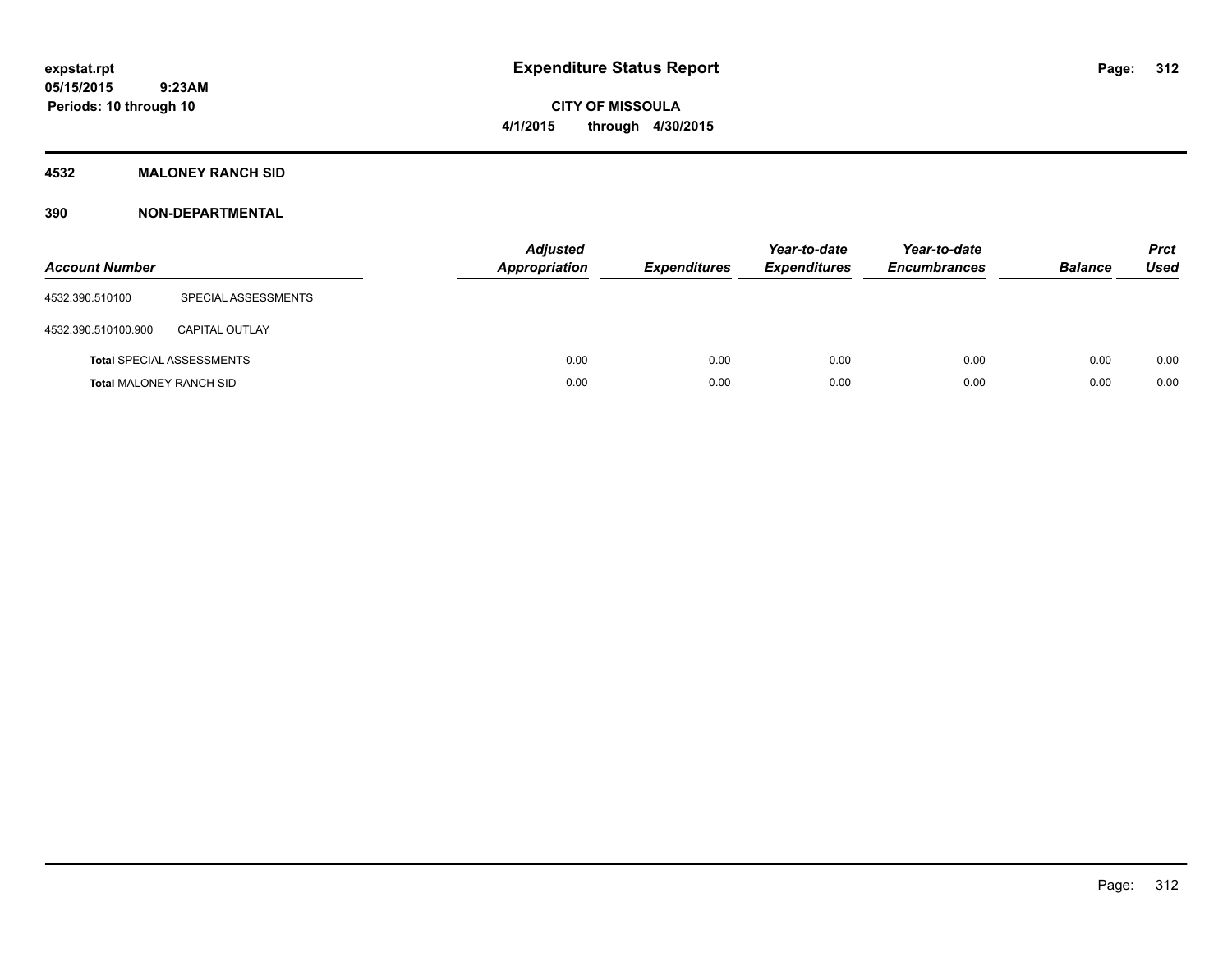# **CITY OF MISSOULA 4/1/2015 through 4/30/2015**

## **4532 MALONEY RANCH SID**

| <b>Account Number</b>          |                                  | <b>Adjusted</b><br><b>Appropriation</b> | <b>Expenditures</b> | Year-to-date<br><b>Expenditures</b> | Year-to-date<br><b>Encumbrances</b> | <b>Balance</b> | <b>Prct</b><br>Used |
|--------------------------------|----------------------------------|-----------------------------------------|---------------------|-------------------------------------|-------------------------------------|----------------|---------------------|
| 4532.390.510100                | SPECIAL ASSESSMENTS              |                                         |                     |                                     |                                     |                |                     |
| 4532.390.510100.900            | <b>CAPITAL OUTLAY</b>            |                                         |                     |                                     |                                     |                |                     |
|                                | <b>Total SPECIAL ASSESSMENTS</b> | 0.00                                    | 0.00                | 0.00                                | 0.00                                | 0.00           | 0.00                |
| <b>Total MALONEY RANCH SID</b> |                                  | 0.00                                    | 0.00                | 0.00                                | 0.00                                | 0.00           | 0.00                |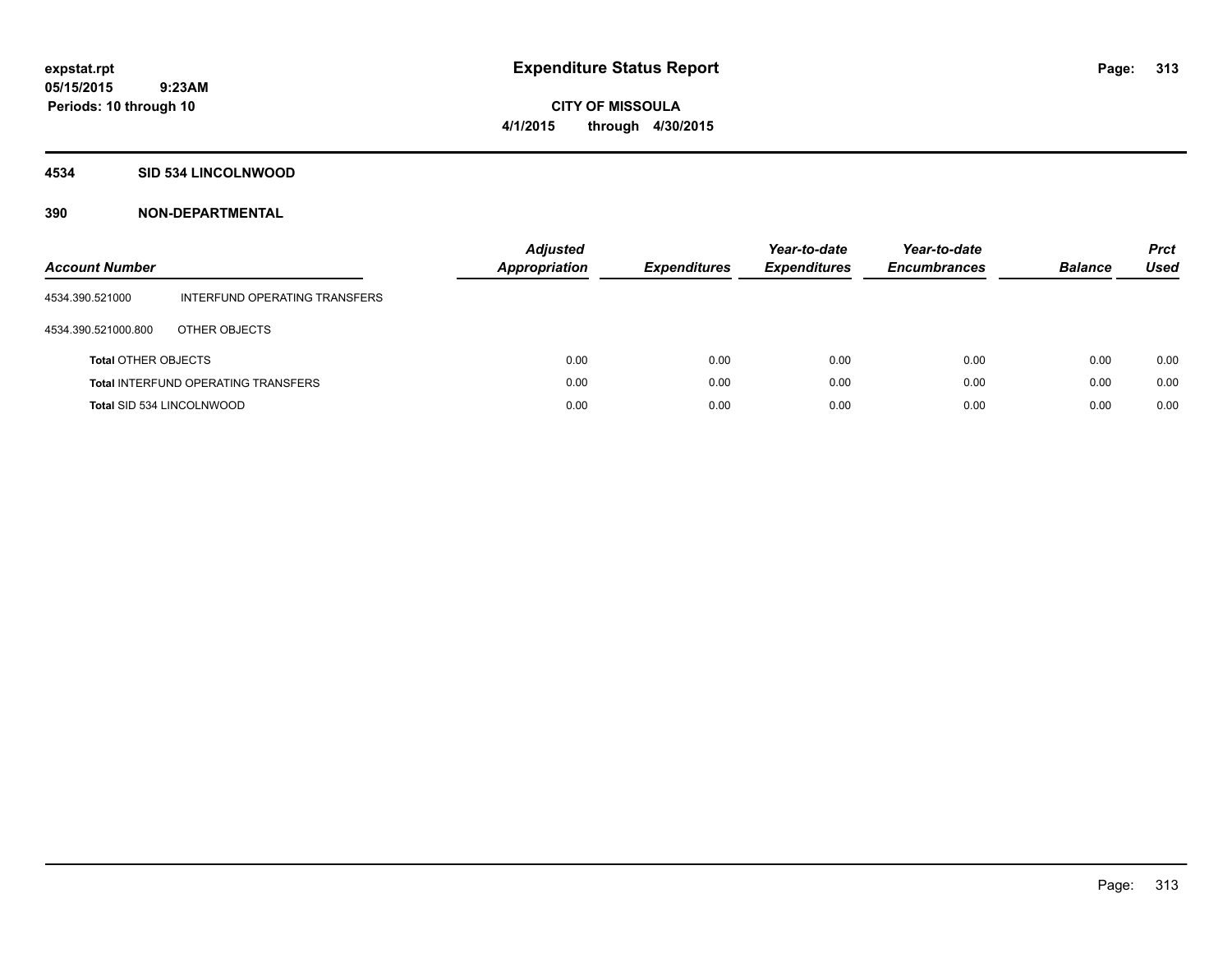# **CITY OF MISSOULA 4/1/2015 through 4/30/2015**

## **4534 SID 534 LINCOLNWOOD**

| Account Number                   |                                            | <b>Adjusted</b><br><b>Appropriation</b> | <b>Expenditures</b> | Year-to-date<br><b>Expenditures</b> | Year-to-date<br><b>Encumbrances</b> | <b>Balance</b> | <b>Prct</b><br>Used |
|----------------------------------|--------------------------------------------|-----------------------------------------|---------------------|-------------------------------------|-------------------------------------|----------------|---------------------|
| 4534.390.521000                  | INTERFUND OPERATING TRANSFERS              |                                         |                     |                                     |                                     |                |                     |
| 4534.390.521000.800              | OTHER OBJECTS                              |                                         |                     |                                     |                                     |                |                     |
| <b>Total OTHER OBJECTS</b>       |                                            | 0.00                                    | 0.00                | 0.00                                | 0.00                                | 0.00           | 0.00                |
|                                  | <b>Total INTERFUND OPERATING TRANSFERS</b> | 0.00                                    | 0.00                | 0.00                                | 0.00                                | 0.00           | 0.00                |
| <b>Total SID 534 LINCOLNWOOD</b> |                                            | 0.00                                    | 0.00                | 0.00                                | 0.00                                | 0.00           | 0.00                |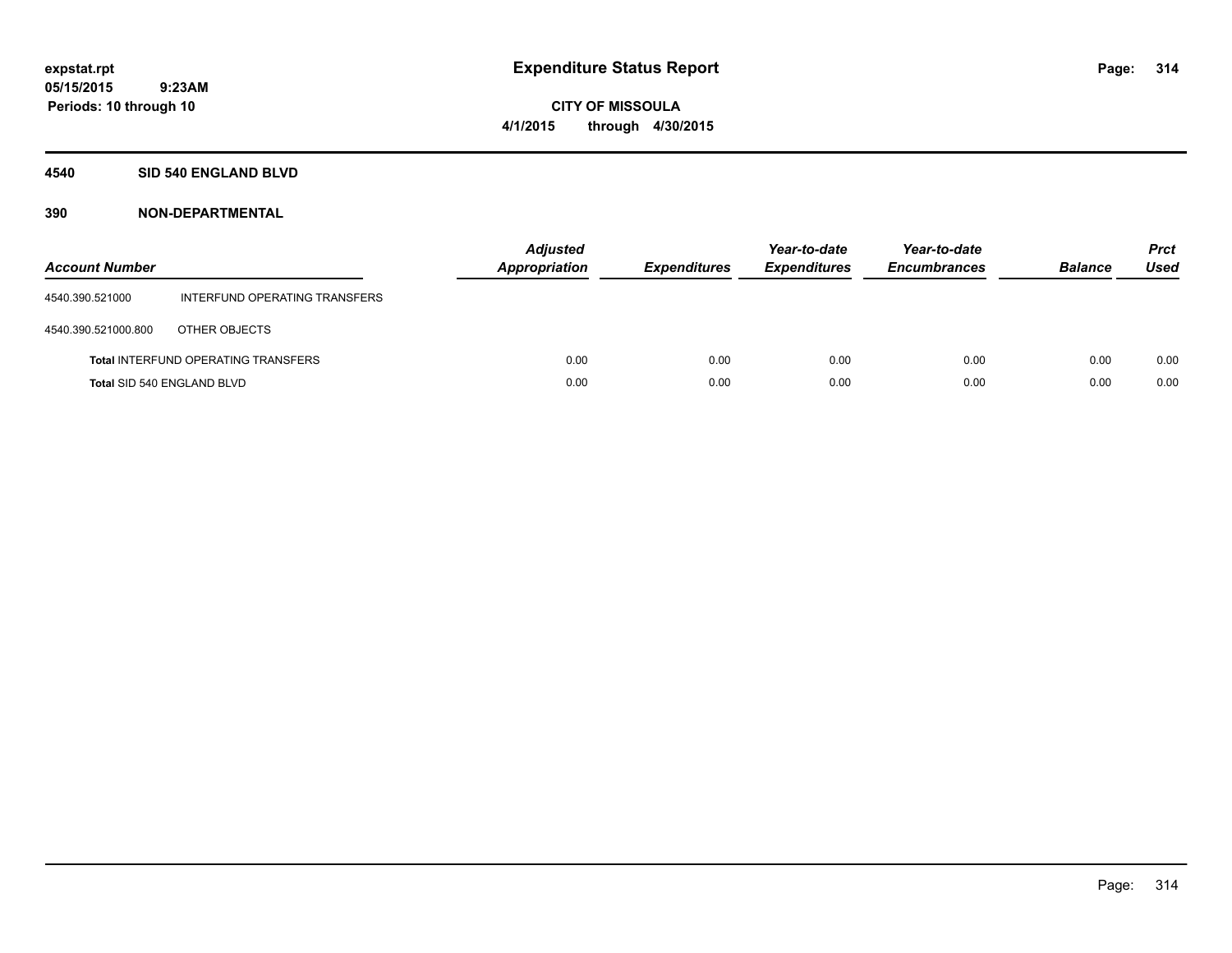**Periods: 10 through 10**

**CITY OF MISSOULA 4/1/2015 through 4/30/2015**

### **4540 SID 540 ENGLAND BLVD**

 **9:23AM**

| <b>Account Number</b>      |                                            | <b>Adjusted</b><br><b>Appropriation</b> | <b>Expenditures</b> | Year-to-date<br><b>Expenditures</b> | Year-to-date<br><b>Encumbrances</b> | <b>Balance</b> | <b>Prct</b><br>Used |
|----------------------------|--------------------------------------------|-----------------------------------------|---------------------|-------------------------------------|-------------------------------------|----------------|---------------------|
| 4540.390.521000            | INTERFUND OPERATING TRANSFERS              |                                         |                     |                                     |                                     |                |                     |
| 4540.390.521000.800        | OTHER OBJECTS                              |                                         |                     |                                     |                                     |                |                     |
|                            | <b>Total INTERFUND OPERATING TRANSFERS</b> | 0.00                                    | 0.00                | 0.00                                | 0.00                                | 0.00           | 0.00                |
| Total SID 540 ENGLAND BLVD |                                            | 0.00                                    | 0.00                | 0.00                                | 0.00                                | 0.00           | 0.00                |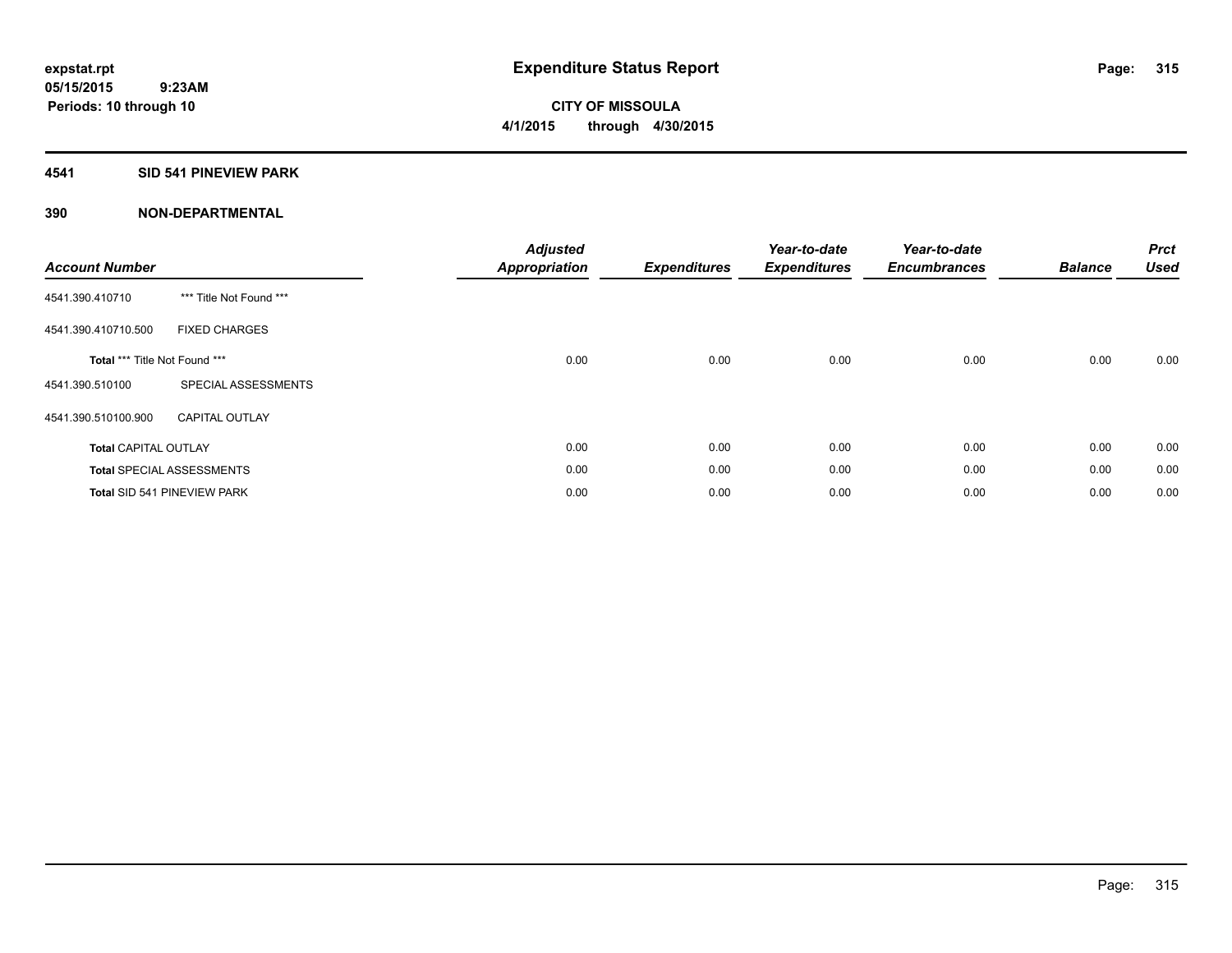## **4541 SID 541 PINEVIEW PARK**

| <b>Account Number</b>         |                                  | <b>Adjusted</b><br><b>Appropriation</b> | <b>Expenditures</b> | Year-to-date<br><b>Expenditures</b> | Year-to-date<br><b>Encumbrances</b> | <b>Balance</b> | <b>Prct</b><br><b>Used</b> |
|-------------------------------|----------------------------------|-----------------------------------------|---------------------|-------------------------------------|-------------------------------------|----------------|----------------------------|
| 4541.390.410710               | *** Title Not Found ***          |                                         |                     |                                     |                                     |                |                            |
| 4541.390.410710.500           | <b>FIXED CHARGES</b>             |                                         |                     |                                     |                                     |                |                            |
| Total *** Title Not Found *** |                                  | 0.00                                    | 0.00                | 0.00                                | 0.00                                | 0.00           | 0.00                       |
| 4541.390.510100               | SPECIAL ASSESSMENTS              |                                         |                     |                                     |                                     |                |                            |
| 4541.390.510100.900           | <b>CAPITAL OUTLAY</b>            |                                         |                     |                                     |                                     |                |                            |
| <b>Total CAPITAL OUTLAY</b>   |                                  | 0.00                                    | 0.00                | 0.00                                | 0.00                                | 0.00           | 0.00                       |
|                               | <b>Total SPECIAL ASSESSMENTS</b> | 0.00                                    | 0.00                | 0.00                                | 0.00                                | 0.00           | 0.00                       |
|                               | Total SID 541 PINEVIEW PARK      | 0.00                                    | 0.00                | 0.00                                | 0.00                                | 0.00           | 0.00                       |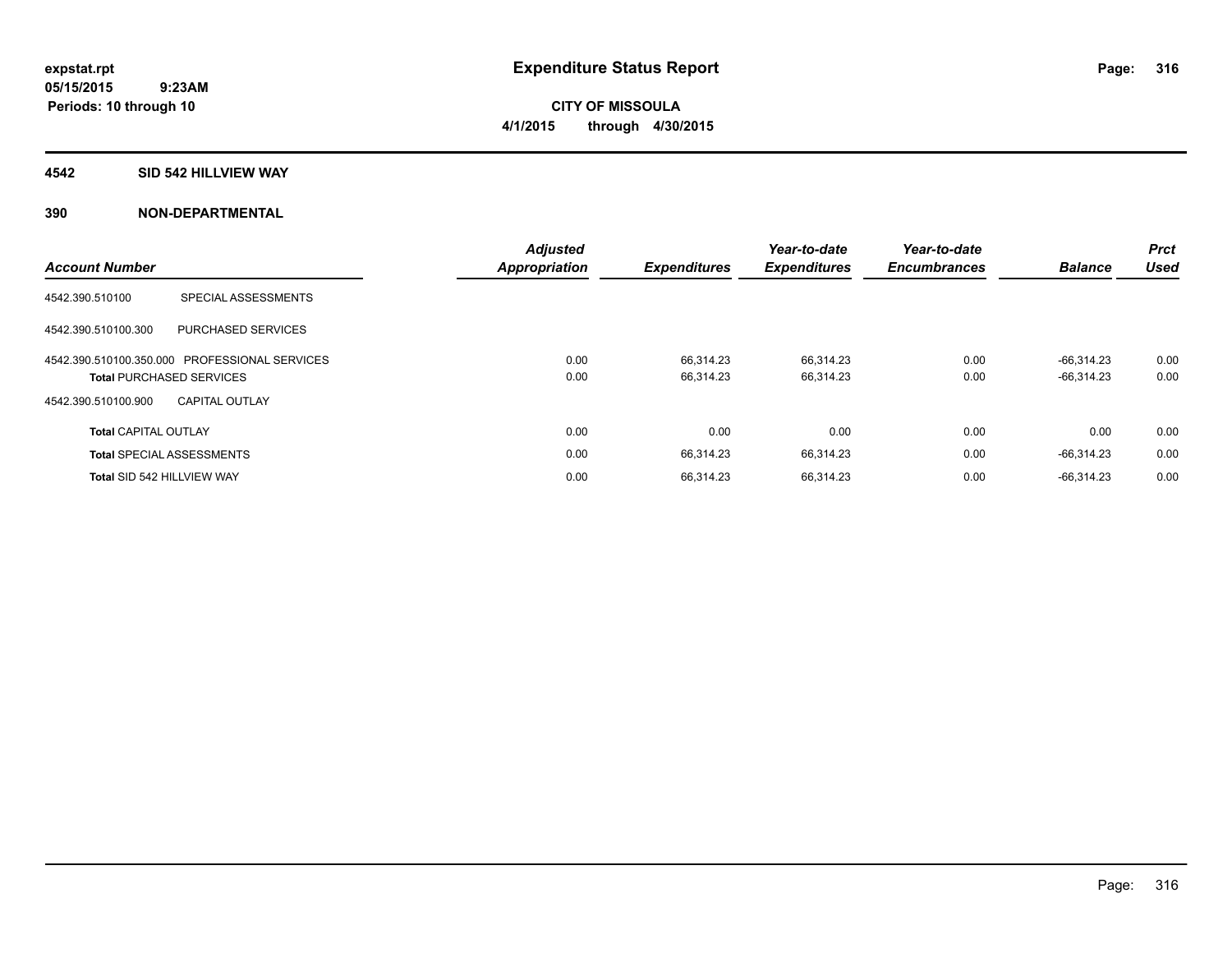## **4542 SID 542 HILLVIEW WAY**

|                             |                                               | <b>Adjusted</b>      |                     | Year-to-date        | Year-to-date        |                | <b>Prct</b> |
|-----------------------------|-----------------------------------------------|----------------------|---------------------|---------------------|---------------------|----------------|-------------|
| <b>Account Number</b>       |                                               | <b>Appropriation</b> | <b>Expenditures</b> | <b>Expenditures</b> | <b>Encumbrances</b> | <b>Balance</b> | <b>Used</b> |
| 4542.390.510100             | SPECIAL ASSESSMENTS                           |                      |                     |                     |                     |                |             |
| 4542.390.510100.300         | PURCHASED SERVICES                            |                      |                     |                     |                     |                |             |
|                             | 4542.390.510100.350.000 PROFESSIONAL SERVICES | 0.00                 | 66.314.23           | 66.314.23           | 0.00                | $-66.314.23$   | 0.00        |
|                             | <b>Total PURCHASED SERVICES</b>               | 0.00                 | 66.314.23           | 66,314.23           | 0.00                | $-66,314.23$   | 0.00        |
| 4542.390.510100.900         | CAPITAL OUTLAY                                |                      |                     |                     |                     |                |             |
| <b>Total CAPITAL OUTLAY</b> |                                               | 0.00                 | 0.00                | 0.00                | 0.00                | 0.00           | 0.00        |
|                             | <b>Total SPECIAL ASSESSMENTS</b>              | 0.00                 | 66,314.23           | 66,314.23           | 0.00                | $-66,314.23$   | 0.00        |
| Total SID 542 HILLVIEW WAY  |                                               | 0.00                 | 66.314.23           | 66,314.23           | 0.00                | $-66.314.23$   | 0.00        |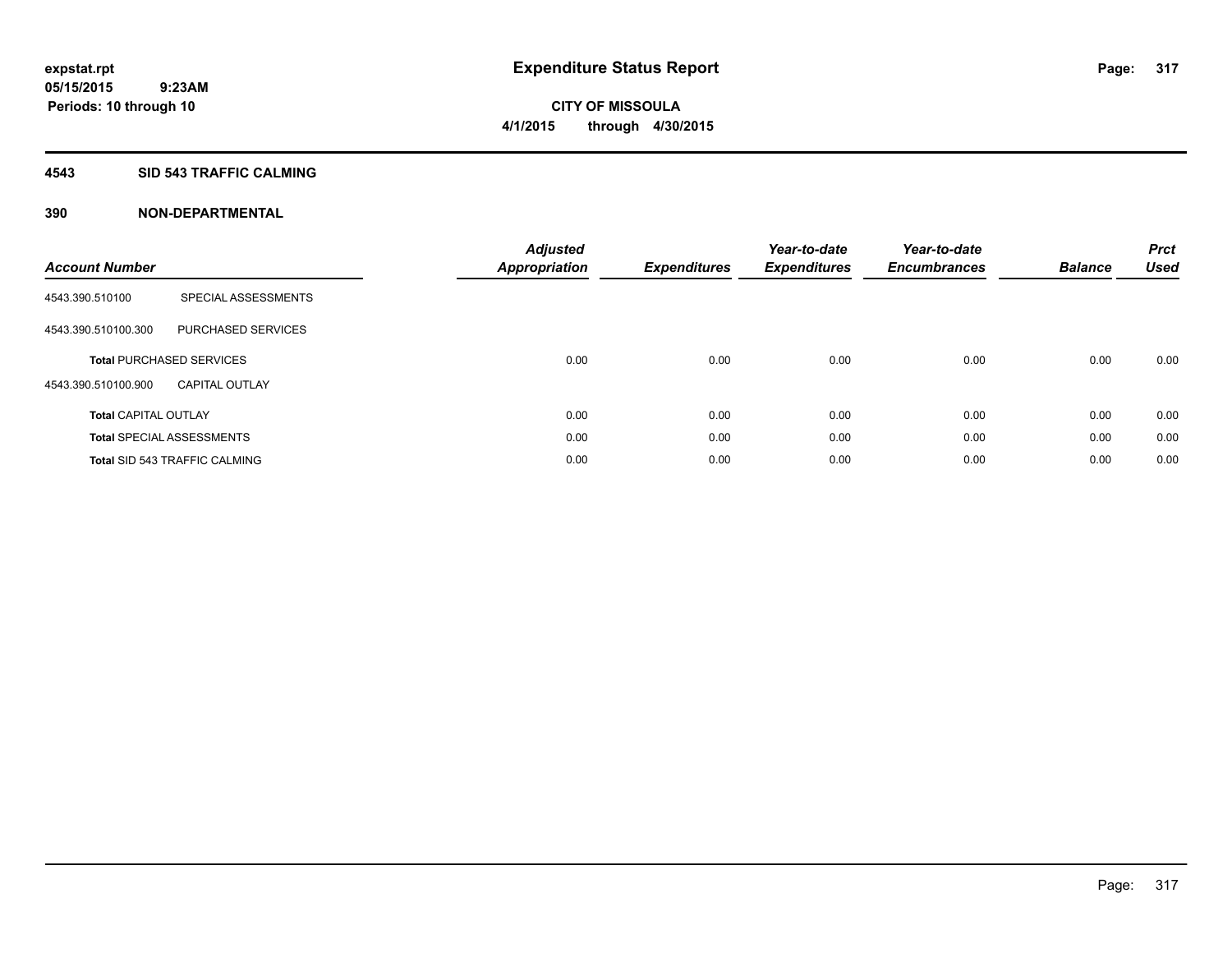## **4543 SID 543 TRAFFIC CALMING**

| <b>Account Number</b>       |                                      | <b>Adjusted</b><br>Appropriation | <b>Expenditures</b> | Year-to-date<br><b>Expenditures</b> | Year-to-date<br><b>Encumbrances</b> | <b>Balance</b> | <b>Prct</b><br><b>Used</b> |
|-----------------------------|--------------------------------------|----------------------------------|---------------------|-------------------------------------|-------------------------------------|----------------|----------------------------|
| 4543.390.510100             | SPECIAL ASSESSMENTS                  |                                  |                     |                                     |                                     |                |                            |
| 4543.390.510100.300         | PURCHASED SERVICES                   |                                  |                     |                                     |                                     |                |                            |
|                             | <b>Total PURCHASED SERVICES</b>      | 0.00                             | 0.00                | 0.00                                | 0.00                                | 0.00           | 0.00                       |
| 4543.390.510100.900         | <b>CAPITAL OUTLAY</b>                |                                  |                     |                                     |                                     |                |                            |
| <b>Total CAPITAL OUTLAY</b> |                                      | 0.00                             | 0.00                | 0.00                                | 0.00                                | 0.00           | 0.00                       |
|                             | <b>Total SPECIAL ASSESSMENTS</b>     | 0.00                             | 0.00                | 0.00                                | 0.00                                | 0.00           | 0.00                       |
|                             | <b>Total SID 543 TRAFFIC CALMING</b> | 0.00                             | 0.00                | 0.00                                | 0.00                                | 0.00           | 0.00                       |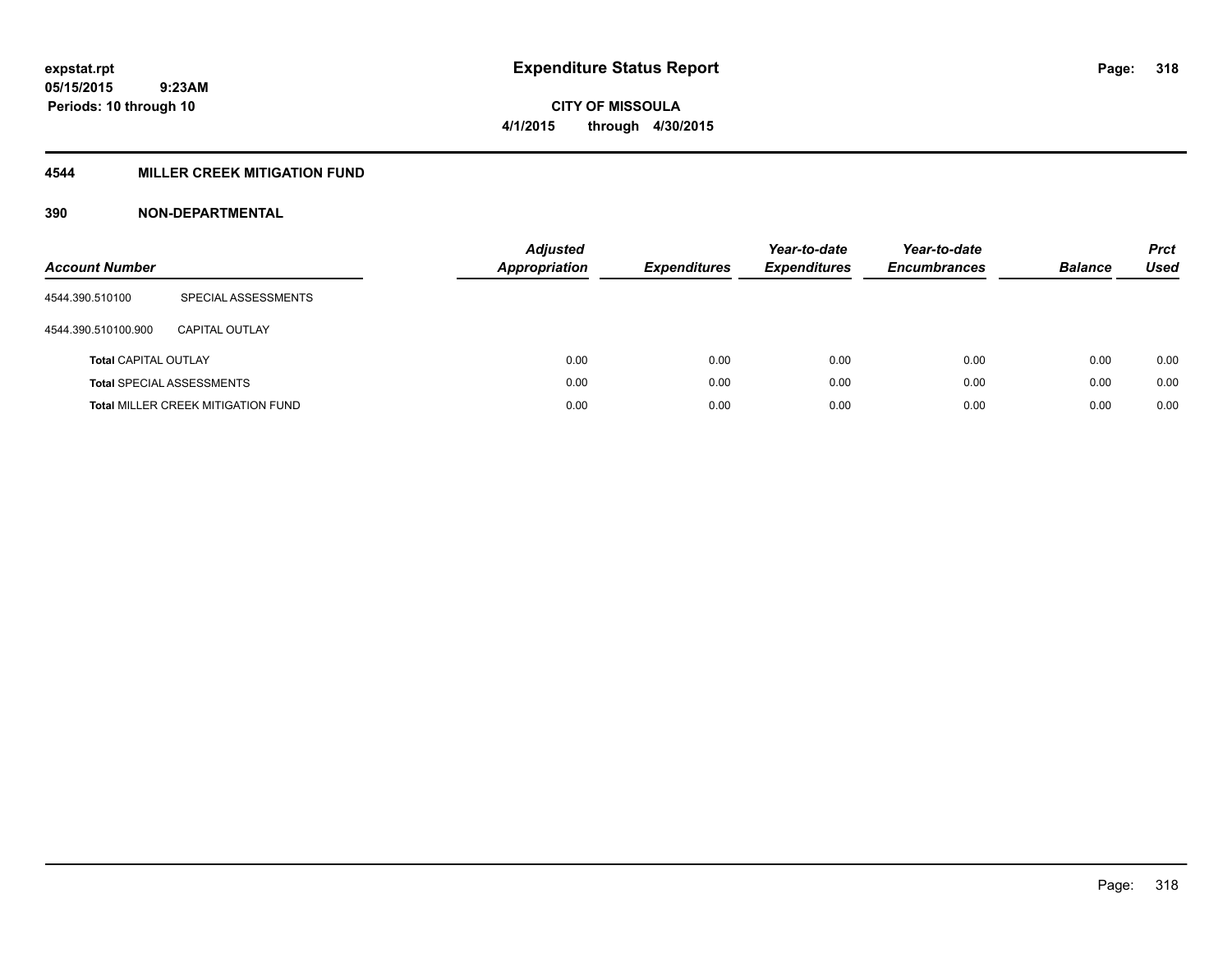# **4544 MILLER CREEK MITIGATION FUND**

| <b>Account Number</b>       |                                           | <b>Adjusted</b><br>Appropriation | <b>Expenditures</b> | Year-to-date<br><b>Expenditures</b> | Year-to-date<br><b>Encumbrances</b> | <b>Balance</b> | <b>Prct</b><br>Used |
|-----------------------------|-------------------------------------------|----------------------------------|---------------------|-------------------------------------|-------------------------------------|----------------|---------------------|
| 4544.390.510100             | SPECIAL ASSESSMENTS                       |                                  |                     |                                     |                                     |                |                     |
| 4544.390.510100.900         | CAPITAL OUTLAY                            |                                  |                     |                                     |                                     |                |                     |
| <b>Total CAPITAL OUTLAY</b> |                                           | 0.00                             | 0.00                | 0.00                                | 0.00                                | 0.00           | 0.00                |
|                             | <b>Total SPECIAL ASSESSMENTS</b>          | 0.00                             | 0.00                | 0.00                                | 0.00                                | 0.00           | 0.00                |
|                             | <b>Total MILLER CREEK MITIGATION FUND</b> | 0.00                             | 0.00                | 0.00                                | 0.00                                | 0.00           | 0.00                |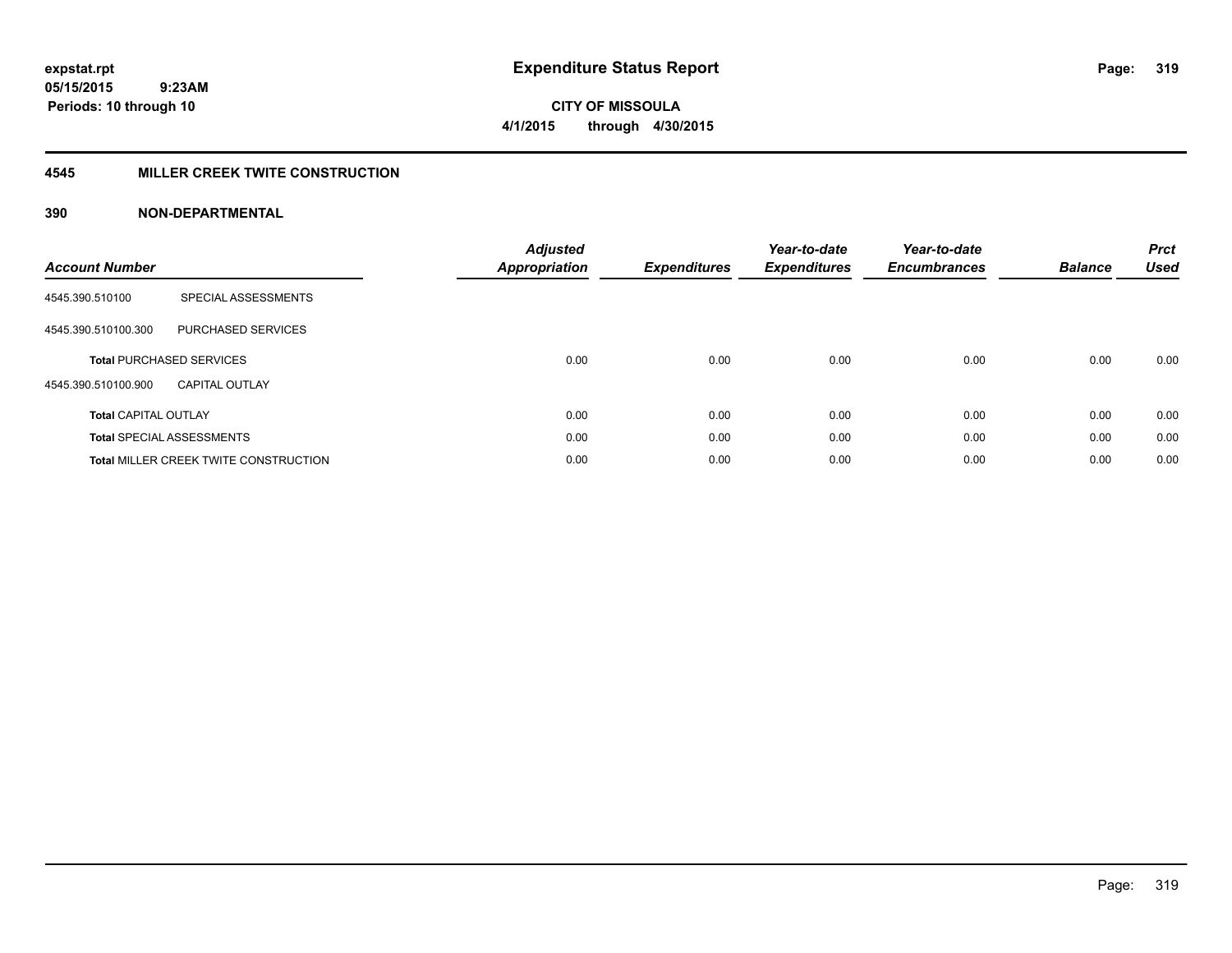**CITY OF MISSOULA 4/1/2015 through 4/30/2015**

## **4545 MILLER CREEK TWITE CONSTRUCTION**

| <b>Account Number</b>       |                                              | <b>Adjusted</b><br>Appropriation | <b>Expenditures</b> | Year-to-date<br><b>Expenditures</b> | Year-to-date<br><b>Encumbrances</b> | <b>Balance</b> | <b>Prct</b><br><b>Used</b> |
|-----------------------------|----------------------------------------------|----------------------------------|---------------------|-------------------------------------|-------------------------------------|----------------|----------------------------|
| 4545.390.510100             | SPECIAL ASSESSMENTS                          |                                  |                     |                                     |                                     |                |                            |
| 4545.390.510100.300         | <b>PURCHASED SERVICES</b>                    |                                  |                     |                                     |                                     |                |                            |
|                             | <b>Total PURCHASED SERVICES</b>              | 0.00                             | 0.00                | 0.00                                | 0.00                                | 0.00           | 0.00                       |
| 4545.390.510100.900         | <b>CAPITAL OUTLAY</b>                        |                                  |                     |                                     |                                     |                |                            |
| <b>Total CAPITAL OUTLAY</b> |                                              | 0.00                             | 0.00                | 0.00                                | 0.00                                | 0.00           | 0.00                       |
|                             | <b>Total SPECIAL ASSESSMENTS</b>             | 0.00                             | 0.00                | 0.00                                | 0.00                                | 0.00           | 0.00                       |
|                             | <b>Total MILLER CREEK TWITE CONSTRUCTION</b> | 0.00                             | 0.00                | 0.00                                | 0.00                                | 0.00           | 0.00                       |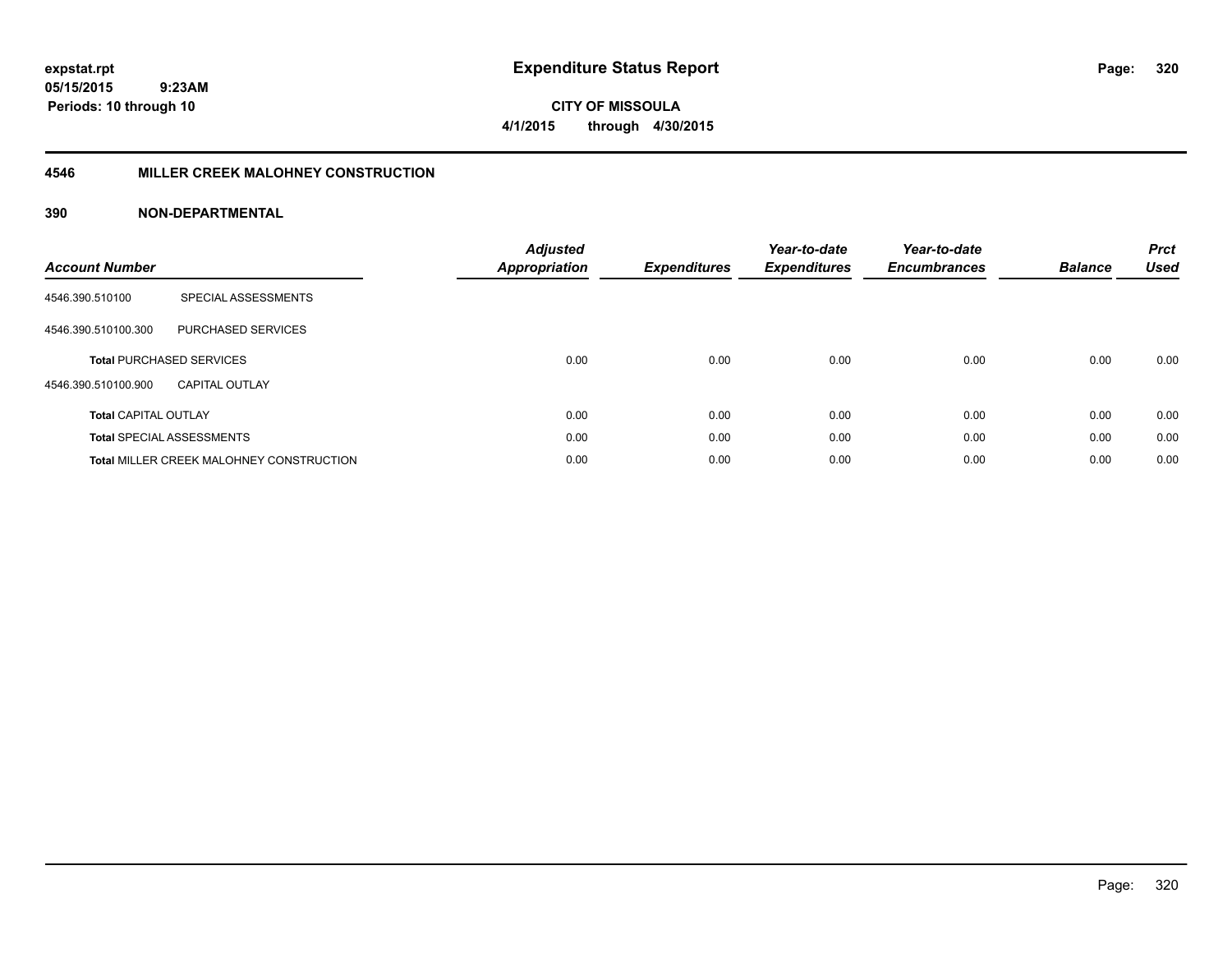**CITY OF MISSOULA 4/1/2015 through 4/30/2015**

## **4546 MILLER CREEK MALOHNEY CONSTRUCTION**

| <b>Account Number</b>       |                                                 | <b>Adjusted</b><br><b>Appropriation</b> | <b>Expenditures</b> | Year-to-date<br><b>Expenditures</b> | Year-to-date<br><b>Encumbrances</b> | <b>Balance</b> | <b>Prct</b><br><b>Used</b> |
|-----------------------------|-------------------------------------------------|-----------------------------------------|---------------------|-------------------------------------|-------------------------------------|----------------|----------------------------|
| 4546.390.510100             | SPECIAL ASSESSMENTS                             |                                         |                     |                                     |                                     |                |                            |
| 4546.390.510100.300         | PURCHASED SERVICES                              |                                         |                     |                                     |                                     |                |                            |
|                             | <b>Total PURCHASED SERVICES</b>                 | 0.00                                    | 0.00                | 0.00                                | 0.00                                | 0.00           | 0.00                       |
| 4546.390.510100.900         | CAPITAL OUTLAY                                  |                                         |                     |                                     |                                     |                |                            |
| <b>Total CAPITAL OUTLAY</b> |                                                 | 0.00                                    | 0.00                | 0.00                                | 0.00                                | 0.00           | 0.00                       |
|                             | <b>Total SPECIAL ASSESSMENTS</b>                | 0.00                                    | 0.00                | 0.00                                | 0.00                                | 0.00           | 0.00                       |
|                             | <b>Total MILLER CREEK MALOHNEY CONSTRUCTION</b> | 0.00                                    | 0.00                | 0.00                                | 0.00                                | 0.00           | 0.00                       |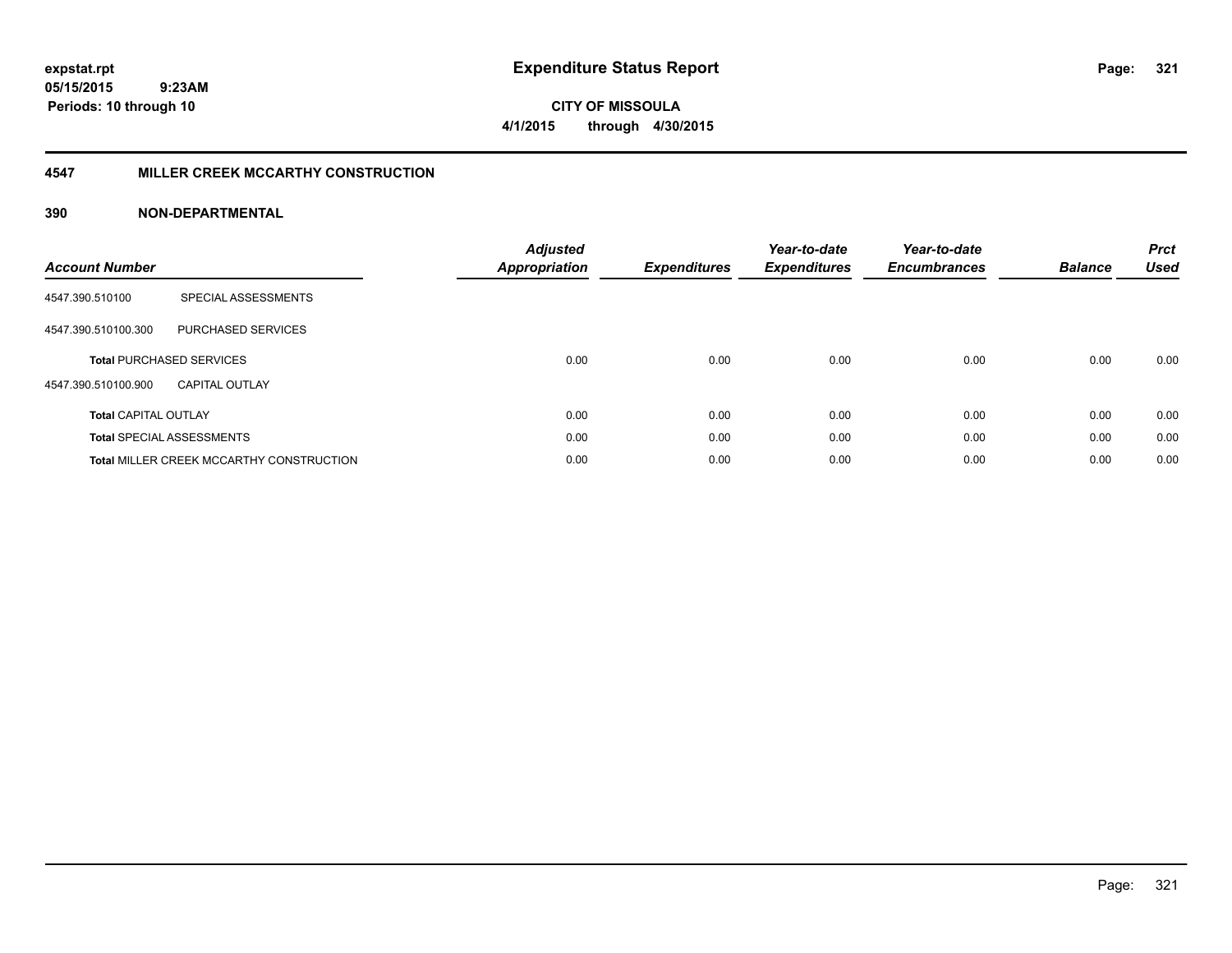**CITY OF MISSOULA 4/1/2015 through 4/30/2015**

## **4547 MILLER CREEK MCCARTHY CONSTRUCTION**

| <b>Account Number</b>       |                                                 | <b>Adjusted</b><br><b>Appropriation</b> | <b>Expenditures</b> | Year-to-date<br><b>Expenditures</b> | Year-to-date<br><b>Encumbrances</b> | <b>Balance</b> | <b>Prct</b><br><b>Used</b> |
|-----------------------------|-------------------------------------------------|-----------------------------------------|---------------------|-------------------------------------|-------------------------------------|----------------|----------------------------|
| 4547.390.510100             | SPECIAL ASSESSMENTS                             |                                         |                     |                                     |                                     |                |                            |
| 4547.390.510100.300         | <b>PURCHASED SERVICES</b>                       |                                         |                     |                                     |                                     |                |                            |
|                             | <b>Total PURCHASED SERVICES</b>                 | 0.00                                    | 0.00                | 0.00                                | 0.00                                | 0.00           | 0.00                       |
| 4547.390.510100.900         | <b>CAPITAL OUTLAY</b>                           |                                         |                     |                                     |                                     |                |                            |
| <b>Total CAPITAL OUTLAY</b> |                                                 | 0.00                                    | 0.00                | 0.00                                | 0.00                                | 0.00           | 0.00                       |
|                             | <b>Total SPECIAL ASSESSMENTS</b>                | 0.00                                    | 0.00                | 0.00                                | 0.00                                | 0.00           | 0.00                       |
|                             | <b>Total MILLER CREEK MCCARTHY CONSTRUCTION</b> | 0.00                                    | 0.00                | 0.00                                | 0.00                                | 0.00           | 0.00                       |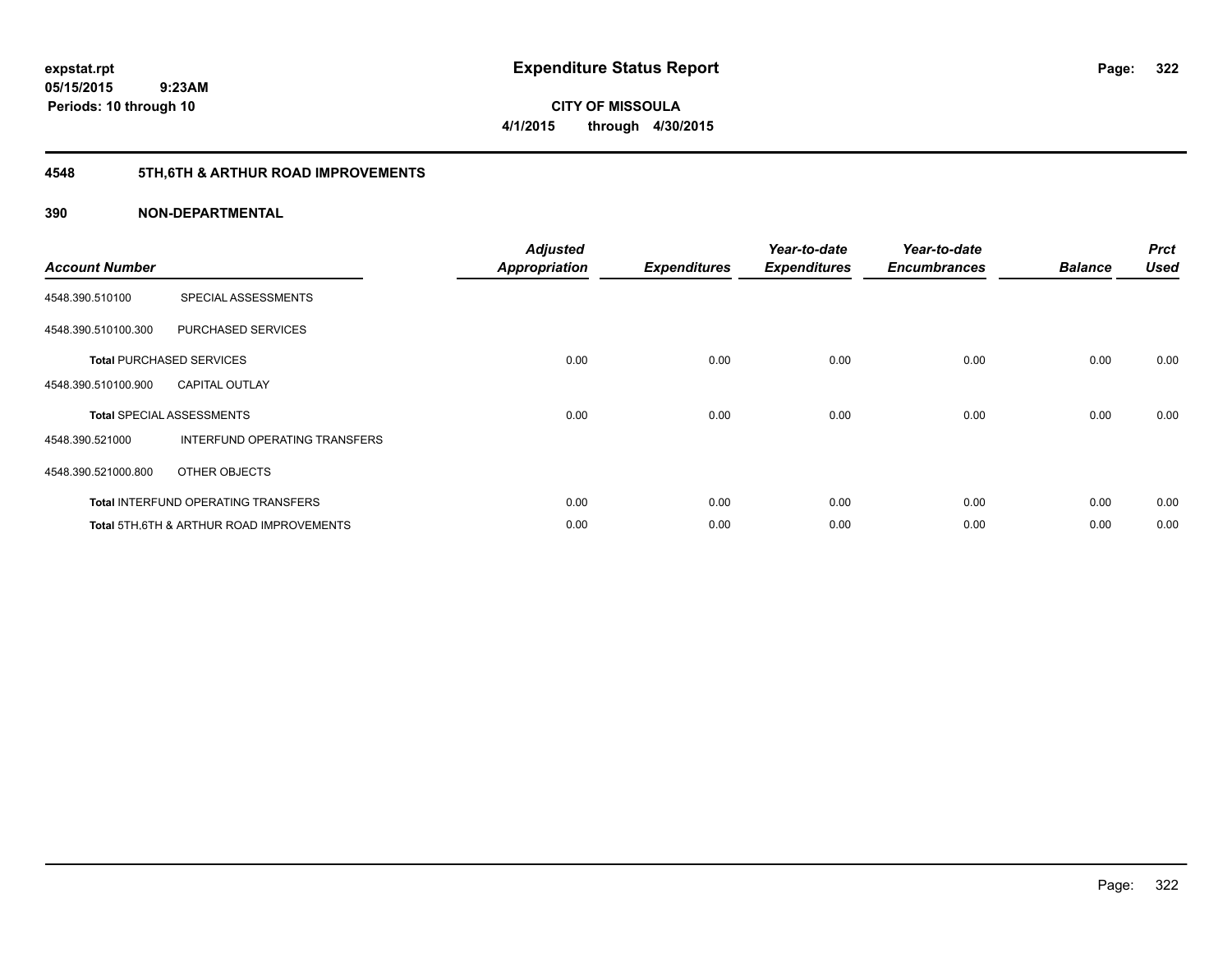**05/15/2015 9:23AM Periods: 10 through 10**

**CITY OF MISSOULA 4/1/2015 through 4/30/2015**

# **4548 5TH,6TH & ARTHUR ROAD IMPROVEMENTS**

| <b>Account Number</b> |                                                     | <b>Adjusted</b><br>Appropriation | <b>Expenditures</b> | Year-to-date<br><b>Expenditures</b> | Year-to-date<br><b>Encumbrances</b> | <b>Balance</b> | <b>Prct</b><br><b>Used</b> |
|-----------------------|-----------------------------------------------------|----------------------------------|---------------------|-------------------------------------|-------------------------------------|----------------|----------------------------|
| 4548.390.510100       | SPECIAL ASSESSMENTS                                 |                                  |                     |                                     |                                     |                |                            |
| 4548.390.510100.300   | <b>PURCHASED SERVICES</b>                           |                                  |                     |                                     |                                     |                |                            |
|                       | <b>Total PURCHASED SERVICES</b>                     | 0.00                             | 0.00                | 0.00                                | 0.00                                | 0.00           | 0.00                       |
| 4548.390.510100.900   | <b>CAPITAL OUTLAY</b>                               |                                  |                     |                                     |                                     |                |                            |
|                       | <b>Total SPECIAL ASSESSMENTS</b>                    | 0.00                             | 0.00                | 0.00                                | 0.00                                | 0.00           | 0.00                       |
| 4548.390.521000       | INTERFUND OPERATING TRANSFERS                       |                                  |                     |                                     |                                     |                |                            |
| 4548.390.521000.800   | OTHER OBJECTS                                       |                                  |                     |                                     |                                     |                |                            |
|                       | <b>Total INTERFUND OPERATING TRANSFERS</b>          | 0.00                             | 0.00                | 0.00                                | 0.00                                | 0.00           | 0.00                       |
|                       | <b>Total 5TH.6TH &amp; ARTHUR ROAD IMPROVEMENTS</b> | 0.00                             | 0.00                | 0.00                                | 0.00                                | 0.00           | 0.00                       |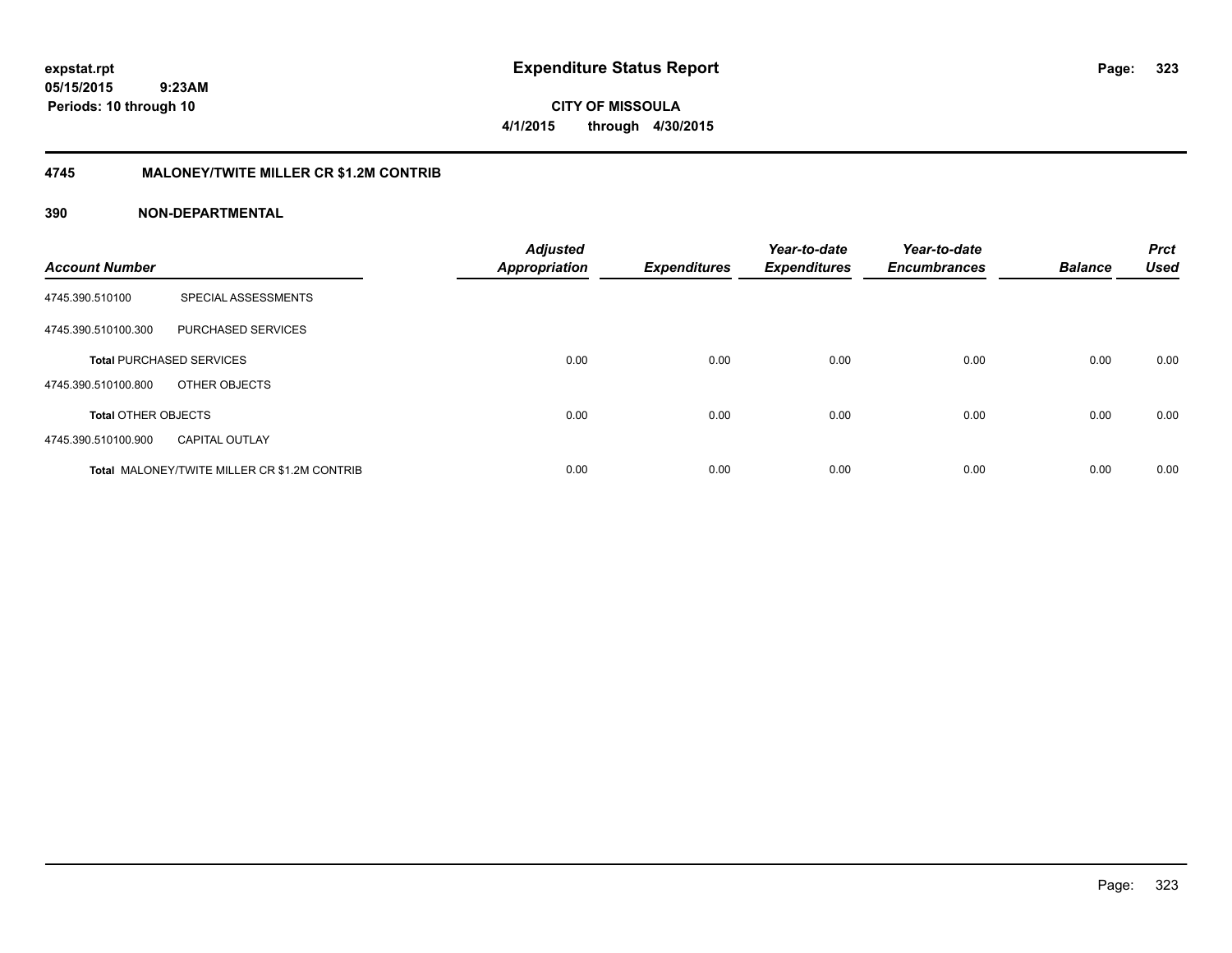**expstat.rpt Expenditure Status Report Page:**

**05/15/2015 9:23AM Periods: 10 through 10**

**CITY OF MISSOULA 4/1/2015 through 4/30/2015**

## **4745 MALONEY/TWITE MILLER CR \$1.2M CONTRIB**

| <b>Account Number</b>      |                                                     | <b>Adjusted</b><br><b>Appropriation</b> | <b>Expenditures</b> | Year-to-date<br><b>Expenditures</b> | Year-to-date<br><b>Encumbrances</b> | <b>Balance</b> | <b>Prct</b><br><b>Used</b> |
|----------------------------|-----------------------------------------------------|-----------------------------------------|---------------------|-------------------------------------|-------------------------------------|----------------|----------------------------|
| 4745.390.510100            | SPECIAL ASSESSMENTS                                 |                                         |                     |                                     |                                     |                |                            |
| 4745.390.510100.300        | PURCHASED SERVICES                                  |                                         |                     |                                     |                                     |                |                            |
|                            | <b>Total PURCHASED SERVICES</b>                     | 0.00                                    | 0.00                | 0.00                                | 0.00                                | 0.00           | 0.00                       |
| 4745.390.510100.800        | OTHER OBJECTS                                       |                                         |                     |                                     |                                     |                |                            |
| <b>Total OTHER OBJECTS</b> |                                                     | 0.00                                    | 0.00                | 0.00                                | 0.00                                | 0.00           | 0.00                       |
| 4745.390.510100.900        | <b>CAPITAL OUTLAY</b>                               |                                         |                     |                                     |                                     |                |                            |
|                            | <b>Total MALONEY/TWITE MILLER CR \$1.2M CONTRIB</b> | 0.00                                    | 0.00                | 0.00                                | 0.00                                | 0.00           | 0.00                       |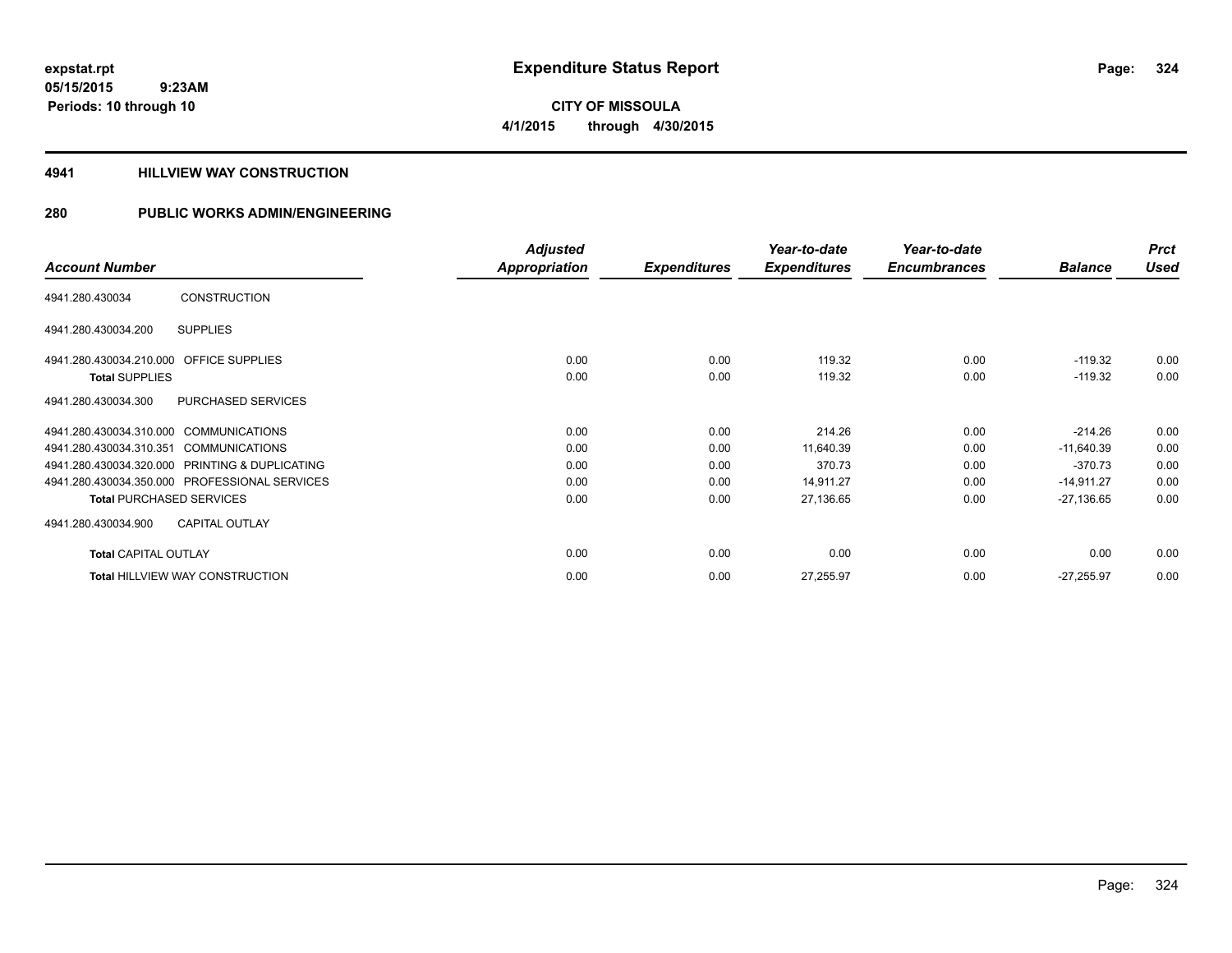**CITY OF MISSOULA 4/1/2015 through 4/30/2015**

## **4941 HILLVIEW WAY CONSTRUCTION**

|                                         |                                                | <b>Adjusted</b> |                     | Year-to-date        | Year-to-date        |                | <b>Prct</b> |
|-----------------------------------------|------------------------------------------------|-----------------|---------------------|---------------------|---------------------|----------------|-------------|
| <b>Account Number</b>                   |                                                | Appropriation   | <b>Expenditures</b> | <b>Expenditures</b> | <b>Encumbrances</b> | <b>Balance</b> | <b>Used</b> |
| 4941.280.430034                         | <b>CONSTRUCTION</b>                            |                 |                     |                     |                     |                |             |
| 4941.280.430034.200                     | <b>SUPPLIES</b>                                |                 |                     |                     |                     |                |             |
| 4941.280.430034.210.000 OFFICE SUPPLIES |                                                | 0.00            | 0.00                | 119.32              | 0.00                | $-119.32$      | 0.00        |
| <b>Total SUPPLIES</b>                   |                                                | 0.00            | 0.00                | 119.32              | 0.00                | $-119.32$      | 0.00        |
| 4941.280.430034.300                     | PURCHASED SERVICES                             |                 |                     |                     |                     |                |             |
| 4941.280.430034.310.000 COMMUNICATIONS  |                                                | 0.00            | 0.00                | 214.26              | 0.00                | $-214.26$      | 0.00        |
| 4941.280.430034.310.351                 | <b>COMMUNICATIONS</b>                          | 0.00            | 0.00                | 11,640.39           | 0.00                | $-11,640.39$   | 0.00        |
|                                         | 4941.280.430034.320.000 PRINTING & DUPLICATING | 0.00            | 0.00                | 370.73              | 0.00                | $-370.73$      | 0.00        |
|                                         | 4941.280.430034.350.000 PROFESSIONAL SERVICES  | 0.00            | 0.00                | 14,911.27           | 0.00                | $-14,911.27$   | 0.00        |
| <b>Total PURCHASED SERVICES</b>         |                                                | 0.00            | 0.00                | 27,136.65           | 0.00                | $-27,136.65$   | 0.00        |
| 4941.280.430034.900                     | <b>CAPITAL OUTLAY</b>                          |                 |                     |                     |                     |                |             |
| <b>Total CAPITAL OUTLAY</b>             |                                                | 0.00            | 0.00                | 0.00                | 0.00                | 0.00           | 0.00        |
|                                         | Total HILLVIEW WAY CONSTRUCTION                | 0.00            | 0.00                | 27,255.97           | 0.00                | $-27,255.97$   | 0.00        |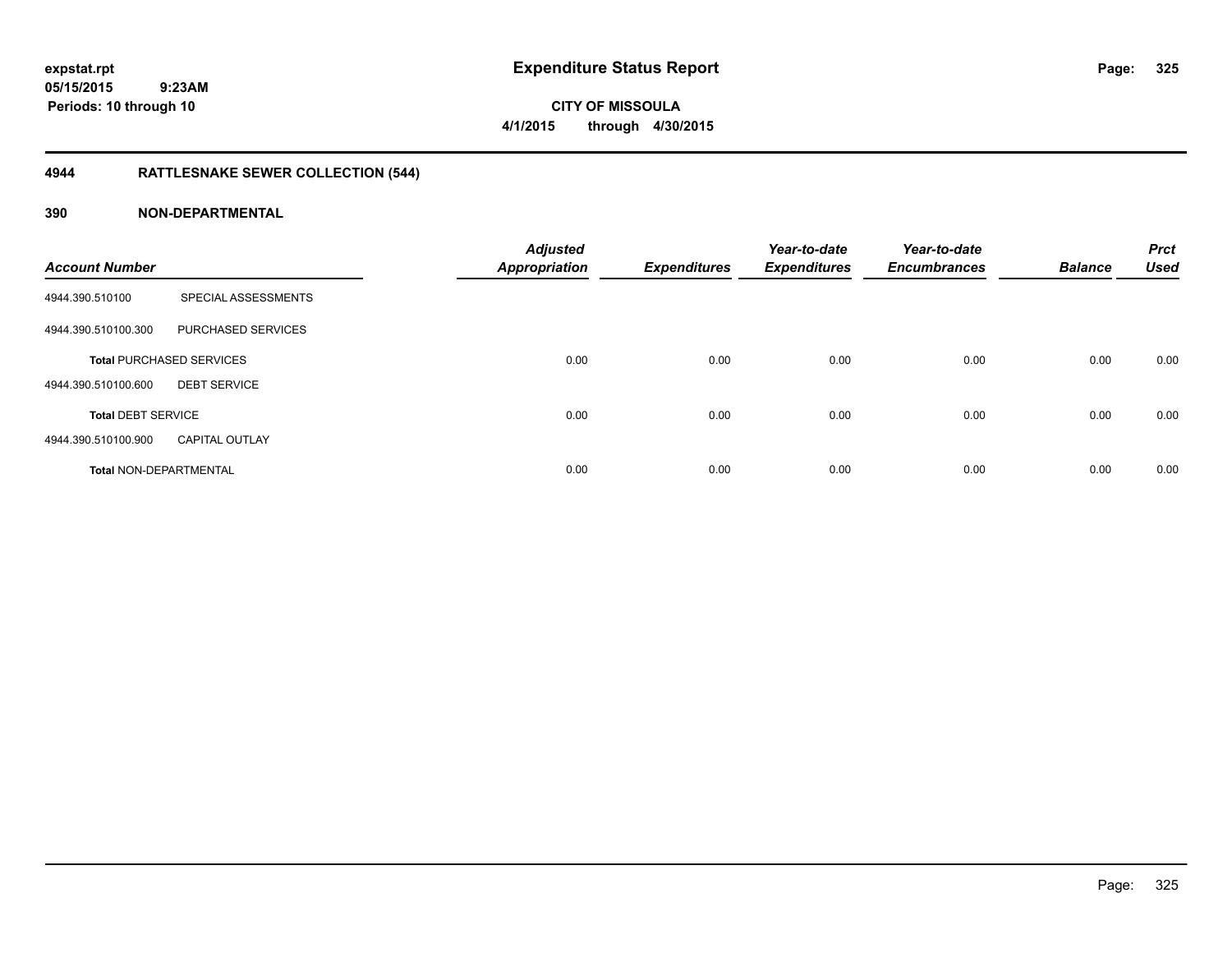**CITY OF MISSOULA 4/1/2015 through 4/30/2015**

# **4944 RATTLESNAKE SEWER COLLECTION (544)**

### **390 NON-DEPARTMENTAL**

| <b>Account Number</b>         |                                 | <b>Adjusted</b><br>Appropriation | <b>Expenditures</b> | Year-to-date<br><b>Expenditures</b> | Year-to-date<br><b>Encumbrances</b> | <b>Balance</b> | <b>Prct</b><br><b>Used</b> |
|-------------------------------|---------------------------------|----------------------------------|---------------------|-------------------------------------|-------------------------------------|----------------|----------------------------|
| 4944.390.510100               | SPECIAL ASSESSMENTS             |                                  |                     |                                     |                                     |                |                            |
| 4944.390.510100.300           | PURCHASED SERVICES              |                                  |                     |                                     |                                     |                |                            |
|                               | <b>Total PURCHASED SERVICES</b> | 0.00                             | 0.00                | 0.00                                | 0.00                                | 0.00           | 0.00                       |
| 4944.390.510100.600           | <b>DEBT SERVICE</b>             |                                  |                     |                                     |                                     |                |                            |
| <b>Total DEBT SERVICE</b>     |                                 | 0.00                             | 0.00                | 0.00                                | 0.00                                | 0.00           | 0.00                       |
| 4944.390.510100.900           | <b>CAPITAL OUTLAY</b>           |                                  |                     |                                     |                                     |                |                            |
| <b>Total NON-DEPARTMENTAL</b> |                                 | 0.00                             | 0.00                | 0.00                                | 0.00                                | 0.00           | 0.00                       |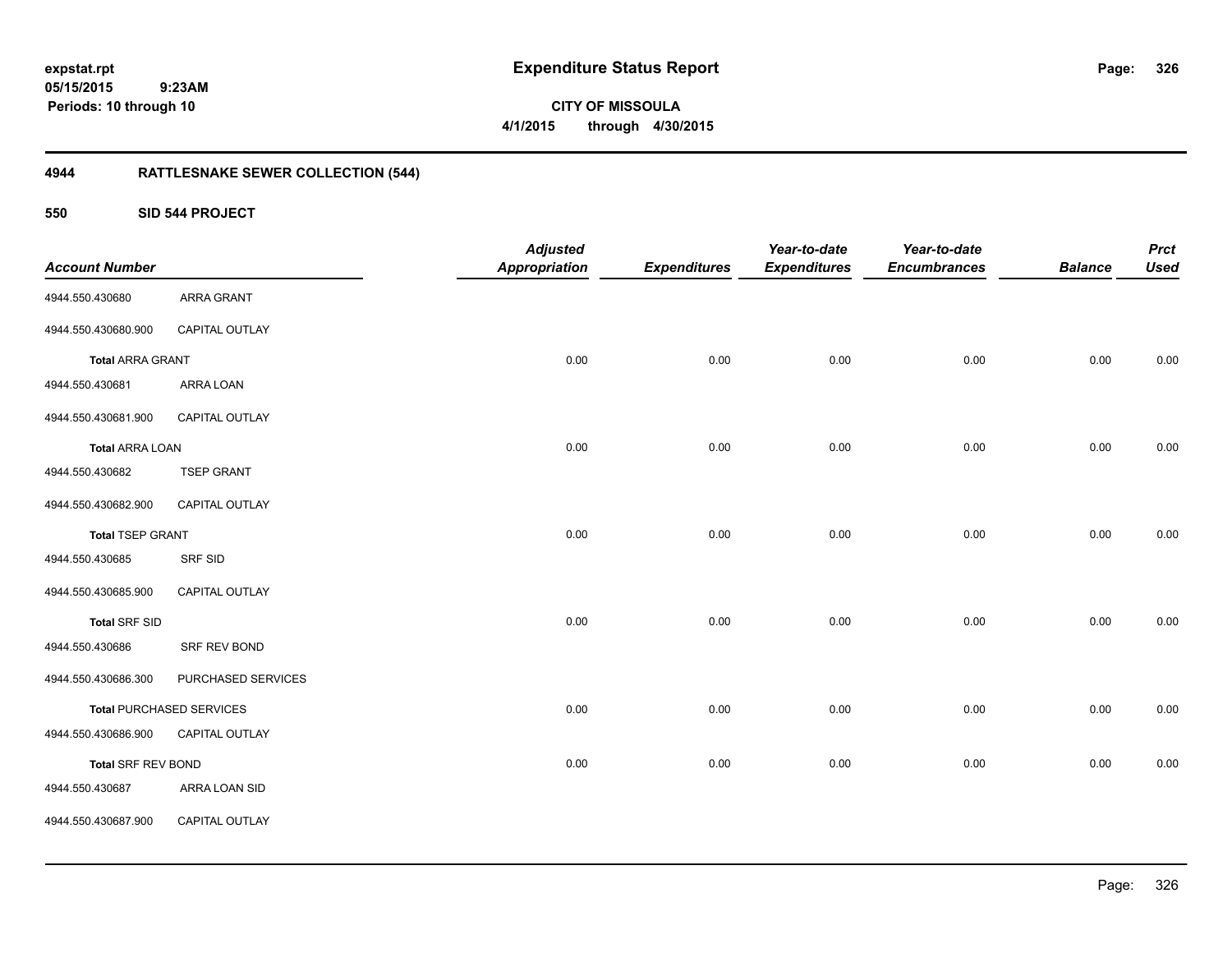**CITY OF MISSOULA 4/1/2015 through 4/30/2015**

# **4944 RATTLESNAKE SEWER COLLECTION (544)**

**550 SID 544 PROJECT**

| <b>Account Number</b>   |                                 | <b>Adjusted</b><br><b>Appropriation</b> | <b>Expenditures</b> | Year-to-date<br><b>Expenditures</b> | Year-to-date<br><b>Encumbrances</b> | <b>Balance</b> | <b>Prct</b><br><b>Used</b> |
|-------------------------|---------------------------------|-----------------------------------------|---------------------|-------------------------------------|-------------------------------------|----------------|----------------------------|
| 4944.550.430680         | ARRA GRANT                      |                                         |                     |                                     |                                     |                |                            |
| 4944.550.430680.900     | CAPITAL OUTLAY                  |                                         |                     |                                     |                                     |                |                            |
| <b>Total ARRA GRANT</b> |                                 | 0.00                                    | 0.00                | 0.00                                | 0.00                                | 0.00           | 0.00                       |
| 4944.550.430681         | ARRA LOAN                       |                                         |                     |                                     |                                     |                |                            |
| 4944.550.430681.900     | CAPITAL OUTLAY                  |                                         |                     |                                     |                                     |                |                            |
| <b>Total ARRA LOAN</b>  |                                 | 0.00                                    | 0.00                | 0.00                                | 0.00                                | 0.00           | 0.00                       |
| 4944.550.430682         | <b>TSEP GRANT</b>               |                                         |                     |                                     |                                     |                |                            |
| 4944.550.430682.900     | CAPITAL OUTLAY                  |                                         |                     |                                     |                                     |                |                            |
| <b>Total TSEP GRANT</b> |                                 | 0.00                                    | 0.00                | 0.00                                | 0.00                                | 0.00           | 0.00                       |
| 4944.550.430685         | SRF SID                         |                                         |                     |                                     |                                     |                |                            |
| 4944.550.430685.900     | CAPITAL OUTLAY                  |                                         |                     |                                     |                                     |                |                            |
| <b>Total SRF SID</b>    |                                 | 0.00                                    | 0.00                | 0.00                                | 0.00                                | 0.00           | 0.00                       |
| 4944.550.430686         | SRF REV BOND                    |                                         |                     |                                     |                                     |                |                            |
| 4944.550.430686.300     | PURCHASED SERVICES              |                                         |                     |                                     |                                     |                |                            |
|                         | <b>Total PURCHASED SERVICES</b> | 0.00                                    | 0.00                | 0.00                                | 0.00                                | 0.00           | 0.00                       |
| 4944.550.430686.900     | CAPITAL OUTLAY                  |                                         |                     |                                     |                                     |                |                            |
| Total SRF REV BOND      |                                 | 0.00                                    | 0.00                | 0.00                                | 0.00                                | 0.00           | 0.00                       |
| 4944.550.430687         | ARRA LOAN SID                   |                                         |                     |                                     |                                     |                |                            |
| 4944.550.430687.900     | CAPITAL OUTLAY                  |                                         |                     |                                     |                                     |                |                            |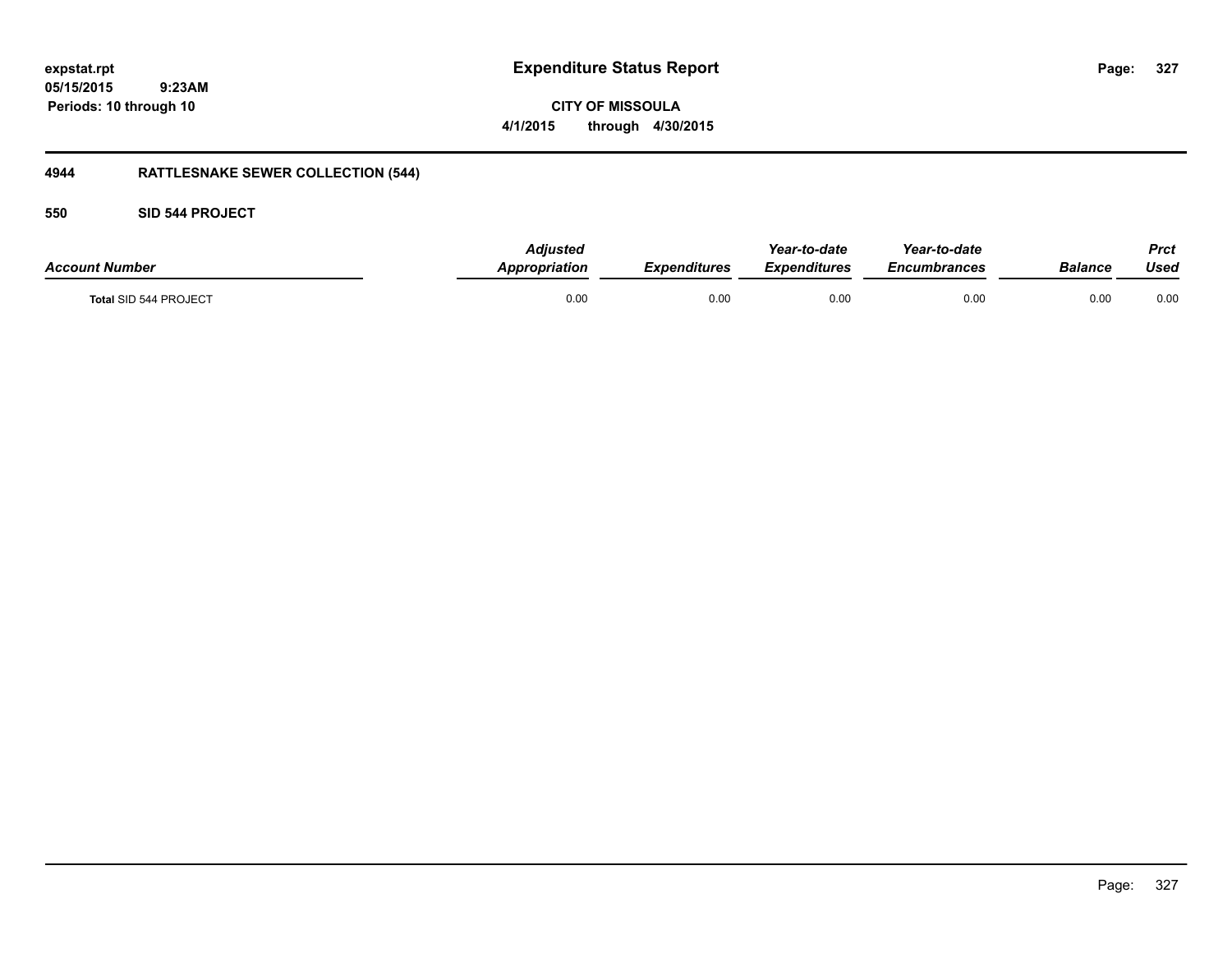**CITY OF MISSOULA 4/1/2015 through 4/30/2015**

# **4944 RATTLESNAKE SEWER COLLECTION (544)**

### **550 SID 544 PROJECT**

| <b>Account Number</b>        | Adiusted<br>Appropriation | Expenditures | Year-to-date<br><b>Expenditures</b> | Year-to-date<br>Encumbrances | <b>Balance</b> | Prct<br>Used |
|------------------------------|---------------------------|--------------|-------------------------------------|------------------------------|----------------|--------------|
| <b>Total SID 544 PROJECT</b> | 0.00                      | 0.00         | 0.00                                | 0.00                         | 0.00           | 0.00         |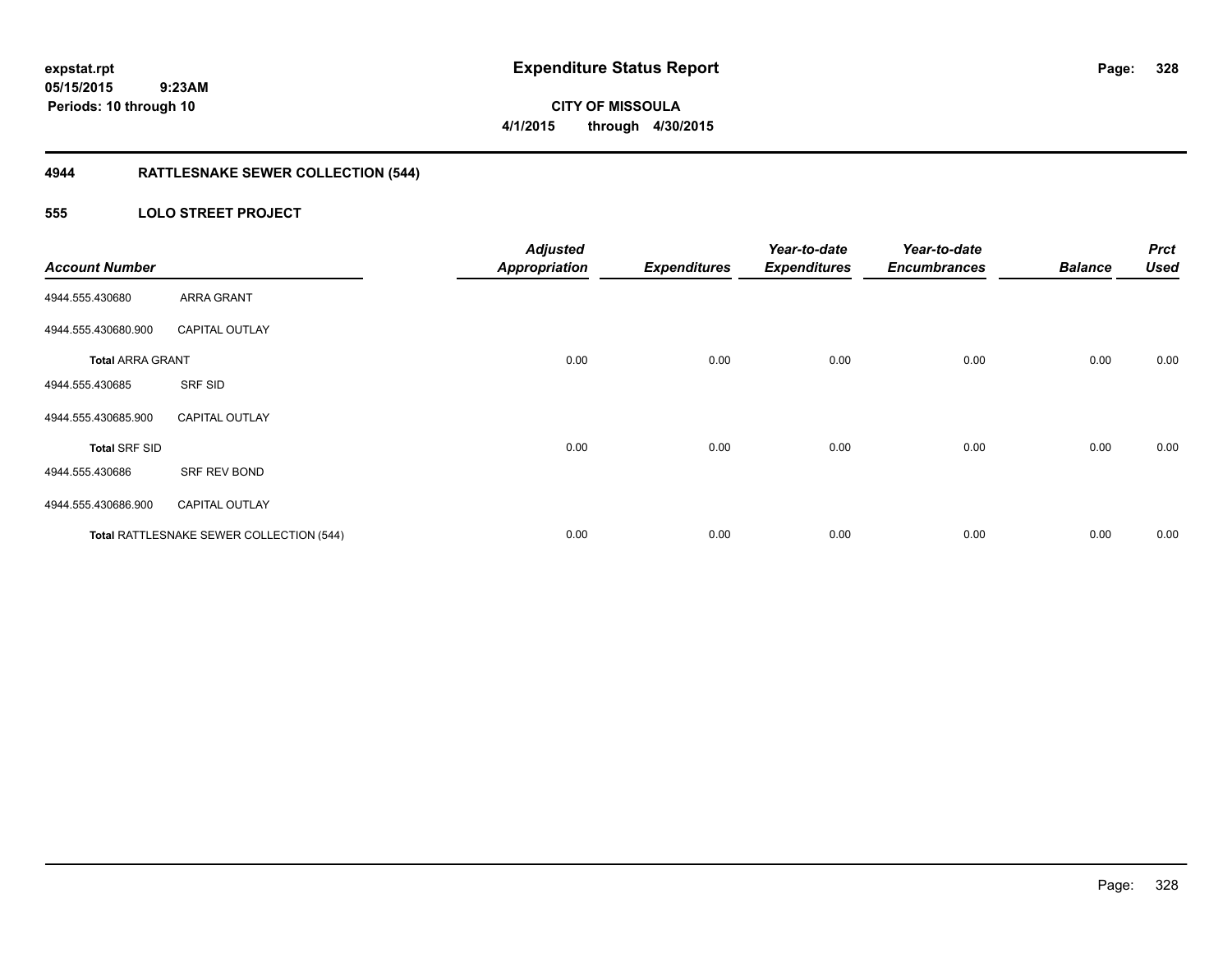**CITY OF MISSOULA 4/1/2015 through 4/30/2015**

# **4944 RATTLESNAKE SEWER COLLECTION (544)**

### **555 LOLO STREET PROJECT**

| <b>Account Number</b>   |                                          | <b>Adjusted</b><br><b>Appropriation</b> | <b>Expenditures</b> | Year-to-date<br><b>Expenditures</b> | Year-to-date<br><b>Encumbrances</b> | <b>Balance</b> | <b>Prct</b><br><b>Used</b> |
|-------------------------|------------------------------------------|-----------------------------------------|---------------------|-------------------------------------|-------------------------------------|----------------|----------------------------|
| 4944.555.430680         | <b>ARRA GRANT</b>                        |                                         |                     |                                     |                                     |                |                            |
| 4944.555.430680.900     | <b>CAPITAL OUTLAY</b>                    |                                         |                     |                                     |                                     |                |                            |
| <b>Total ARRA GRANT</b> |                                          | 0.00                                    | 0.00                | 0.00                                | 0.00                                | 0.00           | 0.00                       |
| 4944.555.430685         | SRF SID                                  |                                         |                     |                                     |                                     |                |                            |
| 4944.555.430685.900     | <b>CAPITAL OUTLAY</b>                    |                                         |                     |                                     |                                     |                |                            |
| <b>Total SRF SID</b>    |                                          | 0.00                                    | 0.00                | 0.00                                | 0.00                                | 0.00           | 0.00                       |
| 4944.555.430686         | SRF REV BOND                             |                                         |                     |                                     |                                     |                |                            |
| 4944.555.430686.900     | <b>CAPITAL OUTLAY</b>                    |                                         |                     |                                     |                                     |                |                            |
|                         | Total RATTLESNAKE SEWER COLLECTION (544) | 0.00                                    | 0.00                | 0.00                                | 0.00                                | 0.00           | 0.00                       |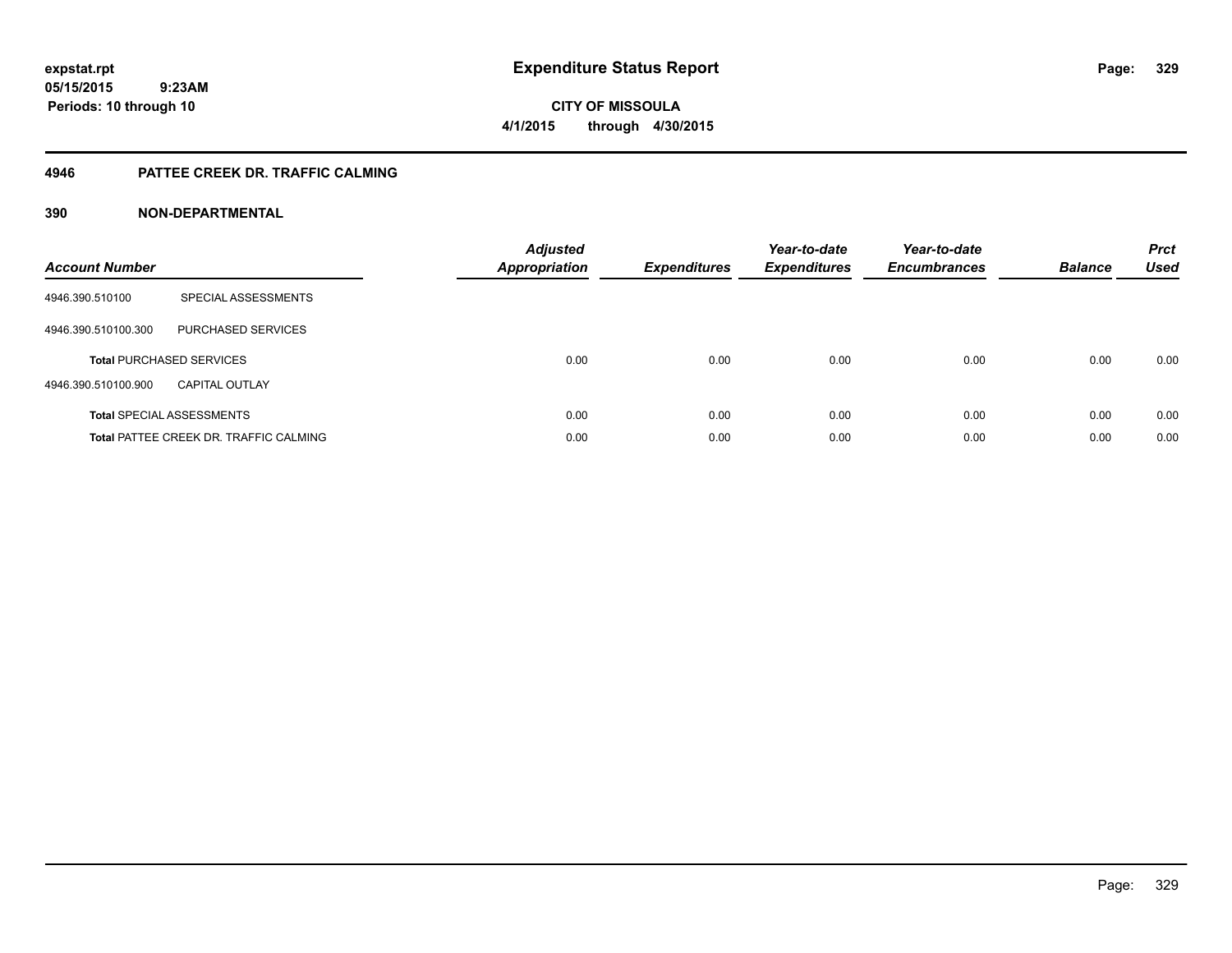**CITY OF MISSOULA 4/1/2015 through 4/30/2015**

### **4946 PATTEE CREEK DR. TRAFFIC CALMING**

### **390 NON-DEPARTMENTAL**

| <b>Account Number</b> |                                               | <b>Adjusted</b><br><b>Appropriation</b> | <b>Expenditures</b> | Year-to-date<br><b>Expenditures</b> | Year-to-date<br><b>Encumbrances</b> | <b>Balance</b> | <b>Prct</b><br><b>Used</b> |
|-----------------------|-----------------------------------------------|-----------------------------------------|---------------------|-------------------------------------|-------------------------------------|----------------|----------------------------|
| 4946.390.510100       | SPECIAL ASSESSMENTS                           |                                         |                     |                                     |                                     |                |                            |
| 4946.390.510100.300   | PURCHASED SERVICES                            |                                         |                     |                                     |                                     |                |                            |
|                       | <b>Total PURCHASED SERVICES</b>               | 0.00                                    | 0.00                | 0.00                                | 0.00                                | 0.00           | 0.00                       |
| 4946.390.510100.900   | <b>CAPITAL OUTLAY</b>                         |                                         |                     |                                     |                                     |                |                            |
|                       | <b>Total SPECIAL ASSESSMENTS</b>              | 0.00                                    | 0.00                | 0.00                                | 0.00                                | 0.00           | 0.00                       |
|                       | <b>Total PATTEE CREEK DR. TRAFFIC CALMING</b> | 0.00                                    | 0.00                | 0.00                                | 0.00                                | 0.00           | 0.00                       |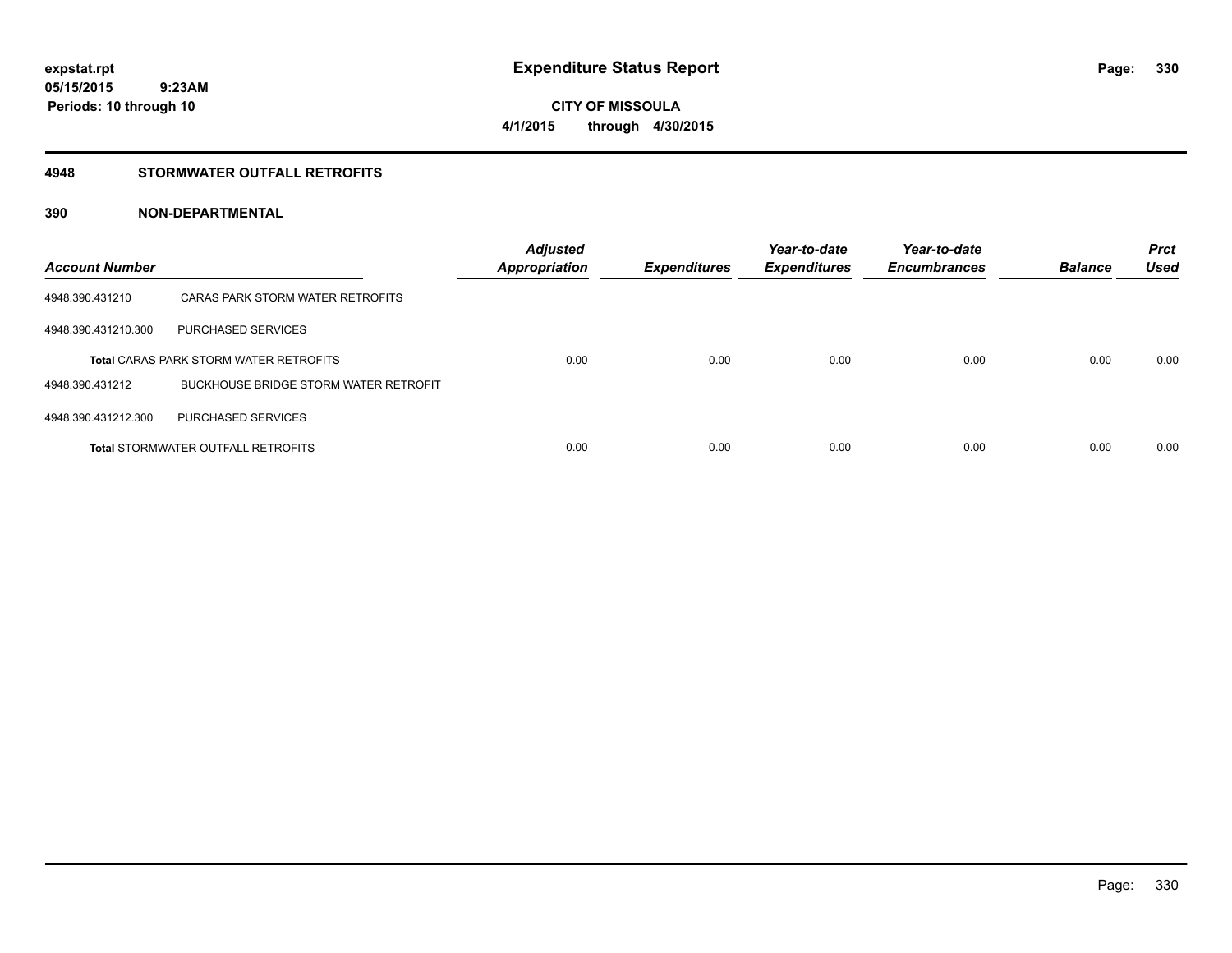# **CITY OF MISSOULA 4/1/2015 through 4/30/2015**

### **4948 STORMWATER OUTFALL RETROFITS**

### **390 NON-DEPARTMENTAL**

| <b>Account Number</b> |                                               | <b>Adjusted</b><br><b>Appropriation</b> | <b>Expenditures</b> | Year-to-date<br><b>Expenditures</b> | Year-to-date<br><b>Encumbrances</b> | <b>Balance</b> | <b>Prct</b><br><b>Used</b> |
|-----------------------|-----------------------------------------------|-----------------------------------------|---------------------|-------------------------------------|-------------------------------------|----------------|----------------------------|
| 4948.390.431210       | CARAS PARK STORM WATER RETROFITS              |                                         |                     |                                     |                                     |                |                            |
| 4948.390.431210.300   | <b>PURCHASED SERVICES</b>                     |                                         |                     |                                     |                                     |                |                            |
|                       | <b>Total CARAS PARK STORM WATER RETROFITS</b> | 0.00                                    | 0.00                | 0.00                                | 0.00                                | 0.00           | 0.00                       |
| 4948.390.431212       | <b>BUCKHOUSE BRIDGE STORM WATER RETROFIT</b>  |                                         |                     |                                     |                                     |                |                            |
| 4948.390.431212.300   | <b>PURCHASED SERVICES</b>                     |                                         |                     |                                     |                                     |                |                            |
|                       | <b>Total STORMWATER OUTFALL RETROFITS</b>     | 0.00                                    | 0.00                | 0.00                                | 0.00                                | 0.00           | 0.00                       |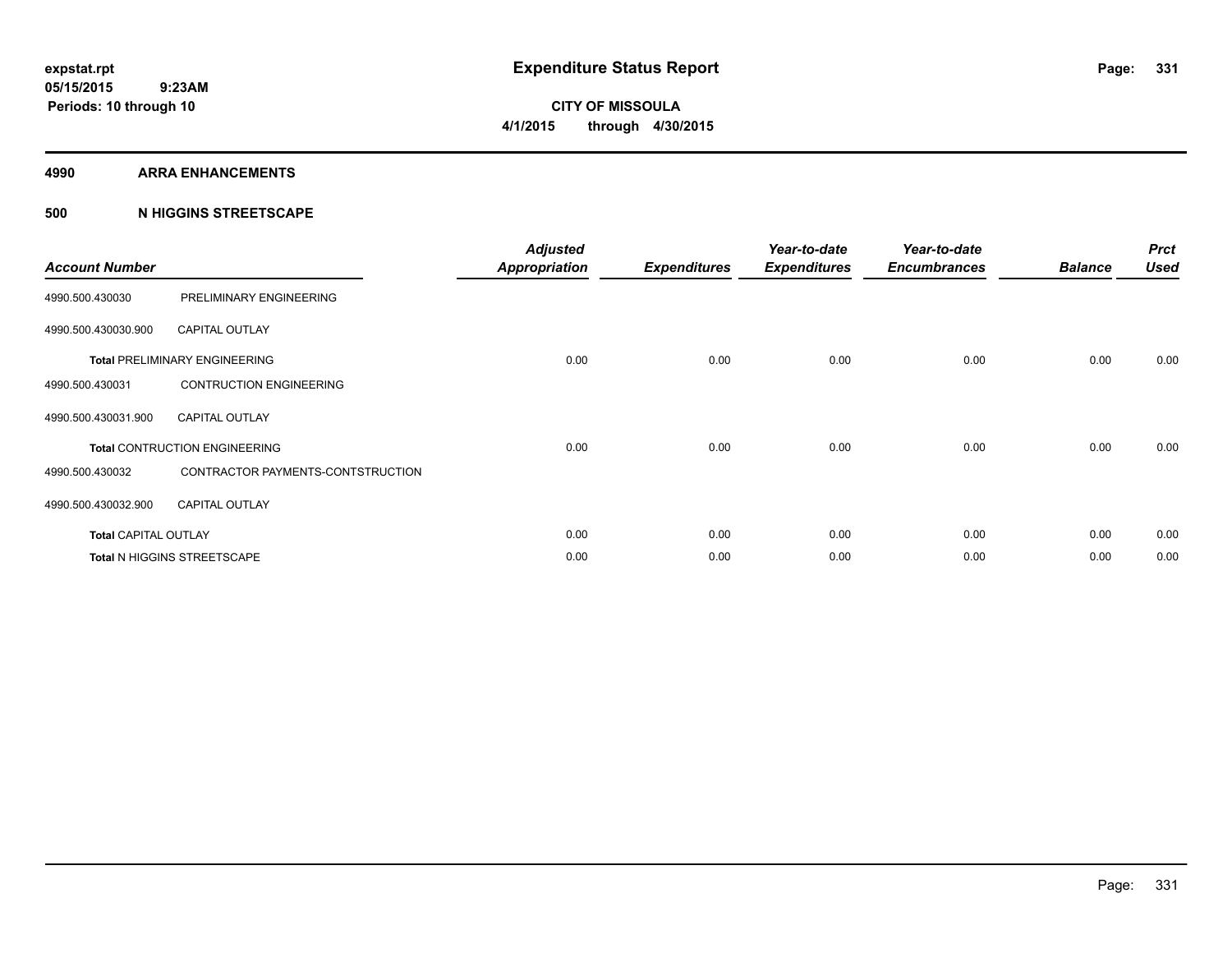#### **4990 ARRA ENHANCEMENTS**

### **500 N HIGGINS STREETSCAPE**

| <b>Account Number</b>       |                                      | <b>Adjusted</b><br><b>Appropriation</b> | <b>Expenditures</b> | Year-to-date<br><b>Expenditures</b> | Year-to-date<br><b>Encumbrances</b> | <b>Balance</b> | <b>Prct</b><br><b>Used</b> |
|-----------------------------|--------------------------------------|-----------------------------------------|---------------------|-------------------------------------|-------------------------------------|----------------|----------------------------|
| 4990.500.430030             | PRELIMINARY ENGINEERING              |                                         |                     |                                     |                                     |                |                            |
| 4990.500.430030.900         | <b>CAPITAL OUTLAY</b>                |                                         |                     |                                     |                                     |                |                            |
|                             | <b>Total PRELIMINARY ENGINEERING</b> | 0.00                                    | 0.00                | 0.00                                | 0.00                                | 0.00           | 0.00                       |
| 4990.500.430031             | <b>CONTRUCTION ENGINEERING</b>       |                                         |                     |                                     |                                     |                |                            |
| 4990.500.430031.900         | <b>CAPITAL OUTLAY</b>                |                                         |                     |                                     |                                     |                |                            |
|                             | <b>Total CONTRUCTION ENGINEERING</b> | 0.00                                    | 0.00                | 0.00                                | 0.00                                | 0.00           | 0.00                       |
| 4990.500.430032             | CONTRACTOR PAYMENTS-CONTSTRUCTION    |                                         |                     |                                     |                                     |                |                            |
| 4990.500.430032.900         | <b>CAPITAL OUTLAY</b>                |                                         |                     |                                     |                                     |                |                            |
| <b>Total CAPITAL OUTLAY</b> |                                      | 0.00                                    | 0.00                | 0.00                                | 0.00                                | 0.00           | 0.00                       |
|                             | Total N HIGGINS STREETSCAPE          | 0.00                                    | 0.00                | 0.00                                | 0.00                                | 0.00           | 0.00                       |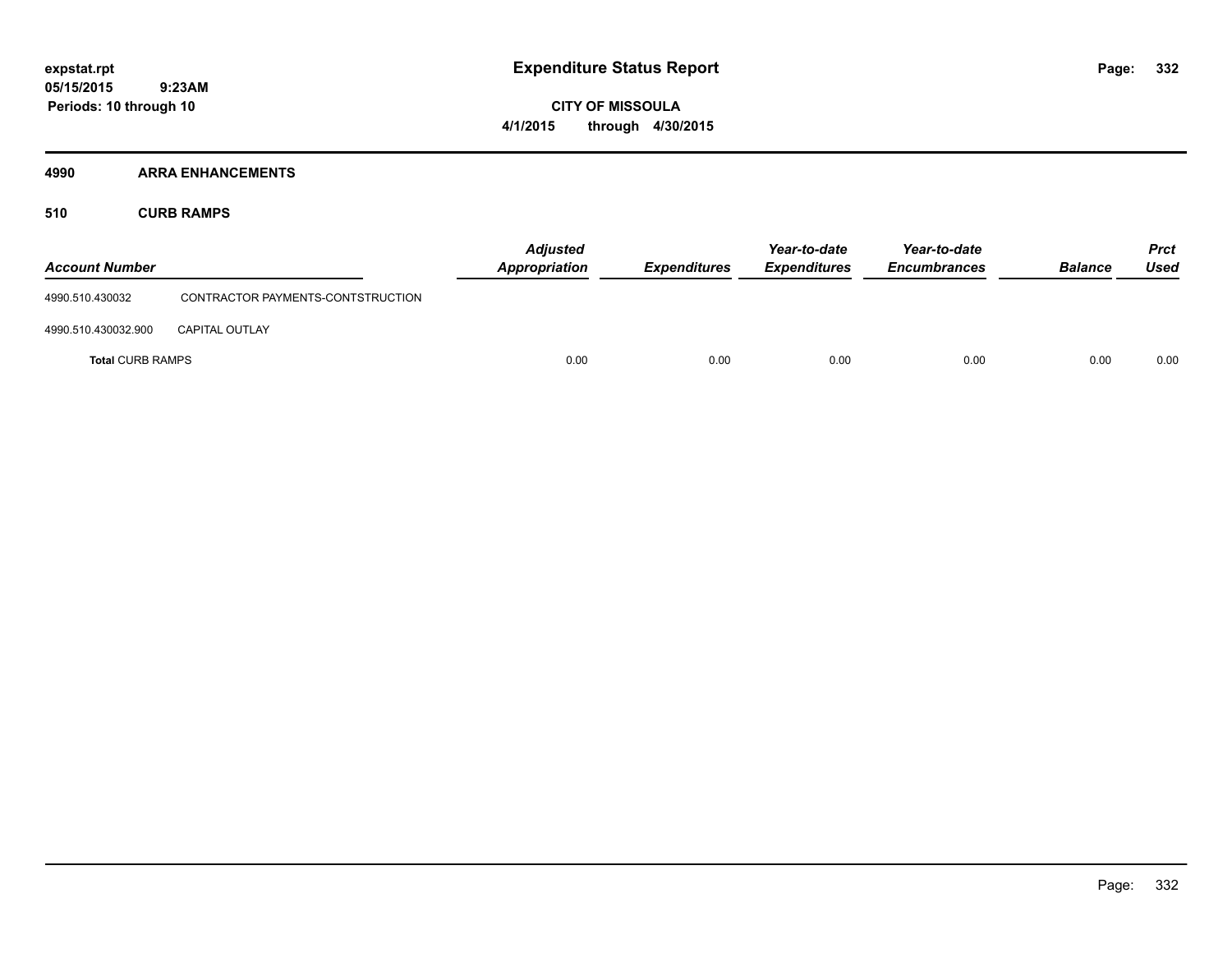**CITY OF MISSOULA 4/1/2015 through 4/30/2015**

### **4990 ARRA ENHANCEMENTS**

**510 CURB RAMPS**

| <b>Account Number</b>   |                                   | <b>Adjusted</b><br>Appropriation | <b>Expenditures</b> | Year-to-date<br><b>Expenditures</b> | Year-to-date<br><b>Encumbrances</b> | <b>Balance</b> | <b>Prct</b><br><b>Used</b> |
|-------------------------|-----------------------------------|----------------------------------|---------------------|-------------------------------------|-------------------------------------|----------------|----------------------------|
| 4990.510.430032         | CONTRACTOR PAYMENTS-CONTSTRUCTION |                                  |                     |                                     |                                     |                |                            |
| 4990.510.430032.900     | <b>CAPITAL OUTLAY</b>             |                                  |                     |                                     |                                     |                |                            |
| <b>Total CURB RAMPS</b> |                                   | 0.00                             | 0.00                | 0.00                                | 0.00                                | 0.00           | 0.00                       |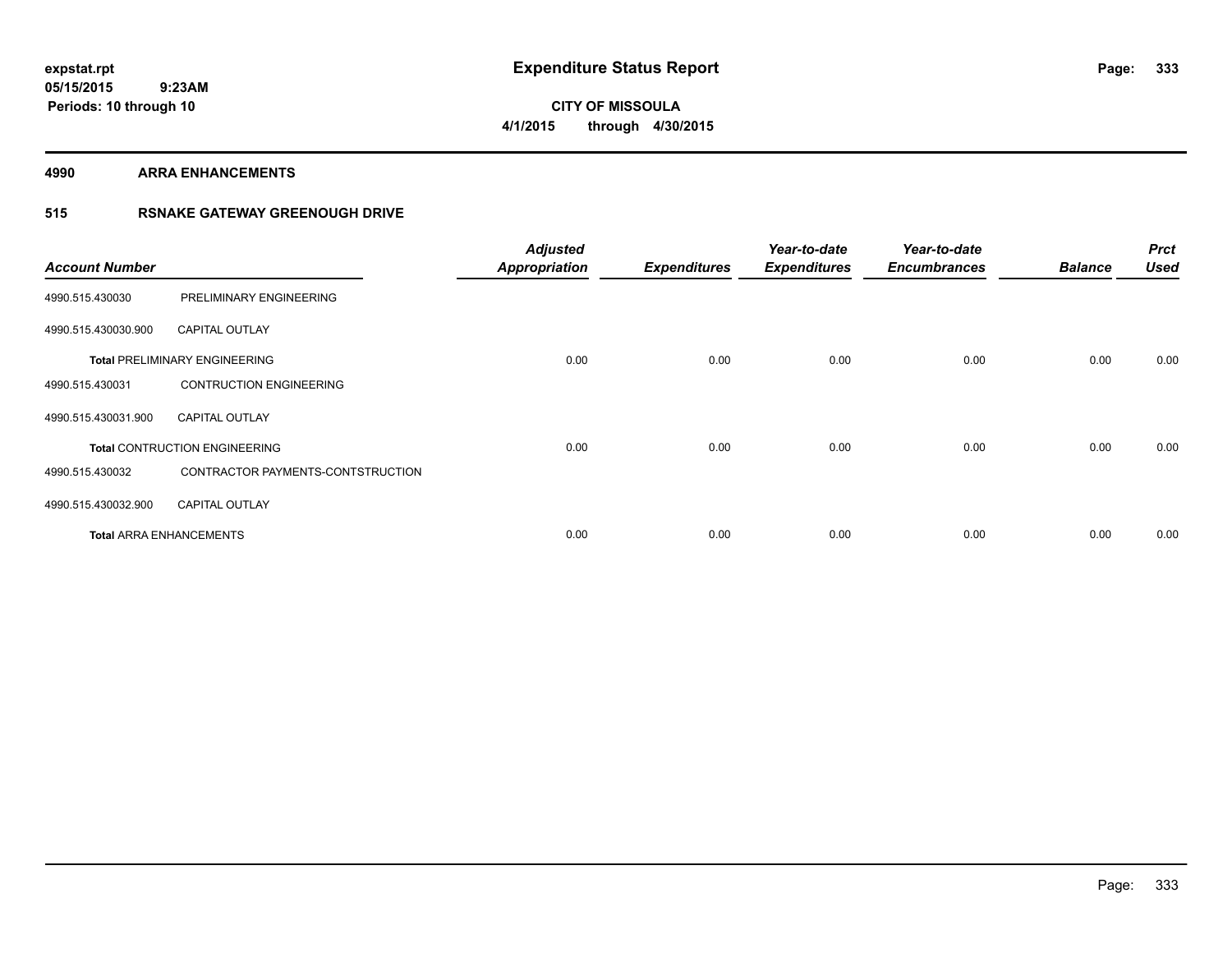**Periods: 10 through 10**

**CITY OF MISSOULA 4/1/2015 through 4/30/2015**

**4990 ARRA ENHANCEMENTS**

### **515 RSNAKE GATEWAY GREENOUGH DRIVE**

| <b>Account Number</b> |                                      | <b>Adjusted</b><br><b>Appropriation</b> | <b>Expenditures</b> | Year-to-date<br><b>Expenditures</b> | Year-to-date<br><b>Encumbrances</b> | <b>Balance</b> | <b>Prct</b><br><b>Used</b> |
|-----------------------|--------------------------------------|-----------------------------------------|---------------------|-------------------------------------|-------------------------------------|----------------|----------------------------|
| 4990.515.430030       | PRELIMINARY ENGINEERING              |                                         |                     |                                     |                                     |                |                            |
| 4990.515.430030.900   | <b>CAPITAL OUTLAY</b>                |                                         |                     |                                     |                                     |                |                            |
|                       | <b>Total PRELIMINARY ENGINEERING</b> | 0.00                                    | 0.00                | 0.00                                | 0.00                                | 0.00           | 0.00                       |
| 4990.515.430031       | <b>CONTRUCTION ENGINEERING</b>       |                                         |                     |                                     |                                     |                |                            |
| 4990.515.430031.900   | <b>CAPITAL OUTLAY</b>                |                                         |                     |                                     |                                     |                |                            |
|                       | <b>Total CONTRUCTION ENGINEERING</b> | 0.00                                    | 0.00                | 0.00                                | 0.00                                | 0.00           | 0.00                       |
| 4990.515.430032       | CONTRACTOR PAYMENTS-CONTSTRUCTION    |                                         |                     |                                     |                                     |                |                            |
| 4990.515.430032.900   | <b>CAPITAL OUTLAY</b>                |                                         |                     |                                     |                                     |                |                            |
|                       | <b>Total ARRA ENHANCEMENTS</b>       | 0.00                                    | 0.00                | 0.00                                | 0.00                                | 0.00           | 0.00                       |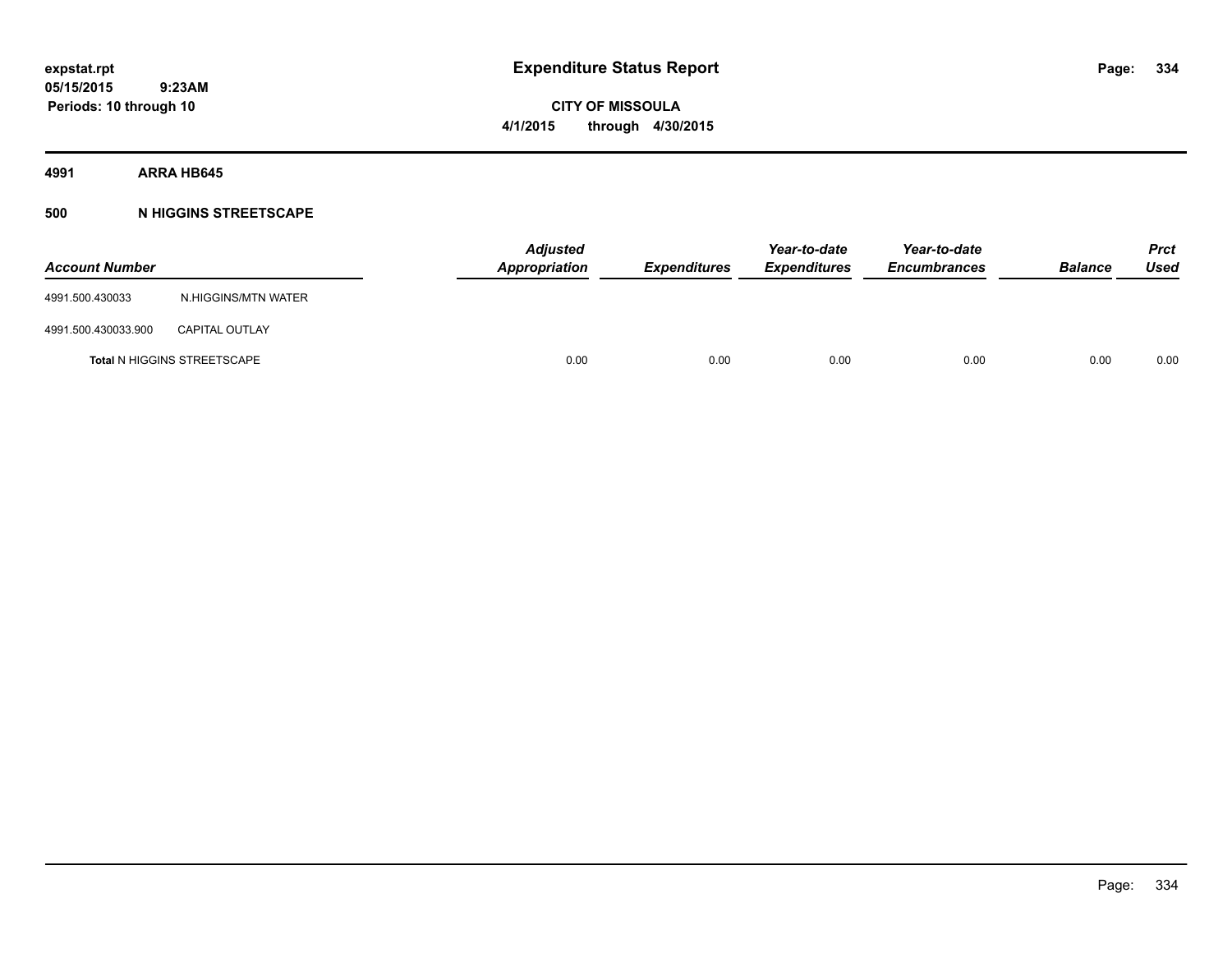**CITY OF MISSOULA 4/1/2015 through 4/30/2015**

**4991 ARRA HB645**

### **500 N HIGGINS STREETSCAPE**

| <b>Account Number</b> |                                    | <b>Adjusted</b><br><b>Appropriation</b> | Expenditures | Year-to-date<br><b>Expenditures</b> | Year-to-date<br><b>Encumbrances</b> | <b>Balance</b> | <b>Prct</b><br>Used |
|-----------------------|------------------------------------|-----------------------------------------|--------------|-------------------------------------|-------------------------------------|----------------|---------------------|
| 4991.500.430033       | N.HIGGINS/MTN WATER                |                                         |              |                                     |                                     |                |                     |
| 4991.500.430033.900   | <b>CAPITAL OUTLAY</b>              |                                         |              |                                     |                                     |                |                     |
|                       | <b>Total N HIGGINS STREETSCAPE</b> | 0.00                                    | 0.00         | 0.00                                | 0.00                                | 0.00           | 0.00                |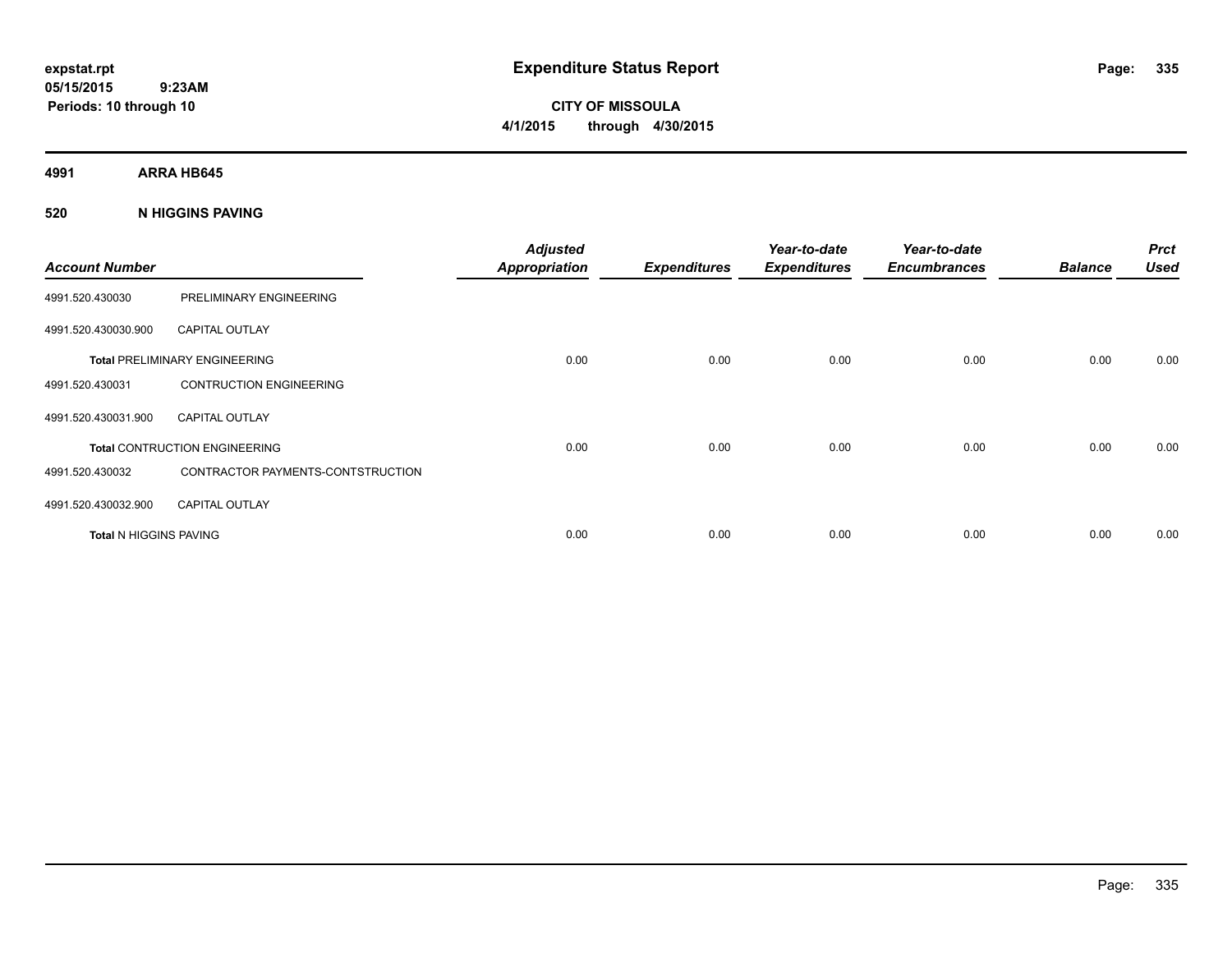**CITY OF MISSOULA 4/1/2015 through 4/30/2015**

**4991 ARRA HB645**

### **520 N HIGGINS PAVING**

| <b>Account Number</b>         |                                      | <b>Adjusted</b><br><b>Appropriation</b> | <b>Expenditures</b> | Year-to-date<br><b>Expenditures</b> | Year-to-date<br><b>Encumbrances</b> | <b>Balance</b> | <b>Prct</b><br><b>Used</b> |
|-------------------------------|--------------------------------------|-----------------------------------------|---------------------|-------------------------------------|-------------------------------------|----------------|----------------------------|
| 4991.520.430030               | PRELIMINARY ENGINEERING              |                                         |                     |                                     |                                     |                |                            |
| 4991.520.430030.900           | <b>CAPITAL OUTLAY</b>                |                                         |                     |                                     |                                     |                |                            |
|                               | <b>Total PRELIMINARY ENGINEERING</b> | 0.00                                    | 0.00                | 0.00                                | 0.00                                | 0.00           | 0.00                       |
| 4991.520.430031               | <b>CONTRUCTION ENGINEERING</b>       |                                         |                     |                                     |                                     |                |                            |
| 4991.520.430031.900           | <b>CAPITAL OUTLAY</b>                |                                         |                     |                                     |                                     |                |                            |
|                               | <b>Total CONTRUCTION ENGINEERING</b> | 0.00                                    | 0.00                | 0.00                                | 0.00                                | 0.00           | 0.00                       |
| 4991.520.430032               | CONTRACTOR PAYMENTS-CONTSTRUCTION    |                                         |                     |                                     |                                     |                |                            |
| 4991.520.430032.900           | <b>CAPITAL OUTLAY</b>                |                                         |                     |                                     |                                     |                |                            |
| <b>Total N HIGGINS PAVING</b> |                                      | 0.00                                    | 0.00                | 0.00                                | 0.00                                | 0.00           | 0.00                       |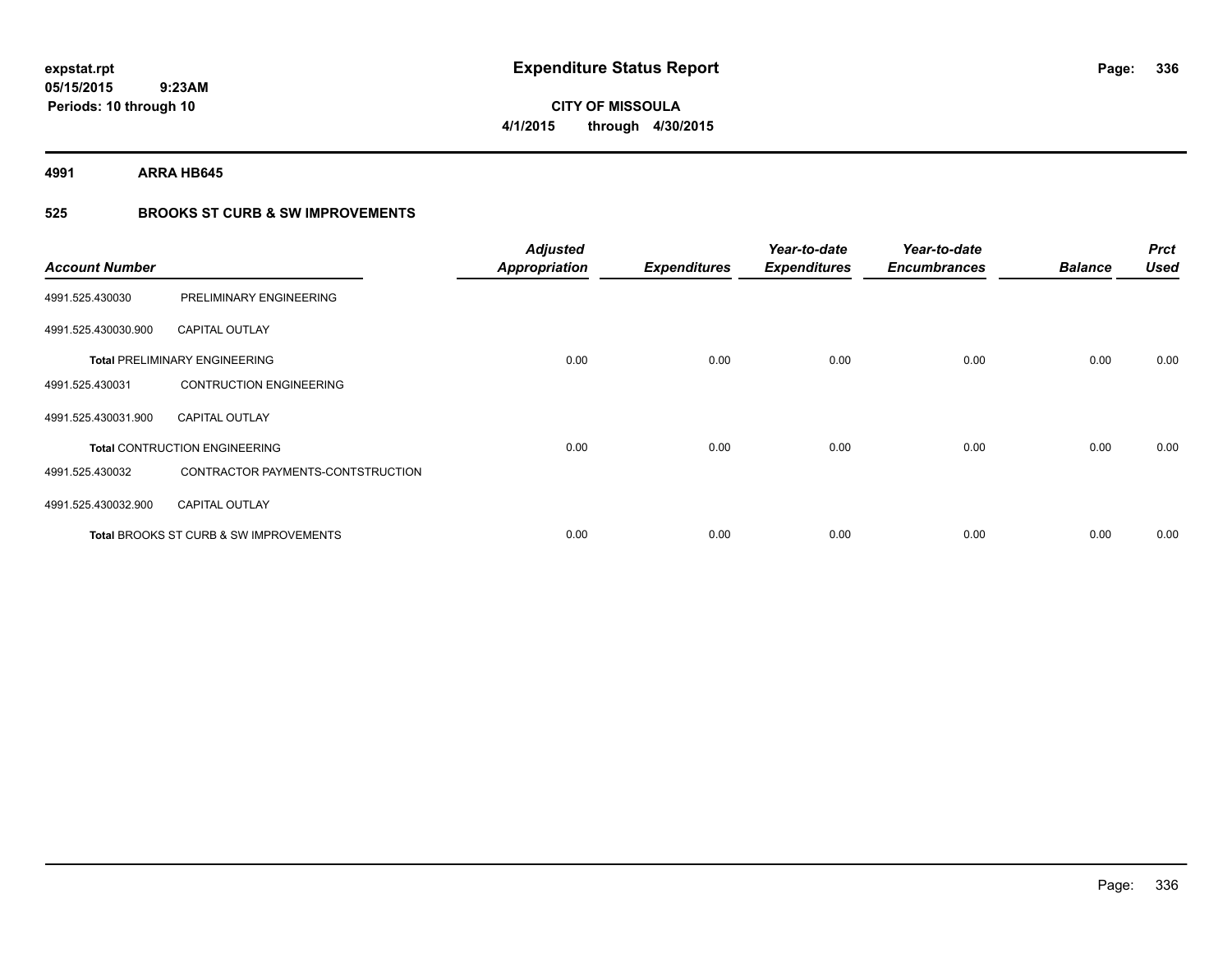**4991 ARRA HB645**

**Periods: 10 through 10**

 **9:23AM**

# **525 BROOKS ST CURB & SW IMPROVEMENTS**

| <b>Account Number</b> |                                        | <b>Adjusted</b><br><b>Appropriation</b> | <b>Expenditures</b> | Year-to-date<br><b>Expenditures</b> | Year-to-date<br><b>Encumbrances</b> | <b>Balance</b> | <b>Prct</b><br><b>Used</b> |
|-----------------------|----------------------------------------|-----------------------------------------|---------------------|-------------------------------------|-------------------------------------|----------------|----------------------------|
| 4991.525.430030       | PRELIMINARY ENGINEERING                |                                         |                     |                                     |                                     |                |                            |
| 4991.525.430030.900   | <b>CAPITAL OUTLAY</b>                  |                                         |                     |                                     |                                     |                |                            |
|                       | <b>Total PRELIMINARY ENGINEERING</b>   | 0.00                                    | 0.00                | 0.00                                | 0.00                                | 0.00           | 0.00                       |
| 4991.525.430031       | <b>CONTRUCTION ENGINEERING</b>         |                                         |                     |                                     |                                     |                |                            |
| 4991.525.430031.900   | <b>CAPITAL OUTLAY</b>                  |                                         |                     |                                     |                                     |                |                            |
|                       | <b>Total CONTRUCTION ENGINEERING</b>   | 0.00                                    | 0.00                | 0.00                                | 0.00                                | 0.00           | 0.00                       |
| 4991.525.430032       | CONTRACTOR PAYMENTS-CONTSTRUCTION      |                                         |                     |                                     |                                     |                |                            |
| 4991.525.430032.900   | <b>CAPITAL OUTLAY</b>                  |                                         |                     |                                     |                                     |                |                            |
|                       | Total BROOKS ST CURB & SW IMPROVEMENTS | 0.00                                    | 0.00                | 0.00                                | 0.00                                | 0.00           | 0.00                       |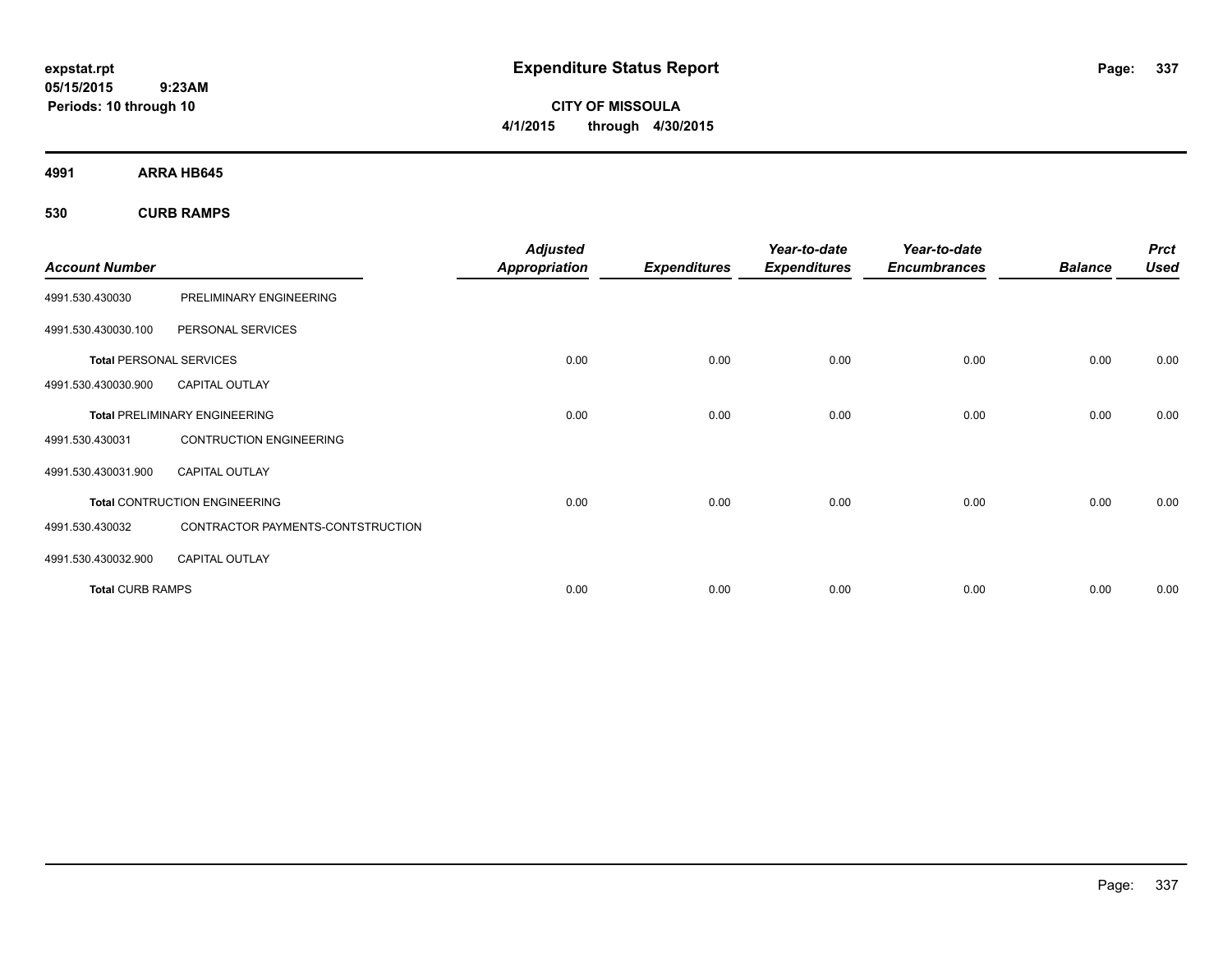**CITY OF MISSOULA 4/1/2015 through 4/30/2015**

**4991 ARRA HB645**

**530 CURB RAMPS**

| <b>Account Number</b>          |                                      | <b>Adjusted</b><br><b>Appropriation</b> | <b>Expenditures</b> | Year-to-date<br><b>Expenditures</b> | Year-to-date<br><b>Encumbrances</b> | <b>Balance</b> | <b>Prct</b><br><b>Used</b> |
|--------------------------------|--------------------------------------|-----------------------------------------|---------------------|-------------------------------------|-------------------------------------|----------------|----------------------------|
| 4991.530.430030                | PRELIMINARY ENGINEERING              |                                         |                     |                                     |                                     |                |                            |
| 4991.530.430030.100            | PERSONAL SERVICES                    |                                         |                     |                                     |                                     |                |                            |
| <b>Total PERSONAL SERVICES</b> |                                      | 0.00                                    | 0.00                | 0.00                                | 0.00                                | 0.00           | 0.00                       |
| 4991.530.430030.900            | <b>CAPITAL OUTLAY</b>                |                                         |                     |                                     |                                     |                |                            |
|                                | <b>Total PRELIMINARY ENGINEERING</b> | 0.00                                    | 0.00                | 0.00                                | 0.00                                | 0.00           | 0.00                       |
| 4991.530.430031                | <b>CONTRUCTION ENGINEERING</b>       |                                         |                     |                                     |                                     |                |                            |
| 4991.530.430031.900            | <b>CAPITAL OUTLAY</b>                |                                         |                     |                                     |                                     |                |                            |
|                                | <b>Total CONTRUCTION ENGINEERING</b> | 0.00                                    | 0.00                | 0.00                                | 0.00                                | 0.00           | 0.00                       |
| 4991.530.430032                | CONTRACTOR PAYMENTS-CONTSTRUCTION    |                                         |                     |                                     |                                     |                |                            |
| 4991.530.430032.900            | <b>CAPITAL OUTLAY</b>                |                                         |                     |                                     |                                     |                |                            |
| <b>Total CURB RAMPS</b>        |                                      | 0.00                                    | 0.00                | 0.00                                | 0.00                                | 0.00           | 0.00                       |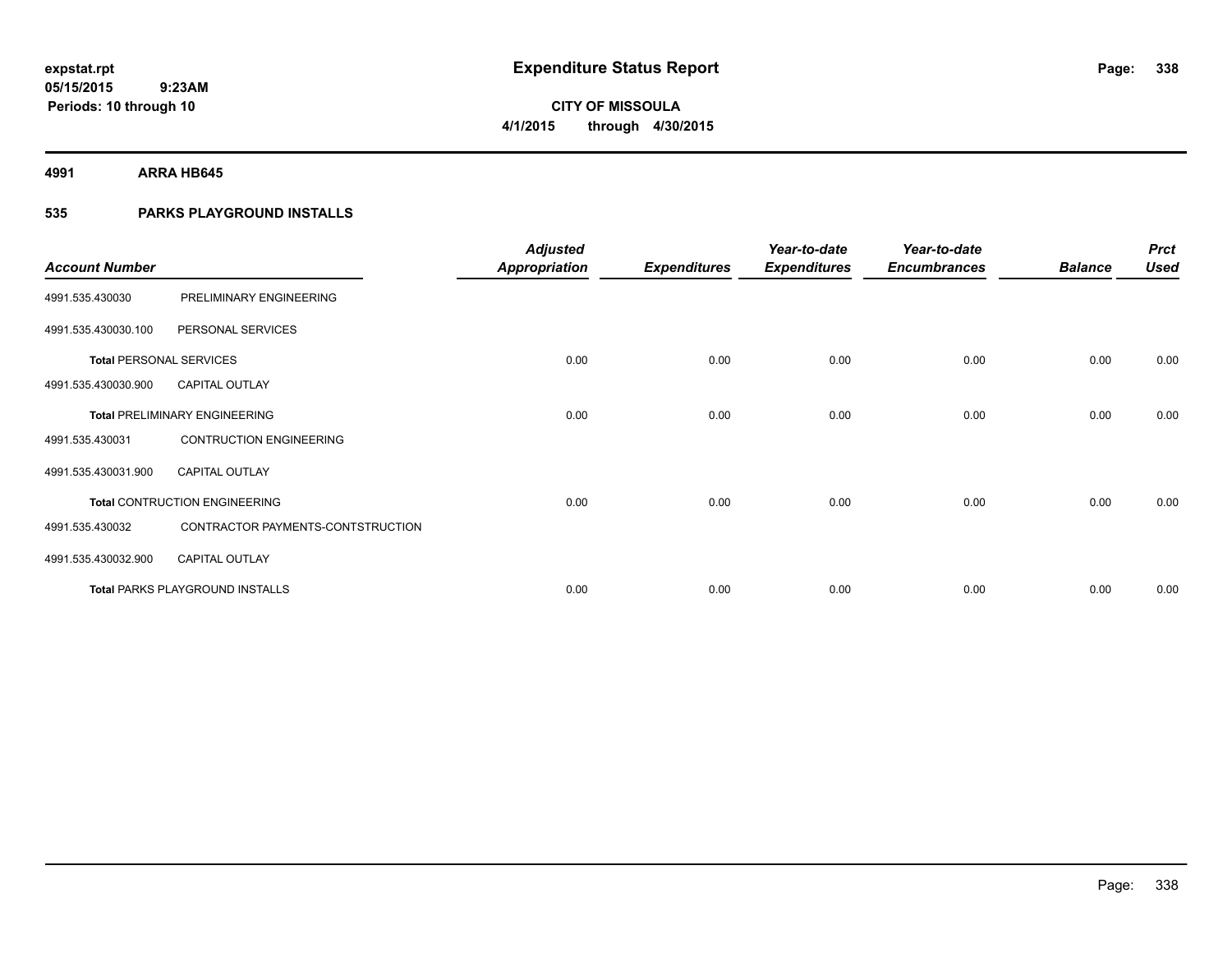**4991 ARRA HB645**

### **535 PARKS PLAYGROUND INSTALLS**

|                                |                                        | <b>Adjusted</b>      |                     | Year-to-date        | Year-to-date        |                | <b>Prct</b> |
|--------------------------------|----------------------------------------|----------------------|---------------------|---------------------|---------------------|----------------|-------------|
| <b>Account Number</b>          |                                        | <b>Appropriation</b> | <b>Expenditures</b> | <b>Expenditures</b> | <b>Encumbrances</b> | <b>Balance</b> | <b>Used</b> |
| 4991.535.430030                | PRELIMINARY ENGINEERING                |                      |                     |                     |                     |                |             |
| 4991.535.430030.100            | PERSONAL SERVICES                      |                      |                     |                     |                     |                |             |
| <b>Total PERSONAL SERVICES</b> |                                        | 0.00                 | 0.00                | 0.00                | 0.00                | 0.00           | 0.00        |
| 4991.535.430030.900            | <b>CAPITAL OUTLAY</b>                  |                      |                     |                     |                     |                |             |
|                                | <b>Total PRELIMINARY ENGINEERING</b>   | 0.00                 | 0.00                | 0.00                | 0.00                | 0.00           | 0.00        |
| 4991.535.430031                | <b>CONTRUCTION ENGINEERING</b>         |                      |                     |                     |                     |                |             |
| 4991.535.430031.900            | <b>CAPITAL OUTLAY</b>                  |                      |                     |                     |                     |                |             |
|                                | <b>Total CONTRUCTION ENGINEERING</b>   | 0.00                 | 0.00                | 0.00                | 0.00                | 0.00           | 0.00        |
| 4991.535.430032                | CONTRACTOR PAYMENTS-CONTSTRUCTION      |                      |                     |                     |                     |                |             |
| 4991.535.430032.900            | <b>CAPITAL OUTLAY</b>                  |                      |                     |                     |                     |                |             |
|                                | <b>Total PARKS PLAYGROUND INSTALLS</b> | 0.00                 | 0.00                | 0.00                | 0.00                | 0.00           | 0.00        |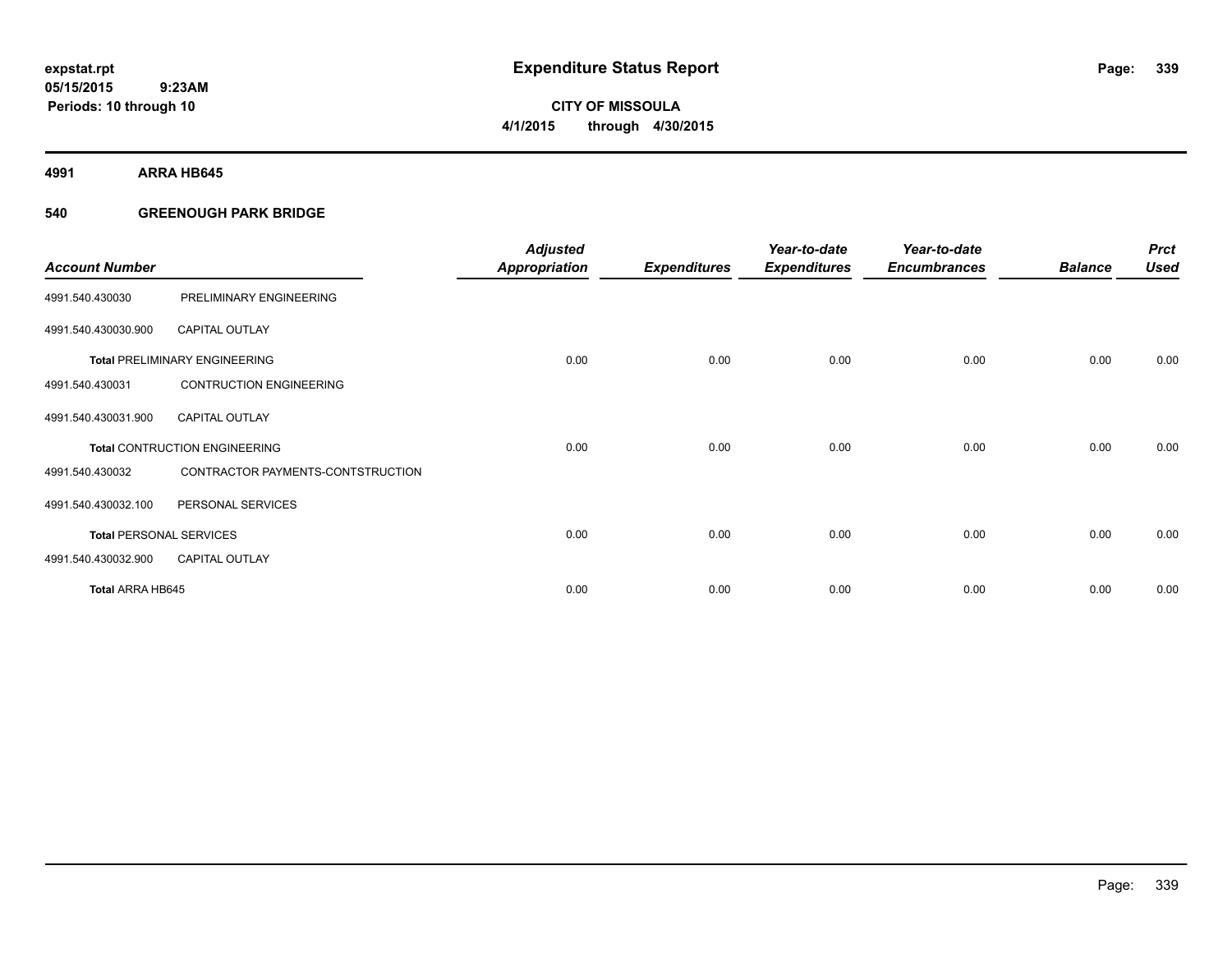# **CITY OF MISSOULA 4/1/2015 through 4/30/2015**

**4991 ARRA HB645**

### **540 GREENOUGH PARK BRIDGE**

| <b>Account Number</b>          |                                      | <b>Adjusted</b><br><b>Appropriation</b> | <b>Expenditures</b> | Year-to-date<br><b>Expenditures</b> | Year-to-date<br><b>Encumbrances</b> | <b>Balance</b> | <b>Prct</b><br><b>Used</b> |
|--------------------------------|--------------------------------------|-----------------------------------------|---------------------|-------------------------------------|-------------------------------------|----------------|----------------------------|
| 4991.540.430030                | PRELIMINARY ENGINEERING              |                                         |                     |                                     |                                     |                |                            |
| 4991.540.430030.900            | <b>CAPITAL OUTLAY</b>                |                                         |                     |                                     |                                     |                |                            |
|                                | <b>Total PRELIMINARY ENGINEERING</b> | 0.00                                    | 0.00                | 0.00                                | 0.00                                | 0.00           | 0.00                       |
| 4991.540.430031                | <b>CONTRUCTION ENGINEERING</b>       |                                         |                     |                                     |                                     |                |                            |
| 4991.540.430031.900            | <b>CAPITAL OUTLAY</b>                |                                         |                     |                                     |                                     |                |                            |
|                                | <b>Total CONTRUCTION ENGINEERING</b> | 0.00                                    | 0.00                | 0.00                                | 0.00                                | 0.00           | 0.00                       |
| 4991.540.430032                | CONTRACTOR PAYMENTS-CONTSTRUCTION    |                                         |                     |                                     |                                     |                |                            |
| 4991.540.430032.100            | PERSONAL SERVICES                    |                                         |                     |                                     |                                     |                |                            |
| <b>Total PERSONAL SERVICES</b> |                                      | 0.00                                    | 0.00                | 0.00                                | 0.00                                | 0.00           | 0.00                       |
| 4991.540.430032.900            | <b>CAPITAL OUTLAY</b>                |                                         |                     |                                     |                                     |                |                            |
| <b>Total ARRA HB645</b>        |                                      | 0.00                                    | 0.00                | 0.00                                | 0.00                                | 0.00           | 0.00                       |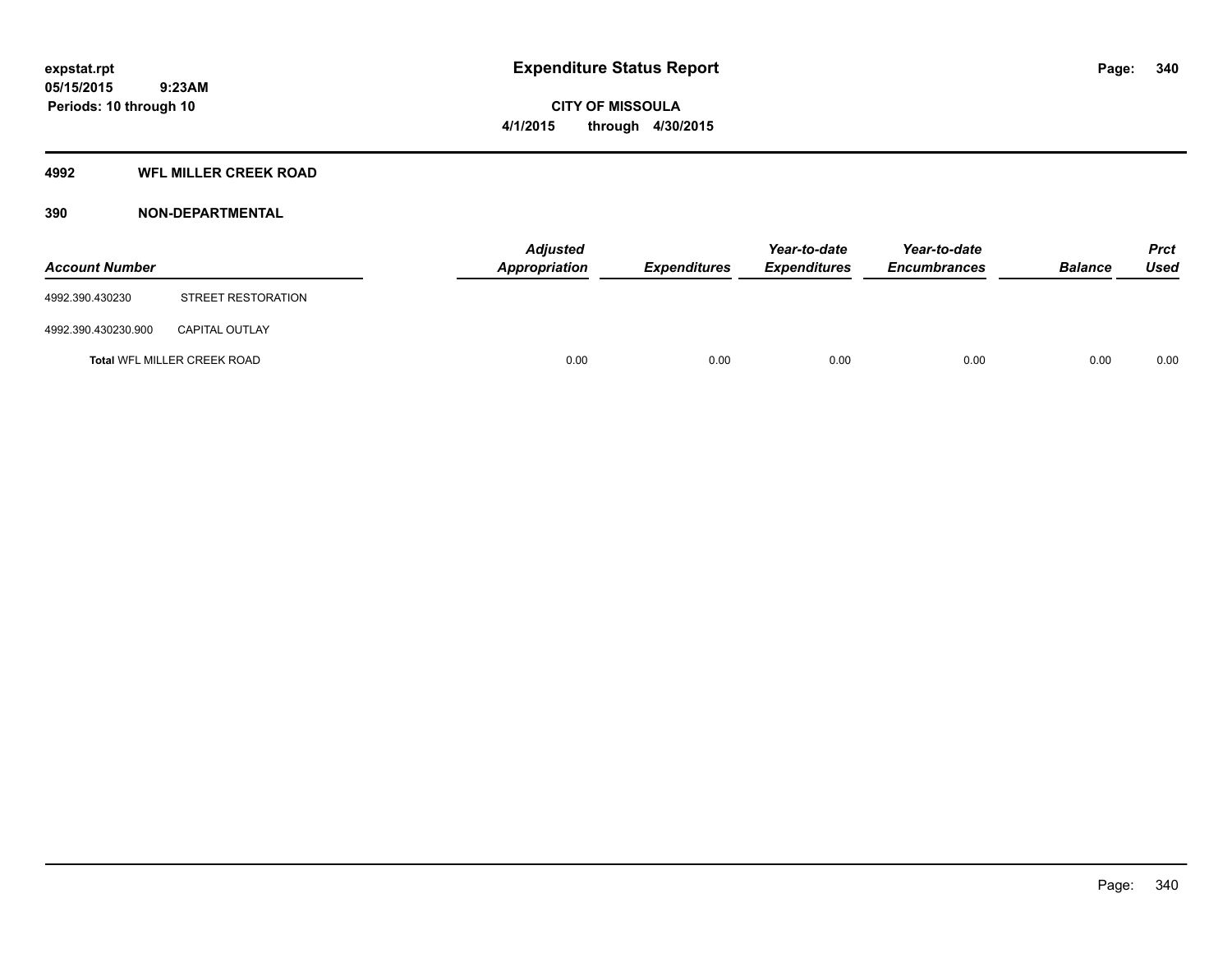### **4992 WFL MILLER CREEK ROAD**

### **390 NON-DEPARTMENTAL**

| <b>Account Number</b> |                             | Appropriation | <b>Adjusted</b> | <b>Expenditures</b> | Year-to-date<br><b>Expenditures</b> | Year-to-date<br><b>Encumbrances</b> | <b>Balance</b> | <b>Prct</b><br><b>Used</b> |
|-----------------------|-----------------------------|---------------|-----------------|---------------------|-------------------------------------|-------------------------------------|----------------|----------------------------|
| 4992.390.430230       | STREET RESTORATION          |               |                 |                     |                                     |                                     |                |                            |
| 4992.390.430230.900   | <b>CAPITAL OUTLAY</b>       |               |                 |                     |                                     |                                     |                |                            |
|                       | Total WFL MILLER CREEK ROAD |               | 0.00            | 0.00                | 0.00                                | 0.00                                | 0.00           | 0.00                       |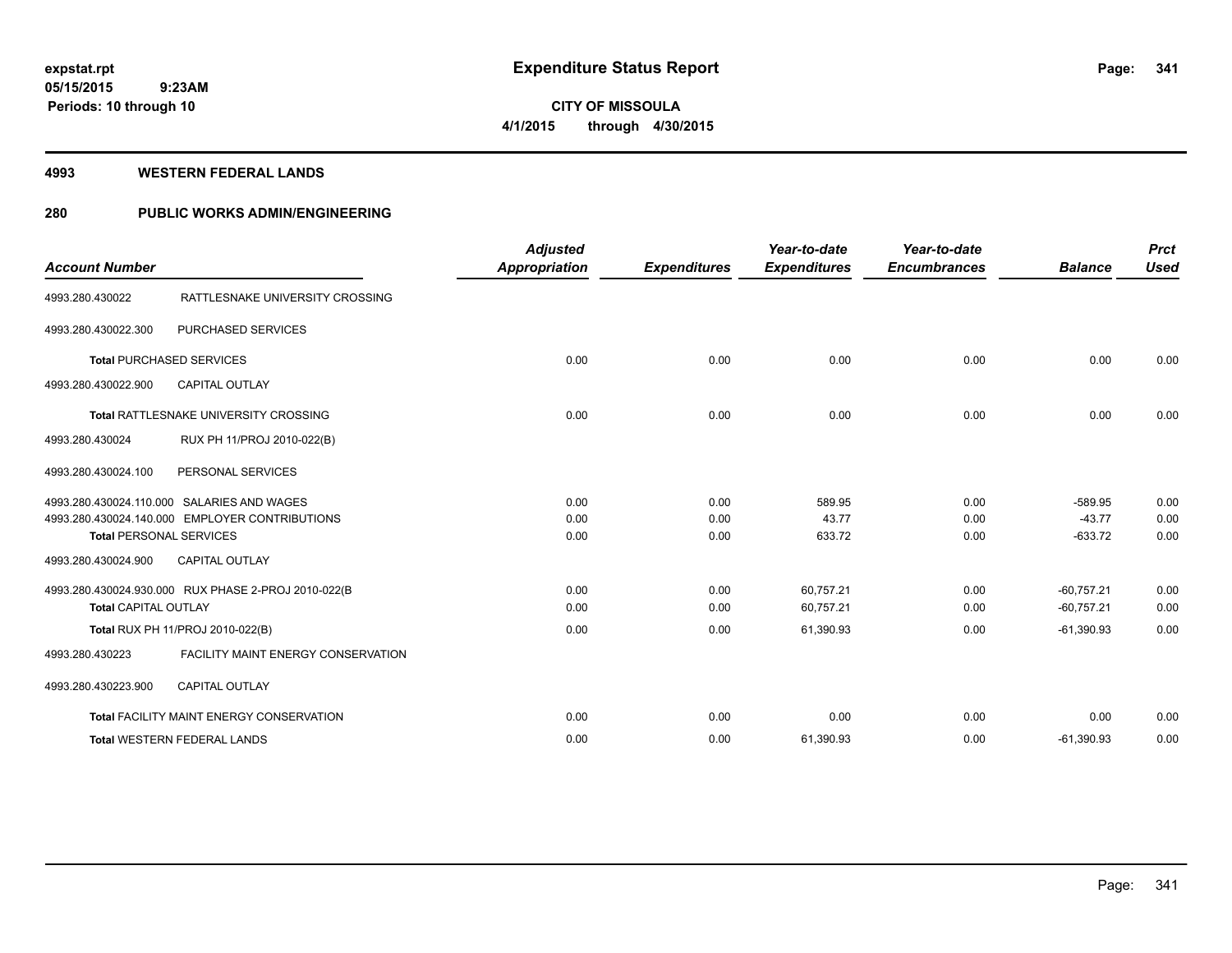**CITY OF MISSOULA 4/1/2015 through 4/30/2015**

#### **4993 WESTERN FEDERAL LANDS**

### **280 PUBLIC WORKS ADMIN/ENGINEERING**

| <b>Account Number</b>          |                                                     | <b>Adjusted</b><br><b>Appropriation</b> | <b>Expenditures</b> | Year-to-date<br><b>Expenditures</b> | Year-to-date<br><b>Encumbrances</b> | <b>Balance</b>               | <b>Prct</b><br><b>Used</b> |
|--------------------------------|-----------------------------------------------------|-----------------------------------------|---------------------|-------------------------------------|-------------------------------------|------------------------------|----------------------------|
| 4993.280.430022                | RATTLESNAKE UNIVERSITY CROSSING                     |                                         |                     |                                     |                                     |                              |                            |
| 4993.280.430022.300            | PURCHASED SERVICES                                  |                                         |                     |                                     |                                     |                              |                            |
|                                | <b>Total PURCHASED SERVICES</b>                     | 0.00                                    | 0.00                | 0.00                                | 0.00                                | 0.00                         | 0.00                       |
| 4993.280.430022.900            | <b>CAPITAL OUTLAY</b>                               |                                         |                     |                                     |                                     |                              |                            |
|                                | <b>Total RATTLESNAKE UNIVERSITY CROSSING</b>        | 0.00                                    | 0.00                | 0.00                                | 0.00                                | 0.00                         | 0.00                       |
| 4993.280.430024                | RUX PH 11/PROJ 2010-022(B)                          |                                         |                     |                                     |                                     |                              |                            |
| 4993.280.430024.100            | PERSONAL SERVICES                                   |                                         |                     |                                     |                                     |                              |                            |
|                                | 4993.280.430024.110.000 SALARIES AND WAGES          | 0.00                                    | 0.00                | 589.95                              | 0.00                                | $-589.95$                    | 0.00                       |
| <b>Total PERSONAL SERVICES</b> | 4993.280.430024.140.000 EMPLOYER CONTRIBUTIONS      | 0.00<br>0.00                            | 0.00<br>0.00        | 43.77<br>633.72                     | 0.00<br>0.00                        | $-43.77$<br>$-633.72$        | 0.00<br>0.00               |
| 4993.280.430024.900            | <b>CAPITAL OUTLAY</b>                               |                                         |                     |                                     |                                     |                              |                            |
| <b>Total CAPITAL OUTLAY</b>    | 4993.280.430024.930.000 RUX PHASE 2-PROJ 2010-022(B | 0.00<br>0.00                            | 0.00<br>0.00        | 60,757.21<br>60,757.21              | 0.00<br>0.00                        | $-60.757.21$<br>$-60,757.21$ | 0.00<br>0.00               |
|                                | Total RUX PH 11/PROJ 2010-022(B)                    | 0.00                                    | 0.00                | 61,390.93                           | 0.00                                | $-61,390.93$                 | 0.00                       |
| 4993.280.430223                | <b>FACILITY MAINT ENERGY CONSERVATION</b>           |                                         |                     |                                     |                                     |                              |                            |
| 4993.280.430223.900            | <b>CAPITAL OUTLAY</b>                               |                                         |                     |                                     |                                     |                              |                            |
|                                | Total FACILITY MAINT ENERGY CONSERVATION            | 0.00                                    | 0.00                | 0.00                                | 0.00                                | 0.00                         | 0.00                       |
|                                | <b>Total WESTERN FEDERAL LANDS</b>                  | 0.00                                    | 0.00                | 61,390.93                           | 0.00                                | $-61,390.93$                 | 0.00                       |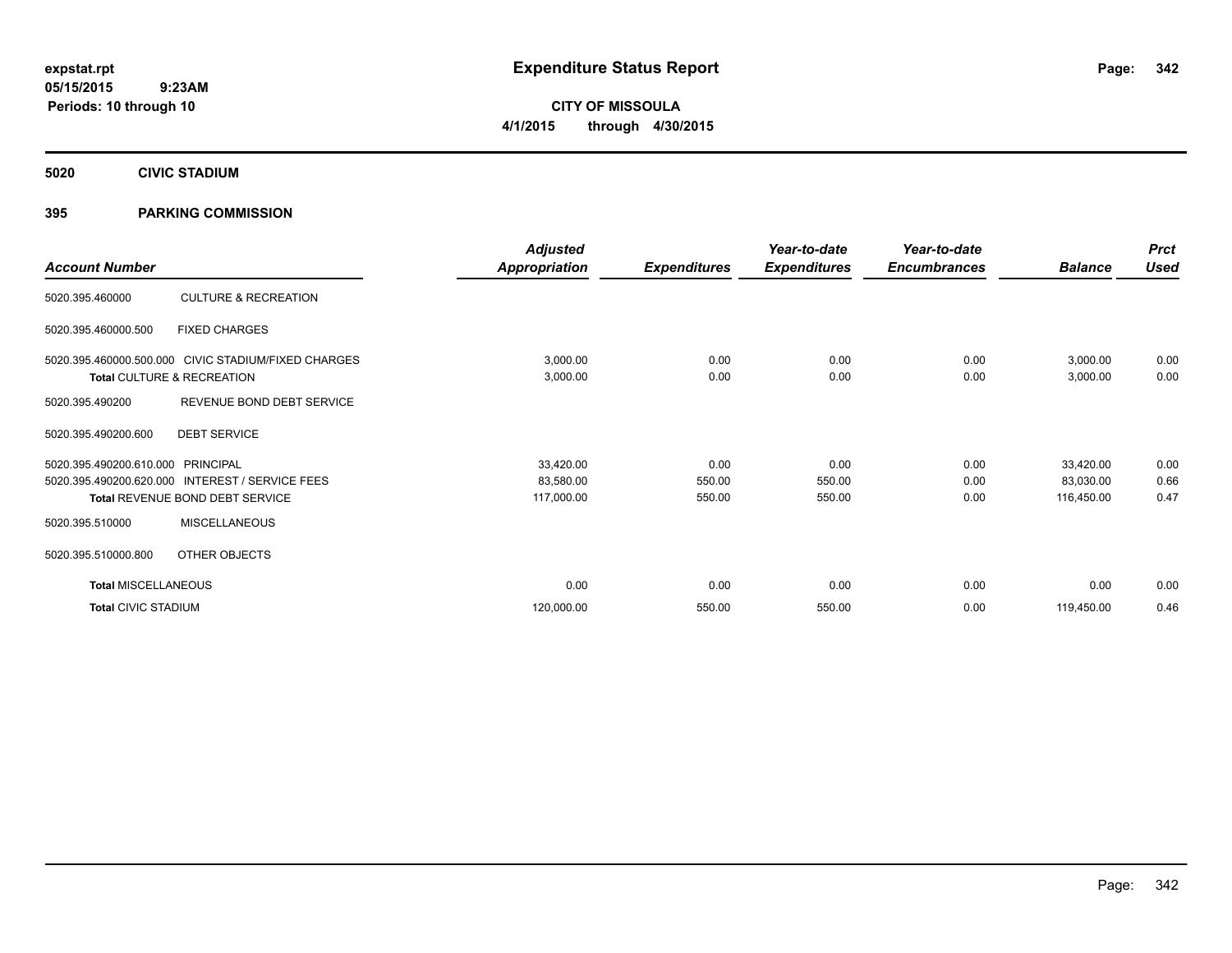**CITY OF MISSOULA 4/1/2015 through 4/30/2015**

**5020 CIVIC STADIUM**

### **395 PARKING COMMISSION**

| <b>Account Number</b>      |                                                     | <b>Adjusted</b><br><b>Appropriation</b> | <b>Expenditures</b> | Year-to-date<br><b>Expenditures</b> | Year-to-date<br><b>Encumbrances</b> | <b>Balance</b> | <b>Prct</b><br><b>Used</b> |
|----------------------------|-----------------------------------------------------|-----------------------------------------|---------------------|-------------------------------------|-------------------------------------|----------------|----------------------------|
|                            |                                                     |                                         |                     |                                     |                                     |                |                            |
| 5020.395.460000            | <b>CULTURE &amp; RECREATION</b>                     |                                         |                     |                                     |                                     |                |                            |
| 5020.395.460000.500        | <b>FIXED CHARGES</b>                                |                                         |                     |                                     |                                     |                |                            |
|                            | 5020.395.460000.500.000 CIVIC STADIUM/FIXED CHARGES | 3,000.00                                | 0.00                | 0.00                                | 0.00                                | 3,000.00       | 0.00                       |
|                            | Total CULTURE & RECREATION                          | 3,000.00                                | 0.00                | 0.00                                | 0.00                                | 3,000.00       | 0.00                       |
| 5020.395.490200            | REVENUE BOND DEBT SERVICE                           |                                         |                     |                                     |                                     |                |                            |
| 5020.395.490200.600        | <b>DEBT SERVICE</b>                                 |                                         |                     |                                     |                                     |                |                            |
| 5020.395.490200.610.000    | PRINCIPAL                                           | 33,420.00                               | 0.00                | 0.00                                | 0.00                                | 33,420.00      | 0.00                       |
| 5020.395.490200.620.000    | <b>INTEREST / SERVICE FEES</b>                      | 83,580.00                               | 550.00              | 550.00                              | 0.00                                | 83,030.00      | 0.66                       |
|                            | Total REVENUE BOND DEBT SERVICE                     | 117,000.00                              | 550.00              | 550.00                              | 0.00                                | 116,450.00     | 0.47                       |
| 5020.395.510000            | <b>MISCELLANEOUS</b>                                |                                         |                     |                                     |                                     |                |                            |
| 5020.395.510000.800        | OTHER OBJECTS                                       |                                         |                     |                                     |                                     |                |                            |
| <b>Total MISCELLANEOUS</b> |                                                     | 0.00                                    | 0.00                | 0.00                                | 0.00                                | 0.00           | 0.00                       |
| <b>Total CIVIC STADIUM</b> |                                                     | 120,000.00                              | 550.00              | 550.00                              | 0.00                                | 119,450.00     | 0.46                       |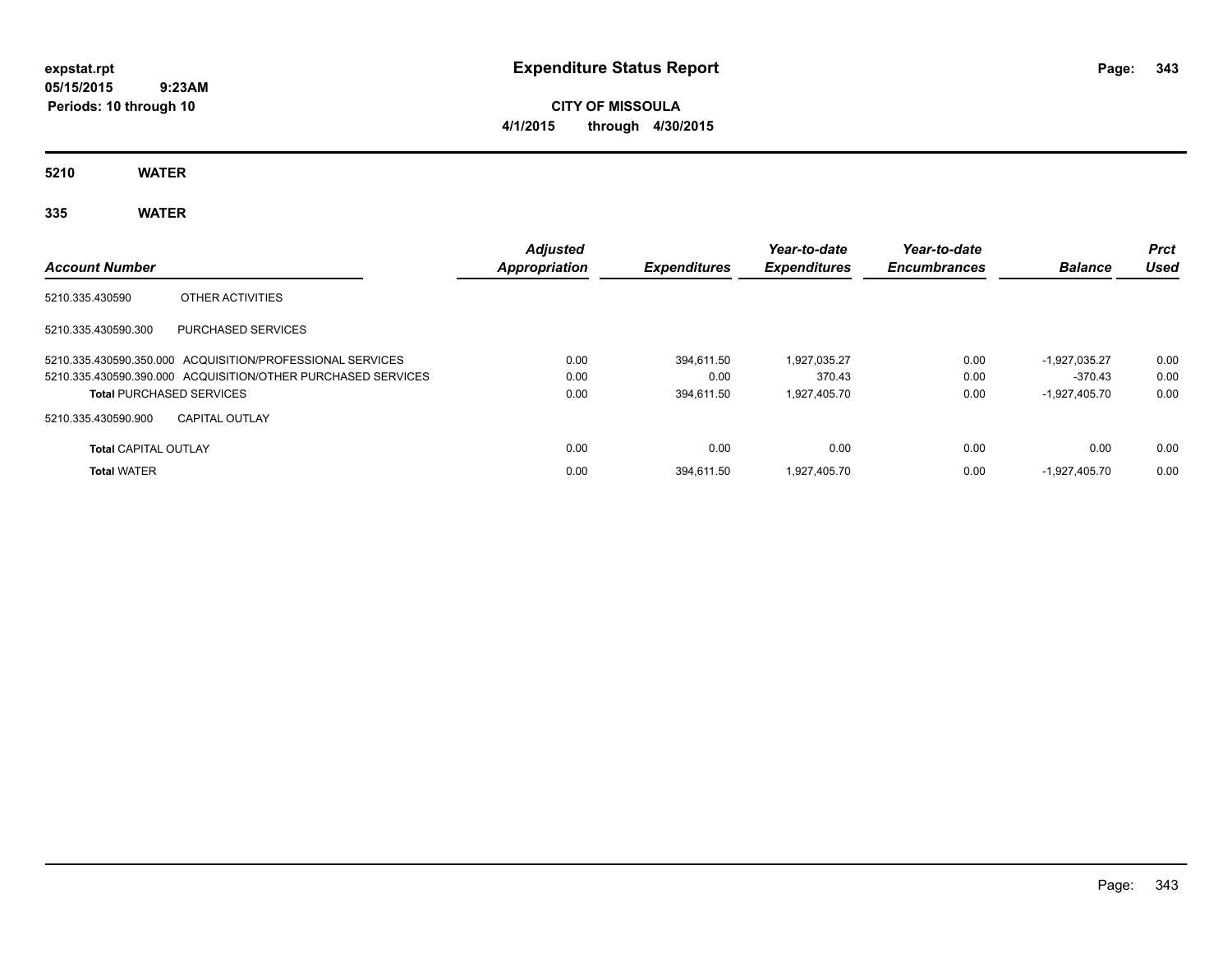# **CITY OF MISSOULA 4/1/2015 through 4/30/2015**

**5210 WATER**

# **335 WATER**

| <b>Account Number</b>                                        | <b>Adjusted</b><br>Appropriation | <b>Expenditures</b> | Year-to-date<br><b>Expenditures</b> | Year-to-date<br><b>Encumbrances</b> | <b>Balance</b>  | <b>Prct</b><br>Used |
|--------------------------------------------------------------|----------------------------------|---------------------|-------------------------------------|-------------------------------------|-----------------|---------------------|
| 5210.335.430590<br>OTHER ACTIVITIES                          |                                  |                     |                                     |                                     |                 |                     |
| 5210.335.430590.300<br>PURCHASED SERVICES                    |                                  |                     |                                     |                                     |                 |                     |
| 5210.335.430590.350.000 ACQUISITION/PROFESSIONAL SERVICES    | 0.00                             | 394.611.50          | 1.927.035.27                        | 0.00                                | $-1.927.035.27$ | 0.00                |
| 5210.335.430590.390.000 ACQUISITION/OTHER PURCHASED SERVICES | 0.00                             | 0.00                | 370.43                              | 0.00                                | -370.43         | 0.00                |
| <b>Total PURCHASED SERVICES</b>                              | 0.00                             | 394.611.50          | 1.927.405.70                        | 0.00                                | $-1.927.405.70$ | 0.00                |
| 5210.335.430590.900<br><b>CAPITAL OUTLAY</b>                 |                                  |                     |                                     |                                     |                 |                     |
| <b>Total CAPITAL OUTLAY</b>                                  | 0.00                             | 0.00                | 0.00                                | 0.00                                | 0.00            | 0.00                |
| <b>Total WATER</b>                                           | 0.00                             | 394.611.50          | 1.927.405.70                        | 0.00                                | $-1.927.405.70$ | 0.00                |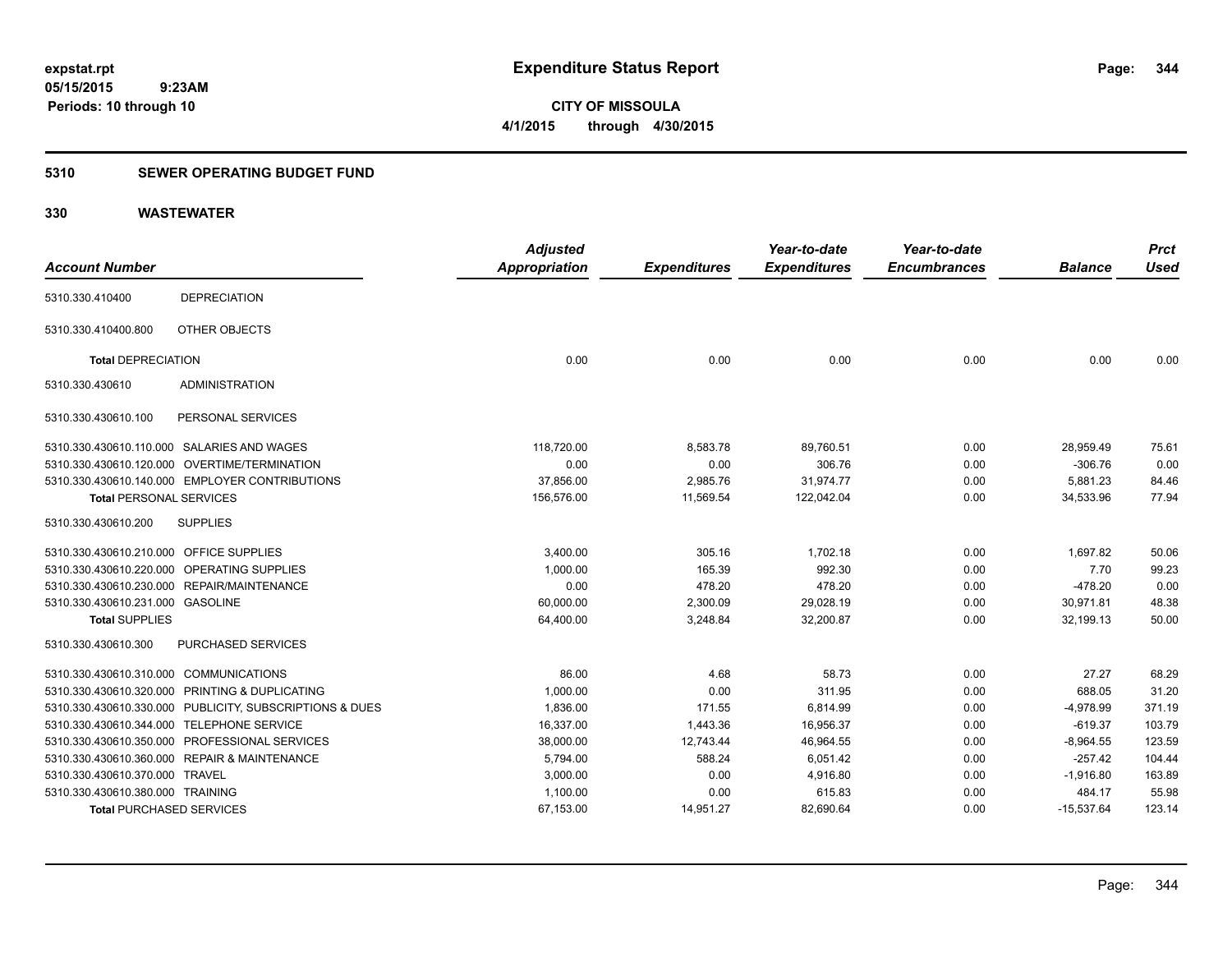**344**

**05/15/2015 9:23AM Periods: 10 through 10**

**CITY OF MISSOULA 4/1/2015 through 4/30/2015**

#### **5310 SEWER OPERATING BUDGET FUND**

|                                         |                                                         | <b>Adjusted</b>      |                     | Year-to-date        | Year-to-date        |                | <b>Prct</b> |
|-----------------------------------------|---------------------------------------------------------|----------------------|---------------------|---------------------|---------------------|----------------|-------------|
| <b>Account Number</b>                   |                                                         | <b>Appropriation</b> | <b>Expenditures</b> | <b>Expenditures</b> | <b>Encumbrances</b> | <b>Balance</b> | <b>Used</b> |
| 5310.330.410400                         | <b>DEPRECIATION</b>                                     |                      |                     |                     |                     |                |             |
| 5310.330.410400.800                     | OTHER OBJECTS                                           |                      |                     |                     |                     |                |             |
| <b>Total DEPRECIATION</b>               |                                                         | 0.00                 | 0.00                | 0.00                | 0.00                | 0.00           | 0.00        |
| 5310.330.430610                         | <b>ADMINISTRATION</b>                                   |                      |                     |                     |                     |                |             |
| 5310.330.430610.100                     | PERSONAL SERVICES                                       |                      |                     |                     |                     |                |             |
|                                         | 5310.330.430610.110.000 SALARIES AND WAGES              | 118,720.00           | 8,583.78            | 89,760.51           | 0.00                | 28,959.49      | 75.61       |
|                                         | 5310.330.430610.120.000 OVERTIME/TERMINATION            | 0.00                 | 0.00                | 306.76              | 0.00                | $-306.76$      | 0.00        |
|                                         | 5310.330.430610.140.000 EMPLOYER CONTRIBUTIONS          | 37,856.00            | 2,985.76            | 31,974.77           | 0.00                | 5,881.23       | 84.46       |
| <b>Total PERSONAL SERVICES</b>          |                                                         | 156,576.00           | 11,569.54           | 122,042.04          | 0.00                | 34,533.96      | 77.94       |
| 5310.330.430610.200                     | <b>SUPPLIES</b>                                         |                      |                     |                     |                     |                |             |
| 5310.330.430610.210.000 OFFICE SUPPLIES |                                                         | 3,400.00             | 305.16              | 1,702.18            | 0.00                | 1,697.82       | 50.06       |
| 5310.330.430610.220.000                 | OPERATING SUPPLIES                                      | 1,000.00             | 165.39              | 992.30              | 0.00                | 7.70           | 99.23       |
|                                         | 5310.330.430610.230.000 REPAIR/MAINTENANCE              | 0.00                 | 478.20              | 478.20              | 0.00                | $-478.20$      | 0.00        |
| 5310.330.430610.231.000 GASOLINE        |                                                         | 60,000.00            | 2,300.09            | 29,028.19           | 0.00                | 30,971.81      | 48.38       |
| <b>Total SUPPLIES</b>                   |                                                         | 64,400.00            | 3,248.84            | 32,200.87           | 0.00                | 32,199.13      | 50.00       |
| 5310.330.430610.300                     | <b>PURCHASED SERVICES</b>                               |                      |                     |                     |                     |                |             |
| 5310.330.430610.310.000 COMMUNICATIONS  |                                                         | 86.00                | 4.68                | 58.73               | 0.00                | 27.27          | 68.29       |
| 5310.330.430610.320.000                 | PRINTING & DUPLICATING                                  | 1,000.00             | 0.00                | 311.95              | 0.00                | 688.05         | 31.20       |
|                                         | 5310.330.430610.330.000 PUBLICITY, SUBSCRIPTIONS & DUES | 1,836.00             | 171.55              | 6,814.99            | 0.00                | $-4,978.99$    | 371.19      |
|                                         | 5310.330.430610.344.000 TELEPHONE SERVICE               | 16,337.00            | 1,443.36            | 16,956.37           | 0.00                | $-619.37$      | 103.79      |
|                                         | 5310.330.430610.350.000 PROFESSIONAL SERVICES           | 38,000.00            | 12,743.44           | 46,964.55           | 0.00                | $-8,964.55$    | 123.59      |
|                                         | 5310.330.430610.360.000 REPAIR & MAINTENANCE            | 5,794.00             | 588.24              | 6,051.42            | 0.00                | $-257.42$      | 104.44      |
| 5310.330.430610.370.000 TRAVEL          |                                                         | 3,000.00             | 0.00                | 4,916.80            | 0.00                | $-1,916.80$    | 163.89      |
| 5310.330.430610.380.000 TRAINING        |                                                         | 1,100.00             | 0.00                | 615.83              | 0.00                | 484.17         | 55.98       |
| <b>Total PURCHASED SERVICES</b>         |                                                         | 67,153.00            | 14,951.27           | 82,690.64           | 0.00                | $-15,537.64$   | 123.14      |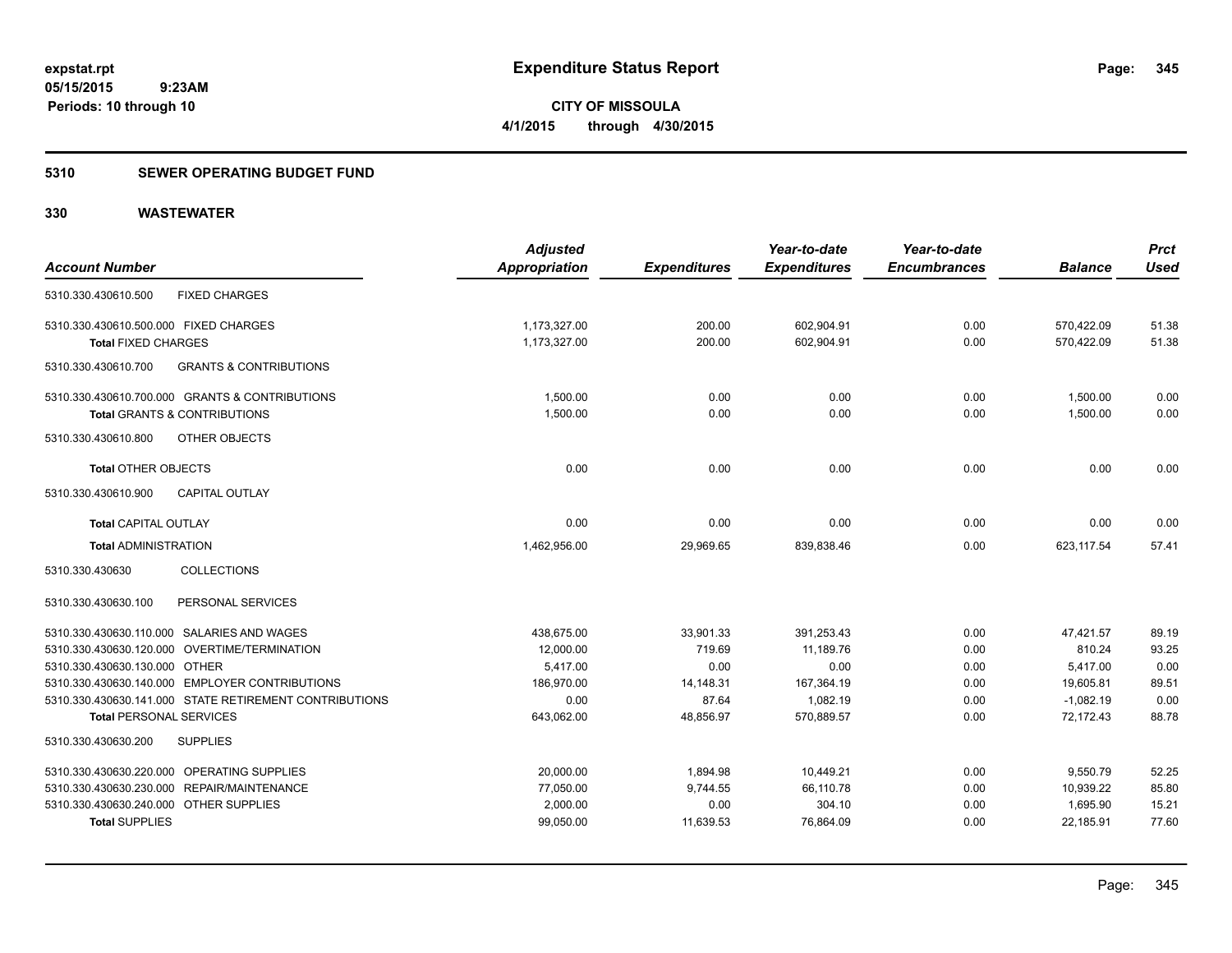**345**

**05/15/2015 9:23AM Periods: 10 through 10**

**CITY OF MISSOULA 4/1/2015 through 4/30/2015**

### **5310 SEWER OPERATING BUDGET FUND**

| <b>Account Number</b>                                    | <b>Adjusted</b><br>Appropriation | <b>Expenditures</b> | Year-to-date<br><b>Expenditures</b> | Year-to-date<br><b>Encumbrances</b> | <b>Balance</b> | <b>Prct</b><br><b>Used</b> |
|----------------------------------------------------------|----------------------------------|---------------------|-------------------------------------|-------------------------------------|----------------|----------------------------|
| <b>FIXED CHARGES</b><br>5310.330.430610.500              |                                  |                     |                                     |                                     |                |                            |
| 5310.330.430610.500.000 FIXED CHARGES                    | 1,173,327.00                     | 200.00              | 602,904.91                          | 0.00                                | 570,422.09     | 51.38                      |
| <b>Total FIXED CHARGES</b>                               | 1,173,327.00                     | 200.00              | 602,904.91                          | 0.00                                | 570,422.09     | 51.38                      |
| 5310.330.430610.700<br><b>GRANTS &amp; CONTRIBUTIONS</b> |                                  |                     |                                     |                                     |                |                            |
| 5310.330.430610.700.000 GRANTS & CONTRIBUTIONS           | 1,500.00                         | 0.00                | 0.00                                | 0.00                                | 1,500.00       | 0.00                       |
| <b>Total GRANTS &amp; CONTRIBUTIONS</b>                  | 1,500.00                         | 0.00                | 0.00                                | 0.00                                | 1,500.00       | 0.00                       |
| 5310.330.430610.800<br>OTHER OBJECTS                     |                                  |                     |                                     |                                     |                |                            |
| <b>Total OTHER OBJECTS</b>                               | 0.00                             | 0.00                | 0.00                                | 0.00                                | 0.00           | 0.00                       |
| 5310.330.430610.900<br><b>CAPITAL OUTLAY</b>             |                                  |                     |                                     |                                     |                |                            |
| <b>Total CAPITAL OUTLAY</b>                              | 0.00                             | 0.00                | 0.00                                | 0.00                                | 0.00           | 0.00                       |
| <b>Total ADMINISTRATION</b>                              | 1,462,956.00                     | 29,969.65           | 839,838.46                          | 0.00                                | 623,117.54     | 57.41                      |
| <b>COLLECTIONS</b><br>5310.330.430630                    |                                  |                     |                                     |                                     |                |                            |
| PERSONAL SERVICES<br>5310.330.430630.100                 |                                  |                     |                                     |                                     |                |                            |
| 5310.330.430630.110.000 SALARIES AND WAGES               | 438,675.00                       | 33,901.33           | 391,253.43                          | 0.00                                | 47,421.57      | 89.19                      |
| 5310.330.430630.120.000 OVERTIME/TERMINATION             | 12,000.00                        | 719.69              | 11,189.76                           | 0.00                                | 810.24         | 93.25                      |
| 5310.330.430630.130.000 OTHER                            | 5.417.00                         | 0.00                | 0.00                                | 0.00                                | 5,417.00       | 0.00                       |
| 5310.330.430630.140.000 EMPLOYER CONTRIBUTIONS           | 186,970.00                       | 14,148.31           | 167,364.19                          | 0.00                                | 19,605.81      | 89.51                      |
| 5310.330.430630.141.000 STATE RETIREMENT CONTRIBUTIONS   | 0.00                             | 87.64               | 1,082.19                            | 0.00                                | $-1,082.19$    | 0.00                       |
| <b>Total PERSONAL SERVICES</b>                           | 643,062.00                       | 48,856.97           | 570.889.57                          | 0.00                                | 72.172.43      | 88.78                      |
| <b>SUPPLIES</b><br>5310.330.430630.200                   |                                  |                     |                                     |                                     |                |                            |
| 5310.330.430630.220.000 OPERATING SUPPLIES               | 20,000.00                        | 1,894.98            | 10,449.21                           | 0.00                                | 9,550.79       | 52.25                      |
| 5310.330.430630.230.000 REPAIR/MAINTENANCE               | 77,050.00                        | 9,744.55            | 66,110.78                           | 0.00                                | 10,939.22      | 85.80                      |
| 5310.330.430630.240.000 OTHER SUPPLIES                   | 2,000.00                         | 0.00                | 304.10                              | 0.00                                | 1,695.90       | 15.21                      |
| <b>Total SUPPLIES</b>                                    | 99,050.00                        | 11,639.53           | 76,864.09                           | 0.00                                | 22,185.91      | 77.60                      |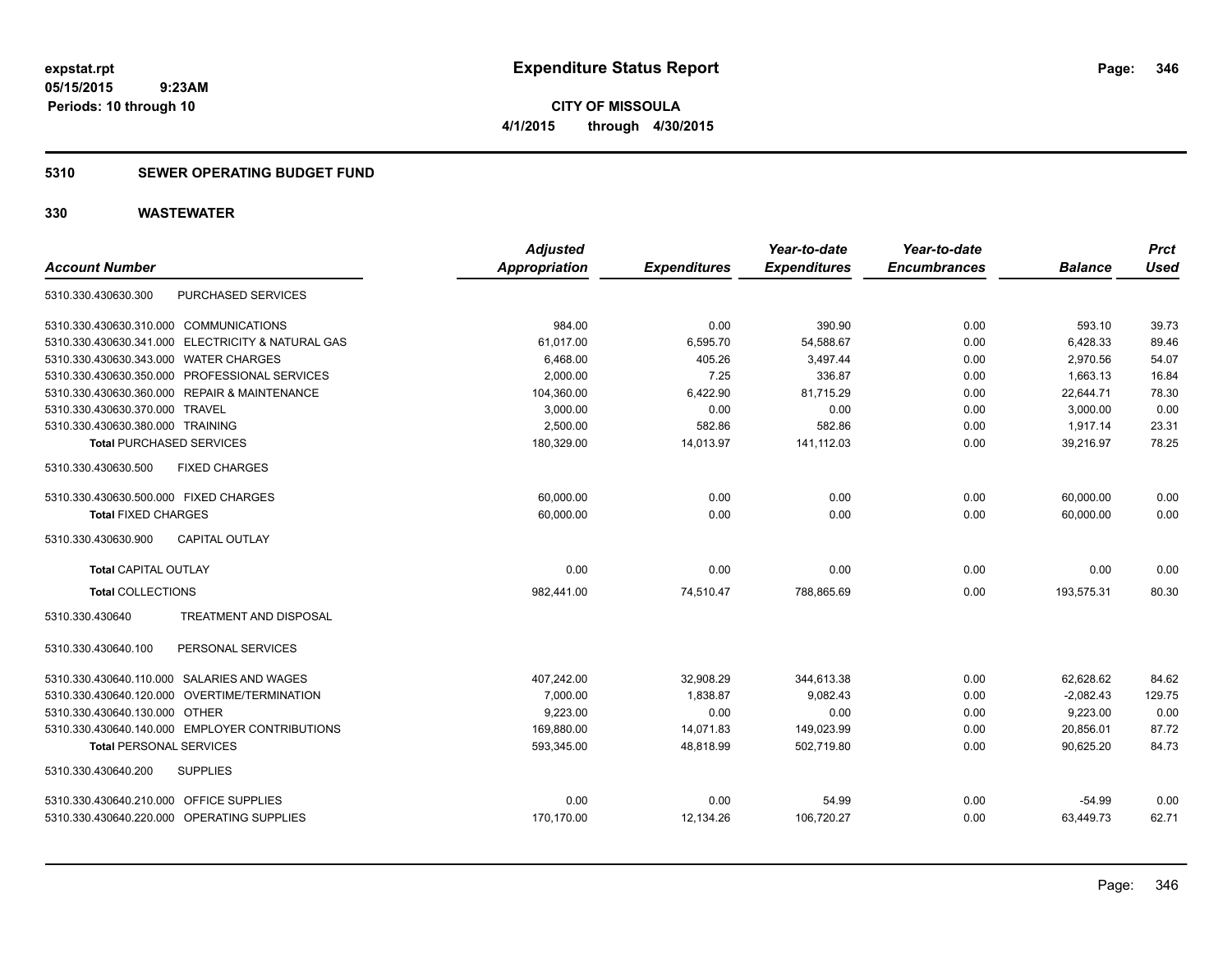### **5310 SEWER OPERATING BUDGET FUND**

| <b>Account Number</b>                      |                                                   | <b>Adjusted</b><br>Appropriation | <b>Expenditures</b> | Year-to-date<br><b>Expenditures</b> | Year-to-date<br><b>Encumbrances</b> | <b>Balance</b> | <b>Prct</b><br><b>Used</b> |
|--------------------------------------------|---------------------------------------------------|----------------------------------|---------------------|-------------------------------------|-------------------------------------|----------------|----------------------------|
| 5310.330.430630.300                        | PURCHASED SERVICES                                |                                  |                     |                                     |                                     |                |                            |
| 5310.330.430630.310.000 COMMUNICATIONS     |                                                   | 984.00                           | 0.00                | 390.90                              | 0.00                                | 593.10         | 39.73                      |
|                                            | 5310.330.430630.341.000 ELECTRICITY & NATURAL GAS | 61.017.00                        | 6,595.70            | 54,588.67                           | 0.00                                | 6,428.33       | 89.46                      |
| 5310.330.430630.343.000 WATER CHARGES      |                                                   | 6,468.00                         | 405.26              | 3,497.44                            | 0.00                                | 2,970.56       | 54.07                      |
|                                            | 5310.330.430630.350.000 PROFESSIONAL SERVICES     | 2,000.00                         | 7.25                | 336.87                              | 0.00                                | 1,663.13       | 16.84                      |
|                                            | 5310.330.430630.360.000 REPAIR & MAINTENANCE      | 104,360.00                       | 6,422.90            | 81,715.29                           | 0.00                                | 22,644.71      | 78.30                      |
| 5310.330.430630.370.000 TRAVEL             |                                                   | 3,000.00                         | 0.00                | 0.00                                | 0.00                                | 3,000.00       | 0.00                       |
| 5310.330.430630.380.000 TRAINING           |                                                   | 2.500.00                         | 582.86              | 582.86                              | 0.00                                | 1.917.14       | 23.31                      |
| <b>Total PURCHASED SERVICES</b>            |                                                   | 180,329.00                       | 14,013.97           | 141,112.03                          | 0.00                                | 39,216.97      | 78.25                      |
| 5310.330.430630.500                        | <b>FIXED CHARGES</b>                              |                                  |                     |                                     |                                     |                |                            |
| 5310.330.430630.500.000 FIXED CHARGES      |                                                   | 60,000.00                        | 0.00                | 0.00                                | 0.00                                | 60,000.00      | 0.00                       |
| <b>Total FIXED CHARGES</b>                 |                                                   | 60,000.00                        | 0.00                | 0.00                                | 0.00                                | 60,000.00      | 0.00                       |
| 5310.330.430630.900                        | CAPITAL OUTLAY                                    |                                  |                     |                                     |                                     |                |                            |
| <b>Total CAPITAL OUTLAY</b>                |                                                   | 0.00                             | 0.00                | 0.00                                | 0.00                                | 0.00           | 0.00                       |
| <b>Total COLLECTIONS</b>                   |                                                   | 982,441.00                       | 74,510.47           | 788,865.69                          | 0.00                                | 193,575.31     | 80.30                      |
| 5310.330.430640                            | <b>TREATMENT AND DISPOSAL</b>                     |                                  |                     |                                     |                                     |                |                            |
| 5310.330.430640.100                        | PERSONAL SERVICES                                 |                                  |                     |                                     |                                     |                |                            |
| 5310.330.430640.110.000 SALARIES AND WAGES |                                                   | 407,242.00                       | 32,908.29           | 344,613.38                          | 0.00                                | 62,628.62      | 84.62                      |
|                                            | 5310.330.430640.120.000 OVERTIME/TERMINATION      | 7,000.00                         | 1,838.87            | 9,082.43                            | 0.00                                | $-2,082.43$    | 129.75                     |
| 5310.330.430640.130.000 OTHER              |                                                   | 9.223.00                         | 0.00                | 0.00                                | 0.00                                | 9,223.00       | 0.00                       |
|                                            | 5310.330.430640.140.000 EMPLOYER CONTRIBUTIONS    | 169,880.00                       | 14,071.83           | 149,023.99                          | 0.00                                | 20,856.01      | 87.72                      |
| <b>Total PERSONAL SERVICES</b>             |                                                   | 593,345.00                       | 48,818.99           | 502,719.80                          | 0.00                                | 90,625.20      | 84.73                      |
| 5310.330.430640.200                        | <b>SUPPLIES</b>                                   |                                  |                     |                                     |                                     |                |                            |
| 5310.330.430640.210.000 OFFICE SUPPLIES    |                                                   | 0.00                             | 0.00                | 54.99                               | 0.00                                | $-54.99$       | 0.00                       |
| 5310.330.430640.220.000 OPERATING SUPPLIES |                                                   | 170.170.00                       | 12,134.26           | 106,720.27                          | 0.00                                | 63.449.73      | 62.71                      |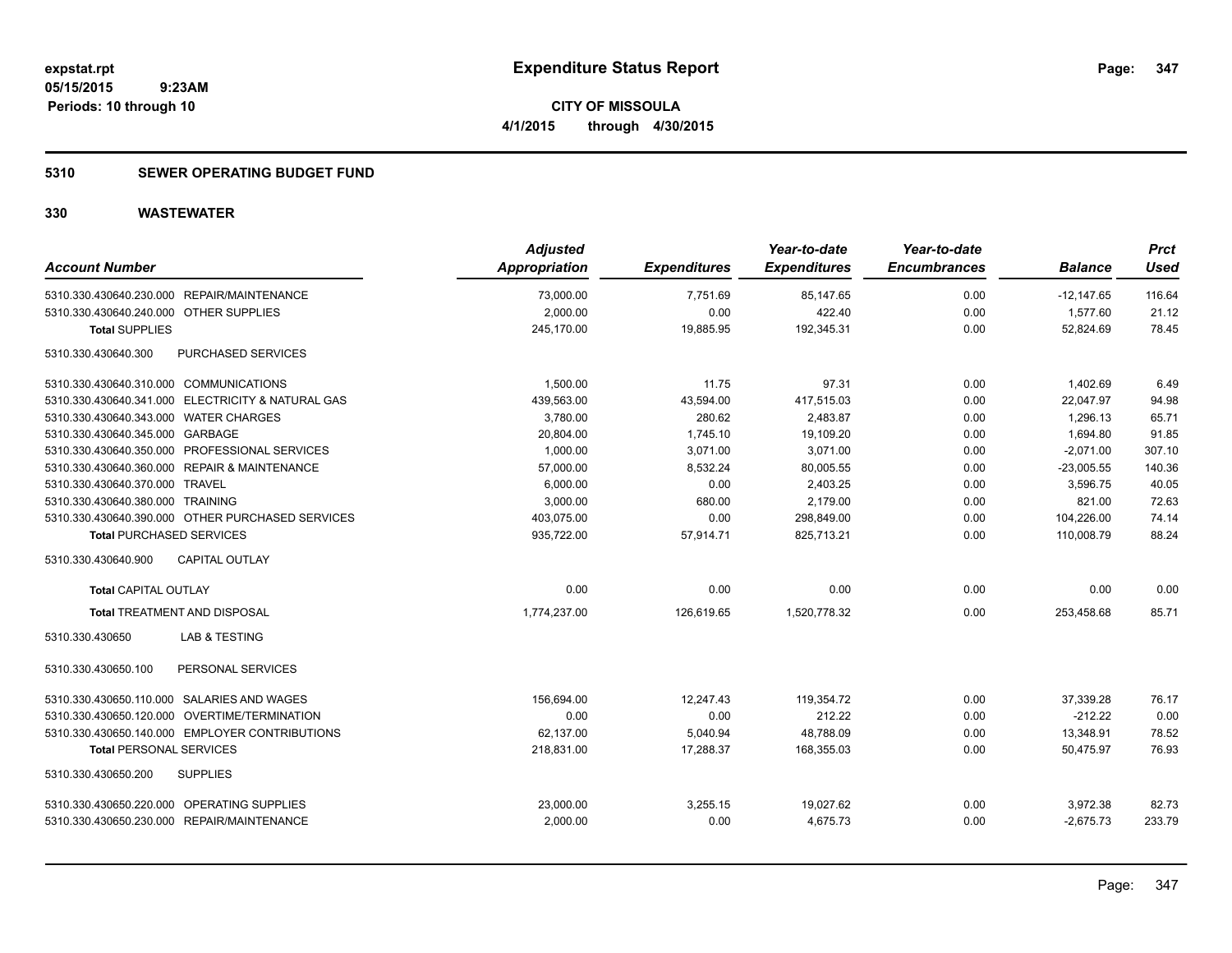### **5310 SEWER OPERATING BUDGET FUND**

| <b>Account Number</b>                             | <b>Adjusted</b><br>Appropriation | <b>Expenditures</b> | Year-to-date<br><b>Expenditures</b> | Year-to-date<br><b>Encumbrances</b> | <b>Balance</b> | <b>Prct</b><br><b>Used</b> |
|---------------------------------------------------|----------------------------------|---------------------|-------------------------------------|-------------------------------------|----------------|----------------------------|
| 5310.330.430640.230.000 REPAIR/MAINTENANCE        | 73,000.00                        | 7,751.69            | 85,147.65                           | 0.00                                | $-12,147.65$   | 116.64                     |
| 5310.330.430640.240.000 OTHER SUPPLIES            | 2,000.00                         | 0.00                | 422.40                              | 0.00                                | 1,577.60       | 21.12                      |
| <b>Total SUPPLIES</b>                             | 245,170.00                       | 19,885.95           | 192,345.31                          | 0.00                                | 52,824.69      | 78.45                      |
| 5310.330.430640.300<br>PURCHASED SERVICES         |                                  |                     |                                     |                                     |                |                            |
| 5310.330.430640.310.000 COMMUNICATIONS            | 1,500.00                         | 11.75               | 97.31                               | 0.00                                | 1.402.69       | 6.49                       |
| 5310.330.430640.341.000 ELECTRICITY & NATURAL GAS | 439,563.00                       | 43,594.00           | 417,515.03                          | 0.00                                | 22,047.97      | 94.98                      |
| 5310.330.430640.343.000 WATER CHARGES             | 3,780.00                         | 280.62              | 2,483.87                            | 0.00                                | 1,296.13       | 65.71                      |
| 5310.330.430640.345.000 GARBAGE                   | 20,804.00                        | 1,745.10            | 19,109.20                           | 0.00                                | 1,694.80       | 91.85                      |
| 5310.330.430640.350.000 PROFESSIONAL SERVICES     | 1,000.00                         | 3,071.00            | 3,071.00                            | 0.00                                | $-2,071.00$    | 307.10                     |
| 5310.330.430640.360.000 REPAIR & MAINTENANCE      | 57,000.00                        | 8,532.24            | 80,005.55                           | 0.00                                | $-23,005.55$   | 140.36                     |
| 5310.330.430640.370.000 TRAVEL                    | 6.000.00                         | 0.00                | 2.403.25                            | 0.00                                | 3.596.75       | 40.05                      |
| 5310.330.430640.380.000 TRAINING                  | 3,000.00                         | 680.00              | 2,179.00                            | 0.00                                | 821.00         | 72.63                      |
| 5310.330.430640.390.000 OTHER PURCHASED SERVICES  | 403,075.00                       | 0.00                | 298,849.00                          | 0.00                                | 104,226.00     | 74.14                      |
| <b>Total PURCHASED SERVICES</b>                   | 935,722.00                       | 57,914.71           | 825,713.21                          | 0.00                                | 110,008.79     | 88.24                      |
| <b>CAPITAL OUTLAY</b><br>5310.330.430640.900      |                                  |                     |                                     |                                     |                |                            |
| <b>Total CAPITAL OUTLAY</b>                       | 0.00                             | 0.00                | 0.00                                | 0.00                                | 0.00           | 0.00                       |
| <b>Total TREATMENT AND DISPOSAL</b>               | 1,774,237.00                     | 126,619.65          | 1,520,778.32                        | 0.00                                | 253,458.68     | 85.71                      |
| 5310.330.430650<br><b>LAB &amp; TESTING</b>       |                                  |                     |                                     |                                     |                |                            |
| 5310.330.430650.100<br>PERSONAL SERVICES          |                                  |                     |                                     |                                     |                |                            |
| 5310.330.430650.110.000 SALARIES AND WAGES        | 156,694.00                       | 12,247.43           | 119,354.72                          | 0.00                                | 37,339.28      | 76.17                      |
| 5310.330.430650.120.000 OVERTIME/TERMINATION      | 0.00                             | 0.00                | 212.22                              | 0.00                                | $-212.22$      | 0.00                       |
| 5310.330.430650.140.000 EMPLOYER CONTRIBUTIONS    | 62,137.00                        | 5,040.94            | 48,788.09                           | 0.00                                | 13,348.91      | 78.52                      |
| <b>Total PERSONAL SERVICES</b>                    | 218,831.00                       | 17,288.37           | 168,355.03                          | 0.00                                | 50,475.97      | 76.93                      |
| 5310.330.430650.200<br><b>SUPPLIES</b>            |                                  |                     |                                     |                                     |                |                            |
| 5310.330.430650.220.000 OPERATING SUPPLIES        | 23,000.00                        | 3,255.15            | 19,027.62                           | 0.00                                | 3,972.38       | 82.73                      |
| 5310.330.430650.230.000 REPAIR/MAINTENANCE        | 2,000.00                         | 0.00                | 4,675.73                            | 0.00                                | $-2,675.73$    | 233.79                     |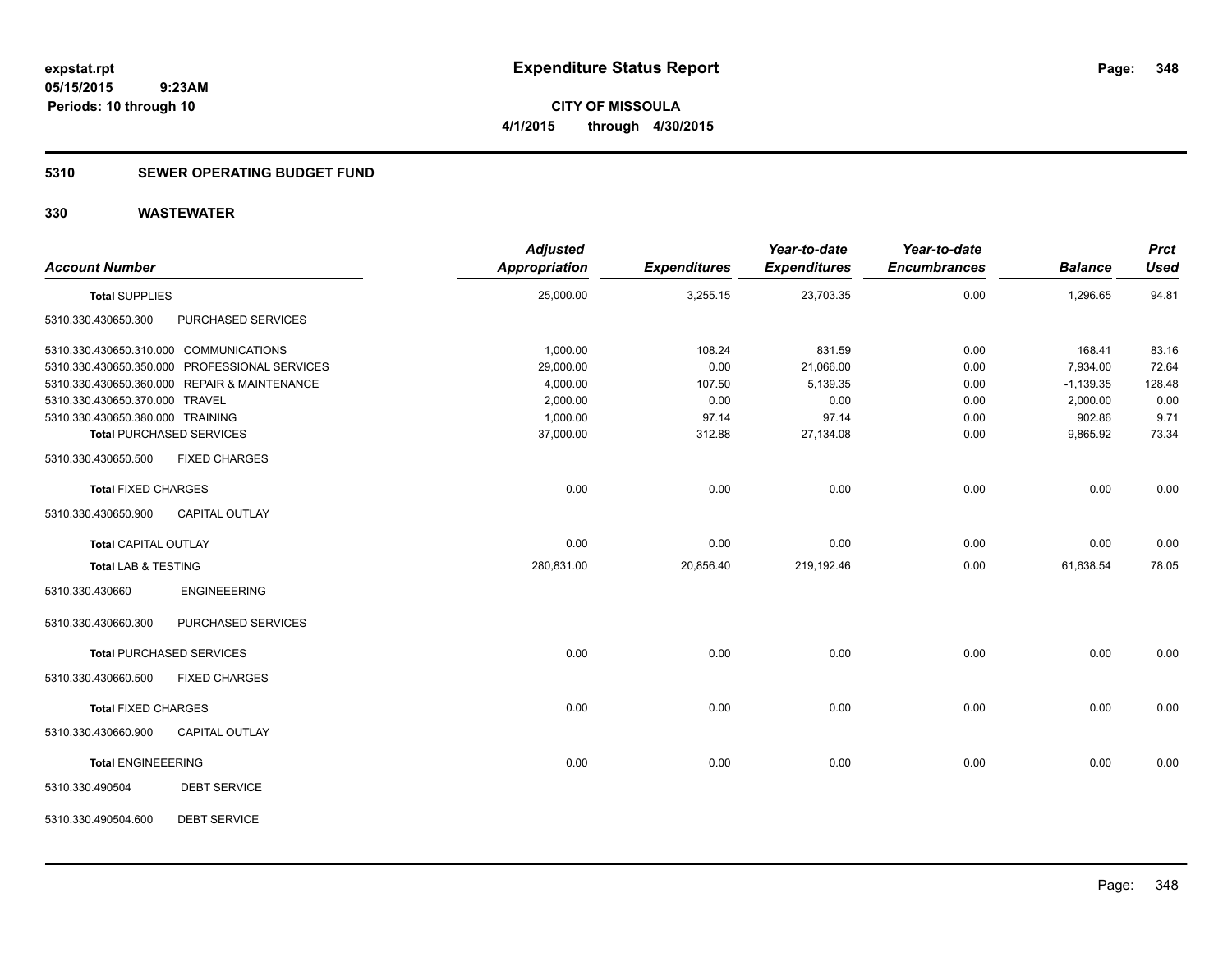### **5310 SEWER OPERATING BUDGET FUND**

| <b>Account Number</b>            |                                               | <b>Adjusted</b><br>Appropriation | <b>Expenditures</b> | Year-to-date<br><b>Expenditures</b> | Year-to-date<br><b>Encumbrances</b> | <b>Balance</b> | <b>Prct</b><br><b>Used</b> |
|----------------------------------|-----------------------------------------------|----------------------------------|---------------------|-------------------------------------|-------------------------------------|----------------|----------------------------|
| <b>Total SUPPLIES</b>            |                                               | 25,000.00                        | 3,255.15            | 23,703.35                           | 0.00                                | 1,296.65       | 94.81                      |
| 5310.330.430650.300              | PURCHASED SERVICES                            |                                  |                     |                                     |                                     |                |                            |
|                                  | 5310.330.430650.310.000 COMMUNICATIONS        | 1,000.00                         | 108.24              | 831.59                              | 0.00                                | 168.41         | 83.16                      |
|                                  | 5310.330.430650.350.000 PROFESSIONAL SERVICES | 29,000.00                        | 0.00                | 21,066.00                           | 0.00                                | 7,934.00       | 72.64                      |
|                                  | 5310.330.430650.360.000 REPAIR & MAINTENANCE  | 4,000.00                         | 107.50              | 5,139.35                            | 0.00                                | $-1,139.35$    | 128.48                     |
| 5310.330.430650.370.000 TRAVEL   |                                               | 2,000.00                         | 0.00                | 0.00                                | 0.00                                | 2,000.00       | 0.00                       |
| 5310.330.430650.380.000 TRAINING |                                               | 1,000.00                         | 97.14               | 97.14                               | 0.00                                | 902.86         | 9.71                       |
|                                  | <b>Total PURCHASED SERVICES</b>               | 37,000.00                        | 312.88              | 27,134.08                           | 0.00                                | 9,865.92       | 73.34                      |
| 5310.330.430650.500              | <b>FIXED CHARGES</b>                          |                                  |                     |                                     |                                     |                |                            |
| <b>Total FIXED CHARGES</b>       |                                               | 0.00                             | 0.00                | 0.00                                | 0.00                                | 0.00           | 0.00                       |
| 5310.330.430650.900              | <b>CAPITAL OUTLAY</b>                         |                                  |                     |                                     |                                     |                |                            |
| <b>Total CAPITAL OUTLAY</b>      |                                               | 0.00                             | 0.00                | 0.00                                | 0.00                                | 0.00           | 0.00                       |
| <b>Total LAB &amp; TESTING</b>   |                                               | 280,831.00                       | 20,856.40           | 219,192.46                          | 0.00                                | 61,638.54      | 78.05                      |
| 5310.330.430660                  | <b>ENGINEEERING</b>                           |                                  |                     |                                     |                                     |                |                            |
| 5310.330.430660.300              | PURCHASED SERVICES                            |                                  |                     |                                     |                                     |                |                            |
|                                  | <b>Total PURCHASED SERVICES</b>               | 0.00                             | 0.00                | 0.00                                | 0.00                                | 0.00           | 0.00                       |
| 5310.330.430660.500              | <b>FIXED CHARGES</b>                          |                                  |                     |                                     |                                     |                |                            |
| <b>Total FIXED CHARGES</b>       |                                               | 0.00                             | 0.00                | 0.00                                | 0.00                                | 0.00           | 0.00                       |
| 5310.330.430660.900              | <b>CAPITAL OUTLAY</b>                         |                                  |                     |                                     |                                     |                |                            |
| <b>Total ENGINEEERING</b>        |                                               | 0.00                             | 0.00                | 0.00                                | 0.00                                | 0.00           | 0.00                       |
| 5310.330.490504                  | <b>DEBT SERVICE</b>                           |                                  |                     |                                     |                                     |                |                            |
| 5310.330.490504.600              | <b>DEBT SERVICE</b>                           |                                  |                     |                                     |                                     |                |                            |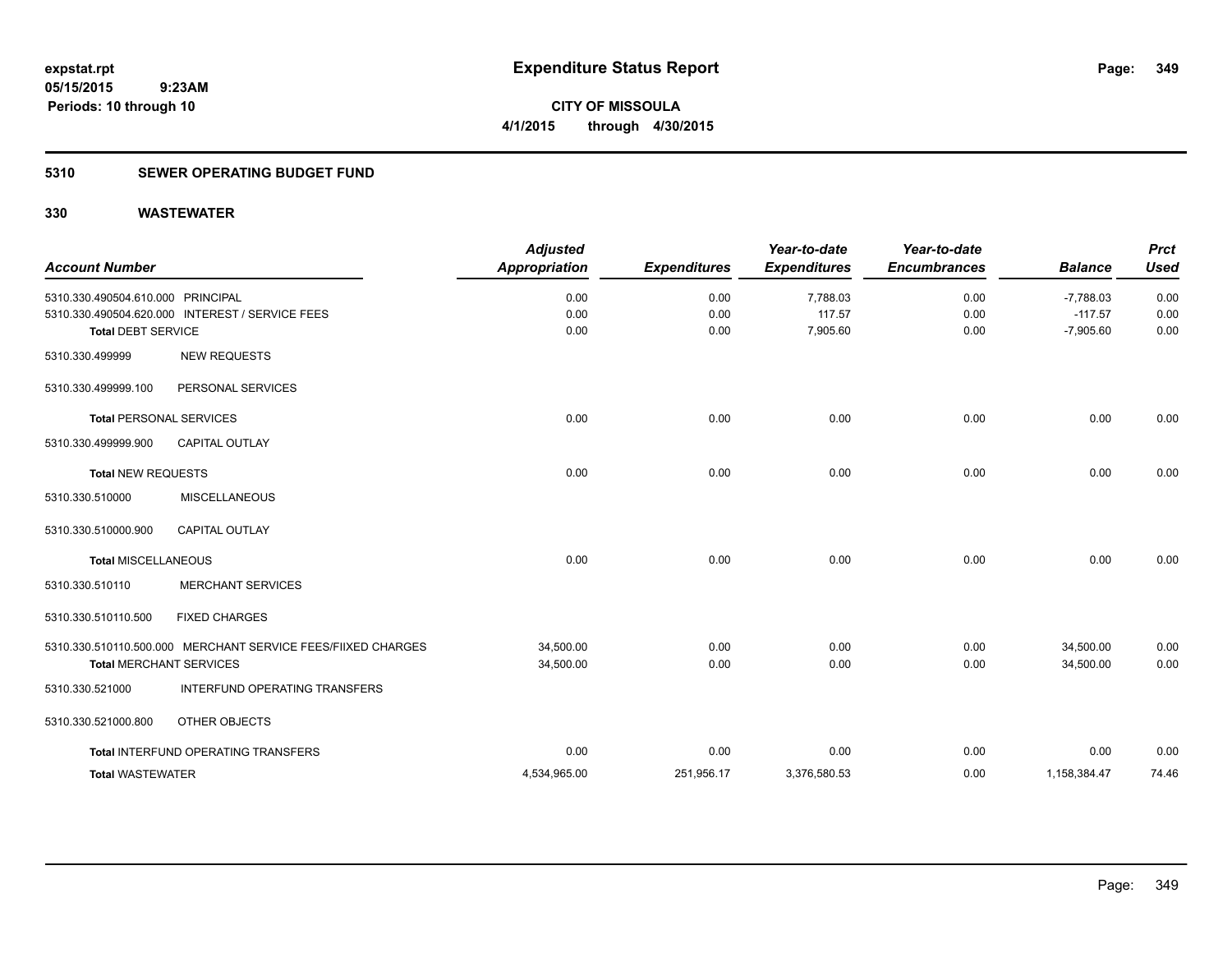### **5310 SEWER OPERATING BUDGET FUND**

| <b>Account Number</b>                                          |                                                                                                | <b>Adjusted</b><br><b>Appropriation</b> | <b>Expenditures</b>  | Year-to-date<br><b>Expenditures</b> | Year-to-date<br><b>Encumbrances</b> | <b>Balance</b>                          | <b>Prct</b><br><b>Used</b> |
|----------------------------------------------------------------|------------------------------------------------------------------------------------------------|-----------------------------------------|----------------------|-------------------------------------|-------------------------------------|-----------------------------------------|----------------------------|
| 5310.330.490504.610.000 PRINCIPAL<br><b>Total DEBT SERVICE</b> | 5310.330.490504.620.000 INTEREST / SERVICE FEES                                                | 0.00<br>0.00<br>0.00                    | 0.00<br>0.00<br>0.00 | 7,788.03<br>117.57<br>7,905.60      | 0.00<br>0.00<br>0.00                | $-7,788.03$<br>$-117.57$<br>$-7,905.60$ | 0.00<br>0.00<br>0.00       |
| 5310.330.499999                                                | <b>NEW REQUESTS</b>                                                                            |                                         |                      |                                     |                                     |                                         |                            |
| 5310.330.499999.100                                            | PERSONAL SERVICES                                                                              |                                         |                      |                                     |                                     |                                         |                            |
|                                                                | <b>Total PERSONAL SERVICES</b>                                                                 | 0.00                                    | 0.00                 | 0.00                                | 0.00                                | 0.00                                    | 0.00                       |
| 5310.330.499999.900                                            | <b>CAPITAL OUTLAY</b>                                                                          |                                         |                      |                                     |                                     |                                         |                            |
| <b>Total NEW REQUESTS</b>                                      |                                                                                                | 0.00                                    | 0.00                 | 0.00                                | 0.00                                | 0.00                                    | 0.00                       |
| 5310.330.510000                                                | <b>MISCELLANEOUS</b>                                                                           |                                         |                      |                                     |                                     |                                         |                            |
| 5310.330.510000.900                                            | <b>CAPITAL OUTLAY</b>                                                                          |                                         |                      |                                     |                                     |                                         |                            |
| <b>Total MISCELLANEOUS</b>                                     |                                                                                                | 0.00                                    | 0.00                 | 0.00                                | 0.00                                | 0.00                                    | 0.00                       |
| 5310.330.510110                                                | <b>MERCHANT SERVICES</b>                                                                       |                                         |                      |                                     |                                     |                                         |                            |
| 5310.330.510110.500                                            | <b>FIXED CHARGES</b>                                                                           |                                         |                      |                                     |                                     |                                         |                            |
|                                                                | 5310.330.510110.500.000 MERCHANT SERVICE FEES/FIIXED CHARGES<br><b>Total MERCHANT SERVICES</b> | 34,500.00<br>34,500.00                  | 0.00<br>0.00         | 0.00<br>0.00                        | 0.00<br>0.00                        | 34,500.00<br>34,500.00                  | 0.00<br>0.00               |
| 5310.330.521000                                                | INTERFUND OPERATING TRANSFERS                                                                  |                                         |                      |                                     |                                     |                                         |                            |
| 5310.330.521000.800                                            | OTHER OBJECTS                                                                                  |                                         |                      |                                     |                                     |                                         |                            |
|                                                                | Total INTERFUND OPERATING TRANSFERS                                                            | 0.00                                    | 0.00                 | 0.00                                | 0.00                                | 0.00                                    | 0.00                       |
| <b>Total WASTEWATER</b>                                        |                                                                                                | 4,534,965.00                            | 251,956.17           | 3,376,580.53                        | 0.00                                | 1,158,384.47                            | 74.46                      |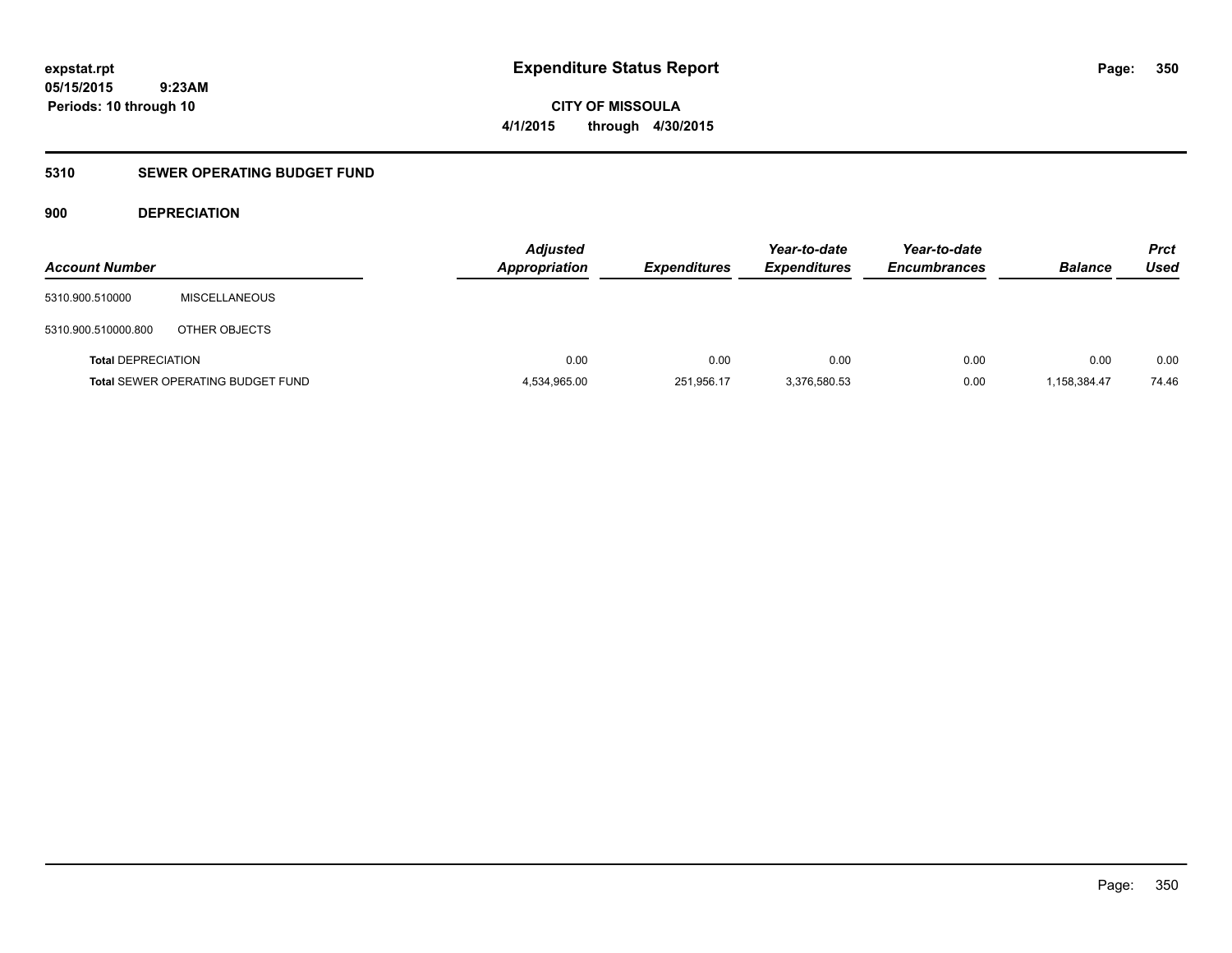**CITY OF MISSOULA 4/1/2015 through 4/30/2015**

### **5310 SEWER OPERATING BUDGET FUND**

### **900 DEPRECIATION**

| <b>Account Number</b>     |                                          | <b>Adjusted</b><br><b>Appropriation</b> | <b>Expenditures</b> | Year-to-date<br><b>Expenditures</b> | Year-to-date<br><b>Encumbrances</b> | <b>Balance</b> | <b>Prct</b><br>Used |
|---------------------------|------------------------------------------|-----------------------------------------|---------------------|-------------------------------------|-------------------------------------|----------------|---------------------|
| 5310.900.510000           | <b>MISCELLANEOUS</b>                     |                                         |                     |                                     |                                     |                |                     |
| 5310.900.510000.800       | OTHER OBJECTS                            |                                         |                     |                                     |                                     |                |                     |
| <b>Total DEPRECIATION</b> |                                          | 0.00                                    | 0.00                | 0.00                                | 0.00                                | 0.00           | 0.00                |
|                           | <b>Total SEWER OPERATING BUDGET FUND</b> | 4,534,965.00                            | 251,956.17          | 3,376,580.53                        | 0.00                                | 1,158,384.47   | 74.46               |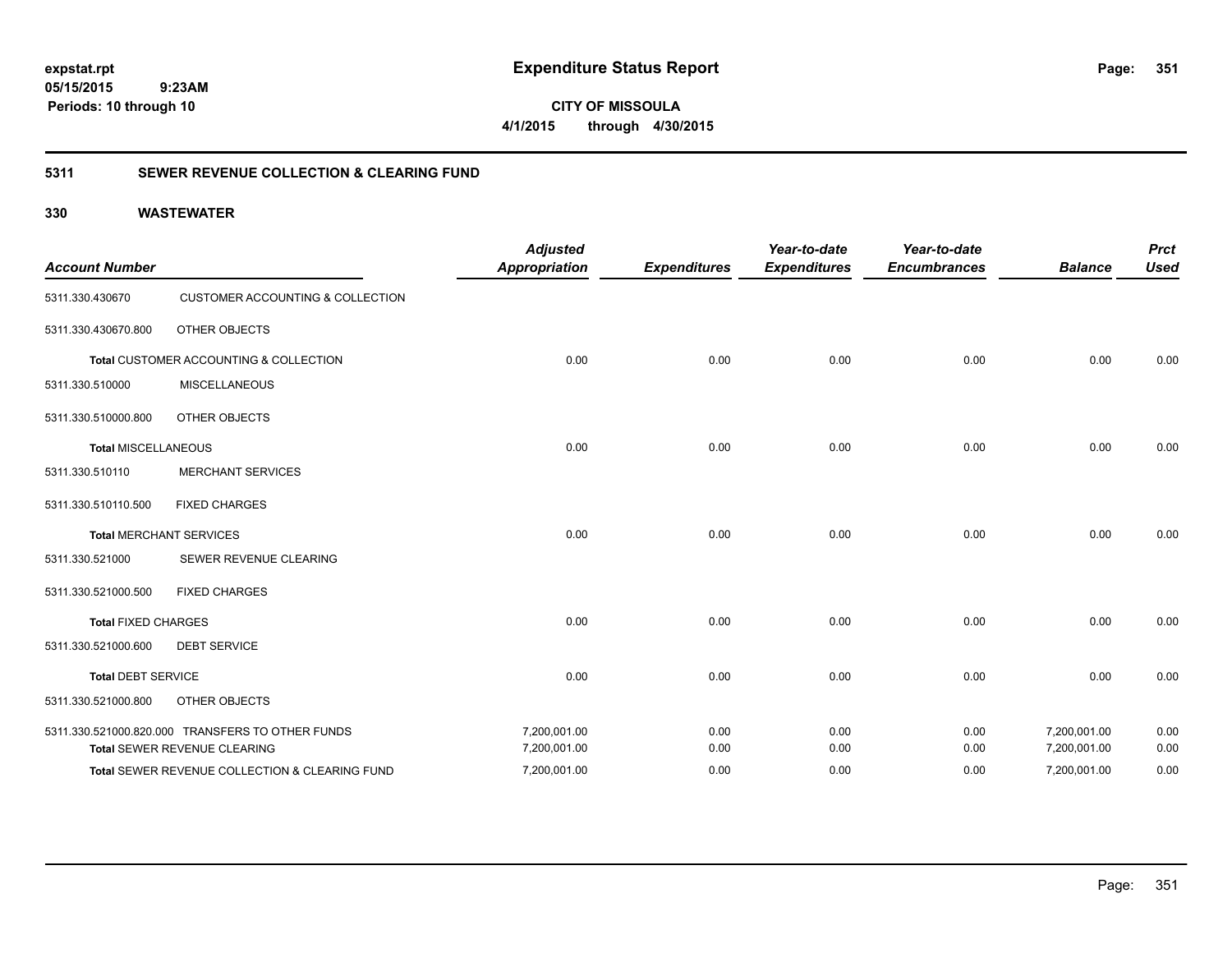**CITY OF MISSOULA 4/1/2015 through 4/30/2015**

### **5311 SEWER REVENUE COLLECTION & CLEARING FUND**

| <b>Account Number</b>      |                                                  | <b>Adjusted</b><br><b>Appropriation</b> | <b>Expenditures</b> | Year-to-date<br><b>Expenditures</b> | Year-to-date<br><b>Encumbrances</b> | <b>Balance</b> | <b>Prct</b><br><b>Used</b> |
|----------------------------|--------------------------------------------------|-----------------------------------------|---------------------|-------------------------------------|-------------------------------------|----------------|----------------------------|
| 5311.330.430670            | <b>CUSTOMER ACCOUNTING &amp; COLLECTION</b>      |                                         |                     |                                     |                                     |                |                            |
| 5311.330.430670.800        | <b>OTHER OBJECTS</b>                             |                                         |                     |                                     |                                     |                |                            |
|                            | Total CUSTOMER ACCOUNTING & COLLECTION           | 0.00                                    | 0.00                | 0.00                                | 0.00                                | 0.00           | 0.00                       |
| 5311.330.510000            | <b>MISCELLANEOUS</b>                             |                                         |                     |                                     |                                     |                |                            |
| 5311.330.510000.800        | <b>OTHER OBJECTS</b>                             |                                         |                     |                                     |                                     |                |                            |
| <b>Total MISCELLANEOUS</b> |                                                  | 0.00                                    | 0.00                | 0.00                                | 0.00                                | 0.00           | 0.00                       |
| 5311.330.510110            | <b>MERCHANT SERVICES</b>                         |                                         |                     |                                     |                                     |                |                            |
| 5311.330.510110.500        | <b>FIXED CHARGES</b>                             |                                         |                     |                                     |                                     |                |                            |
|                            | <b>Total MERCHANT SERVICES</b>                   | 0.00                                    | 0.00                | 0.00                                | 0.00                                | 0.00           | 0.00                       |
| 5311.330.521000            | SEWER REVENUE CLEARING                           |                                         |                     |                                     |                                     |                |                            |
| 5311.330.521000.500        | <b>FIXED CHARGES</b>                             |                                         |                     |                                     |                                     |                |                            |
| <b>Total FIXED CHARGES</b> |                                                  | 0.00                                    | 0.00                | 0.00                                | 0.00                                | 0.00           | 0.00                       |
| 5311.330.521000.600        | <b>DEBT SERVICE</b>                              |                                         |                     |                                     |                                     |                |                            |
| <b>Total DEBT SERVICE</b>  |                                                  | 0.00                                    | 0.00                | 0.00                                | 0.00                                | 0.00           | 0.00                       |
| 5311.330.521000.800        | <b>OTHER OBJECTS</b>                             |                                         |                     |                                     |                                     |                |                            |
|                            | 5311.330.521000.820.000 TRANSFERS TO OTHER FUNDS | 7,200,001.00                            | 0.00                | 0.00                                | 0.00                                | 7,200,001.00   | 0.00                       |
|                            | Total SEWER REVENUE CLEARING                     | 7,200,001.00                            | 0.00                | 0.00                                | 0.00                                | 7,200,001.00   | 0.00                       |
|                            | Total SEWER REVENUE COLLECTION & CLEARING FUND   | 7,200,001.00                            | 0.00                | 0.00                                | 0.00                                | 7,200,001.00   | 0.00                       |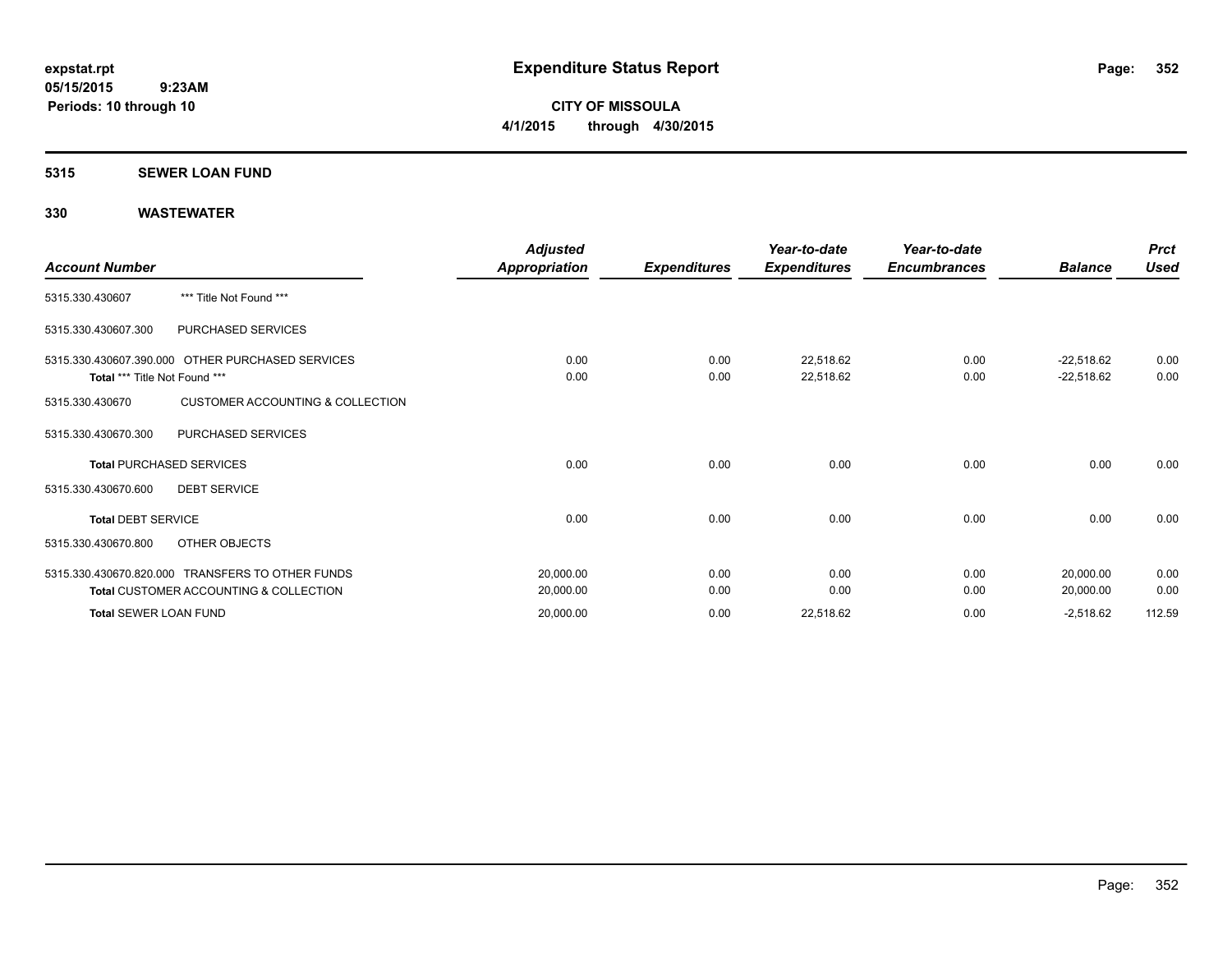**CITY OF MISSOULA 4/1/2015 through 4/30/2015**

#### **5315 SEWER LOAN FUND**

| <b>Account Number</b>         |                                                                                                       | <b>Adjusted</b><br>Appropriation | <b>Expenditures</b> | Year-to-date<br><b>Expenditures</b> | Year-to-date<br><b>Encumbrances</b> | <b>Balance</b>               | <b>Prct</b><br><b>Used</b> |
|-------------------------------|-------------------------------------------------------------------------------------------------------|----------------------------------|---------------------|-------------------------------------|-------------------------------------|------------------------------|----------------------------|
| 5315.330.430607               | *** Title Not Found ***                                                                               |                                  |                     |                                     |                                     |                              |                            |
| 5315.330.430607.300           | PURCHASED SERVICES                                                                                    |                                  |                     |                                     |                                     |                              |                            |
| Total *** Title Not Found *** | 5315.330.430607.390.000 OTHER PURCHASED SERVICES                                                      | 0.00<br>0.00                     | 0.00<br>0.00        | 22,518.62<br>22,518.62              | 0.00<br>0.00                        | $-22,518.62$<br>$-22,518.62$ | 0.00<br>0.00               |
| 5315.330.430670               | <b>CUSTOMER ACCOUNTING &amp; COLLECTION</b>                                                           |                                  |                     |                                     |                                     |                              |                            |
| 5315.330.430670.300           | PURCHASED SERVICES                                                                                    |                                  |                     |                                     |                                     |                              |                            |
|                               | <b>Total PURCHASED SERVICES</b>                                                                       | 0.00                             | 0.00                | 0.00                                | 0.00                                | 0.00                         | 0.00                       |
| 5315.330.430670.600           | <b>DEBT SERVICE</b>                                                                                   |                                  |                     |                                     |                                     |                              |                            |
| <b>Total DEBT SERVICE</b>     |                                                                                                       | 0.00                             | 0.00                | 0.00                                | 0.00                                | 0.00                         | 0.00                       |
| 5315.330.430670.800           | OTHER OBJECTS                                                                                         |                                  |                     |                                     |                                     |                              |                            |
|                               | 5315.330.430670.820.000 TRANSFERS TO OTHER FUNDS<br><b>Total CUSTOMER ACCOUNTING &amp; COLLECTION</b> | 20,000.00<br>20,000.00           | 0.00<br>0.00        | 0.00<br>0.00                        | 0.00<br>0.00                        | 20,000.00<br>20,000.00       | 0.00<br>0.00               |
| <b>Total SEWER LOAN FUND</b>  |                                                                                                       | 20,000.00                        | 0.00                | 22,518.62                           | 0.00                                | $-2,518.62$                  | 112.59                     |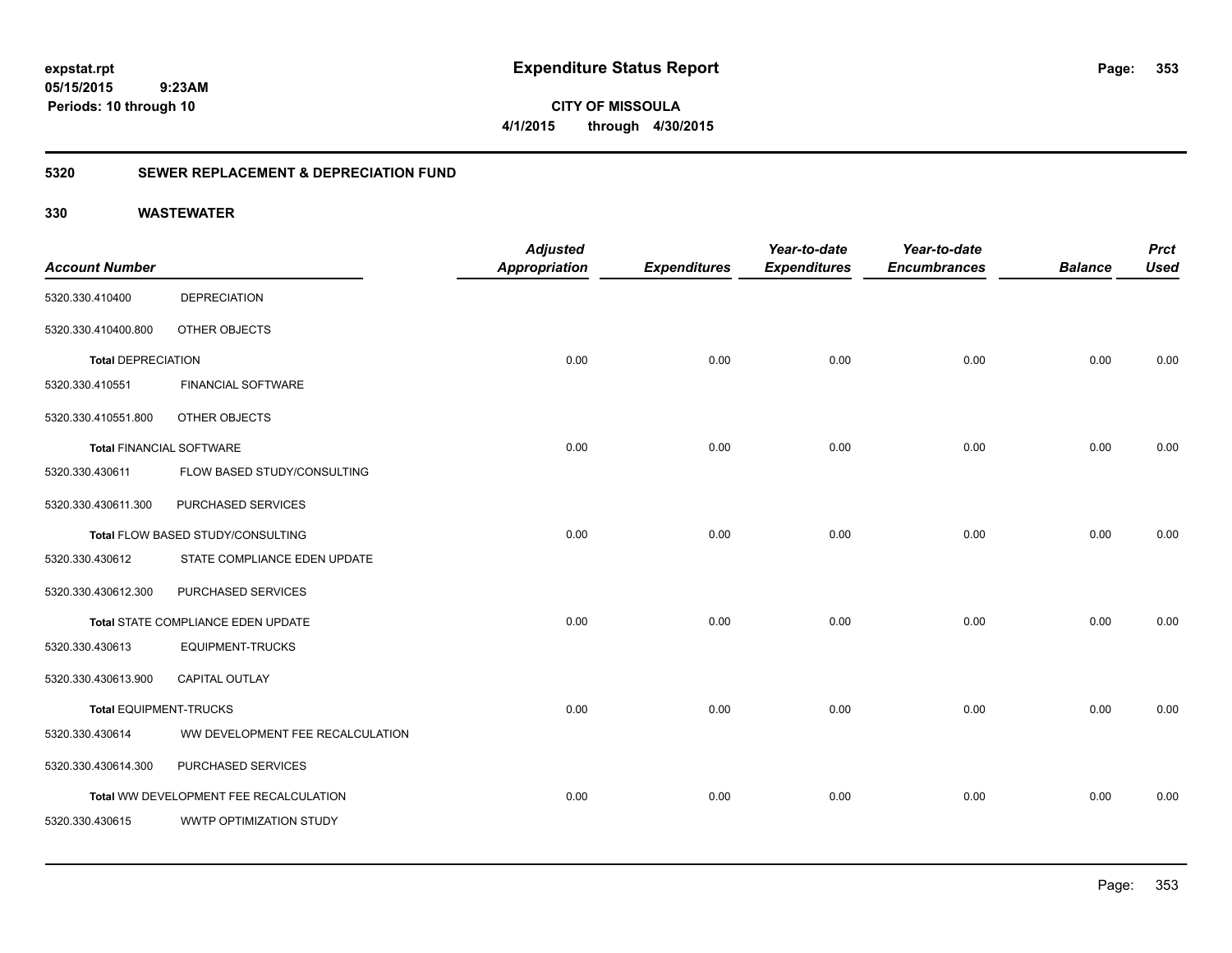**353**

**CITY OF MISSOULA 4/1/2015 through 4/30/2015**

### **5320 SEWER REPLACEMENT & DEPRECIATION FUND**

|                                 |                                        | <b>Adjusted</b>      |                     | Year-to-date        | Year-to-date        |                | <b>Prct</b> |
|---------------------------------|----------------------------------------|----------------------|---------------------|---------------------|---------------------|----------------|-------------|
| <b>Account Number</b>           |                                        | <b>Appropriation</b> | <b>Expenditures</b> | <b>Expenditures</b> | <b>Encumbrances</b> | <b>Balance</b> | <b>Used</b> |
| 5320.330.410400                 | <b>DEPRECIATION</b>                    |                      |                     |                     |                     |                |             |
| 5320.330.410400.800             | OTHER OBJECTS                          |                      |                     |                     |                     |                |             |
| <b>Total DEPRECIATION</b>       |                                        | 0.00                 | 0.00                | 0.00                | 0.00                | 0.00           | 0.00        |
| 5320.330.410551                 | <b>FINANCIAL SOFTWARE</b>              |                      |                     |                     |                     |                |             |
| 5320.330.410551.800             | OTHER OBJECTS                          |                      |                     |                     |                     |                |             |
| <b>Total FINANCIAL SOFTWARE</b> |                                        | 0.00                 | 0.00                | 0.00                | 0.00                | 0.00           | 0.00        |
| 5320.330.430611                 | FLOW BASED STUDY/CONSULTING            |                      |                     |                     |                     |                |             |
| 5320.330.430611.300             | PURCHASED SERVICES                     |                      |                     |                     |                     |                |             |
|                                 | Total FLOW BASED STUDY/CONSULTING      | 0.00                 | 0.00                | 0.00                | 0.00                | 0.00           | 0.00        |
| 5320.330.430612                 | STATE COMPLIANCE EDEN UPDATE           |                      |                     |                     |                     |                |             |
| 5320.330.430612.300             | PURCHASED SERVICES                     |                      |                     |                     |                     |                |             |
|                                 | Total STATE COMPLIANCE EDEN UPDATE     | 0.00                 | 0.00                | 0.00                | 0.00                | 0.00           | 0.00        |
| 5320.330.430613                 | <b>EQUIPMENT-TRUCKS</b>                |                      |                     |                     |                     |                |             |
| 5320.330.430613.900             | <b>CAPITAL OUTLAY</b>                  |                      |                     |                     |                     |                |             |
| <b>Total EQUIPMENT-TRUCKS</b>   |                                        | 0.00                 | 0.00                | 0.00                | 0.00                | 0.00           | 0.00        |
| 5320.330.430614                 | WW DEVELOPMENT FEE RECALCULATION       |                      |                     |                     |                     |                |             |
| 5320.330.430614.300             | PURCHASED SERVICES                     |                      |                     |                     |                     |                |             |
|                                 | Total WW DEVELOPMENT FEE RECALCULATION | 0.00                 | 0.00                | 0.00                | 0.00                | 0.00           | 0.00        |
| 5320.330.430615                 | WWTP OPTIMIZATION STUDY                |                      |                     |                     |                     |                |             |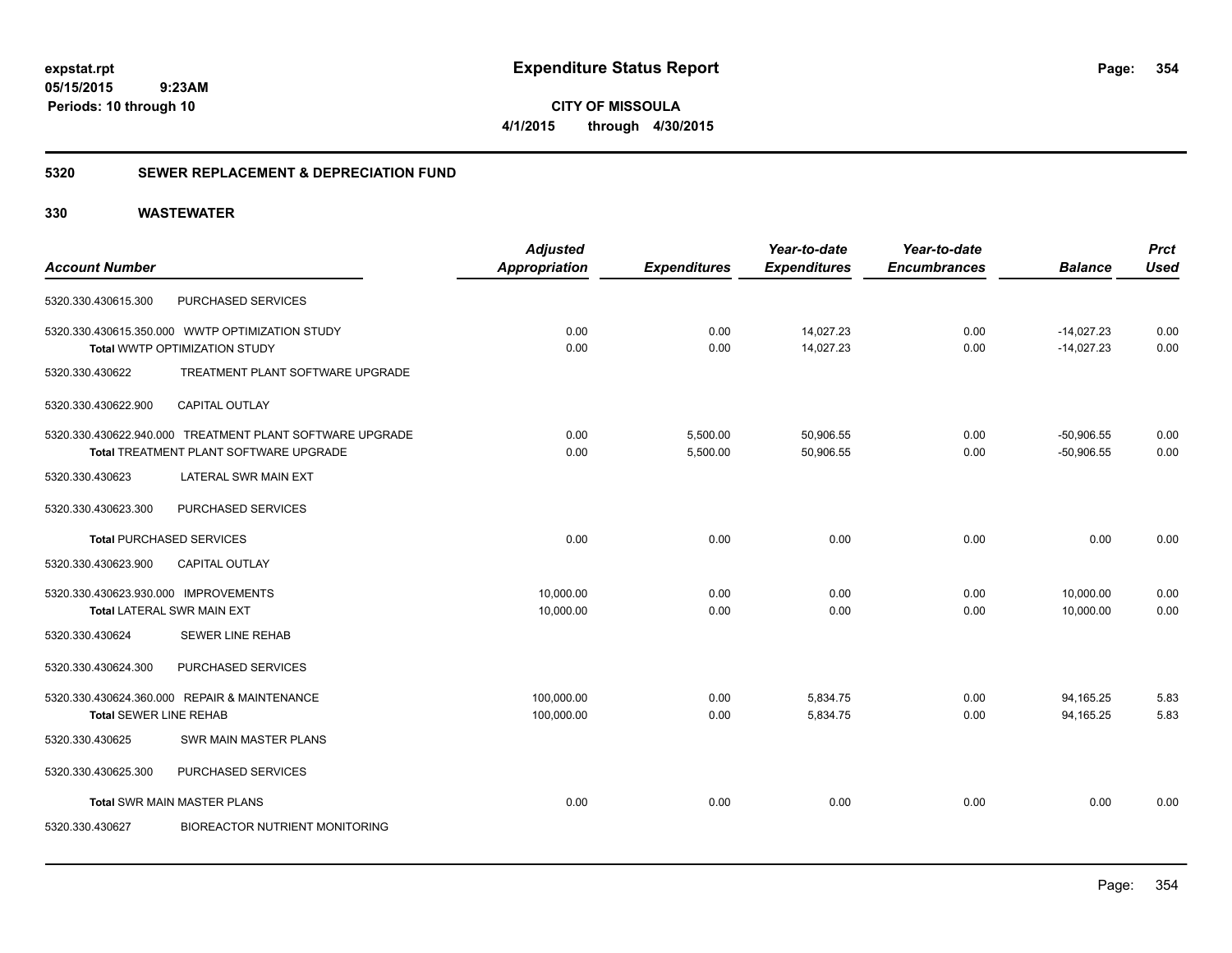**CITY OF MISSOULA 4/1/2015 through 4/30/2015**

### **5320 SEWER REPLACEMENT & DEPRECIATION FUND**

|                                                          | <b>Adjusted</b>      |                     | Year-to-date        | Year-to-date        |                | <b>Prct</b> |
|----------------------------------------------------------|----------------------|---------------------|---------------------|---------------------|----------------|-------------|
| <b>Account Number</b>                                    | <b>Appropriation</b> | <b>Expenditures</b> | <b>Expenditures</b> | <b>Encumbrances</b> | <b>Balance</b> | <b>Used</b> |
| PURCHASED SERVICES<br>5320.330.430615.300                |                      |                     |                     |                     |                |             |
| 5320.330.430615.350.000 WWTP OPTIMIZATION STUDY          | 0.00                 | 0.00                | 14,027.23           | 0.00                | $-14,027.23$   | 0.00        |
| Total WWTP OPTIMIZATION STUDY                            | 0.00                 | 0.00                | 14,027.23           | 0.00                | $-14,027.23$   | 0.00        |
| TREATMENT PLANT SOFTWARE UPGRADE<br>5320.330.430622      |                      |                     |                     |                     |                |             |
| CAPITAL OUTLAY<br>5320.330.430622.900                    |                      |                     |                     |                     |                |             |
| 5320.330.430622.940.000 TREATMENT PLANT SOFTWARE UPGRADE | 0.00                 | 5,500.00            | 50,906.55           | 0.00                | $-50,906.55$   | 0.00        |
| Total TREATMENT PLANT SOFTWARE UPGRADE                   | 0.00                 | 5,500.00            | 50,906.55           | 0.00                | $-50,906.55$   | 0.00        |
| <b>LATERAL SWR MAIN EXT</b><br>5320.330.430623           |                      |                     |                     |                     |                |             |
| 5320.330.430623.300<br>PURCHASED SERVICES                |                      |                     |                     |                     |                |             |
| <b>Total PURCHASED SERVICES</b>                          | 0.00                 | 0.00                | 0.00                | 0.00                | 0.00           | 0.00        |
| 5320.330.430623.900<br><b>CAPITAL OUTLAY</b>             |                      |                     |                     |                     |                |             |
| 5320.330.430623.930.000 IMPROVEMENTS                     | 10,000.00            | 0.00                | 0.00                | 0.00                | 10,000.00      | 0.00        |
| <b>Total LATERAL SWR MAIN EXT</b>                        | 10,000.00            | 0.00                | 0.00                | 0.00                | 10,000.00      | 0.00        |
| <b>SEWER LINE REHAB</b><br>5320.330.430624               |                      |                     |                     |                     |                |             |
| PURCHASED SERVICES<br>5320.330.430624.300                |                      |                     |                     |                     |                |             |
| 5320.330.430624.360.000 REPAIR & MAINTENANCE             | 100,000.00           | 0.00                | 5,834.75            | 0.00                | 94,165.25      | 5.83        |
| <b>Total SEWER LINE REHAB</b>                            | 100,000.00           | 0.00                | 5,834.75            | 0.00                | 94.165.25      | 5.83        |
| <b>SWR MAIN MASTER PLANS</b><br>5320.330.430625          |                      |                     |                     |                     |                |             |
| PURCHASED SERVICES<br>5320.330.430625.300                |                      |                     |                     |                     |                |             |
| <b>Total SWR MAIN MASTER PLANS</b>                       | 0.00                 | 0.00                | 0.00                | 0.00                | 0.00           | 0.00        |
| <b>BIOREACTOR NUTRIENT MONITORING</b><br>5320.330.430627 |                      |                     |                     |                     |                |             |
|                                                          |                      |                     |                     |                     |                |             |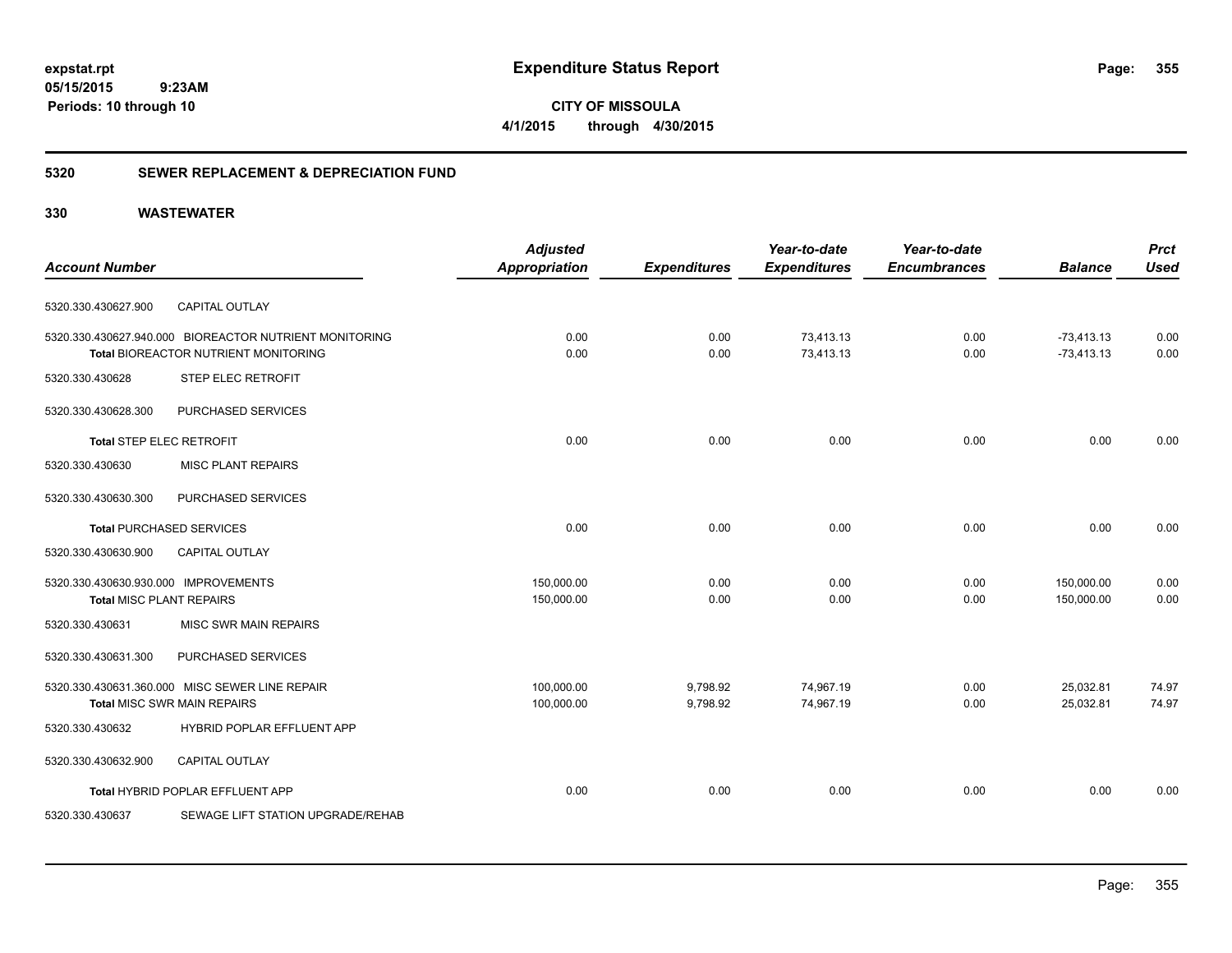**CITY OF MISSOULA 4/1/2015 through 4/30/2015**

### **5320 SEWER REPLACEMENT & DEPRECIATION FUND**

|                                                                         |                                                                                                | <b>Adjusted</b>          |                      | Year-to-date           | Year-to-date        |                              | <b>Prct</b>    |
|-------------------------------------------------------------------------|------------------------------------------------------------------------------------------------|--------------------------|----------------------|------------------------|---------------------|------------------------------|----------------|
| <b>Account Number</b>                                                   |                                                                                                | <b>Appropriation</b>     | <b>Expenditures</b>  | <b>Expenditures</b>    | <b>Encumbrances</b> | <b>Balance</b>               | <b>Used</b>    |
| 5320.330.430627.900                                                     | <b>CAPITAL OUTLAY</b>                                                                          |                          |                      |                        |                     |                              |                |
|                                                                         | 5320.330.430627.940.000 BIOREACTOR NUTRIENT MONITORING<br>Total BIOREACTOR NUTRIENT MONITORING | 0.00<br>0.00             | 0.00<br>0.00         | 73,413.13<br>73,413.13 | 0.00<br>0.00        | $-73,413.13$<br>$-73,413.13$ | 0.00<br>0.00   |
| 5320.330.430628                                                         | STEP ELEC RETROFIT                                                                             |                          |                      |                        |                     |                              |                |
| 5320.330.430628.300                                                     | PURCHASED SERVICES                                                                             |                          |                      |                        |                     |                              |                |
| Total STEP ELEC RETROFIT                                                |                                                                                                | 0.00                     | 0.00                 | 0.00                   | 0.00                | 0.00                         | 0.00           |
| 5320.330.430630                                                         | <b>MISC PLANT REPAIRS</b>                                                                      |                          |                      |                        |                     |                              |                |
| 5320.330.430630.300                                                     | PURCHASED SERVICES                                                                             |                          |                      |                        |                     |                              |                |
|                                                                         | <b>Total PURCHASED SERVICES</b>                                                                | 0.00                     | 0.00                 | 0.00                   | 0.00                | 0.00                         | 0.00           |
| 5320.330.430630.900                                                     | <b>CAPITAL OUTLAY</b>                                                                          |                          |                      |                        |                     |                              |                |
| 5320.330.430630.930.000 IMPROVEMENTS<br><b>Total MISC PLANT REPAIRS</b> |                                                                                                | 150,000.00<br>150,000.00 | 0.00<br>0.00         | 0.00<br>0.00           | 0.00<br>0.00        | 150,000.00<br>150,000.00     | 0.00<br>0.00   |
| 5320.330.430631                                                         | MISC SWR MAIN REPAIRS                                                                          |                          |                      |                        |                     |                              |                |
| 5320.330.430631.300                                                     | PURCHASED SERVICES                                                                             |                          |                      |                        |                     |                              |                |
|                                                                         | 5320.330.430631.360.000 MISC SEWER LINE REPAIR<br><b>Total MISC SWR MAIN REPAIRS</b>           | 100,000.00<br>100,000.00 | 9,798.92<br>9,798.92 | 74,967.19<br>74,967.19 | 0.00<br>0.00        | 25,032.81<br>25,032.81       | 74.97<br>74.97 |
| 5320.330.430632                                                         | HYBRID POPLAR EFFLUENT APP                                                                     |                          |                      |                        |                     |                              |                |
| 5320.330.430632.900                                                     | CAPITAL OUTLAY                                                                                 |                          |                      |                        |                     |                              |                |
|                                                                         | Total HYBRID POPLAR EFFLUENT APP                                                               | 0.00                     | 0.00                 | 0.00                   | 0.00                | 0.00                         | 0.00           |
| 5320.330.430637                                                         | SEWAGE LIFT STATION UPGRADE/REHAB                                                              |                          |                      |                        |                     |                              |                |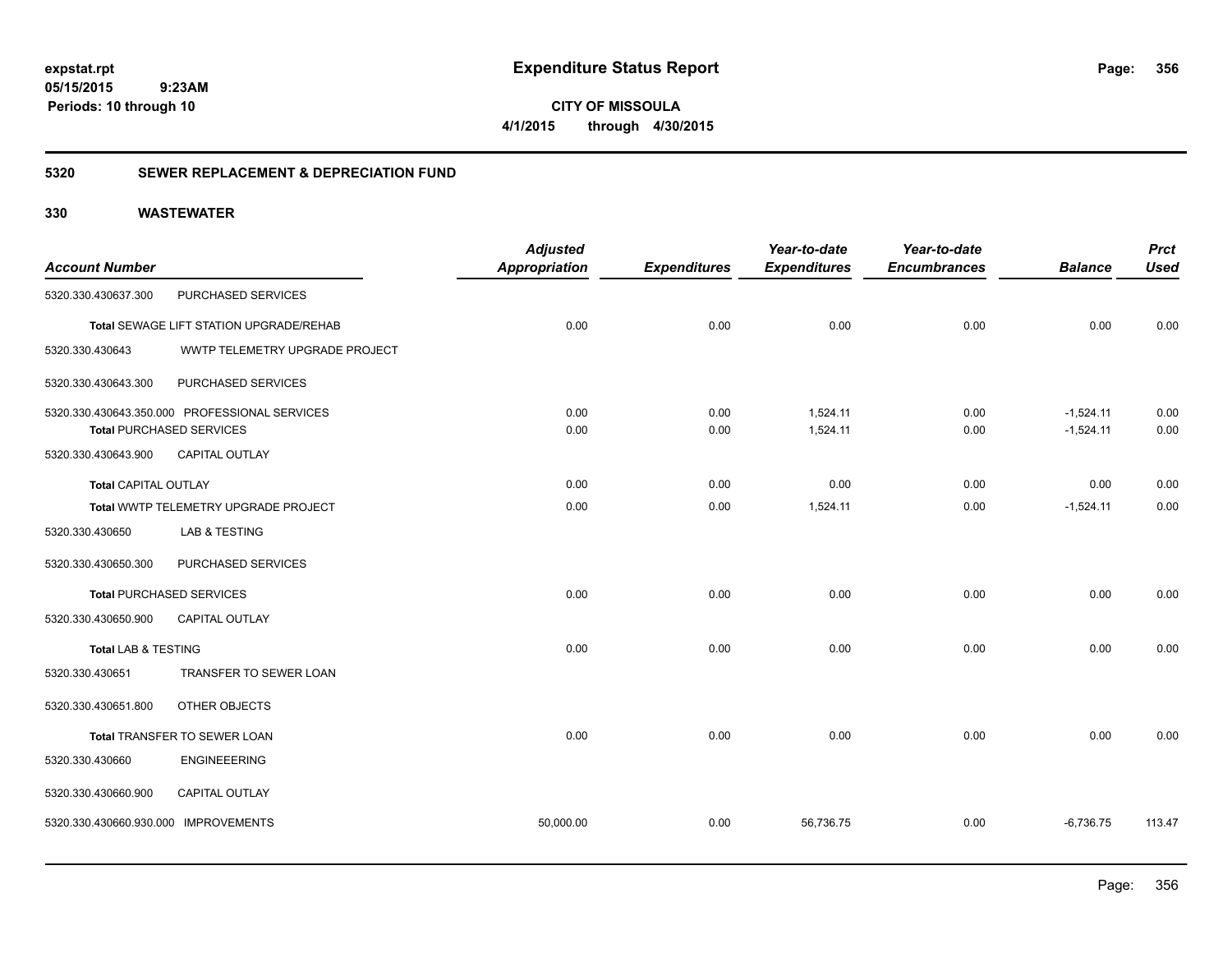**CITY OF MISSOULA 4/1/2015 through 4/30/2015**

### **5320 SEWER REPLACEMENT & DEPRECIATION FUND**

| <b>Account Number</b>                |                                                                                  | <b>Adjusted</b><br><b>Appropriation</b> | <b>Expenditures</b> | Year-to-date<br><b>Expenditures</b> | Year-to-date<br><b>Encumbrances</b> | <b>Balance</b>             | <b>Prct</b><br><b>Used</b> |
|--------------------------------------|----------------------------------------------------------------------------------|-----------------------------------------|---------------------|-------------------------------------|-------------------------------------|----------------------------|----------------------------|
| 5320.330.430637.300                  | PURCHASED SERVICES                                                               |                                         |                     |                                     |                                     |                            |                            |
|                                      | Total SEWAGE LIFT STATION UPGRADE/REHAB                                          | 0.00                                    | 0.00                | 0.00                                | 0.00                                | 0.00                       | 0.00                       |
| 5320.330.430643                      | WWTP TELEMETRY UPGRADE PROJECT                                                   |                                         |                     |                                     |                                     |                            |                            |
| 5320.330.430643.300                  | PURCHASED SERVICES                                                               |                                         |                     |                                     |                                     |                            |                            |
|                                      | 5320.330.430643.350.000 PROFESSIONAL SERVICES<br><b>Total PURCHASED SERVICES</b> | 0.00<br>0.00                            | 0.00<br>0.00        | 1,524.11<br>1,524.11                | 0.00<br>0.00                        | $-1,524.11$<br>$-1,524.11$ | 0.00<br>0.00               |
| 5320.330.430643.900                  | CAPITAL OUTLAY                                                                   |                                         |                     |                                     |                                     |                            |                            |
| Total CAPITAL OUTLAY                 |                                                                                  | 0.00                                    | 0.00                | 0.00                                | 0.00                                | 0.00                       | 0.00                       |
|                                      | Total WWTP TELEMETRY UPGRADE PROJECT                                             | 0.00                                    | 0.00                | 1,524.11                            | 0.00                                | $-1,524.11$                | 0.00                       |
| 5320.330.430650                      | LAB & TESTING                                                                    |                                         |                     |                                     |                                     |                            |                            |
| 5320.330.430650.300                  | PURCHASED SERVICES                                                               |                                         |                     |                                     |                                     |                            |                            |
|                                      | <b>Total PURCHASED SERVICES</b>                                                  | 0.00                                    | 0.00                | 0.00                                | 0.00                                | 0.00                       | 0.00                       |
| 5320.330.430650.900                  | CAPITAL OUTLAY                                                                   |                                         |                     |                                     |                                     |                            |                            |
| <b>Total LAB &amp; TESTING</b>       |                                                                                  | 0.00                                    | 0.00                | 0.00                                | 0.00                                | 0.00                       | 0.00                       |
| 5320.330.430651                      | TRANSFER TO SEWER LOAN                                                           |                                         |                     |                                     |                                     |                            |                            |
| 5320.330.430651.800                  | OTHER OBJECTS                                                                    |                                         |                     |                                     |                                     |                            |                            |
|                                      | Total TRANSFER TO SEWER LOAN                                                     | 0.00                                    | 0.00                | 0.00                                | 0.00                                | 0.00                       | 0.00                       |
| 5320.330.430660                      | <b>ENGINEEERING</b>                                                              |                                         |                     |                                     |                                     |                            |                            |
| 5320.330.430660.900                  | CAPITAL OUTLAY                                                                   |                                         |                     |                                     |                                     |                            |                            |
| 5320.330.430660.930.000 IMPROVEMENTS |                                                                                  | 50,000.00                               | 0.00                | 56,736.75                           | 0.00                                | $-6,736.75$                | 113.47                     |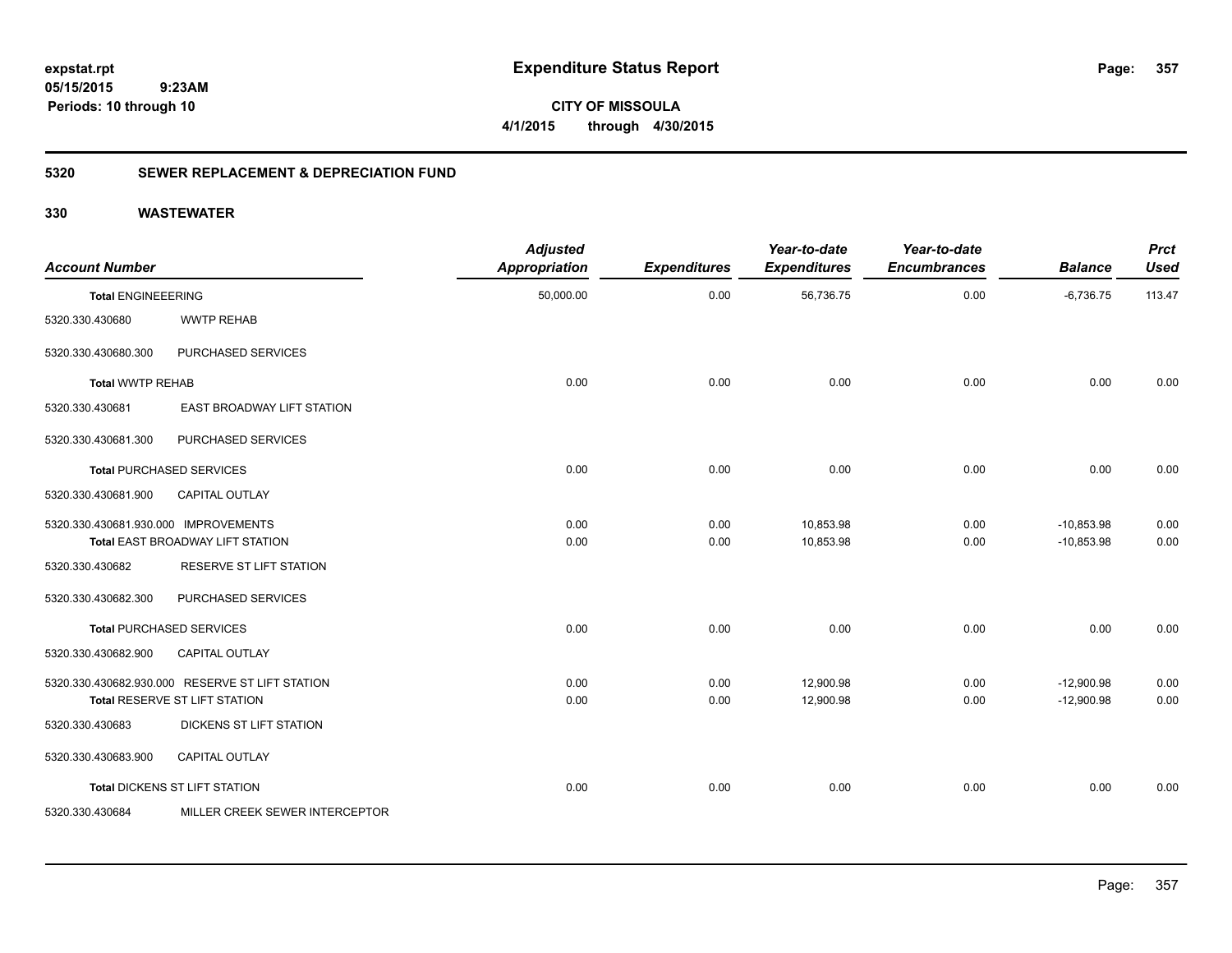**CITY OF MISSOULA 4/1/2015 through 4/30/2015**

### **5320 SEWER REPLACEMENT & DEPRECIATION FUND**

| <b>Account Number</b>                |                                                                                  | <b>Adjusted</b><br><b>Appropriation</b> | <b>Expenditures</b> | Year-to-date<br><b>Expenditures</b> | Year-to-date<br><b>Encumbrances</b> | <b>Balance</b>               | <b>Prct</b><br><b>Used</b> |
|--------------------------------------|----------------------------------------------------------------------------------|-----------------------------------------|---------------------|-------------------------------------|-------------------------------------|------------------------------|----------------------------|
| <b>Total ENGINEEERING</b>            |                                                                                  | 50,000.00                               | 0.00                | 56,736.75                           | 0.00                                | $-6,736.75$                  | 113.47                     |
| 5320.330.430680                      | <b>WWTP REHAB</b>                                                                |                                         |                     |                                     |                                     |                              |                            |
| 5320.330.430680.300                  | <b>PURCHASED SERVICES</b>                                                        |                                         |                     |                                     |                                     |                              |                            |
| <b>Total WWTP REHAB</b>              |                                                                                  | 0.00                                    | 0.00                | 0.00                                | 0.00                                | 0.00                         | 0.00                       |
| 5320.330.430681                      | EAST BROADWAY LIFT STATION                                                       |                                         |                     |                                     |                                     |                              |                            |
| 5320.330.430681.300                  | PURCHASED SERVICES                                                               |                                         |                     |                                     |                                     |                              |                            |
|                                      | Total PURCHASED SERVICES                                                         | 0.00                                    | 0.00                | 0.00                                | 0.00                                | 0.00                         | 0.00                       |
| 5320.330.430681.900                  | <b>CAPITAL OUTLAY</b>                                                            |                                         |                     |                                     |                                     |                              |                            |
| 5320.330.430681.930.000 IMPROVEMENTS | Total EAST BROADWAY LIFT STATION                                                 | 0.00<br>0.00                            | 0.00<br>0.00        | 10,853.98<br>10,853.98              | 0.00<br>0.00                        | $-10,853.98$<br>$-10,853.98$ | 0.00<br>0.00               |
| 5320.330.430682                      | <b>RESERVE ST LIFT STATION</b>                                                   |                                         |                     |                                     |                                     |                              |                            |
| 5320.330.430682.300                  | PURCHASED SERVICES                                                               |                                         |                     |                                     |                                     |                              |                            |
|                                      | <b>Total PURCHASED SERVICES</b>                                                  | 0.00                                    | 0.00                | 0.00                                | 0.00                                | 0.00                         | 0.00                       |
| 5320.330.430682.900                  | <b>CAPITAL OUTLAY</b>                                                            |                                         |                     |                                     |                                     |                              |                            |
|                                      | 5320.330.430682.930.000 RESERVE ST LIFT STATION<br>Total RESERVE ST LIFT STATION | 0.00<br>0.00                            | 0.00<br>0.00        | 12,900.98<br>12,900.98              | 0.00<br>0.00                        | $-12,900.98$<br>$-12,900.98$ | 0.00<br>0.00               |
| 5320.330.430683                      | DICKENS ST LIFT STATION                                                          |                                         |                     |                                     |                                     |                              |                            |
| 5320.330.430683.900                  | <b>CAPITAL OUTLAY</b>                                                            |                                         |                     |                                     |                                     |                              |                            |
|                                      | Total DICKENS ST LIFT STATION                                                    | 0.00                                    | 0.00                | 0.00                                | 0.00                                | 0.00                         | 0.00                       |
| 5320.330.430684                      | MILLER CREEK SEWER INTERCEPTOR                                                   |                                         |                     |                                     |                                     |                              |                            |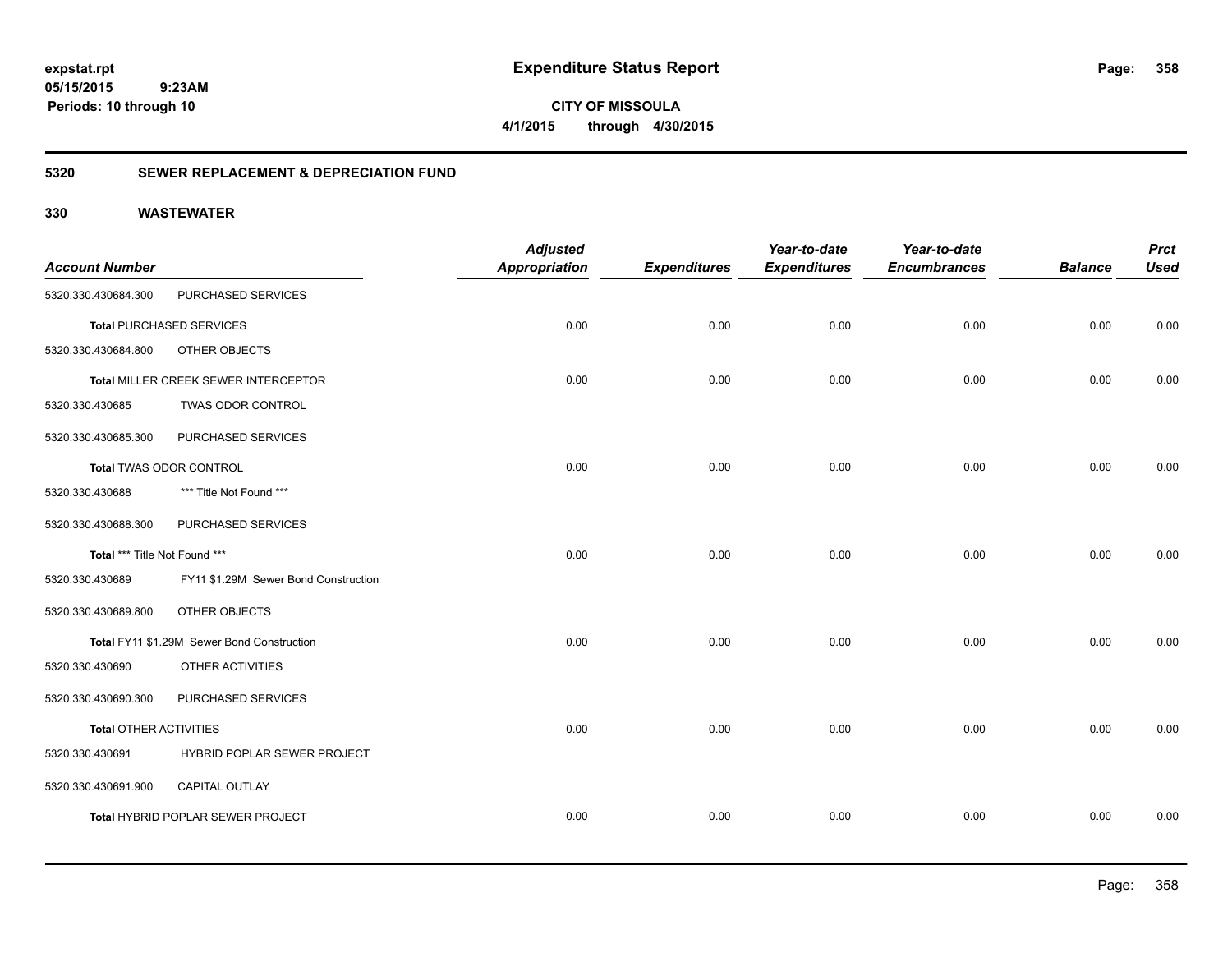**358**

**CITY OF MISSOULA 4/1/2015 through 4/30/2015**

### **5320 SEWER REPLACEMENT & DEPRECIATION FUND**

| <b>Account Number</b>         |                                            | <b>Adjusted</b><br><b>Appropriation</b> | <b>Expenditures</b> | Year-to-date<br><b>Expenditures</b> | Year-to-date<br><b>Encumbrances</b> | <b>Balance</b> | <b>Prct</b><br><b>Used</b> |
|-------------------------------|--------------------------------------------|-----------------------------------------|---------------------|-------------------------------------|-------------------------------------|----------------|----------------------------|
| 5320.330.430684.300           | PURCHASED SERVICES                         |                                         |                     |                                     |                                     |                |                            |
|                               | <b>Total PURCHASED SERVICES</b>            | 0.00                                    | 0.00                | 0.00                                | 0.00                                | 0.00           | 0.00                       |
| 5320.330.430684.800           | OTHER OBJECTS                              |                                         |                     |                                     |                                     |                |                            |
|                               | Total MILLER CREEK SEWER INTERCEPTOR       | 0.00                                    | 0.00                | 0.00                                | 0.00                                | 0.00           | 0.00                       |
| 5320.330.430685               | TWAS ODOR CONTROL                          |                                         |                     |                                     |                                     |                |                            |
| 5320.330.430685.300           | PURCHASED SERVICES                         |                                         |                     |                                     |                                     |                |                            |
|                               | Total TWAS ODOR CONTROL                    | 0.00                                    | 0.00                | 0.00                                | 0.00                                | 0.00           | 0.00                       |
| 5320.330.430688               | *** Title Not Found ***                    |                                         |                     |                                     |                                     |                |                            |
| 5320.330.430688.300           | PURCHASED SERVICES                         |                                         |                     |                                     |                                     |                |                            |
| Total *** Title Not Found *** |                                            | 0.00                                    | 0.00                | 0.00                                | 0.00                                | 0.00           | 0.00                       |
| 5320.330.430689               | FY11 \$1.29M Sewer Bond Construction       |                                         |                     |                                     |                                     |                |                            |
| 5320.330.430689.800           | OTHER OBJECTS                              |                                         |                     |                                     |                                     |                |                            |
|                               | Total FY11 \$1.29M Sewer Bond Construction | 0.00                                    | 0.00                | 0.00                                | 0.00                                | 0.00           | 0.00                       |
| 5320.330.430690               | OTHER ACTIVITIES                           |                                         |                     |                                     |                                     |                |                            |
| 5320.330.430690.300           | PURCHASED SERVICES                         |                                         |                     |                                     |                                     |                |                            |
| <b>Total OTHER ACTIVITIES</b> |                                            | 0.00                                    | 0.00                | 0.00                                | 0.00                                | 0.00           | 0.00                       |
| 5320.330.430691               | HYBRID POPLAR SEWER PROJECT                |                                         |                     |                                     |                                     |                |                            |
| 5320.330.430691.900           | <b>CAPITAL OUTLAY</b>                      |                                         |                     |                                     |                                     |                |                            |
|                               | Total HYBRID POPLAR SEWER PROJECT          | 0.00                                    | 0.00                | 0.00                                | 0.00                                | 0.00           | 0.00                       |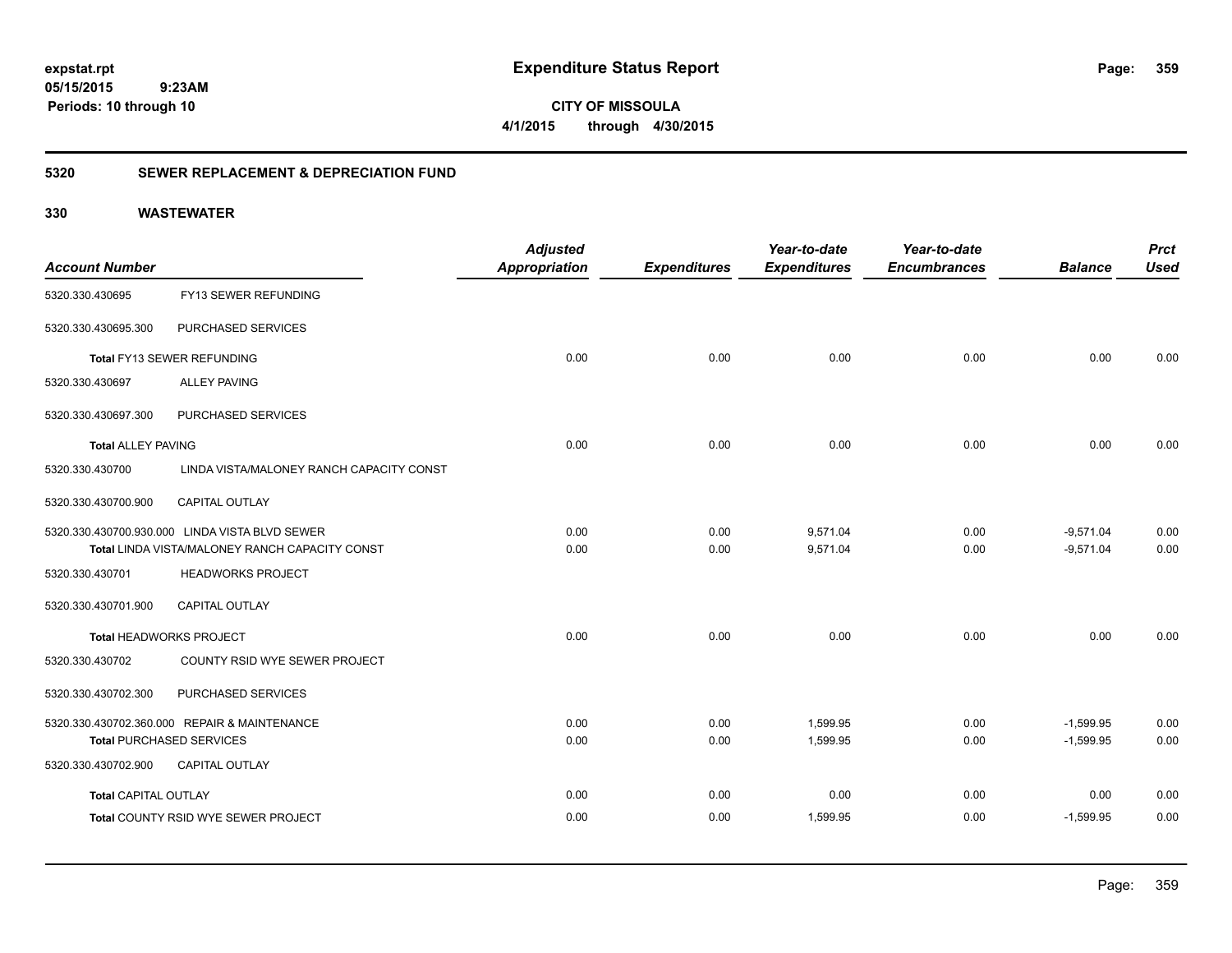**359**

**CITY OF MISSOULA 4/1/2015 through 4/30/2015**

### **5320 SEWER REPLACEMENT & DEPRECIATION FUND**

|                             |                                                | <b>Adjusted</b>      |                     | Year-to-date        | Year-to-date        |                | <b>Prct</b> |
|-----------------------------|------------------------------------------------|----------------------|---------------------|---------------------|---------------------|----------------|-------------|
| <b>Account Number</b>       |                                                | <b>Appropriation</b> | <b>Expenditures</b> | <b>Expenditures</b> | <b>Encumbrances</b> | <b>Balance</b> | <b>Used</b> |
| 5320.330.430695             | FY13 SEWER REFUNDING                           |                      |                     |                     |                     |                |             |
| 5320.330.430695.300         | PURCHASED SERVICES                             |                      |                     |                     |                     |                |             |
|                             | Total FY13 SEWER REFUNDING                     | 0.00                 | 0.00                | 0.00                | 0.00                | 0.00           | 0.00        |
| 5320.330.430697             | <b>ALLEY PAVING</b>                            |                      |                     |                     |                     |                |             |
| 5320.330.430697.300         | PURCHASED SERVICES                             |                      |                     |                     |                     |                |             |
| <b>Total ALLEY PAVING</b>   |                                                | 0.00                 | 0.00                | 0.00                | 0.00                | 0.00           | 0.00        |
| 5320.330.430700             | LINDA VISTA/MALONEY RANCH CAPACITY CONST       |                      |                     |                     |                     |                |             |
| 5320.330.430700.900         | <b>CAPITAL OUTLAY</b>                          |                      |                     |                     |                     |                |             |
|                             | 5320.330.430700.930.000 LINDA VISTA BLVD SEWER | 0.00                 | 0.00                | 9,571.04            | 0.00                | $-9,571.04$    | 0.00        |
|                             | Total LINDA VISTA/MALONEY RANCH CAPACITY CONST | 0.00                 | 0.00                | 9,571.04            | 0.00                | $-9,571.04$    | 0.00        |
| 5320.330.430701             | <b>HEADWORKS PROJECT</b>                       |                      |                     |                     |                     |                |             |
| 5320.330.430701.900         | CAPITAL OUTLAY                                 |                      |                     |                     |                     |                |             |
|                             | <b>Total HEADWORKS PROJECT</b>                 | 0.00                 | 0.00                | 0.00                | 0.00                | 0.00           | 0.00        |
| 5320.330.430702             | COUNTY RSID WYE SEWER PROJECT                  |                      |                     |                     |                     |                |             |
| 5320.330.430702.300         | PURCHASED SERVICES                             |                      |                     |                     |                     |                |             |
|                             | 5320.330.430702.360.000 REPAIR & MAINTENANCE   | 0.00                 | 0.00                | 1,599.95            | 0.00                | $-1,599.95$    | 0.00        |
|                             | <b>Total PURCHASED SERVICES</b>                | 0.00                 | 0.00                | 1,599.95            | 0.00                | $-1,599.95$    | 0.00        |
| 5320.330.430702.900         | <b>CAPITAL OUTLAY</b>                          |                      |                     |                     |                     |                |             |
| <b>Total CAPITAL OUTLAY</b> |                                                | 0.00                 | 0.00                | 0.00                | 0.00                | 0.00           | 0.00        |
|                             | Total COUNTY RSID WYE SEWER PROJECT            | 0.00                 | 0.00                | 1,599.95            | 0.00                | $-1,599.95$    | 0.00        |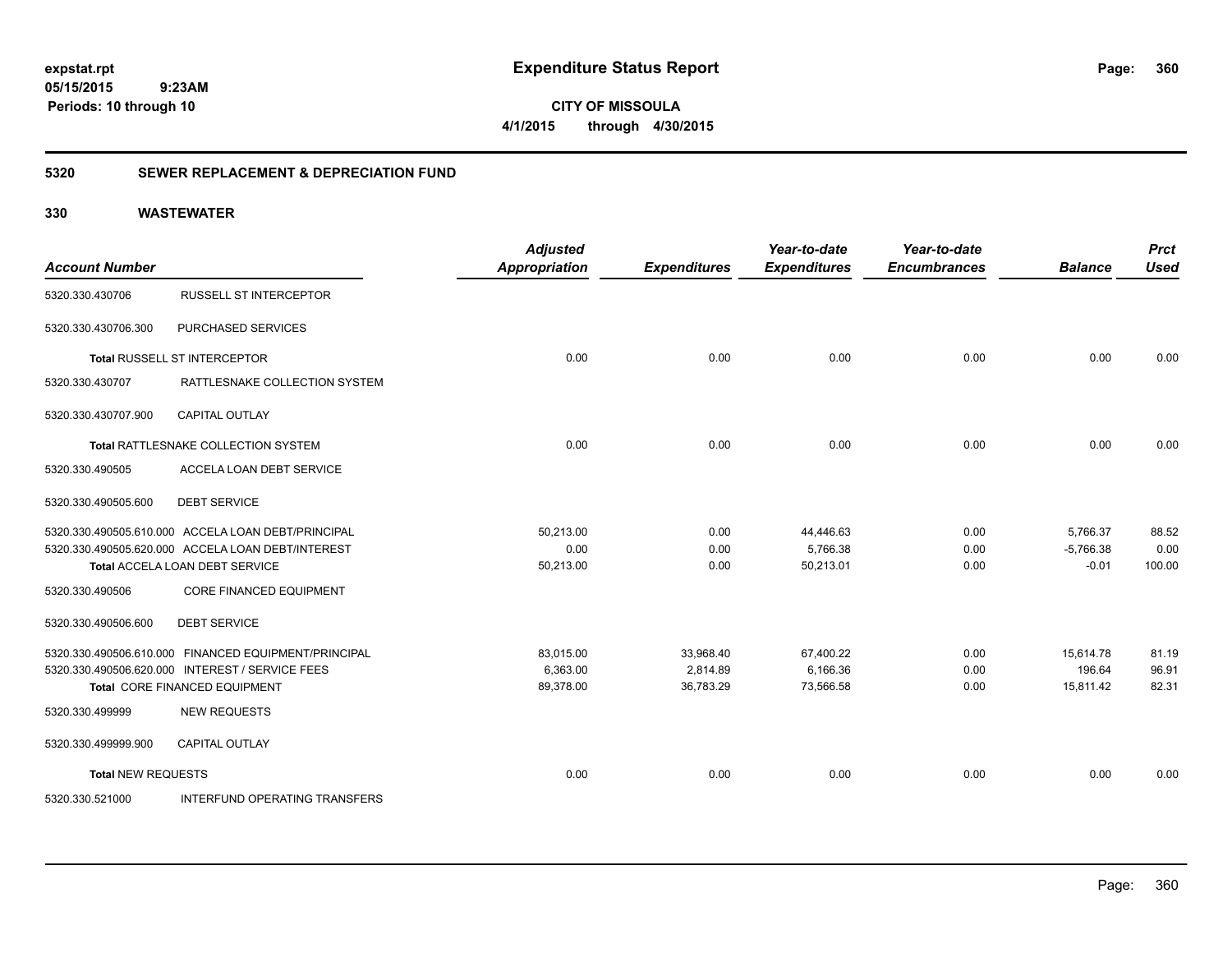**CITY OF MISSOULA 4/1/2015 through 4/30/2015**

### **5320 SEWER REPLACEMENT & DEPRECIATION FUND**

| <b>Account Number</b>     |                                                      | <b>Adjusted</b><br><b>Appropriation</b> | <b>Expenditures</b> | Year-to-date<br><b>Expenditures</b> | Year-to-date<br><b>Encumbrances</b> | <b>Balance</b> | <b>Prct</b><br><b>Used</b> |
|---------------------------|------------------------------------------------------|-----------------------------------------|---------------------|-------------------------------------|-------------------------------------|----------------|----------------------------|
| 5320.330.430706           | <b>RUSSELL ST INTERCEPTOR</b>                        |                                         |                     |                                     |                                     |                |                            |
| 5320.330.430706.300       | PURCHASED SERVICES                                   |                                         |                     |                                     |                                     |                |                            |
|                           | Total RUSSELL ST INTERCEPTOR                         | 0.00                                    | 0.00                | 0.00                                | 0.00                                | 0.00           | 0.00                       |
| 5320.330.430707           | RATTLESNAKE COLLECTION SYSTEM                        |                                         |                     |                                     |                                     |                |                            |
| 5320.330.430707.900       | CAPITAL OUTLAY                                       |                                         |                     |                                     |                                     |                |                            |
|                           | Total RATTLESNAKE COLLECTION SYSTEM                  | 0.00                                    | 0.00                | 0.00                                | 0.00                                | 0.00           | 0.00                       |
| 5320.330.490505           | ACCELA LOAN DEBT SERVICE                             |                                         |                     |                                     |                                     |                |                            |
| 5320.330.490505.600       | <b>DEBT SERVICE</b>                                  |                                         |                     |                                     |                                     |                |                            |
|                           | 5320.330.490505.610.000 ACCELA LOAN DEBT/PRINCIPAL   | 50.213.00                               | 0.00                | 44,446.63                           | 0.00                                | 5,766.37       | 88.52                      |
|                           | 5320.330.490505.620.000 ACCELA LOAN DEBT/INTEREST    | 0.00                                    | 0.00                | 5,766.38                            | 0.00                                | $-5,766.38$    | 0.00                       |
|                           | Total ACCELA LOAN DEBT SERVICE                       | 50,213.00                               | 0.00                | 50,213.01                           | 0.00                                | $-0.01$        | 100.00                     |
| 5320.330.490506           | <b>CORE FINANCED EQUIPMENT</b>                       |                                         |                     |                                     |                                     |                |                            |
| 5320.330.490506.600       | <b>DEBT SERVICE</b>                                  |                                         |                     |                                     |                                     |                |                            |
|                           | 5320.330.490506.610.000 FINANCED EQUIPMENT/PRINCIPAL | 83.015.00                               | 33,968.40           | 67,400.22                           | 0.00                                | 15,614.78      | 81.19                      |
|                           | 5320.330.490506.620.000 INTEREST / SERVICE FEES      | 6,363.00                                | 2,814.89            | 6,166.36                            | 0.00                                | 196.64         | 96.91                      |
|                           | <b>Total CORE FINANCED EQUIPMENT</b>                 | 89,378.00                               | 36,783.29           | 73,566.58                           | 0.00                                | 15,811.42      | 82.31                      |
| 5320.330.499999           | <b>NEW REQUESTS</b>                                  |                                         |                     |                                     |                                     |                |                            |
| 5320.330.499999.900       | <b>CAPITAL OUTLAY</b>                                |                                         |                     |                                     |                                     |                |                            |
| <b>Total NEW REQUESTS</b> |                                                      | 0.00                                    | 0.00                | 0.00                                | 0.00                                | 0.00           | 0.00                       |
| 5320.330.521000           | <b>INTERFUND OPERATING TRANSFERS</b>                 |                                         |                     |                                     |                                     |                |                            |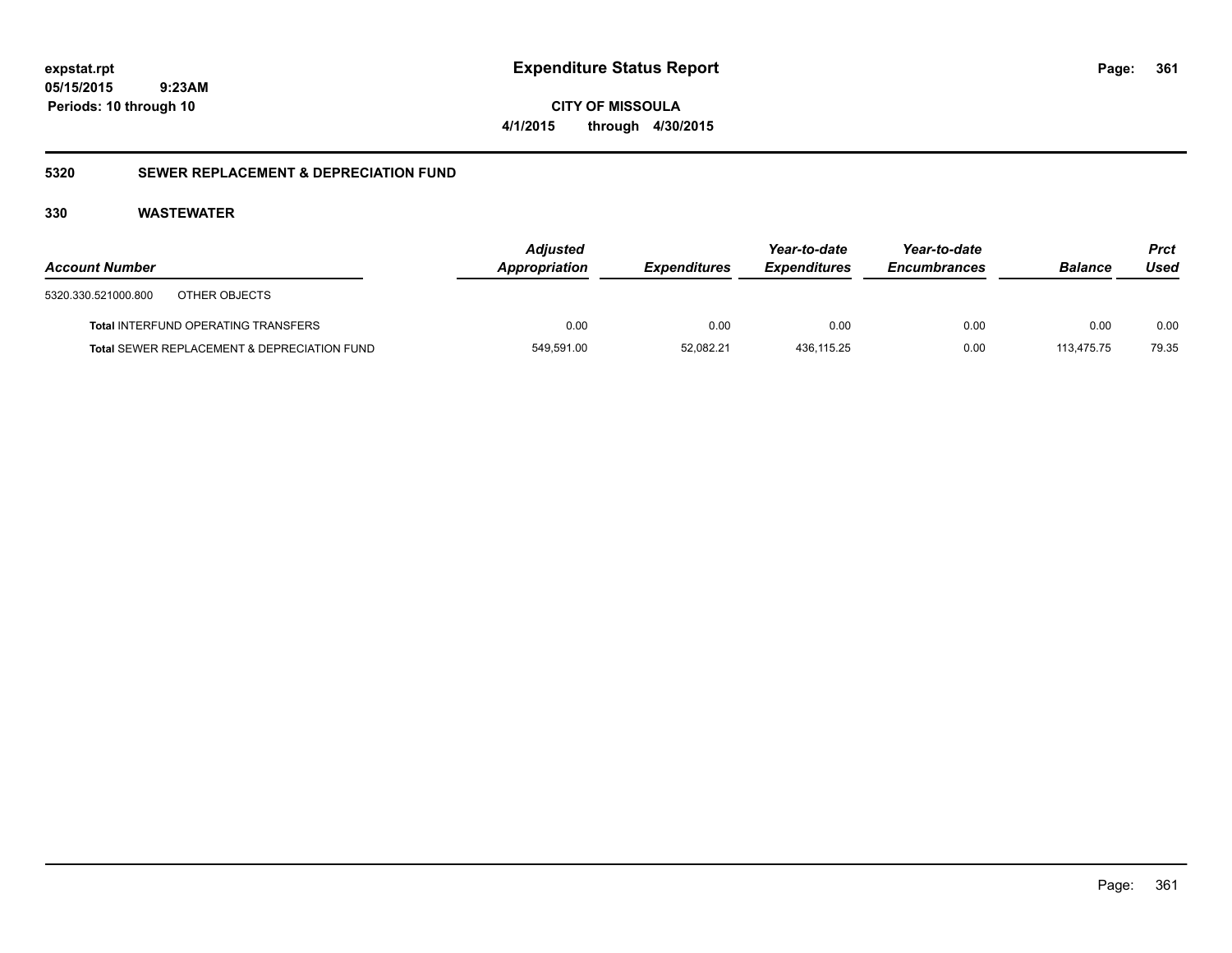**361**

**05/15/2015 9:23AM Periods: 10 through 10**

**CITY OF MISSOULA 4/1/2015 through 4/30/2015**

### **5320 SEWER REPLACEMENT & DEPRECIATION FUND**

| <b>Account Number</b>                                  | <b>Adjusted</b><br>Appropriation | <b>Expenditures</b> | Year-to-date<br><b>Expenditures</b> | Year-to-date<br><b>Encumbrances</b> | <b>Balance</b> | <b>Prct</b><br>Used |
|--------------------------------------------------------|----------------------------------|---------------------|-------------------------------------|-------------------------------------|----------------|---------------------|
| 5320.330.521000.800<br>OTHER OBJECTS                   |                                  |                     |                                     |                                     |                |                     |
| <b>Total INTERFUND OPERATING TRANSFERS</b>             | 0.00                             | 0.00                | 0.00                                | 0.00                                | 0.00           | 0.00                |
| <b>Total SEWER REPLACEMENT &amp; DEPRECIATION FUND</b> | 549,591.00                       | 52.082.21           | 436.115.25                          | 0.00                                | 113.475.75     | 79.35               |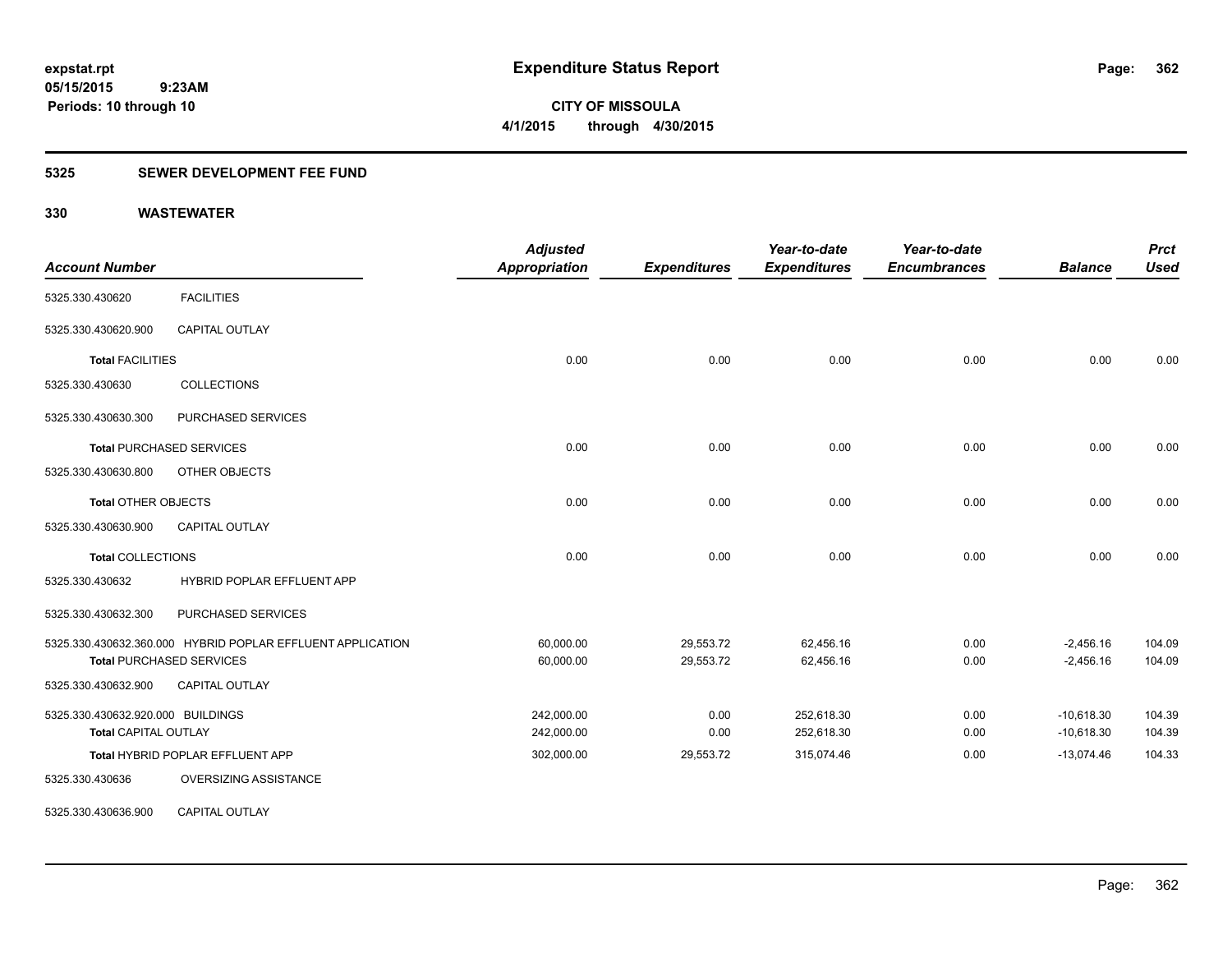**362**

**05/15/2015 9:23AM Periods: 10 through 10**

**CITY OF MISSOULA 4/1/2015 through 4/30/2015**

### **5325 SEWER DEVELOPMENT FEE FUND**

| <b>Account Number</b>             |                                                            | <b>Adjusted</b><br><b>Appropriation</b> | <b>Expenditures</b> | Year-to-date<br><b>Expenditures</b> | Year-to-date<br><b>Encumbrances</b> | <b>Balance</b> | <b>Prct</b><br><b>Used</b> |
|-----------------------------------|------------------------------------------------------------|-----------------------------------------|---------------------|-------------------------------------|-------------------------------------|----------------|----------------------------|
| 5325.330.430620                   | <b>FACILITIES</b>                                          |                                         |                     |                                     |                                     |                |                            |
| 5325.330.430620.900               | <b>CAPITAL OUTLAY</b>                                      |                                         |                     |                                     |                                     |                |                            |
| <b>Total FACILITIES</b>           |                                                            | 0.00                                    | 0.00                | 0.00                                | 0.00                                | 0.00           | 0.00                       |
| 5325.330.430630                   | <b>COLLECTIONS</b>                                         |                                         |                     |                                     |                                     |                |                            |
| 5325.330.430630.300               | PURCHASED SERVICES                                         |                                         |                     |                                     |                                     |                |                            |
|                                   | <b>Total PURCHASED SERVICES</b>                            | 0.00                                    | 0.00                | 0.00                                | 0.00                                | 0.00           | 0.00                       |
| 5325.330.430630.800               | OTHER OBJECTS                                              |                                         |                     |                                     |                                     |                |                            |
| <b>Total OTHER OBJECTS</b>        |                                                            | 0.00                                    | 0.00                | 0.00                                | 0.00                                | 0.00           | 0.00                       |
| 5325.330.430630.900               | <b>CAPITAL OUTLAY</b>                                      |                                         |                     |                                     |                                     |                |                            |
| <b>Total COLLECTIONS</b>          |                                                            | 0.00                                    | 0.00                | 0.00                                | 0.00                                | 0.00           | 0.00                       |
| 5325.330.430632                   | HYBRID POPLAR EFFLUENT APP                                 |                                         |                     |                                     |                                     |                |                            |
| 5325.330.430632.300               | PURCHASED SERVICES                                         |                                         |                     |                                     |                                     |                |                            |
|                                   | 5325.330.430632.360.000 HYBRID POPLAR EFFLUENT APPLICATION | 60,000.00                               | 29,553.72           | 62,456.16                           | 0.00                                | $-2,456.16$    | 104.09                     |
|                                   | <b>Total PURCHASED SERVICES</b>                            | 60,000.00                               | 29,553.72           | 62,456.16                           | 0.00                                | $-2,456.16$    | 104.09                     |
| 5325.330.430632.900               | CAPITAL OUTLAY                                             |                                         |                     |                                     |                                     |                |                            |
| 5325.330.430632.920.000 BUILDINGS |                                                            | 242,000.00                              | 0.00                | 252,618.30                          | 0.00                                | $-10,618.30$   | 104.39                     |
| <b>Total CAPITAL OUTLAY</b>       |                                                            | 242,000.00                              | 0.00                | 252,618.30                          | 0.00                                | $-10,618.30$   | 104.39                     |
|                                   | Total HYBRID POPLAR EFFLUENT APP                           | 302,000.00                              | 29,553.72           | 315,074.46                          | 0.00                                | $-13,074.46$   | 104.33                     |
| 5325.330.430636                   | OVERSIZING ASSISTANCE                                      |                                         |                     |                                     |                                     |                |                            |
| 5325.330.430636.900               | <b>CAPITAL OUTLAY</b>                                      |                                         |                     |                                     |                                     |                |                            |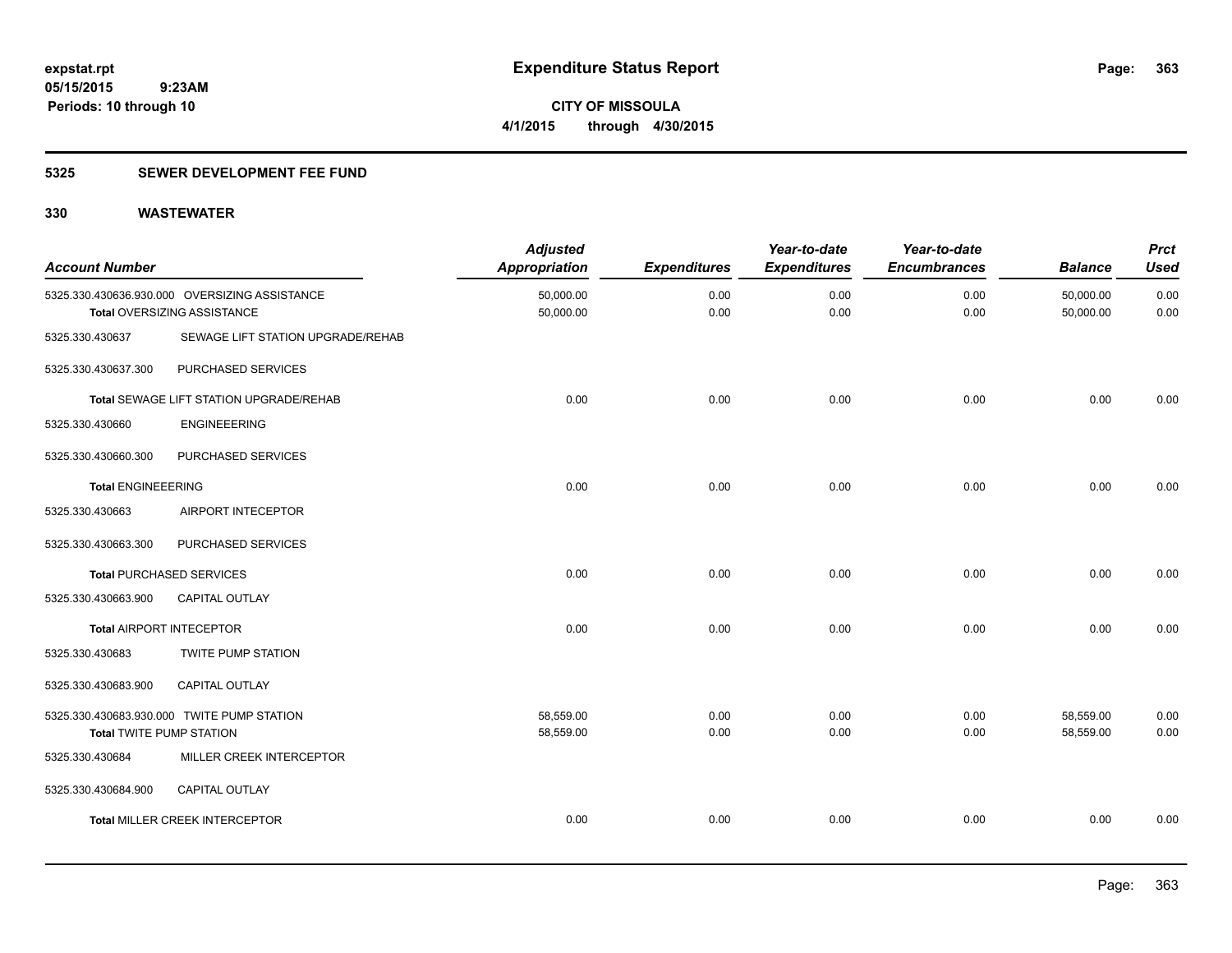### **5325 SEWER DEVELOPMENT FEE FUND**

| <b>Account Number</b>           |                                                                              | <b>Adjusted</b><br><b>Appropriation</b> | <b>Expenditures</b> | Year-to-date<br><b>Expenditures</b> | Year-to-date<br><b>Encumbrances</b> | <b>Balance</b>         | <b>Prct</b><br><b>Used</b> |
|---------------------------------|------------------------------------------------------------------------------|-----------------------------------------|---------------------|-------------------------------------|-------------------------------------|------------------------|----------------------------|
|                                 | 5325.330.430636.930.000 OVERSIZING ASSISTANCE<br>Total OVERSIZING ASSISTANCE | 50,000.00<br>50,000.00                  | 0.00<br>0.00        | 0.00<br>0.00                        | 0.00<br>0.00                        | 50,000.00<br>50,000.00 | 0.00<br>0.00               |
| 5325.330.430637                 | SEWAGE LIFT STATION UPGRADE/REHAB                                            |                                         |                     |                                     |                                     |                        |                            |
| 5325.330.430637.300             | PURCHASED SERVICES                                                           |                                         |                     |                                     |                                     |                        |                            |
|                                 | <b>Total SEWAGE LIFT STATION UPGRADE/REHAB</b>                               | 0.00                                    | 0.00                | 0.00                                | 0.00                                | 0.00                   | 0.00                       |
| 5325.330.430660                 | <b>ENGINEEERING</b>                                                          |                                         |                     |                                     |                                     |                        |                            |
| 5325.330.430660.300             | PURCHASED SERVICES                                                           |                                         |                     |                                     |                                     |                        |                            |
| <b>Total ENGINEEERING</b>       |                                                                              | 0.00                                    | 0.00                | 0.00                                | 0.00                                | 0.00                   | 0.00                       |
| 5325.330.430663                 | AIRPORT INTECEPTOR                                                           |                                         |                     |                                     |                                     |                        |                            |
| 5325.330.430663.300             | PURCHASED SERVICES                                                           |                                         |                     |                                     |                                     |                        |                            |
|                                 | <b>Total PURCHASED SERVICES</b>                                              | 0.00                                    | 0.00                | 0.00                                | 0.00                                | 0.00                   | 0.00                       |
| 5325.330.430663.900             | <b>CAPITAL OUTLAY</b>                                                        |                                         |                     |                                     |                                     |                        |                            |
| <b>Total AIRPORT INTECEPTOR</b> |                                                                              | 0.00                                    | 0.00                | 0.00                                | 0.00                                | 0.00                   | 0.00                       |
| 5325.330.430683                 | <b>TWITE PUMP STATION</b>                                                    |                                         |                     |                                     |                                     |                        |                            |
| 5325.330.430683.900             | CAPITAL OUTLAY                                                               |                                         |                     |                                     |                                     |                        |                            |
|                                 | 5325.330.430683.930.000 TWITE PUMP STATION                                   | 58,559.00                               | 0.00                | 0.00                                | 0.00                                | 58,559.00              | 0.00                       |
| <b>Total TWITE PUMP STATION</b> |                                                                              | 58,559.00                               | 0.00                | 0.00                                | 0.00                                | 58,559.00              | 0.00                       |
| 5325.330.430684                 | MILLER CREEK INTERCEPTOR                                                     |                                         |                     |                                     |                                     |                        |                            |
| 5325.330.430684.900             | CAPITAL OUTLAY                                                               |                                         |                     |                                     |                                     |                        |                            |
|                                 | <b>Total MILLER CREEK INTERCEPTOR</b>                                        | 0.00                                    | 0.00                | 0.00                                | 0.00                                | 0.00                   | 0.00                       |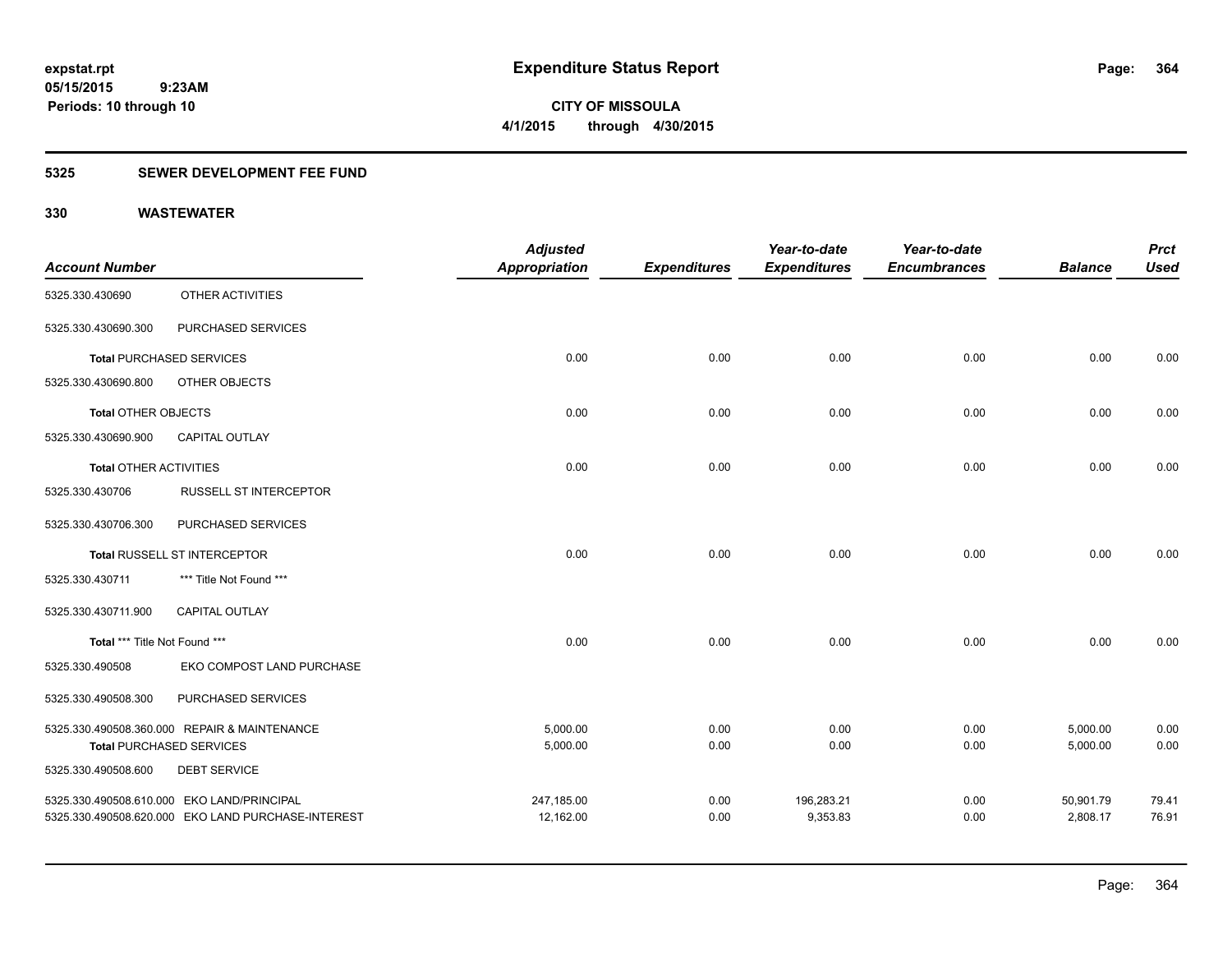**364**

**05/15/2015 9:23AM Periods: 10 through 10**

**CITY OF MISSOULA 4/1/2015 through 4/30/2015**

### **5325 SEWER DEVELOPMENT FEE FUND**

|                               |                                                    | <b>Adjusted</b>      |                     | Year-to-date        | Year-to-date        |                | <b>Prct</b> |
|-------------------------------|----------------------------------------------------|----------------------|---------------------|---------------------|---------------------|----------------|-------------|
| <b>Account Number</b>         |                                                    | <b>Appropriation</b> | <b>Expenditures</b> | <b>Expenditures</b> | <b>Encumbrances</b> | <b>Balance</b> | <b>Used</b> |
| 5325.330.430690               | OTHER ACTIVITIES                                   |                      |                     |                     |                     |                |             |
| 5325.330.430690.300           | PURCHASED SERVICES                                 |                      |                     |                     |                     |                |             |
|                               | <b>Total PURCHASED SERVICES</b>                    | 0.00                 | 0.00                | 0.00                | 0.00                | 0.00           | 0.00        |
| 5325.330.430690.800           | OTHER OBJECTS                                      |                      |                     |                     |                     |                |             |
| <b>Total OTHER OBJECTS</b>    |                                                    | 0.00                 | 0.00                | 0.00                | 0.00                | 0.00           | 0.00        |
| 5325.330.430690.900           | <b>CAPITAL OUTLAY</b>                              |                      |                     |                     |                     |                |             |
| <b>Total OTHER ACTIVITIES</b> |                                                    | 0.00                 | 0.00                | 0.00                | 0.00                | 0.00           | 0.00        |
| 5325.330.430706               | <b>RUSSELL ST INTERCEPTOR</b>                      |                      |                     |                     |                     |                |             |
| 5325.330.430706.300           | PURCHASED SERVICES                                 |                      |                     |                     |                     |                |             |
|                               | Total RUSSELL ST INTERCEPTOR                       | 0.00                 | 0.00                | 0.00                | 0.00                | 0.00           | 0.00        |
| 5325.330.430711               | *** Title Not Found ***                            |                      |                     |                     |                     |                |             |
| 5325.330.430711.900           | CAPITAL OUTLAY                                     |                      |                     |                     |                     |                |             |
| Total *** Title Not Found *** |                                                    | 0.00                 | 0.00                | 0.00                | 0.00                | 0.00           | 0.00        |
| 5325.330.490508               | EKO COMPOST LAND PURCHASE                          |                      |                     |                     |                     |                |             |
| 5325.330.490508.300           | PURCHASED SERVICES                                 |                      |                     |                     |                     |                |             |
|                               | 5325.330.490508.360.000 REPAIR & MAINTENANCE       | 5,000.00             | 0.00                | 0.00                | 0.00                | 5,000.00       | 0.00        |
|                               | <b>Total PURCHASED SERVICES</b>                    | 5,000.00             | 0.00                | 0.00                | 0.00                | 5,000.00       | 0.00        |
| 5325.330.490508.600           | <b>DEBT SERVICE</b>                                |                      |                     |                     |                     |                |             |
|                               | 5325.330.490508.610.000 EKO LAND/PRINCIPAL         | 247,185.00           | 0.00                | 196,283.21          | 0.00                | 50,901.79      | 79.41       |
|                               | 5325.330.490508.620.000 EKO LAND PURCHASE-INTEREST | 12,162.00            | 0.00                | 9,353.83            | 0.00                | 2,808.17       | 76.91       |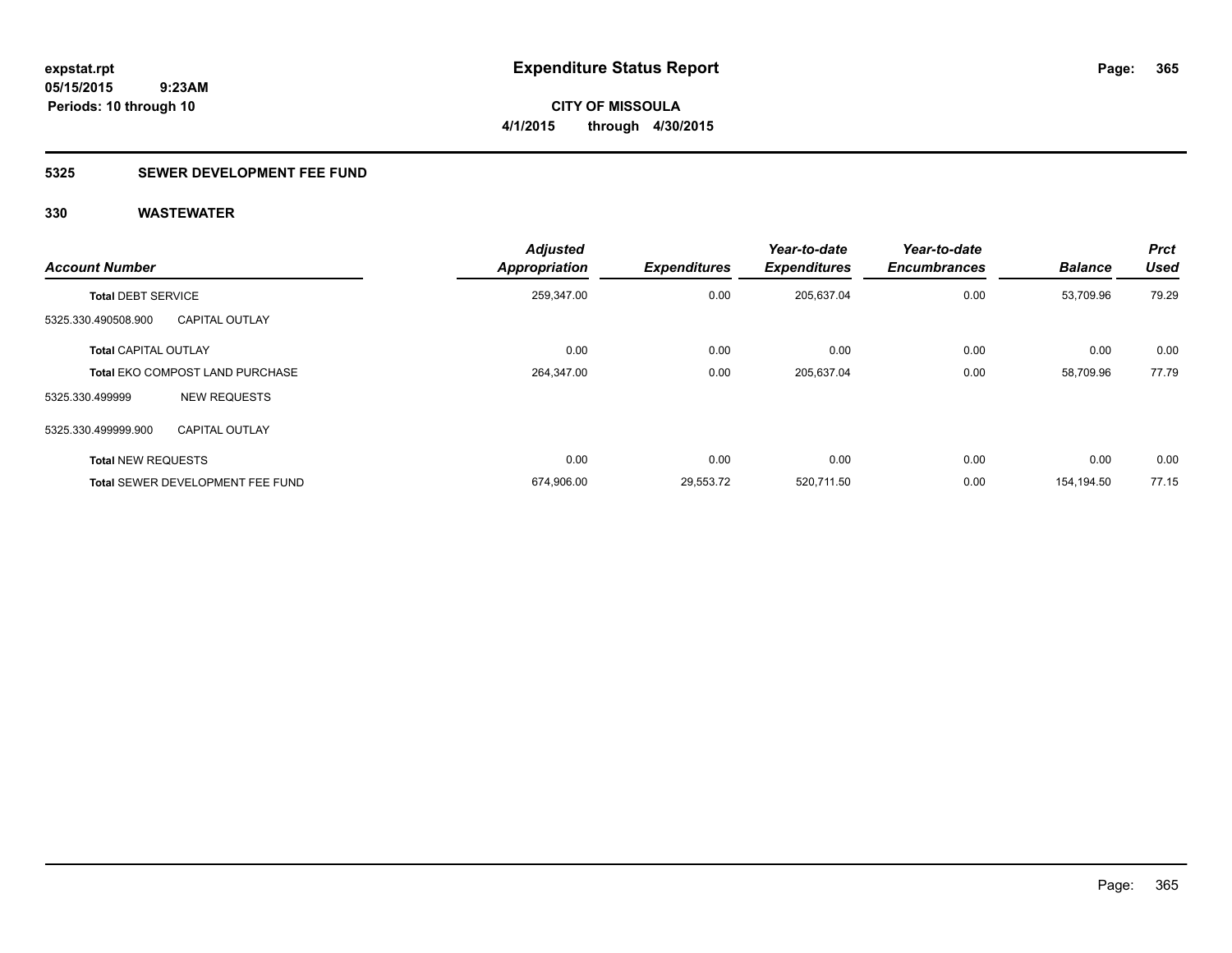### **5325 SEWER DEVELOPMENT FEE FUND**

| <b>Account Number</b>       |                                         | <b>Adjusted</b><br><b>Appropriation</b> | <b>Expenditures</b> | Year-to-date<br><b>Expenditures</b> | Year-to-date<br><b>Encumbrances</b> | <b>Balance</b> | <b>Prct</b><br><b>Used</b> |
|-----------------------------|-----------------------------------------|-----------------------------------------|---------------------|-------------------------------------|-------------------------------------|----------------|----------------------------|
| <b>Total DEBT SERVICE</b>   |                                         | 259,347.00                              | 0.00                | 205,637.04                          | 0.00                                | 53,709.96      | 79.29                      |
| 5325.330.490508.900         | <b>CAPITAL OUTLAY</b>                   |                                         |                     |                                     |                                     |                |                            |
| <b>Total CAPITAL OUTLAY</b> |                                         | 0.00                                    | 0.00                | 0.00                                | 0.00                                | 0.00           | 0.00                       |
|                             | <b>Total EKO COMPOST LAND PURCHASE</b>  | 264,347.00                              | 0.00                | 205,637.04                          | 0.00                                | 58,709.96      | 77.79                      |
| 5325.330.499999             | <b>NEW REQUESTS</b>                     |                                         |                     |                                     |                                     |                |                            |
| 5325.330.499999.900         | <b>CAPITAL OUTLAY</b>                   |                                         |                     |                                     |                                     |                |                            |
| <b>Total NEW REQUESTS</b>   |                                         | 0.00                                    | 0.00                | 0.00                                | 0.00                                | 0.00           | 0.00                       |
|                             | <b>Total SEWER DEVELOPMENT FEE FUND</b> | 674,906.00                              | 29.553.72           | 520,711.50                          | 0.00                                | 154.194.50     | 77.15                      |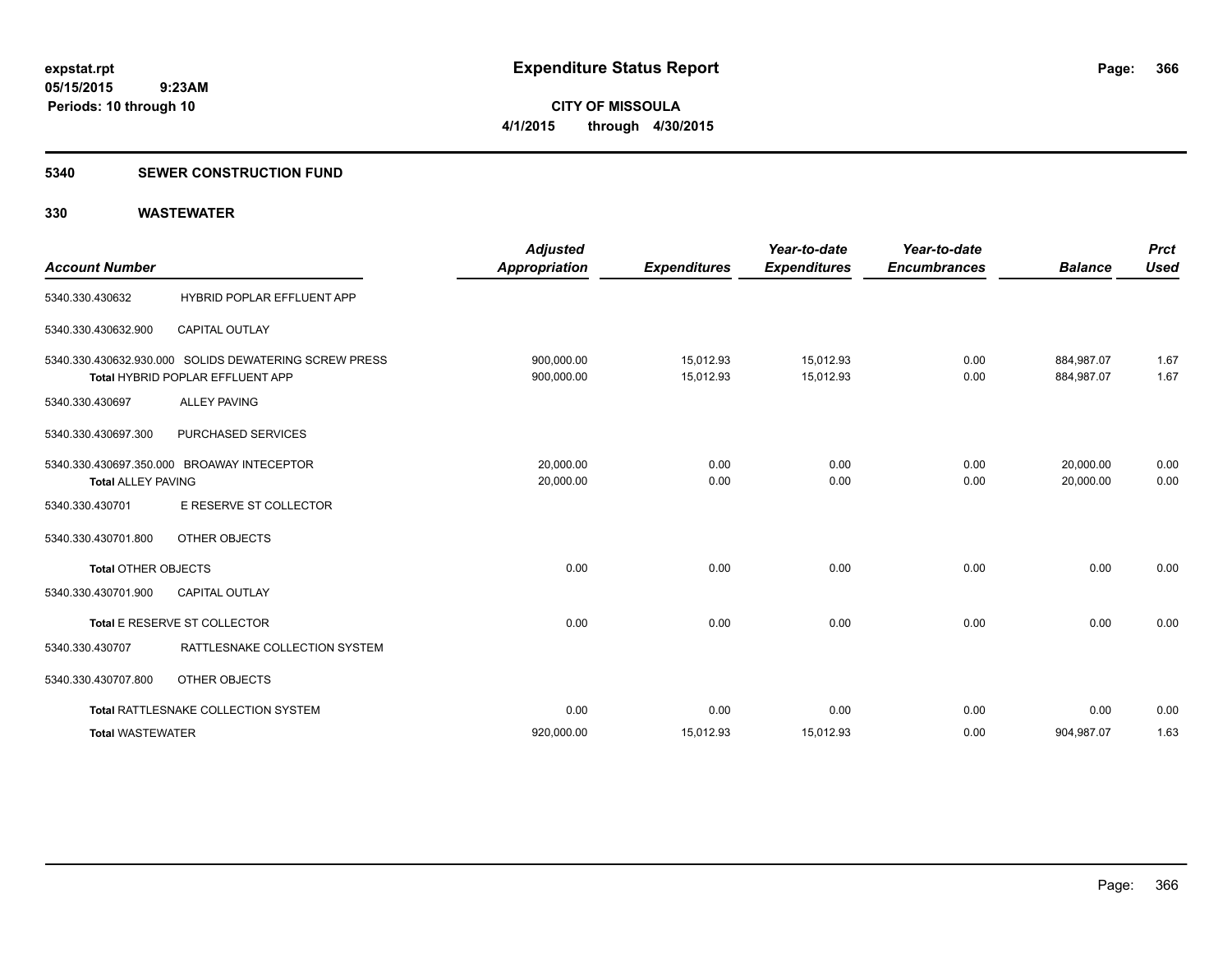#### **5340 SEWER CONSTRUCTION FUND**

| <b>Account Number</b>      |                                                                                           | <b>Adjusted</b><br><b>Appropriation</b> | <b>Expenditures</b>    | Year-to-date<br><b>Expenditures</b> | Year-to-date<br><b>Encumbrances</b> | <b>Balance</b>           | <b>Prct</b><br><b>Used</b> |
|----------------------------|-------------------------------------------------------------------------------------------|-----------------------------------------|------------------------|-------------------------------------|-------------------------------------|--------------------------|----------------------------|
| 5340.330.430632            | <b>HYBRID POPLAR EFFLUENT APP</b>                                                         |                                         |                        |                                     |                                     |                          |                            |
| 5340.330.430632.900        | <b>CAPITAL OUTLAY</b>                                                                     |                                         |                        |                                     |                                     |                          |                            |
|                            | 5340.330.430632.930.000 SOLIDS DEWATERING SCREW PRESS<br>Total HYBRID POPLAR EFFLUENT APP | 900,000.00<br>900,000.00                | 15,012.93<br>15,012.93 | 15,012.93<br>15,012.93              | 0.00<br>0.00                        | 884,987.07<br>884.987.07 | 1.67<br>1.67               |
| 5340.330.430697            | <b>ALLEY PAVING</b>                                                                       |                                         |                        |                                     |                                     |                          |                            |
| 5340.330.430697.300        | PURCHASED SERVICES                                                                        |                                         |                        |                                     |                                     |                          |                            |
| <b>Total ALLEY PAVING</b>  | 5340.330.430697.350.000 BROAWAY INTECEPTOR                                                | 20,000.00<br>20,000.00                  | 0.00<br>0.00           | 0.00<br>0.00                        | 0.00<br>0.00                        | 20,000.00<br>20,000.00   | 0.00<br>0.00               |
| 5340.330.430701            | E RESERVE ST COLLECTOR                                                                    |                                         |                        |                                     |                                     |                          |                            |
| 5340.330.430701.800        | OTHER OBJECTS                                                                             |                                         |                        |                                     |                                     |                          |                            |
| <b>Total OTHER OBJECTS</b> |                                                                                           | 0.00                                    | 0.00                   | 0.00                                | 0.00                                | 0.00                     | 0.00                       |
| 5340.330.430701.900        | <b>CAPITAL OUTLAY</b>                                                                     |                                         |                        |                                     |                                     |                          |                            |
|                            | Total E RESERVE ST COLLECTOR                                                              | 0.00                                    | 0.00                   | 0.00                                | 0.00                                | 0.00                     | 0.00                       |
| 5340.330.430707            | RATTLESNAKE COLLECTION SYSTEM                                                             |                                         |                        |                                     |                                     |                          |                            |
| 5340.330.430707.800        | OTHER OBJECTS                                                                             |                                         |                        |                                     |                                     |                          |                            |
|                            | Total RATTLESNAKE COLLECTION SYSTEM                                                       | 0.00                                    | 0.00                   | 0.00                                | 0.00                                | 0.00                     | 0.00                       |
| <b>Total WASTEWATER</b>    |                                                                                           | 920,000.00                              | 15,012.93              | 15,012.93                           | 0.00                                | 904,987.07               | 1.63                       |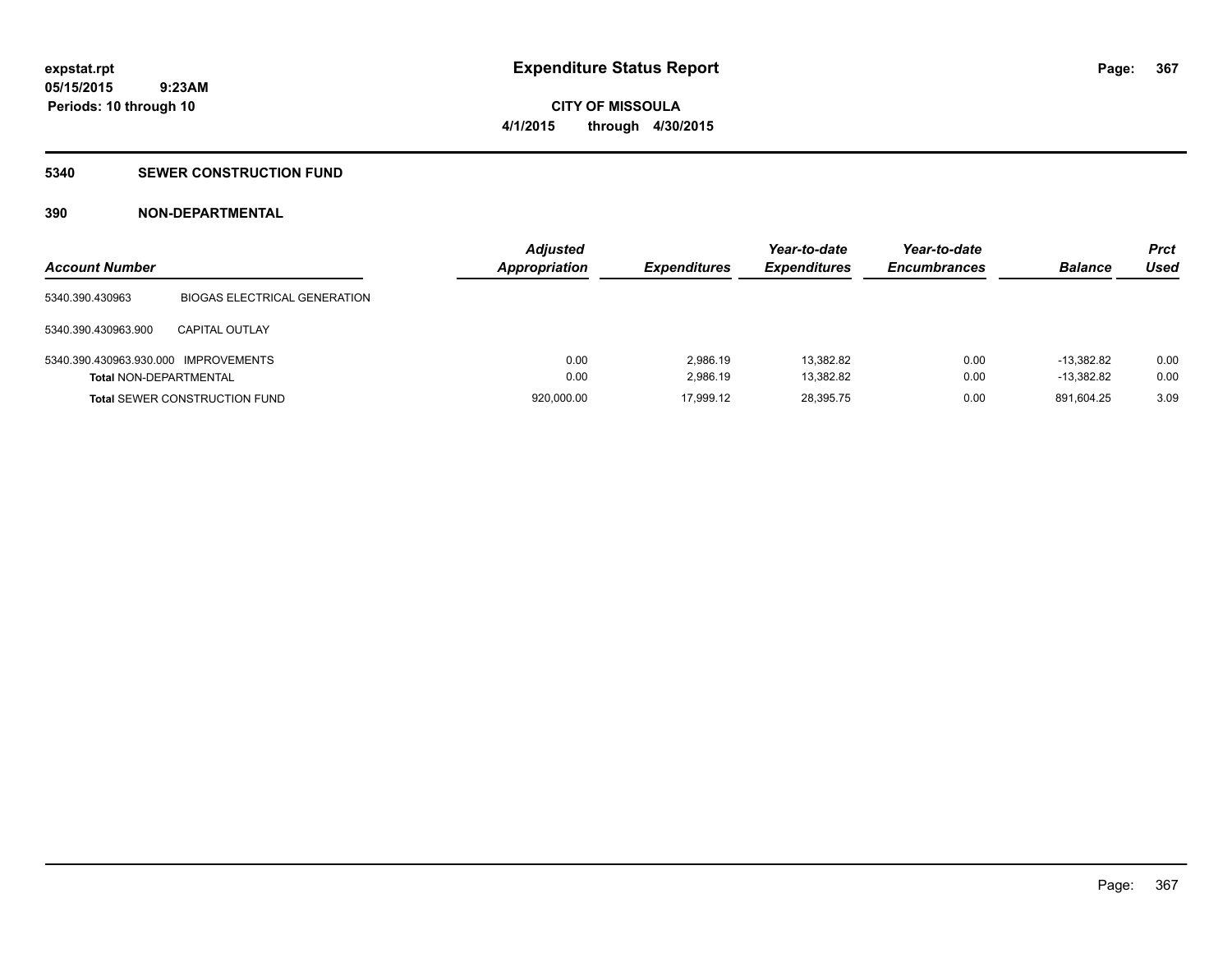### **5340 SEWER CONSTRUCTION FUND**

### **390 NON-DEPARTMENTAL**

| <b>Account Number</b>                |                                      | <b>Adjusted</b><br><b>Appropriation</b> | <b>Expenditures</b> | Year-to-date<br><b>Expenditures</b> | Year-to-date<br><b>Encumbrances</b> | <b>Balance</b> | <b>Prct</b><br>Used |
|--------------------------------------|--------------------------------------|-----------------------------------------|---------------------|-------------------------------------|-------------------------------------|----------------|---------------------|
| 5340.390.430963                      | <b>BIOGAS ELECTRICAL GENERATION</b>  |                                         |                     |                                     |                                     |                |                     |
| 5340.390.430963.900                  | CAPITAL OUTLAY                       |                                         |                     |                                     |                                     |                |                     |
| 5340.390.430963.930.000 IMPROVEMENTS |                                      | 0.00                                    | 2.986.19            | 13.382.82                           | 0.00                                | $-13.382.82$   | 0.00                |
| <b>Total NON-DEPARTMENTAL</b>        |                                      | 0.00                                    | 2.986.19            | 13,382.82                           | 0.00                                | $-13.382.82$   | 0.00                |
|                                      | <b>Total SEWER CONSTRUCTION FUND</b> | 920,000.00                              | 17,999.12           | 28,395.75                           | 0.00                                | 891.604.25     | 3.09                |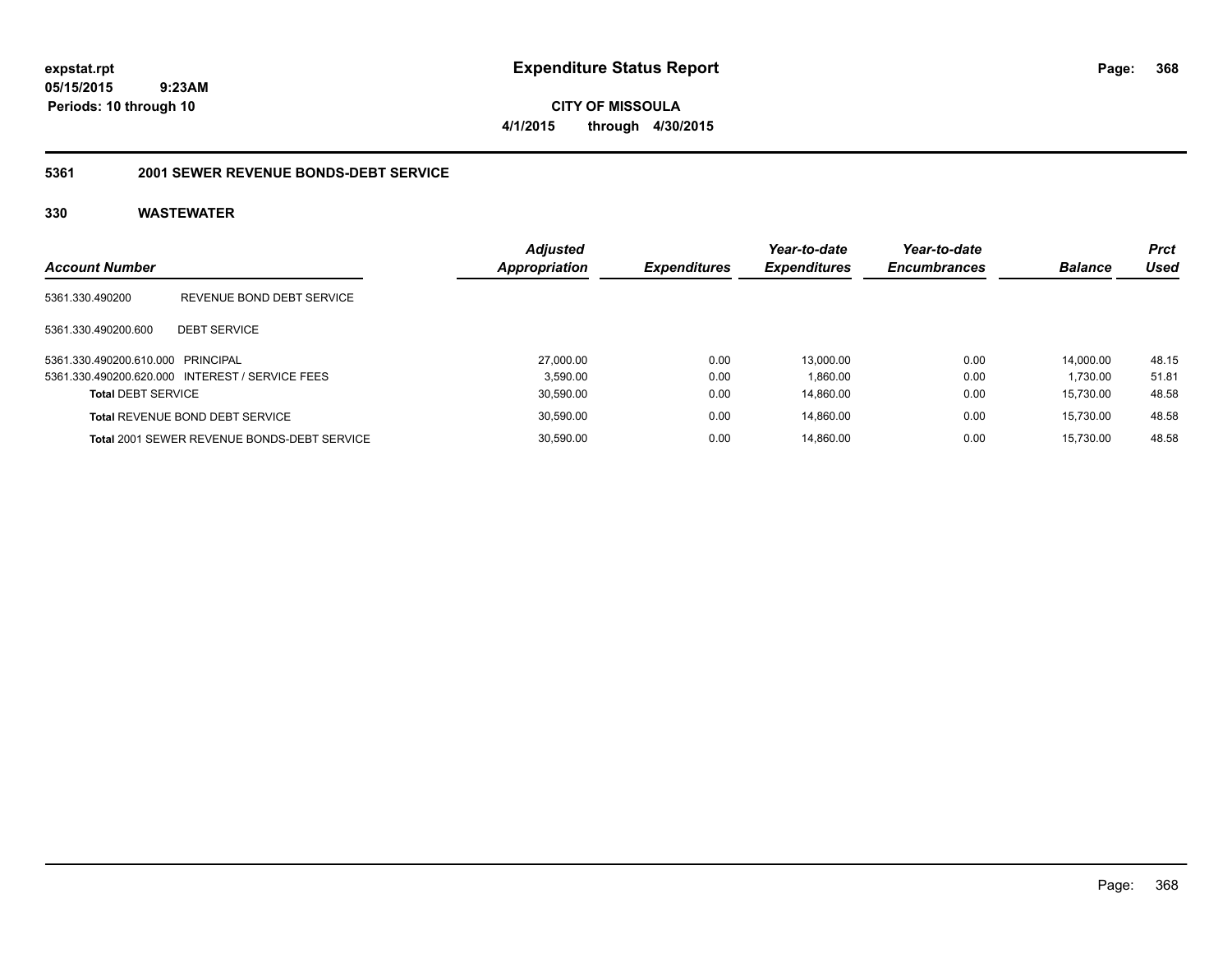**CITY OF MISSOULA 4/1/2015 through 4/30/2015**

#### **5361 2001 SEWER REVENUE BONDS-DEBT SERVICE**

| <b>Account Number</b>             |                                                    | <b>Adjusted</b><br>Appropriation | <b>Expenditures</b> | Year-to-date<br><b>Expenditures</b> | Year-to-date<br><b>Encumbrances</b> | <b>Balance</b> | <b>Prct</b><br>Used |
|-----------------------------------|----------------------------------------------------|----------------------------------|---------------------|-------------------------------------|-------------------------------------|----------------|---------------------|
| 5361.330.490200                   | REVENUE BOND DEBT SERVICE                          |                                  |                     |                                     |                                     |                |                     |
| 5361.330.490200.600               | <b>DEBT SERVICE</b>                                |                                  |                     |                                     |                                     |                |                     |
| 5361.330.490200.610.000 PRINCIPAL |                                                    | 27,000.00                        | 0.00                | 13.000.00                           | 0.00                                | 14.000.00      | 48.15               |
|                                   | 5361.330.490200.620.000 INTEREST / SERVICE FEES    | 3.590.00                         | 0.00                | 1.860.00                            | 0.00                                | 1.730.00       | 51.81               |
| <b>Total DEBT SERVICE</b>         |                                                    | 30,590.00                        | 0.00                | 14.860.00                           | 0.00                                | 15.730.00      | 48.58               |
|                                   | Total REVENUE BOND DEBT SERVICE                    | 30.590.00                        | 0.00                | 14.860.00                           | 0.00                                | 15.730.00      | 48.58               |
|                                   | <b>Total 2001 SEWER REVENUE BONDS-DEBT SERVICE</b> | 30.590.00                        | 0.00                | 14.860.00                           | 0.00                                | 15.730.00      | 48.58               |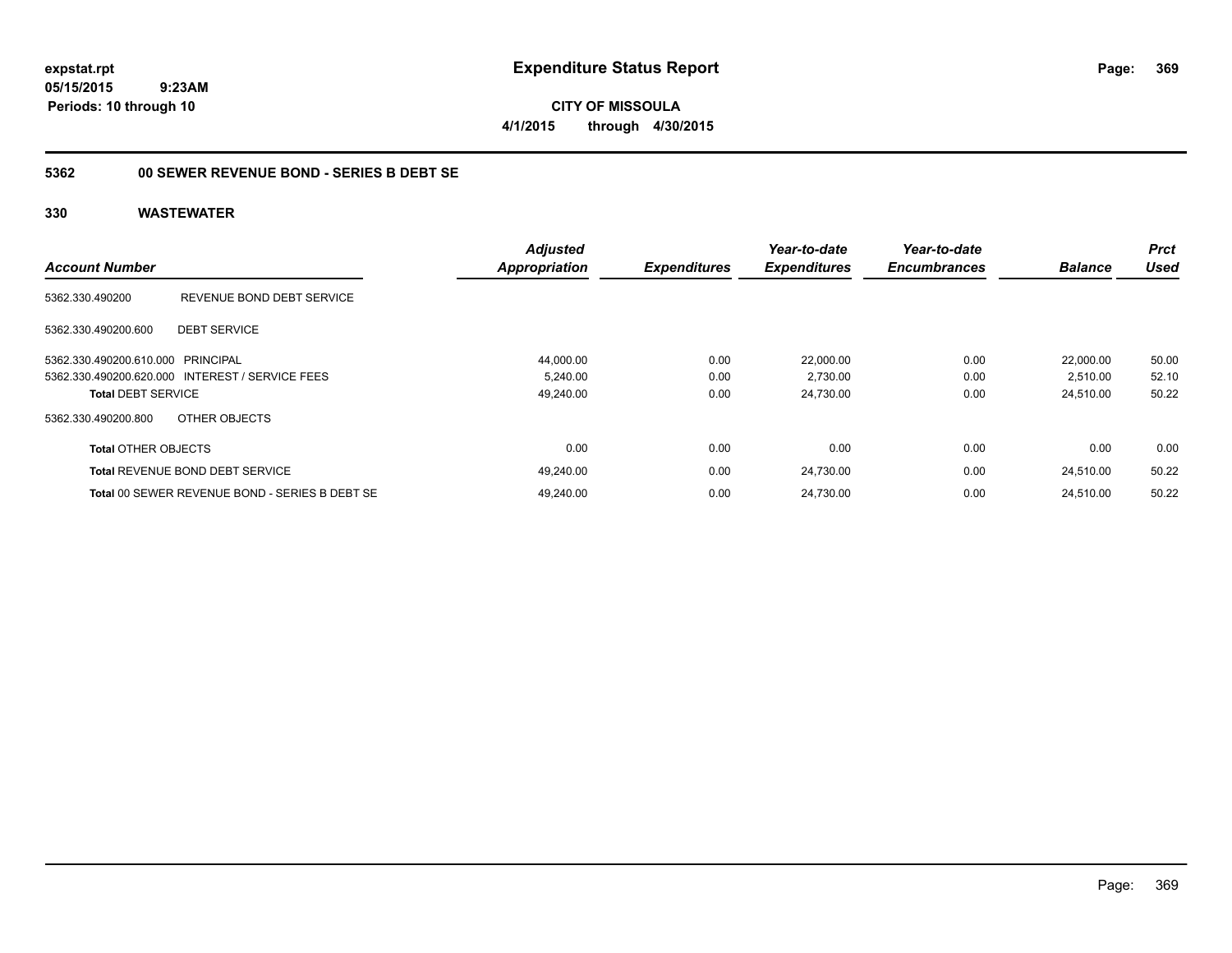**CITY OF MISSOULA 4/1/2015 through 4/30/2015**

### **5362 00 SEWER REVENUE BOND - SERIES B DEBT SE**

| <b>Account Number</b>             |                                                 | <b>Adjusted</b><br><b>Appropriation</b> | <b>Expenditures</b> | Year-to-date<br><b>Expenditures</b> | Year-to-date<br><b>Encumbrances</b> | <b>Balance</b> | <b>Prct</b><br><b>Used</b> |
|-----------------------------------|-------------------------------------------------|-----------------------------------------|---------------------|-------------------------------------|-------------------------------------|----------------|----------------------------|
|                                   |                                                 |                                         |                     |                                     |                                     |                |                            |
| 5362.330.490200                   | REVENUE BOND DEBT SERVICE                       |                                         |                     |                                     |                                     |                |                            |
| 5362.330.490200.600               | <b>DEBT SERVICE</b>                             |                                         |                     |                                     |                                     |                |                            |
| 5362.330.490200.610.000 PRINCIPAL |                                                 | 44,000.00                               | 0.00                | 22,000.00                           | 0.00                                | 22.000.00      | 50.00                      |
|                                   | 5362.330.490200.620.000 INTEREST / SERVICE FEES | 5,240.00                                | 0.00                | 2,730.00                            | 0.00                                | 2,510.00       | 52.10                      |
| <b>Total DEBT SERVICE</b>         |                                                 | 49,240.00                               | 0.00                | 24,730.00                           | 0.00                                | 24,510.00      | 50.22                      |
| 5362.330.490200.800               | OTHER OBJECTS                                   |                                         |                     |                                     |                                     |                |                            |
| <b>Total OTHER OBJECTS</b>        |                                                 | 0.00                                    | 0.00                | 0.00                                | 0.00                                | 0.00           | 0.00                       |
|                                   | <b>Total REVENUE BOND DEBT SERVICE</b>          | 49,240.00                               | 0.00                | 24,730.00                           | 0.00                                | 24.510.00      | 50.22                      |
|                                   | Total 00 SEWER REVENUE BOND - SERIES B DEBT SE  | 49.240.00                               | 0.00                | 24.730.00                           | 0.00                                | 24.510.00      | 50.22                      |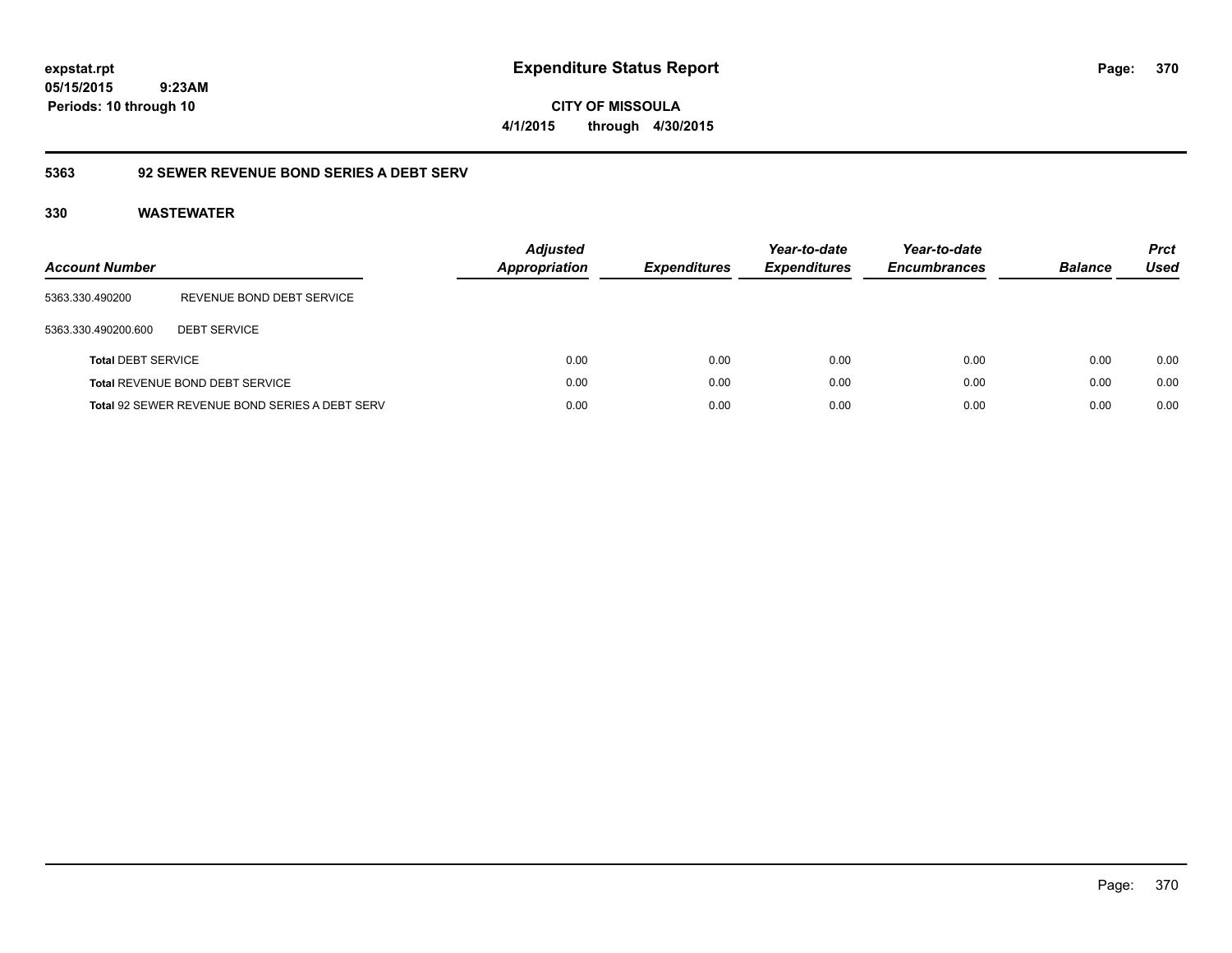**CITY OF MISSOULA 4/1/2015 through 4/30/2015**

## **5363 92 SEWER REVENUE BOND SERIES A DEBT SERV**

| Account Number            |                                                       | <b>Adjusted</b><br><b>Appropriation</b> | <b>Expenditures</b> | Year-to-date<br><b>Expenditures</b> | Year-to-date<br><b>Encumbrances</b> | <b>Balance</b> | <b>Prct</b><br>Used |
|---------------------------|-------------------------------------------------------|-----------------------------------------|---------------------|-------------------------------------|-------------------------------------|----------------|---------------------|
| 5363.330.490200           | REVENUE BOND DEBT SERVICE                             |                                         |                     |                                     |                                     |                |                     |
| 5363.330.490200.600       | <b>DEBT SERVICE</b>                                   |                                         |                     |                                     |                                     |                |                     |
| <b>Total DEBT SERVICE</b> |                                                       | 0.00                                    | 0.00                | 0.00                                | 0.00                                | 0.00           | 0.00                |
|                           | <b>Total REVENUE BOND DEBT SERVICE</b>                | 0.00                                    | 0.00                | 0.00                                | 0.00                                | 0.00           | 0.00                |
|                           | <b>Total 92 SEWER REVENUE BOND SERIES A DEBT SERV</b> | 0.00                                    | 0.00                | 0.00                                | 0.00                                | 0.00           | 0.00                |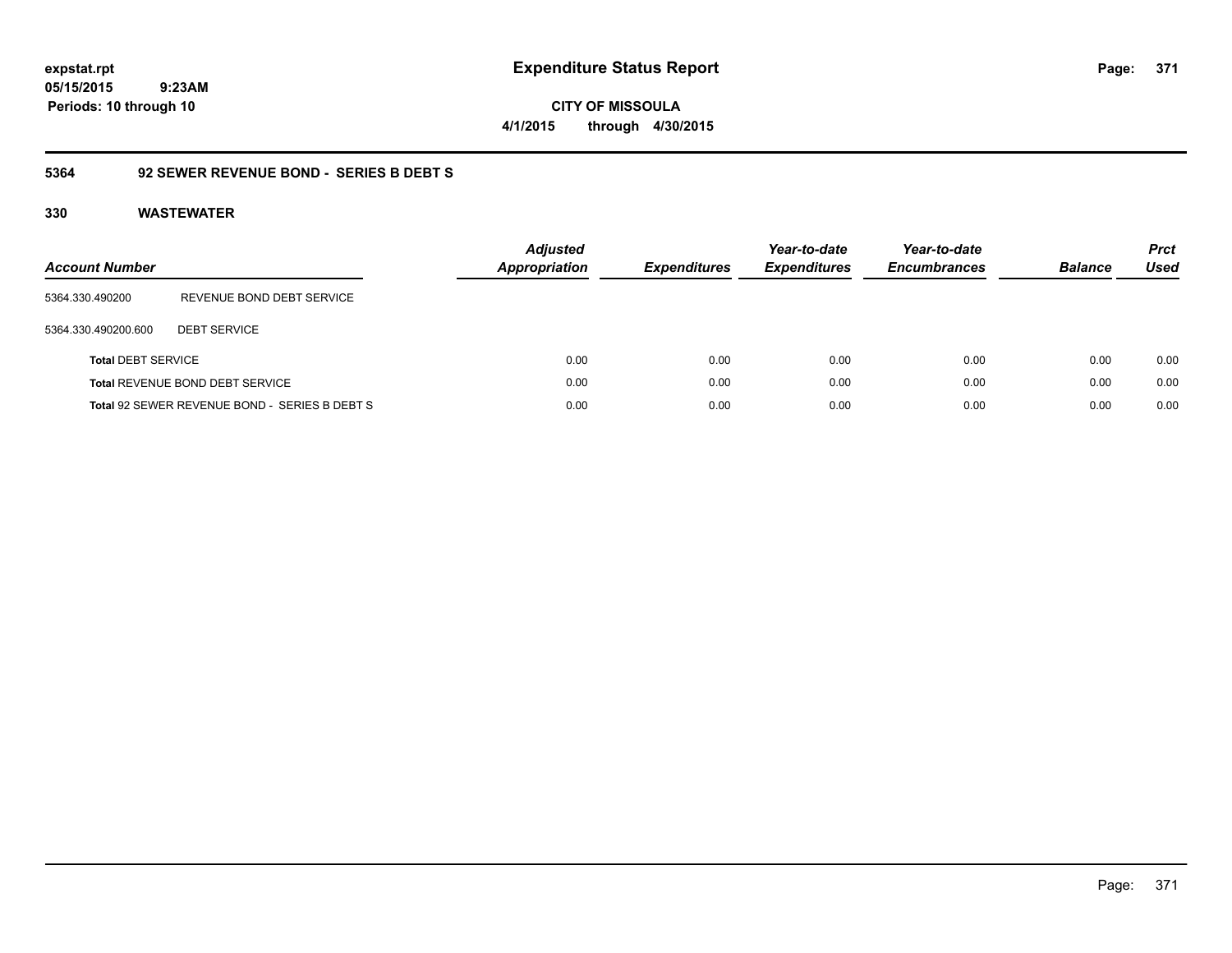**CITY OF MISSOULA 4/1/2015 through 4/30/2015**

### **5364 92 SEWER REVENUE BOND - SERIES B DEBT S**

| <b>Account Number</b>     |                                               | <b>Adjusted</b><br><b>Appropriation</b> | <i><b>Expenditures</b></i> | Year-to-date<br><b>Expenditures</b> | Year-to-date<br><b>Encumbrances</b> | <b>Balance</b> | <b>Prct</b><br>Used |
|---------------------------|-----------------------------------------------|-----------------------------------------|----------------------------|-------------------------------------|-------------------------------------|----------------|---------------------|
| 5364.330.490200           | REVENUE BOND DEBT SERVICE                     |                                         |                            |                                     |                                     |                |                     |
| 5364.330.490200.600       | <b>DEBT SERVICE</b>                           |                                         |                            |                                     |                                     |                |                     |
| <b>Total DEBT SERVICE</b> |                                               | 0.00                                    | 0.00                       | 0.00                                | 0.00                                | 0.00           | 0.00                |
|                           | <b>Total REVENUE BOND DEBT SERVICE</b>        | 0.00                                    | 0.00                       | 0.00                                | 0.00                                | 0.00           | 0.00                |
|                           | Total 92 SEWER REVENUE BOND - SERIES B DEBT S | 0.00                                    | 0.00                       | 0.00                                | 0.00                                | 0.00           | 0.00                |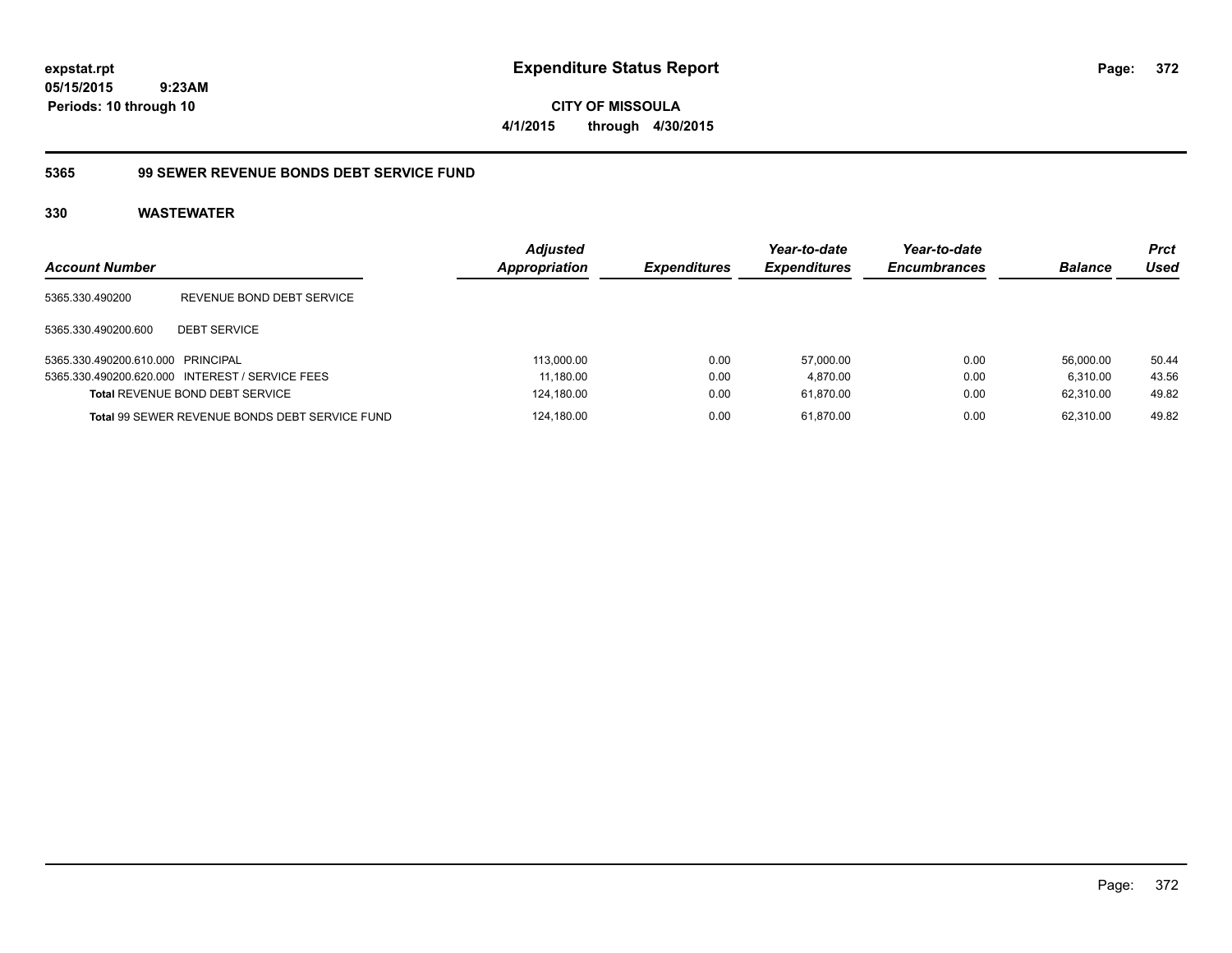**CITY OF MISSOULA 4/1/2015 through 4/30/2015**

### **5365 99 SEWER REVENUE BONDS DEBT SERVICE FUND**

| <b>Account Number</b>             |                                                       | <b>Adjusted</b><br><b>Appropriation</b> | <b>Expenditures</b> | Year-to-date<br><b>Expenditures</b> | Year-to-date<br><b>Encumbrances</b> | <b>Balance</b> | <b>Prct</b><br>Used |
|-----------------------------------|-------------------------------------------------------|-----------------------------------------|---------------------|-------------------------------------|-------------------------------------|----------------|---------------------|
| 5365.330.490200                   | REVENUE BOND DEBT SERVICE                             |                                         |                     |                                     |                                     |                |                     |
| 5365.330.490200.600               | <b>DEBT SERVICE</b>                                   |                                         |                     |                                     |                                     |                |                     |
| 5365.330.490200.610.000 PRINCIPAL |                                                       | 113.000.00                              | 0.00                | 57.000.00                           | 0.00                                | 56.000.00      | 50.44               |
|                                   | 5365.330.490200.620.000 INTEREST / SERVICE FEES       | 11.180.00                               | 0.00                | 4.870.00                            | 0.00                                | 6.310.00       | 43.56               |
|                                   | <b>Total REVENUE BOND DEBT SERVICE</b>                | 124,180.00                              | 0.00                | 61.870.00                           | 0.00                                | 62.310.00      | 49.82               |
|                                   | <b>Total 99 SEWER REVENUE BONDS DEBT SERVICE FUND</b> | 124.180.00                              | 0.00                | 61.870.00                           | 0.00                                | 62.310.00      | 49.82               |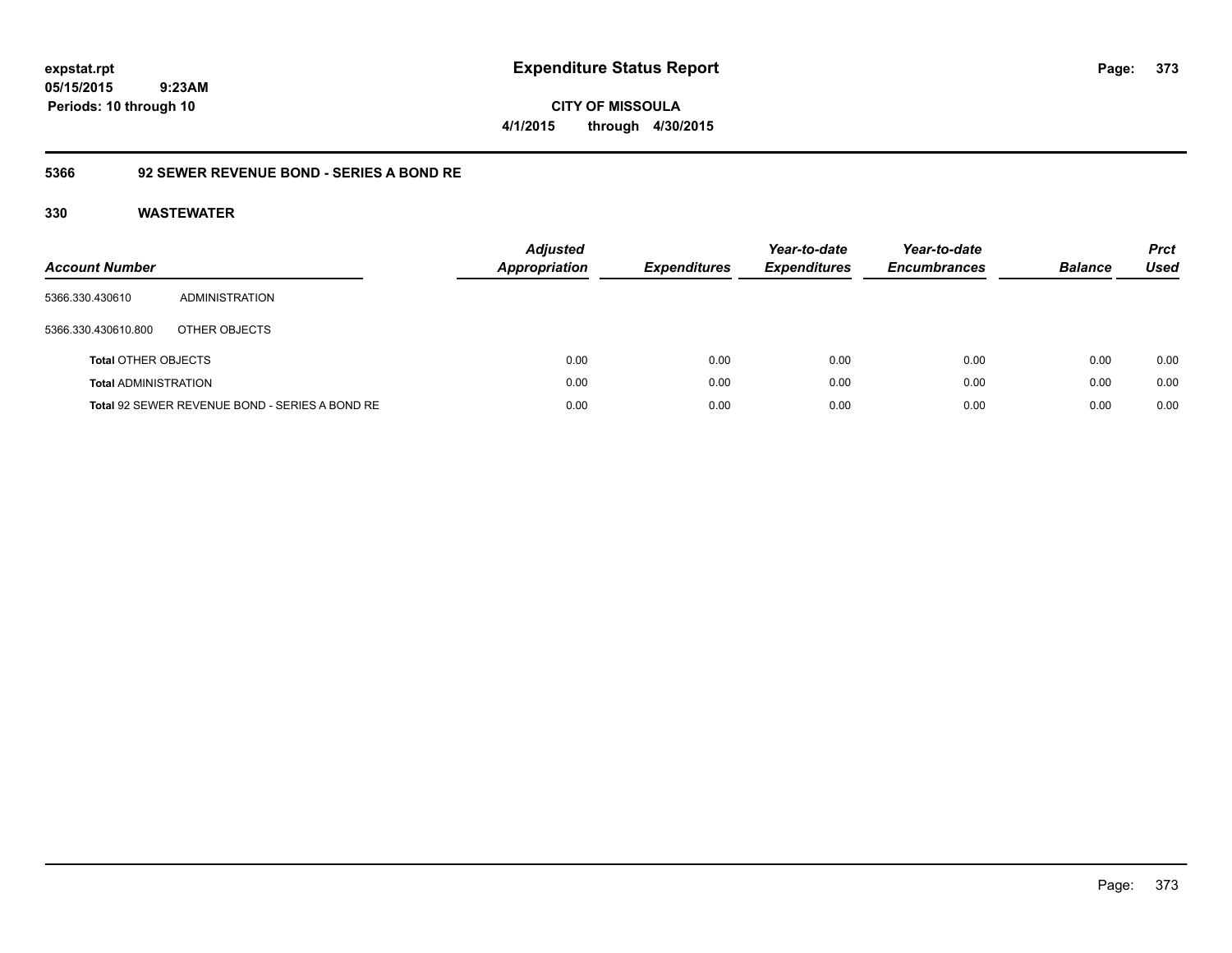### **5366 92 SEWER REVENUE BOND - SERIES A BOND RE**

| Account Number              |                                                | <b>Adjusted</b><br><b>Appropriation</b> | <b>Expenditures</b> | Year-to-date<br><b>Expenditures</b> | Year-to-date<br><b>Encumbrances</b> | <b>Balance</b> | <b>Prct</b><br>Used |
|-----------------------------|------------------------------------------------|-----------------------------------------|---------------------|-------------------------------------|-------------------------------------|----------------|---------------------|
| 5366.330.430610             | ADMINISTRATION                                 |                                         |                     |                                     |                                     |                |                     |
| 5366.330.430610.800         | OTHER OBJECTS                                  |                                         |                     |                                     |                                     |                |                     |
| <b>Total OTHER OBJECTS</b>  |                                                | 0.00                                    | 0.00                | 0.00                                | 0.00                                | 0.00           | 0.00                |
| <b>Total ADMINISTRATION</b> |                                                | 0.00                                    | 0.00                | 0.00                                | 0.00                                | 0.00           | 0.00                |
|                             | Total 92 SEWER REVENUE BOND - SERIES A BOND RE | 0.00                                    | 0.00                | 0.00                                | 0.00                                | 0.00           | 0.00                |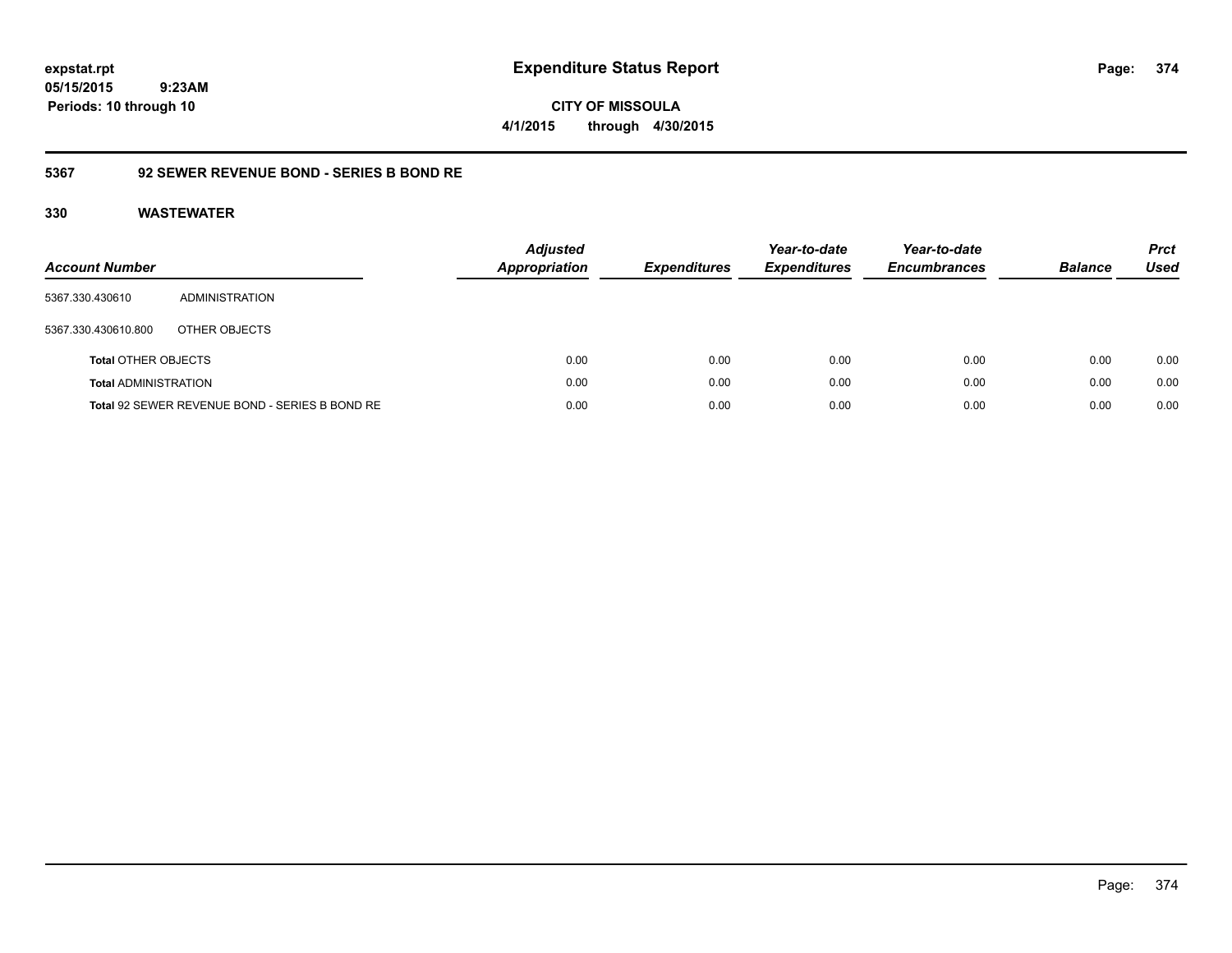**CITY OF MISSOULA 4/1/2015 through 4/30/2015**

### **5367 92 SEWER REVENUE BOND - SERIES B BOND RE**

| <b>Account Number</b>       |                                                | <b>Adjusted</b><br><b>Appropriation</b> | <b>Expenditures</b> | Year-to-date<br><b>Expenditures</b> | Year-to-date<br><b>Encumbrances</b> | <b>Balance</b> | <b>Prct</b><br>Used |
|-----------------------------|------------------------------------------------|-----------------------------------------|---------------------|-------------------------------------|-------------------------------------|----------------|---------------------|
| 5367.330.430610             | ADMINISTRATION                                 |                                         |                     |                                     |                                     |                |                     |
| 5367.330.430610.800         | OTHER OBJECTS                                  |                                         |                     |                                     |                                     |                |                     |
| <b>Total OTHER OBJECTS</b>  |                                                | 0.00                                    | 0.00                | 0.00                                | 0.00                                | 0.00           | 0.00                |
| <b>Total ADMINISTRATION</b> |                                                | 0.00                                    | 0.00                | 0.00                                | 0.00                                | 0.00           | 0.00                |
|                             | Total 92 SEWER REVENUE BOND - SERIES B BOND RE | 0.00                                    | 0.00                | 0.00                                | 0.00                                | 0.00           | 0.00                |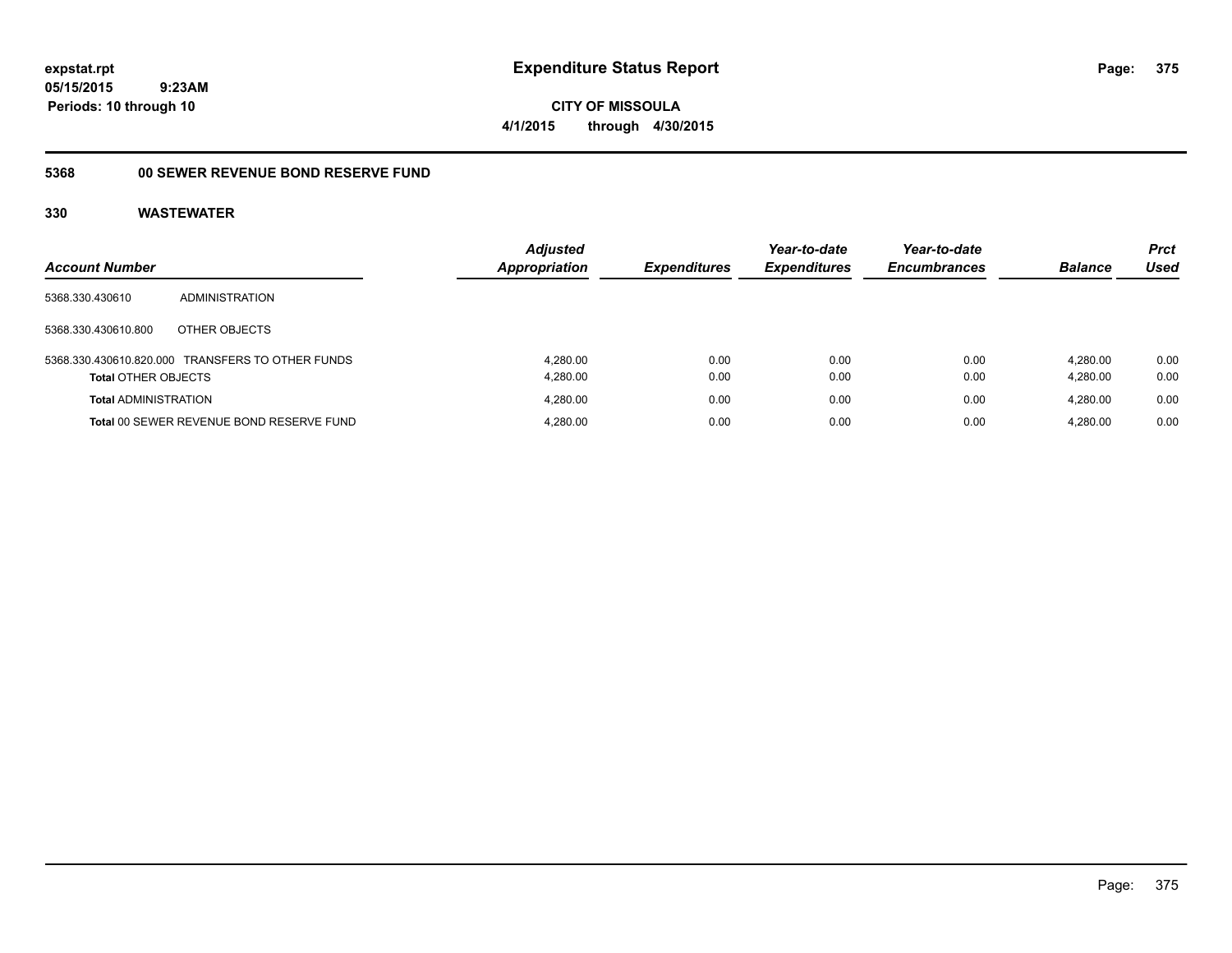**CITY OF MISSOULA 4/1/2015 through 4/30/2015**

## **5368 00 SEWER REVENUE BOND RESERVE FUND**

|                             |                                                  | <b>Adjusted</b>      |                     | Year-to-date        | Year-to-date        |                | <b>Prct</b> |
|-----------------------------|--------------------------------------------------|----------------------|---------------------|---------------------|---------------------|----------------|-------------|
| <b>Account Number</b>       |                                                  | <b>Appropriation</b> | <b>Expenditures</b> | <b>Expenditures</b> | <b>Encumbrances</b> | <b>Balance</b> | Used        |
| 5368.330.430610             | <b>ADMINISTRATION</b>                            |                      |                     |                     |                     |                |             |
| 5368.330.430610.800         | OTHER OBJECTS                                    |                      |                     |                     |                     |                |             |
|                             | 5368.330.430610.820.000 TRANSFERS TO OTHER FUNDS | 4.280.00             | 0.00                | 0.00                | 0.00                | 4.280.00       | 0.00        |
| <b>Total OTHER OBJECTS</b>  |                                                  | 4,280.00             | 0.00                | 0.00                | 0.00                | 4.280.00       | 0.00        |
| <b>Total ADMINISTRATION</b> |                                                  | 4.280.00             | 0.00                | 0.00                | 0.00                | 4.280.00       | 0.00        |
|                             | Total 00 SEWER REVENUE BOND RESERVE FUND         | 4,280.00             | 0.00                | 0.00                | 0.00                | 4.280.00       | 0.00        |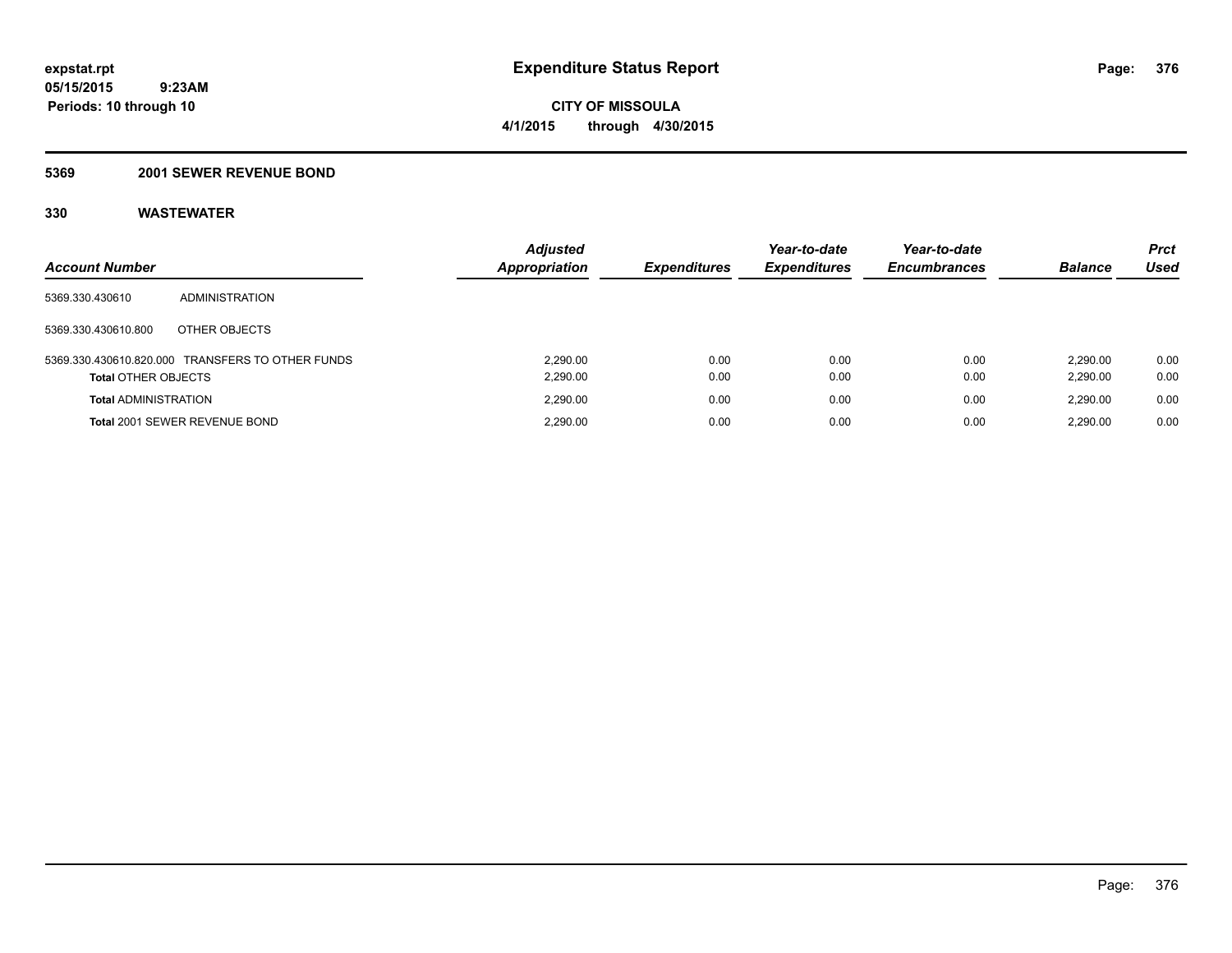#### **5369 2001 SEWER REVENUE BOND**

| <b>Account Number</b>       |                                                  | <b>Adjusted</b><br>Appropriation | <b>Expenditures</b> | Year-to-date<br><b>Expenditures</b> | Year-to-date<br><b>Encumbrances</b> | <b>Balance</b>       | <b>Prct</b><br>Used |
|-----------------------------|--------------------------------------------------|----------------------------------|---------------------|-------------------------------------|-------------------------------------|----------------------|---------------------|
| 5369.330.430610             | ADMINISTRATION                                   |                                  |                     |                                     |                                     |                      |                     |
| 5369.330.430610.800         | OTHER OBJECTS                                    |                                  |                     |                                     |                                     |                      |                     |
| <b>Total OTHER OBJECTS</b>  | 5369.330.430610.820.000 TRANSFERS TO OTHER FUNDS | 2.290.00<br>2,290.00             | 0.00<br>0.00        | 0.00<br>0.00                        | 0.00<br>0.00                        | 2.290.00<br>2,290.00 | 0.00<br>0.00        |
| <b>Total ADMINISTRATION</b> |                                                  | 2.290.00                         | 0.00                | 0.00                                | 0.00                                | 2.290.00             | 0.00                |
|                             | Total 2001 SEWER REVENUE BOND                    | 2.290.00                         | 0.00                | 0.00                                | 0.00                                | 2.290.00             | 0.00                |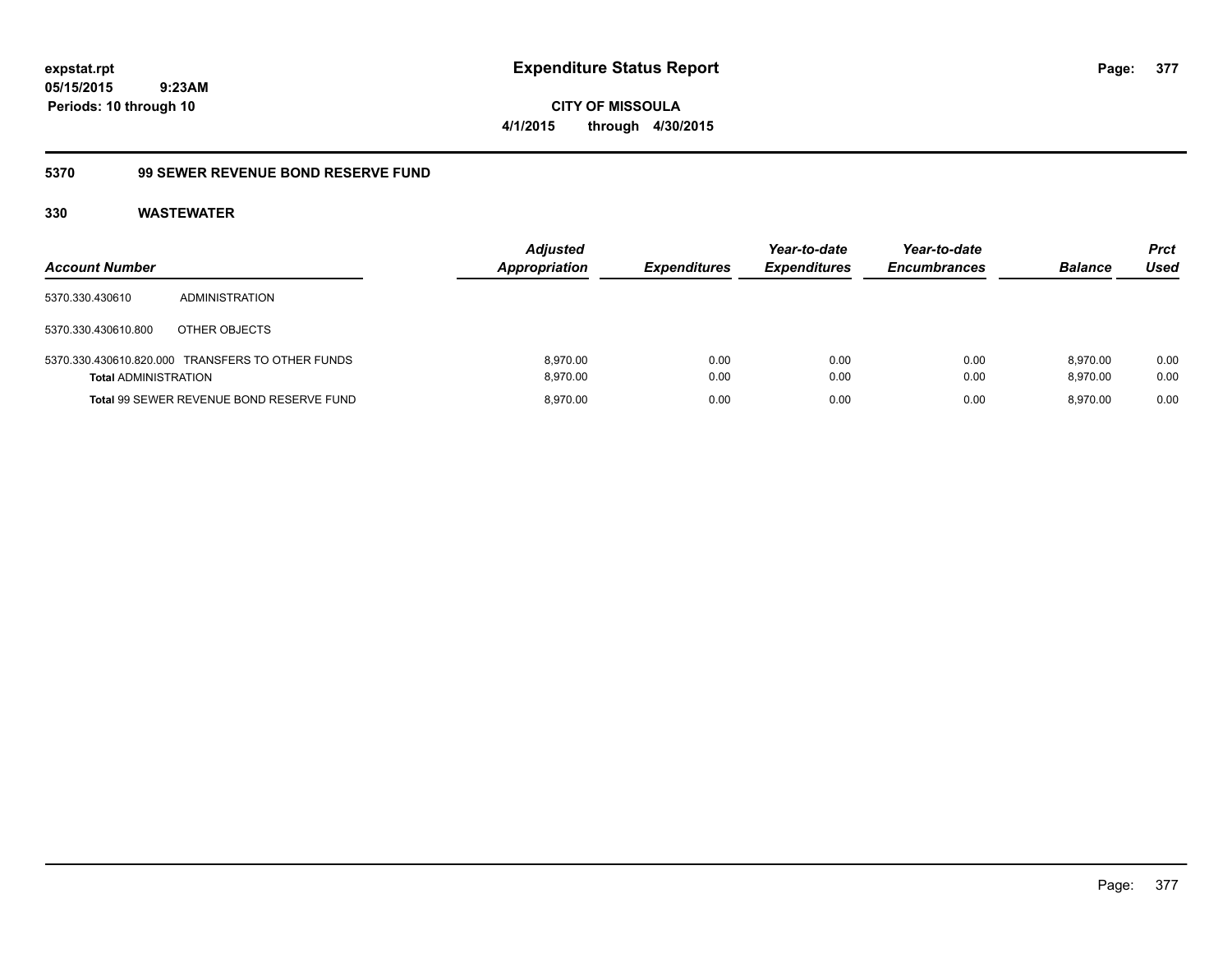**CITY OF MISSOULA 4/1/2015 through 4/30/2015**

### **5370 99 SEWER REVENUE BOND RESERVE FUND**

| <b>Account Number</b>       |                                                  | <b>Adjusted</b><br>Appropriation | <b>Expenditures</b> | Year-to-date<br><b>Expenditures</b> | Year-to-date<br><b>Encumbrances</b> | <b>Balance</b>       | <b>Prct</b><br>Used |
|-----------------------------|--------------------------------------------------|----------------------------------|---------------------|-------------------------------------|-------------------------------------|----------------------|---------------------|
| 5370.330.430610             | ADMINISTRATION                                   |                                  |                     |                                     |                                     |                      |                     |
| 5370.330.430610.800         | OTHER OBJECTS                                    |                                  |                     |                                     |                                     |                      |                     |
| <b>Total ADMINISTRATION</b> | 5370.330.430610.820.000 TRANSFERS TO OTHER FUNDS | 8.970.00<br>8,970.00             | 0.00<br>0.00        | 0.00<br>0.00                        | 0.00<br>0.00                        | 8.970.00<br>8,970.00 | 0.00<br>0.00        |
|                             | Total 99 SEWER REVENUE BOND RESERVE FUND         | 8.970.00                         | 0.00                | 0.00                                | 0.00                                | 8.970.00             | 0.00                |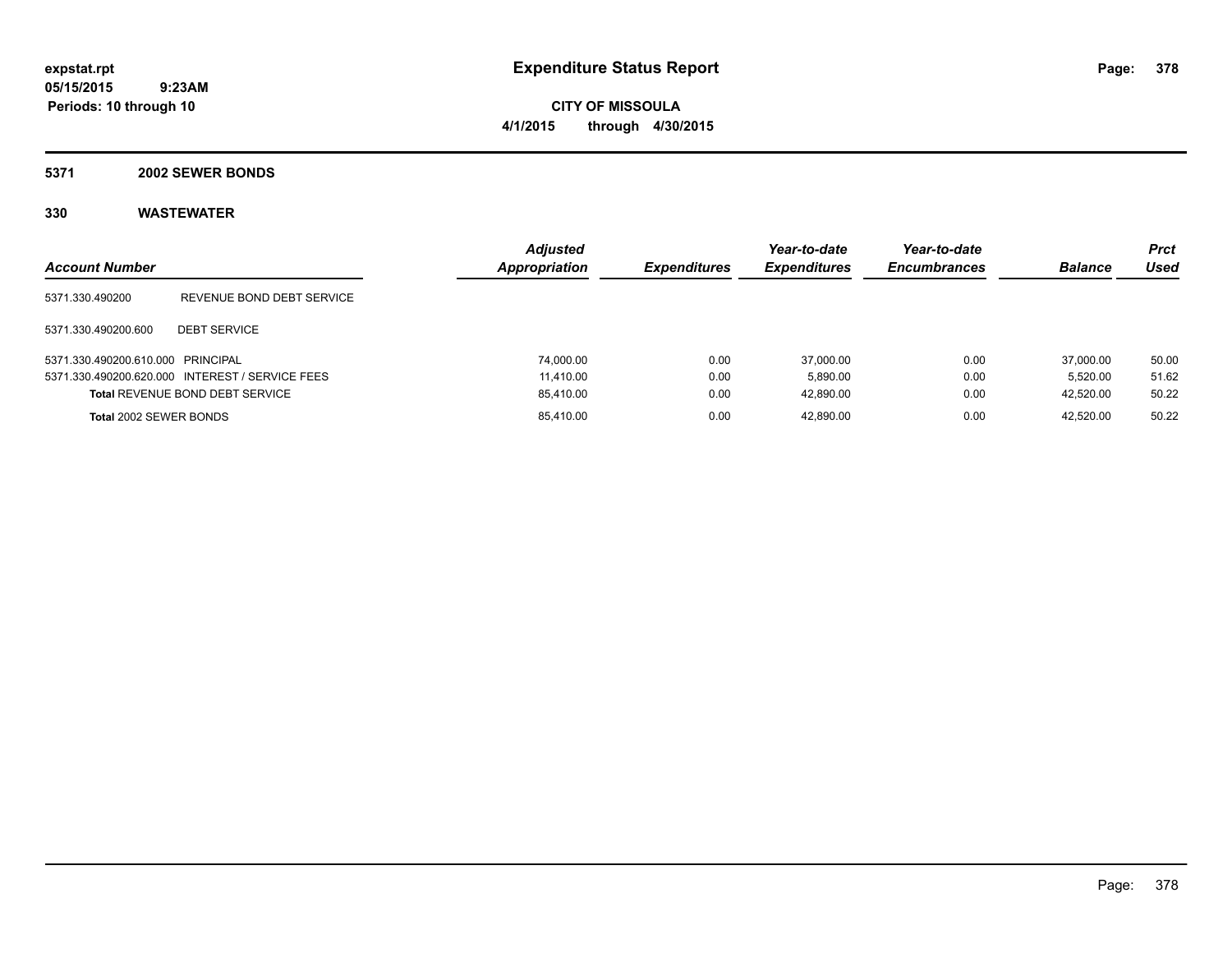**CITY OF MISSOULA 4/1/2015 through 4/30/2015**

#### **5371 2002 SEWER BONDS**

| <b>Account Number</b>             |                                                 | <b>Adjusted</b><br>Appropriation | <b>Expenditures</b> | Year-to-date<br><b>Expenditures</b> | Year-to-date<br><b>Encumbrances</b> | <b>Balance</b> | <b>Prct</b><br>Used |
|-----------------------------------|-------------------------------------------------|----------------------------------|---------------------|-------------------------------------|-------------------------------------|----------------|---------------------|
| 5371.330.490200                   | REVENUE BOND DEBT SERVICE                       |                                  |                     |                                     |                                     |                |                     |
| 5371.330.490200.600               | <b>DEBT SERVICE</b>                             |                                  |                     |                                     |                                     |                |                     |
| 5371.330.490200.610.000 PRINCIPAL |                                                 | 74.000.00                        | 0.00                | 37.000.00                           | 0.00                                | 37,000.00      | 50.00               |
|                                   | 5371.330.490200.620.000 INTEREST / SERVICE FEES | 11.410.00                        | 0.00                | 5.890.00                            | 0.00                                | 5.520.00       | 51.62               |
|                                   | <b>Total REVENUE BOND DEBT SERVICE</b>          | 85,410.00                        | 0.00                | 42.890.00                           | 0.00                                | 42.520.00      | 50.22               |
| Total 2002 SEWER BONDS            |                                                 | 85,410.00                        | 0.00                | 42.890.00                           | 0.00                                | 42.520.00      | 50.22               |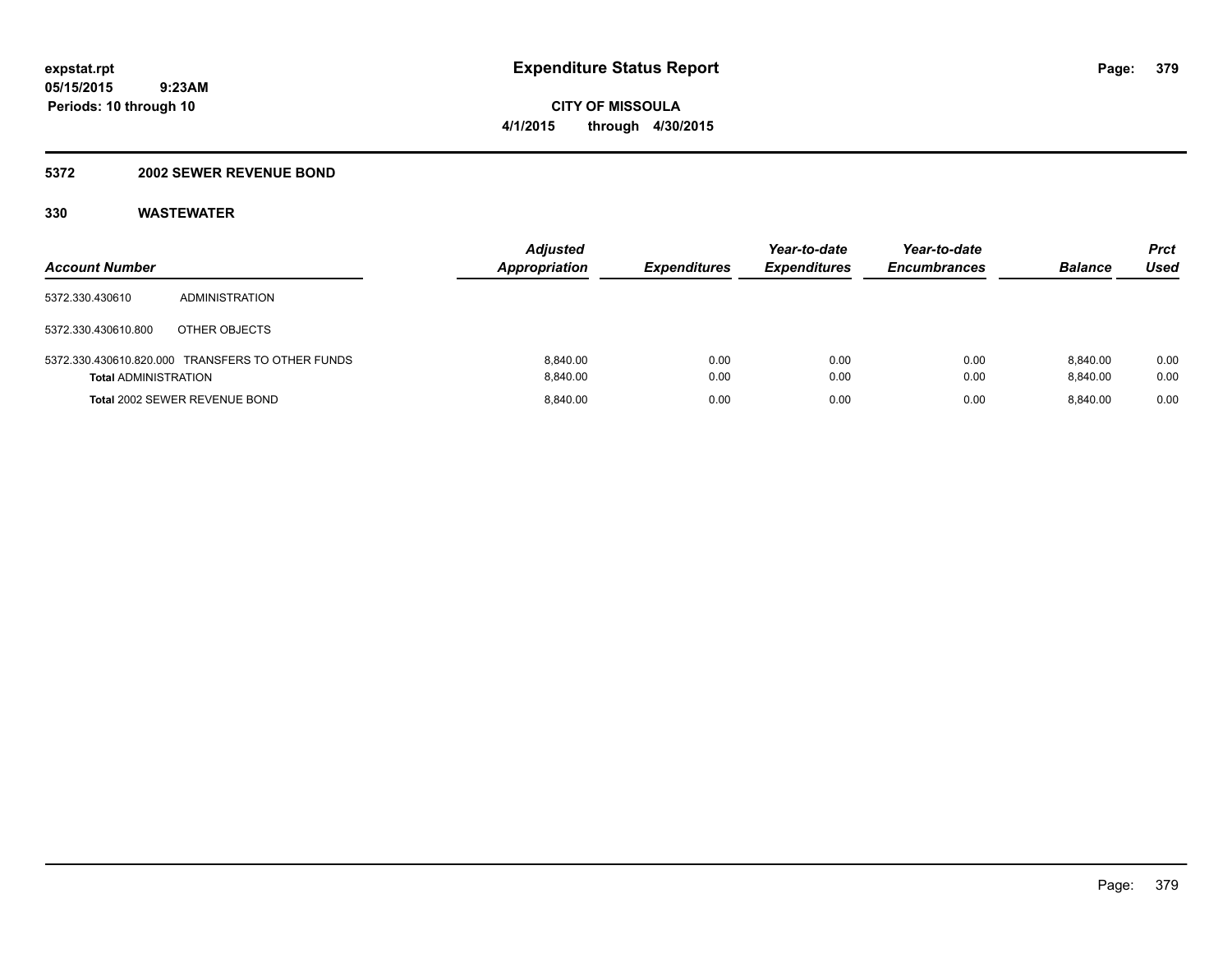### **5372 2002 SEWER REVENUE BOND**

| <b>Account Number</b>       |                                                  | <b>Adjusted</b>      | <b>Appropriation</b><br><b>Expenditures</b> | Year-to-date<br><b>Expenditures</b> | Year-to-date<br><b>Encumbrances</b> | <b>Balance</b>       | Prct<br>Used |
|-----------------------------|--------------------------------------------------|----------------------|---------------------------------------------|-------------------------------------|-------------------------------------|----------------------|--------------|
| 5372.330.430610             | ADMINISTRATION                                   |                      |                                             |                                     |                                     |                      |              |
| 5372.330.430610.800         | OTHER OBJECTS                                    |                      |                                             |                                     |                                     |                      |              |
| <b>Total ADMINISTRATION</b> | 5372.330.430610.820.000 TRANSFERS TO OTHER FUNDS | 8.840.00<br>8.840.00 | 0.00<br>0.00                                | 0.00<br>0.00                        | 0.00<br>0.00                        | 8.840.00<br>8.840.00 | 0.00<br>0.00 |
|                             | <b>Total 2002 SEWER REVENUE BOND</b>             | 8.840.00             | 0.00                                        | 0.00                                | 0.00                                | 8.840.00             | 0.00         |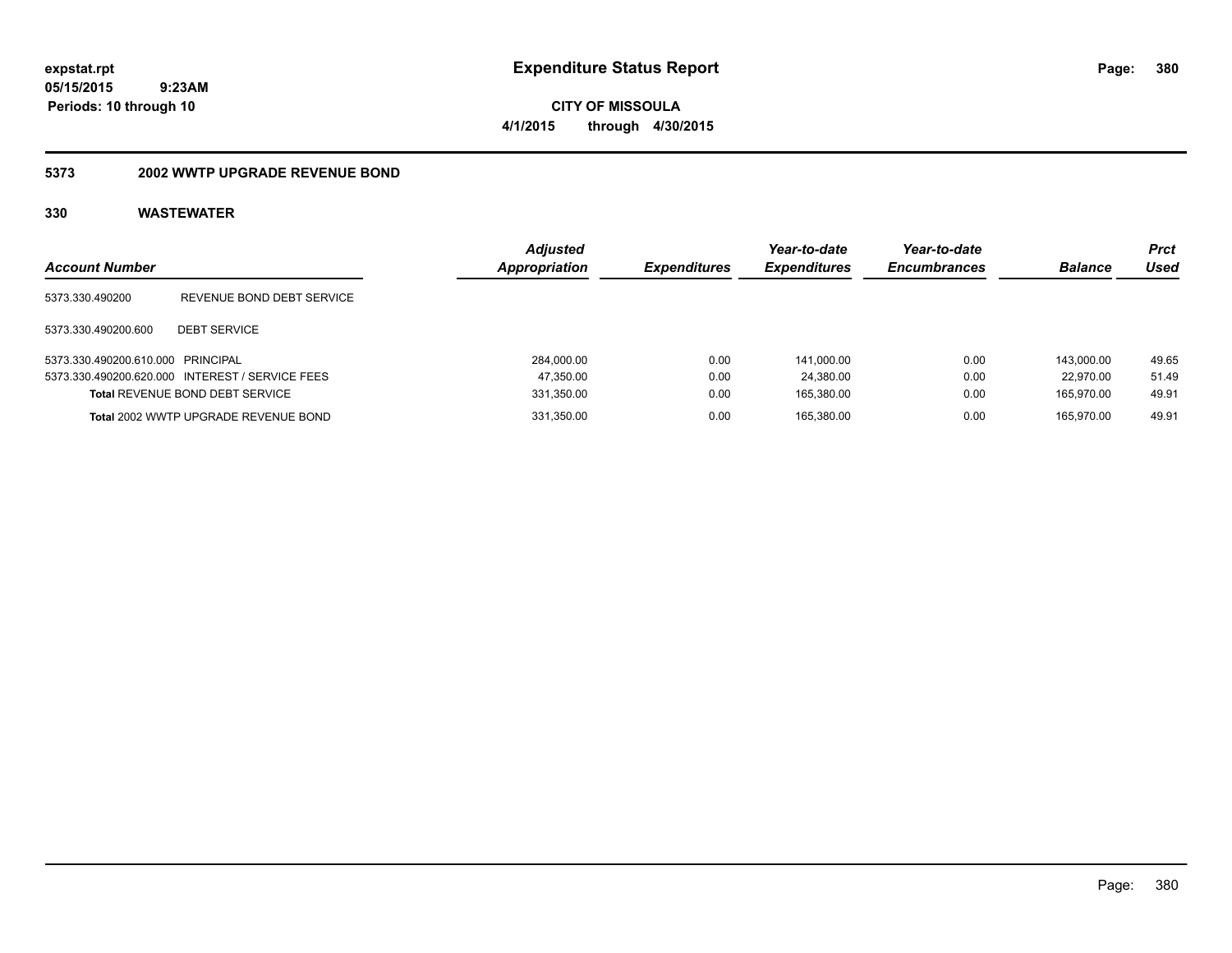**CITY OF MISSOULA 4/1/2015 through 4/30/2015**

#### **5373 2002 WWTP UPGRADE REVENUE BOND**

| <b>Account Number</b>             |                                                 | <b>Adjusted</b><br><b>Appropriation</b> | <b>Expenditures</b> | Year-to-date<br><b>Expenditures</b> | Year-to-date<br><b>Encumbrances</b> | <b>Balance</b> | <b>Prct</b><br>Used |
|-----------------------------------|-------------------------------------------------|-----------------------------------------|---------------------|-------------------------------------|-------------------------------------|----------------|---------------------|
| 5373.330.490200                   | REVENUE BOND DEBT SERVICE                       |                                         |                     |                                     |                                     |                |                     |
| 5373.330.490200.600               | <b>DEBT SERVICE</b>                             |                                         |                     |                                     |                                     |                |                     |
| 5373.330.490200.610.000 PRINCIPAL |                                                 | 284,000.00                              | 0.00                | 141.000.00                          | 0.00                                | 143.000.00     | 49.65               |
|                                   | 5373.330.490200.620.000 INTEREST / SERVICE FEES | 47,350.00                               | 0.00                | 24,380.00                           | 0.00                                | 22.970.00      | 51.49               |
|                                   | <b>Total REVENUE BOND DEBT SERVICE</b>          | 331,350.00                              | 0.00                | 165.380.00                          | 0.00                                | 165.970.00     | 49.91               |
|                                   | Total 2002 WWTP UPGRADE REVENUE BOND            | 331,350.00                              | 0.00                | 165.380.00                          | 0.00                                | 165.970.00     | 49.91               |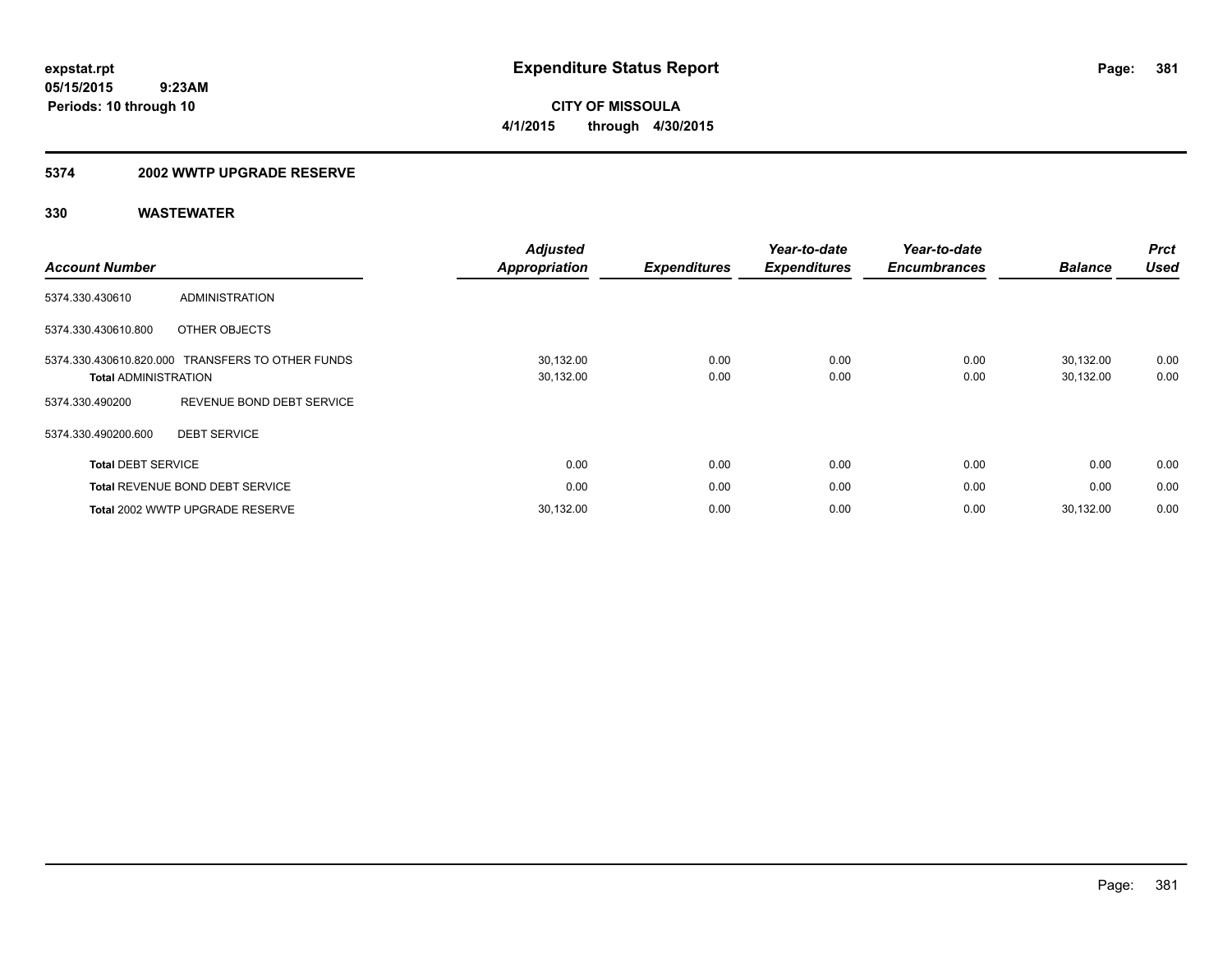**Periods: 10 through 10**

**CITY OF MISSOULA 4/1/2015 through 4/30/2015**

#### **5374 2002 WWTP UPGRADE RESERVE**

| <b>Account Number</b>                                  |                                        | <b>Adjusted</b><br><b>Appropriation</b> | <b>Expenditures</b> | Year-to-date<br><b>Expenditures</b> | Year-to-date<br><b>Encumbrances</b> | <b>Balance</b>         | <b>Prct</b><br><b>Used</b> |
|--------------------------------------------------------|----------------------------------------|-----------------------------------------|---------------------|-------------------------------------|-------------------------------------|------------------------|----------------------------|
| 5374.330.430610                                        | <b>ADMINISTRATION</b>                  |                                         |                     |                                     |                                     |                        |                            |
| 5374.330.430610.800                                    | OTHER OBJECTS                          |                                         |                     |                                     |                                     |                        |                            |
| 5374.330.430610.820.000<br><b>Total ADMINISTRATION</b> | TRANSFERS TO OTHER FUNDS               | 30,132.00<br>30,132.00                  | 0.00<br>0.00        | 0.00<br>0.00                        | 0.00<br>0.00                        | 30.132.00<br>30,132.00 | 0.00<br>0.00               |
| 5374.330.490200                                        | REVENUE BOND DEBT SERVICE              |                                         |                     |                                     |                                     |                        |                            |
| 5374.330.490200.600                                    | <b>DEBT SERVICE</b>                    |                                         |                     |                                     |                                     |                        |                            |
| <b>Total DEBT SERVICE</b>                              |                                        | 0.00                                    | 0.00                | 0.00                                | 0.00                                | 0.00                   | 0.00                       |
|                                                        | <b>Total REVENUE BOND DEBT SERVICE</b> | 0.00                                    | 0.00                | 0.00                                | 0.00                                | 0.00                   | 0.00                       |
|                                                        | Total 2002 WWTP UPGRADE RESERVE        | 30,132.00                               | 0.00                | 0.00                                | 0.00                                | 30.132.00              | 0.00                       |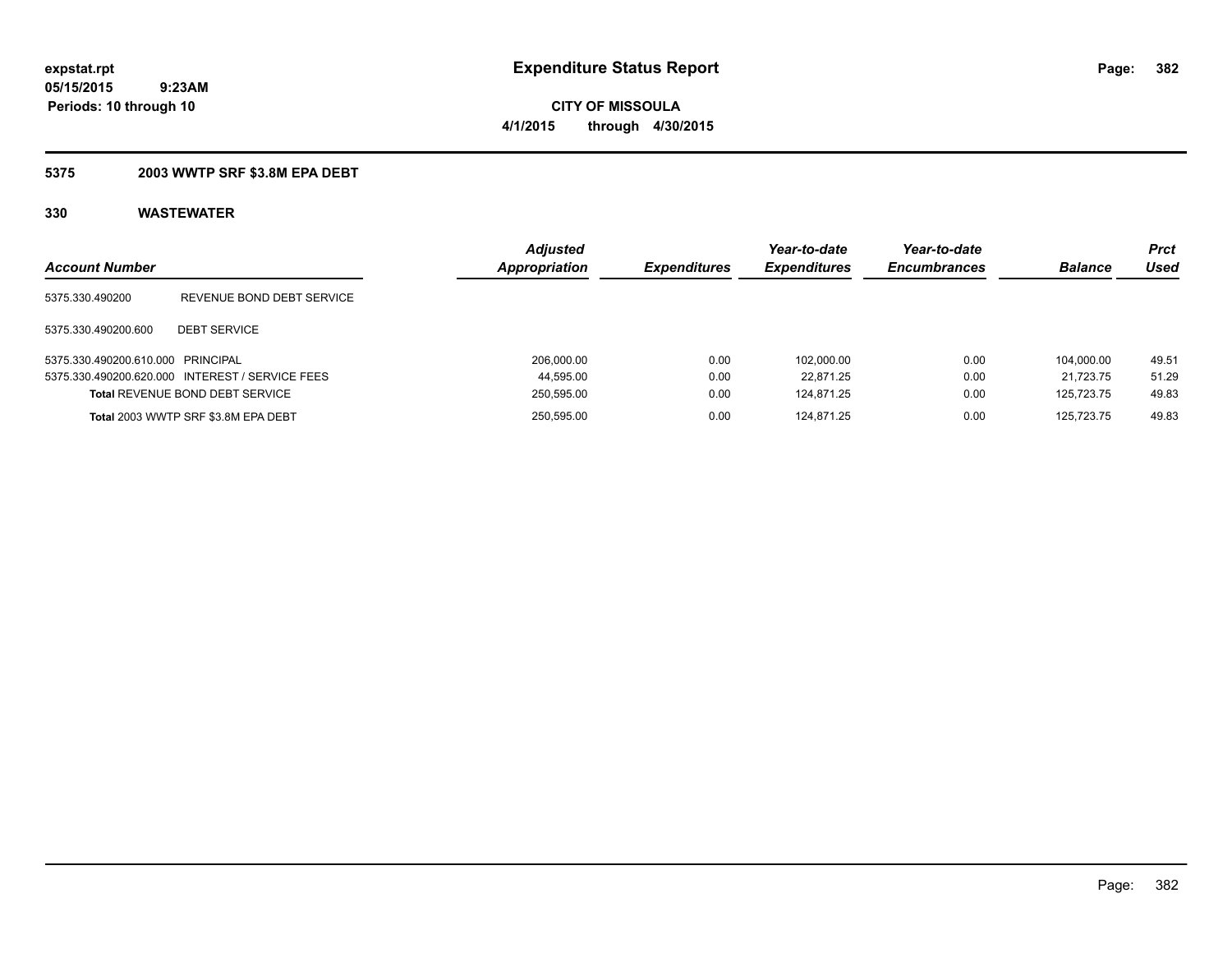**CITY OF MISSOULA 4/1/2015 through 4/30/2015**

### **5375 2003 WWTP SRF \$3.8M EPA DEBT**

| <b>Account Number</b>             |                                                 | <b>Adjusted</b><br>Appropriation | <b>Expenditures</b> | Year-to-date<br><b>Expenditures</b> | Year-to-date<br><b>Encumbrances</b> | <b>Balance</b> | <b>Prct</b><br>Used |
|-----------------------------------|-------------------------------------------------|----------------------------------|---------------------|-------------------------------------|-------------------------------------|----------------|---------------------|
| 5375.330.490200                   | REVENUE BOND DEBT SERVICE                       |                                  |                     |                                     |                                     |                |                     |
| 5375.330.490200.600               | <b>DEBT SERVICE</b>                             |                                  |                     |                                     |                                     |                |                     |
| 5375.330.490200.610.000 PRINCIPAL |                                                 | 206.000.00                       | 0.00                | 102.000.00                          | 0.00                                | 104.000.00     | 49.51               |
|                                   | 5375.330.490200.620.000 INTEREST / SERVICE FEES | 44,595.00                        | 0.00                | 22.871.25                           | 0.00                                | 21.723.75      | 51.29               |
|                                   | <b>Total REVENUE BOND DEBT SERVICE</b>          | 250,595.00                       | 0.00                | 124.871.25                          | 0.00                                | 125.723.75     | 49.83               |
|                                   | Total 2003 WWTP SRF \$3.8M EPA DEBT             | 250,595.00                       | 0.00                | 124.871.25                          | 0.00                                | 125.723.75     | 49.83               |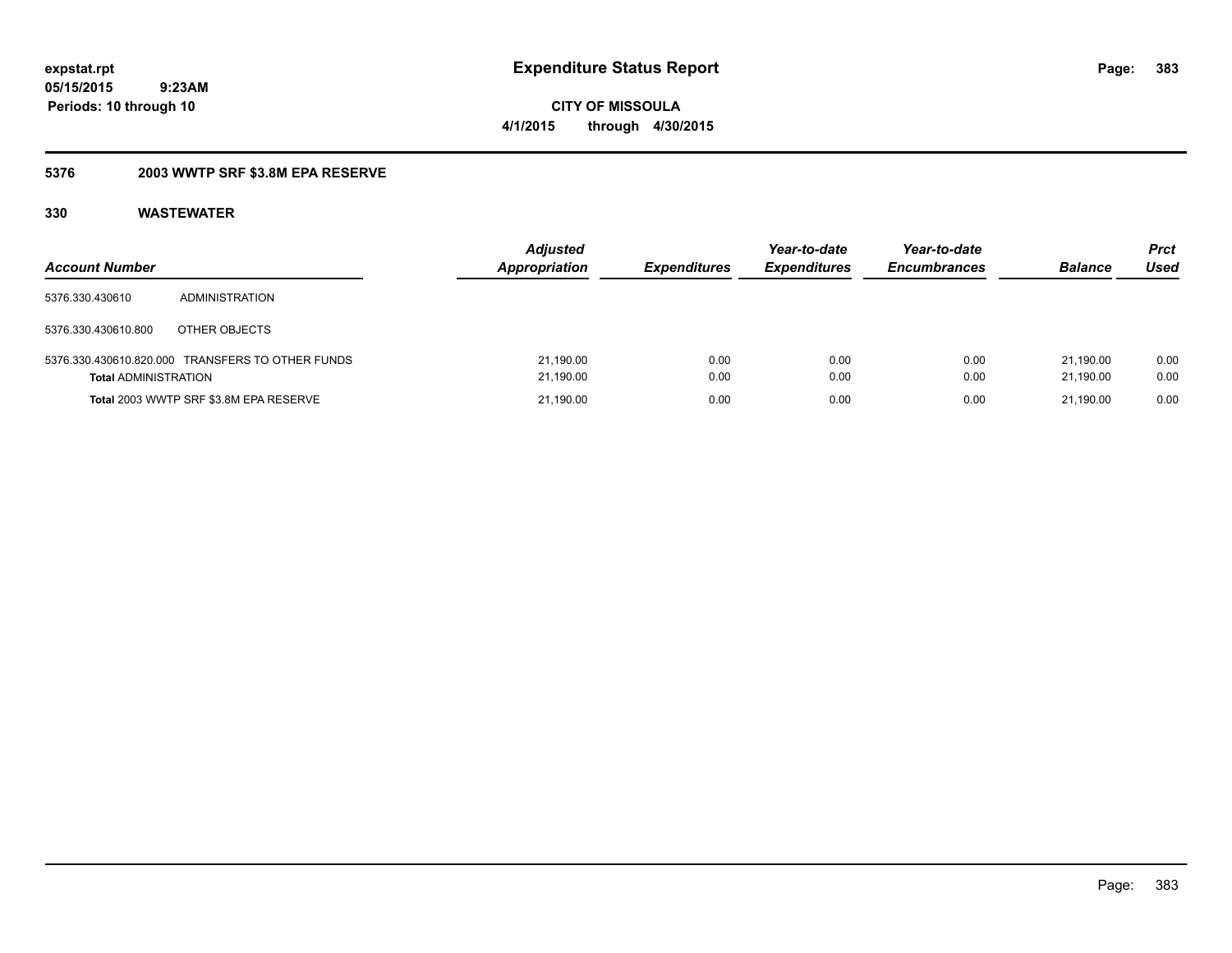**CITY OF MISSOULA 4/1/2015 through 4/30/2015**

### **5376 2003 WWTP SRF \$3.8M EPA RESERVE**

| <b>Account Number</b>       |                                                  | <b>Adjusted</b><br><b>Appropriation</b> | <i><b>Expenditures</b></i> | Year-to-date<br><b>Expenditures</b> | Year-to-date<br><b>Encumbrances</b> | <b>Balance</b>         | <b>Prct</b><br>Used |
|-----------------------------|--------------------------------------------------|-----------------------------------------|----------------------------|-------------------------------------|-------------------------------------|------------------------|---------------------|
| 5376.330.430610             | <b>ADMINISTRATION</b>                            |                                         |                            |                                     |                                     |                        |                     |
| 5376.330.430610.800         | OTHER OBJECTS                                    |                                         |                            |                                     |                                     |                        |                     |
| <b>Total ADMINISTRATION</b> | 5376.330.430610.820.000 TRANSFERS TO OTHER FUNDS | 21,190.00<br>21,190.00                  | 0.00<br>0.00               | 0.00<br>0.00                        | 0.00<br>0.00                        | 21.190.00<br>21.190.00 | 0.00<br>0.00        |
|                             | Total 2003 WWTP SRF \$3.8M EPA RESERVE           | 21,190.00                               | 0.00                       | 0.00                                | 0.00                                | 21.190.00              | 0.00                |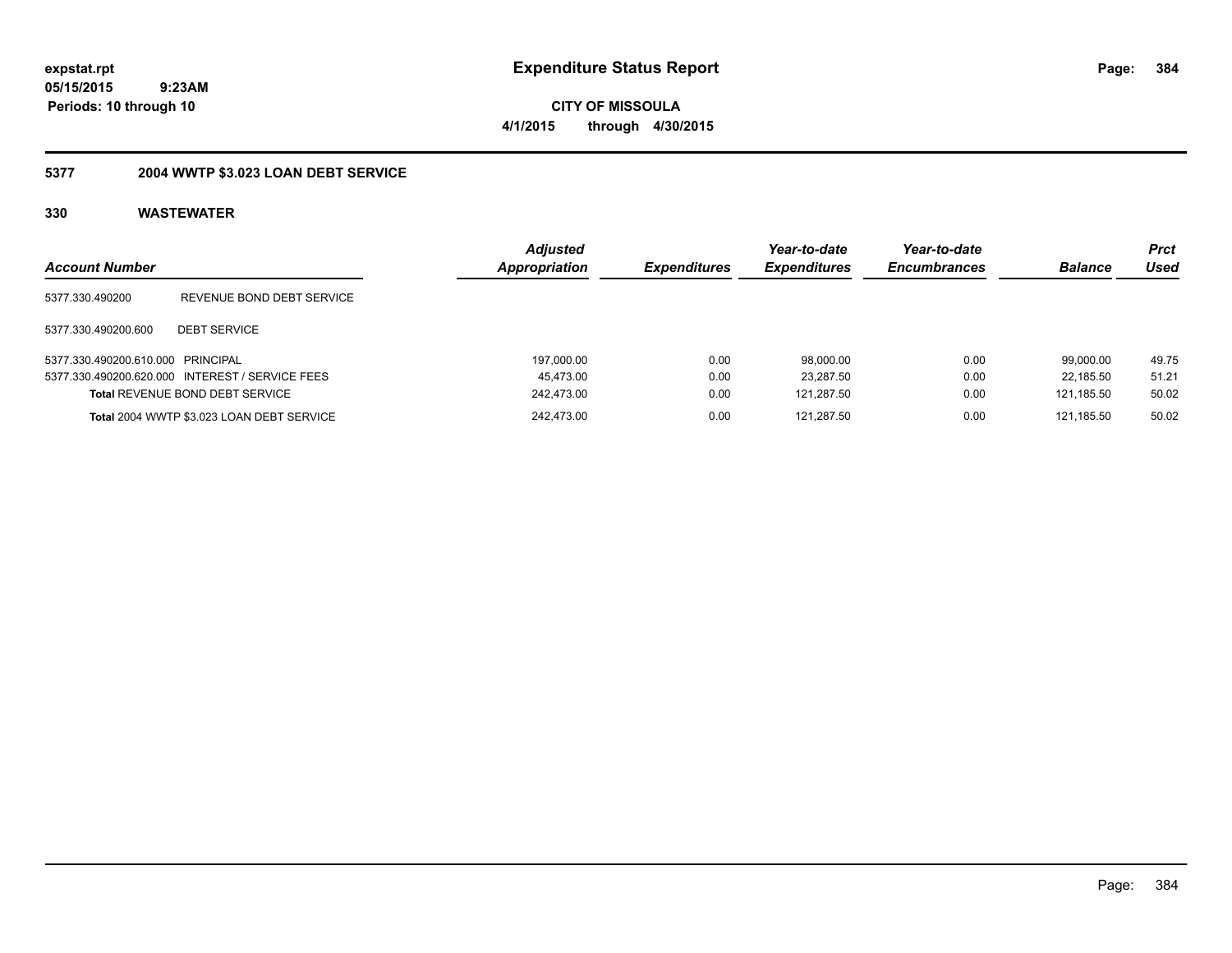**CITY OF MISSOULA 4/1/2015 through 4/30/2015**

## **5377 2004 WWTP \$3.023 LOAN DEBT SERVICE**

| <b>Account Number</b>             |                                                 | <b>Adjusted</b><br><b>Appropriation</b> | <i><b>Expenditures</b></i> | Year-to-date<br><b>Expenditures</b> | Year-to-date<br><b>Encumbrances</b> | <b>Balance</b> | <b>Prct</b><br>Used |
|-----------------------------------|-------------------------------------------------|-----------------------------------------|----------------------------|-------------------------------------|-------------------------------------|----------------|---------------------|
| 5377.330.490200                   | REVENUE BOND DEBT SERVICE                       |                                         |                            |                                     |                                     |                |                     |
| 5377.330.490200.600               | <b>DEBT SERVICE</b>                             |                                         |                            |                                     |                                     |                |                     |
| 5377.330.490200.610.000 PRINCIPAL |                                                 | 197,000.00                              | 0.00                       | 98,000.00                           | 0.00                                | 99.000.00      | 49.75               |
|                                   | 5377.330.490200.620.000 INTEREST / SERVICE FEES | 45,473.00                               | 0.00                       | 23,287.50                           | 0.00                                | 22.185.50      | 51.21               |
|                                   | <b>Total REVENUE BOND DEBT SERVICE</b>          | 242,473.00                              | 0.00                       | 121,287.50                          | 0.00                                | 121.185.50     | 50.02               |
|                                   | Total 2004 WWTP \$3.023 LOAN DEBT SERVICE       | 242.473.00                              | 0.00                       | 121.287.50                          | 0.00                                | 121.185.50     | 50.02               |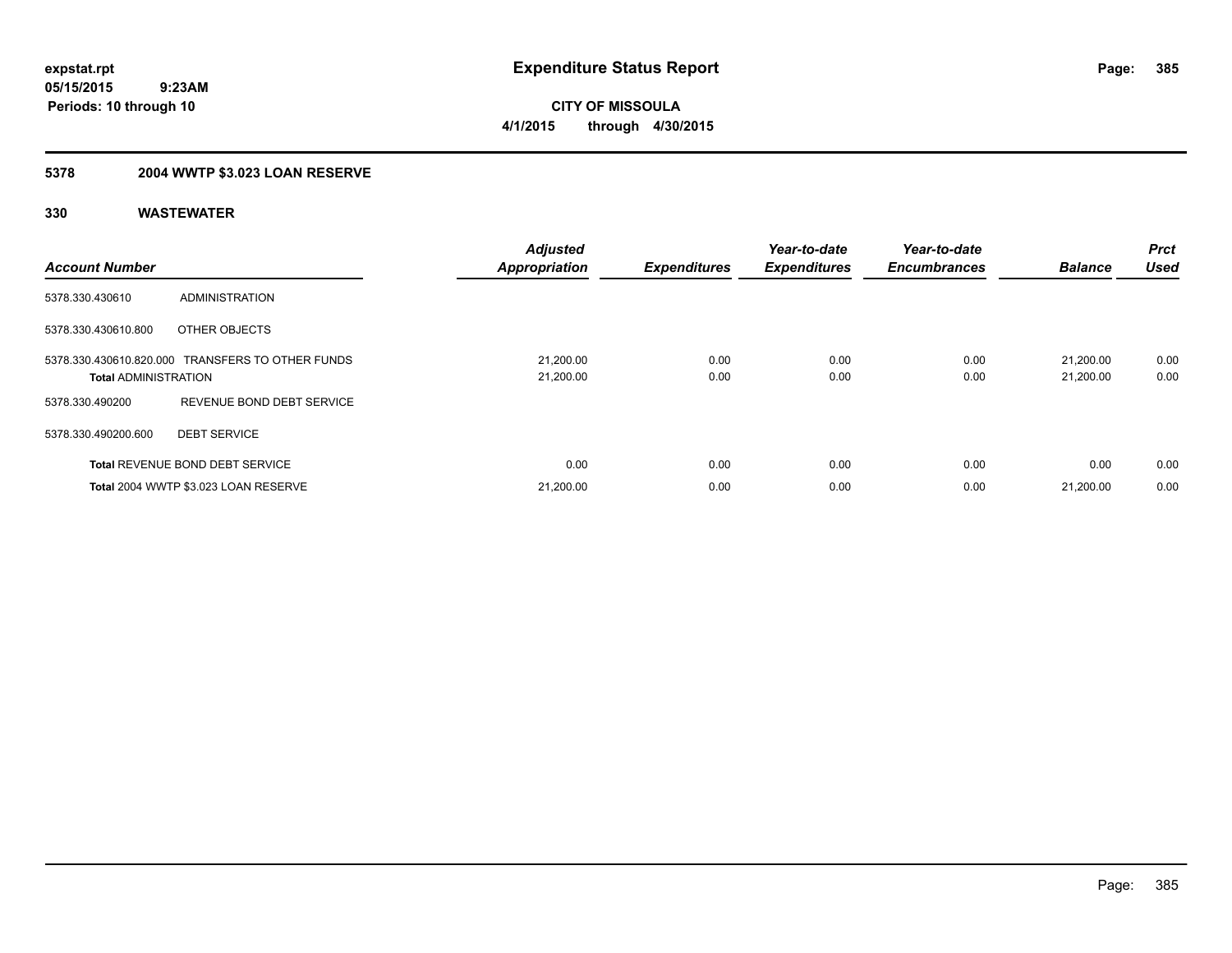## **5378 2004 WWTP \$3.023 LOAN RESERVE**

| <b>Account Number</b>       |                                                  | <b>Adjusted</b><br><b>Appropriation</b> | <b>Expenditures</b> | Year-to-date<br><b>Expenditures</b> | Year-to-date<br><b>Encumbrances</b> | <b>Balance</b>         | <b>Prct</b><br><b>Used</b> |
|-----------------------------|--------------------------------------------------|-----------------------------------------|---------------------|-------------------------------------|-------------------------------------|------------------------|----------------------------|
| 5378.330.430610             | ADMINISTRATION                                   |                                         |                     |                                     |                                     |                        |                            |
| 5378.330.430610.800         | OTHER OBJECTS                                    |                                         |                     |                                     |                                     |                        |                            |
| <b>Total ADMINISTRATION</b> | 5378.330.430610.820.000 TRANSFERS TO OTHER FUNDS | 21,200.00<br>21,200.00                  | 0.00<br>0.00        | 0.00<br>0.00                        | 0.00<br>0.00                        | 21.200.00<br>21,200.00 | 0.00<br>0.00               |
| 5378.330.490200             | REVENUE BOND DEBT SERVICE                        |                                         |                     |                                     |                                     |                        |                            |
| 5378.330.490200.600         | <b>DEBT SERVICE</b>                              |                                         |                     |                                     |                                     |                        |                            |
|                             | <b>Total REVENUE BOND DEBT SERVICE</b>           | 0.00                                    | 0.00                | 0.00                                | 0.00                                | 0.00                   | 0.00                       |
|                             | Total 2004 WWTP \$3.023 LOAN RESERVE             | 21,200.00                               | 0.00                | 0.00                                | 0.00                                | 21.200.00              | 0.00                       |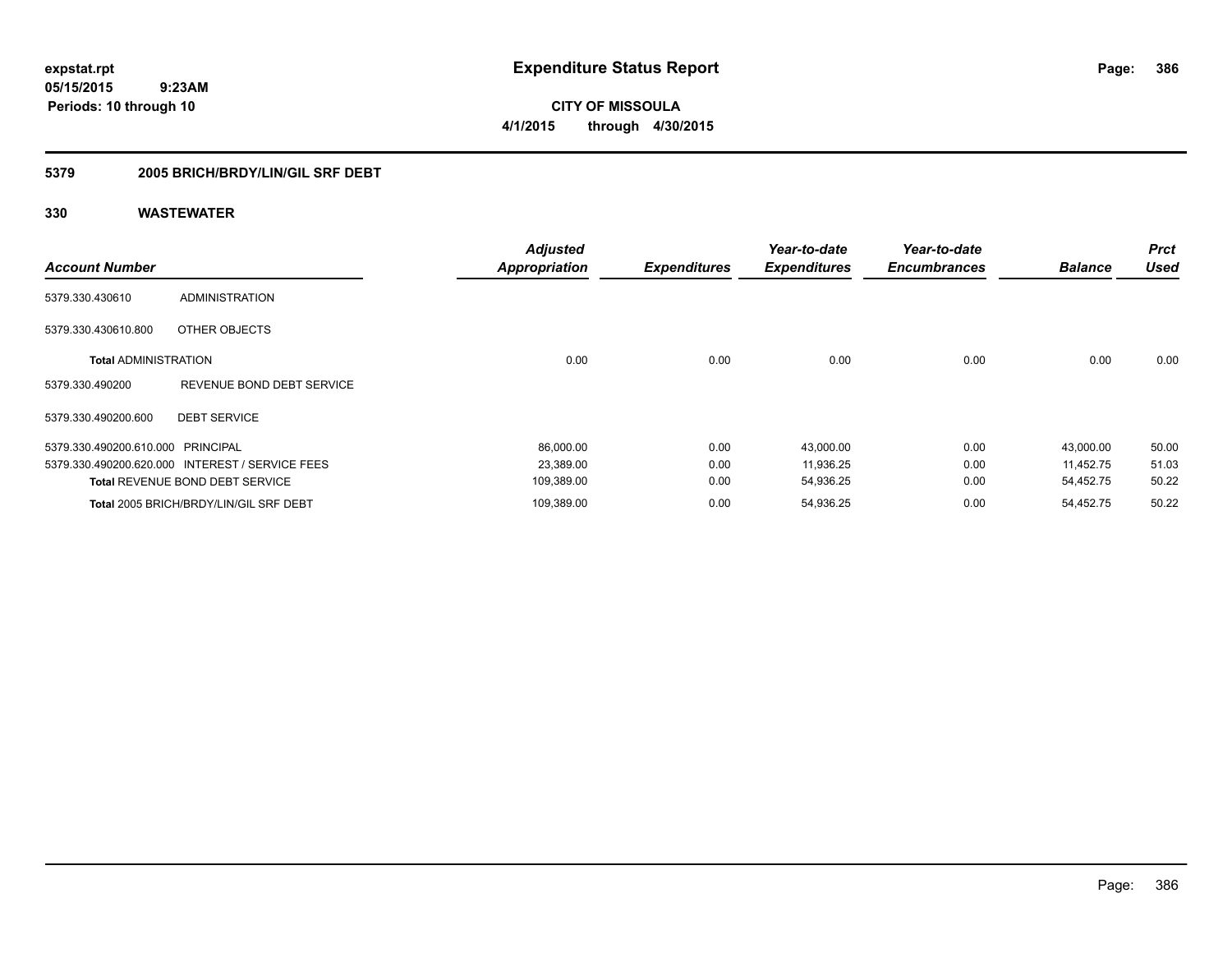**CITY OF MISSOULA 4/1/2015 through 4/30/2015**

### **5379 2005 BRICH/BRDY/LIN/GIL SRF DEBT**

| <b>Account Number</b>             |                                                 | <b>Adjusted</b><br><b>Appropriation</b> | <b>Expenditures</b> | Year-to-date<br><b>Expenditures</b> | Year-to-date<br><b>Encumbrances</b> | <b>Balance</b> | <b>Prct</b><br><b>Used</b> |
|-----------------------------------|-------------------------------------------------|-----------------------------------------|---------------------|-------------------------------------|-------------------------------------|----------------|----------------------------|
| 5379.330.430610                   | <b>ADMINISTRATION</b>                           |                                         |                     |                                     |                                     |                |                            |
| 5379.330.430610.800               | OTHER OBJECTS                                   |                                         |                     |                                     |                                     |                |                            |
| <b>Total ADMINISTRATION</b>       |                                                 | 0.00                                    | 0.00                | 0.00                                | 0.00                                | 0.00           | 0.00                       |
| 5379.330.490200                   | REVENUE BOND DEBT SERVICE                       |                                         |                     |                                     |                                     |                |                            |
| 5379.330.490200.600               | <b>DEBT SERVICE</b>                             |                                         |                     |                                     |                                     |                |                            |
| 5379.330.490200.610.000 PRINCIPAL |                                                 | 86,000.00                               | 0.00                | 43,000.00                           | 0.00                                | 43,000.00      | 50.00                      |
|                                   | 5379.330.490200.620.000 INTEREST / SERVICE FEES | 23,389.00                               | 0.00                | 11,936.25                           | 0.00                                | 11.452.75      | 51.03                      |
|                                   | <b>Total REVENUE BOND DEBT SERVICE</b>          | 109,389.00                              | 0.00                | 54,936.25                           | 0.00                                | 54,452.75      | 50.22                      |
|                                   | Total 2005 BRICH/BRDY/LIN/GIL SRF DEBT          | 109,389.00                              | 0.00                | 54,936.25                           | 0.00                                | 54.452.75      | 50.22                      |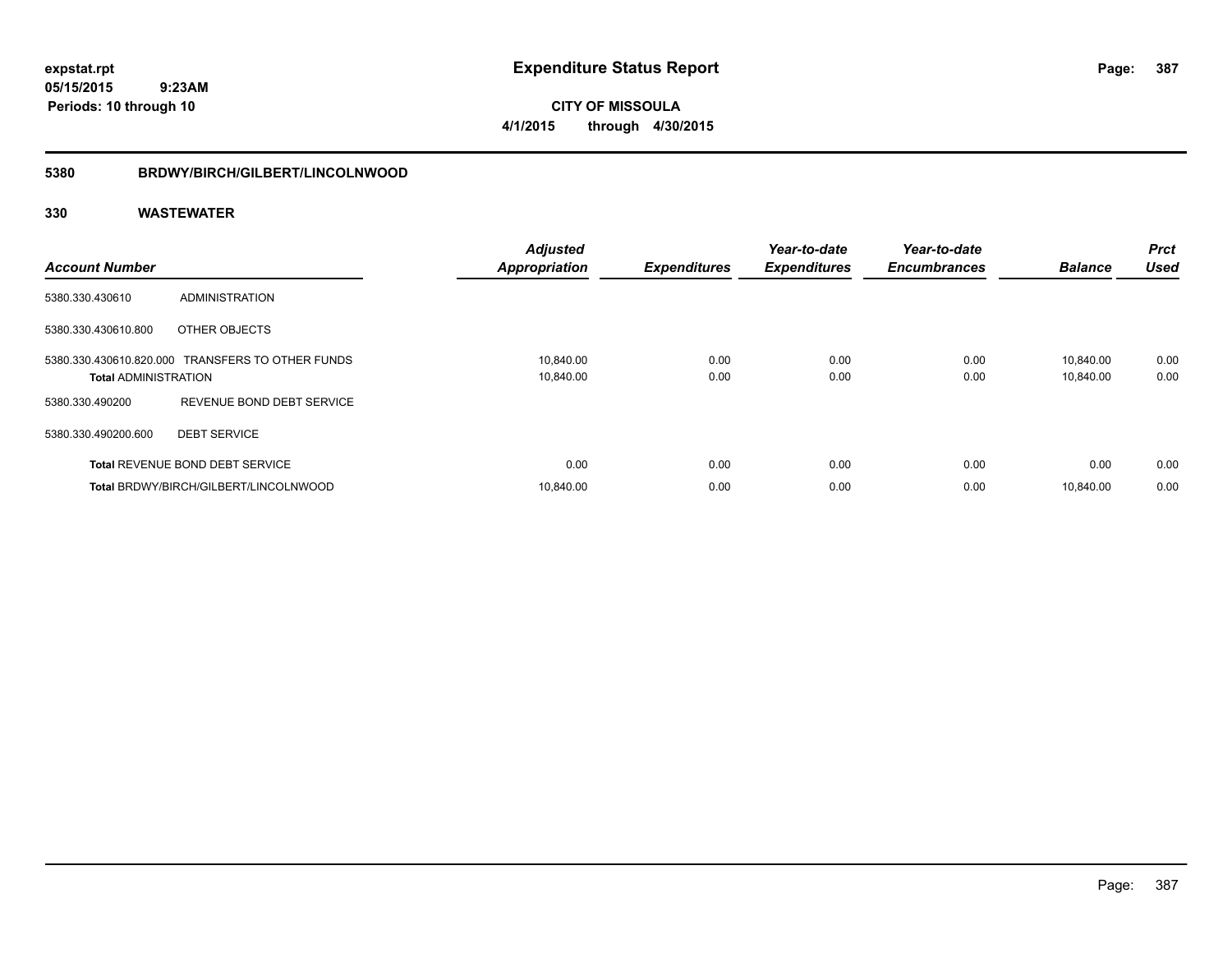**CITY OF MISSOULA 4/1/2015 through 4/30/2015**

#### **5380 BRDWY/BIRCH/GILBERT/LINCOLNWOOD**

| <b>Account Number</b>       |                                                  | <b>Adjusted</b><br><b>Appropriation</b> | <b>Expenditures</b> | Year-to-date<br><b>Expenditures</b> | Year-to-date<br><b>Encumbrances</b> | <b>Balance</b>         | <b>Prct</b><br><b>Used</b> |
|-----------------------------|--------------------------------------------------|-----------------------------------------|---------------------|-------------------------------------|-------------------------------------|------------------------|----------------------------|
| 5380.330.430610             | ADMINISTRATION                                   |                                         |                     |                                     |                                     |                        |                            |
| 5380.330.430610.800         | OTHER OBJECTS                                    |                                         |                     |                                     |                                     |                        |                            |
| <b>Total ADMINISTRATION</b> | 5380.330.430610.820.000 TRANSFERS TO OTHER FUNDS | 10,840.00<br>10,840.00                  | 0.00<br>0.00        | 0.00<br>0.00                        | 0.00<br>0.00                        | 10,840.00<br>10,840.00 | 0.00<br>0.00               |
| 5380.330.490200             | REVENUE BOND DEBT SERVICE                        |                                         |                     |                                     |                                     |                        |                            |
| 5380.330.490200.600         | <b>DEBT SERVICE</b>                              |                                         |                     |                                     |                                     |                        |                            |
|                             | <b>Total REVENUE BOND DEBT SERVICE</b>           | 0.00                                    | 0.00                | 0.00                                | 0.00                                | 0.00                   | 0.00                       |
|                             | Total BRDWY/BIRCH/GILBERT/LINCOLNWOOD            | 10.840.00                               | 0.00                | 0.00                                | 0.00                                | 10.840.00              | 0.00                       |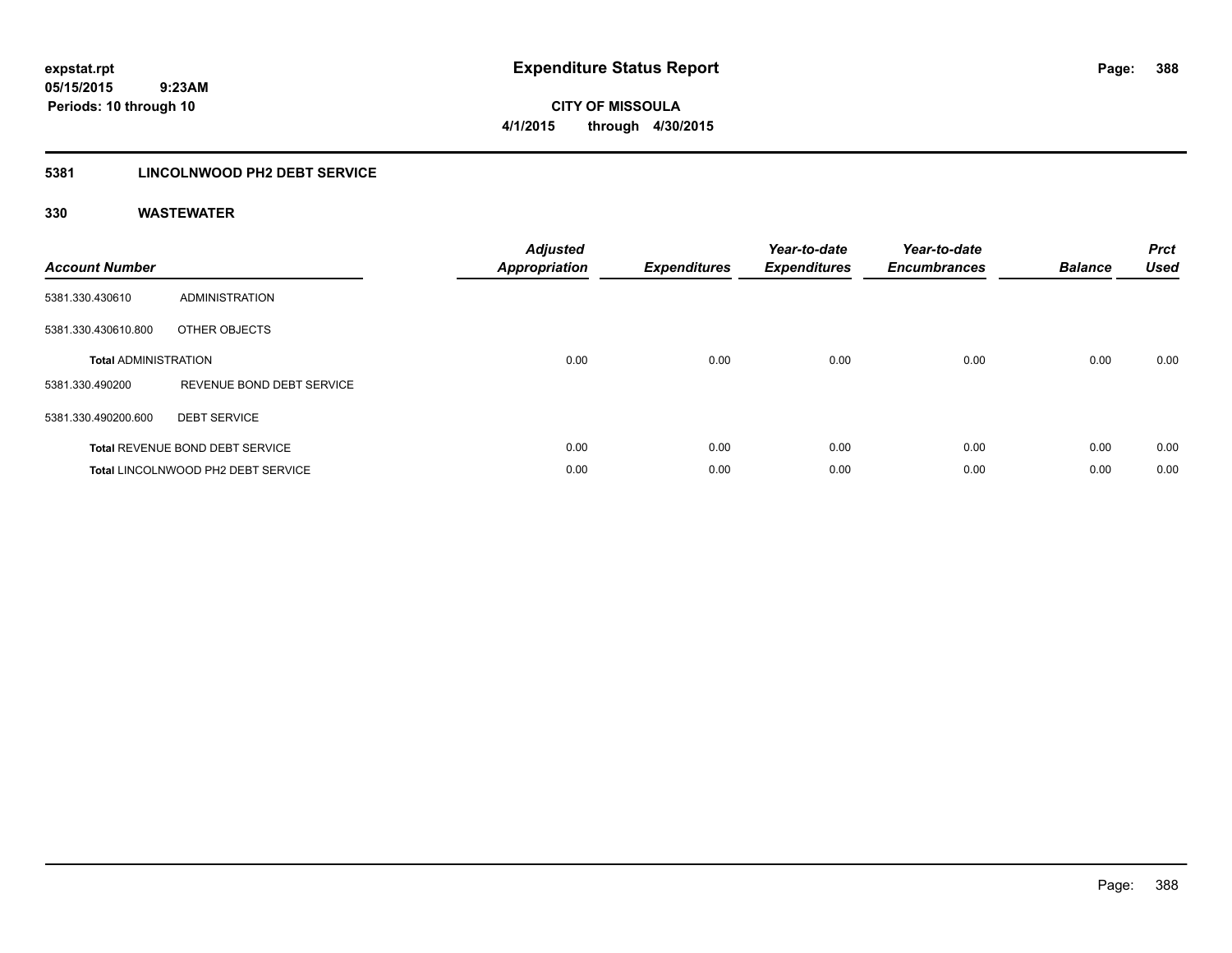**388**

**05/15/2015 9:23AM Periods: 10 through 10**

**CITY OF MISSOULA 4/1/2015 through 4/30/2015**

### **5381 LINCOLNWOOD PH2 DEBT SERVICE**

| <b>Account Number</b>       |                                        | <b>Adjusted</b><br><b>Appropriation</b> | <b>Expenditures</b> | Year-to-date<br><b>Expenditures</b> | Year-to-date<br><b>Encumbrances</b> | <b>Balance</b> | <b>Prct</b><br><b>Used</b> |
|-----------------------------|----------------------------------------|-----------------------------------------|---------------------|-------------------------------------|-------------------------------------|----------------|----------------------------|
| 5381.330.430610             | ADMINISTRATION                         |                                         |                     |                                     |                                     |                |                            |
| 5381.330.430610.800         | OTHER OBJECTS                          |                                         |                     |                                     |                                     |                |                            |
| <b>Total ADMINISTRATION</b> |                                        | 0.00                                    | 0.00                | 0.00                                | 0.00                                | 0.00           | 0.00                       |
| 5381.330.490200             | REVENUE BOND DEBT SERVICE              |                                         |                     |                                     |                                     |                |                            |
| 5381.330.490200.600         | <b>DEBT SERVICE</b>                    |                                         |                     |                                     |                                     |                |                            |
|                             | <b>Total REVENUE BOND DEBT SERVICE</b> | 0.00                                    | 0.00                | 0.00                                | 0.00                                | 0.00           | 0.00                       |
|                             | Total LINCOLNWOOD PH2 DEBT SERVICE     | 0.00                                    | 0.00                | 0.00                                | 0.00                                | 0.00           | 0.00                       |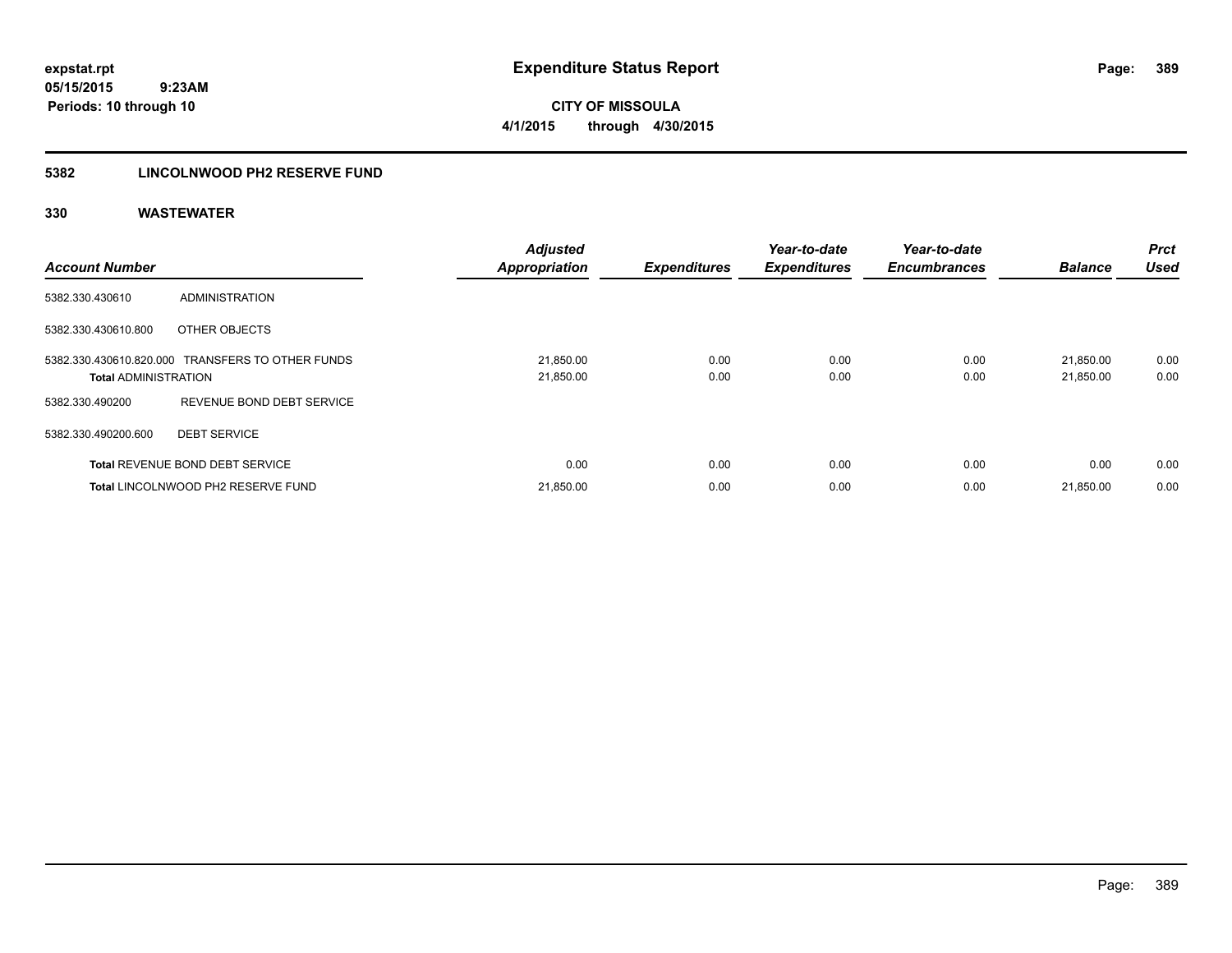**CITY OF MISSOULA 4/1/2015 through 4/30/2015**

### **5382 LINCOLNWOOD PH2 RESERVE FUND**

| <b>Account Number</b>       |                                                  | <b>Adjusted</b><br><b>Appropriation</b> | <b>Expenditures</b> | Year-to-date<br><b>Expenditures</b> | Year-to-date<br><b>Encumbrances</b> | <b>Balance</b>         | <b>Prct</b><br><b>Used</b> |
|-----------------------------|--------------------------------------------------|-----------------------------------------|---------------------|-------------------------------------|-------------------------------------|------------------------|----------------------------|
| 5382.330.430610             | <b>ADMINISTRATION</b>                            |                                         |                     |                                     |                                     |                        |                            |
| 5382.330.430610.800         | OTHER OBJECTS                                    |                                         |                     |                                     |                                     |                        |                            |
| <b>Total ADMINISTRATION</b> | 5382.330.430610.820.000 TRANSFERS TO OTHER FUNDS | 21,850.00<br>21,850.00                  | 0.00<br>0.00        | 0.00<br>0.00                        | 0.00<br>0.00                        | 21.850.00<br>21,850.00 | 0.00<br>0.00               |
| 5382.330.490200             | REVENUE BOND DEBT SERVICE                        |                                         |                     |                                     |                                     |                        |                            |
| 5382.330.490200.600         | <b>DEBT SERVICE</b>                              |                                         |                     |                                     |                                     |                        |                            |
|                             | <b>Total REVENUE BOND DEBT SERVICE</b>           | 0.00                                    | 0.00                | 0.00                                | 0.00                                | 0.00                   | 0.00                       |
|                             | Total LINCOLNWOOD PH2 RESERVE FUND               | 21,850.00                               | 0.00                | 0.00                                | 0.00                                | 21,850.00              | 0.00                       |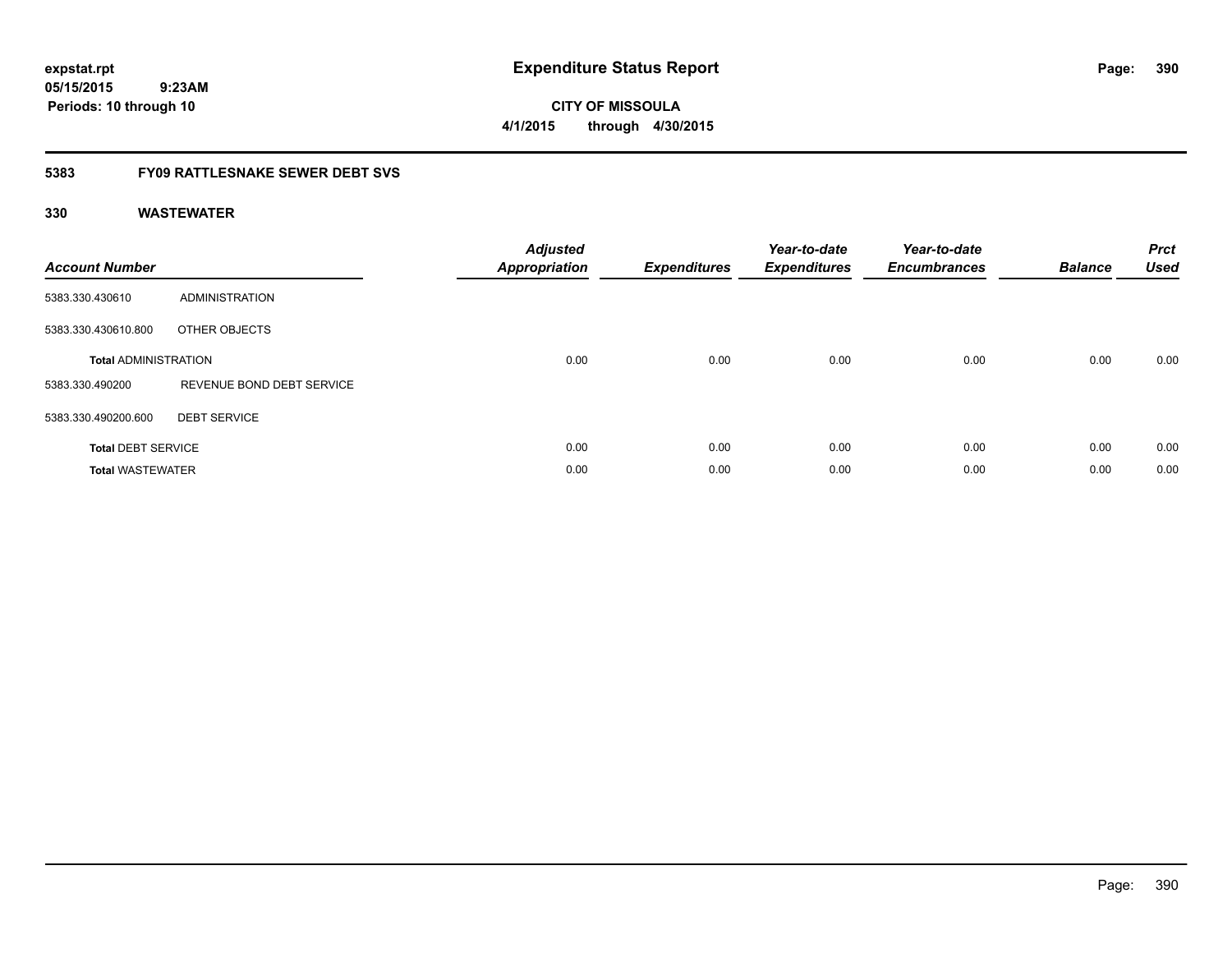**expstat.rpt Expenditure Status Report Page:**

**05/15/2015 9:23AM Periods: 10 through 10**

**CITY OF MISSOULA 4/1/2015 through 4/30/2015**

### **5383 FY09 RATTLESNAKE SEWER DEBT SVS**

| <b>Account Number</b>       |                           | <b>Adjusted</b><br><b>Appropriation</b> | <b>Expenditures</b> | Year-to-date<br><b>Expenditures</b> | Year-to-date<br><b>Encumbrances</b> | <b>Balance</b> | <b>Prct</b><br><b>Used</b> |
|-----------------------------|---------------------------|-----------------------------------------|---------------------|-------------------------------------|-------------------------------------|----------------|----------------------------|
| 5383.330.430610             | ADMINISTRATION            |                                         |                     |                                     |                                     |                |                            |
| 5383.330.430610.800         | OTHER OBJECTS             |                                         |                     |                                     |                                     |                |                            |
| <b>Total ADMINISTRATION</b> |                           | 0.00                                    | 0.00                | 0.00                                | 0.00                                | 0.00           | 0.00                       |
| 5383.330.490200             | REVENUE BOND DEBT SERVICE |                                         |                     |                                     |                                     |                |                            |
| 5383.330.490200.600         | <b>DEBT SERVICE</b>       |                                         |                     |                                     |                                     |                |                            |
| <b>Total DEBT SERVICE</b>   |                           | 0.00                                    | 0.00                | 0.00                                | 0.00                                | 0.00           | 0.00                       |
| <b>Total WASTEWATER</b>     |                           | 0.00                                    | 0.00                | 0.00                                | 0.00                                | 0.00           | 0.00                       |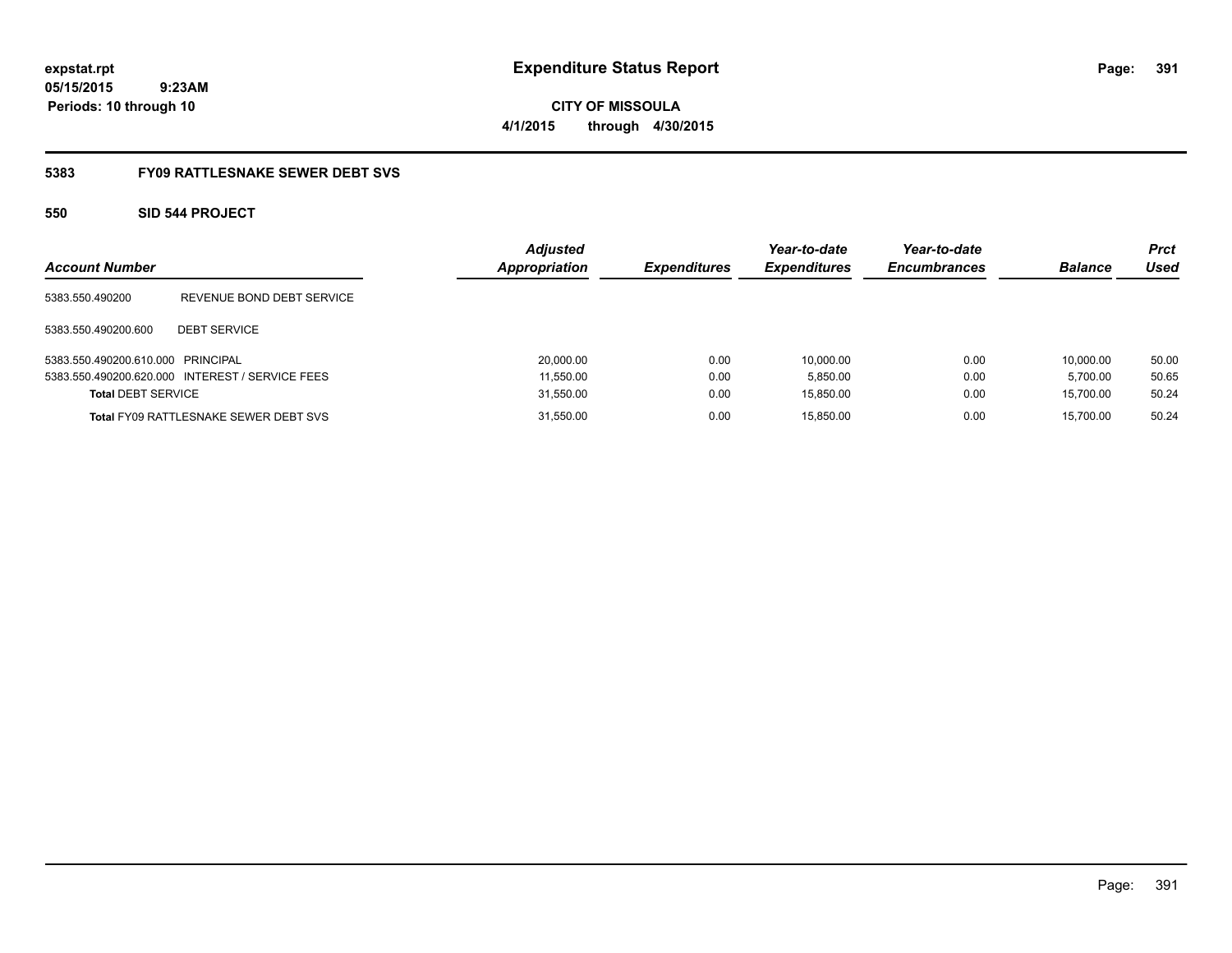**CITY OF MISSOULA 4/1/2015 through 4/30/2015**

### **5383 FY09 RATTLESNAKE SEWER DEBT SVS**

### **550 SID 544 PROJECT**

| <b>Account Number</b>             |                                                 | <b>Adjusted</b><br><b>Appropriation</b> | <b>Expenditures</b> | Year-to-date<br><b>Expenditures</b> | Year-to-date<br><b>Encumbrances</b> | <b>Balance</b> | <b>Prct</b><br>Used |
|-----------------------------------|-------------------------------------------------|-----------------------------------------|---------------------|-------------------------------------|-------------------------------------|----------------|---------------------|
| 5383.550.490200                   | REVENUE BOND DEBT SERVICE                       |                                         |                     |                                     |                                     |                |                     |
| 5383.550.490200.600               | <b>DEBT SERVICE</b>                             |                                         |                     |                                     |                                     |                |                     |
| 5383.550.490200.610.000 PRINCIPAL |                                                 | 20,000.00                               | 0.00                | 10.000.00                           | 0.00                                | 10.000.00      | 50.00               |
|                                   | 5383.550.490200.620.000 INTEREST / SERVICE FEES | 11,550.00                               | 0.00                | 5,850.00                            | 0.00                                | 5.700.00       | 50.65               |
| <b>Total DEBT SERVICE</b>         |                                                 | 31,550.00                               | 0.00                | 15,850.00                           | 0.00                                | 15.700.00      | 50.24               |
|                                   | <b>Total FY09 RATTLESNAKE SEWER DEBT SVS</b>    | 31,550.00                               | 0.00                | 15.850.00                           | 0.00                                | 15.700.00      | 50.24               |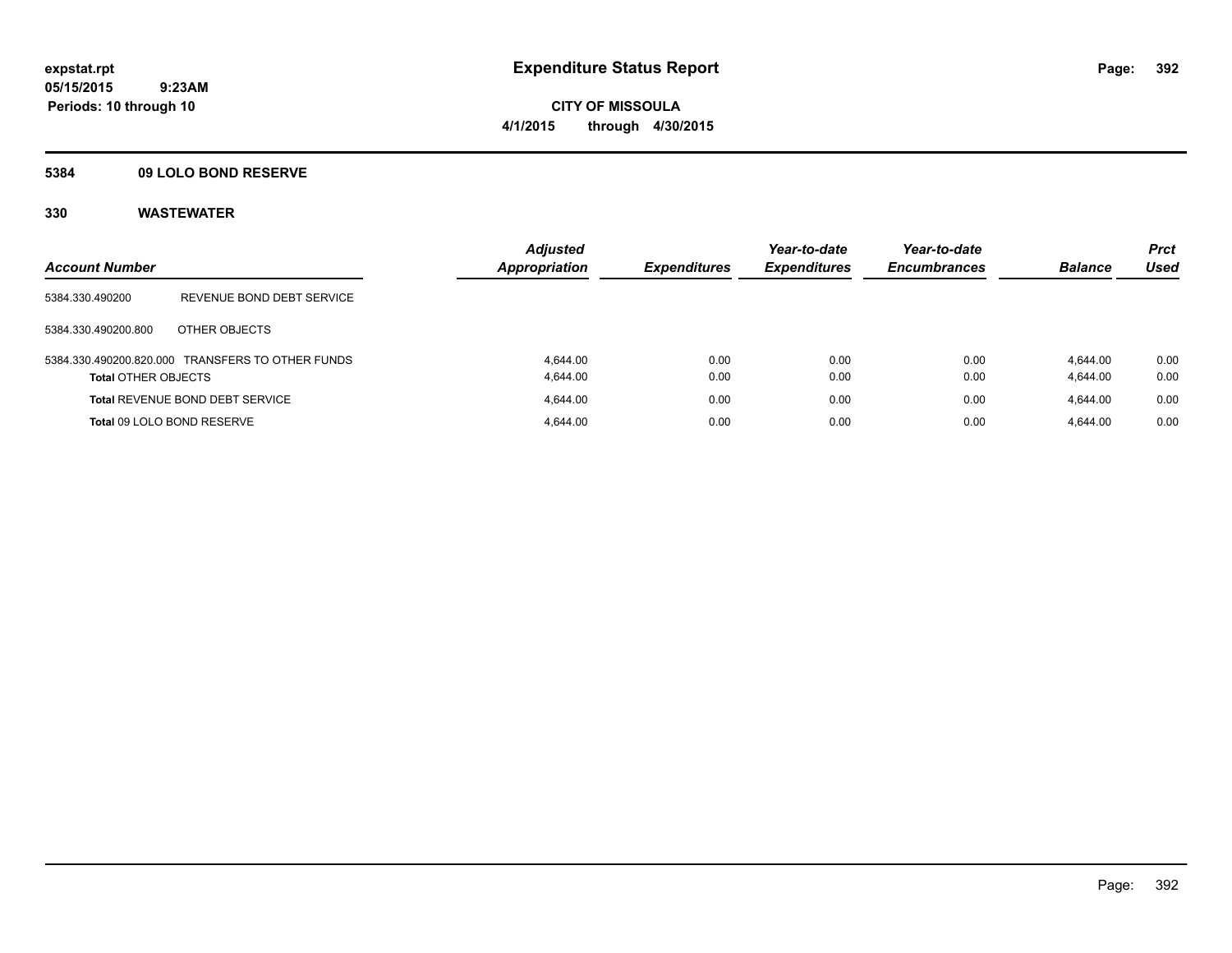**CITY OF MISSOULA 4/1/2015 through 4/30/2015**

### **5384 09 LOLO BOND RESERVE**

| <b>Account Number</b>      |                                                  | <b>Adjusted</b><br><b>Appropriation</b> | <b>Expenditures</b> | Year-to-date<br><b>Expenditures</b> | Year-to-date<br><b>Encumbrances</b> | <b>Balance</b> | <b>Prct</b><br>Used |
|----------------------------|--------------------------------------------------|-----------------------------------------|---------------------|-------------------------------------|-------------------------------------|----------------|---------------------|
|                            |                                                  |                                         |                     |                                     |                                     |                |                     |
| 5384.330.490200            | REVENUE BOND DEBT SERVICE                        |                                         |                     |                                     |                                     |                |                     |
| 5384.330.490200.800        | OTHER OBJECTS                                    |                                         |                     |                                     |                                     |                |                     |
|                            | 5384.330.490200.820.000 TRANSFERS TO OTHER FUNDS | 4.644.00                                | 0.00                | 0.00                                | 0.00                                | 4.644.00       | 0.00                |
| <b>Total OTHER OBJECTS</b> |                                                  | 4.644.00                                | 0.00                | 0.00                                | 0.00                                | 4,644.00       | 0.00                |
|                            | <b>Total REVENUE BOND DEBT SERVICE</b>           | 4.644.00                                | 0.00                | 0.00                                | 0.00                                | 4.644.00       | 0.00                |
| Total 09 LOLO BOND RESERVE |                                                  | 4.644.00                                | 0.00                | 0.00                                | 0.00                                | 4.644.00       | 0.00                |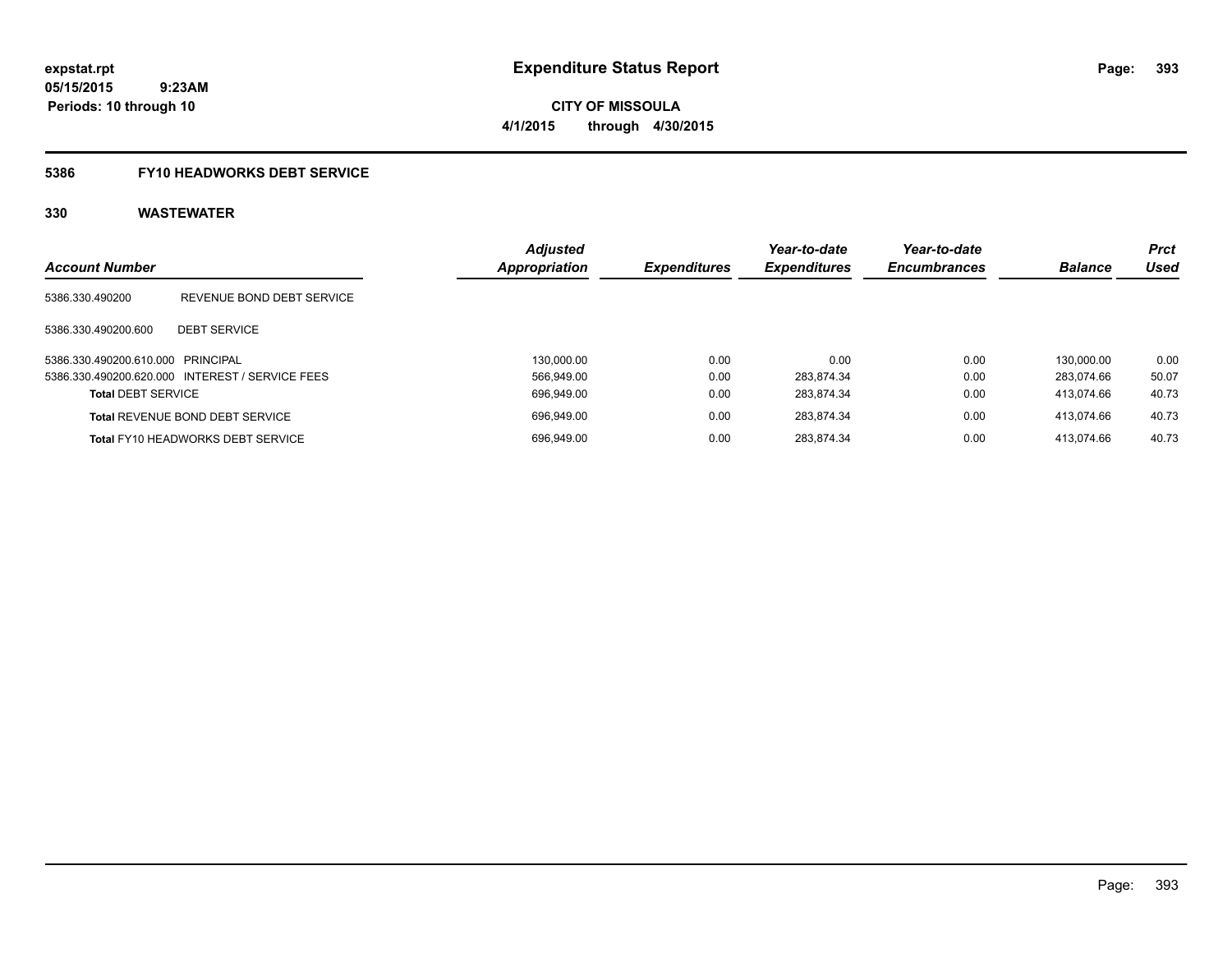**CITY OF MISSOULA 4/1/2015 through 4/30/2015**

# **5386 FY10 HEADWORKS DEBT SERVICE**

| <b>Account Number</b>             |                                                 | <b>Adjusted</b><br><b>Appropriation</b> | <b>Expenditures</b> | Year-to-date<br><b>Expenditures</b> | Year-to-date<br><b>Encumbrances</b> | <b>Balance</b> | <b>Prct</b><br>Used |
|-----------------------------------|-------------------------------------------------|-----------------------------------------|---------------------|-------------------------------------|-------------------------------------|----------------|---------------------|
| 5386.330.490200                   | REVENUE BOND DEBT SERVICE                       |                                         |                     |                                     |                                     |                |                     |
| 5386.330.490200.600               | <b>DEBT SERVICE</b>                             |                                         |                     |                                     |                                     |                |                     |
| 5386.330.490200.610.000 PRINCIPAL |                                                 | 130.000.00                              | 0.00                | 0.00                                | 0.00                                | 130.000.00     | 0.00                |
|                                   | 5386.330.490200.620.000 INTEREST / SERVICE FEES | 566.949.00                              | 0.00                | 283.874.34                          | 0.00                                | 283.074.66     | 50.07               |
| <b>Total DEBT SERVICE</b>         |                                                 | 696.949.00                              | 0.00                | 283.874.34                          | 0.00                                | 413.074.66     | 40.73               |
|                                   | <b>Total REVENUE BOND DEBT SERVICE</b>          | 696.949.00                              | 0.00                | 283.874.34                          | 0.00                                | 413.074.66     | 40.73               |
|                                   | <b>Total FY10 HEADWORKS DEBT SERVICE</b>        | 696.949.00                              | 0.00                | 283.874.34                          | 0.00                                | 413.074.66     | 40.73               |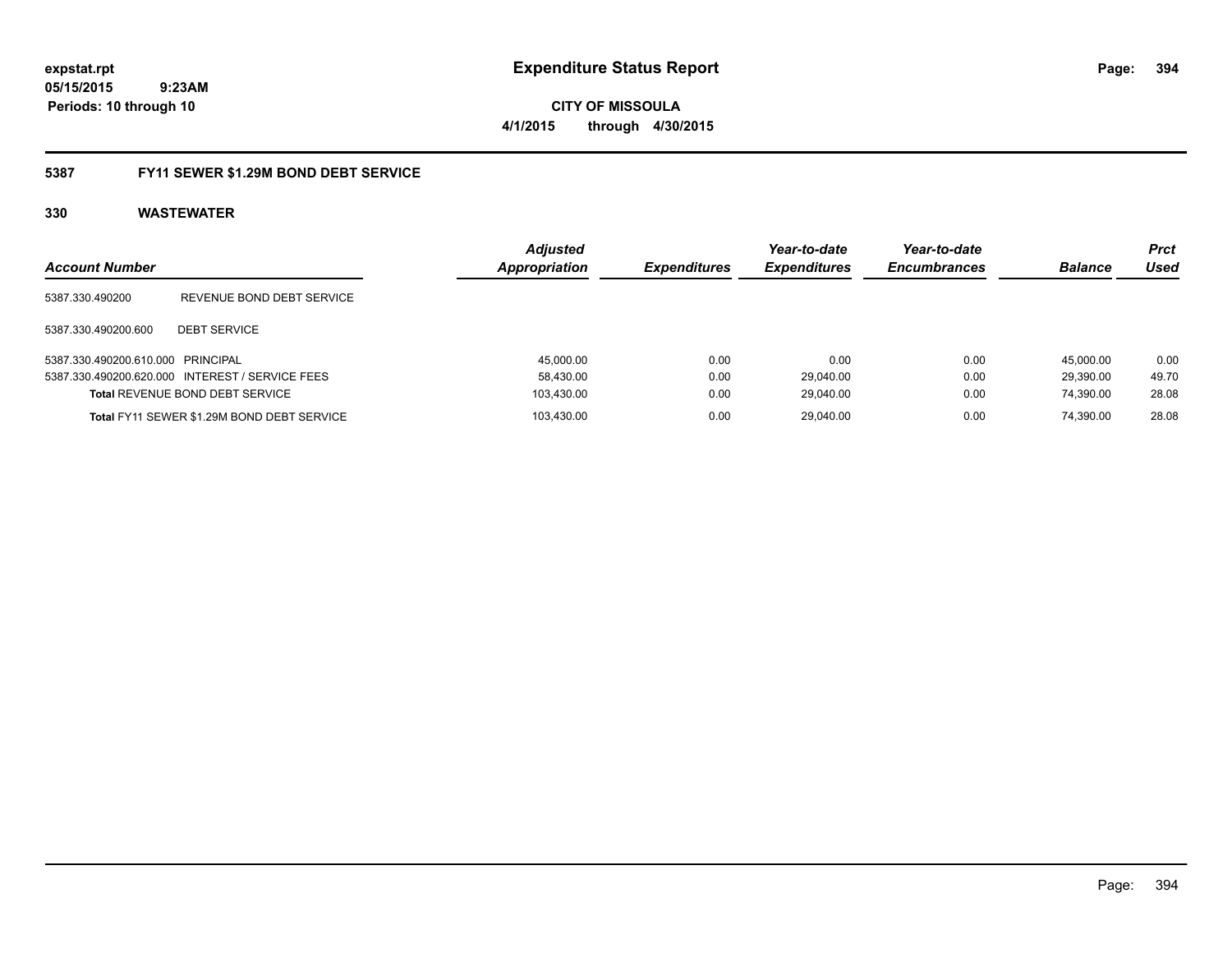**expstat.rpt Expenditure Status Report Page:**

**05/15/2015 9:23AM Periods: 10 through 10**

### **5387 FY11 SEWER \$1.29M BOND DEBT SERVICE**

| <b>Account Number</b>             |                                                 | <b>Adjusted</b><br><b>Appropriation</b> | <b>Expenditures</b> | Year-to-date<br><b>Expenditures</b> | Year-to-date<br><b>Encumbrances</b> | <b>Balance</b> | Prct<br>Used |
|-----------------------------------|-------------------------------------------------|-----------------------------------------|---------------------|-------------------------------------|-------------------------------------|----------------|--------------|
| 5387.330.490200                   | REVENUE BOND DEBT SERVICE                       |                                         |                     |                                     |                                     |                |              |
| 5387.330.490200.600               | <b>DEBT SERVICE</b>                             |                                         |                     |                                     |                                     |                |              |
| 5387.330.490200.610.000 PRINCIPAL |                                                 | 45,000.00                               | 0.00                | 0.00                                | 0.00                                | 45.000.00      | 0.00         |
|                                   | 5387.330.490200.620.000 INTEREST / SERVICE FEES | 58,430.00                               | 0.00                | 29.040.00                           | 0.00                                | 29.390.00      | 49.70        |
|                                   | <b>Total REVENUE BOND DEBT SERVICE</b>          | 103,430.00                              | 0.00                | 29.040.00                           | 0.00                                | 74.390.00      | 28.08        |
|                                   | Total FY11 SEWER \$1.29M BOND DEBT SERVICE      | 103.430.00                              | 0.00                | 29.040.00                           | 0.00                                | 74.390.00      | 28.08        |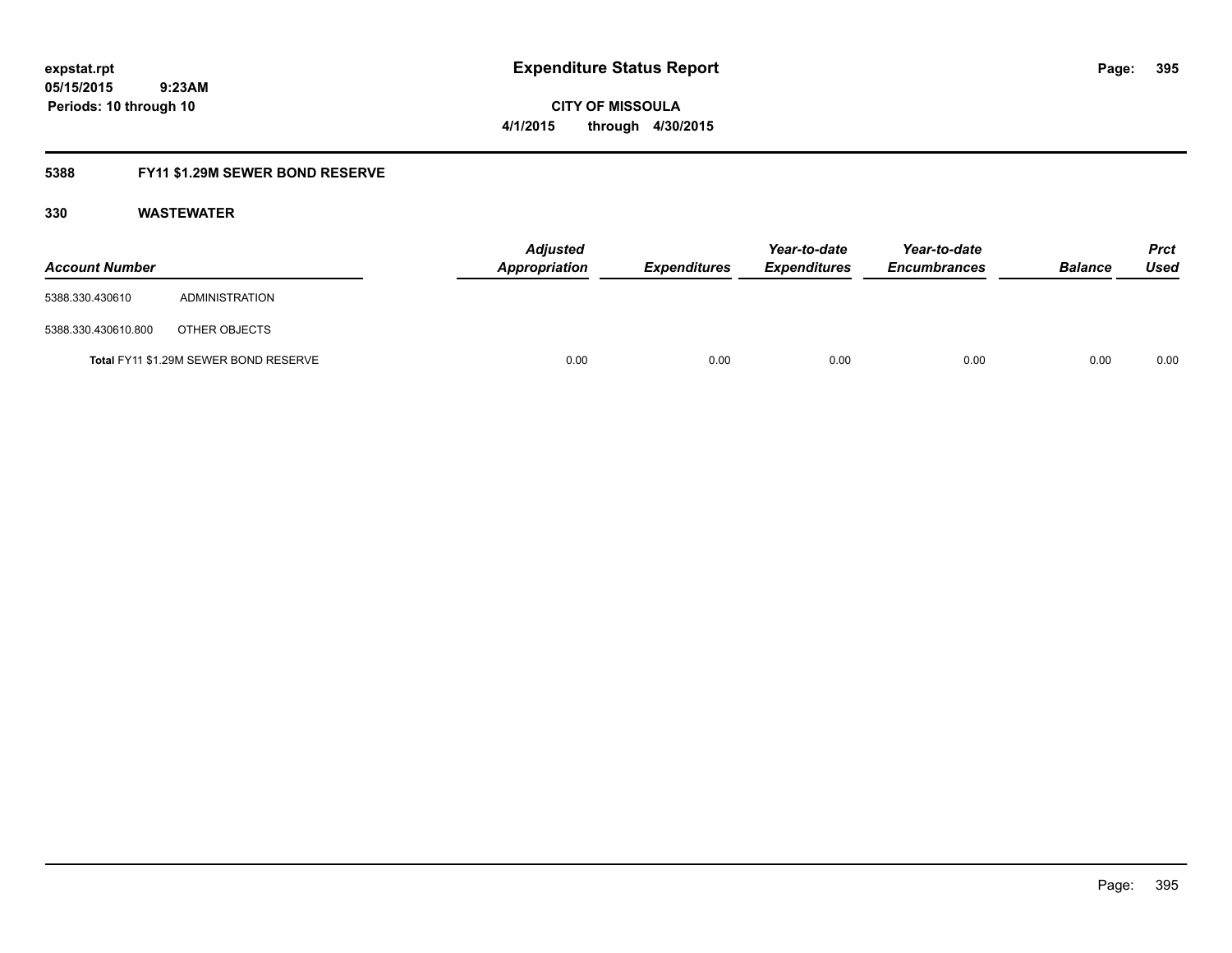**CITY OF MISSOULA 4/1/2015 through 4/30/2015**

### **5388 FY11 \$1.29M SEWER BOND RESERVE**

| <b>Account Number</b> |                                       | <b>Adjusted</b><br>Appropriation | Expenditures | Year-to-date<br><b>Expenditures</b> | Year-to-date<br><b>Encumbrances</b> | <b>Balance</b> | <b>Prct</b><br>Used |
|-----------------------|---------------------------------------|----------------------------------|--------------|-------------------------------------|-------------------------------------|----------------|---------------------|
| 5388.330.430610       | ADMINISTRATION                        |                                  |              |                                     |                                     |                |                     |
| 5388.330.430610.800   | OTHER OBJECTS                         |                                  |              |                                     |                                     |                |                     |
|                       | Total FY11 \$1.29M SEWER BOND RESERVE | 0.00                             | 0.00         | 0.00                                | 0.00                                | 0.00           | 0.00                |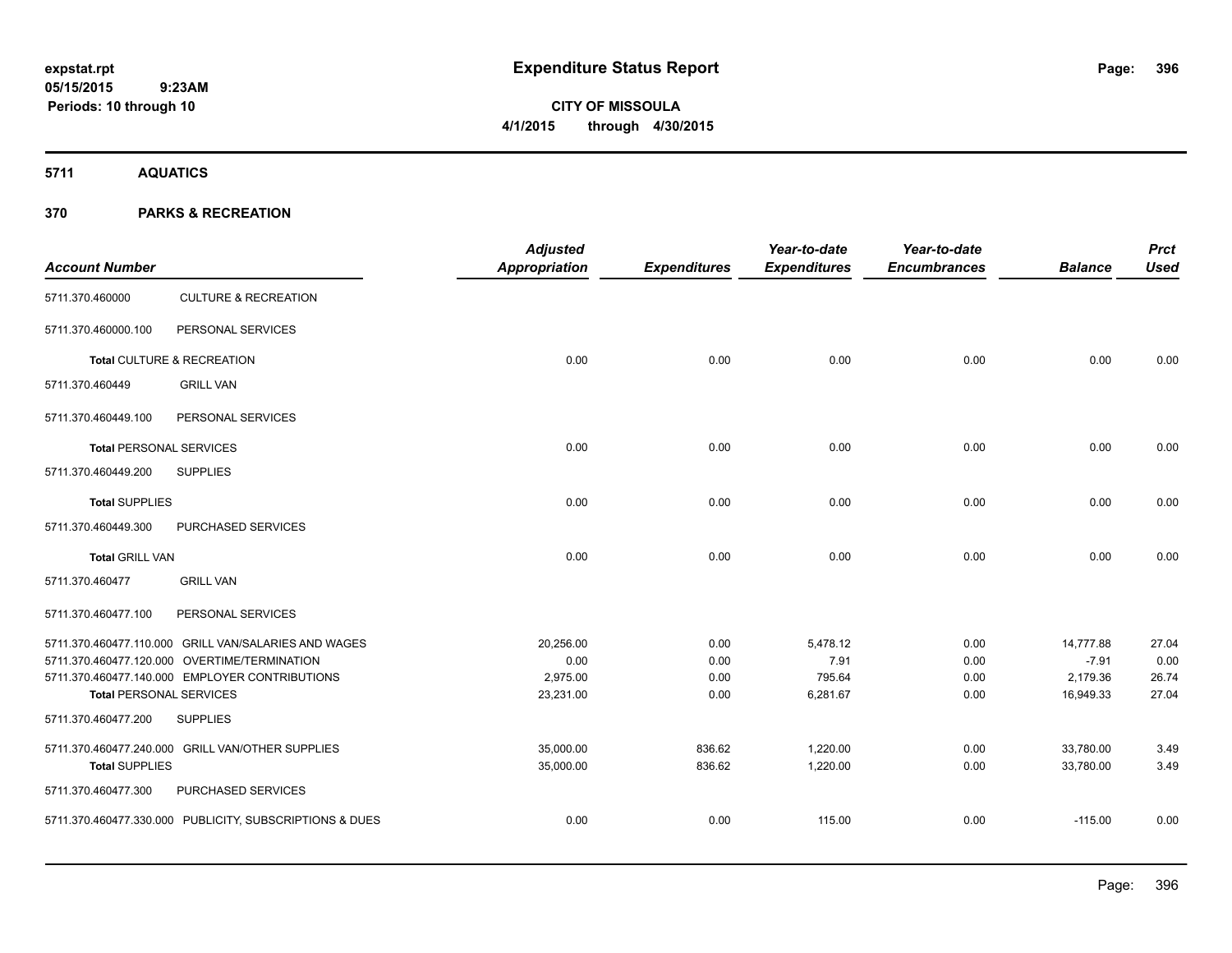# **CITY OF MISSOULA 4/1/2015 through 4/30/2015**

**5711 AQUATICS**

### **370 PARKS & RECREATION**

| <b>Account Number</b>          |                                                         | <b>Adjusted</b><br>Appropriation | <b>Expenditures</b> | Year-to-date<br><b>Expenditures</b> | Year-to-date<br><b>Encumbrances</b> | <b>Balance</b> | <b>Prct</b><br><b>Used</b> |
|--------------------------------|---------------------------------------------------------|----------------------------------|---------------------|-------------------------------------|-------------------------------------|----------------|----------------------------|
| 5711.370.460000                | <b>CULTURE &amp; RECREATION</b>                         |                                  |                     |                                     |                                     |                |                            |
| 5711.370.460000.100            | PERSONAL SERVICES                                       |                                  |                     |                                     |                                     |                |                            |
|                                | Total CULTURE & RECREATION                              | 0.00                             | 0.00                | 0.00                                | 0.00                                | 0.00           | 0.00                       |
| 5711.370.460449                | <b>GRILL VAN</b>                                        |                                  |                     |                                     |                                     |                |                            |
| 5711.370.460449.100            | PERSONAL SERVICES                                       |                                  |                     |                                     |                                     |                |                            |
| <b>Total PERSONAL SERVICES</b> |                                                         | 0.00                             | 0.00                | 0.00                                | 0.00                                | 0.00           | 0.00                       |
| 5711.370.460449.200            | <b>SUPPLIES</b>                                         |                                  |                     |                                     |                                     |                |                            |
| <b>Total SUPPLIES</b>          |                                                         | 0.00                             | 0.00                | 0.00                                | 0.00                                | 0.00           | 0.00                       |
| 5711.370.460449.300            | PURCHASED SERVICES                                      |                                  |                     |                                     |                                     |                |                            |
| <b>Total GRILL VAN</b>         |                                                         | 0.00                             | 0.00                | 0.00                                | 0.00                                | 0.00           | 0.00                       |
| 5711.370.460477                | <b>GRILL VAN</b>                                        |                                  |                     |                                     |                                     |                |                            |
| 5711.370.460477.100            | PERSONAL SERVICES                                       |                                  |                     |                                     |                                     |                |                            |
|                                | 5711.370.460477.110.000 GRILL VAN/SALARIES AND WAGES    | 20,256.00                        | 0.00                | 5,478.12                            | 0.00                                | 14,777.88      | 27.04                      |
|                                | 5711.370.460477.120.000 OVERTIME/TERMINATION            | 0.00                             | 0.00                | 7.91                                | 0.00                                | $-7.91$        | 0.00                       |
|                                | 5711.370.460477.140.000 EMPLOYER CONTRIBUTIONS          | 2,975.00                         | 0.00                | 795.64                              | 0.00                                | 2,179.36       | 26.74                      |
| <b>Total PERSONAL SERVICES</b> |                                                         | 23,231.00                        | 0.00                | 6,281.67                            | 0.00                                | 16,949.33      | 27.04                      |
| 5711.370.460477.200            | <b>SUPPLIES</b>                                         |                                  |                     |                                     |                                     |                |                            |
|                                | 5711.370.460477.240.000 GRILL VAN/OTHER SUPPLIES        | 35,000.00                        | 836.62              | 1,220.00                            | 0.00                                | 33,780.00      | 3.49                       |
| <b>Total SUPPLIES</b>          |                                                         | 35,000.00                        | 836.62              | 1,220.00                            | 0.00                                | 33,780.00      | 3.49                       |
| 5711.370.460477.300            | PURCHASED SERVICES                                      |                                  |                     |                                     |                                     |                |                            |
|                                | 5711.370.460477.330.000 PUBLICITY, SUBSCRIPTIONS & DUES | 0.00                             | 0.00                | 115.00                              | 0.00                                | $-115.00$      | 0.00                       |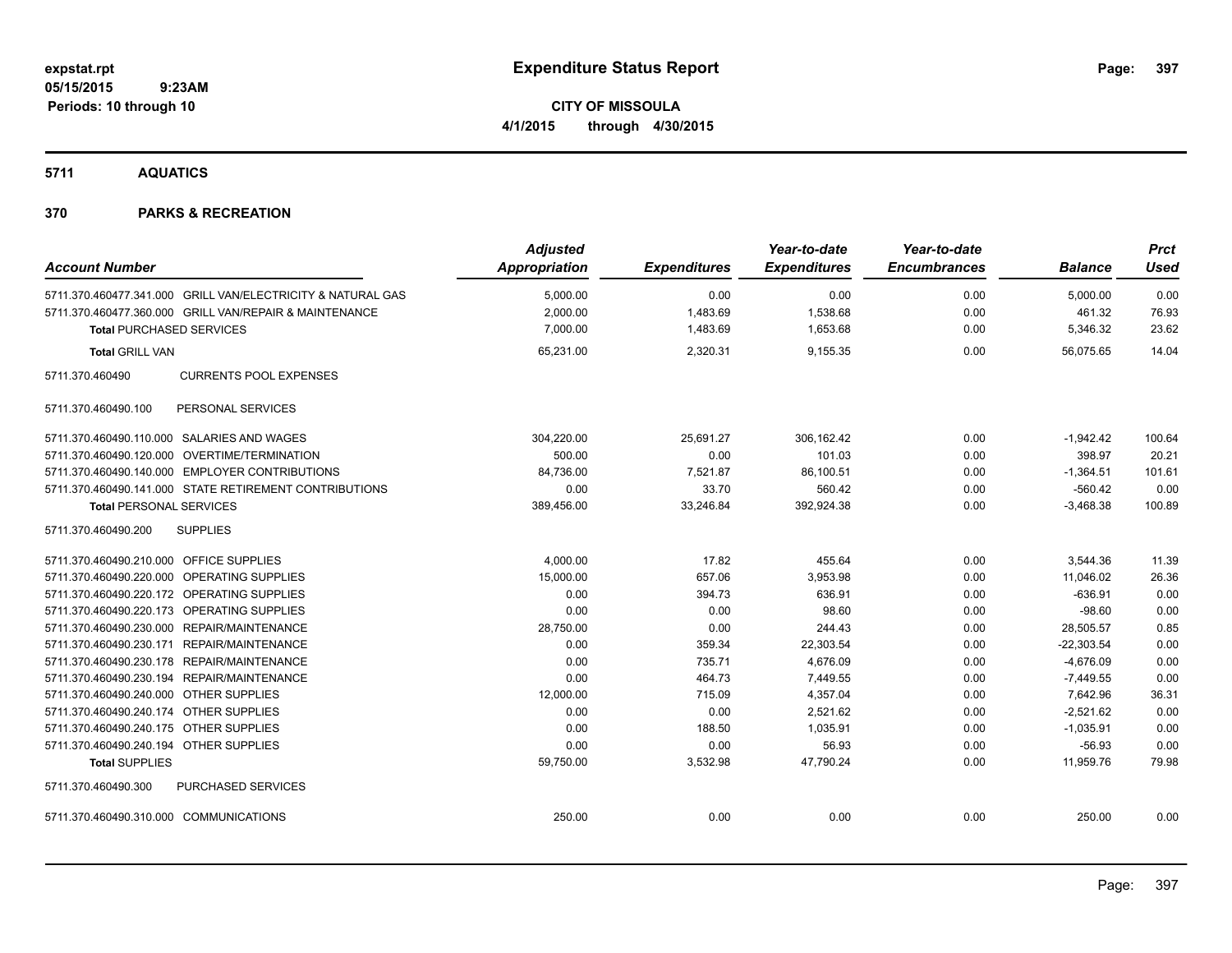**CITY OF MISSOULA 4/1/2015 through 4/30/2015**

**5711 AQUATICS**

| <b>Account Number</b>                                       | <b>Adjusted</b><br><b>Appropriation</b> | <b>Expenditures</b> | Year-to-date<br><b>Expenditures</b> | Year-to-date<br><b>Encumbrances</b> | <b>Balance</b> | <b>Prct</b><br><b>Used</b> |
|-------------------------------------------------------------|-----------------------------------------|---------------------|-------------------------------------|-------------------------------------|----------------|----------------------------|
|                                                             |                                         |                     |                                     |                                     |                |                            |
| 5711.370.460477.341.000 GRILL VAN/ELECTRICITY & NATURAL GAS | 5,000.00                                | 0.00                | 0.00                                | 0.00                                | 5,000.00       | 0.00                       |
| 5711.370.460477.360.000 GRILL VAN/REPAIR & MAINTENANCE      | 2,000.00                                | 1,483.69            | 1,538.68                            | 0.00                                | 461.32         | 76.93                      |
| <b>Total PURCHASED SERVICES</b>                             | 7,000.00                                | 1,483.69            | 1,653.68                            | 0.00                                | 5,346.32       | 23.62                      |
| <b>Total GRILL VAN</b>                                      | 65,231.00                               | 2,320.31            | 9,155.35                            | 0.00                                | 56,075.65      | 14.04                      |
| <b>CURRENTS POOL EXPENSES</b><br>5711.370.460490            |                                         |                     |                                     |                                     |                |                            |
| PERSONAL SERVICES<br>5711.370.460490.100                    |                                         |                     |                                     |                                     |                |                            |
| 5711.370.460490.110.000 SALARIES AND WAGES                  | 304,220.00                              | 25,691.27           | 306.162.42                          | 0.00                                | $-1,942.42$    | 100.64                     |
| 5711.370.460490.120.000 OVERTIME/TERMINATION                | 500.00                                  | 0.00                | 101.03                              | 0.00                                | 398.97         | 20.21                      |
| 5711.370.460490.140.000 EMPLOYER CONTRIBUTIONS              | 84,736.00                               | 7,521.87            | 86,100.51                           | 0.00                                | $-1,364.51$    | 101.61                     |
| 5711.370.460490.141.000 STATE RETIREMENT CONTRIBUTIONS      | 0.00                                    | 33.70               | 560.42                              | 0.00                                | $-560.42$      | 0.00                       |
| <b>Total PERSONAL SERVICES</b>                              | 389,456.00                              | 33,246.84           | 392,924.38                          | 0.00                                | $-3,468.38$    | 100.89                     |
| 5711.370.460490.200<br><b>SUPPLIES</b>                      |                                         |                     |                                     |                                     |                |                            |
| 5711.370.460490.210.000 OFFICE SUPPLIES                     | 4,000.00                                | 17.82               | 455.64                              | 0.00                                | 3,544.36       | 11.39                      |
| 5711.370.460490.220.000 OPERATING SUPPLIES                  | 15,000.00                               | 657.06              | 3,953.98                            | 0.00                                | 11,046.02      | 26.36                      |
| 5711.370.460490.220.172 OPERATING SUPPLIES                  | 0.00                                    | 394.73              | 636.91                              | 0.00                                | $-636.91$      | 0.00                       |
| 5711.370.460490.220.173 OPERATING SUPPLIES                  | 0.00                                    | 0.00                | 98.60                               | 0.00                                | $-98.60$       | 0.00                       |
| 5711.370.460490.230.000 REPAIR/MAINTENANCE                  | 28,750.00                               | 0.00                | 244.43                              | 0.00                                | 28,505.57      | 0.85                       |
| 5711.370.460490.230.171 REPAIR/MAINTENANCE                  | 0.00                                    | 359.34              | 22,303.54                           | 0.00                                | $-22,303.54$   | 0.00                       |
| 5711.370.460490.230.178 REPAIR/MAINTENANCE                  | 0.00                                    | 735.71              | 4,676.09                            | 0.00                                | $-4,676.09$    | 0.00                       |
| 5711.370.460490.230.194 REPAIR/MAINTENANCE                  | 0.00                                    | 464.73              | 7,449.55                            | 0.00                                | $-7,449.55$    | 0.00                       |
| 5711.370.460490.240.000 OTHER SUPPLIES                      | 12,000.00                               | 715.09              | 4,357.04                            | 0.00                                | 7,642.96       | 36.31                      |
| 5711.370.460490.240.174 OTHER SUPPLIES                      | 0.00                                    | 0.00                | 2,521.62                            | 0.00                                | $-2,521.62$    | 0.00                       |
| 5711.370.460490.240.175 OTHER SUPPLIES                      | 0.00                                    | 188.50              | 1.035.91                            | 0.00                                | $-1,035.91$    | 0.00                       |
| 5711.370.460490.240.194 OTHER SUPPLIES                      | 0.00                                    | 0.00                | 56.93                               | 0.00                                | $-56.93$       | 0.00                       |
| <b>Total SUPPLIES</b>                                       | 59,750.00                               | 3,532.98            | 47,790.24                           | 0.00                                | 11,959.76      | 79.98                      |
| PURCHASED SERVICES<br>5711.370.460490.300                   |                                         |                     |                                     |                                     |                |                            |
| 5711.370.460490.310.000 COMMUNICATIONS                      | 250.00                                  | 0.00                | 0.00                                | 0.00                                | 250.00         | 0.00                       |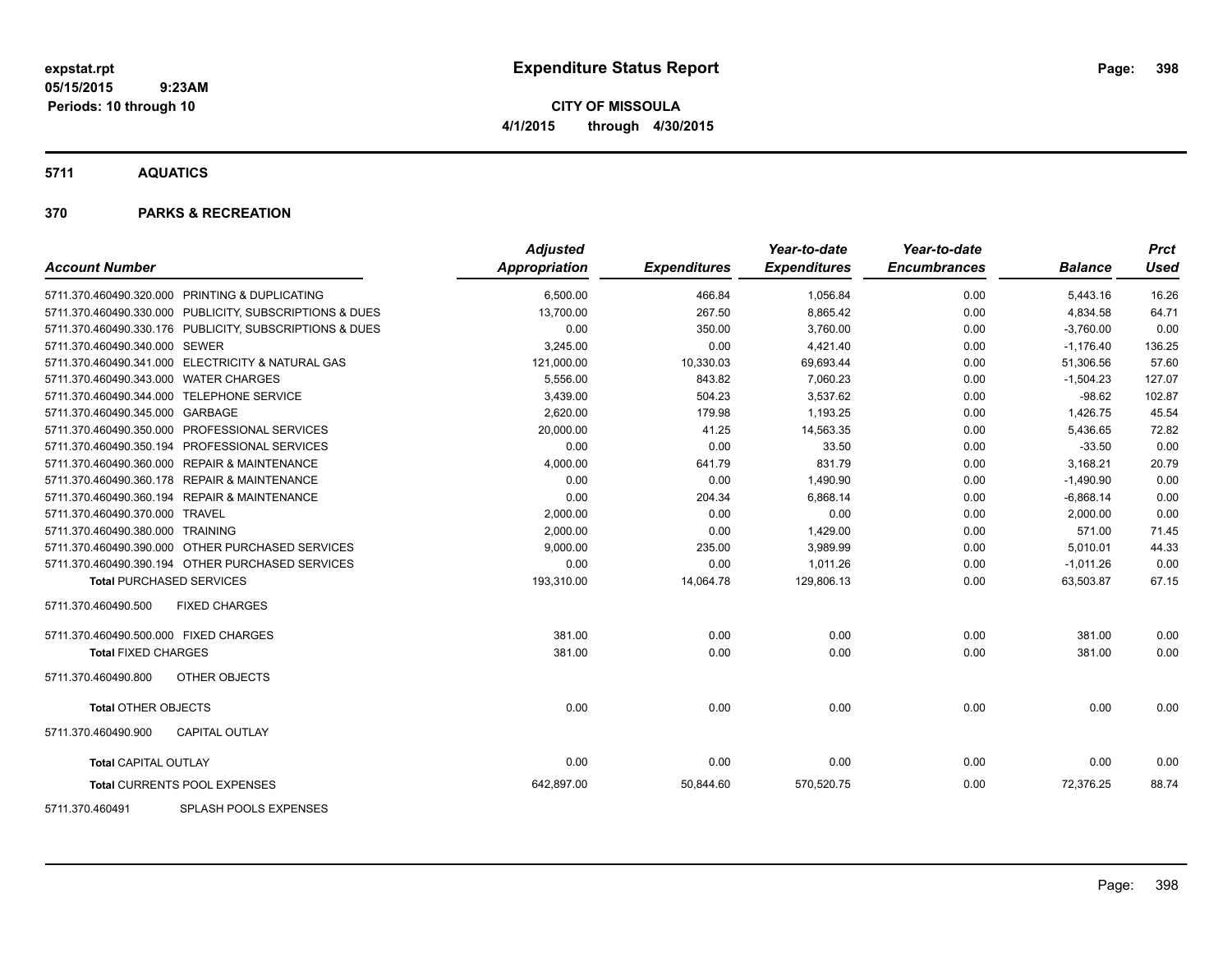**CITY OF MISSOULA 4/1/2015 through 4/30/2015**

**5711 AQUATICS**

### **370 PARKS & RECREATION**

| <b>Account Number</b>                                   | <b>Adjusted</b><br><b>Appropriation</b> | <b>Expenditures</b> | Year-to-date<br><b>Expenditures</b> | Year-to-date<br><b>Encumbrances</b> | <b>Balance</b> | <b>Prct</b><br>Used |
|---------------------------------------------------------|-----------------------------------------|---------------------|-------------------------------------|-------------------------------------|----------------|---------------------|
|                                                         |                                         |                     |                                     |                                     |                |                     |
| 5711.370.460490.320.000 PRINTING & DUPLICATING          | 6,500.00                                | 466.84              | 1,056.84                            | 0.00                                | 5,443.16       | 16.26               |
| 5711.370.460490.330.000 PUBLICITY, SUBSCRIPTIONS & DUES | 13,700.00                               | 267.50              | 8,865.42                            | 0.00                                | 4,834.58       | 64.71               |
| 5711.370.460490.330.176 PUBLICITY, SUBSCRIPTIONS & DUES | 0.00                                    | 350.00              | 3,760.00                            | 0.00                                | $-3,760.00$    | 0.00                |
| 5711.370.460490.340.000 SEWER                           | 3,245.00                                | 0.00                | 4,421.40                            | 0.00                                | $-1,176.40$    | 136.25              |
| 5711.370.460490.341.000 ELECTRICITY & NATURAL GAS       | 121,000.00                              | 10,330.03           | 69,693.44                           | 0.00                                | 51,306.56      | 57.60               |
| 5711.370.460490.343.000 WATER CHARGES                   | 5,556.00                                | 843.82              | 7,060.23                            | 0.00                                | $-1,504.23$    | 127.07              |
| 5711.370.460490.344.000 TELEPHONE SERVICE               | 3,439.00                                | 504.23              | 3,537.62                            | 0.00                                | $-98.62$       | 102.87              |
| 5711.370.460490.345.000 GARBAGE                         | 2,620.00                                | 179.98              | 1,193.25                            | 0.00                                | 1,426.75       | 45.54               |
| 5711.370.460490.350.000 PROFESSIONAL SERVICES           | 20,000.00                               | 41.25               | 14,563.35                           | 0.00                                | 5,436.65       | 72.82               |
| 5711.370.460490.350.194 PROFESSIONAL SERVICES           | 0.00                                    | 0.00                | 33.50                               | 0.00                                | $-33.50$       | 0.00                |
| 5711.370.460490.360.000 REPAIR & MAINTENANCE            | 4,000.00                                | 641.79              | 831.79                              | 0.00                                | 3,168.21       | 20.79               |
| 5711.370.460490.360.178 REPAIR & MAINTENANCE            | 0.00                                    | 0.00                | 1,490.90                            | 0.00                                | $-1,490.90$    | 0.00                |
| 5711.370.460490.360.194 REPAIR & MAINTENANCE            | 0.00                                    | 204.34              | 6,868.14                            | 0.00                                | $-6,868.14$    | 0.00                |
| 5711.370.460490.370.000 TRAVEL                          | 2,000.00                                | 0.00                | 0.00                                | 0.00                                | 2,000.00       | 0.00                |
| 5711.370.460490.380.000 TRAINING                        | 2,000.00                                | 0.00                | 1,429.00                            | 0.00                                | 571.00         | 71.45               |
| 5711.370.460490.390.000 OTHER PURCHASED SERVICES        | 9,000.00                                | 235.00              | 3,989.99                            | 0.00                                | 5,010.01       | 44.33               |
| 5711.370.460490.390.194 OTHER PURCHASED SERVICES        | 0.00                                    | 0.00                | 1,011.26                            | 0.00                                | $-1,011.26$    | 0.00                |
| <b>Total PURCHASED SERVICES</b>                         | 193,310.00                              | 14,064.78           | 129,806.13                          | 0.00                                | 63,503.87      | 67.15               |
| <b>FIXED CHARGES</b><br>5711.370.460490.500             |                                         |                     |                                     |                                     |                |                     |
| 5711.370.460490.500.000 FIXED CHARGES                   | 381.00                                  | 0.00                | 0.00                                | 0.00                                | 381.00         | 0.00                |
| <b>Total FIXED CHARGES</b>                              | 381.00                                  | 0.00                | 0.00                                | 0.00                                | 381.00         | 0.00                |
| 5711.370.460490.800<br>OTHER OBJECTS                    |                                         |                     |                                     |                                     |                |                     |
| <b>Total OTHER OBJECTS</b>                              | 0.00                                    | 0.00                | 0.00                                | 0.00                                | 0.00           | 0.00                |
| 5711.370.460490.900<br><b>CAPITAL OUTLAY</b>            |                                         |                     |                                     |                                     |                |                     |
| <b>Total CAPITAL OUTLAY</b>                             | 0.00                                    | 0.00                | 0.00                                | 0.00                                | 0.00           | 0.00                |
| Total CURRENTS POOL EXPENSES                            | 642,897.00                              | 50,844.60           | 570,520.75                          | 0.00                                | 72,376.25      | 88.74               |
|                                                         |                                         |                     |                                     |                                     |                |                     |

5711.370.460491 SPLASH POOLS EXPENSES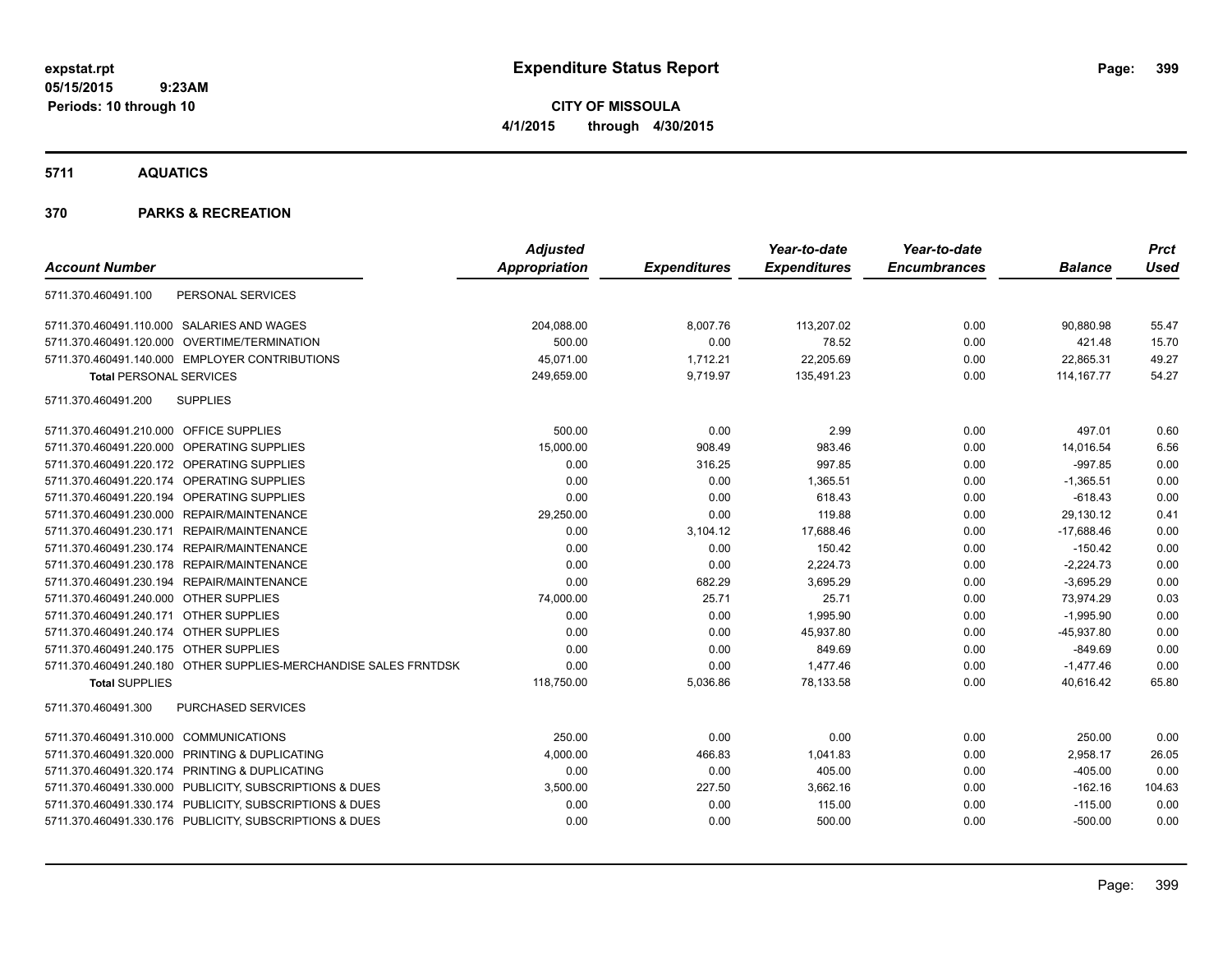**CITY OF MISSOULA 4/1/2015 through 4/30/2015**

**5711 AQUATICS**

|                                                                  | <b>Adjusted</b> |                     | Year-to-date        | Year-to-date        |                | <b>Prct</b> |
|------------------------------------------------------------------|-----------------|---------------------|---------------------|---------------------|----------------|-------------|
| <b>Account Number</b>                                            | Appropriation   | <b>Expenditures</b> | <b>Expenditures</b> | <b>Encumbrances</b> | <b>Balance</b> | <b>Used</b> |
| 5711.370.460491.100<br>PERSONAL SERVICES                         |                 |                     |                     |                     |                |             |
| 5711.370.460491.110.000 SALARIES AND WAGES                       | 204,088.00      | 8,007.76            | 113,207.02          | 0.00                | 90,880.98      | 55.47       |
| 5711.370.460491.120.000 OVERTIME/TERMINATION                     | 500.00          | 0.00                | 78.52               | 0.00                | 421.48         | 15.70       |
| 5711.370.460491.140.000 EMPLOYER CONTRIBUTIONS                   | 45,071.00       | 1,712.21            | 22,205.69           | 0.00                | 22,865.31      | 49.27       |
| <b>Total PERSONAL SERVICES</b>                                   | 249,659.00      | 9,719.97            | 135,491.23          | 0.00                | 114, 167. 77   | 54.27       |
| <b>SUPPLIES</b><br>5711.370.460491.200                           |                 |                     |                     |                     |                |             |
| 5711.370.460491.210.000 OFFICE SUPPLIES                          | 500.00          | 0.00                | 2.99                | 0.00                | 497.01         | 0.60        |
| 5711.370.460491.220.000 OPERATING SUPPLIES                       | 15,000.00       | 908.49              | 983.46              | 0.00                | 14,016.54      | 6.56        |
| 5711.370.460491.220.172 OPERATING SUPPLIES                       | 0.00            | 316.25              | 997.85              | 0.00                | $-997.85$      | 0.00        |
| 5711.370.460491.220.174 OPERATING SUPPLIES                       | 0.00            | 0.00                | 1,365.51            | 0.00                | $-1,365.51$    | 0.00        |
| 5711.370.460491.220.194 OPERATING SUPPLIES                       | 0.00            | 0.00                | 618.43              | 0.00                | $-618.43$      | 0.00        |
| 5711.370.460491.230.000 REPAIR/MAINTENANCE                       | 29,250.00       | 0.00                | 119.88              | 0.00                | 29,130.12      | 0.41        |
| 5711.370.460491.230.171 REPAIR/MAINTENANCE                       | 0.00            | 3,104.12            | 17,688.46           | 0.00                | $-17,688.46$   | 0.00        |
| 5711.370.460491.230.174 REPAIR/MAINTENANCE                       | 0.00            | 0.00                | 150.42              | 0.00                | $-150.42$      | 0.00        |
| 5711.370.460491.230.178 REPAIR/MAINTENANCE                       | 0.00            | 0.00                | 2,224.73            | 0.00                | $-2,224.73$    | 0.00        |
| 5711.370.460491.230.194 REPAIR/MAINTENANCE                       | 0.00            | 682.29              | 3,695.29            | 0.00                | $-3,695.29$    | 0.00        |
| 5711.370.460491.240.000 OTHER SUPPLIES                           | 74,000.00       | 25.71               | 25.71               | 0.00                | 73,974.29      | 0.03        |
| 5711.370.460491.240.171 OTHER SUPPLIES                           | 0.00            | 0.00                | 1,995.90            | 0.00                | $-1,995.90$    | 0.00        |
| 5711.370.460491.240.174 OTHER SUPPLIES                           | 0.00            | 0.00                | 45,937.80           | 0.00                | $-45,937.80$   | 0.00        |
| 5711.370.460491.240.175 OTHER SUPPLIES                           | 0.00            | 0.00                | 849.69              | 0.00                | $-849.69$      | 0.00        |
| 5711.370.460491.240.180 OTHER SUPPLIES-MERCHANDISE SALES FRNTDSK | 0.00            | 0.00                | 1,477.46            | 0.00                | $-1,477.46$    | 0.00        |
| <b>Total SUPPLIES</b>                                            | 118,750.00      | 5,036.86            | 78,133.58           | 0.00                | 40,616.42      | 65.80       |
| PURCHASED SERVICES<br>5711.370.460491.300                        |                 |                     |                     |                     |                |             |
| 5711.370.460491.310.000 COMMUNICATIONS                           | 250.00          | 0.00                | 0.00                | 0.00                | 250.00         | 0.00        |
| 5711.370.460491.320.000 PRINTING & DUPLICATING                   | 4,000.00        | 466.83              | 1,041.83            | 0.00                | 2,958.17       | 26.05       |
| 5711.370.460491.320.174 PRINTING & DUPLICATING                   | 0.00            | 0.00                | 405.00              | 0.00                | $-405.00$      | 0.00        |
| 5711.370.460491.330.000 PUBLICITY, SUBSCRIPTIONS & DUES          | 3,500.00        | 227.50              | 3,662.16            | 0.00                | $-162.16$      | 104.63      |
| 5711.370.460491.330.174 PUBLICITY, SUBSCRIPTIONS & DUES          | 0.00            | 0.00                | 115.00              | 0.00                | $-115.00$      | 0.00        |
| 5711.370.460491.330.176 PUBLICITY, SUBSCRIPTIONS & DUES          | 0.00            | 0.00                | 500.00              | 0.00                | $-500.00$      | 0.00        |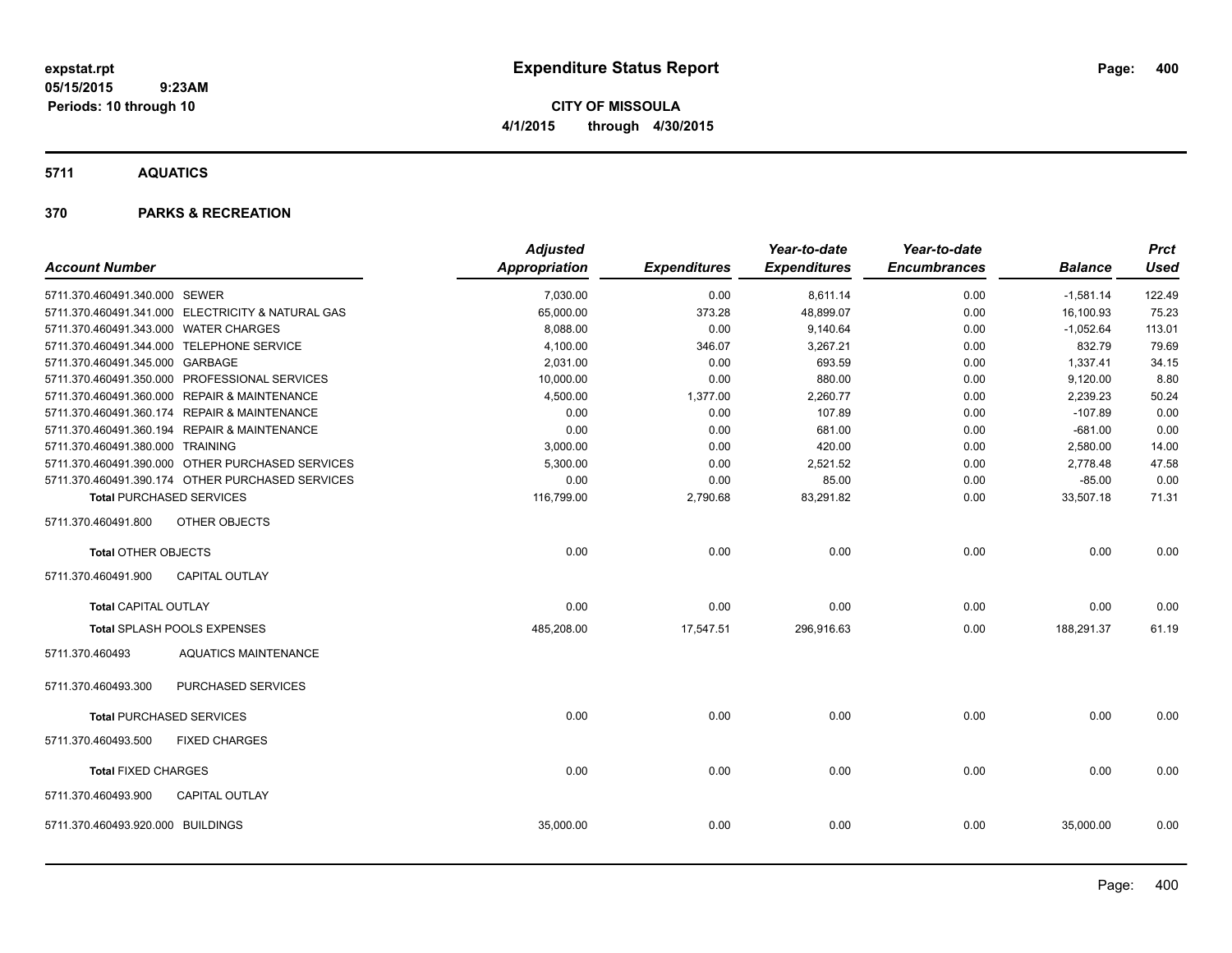**CITY OF MISSOULA 4/1/2015 through 4/30/2015**

**5711 AQUATICS**

|                                       |                                                   | <b>Adjusted</b> |                     | Year-to-date        | Year-to-date        |                | <b>Prct</b> |
|---------------------------------------|---------------------------------------------------|-----------------|---------------------|---------------------|---------------------|----------------|-------------|
| <b>Account Number</b>                 |                                                   | Appropriation   | <b>Expenditures</b> | <b>Expenditures</b> | <b>Encumbrances</b> | <b>Balance</b> | <b>Used</b> |
| 5711.370.460491.340.000 SEWER         |                                                   | 7,030.00        | 0.00                | 8,611.14            | 0.00                | $-1,581.14$    | 122.49      |
|                                       | 5711.370.460491.341.000 ELECTRICITY & NATURAL GAS | 65,000.00       | 373.28              | 48,899.07           | 0.00                | 16,100.93      | 75.23       |
| 5711.370.460491.343.000 WATER CHARGES |                                                   | 8,088.00        | 0.00                | 9,140.64            | 0.00                | $-1,052.64$    | 113.01      |
|                                       | 5711.370.460491.344.000 TELEPHONE SERVICE         | 4,100.00        | 346.07              | 3,267.21            | 0.00                | 832.79         | 79.69       |
| 5711.370.460491.345.000 GARBAGE       |                                                   | 2,031.00        | 0.00                | 693.59              | 0.00                | 1,337.41       | 34.15       |
|                                       | 5711.370.460491.350.000 PROFESSIONAL SERVICES     | 10,000.00       | 0.00                | 880.00              | 0.00                | 9,120.00       | 8.80        |
|                                       | 5711.370.460491.360.000 REPAIR & MAINTENANCE      | 4,500.00        | 1,377.00            | 2,260.77            | 0.00                | 2,239.23       | 50.24       |
|                                       | 5711.370.460491.360.174 REPAIR & MAINTENANCE      | 0.00            | 0.00                | 107.89              | 0.00                | $-107.89$      | 0.00        |
|                                       | 5711.370.460491.360.194 REPAIR & MAINTENANCE      | 0.00            | 0.00                | 681.00              | 0.00                | $-681.00$      | 0.00        |
| 5711.370.460491.380.000 TRAINING      |                                                   | 3,000.00        | 0.00                | 420.00              | 0.00                | 2,580.00       | 14.00       |
|                                       | 5711.370.460491.390.000 OTHER PURCHASED SERVICES  | 5,300.00        | 0.00                | 2,521.52            | 0.00                | 2,778.48       | 47.58       |
|                                       | 5711.370.460491.390.174 OTHER PURCHASED SERVICES  | 0.00            | 0.00                | 85.00               | 0.00                | $-85.00$       | 0.00        |
|                                       | <b>Total PURCHASED SERVICES</b>                   | 116,799.00      | 2,790.68            | 83,291.82           | 0.00                | 33,507.18      | 71.31       |
| 5711.370.460491.800                   | <b>OTHER OBJECTS</b>                              |                 |                     |                     |                     |                |             |
| <b>Total OTHER OBJECTS</b>            |                                                   | 0.00            | 0.00                | 0.00                | 0.00                | 0.00           | 0.00        |
| 5711.370.460491.900                   | <b>CAPITAL OUTLAY</b>                             |                 |                     |                     |                     |                |             |
| <b>Total CAPITAL OUTLAY</b>           |                                                   | 0.00            | 0.00                | 0.00                | 0.00                | 0.00           | 0.00        |
|                                       | Total SPLASH POOLS EXPENSES                       | 485,208.00      | 17,547.51           | 296,916.63          | 0.00                | 188,291.37     | 61.19       |
| 5711.370.460493                       | <b>AQUATICS MAINTENANCE</b>                       |                 |                     |                     |                     |                |             |
| 5711.370.460493.300                   | PURCHASED SERVICES                                |                 |                     |                     |                     |                |             |
|                                       | <b>Total PURCHASED SERVICES</b>                   | 0.00            | 0.00                | 0.00                | 0.00                | 0.00           | 0.00        |
| 5711.370.460493.500                   | <b>FIXED CHARGES</b>                              |                 |                     |                     |                     |                |             |
| <b>Total FIXED CHARGES</b>            |                                                   | 0.00            | 0.00                | 0.00                | 0.00                | 0.00           | 0.00        |
| 5711.370.460493.900                   | <b>CAPITAL OUTLAY</b>                             |                 |                     |                     |                     |                |             |
| 5711.370.460493.920.000 BUILDINGS     |                                                   | 35,000.00       | 0.00                | 0.00                | 0.00                | 35,000.00      | 0.00        |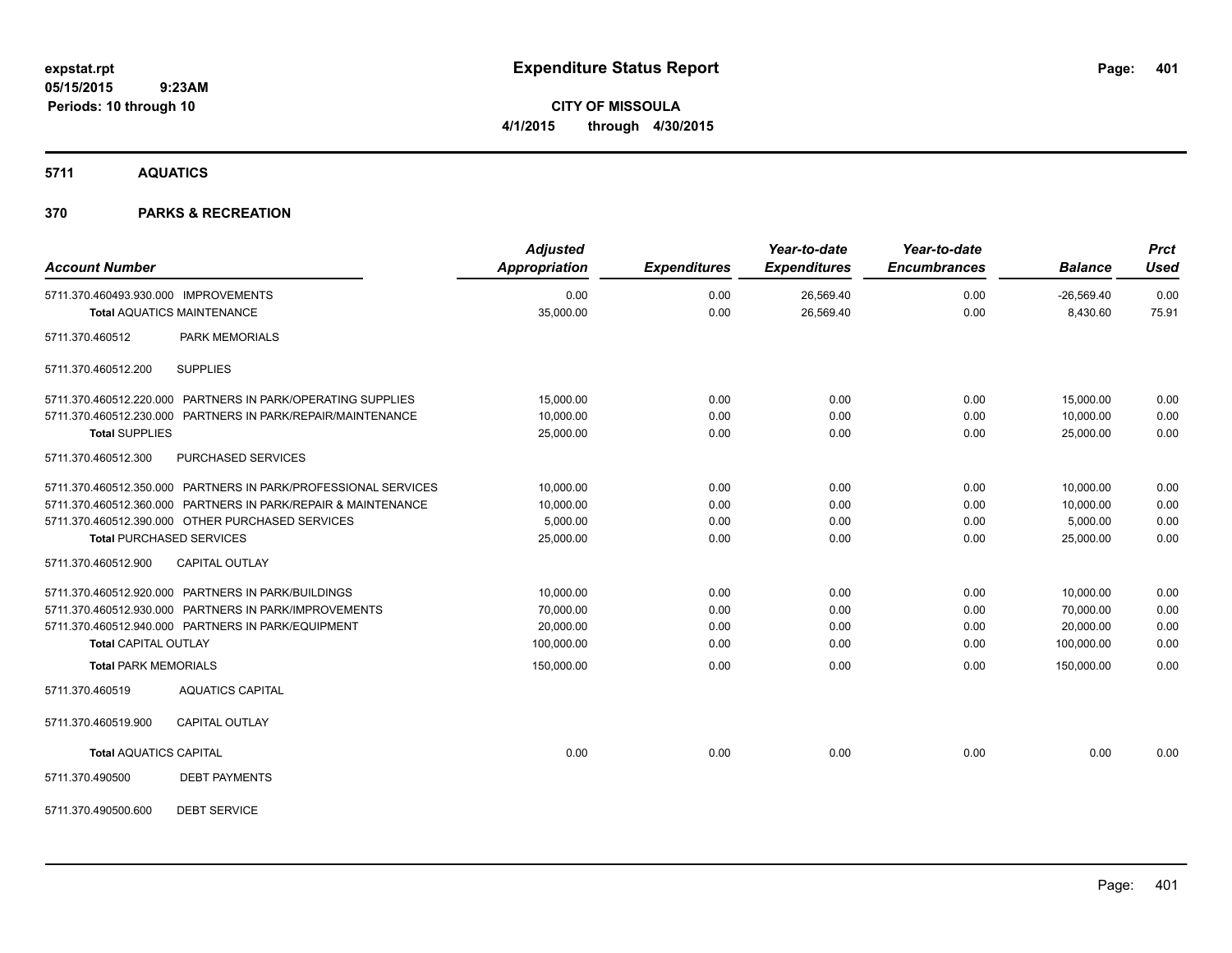**CITY OF MISSOULA 4/1/2015 through 4/30/2015**

**5711 AQUATICS**

| <b>Account Number</b>                                          | <b>Adjusted</b><br><b>Appropriation</b> | <b>Expenditures</b> | Year-to-date<br><b>Expenditures</b> | Year-to-date<br><b>Encumbrances</b> | <b>Balance</b>           | <b>Prct</b><br><b>Used</b> |
|----------------------------------------------------------------|-----------------------------------------|---------------------|-------------------------------------|-------------------------------------|--------------------------|----------------------------|
| 5711.370.460493.930.000 IMPROVEMENTS                           | 0.00<br>35,000.00                       | 0.00<br>0.00        | 26,569.40<br>26,569.40              | 0.00<br>0.00                        | $-26,569.40$<br>8,430.60 | 0.00<br>75.91              |
| <b>Total AQUATICS MAINTENANCE</b>                              |                                         |                     |                                     |                                     |                          |                            |
| <b>PARK MEMORIALS</b><br>5711.370.460512                       |                                         |                     |                                     |                                     |                          |                            |
| <b>SUPPLIES</b><br>5711.370.460512.200                         |                                         |                     |                                     |                                     |                          |                            |
| 5711.370.460512.220.000 PARTNERS IN PARK/OPERATING SUPPLIES    | 15,000.00                               | 0.00                | 0.00                                | 0.00                                | 15,000.00                | 0.00                       |
| 5711.370.460512.230.000 PARTNERS IN PARK/REPAIR/MAINTENANCE    | 10,000.00                               | 0.00                | 0.00                                | 0.00                                | 10.000.00                | 0.00                       |
| <b>Total SUPPLIES</b>                                          | 25,000.00                               | 0.00                | 0.00                                | 0.00                                | 25,000.00                | 0.00                       |
| PURCHASED SERVICES<br>5711.370.460512.300                      |                                         |                     |                                     |                                     |                          |                            |
| 5711.370.460512.350.000 PARTNERS IN PARK/PROFESSIONAL SERVICES | 10,000.00                               | 0.00                | 0.00                                | 0.00                                | 10,000.00                | 0.00                       |
| 5711.370.460512.360.000 PARTNERS IN PARK/REPAIR & MAINTENANCE  | 10,000.00                               | 0.00                | 0.00                                | 0.00                                | 10,000.00                | 0.00                       |
| 5711.370.460512.390.000 OTHER PURCHASED SERVICES               | 5,000.00                                | 0.00                | 0.00                                | 0.00                                | 5,000.00                 | 0.00                       |
| <b>Total PURCHASED SERVICES</b>                                | 25,000.00                               | 0.00                | 0.00                                | 0.00                                | 25,000.00                | 0.00                       |
| CAPITAL OUTLAY<br>5711.370.460512.900                          |                                         |                     |                                     |                                     |                          |                            |
| 5711.370.460512.920.000 PARTNERS IN PARK/BUILDINGS             | 10,000.00                               | 0.00                | 0.00                                | 0.00                                | 10,000.00                | 0.00                       |
| 5711.370.460512.930.000 PARTNERS IN PARK/IMPROVEMENTS          | 70,000.00                               | 0.00                | 0.00                                | 0.00                                | 70,000.00                | 0.00                       |
| 5711.370.460512.940.000 PARTNERS IN PARK/EQUIPMENT             | 20,000.00                               | 0.00                | 0.00                                | 0.00                                | 20,000.00                | 0.00                       |
| <b>Total CAPITAL OUTLAY</b>                                    | 100,000.00                              | 0.00                | 0.00                                | 0.00                                | 100,000.00               | 0.00                       |
| <b>Total PARK MEMORIALS</b>                                    | 150,000.00                              | 0.00                | 0.00                                | 0.00                                | 150,000.00               | 0.00                       |
| <b>AQUATICS CAPITAL</b><br>5711.370.460519                     |                                         |                     |                                     |                                     |                          |                            |
| 5711.370.460519.900<br><b>CAPITAL OUTLAY</b>                   |                                         |                     |                                     |                                     |                          |                            |
| <b>Total AQUATICS CAPITAL</b>                                  | 0.00                                    | 0.00                | 0.00                                | 0.00                                | 0.00                     | 0.00                       |
| 5711.370.490500<br><b>DEBT PAYMENTS</b>                        |                                         |                     |                                     |                                     |                          |                            |
| <b>DEBT SERVICE</b><br>5711.370.490500.600                     |                                         |                     |                                     |                                     |                          |                            |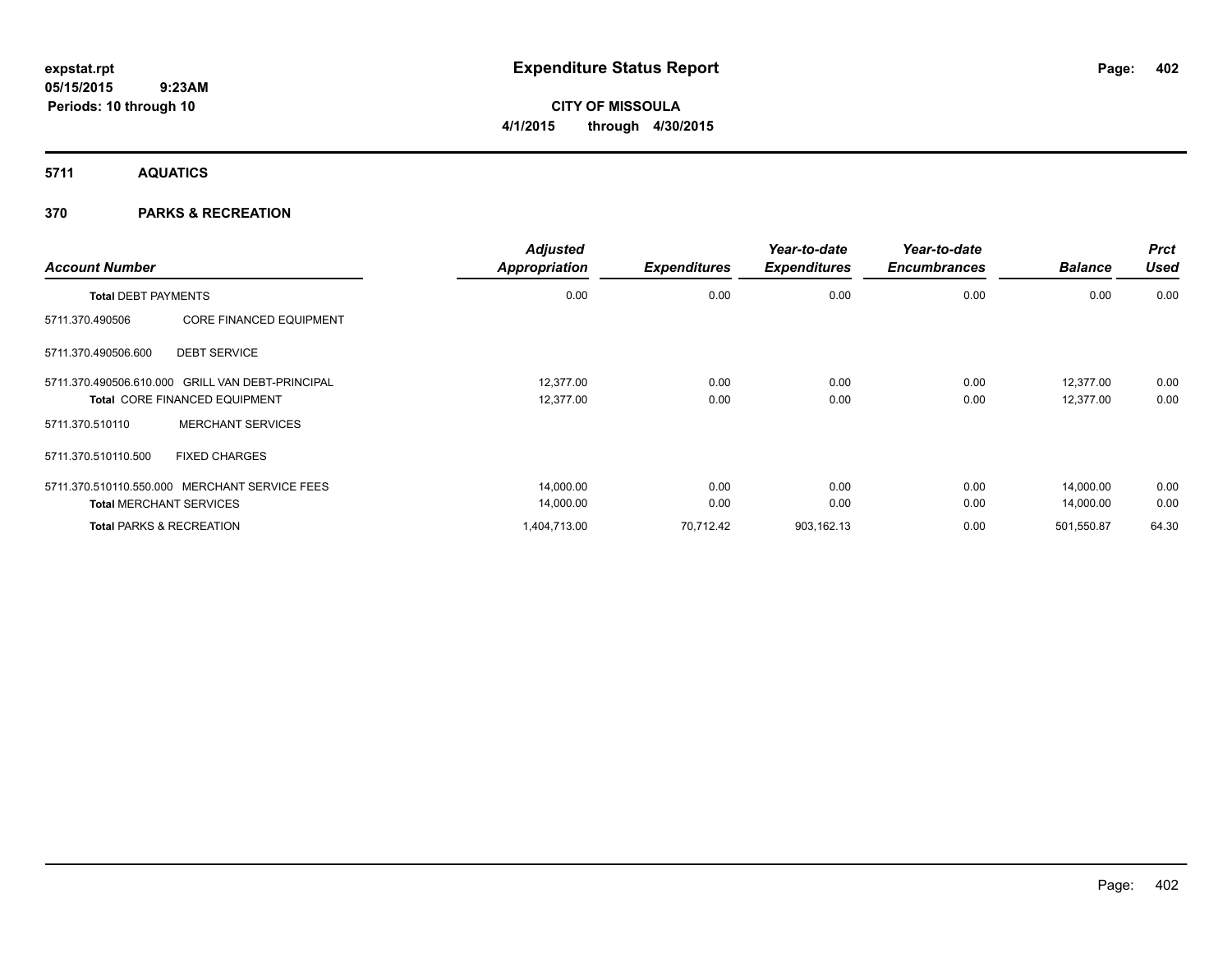**CITY OF MISSOULA 4/1/2015 through 4/30/2015**

**5711 AQUATICS**

| <b>Account Number</b>                             | <b>Adjusted</b><br><b>Appropriation</b> | <b>Expenditures</b> | Year-to-date<br><b>Expenditures</b> | Year-to-date<br><b>Encumbrances</b> | <b>Balance</b> | <b>Prct</b><br><b>Used</b> |
|---------------------------------------------------|-----------------------------------------|---------------------|-------------------------------------|-------------------------------------|----------------|----------------------------|
| <b>Total DEBT PAYMENTS</b>                        | 0.00                                    | 0.00                | 0.00                                | 0.00                                | 0.00           | 0.00                       |
| <b>CORE FINANCED EQUIPMENT</b><br>5711.370.490506 |                                         |                     |                                     |                                     |                |                            |
| <b>DEBT SERVICE</b><br>5711.370.490506.600        |                                         |                     |                                     |                                     |                |                            |
| 5711.370.490506.610.000 GRILL VAN DEBT-PRINCIPAL  | 12.377.00                               | 0.00                | 0.00                                | 0.00                                | 12.377.00      | 0.00                       |
| <b>Total CORE FINANCED EQUIPMENT</b>              | 12,377.00                               | 0.00                | 0.00                                | 0.00                                | 12,377.00      | 0.00                       |
| <b>MERCHANT SERVICES</b><br>5711.370.510110       |                                         |                     |                                     |                                     |                |                            |
| <b>FIXED CHARGES</b><br>5711.370.510110.500       |                                         |                     |                                     |                                     |                |                            |
| 5711.370.510110.550.000 MERCHANT SERVICE FEES     | 14,000.00                               | 0.00                | 0.00                                | 0.00                                | 14.000.00      | 0.00                       |
| <b>Total MERCHANT SERVICES</b>                    | 14,000.00                               | 0.00                | 0.00                                | 0.00                                | 14,000.00      | 0.00                       |
| <b>Total PARKS &amp; RECREATION</b>               | 1,404,713.00                            | 70.712.42           | 903,162.13                          | 0.00                                | 501,550.87     | 64.30                      |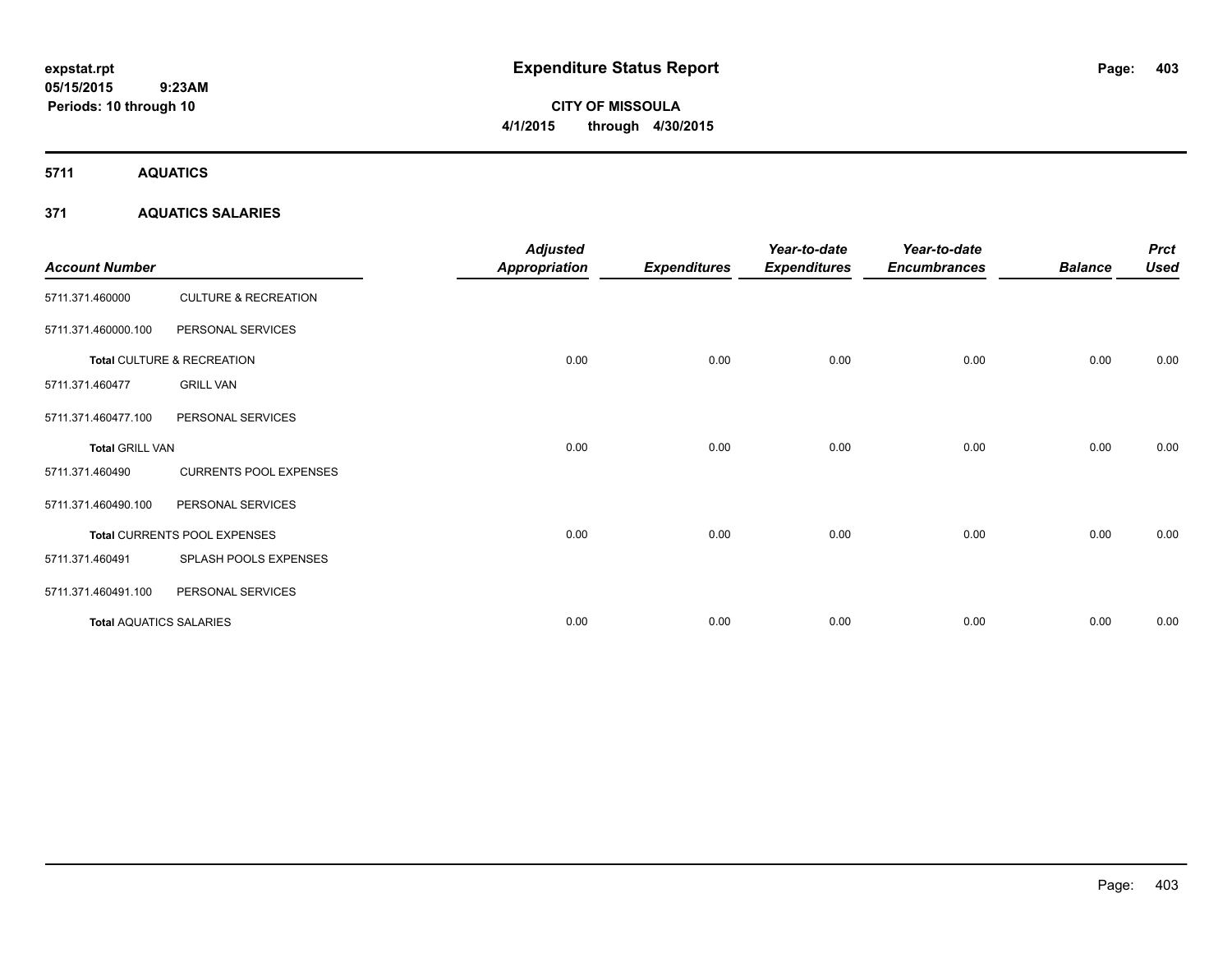# **CITY OF MISSOULA 4/1/2015 through 4/30/2015**

**5711 AQUATICS**

## **371 AQUATICS SALARIES**

| <b>Account Number</b>          |                                 | <b>Adjusted</b><br>Appropriation | <b>Expenditures</b> | Year-to-date<br><b>Expenditures</b> | Year-to-date<br><b>Encumbrances</b> | <b>Balance</b> | <b>Prct</b><br><b>Used</b> |
|--------------------------------|---------------------------------|----------------------------------|---------------------|-------------------------------------|-------------------------------------|----------------|----------------------------|
| 5711.371.460000                | <b>CULTURE &amp; RECREATION</b> |                                  |                     |                                     |                                     |                |                            |
| 5711.371.460000.100            | PERSONAL SERVICES               |                                  |                     |                                     |                                     |                |                            |
|                                | Total CULTURE & RECREATION      | 0.00                             | 0.00                | 0.00                                | 0.00                                | 0.00           | 0.00                       |
| 5711.371.460477                | <b>GRILL VAN</b>                |                                  |                     |                                     |                                     |                |                            |
| 5711.371.460477.100            | PERSONAL SERVICES               |                                  |                     |                                     |                                     |                |                            |
| <b>Total GRILL VAN</b>         |                                 | 0.00                             | 0.00                | 0.00                                | 0.00                                | 0.00           | 0.00                       |
| 5711.371.460490                | <b>CURRENTS POOL EXPENSES</b>   |                                  |                     |                                     |                                     |                |                            |
| 5711.371.460490.100            | PERSONAL SERVICES               |                                  |                     |                                     |                                     |                |                            |
|                                | Total CURRENTS POOL EXPENSES    | 0.00                             | 0.00                | 0.00                                | 0.00                                | 0.00           | 0.00                       |
| 5711.371.460491                | SPLASH POOLS EXPENSES           |                                  |                     |                                     |                                     |                |                            |
| 5711.371.460491.100            | PERSONAL SERVICES               |                                  |                     |                                     |                                     |                |                            |
| <b>Total AQUATICS SALARIES</b> |                                 | 0.00                             | 0.00                | 0.00                                | 0.00                                | 0.00           | 0.00                       |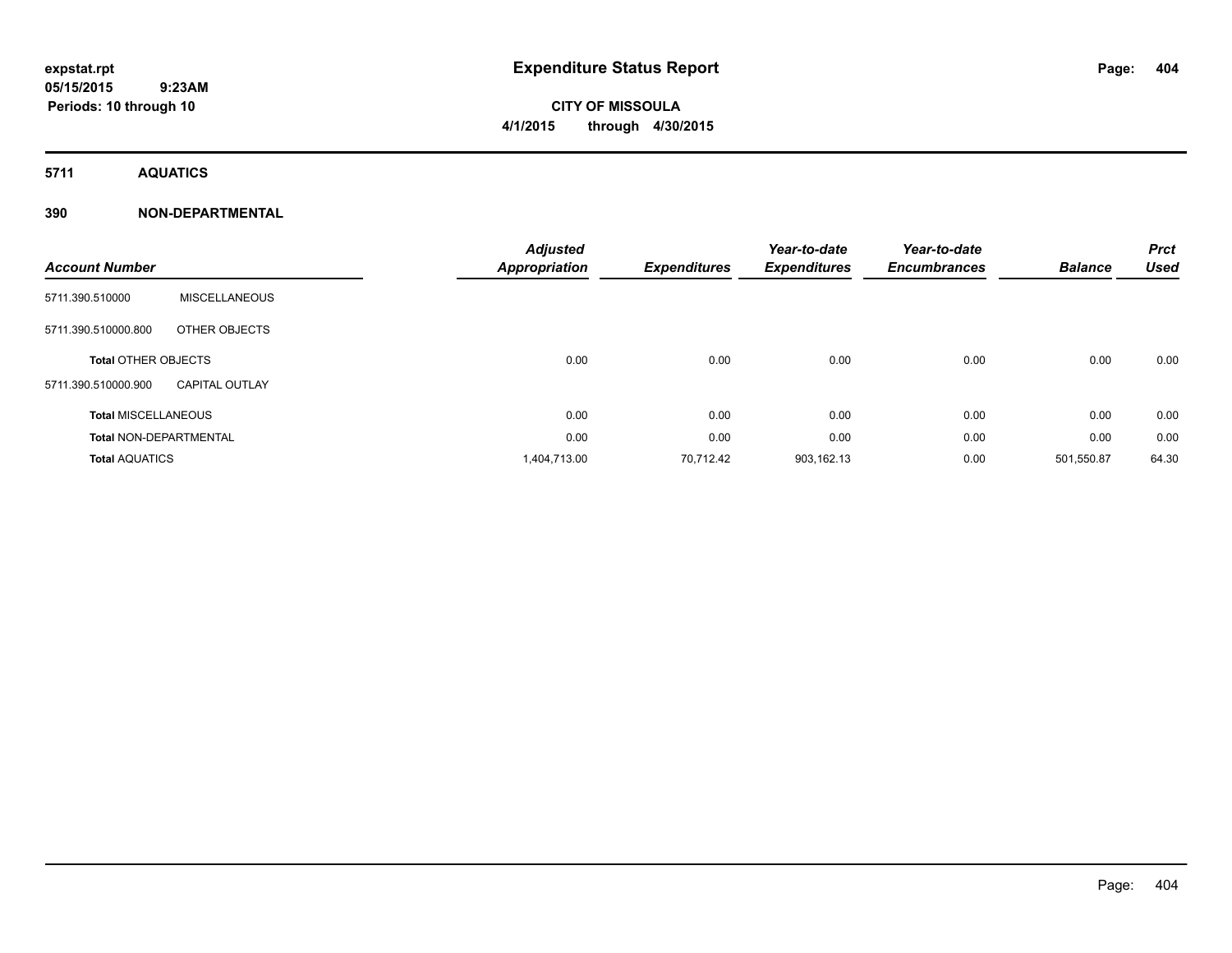# **CITY OF MISSOULA 4/1/2015 through 4/30/2015**

**5711 AQUATICS**

| <b>Account Number</b>         |                       | <b>Adjusted</b><br><b>Appropriation</b> | <b>Expenditures</b> | Year-to-date<br><b>Expenditures</b> | Year-to-date<br><b>Encumbrances</b> | <b>Balance</b> | <b>Prct</b><br><b>Used</b> |
|-------------------------------|-----------------------|-----------------------------------------|---------------------|-------------------------------------|-------------------------------------|----------------|----------------------------|
| 5711.390.510000               | <b>MISCELLANEOUS</b>  |                                         |                     |                                     |                                     |                |                            |
| 5711.390.510000.800           | OTHER OBJECTS         |                                         |                     |                                     |                                     |                |                            |
| <b>Total OTHER OBJECTS</b>    |                       | 0.00                                    | 0.00                | 0.00                                | 0.00                                | 0.00           | 0.00                       |
| 5711.390.510000.900           | <b>CAPITAL OUTLAY</b> |                                         |                     |                                     |                                     |                |                            |
| <b>Total MISCELLANEOUS</b>    |                       | 0.00                                    | 0.00                | 0.00                                | 0.00                                | 0.00           | 0.00                       |
| <b>Total NON-DEPARTMENTAL</b> |                       | 0.00                                    | 0.00                | 0.00                                | 0.00                                | 0.00           | 0.00                       |
| <b>Total AQUATICS</b>         |                       | 1,404,713.00                            | 70,712.42           | 903,162.13                          | 0.00                                | 501,550.87     | 64.30                      |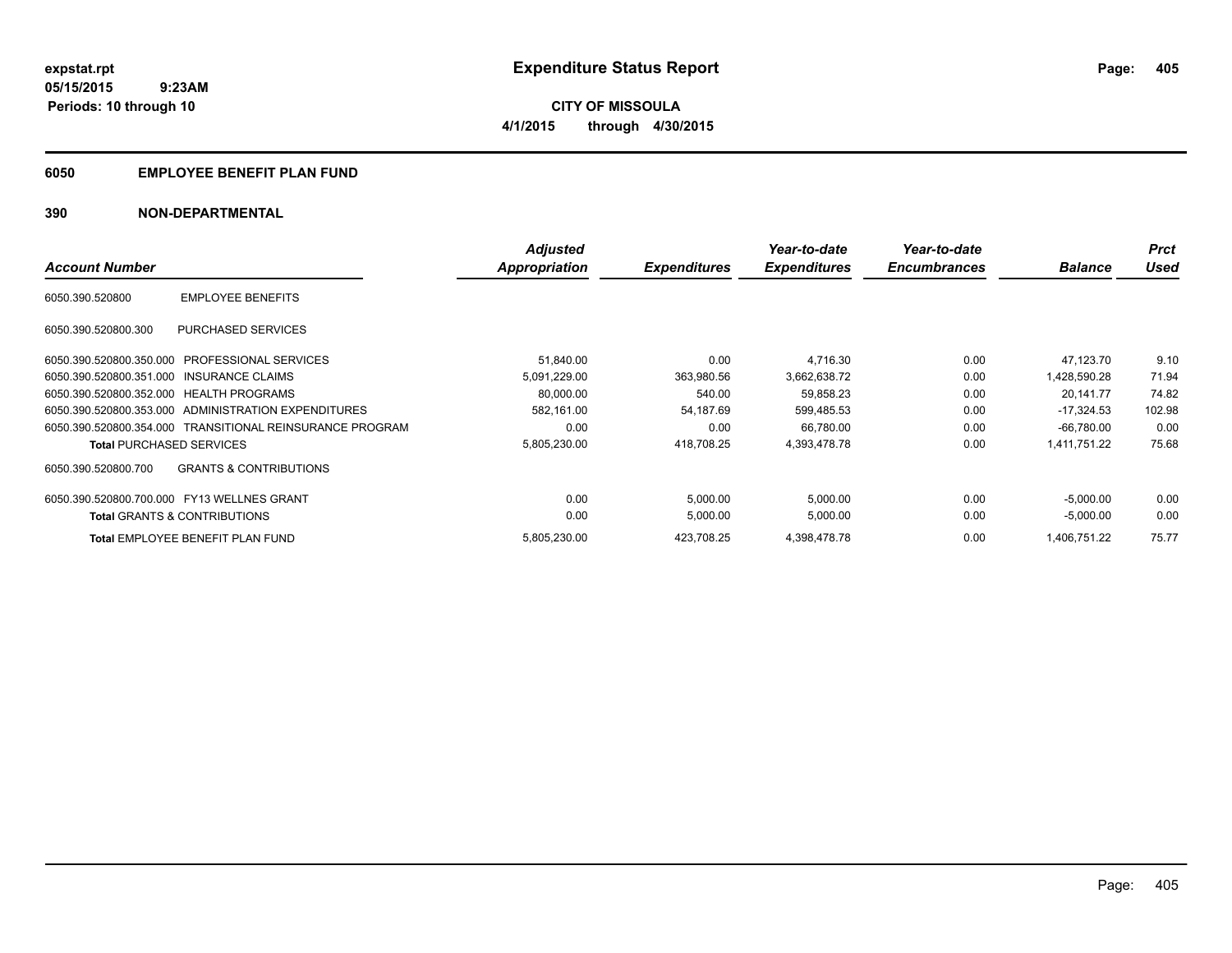**405**

**05/15/2015 9:23AM Periods: 10 through 10**

**CITY OF MISSOULA 4/1/2015 through 4/30/2015**

## **6050 EMPLOYEE BENEFIT PLAN FUND**

|                                                          | <b>Adjusted</b>      |                     | Year-to-date        | Year-to-date        |                | <b>Prct</b> |
|----------------------------------------------------------|----------------------|---------------------|---------------------|---------------------|----------------|-------------|
| <b>Account Number</b>                                    | <b>Appropriation</b> | <b>Expenditures</b> | <b>Expenditures</b> | <b>Encumbrances</b> | <b>Balance</b> | <b>Used</b> |
| 6050.390.520800<br><b>EMPLOYEE BENEFITS</b>              |                      |                     |                     |                     |                |             |
| 6050.390.520800.300<br><b>PURCHASED SERVICES</b>         |                      |                     |                     |                     |                |             |
| 6050.390.520800.350.000 PROFESSIONAL SERVICES            | 51,840.00            | 0.00                | 4,716.30            | 0.00                | 47,123.70      | 9.10        |
| 6050.390.520800.351.000 INSURANCE CLAIMS                 | 5,091,229.00         | 363,980.56          | 3,662,638.72        | 0.00                | 1,428,590.28   | 71.94       |
| 6050.390.520800.352.000 HEALTH PROGRAMS                  | 80,000.00            | 540.00              | 59,858.23           | 0.00                | 20,141.77      | 74.82       |
| 6050.390.520800.353.000 ADMINISTRATION EXPENDITURES      | 582,161.00           | 54,187.69           | 599,485.53          | 0.00                | $-17,324.53$   | 102.98      |
| 6050.390.520800.354.000 TRANSITIONAL REINSURANCE PROGRAM | 0.00                 | 0.00                | 66,780.00           | 0.00                | $-66,780.00$   | 0.00        |
| <b>Total PURCHASED SERVICES</b>                          | 5,805,230.00         | 418,708.25          | 4.393.478.78        | 0.00                | 1,411,751.22   | 75.68       |
| 6050.390.520800.700<br><b>GRANTS &amp; CONTRIBUTIONS</b> |                      |                     |                     |                     |                |             |
| 6050.390.520800.700.000 FY13 WELLNES GRANT               | 0.00                 | 5,000.00            | 5,000.00            | 0.00                | $-5,000.00$    | 0.00        |
| <b>Total GRANTS &amp; CONTRIBUTIONS</b>                  | 0.00                 | 5,000.00            | 5,000.00            | 0.00                | $-5,000.00$    | 0.00        |
| Total EMPLOYEE BENEFIT PLAN FUND                         | 5,805,230.00         | 423,708.25          | 4,398,478.78        | 0.00                | 1,406,751.22   | 75.77       |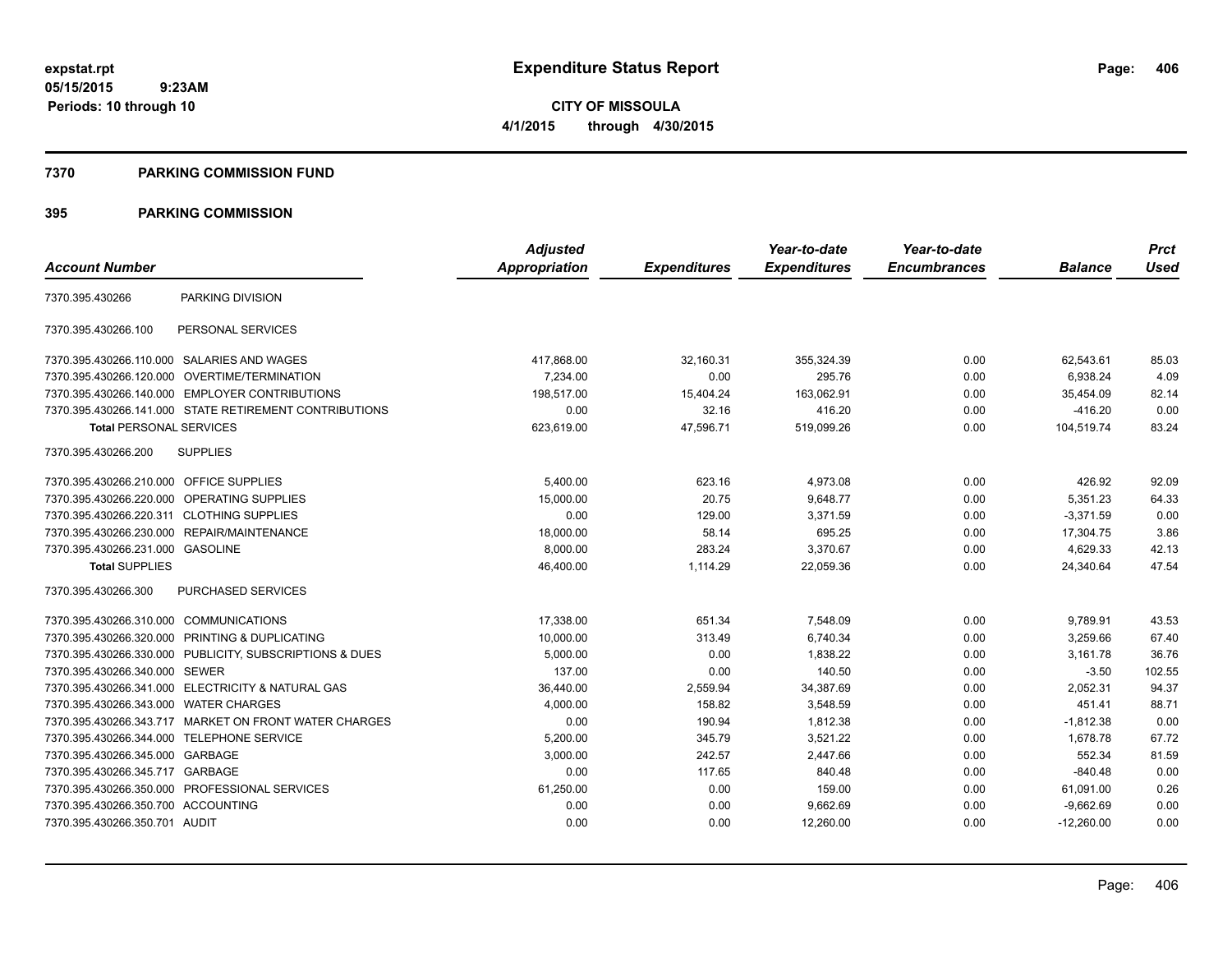## **7370 PARKING COMMISSION FUND**

|                                            |                                                         | <b>Adjusted</b> |                     | Year-to-date        | Year-to-date        |                | <b>Prct</b> |
|--------------------------------------------|---------------------------------------------------------|-----------------|---------------------|---------------------|---------------------|----------------|-------------|
| <b>Account Number</b>                      |                                                         | Appropriation   | <b>Expenditures</b> | <b>Expenditures</b> | <b>Encumbrances</b> | <b>Balance</b> | <b>Used</b> |
| 7370.395.430266                            | PARKING DIVISION                                        |                 |                     |                     |                     |                |             |
| 7370.395.430266.100                        | PERSONAL SERVICES                                       |                 |                     |                     |                     |                |             |
| 7370.395.430266.110.000 SALARIES AND WAGES |                                                         | 417.868.00      | 32,160.31           | 355.324.39          | 0.00                | 62.543.61      | 85.03       |
|                                            | 7370.395.430266.120.000 OVERTIME/TERMINATION            | 7,234.00        | 0.00                | 295.76              | 0.00                | 6,938.24       | 4.09        |
|                                            | 7370.395.430266.140.000 EMPLOYER CONTRIBUTIONS          | 198,517.00      | 15,404.24           | 163,062.91          | 0.00                | 35,454.09      | 82.14       |
|                                            | 7370.395.430266.141.000 STATE RETIREMENT CONTRIBUTIONS  | 0.00            | 32.16               | 416.20              | 0.00                | $-416.20$      | 0.00        |
| <b>Total PERSONAL SERVICES</b>             |                                                         | 623,619.00      | 47,596.71           | 519,099.26          | 0.00                | 104,519.74     | 83.24       |
| 7370.395.430266.200                        | <b>SUPPLIES</b>                                         |                 |                     |                     |                     |                |             |
| 7370.395.430266.210.000 OFFICE SUPPLIES    |                                                         | 5,400.00        | 623.16              | 4,973.08            | 0.00                | 426.92         | 92.09       |
| 7370.395.430266.220.000 OPERATING SUPPLIES |                                                         | 15,000.00       | 20.75               | 9,648.77            | 0.00                | 5,351.23       | 64.33       |
| 7370.395.430266.220.311 CLOTHING SUPPLIES  |                                                         | 0.00            | 129.00              | 3,371.59            | 0.00                | $-3,371.59$    | 0.00        |
|                                            | 7370.395.430266.230.000 REPAIR/MAINTENANCE              | 18,000.00       | 58.14               | 695.25              | 0.00                | 17,304.75      | 3.86        |
| 7370.395.430266.231.000 GASOLINE           |                                                         | 8,000.00        | 283.24              | 3,370.67            | 0.00                | 4,629.33       | 42.13       |
| <b>Total SUPPLIES</b>                      |                                                         | 46,400.00       | 1,114.29            | 22,059.36           | 0.00                | 24,340.64      | 47.54       |
| 7370.395.430266.300                        | PURCHASED SERVICES                                      |                 |                     |                     |                     |                |             |
| 7370.395.430266.310.000 COMMUNICATIONS     |                                                         | 17,338.00       | 651.34              | 7,548.09            | 0.00                | 9,789.91       | 43.53       |
|                                            | 7370.395.430266.320.000 PRINTING & DUPLICATING          | 10,000.00       | 313.49              | 6,740.34            | 0.00                | 3.259.66       | 67.40       |
|                                            | 7370.395.430266.330.000 PUBLICITY, SUBSCRIPTIONS & DUES | 5,000.00        | 0.00                | 1,838.22            | 0.00                | 3,161.78       | 36.76       |
| 7370.395.430266.340.000 SEWER              |                                                         | 137.00          | 0.00                | 140.50              | 0.00                | $-3.50$        | 102.55      |
|                                            | 7370.395.430266.341.000 ELECTRICITY & NATURAL GAS       | 36,440.00       | 2,559.94            | 34,387.69           | 0.00                | 2,052.31       | 94.37       |
| 7370.395.430266.343.000                    | <b>WATER CHARGES</b>                                    | 4,000.00        | 158.82              | 3,548.59            | 0.00                | 451.41         | 88.71       |
|                                            | 7370.395.430266.343.717 MARKET ON FRONT WATER CHARGES   | 0.00            | 190.94              | 1,812.38            | 0.00                | $-1,812.38$    | 0.00        |
| 7370.395.430266.344.000                    | <b>TELEPHONE SERVICE</b>                                | 5.200.00        | 345.79              | 3,521.22            | 0.00                | 1.678.78       | 67.72       |
| 7370.395.430266.345.000                    | GARBAGE                                                 | 3,000.00        | 242.57              | 2,447.66            | 0.00                | 552.34         | 81.59       |
| 7370.395.430266.345.717                    | GARBAGE                                                 | 0.00            | 117.65              | 840.48              | 0.00                | $-840.48$      | 0.00        |
|                                            | 7370.395.430266.350.000 PROFESSIONAL SERVICES           | 61,250.00       | 0.00                | 159.00              | 0.00                | 61,091.00      | 0.26        |
| 7370.395.430266.350.700 ACCOUNTING         |                                                         | 0.00            | 0.00                | 9,662.69            | 0.00                | $-9,662.69$    | 0.00        |
| 7370.395.430266.350.701 AUDIT              |                                                         | 0.00            | 0.00                | 12,260.00           | 0.00                | $-12,260.00$   | 0.00        |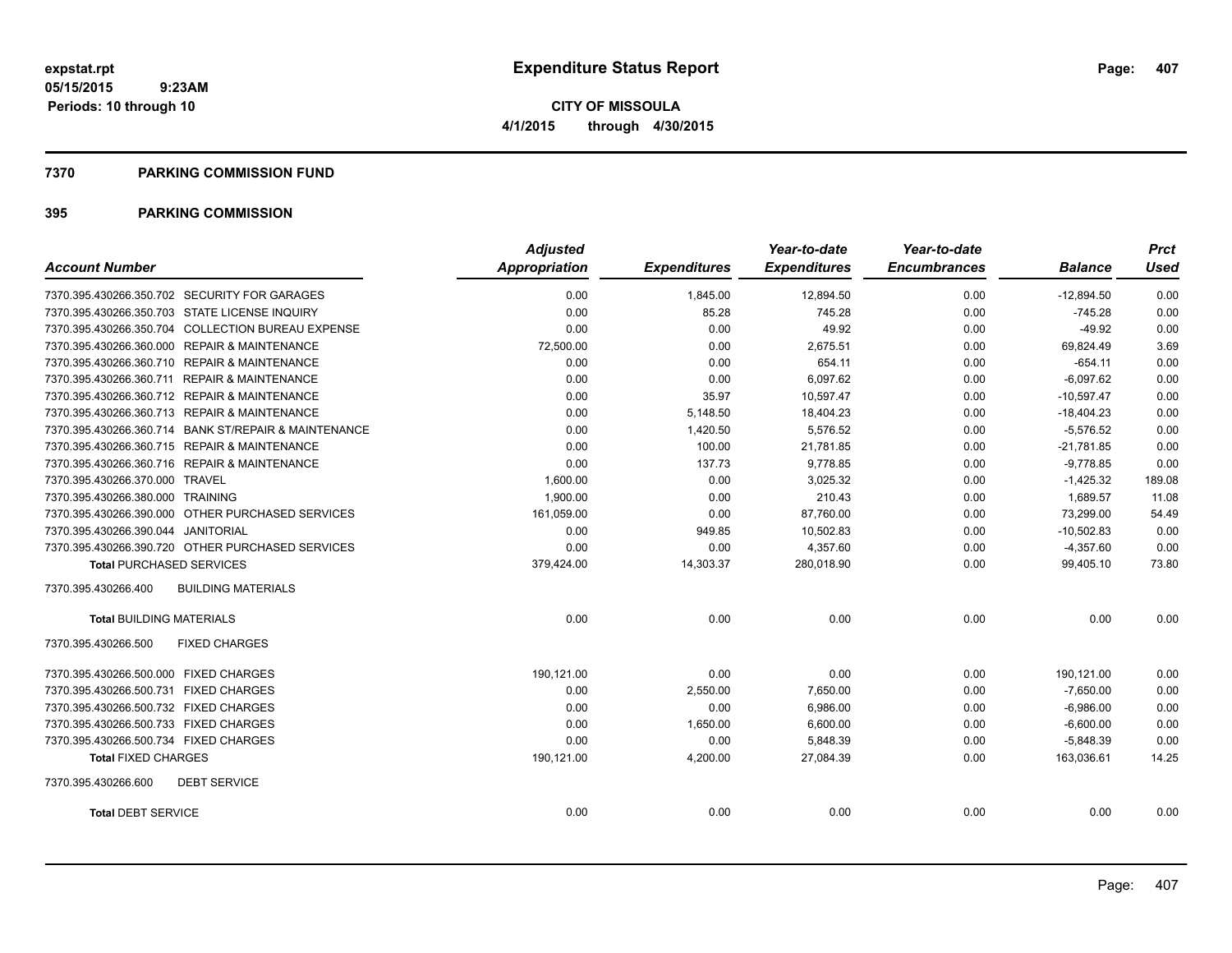### **7370 PARKING COMMISSION FUND**

| <b>Account Number</b>                                | <b>Adjusted</b><br>Appropriation | <b>Expenditures</b> | Year-to-date<br><b>Expenditures</b> | Year-to-date<br><b>Encumbrances</b> | <b>Balance</b> | <b>Prct</b><br><b>Used</b> |
|------------------------------------------------------|----------------------------------|---------------------|-------------------------------------|-------------------------------------|----------------|----------------------------|
|                                                      |                                  |                     |                                     |                                     |                |                            |
| 7370.395.430266.350.702 SECURITY FOR GARAGES         | 0.00                             | 1,845.00            | 12,894.50                           | 0.00                                | $-12,894.50$   | 0.00                       |
| 7370.395.430266.350.703 STATE LICENSE INQUIRY        | 0.00                             | 85.28               | 745.28                              | 0.00                                | $-745.28$      | 0.00                       |
| 7370.395.430266.350.704 COLLECTION BUREAU EXPENSE    | 0.00                             | 0.00                | 49.92                               | 0.00                                | $-49.92$       | 0.00                       |
| 7370.395.430266.360.000 REPAIR & MAINTENANCE         | 72,500.00                        | 0.00                | 2,675.51                            | 0.00                                | 69,824.49      | 3.69                       |
| 7370.395.430266.360.710 REPAIR & MAINTENANCE         | 0.00                             | 0.00                | 654.11                              | 0.00                                | $-654.11$      | 0.00                       |
| 7370.395.430266.360.711 REPAIR & MAINTENANCE         | 0.00                             | 0.00                | 6,097.62                            | 0.00                                | $-6,097.62$    | 0.00                       |
| 7370.395.430266.360.712 REPAIR & MAINTENANCE         | 0.00                             | 35.97               | 10,597.47                           | 0.00                                | $-10,597.47$   | 0.00                       |
| 7370.395.430266.360.713 REPAIR & MAINTENANCE         | 0.00                             | 5,148.50            | 18,404.23                           | 0.00                                | $-18,404.23$   | 0.00                       |
| 7370.395.430266.360.714 BANK ST/REPAIR & MAINTENANCE | 0.00                             | 1,420.50            | 5,576.52                            | 0.00                                | $-5,576.52$    | 0.00                       |
| 7370.395.430266.360.715 REPAIR & MAINTENANCE         | 0.00                             | 100.00              | 21,781.85                           | 0.00                                | $-21,781.85$   | 0.00                       |
| 7370.395.430266.360.716 REPAIR & MAINTENANCE         | 0.00                             | 137.73              | 9,778.85                            | 0.00                                | $-9,778.85$    | 0.00                       |
| 7370.395.430266.370.000 TRAVEL                       | 1,600.00                         | 0.00                | 3,025.32                            | 0.00                                | $-1,425.32$    | 189.08                     |
| 7370.395.430266.380.000 TRAINING                     | 1,900.00                         | 0.00                | 210.43                              | 0.00                                | 1,689.57       | 11.08                      |
| 7370.395.430266.390.000 OTHER PURCHASED SERVICES     | 161,059.00                       | 0.00                | 87,760.00                           | 0.00                                | 73,299.00      | 54.49                      |
| 7370.395.430266.390.044 JANITORIAL                   | 0.00                             | 949.85              | 10,502.83                           | 0.00                                | $-10,502.83$   | 0.00                       |
| 7370.395.430266.390.720 OTHER PURCHASED SERVICES     | 0.00                             | 0.00                | 4,357.60                            | 0.00                                | $-4,357.60$    | 0.00                       |
| <b>Total PURCHASED SERVICES</b>                      | 379,424.00                       | 14,303.37           | 280,018.90                          | 0.00                                | 99,405.10      | 73.80                      |
| <b>BUILDING MATERIALS</b><br>7370.395.430266.400     |                                  |                     |                                     |                                     |                |                            |
| <b>Total BUILDING MATERIALS</b>                      | 0.00                             | 0.00                | 0.00                                | 0.00                                | 0.00           | 0.00                       |
| 7370.395.430266.500<br><b>FIXED CHARGES</b>          |                                  |                     |                                     |                                     |                |                            |
| 7370.395.430266.500.000 FIXED CHARGES                | 190,121.00                       | 0.00                | 0.00                                | 0.00                                | 190,121.00     | 0.00                       |
| 7370.395.430266.500.731 FIXED CHARGES                | 0.00                             | 2,550.00            | 7,650.00                            | 0.00                                | $-7,650.00$    | 0.00                       |
| 7370.395.430266.500.732 FIXED CHARGES                | 0.00                             | 0.00                | 6,986.00                            | 0.00                                | $-6,986.00$    | 0.00                       |
| 7370.395.430266.500.733 FIXED CHARGES                | 0.00                             | 1,650.00            | 6,600.00                            | 0.00                                | $-6,600.00$    | 0.00                       |
| 7370.395.430266.500.734 FIXED CHARGES                | 0.00                             | 0.00                | 5.848.39                            | 0.00                                | $-5,848.39$    | 0.00                       |
| <b>Total FIXED CHARGES</b>                           | 190,121.00                       | 4,200.00            | 27,084.39                           | 0.00                                | 163,036.61     | 14.25                      |
| 7370.395.430266.600<br><b>DEBT SERVICE</b>           |                                  |                     |                                     |                                     |                |                            |
| <b>Total DEBT SERVICE</b>                            | 0.00                             | 0.00                | 0.00                                | 0.00                                | 0.00           | 0.00                       |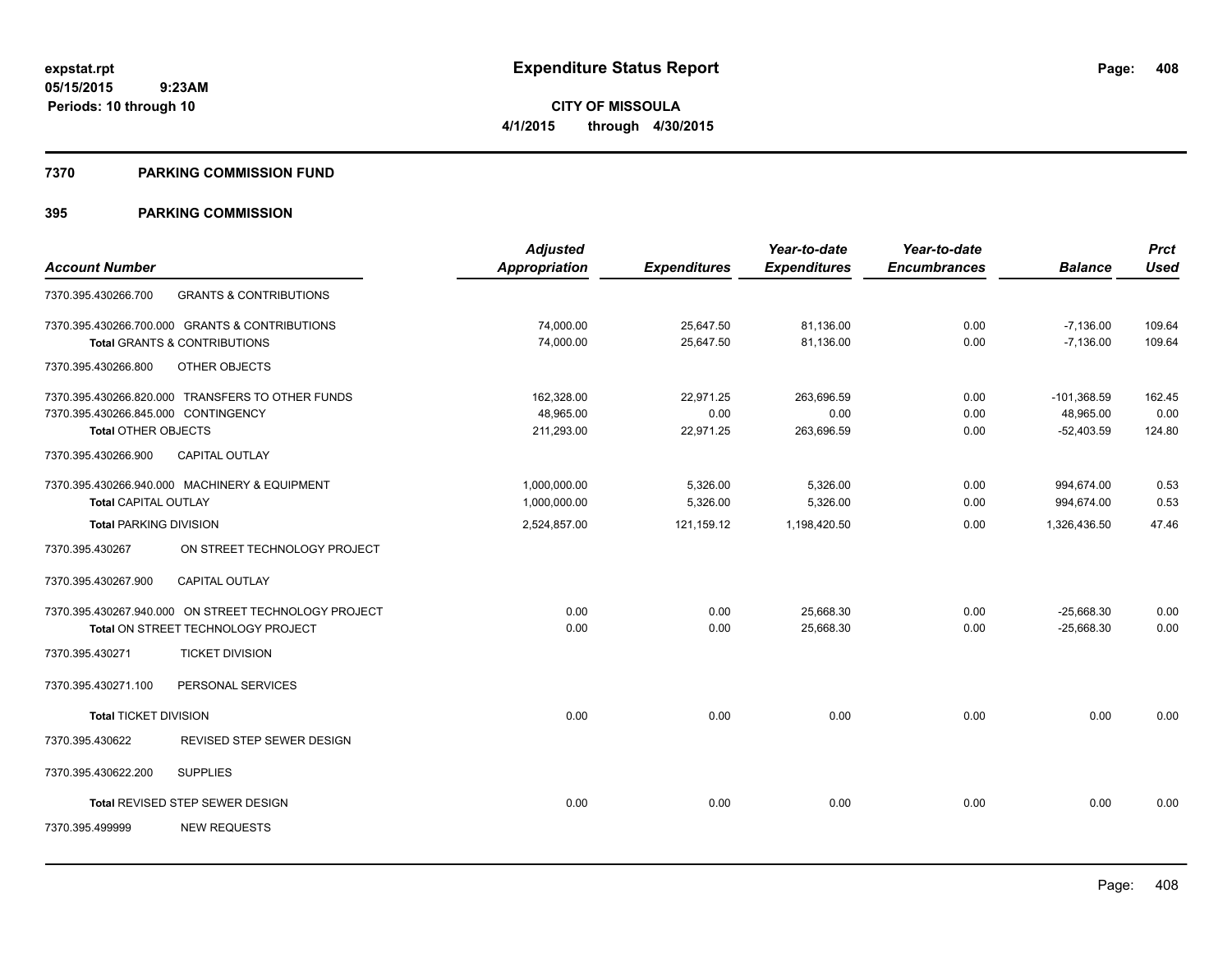**Periods: 10 through 10**

**CITY OF MISSOULA 4/1/2015 through 4/30/2015**

### **7370 PARKING COMMISSION FUND**

|                                     |                                                      | <b>Adjusted</b>      |                     | Year-to-date        | Year-to-date        |                | <b>Prct</b> |
|-------------------------------------|------------------------------------------------------|----------------------|---------------------|---------------------|---------------------|----------------|-------------|
| <b>Account Number</b>               |                                                      | <b>Appropriation</b> | <b>Expenditures</b> | <b>Expenditures</b> | <b>Encumbrances</b> | <b>Balance</b> | <b>Used</b> |
| 7370.395.430266.700                 | <b>GRANTS &amp; CONTRIBUTIONS</b>                    |                      |                     |                     |                     |                |             |
|                                     | 7370.395.430266.700.000 GRANTS & CONTRIBUTIONS       | 74,000.00            | 25,647.50           | 81,136.00           | 0.00                | $-7,136.00$    | 109.64      |
|                                     | Total GRANTS & CONTRIBUTIONS                         | 74,000.00            | 25,647.50           | 81.136.00           | 0.00                | $-7,136.00$    | 109.64      |
| 7370.395.430266.800                 | OTHER OBJECTS                                        |                      |                     |                     |                     |                |             |
|                                     | 7370.395.430266.820.000 TRANSFERS TO OTHER FUNDS     | 162,328.00           | 22,971.25           | 263.696.59          | 0.00                | $-101,368.59$  | 162.45      |
| 7370.395.430266.845.000 CONTINGENCY |                                                      | 48,965.00            | 0.00                | 0.00                | 0.00                | 48,965.00      | 0.00        |
| <b>Total OTHER OBJECTS</b>          |                                                      | 211.293.00           | 22,971.25           | 263,696.59          | 0.00                | $-52.403.59$   | 124.80      |
| 7370.395.430266.900                 | CAPITAL OUTLAY                                       |                      |                     |                     |                     |                |             |
|                                     | 7370.395.430266.940.000 MACHINERY & EQUIPMENT        | 1,000,000.00         | 5,326.00            | 5,326.00            | 0.00                | 994,674.00     | 0.53        |
| <b>Total CAPITAL OUTLAY</b>         |                                                      | 1,000,000.00         | 5,326.00            | 5,326.00            | 0.00                | 994,674.00     | 0.53        |
| <b>Total PARKING DIVISION</b>       |                                                      | 2,524,857.00         | 121,159.12          | 1,198,420.50        | 0.00                | 1,326,436.50   | 47.46       |
| 7370.395.430267                     | ON STREET TECHNOLOGY PROJECT                         |                      |                     |                     |                     |                |             |
| 7370.395.430267.900                 | <b>CAPITAL OUTLAY</b>                                |                      |                     |                     |                     |                |             |
|                                     | 7370.395.430267.940.000 ON STREET TECHNOLOGY PROJECT | 0.00                 | 0.00                | 25,668.30           | 0.00                | $-25,668.30$   | 0.00        |
|                                     | Total ON STREET TECHNOLOGY PROJECT                   | 0.00                 | 0.00                | 25,668.30           | 0.00                | $-25,668.30$   | 0.00        |
| 7370.395.430271                     | <b>TICKET DIVISION</b>                               |                      |                     |                     |                     |                |             |
| 7370.395.430271.100                 | PERSONAL SERVICES                                    |                      |                     |                     |                     |                |             |
| <b>Total TICKET DIVISION</b>        |                                                      | 0.00                 | 0.00                | 0.00                | 0.00                | 0.00           | 0.00        |
| 7370.395.430622                     | REVISED STEP SEWER DESIGN                            |                      |                     |                     |                     |                |             |
| 7370.395.430622.200                 | <b>SUPPLIES</b>                                      |                      |                     |                     |                     |                |             |
|                                     | Total REVISED STEP SEWER DESIGN                      | 0.00                 | 0.00                | 0.00                | 0.00                | 0.00           | 0.00        |
| 7370.395.499999                     | <b>NEW REQUESTS</b>                                  |                      |                     |                     |                     |                |             |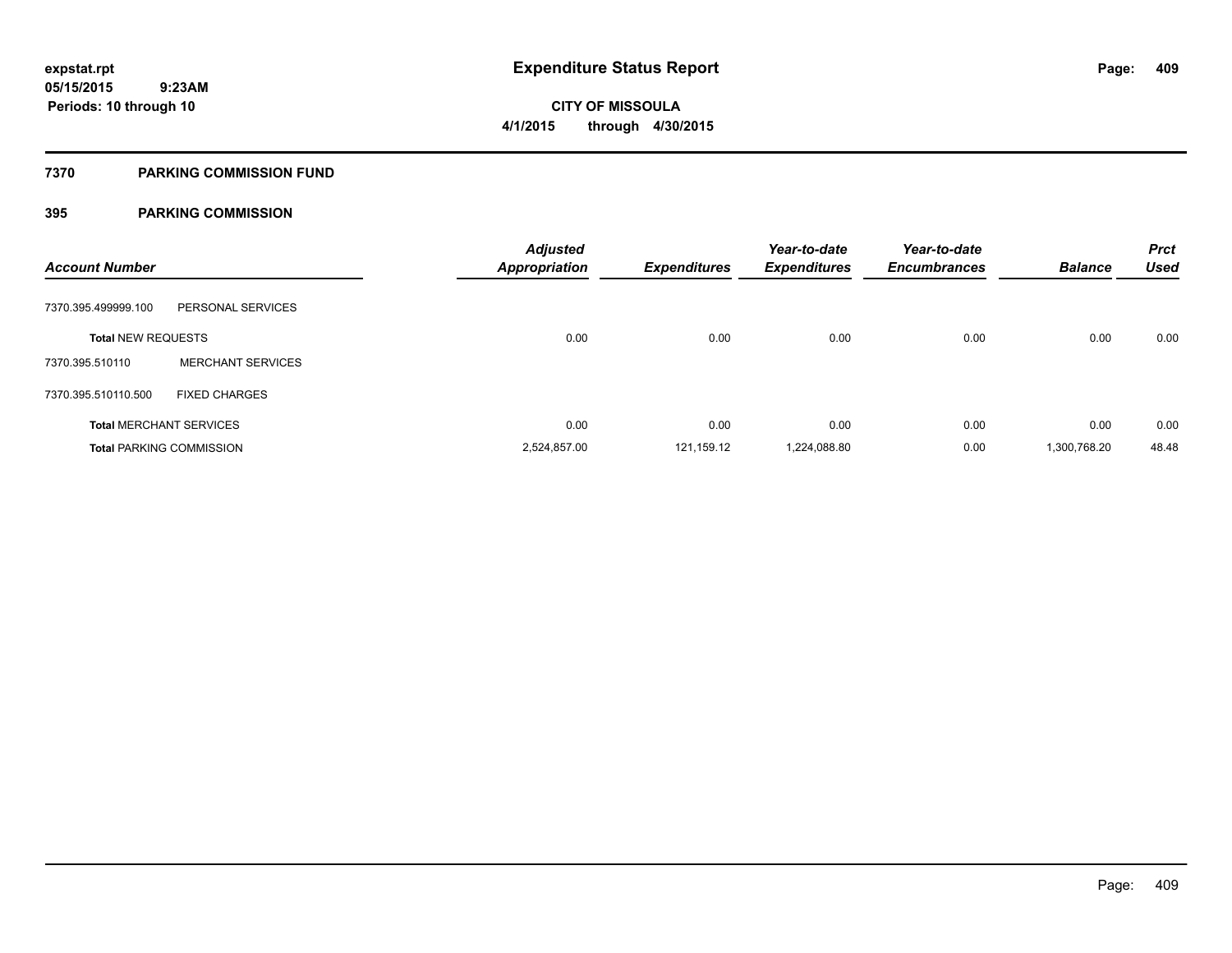## **7370 PARKING COMMISSION FUND**

| <b>Account Number</b>     |                                 | <b>Adjusted</b><br>Appropriation | <b>Expenditures</b> | Year-to-date<br><b>Expenditures</b> | Year-to-date<br><b>Encumbrances</b> | <b>Balance</b> | <b>Prct</b><br><b>Used</b> |
|---------------------------|---------------------------------|----------------------------------|---------------------|-------------------------------------|-------------------------------------|----------------|----------------------------|
| 7370.395.499999.100       | PERSONAL SERVICES               |                                  |                     |                                     |                                     |                |                            |
| <b>Total NEW REQUESTS</b> |                                 | 0.00                             | 0.00                | 0.00                                | 0.00                                | 0.00           | 0.00                       |
| 7370.395.510110           | <b>MERCHANT SERVICES</b>        |                                  |                     |                                     |                                     |                |                            |
| 7370.395.510110.500       | <b>FIXED CHARGES</b>            |                                  |                     |                                     |                                     |                |                            |
|                           | <b>Total MERCHANT SERVICES</b>  | 0.00                             | 0.00                | 0.00                                | 0.00                                | 0.00           | 0.00                       |
|                           | <b>Total PARKING COMMISSION</b> | 2,524,857.00                     | 121,159.12          | 1,224,088.80                        | 0.00                                | 1,300,768.20   | 48.48                      |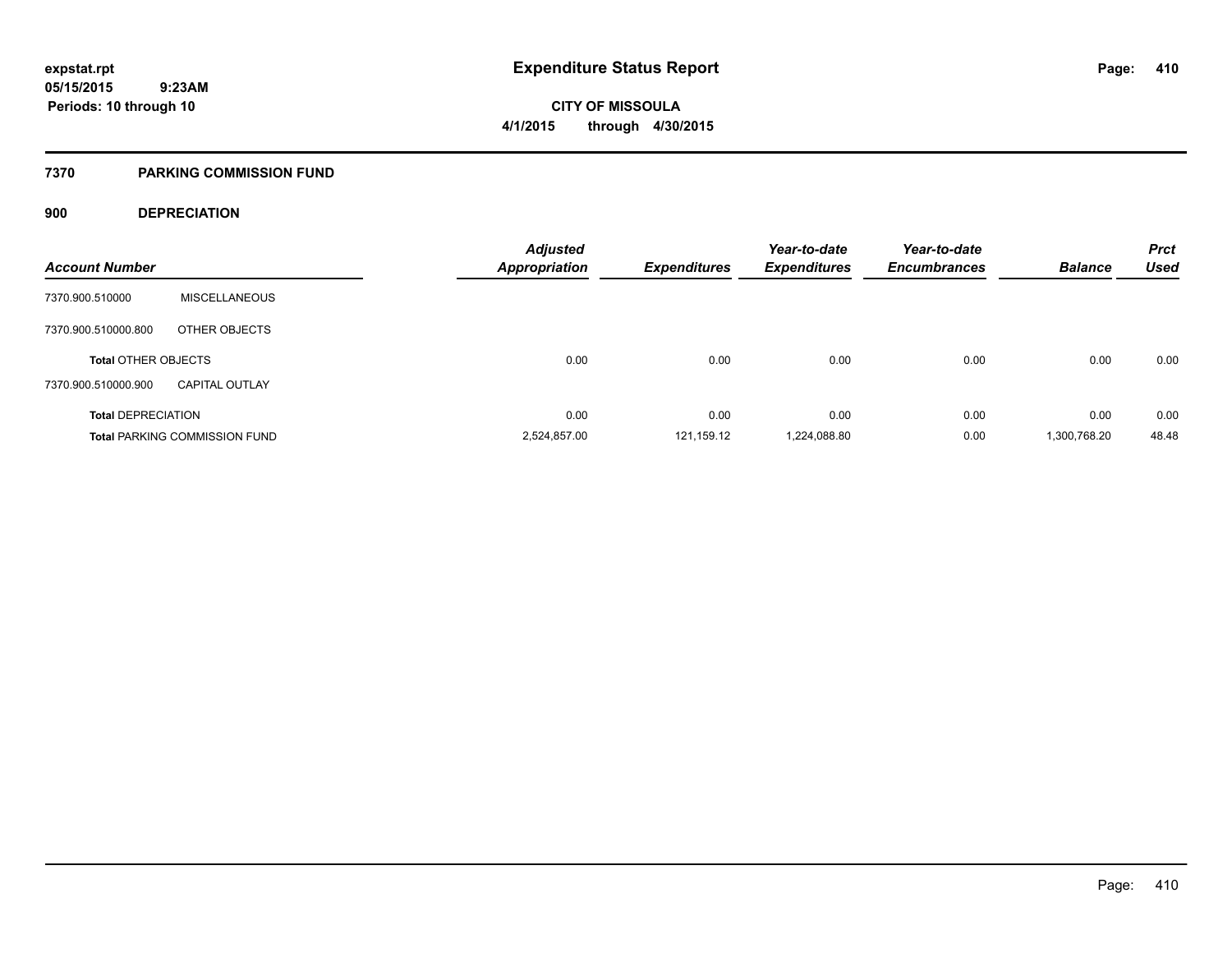**410**

**05/15/2015 9:23AM Periods: 10 through 10**

# **CITY OF MISSOULA 4/1/2015 through 4/30/2015**

## **7370 PARKING COMMISSION FUND**

## **900 DEPRECIATION**

| <b>Account Number</b>      |                                      | Adjusted<br>Appropriation | <b>Expenditures</b> | Year-to-date<br><b>Expenditures</b> | Year-to-date<br><b>Encumbrances</b> | <b>Balance</b> | <b>Prct</b><br><b>Used</b> |
|----------------------------|--------------------------------------|---------------------------|---------------------|-------------------------------------|-------------------------------------|----------------|----------------------------|
| 7370.900.510000            | <b>MISCELLANEOUS</b>                 |                           |                     |                                     |                                     |                |                            |
| 7370.900.510000.800        | OTHER OBJECTS                        |                           |                     |                                     |                                     |                |                            |
| <b>Total OTHER OBJECTS</b> |                                      | 0.00                      | 0.00                | 0.00                                | 0.00                                | 0.00           | 0.00                       |
| 7370.900.510000.900        | <b>CAPITAL OUTLAY</b>                |                           |                     |                                     |                                     |                |                            |
| <b>Total DEPRECIATION</b>  |                                      | 0.00                      | 0.00                | 0.00                                | 0.00                                | 0.00           | 0.00                       |
|                            | <b>Total PARKING COMMISSION FUND</b> | 2,524,857.00              | 121,159.12          | 1,224,088.80                        | 0.00                                | 1,300,768.20   | 48.48                      |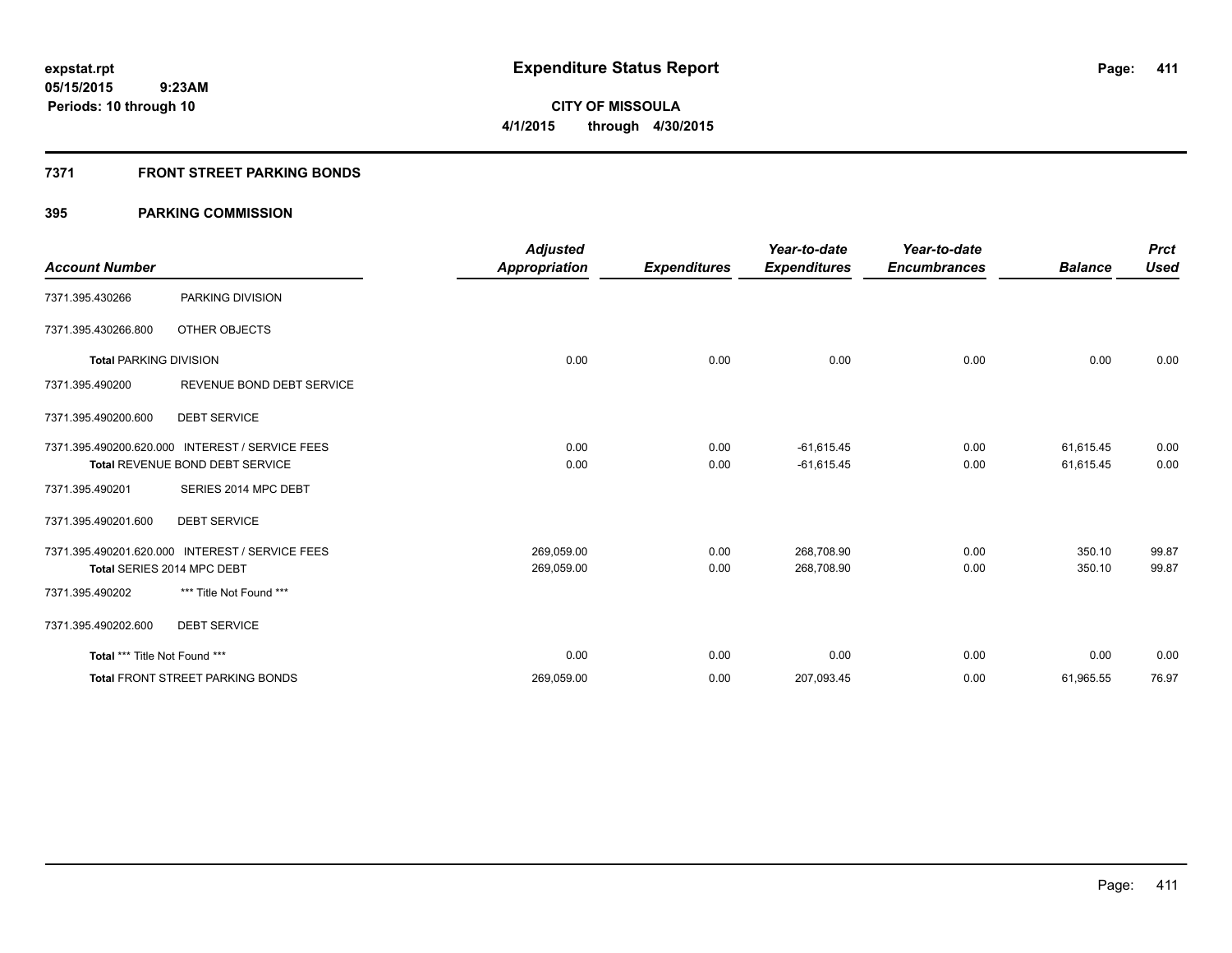## **7371 FRONT STREET PARKING BONDS**

|                               |                                                 | <b>Adjusted</b>      |                     | Year-to-date        | Year-to-date        |                | <b>Prct</b> |
|-------------------------------|-------------------------------------------------|----------------------|---------------------|---------------------|---------------------|----------------|-------------|
| <b>Account Number</b>         |                                                 | <b>Appropriation</b> | <b>Expenditures</b> | <b>Expenditures</b> | <b>Encumbrances</b> | <b>Balance</b> | <b>Used</b> |
| 7371.395.430266               | PARKING DIVISION                                |                      |                     |                     |                     |                |             |
| 7371.395.430266.800           | OTHER OBJECTS                                   |                      |                     |                     |                     |                |             |
| <b>Total PARKING DIVISION</b> |                                                 | 0.00                 | 0.00                | 0.00                | 0.00                | 0.00           | 0.00        |
| 7371.395.490200               | REVENUE BOND DEBT SERVICE                       |                      |                     |                     |                     |                |             |
| 7371.395.490200.600           | <b>DEBT SERVICE</b>                             |                      |                     |                     |                     |                |             |
|                               | 7371.395.490200.620.000 INTEREST / SERVICE FEES | 0.00                 | 0.00                | $-61,615.45$        | 0.00                | 61,615.45      | 0.00        |
|                               | <b>Total REVENUE BOND DEBT SERVICE</b>          | 0.00                 | 0.00                | $-61,615.45$        | 0.00                | 61,615.45      | 0.00        |
| 7371.395.490201               | SERIES 2014 MPC DEBT                            |                      |                     |                     |                     |                |             |
| 7371.395.490201.600           | <b>DEBT SERVICE</b>                             |                      |                     |                     |                     |                |             |
|                               | 7371.395.490201.620.000 INTEREST / SERVICE FEES | 269,059.00           | 0.00                | 268,708.90          | 0.00                | 350.10         | 99.87       |
|                               | Total SERIES 2014 MPC DEBT                      | 269,059.00           | 0.00                | 268,708.90          | 0.00                | 350.10         | 99.87       |
| 7371.395.490202               | *** Title Not Found ***                         |                      |                     |                     |                     |                |             |
| 7371.395.490202.600           | <b>DEBT SERVICE</b>                             |                      |                     |                     |                     |                |             |
| Total *** Title Not Found *** |                                                 | 0.00                 | 0.00                | 0.00                | 0.00                | 0.00           | 0.00        |
|                               | <b>Total FRONT STREET PARKING BONDS</b>         | 269,059.00           | 0.00                | 207,093.45          | 0.00                | 61,965.55      | 76.97       |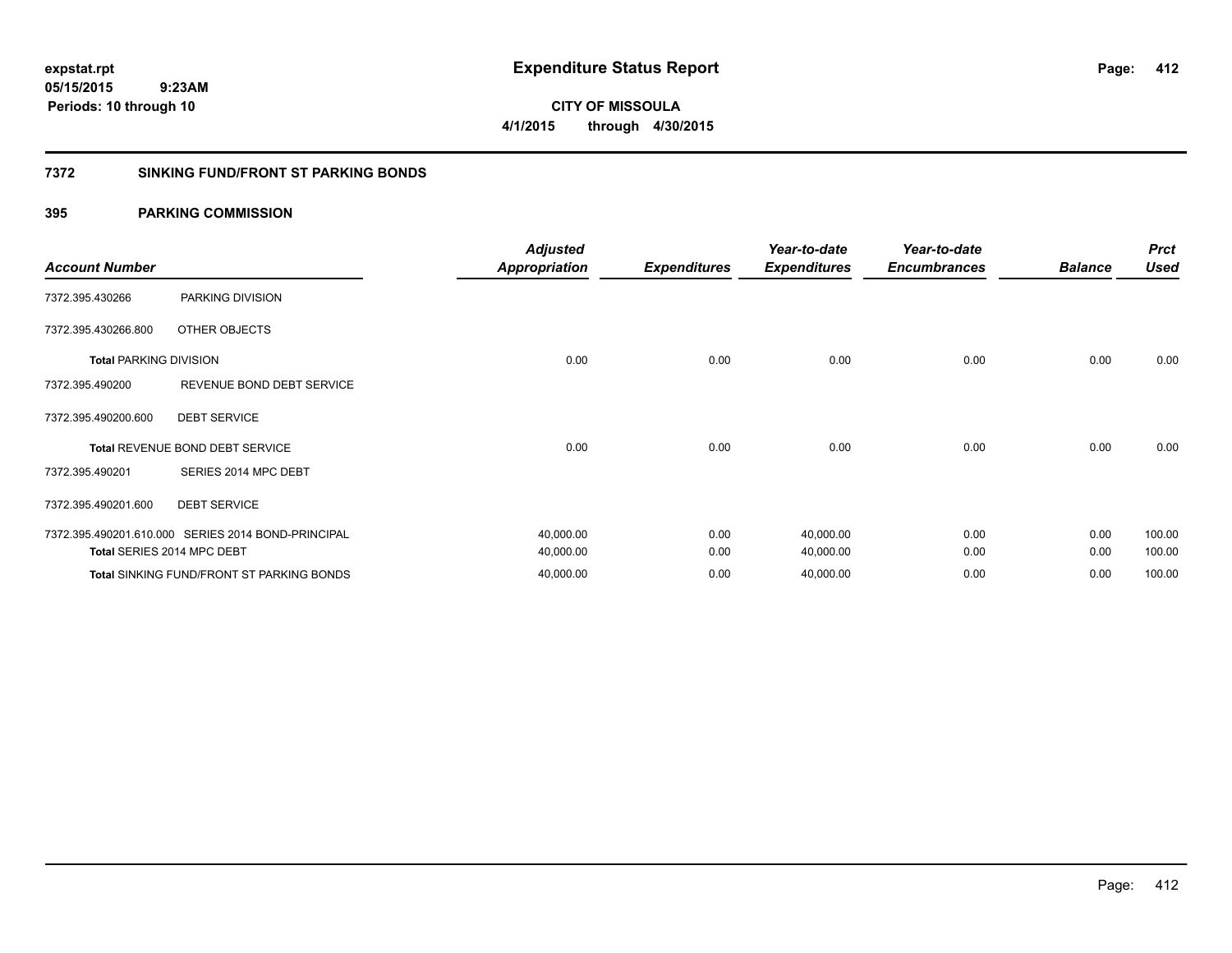**CITY OF MISSOULA 4/1/2015 through 4/30/2015**

## **7372 SINKING FUND/FRONT ST PARKING BONDS**

| <b>Account Number</b>         |                                                    | <b>Adjusted</b><br><b>Appropriation</b> | <b>Expenditures</b> | Year-to-date<br><b>Expenditures</b> | Year-to-date<br><b>Encumbrances</b> | <b>Balance</b> | <b>Prct</b><br><b>Used</b> |
|-------------------------------|----------------------------------------------------|-----------------------------------------|---------------------|-------------------------------------|-------------------------------------|----------------|----------------------------|
| 7372.395.430266               | PARKING DIVISION                                   |                                         |                     |                                     |                                     |                |                            |
| 7372.395.430266.800           | OTHER OBJECTS                                      |                                         |                     |                                     |                                     |                |                            |
| <b>Total PARKING DIVISION</b> |                                                    | 0.00                                    | 0.00                | 0.00                                | 0.00                                | 0.00           | 0.00                       |
| 7372.395.490200               | REVENUE BOND DEBT SERVICE                          |                                         |                     |                                     |                                     |                |                            |
| 7372.395.490200.600           | <b>DEBT SERVICE</b>                                |                                         |                     |                                     |                                     |                |                            |
|                               | <b>Total REVENUE BOND DEBT SERVICE</b>             | 0.00                                    | 0.00                | 0.00                                | 0.00                                | 0.00           | 0.00                       |
| 7372.395.490201               | SERIES 2014 MPC DEBT                               |                                         |                     |                                     |                                     |                |                            |
| 7372.395.490201.600           | <b>DEBT SERVICE</b>                                |                                         |                     |                                     |                                     |                |                            |
|                               | 7372.395.490201.610.000 SERIES 2014 BOND-PRINCIPAL | 40,000.00                               | 0.00                | 40,000.00                           | 0.00                                | 0.00           | 100.00                     |
|                               | Total SERIES 2014 MPC DEBT                         | 40,000.00                               | 0.00                | 40,000.00                           | 0.00                                | 0.00           | 100.00                     |
|                               | <b>Total SINKING FUND/FRONT ST PARKING BONDS</b>   | 40,000.00                               | 0.00                | 40,000.00                           | 0.00                                | 0.00           | 100.00                     |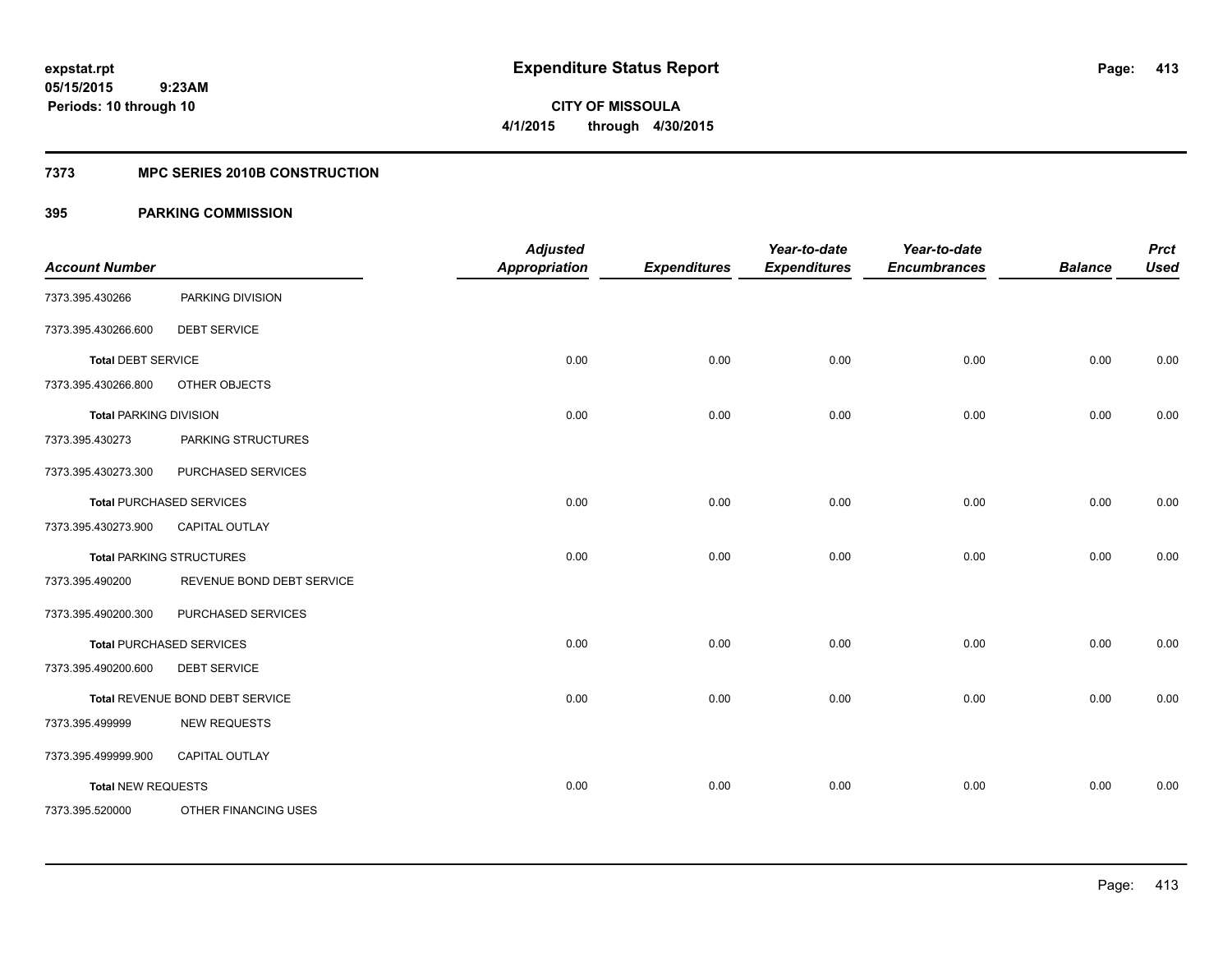**Periods: 10 through 10**

**413**

**CITY OF MISSOULA 4/1/2015 through 4/30/2015**

## **7373 MPC SERIES 2010B CONSTRUCTION**

## **395 PARKING COMMISSION**

 **9:23AM**

| <b>Account Number</b>         |                                 | <b>Adjusted</b><br><b>Appropriation</b> | <b>Expenditures</b> | Year-to-date<br><b>Expenditures</b> | Year-to-date<br><b>Encumbrances</b> | <b>Balance</b> | <b>Prct</b><br><b>Used</b> |
|-------------------------------|---------------------------------|-----------------------------------------|---------------------|-------------------------------------|-------------------------------------|----------------|----------------------------|
| 7373.395.430266               | PARKING DIVISION                |                                         |                     |                                     |                                     |                |                            |
| 7373.395.430266.600           | <b>DEBT SERVICE</b>             |                                         |                     |                                     |                                     |                |                            |
| <b>Total DEBT SERVICE</b>     |                                 | 0.00                                    | 0.00                | 0.00                                | 0.00                                | 0.00           | 0.00                       |
| 7373.395.430266.800           | OTHER OBJECTS                   |                                         |                     |                                     |                                     |                |                            |
| <b>Total PARKING DIVISION</b> |                                 | 0.00                                    | 0.00                | 0.00                                | 0.00                                | 0.00           | 0.00                       |
| 7373.395.430273               | PARKING STRUCTURES              |                                         |                     |                                     |                                     |                |                            |
| 7373.395.430273.300           | PURCHASED SERVICES              |                                         |                     |                                     |                                     |                |                            |
|                               | <b>Total PURCHASED SERVICES</b> | 0.00                                    | 0.00                | 0.00                                | 0.00                                | 0.00           | 0.00                       |
| 7373.395.430273.900           | <b>CAPITAL OUTLAY</b>           |                                         |                     |                                     |                                     |                |                            |
|                               | <b>Total PARKING STRUCTURES</b> | 0.00                                    | 0.00                | 0.00                                | 0.00                                | 0.00           | 0.00                       |
| 7373.395.490200               | REVENUE BOND DEBT SERVICE       |                                         |                     |                                     |                                     |                |                            |
| 7373.395.490200.300           | PURCHASED SERVICES              |                                         |                     |                                     |                                     |                |                            |
|                               | <b>Total PURCHASED SERVICES</b> | 0.00                                    | 0.00                | 0.00                                | 0.00                                | 0.00           | 0.00                       |
| 7373.395.490200.600           | <b>DEBT SERVICE</b>             |                                         |                     |                                     |                                     |                |                            |
|                               | Total REVENUE BOND DEBT SERVICE | 0.00                                    | 0.00                | 0.00                                | 0.00                                | 0.00           | 0.00                       |
| 7373.395.499999               | <b>NEW REQUESTS</b>             |                                         |                     |                                     |                                     |                |                            |
| 7373.395.499999.900           | CAPITAL OUTLAY                  |                                         |                     |                                     |                                     |                |                            |
| <b>Total NEW REQUESTS</b>     |                                 | 0.00                                    | 0.00                | 0.00                                | 0.00                                | 0.00           | 0.00                       |
| 7373.395.520000               | OTHER FINANCING USES            |                                         |                     |                                     |                                     |                |                            |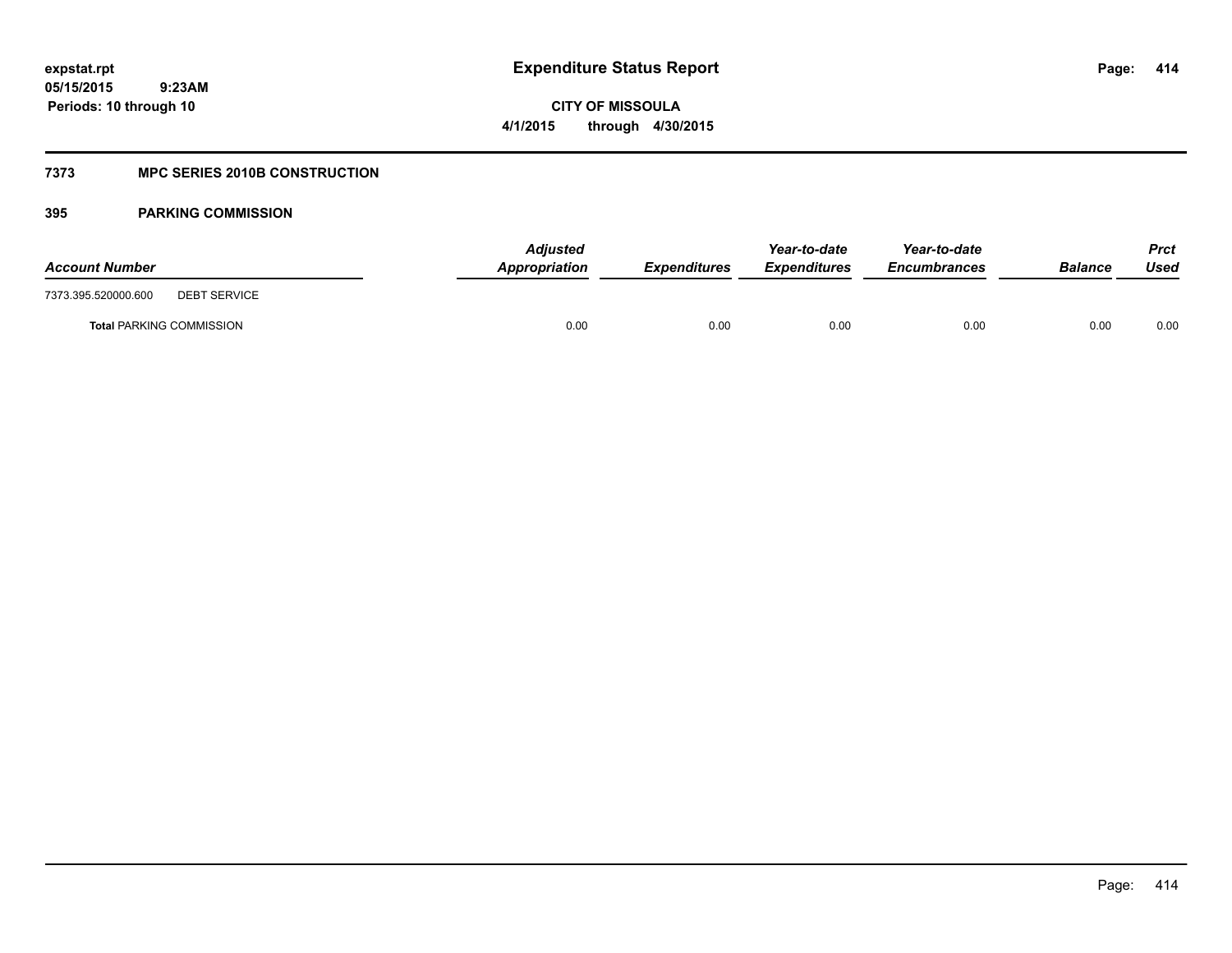**414**

**05/15/2015 9:23AM Periods: 10 through 10**

**CITY OF MISSOULA 4/1/2015 through 4/30/2015**

## **7373 MPC SERIES 2010B CONSTRUCTION**

| <b>Account Number</b>                      | <b>Adjusted</b><br>Appropriation | <b>Expenditures</b> | Year-to-date<br><b>Expenditures</b> | Year-to-date<br><i><b>Encumbrances</b></i> | <b>Balance</b> | <b>Prct</b><br>Used |
|--------------------------------------------|----------------------------------|---------------------|-------------------------------------|--------------------------------------------|----------------|---------------------|
| 7373.395.520000.600<br><b>DEBT SERVICE</b> |                                  |                     |                                     |                                            |                |                     |
| <b>Total PARKING COMMISSION</b>            | 0.00                             | 0.00                | 0.00                                | 0.00                                       | 0.00           | 0.00                |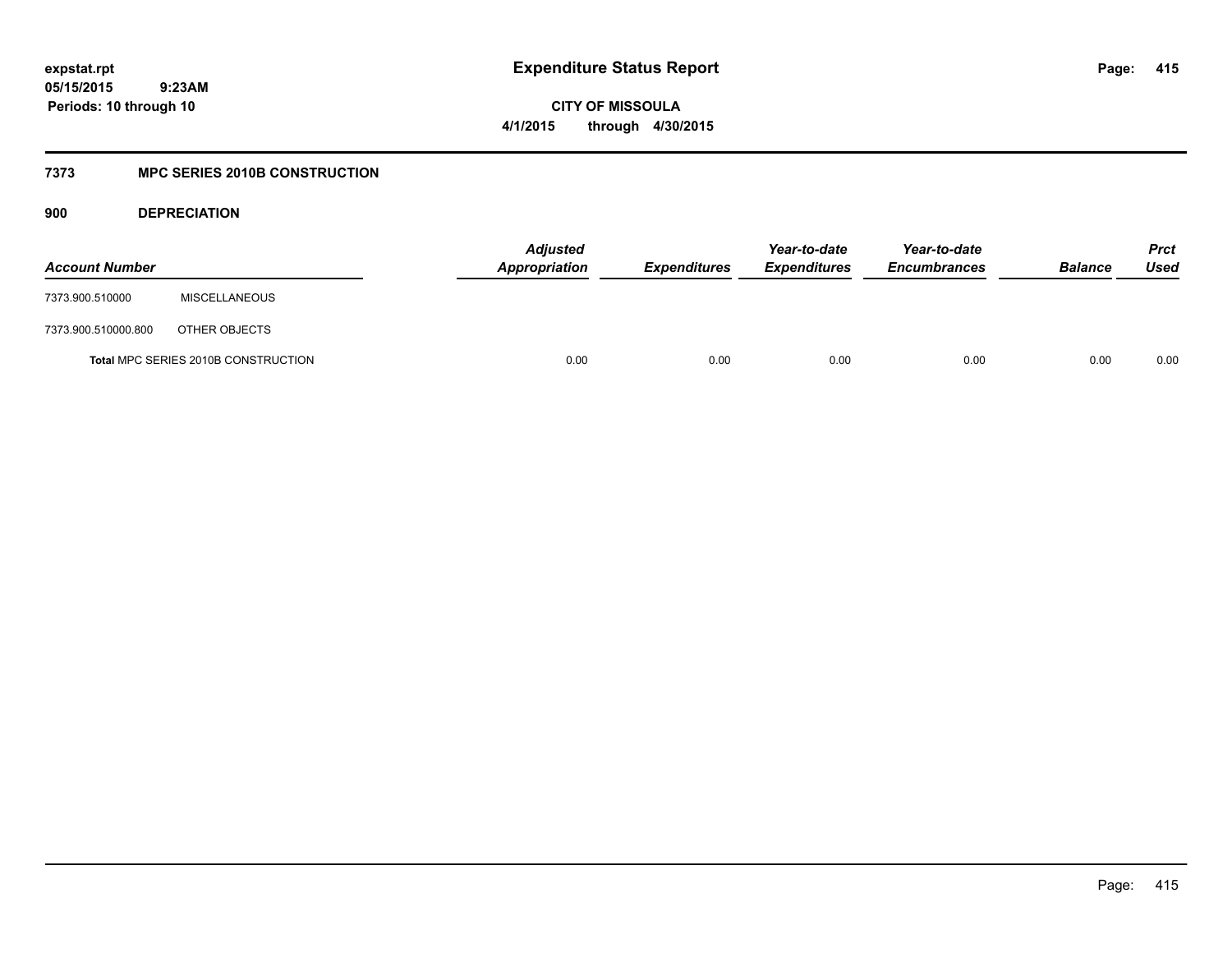**CITY OF MISSOULA 4/1/2015 through 4/30/2015**

## **7373 MPC SERIES 2010B CONSTRUCTION**

**900 DEPRECIATION**

| <b>Account Number</b> |                                     | Adjusted<br>Appropriation | <b>Expenditures</b> | Year-to-date<br><b>Expenditures</b> | Year-to-date<br><b>Encumbrances</b> | <b>Balance</b> | <b>Prct</b><br>Used |
|-----------------------|-------------------------------------|---------------------------|---------------------|-------------------------------------|-------------------------------------|----------------|---------------------|
| 7373.900.510000       | <b>MISCELLANEOUS</b>                |                           |                     |                                     |                                     |                |                     |
| 7373.900.510000.800   | OTHER OBJECTS                       |                           |                     |                                     |                                     |                |                     |
|                       | Total MPC SERIES 2010B CONSTRUCTION | 0.00                      | 0.00                | 0.00                                | 0.00                                | 0.00           | 0.00                |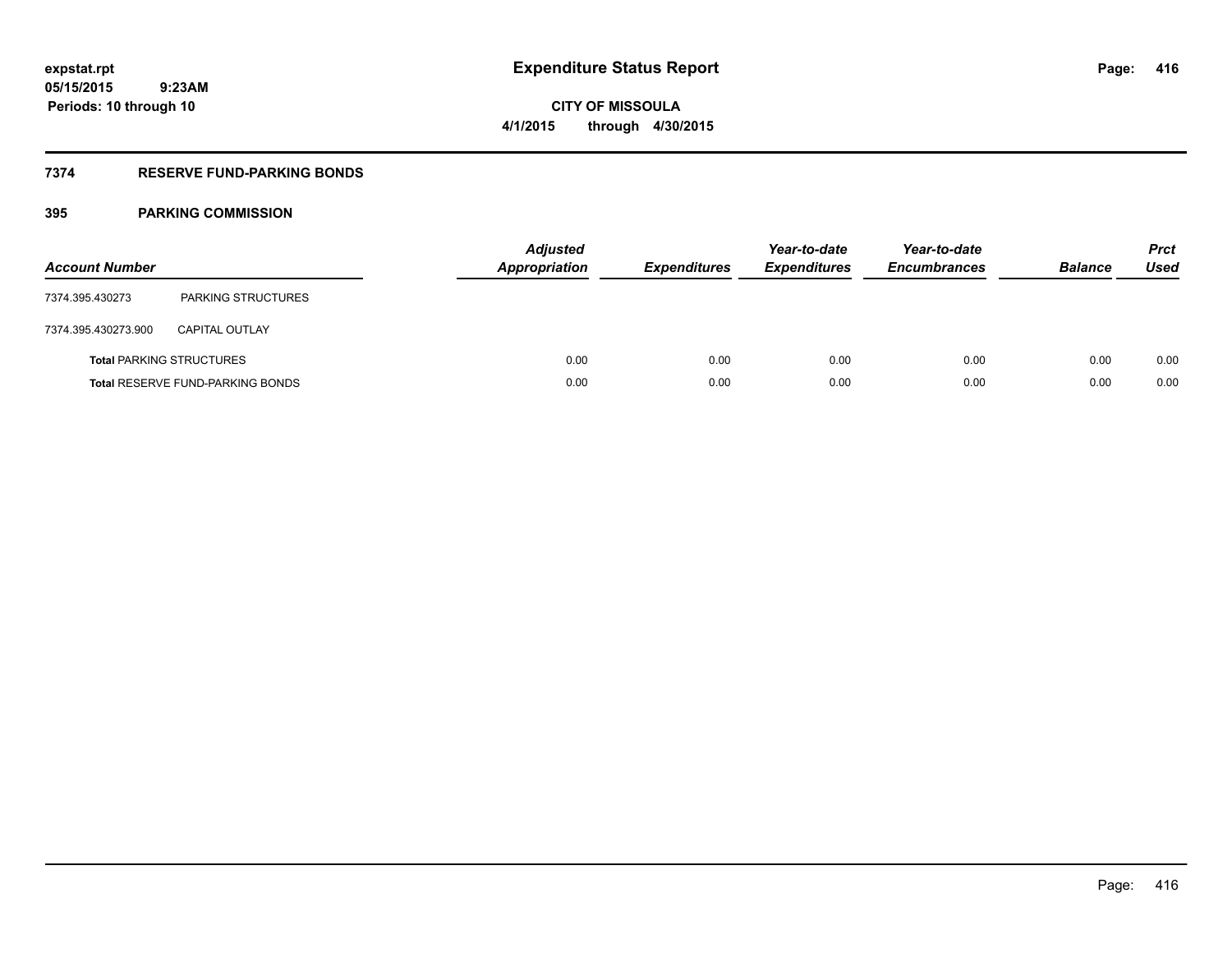## **7374 RESERVE FUND-PARKING BONDS**

| <b>Account Number</b> |                                         | <b>Adjusted</b><br><b>Appropriation</b> | <b>Expenditures</b> | Year-to-date<br><b>Expenditures</b> | Year-to-date<br><b>Encumbrances</b> | <b>Balance</b> | <b>Prct</b><br>Used |
|-----------------------|-----------------------------------------|-----------------------------------------|---------------------|-------------------------------------|-------------------------------------|----------------|---------------------|
| 7374.395.430273       | <b>PARKING STRUCTURES</b>               |                                         |                     |                                     |                                     |                |                     |
| 7374.395.430273.900   | <b>CAPITAL OUTLAY</b>                   |                                         |                     |                                     |                                     |                |                     |
|                       | <b>Total PARKING STRUCTURES</b>         | 0.00                                    | 0.00                | 0.00                                | 0.00                                | 0.00           | 0.00                |
|                       | <b>Total RESERVE FUND-PARKING BONDS</b> | 0.00                                    | 0.00                | 0.00                                | 0.00                                | 0.00           | 0.00                |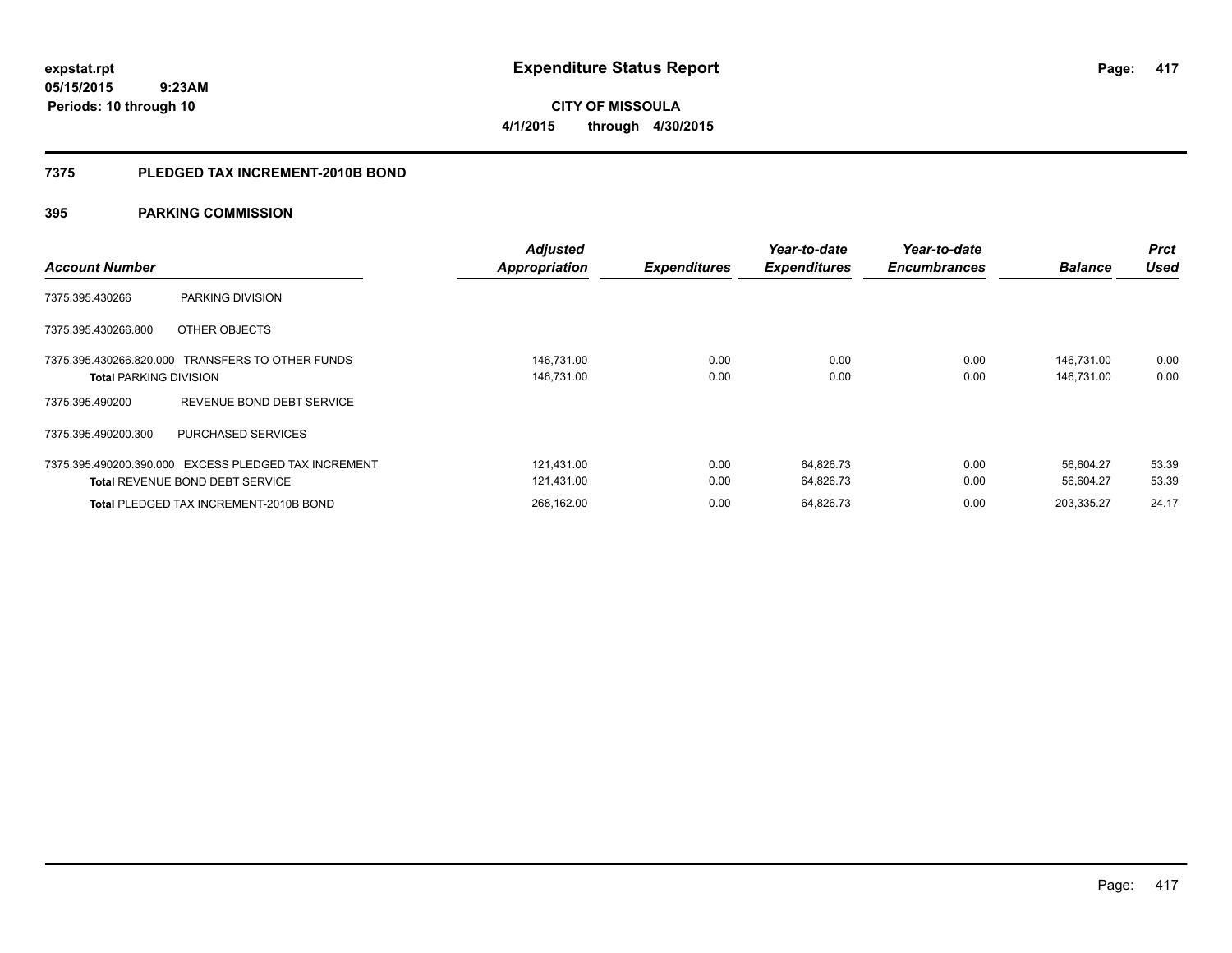**417**

**05/15/2015 9:23AM Periods: 10 through 10**

**CITY OF MISSOULA 4/1/2015 through 4/30/2015**

### **7375 PLEDGED TAX INCREMENT-2010B BOND**

| <b>Account Number</b>                                                                          | <b>Adjusted</b><br><b>Appropriation</b> | <b>Expenditures</b> | Year-to-date<br><b>Expenditures</b> | Year-to-date<br><b>Encumbrances</b> | <b>Balance</b>           | <b>Prct</b><br><b>Used</b> |
|------------------------------------------------------------------------------------------------|-----------------------------------------|---------------------|-------------------------------------|-------------------------------------|--------------------------|----------------------------|
| PARKING DIVISION<br>7375.395.430266                                                            |                                         |                     |                                     |                                     |                          |                            |
| 7375.395.430266.800<br>OTHER OBJECTS                                                           |                                         |                     |                                     |                                     |                          |                            |
| 7375.395.430266.820.000 TRANSFERS TO OTHER FUNDS<br><b>Total PARKING DIVISION</b>              | 146,731.00<br>146,731.00                | 0.00<br>0.00        | 0.00<br>0.00                        | 0.00<br>0.00                        | 146.731.00<br>146,731.00 | 0.00<br>0.00               |
| REVENUE BOND DEBT SERVICE<br>7375.395.490200                                                   |                                         |                     |                                     |                                     |                          |                            |
| 7375.395.490200.300<br>PURCHASED SERVICES                                                      |                                         |                     |                                     |                                     |                          |                            |
| 7375.395.490200.390.000 EXCESS PLEDGED TAX INCREMENT<br><b>Total REVENUE BOND DEBT SERVICE</b> | 121.431.00<br>121,431.00                | 0.00<br>0.00        | 64.826.73<br>64.826.73              | 0.00<br>0.00                        | 56.604.27<br>56.604.27   | 53.39<br>53.39             |
| Total PLEDGED TAX INCREMENT-2010B BOND                                                         | 268.162.00                              | 0.00                | 64.826.73                           | 0.00                                | 203.335.27               | 24.17                      |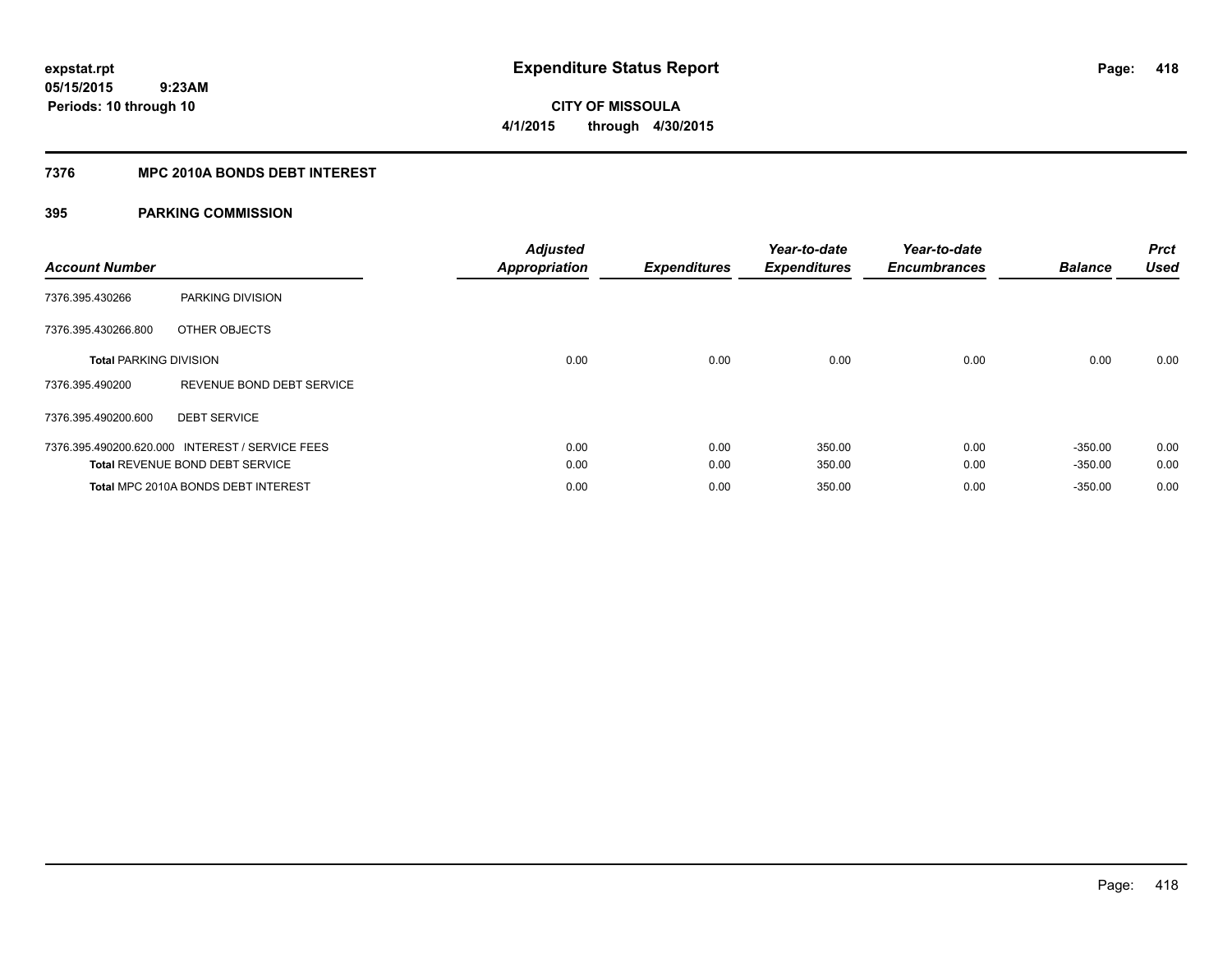# **CITY OF MISSOULA 4/1/2015 through 4/30/2015**

## **7376 MPC 2010A BONDS DEBT INTEREST**

| <b>Account Number</b>         |                                                 | <b>Adjusted</b><br><b>Appropriation</b> | <b>Expenditures</b> | Year-to-date<br><b>Expenditures</b> | Year-to-date<br><b>Encumbrances</b> | <b>Balance</b> | <b>Prct</b><br><b>Used</b> |
|-------------------------------|-------------------------------------------------|-----------------------------------------|---------------------|-------------------------------------|-------------------------------------|----------------|----------------------------|
| 7376.395.430266               | PARKING DIVISION                                |                                         |                     |                                     |                                     |                |                            |
| 7376.395.430266.800           | OTHER OBJECTS                                   |                                         |                     |                                     |                                     |                |                            |
| <b>Total PARKING DIVISION</b> |                                                 | 0.00                                    | 0.00                | 0.00                                | 0.00                                | 0.00           | 0.00                       |
| 7376.395.490200               | REVENUE BOND DEBT SERVICE                       |                                         |                     |                                     |                                     |                |                            |
| 7376.395.490200.600           | <b>DEBT SERVICE</b>                             |                                         |                     |                                     |                                     |                |                            |
|                               | 7376.395.490200.620.000 INTEREST / SERVICE FEES | 0.00                                    | 0.00                | 350.00                              | 0.00                                | $-350.00$      | 0.00                       |
|                               | <b>Total REVENUE BOND DEBT SERVICE</b>          | 0.00                                    | 0.00                | 350.00                              | 0.00                                | $-350.00$      | 0.00                       |
|                               | Total MPC 2010A BONDS DEBT INTEREST             | 0.00                                    | 0.00                | 350.00                              | 0.00                                | $-350.00$      | 0.00                       |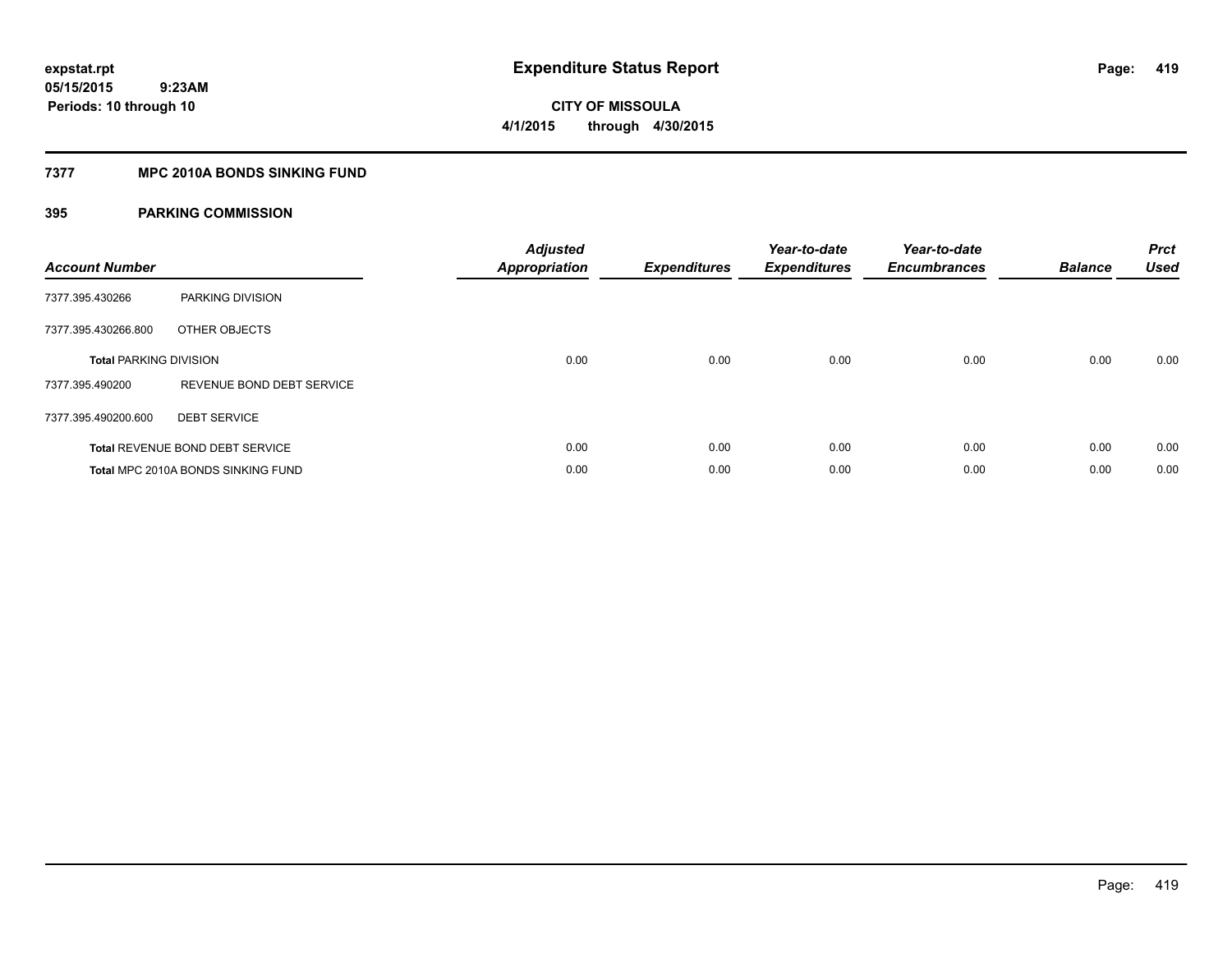**Periods: 10 through 10**

**CITY OF MISSOULA 4/1/2015 through 4/30/2015**

## **7377 MPC 2010A BONDS SINKING FUND**

 **9:23AM**

| <b>Account Number</b>         |                                    | <b>Adjusted</b><br><b>Appropriation</b> | <b>Expenditures</b> | Year-to-date<br><b>Expenditures</b> | Year-to-date<br><b>Encumbrances</b> | <b>Balance</b> | <b>Prct</b><br><b>Used</b> |
|-------------------------------|------------------------------------|-----------------------------------------|---------------------|-------------------------------------|-------------------------------------|----------------|----------------------------|
| 7377.395.430266               | PARKING DIVISION                   |                                         |                     |                                     |                                     |                |                            |
| 7377.395.430266.800           | OTHER OBJECTS                      |                                         |                     |                                     |                                     |                |                            |
| <b>Total PARKING DIVISION</b> |                                    | 0.00                                    | 0.00                | 0.00                                | 0.00                                | 0.00           | 0.00                       |
| 7377.395.490200               | REVENUE BOND DEBT SERVICE          |                                         |                     |                                     |                                     |                |                            |
| 7377.395.490200.600           | <b>DEBT SERVICE</b>                |                                         |                     |                                     |                                     |                |                            |
|                               | Total REVENUE BOND DEBT SERVICE    | 0.00                                    | 0.00                | 0.00                                | 0.00                                | 0.00           | 0.00                       |
|                               | Total MPC 2010A BONDS SINKING FUND | 0.00                                    | 0.00                | 0.00                                | 0.00                                | 0.00           | 0.00                       |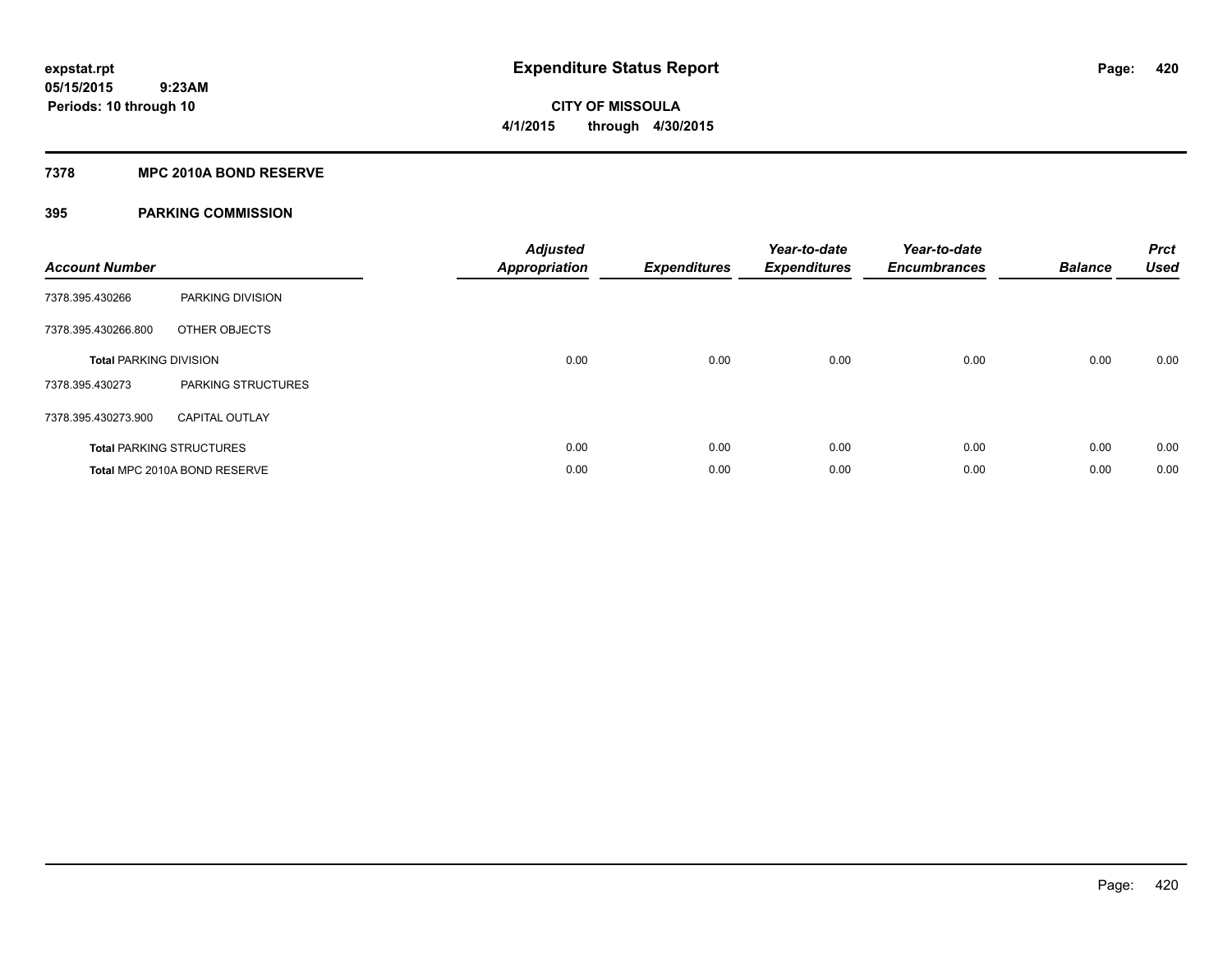## **7378 MPC 2010A BOND RESERVE**

| <b>Account Number</b>         |                                 | <b>Adjusted</b><br><b>Appropriation</b> | <b>Expenditures</b> | Year-to-date<br><b>Expenditures</b> | Year-to-date<br><b>Encumbrances</b> | <b>Balance</b> | <b>Prct</b><br><b>Used</b> |
|-------------------------------|---------------------------------|-----------------------------------------|---------------------|-------------------------------------|-------------------------------------|----------------|----------------------------|
| 7378.395.430266               | PARKING DIVISION                |                                         |                     |                                     |                                     |                |                            |
| 7378.395.430266.800           | OTHER OBJECTS                   |                                         |                     |                                     |                                     |                |                            |
| <b>Total PARKING DIVISION</b> |                                 | 0.00                                    | 0.00                | 0.00                                | 0.00                                | 0.00           | 0.00                       |
| 7378.395.430273               | PARKING STRUCTURES              |                                         |                     |                                     |                                     |                |                            |
| 7378.395.430273.900           | <b>CAPITAL OUTLAY</b>           |                                         |                     |                                     |                                     |                |                            |
|                               | <b>Total PARKING STRUCTURES</b> | 0.00                                    | 0.00                | 0.00                                | 0.00                                | 0.00           | 0.00                       |
|                               | Total MPC 2010A BOND RESERVE    | 0.00                                    | 0.00                | 0.00                                | 0.00                                | 0.00           | 0.00                       |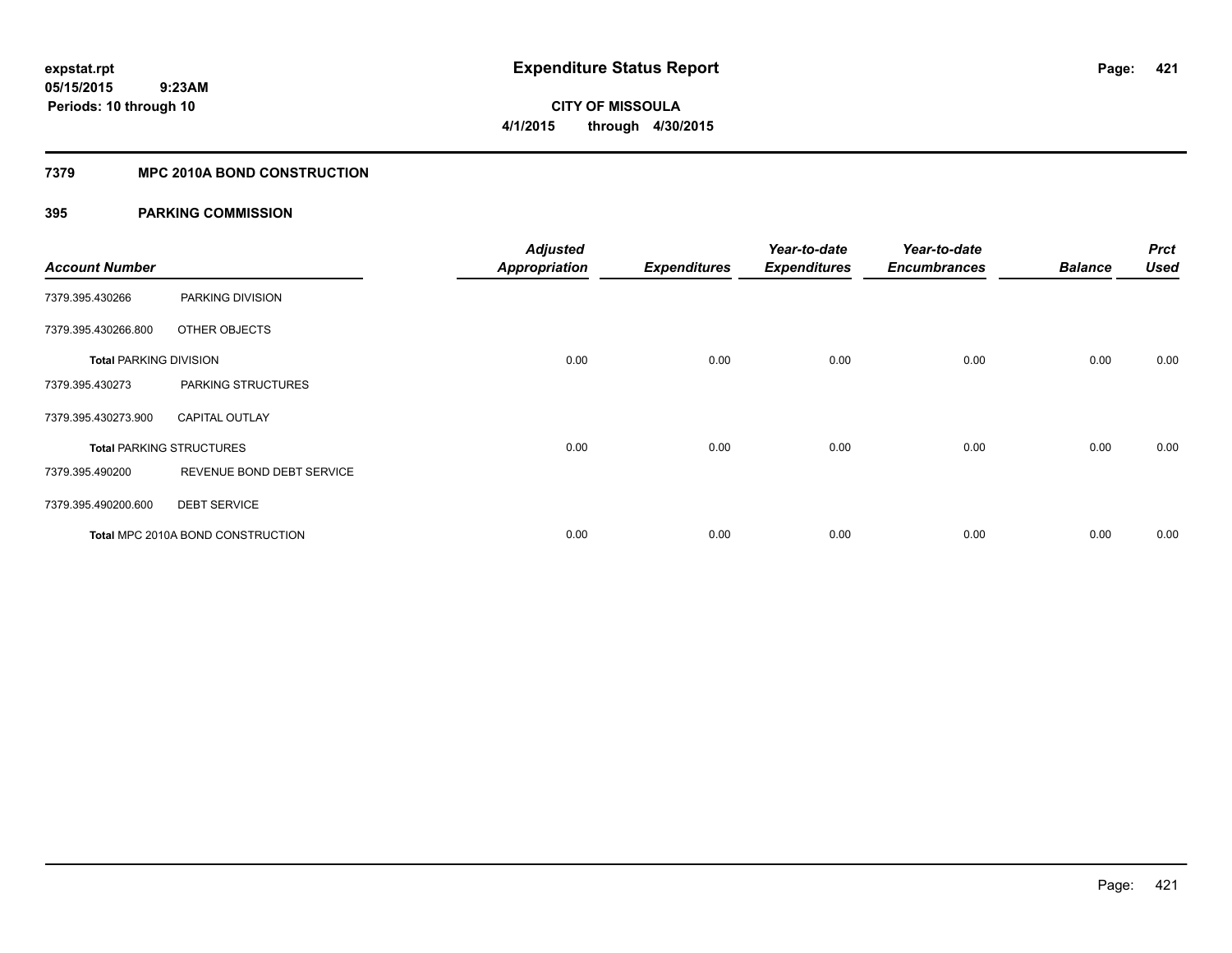## **7379 MPC 2010A BOND CONSTRUCTION**

| <b>Account Number</b>         |                                          | <b>Adjusted</b><br><b>Appropriation</b> | <b>Expenditures</b> | Year-to-date<br><b>Expenditures</b> | Year-to-date<br><b>Encumbrances</b> | <b>Balance</b> | <b>Prct</b><br><b>Used</b> |
|-------------------------------|------------------------------------------|-----------------------------------------|---------------------|-------------------------------------|-------------------------------------|----------------|----------------------------|
| 7379.395.430266               | PARKING DIVISION                         |                                         |                     |                                     |                                     |                |                            |
| 7379.395.430266.800           | OTHER OBJECTS                            |                                         |                     |                                     |                                     |                |                            |
| <b>Total PARKING DIVISION</b> |                                          | 0.00                                    | 0.00                | 0.00                                | 0.00                                | 0.00           | 0.00                       |
| 7379.395.430273               | PARKING STRUCTURES                       |                                         |                     |                                     |                                     |                |                            |
| 7379.395.430273.900           | <b>CAPITAL OUTLAY</b>                    |                                         |                     |                                     |                                     |                |                            |
|                               | <b>Total PARKING STRUCTURES</b>          | 0.00                                    | 0.00                | 0.00                                | 0.00                                | 0.00           | 0.00                       |
| 7379.395.490200               | REVENUE BOND DEBT SERVICE                |                                         |                     |                                     |                                     |                |                            |
| 7379.395.490200.600           | <b>DEBT SERVICE</b>                      |                                         |                     |                                     |                                     |                |                            |
|                               | <b>Total MPC 2010A BOND CONSTRUCTION</b> | 0.00                                    | 0.00                | 0.00                                | 0.00                                | 0.00           | 0.00                       |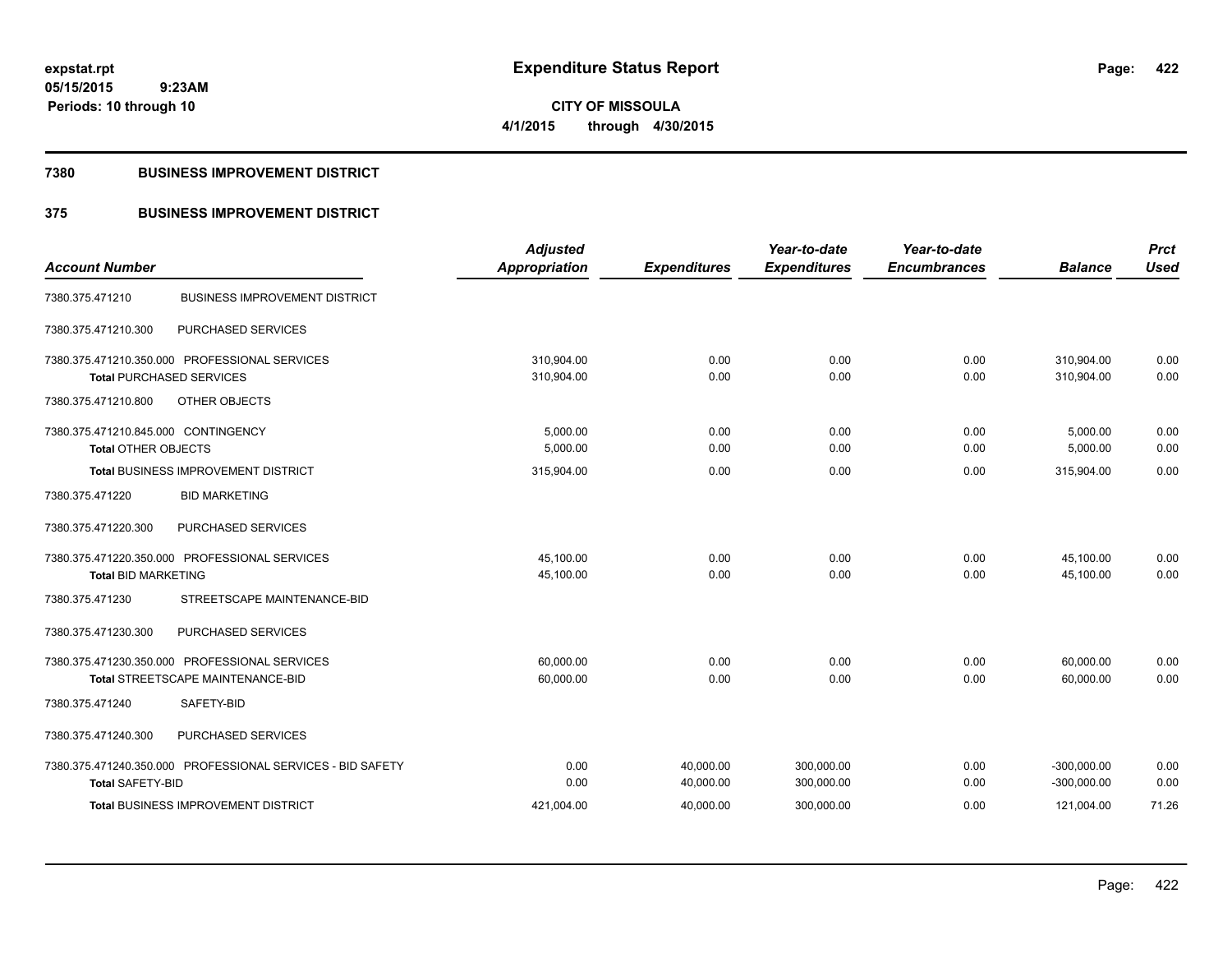## **7380 BUSINESS IMPROVEMENT DISTRICT**

## **375 BUSINESS IMPROVEMENT DISTRICT**

|                                                            | <b>Adjusted</b>      |                     | Year-to-date        | Year-to-date        |                | <b>Prct</b> |
|------------------------------------------------------------|----------------------|---------------------|---------------------|---------------------|----------------|-------------|
| <b>Account Number</b>                                      | <b>Appropriation</b> | <b>Expenditures</b> | <b>Expenditures</b> | <b>Encumbrances</b> | <b>Balance</b> | <b>Used</b> |
| <b>BUSINESS IMPROVEMENT DISTRICT</b><br>7380.375.471210    |                      |                     |                     |                     |                |             |
| 7380.375.471210.300<br>PURCHASED SERVICES                  |                      |                     |                     |                     |                |             |
| 7380.375.471210.350.000 PROFESSIONAL SERVICES              | 310.904.00           | 0.00                | 0.00                | 0.00                | 310,904.00     | 0.00        |
| <b>Total PURCHASED SERVICES</b>                            | 310,904.00           | 0.00                | 0.00                | 0.00                | 310.904.00     | 0.00        |
| OTHER OBJECTS<br>7380.375.471210.800                       |                      |                     |                     |                     |                |             |
| 7380.375.471210.845.000 CONTINGENCY                        | 5,000.00             | 0.00                | 0.00                | 0.00                | 5,000.00       | 0.00        |
| <b>Total OTHER OBJECTS</b>                                 | 5,000.00             | 0.00                | 0.00                | 0.00                | 5,000.00       | 0.00        |
| <b>Total BUSINESS IMPROVEMENT DISTRICT</b>                 | 315,904.00           | 0.00                | 0.00                | 0.00                | 315,904.00     | 0.00        |
| <b>BID MARKETING</b><br>7380.375.471220                    |                      |                     |                     |                     |                |             |
| 7380.375.471220.300<br>PURCHASED SERVICES                  |                      |                     |                     |                     |                |             |
| 7380.375.471220.350.000 PROFESSIONAL SERVICES              | 45,100.00            | 0.00                | 0.00                | 0.00                | 45,100.00      | 0.00        |
| <b>Total BID MARKETING</b>                                 | 45,100.00            | 0.00                | 0.00                | 0.00                | 45,100.00      | 0.00        |
| 7380.375.471230<br>STREETSCAPE MAINTENANCE-BID             |                      |                     |                     |                     |                |             |
| PURCHASED SERVICES<br>7380.375.471230.300                  |                      |                     |                     |                     |                |             |
| 7380.375.471230.350.000 PROFESSIONAL SERVICES              | 60.000.00            | 0.00                | 0.00                | 0.00                | 60,000.00      | 0.00        |
| Total STREETSCAPE MAINTENANCE-BID                          | 60,000.00            | 0.00                | 0.00                | 0.00                | 60,000.00      | 0.00        |
| 7380.375.471240<br>SAFETY-BID                              |                      |                     |                     |                     |                |             |
| 7380.375.471240.300<br>PURCHASED SERVICES                  |                      |                     |                     |                     |                |             |
| 7380.375.471240.350.000 PROFESSIONAL SERVICES - BID SAFETY | 0.00                 | 40,000.00           | 300,000.00          | 0.00                | $-300,000.00$  | 0.00        |
| <b>Total SAFETY-BID</b>                                    | 0.00                 | 40,000.00           | 300,000.00          | 0.00                | $-300,000.00$  | 0.00        |
| <b>Total BUSINESS IMPROVEMENT DISTRICT</b>                 | 421,004.00           | 40,000.00           | 300,000.00          | 0.00                | 121,004.00     | 71.26       |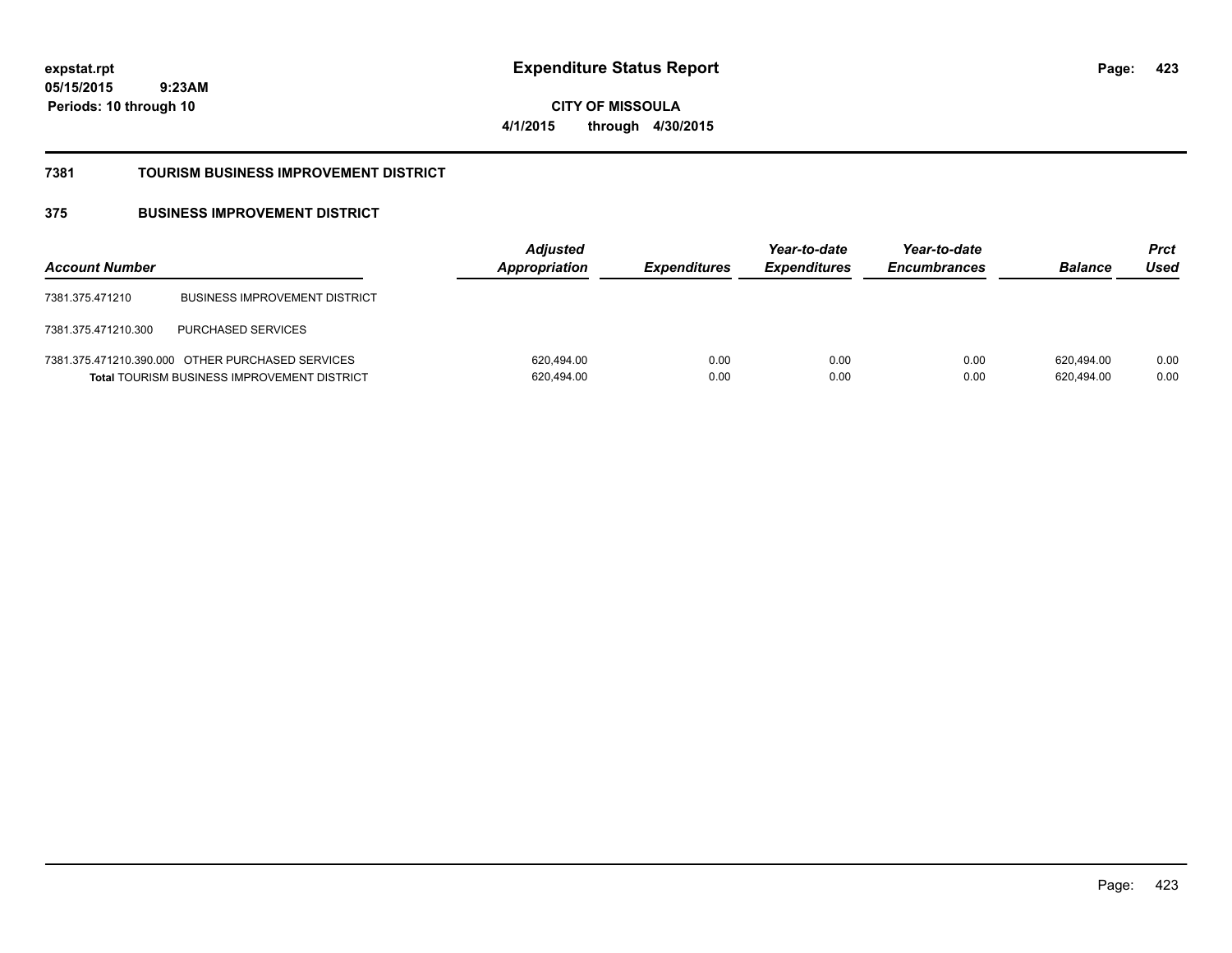**423**

**05/15/2015 9:23AM Periods: 10 through 10**

**CITY OF MISSOULA 4/1/2015 through 4/30/2015**

## **7381 TOURISM BUSINESS IMPROVEMENT DISTRICT**

## **375 BUSINESS IMPROVEMENT DISTRICT**

| <b>Account Number</b> |                                                                                                        | <b>Adjusted</b><br>Appropriation | <b>Expenditures</b> | Year-to-date<br><b>Expenditures</b> | Year-to-date<br><b>Encumbrances</b> | <b>Balance</b>           | Prct<br>Used |
|-----------------------|--------------------------------------------------------------------------------------------------------|----------------------------------|---------------------|-------------------------------------|-------------------------------------|--------------------------|--------------|
| 7381.375.471210       | <b>BUSINESS IMPROVEMENT DISTRICT</b>                                                                   |                                  |                     |                                     |                                     |                          |              |
| 7381.375.471210.300   | <b>PURCHASED SERVICES</b>                                                                              |                                  |                     |                                     |                                     |                          |              |
|                       | 7381.375.471210.390.000 OTHER PURCHASED SERVICES<br><b>Total TOURISM BUSINESS IMPROVEMENT DISTRICT</b> | 620,494.00<br>620,494.00         | 0.00<br>0.00        | 0.00<br>0.00                        | 0.00<br>0.00                        | 620.494.00<br>620,494.00 | 0.00<br>0.00 |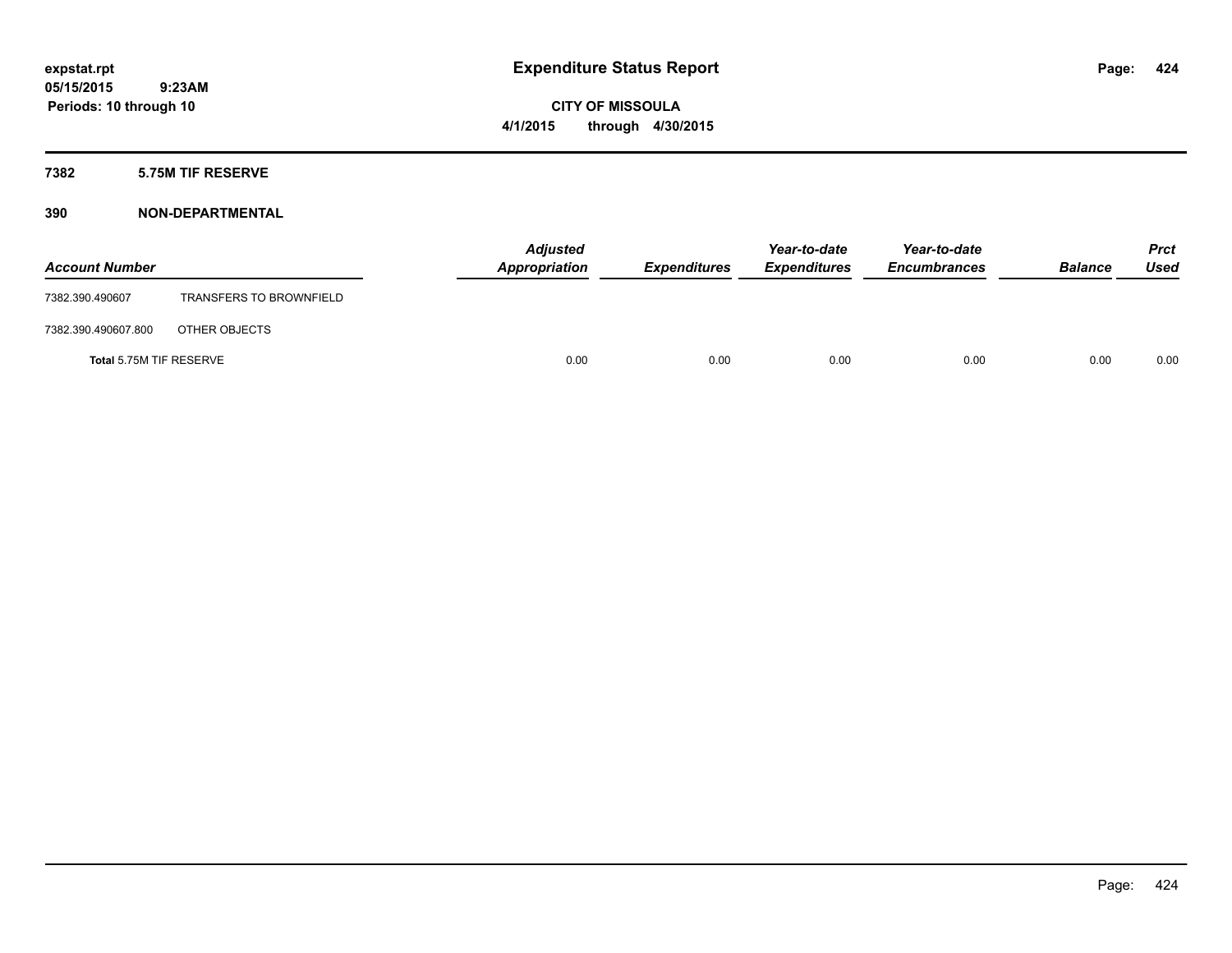**CITY OF MISSOULA 4/1/2015 through 4/30/2015**

## **7382 5.75M TIF RESERVE**

| <b>Account Number</b>   |                                | <b>Adjusted</b><br>Appropriation | <b>Expenditures</b> | Year-to-date<br><b>Expenditures</b> | Year-to-date<br><b>Encumbrances</b> | <b>Balance</b> | <b>Prct</b><br>Used |
|-------------------------|--------------------------------|----------------------------------|---------------------|-------------------------------------|-------------------------------------|----------------|---------------------|
| 7382.390.490607         | <b>TRANSFERS TO BROWNFIELD</b> |                                  |                     |                                     |                                     |                |                     |
| 7382.390.490607.800     | OTHER OBJECTS                  |                                  |                     |                                     |                                     |                |                     |
| Total 5.75M TIF RESERVE |                                | 0.00                             | 0.00                | 0.00                                | 0.00                                | 0.00           | 0.00                |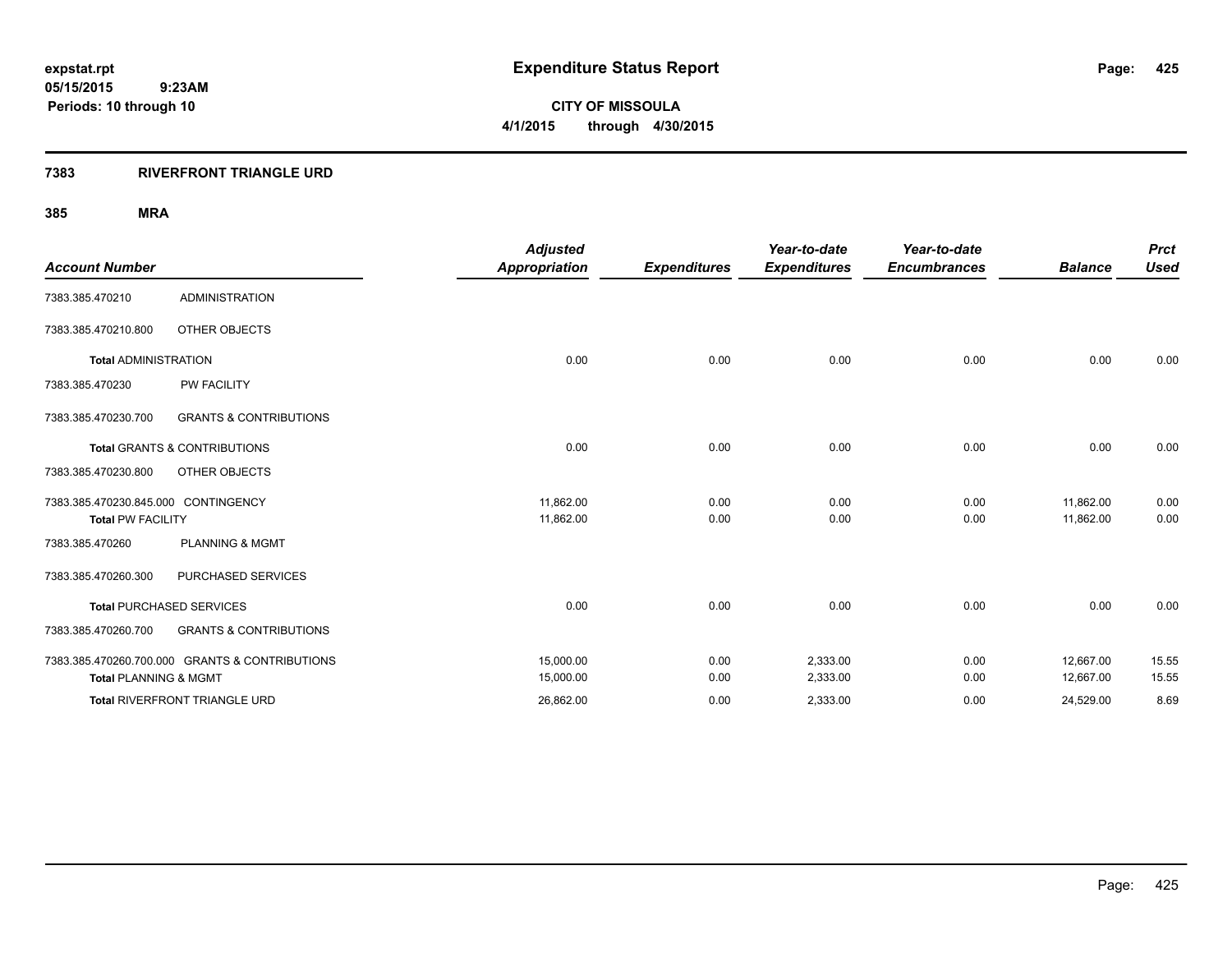## **7383 RIVERFRONT TRIANGLE URD**

|                                     |                                                | <b>Adjusted</b>      |                     | Year-to-date        | Year-to-date        |                | <b>Prct</b> |
|-------------------------------------|------------------------------------------------|----------------------|---------------------|---------------------|---------------------|----------------|-------------|
| <b>Account Number</b>               |                                                | <b>Appropriation</b> | <b>Expenditures</b> | <b>Expenditures</b> | <b>Encumbrances</b> | <b>Balance</b> | <b>Used</b> |
| 7383.385.470210                     | <b>ADMINISTRATION</b>                          |                      |                     |                     |                     |                |             |
| 7383.385.470210.800                 | OTHER OBJECTS                                  |                      |                     |                     |                     |                |             |
| <b>Total ADMINISTRATION</b>         |                                                | 0.00                 | 0.00                | 0.00                | 0.00                | 0.00           | 0.00        |
| 7383.385.470230                     | <b>PW FACILITY</b>                             |                      |                     |                     |                     |                |             |
| 7383.385.470230.700                 | <b>GRANTS &amp; CONTRIBUTIONS</b>              |                      |                     |                     |                     |                |             |
|                                     | <b>Total GRANTS &amp; CONTRIBUTIONS</b>        | 0.00                 | 0.00                | 0.00                | 0.00                | 0.00           | 0.00        |
| 7383.385.470230.800                 | OTHER OBJECTS                                  |                      |                     |                     |                     |                |             |
| 7383.385.470230.845.000 CONTINGENCY |                                                | 11,862.00            | 0.00                | 0.00                | 0.00                | 11,862.00      | 0.00        |
| <b>Total PW FACILITY</b>            |                                                | 11,862.00            | 0.00                | 0.00                | 0.00                | 11,862.00      | 0.00        |
| 7383.385.470260                     | <b>PLANNING &amp; MGMT</b>                     |                      |                     |                     |                     |                |             |
| 7383.385.470260.300                 | PURCHASED SERVICES                             |                      |                     |                     |                     |                |             |
|                                     | <b>Total PURCHASED SERVICES</b>                | 0.00                 | 0.00                | 0.00                | 0.00                | 0.00           | 0.00        |
| 7383.385.470260.700                 | <b>GRANTS &amp; CONTRIBUTIONS</b>              |                      |                     |                     |                     |                |             |
|                                     | 7383.385.470260.700.000 GRANTS & CONTRIBUTIONS | 15,000.00            | 0.00                | 2,333.00            | 0.00                | 12,667.00      | 15.55       |
| <b>Total PLANNING &amp; MGMT</b>    |                                                | 15,000.00            | 0.00                | 2,333.00            | 0.00                | 12,667.00      | 15.55       |
|                                     | <b>Total RIVERFRONT TRIANGLE URD</b>           | 26,862.00            | 0.00                | 2,333.00            | 0.00                | 24,529.00      | 8.69        |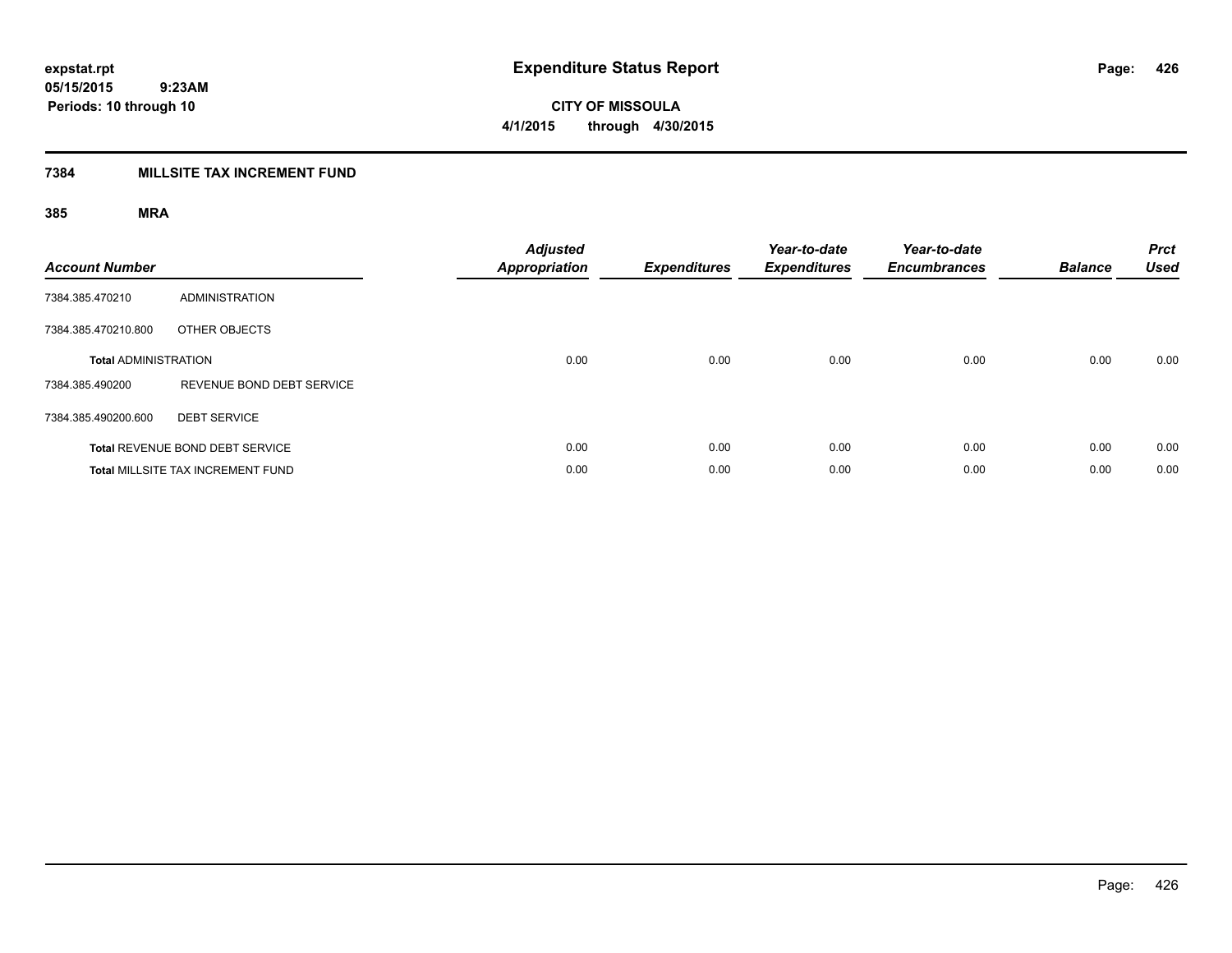**CITY OF MISSOULA 4/1/2015 through 4/30/2015**

## **7384 MILLSITE TAX INCREMENT FUND**

| <b>Account Number</b>       |                                          | <b>Adjusted</b><br><b>Appropriation</b> | <b>Expenditures</b> | Year-to-date<br><b>Expenditures</b> | Year-to-date<br><b>Encumbrances</b> | <b>Balance</b> | <b>Prct</b><br><b>Used</b> |
|-----------------------------|------------------------------------------|-----------------------------------------|---------------------|-------------------------------------|-------------------------------------|----------------|----------------------------|
| 7384.385.470210             | <b>ADMINISTRATION</b>                    |                                         |                     |                                     |                                     |                |                            |
| 7384.385.470210.800         | OTHER OBJECTS                            |                                         |                     |                                     |                                     |                |                            |
| <b>Total ADMINISTRATION</b> |                                          | 0.00                                    | 0.00                | 0.00                                | 0.00                                | 0.00           | 0.00                       |
| 7384.385.490200             | REVENUE BOND DEBT SERVICE                |                                         |                     |                                     |                                     |                |                            |
| 7384.385.490200.600         | <b>DEBT SERVICE</b>                      |                                         |                     |                                     |                                     |                |                            |
|                             | <b>Total REVENUE BOND DEBT SERVICE</b>   | 0.00                                    | 0.00                | 0.00                                | 0.00                                | 0.00           | 0.00                       |
|                             | <b>Total MILLSITE TAX INCREMENT FUND</b> | 0.00                                    | 0.00                | 0.00                                | 0.00                                | 0.00           | 0.00                       |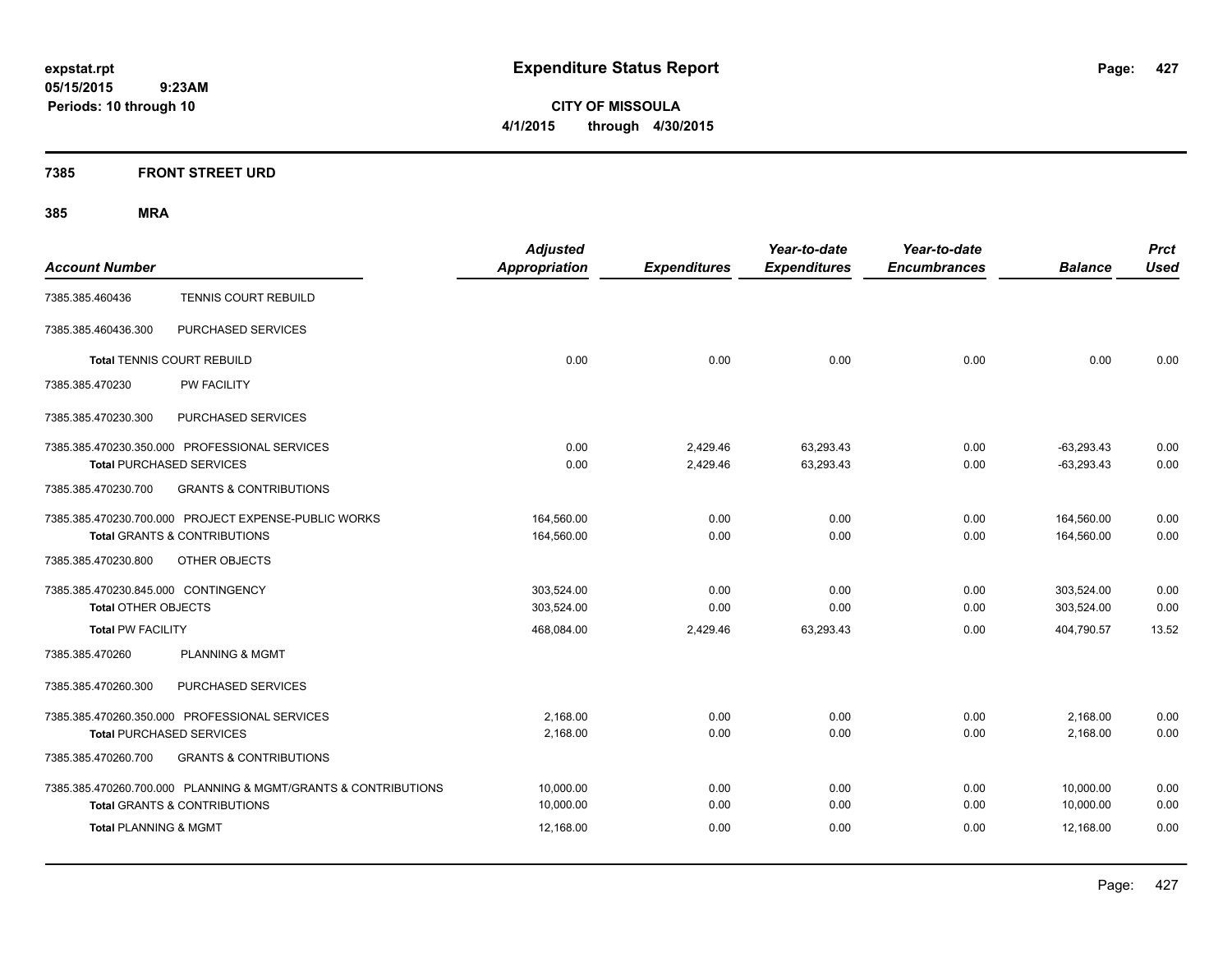**CITY OF MISSOULA 4/1/2015 through 4/30/2015**

## **7385 FRONT STREET URD**

|                                                                | <b>Adjusted</b>      |                     | Year-to-date        | Year-to-date        |                | <b>Prct</b> |
|----------------------------------------------------------------|----------------------|---------------------|---------------------|---------------------|----------------|-------------|
| <b>Account Number</b>                                          | <b>Appropriation</b> | <b>Expenditures</b> | <b>Expenditures</b> | <b>Encumbrances</b> | <b>Balance</b> | <b>Used</b> |
| TENNIS COURT REBUILD<br>7385.385.460436                        |                      |                     |                     |                     |                |             |
| PURCHASED SERVICES<br>7385.385.460436.300                      |                      |                     |                     |                     |                |             |
| <b>Total TENNIS COURT REBUILD</b>                              | 0.00                 | 0.00                | 0.00                | 0.00                | 0.00           | 0.00        |
| 7385.385.470230<br><b>PW FACILITY</b>                          |                      |                     |                     |                     |                |             |
| 7385.385.470230.300<br>PURCHASED SERVICES                      |                      |                     |                     |                     |                |             |
| 7385.385.470230.350.000 PROFESSIONAL SERVICES                  | 0.00                 | 2,429.46            | 63,293.43           | 0.00                | $-63,293.43$   | 0.00        |
| <b>Total PURCHASED SERVICES</b>                                | 0.00                 | 2,429.46            | 63,293.43           | 0.00                | $-63,293.43$   | 0.00        |
| 7385.385.470230.700<br><b>GRANTS &amp; CONTRIBUTIONS</b>       |                      |                     |                     |                     |                |             |
| 7385.385.470230.700.000 PROJECT EXPENSE-PUBLIC WORKS           | 164,560.00           | 0.00                | 0.00                | 0.00                | 164,560.00     | 0.00        |
| <b>Total GRANTS &amp; CONTRIBUTIONS</b>                        | 164,560.00           | 0.00                | 0.00                | 0.00                | 164,560.00     | 0.00        |
| 7385.385.470230.800<br>OTHER OBJECTS                           |                      |                     |                     |                     |                |             |
| 7385.385.470230.845.000 CONTINGENCY                            | 303,524.00           | 0.00                | 0.00                | 0.00                | 303,524.00     | 0.00        |
| <b>Total OTHER OBJECTS</b>                                     | 303,524.00           | 0.00                | 0.00                | 0.00                | 303,524.00     | 0.00        |
| <b>Total PW FACILITY</b>                                       | 468,084.00           | 2,429.46            | 63,293.43           | 0.00                | 404,790.57     | 13.52       |
| 7385.385.470260<br><b>PLANNING &amp; MGMT</b>                  |                      |                     |                     |                     |                |             |
| PURCHASED SERVICES<br>7385.385.470260.300                      |                      |                     |                     |                     |                |             |
| 7385.385.470260.350.000 PROFESSIONAL SERVICES                  | 2,168.00             | 0.00                | 0.00                | 0.00                | 2,168.00       | 0.00        |
| <b>Total PURCHASED SERVICES</b>                                | 2,168.00             | 0.00                | 0.00                | 0.00                | 2,168.00       | 0.00        |
| <b>GRANTS &amp; CONTRIBUTIONS</b><br>7385.385.470260.700       |                      |                     |                     |                     |                |             |
| 7385.385.470260.700.000 PLANNING & MGMT/GRANTS & CONTRIBUTIONS | 10,000.00            | 0.00                | 0.00                | 0.00                | 10,000.00      | 0.00        |
| <b>Total GRANTS &amp; CONTRIBUTIONS</b>                        | 10,000.00            | 0.00                | 0.00                | 0.00                | 10,000.00      | 0.00        |
| <b>Total PLANNING &amp; MGMT</b>                               | 12,168.00            | 0.00                | 0.00                | 0.00                | 12.168.00      | 0.00        |
|                                                                |                      |                     |                     |                     |                |             |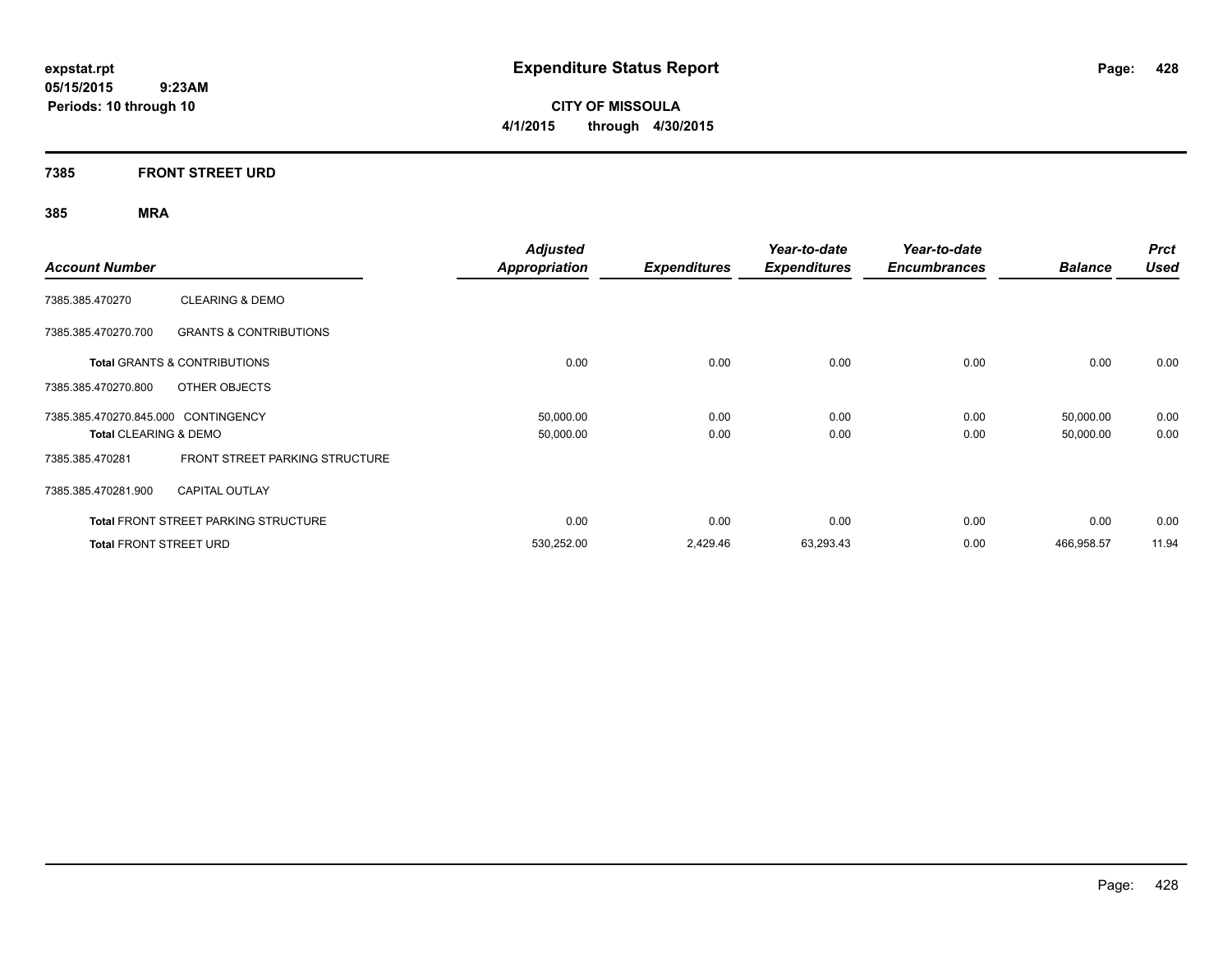**CITY OF MISSOULA 4/1/2015 through 4/30/2015**

## **7385 FRONT STREET URD**

| <b>Account Number</b>               |                                             | <b>Adjusted</b><br><b>Appropriation</b> | <b>Expenditures</b> | Year-to-date<br><b>Expenditures</b> | Year-to-date<br><b>Encumbrances</b> | <b>Balance</b> | <b>Prct</b><br><b>Used</b> |
|-------------------------------------|---------------------------------------------|-----------------------------------------|---------------------|-------------------------------------|-------------------------------------|----------------|----------------------------|
| 7385.385.470270                     | <b>CLEARING &amp; DEMO</b>                  |                                         |                     |                                     |                                     |                |                            |
| 7385.385.470270.700                 | <b>GRANTS &amp; CONTRIBUTIONS</b>           |                                         |                     |                                     |                                     |                |                            |
|                                     | <b>Total GRANTS &amp; CONTRIBUTIONS</b>     | 0.00                                    | 0.00                | 0.00                                | 0.00                                | 0.00           | 0.00                       |
| 7385.385.470270.800                 | OTHER OBJECTS                               |                                         |                     |                                     |                                     |                |                            |
| 7385.385.470270.845.000 CONTINGENCY |                                             | 50,000.00                               | 0.00                | 0.00                                | 0.00                                | 50,000.00      | 0.00                       |
| Total CLEARING & DEMO               |                                             | 50,000.00                               | 0.00                | 0.00                                | 0.00                                | 50,000.00      | 0.00                       |
| 7385.385.470281                     | FRONT STREET PARKING STRUCTURE              |                                         |                     |                                     |                                     |                |                            |
| 7385.385.470281.900                 | <b>CAPITAL OUTLAY</b>                       |                                         |                     |                                     |                                     |                |                            |
|                                     | <b>Total FRONT STREET PARKING STRUCTURE</b> | 0.00                                    | 0.00                | 0.00                                | 0.00                                | 0.00           | 0.00                       |
| <b>Total FRONT STREET URD</b>       |                                             | 530,252.00                              | 2,429.46            | 63,293.43                           | 0.00                                | 466,958.57     | 11.94                      |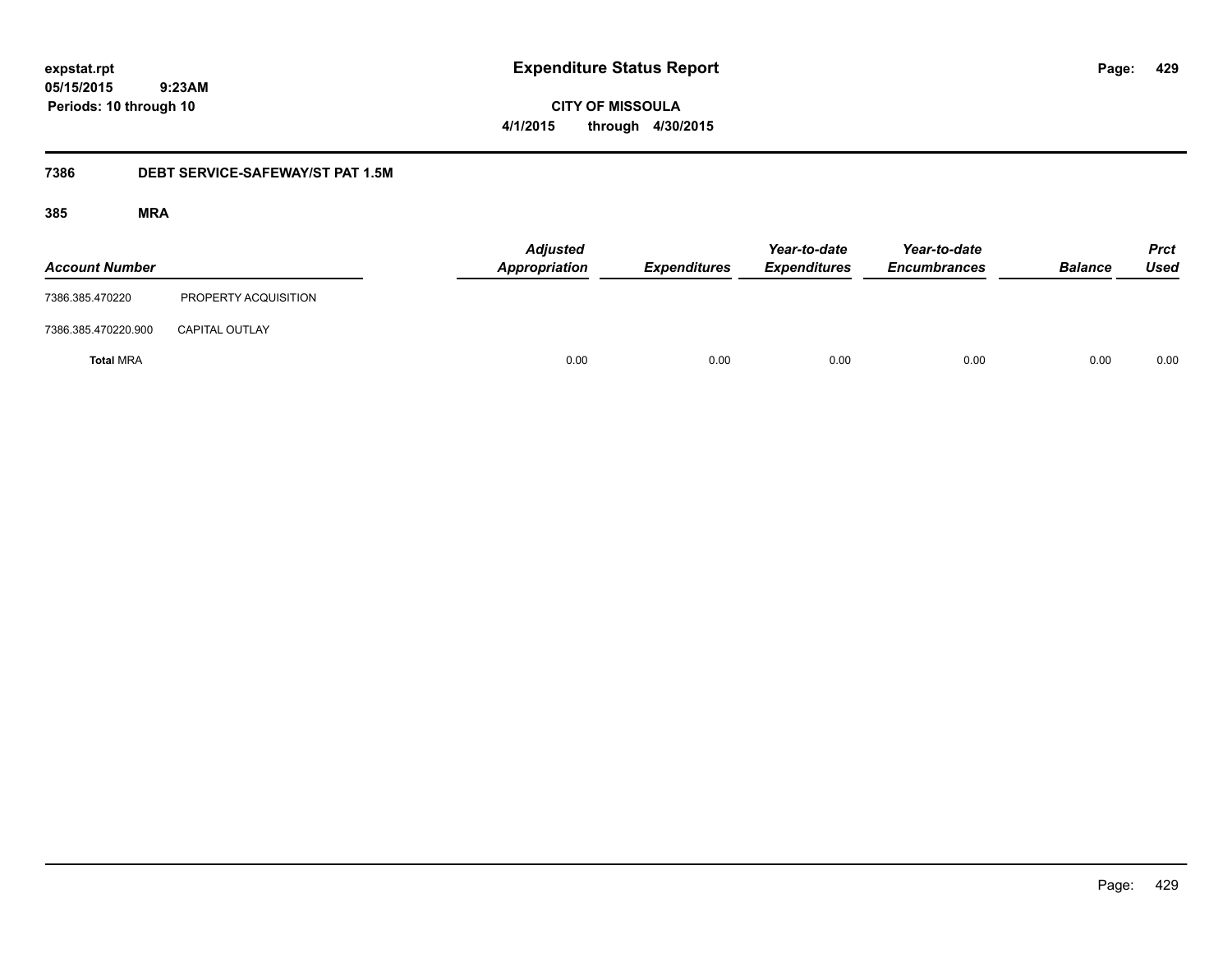**429**

**05/15/2015 9:23AM Periods: 10 through 10**

**CITY OF MISSOULA 4/1/2015 through 4/30/2015**

## **7386 DEBT SERVICE-SAFEWAY/ST PAT 1.5M**

| <b>Account Number</b> |                       | <b>Adjusted</b><br>Appropriation | <b>Expenditures</b> |      | Year-to-date<br><b>Expenditures</b> | Year-to-date<br><b>Encumbrances</b> | <b>Balance</b> | <b>Prct</b><br><b>Used</b> |
|-----------------------|-----------------------|----------------------------------|---------------------|------|-------------------------------------|-------------------------------------|----------------|----------------------------|
| 7386.385.470220       | PROPERTY ACQUISITION  |                                  |                     |      |                                     |                                     |                |                            |
| 7386.385.470220.900   | <b>CAPITAL OUTLAY</b> |                                  |                     |      |                                     |                                     |                |                            |
| <b>Total MRA</b>      |                       |                                  | 0.00                | 0.00 | 0.00                                | 0.00                                | 0.00           | 0.00                       |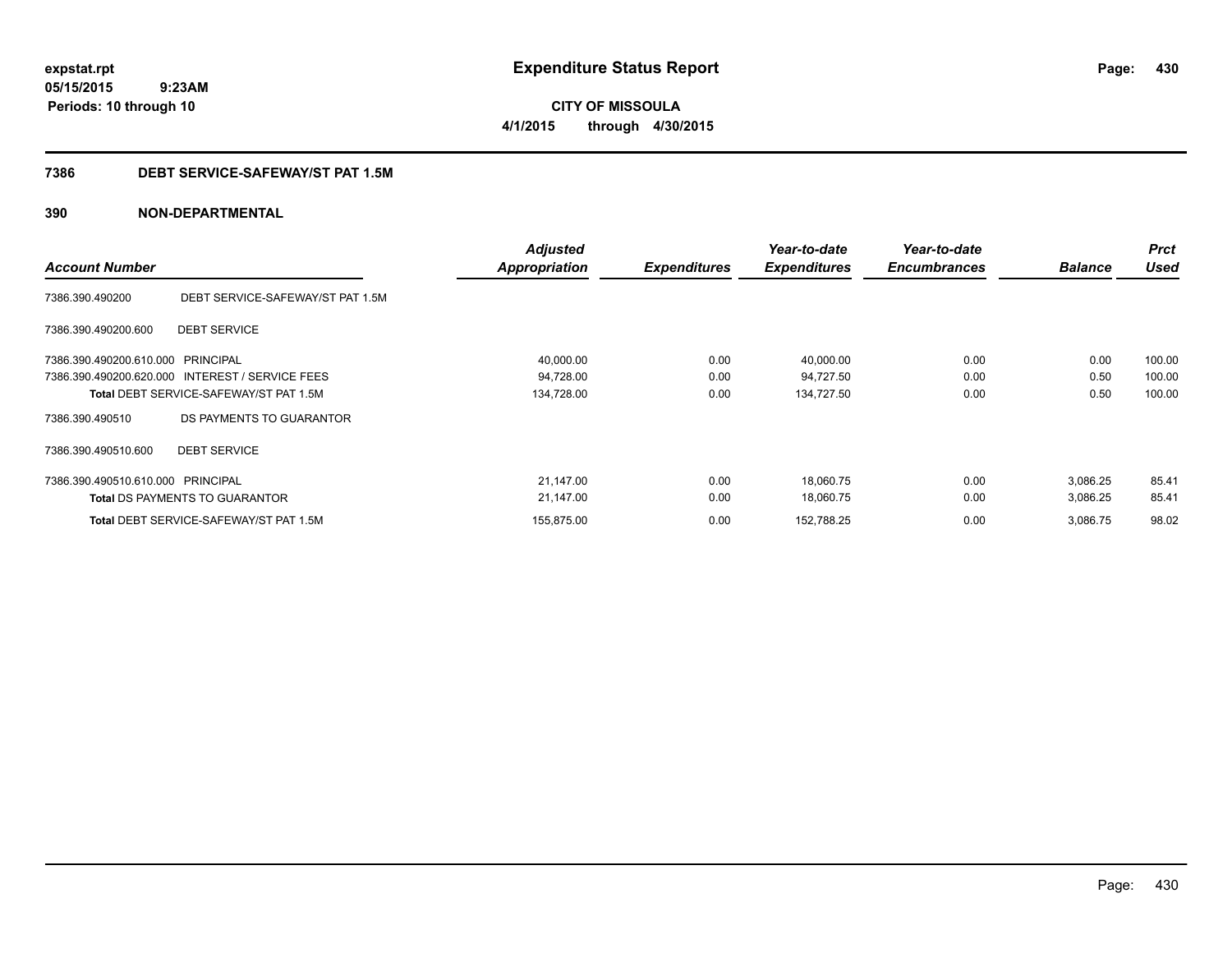**CITY OF MISSOULA 4/1/2015 through 4/30/2015**

## **7386 DEBT SERVICE-SAFEWAY/ST PAT 1.5M**

| <b>Account Number</b>             |                                                 | <b>Adjusted</b><br>Appropriation | <b>Expenditures</b> | Year-to-date<br><b>Expenditures</b> | Year-to-date<br><b>Encumbrances</b> | <b>Balance</b> | <b>Prct</b><br><b>Used</b> |
|-----------------------------------|-------------------------------------------------|----------------------------------|---------------------|-------------------------------------|-------------------------------------|----------------|----------------------------|
| 7386.390.490200                   | DEBT SERVICE-SAFEWAY/ST PAT 1.5M                |                                  |                     |                                     |                                     |                |                            |
| 7386.390.490200.600               | <b>DEBT SERVICE</b>                             |                                  |                     |                                     |                                     |                |                            |
| 7386.390.490200.610.000           | PRINCIPAL                                       | 40,000.00                        | 0.00                | 40,000.00                           | 0.00                                | 0.00           | 100.00                     |
|                                   | 7386.390.490200.620.000 INTEREST / SERVICE FEES | 94,728.00                        | 0.00                | 94,727.50                           | 0.00                                | 0.50           | 100.00                     |
|                                   | <b>Total DEBT SERVICE-SAFEWAY/ST PAT 1.5M</b>   | 134,728.00                       | 0.00                | 134,727.50                          | 0.00                                | 0.50           | 100.00                     |
| 7386.390.490510                   | DS PAYMENTS TO GUARANTOR                        |                                  |                     |                                     |                                     |                |                            |
| 7386.390.490510.600               | <b>DEBT SERVICE</b>                             |                                  |                     |                                     |                                     |                |                            |
| 7386.390.490510.610.000 PRINCIPAL |                                                 | 21,147.00                        | 0.00                | 18,060.75                           | 0.00                                | 3,086.25       | 85.41                      |
|                                   | <b>Total DS PAYMENTS TO GUARANTOR</b>           | 21,147.00                        | 0.00                | 18,060.75                           | 0.00                                | 3,086.25       | 85.41                      |
|                                   | <b>Total DEBT SERVICE-SAFEWAY/ST PAT 1.5M</b>   | 155,875.00                       | 0.00                | 152,788.25                          | 0.00                                | 3,086.75       | 98.02                      |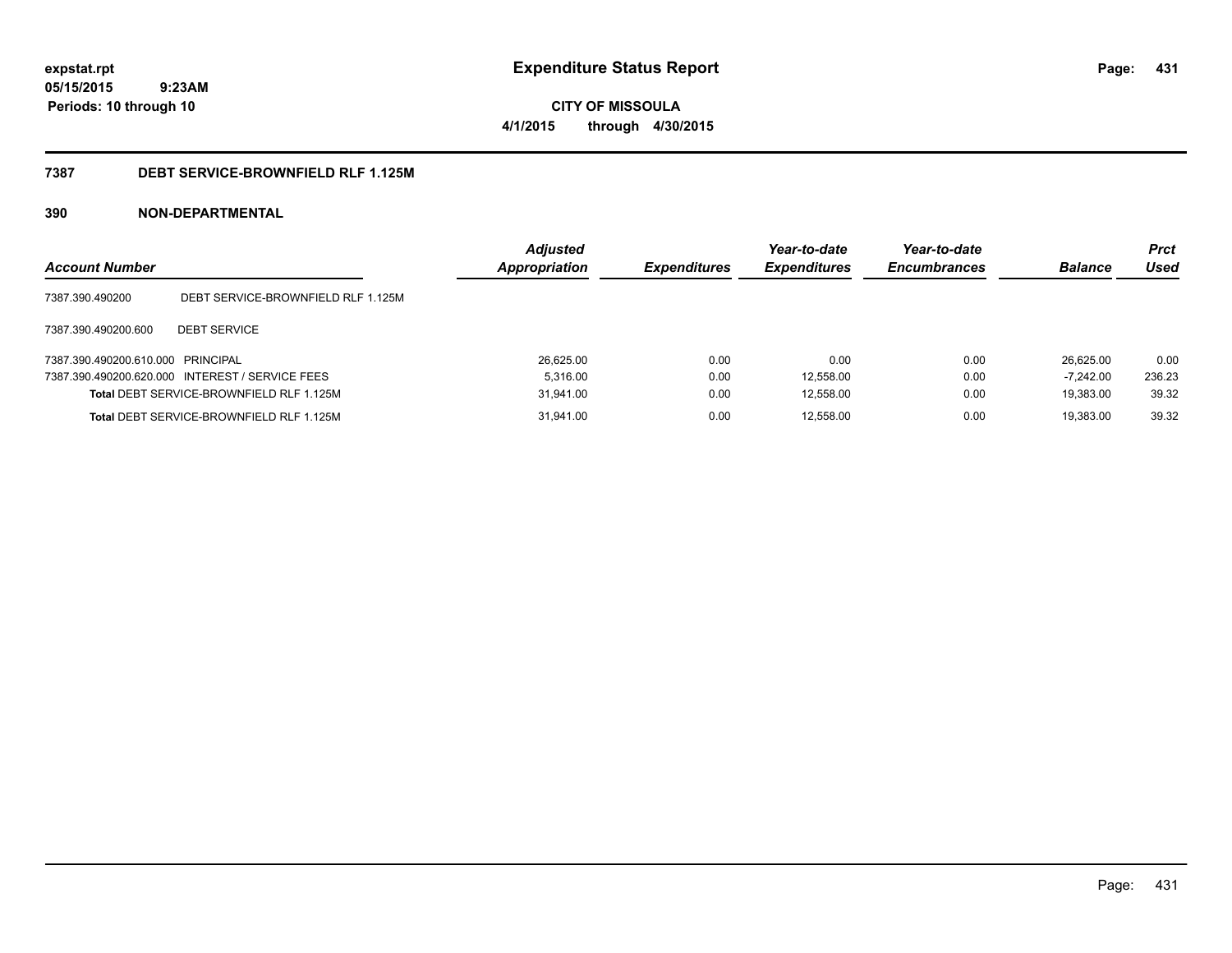**CITY OF MISSOULA 4/1/2015 through 4/30/2015**

## **7387 DEBT SERVICE-BROWNFIELD RLF 1.125M**

| <b>Account Number</b>             |                                                 | <b>Adjusted</b><br><b>Appropriation</b> | <b>Expenditures</b> | Year-to-date<br><b>Expenditures</b> | Year-to-date<br><b>Encumbrances</b> | <b>Balance</b> | <b>Prct</b><br>Used |
|-----------------------------------|-------------------------------------------------|-----------------------------------------|---------------------|-------------------------------------|-------------------------------------|----------------|---------------------|
| 7387.390.490200                   | DEBT SERVICE-BROWNFIELD RLF 1.125M              |                                         |                     |                                     |                                     |                |                     |
| 7387.390.490200.600               | <b>DEBT SERVICE</b>                             |                                         |                     |                                     |                                     |                |                     |
| 7387.390.490200.610.000 PRINCIPAL |                                                 | 26,625.00                               | 0.00                | 0.00                                | 0.00                                | 26.625.00      | 0.00                |
|                                   | 7387.390.490200.620.000 INTEREST / SERVICE FEES | 5.316.00                                | 0.00                | 12,558.00                           | 0.00                                | $-7.242.00$    | 236.23              |
|                                   | Total DEBT SERVICE-BROWNFIELD RLF 1.125M        | 31,941.00                               | 0.00                | 12,558.00                           | 0.00                                | 19,383.00      | 39.32               |
|                                   | Total DEBT SERVICE-BROWNFIELD RLF 1.125M        | 31,941.00                               | 0.00                | 12,558.00                           | 0.00                                | 19.383.00      | 39.32               |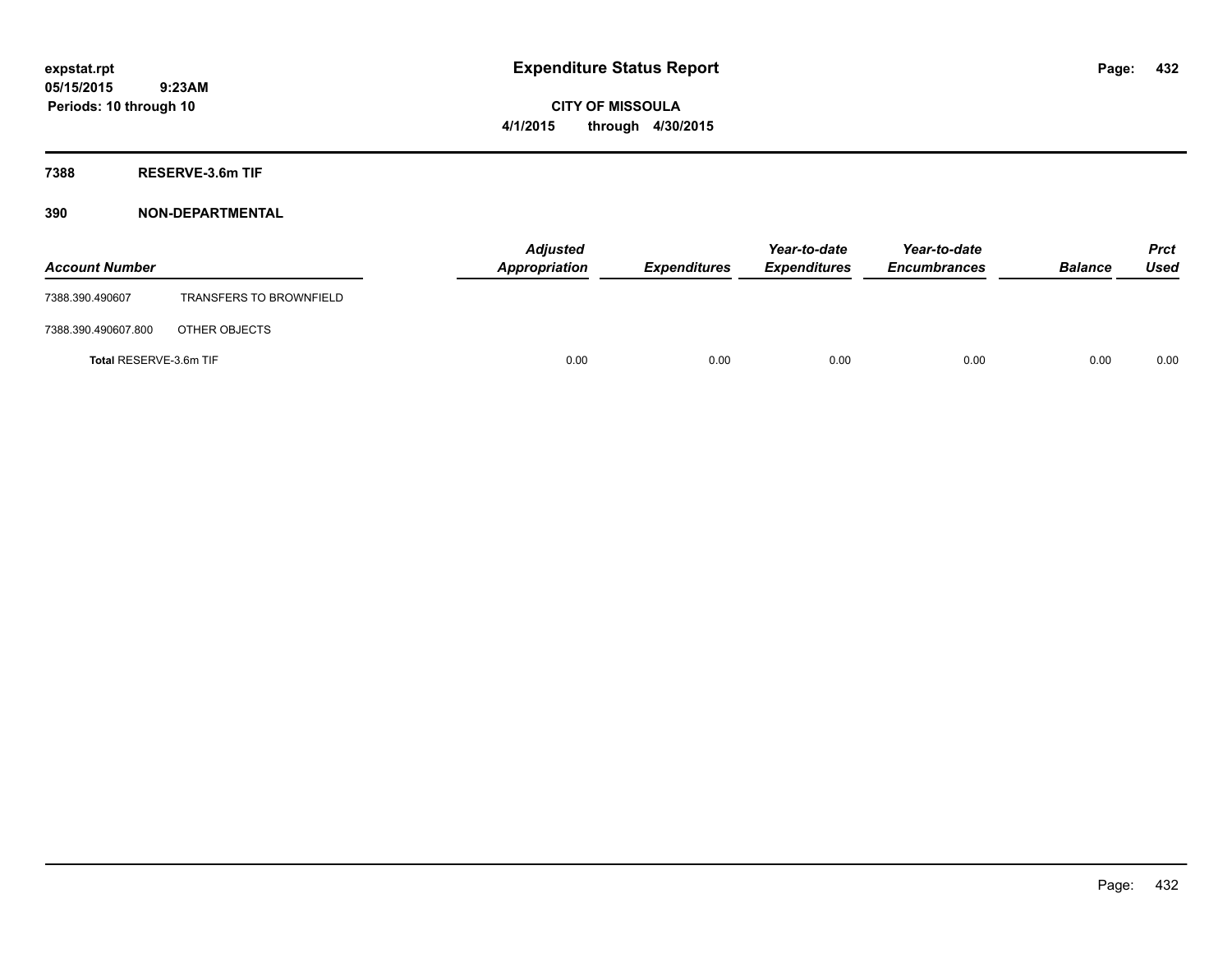**CITY OF MISSOULA 4/1/2015 through 4/30/2015**

**7388 RESERVE-3.6m TIF**

| <b>Account Number</b>  |                                | <b>Adjusted</b><br>Appropriation | <b>Expenditures</b> | Year-to-date<br><b>Expenditures</b> | Year-to-date<br><b>Encumbrances</b> | <b>Balance</b> | <b>Prct</b><br>Used |
|------------------------|--------------------------------|----------------------------------|---------------------|-------------------------------------|-------------------------------------|----------------|---------------------|
| 7388.390.490607        | <b>TRANSFERS TO BROWNFIELD</b> |                                  |                     |                                     |                                     |                |                     |
| 7388.390.490607.800    | OTHER OBJECTS                  |                                  |                     |                                     |                                     |                |                     |
| Total RESERVE-3.6m TIF |                                | 0.00                             | 0.00                | 0.00                                | 0.00                                | 0.00           | 0.00                |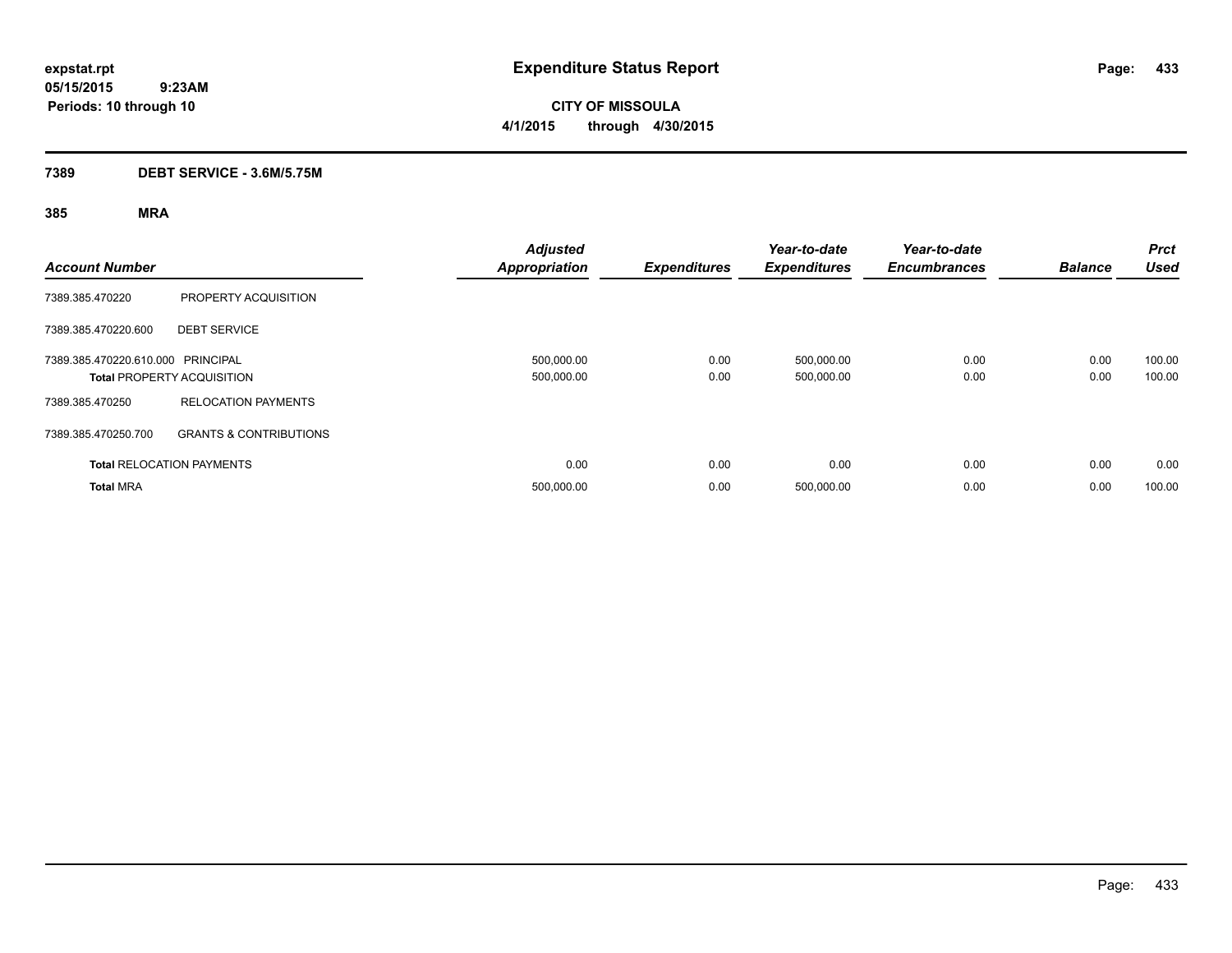**CITY OF MISSOULA 4/1/2015 through 4/30/2015**

## **7389 DEBT SERVICE - 3.6M/5.75M**

| <b>Account Number</b>             |                                   | <b>Adjusted</b><br><b>Appropriation</b> | <b>Expenditures</b> | Year-to-date<br><b>Expenditures</b> | Year-to-date<br><b>Encumbrances</b> | <b>Balance</b> | <b>Prct</b><br><b>Used</b> |
|-----------------------------------|-----------------------------------|-----------------------------------------|---------------------|-------------------------------------|-------------------------------------|----------------|----------------------------|
| 7389.385.470220                   | PROPERTY ACQUISITION              |                                         |                     |                                     |                                     |                |                            |
| 7389.385.470220.600               | <b>DEBT SERVICE</b>               |                                         |                     |                                     |                                     |                |                            |
| 7389.385.470220.610.000 PRINCIPAL | <b>Total PROPERTY ACQUISITION</b> | 500,000.00<br>500,000.00                | 0.00<br>0.00        | 500,000.00<br>500,000.00            | 0.00<br>0.00                        | 0.00<br>0.00   | 100.00<br>100.00           |
| 7389.385.470250                   | <b>RELOCATION PAYMENTS</b>        |                                         |                     |                                     |                                     |                |                            |
| 7389.385.470250.700               | <b>GRANTS &amp; CONTRIBUTIONS</b> |                                         |                     |                                     |                                     |                |                            |
|                                   | <b>Total RELOCATION PAYMENTS</b>  | 0.00                                    | 0.00                | 0.00                                | 0.00                                | 0.00           | 0.00                       |
| <b>Total MRA</b>                  |                                   | 500,000.00                              | 0.00                | 500,000.00                          | 0.00                                | 0.00           | 100.00                     |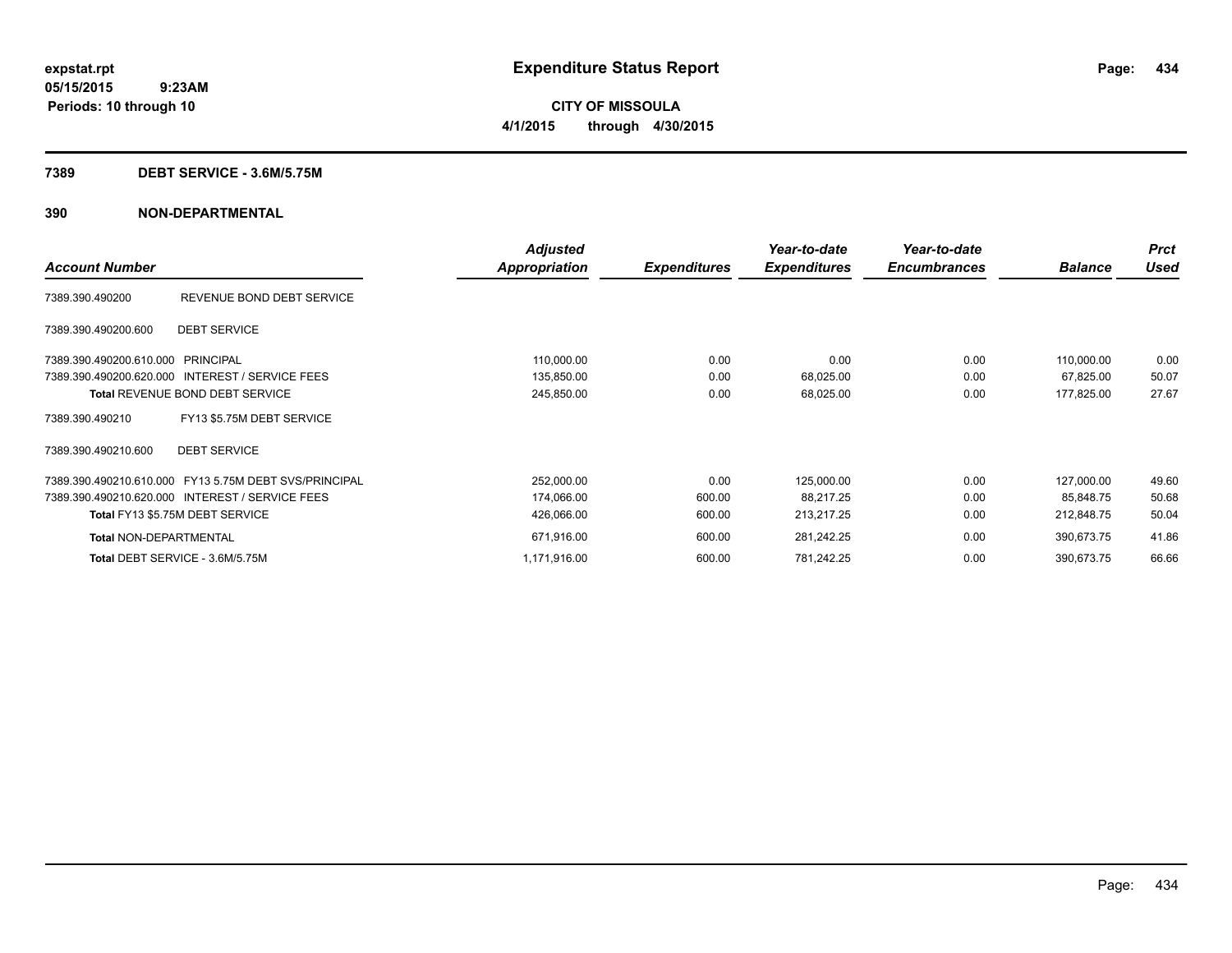**CITY OF MISSOULA 4/1/2015 through 4/30/2015**

### **7389 DEBT SERVICE - 3.6M/5.75M**

|                                   |                                                       | <b>Adjusted</b> |                     | Year-to-date        | Year-to-date        |                | <b>Prct</b> |
|-----------------------------------|-------------------------------------------------------|-----------------|---------------------|---------------------|---------------------|----------------|-------------|
| <b>Account Number</b>             |                                                       | Appropriation   | <b>Expenditures</b> | <b>Expenditures</b> | <b>Encumbrances</b> | <b>Balance</b> | Used        |
| 7389.390.490200                   | REVENUE BOND DEBT SERVICE                             |                 |                     |                     |                     |                |             |
| 7389.390.490200.600               | <b>DEBT SERVICE</b>                                   |                 |                     |                     |                     |                |             |
| 7389.390.490200.610.000 PRINCIPAL |                                                       | 110,000.00      | 0.00                | 0.00                | 0.00                | 110,000.00     | 0.00        |
|                                   | 7389.390.490200.620.000 INTEREST / SERVICE FEES       | 135,850.00      | 0.00                | 68,025.00           | 0.00                | 67,825.00      | 50.07       |
|                                   | <b>Total REVENUE BOND DEBT SERVICE</b>                | 245,850.00      | 0.00                | 68,025.00           | 0.00                | 177,825.00     | 27.67       |
| 7389.390.490210                   | FY13 \$5.75M DEBT SERVICE                             |                 |                     |                     |                     |                |             |
| 7389.390.490210.600               | <b>DEBT SERVICE</b>                                   |                 |                     |                     |                     |                |             |
|                                   | 7389.390.490210.610.000 FY13 5.75M DEBT SVS/PRINCIPAL | 252,000.00      | 0.00                | 125,000.00          | 0.00                | 127,000.00     | 49.60       |
|                                   | 7389.390.490210.620.000 INTEREST / SERVICE FEES       | 174,066.00      | 600.00              | 88,217.25           | 0.00                | 85.848.75      | 50.68       |
|                                   | Total FY13 \$5.75M DEBT SERVICE                       | 426,066.00      | 600.00              | 213,217.25          | 0.00                | 212,848.75     | 50.04       |
| <b>Total NON-DEPARTMENTAL</b>     |                                                       | 671,916.00      | 600.00              | 281,242.25          | 0.00                | 390,673.75     | 41.86       |
|                                   | Total DEBT SERVICE - 3.6M/5.75M                       | 1,171,916.00    | 600.00              | 781,242.25          | 0.00                | 390,673.75     | 66.66       |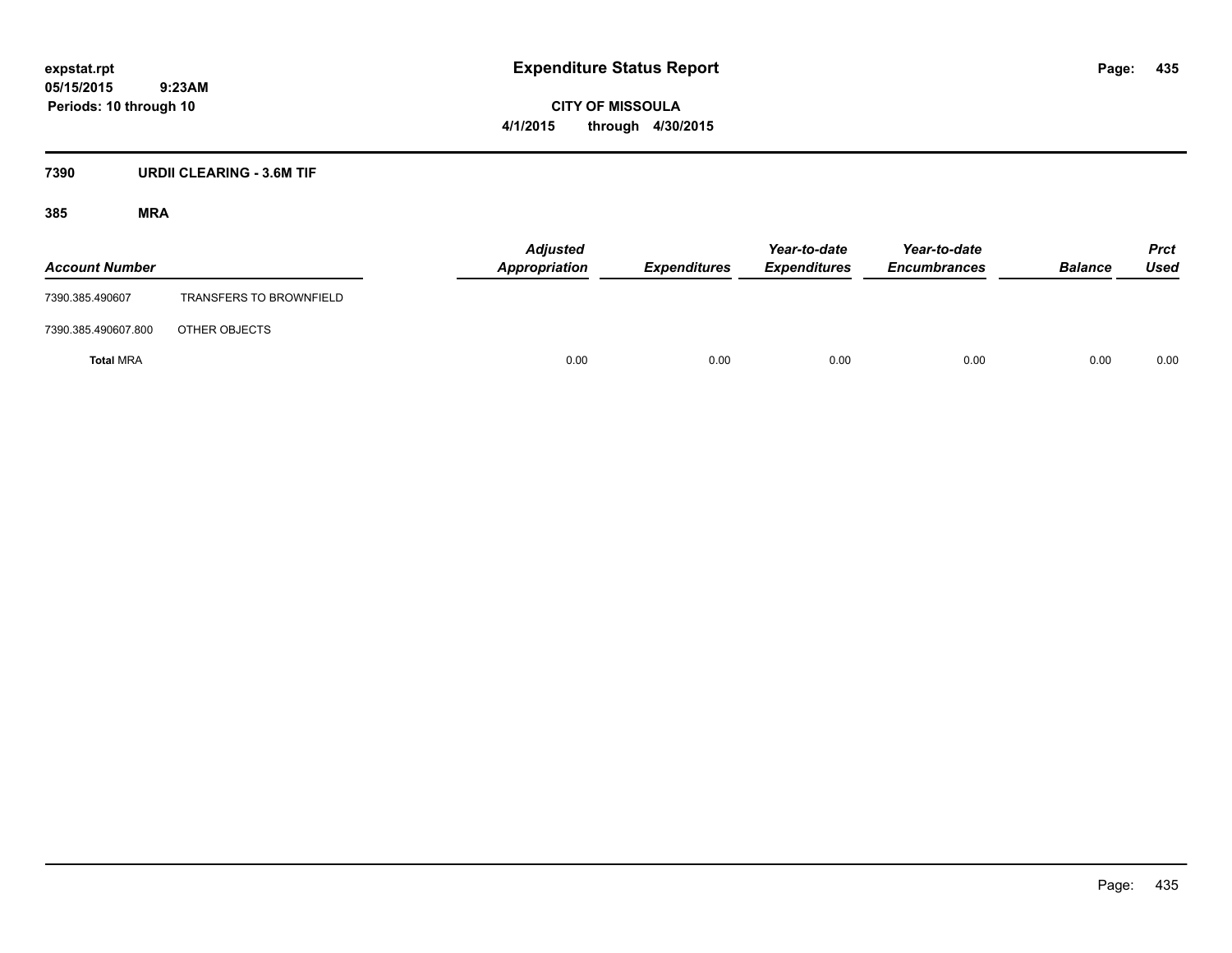**CITY OF MISSOULA 4/1/2015 through 4/30/2015**

## **7390 URDII CLEARING - 3.6M TIF**

| <b>Account Number</b> |                                | <b>Adjusted</b><br><b>Appropriation</b> | <b>Expenditures</b> | Year-to-date<br><b>Expenditures</b> | Year-to-date<br><b>Encumbrances</b> | <b>Balance</b> | <b>Prct</b><br><b>Used</b> |
|-----------------------|--------------------------------|-----------------------------------------|---------------------|-------------------------------------|-------------------------------------|----------------|----------------------------|
| 7390.385.490607       | <b>TRANSFERS TO BROWNFIELD</b> |                                         |                     |                                     |                                     |                |                            |
| 7390.385.490607.800   | OTHER OBJECTS                  |                                         |                     |                                     |                                     |                |                            |
| <b>Total MRA</b>      |                                | 0.00                                    | 0.00                | 0.00                                | 0.00                                | 0.00           | 0.00                       |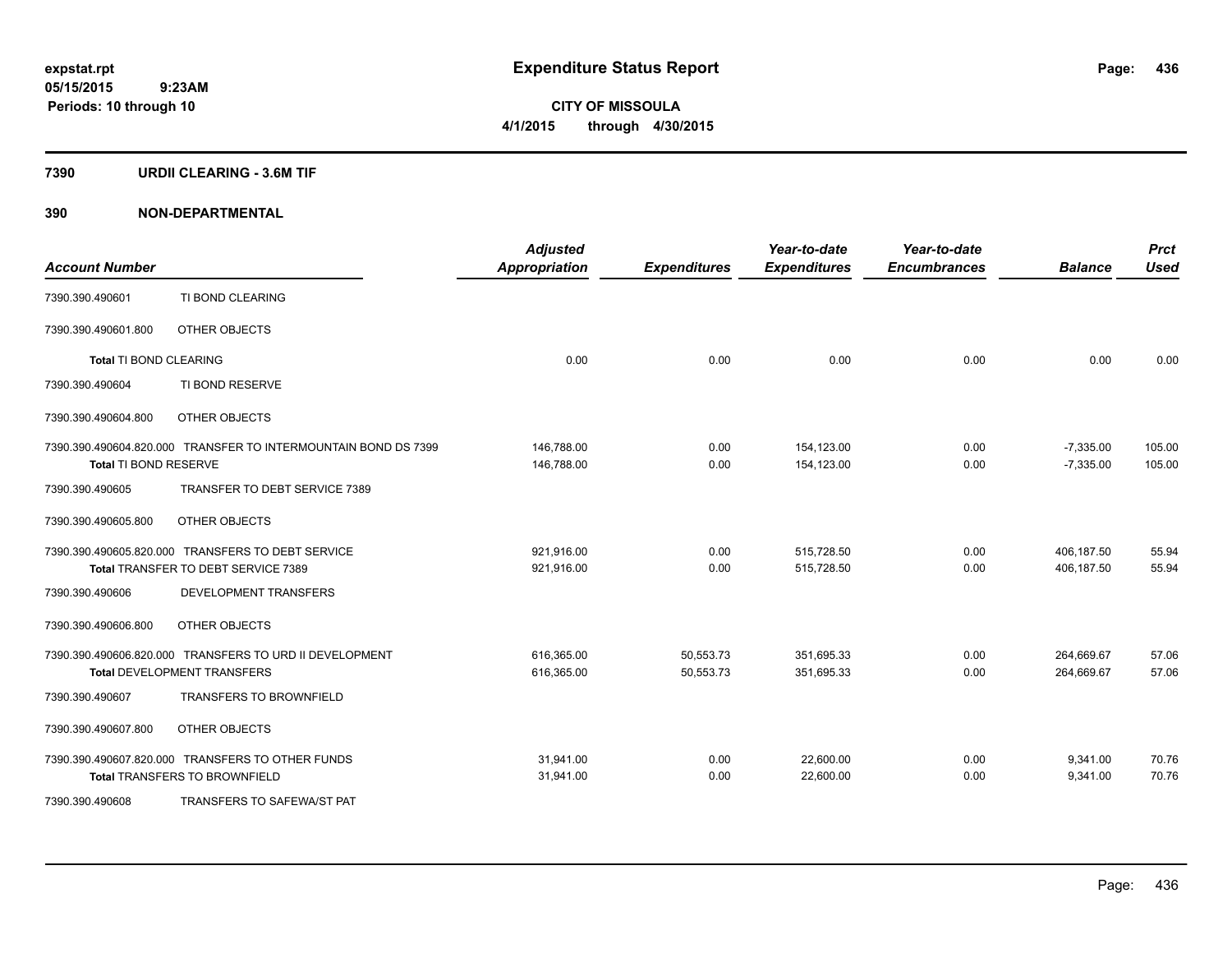**Periods: 10 through 10**

**CITY OF MISSOULA 4/1/2015 through 4/30/2015**

### **7390 URDII CLEARING - 3.6M TIF**

 **9:23AM**

| <b>Account Number</b>         |                                                                | <b>Adjusted</b><br><b>Appropriation</b> | <b>Expenditures</b> | Year-to-date<br><b>Expenditures</b> | Year-to-date<br><b>Encumbrances</b> | <b>Balance</b> | <b>Prct</b><br><b>Used</b> |
|-------------------------------|----------------------------------------------------------------|-----------------------------------------|---------------------|-------------------------------------|-------------------------------------|----------------|----------------------------|
| 7390.390.490601               | TI BOND CLEARING                                               |                                         |                     |                                     |                                     |                |                            |
| 7390.390.490601.800           | OTHER OBJECTS                                                  |                                         |                     |                                     |                                     |                |                            |
| <b>Total TI BOND CLEARING</b> |                                                                | 0.00                                    | 0.00                | 0.00                                | 0.00                                | 0.00           | 0.00                       |
| 7390.390.490604               | TI BOND RESERVE                                                |                                         |                     |                                     |                                     |                |                            |
| 7390.390.490604.800           | OTHER OBJECTS                                                  |                                         |                     |                                     |                                     |                |                            |
|                               | 7390.390.490604.820.000 TRANSFER TO INTERMOUNTAIN BOND DS 7399 | 146,788.00                              | 0.00                | 154,123.00                          | 0.00                                | $-7,335.00$    | 105.00                     |
| Total TI BOND RESERVE         |                                                                | 146,788.00                              | 0.00                | 154,123.00                          | 0.00                                | $-7,335.00$    | 105.00                     |
| 7390.390.490605               | TRANSFER TO DEBT SERVICE 7389                                  |                                         |                     |                                     |                                     |                |                            |
| 7390.390.490605.800           | OTHER OBJECTS                                                  |                                         |                     |                                     |                                     |                |                            |
|                               | 7390.390.490605.820.000 TRANSFERS TO DEBT SERVICE              | 921,916.00                              | 0.00                | 515,728.50                          | 0.00                                | 406,187.50     | 55.94                      |
|                               | Total TRANSFER TO DEBT SERVICE 7389                            | 921,916.00                              | 0.00                | 515,728.50                          | 0.00                                | 406,187.50     | 55.94                      |
| 7390.390.490606               | DEVELOPMENT TRANSFERS                                          |                                         |                     |                                     |                                     |                |                            |
| 7390.390.490606.800           | OTHER OBJECTS                                                  |                                         |                     |                                     |                                     |                |                            |
|                               | 7390.390.490606.820.000 TRANSFERS TO URD II DEVELOPMENT        | 616,365.00                              | 50,553.73           | 351,695.33                          | 0.00                                | 264,669.67     | 57.06                      |
|                               | <b>Total DEVELOPMENT TRANSFERS</b>                             | 616,365.00                              | 50,553.73           | 351,695.33                          | 0.00                                | 264,669.67     | 57.06                      |
| 7390.390.490607               | <b>TRANSFERS TO BROWNFIELD</b>                                 |                                         |                     |                                     |                                     |                |                            |
| 7390.390.490607.800           | OTHER OBJECTS                                                  |                                         |                     |                                     |                                     |                |                            |
|                               | 7390.390.490607.820.000 TRANSFERS TO OTHER FUNDS               | 31,941.00                               | 0.00                | 22,600.00                           | 0.00                                | 9,341.00       | 70.76                      |
|                               | <b>Total TRANSFERS TO BROWNFIELD</b>                           | 31,941.00                               | 0.00                | 22,600.00                           | 0.00                                | 9,341.00       | 70.76                      |
| 7390.390.490608               | TRANSFERS TO SAFEWA/ST PAT                                     |                                         |                     |                                     |                                     |                |                            |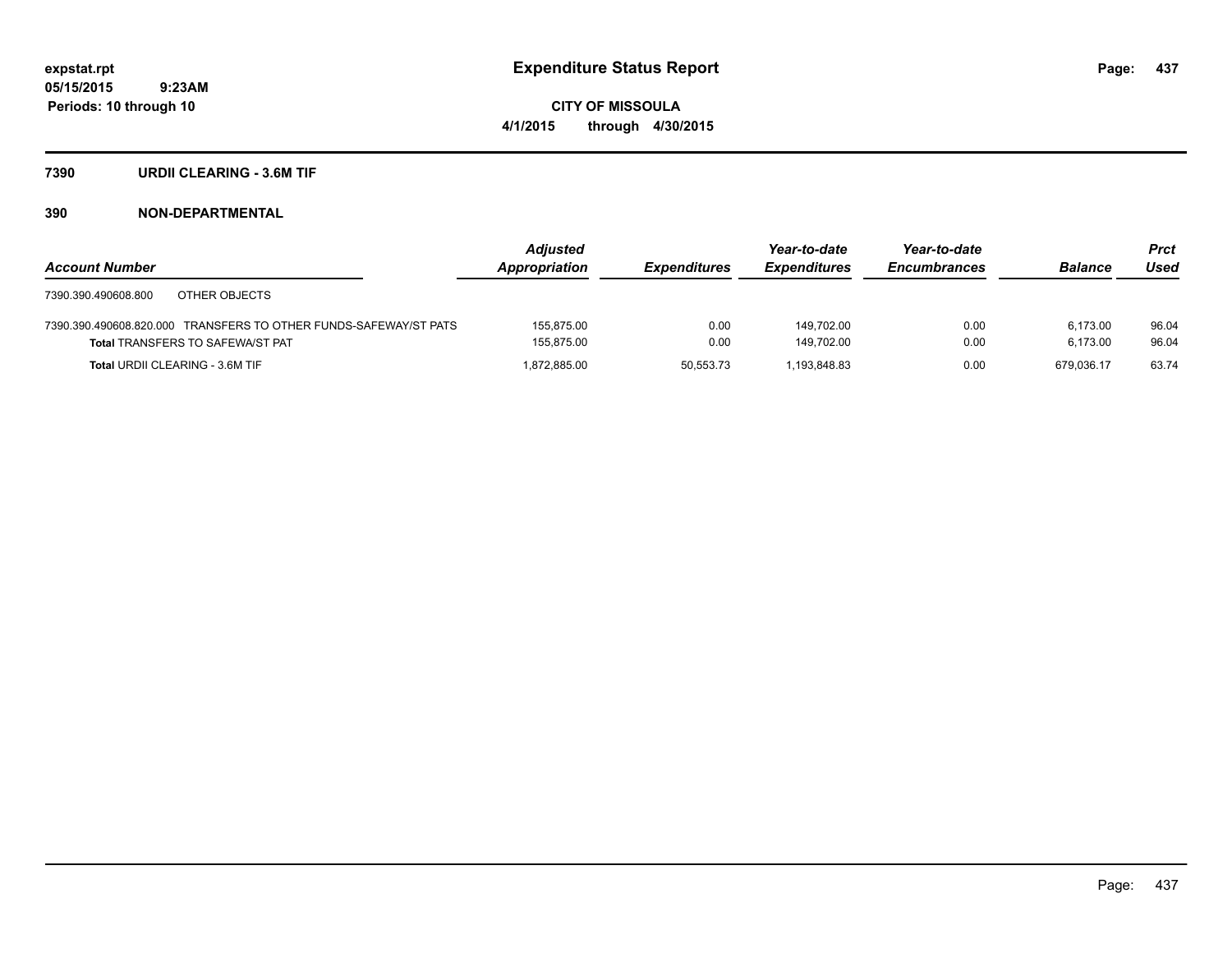**CITY OF MISSOULA 4/1/2015 through 4/30/2015**

### **7390 URDII CLEARING - 3.6M TIF**

|                                                                  | <b>Adjusted</b> |                     | Year-to-date        | Year-to-date        |                | <b>Prct</b> |
|------------------------------------------------------------------|-----------------|---------------------|---------------------|---------------------|----------------|-------------|
| <b>Account Number</b>                                            | Appropriation   | <b>Expenditures</b> | <b>Expenditures</b> | <b>Encumbrances</b> | <b>Balance</b> | Used        |
| 7390.390.490608.800<br>OTHER OBJECTS                             |                 |                     |                     |                     |                |             |
| 7390.390.490608.820.000 TRANSFERS TO OTHER FUNDS-SAFEWAY/ST PATS | 155,875.00      | 0.00                | 149.702.00          | 0.00                | 6.173.00       | 96.04       |
| <b>Total TRANSFERS TO SAFEWA/ST PAT</b>                          | 155,875.00      | 0.00                | 149.702.00          | 0.00                | 6.173.00       | 96.04       |
| <b>Total URDII CLEARING - 3.6M TIF</b>                           | 1,872,885.00    | 50,553.73           | 1.193.848.83        | 0.00                | 679.036.17     | 63.74       |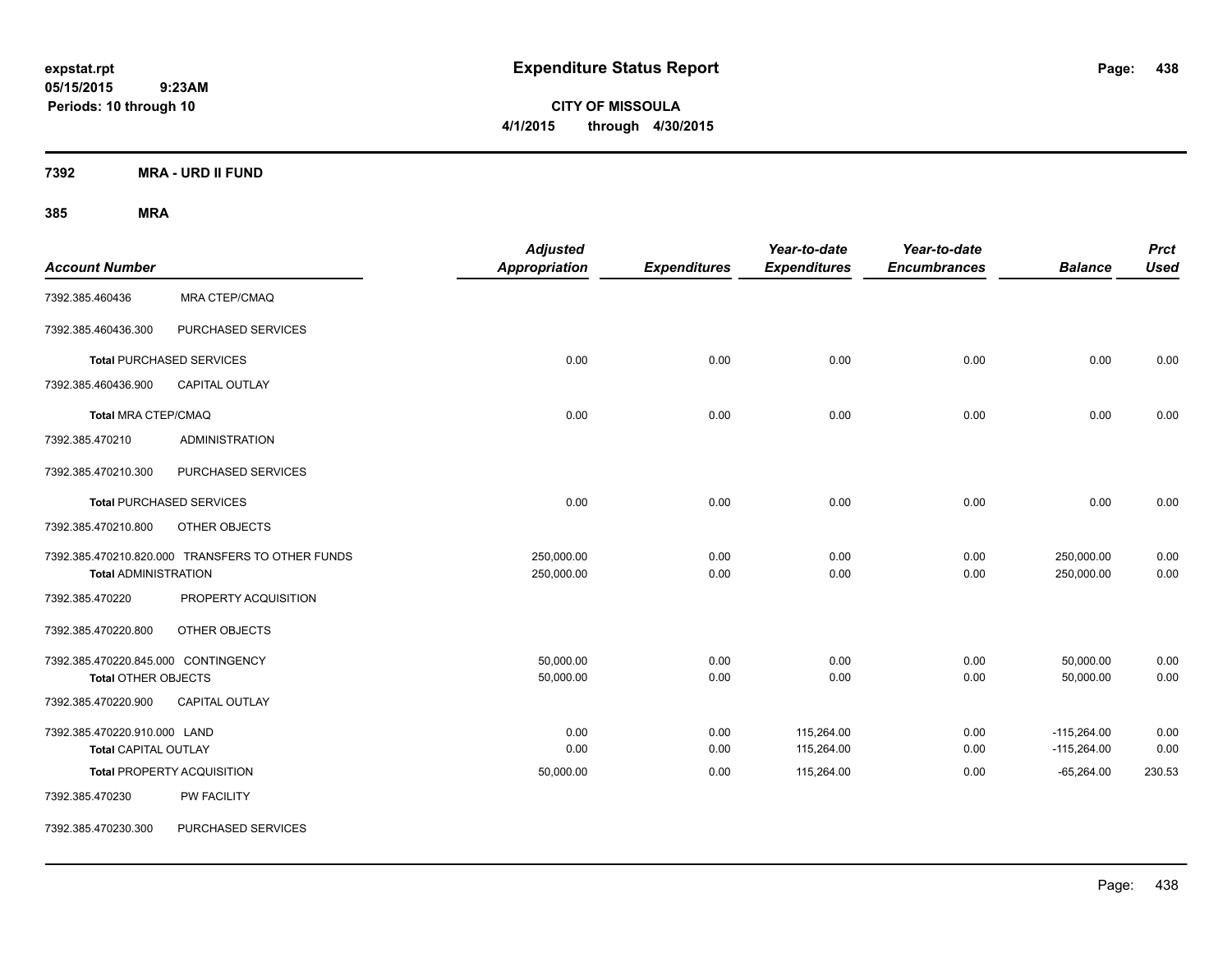**CITY OF MISSOULA 4/1/2015 through 4/30/2015**

**7392 MRA - URD II FUND**

| <b>Account Number</b>                                             |                                                  | <b>Adjusted</b><br><b>Appropriation</b> | <b>Expenditures</b> | Year-to-date<br><b>Expenditures</b> | Year-to-date<br><b>Encumbrances</b> | <b>Balance</b>                 | <b>Prct</b><br><b>Used</b> |
|-------------------------------------------------------------------|--------------------------------------------------|-----------------------------------------|---------------------|-------------------------------------|-------------------------------------|--------------------------------|----------------------------|
| 7392.385.460436                                                   | <b>MRA CTEP/CMAQ</b>                             |                                         |                     |                                     |                                     |                                |                            |
| 7392.385.460436.300                                               | PURCHASED SERVICES                               |                                         |                     |                                     |                                     |                                |                            |
|                                                                   | <b>Total PURCHASED SERVICES</b>                  | 0.00                                    | 0.00                | 0.00                                | 0.00                                | 0.00                           | 0.00                       |
| 7392.385.460436.900                                               | CAPITAL OUTLAY                                   |                                         |                     |                                     |                                     |                                |                            |
| <b>Total MRA CTEP/CMAQ</b>                                        |                                                  | 0.00                                    | 0.00                | 0.00                                | 0.00                                | 0.00                           | 0.00                       |
| 7392.385.470210                                                   | <b>ADMINISTRATION</b>                            |                                         |                     |                                     |                                     |                                |                            |
| 7392.385.470210.300                                               | PURCHASED SERVICES                               |                                         |                     |                                     |                                     |                                |                            |
|                                                                   | <b>Total PURCHASED SERVICES</b>                  | 0.00                                    | 0.00                | 0.00                                | 0.00                                | 0.00                           | 0.00                       |
| 7392.385.470210.800                                               | OTHER OBJECTS                                    |                                         |                     |                                     |                                     |                                |                            |
| <b>Total ADMINISTRATION</b>                                       | 7392.385.470210.820.000 TRANSFERS TO OTHER FUNDS | 250,000.00<br>250,000.00                | 0.00<br>0.00        | 0.00<br>0.00                        | 0.00<br>0.00                        | 250,000.00<br>250,000.00       | 0.00<br>0.00               |
| 7392.385.470220                                                   | PROPERTY ACQUISITION                             |                                         |                     |                                     |                                     |                                |                            |
| 7392.385.470220.800                                               | OTHER OBJECTS                                    |                                         |                     |                                     |                                     |                                |                            |
| 7392.385.470220.845.000 CONTINGENCY<br><b>Total OTHER OBJECTS</b> |                                                  | 50,000.00<br>50,000.00                  | 0.00<br>0.00        | 0.00<br>0.00                        | 0.00<br>0.00                        | 50,000.00<br>50,000.00         | 0.00<br>0.00               |
| 7392.385.470220.900                                               | <b>CAPITAL OUTLAY</b>                            |                                         |                     |                                     |                                     |                                |                            |
| 7392.385.470220.910.000 LAND<br><b>Total CAPITAL OUTLAY</b>       |                                                  | 0.00<br>0.00                            | 0.00<br>0.00        | 115,264.00<br>115,264.00            | 0.00<br>0.00                        | $-115,264.00$<br>$-115,264.00$ | 0.00<br>0.00               |
|                                                                   | <b>Total PROPERTY ACQUISITION</b>                | 50,000.00                               | 0.00                | 115,264.00                          | 0.00                                | $-65,264.00$                   | 230.53                     |
| 7392.385.470230                                                   | PW FACILITY                                      |                                         |                     |                                     |                                     |                                |                            |
| 7392.385.470230.300                                               | <b>PURCHASED SERVICES</b>                        |                                         |                     |                                     |                                     |                                |                            |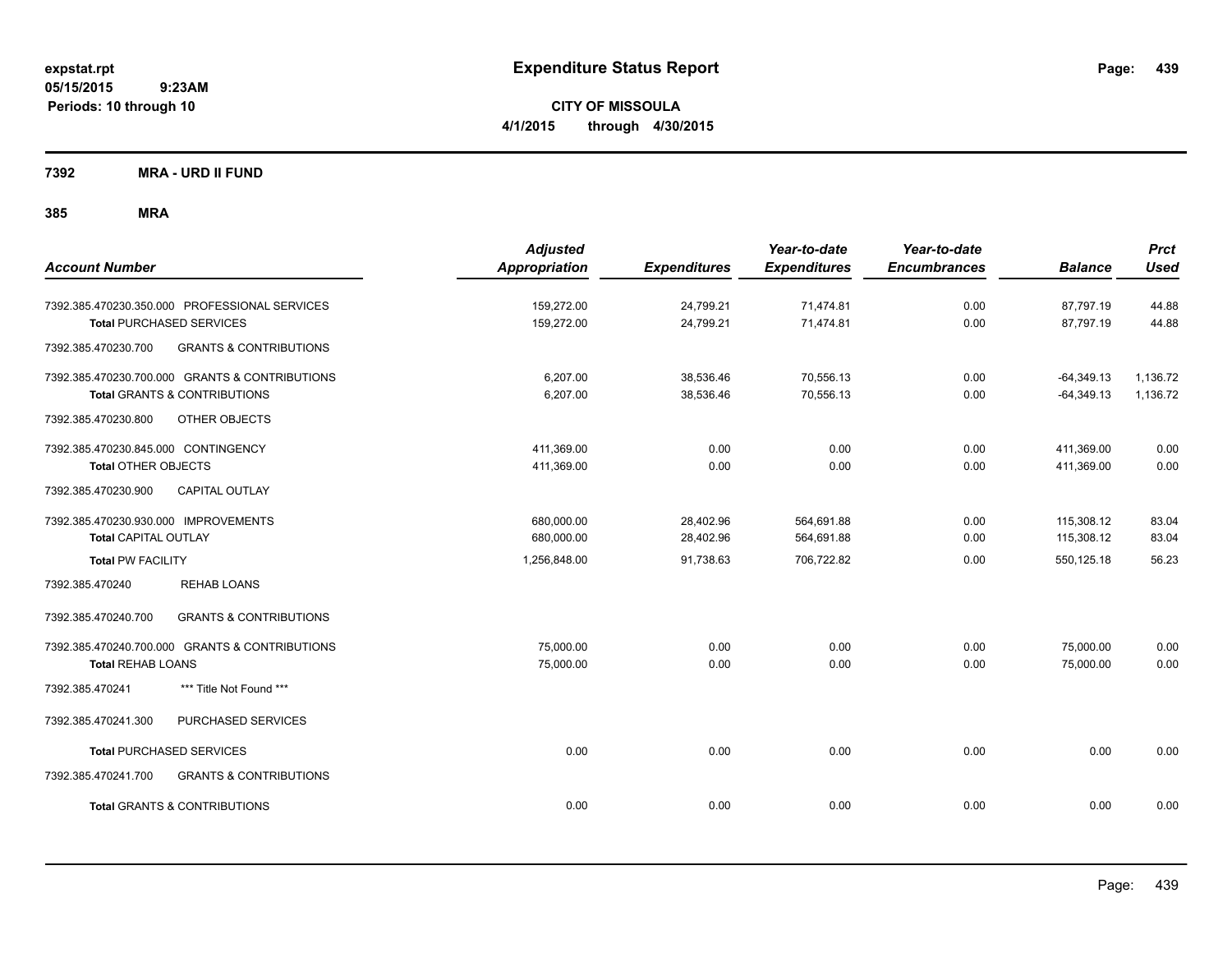**CITY OF MISSOULA 4/1/2015 through 4/30/2015**

**7392 MRA - URD II FUND**

| <b>Account Number</b>                                                                                             | <b>Adjusted</b><br><b>Appropriation</b> | <b>Expenditures</b>    | Year-to-date<br><b>Expenditures</b> | Year-to-date<br><b>Encumbrances</b> | <b>Balance</b>               | <b>Prct</b><br><b>Used</b> |
|-------------------------------------------------------------------------------------------------------------------|-----------------------------------------|------------------------|-------------------------------------|-------------------------------------|------------------------------|----------------------------|
| 7392.385.470230.350.000 PROFESSIONAL SERVICES<br><b>Total PURCHASED SERVICES</b>                                  | 159,272.00<br>159,272.00                | 24,799.21<br>24,799.21 | 71,474.81<br>71,474.81              | 0.00<br>0.00                        | 87,797.19<br>87,797.19       | 44.88<br>44.88             |
| <b>GRANTS &amp; CONTRIBUTIONS</b><br>7392.385.470230.700                                                          |                                         |                        |                                     |                                     |                              |                            |
| 7392.385.470230.700.000 GRANTS & CONTRIBUTIONS<br><b>Total GRANTS &amp; CONTRIBUTIONS</b>                         | 6,207.00<br>6,207.00                    | 38,536.46<br>38,536.46 | 70,556.13<br>70,556.13              | 0.00<br>0.00                        | $-64,349.13$<br>$-64,349.13$ | 1,136.72<br>1,136.72       |
| 7392.385.470230.800<br>OTHER OBJECTS                                                                              |                                         |                        |                                     |                                     |                              |                            |
| 7392.385.470230.845.000 CONTINGENCY<br><b>Total OTHER OBJECTS</b><br><b>CAPITAL OUTLAY</b><br>7392.385.470230.900 | 411,369.00<br>411,369.00                | 0.00<br>0.00           | 0.00<br>0.00                        | 0.00<br>0.00                        | 411,369.00<br>411,369.00     | 0.00<br>0.00               |
| 7392.385.470230.930.000 IMPROVEMENTS<br><b>Total CAPITAL OUTLAY</b>                                               | 680,000.00<br>680,000.00                | 28,402.96<br>28,402.96 | 564,691.88<br>564,691.88            | 0.00<br>0.00                        | 115,308.12<br>115,308.12     | 83.04<br>83.04             |
| <b>Total PW FACILITY</b>                                                                                          | 1,256,848.00                            | 91.738.63              | 706,722.82                          | 0.00                                | 550.125.18                   | 56.23                      |
| 7392.385.470240<br><b>REHAB LOANS</b>                                                                             |                                         |                        |                                     |                                     |                              |                            |
| <b>GRANTS &amp; CONTRIBUTIONS</b><br>7392.385.470240.700                                                          |                                         |                        |                                     |                                     |                              |                            |
| 7392.385.470240.700.000 GRANTS & CONTRIBUTIONS<br><b>Total REHAB LOANS</b>                                        | 75,000.00<br>75,000.00                  | 0.00<br>0.00           | 0.00<br>0.00                        | 0.00<br>0.00                        | 75,000.00<br>75,000.00       | 0.00<br>0.00               |
| *** Title Not Found ***<br>7392.385.470241                                                                        |                                         |                        |                                     |                                     |                              |                            |
| PURCHASED SERVICES<br>7392.385.470241.300                                                                         |                                         |                        |                                     |                                     |                              |                            |
| <b>Total PURCHASED SERVICES</b>                                                                                   | 0.00                                    | 0.00                   | 0.00                                | 0.00                                | 0.00                         | 0.00                       |
| 7392.385.470241.700<br><b>GRANTS &amp; CONTRIBUTIONS</b>                                                          |                                         |                        |                                     |                                     |                              |                            |
| <b>Total GRANTS &amp; CONTRIBUTIONS</b>                                                                           | 0.00                                    | 0.00                   | 0.00                                | 0.00                                | 0.00                         | 0.00                       |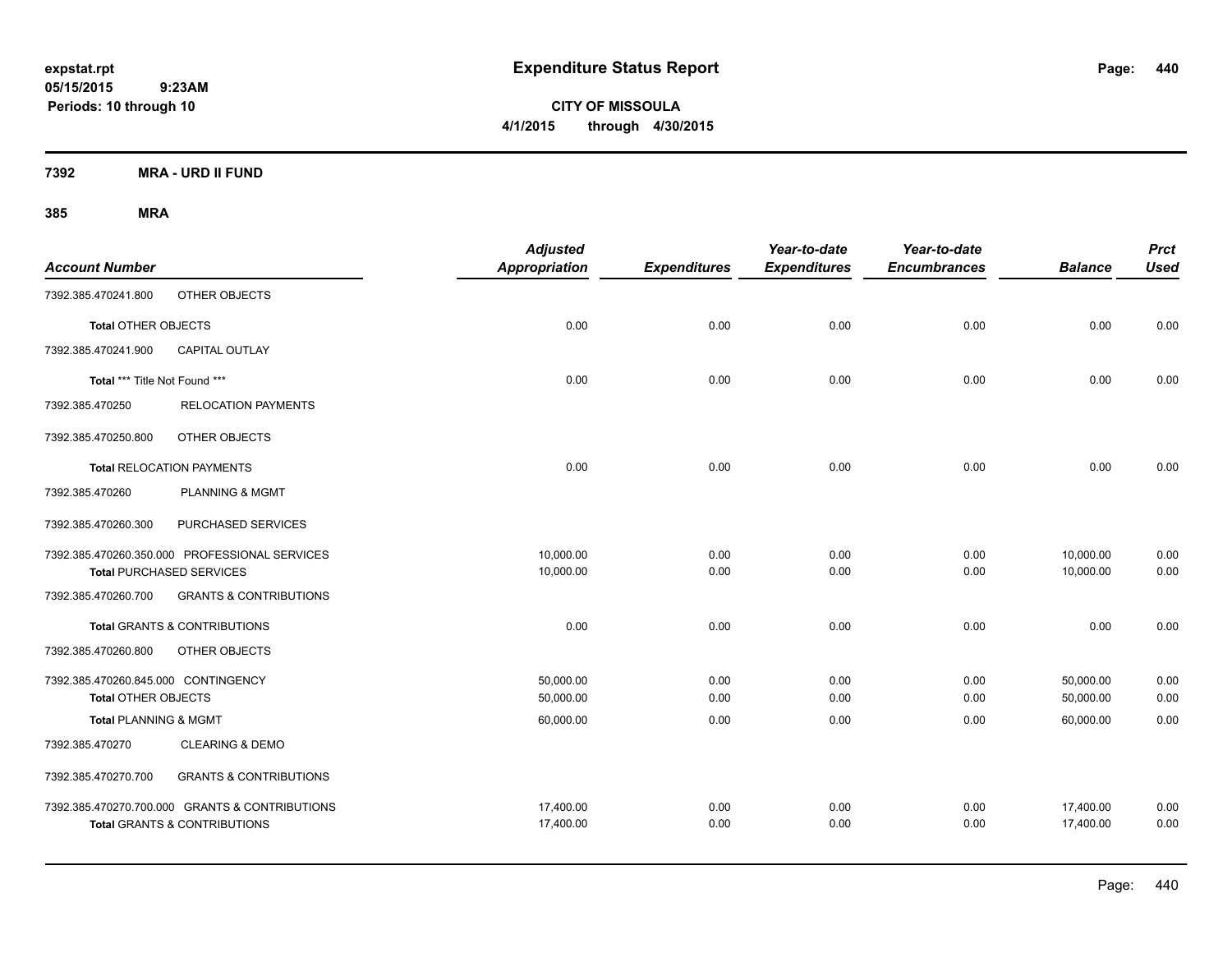**CITY OF MISSOULA 4/1/2015 through 4/30/2015**

**7392 MRA - URD II FUND**

| <b>Account Number</b>               |                                                | <b>Adjusted</b><br>Appropriation | <b>Expenditures</b> | Year-to-date<br><b>Expenditures</b> | Year-to-date<br><b>Encumbrances</b> | <b>Balance</b> | <b>Prct</b><br><b>Used</b> |
|-------------------------------------|------------------------------------------------|----------------------------------|---------------------|-------------------------------------|-------------------------------------|----------------|----------------------------|
| 7392.385.470241.800                 | OTHER OBJECTS                                  |                                  |                     |                                     |                                     |                |                            |
| <b>Total OTHER OBJECTS</b>          |                                                | 0.00                             | 0.00                | 0.00                                | 0.00                                | 0.00           | 0.00                       |
| 7392.385.470241.900                 | CAPITAL OUTLAY                                 |                                  |                     |                                     |                                     |                |                            |
| Total *** Title Not Found ***       |                                                | 0.00                             | 0.00                | 0.00                                | 0.00                                | 0.00           | 0.00                       |
| 7392.385.470250                     | <b>RELOCATION PAYMENTS</b>                     |                                  |                     |                                     |                                     |                |                            |
| 7392.385.470250.800                 | OTHER OBJECTS                                  |                                  |                     |                                     |                                     |                |                            |
|                                     | <b>Total RELOCATION PAYMENTS</b>               | 0.00                             | 0.00                | 0.00                                | 0.00                                | 0.00           | 0.00                       |
| 7392.385.470260                     | <b>PLANNING &amp; MGMT</b>                     |                                  |                     |                                     |                                     |                |                            |
| 7392.385.470260.300                 | PURCHASED SERVICES                             |                                  |                     |                                     |                                     |                |                            |
|                                     | 7392.385.470260.350.000 PROFESSIONAL SERVICES  | 10,000.00                        | 0.00                | 0.00                                | 0.00                                | 10,000.00      | 0.00                       |
|                                     | <b>Total PURCHASED SERVICES</b>                | 10,000.00                        | 0.00                | 0.00                                | 0.00                                | 10,000.00      | 0.00                       |
| 7392.385.470260.700                 | <b>GRANTS &amp; CONTRIBUTIONS</b>              |                                  |                     |                                     |                                     |                |                            |
|                                     | <b>Total GRANTS &amp; CONTRIBUTIONS</b>        | 0.00                             | 0.00                | 0.00                                | 0.00                                | 0.00           | 0.00                       |
| 7392.385.470260.800                 | OTHER OBJECTS                                  |                                  |                     |                                     |                                     |                |                            |
| 7392.385.470260.845.000 CONTINGENCY |                                                | 50,000.00                        | 0.00                | 0.00                                | 0.00                                | 50,000.00      | 0.00                       |
| <b>Total OTHER OBJECTS</b>          |                                                | 50,000.00                        | 0.00                | 0.00                                | 0.00                                | 50,000.00      | 0.00                       |
| <b>Total PLANNING &amp; MGMT</b>    |                                                | 60,000.00                        | 0.00                | 0.00                                | 0.00                                | 60,000.00      | 0.00                       |
| 7392.385.470270                     | <b>CLEARING &amp; DEMO</b>                     |                                  |                     |                                     |                                     |                |                            |
| 7392.385.470270.700                 | <b>GRANTS &amp; CONTRIBUTIONS</b>              |                                  |                     |                                     |                                     |                |                            |
|                                     | 7392.385.470270.700.000 GRANTS & CONTRIBUTIONS | 17,400.00                        | 0.00                | 0.00                                | 0.00                                | 17,400.00      | 0.00                       |
|                                     | <b>Total GRANTS &amp; CONTRIBUTIONS</b>        | 17,400.00                        | 0.00                | 0.00                                | 0.00                                | 17,400.00      | 0.00                       |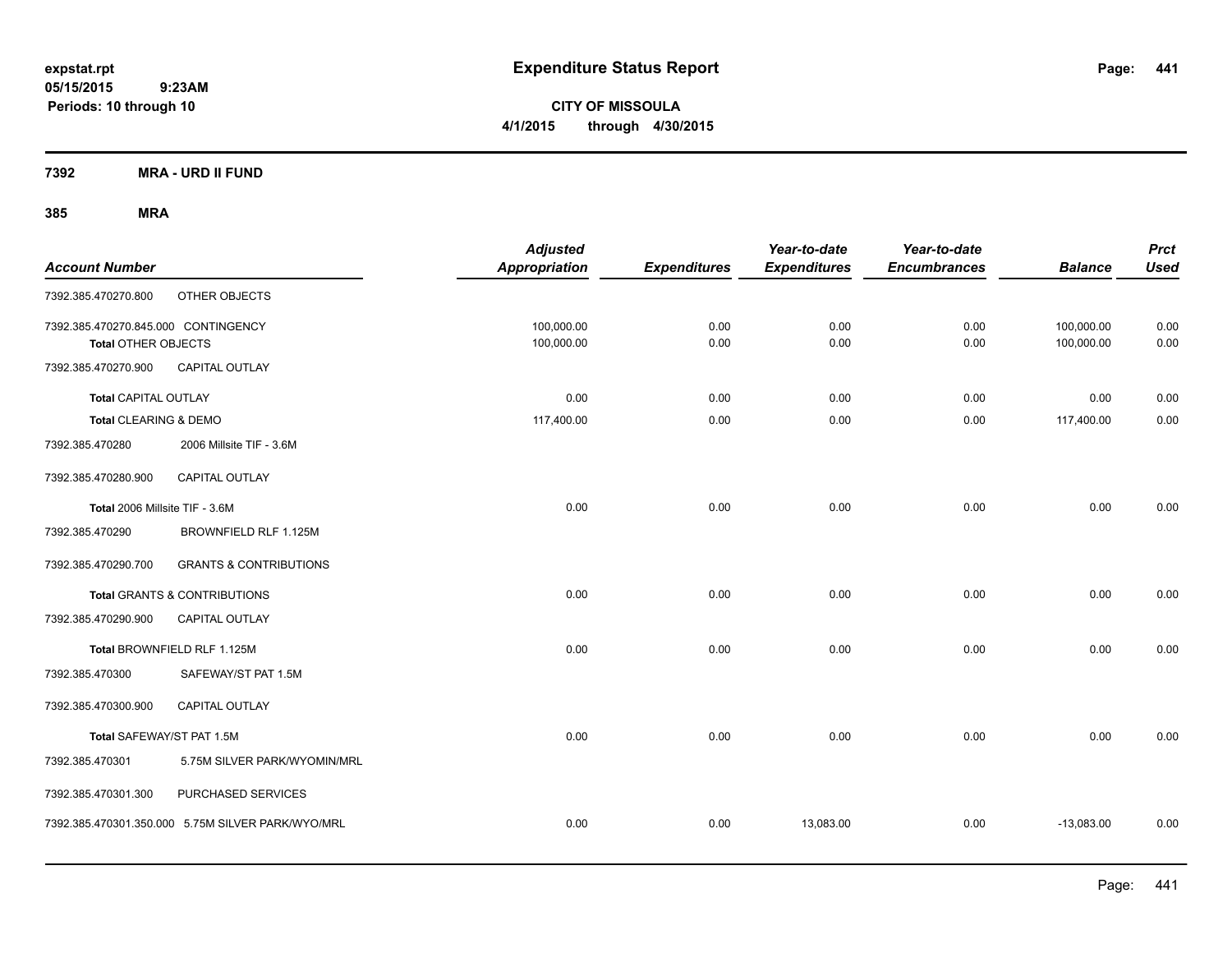**CITY OF MISSOULA 4/1/2015 through 4/30/2015**

**7392 MRA - URD II FUND**

| <b>Account Number</b>                                             |                                                   | <b>Adjusted</b><br>Appropriation | <b>Expenditures</b> | Year-to-date<br><b>Expenditures</b> | Year-to-date<br><b>Encumbrances</b> | <b>Balance</b>           | <b>Prct</b><br><b>Used</b> |
|-------------------------------------------------------------------|---------------------------------------------------|----------------------------------|---------------------|-------------------------------------|-------------------------------------|--------------------------|----------------------------|
| 7392.385.470270.800                                               | OTHER OBJECTS                                     |                                  |                     |                                     |                                     |                          |                            |
| 7392.385.470270.845.000 CONTINGENCY<br><b>Total OTHER OBJECTS</b> |                                                   | 100,000.00<br>100,000.00         | 0.00<br>0.00        | 0.00<br>0.00                        | 0.00<br>0.00                        | 100,000.00<br>100,000.00 | 0.00<br>0.00               |
| 7392.385.470270.900                                               | <b>CAPITAL OUTLAY</b>                             |                                  |                     |                                     |                                     |                          |                            |
| <b>Total CAPITAL OUTLAY</b>                                       |                                                   | 0.00                             | 0.00                | 0.00                                | 0.00                                | 0.00                     | 0.00                       |
| Total CLEARING & DEMO                                             |                                                   | 117,400.00                       | 0.00                | 0.00                                | 0.00                                | 117,400.00               | 0.00                       |
| 7392.385.470280                                                   | 2006 Millsite TIF - 3.6M                          |                                  |                     |                                     |                                     |                          |                            |
| 7392.385.470280.900                                               | <b>CAPITAL OUTLAY</b>                             |                                  |                     |                                     |                                     |                          |                            |
| Total 2006 Millsite TIF - 3.6M                                    |                                                   | 0.00                             | 0.00                | 0.00                                | 0.00                                | 0.00                     | 0.00                       |
| 7392.385.470290                                                   | BROWNFIELD RLF 1.125M                             |                                  |                     |                                     |                                     |                          |                            |
| 7392.385.470290.700                                               | <b>GRANTS &amp; CONTRIBUTIONS</b>                 |                                  |                     |                                     |                                     |                          |                            |
|                                                                   | Total GRANTS & CONTRIBUTIONS                      | 0.00                             | 0.00                | 0.00                                | 0.00                                | 0.00                     | 0.00                       |
| 7392.385.470290.900                                               | <b>CAPITAL OUTLAY</b>                             |                                  |                     |                                     |                                     |                          |                            |
|                                                                   | Total BROWNFIELD RLF 1.125M                       | 0.00                             | 0.00                | 0.00                                | 0.00                                | 0.00                     | 0.00                       |
| 7392.385.470300                                                   | SAFEWAY/ST PAT 1.5M                               |                                  |                     |                                     |                                     |                          |                            |
| 7392.385.470300.900                                               | <b>CAPITAL OUTLAY</b>                             |                                  |                     |                                     |                                     |                          |                            |
| Total SAFEWAY/ST PAT 1.5M                                         |                                                   | 0.00                             | 0.00                | 0.00                                | 0.00                                | 0.00                     | 0.00                       |
| 7392.385.470301                                                   | 5.75M SILVER PARK/WYOMIN/MRL                      |                                  |                     |                                     |                                     |                          |                            |
| 7392.385.470301.300                                               | PURCHASED SERVICES                                |                                  |                     |                                     |                                     |                          |                            |
|                                                                   | 7392.385.470301.350.000 5.75M SILVER PARK/WYO/MRL | 0.00                             | 0.00                | 13,083.00                           | 0.00                                | $-13,083.00$             | 0.00                       |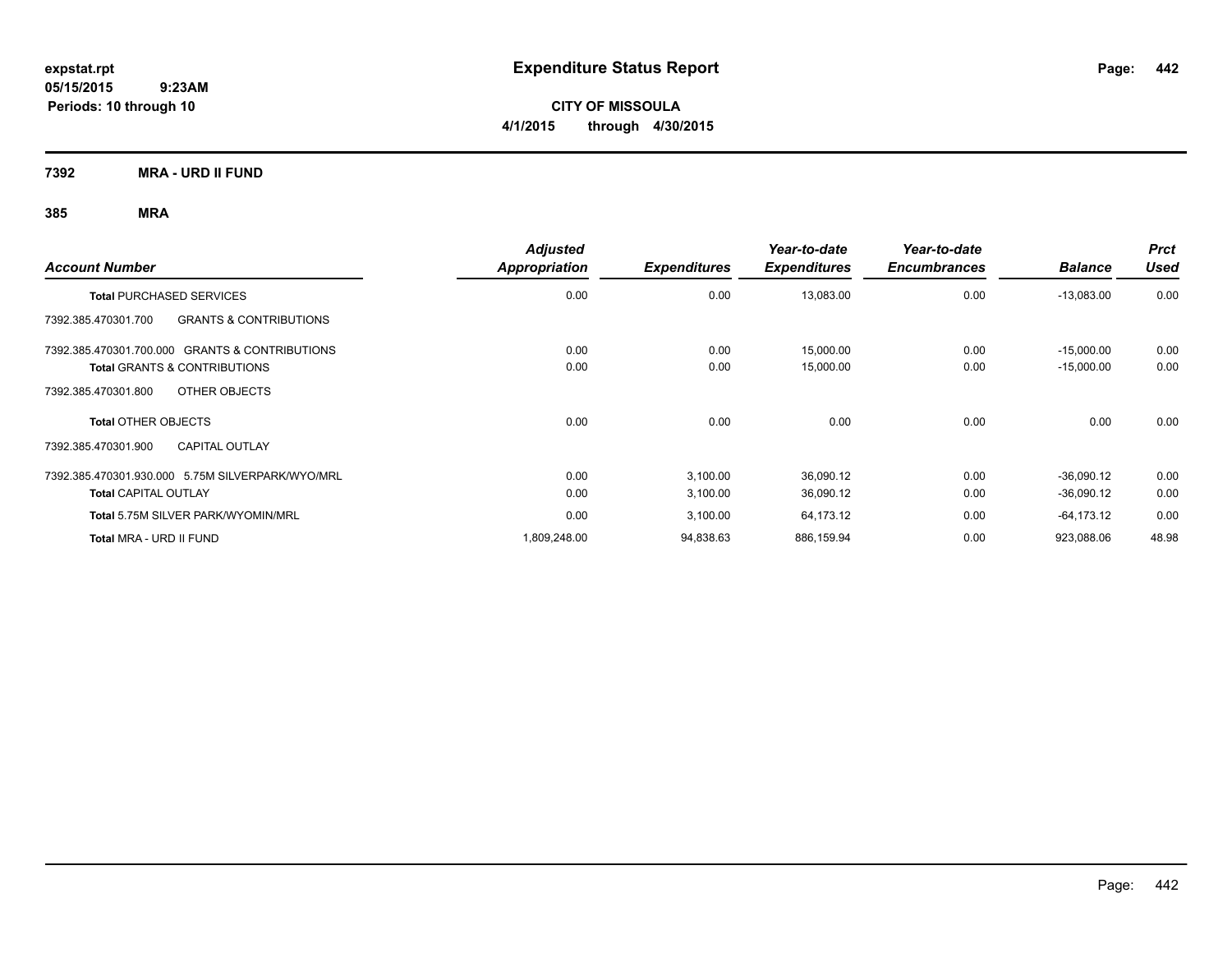**CITY OF MISSOULA 4/1/2015 through 4/30/2015**

**7392 MRA - URD II FUND**

| <b>Account Number</b>                                    | <b>Adjusted</b><br>Appropriation | <b>Expenditures</b> | Year-to-date<br><b>Expenditures</b> | Year-to-date<br><b>Encumbrances</b> | <b>Balance</b> | <b>Prct</b><br>Used |
|----------------------------------------------------------|----------------------------------|---------------------|-------------------------------------|-------------------------------------|----------------|---------------------|
| <b>Total PURCHASED SERVICES</b>                          | 0.00                             | 0.00                | 13,083.00                           | 0.00                                | $-13,083.00$   | 0.00                |
| <b>GRANTS &amp; CONTRIBUTIONS</b><br>7392.385.470301.700 |                                  |                     |                                     |                                     |                |                     |
| 7392.385.470301.700.000 GRANTS & CONTRIBUTIONS           | 0.00                             | 0.00                | 15,000.00                           | 0.00                                | $-15,000.00$   | 0.00                |
| <b>Total GRANTS &amp; CONTRIBUTIONS</b>                  | 0.00                             | 0.00                | 15,000.00                           | 0.00                                | $-15,000.00$   | 0.00                |
| OTHER OBJECTS<br>7392.385.470301.800                     |                                  |                     |                                     |                                     |                |                     |
| <b>Total OTHER OBJECTS</b>                               | 0.00                             | 0.00                | 0.00                                | 0.00                                | 0.00           | 0.00                |
| <b>CAPITAL OUTLAY</b><br>7392.385.470301.900             |                                  |                     |                                     |                                     |                |                     |
| 7392.385.470301.930.000 5.75M SILVERPARK/WYO/MRL         | 0.00                             | 3,100.00            | 36,090.12                           | 0.00                                | $-36,090.12$   | 0.00                |
| <b>Total CAPITAL OUTLAY</b>                              | 0.00                             | 3,100.00            | 36,090.12                           | 0.00                                | $-36,090.12$   | 0.00                |
| Total 5.75M SILVER PARK/WYOMIN/MRL                       | 0.00                             | 3,100.00            | 64,173.12                           | 0.00                                | -64,173.12     | 0.00                |
| Total MRA - URD II FUND                                  | 1,809,248.00                     | 94,838.63           | 886,159.94                          | 0.00                                | 923,088.06     | 48.98               |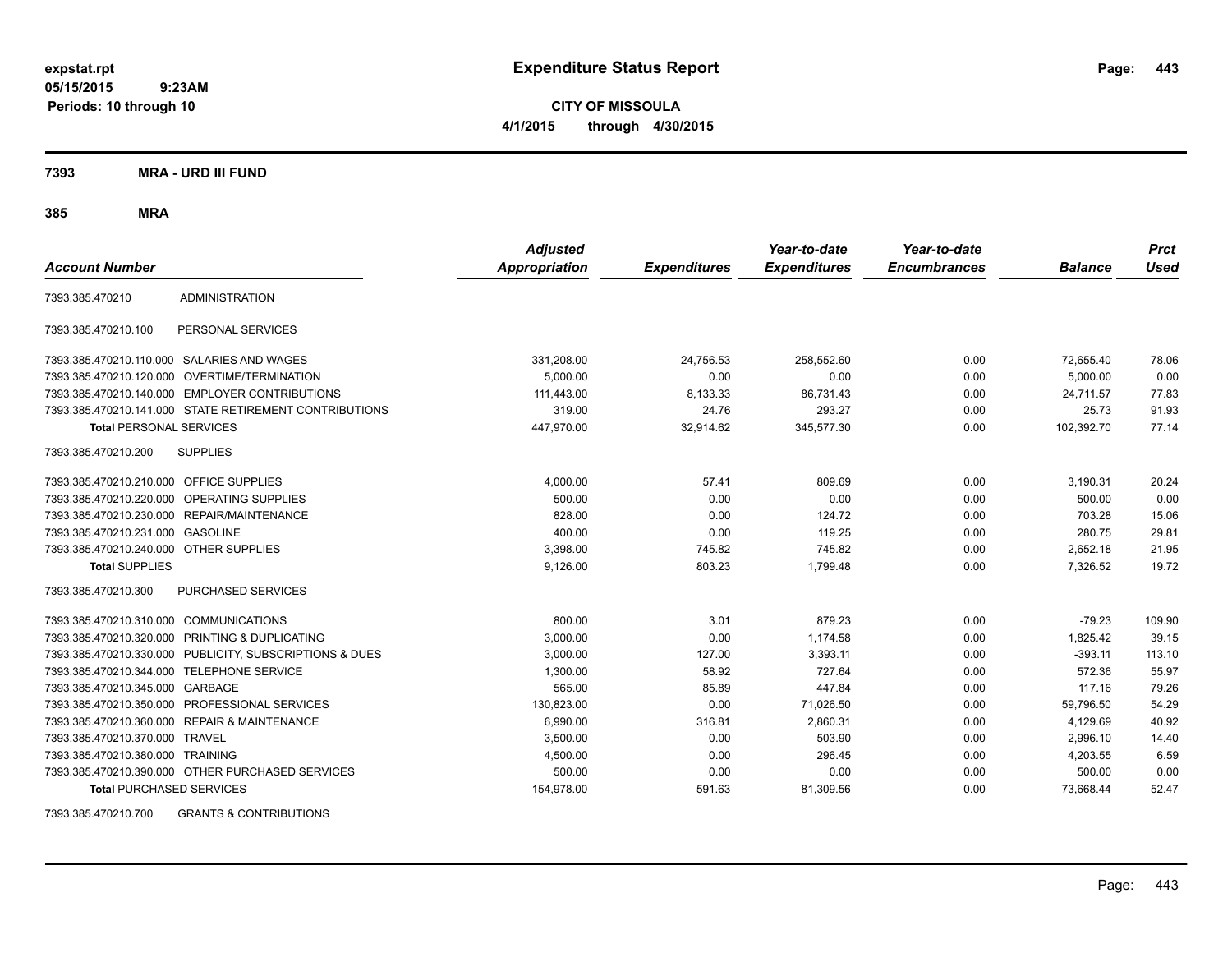**CITY OF MISSOULA 4/1/2015 through 4/30/2015**

**7393 MRA - URD III FUND**

**385 MRA**

| <b>Account Number</b>                   |                                                         | <b>Adjusted</b><br><b>Appropriation</b> | <b>Expenditures</b> | Year-to-date<br><b>Expenditures</b> | Year-to-date<br><b>Encumbrances</b> | <b>Balance</b> | <b>Prct</b><br>Used |
|-----------------------------------------|---------------------------------------------------------|-----------------------------------------|---------------------|-------------------------------------|-------------------------------------|----------------|---------------------|
| 7393.385.470210                         | <b>ADMINISTRATION</b>                                   |                                         |                     |                                     |                                     |                |                     |
| 7393.385.470210.100                     | PERSONAL SERVICES                                       |                                         |                     |                                     |                                     |                |                     |
|                                         | 7393.385.470210.110.000 SALARIES AND WAGES              | 331,208.00                              | 24,756.53           | 258,552.60                          | 0.00                                | 72,655.40      | 78.06               |
|                                         | 7393.385.470210.120.000 OVERTIME/TERMINATION            | 5,000.00                                | 0.00                | 0.00                                | 0.00                                | 5,000.00       | 0.00                |
|                                         | 7393.385.470210.140.000 EMPLOYER CONTRIBUTIONS          | 111,443.00                              | 8,133.33            | 86,731.43                           | 0.00                                | 24,711.57      | 77.83               |
|                                         | 7393.385.470210.141.000 STATE RETIREMENT CONTRIBUTIONS  | 319.00                                  | 24.76               | 293.27                              | 0.00                                | 25.73          | 91.93               |
| <b>Total PERSONAL SERVICES</b>          |                                                         | 447,970.00                              | 32,914.62           | 345,577.30                          | 0.00                                | 102,392.70     | 77.14               |
| 7393.385.470210.200                     | <b>SUPPLIES</b>                                         |                                         |                     |                                     |                                     |                |                     |
| 7393.385.470210.210.000 OFFICE SUPPLIES |                                                         | 4,000.00                                | 57.41               | 809.69                              | 0.00                                | 3,190.31       | 20.24               |
|                                         | 7393.385.470210.220.000 OPERATING SUPPLIES              | 500.00                                  | 0.00                | 0.00                                | 0.00                                | 500.00         | 0.00                |
| 7393.385.470210.230.000                 | REPAIR/MAINTENANCE                                      | 828.00                                  | 0.00                | 124.72                              | 0.00                                | 703.28         | 15.06               |
| 7393.385.470210.231.000                 | <b>GASOLINE</b>                                         | 400.00                                  | 0.00                | 119.25                              | 0.00                                | 280.75         | 29.81               |
| 7393.385.470210.240.000 OTHER SUPPLIES  |                                                         | 3,398.00                                | 745.82              | 745.82                              | 0.00                                | 2,652.18       | 21.95               |
| <b>Total SUPPLIES</b>                   |                                                         | 9,126.00                                | 803.23              | 1,799.48                            | 0.00                                | 7,326.52       | 19.72               |
| 7393.385.470210.300                     | PURCHASED SERVICES                                      |                                         |                     |                                     |                                     |                |                     |
| 7393.385.470210.310.000                 | <b>COMMUNICATIONS</b>                                   | 800.00                                  | 3.01                | 879.23                              | 0.00                                | $-79.23$       | 109.90              |
| 7393.385.470210.320.000                 | <b>PRINTING &amp; DUPLICATING</b>                       | 3,000.00                                | 0.00                | 1,174.58                            | 0.00                                | 1,825.42       | 39.15               |
|                                         | 7393.385.470210.330.000 PUBLICITY, SUBSCRIPTIONS & DUES | 3,000.00                                | 127.00              | 3,393.11                            | 0.00                                | $-393.11$      | 113.10              |
| 7393.385.470210.344.000                 | <b>TELEPHONE SERVICE</b>                                | 1,300.00                                | 58.92               | 727.64                              | 0.00                                | 572.36         | 55.97               |
| 7393.385.470210.345.000                 | GARBAGE                                                 | 565.00                                  | 85.89               | 447.84                              | 0.00                                | 117.16         | 79.26               |
| 7393.385.470210.350.000                 | PROFESSIONAL SERVICES                                   | 130,823.00                              | 0.00                | 71,026.50                           | 0.00                                | 59,796.50      | 54.29               |
|                                         | 7393.385.470210.360.000 REPAIR & MAINTENANCE            | 6,990.00                                | 316.81              | 2,860.31                            | 0.00                                | 4,129.69       | 40.92               |
| 7393.385.470210.370.000                 | <b>TRAVEL</b>                                           | 3,500.00                                | 0.00                | 503.90                              | 0.00                                | 2,996.10       | 14.40               |
| 7393.385.470210.380.000 TRAINING        |                                                         | 4,500.00                                | 0.00                | 296.45                              | 0.00                                | 4,203.55       | 6.59                |
|                                         | 7393.385.470210.390.000 OTHER PURCHASED SERVICES        | 500.00                                  | 0.00                | 0.00                                | 0.00                                | 500.00         | 0.00                |
| <b>Total PURCHASED SERVICES</b>         |                                                         | 154,978.00                              | 591.63              | 81,309.56                           | 0.00                                | 73,668.44      | 52.47               |

7393.385.470210.700 GRANTS & CONTRIBUTIONS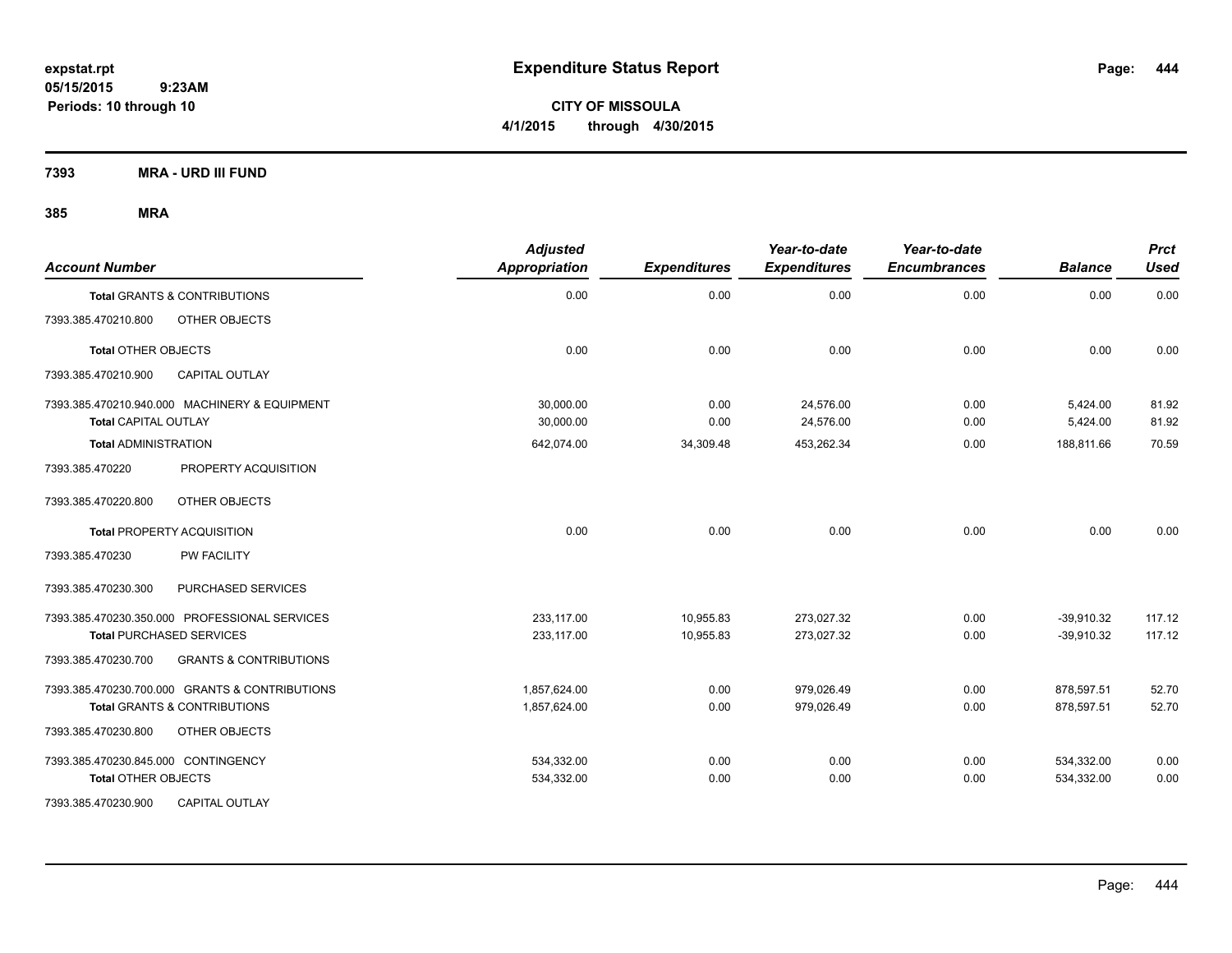**CITY OF MISSOULA 4/1/2015 through 4/30/2015**

**7393 MRA - URD III FUND**

| <b>Account Number</b>                                                        | <b>Adjusted</b><br><b>Appropriation</b> | <b>Expenditures</b> | Year-to-date<br><b>Expenditures</b> | Year-to-date<br><b>Encumbrances</b> | <b>Balance</b>       | <b>Prct</b><br><b>Used</b> |
|------------------------------------------------------------------------------|-----------------------------------------|---------------------|-------------------------------------|-------------------------------------|----------------------|----------------------------|
| Total GRANTS & CONTRIBUTIONS                                                 | 0.00                                    | 0.00                | 0.00                                | 0.00                                | 0.00                 | 0.00                       |
| 7393.385.470210.800<br>OTHER OBJECTS                                         |                                         |                     |                                     |                                     |                      |                            |
| <b>Total OTHER OBJECTS</b>                                                   | 0.00                                    | 0.00                | 0.00                                | 0.00                                | 0.00                 | 0.00                       |
| 7393.385.470210.900<br><b>CAPITAL OUTLAY</b>                                 |                                         |                     |                                     |                                     |                      |                            |
| 7393.385.470210.940.000 MACHINERY & EQUIPMENT<br><b>Total CAPITAL OUTLAY</b> | 30,000.00<br>30,000.00                  | 0.00<br>0.00        | 24,576.00<br>24,576.00              | 0.00<br>0.00                        | 5,424.00<br>5,424.00 | 81.92<br>81.92             |
| <b>Total ADMINISTRATION</b>                                                  | 642,074.00                              | 34,309.48           | 453,262.34                          | 0.00                                | 188,811.66           | 70.59                      |
| 7393.385.470220<br>PROPERTY ACQUISITION                                      |                                         |                     |                                     |                                     |                      |                            |
| OTHER OBJECTS<br>7393.385.470220.800                                         |                                         |                     |                                     |                                     |                      |                            |
| <b>Total PROPERTY ACQUISITION</b>                                            | 0.00                                    | 0.00                | 0.00                                | 0.00                                | 0.00                 | 0.00                       |
| 7393.385.470230<br><b>PW FACILITY</b>                                        |                                         |                     |                                     |                                     |                      |                            |
| 7393.385.470230.300<br>PURCHASED SERVICES                                    |                                         |                     |                                     |                                     |                      |                            |
| 7393.385.470230.350.000 PROFESSIONAL SERVICES                                | 233.117.00                              | 10,955.83           | 273.027.32                          | 0.00                                | $-39,910.32$         | 117.12                     |
| <b>Total PURCHASED SERVICES</b>                                              | 233,117.00                              | 10,955.83           | 273,027.32                          | 0.00                                | $-39,910.32$         | 117.12                     |
| 7393.385.470230.700<br><b>GRANTS &amp; CONTRIBUTIONS</b>                     |                                         |                     |                                     |                                     |                      |                            |
| 7393.385.470230.700.000 GRANTS & CONTRIBUTIONS                               | 1,857,624.00                            | 0.00                | 979,026.49                          | 0.00                                | 878,597.51           | 52.70                      |
| <b>Total GRANTS &amp; CONTRIBUTIONS</b>                                      | 1,857,624.00                            | 0.00                | 979,026.49                          | 0.00                                | 878,597.51           | 52.70                      |
| 7393.385.470230.800<br>OTHER OBJECTS                                         |                                         |                     |                                     |                                     |                      |                            |
| 7393.385.470230.845.000 CONTINGENCY                                          | 534,332.00                              | 0.00                | 0.00                                | 0.00                                | 534,332.00           | 0.00                       |
| <b>Total OTHER OBJECTS</b>                                                   | 534,332.00                              | 0.00                | 0.00                                | 0.00                                | 534,332.00           | 0.00                       |
| 7393.385.470230.900<br><b>CAPITAL OUTLAY</b>                                 |                                         |                     |                                     |                                     |                      |                            |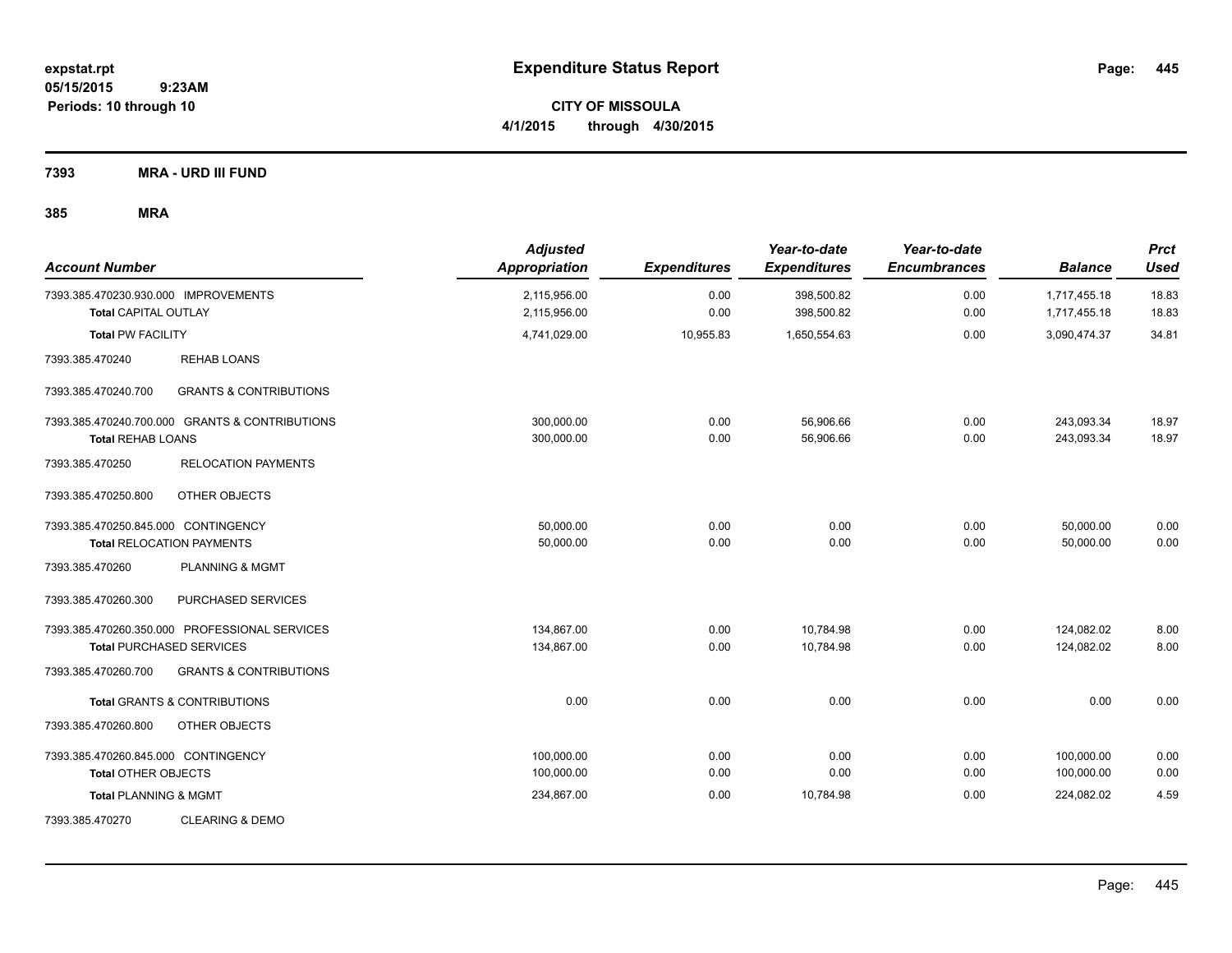**CITY OF MISSOULA 4/1/2015 through 4/30/2015**

**7393 MRA - URD III FUND**

| <b>Account Number</b>                                                   |                                                                                  | <b>Adjusted</b><br>Appropriation | <b>Expenditures</b> | Year-to-date<br><b>Expenditures</b> | Year-to-date<br><b>Encumbrances</b> | <b>Balance</b>               | <b>Prct</b><br><b>Used</b> |
|-------------------------------------------------------------------------|----------------------------------------------------------------------------------|----------------------------------|---------------------|-------------------------------------|-------------------------------------|------------------------------|----------------------------|
| 7393.385.470230.930.000 IMPROVEMENTS<br><b>Total CAPITAL OUTLAY</b>     |                                                                                  | 2,115,956.00<br>2,115,956.00     | 0.00<br>0.00        | 398,500.82<br>398,500.82            | 0.00<br>0.00                        | 1,717,455.18<br>1,717,455.18 | 18.83<br>18.83             |
| <b>Total PW FACILITY</b>                                                |                                                                                  | 4,741,029.00                     | 10,955.83           | 1,650,554.63                        | 0.00                                | 3,090,474.37                 | 34.81                      |
| 7393.385.470240                                                         | <b>REHAB LOANS</b>                                                               |                                  |                     |                                     |                                     |                              |                            |
| 7393.385.470240.700                                                     | <b>GRANTS &amp; CONTRIBUTIONS</b>                                                |                                  |                     |                                     |                                     |                              |                            |
| <b>Total REHAB LOANS</b>                                                | 7393.385.470240.700.000 GRANTS & CONTRIBUTIONS                                   | 300,000.00<br>300,000.00         | 0.00<br>0.00        | 56,906.66<br>56,906.66              | 0.00<br>0.00                        | 243,093.34<br>243,093.34     | 18.97<br>18.97             |
| 7393.385.470250                                                         | <b>RELOCATION PAYMENTS</b>                                                       |                                  |                     |                                     |                                     |                              |                            |
| 7393.385.470250.800                                                     | OTHER OBJECTS                                                                    |                                  |                     |                                     |                                     |                              |                            |
| 7393.385.470250.845.000 CONTINGENCY<br><b>Total RELOCATION PAYMENTS</b> |                                                                                  | 50,000.00<br>50,000.00           | 0.00<br>0.00        | 0.00<br>0.00                        | 0.00<br>0.00                        | 50,000.00<br>50,000.00       | 0.00<br>0.00               |
| 7393.385.470260                                                         | <b>PLANNING &amp; MGMT</b>                                                       |                                  |                     |                                     |                                     |                              |                            |
| 7393.385.470260.300                                                     | PURCHASED SERVICES                                                               |                                  |                     |                                     |                                     |                              |                            |
|                                                                         | 7393.385.470260.350.000 PROFESSIONAL SERVICES<br><b>Total PURCHASED SERVICES</b> | 134,867.00<br>134,867.00         | 0.00<br>0.00        | 10,784.98<br>10,784.98              | 0.00<br>0.00                        | 124,082.02<br>124,082.02     | 8.00<br>8.00               |
| 7393.385.470260.700                                                     | <b>GRANTS &amp; CONTRIBUTIONS</b>                                                |                                  |                     |                                     |                                     |                              |                            |
|                                                                         | <b>Total GRANTS &amp; CONTRIBUTIONS</b>                                          | 0.00                             | 0.00                | 0.00                                | 0.00                                | 0.00                         | 0.00                       |
| 7393.385.470260.800                                                     | OTHER OBJECTS                                                                    |                                  |                     |                                     |                                     |                              |                            |
| 7393.385.470260.845.000 CONTINGENCY<br><b>Total OTHER OBJECTS</b>       |                                                                                  | 100,000.00<br>100,000.00         | 0.00<br>0.00        | 0.00<br>0.00                        | 0.00<br>0.00                        | 100,000.00<br>100,000.00     | 0.00<br>0.00               |
| <b>Total PLANNING &amp; MGMT</b>                                        |                                                                                  | 234,867.00                       | 0.00                | 10,784.98                           | 0.00                                | 224,082.02                   | 4.59                       |
| 7393.385.470270                                                         | <b>CLEARING &amp; DEMO</b>                                                       |                                  |                     |                                     |                                     |                              |                            |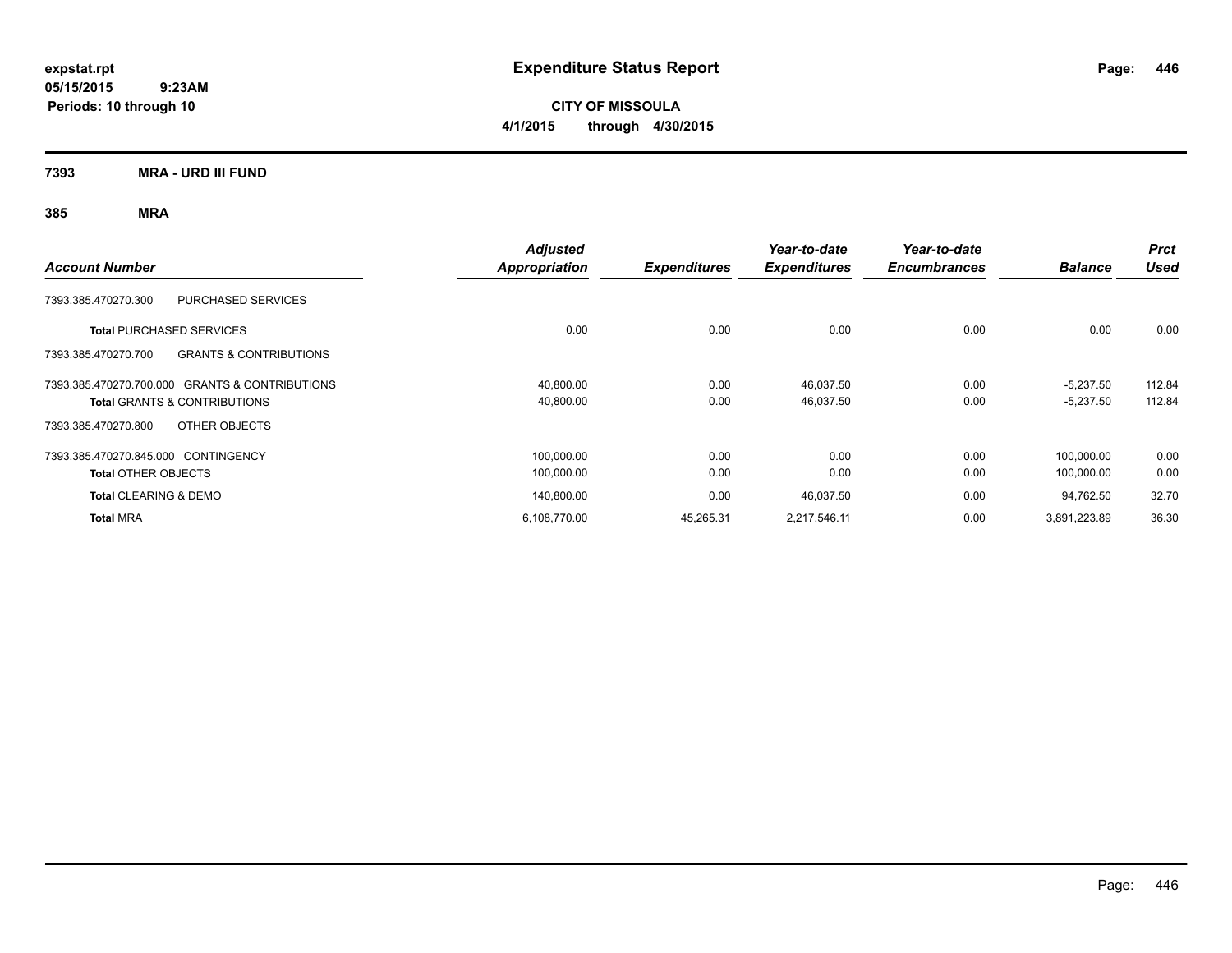**CITY OF MISSOULA 4/1/2015 through 4/30/2015**

**7393 MRA - URD III FUND**

|                                                          | <b>Adjusted</b> |                     | Year-to-date        | Year-to-date        |                | <b>Prct</b> |
|----------------------------------------------------------|-----------------|---------------------|---------------------|---------------------|----------------|-------------|
| <b>Account Number</b>                                    | Appropriation   | <b>Expenditures</b> | <b>Expenditures</b> | <b>Encumbrances</b> | <b>Balance</b> | <b>Used</b> |
| <b>PURCHASED SERVICES</b><br>7393.385.470270.300         |                 |                     |                     |                     |                |             |
| <b>Total PURCHASED SERVICES</b>                          | 0.00            | 0.00                | 0.00                | 0.00                | 0.00           | 0.00        |
| <b>GRANTS &amp; CONTRIBUTIONS</b><br>7393.385.470270.700 |                 |                     |                     |                     |                |             |
| 7393.385.470270.700.000 GRANTS & CONTRIBUTIONS           | 40,800.00       | 0.00                | 46,037.50           | 0.00                | $-5,237.50$    | 112.84      |
| <b>Total GRANTS &amp; CONTRIBUTIONS</b>                  | 40,800.00       | 0.00                | 46,037.50           | 0.00                | $-5,237.50$    | 112.84      |
| 7393.385.470270.800<br>OTHER OBJECTS                     |                 |                     |                     |                     |                |             |
| 7393.385.470270.845.000 CONTINGENCY                      | 100,000.00      | 0.00                | 0.00                | 0.00                | 100.000.00     | 0.00        |
| <b>Total OTHER OBJECTS</b>                               | 100,000.00      | 0.00                | 0.00                | 0.00                | 100,000.00     | 0.00        |
| <b>Total CLEARING &amp; DEMO</b>                         | 140,800.00      | 0.00                | 46,037.50           | 0.00                | 94,762.50      | 32.70       |
| <b>Total MRA</b>                                         | 6,108,770.00    | 45,265.31           | 2,217,546.11        | 0.00                | 3,891,223.89   | 36.30       |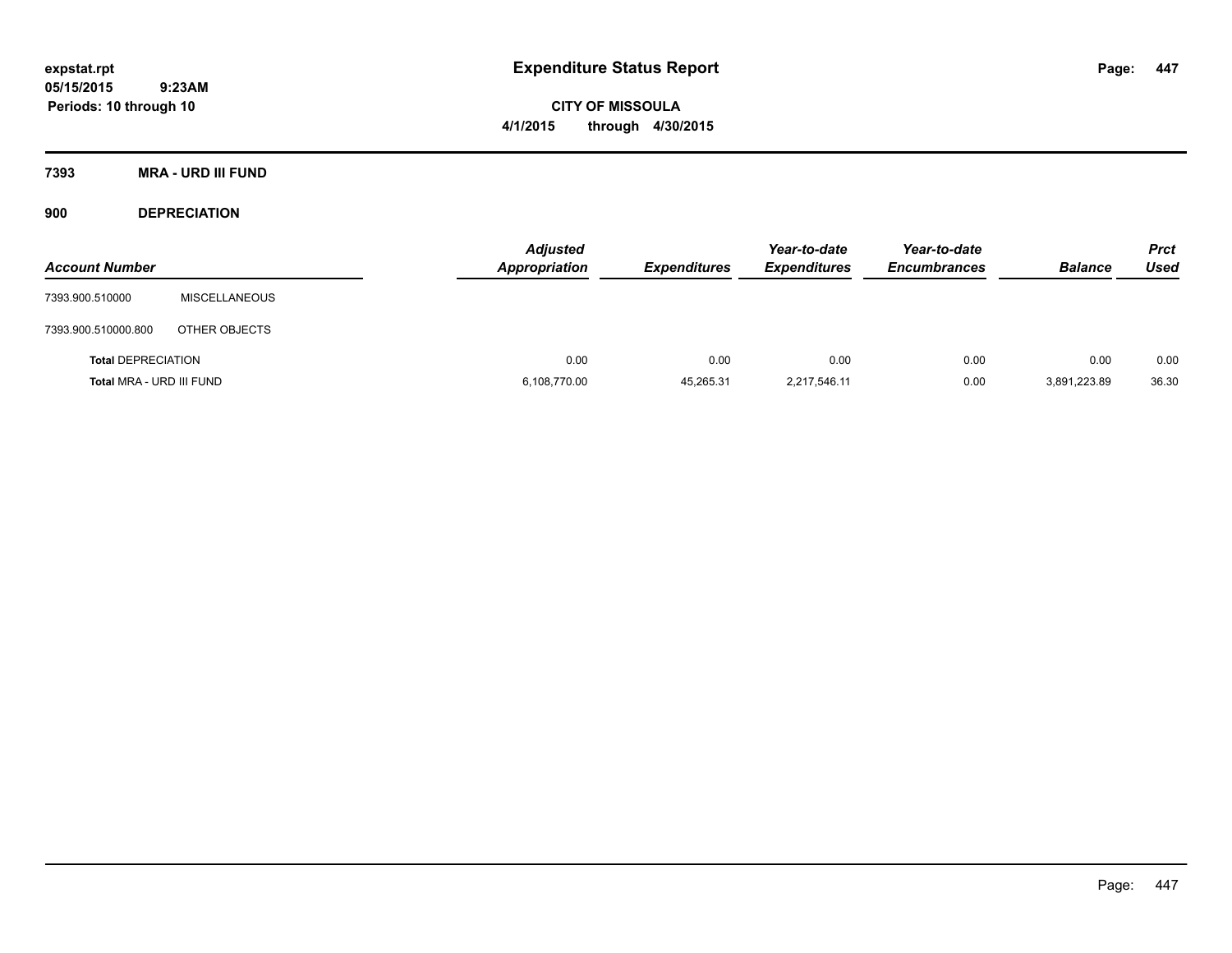**CITY OF MISSOULA 4/1/2015 through 4/30/2015**

**7393 MRA - URD III FUND**

**900 DEPRECIATION**

| <b>Account Number</b>     |                      | <b>Adjusted</b><br><b>Appropriation</b> | <b>Expenditures</b> | Year-to-date<br><b>Expenditures</b> | Year-to-date<br><b>Encumbrances</b> | <b>Balance</b> | <b>Prct</b><br><b>Used</b> |
|---------------------------|----------------------|-----------------------------------------|---------------------|-------------------------------------|-------------------------------------|----------------|----------------------------|
| 7393.900.510000           | <b>MISCELLANEOUS</b> |                                         |                     |                                     |                                     |                |                            |
| 7393.900.510000.800       | OTHER OBJECTS        |                                         |                     |                                     |                                     |                |                            |
| <b>Total DEPRECIATION</b> |                      | 0.00                                    | 0.00                | 0.00                                | 0.00                                | 0.00           | 0.00                       |
| Total MRA - URD III FUND  |                      | 6,108,770.00                            | 45,265.31           | 2,217,546.11                        | 0.00                                | 3,891,223.89   | 36.30                      |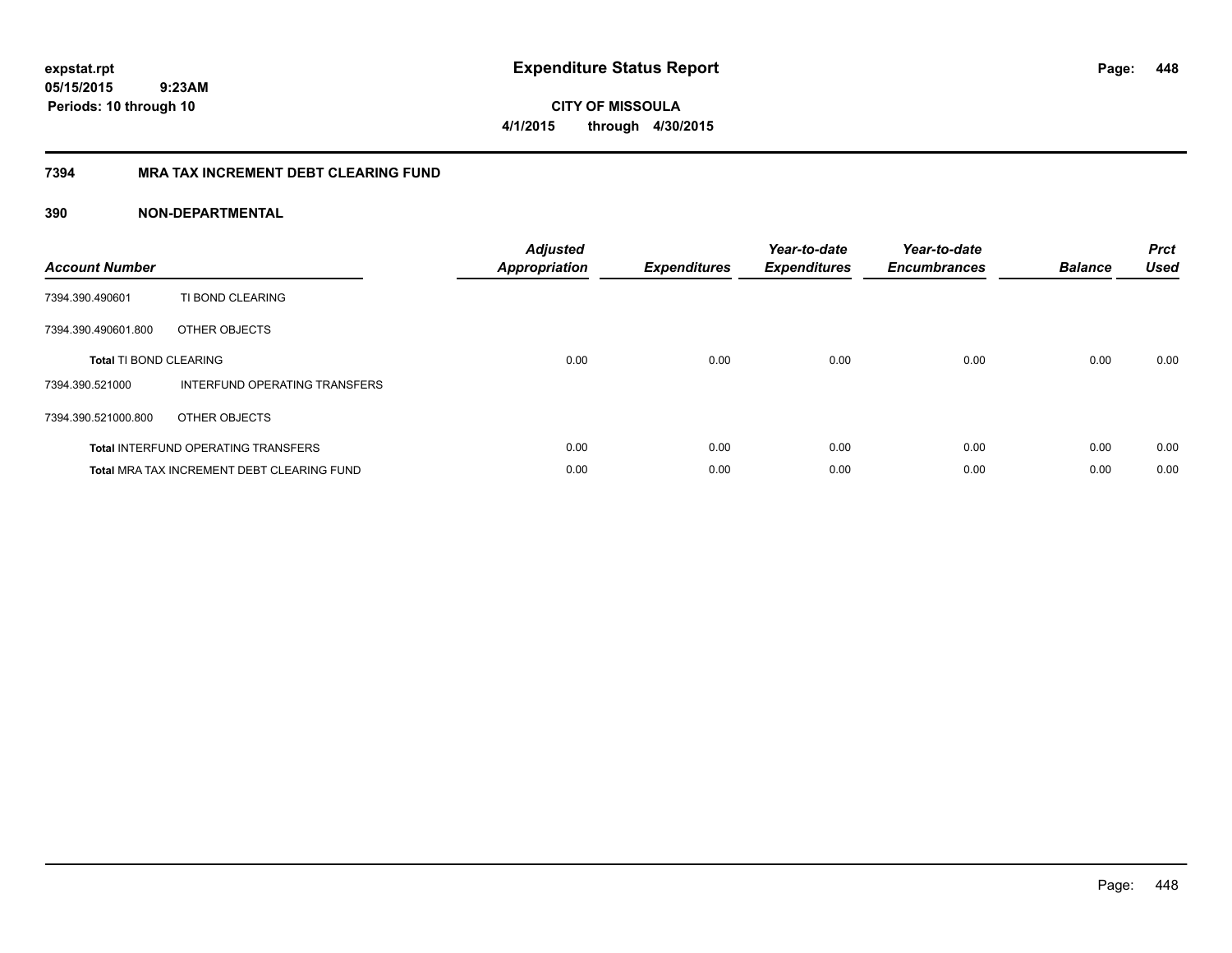**448**

**05/15/2015 9:23AM Periods: 10 through 10**

# **CITY OF MISSOULA 4/1/2015 through 4/30/2015**

## **7394 MRA TAX INCREMENT DEBT CLEARING FUND**

| <b>Account Number</b>         |                                                   | <b>Adjusted</b><br><b>Appropriation</b> | <b>Expenditures</b> | Year-to-date<br><b>Expenditures</b> | Year-to-date<br><b>Encumbrances</b> | <b>Balance</b> | <b>Prct</b><br><b>Used</b> |
|-------------------------------|---------------------------------------------------|-----------------------------------------|---------------------|-------------------------------------|-------------------------------------|----------------|----------------------------|
| 7394.390.490601               | TI BOND CLEARING                                  |                                         |                     |                                     |                                     |                |                            |
| 7394.390.490601.800           | OTHER OBJECTS                                     |                                         |                     |                                     |                                     |                |                            |
| <b>Total TI BOND CLEARING</b> |                                                   | 0.00                                    | 0.00                | 0.00                                | 0.00                                | 0.00           | 0.00                       |
| 7394.390.521000               | INTERFUND OPERATING TRANSFERS                     |                                         |                     |                                     |                                     |                |                            |
| 7394.390.521000.800           | OTHER OBJECTS                                     |                                         |                     |                                     |                                     |                |                            |
|                               | <b>Total INTERFUND OPERATING TRANSFERS</b>        | 0.00                                    | 0.00                | 0.00                                | 0.00                                | 0.00           | 0.00                       |
|                               | <b>Total MRA TAX INCREMENT DEBT CLEARING FUND</b> | 0.00                                    | 0.00                | 0.00                                | 0.00                                | 0.00           | 0.00                       |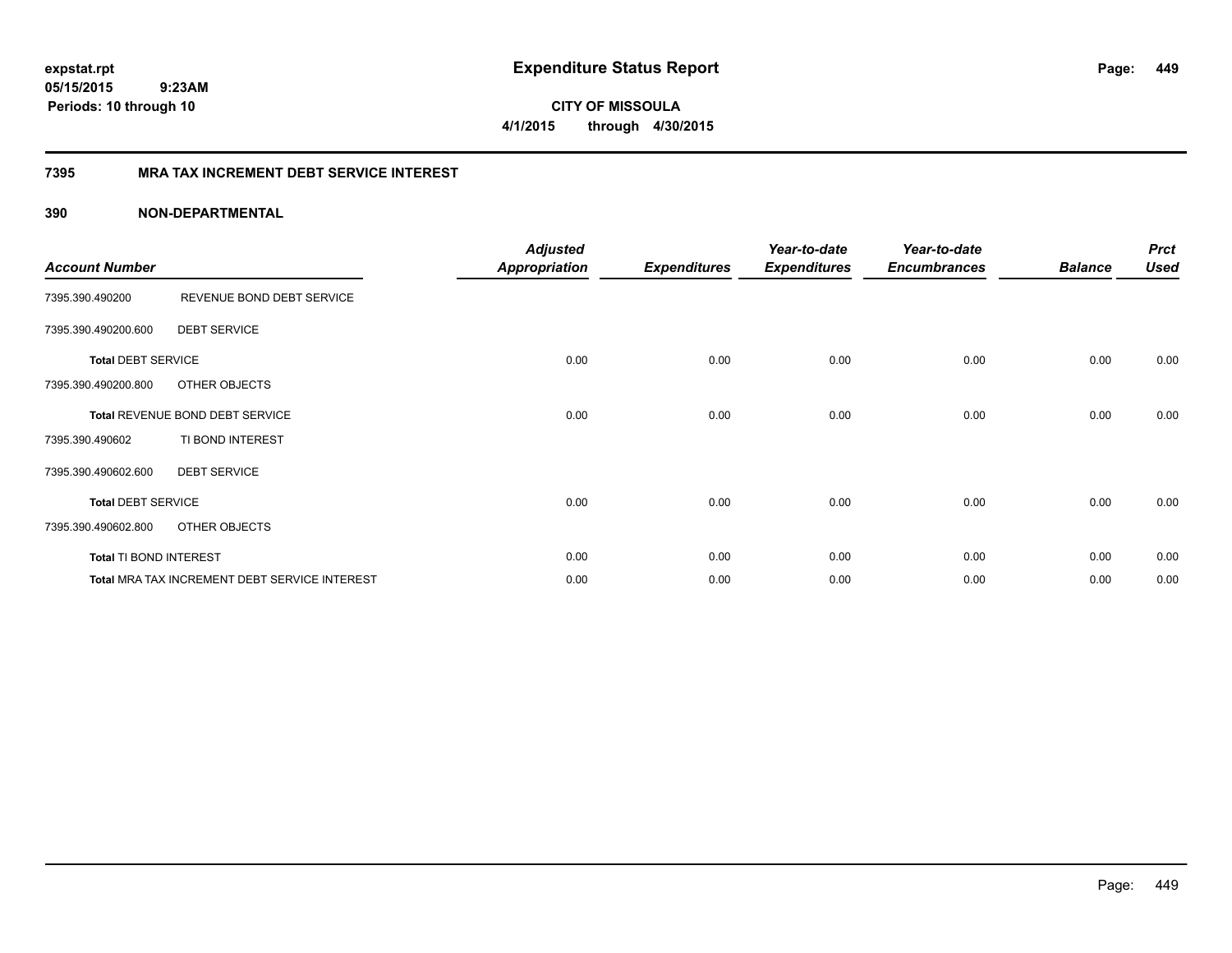**CITY OF MISSOULA 4/1/2015 through 4/30/2015**

## **7395 MRA TAX INCREMENT DEBT SERVICE INTEREST**

| <b>Account Number</b>     |                                                      | <b>Adjusted</b><br>Appropriation | <b>Expenditures</b> | Year-to-date<br><b>Expenditures</b> | Year-to-date<br><b>Encumbrances</b> | <b>Balance</b> | <b>Prct</b><br><b>Used</b> |
|---------------------------|------------------------------------------------------|----------------------------------|---------------------|-------------------------------------|-------------------------------------|----------------|----------------------------|
| 7395.390.490200           | REVENUE BOND DEBT SERVICE                            |                                  |                     |                                     |                                     |                |                            |
| 7395.390.490200.600       | <b>DEBT SERVICE</b>                                  |                                  |                     |                                     |                                     |                |                            |
| <b>Total DEBT SERVICE</b> |                                                      | 0.00                             | 0.00                | 0.00                                | 0.00                                | 0.00           | 0.00                       |
| 7395.390.490200.800       | OTHER OBJECTS                                        |                                  |                     |                                     |                                     |                |                            |
|                           | Total REVENUE BOND DEBT SERVICE                      | 0.00                             | 0.00                | 0.00                                | 0.00                                | 0.00           | 0.00                       |
| 7395.390.490602           | TI BOND INTEREST                                     |                                  |                     |                                     |                                     |                |                            |
| 7395.390.490602.600       | <b>DEBT SERVICE</b>                                  |                                  |                     |                                     |                                     |                |                            |
| <b>Total DEBT SERVICE</b> |                                                      | 0.00                             | 0.00                | 0.00                                | 0.00                                | 0.00           | 0.00                       |
| 7395.390.490602.800       | OTHER OBJECTS                                        |                                  |                     |                                     |                                     |                |                            |
| Total TI BOND INTEREST    |                                                      | 0.00                             | 0.00                | 0.00                                | 0.00                                | 0.00           | 0.00                       |
|                           | <b>Total MRA TAX INCREMENT DEBT SERVICE INTEREST</b> | 0.00                             | 0.00                | 0.00                                | 0.00                                | 0.00           | 0.00                       |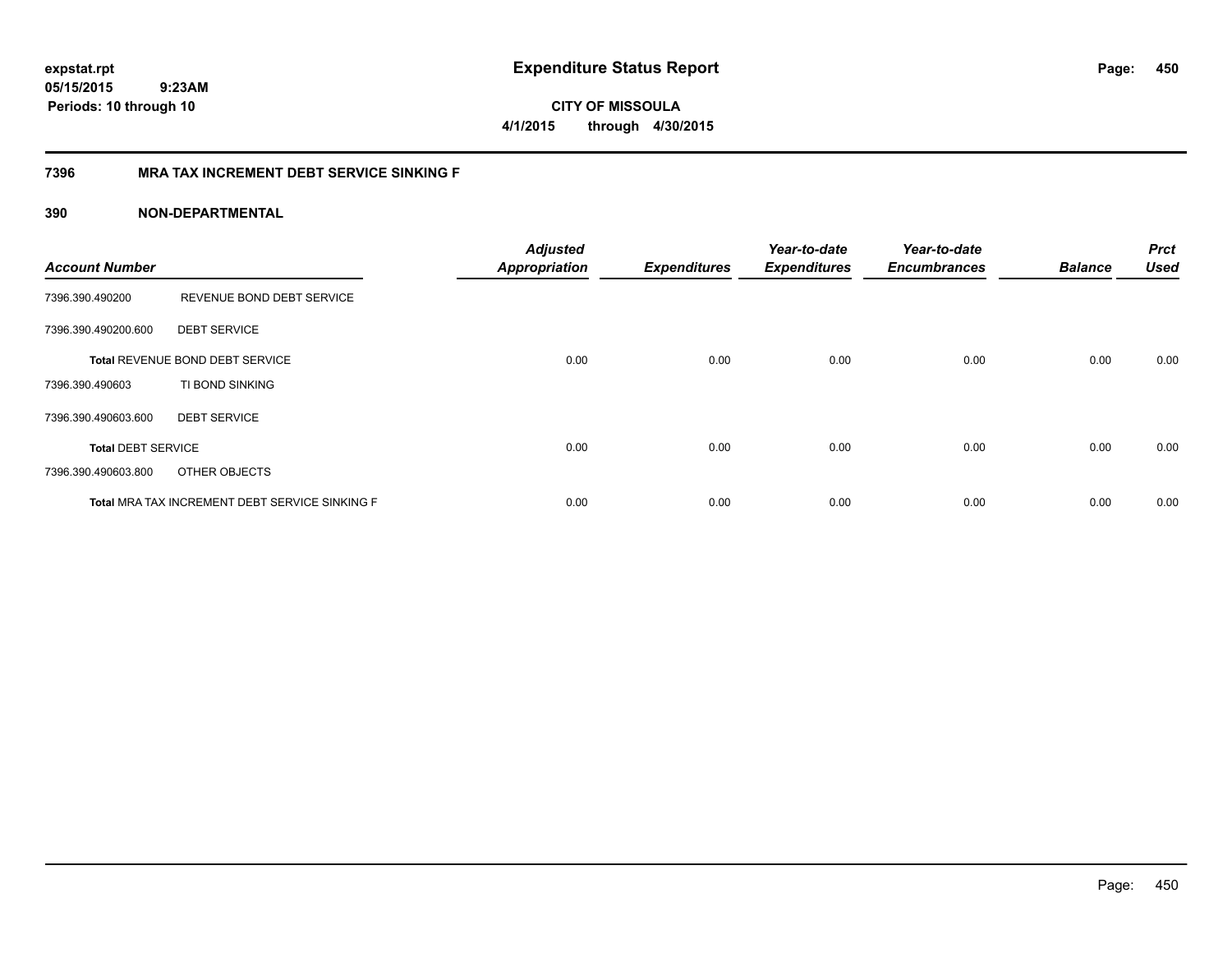**450**

**05/15/2015 9:23AM Periods: 10 through 10**

**CITY OF MISSOULA 4/1/2015 through 4/30/2015**

## **7396 MRA TAX INCREMENT DEBT SERVICE SINKING F**

| <b>Account Number</b>     |                                                | <b>Adjusted</b><br><b>Appropriation</b> | <b>Expenditures</b> | Year-to-date<br><b>Expenditures</b> | Year-to-date<br><b>Encumbrances</b> | <b>Balance</b> | <b>Prct</b><br><b>Used</b> |
|---------------------------|------------------------------------------------|-----------------------------------------|---------------------|-------------------------------------|-------------------------------------|----------------|----------------------------|
| 7396.390.490200           | REVENUE BOND DEBT SERVICE                      |                                         |                     |                                     |                                     |                |                            |
| 7396.390.490200.600       | <b>DEBT SERVICE</b>                            |                                         |                     |                                     |                                     |                |                            |
|                           | Total REVENUE BOND DEBT SERVICE                | 0.00                                    | 0.00                | 0.00                                | 0.00                                | 0.00           | 0.00                       |
| 7396.390.490603           | TI BOND SINKING                                |                                         |                     |                                     |                                     |                |                            |
| 7396.390.490603.600       | <b>DEBT SERVICE</b>                            |                                         |                     |                                     |                                     |                |                            |
| <b>Total DEBT SERVICE</b> |                                                | 0.00                                    | 0.00                | 0.00                                | 0.00                                | 0.00           | 0.00                       |
| 7396.390.490603.800       | OTHER OBJECTS                                  |                                         |                     |                                     |                                     |                |                            |
|                           | Total MRA TAX INCREMENT DEBT SERVICE SINKING F | 0.00                                    | 0.00                | 0.00                                | 0.00                                | 0.00           | 0.00                       |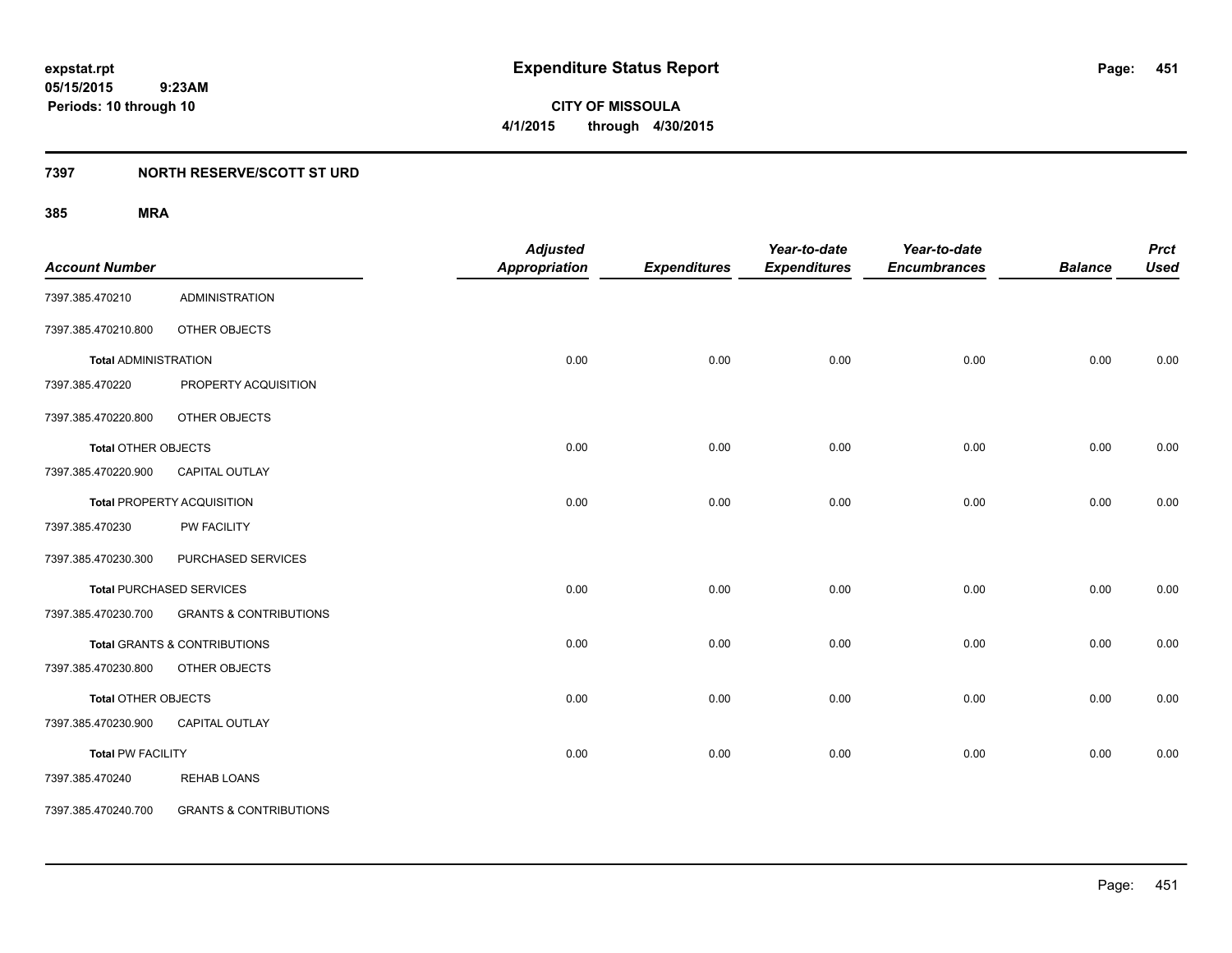**CITY OF MISSOULA 4/1/2015 through 4/30/2015**

## **7397 NORTH RESERVE/SCOTT ST URD**

| <b>Account Number</b>       |                                   | <b>Adjusted</b><br><b>Appropriation</b> | <b>Expenditures</b> | Year-to-date<br><b>Expenditures</b> | Year-to-date<br><b>Encumbrances</b> | <b>Balance</b> | <b>Prct</b><br><b>Used</b> |
|-----------------------------|-----------------------------------|-----------------------------------------|---------------------|-------------------------------------|-------------------------------------|----------------|----------------------------|
| 7397.385.470210             | <b>ADMINISTRATION</b>             |                                         |                     |                                     |                                     |                |                            |
| 7397.385.470210.800         | OTHER OBJECTS                     |                                         |                     |                                     |                                     |                |                            |
| <b>Total ADMINISTRATION</b> |                                   | 0.00                                    | 0.00                | 0.00                                | 0.00                                | 0.00           | 0.00                       |
| 7397.385.470220             | PROPERTY ACQUISITION              |                                         |                     |                                     |                                     |                |                            |
| 7397.385.470220.800         | OTHER OBJECTS                     |                                         |                     |                                     |                                     |                |                            |
| <b>Total OTHER OBJECTS</b>  |                                   | 0.00                                    | 0.00                | 0.00                                | 0.00                                | 0.00           | 0.00                       |
| 7397.385.470220.900         | CAPITAL OUTLAY                    |                                         |                     |                                     |                                     |                |                            |
|                             | <b>Total PROPERTY ACQUISITION</b> | 0.00                                    | 0.00                | 0.00                                | 0.00                                | 0.00           | 0.00                       |
| 7397.385.470230             | <b>PW FACILITY</b>                |                                         |                     |                                     |                                     |                |                            |
| 7397.385.470230.300         | PURCHASED SERVICES                |                                         |                     |                                     |                                     |                |                            |
|                             | <b>Total PURCHASED SERVICES</b>   | 0.00                                    | 0.00                | 0.00                                | 0.00                                | 0.00           | 0.00                       |
| 7397.385.470230.700         | <b>GRANTS &amp; CONTRIBUTIONS</b> |                                         |                     |                                     |                                     |                |                            |
|                             | Total GRANTS & CONTRIBUTIONS      | 0.00                                    | 0.00                | 0.00                                | 0.00                                | 0.00           | 0.00                       |
| 7397.385.470230.800         | OTHER OBJECTS                     |                                         |                     |                                     |                                     |                |                            |
| <b>Total OTHER OBJECTS</b>  |                                   | 0.00                                    | 0.00                | 0.00                                | 0.00                                | 0.00           | 0.00                       |
| 7397.385.470230.900         | <b>CAPITAL OUTLAY</b>             |                                         |                     |                                     |                                     |                |                            |
| <b>Total PW FACILITY</b>    |                                   | 0.00                                    | 0.00                | 0.00                                | 0.00                                | 0.00           | 0.00                       |
| 7397.385.470240             | <b>REHAB LOANS</b>                |                                         |                     |                                     |                                     |                |                            |
| 7397.385.470240.700         | <b>GRANTS &amp; CONTRIBUTIONS</b> |                                         |                     |                                     |                                     |                |                            |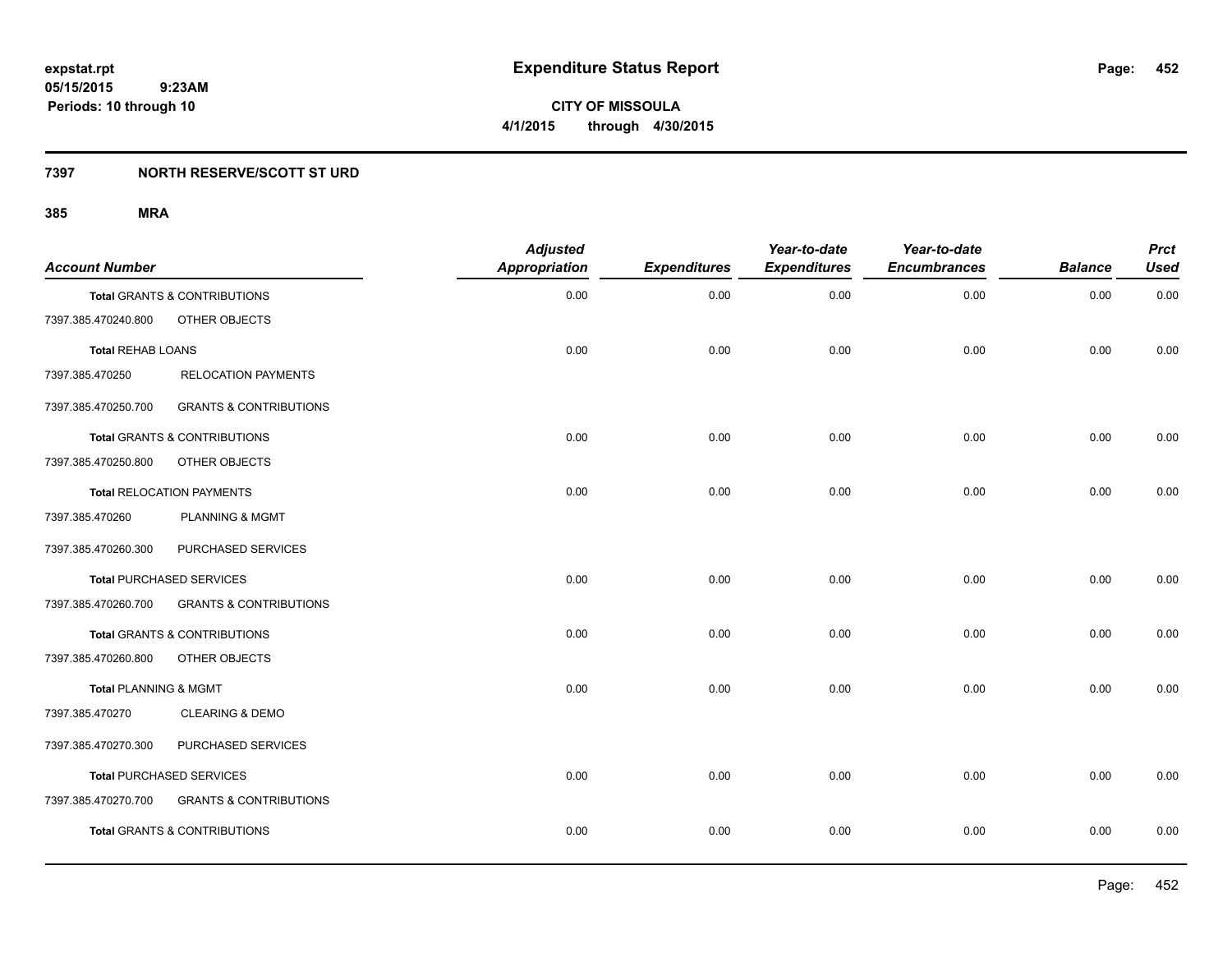**CITY OF MISSOULA 4/1/2015 through 4/30/2015**

## **7397 NORTH RESERVE/SCOTT ST URD**

| <b>Account Number</b>    |                                         | <b>Adjusted</b><br>Appropriation | <b>Expenditures</b> | Year-to-date<br><b>Expenditures</b> | Year-to-date<br><b>Encumbrances</b> | <b>Balance</b> | <b>Prct</b><br><b>Used</b> |
|--------------------------|-----------------------------------------|----------------------------------|---------------------|-------------------------------------|-------------------------------------|----------------|----------------------------|
|                          | <b>Total GRANTS &amp; CONTRIBUTIONS</b> | 0.00                             | 0.00                | 0.00                                | 0.00                                | 0.00           | 0.00                       |
| 7397.385.470240.800      | OTHER OBJECTS                           |                                  |                     |                                     |                                     |                |                            |
| <b>Total REHAB LOANS</b> |                                         | 0.00                             | 0.00                | 0.00                                | 0.00                                | 0.00           | 0.00                       |
| 7397.385.470250          | <b>RELOCATION PAYMENTS</b>              |                                  |                     |                                     |                                     |                |                            |
| 7397.385.470250.700      | <b>GRANTS &amp; CONTRIBUTIONS</b>       |                                  |                     |                                     |                                     |                |                            |
|                          | Total GRANTS & CONTRIBUTIONS            | 0.00                             | 0.00                | 0.00                                | 0.00                                | 0.00           | 0.00                       |
| 7397.385.470250.800      | OTHER OBJECTS                           |                                  |                     |                                     |                                     |                |                            |
|                          | <b>Total RELOCATION PAYMENTS</b>        | 0.00                             | 0.00                | 0.00                                | 0.00                                | 0.00           | 0.00                       |
| 7397.385.470260          | <b>PLANNING &amp; MGMT</b>              |                                  |                     |                                     |                                     |                |                            |
| 7397.385.470260.300      | PURCHASED SERVICES                      |                                  |                     |                                     |                                     |                |                            |
|                          | <b>Total PURCHASED SERVICES</b>         | 0.00                             | 0.00                | 0.00                                | 0.00                                | 0.00           | 0.00                       |
| 7397.385.470260.700      | <b>GRANTS &amp; CONTRIBUTIONS</b>       |                                  |                     |                                     |                                     |                |                            |
|                          | Total GRANTS & CONTRIBUTIONS            | 0.00                             | 0.00                | 0.00                                | 0.00                                | 0.00           | 0.00                       |
| 7397.385.470260.800      | OTHER OBJECTS                           |                                  |                     |                                     |                                     |                |                            |
| Total PLANNING & MGMT    |                                         | 0.00                             | 0.00                | 0.00                                | 0.00                                | 0.00           | 0.00                       |
| 7397.385.470270          | <b>CLEARING &amp; DEMO</b>              |                                  |                     |                                     |                                     |                |                            |
| 7397.385.470270.300      | PURCHASED SERVICES                      |                                  |                     |                                     |                                     |                |                            |
|                          | <b>Total PURCHASED SERVICES</b>         | 0.00                             | 0.00                | 0.00                                | 0.00                                | 0.00           | 0.00                       |
| 7397.385.470270.700      | <b>GRANTS &amp; CONTRIBUTIONS</b>       |                                  |                     |                                     |                                     |                |                            |
|                          | Total GRANTS & CONTRIBUTIONS            | 0.00                             | 0.00                | 0.00                                | 0.00                                | 0.00           | 0.00                       |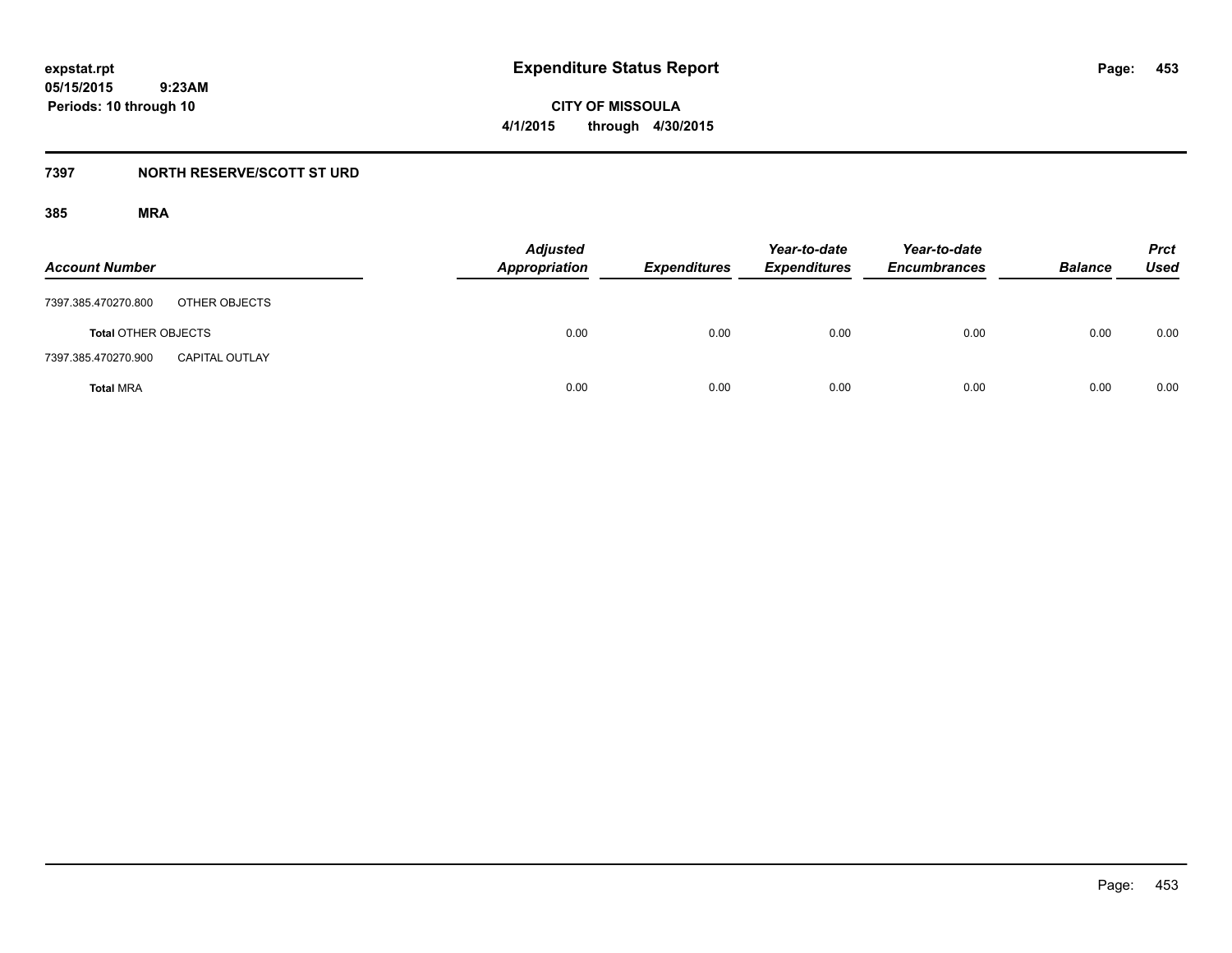**CITY OF MISSOULA 4/1/2015 through 4/30/2015**

## **7397 NORTH RESERVE/SCOTT ST URD**

| <b>Account Number</b>                        | <b>Adjusted</b><br><b>Appropriation</b> | <b>Expenditures</b> | Year-to-date<br><b>Expenditures</b> | Year-to-date<br><b>Encumbrances</b> | <b>Balance</b> | <b>Prct</b><br>Used |
|----------------------------------------------|-----------------------------------------|---------------------|-------------------------------------|-------------------------------------|----------------|---------------------|
| OTHER OBJECTS<br>7397.385.470270.800         |                                         |                     |                                     |                                     |                |                     |
| <b>Total OTHER OBJECTS</b>                   | 0.00                                    | 0.00                | 0.00                                | 0.00                                | 0.00           | 0.00                |
| 7397.385.470270.900<br><b>CAPITAL OUTLAY</b> |                                         |                     |                                     |                                     |                |                     |
| <b>Total MRA</b>                             | 0.00                                    | 0.00                | 0.00                                | 0.00                                | 0.00           | 0.00                |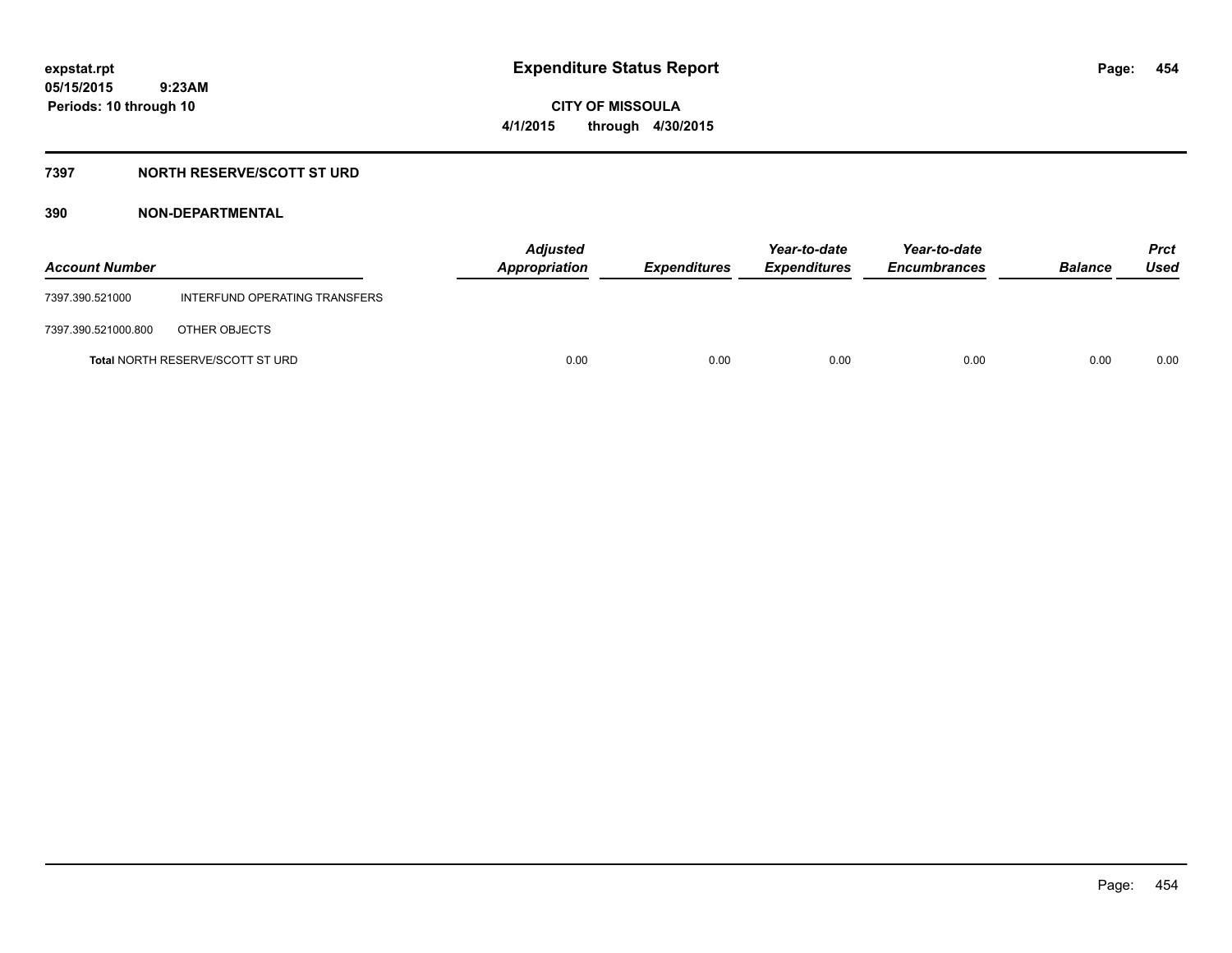**CITY OF MISSOULA 4/1/2015 through 4/30/2015**

## **7397 NORTH RESERVE/SCOTT ST URD**

| <b>Account Number</b> |                                         | <b>Adjusted</b><br>Appropriation | Expenditures | Year-to-date<br><b>Expenditures</b> | Year-to-date<br><b>Encumbrances</b> | <b>Balance</b> | <b>Prct</b><br>Used |
|-----------------------|-----------------------------------------|----------------------------------|--------------|-------------------------------------|-------------------------------------|----------------|---------------------|
| 7397.390.521000       | INTERFUND OPERATING TRANSFERS           |                                  |              |                                     |                                     |                |                     |
| 7397.390.521000.800   | OTHER OBJECTS                           |                                  |              |                                     |                                     |                |                     |
|                       | <b>Total NORTH RESERVE/SCOTT ST URD</b> | 0.00                             | 0.00         | 0.00                                | 0.00                                | 0.00           | 0.00                |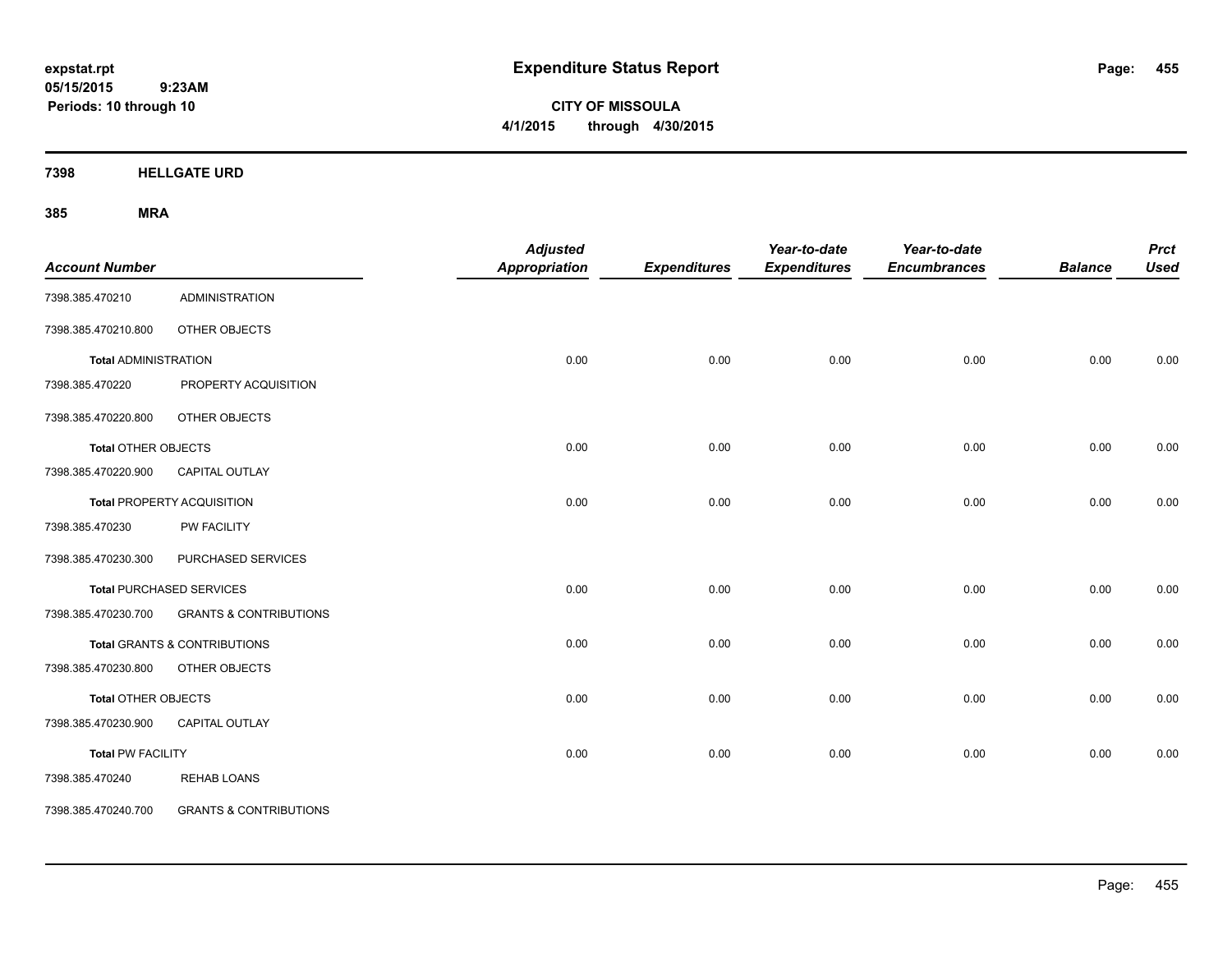**CITY OF MISSOULA 4/1/2015 through 4/30/2015**

**7398 HELLGATE URD**

| <b>Account Number</b>       |                                   | <b>Adjusted</b><br><b>Appropriation</b> | <b>Expenditures</b> | Year-to-date<br><b>Expenditures</b> | Year-to-date<br><b>Encumbrances</b> | <b>Balance</b> | <b>Prct</b><br><b>Used</b> |
|-----------------------------|-----------------------------------|-----------------------------------------|---------------------|-------------------------------------|-------------------------------------|----------------|----------------------------|
| 7398.385.470210             | <b>ADMINISTRATION</b>             |                                         |                     |                                     |                                     |                |                            |
| 7398.385.470210.800         | OTHER OBJECTS                     |                                         |                     |                                     |                                     |                |                            |
| <b>Total ADMINISTRATION</b> |                                   | 0.00                                    | 0.00                | 0.00                                | 0.00                                | 0.00           | 0.00                       |
| 7398.385.470220             | PROPERTY ACQUISITION              |                                         |                     |                                     |                                     |                |                            |
| 7398.385.470220.800         | OTHER OBJECTS                     |                                         |                     |                                     |                                     |                |                            |
| <b>Total OTHER OBJECTS</b>  |                                   | 0.00                                    | 0.00                | 0.00                                | 0.00                                | 0.00           | 0.00                       |
| 7398.385.470220.900         | <b>CAPITAL OUTLAY</b>             |                                         |                     |                                     |                                     |                |                            |
|                             | <b>Total PROPERTY ACQUISITION</b> | 0.00                                    | 0.00                | 0.00                                | 0.00                                | 0.00           | 0.00                       |
| 7398.385.470230             | <b>PW FACILITY</b>                |                                         |                     |                                     |                                     |                |                            |
| 7398.385.470230.300         | PURCHASED SERVICES                |                                         |                     |                                     |                                     |                |                            |
|                             | Total PURCHASED SERVICES          | 0.00                                    | 0.00                | 0.00                                | 0.00                                | 0.00           | 0.00                       |
| 7398.385.470230.700         | <b>GRANTS &amp; CONTRIBUTIONS</b> |                                         |                     |                                     |                                     |                |                            |
|                             | Total GRANTS & CONTRIBUTIONS      | 0.00                                    | 0.00                | 0.00                                | 0.00                                | 0.00           | 0.00                       |
| 7398.385.470230.800         | OTHER OBJECTS                     |                                         |                     |                                     |                                     |                |                            |
| <b>Total OTHER OBJECTS</b>  |                                   | 0.00                                    | 0.00                | 0.00                                | 0.00                                | 0.00           | 0.00                       |
| 7398.385.470230.900         | <b>CAPITAL OUTLAY</b>             |                                         |                     |                                     |                                     |                |                            |
| <b>Total PW FACILITY</b>    |                                   | 0.00                                    | 0.00                | 0.00                                | 0.00                                | 0.00           | 0.00                       |
| 7398.385.470240             | <b>REHAB LOANS</b>                |                                         |                     |                                     |                                     |                |                            |
| 7398.385.470240.700         | <b>GRANTS &amp; CONTRIBUTIONS</b> |                                         |                     |                                     |                                     |                |                            |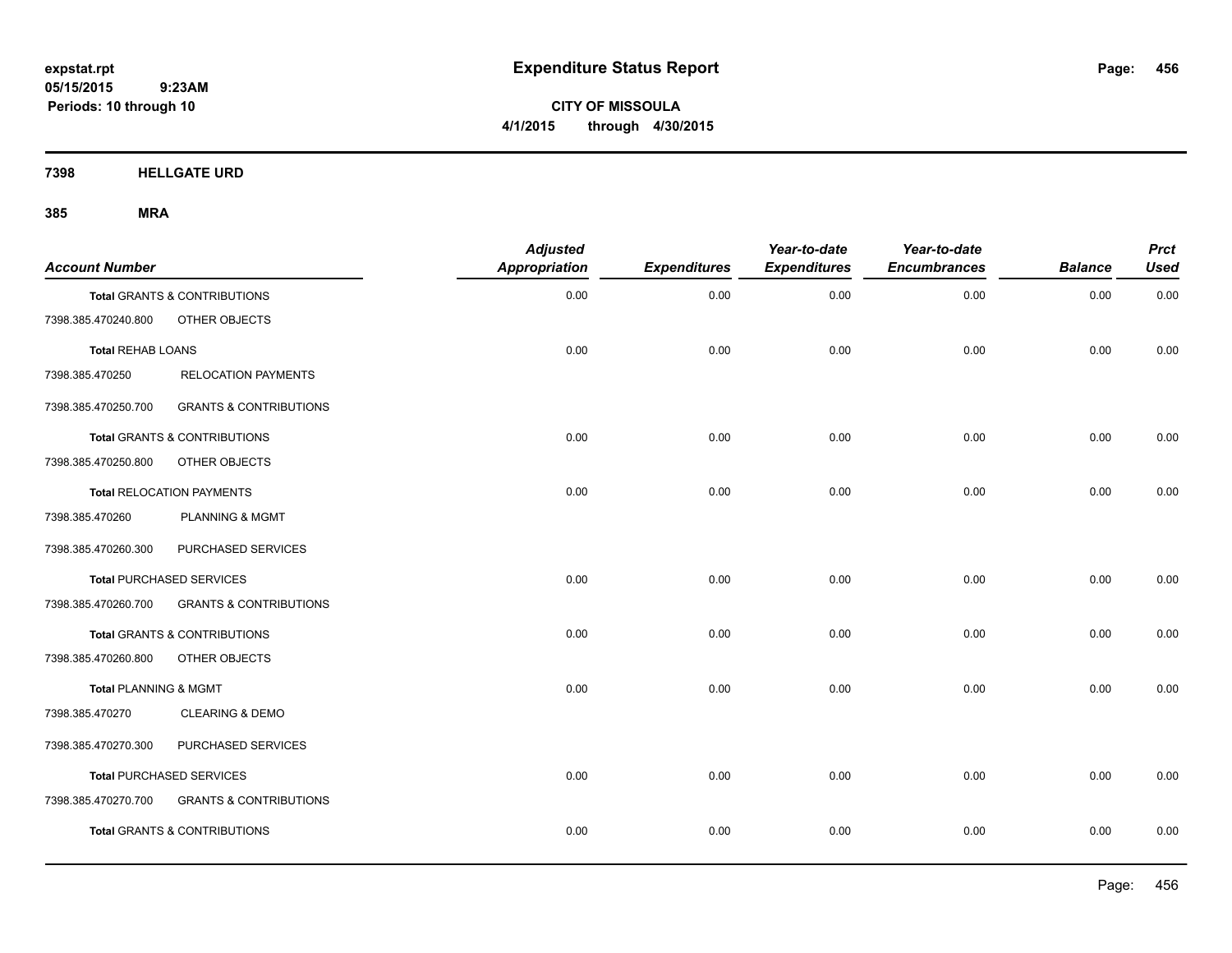**CITY OF MISSOULA 4/1/2015 through 4/30/2015**

**7398 HELLGATE URD**

| <b>Account Number</b>    |                                         | <b>Adjusted</b><br><b>Appropriation</b> | <b>Expenditures</b> | Year-to-date<br><b>Expenditures</b> | Year-to-date<br><b>Encumbrances</b> | <b>Balance</b> | <b>Prct</b><br><b>Used</b> |
|--------------------------|-----------------------------------------|-----------------------------------------|---------------------|-------------------------------------|-------------------------------------|----------------|----------------------------|
|                          | <b>Total GRANTS &amp; CONTRIBUTIONS</b> | 0.00                                    | 0.00                | 0.00                                | 0.00                                | 0.00           | 0.00                       |
| 7398.385.470240.800      | OTHER OBJECTS                           |                                         |                     |                                     |                                     |                |                            |
| <b>Total REHAB LOANS</b> |                                         | 0.00                                    | 0.00                | 0.00                                | 0.00                                | 0.00           | 0.00                       |
| 7398.385.470250          | <b>RELOCATION PAYMENTS</b>              |                                         |                     |                                     |                                     |                |                            |
| 7398.385.470250.700      | <b>GRANTS &amp; CONTRIBUTIONS</b>       |                                         |                     |                                     |                                     |                |                            |
|                          | Total GRANTS & CONTRIBUTIONS            | 0.00                                    | 0.00                | 0.00                                | 0.00                                | 0.00           | 0.00                       |
| 7398.385.470250.800      | OTHER OBJECTS                           |                                         |                     |                                     |                                     |                |                            |
|                          | <b>Total RELOCATION PAYMENTS</b>        | 0.00                                    | 0.00                | 0.00                                | 0.00                                | 0.00           | 0.00                       |
| 7398.385.470260          | PLANNING & MGMT                         |                                         |                     |                                     |                                     |                |                            |
| 7398.385.470260.300      | PURCHASED SERVICES                      |                                         |                     |                                     |                                     |                |                            |
|                          | <b>Total PURCHASED SERVICES</b>         | 0.00                                    | 0.00                | 0.00                                | 0.00                                | 0.00           | 0.00                       |
| 7398.385.470260.700      | <b>GRANTS &amp; CONTRIBUTIONS</b>       |                                         |                     |                                     |                                     |                |                            |
|                          | <b>Total GRANTS &amp; CONTRIBUTIONS</b> | 0.00                                    | 0.00                | 0.00                                | 0.00                                | 0.00           | 0.00                       |
| 7398.385.470260.800      | OTHER OBJECTS                           |                                         |                     |                                     |                                     |                |                            |
| Total PLANNING & MGMT    |                                         | 0.00                                    | 0.00                | 0.00                                | 0.00                                | 0.00           | 0.00                       |
| 7398.385.470270          | <b>CLEARING &amp; DEMO</b>              |                                         |                     |                                     |                                     |                |                            |
| 7398.385.470270.300      | PURCHASED SERVICES                      |                                         |                     |                                     |                                     |                |                            |
|                          | Total PURCHASED SERVICES                | 0.00                                    | 0.00                | 0.00                                | 0.00                                | 0.00           | 0.00                       |
| 7398.385.470270.700      | <b>GRANTS &amp; CONTRIBUTIONS</b>       |                                         |                     |                                     |                                     |                |                            |
|                          | <b>Total GRANTS &amp; CONTRIBUTIONS</b> | 0.00                                    | 0.00                | 0.00                                | 0.00                                | 0.00           | 0.00                       |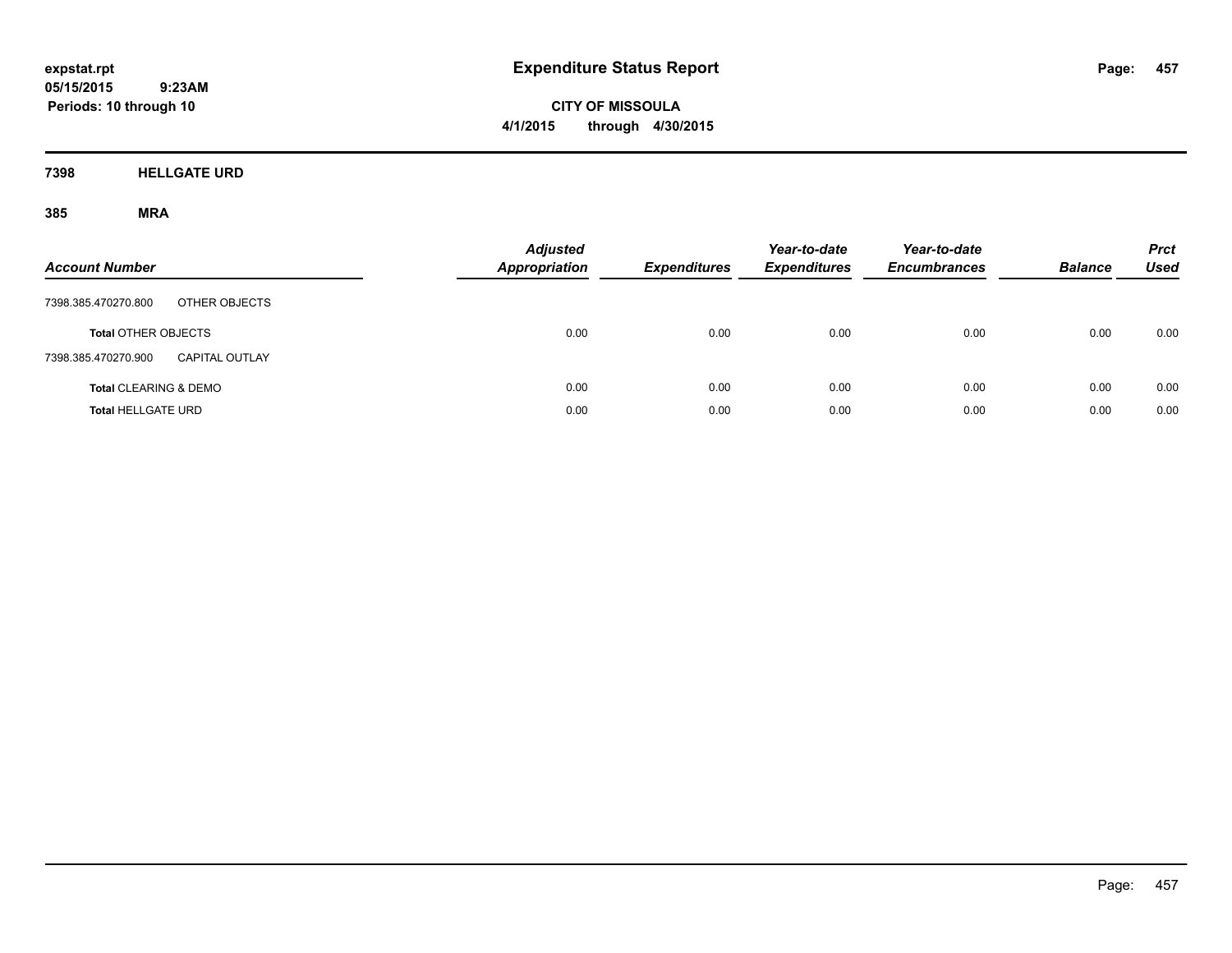**CITY OF MISSOULA 4/1/2015 through 4/30/2015**

**7398 HELLGATE URD**

| <b>Account Number</b>                        | <b>Adjusted</b><br><b>Appropriation</b> | <b>Expenditures</b> | Year-to-date<br><b>Expenditures</b> | Year-to-date<br><b>Encumbrances</b> | <b>Balance</b> | <b>Prct</b><br>Used |
|----------------------------------------------|-----------------------------------------|---------------------|-------------------------------------|-------------------------------------|----------------|---------------------|
| 7398.385.470270.800<br>OTHER OBJECTS         |                                         |                     |                                     |                                     |                |                     |
| <b>Total OTHER OBJECTS</b>                   | 0.00                                    | 0.00                | 0.00                                | 0.00                                | 0.00           | 0.00                |
| 7398.385.470270.900<br><b>CAPITAL OUTLAY</b> |                                         |                     |                                     |                                     |                |                     |
| <b>Total CLEARING &amp; DEMO</b>             | 0.00                                    | 0.00                | 0.00                                | 0.00                                | 0.00           | 0.00                |
| <b>Total HELLGATE URD</b>                    | 0.00                                    | 0.00                | 0.00                                | 0.00                                | 0.00           | 0.00                |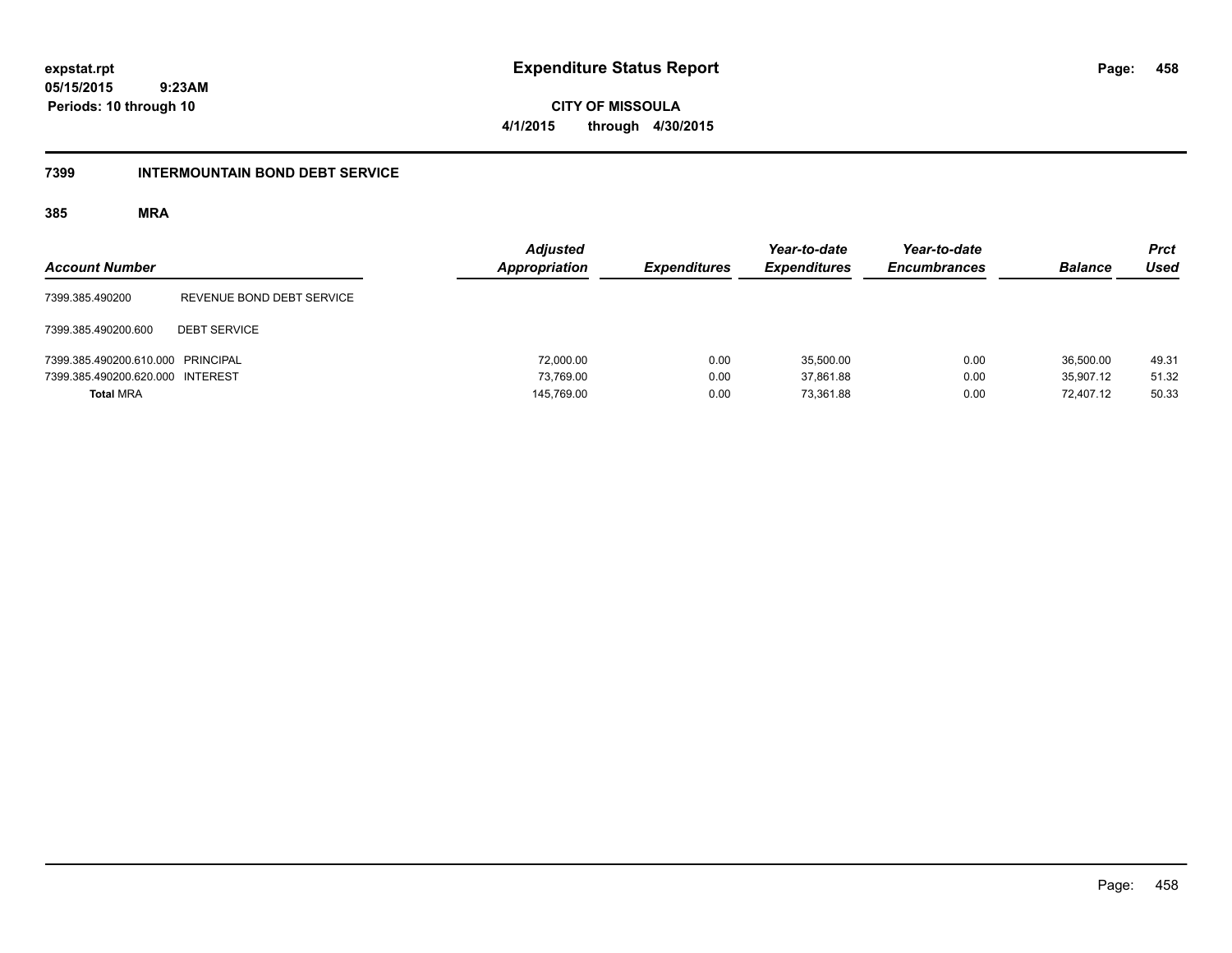**458**

**05/15/2015 9:23AM Periods: 10 through 10**

**CITY OF MISSOULA 4/1/2015 through 4/30/2015**

### **7399 INTERMOUNTAIN BOND DEBT SERVICE**

| <b>Account Number</b>             |                           | <b>Adjusted</b><br>Appropriation | <b>Expenditures</b> | Year-to-date<br><b>Expenditures</b> | Year-to-date<br><b>Encumbrances</b> | <b>Balance</b> | <b>Prct</b><br><b>Used</b> |
|-----------------------------------|---------------------------|----------------------------------|---------------------|-------------------------------------|-------------------------------------|----------------|----------------------------|
| 7399.385.490200                   | REVENUE BOND DEBT SERVICE |                                  |                     |                                     |                                     |                |                            |
| 7399.385.490200.600               | <b>DEBT SERVICE</b>       |                                  |                     |                                     |                                     |                |                            |
| 7399.385.490200.610.000 PRINCIPAL |                           | 72,000.00                        | 0.00                | 35.500.00                           | 0.00                                | 36,500.00      | 49.31                      |
| 7399.385.490200.620.000 INTEREST  |                           | 73.769.00                        | 0.00                | 37.861.88                           | 0.00                                | 35.907.12      | 51.32                      |
| <b>Total MRA</b>                  |                           | 145,769.00                       | 0.00                | 73.361.88                           | 0.00                                | 72.407.12      | 50.33                      |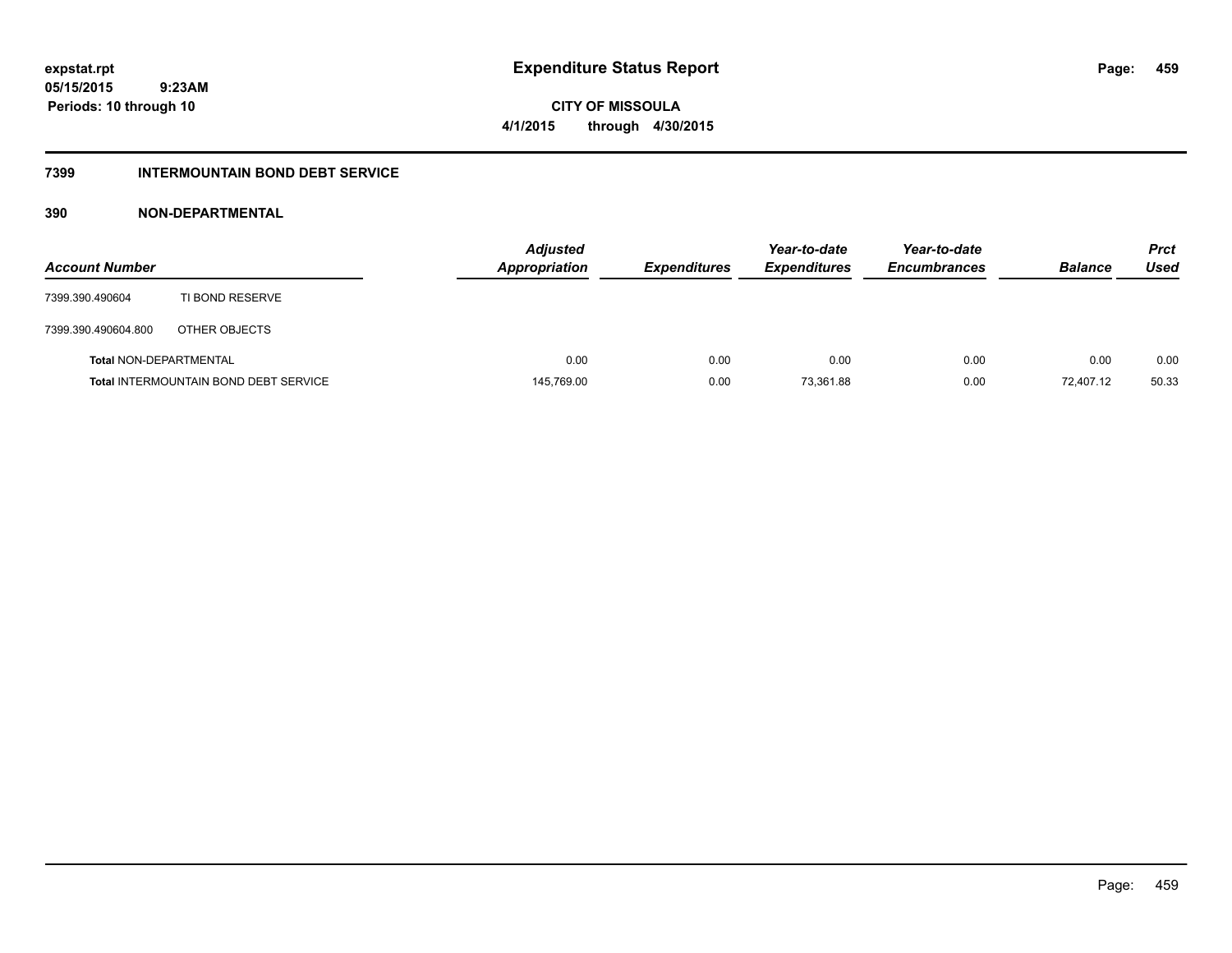**459**

**05/15/2015 9:23AM Periods: 10 through 10**

**CITY OF MISSOULA 4/1/2015 through 4/30/2015**

## **7399 INTERMOUNTAIN BOND DEBT SERVICE**

| <b>Account Number</b>         |                                              | <b>Adjusted</b><br><b>Appropriation</b> | <b>Expenditures</b> | Year-to-date<br><b>Expenditures</b> | Year-to-date<br><b>Encumbrances</b> | <b>Balance</b> | Prct<br><b>Used</b> |
|-------------------------------|----------------------------------------------|-----------------------------------------|---------------------|-------------------------------------|-------------------------------------|----------------|---------------------|
| 7399.390.490604               | TI BOND RESERVE                              |                                         |                     |                                     |                                     |                |                     |
| 7399.390.490604.800           | OTHER OBJECTS                                |                                         |                     |                                     |                                     |                |                     |
| <b>Total NON-DEPARTMENTAL</b> |                                              | 0.00                                    | 0.00                | 0.00                                | 0.00                                | 0.00           | 0.00                |
|                               | <b>Total INTERMOUNTAIN BOND DEBT SERVICE</b> | 145,769.00                              | 0.00                | 73,361.88                           | 0.00                                | 72,407.12      | 50.33               |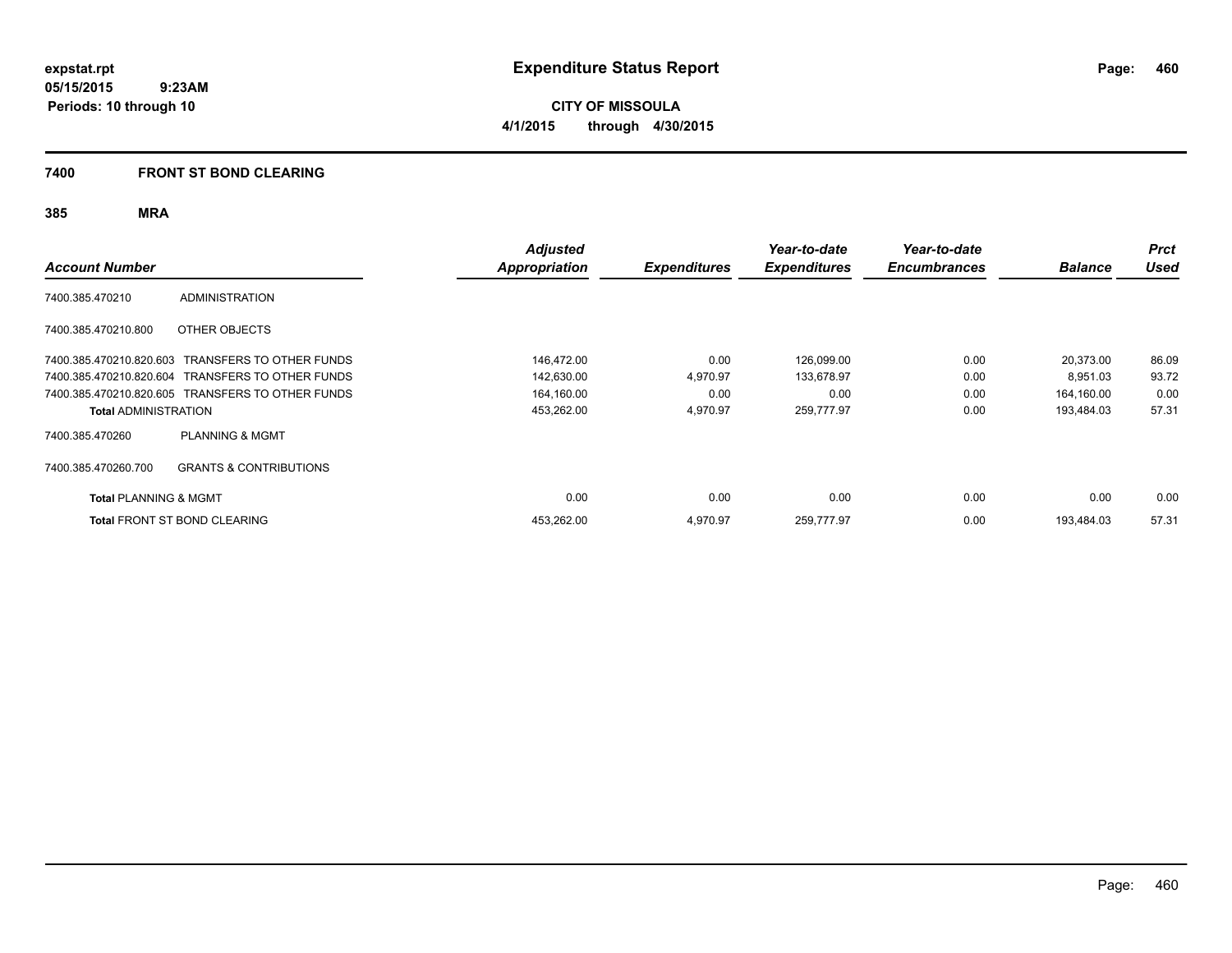**CITY OF MISSOULA 4/1/2015 through 4/30/2015**

## **7400 FRONT ST BOND CLEARING**

| <b>Account Number</b>            |                                                  | <b>Adjusted</b><br>Appropriation | <b>Expenditures</b> | Year-to-date<br><b>Expenditures</b> | Year-to-date<br><b>Encumbrances</b> | <b>Balance</b> | <b>Prct</b><br><b>Used</b> |
|----------------------------------|--------------------------------------------------|----------------------------------|---------------------|-------------------------------------|-------------------------------------|----------------|----------------------------|
| 7400.385.470210                  | <b>ADMINISTRATION</b>                            |                                  |                     |                                     |                                     |                |                            |
| 7400.385.470210.800              | OTHER OBJECTS                                    |                                  |                     |                                     |                                     |                |                            |
| 7400.385.470210.820.603          | TRANSFERS TO OTHER FUNDS                         | 146,472.00                       | 0.00                | 126,099.00                          | 0.00                                | 20,373.00      | 86.09                      |
|                                  | 7400.385.470210.820.604 TRANSFERS TO OTHER FUNDS | 142,630.00                       | 4,970.97            | 133,678.97                          | 0.00                                | 8,951.03       | 93.72                      |
|                                  | 7400.385.470210.820.605 TRANSFERS TO OTHER FUNDS | 164,160.00                       | 0.00                | 0.00                                | 0.00                                | 164,160.00     | 0.00                       |
| <b>Total ADMINISTRATION</b>      |                                                  | 453,262.00                       | 4,970.97            | 259,777.97                          | 0.00                                | 193,484.03     | 57.31                      |
| 7400.385.470260                  | <b>PLANNING &amp; MGMT</b>                       |                                  |                     |                                     |                                     |                |                            |
| 7400.385.470260.700              | <b>GRANTS &amp; CONTRIBUTIONS</b>                |                                  |                     |                                     |                                     |                |                            |
| <b>Total PLANNING &amp; MGMT</b> |                                                  | 0.00                             | 0.00                | 0.00                                | 0.00                                | 0.00           | 0.00                       |
|                                  | <b>Total FRONT ST BOND CLEARING</b>              | 453,262.00                       | 4,970.97            | 259,777.97                          | 0.00                                | 193.484.03     | 57.31                      |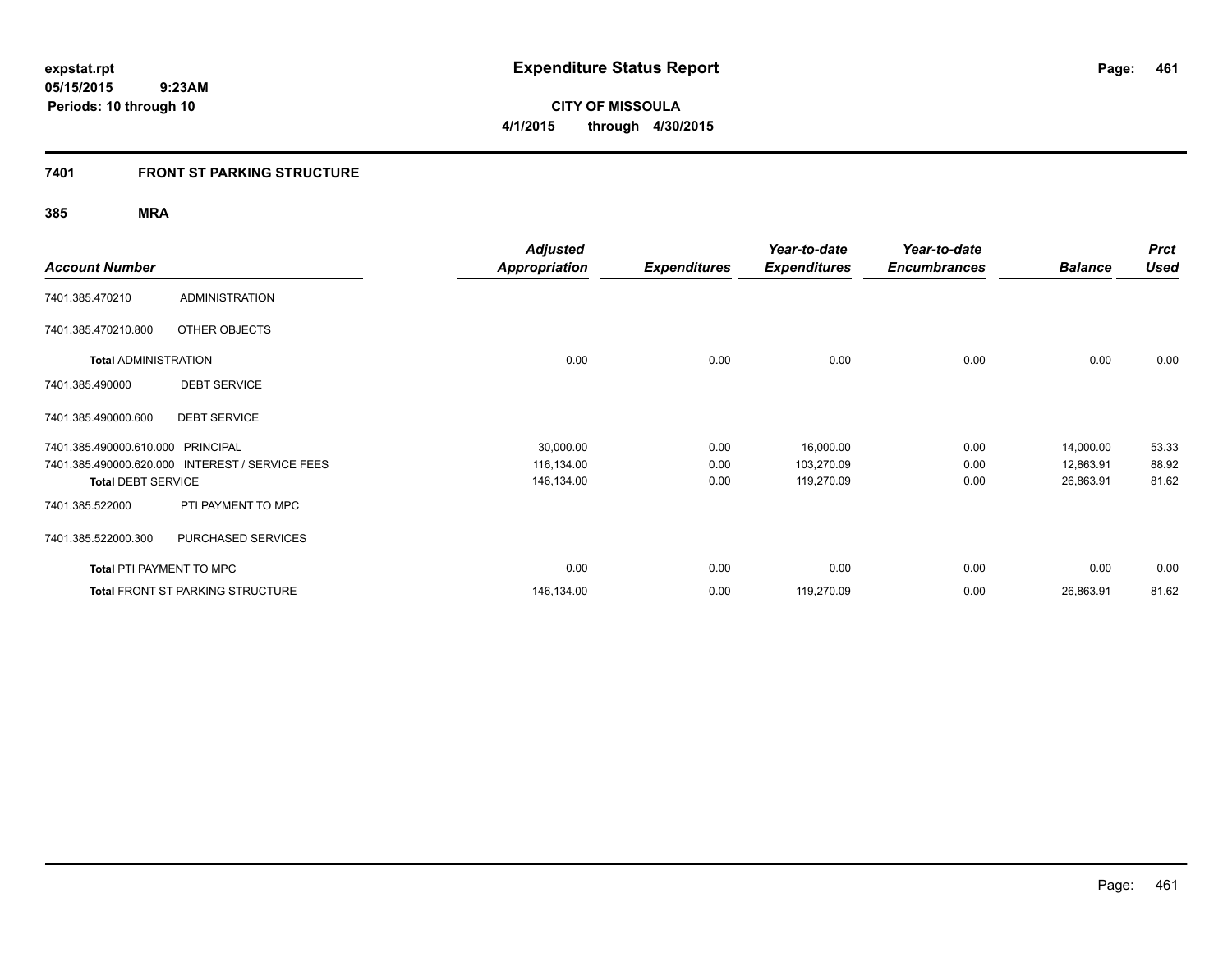**461**

**05/15/2015 9:23AM Periods: 10 through 10**

**CITY OF MISSOULA 4/1/2015 through 4/30/2015**

## **7401 FRONT ST PARKING STRUCTURE**

| <b>Account Number</b>             |                                                 | <b>Adjusted</b><br><b>Appropriation</b> | <b>Expenditures</b> | Year-to-date<br><b>Expenditures</b> | Year-to-date<br><b>Encumbrances</b> | <b>Balance</b> | <b>Prct</b><br><b>Used</b> |
|-----------------------------------|-------------------------------------------------|-----------------------------------------|---------------------|-------------------------------------|-------------------------------------|----------------|----------------------------|
| 7401.385.470210                   | <b>ADMINISTRATION</b>                           |                                         |                     |                                     |                                     |                |                            |
| 7401.385.470210.800               | OTHER OBJECTS                                   |                                         |                     |                                     |                                     |                |                            |
| <b>Total ADMINISTRATION</b>       |                                                 | 0.00                                    | 0.00                | 0.00                                | 0.00                                | 0.00           | 0.00                       |
| 7401.385.490000                   | <b>DEBT SERVICE</b>                             |                                         |                     |                                     |                                     |                |                            |
| 7401.385.490000.600               | <b>DEBT SERVICE</b>                             |                                         |                     |                                     |                                     |                |                            |
| 7401.385.490000.610.000 PRINCIPAL |                                                 | 30,000.00                               | 0.00                | 16,000.00                           | 0.00                                | 14,000.00      | 53.33                      |
|                                   | 7401.385.490000.620.000 INTEREST / SERVICE FEES | 116,134.00                              | 0.00                | 103,270.09                          | 0.00                                | 12,863.91      | 88.92                      |
| <b>Total DEBT SERVICE</b>         |                                                 | 146,134.00                              | 0.00                | 119,270.09                          | 0.00                                | 26,863.91      | 81.62                      |
| 7401.385.522000                   | PTI PAYMENT TO MPC                              |                                         |                     |                                     |                                     |                |                            |
| 7401.385.522000.300               | PURCHASED SERVICES                              |                                         |                     |                                     |                                     |                |                            |
| <b>Total PTI PAYMENT TO MPC</b>   |                                                 | 0.00                                    | 0.00                | 0.00                                | 0.00                                | 0.00           | 0.00                       |
|                                   | <b>Total FRONT ST PARKING STRUCTURE</b>         | 146,134.00                              | 0.00                | 119,270.09                          | 0.00                                | 26,863.91      | 81.62                      |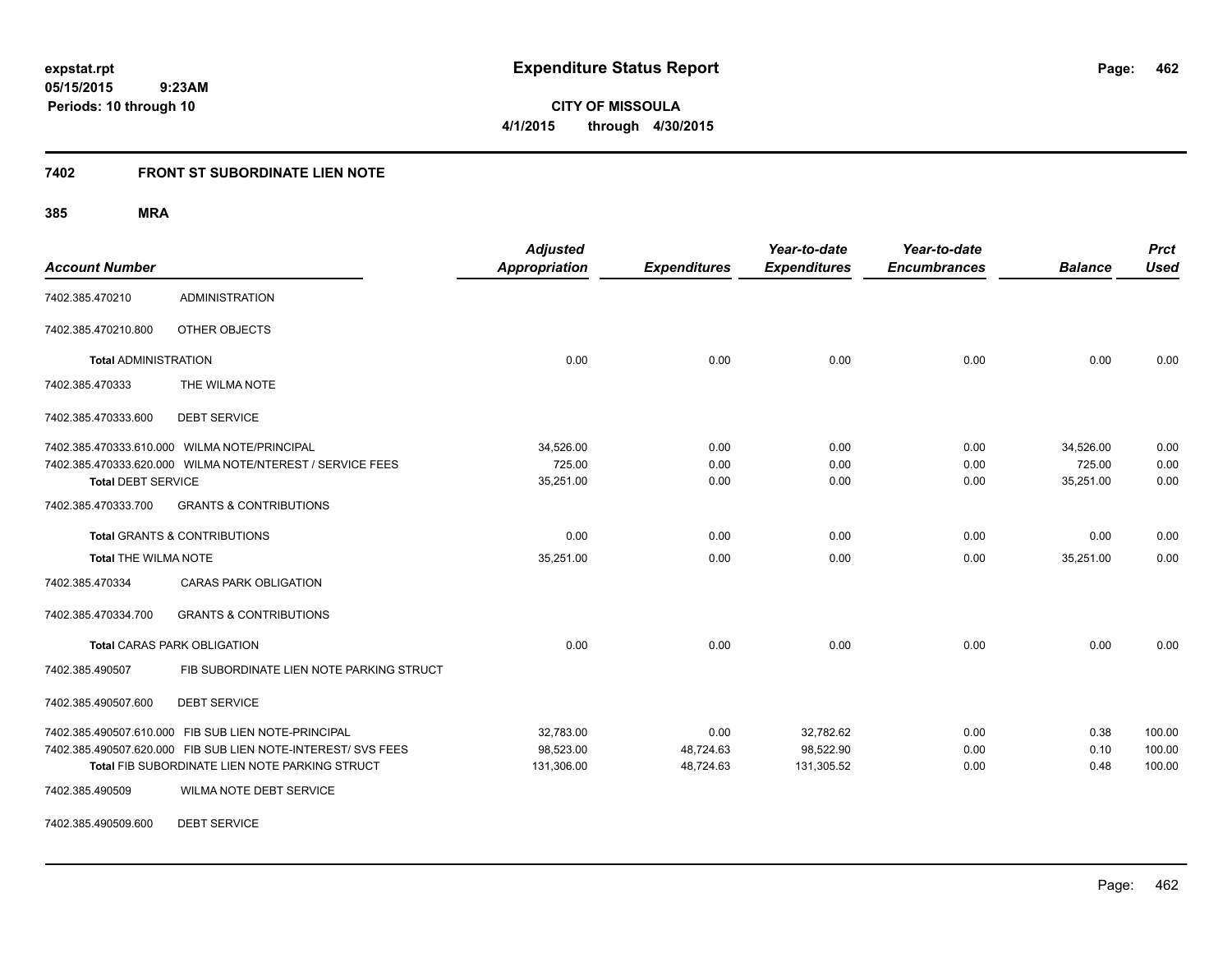**CITY OF MISSOULA 4/1/2015 through 4/30/2015**

## **7402 FRONT ST SUBORDINATE LIEN NOTE**

## **385 MRA**

| <b>Account Number</b>       |                                                              | <b>Adjusted</b><br><b>Appropriation</b> | <b>Expenditures</b> | Year-to-date<br><b>Expenditures</b> | Year-to-date<br><b>Encumbrances</b> | <b>Balance</b> | <b>Prct</b><br><b>Used</b> |
|-----------------------------|--------------------------------------------------------------|-----------------------------------------|---------------------|-------------------------------------|-------------------------------------|----------------|----------------------------|
| 7402.385.470210             | <b>ADMINISTRATION</b>                                        |                                         |                     |                                     |                                     |                |                            |
| 7402.385.470210.800         | OTHER OBJECTS                                                |                                         |                     |                                     |                                     |                |                            |
| <b>Total ADMINISTRATION</b> |                                                              | 0.00                                    | 0.00                | 0.00                                | 0.00                                | 0.00           | 0.00                       |
| 7402.385.470333             | THE WILMA NOTE                                               |                                         |                     |                                     |                                     |                |                            |
| 7402.385.470333.600         | <b>DEBT SERVICE</b>                                          |                                         |                     |                                     |                                     |                |                            |
|                             | 7402.385.470333.610.000 WILMA NOTE/PRINCIPAL                 | 34.526.00                               | 0.00                | 0.00                                | 0.00                                | 34.526.00      | 0.00                       |
|                             | 7402.385.470333.620.000 WILMA NOTE/NTEREST / SERVICE FEES    | 725.00                                  | 0.00                | 0.00                                | 0.00                                | 725.00         | 0.00                       |
| <b>Total DEBT SERVICE</b>   |                                                              | 35,251.00                               | 0.00                | 0.00                                | 0.00                                | 35,251.00      | 0.00                       |
| 7402.385.470333.700         | <b>GRANTS &amp; CONTRIBUTIONS</b>                            |                                         |                     |                                     |                                     |                |                            |
|                             | <b>Total GRANTS &amp; CONTRIBUTIONS</b>                      | 0.00                                    | 0.00                | 0.00                                | 0.00                                | 0.00           | 0.00                       |
| <b>Total THE WILMA NOTE</b> |                                                              | 35,251.00                               | 0.00                | 0.00                                | 0.00                                | 35,251.00      | 0.00                       |
| 7402.385.470334             | <b>CARAS PARK OBLIGATION</b>                                 |                                         |                     |                                     |                                     |                |                            |
| 7402.385.470334.700         | <b>GRANTS &amp; CONTRIBUTIONS</b>                            |                                         |                     |                                     |                                     |                |                            |
|                             | <b>Total CARAS PARK OBLIGATION</b>                           | 0.00                                    | 0.00                | 0.00                                | 0.00                                | 0.00           | 0.00                       |
| 7402.385.490507             | FIB SUBORDINATE LIEN NOTE PARKING STRUCT                     |                                         |                     |                                     |                                     |                |                            |
| 7402.385.490507.600         | <b>DEBT SERVICE</b>                                          |                                         |                     |                                     |                                     |                |                            |
|                             | 7402.385.490507.610.000 FIB SUB LIEN NOTE-PRINCIPAL          | 32,783.00                               | 0.00                | 32,782.62                           | 0.00                                | 0.38           | 100.00                     |
|                             | 7402.385.490507.620.000 FIB SUB LIEN NOTE-INTEREST/ SVS FEES | 98.523.00                               | 48,724.63           | 98,522.90                           | 0.00                                | 0.10           | 100.00                     |
|                             | Total FIB SUBORDINATE LIEN NOTE PARKING STRUCT               | 131,306.00                              | 48,724.63           | 131,305.52                          | 0.00                                | 0.48           | 100.00                     |
| 7402.385.490509             | WILMA NOTE DEBT SERVICE                                      |                                         |                     |                                     |                                     |                |                            |

7402.385.490509.600 DEBT SERVICE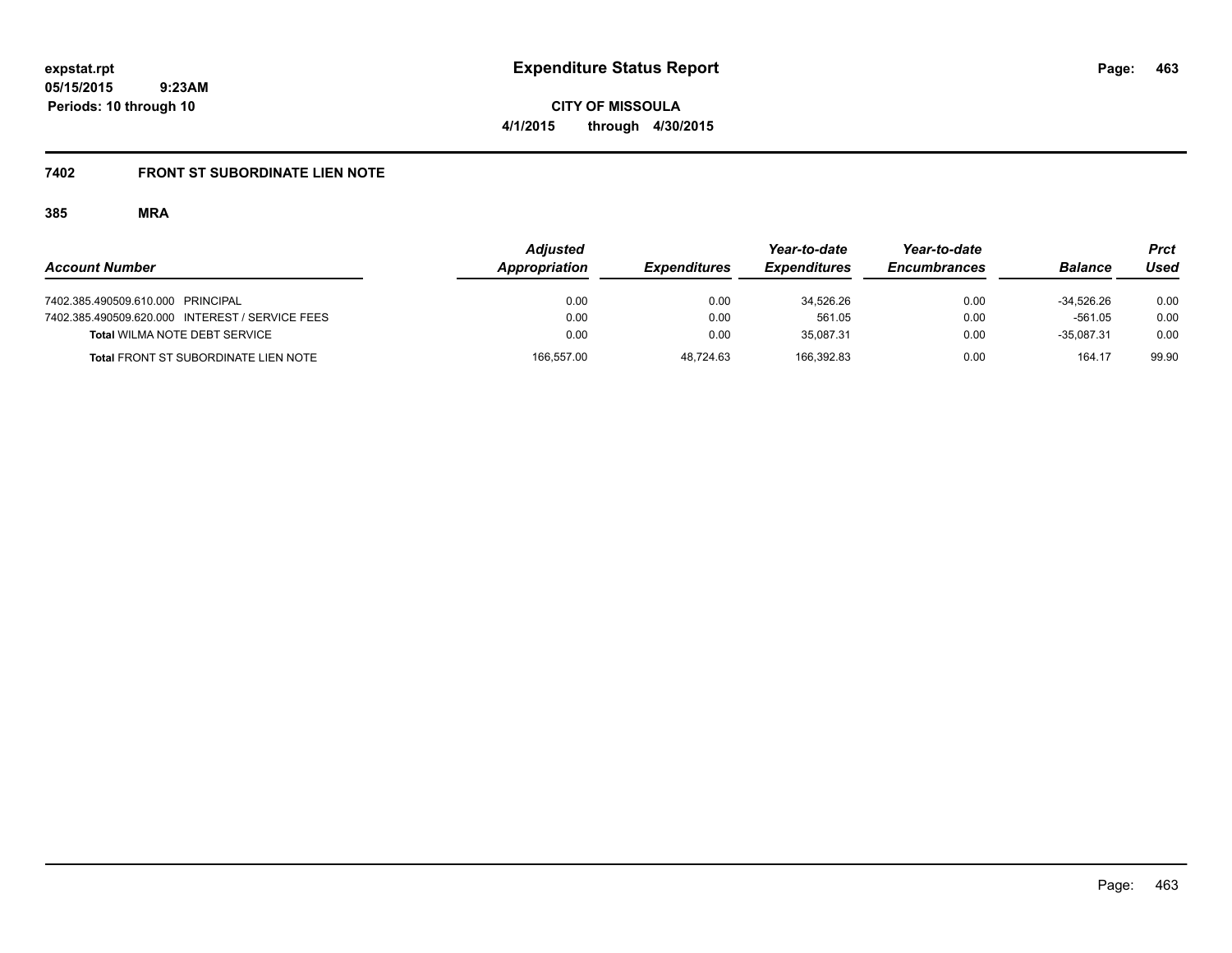**CITY OF MISSOULA 4/1/2015 through 4/30/2015**

# **7402 FRONT ST SUBORDINATE LIEN NOTE**

|                                                 | <b>Adjusted</b> |                     | Year-to-date        | Year-to-date        |                | Prct  |
|-------------------------------------------------|-----------------|---------------------|---------------------|---------------------|----------------|-------|
| <b>Account Number</b>                           | Appropriation   | <b>Expenditures</b> | <b>Expenditures</b> | <b>Encumbrances</b> | <b>Balance</b> | Used  |
| 7402.385.490509.610.000 PRINCIPAL               | 0.00            | 0.00                | 34.526.26           | 0.00                | $-34.526.26$   | 0.00  |
| 7402.385.490509.620.000 INTEREST / SERVICE FEES | 0.00            | 0.00                | 561.05              | 0.00                | $-561.05$      | 0.00  |
| <b>Total WILMA NOTE DEBT SERVICE</b>            | 0.00            | 0.00                | 35.087.31           | 0.00                | $-35.087.31$   | 0.00  |
| <b>Total FRONT ST SUBORDINATE LIEN NOTE</b>     | 166.557.00      | 48.724.63           | 166.392.83          | 0.00                | 164.17         | 99.90 |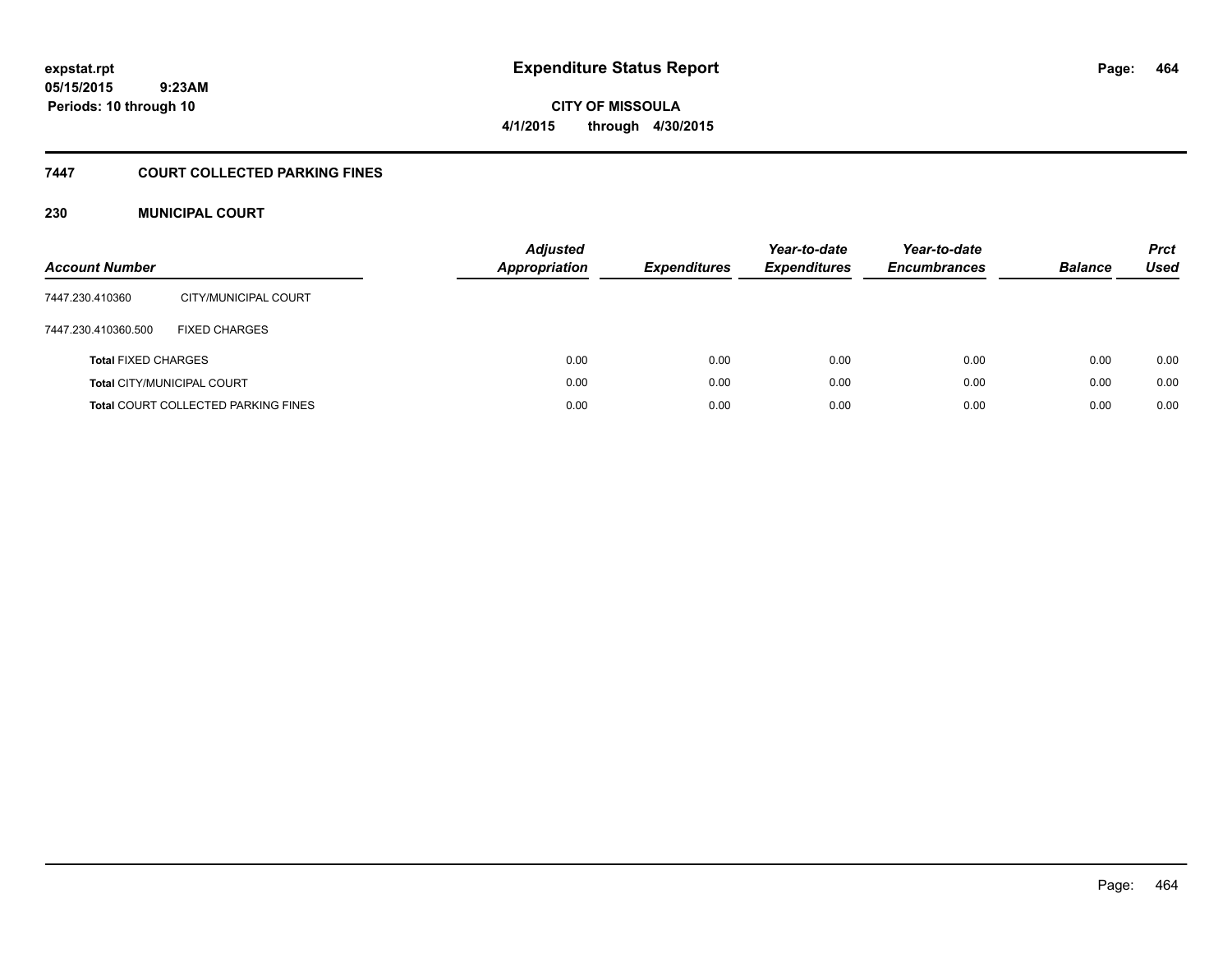**CITY OF MISSOULA 4/1/2015 through 4/30/2015**

## **7447 COURT COLLECTED PARKING FINES**

## **230 MUNICIPAL COURT**

| <b>Account Number</b>      |                                            | <b>Adjusted</b><br><b>Appropriation</b> | <b>Expenditures</b> | Year-to-date<br><b>Expenditures</b> | Year-to-date<br><b>Encumbrances</b> | <b>Balance</b> | <b>Prct</b><br><b>Used</b> |
|----------------------------|--------------------------------------------|-----------------------------------------|---------------------|-------------------------------------|-------------------------------------|----------------|----------------------------|
| 7447.230.410360            | CITY/MUNICIPAL COURT                       |                                         |                     |                                     |                                     |                |                            |
| 7447.230.410360.500        | <b>FIXED CHARGES</b>                       |                                         |                     |                                     |                                     |                |                            |
| <b>Total FIXED CHARGES</b> |                                            | 0.00                                    | 0.00                | 0.00                                | 0.00                                | 0.00           | 0.00                       |
|                            | <b>Total CITY/MUNICIPAL COURT</b>          | 0.00                                    | 0.00                | 0.00                                | 0.00                                | 0.00           | 0.00                       |
|                            | <b>Total COURT COLLECTED PARKING FINES</b> | 0.00                                    | 0.00                | 0.00                                | 0.00                                | 0.00           | 0.00                       |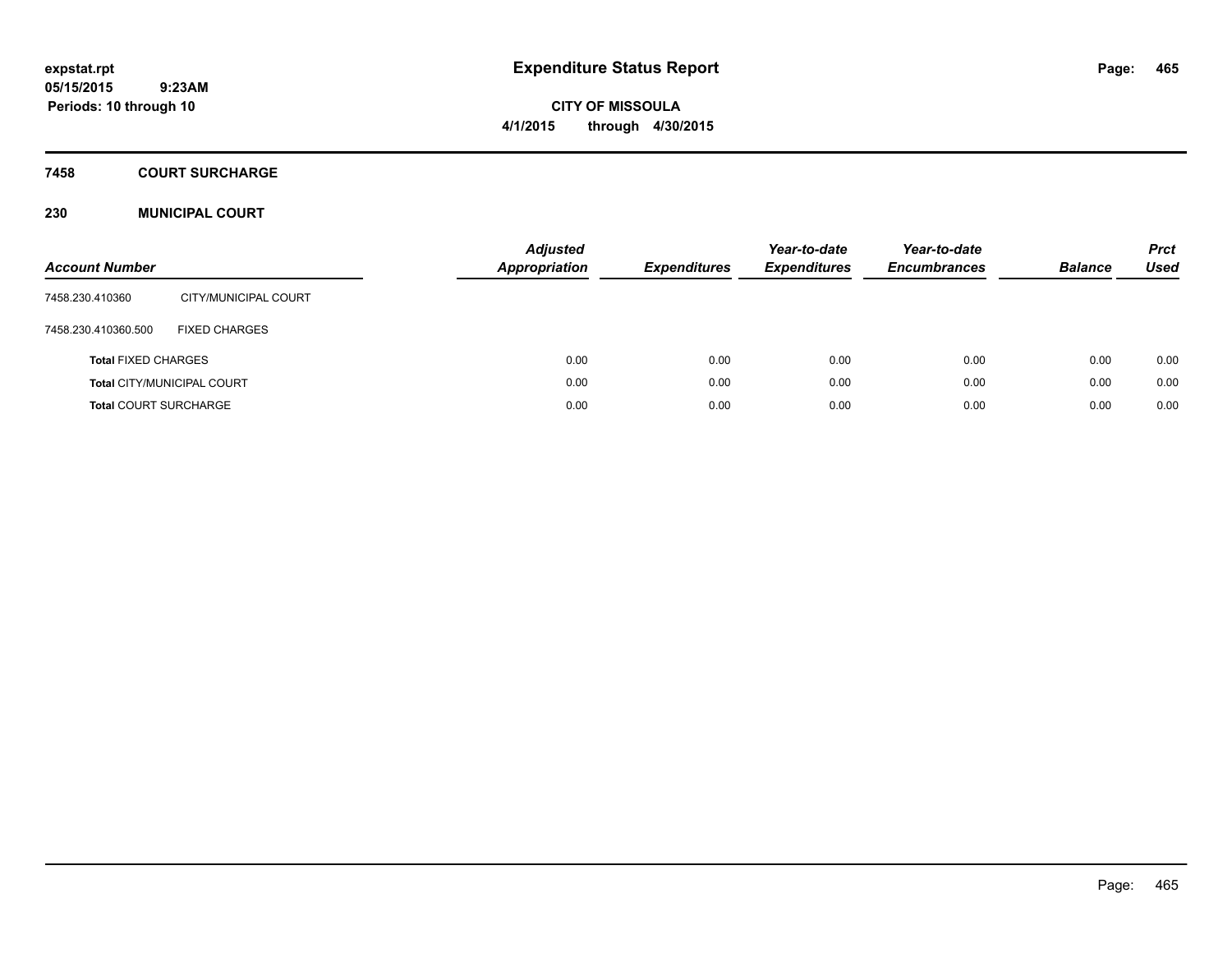**CITY OF MISSOULA 4/1/2015 through 4/30/2015**

### **7458 COURT SURCHARGE**

## **230 MUNICIPAL COURT**

| <b>Account Number</b>        |                                   | <b>Adjusted</b><br><b>Appropriation</b> | <b>Expenditures</b> | Year-to-date<br><b>Expenditures</b> | Year-to-date<br><b>Encumbrances</b> | <b>Balance</b> | <b>Prct</b><br><b>Used</b> |
|------------------------------|-----------------------------------|-----------------------------------------|---------------------|-------------------------------------|-------------------------------------|----------------|----------------------------|
| 7458.230.410360              | CITY/MUNICIPAL COURT              |                                         |                     |                                     |                                     |                |                            |
| 7458.230.410360.500          | <b>FIXED CHARGES</b>              |                                         |                     |                                     |                                     |                |                            |
| <b>Total FIXED CHARGES</b>   |                                   | 0.00                                    | 0.00                | 0.00                                | 0.00                                | 0.00           | 0.00                       |
|                              | <b>Total CITY/MUNICIPAL COURT</b> | 0.00                                    | 0.00                | 0.00                                | 0.00                                | 0.00           | 0.00                       |
| <b>Total COURT SURCHARGE</b> |                                   | 0.00                                    | 0.00                | 0.00                                | 0.00                                | 0.00           | 0.00                       |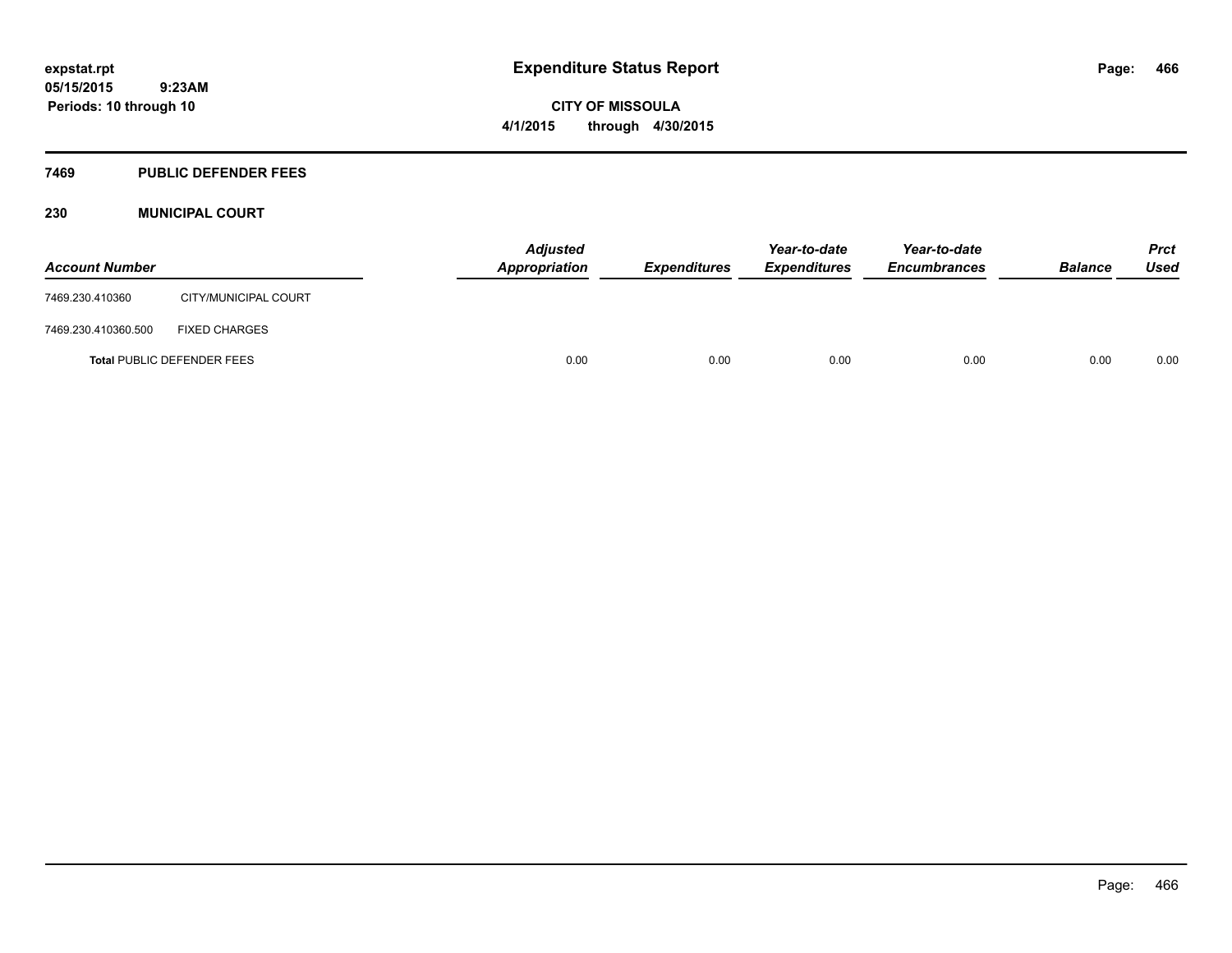**CITY OF MISSOULA 4/1/2015 through 4/30/2015**

## **7469 PUBLIC DEFENDER FEES**

## **230 MUNICIPAL COURT**

| <b>Account Number</b> |                                   | Appropriation | <b>Adjusted</b> | <i><b>Expenditures</b></i> | Year-to-date<br><i><b>Expenditures</b></i> | Year-to-date<br><b>Encumbrances</b> | <b>Balance</b> | <b>Prct</b><br>Used |
|-----------------------|-----------------------------------|---------------|-----------------|----------------------------|--------------------------------------------|-------------------------------------|----------------|---------------------|
| 7469.230.410360       | CITY/MUNICIPAL COURT              |               |                 |                            |                                            |                                     |                |                     |
| 7469.230.410360.500   | <b>FIXED CHARGES</b>              |               |                 |                            |                                            |                                     |                |                     |
|                       | <b>Total PUBLIC DEFENDER FEES</b> |               | 0.00            | 0.00                       | 0.00                                       | 0.00                                | 0.00           | 0.00                |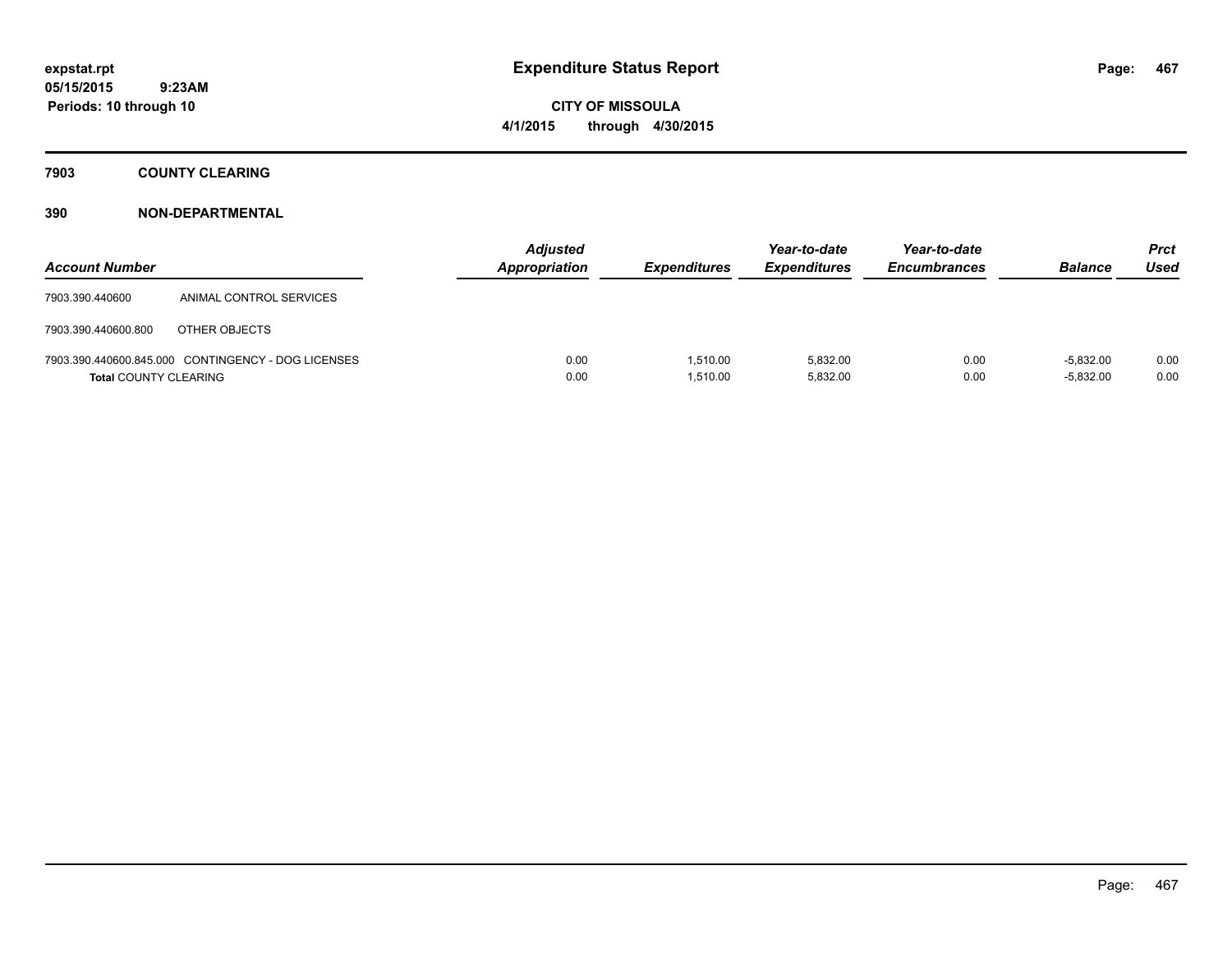**CITY OF MISSOULA 4/1/2015 through 4/30/2015**

**7903 COUNTY CLEARING**

| <b>Account Number</b>        |                                                    | <b>Adjusted</b><br><b>Appropriation</b> | <b>Expenditures</b>  | Year-to-date<br><b>Expenditures</b> | Year-to-date<br><b>Encumbrances</b> | <b>Balance</b>             | <b>Prct</b><br>Used |
|------------------------------|----------------------------------------------------|-----------------------------------------|----------------------|-------------------------------------|-------------------------------------|----------------------------|---------------------|
| 7903.390.440600              | ANIMAL CONTROL SERVICES                            |                                         |                      |                                     |                                     |                            |                     |
| 7903.390.440600.800          | OTHER OBJECTS                                      |                                         |                      |                                     |                                     |                            |                     |
| <b>Total COUNTY CLEARING</b> | 7903.390.440600.845.000 CONTINGENCY - DOG LICENSES | 0.00<br>0.00                            | 1.510.00<br>1,510.00 | 5.832.00<br>5,832.00                | 0.00<br>0.00                        | $-5.832.00$<br>$-5,832.00$ | 0.00<br>0.00        |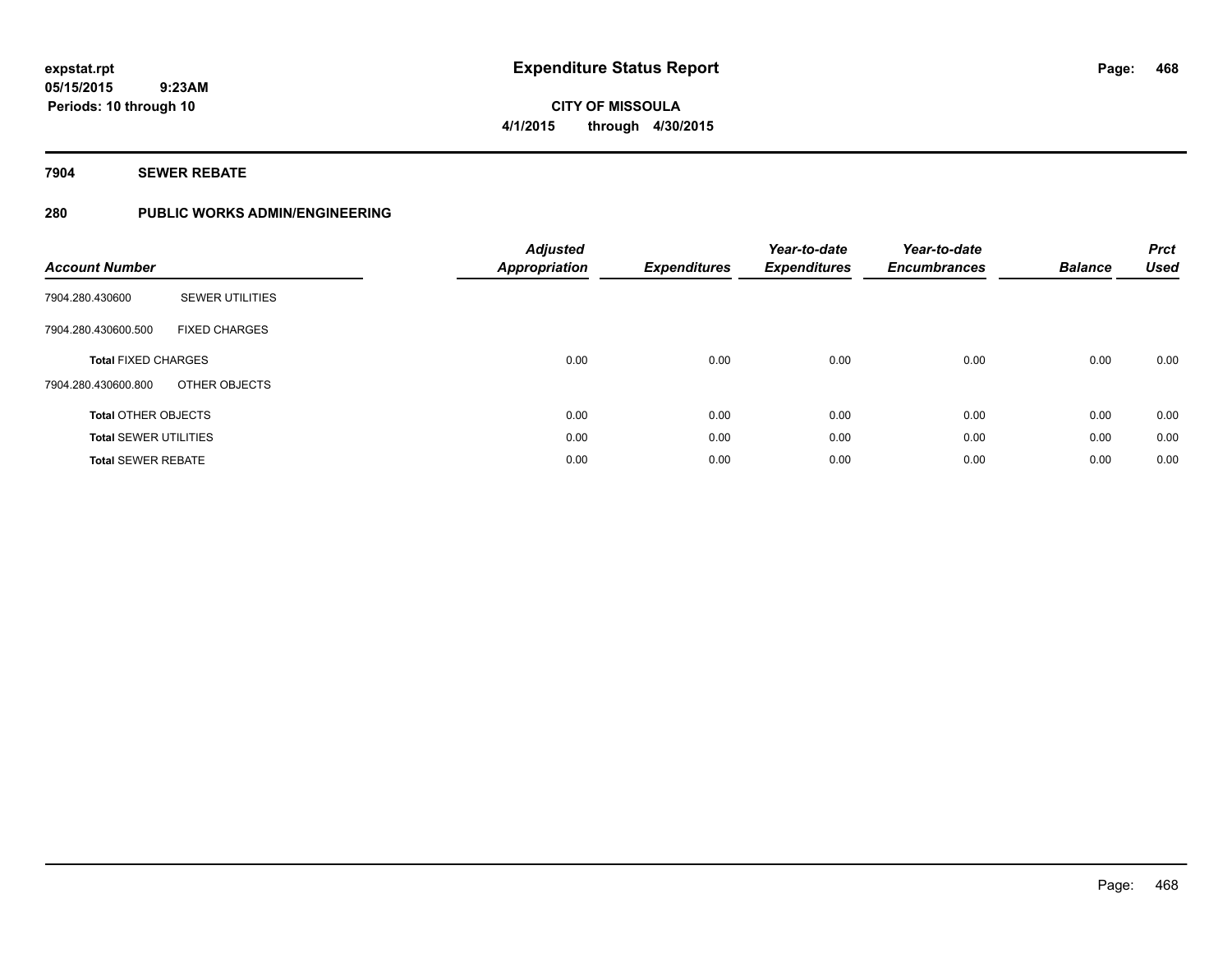**CITY OF MISSOULA 4/1/2015 through 4/30/2015**

**7904 SEWER REBATE**

**Periods: 10 through 10**

 **9:23AM**

# **280 PUBLIC WORKS ADMIN/ENGINEERING**

| <b>Account Number</b>        |                        | <b>Adjusted</b><br><b>Appropriation</b> | <b>Expenditures</b> | Year-to-date<br><b>Expenditures</b> | Year-to-date<br><b>Encumbrances</b> | <b>Balance</b> | <b>Prct</b><br><b>Used</b> |
|------------------------------|------------------------|-----------------------------------------|---------------------|-------------------------------------|-------------------------------------|----------------|----------------------------|
| 7904.280.430600              | <b>SEWER UTILITIES</b> |                                         |                     |                                     |                                     |                |                            |
| 7904.280.430600.500          | <b>FIXED CHARGES</b>   |                                         |                     |                                     |                                     |                |                            |
| <b>Total FIXED CHARGES</b>   |                        | 0.00                                    | 0.00                | 0.00                                | 0.00                                | 0.00           | 0.00                       |
| 7904.280.430600.800          | OTHER OBJECTS          |                                         |                     |                                     |                                     |                |                            |
| <b>Total OTHER OBJECTS</b>   |                        | 0.00                                    | 0.00                | 0.00                                | 0.00                                | 0.00           | 0.00                       |
| <b>Total SEWER UTILITIES</b> |                        | 0.00                                    | 0.00                | 0.00                                | 0.00                                | 0.00           | 0.00                       |
| <b>Total SEWER REBATE</b>    |                        | 0.00                                    | 0.00                | 0.00                                | 0.00                                | 0.00           | 0.00                       |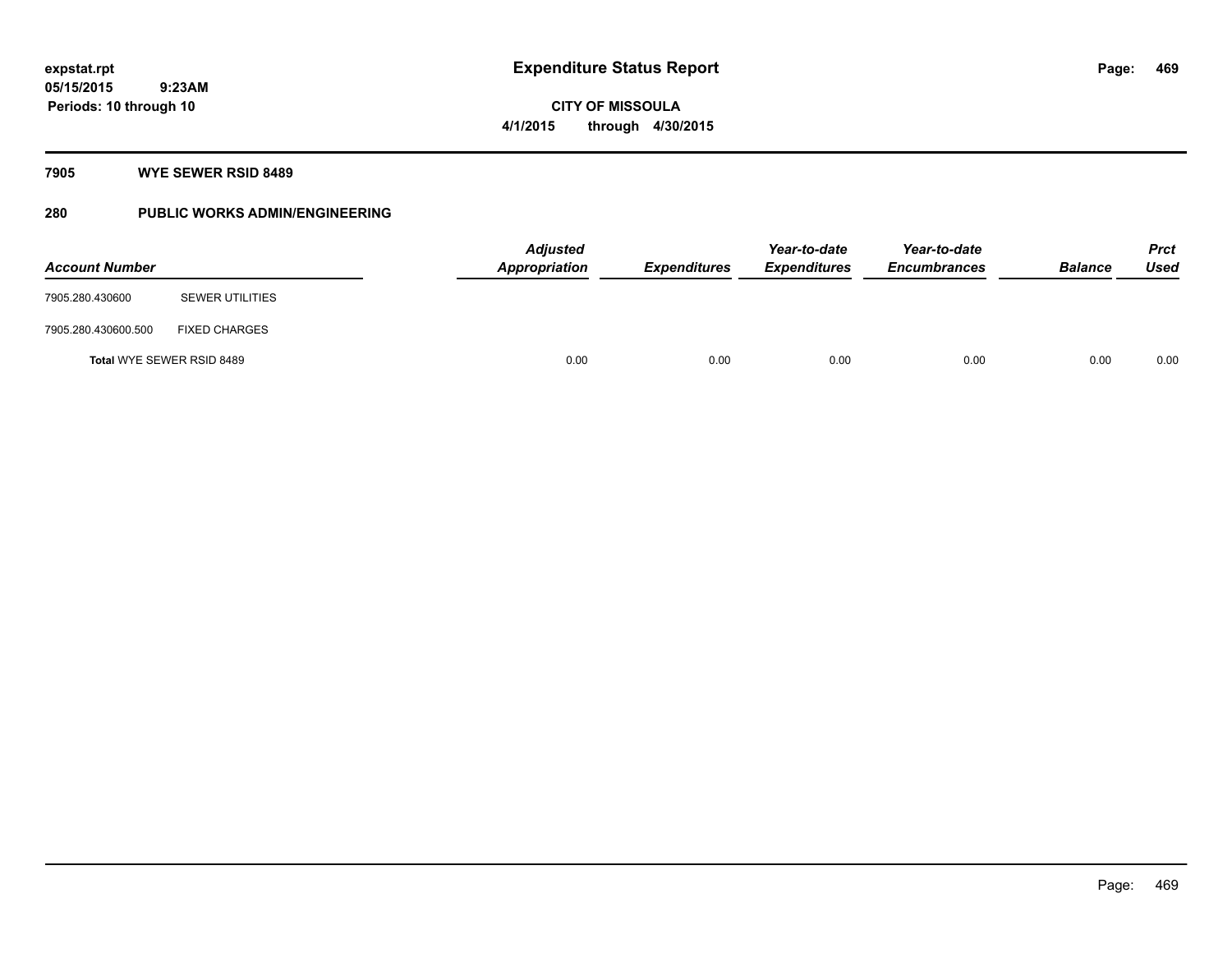**Periods: 10 through 10**

**CITY OF MISSOULA 4/1/2015 through 4/30/2015**

#### **7905 WYE SEWER RSID 8489**

 **9:23AM**

## **280 PUBLIC WORKS ADMIN/ENGINEERING**

| <b>Account Number</b>            |                        |      | <b>Adjusted</b><br>Appropriation | <b>Expenditures</b> | Year-to-date<br><b>Expenditures</b> | Year-to-date<br><b>Encumbrances</b> | <b>Balance</b> | Prct<br><b>Used</b> |
|----------------------------------|------------------------|------|----------------------------------|---------------------|-------------------------------------|-------------------------------------|----------------|---------------------|
| 7905.280.430600                  | <b>SEWER UTILITIES</b> |      |                                  |                     |                                     |                                     |                |                     |
| 7905.280.430600.500              | <b>FIXED CHARGES</b>   |      |                                  |                     |                                     |                                     |                |                     |
| <b>Total WYE SEWER RSID 8489</b> |                        | 0.00 | 0.00                             | 0.00                | 0.00                                | 0.00                                | 0.00           |                     |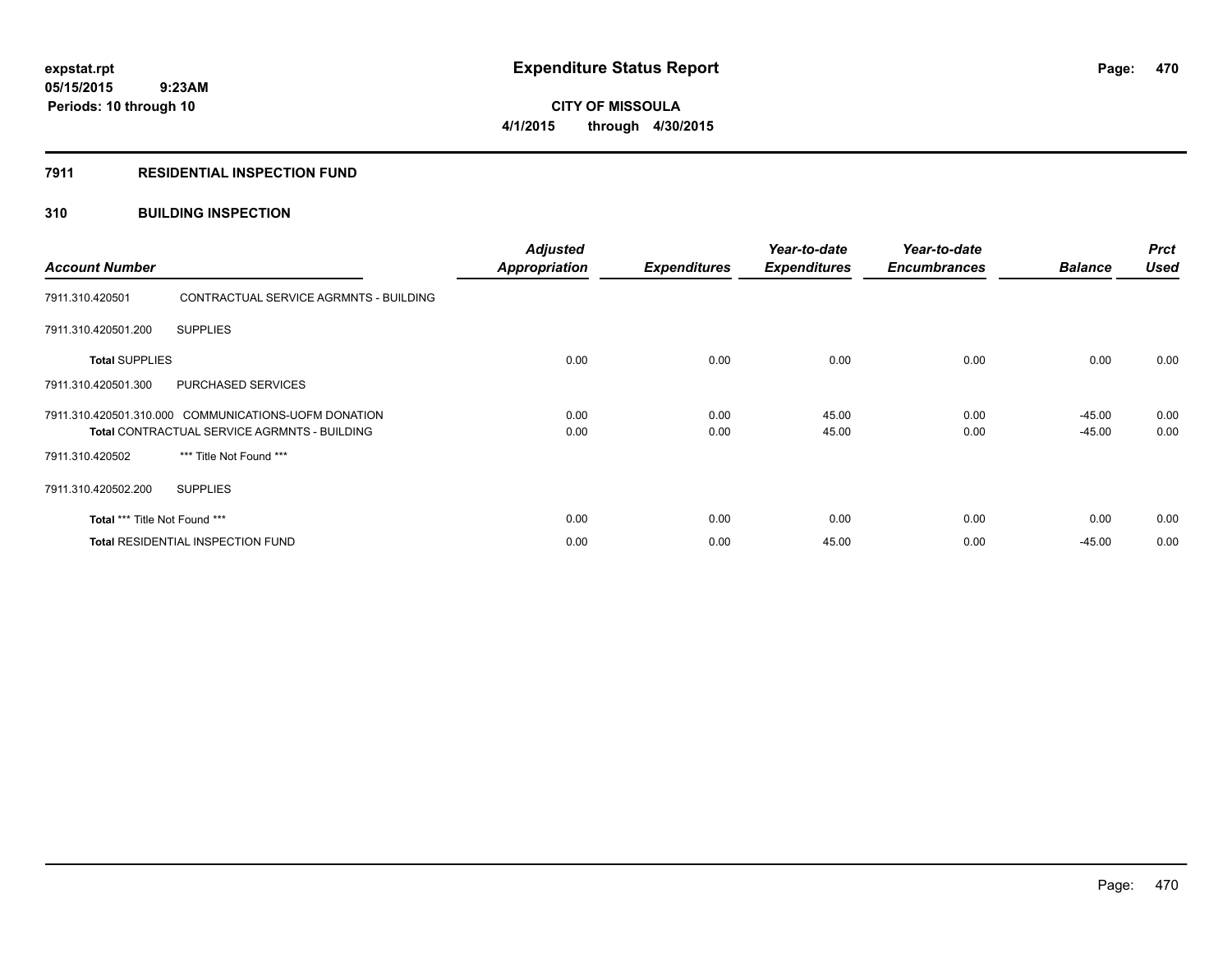**05/15/2015 9:23AM Periods: 10 through 10**

# **CITY OF MISSOULA 4/1/2015 through 4/30/2015**

### **7911 RESIDENTIAL INSPECTION FUND**

### **310 BUILDING INSPECTION**

| <b>Account Number</b>                                                                                       |                                        | <b>Adjusted</b><br><b>Appropriation</b> | <b>Expenditures</b> | Year-to-date<br><b>Expenditures</b> | Year-to-date<br><b>Encumbrances</b> | <b>Balance</b>       | <b>Prct</b><br><b>Used</b> |
|-------------------------------------------------------------------------------------------------------------|----------------------------------------|-----------------------------------------|---------------------|-------------------------------------|-------------------------------------|----------------------|----------------------------|
| 7911.310.420501                                                                                             | CONTRACTUAL SERVICE AGRMNTS - BUILDING |                                         |                     |                                     |                                     |                      |                            |
| 7911.310.420501.200                                                                                         | <b>SUPPLIES</b>                        |                                         |                     |                                     |                                     |                      |                            |
| <b>Total SUPPLIES</b>                                                                                       |                                        | 0.00                                    | 0.00                | 0.00                                | 0.00                                | 0.00                 | 0.00                       |
| 7911.310.420501.300                                                                                         | PURCHASED SERVICES                     |                                         |                     |                                     |                                     |                      |                            |
| 7911.310.420501.310.000 COMMUNICATIONS-UOFM DONATION<br><b>Total CONTRACTUAL SERVICE AGRMNTS - BUILDING</b> |                                        | 0.00<br>0.00                            | 0.00<br>0.00        | 45.00<br>45.00                      | 0.00<br>0.00                        | $-45.00$<br>$-45.00$ | 0.00<br>0.00               |
| 7911.310.420502                                                                                             | *** Title Not Found ***                |                                         |                     |                                     |                                     |                      |                            |
| 7911.310.420502.200                                                                                         | <b>SUPPLIES</b>                        |                                         |                     |                                     |                                     |                      |                            |
| Total *** Title Not Found ***                                                                               |                                        | 0.00                                    | 0.00                | 0.00                                | 0.00                                | 0.00                 | 0.00                       |
| <b>Total RESIDENTIAL INSPECTION FUND</b>                                                                    |                                        | 0.00                                    | 0.00                | 45.00                               | 0.00                                | $-45.00$             | 0.00                       |